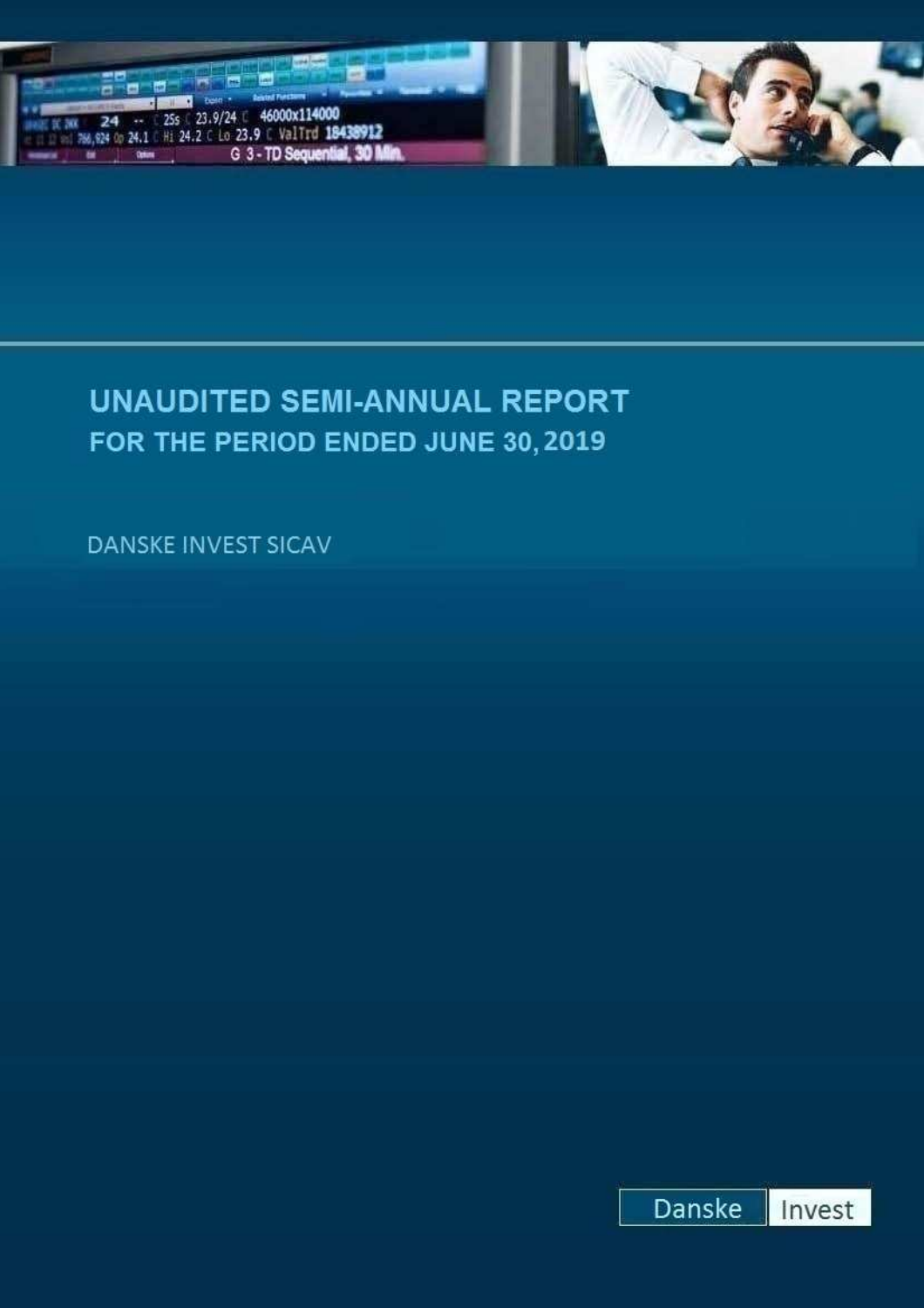



**UNAUDITED SEMI-ANNUAL REPORT** FOR THE PERIOD ENDED JUNE 30, 2019

DANSKE INVEST SICAV

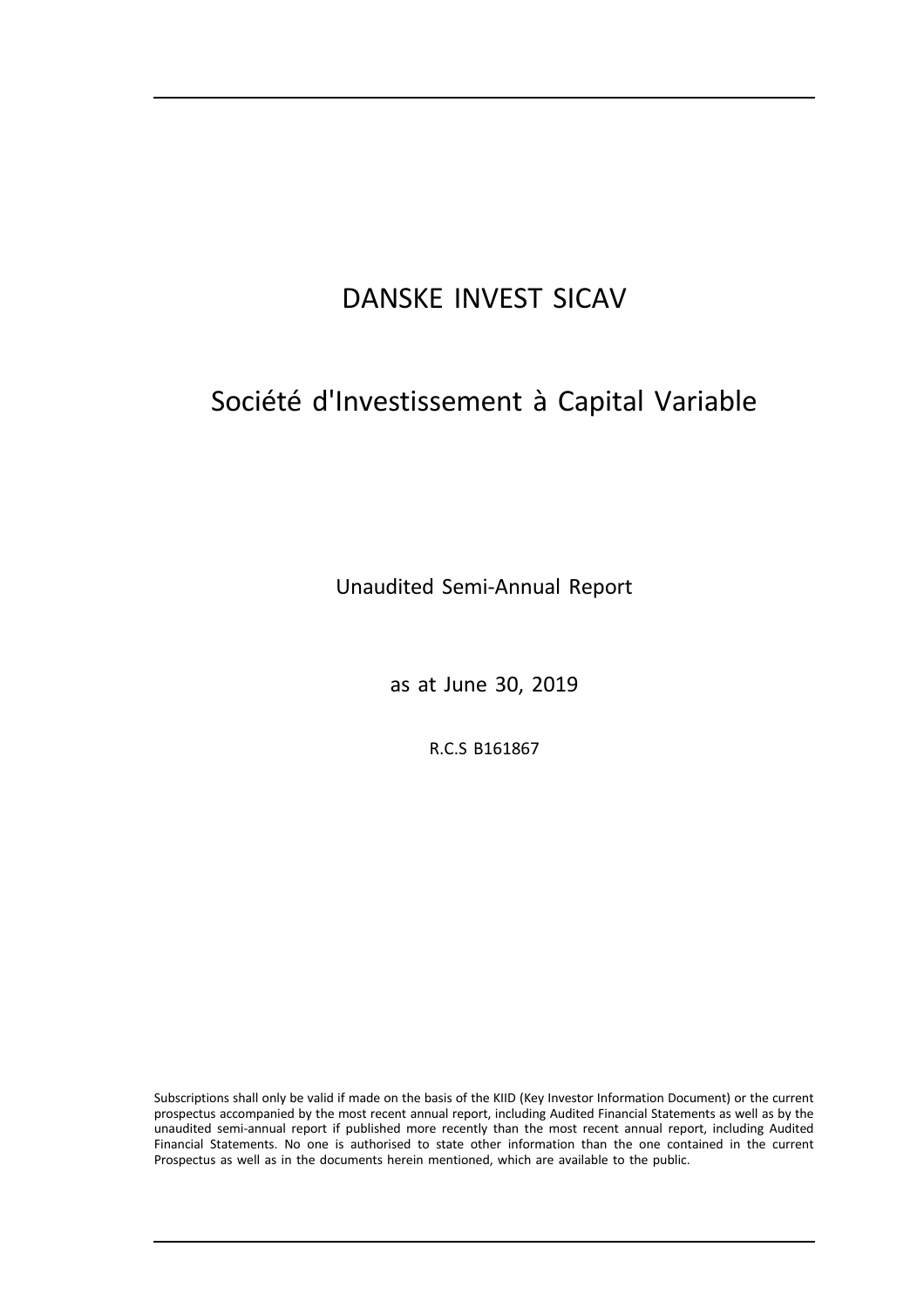# Société d'Investissement à Capital Variable

Unaudited Semi-Annual Report

as at June 30, 2019

R.C.S B161867

Subscriptions shall only be valid if made on the basis of the KIID (Key Investor Information Document) or the current prospectus accompanied by the most recent annual report, including Audited Financial Statements as well as by the unaudited semi-annual report if published more recently than the most recent annual report, including Audited Financial Statements. No one is authorised to state other information than the one contained in the current Prospectus as well as in the documents herein mentioned, which are available to the public.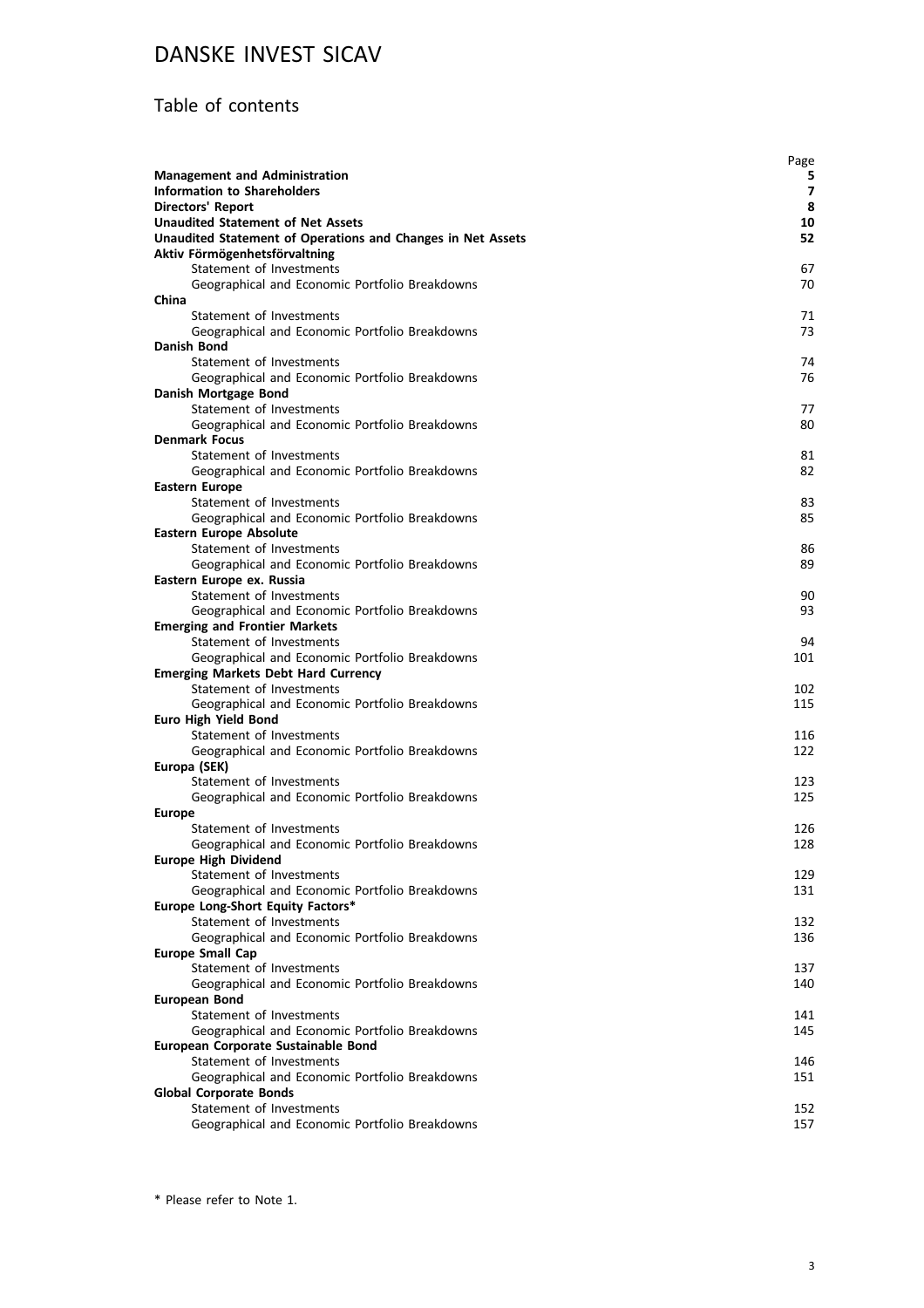### Table of contents

| <b>Management and Administration</b><br><b>Information to Shareholders</b> | Page<br>5<br>$\overline{ }$ |
|----------------------------------------------------------------------------|-----------------------------|
| <b>Directors' Report</b>                                                   | 8                           |
| <b>Unaudited Statement of Net Assets</b>                                   | 10                          |
| Unaudited Statement of Operations and Changes in Net Assets                | 52                          |
| Aktiv Förmögenhetsförvaltning                                              |                             |
| Statement of Investments                                                   | 67                          |
| Geographical and Economic Portfolio Breakdowns                             | 70                          |
| China                                                                      |                             |
| Statement of Investments                                                   | 71                          |
| Geographical and Economic Portfolio Breakdowns                             | 73                          |
| Danish Bond                                                                |                             |
| Statement of Investments                                                   | 74                          |
| Geographical and Economic Portfolio Breakdowns                             | 76                          |
| Danish Mortgage Bond                                                       |                             |
| Statement of Investments                                                   | 77                          |
| Geographical and Economic Portfolio Breakdowns                             | 80                          |
| <b>Denmark Focus</b>                                                       |                             |
| Statement of Investments                                                   | 81                          |
| Geographical and Economic Portfolio Breakdowns                             | 82                          |
| <b>Eastern Europe</b>                                                      |                             |
| Statement of Investments                                                   | 83                          |
| Geographical and Economic Portfolio Breakdowns                             | 85                          |
| <b>Eastern Europe Absolute</b>                                             |                             |
| Statement of Investments                                                   | 86                          |
| Geographical and Economic Portfolio Breakdowns                             | 89                          |
| Eastern Europe ex. Russia                                                  |                             |
| Statement of Investments                                                   | 90                          |
| Geographical and Economic Portfolio Breakdowns                             | 93                          |
| <b>Emerging and Frontier Markets</b>                                       |                             |
| Statement of Investments                                                   | 94                          |
| Geographical and Economic Portfolio Breakdowns                             | 101                         |
| <b>Emerging Markets Debt Hard Currency</b>                                 |                             |
| Statement of Investments                                                   | 102                         |
| Geographical and Economic Portfolio Breakdowns                             | 115                         |
| <b>Euro High Yield Bond</b>                                                |                             |
| Statement of Investments                                                   | 116                         |
| Geographical and Economic Portfolio Breakdowns                             | 122                         |
| Europa (SEK)                                                               |                             |
| Statement of Investments                                                   | 123                         |
| Geographical and Economic Portfolio Breakdowns                             | 125                         |
| <b>Europe</b>                                                              |                             |
| Statement of Investments                                                   | 126                         |
| Geographical and Economic Portfolio Breakdowns                             | 128                         |
| <b>Europe High Dividend</b>                                                |                             |
| Statement of Investments                                                   | 129                         |
| Geographical and Economic Portfolio Breakdowns                             | 131                         |
| Europe Long-Short Equity Factors*                                          |                             |
| Statement of Investments                                                   | 132                         |
| Geographical and Economic Portfolio Breakdowns                             | 136                         |
| <b>Europe Small Cap</b>                                                    |                             |
| Statement of Investments                                                   | 137                         |
| Geographical and Economic Portfolio Breakdowns                             | 140                         |
| European Bond                                                              |                             |
| Statement of Investments                                                   | 141                         |
| Geographical and Economic Portfolio Breakdowns                             | 145                         |
| European Corporate Sustainable Bond                                        |                             |
| Statement of Investments                                                   | 146                         |
| Geographical and Economic Portfolio Breakdowns                             | 151                         |
| <b>Global Corporate Bonds</b>                                              |                             |
| Statement of Investments                                                   | 152                         |
| Geographical and Economic Portfolio Breakdowns                             | 157                         |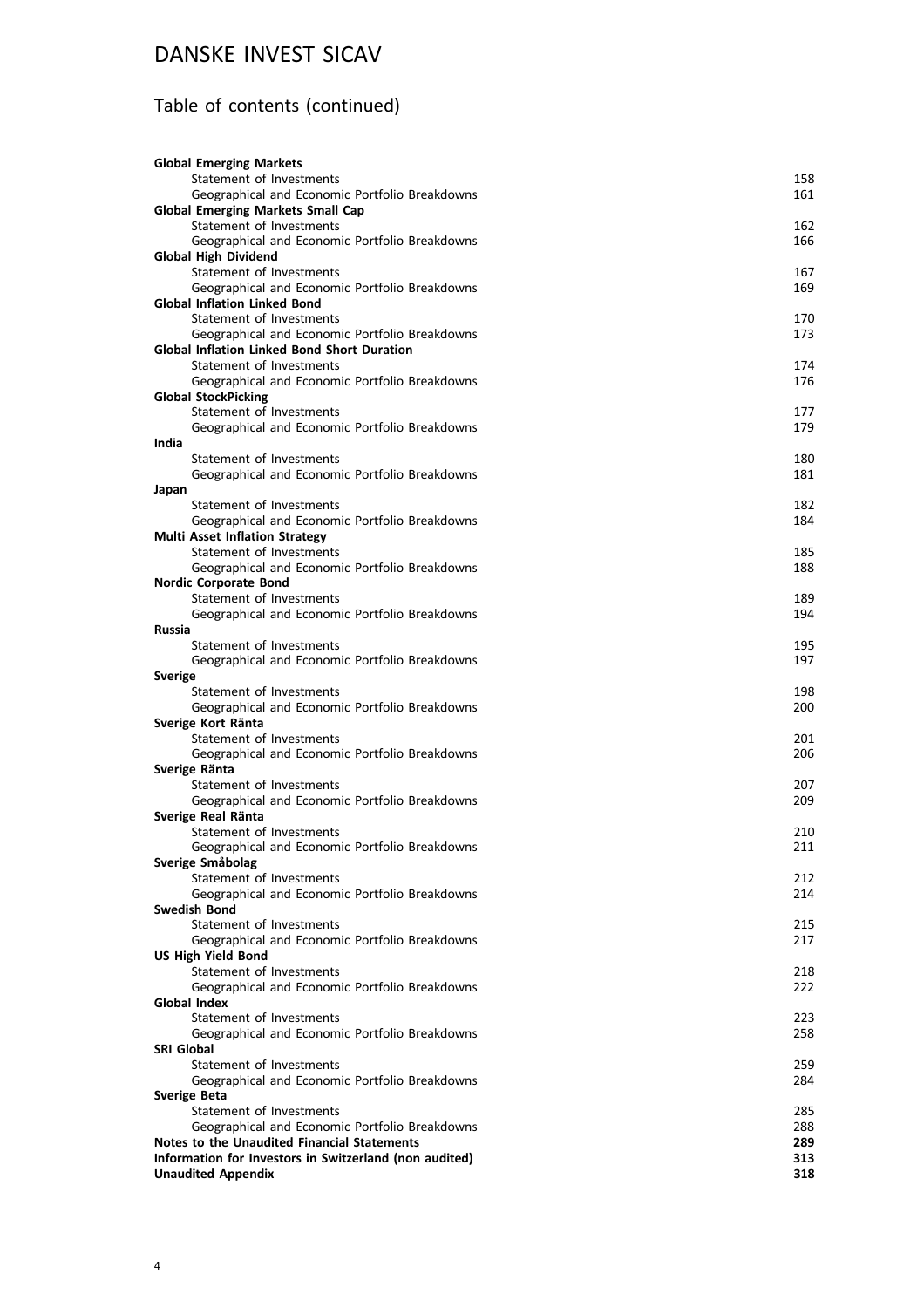## Table of contents (continued)

|                     | <b>Global Emerging Markets</b>                                  |            |
|---------------------|-----------------------------------------------------------------|------------|
|                     | Statement of Investments                                        | 158        |
|                     | Geographical and Economic Portfolio Breakdowns                  | 161        |
|                     | <b>Global Emerging Markets Small Cap</b>                        |            |
|                     | Statement of Investments                                        | 162        |
|                     | Geographical and Economic Portfolio Breakdowns                  | 166        |
|                     | <b>Global High Dividend</b>                                     |            |
|                     | Statement of Investments                                        | 167        |
|                     | Geographical and Economic Portfolio Breakdowns                  | 169        |
|                     | <b>Global Inflation Linked Bond</b><br>Statement of Investments | 170        |
|                     | Geographical and Economic Portfolio Breakdowns                  | 173        |
|                     | <b>Global Inflation Linked Bond Short Duration</b>              |            |
|                     | Statement of Investments                                        | 174        |
|                     | Geographical and Economic Portfolio Breakdowns                  | 176        |
|                     | <b>Global StockPicking</b>                                      |            |
|                     | Statement of Investments                                        | 177        |
|                     | Geographical and Economic Portfolio Breakdowns                  | 179        |
| India               |                                                                 |            |
|                     | Statement of Investments                                        | 180        |
|                     | Geographical and Economic Portfolio Breakdowns                  | 181        |
| Japan               |                                                                 |            |
|                     | Statement of Investments                                        | 182        |
|                     | Geographical and Economic Portfolio Breakdowns                  | 184        |
|                     | <b>Multi Asset Inflation Strategy</b>                           |            |
|                     | Statement of Investments                                        | 185        |
|                     | Geographical and Economic Portfolio Breakdowns                  | 188        |
|                     | <b>Nordic Corporate Bond</b>                                    |            |
|                     | Statement of Investments                                        | 189<br>194 |
| Russia              | Geographical and Economic Portfolio Breakdowns                  |            |
|                     | Statement of Investments                                        | 195        |
|                     | Geographical and Economic Portfolio Breakdowns                  | 197        |
| Sverige             |                                                                 |            |
|                     | Statement of Investments                                        | 198        |
|                     | Geographical and Economic Portfolio Breakdowns                  | 200        |
|                     | Sverige Kort Ränta                                              |            |
|                     | Statement of Investments                                        | 201        |
|                     | Geographical and Economic Portfolio Breakdowns                  | 206        |
|                     | Sverige Ränta                                                   |            |
|                     | Statement of Investments                                        | 207        |
|                     | Geographical and Economic Portfolio Breakdowns                  | 209        |
|                     | Sverige Real Ränta                                              |            |
|                     | Statement of Investments                                        | 210        |
|                     | Geographical and Economic Portfolio Breakdowns                  | 211        |
|                     | Sverige Småbolag                                                |            |
|                     | Statement of Investments                                        | 212        |
|                     | Geographical and Economic Portfolio Breakdowns                  | 214        |
|                     | <b>Swedish Bond</b><br>Statement of Investments                 | 215        |
|                     | Geographical and Economic Portfolio Breakdowns                  | 217        |
|                     | <b>US High Yield Bond</b>                                       |            |
|                     | Statement of Investments                                        | 218        |
|                     | Geographical and Economic Portfolio Breakdowns                  | 222        |
| <b>Global Index</b> |                                                                 |            |
|                     | Statement of Investments                                        | 223        |
|                     | Geographical and Economic Portfolio Breakdowns                  | 258        |
| SRI Global          |                                                                 |            |
|                     | Statement of Investments                                        | 259        |
|                     | Geographical and Economic Portfolio Breakdowns                  | 284        |
| Sverige Beta        |                                                                 |            |
|                     | Statement of Investments                                        | 285        |
|                     | Geographical and Economic Portfolio Breakdowns                  | 288        |
|                     | Notes to the Unaudited Financial Statements                     | 289        |
|                     | Information for Investors in Switzerland (non audited)          | 313        |
|                     | <b>Unaudited Appendix</b>                                       | 318        |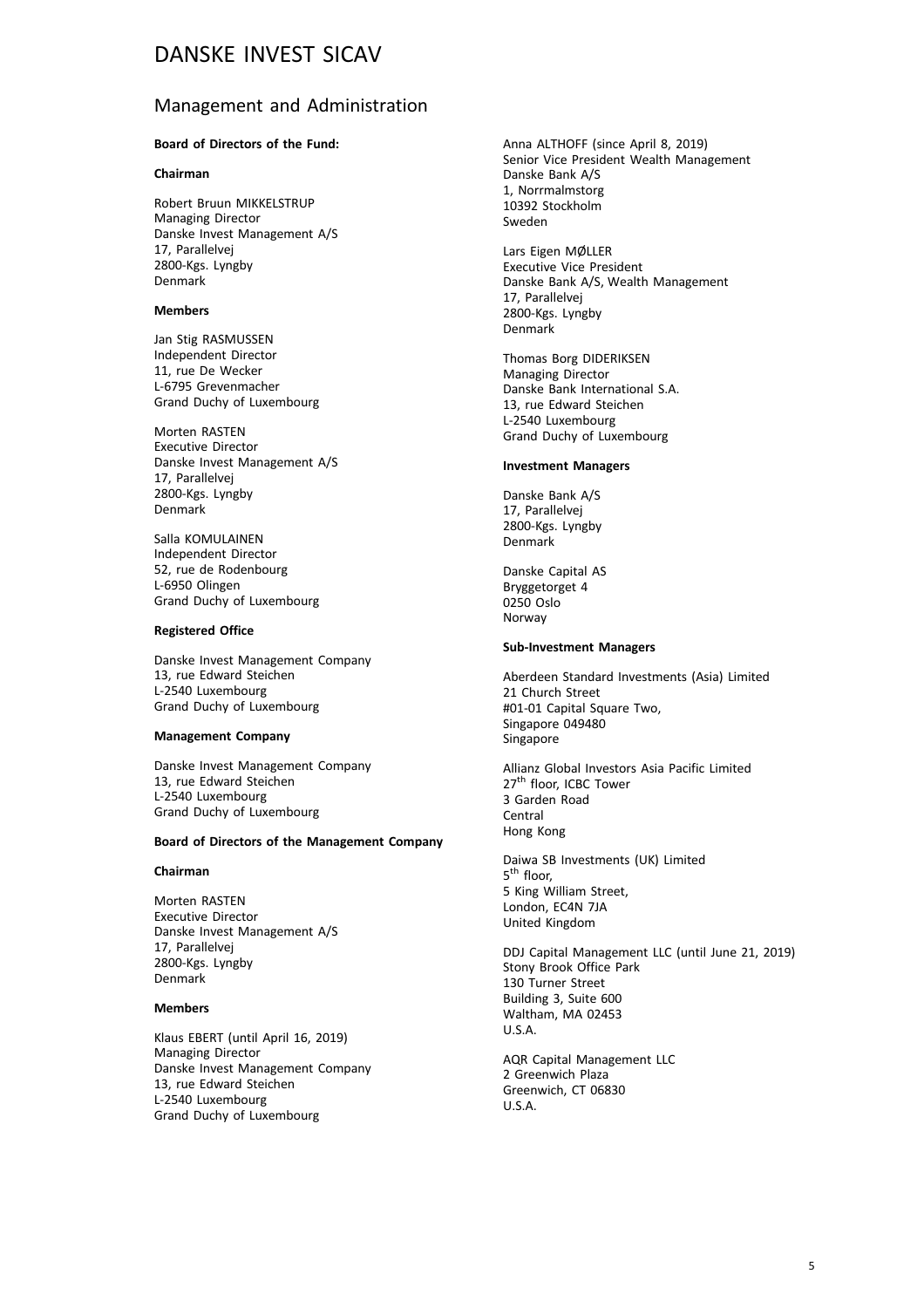#### Management and Administration

#### **Board of Directors of the Fund:**

#### **Chairman**

Robert Bruun MIKKELSTRUP Managing Director Danske Invest Management A/S 17, Parallelvej 2800-Kgs. Lyngby Denmark

#### **Members**

Jan Stig RASMUSSEN Independent Director 11, rue De Wecker L-6795 Grevenmacher Grand Duchy of Luxembourg

Morten RASTEN Executive Director Danske Invest Management A/S 17, Parallelvej 2800-Kgs. Lyngby Denmark

Salla KOMULAINEN Independent Director 52, rue de Rodenbourg L-6950 Olingen Grand Duchy of Luxembourg

#### **Registered Office**

Danske Invest Management Company 13, rue Edward Steichen L-2540 Luxembourg Grand Duchy of Luxembourg

#### **Management Company**

Danske Invest Management Company 13, rue Edward Steichen L-2540 Luxembourg Grand Duchy of Luxembourg

#### **Board of Directors of the Management Company**

#### **Chairman**

Morten RASTEN Executive Director Danske Invest Management A/S 17, Parallelvej 2800-Kgs. Lyngby Denmark

#### **Members**

Klaus EBERT (until April 16, 2019) Managing Director Danske Invest Management Company 13, rue Edward Steichen L-2540 Luxembourg Grand Duchy of Luxembourg

Anna ALTHOFF (since April 8, 2019) Senior Vice President Wealth Management Danske Bank A/S 1, Norrmalmstorg 10392 Stockholm Sweden

Lars Eigen MØLLER Executive Vice President Danske Bank A/S, Wealth Management 17, Parallelvej 2800-Kgs. Lyngby Denmark

Thomas Borg DIDERIKSEN Managing Director Danske Bank International S.A. 13, rue Edward Steichen L-2540 Luxembourg Grand Duchy of Luxembourg

#### **Investment Managers**

Danske Bank A/S 17, Parallelvej 2800-Kgs. Lyngby Denmark

Danske Capital AS Bryggetorget 4 0250 Oslo Norway

#### **Sub-Investment Managers**

Aberdeen Standard Investments (Asia) Limited 21 Church Street #01-01 Capital Square Two, Singapore 049480 Singapore

Allianz Global Investors Asia Pacific Limited 27<sup>th</sup> floor, ICBC Tower 3 Garden Road Central Hong Kong

Daiwa SB Investments (UK) Limited 5<sup>th</sup> floor, 5 King William Street, London, EC4N 7JA United Kingdom

DDJ Capital Management LLC (until June 21, 2019) Stony Brook Office Park 130 Turner Street Building 3, Suite 600 Waltham, MA 02453 U.S.A.

AQR Capital Management LLC 2 Greenwich Plaza Greenwich, CT 06830  $II S A$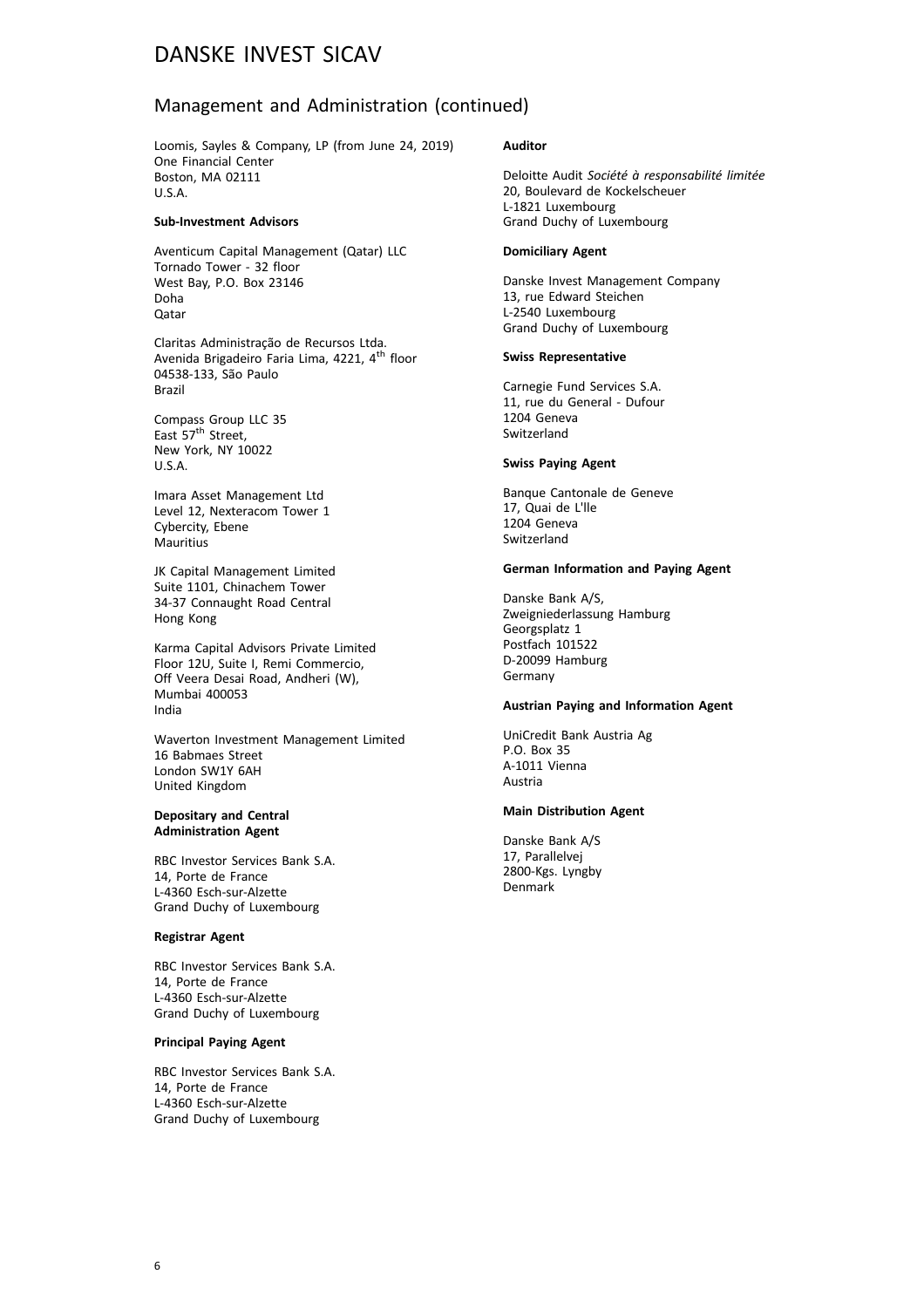#### Management and Administration (continued)

Loomis, Sayles & Company, LP (from June 24, 2019) One Financial Center Boston, MA 02111 U.S.A.

#### **Sub-Investment Advisors**

Aventicum Capital Management (Qatar) LLC Tornado Tower - 32 floor West Bay, P.O. Box 23146 Doha Qatar

Claritas Administração de Recursos Ltda. Avenida Brigadeiro Faria Lima, 4221, 4<sup>th</sup> floor 04538-133, São Paulo Brazil

Compass Group LLC 35 East 57<sup>th</sup> Street, New York, NY 10022 U.S.A.

Imara Asset Management Ltd Level 12, Nexteracom Tower 1 Cybercity, Ebene **Mauritius** 

JK Capital Management Limited Suite 1101, Chinachem Tower 34-37 Connaught Road Central Hong Kong

Karma Capital Advisors Private Limited Floor 12U, Suite I, Remi Commercio, Off Veera Desai Road, Andheri (W), Mumbai 400053 India

Waverton Investment Management Limited 16 Babmaes Street London SW1Y 6AH United Kingdom

#### **Depositary and Central Administration Agent**

RBC Investor Services Bank S.A. 14, Porte de France L-4360 Esch-sur-Alzette Grand Duchy of Luxembourg

#### **Registrar Agent**

RBC Investor Services Bank S.A. 14, Porte de France L-4360 Esch-sur-Alzette Grand Duchy of Luxembourg

#### **Principal Paying Agent**

RBC Investor Services Bank S.A. 14, Porte de France L-4360 Esch-sur-Alzette Grand Duchy of Luxembourg

#### **Auditor**

Deloitte Audit *Société à responsabilité limitée* 20, Boulevard de Kockelscheuer L-1821 Luxembourg Grand Duchy of Luxembourg

#### **Domiciliary Agent**

Danske Invest Management Company 13, rue Edward Steichen L-2540 Luxembourg Grand Duchy of Luxembourg

#### **Swiss Representative**

Carnegie Fund Services S.A. 11, rue du General - Dufour 1204 Geneva Switzerland

#### **Swiss Paying Agent**

Banque Cantonale de Geneve 17, Quai de L'lle 1204 Geneva Switzerland

#### **German Information and Paying Agent**

Danske Bank A/S, Zweigniederlassung Hamburg Georgsplatz 1 Postfach 101522 D-20099 Hamburg Germany

#### **Austrian Paying and Information Agent**

UniCredit Bank Austria Ag P.O. Box 35 A-1011 Vienna Austria

#### **Main Distribution Agent**

Danske Bank A/S 17, Parallelvej 2800-Kgs. Lyngby Denmark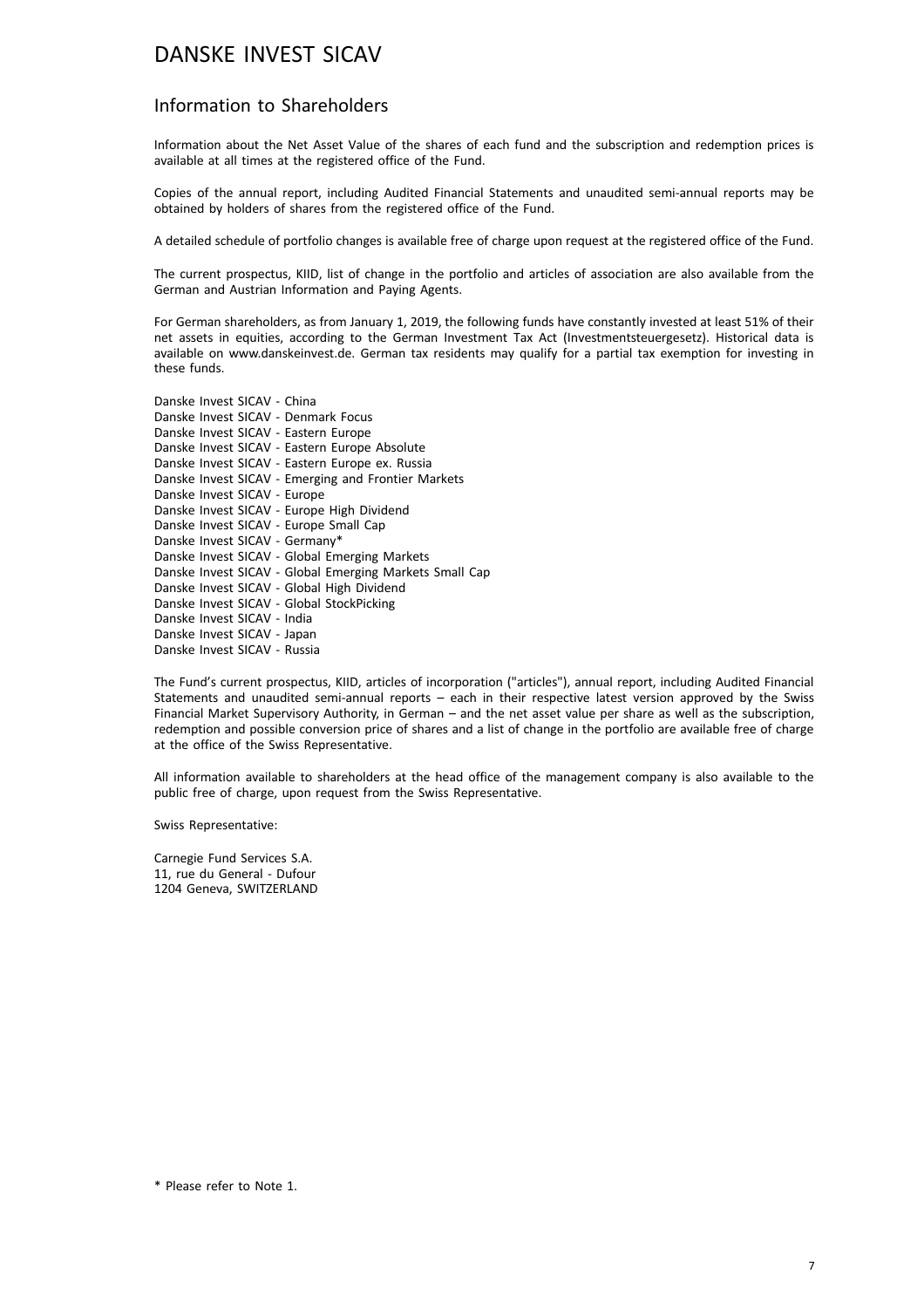#### Information to Shareholders

Information about the Net Asset Value of the shares of each fund and the subscription and redemption prices is available at all times at the registered office of the Fund.

Copies of the annual report, including Audited Financial Statements and unaudited semi-annual reports may be obtained by holders of shares from the registered office of the Fund.

A detailed schedule of portfolio changes is available free of charge upon request at the registered office of the Fund.

The current prospectus, KIID, list of change in the portfolio and articles of association are also available from the German and Austrian Information and Paying Agents.

For German shareholders, as from January 1, 2019, the following funds have constantly invested at least 51% of their net assets in equities, according to the German Investment Tax Act (Investmentsteuergesetz). Historical data is available on www.danskeinvest.de. German tax residents may qualify for a partial tax exemption for investing in these funds.

Danske Invest SICAV - China Danske Invest SICAV - Denmark Focus Danske Invest SICAV - Eastern Europe Danske Invest SICAV - Eastern Europe Absolute Danske Invest SICAV - Eastern Europe ex. Russia Danske Invest SICAV - Emerging and Frontier Markets Danske Invest SICAV - Europe Danske Invest SICAV - Europe High Dividend Danske Invest SICAV - Europe Small Cap Danske Invest SICAV - Germany\* Danske Invest SICAV - Global Emerging Markets Danske Invest SICAV - Global Emerging Markets Small Cap Danske Invest SICAV - Global High Dividend Danske Invest SICAV - Global StockPicking Danske Invest SICAV - India Danske Invest SICAV - Japan Danske Invest SICAV - Russia

The Fund's current prospectus, KIID, articles of incorporation ("articles"), annual report, including Audited Financial Statements and unaudited semi-annual reports – each in their respective latest version approved by the Swiss Financial Market Supervisory Authority, in German – and the net asset value per share as well as the subscription, redemption and possible conversion price of shares and a list of change in the portfolio are available free of charge at the office of the Swiss Representative.

All information available to shareholders at the head office of the management company is also available to the public free of charge, upon request from the Swiss Representative.

Swiss Representative:

Carnegie Fund Services S.A. 11, rue du General - Dufour 1204 Geneva, SWITZERLAND

<sup>\*</sup> Please refer to Note 1.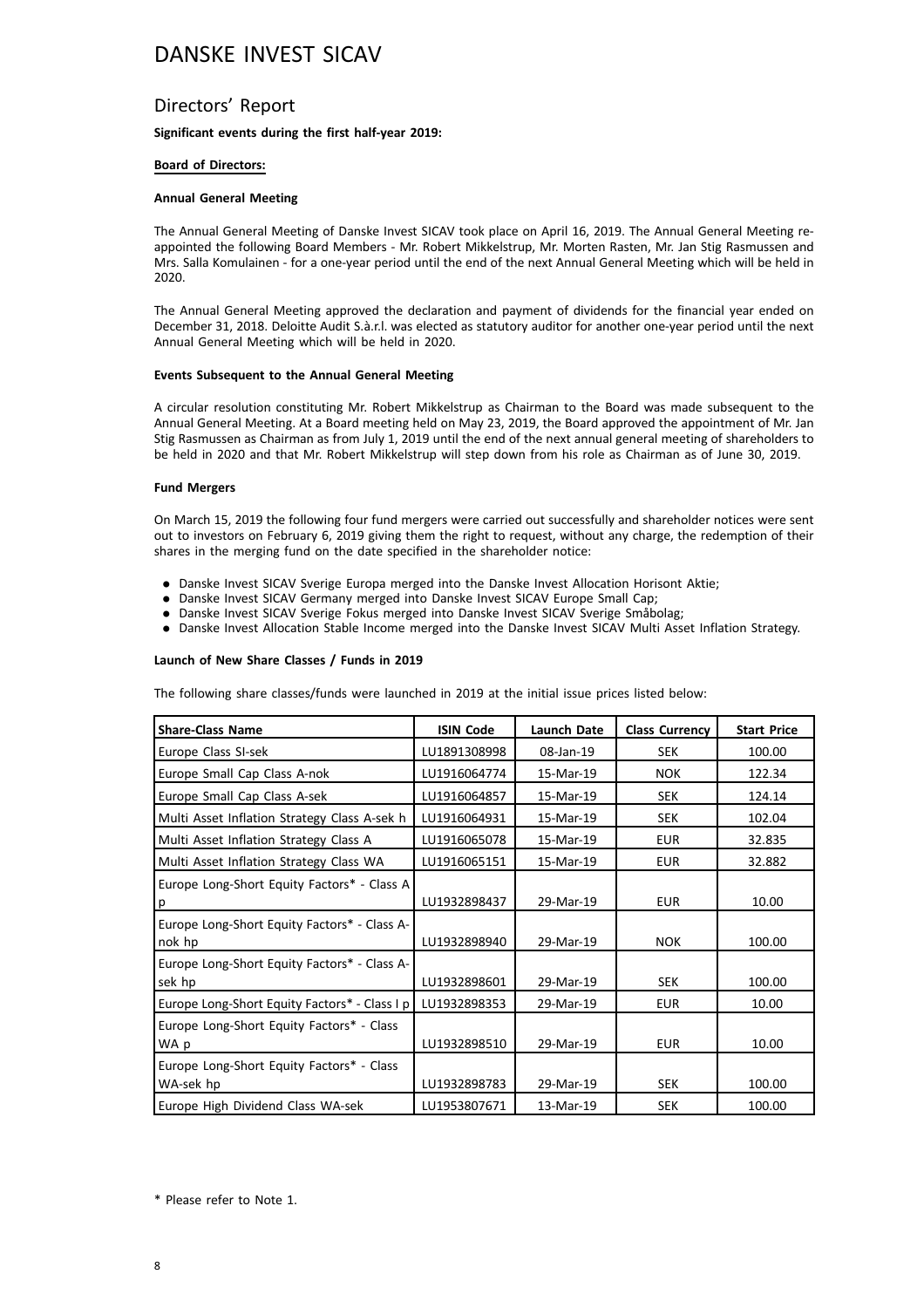#### Directors' Report

**Significant events during the first half-year 2019:**

#### **Board of Directors:**

#### **Annual General Meeting**

The Annual General Meeting of Danske Invest SICAV took place on April 16, 2019. The Annual General Meeting reappointed the following Board Members - Mr. Robert Mikkelstrup, Mr. Morten Rasten, Mr. Jan Stig Rasmussen and Mrs. Salla Komulainen - for a one-year period until the end of the next Annual General Meeting which will be held in 2020.

The Annual General Meeting approved the declaration and payment of dividends for the financial year ended on December 31, 2018. Deloitte Audit S.à.r.l. was elected as statutory auditor for another one-year period until the next Annual General Meeting which will be held in 2020.

#### **Events Subsequent to the Annual General Meeting**

A circular resolution constituting Mr. Robert Mikkelstrup as Chairman to the Board was made subsequent to the Annual General Meeting. At a Board meeting held on May 23, 2019, the Board approved the appointment of Mr. Jan Stig Rasmussen as Chairman as from July 1, 2019 until the end of the next annual general meeting of shareholders to be held in 2020 and that Mr. Robert Mikkelstrup will step down from his role as Chairman as of June 30, 2019.

#### **Fund Mergers**

On March 15, 2019 the following four fund mergers were carried out successfully and shareholder notices were sent out to investors on February 6, 2019 giving them the right to request, without any charge, the redemption of their shares in the merging fund on the date specified in the shareholder notice:

- . Danske Invest SICAV Sverige Europa merged into the Danske Invest Allocation Horisont Aktie;
- . Danske Invest SICAV Germany merged into Danske Invest SICAV Europe Small Cap;
- . Danske Invest SICAV Sverige Fokus merged into Danske Invest SICAV Sverige Småbolag;
- . Danske Invest Allocation Stable Income merged into the Danske Invest SICAV Multi Asset Inflation Strategy.

#### **Launch of New Share Classes / Funds in 2019**

The following share classes/funds were launched in 2019 at the initial issue prices listed below:

| <b>Share-Class Name</b>                                | <b>ISIN Code</b> | <b>Launch Date</b> | <b>Class Currency</b> | <b>Start Price</b> |
|--------------------------------------------------------|------------------|--------------------|-----------------------|--------------------|
| Europe Class SI-sek                                    | LU1891308998     | 08-Jan-19          | <b>SEK</b>            | 100.00             |
| Europe Small Cap Class A-nok                           | LU1916064774     | 15-Mar-19          | <b>NOK</b>            | 122.34             |
| Europe Small Cap Class A-sek                           | LU1916064857     | 15-Mar-19          | <b>SEK</b>            | 124.14             |
| Multi Asset Inflation Strategy Class A-sek h           | LU1916064931     | 15-Mar-19          | <b>SEK</b>            | 102.04             |
| Multi Asset Inflation Strategy Class A                 | LU1916065078     | 15-Mar-19          | <b>EUR</b>            | 32.835             |
| Multi Asset Inflation Strategy Class WA                | LU1916065151     | 15-Mar-19          | <b>EUR</b>            | 32.882             |
| Europe Long-Short Equity Factors* - Class A<br>p       | LU1932898437     | 29-Mar-19          | <b>EUR</b>            | 10.00              |
| Europe Long-Short Equity Factors* - Class A-<br>nok hp | LU1932898940     | 29-Mar-19          | <b>NOK</b>            | 100.00             |
| Europe Long-Short Equity Factors* - Class A-<br>sek hp | LU1932898601     | 29-Mar-19          | <b>SEK</b>            | 100.00             |
| Europe Long-Short Equity Factors* - Class I p          | LU1932898353     | 29-Mar-19          | <b>EUR</b>            | 10.00              |
| Europe Long-Short Equity Factors* - Class<br>WA p      | LU1932898510     | 29-Mar-19          | <b>EUR</b>            | 10.00              |
| Europe Long-Short Equity Factors* - Class<br>WA-sek hp | LU1932898783     | 29-Mar-19          | <b>SEK</b>            | 100.00             |
| Europe High Dividend Class WA-sek                      | LU1953807671     | 13-Mar-19          | SEK                   | 100.00             |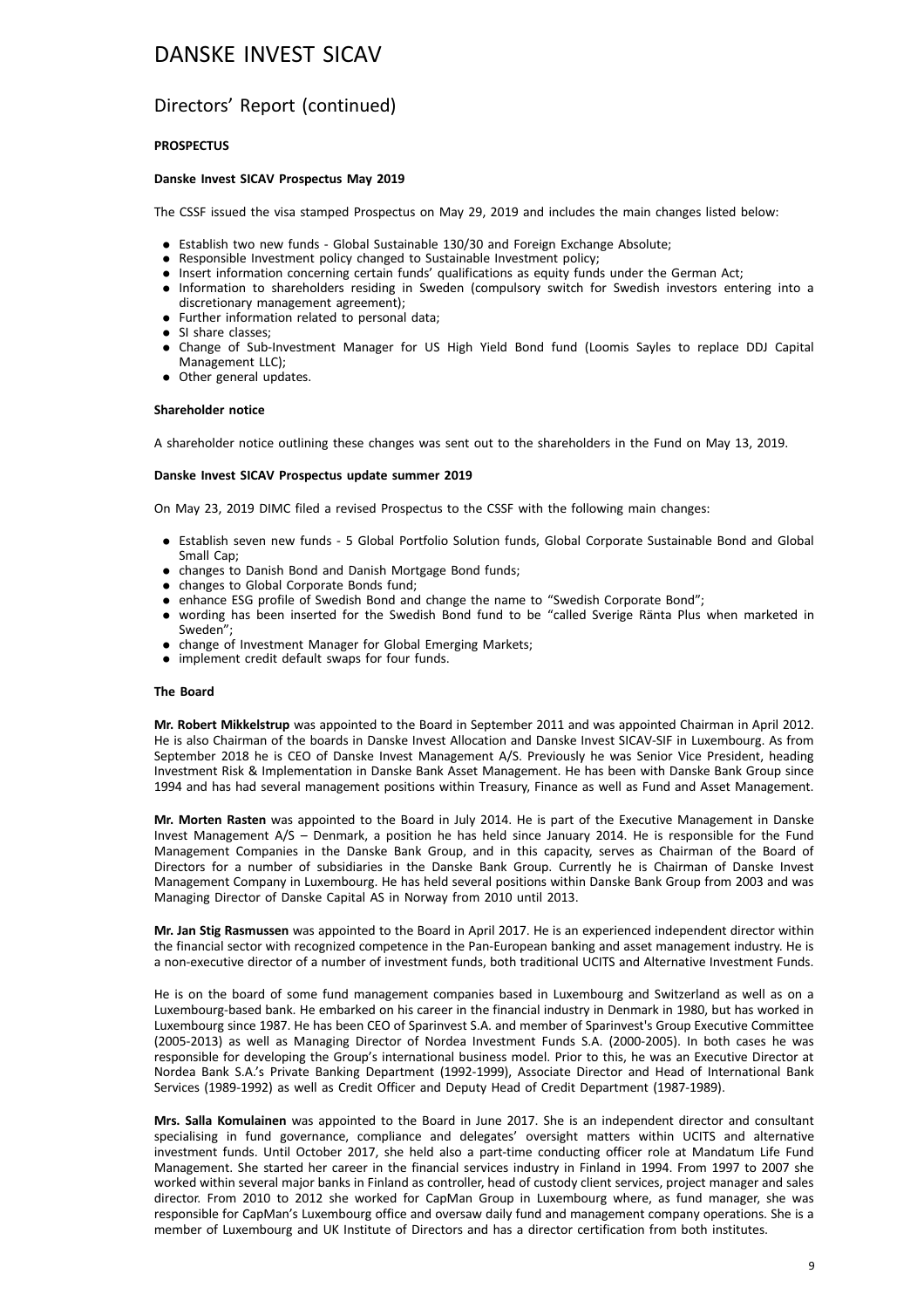#### Directors' Report (continued)

#### **PROSPECTUS**

#### **Danske Invest SICAV Prospectus May 2019**

The CSSF issued the visa stamped Prospectus on May 29, 2019 and includes the main changes listed below:

- . Establish two new funds Global Sustainable 130/30 and Foreign Exchange Absolute;
- . Responsible Investment policy changed to Sustainable Investment policy;
- . Insert information concerning certain funds' qualifications as equity funds under the German Act;
- . Information to shareholders residing in Sweden (compulsory switch for Swedish investors entering into a discretionary management agreement);
- . Further information related to personal data;
- . SI share classes;
- . Change of Sub-Investment Manager for US High Yield Bond fund (Loomis Sayles to replace DDJ Capital Management LLC);
- . Other general updates.

#### **Shareholder notice**

A shareholder notice outlining these changes was sent out to the shareholders in the Fund on May 13, 2019.

#### **Danske Invest SICAV Prospectus update summer 2019**

On May 23, 2019 DIMC filed a revised Prospectus to the CSSF with the following main changes:

- . Establish seven new funds 5 Global Portfolio Solution funds, Global Corporate Sustainable Bond and Global Small Cap;
- . changes to Danish Bond and Danish Mortgage Bond funds;
- changes to Global Corporate Bonds fund;
- . enhance ESG profile of Swedish Bond and change the name to "Swedish Corporate Bond";
- . wording has been inserted for the Swedish Bond fund to be "called Sverige Ränta Plus when marketed in Sweden";
- . change of Investment Manager for Global Emerging Markets;
- . implement credit default swaps for four funds.

#### **The Board**

**Mr. Robert Mikkelstrup** was appointed to the Board in September 2011 and was appointed Chairman in April 2012. He is also Chairman of the boards in Danske Invest Allocation and Danske Invest SICAV-SIF in Luxembourg. As from September 2018 he is CEO of Danske Invest Management A/S. Previously he was Senior Vice President, heading Investment Risk & Implementation in Danske Bank Asset Management. He has been with Danske Bank Group since 1994 and has had several management positions within Treasury, Finance as well as Fund and Asset Management.

**Mr. Morten Rasten** was appointed to the Board in July 2014. He is part of the Executive Management in Danske Invest Management A/S – Denmark, a position he has held since January 2014. He is responsible for the Fund Management Companies in the Danske Bank Group, and in this capacity, serves as Chairman of the Board of Directors for a number of subsidiaries in the Danske Bank Group. Currently he is Chairman of Danske Invest Management Company in Luxembourg. He has held several positions within Danske Bank Group from 2003 and was Managing Director of Danske Capital AS in Norway from 2010 until 2013.

**Mr. Jan Stig Rasmussen** was appointed to the Board in April 2017. He is an experienced independent director within the financial sector with recognized competence in the Pan-European banking and asset management industry. He is a non-executive director of a number of investment funds, both traditional UCITS and Alternative Investment Funds.

He is on the board of some fund management companies based in Luxembourg and Switzerland as well as on a Luxembourg-based bank. He embarked on his career in the financial industry in Denmark in 1980, but has worked in Luxembourg since 1987. He has been CEO of Sparinvest S.A. and member of Sparinvest's Group Executive Committee (2005-2013) as well as Managing Director of Nordea Investment Funds S.A. (2000-2005). In both cases he was responsible for developing the Group's international business model. Prior to this, he was an Executive Director at Nordea Bank S.A.'s Private Banking Department (1992-1999), Associate Director and Head of International Bank Services (1989-1992) as well as Credit Officer and Deputy Head of Credit Department (1987-1989).

**Mrs. Salla Komulainen** was appointed to the Board in June 2017. She is an independent director and consultant specialising in fund governance, compliance and delegates' oversight matters within UCITS and alternative investment funds. Until October 2017, she held also a part-time conducting officer role at Mandatum Life Fund Management. She started her career in the financial services industry in Finland in 1994. From 1997 to 2007 she worked within several major banks in Finland as controller, head of custody client services, project manager and sales director. From 2010 to 2012 she worked for CapMan Group in Luxembourg where, as fund manager, she was responsible for CapMan's Luxembourg office and oversaw daily fund and management company operations. She is a member of Luxembourg and UK Institute of Directors and has a director certification from both institutes.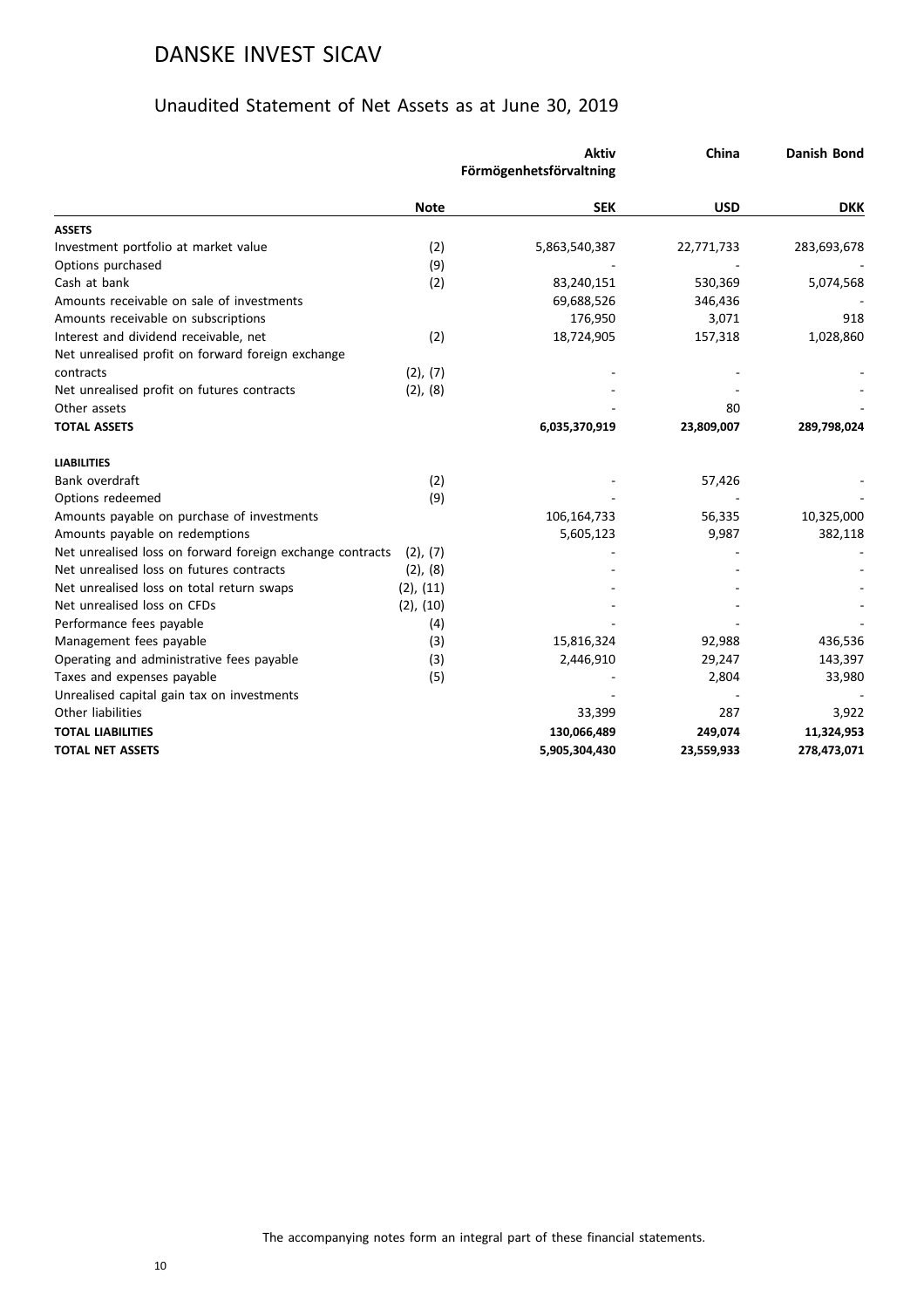### Unaudited Statement of Net Assets as at June 30, 2019

|                                                           |                | <b>Aktiv</b><br>Förmögenhetsförvaltning | China      | <b>Danish Bond</b> |
|-----------------------------------------------------------|----------------|-----------------------------------------|------------|--------------------|
|                                                           | <b>Note</b>    | <b>SEK</b>                              | <b>USD</b> | <b>DKK</b>         |
| <b>ASSETS</b>                                             |                |                                         |            |                    |
| Investment portfolio at market value                      | (2)            | 5,863,540,387                           | 22,771,733 | 283,693,678        |
| Options purchased                                         | (9)            |                                         |            |                    |
| Cash at bank                                              | (2)            | 83,240,151                              | 530,369    | 5,074,568          |
| Amounts receivable on sale of investments                 |                | 69,688,526                              | 346,436    |                    |
| Amounts receivable on subscriptions                       |                | 176,950                                 | 3,071      | 918                |
| Interest and dividend receivable, net                     | (2)            | 18,724,905                              | 157,318    | 1,028,860          |
| Net unrealised profit on forward foreign exchange         |                |                                         |            |                    |
| contracts                                                 | (2), (7)       |                                         |            |                    |
| Net unrealised profit on futures contracts                | (2), (8)       |                                         |            |                    |
| Other assets                                              |                |                                         | 80         |                    |
| <b>TOTAL ASSETS</b>                                       |                | 6,035,370,919                           | 23,809,007 | 289,798,024        |
| <b>LIABILITIES</b>                                        |                |                                         |            |                    |
| Bank overdraft                                            | (2)            |                                         | 57,426     |                    |
| Options redeemed                                          | (9)            |                                         |            |                    |
| Amounts payable on purchase of investments                |                | 106,164,733                             | 56,335     | 10,325,000         |
| Amounts payable on redemptions                            |                | 5,605,123                               | 9,987      | 382,118            |
| Net unrealised loss on forward foreign exchange contracts | $(2)$ , $(7)$  |                                         |            |                    |
| Net unrealised loss on futures contracts                  | (2), (8)       |                                         |            |                    |
| Net unrealised loss on total return swaps                 | $(2)$ , $(11)$ |                                         |            |                    |
| Net unrealised loss on CFDs                               | $(2)$ , $(10)$ |                                         |            |                    |
| Performance fees payable                                  | (4)            |                                         |            |                    |
| Management fees payable                                   | (3)            | 15,816,324                              | 92,988     | 436,536            |
| Operating and administrative fees payable                 | (3)            | 2,446,910                               | 29,247     | 143,397            |
| Taxes and expenses payable                                | (5)            |                                         | 2,804      | 33,980             |
| Unrealised capital gain tax on investments                |                |                                         |            |                    |
| Other liabilities                                         |                | 33,399                                  | 287        | 3,922              |
| <b>TOTAL LIABILITIES</b>                                  |                | 130,066,489                             | 249,074    | 11,324,953         |
| <b>TOTAL NET ASSETS</b>                                   |                | 5,905,304,430                           | 23,559,933 | 278,473,071        |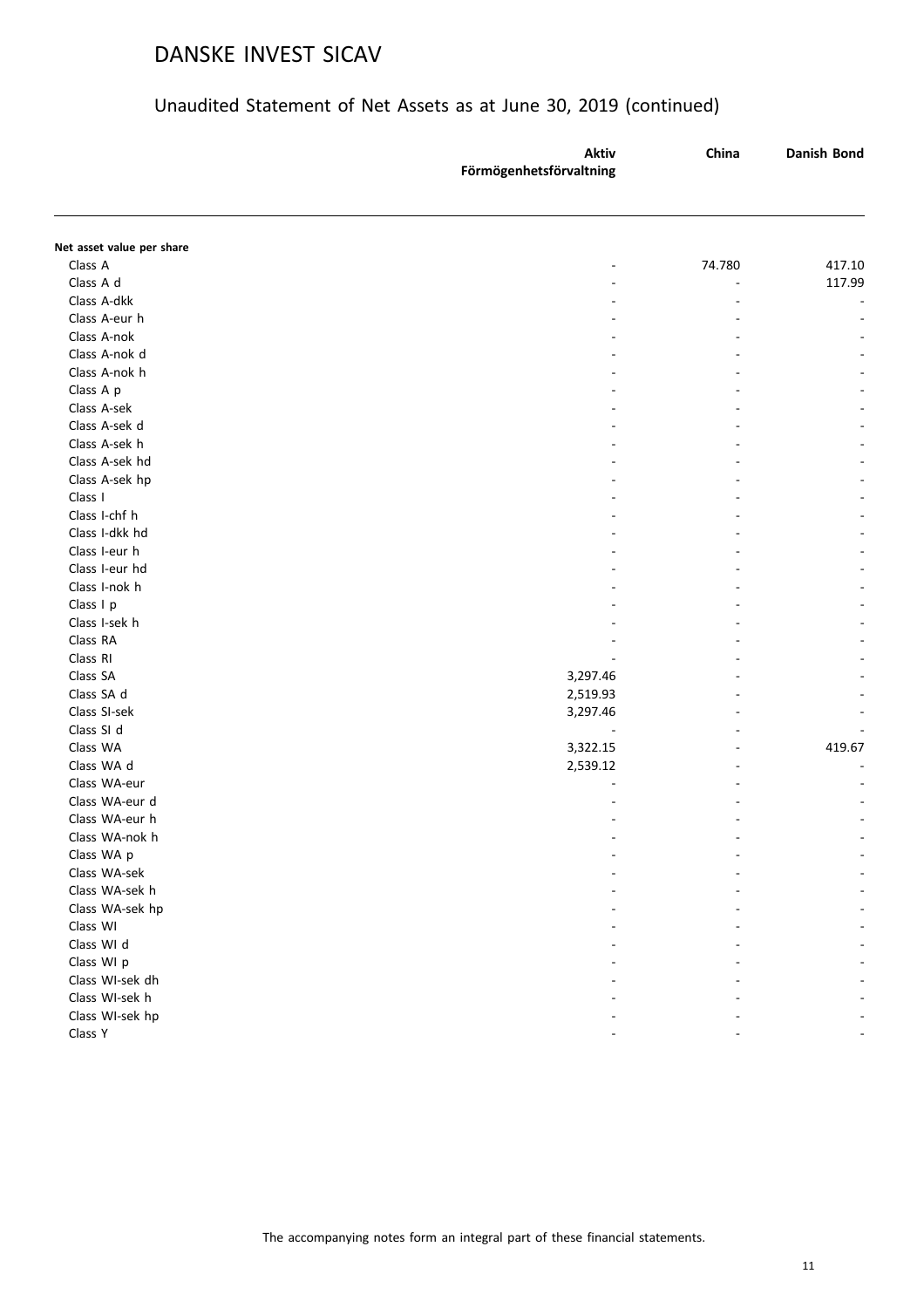|                           | <b>Aktiv</b>            | China  | Danish Bond |
|---------------------------|-------------------------|--------|-------------|
|                           | Förmögenhetsförvaltning |        |             |
|                           |                         |        |             |
| Net asset value per share |                         |        |             |
| Class A                   |                         | 74.780 | 417.10      |
| Class A d                 |                         | $\sim$ | 117.99      |
| Class A-dkk               |                         |        |             |
| Class A-eur h             |                         |        |             |
| Class A-nok               |                         |        |             |
| Class A-nok d             |                         |        |             |
| Class A-nok h             |                         |        |             |
| Class A p                 |                         |        |             |
| Class A-sek               |                         |        |             |
| Class A-sek d             |                         |        |             |
| Class A-sek h             |                         |        |             |
| Class A-sek hd            |                         |        |             |
| Class A-sek hp            |                         |        |             |
| Class I                   |                         |        |             |
| Class I-chf h             |                         |        |             |
| Class I-dkk hd            |                         |        |             |
| Class I-eur h             |                         |        |             |
| Class I-eur hd            |                         |        |             |
| Class I-nok h             |                         |        |             |
| Class I p                 |                         |        |             |
| Class I-sek h             |                         |        |             |
| Class RA                  |                         |        |             |
| Class RI                  |                         |        |             |
| Class SA                  | 3,297.46                |        |             |
| Class SA d                | 2,519.93                |        |             |
| Class SI-sek              | 3,297.46                |        |             |
| Class SI d                |                         |        |             |
| Class WA                  | 3,322.15                |        | 419.67      |
| Class WA d                | 2,539.12                |        |             |
| Class WA-eur              |                         |        |             |
| Class WA-eur d            |                         |        |             |
| Class WA-eur h            |                         |        |             |
| Class WA-nok h            |                         |        |             |
| Class WA p                |                         |        |             |
| Class WA-sek              |                         |        |             |
| Class WA-sek h            |                         |        |             |
| Class WA-sek hp           |                         |        |             |
| Class WI                  |                         |        |             |
| Class WI d                |                         |        |             |
| Class WI p                |                         |        |             |
| Class WI-sek dh           |                         |        |             |
| Class WI-sek h            |                         |        |             |
| Class WI-sek hp           |                         |        |             |
| Class Y                   |                         |        |             |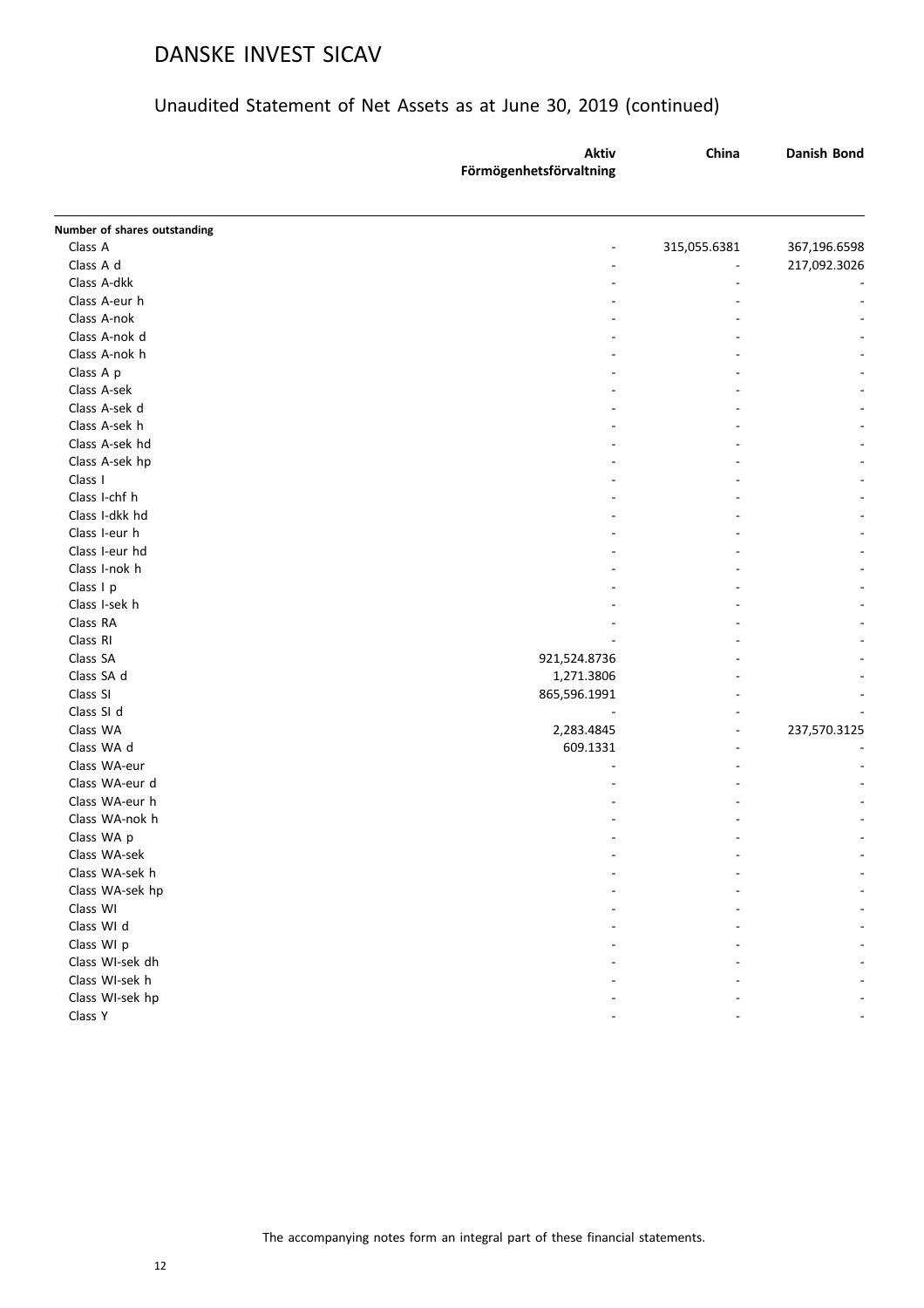|                              | <b>Aktiv</b>            | China                    | Danish Bond  |
|------------------------------|-------------------------|--------------------------|--------------|
|                              | Förmögenhetsförvaltning |                          |              |
| Number of shares outstanding |                         |                          |              |
| Class A                      | -                       | 315,055.6381             | 367,196.6598 |
| Class A d                    |                         |                          | 217,092.3026 |
| Class A-dkk                  | ۰                       |                          |              |
| Class A-eur h                |                         |                          |              |
| Class A-nok                  |                         |                          |              |
| Class A-nok d                |                         |                          |              |
| Class A-nok h                |                         |                          |              |
| Class A p                    |                         |                          |              |
| Class A-sek                  |                         |                          |              |
| Class A-sek d                |                         |                          |              |
| Class A-sek h                |                         |                          |              |
| Class A-sek hd               |                         |                          |              |
| Class A-sek hp               |                         |                          |              |
| Class I                      |                         |                          |              |
| Class I-chf h                |                         |                          |              |
| Class I-dkk hd               |                         |                          |              |
| Class I-eur h                |                         |                          |              |
| Class I-eur hd               |                         |                          |              |
| Class I-nok h                |                         |                          |              |
| Class I p                    |                         |                          |              |
| Class I-sek h                |                         |                          |              |
| Class RA                     |                         |                          |              |
| Class RI                     |                         |                          |              |
| Class SA                     | 921,524.8736            |                          |              |
| Class SA d                   | 1,271.3806              |                          |              |
| Class SI                     | 865,596.1991            |                          |              |
| Class SI d                   |                         |                          |              |
| Class WA                     | 2,283.4845              | $\overline{\phantom{m}}$ | 237,570.3125 |
| Class WA d                   | 609.1331                | ۰                        |              |
| Class WA-eur                 |                         |                          |              |
| Class WA-eur d               |                         |                          |              |
| Class WA-eur h               |                         |                          |              |
| Class WA-nok h               |                         |                          |              |
| Class WA p                   |                         |                          |              |
| Class WA-sek                 |                         |                          |              |
| Class WA-sek h               |                         |                          |              |
| Class WA-sek hp              |                         |                          |              |
| Class WI                     |                         |                          |              |
| Class WI d                   |                         |                          |              |
| Class WI p                   |                         |                          |              |
| Class WI-sek dh              |                         |                          |              |
| Class WI-sek h               |                         |                          |              |
| Class WI-sek hp              |                         |                          |              |
| Class Y                      |                         |                          |              |
|                              |                         |                          |              |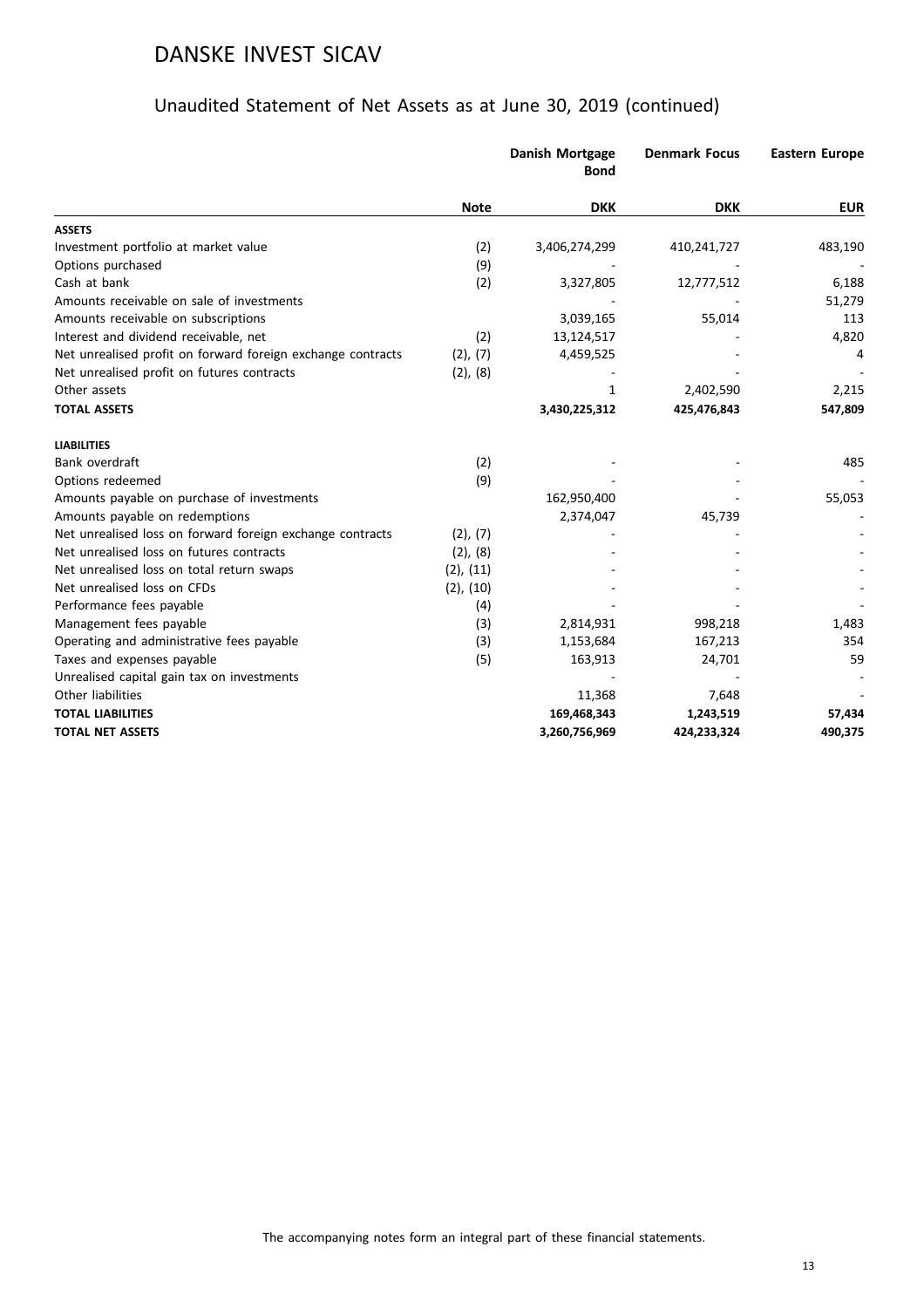|                                                             |                | Danish Mortgage<br><b>Bond</b> | <b>Denmark Focus</b> | <b>Eastern Europe</b> |
|-------------------------------------------------------------|----------------|--------------------------------|----------------------|-----------------------|
|                                                             | <b>Note</b>    | <b>DKK</b>                     | <b>DKK</b>           | <b>EUR</b>            |
| <b>ASSETS</b>                                               |                |                                |                      |                       |
| Investment portfolio at market value                        | (2)            | 3,406,274,299                  | 410,241,727          | 483,190               |
| Options purchased                                           | (9)            |                                |                      |                       |
| Cash at bank                                                | (2)            | 3,327,805                      | 12,777,512           | 6,188                 |
| Amounts receivable on sale of investments                   |                |                                |                      | 51,279                |
| Amounts receivable on subscriptions                         |                | 3,039,165                      | 55,014               | 113                   |
| Interest and dividend receivable, net                       | (2)            | 13,124,517                     |                      | 4,820                 |
| Net unrealised profit on forward foreign exchange contracts | (2), (7)       | 4,459,525                      |                      | 4                     |
| Net unrealised profit on futures contracts                  | (2), (8)       |                                |                      |                       |
| Other assets                                                |                | 1                              | 2,402,590            | 2,215                 |
| <b>TOTAL ASSETS</b>                                         |                | 3,430,225,312                  | 425,476,843          | 547,809               |
| <b>LIABILITIES</b>                                          |                |                                |                      |                       |
| Bank overdraft                                              | (2)            |                                |                      | 485                   |
| Options redeemed                                            | (9)            |                                |                      |                       |
| Amounts payable on purchase of investments                  |                | 162,950,400                    |                      | 55,053                |
| Amounts payable on redemptions                              |                | 2,374,047                      | 45,739               |                       |
| Net unrealised loss on forward foreign exchange contracts   | (2), (7)       |                                |                      |                       |
| Net unrealised loss on futures contracts                    | $(2)$ , $(8)$  |                                |                      |                       |
| Net unrealised loss on total return swaps                   | $(2)$ , $(11)$ |                                |                      |                       |
| Net unrealised loss on CFDs                                 | $(2)$ , $(10)$ |                                |                      |                       |
| Performance fees payable                                    | (4)            |                                |                      |                       |
| Management fees payable                                     | (3)            | 2,814,931                      | 998,218              | 1,483                 |
| Operating and administrative fees payable                   | (3)            | 1,153,684                      | 167,213              | 354                   |
| Taxes and expenses payable                                  | (5)            | 163,913                        | 24,701               | 59                    |
| Unrealised capital gain tax on investments                  |                |                                |                      |                       |
| Other liabilities                                           |                | 11,368                         | 7,648                |                       |
| <b>TOTAL LIABILITIES</b>                                    |                | 169,468,343                    | 1,243,519            | 57,434                |
| <b>TOTAL NET ASSETS</b>                                     |                | 3,260,756,969                  | 424,233,324          | 490,375               |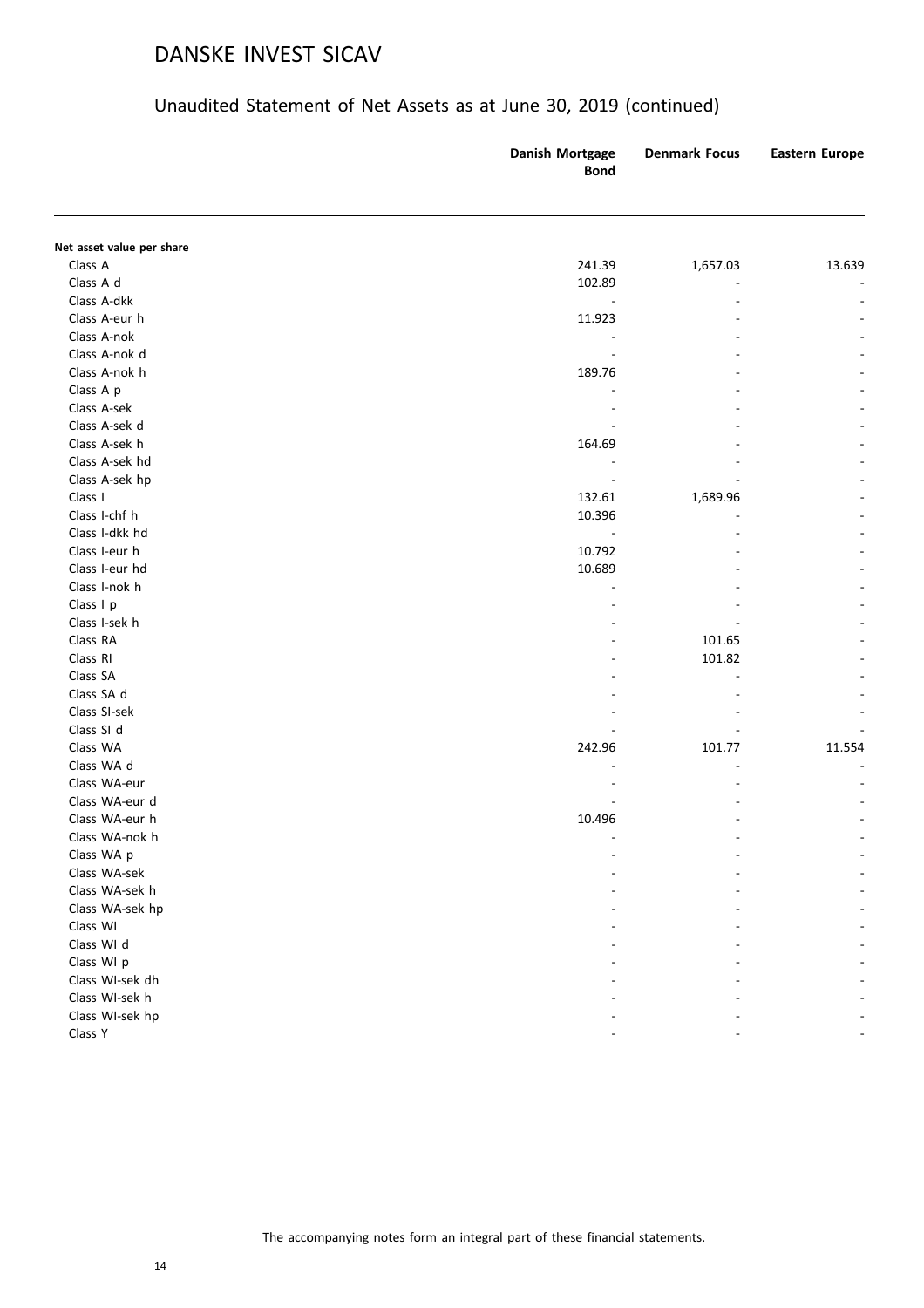|                           | Danish Mortgage<br><b>Bond</b> | <b>Denmark Focus</b> | <b>Eastern Europe</b> |
|---------------------------|--------------------------------|----------------------|-----------------------|
|                           |                                |                      |                       |
| Net asset value per share |                                |                      |                       |
| Class A<br>Class A d      | 241.39<br>102.89               | 1,657.03             | 13.639                |
| Class A-dkk               | $\overline{a}$                 |                      |                       |
| Class A-eur h             | 11.923                         |                      |                       |
| Class A-nok               |                                |                      |                       |
| Class A-nok d             |                                |                      |                       |
| Class A-nok h             | 189.76                         |                      |                       |
| Class A p                 |                                |                      |                       |
| Class A-sek               |                                |                      |                       |
| Class A-sek d             |                                |                      |                       |
| Class A-sek h             | 164.69                         |                      |                       |
| Class A-sek hd            |                                |                      |                       |
| Class A-sek hp            |                                |                      |                       |
| Class I                   | 132.61                         | 1,689.96             |                       |
| Class I-chf h             | 10.396                         |                      |                       |
| Class I-dkk hd            |                                |                      |                       |
| Class I-eur h             | 10.792                         |                      |                       |
| Class I-eur hd            | 10.689                         |                      |                       |
| Class I-nok h             |                                |                      |                       |
| Class I p                 |                                |                      |                       |
| Class I-sek h             |                                |                      |                       |
| Class RA                  |                                | 101.65               |                       |
| Class RI                  |                                | 101.82               |                       |
| Class SA                  |                                |                      |                       |
| Class SA d                |                                |                      |                       |
| Class SI-sek              |                                |                      |                       |
| Class SI d                |                                |                      |                       |
| Class WA                  | 242.96                         | 101.77               | 11.554                |
| Class WA d                |                                |                      |                       |
| Class WA-eur              |                                |                      |                       |
| Class WA-eur d            |                                |                      |                       |
| Class WA-eur h            | 10.496                         |                      |                       |
| Class WA-nok h            |                                |                      |                       |
| Class WA p                |                                |                      |                       |
| Class WA-sek              |                                |                      |                       |
| Class WA-sek h            |                                |                      |                       |
| Class WA-sek hp           |                                |                      |                       |
| Class WI                  |                                |                      |                       |
| Class WI d                |                                |                      |                       |
| Class WI p                |                                |                      |                       |
| Class WI-sek dh           |                                |                      |                       |
| Class WI-sek h            |                                |                      |                       |
| Class WI-sek hp           |                                |                      |                       |
| Class Y                   |                                |                      |                       |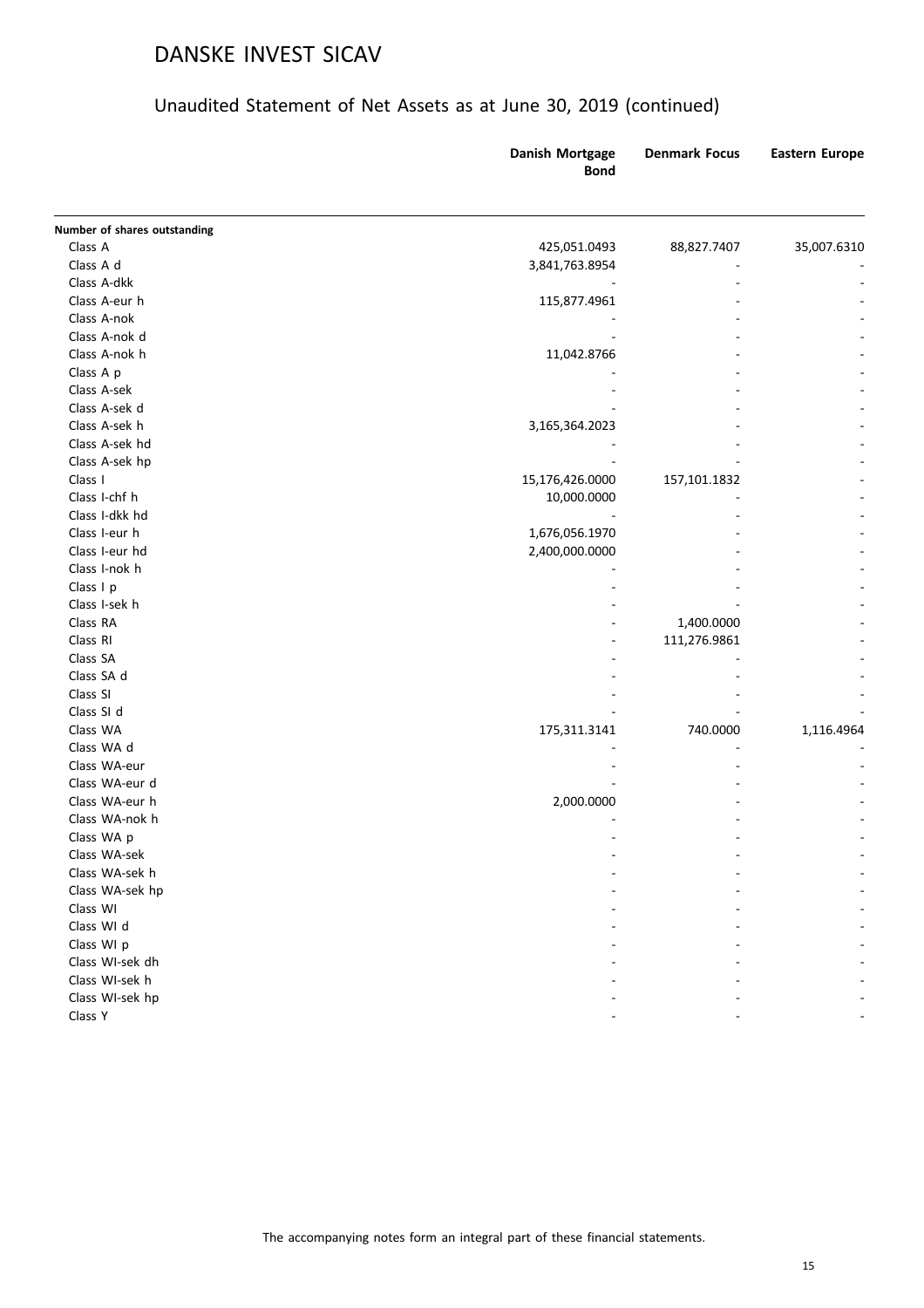|                              | <b>Danish Mortgage</b><br><b>Bond</b> | <b>Denmark Focus</b> | <b>Eastern Europe</b> |
|------------------------------|---------------------------------------|----------------------|-----------------------|
| Number of shares outstanding |                                       |                      |                       |
| Class A                      | 425,051.0493                          | 88,827.7407          | 35,007.6310           |
| Class A d                    | 3,841,763.8954                        |                      |                       |
| Class A-dkk                  |                                       |                      |                       |
| Class A-eur h                | 115,877.4961                          |                      |                       |
| Class A-nok                  |                                       |                      |                       |
| Class A-nok d                |                                       |                      |                       |
| Class A-nok h                | 11,042.8766                           |                      |                       |
| Class A p                    |                                       |                      |                       |
| Class A-sek                  |                                       |                      |                       |
| Class A-sek d                |                                       |                      |                       |
| Class A-sek h                | 3,165,364.2023                        |                      |                       |
| Class A-sek hd               |                                       |                      |                       |
| Class A-sek hp               |                                       |                      |                       |
| Class I                      | 15,176,426.0000                       | 157,101.1832         |                       |
| Class I-chf h                | 10,000.0000                           |                      |                       |
| Class I-dkk hd               |                                       |                      |                       |
| Class I-eur h                | 1,676,056.1970                        |                      |                       |
| Class I-eur hd               | 2,400,000.0000                        |                      |                       |
| Class I-nok h                |                                       |                      |                       |
| Class I p                    |                                       |                      |                       |
| Class I-sek h                |                                       |                      |                       |
| Class RA                     |                                       | 1,400.0000           |                       |
| Class RI                     |                                       | 111,276.9861         |                       |
| Class SA                     |                                       |                      |                       |
| Class SA d                   |                                       |                      |                       |
| Class SI                     |                                       |                      |                       |
| Class SI d                   |                                       |                      |                       |
| Class WA                     | 175,311.3141                          | 740.0000             | 1,116.4964            |
| Class WA d                   |                                       |                      |                       |
| Class WA-eur                 |                                       |                      |                       |
| Class WA-eur d               |                                       |                      |                       |
| Class WA-eur h               | 2,000.0000                            |                      |                       |
| Class WA-nok h               |                                       |                      |                       |
| Class WA p                   |                                       |                      |                       |
| Class WA-sek                 |                                       |                      |                       |
| Class WA-sek h               |                                       |                      |                       |
| Class WA-sek hp              |                                       |                      |                       |
| Class WI                     |                                       |                      |                       |
| Class WI d                   |                                       |                      |                       |
| Class WI p                   |                                       |                      |                       |
| Class WI-sek dh              |                                       |                      |                       |
| Class WI-sek h               |                                       |                      |                       |
| Class WI-sek hp              |                                       |                      |                       |
| Class Y                      |                                       |                      |                       |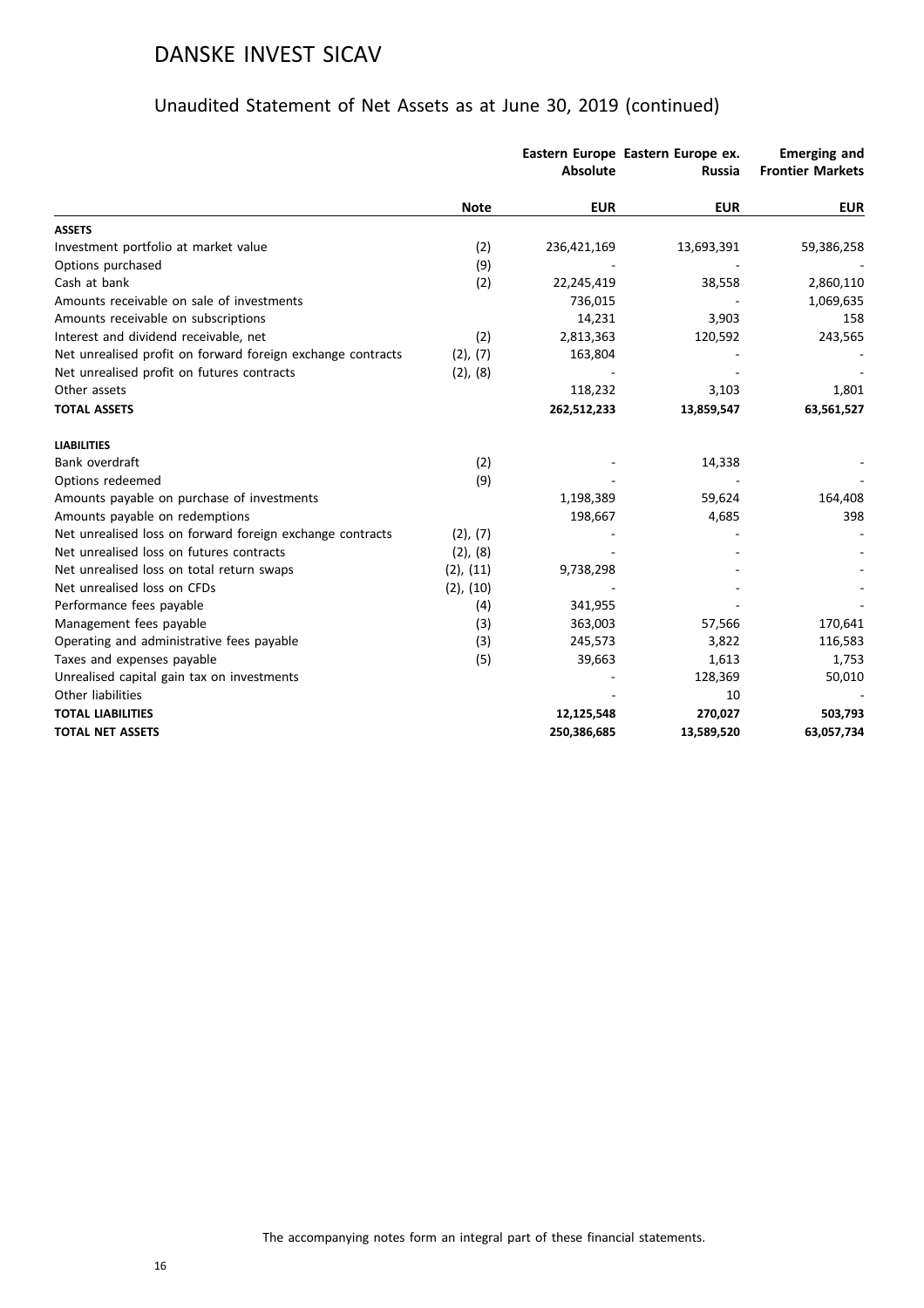|                                                             |                | <b>Absolute</b> | Eastern Europe Eastern Europe ex.<br><b>Russia</b> | <b>Emerging and</b><br><b>Frontier Markets</b> |
|-------------------------------------------------------------|----------------|-----------------|----------------------------------------------------|------------------------------------------------|
|                                                             | <b>Note</b>    | <b>EUR</b>      | <b>EUR</b>                                         | <b>EUR</b>                                     |
| <b>ASSETS</b>                                               |                |                 |                                                    |                                                |
| Investment portfolio at market value                        | (2)            | 236,421,169     | 13,693,391                                         | 59,386,258                                     |
| Options purchased                                           | (9)            |                 |                                                    |                                                |
| Cash at bank                                                | (2)            | 22,245,419      | 38,558                                             | 2,860,110                                      |
| Amounts receivable on sale of investments                   |                | 736,015         |                                                    | 1,069,635                                      |
| Amounts receivable on subscriptions                         |                | 14,231          | 3,903                                              | 158                                            |
| Interest and dividend receivable, net                       | (2)            | 2,813,363       | 120,592                                            | 243,565                                        |
| Net unrealised profit on forward foreign exchange contracts | (2), (7)       | 163,804         |                                                    |                                                |
| Net unrealised profit on futures contracts                  | (2), (8)       |                 |                                                    |                                                |
| Other assets                                                |                | 118,232         | 3,103                                              | 1,801                                          |
| <b>TOTAL ASSETS</b>                                         |                | 262,512,233     | 13,859,547                                         | 63,561,527                                     |
| <b>LIABILITIES</b>                                          |                |                 |                                                    |                                                |
| Bank overdraft                                              | (2)            |                 | 14,338                                             |                                                |
| Options redeemed                                            | (9)            |                 |                                                    |                                                |
| Amounts payable on purchase of investments                  |                | 1,198,389       | 59,624                                             | 164,408                                        |
| Amounts payable on redemptions                              |                | 198,667         | 4,685                                              | 398                                            |
| Net unrealised loss on forward foreign exchange contracts   | (2), (7)       |                 |                                                    |                                                |
| Net unrealised loss on futures contracts                    | $(2)$ , $(8)$  |                 |                                                    |                                                |
| Net unrealised loss on total return swaps                   | $(2)$ , $(11)$ | 9,738,298       |                                                    |                                                |
| Net unrealised loss on CFDs                                 | $(2)$ , $(10)$ |                 |                                                    |                                                |
| Performance fees payable                                    | (4)            | 341,955         |                                                    |                                                |
| Management fees payable                                     | (3)            | 363,003         | 57,566                                             | 170,641                                        |
| Operating and administrative fees payable                   | (3)            | 245,573         | 3,822                                              | 116,583                                        |
| Taxes and expenses payable                                  | (5)            | 39,663          | 1,613                                              | 1,753                                          |
| Unrealised capital gain tax on investments                  |                |                 | 128,369                                            | 50,010                                         |
| Other liabilities                                           |                |                 | 10                                                 |                                                |
| <b>TOTAL LIABILITIES</b>                                    |                | 12,125,548      | 270,027                                            | 503,793                                        |
| <b>TOTAL NET ASSETS</b>                                     |                | 250,386,685     | 13,589,520                                         | 63,057,734                                     |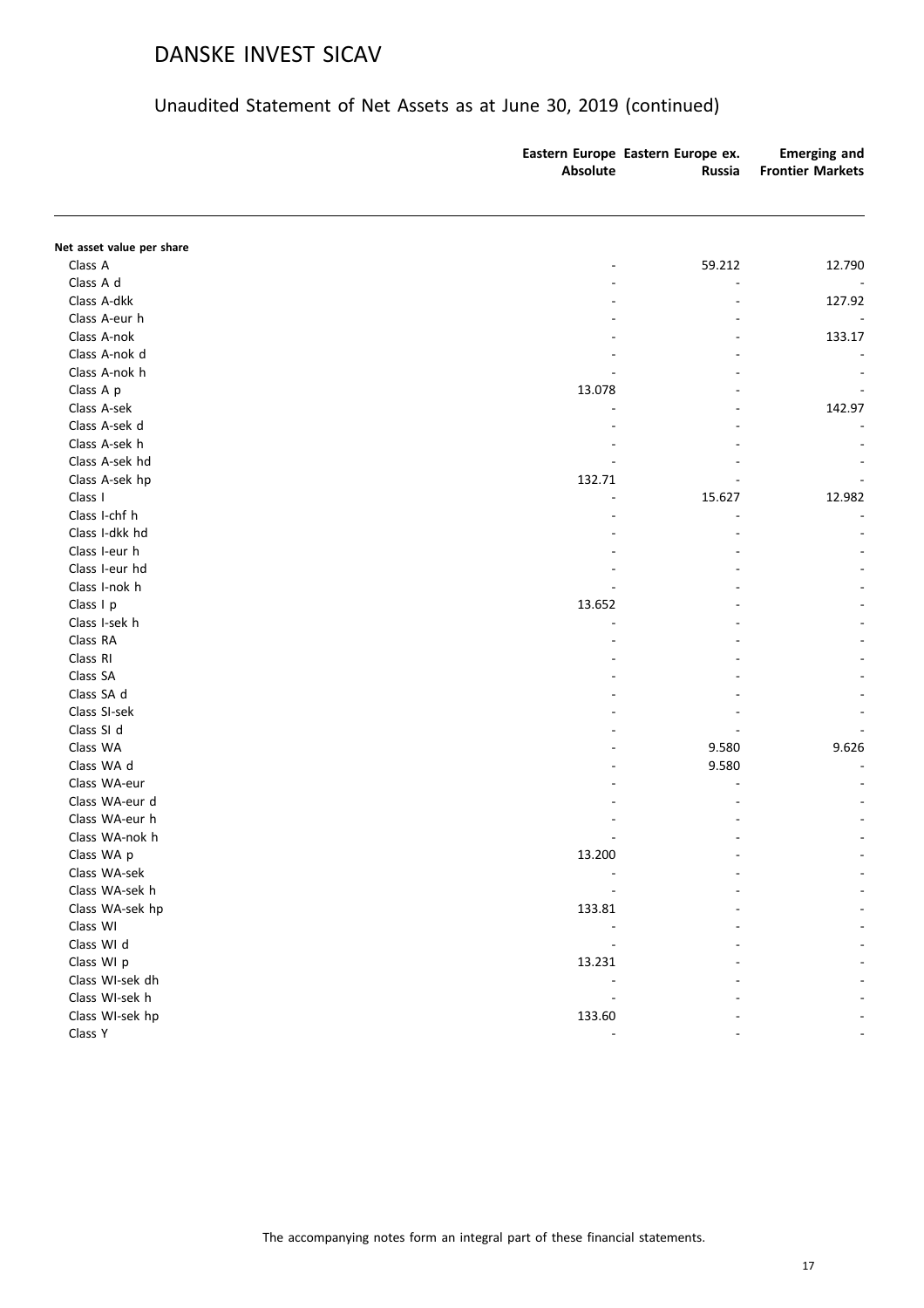|                           | Absolute | Eastern Europe Eastern Europe ex.<br>Russia | <b>Emerging and</b><br><b>Frontier Markets</b> |
|---------------------------|----------|---------------------------------------------|------------------------------------------------|
|                           |          |                                             |                                                |
| Net asset value per share |          |                                             |                                                |
| Class A                   |          | 59.212                                      | 12.790                                         |
| Class A d                 |          |                                             |                                                |
| Class A-dkk               |          |                                             | 127.92                                         |
| Class A-eur h             |          |                                             |                                                |
| Class A-nok               |          |                                             | 133.17                                         |
| Class A-nok d             |          |                                             |                                                |
| Class A-nok h             |          |                                             |                                                |
| Class A p                 | 13.078   |                                             |                                                |
| Class A-sek               |          |                                             | 142.97                                         |
| Class A-sek d             |          |                                             |                                                |
| Class A-sek h             |          |                                             |                                                |
| Class A-sek hd            |          |                                             |                                                |
| Class A-sek hp            | 132.71   |                                             |                                                |
| Class I                   |          | 15.627                                      | 12.982                                         |
| Class I-chf h             |          |                                             |                                                |
| Class I-dkk hd            |          |                                             |                                                |
| Class I-eur h             |          |                                             |                                                |
| Class I-eur hd            |          |                                             |                                                |
| Class I-nok h             |          |                                             |                                                |
| Class I p                 | 13.652   |                                             |                                                |
| Class I-sek h             |          |                                             |                                                |
| Class RA                  |          |                                             |                                                |
| Class RI                  |          |                                             |                                                |
| Class SA                  |          |                                             |                                                |
| Class SA d                |          |                                             |                                                |
| Class SI-sek              |          |                                             |                                                |
| Class SI d                |          |                                             |                                                |
| Class WA                  |          | 9.580                                       | 9.626                                          |
| Class WA d                |          | 9.580                                       |                                                |
| Class WA-eur              |          |                                             |                                                |
| Class WA-eur d            |          |                                             |                                                |
| Class WA-eur h            |          |                                             |                                                |
| Class WA-nok h            |          |                                             |                                                |
| Class WA p                | 13.200   |                                             |                                                |
| Class WA-sek              |          |                                             |                                                |
| Class WA-sek h            |          |                                             |                                                |
| Class WA-sek hp           | 133.81   |                                             |                                                |
| Class WI                  |          |                                             |                                                |
| Class WI d                |          |                                             |                                                |
| Class WI p                | 13.231   |                                             |                                                |
| Class WI-sek dh           |          |                                             |                                                |
| Class WI-sek h            |          |                                             |                                                |
| Class WI-sek hp           | 133.60   |                                             |                                                |
| Class Y                   |          |                                             |                                                |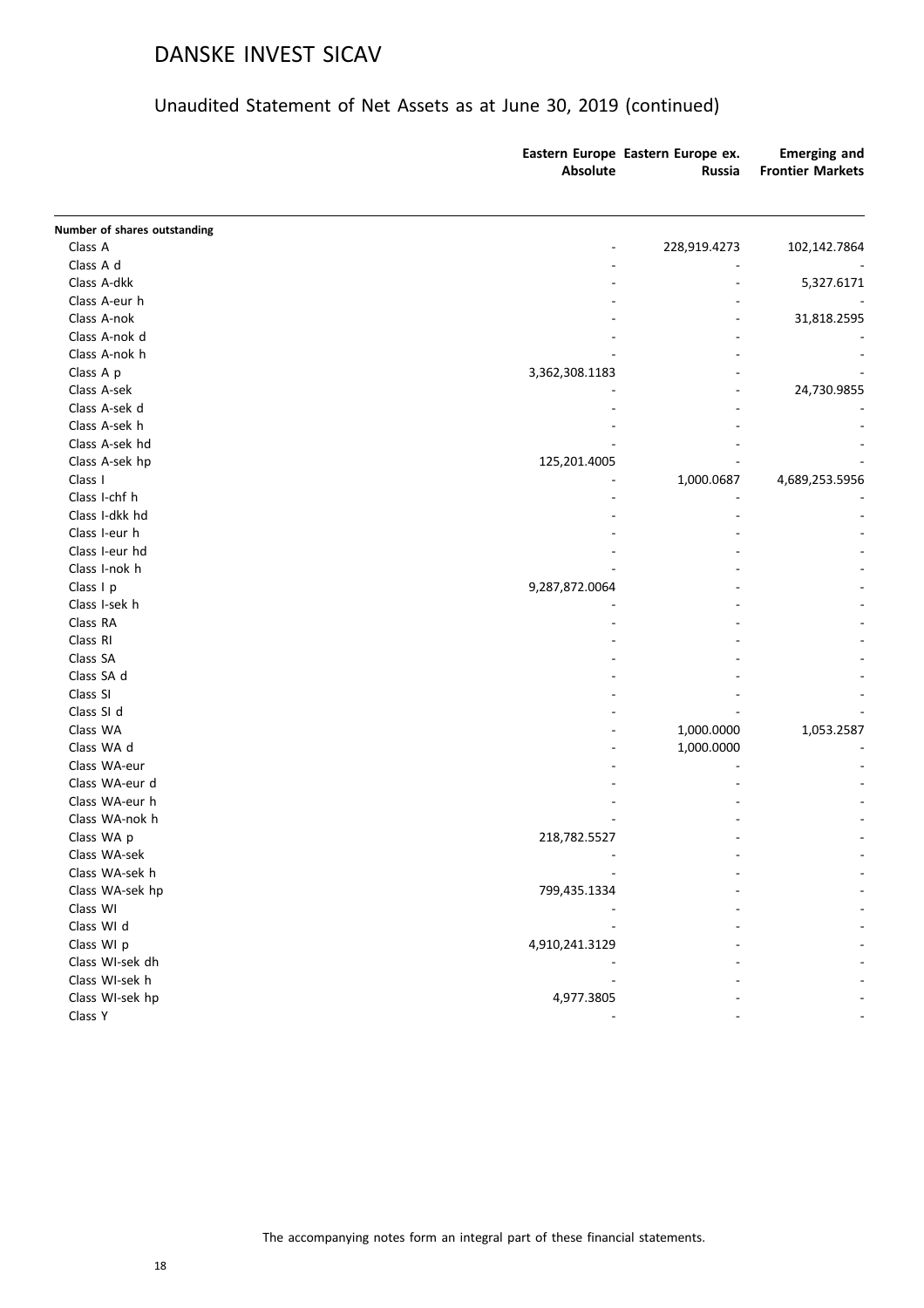| Number of shares outstanding<br>Class A<br>228,919.4273<br>Class A d<br>Class A-dkk<br>Class A-eur h<br>Class A-nok<br>Class A-nok d<br>Class A-nok h<br>Class A p<br>3,362,308.1183<br>Class A-sek<br>Class A-sek d<br>Class A-sek h<br>Class A-sek hd<br>Class A-sek hp<br>125,201.4005<br>Class I<br>1,000.0687<br>Class I-chf h<br>Class I-dkk hd<br>Class I-eur h<br>Class I-eur hd<br>Class I-nok h<br>Class I p<br>9,287,872.0064<br>Class I-sek h<br>Class RA<br>Class RI<br>Class SA<br>Class SA d<br>Class SI<br>Class SI d<br>Class WA<br>1,000.0000<br>Class WA d<br>1,000.0000<br>Class WA-eur<br>Class WA-eur d<br>Class WA-eur h<br>Class WA-nok h<br>Class WA p<br>218,782.5527<br>Class WA-sek<br>Class WA-sek h<br>Class WA-sek hp<br>799,435.1334<br>Class WI<br>Class WI d<br>Class WI p<br>4,910,241.3129<br>Class WI-sek dh<br>Class WI-sek h<br>4,977.3805<br>Class WI-sek hp<br>Class Y | <b>Absolute</b> | Eastern Europe Eastern Europe ex.<br><b>Russia</b> | <b>Emerging and</b><br><b>Frontier Markets</b> |
|-----------------------------------------------------------------------------------------------------------------------------------------------------------------------------------------------------------------------------------------------------------------------------------------------------------------------------------------------------------------------------------------------------------------------------------------------------------------------------------------------------------------------------------------------------------------------------------------------------------------------------------------------------------------------------------------------------------------------------------------------------------------------------------------------------------------------------------------------------------------------------------------------------------------|-----------------|----------------------------------------------------|------------------------------------------------|
|                                                                                                                                                                                                                                                                                                                                                                                                                                                                                                                                                                                                                                                                                                                                                                                                                                                                                                                 |                 |                                                    |                                                |
|                                                                                                                                                                                                                                                                                                                                                                                                                                                                                                                                                                                                                                                                                                                                                                                                                                                                                                                 |                 |                                                    | 102,142.7864                                   |
|                                                                                                                                                                                                                                                                                                                                                                                                                                                                                                                                                                                                                                                                                                                                                                                                                                                                                                                 |                 |                                                    |                                                |
|                                                                                                                                                                                                                                                                                                                                                                                                                                                                                                                                                                                                                                                                                                                                                                                                                                                                                                                 |                 |                                                    | 5,327.6171                                     |
|                                                                                                                                                                                                                                                                                                                                                                                                                                                                                                                                                                                                                                                                                                                                                                                                                                                                                                                 |                 |                                                    |                                                |
|                                                                                                                                                                                                                                                                                                                                                                                                                                                                                                                                                                                                                                                                                                                                                                                                                                                                                                                 |                 |                                                    | 31,818.2595                                    |
|                                                                                                                                                                                                                                                                                                                                                                                                                                                                                                                                                                                                                                                                                                                                                                                                                                                                                                                 |                 |                                                    |                                                |
|                                                                                                                                                                                                                                                                                                                                                                                                                                                                                                                                                                                                                                                                                                                                                                                                                                                                                                                 |                 |                                                    |                                                |
|                                                                                                                                                                                                                                                                                                                                                                                                                                                                                                                                                                                                                                                                                                                                                                                                                                                                                                                 |                 |                                                    |                                                |
|                                                                                                                                                                                                                                                                                                                                                                                                                                                                                                                                                                                                                                                                                                                                                                                                                                                                                                                 |                 |                                                    | 24,730.9855                                    |
|                                                                                                                                                                                                                                                                                                                                                                                                                                                                                                                                                                                                                                                                                                                                                                                                                                                                                                                 |                 |                                                    |                                                |
|                                                                                                                                                                                                                                                                                                                                                                                                                                                                                                                                                                                                                                                                                                                                                                                                                                                                                                                 |                 |                                                    |                                                |
|                                                                                                                                                                                                                                                                                                                                                                                                                                                                                                                                                                                                                                                                                                                                                                                                                                                                                                                 |                 |                                                    |                                                |
|                                                                                                                                                                                                                                                                                                                                                                                                                                                                                                                                                                                                                                                                                                                                                                                                                                                                                                                 |                 |                                                    |                                                |
|                                                                                                                                                                                                                                                                                                                                                                                                                                                                                                                                                                                                                                                                                                                                                                                                                                                                                                                 |                 |                                                    | 4,689,253.5956                                 |
|                                                                                                                                                                                                                                                                                                                                                                                                                                                                                                                                                                                                                                                                                                                                                                                                                                                                                                                 |                 |                                                    |                                                |
|                                                                                                                                                                                                                                                                                                                                                                                                                                                                                                                                                                                                                                                                                                                                                                                                                                                                                                                 |                 |                                                    |                                                |
|                                                                                                                                                                                                                                                                                                                                                                                                                                                                                                                                                                                                                                                                                                                                                                                                                                                                                                                 |                 |                                                    |                                                |
|                                                                                                                                                                                                                                                                                                                                                                                                                                                                                                                                                                                                                                                                                                                                                                                                                                                                                                                 |                 |                                                    |                                                |
|                                                                                                                                                                                                                                                                                                                                                                                                                                                                                                                                                                                                                                                                                                                                                                                                                                                                                                                 |                 |                                                    |                                                |
|                                                                                                                                                                                                                                                                                                                                                                                                                                                                                                                                                                                                                                                                                                                                                                                                                                                                                                                 |                 |                                                    |                                                |
|                                                                                                                                                                                                                                                                                                                                                                                                                                                                                                                                                                                                                                                                                                                                                                                                                                                                                                                 |                 |                                                    |                                                |
|                                                                                                                                                                                                                                                                                                                                                                                                                                                                                                                                                                                                                                                                                                                                                                                                                                                                                                                 |                 |                                                    |                                                |
|                                                                                                                                                                                                                                                                                                                                                                                                                                                                                                                                                                                                                                                                                                                                                                                                                                                                                                                 |                 |                                                    |                                                |
|                                                                                                                                                                                                                                                                                                                                                                                                                                                                                                                                                                                                                                                                                                                                                                                                                                                                                                                 |                 |                                                    |                                                |
|                                                                                                                                                                                                                                                                                                                                                                                                                                                                                                                                                                                                                                                                                                                                                                                                                                                                                                                 |                 |                                                    |                                                |
|                                                                                                                                                                                                                                                                                                                                                                                                                                                                                                                                                                                                                                                                                                                                                                                                                                                                                                                 |                 |                                                    |                                                |
|                                                                                                                                                                                                                                                                                                                                                                                                                                                                                                                                                                                                                                                                                                                                                                                                                                                                                                                 |                 |                                                    |                                                |
|                                                                                                                                                                                                                                                                                                                                                                                                                                                                                                                                                                                                                                                                                                                                                                                                                                                                                                                 |                 |                                                    | 1,053.2587                                     |
|                                                                                                                                                                                                                                                                                                                                                                                                                                                                                                                                                                                                                                                                                                                                                                                                                                                                                                                 |                 |                                                    |                                                |
|                                                                                                                                                                                                                                                                                                                                                                                                                                                                                                                                                                                                                                                                                                                                                                                                                                                                                                                 |                 |                                                    |                                                |
|                                                                                                                                                                                                                                                                                                                                                                                                                                                                                                                                                                                                                                                                                                                                                                                                                                                                                                                 |                 |                                                    |                                                |
|                                                                                                                                                                                                                                                                                                                                                                                                                                                                                                                                                                                                                                                                                                                                                                                                                                                                                                                 |                 |                                                    |                                                |
|                                                                                                                                                                                                                                                                                                                                                                                                                                                                                                                                                                                                                                                                                                                                                                                                                                                                                                                 |                 |                                                    |                                                |
|                                                                                                                                                                                                                                                                                                                                                                                                                                                                                                                                                                                                                                                                                                                                                                                                                                                                                                                 |                 |                                                    |                                                |
|                                                                                                                                                                                                                                                                                                                                                                                                                                                                                                                                                                                                                                                                                                                                                                                                                                                                                                                 |                 |                                                    |                                                |
|                                                                                                                                                                                                                                                                                                                                                                                                                                                                                                                                                                                                                                                                                                                                                                                                                                                                                                                 |                 |                                                    |                                                |
|                                                                                                                                                                                                                                                                                                                                                                                                                                                                                                                                                                                                                                                                                                                                                                                                                                                                                                                 |                 |                                                    |                                                |
|                                                                                                                                                                                                                                                                                                                                                                                                                                                                                                                                                                                                                                                                                                                                                                                                                                                                                                                 |                 |                                                    |                                                |
|                                                                                                                                                                                                                                                                                                                                                                                                                                                                                                                                                                                                                                                                                                                                                                                                                                                                                                                 |                 |                                                    |                                                |
|                                                                                                                                                                                                                                                                                                                                                                                                                                                                                                                                                                                                                                                                                                                                                                                                                                                                                                                 |                 |                                                    |                                                |
|                                                                                                                                                                                                                                                                                                                                                                                                                                                                                                                                                                                                                                                                                                                                                                                                                                                                                                                 |                 |                                                    |                                                |
|                                                                                                                                                                                                                                                                                                                                                                                                                                                                                                                                                                                                                                                                                                                                                                                                                                                                                                                 |                 |                                                    |                                                |
|                                                                                                                                                                                                                                                                                                                                                                                                                                                                                                                                                                                                                                                                                                                                                                                                                                                                                                                 |                 |                                                    |                                                |
|                                                                                                                                                                                                                                                                                                                                                                                                                                                                                                                                                                                                                                                                                                                                                                                                                                                                                                                 |                 |                                                    |                                                |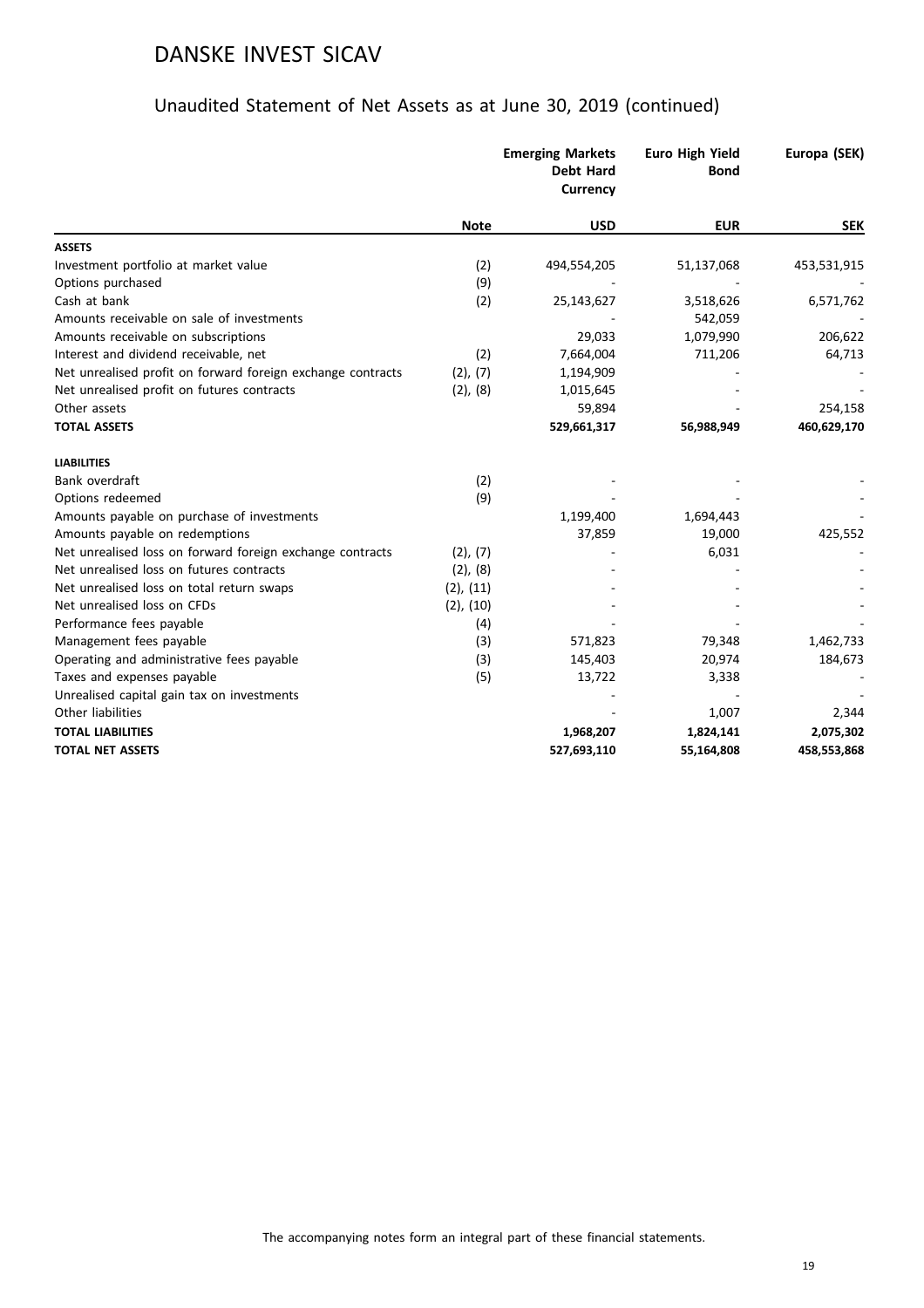|                                                             |                | <b>Emerging Markets</b><br><b>Debt Hard</b><br><b>Currency</b> | <b>Euro High Yield</b><br><b>Bond</b> | Europa (SEK) |
|-------------------------------------------------------------|----------------|----------------------------------------------------------------|---------------------------------------|--------------|
|                                                             | <b>Note</b>    | <b>USD</b>                                                     | <b>EUR</b>                            | <b>SEK</b>   |
| <b>ASSETS</b>                                               |                |                                                                |                                       |              |
| Investment portfolio at market value                        | (2)            | 494,554,205                                                    | 51,137,068                            | 453,531,915  |
| Options purchased                                           | (9)            |                                                                |                                       |              |
| Cash at bank                                                | (2)            | 25,143,627                                                     | 3,518,626                             | 6,571,762    |
| Amounts receivable on sale of investments                   |                |                                                                | 542,059                               |              |
| Amounts receivable on subscriptions                         |                | 29,033                                                         | 1,079,990                             | 206,622      |
| Interest and dividend receivable, net                       | (2)            | 7,664,004                                                      | 711,206                               | 64,713       |
| Net unrealised profit on forward foreign exchange contracts | (2), (7)       | 1,194,909                                                      |                                       |              |
| Net unrealised profit on futures contracts                  | (2), (8)       | 1,015,645                                                      |                                       |              |
| Other assets                                                |                | 59,894                                                         |                                       | 254,158      |
| <b>TOTAL ASSETS</b>                                         |                | 529,661,317                                                    | 56,988,949                            | 460,629,170  |
| <b>LIABILITIES</b>                                          |                |                                                                |                                       |              |
| Bank overdraft                                              | (2)            |                                                                |                                       |              |
| Options redeemed                                            | (9)            |                                                                |                                       |              |
| Amounts payable on purchase of investments                  |                | 1,199,400                                                      | 1,694,443                             |              |
| Amounts payable on redemptions                              |                | 37,859                                                         | 19,000                                | 425,552      |
| Net unrealised loss on forward foreign exchange contracts   | (2), (7)       |                                                                | 6,031                                 |              |
| Net unrealised loss on futures contracts                    | (2), (8)       |                                                                |                                       |              |
| Net unrealised loss on total return swaps                   | (2), (11)      |                                                                |                                       |              |
| Net unrealised loss on CFDs                                 | $(2)$ , $(10)$ |                                                                |                                       |              |
| Performance fees payable                                    | (4)            |                                                                |                                       |              |
| Management fees payable                                     | (3)            | 571,823                                                        | 79,348                                | 1,462,733    |
| Operating and administrative fees payable                   | (3)            | 145,403                                                        | 20,974                                | 184,673      |
| Taxes and expenses payable                                  | (5)            | 13,722                                                         | 3,338                                 |              |
| Unrealised capital gain tax on investments                  |                |                                                                |                                       |              |
| Other liabilities                                           |                |                                                                | 1,007                                 | 2,344        |
| <b>TOTAL LIABILITIES</b>                                    |                | 1,968,207                                                      | 1,824,141                             | 2,075,302    |
| <b>TOTAL NET ASSETS</b>                                     |                | 527,693,110                                                    | 55,164,808                            | 458,553,868  |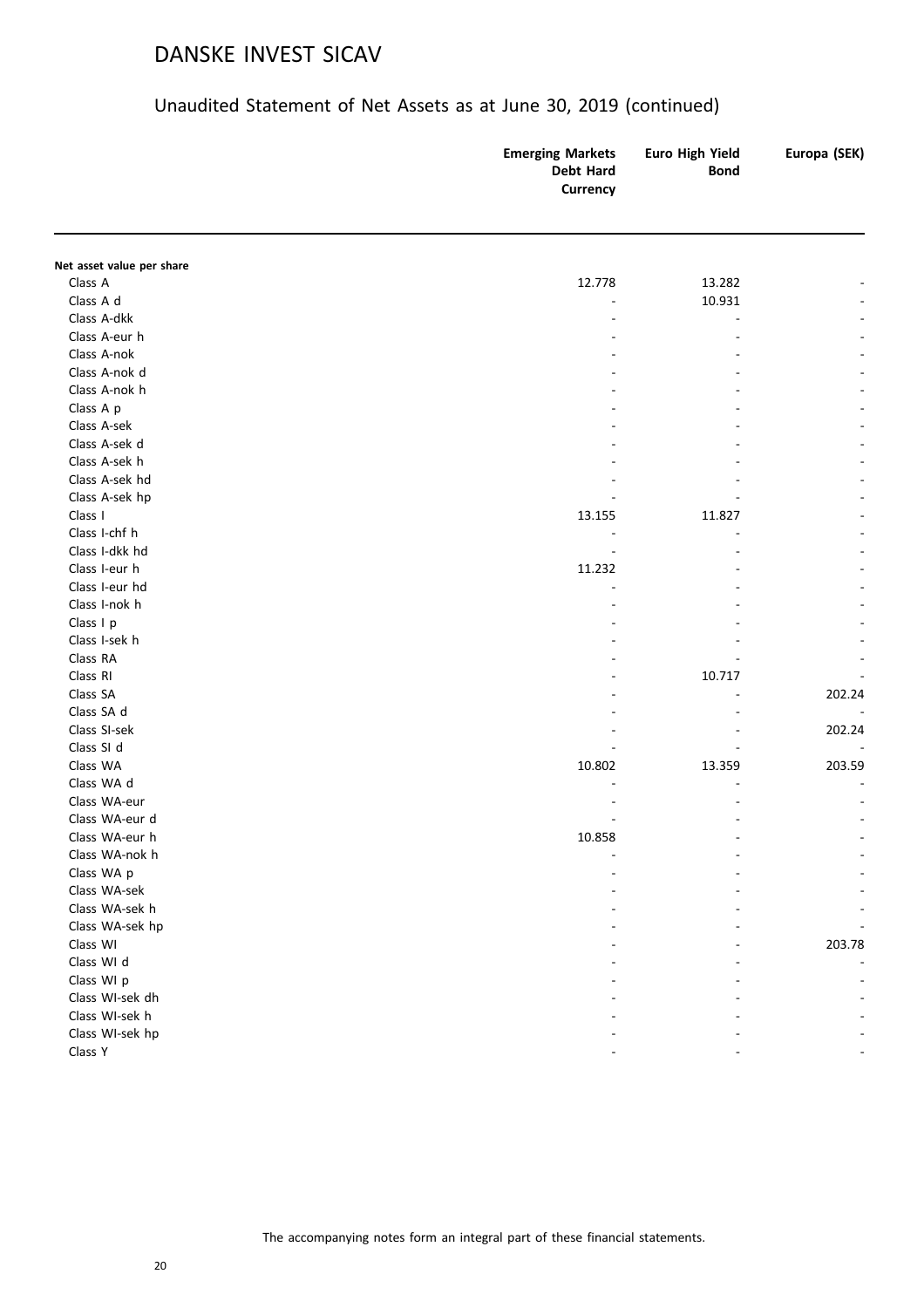|                           | <b>Emerging Markets</b><br>Debt Hard<br>Currency | Euro High Yield<br><b>Bond</b> | Europa (SEK) |
|---------------------------|--------------------------------------------------|--------------------------------|--------------|
|                           |                                                  |                                |              |
| Net asset value per share |                                                  |                                |              |
| Class A                   | 12.778                                           | 13.282                         |              |
| Class A d                 |                                                  | 10.931                         |              |
| Class A-dkk               |                                                  |                                |              |
| Class A-eur h             |                                                  |                                |              |
| Class A-nok               |                                                  |                                |              |
| Class A-nok d             |                                                  |                                |              |
| Class A-nok h             |                                                  |                                |              |
| Class A p                 |                                                  |                                |              |
| Class A-sek               |                                                  |                                |              |
| Class A-sek d             |                                                  |                                |              |
| Class A-sek h             |                                                  |                                |              |
| Class A-sek hd            |                                                  |                                |              |
| Class A-sek hp            |                                                  |                                |              |
| Class I                   | 13.155                                           | 11.827                         |              |
| Class I-chf h             |                                                  |                                |              |
| Class I-dkk hd            |                                                  |                                |              |
| Class I-eur h             | 11.232                                           |                                |              |
| Class I-eur hd            |                                                  |                                |              |
| Class I-nok h             |                                                  |                                |              |
| Class I p                 |                                                  |                                |              |
| Class I-sek h             |                                                  |                                |              |
| Class RA                  |                                                  |                                |              |
| Class RI                  |                                                  | 10.717                         |              |
| Class SA                  |                                                  |                                | 202.24       |
| Class SA d                |                                                  |                                |              |
| Class SI-sek              |                                                  |                                | 202.24       |
| Class SI d                |                                                  |                                |              |
| Class WA                  | 10.802                                           | 13.359                         | 203.59       |
| Class WA d                |                                                  |                                |              |
| Class WA-eur              |                                                  |                                |              |
| Class WA-eur d            |                                                  |                                |              |
| Class WA-eur h            | 10.858                                           |                                |              |
| Class WA-nok h            |                                                  |                                |              |
| Class WA p                |                                                  |                                |              |
| Class WA-sek              |                                                  |                                |              |
| Class WA-sek h            |                                                  |                                |              |
| Class WA-sek hp           |                                                  |                                |              |
| Class WI                  |                                                  |                                | 203.78       |
| Class WI d                |                                                  |                                |              |
| Class WI p                |                                                  |                                |              |
| Class WI-sek dh           |                                                  |                                |              |
| Class WI-sek h            |                                                  |                                |              |
| Class WI-sek hp           |                                                  |                                |              |
| Class Y                   |                                                  |                                |              |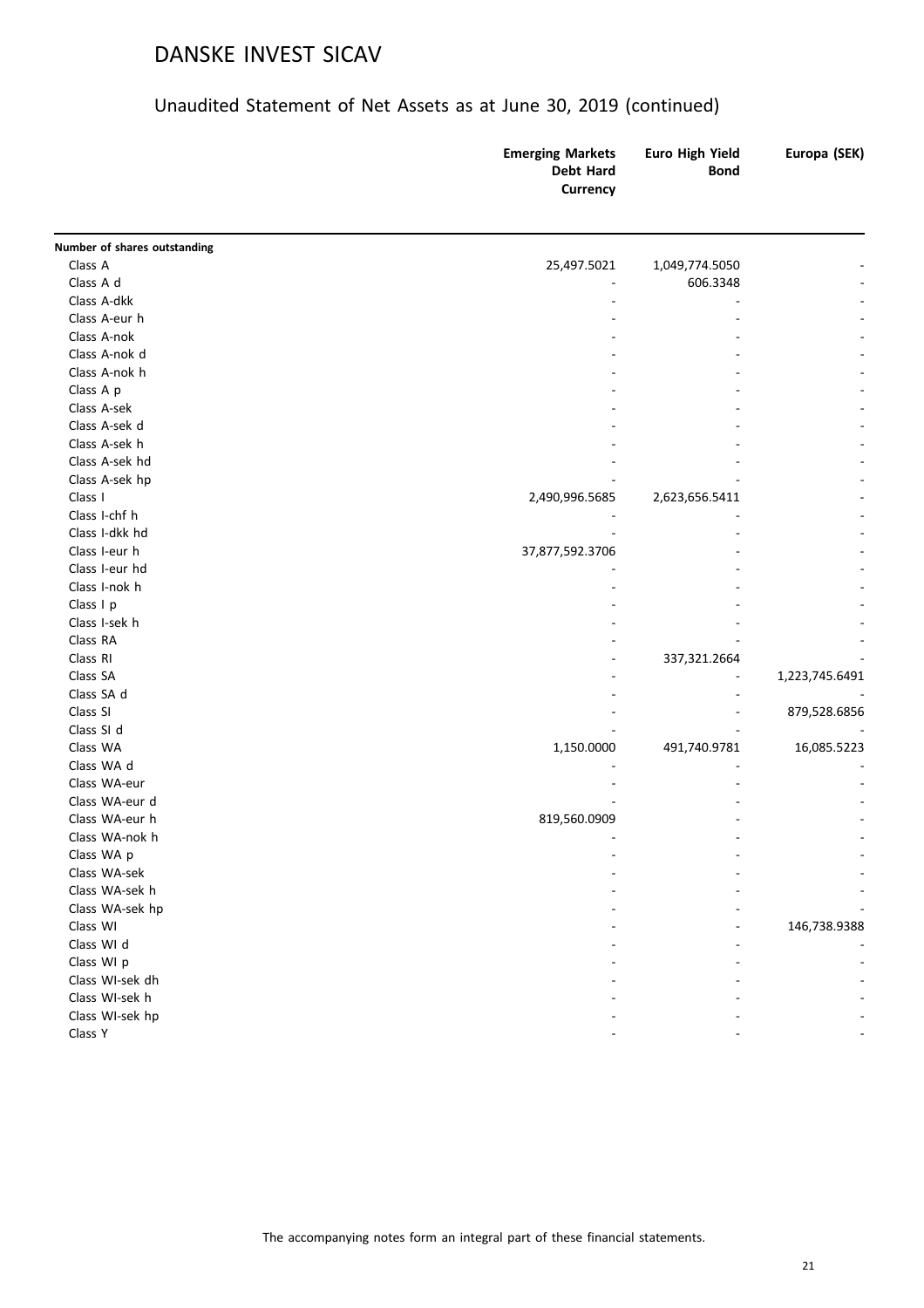|                              | <b>Emerging Markets</b><br><b>Debt Hard</b><br>Currency | Euro High Yield<br><b>Bond</b> | Europa (SEK)   |
|------------------------------|---------------------------------------------------------|--------------------------------|----------------|
| Number of shares outstanding |                                                         |                                |                |
| Class A                      | 25,497.5021                                             | 1,049,774.5050                 |                |
| Class A d                    |                                                         | 606.3348                       |                |
| Class A-dkk                  |                                                         |                                |                |
| Class A-eur h                |                                                         |                                |                |
| Class A-nok                  |                                                         |                                |                |
| Class A-nok d                |                                                         |                                |                |
| Class A-nok h                |                                                         |                                |                |
| Class A p                    |                                                         |                                |                |
| Class A-sek                  |                                                         |                                |                |
| Class A-sek d                |                                                         |                                |                |
| Class A-sek h                |                                                         |                                |                |
| Class A-sek hd               |                                                         |                                |                |
| Class A-sek hp               |                                                         |                                |                |
| Class I                      | 2,490,996.5685                                          | 2,623,656.5411                 |                |
| Class I-chf h                |                                                         |                                |                |
| Class I-dkk hd               |                                                         |                                |                |
| Class I-eur h                | 37,877,592.3706                                         |                                |                |
| Class I-eur hd               |                                                         |                                |                |
| Class I-nok h                |                                                         |                                |                |
| Class I p                    |                                                         |                                |                |
| Class I-sek h                |                                                         |                                |                |
| Class RA                     |                                                         |                                |                |
| Class RI                     |                                                         | 337,321.2664                   |                |
| Class SA                     |                                                         |                                | 1,223,745.6491 |
| Class SA d                   |                                                         |                                |                |
| Class SI                     |                                                         |                                | 879,528.6856   |
| Class SI d                   |                                                         |                                |                |
| Class WA                     | 1,150.0000                                              | 491,740.9781                   | 16,085.5223    |
| Class WA d                   |                                                         |                                |                |
| Class WA-eur                 |                                                         |                                |                |
| Class WA-eur d               |                                                         |                                |                |
| Class WA-eur h               | 819,560.0909                                            |                                |                |
| Class WA-nok h               |                                                         |                                |                |
| Class WA p                   |                                                         |                                |                |
| Class WA-sek                 |                                                         |                                |                |
| Class WA-sek h               |                                                         |                                |                |
| Class WA-sek hp              |                                                         |                                |                |
| Class WI                     |                                                         |                                | 146,738.9388   |
| Class WI d                   |                                                         |                                |                |
| Class WI p                   |                                                         |                                |                |
| Class WI-sek dh              |                                                         |                                |                |
| Class WI-sek h               |                                                         |                                |                |
| Class WI-sek hp              |                                                         |                                |                |
| Class Y                      |                                                         |                                |                |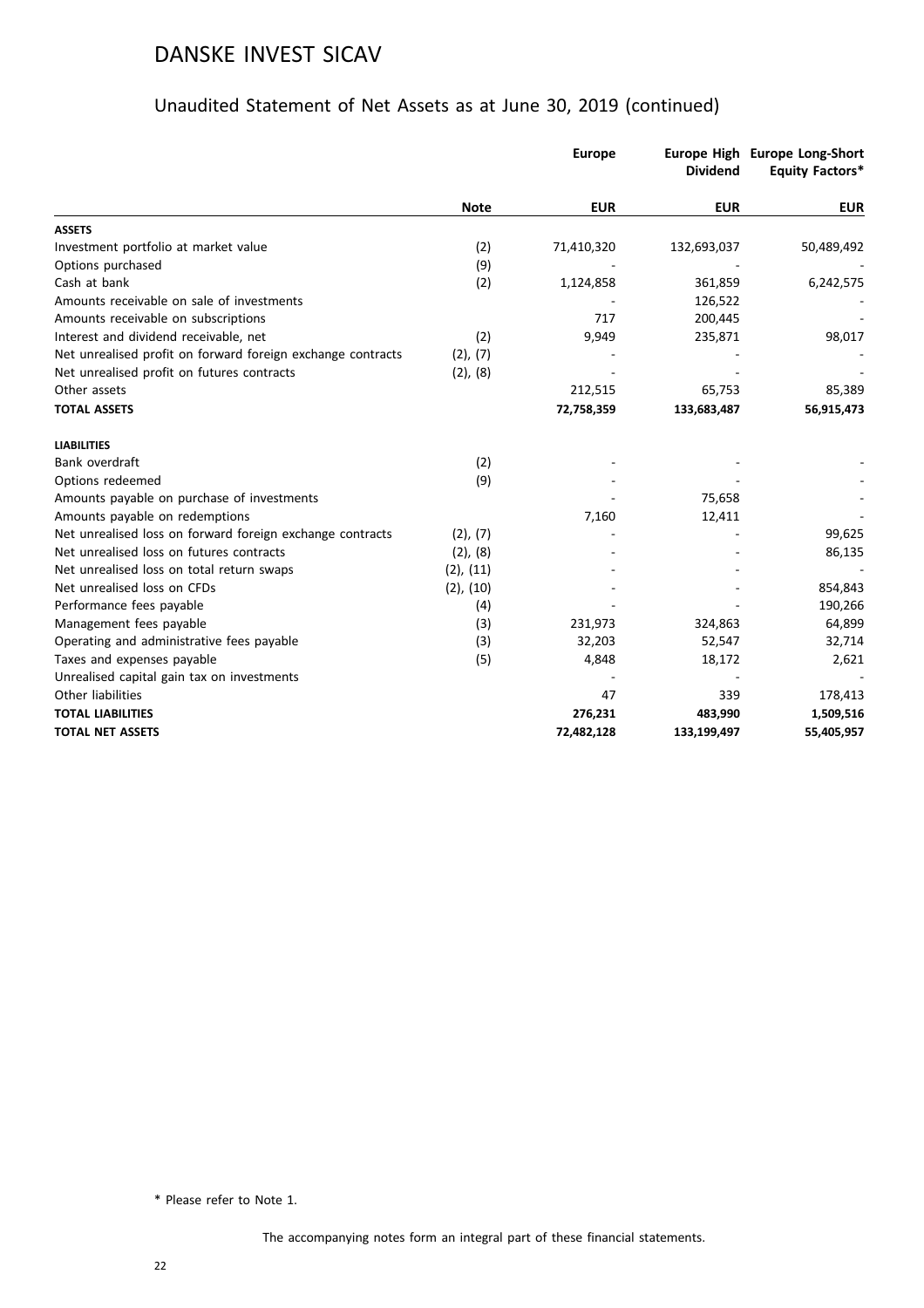### Unaudited Statement of Net Assets as at June 30, 2019 (continued)

|                                                             |                | <b>Europe</b> | <b>Dividend</b> | Europe High Europe Long-Short<br><b>Equity Factors*</b> |
|-------------------------------------------------------------|----------------|---------------|-----------------|---------------------------------------------------------|
|                                                             | <b>Note</b>    | <b>EUR</b>    | <b>EUR</b>      | <b>EUR</b>                                              |
| <b>ASSETS</b>                                               |                |               |                 |                                                         |
| Investment portfolio at market value                        | (2)            | 71,410,320    | 132,693,037     | 50,489,492                                              |
| Options purchased                                           | (9)            |               |                 |                                                         |
| Cash at bank                                                | (2)            | 1,124,858     | 361,859         | 6,242,575                                               |
| Amounts receivable on sale of investments                   |                |               | 126,522         |                                                         |
| Amounts receivable on subscriptions                         |                | 717           | 200,445         |                                                         |
| Interest and dividend receivable, net                       | (2)            | 9,949         | 235,871         | 98,017                                                  |
| Net unrealised profit on forward foreign exchange contracts | (2), (7)       |               |                 |                                                         |
| Net unrealised profit on futures contracts                  | (2), (8)       |               |                 |                                                         |
| Other assets                                                |                | 212,515       | 65,753          | 85,389                                                  |
| <b>TOTAL ASSETS</b>                                         |                | 72,758,359    | 133,683,487     | 56,915,473                                              |
| <b>LIABILITIES</b>                                          |                |               |                 |                                                         |
| Bank overdraft                                              | (2)            |               |                 |                                                         |
| Options redeemed                                            | (9)            |               |                 |                                                         |
| Amounts payable on purchase of investments                  |                |               | 75,658          |                                                         |
| Amounts payable on redemptions                              |                | 7,160         | 12,411          |                                                         |
| Net unrealised loss on forward foreign exchange contracts   | $(2)$ , $(7)$  |               |                 | 99,625                                                  |
| Net unrealised loss on futures contracts                    | $(2)$ , $(8)$  |               |                 | 86,135                                                  |
| Net unrealised loss on total return swaps                   | $(2)$ , $(11)$ |               |                 |                                                         |
| Net unrealised loss on CFDs                                 | $(2)$ , $(10)$ |               |                 | 854,843                                                 |
| Performance fees payable                                    | (4)            |               |                 | 190,266                                                 |
| Management fees payable                                     | (3)            | 231,973       | 324,863         | 64,899                                                  |
| Operating and administrative fees payable                   | (3)            | 32,203        | 52,547          | 32,714                                                  |
| Taxes and expenses payable                                  | (5)            | 4,848         | 18,172          | 2,621                                                   |
| Unrealised capital gain tax on investments                  |                |               |                 |                                                         |
| Other liabilities                                           |                | 47            | 339             | 178,413                                                 |
| <b>TOTAL LIABILITIES</b>                                    |                | 276,231       | 483,990         | 1,509,516                                               |
| <b>TOTAL NET ASSETS</b>                                     |                | 72,482,128    | 133,199,497     | 55,405,957                                              |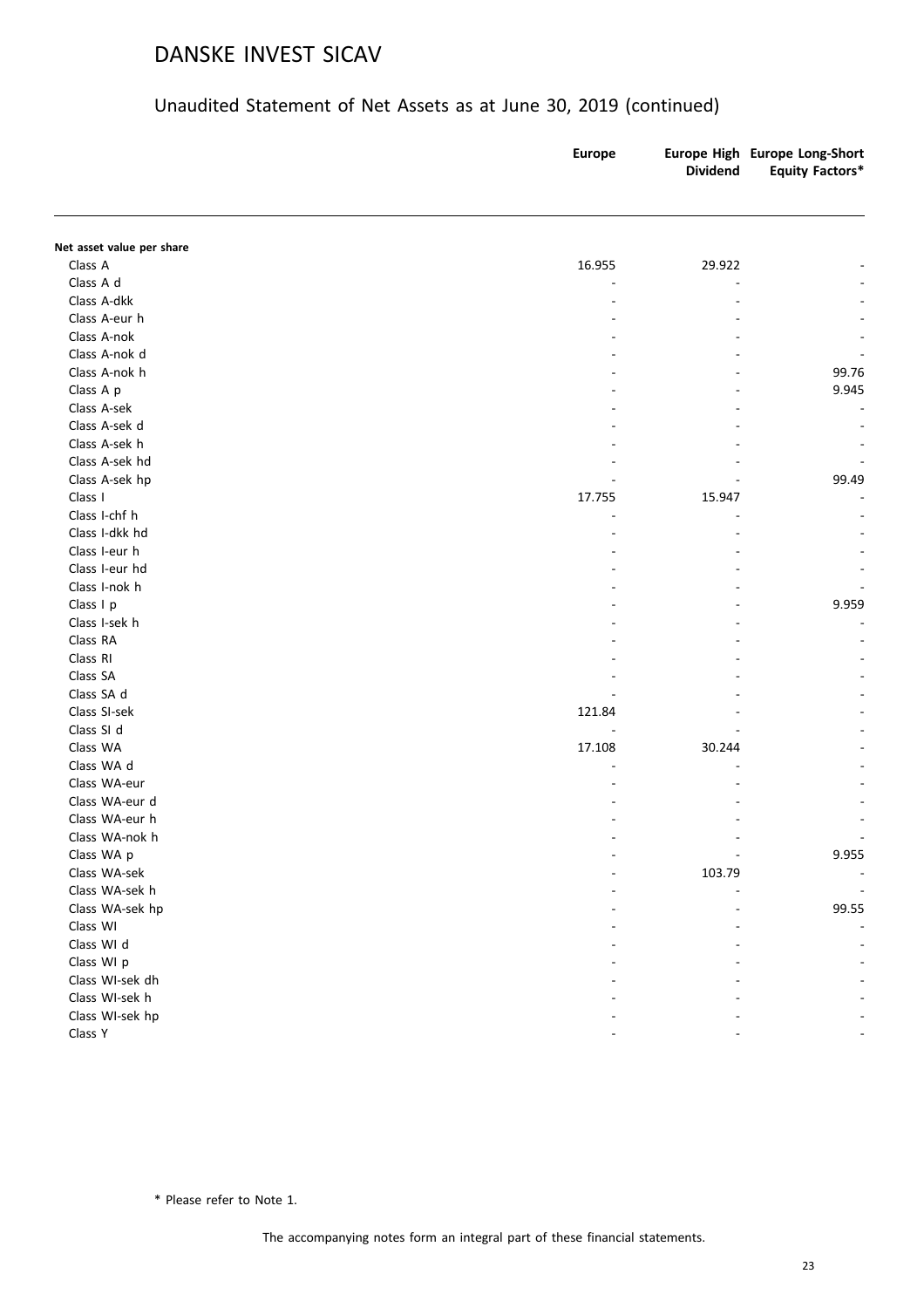### Unaudited Statement of Net Assets as at June 30, 2019 (continued)

|                           | <b>Europe</b> | <b>Dividend</b> | Europe High Europe Long-Short<br><b>Equity Factors*</b> |
|---------------------------|---------------|-----------------|---------------------------------------------------------|
|                           |               |                 |                                                         |
| Net asset value per share |               |                 |                                                         |
| Class A                   | 16.955        | 29.922          |                                                         |
| Class A d                 |               |                 |                                                         |
| Class A-dkk               |               |                 |                                                         |
| Class A-eur h             |               |                 |                                                         |
| Class A-nok               |               |                 |                                                         |
| Class A-nok d             |               |                 |                                                         |
| Class A-nok h             |               |                 | 99.76                                                   |
| Class A p                 |               |                 | 9.945                                                   |
| Class A-sek               |               |                 |                                                         |
| Class A-sek d             |               |                 |                                                         |
| Class A-sek h             |               |                 |                                                         |
| Class A-sek hd            |               |                 |                                                         |
| Class A-sek hp            |               |                 | 99.49                                                   |
| Class I                   | 17.755        | 15.947          |                                                         |
| Class I-chf h             |               |                 |                                                         |
| Class I-dkk hd            |               |                 |                                                         |
| Class I-eur h             |               |                 |                                                         |
| Class I-eur hd            |               |                 |                                                         |
| Class I-nok h             |               |                 |                                                         |
| Class I p                 |               |                 | 9.959                                                   |
| Class I-sek h             |               |                 |                                                         |
| Class RA                  |               |                 |                                                         |
| Class RI                  |               |                 |                                                         |
| Class SA                  |               |                 |                                                         |
| Class SA d                |               |                 |                                                         |
| Class SI-sek              | 121.84        |                 |                                                         |
| Class SI d                |               |                 |                                                         |
| Class WA                  | 17.108        | 30.244          |                                                         |
| Class WA d                |               |                 |                                                         |
| Class WA-eur              |               |                 |                                                         |
| Class WA-eur d            |               |                 |                                                         |
| Class WA-eur h            |               |                 |                                                         |
| Class WA-nok h            |               |                 |                                                         |
| Class WA p                | ٠             |                 | 9.955                                                   |
| Class WA-sek              |               | 103.79          |                                                         |
| Class WA-sek h            |               |                 |                                                         |
| Class WA-sek hp           |               |                 | 99.55                                                   |
| Class WI                  |               |                 |                                                         |
| Class WI d                |               |                 |                                                         |
| Class WI p                |               |                 |                                                         |
| Class WI-sek dh           |               |                 |                                                         |
| Class WI-sek h            |               |                 |                                                         |
| Class WI-sek hp           |               |                 |                                                         |
| Class Y                   |               |                 |                                                         |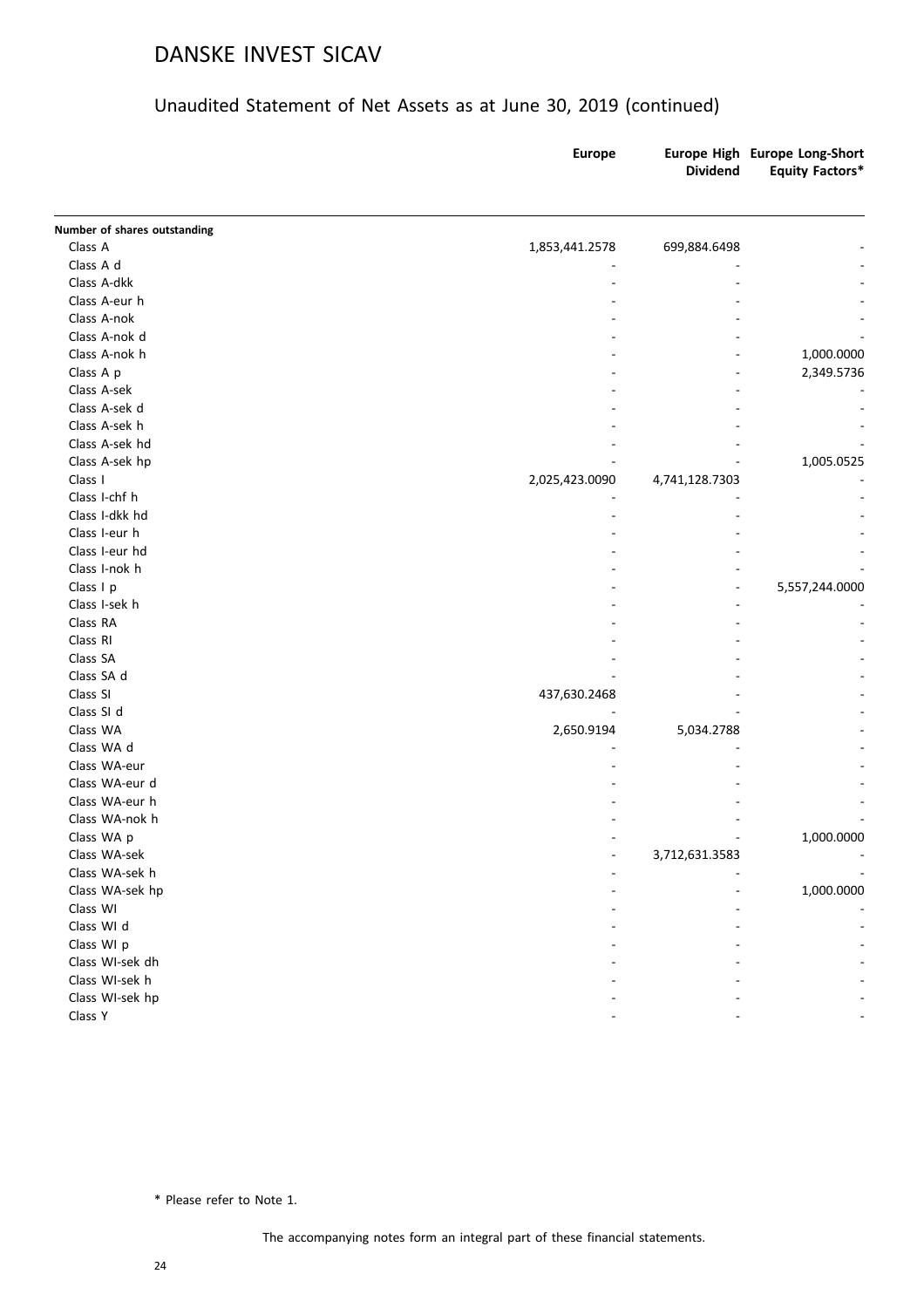### Unaudited Statement of Net Assets as at June 30, 2019 (continued)

|                              | <b>Europe</b>  | <b>Dividend</b> | Europe High Europe Long-Short<br><b>Equity Factors*</b> |
|------------------------------|----------------|-----------------|---------------------------------------------------------|
| Number of shares outstanding |                |                 |                                                         |
| Class A                      | 1,853,441.2578 | 699,884.6498    |                                                         |
| Class A d                    |                |                 |                                                         |
| Class A-dkk                  |                |                 |                                                         |
| Class A-eur h                |                |                 |                                                         |
| Class A-nok                  |                |                 |                                                         |
| Class A-nok d                |                |                 |                                                         |
| Class A-nok h                |                |                 | 1,000.0000                                              |
| Class A p                    |                |                 | 2,349.5736                                              |
| Class A-sek                  |                |                 |                                                         |
| Class A-sek d                |                |                 |                                                         |
| Class A-sek h                |                |                 |                                                         |
| Class A-sek hd               |                |                 |                                                         |
| Class A-sek hp               |                |                 | 1,005.0525                                              |
| Class I                      | 2,025,423.0090 | 4,741,128.7303  |                                                         |
| Class I-chf h                |                |                 |                                                         |
| Class I-dkk hd               |                |                 |                                                         |
| Class I-eur h                |                |                 |                                                         |
| Class I-eur hd               |                |                 |                                                         |
| Class I-nok h                |                |                 |                                                         |
| Class I p                    |                | $\blacksquare$  | 5,557,244.0000                                          |
| Class I-sek h                |                |                 |                                                         |
| Class RA                     |                |                 |                                                         |
| Class RI                     |                |                 |                                                         |
| Class SA                     |                |                 |                                                         |
| Class SA d                   |                |                 |                                                         |
| Class SI                     | 437,630.2468   |                 |                                                         |
| Class SI d                   |                |                 |                                                         |
| Class WA                     | 2,650.9194     | 5,034.2788      |                                                         |
| Class WA d                   |                |                 |                                                         |
| Class WA-eur                 |                |                 |                                                         |
| Class WA-eur d               |                |                 |                                                         |
| Class WA-eur h               |                |                 |                                                         |
| Class WA-nok h               |                |                 |                                                         |
| Class WA p                   |                |                 | 1,000.0000                                              |
| Class WA-sek                 |                | 3,712,631.3583  |                                                         |
| Class WA-sek h               |                |                 |                                                         |
| Class WA-sek hp              |                |                 | 1,000.0000                                              |
| Class WI                     |                |                 |                                                         |
| Class WI d                   |                |                 |                                                         |
| Class WI p                   |                |                 |                                                         |
| Class WI-sek dh              |                |                 |                                                         |
| Class WI-sek h               |                |                 |                                                         |
| Class WI-sek hp              |                |                 |                                                         |
| Class Y                      |                |                 |                                                         |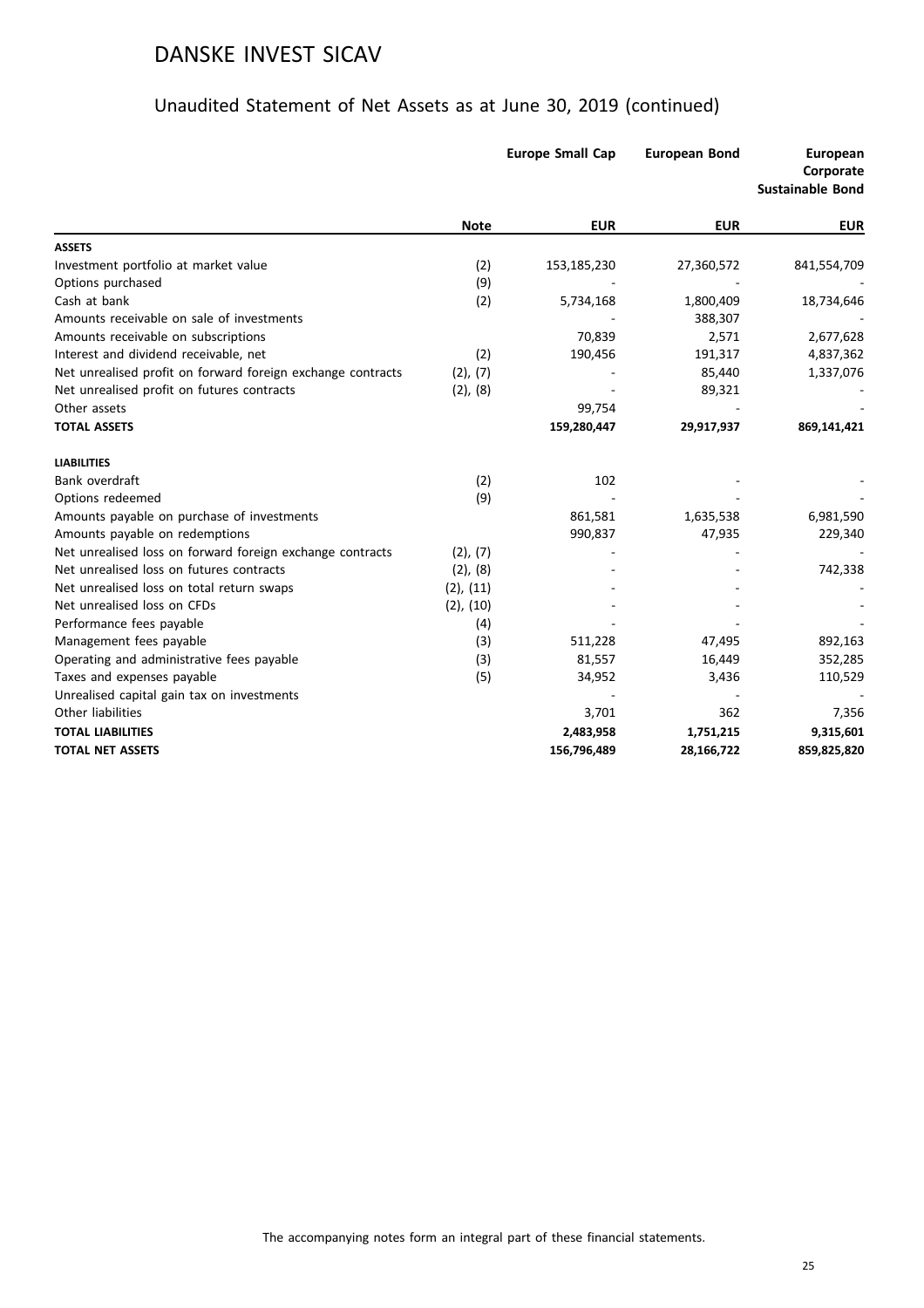|                                                             |                | <b>Europe Small Cap</b> | <b>European Bond</b> | <b>European</b><br>Corporate<br><b>Sustainable Bond</b> |
|-------------------------------------------------------------|----------------|-------------------------|----------------------|---------------------------------------------------------|
|                                                             | <b>Note</b>    | <b>EUR</b>              | <b>EUR</b>           | <b>EUR</b>                                              |
| <b>ASSETS</b>                                               |                |                         |                      |                                                         |
| Investment portfolio at market value                        | (2)            | 153,185,230             | 27,360,572           | 841,554,709                                             |
| Options purchased                                           | (9)            |                         |                      |                                                         |
| Cash at bank                                                | (2)            | 5,734,168               | 1,800,409            | 18,734,646                                              |
| Amounts receivable on sale of investments                   |                |                         | 388,307              |                                                         |
| Amounts receivable on subscriptions                         |                | 70,839                  | 2,571                | 2,677,628                                               |
| Interest and dividend receivable, net                       | (2)            | 190,456                 | 191,317              | 4,837,362                                               |
| Net unrealised profit on forward foreign exchange contracts | (2), (7)       |                         | 85,440               | 1,337,076                                               |
| Net unrealised profit on futures contracts                  | (2), (8)       |                         | 89,321               |                                                         |
| Other assets                                                |                | 99,754                  |                      |                                                         |
| <b>TOTAL ASSETS</b>                                         |                | 159,280,447             | 29,917,937           | 869,141,421                                             |
| <b>LIABILITIES</b>                                          |                |                         |                      |                                                         |
| Bank overdraft                                              | (2)            | 102                     |                      |                                                         |
| Options redeemed                                            | (9)            |                         |                      |                                                         |
| Amounts payable on purchase of investments                  |                | 861,581                 | 1,635,538            | 6,981,590                                               |
| Amounts payable on redemptions                              |                | 990,837                 | 47,935               | 229,340                                                 |
| Net unrealised loss on forward foreign exchange contracts   | (2), (7)       |                         |                      |                                                         |
| Net unrealised loss on futures contracts                    | (2), (8)       |                         |                      | 742,338                                                 |
| Net unrealised loss on total return swaps                   | $(2)$ , $(11)$ |                         |                      |                                                         |
| Net unrealised loss on CFDs                                 | $(2)$ , $(10)$ |                         |                      |                                                         |
| Performance fees payable                                    | (4)            |                         |                      |                                                         |
| Management fees payable                                     | (3)            | 511,228                 | 47,495               | 892,163                                                 |
| Operating and administrative fees payable                   | (3)            | 81,557                  | 16,449               | 352,285                                                 |
| Taxes and expenses payable                                  | (5)            | 34,952                  | 3,436                | 110,529                                                 |
| Unrealised capital gain tax on investments                  |                |                         |                      |                                                         |
| Other liabilities                                           |                | 3,701                   | 362                  | 7,356                                                   |
| <b>TOTAL LIABILITIES</b>                                    |                | 2,483,958               | 1,751,215            | 9,315,601                                               |
| <b>TOTAL NET ASSETS</b>                                     |                | 156,796,489             | 28,166,722           | 859,825,820                                             |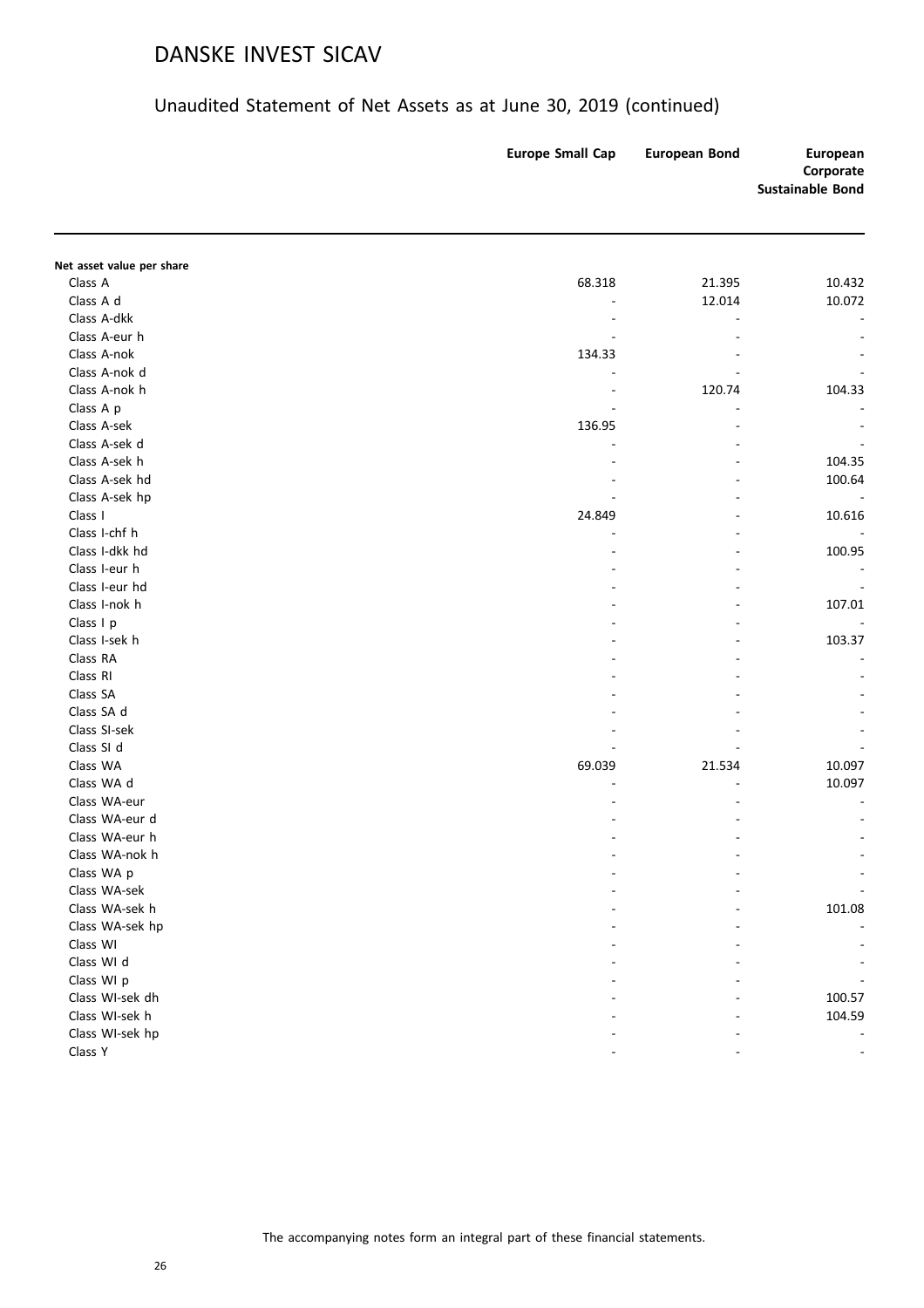| Net asset value per share<br>Class A<br>68.318<br>21.395<br>10.432<br>Class A d<br>12.014<br>10.072<br>Class A-dkk<br>L,<br>Class A-eur h<br>Class A-nok<br>134.33<br>Class A-nok d<br>Class A-nok h<br>120.74<br>104.33<br>Class A p<br>÷,<br>Class A-sek<br>136.95<br>Class A-sek d<br>Class A-sek h<br>104.35<br>$\overline{a}$<br>Class A-sek hd<br>100.64<br>Class A-sek hp<br>L,<br>Class I<br>24.849<br>10.616<br>$\overline{\phantom{a}}$<br>Class I-chf h<br>L,<br>Class I-dkk hd<br>100.95<br>Class I-eur h<br>$\overline{a}$<br>Class I-eur hd<br>$\overline{\phantom{a}}$<br>Class I-nok h<br>107.01<br>÷,<br>Class I p<br>$\overline{a}$<br>Class I-sek h<br>103.37<br>ä,<br>Class RA<br>Class RI<br>Class SA<br>Class SA d<br>Class SI-sek<br>Class SI d<br>Class WA<br>69.039<br>21.534<br>10.097<br>Class WA d<br>10.097<br>Class WA-eur<br>Class WA-eur d<br>Class WA-eur h<br>Class WA-nok h<br>Class WA p<br>Class WA-sek<br>Class WA-sek h<br>101.08<br>Class WA-sek hp<br>Class WI<br>Class WI d<br>Class WI p<br>Class WI-sek dh<br>100.57<br>Class WI-sek h<br>104.59<br>Class WI-sek hp<br>Class Y | <b>Europe Small Cap</b> | <b>European Bond</b> | European<br>Corporate<br><b>Sustainable Bond</b> |
|----------------------------------------------------------------------------------------------------------------------------------------------------------------------------------------------------------------------------------------------------------------------------------------------------------------------------------------------------------------------------------------------------------------------------------------------------------------------------------------------------------------------------------------------------------------------------------------------------------------------------------------------------------------------------------------------------------------------------------------------------------------------------------------------------------------------------------------------------------------------------------------------------------------------------------------------------------------------------------------------------------------------------------------------------------------------------------------------------------------------------|-------------------------|----------------------|--------------------------------------------------|
|                                                                                                                                                                                                                                                                                                                                                                                                                                                                                                                                                                                                                                                                                                                                                                                                                                                                                                                                                                                                                                                                                                                            |                         |                      |                                                  |
|                                                                                                                                                                                                                                                                                                                                                                                                                                                                                                                                                                                                                                                                                                                                                                                                                                                                                                                                                                                                                                                                                                                            |                         |                      |                                                  |
|                                                                                                                                                                                                                                                                                                                                                                                                                                                                                                                                                                                                                                                                                                                                                                                                                                                                                                                                                                                                                                                                                                                            |                         |                      |                                                  |
|                                                                                                                                                                                                                                                                                                                                                                                                                                                                                                                                                                                                                                                                                                                                                                                                                                                                                                                                                                                                                                                                                                                            |                         |                      |                                                  |
|                                                                                                                                                                                                                                                                                                                                                                                                                                                                                                                                                                                                                                                                                                                                                                                                                                                                                                                                                                                                                                                                                                                            |                         |                      |                                                  |
|                                                                                                                                                                                                                                                                                                                                                                                                                                                                                                                                                                                                                                                                                                                                                                                                                                                                                                                                                                                                                                                                                                                            |                         |                      |                                                  |
|                                                                                                                                                                                                                                                                                                                                                                                                                                                                                                                                                                                                                                                                                                                                                                                                                                                                                                                                                                                                                                                                                                                            |                         |                      |                                                  |
|                                                                                                                                                                                                                                                                                                                                                                                                                                                                                                                                                                                                                                                                                                                                                                                                                                                                                                                                                                                                                                                                                                                            |                         |                      |                                                  |
|                                                                                                                                                                                                                                                                                                                                                                                                                                                                                                                                                                                                                                                                                                                                                                                                                                                                                                                                                                                                                                                                                                                            |                         |                      |                                                  |
|                                                                                                                                                                                                                                                                                                                                                                                                                                                                                                                                                                                                                                                                                                                                                                                                                                                                                                                                                                                                                                                                                                                            |                         |                      |                                                  |
|                                                                                                                                                                                                                                                                                                                                                                                                                                                                                                                                                                                                                                                                                                                                                                                                                                                                                                                                                                                                                                                                                                                            |                         |                      |                                                  |
|                                                                                                                                                                                                                                                                                                                                                                                                                                                                                                                                                                                                                                                                                                                                                                                                                                                                                                                                                                                                                                                                                                                            |                         |                      |                                                  |
|                                                                                                                                                                                                                                                                                                                                                                                                                                                                                                                                                                                                                                                                                                                                                                                                                                                                                                                                                                                                                                                                                                                            |                         |                      |                                                  |
|                                                                                                                                                                                                                                                                                                                                                                                                                                                                                                                                                                                                                                                                                                                                                                                                                                                                                                                                                                                                                                                                                                                            |                         |                      |                                                  |
|                                                                                                                                                                                                                                                                                                                                                                                                                                                                                                                                                                                                                                                                                                                                                                                                                                                                                                                                                                                                                                                                                                                            |                         |                      |                                                  |
|                                                                                                                                                                                                                                                                                                                                                                                                                                                                                                                                                                                                                                                                                                                                                                                                                                                                                                                                                                                                                                                                                                                            |                         |                      |                                                  |
|                                                                                                                                                                                                                                                                                                                                                                                                                                                                                                                                                                                                                                                                                                                                                                                                                                                                                                                                                                                                                                                                                                                            |                         |                      |                                                  |
|                                                                                                                                                                                                                                                                                                                                                                                                                                                                                                                                                                                                                                                                                                                                                                                                                                                                                                                                                                                                                                                                                                                            |                         |                      |                                                  |
|                                                                                                                                                                                                                                                                                                                                                                                                                                                                                                                                                                                                                                                                                                                                                                                                                                                                                                                                                                                                                                                                                                                            |                         |                      |                                                  |
|                                                                                                                                                                                                                                                                                                                                                                                                                                                                                                                                                                                                                                                                                                                                                                                                                                                                                                                                                                                                                                                                                                                            |                         |                      |                                                  |
|                                                                                                                                                                                                                                                                                                                                                                                                                                                                                                                                                                                                                                                                                                                                                                                                                                                                                                                                                                                                                                                                                                                            |                         |                      |                                                  |
|                                                                                                                                                                                                                                                                                                                                                                                                                                                                                                                                                                                                                                                                                                                                                                                                                                                                                                                                                                                                                                                                                                                            |                         |                      |                                                  |
|                                                                                                                                                                                                                                                                                                                                                                                                                                                                                                                                                                                                                                                                                                                                                                                                                                                                                                                                                                                                                                                                                                                            |                         |                      |                                                  |
|                                                                                                                                                                                                                                                                                                                                                                                                                                                                                                                                                                                                                                                                                                                                                                                                                                                                                                                                                                                                                                                                                                                            |                         |                      |                                                  |
|                                                                                                                                                                                                                                                                                                                                                                                                                                                                                                                                                                                                                                                                                                                                                                                                                                                                                                                                                                                                                                                                                                                            |                         |                      |                                                  |
|                                                                                                                                                                                                                                                                                                                                                                                                                                                                                                                                                                                                                                                                                                                                                                                                                                                                                                                                                                                                                                                                                                                            |                         |                      |                                                  |
|                                                                                                                                                                                                                                                                                                                                                                                                                                                                                                                                                                                                                                                                                                                                                                                                                                                                                                                                                                                                                                                                                                                            |                         |                      |                                                  |
|                                                                                                                                                                                                                                                                                                                                                                                                                                                                                                                                                                                                                                                                                                                                                                                                                                                                                                                                                                                                                                                                                                                            |                         |                      |                                                  |
|                                                                                                                                                                                                                                                                                                                                                                                                                                                                                                                                                                                                                                                                                                                                                                                                                                                                                                                                                                                                                                                                                                                            |                         |                      |                                                  |
|                                                                                                                                                                                                                                                                                                                                                                                                                                                                                                                                                                                                                                                                                                                                                                                                                                                                                                                                                                                                                                                                                                                            |                         |                      |                                                  |
|                                                                                                                                                                                                                                                                                                                                                                                                                                                                                                                                                                                                                                                                                                                                                                                                                                                                                                                                                                                                                                                                                                                            |                         |                      |                                                  |
|                                                                                                                                                                                                                                                                                                                                                                                                                                                                                                                                                                                                                                                                                                                                                                                                                                                                                                                                                                                                                                                                                                                            |                         |                      |                                                  |
|                                                                                                                                                                                                                                                                                                                                                                                                                                                                                                                                                                                                                                                                                                                                                                                                                                                                                                                                                                                                                                                                                                                            |                         |                      |                                                  |
|                                                                                                                                                                                                                                                                                                                                                                                                                                                                                                                                                                                                                                                                                                                                                                                                                                                                                                                                                                                                                                                                                                                            |                         |                      |                                                  |
|                                                                                                                                                                                                                                                                                                                                                                                                                                                                                                                                                                                                                                                                                                                                                                                                                                                                                                                                                                                                                                                                                                                            |                         |                      |                                                  |
|                                                                                                                                                                                                                                                                                                                                                                                                                                                                                                                                                                                                                                                                                                                                                                                                                                                                                                                                                                                                                                                                                                                            |                         |                      |                                                  |
|                                                                                                                                                                                                                                                                                                                                                                                                                                                                                                                                                                                                                                                                                                                                                                                                                                                                                                                                                                                                                                                                                                                            |                         |                      |                                                  |
|                                                                                                                                                                                                                                                                                                                                                                                                                                                                                                                                                                                                                                                                                                                                                                                                                                                                                                                                                                                                                                                                                                                            |                         |                      |                                                  |
|                                                                                                                                                                                                                                                                                                                                                                                                                                                                                                                                                                                                                                                                                                                                                                                                                                                                                                                                                                                                                                                                                                                            |                         |                      |                                                  |
|                                                                                                                                                                                                                                                                                                                                                                                                                                                                                                                                                                                                                                                                                                                                                                                                                                                                                                                                                                                                                                                                                                                            |                         |                      |                                                  |
|                                                                                                                                                                                                                                                                                                                                                                                                                                                                                                                                                                                                                                                                                                                                                                                                                                                                                                                                                                                                                                                                                                                            |                         |                      |                                                  |
|                                                                                                                                                                                                                                                                                                                                                                                                                                                                                                                                                                                                                                                                                                                                                                                                                                                                                                                                                                                                                                                                                                                            |                         |                      |                                                  |
|                                                                                                                                                                                                                                                                                                                                                                                                                                                                                                                                                                                                                                                                                                                                                                                                                                                                                                                                                                                                                                                                                                                            |                         |                      |                                                  |
|                                                                                                                                                                                                                                                                                                                                                                                                                                                                                                                                                                                                                                                                                                                                                                                                                                                                                                                                                                                                                                                                                                                            |                         |                      |                                                  |
|                                                                                                                                                                                                                                                                                                                                                                                                                                                                                                                                                                                                                                                                                                                                                                                                                                                                                                                                                                                                                                                                                                                            |                         |                      |                                                  |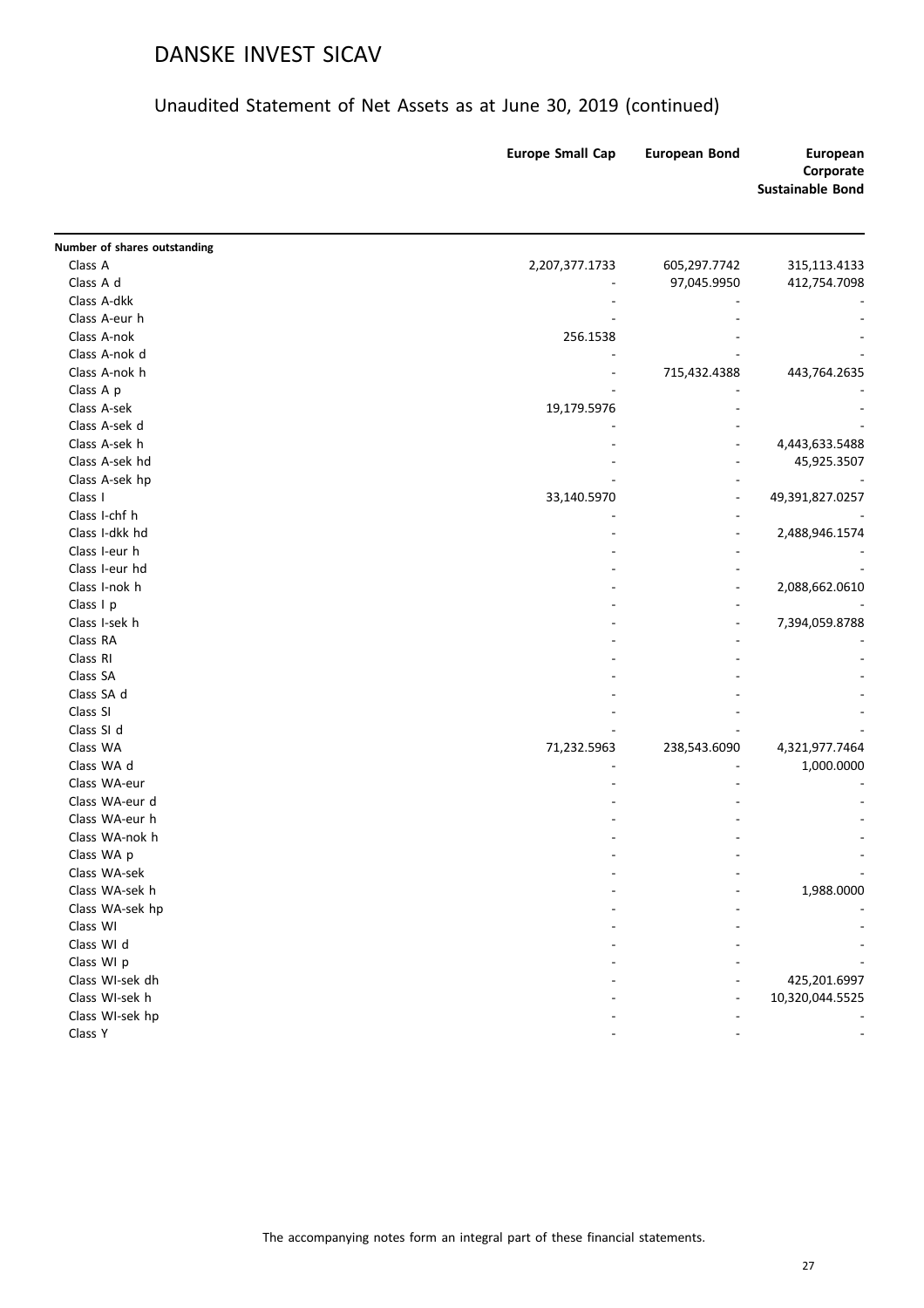#### Unaudited Statement of Net Assets as at June 30, 2019 (continued)

|                              | <b>Europe Small Cap</b> | <b>European Bond</b> | <b>European</b><br>Corporate<br><b>Sustainable Bond</b> |
|------------------------------|-------------------------|----------------------|---------------------------------------------------------|
| Number of shares outstanding |                         |                      |                                                         |
| Class A                      | 2,207,377.1733          | 605,297.7742         | 315,113.4133                                            |
| Class A d                    |                         | 97,045.9950          | 412,754.7098                                            |
| Class A-dkk                  |                         |                      |                                                         |
| Class A-eur h                |                         |                      |                                                         |
| Class A-nok                  | 256.1538                |                      |                                                         |
| Class A-nok d                |                         |                      |                                                         |
| Class A-nok h                |                         | 715,432.4388         | 443,764.2635                                            |
| Class A p                    |                         |                      |                                                         |
| Class A-sek                  | 19,179.5976             |                      |                                                         |
| Class A-sek d                |                         |                      |                                                         |
| Class A-sek h                |                         |                      | 4,443,633.5488                                          |
| Class A-sek hd               |                         |                      | 45,925.3507                                             |
| Class A-sek hp               |                         |                      |                                                         |
| Class I                      | 33,140.5970             | ٠                    | 49,391,827.0257                                         |
| Class I-chf h                |                         |                      |                                                         |
| Class I-dkk hd               |                         |                      | 2,488,946.1574                                          |
| Class I-eur h                |                         |                      |                                                         |
| Class I-eur hd               |                         |                      |                                                         |
| Class I-nok h                |                         |                      | 2,088,662.0610                                          |
| Class I p                    |                         |                      |                                                         |
| Class I-sek h                |                         |                      | 7,394,059.8788                                          |
| Class RA                     |                         |                      |                                                         |
| Class RI                     |                         |                      |                                                         |
| Class SA                     |                         |                      |                                                         |
| Class SA d                   |                         |                      |                                                         |
| Class SI                     |                         |                      |                                                         |
| Class SI d                   |                         |                      |                                                         |
| Class WA                     | 71,232.5963             | 238,543.6090         | 4,321,977.7464                                          |
| Class WA d                   |                         |                      | 1,000.0000                                              |
| Class WA-eur                 |                         |                      |                                                         |
| Class WA-eur d               |                         |                      |                                                         |
| Class WA-eur h               |                         |                      |                                                         |
| Class WA-nok h               |                         |                      |                                                         |
| Class WA p                   |                         |                      |                                                         |
| Class WA-sek                 |                         |                      |                                                         |
| Class WA-sek h               |                         |                      | 1,988.0000                                              |
| Class WA-sek hp              |                         |                      |                                                         |
| Class WI                     |                         |                      |                                                         |
| Class WI d                   |                         |                      |                                                         |
| Class WI p                   |                         |                      |                                                         |
| Class WI-sek dh              |                         |                      | 425,201.6997                                            |
| Class WI-sek h               |                         |                      | 10,320,044.5525                                         |
| Class WI-sek hp              |                         |                      |                                                         |

المسابق المسابق المسابق المسابق المسابق المسابق المسابق المسابق المسابق المسابق المسابق المسابق المسابق المسابق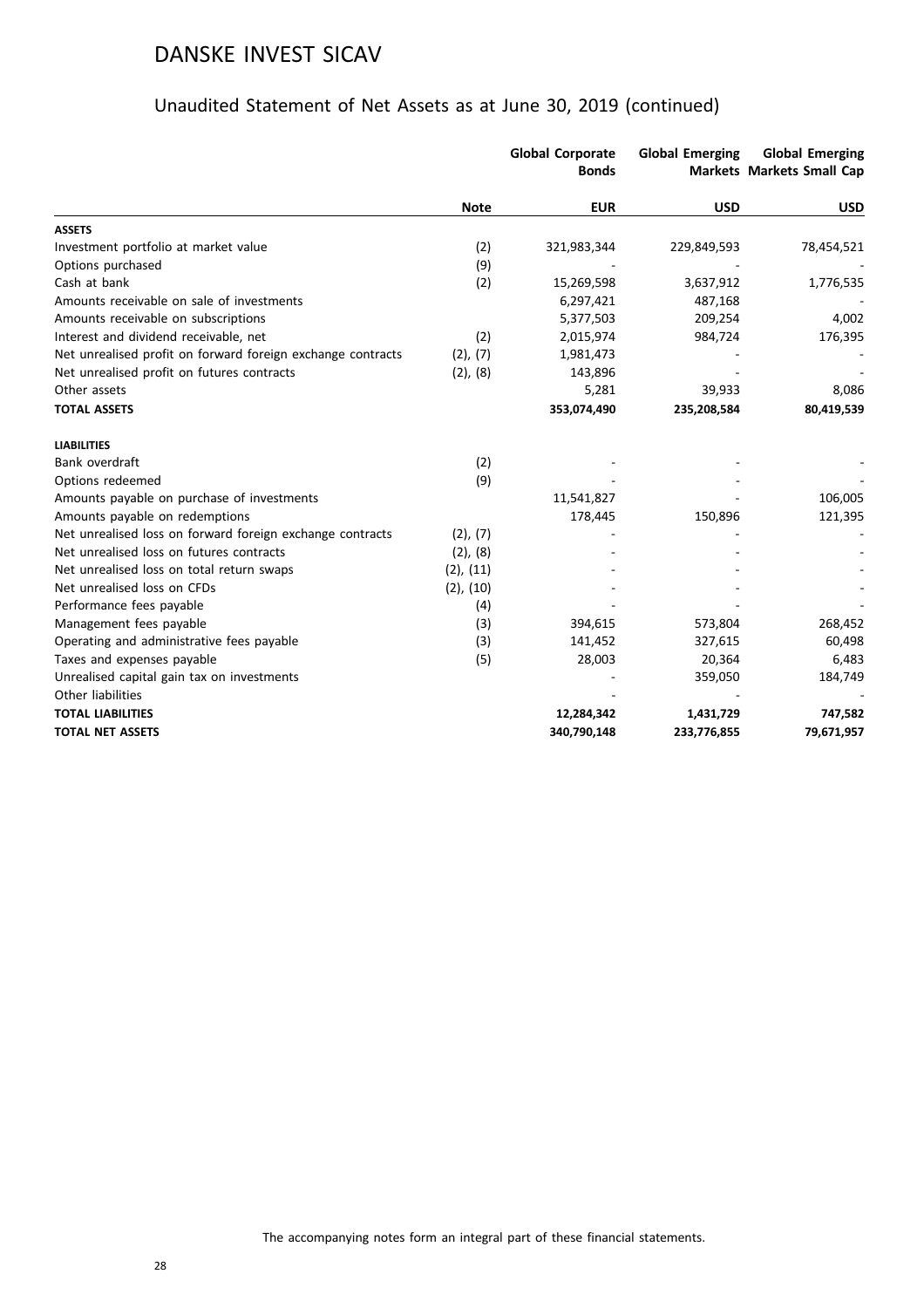|                                                             |                | <b>Global Corporate</b><br><b>Bonds</b> | <b>Global Emerging</b> | <b>Global Emerging</b><br><b>Markets Markets Small Cap</b> |
|-------------------------------------------------------------|----------------|-----------------------------------------|------------------------|------------------------------------------------------------|
|                                                             | <b>Note</b>    | <b>EUR</b>                              | <b>USD</b>             | <b>USD</b>                                                 |
| <b>ASSETS</b>                                               |                |                                         |                        |                                                            |
| Investment portfolio at market value                        | (2)            | 321,983,344                             | 229,849,593            | 78,454,521                                                 |
| Options purchased                                           | (9)            |                                         |                        |                                                            |
| Cash at bank                                                | (2)            | 15,269,598                              | 3,637,912              | 1,776,535                                                  |
| Amounts receivable on sale of investments                   |                | 6,297,421                               | 487,168                |                                                            |
| Amounts receivable on subscriptions                         |                | 5,377,503                               | 209,254                | 4,002                                                      |
| Interest and dividend receivable, net                       | (2)            | 2,015,974                               | 984,724                | 176,395                                                    |
| Net unrealised profit on forward foreign exchange contracts | (2), (7)       | 1,981,473                               |                        |                                                            |
| Net unrealised profit on futures contracts                  | (2), (8)       | 143,896                                 |                        |                                                            |
| Other assets                                                |                | 5,281                                   | 39,933                 | 8,086                                                      |
| <b>TOTAL ASSETS</b>                                         |                | 353,074,490                             | 235,208,584            | 80,419,539                                                 |
| <b>LIABILITIES</b>                                          |                |                                         |                        |                                                            |
| Bank overdraft                                              | (2)            |                                         |                        |                                                            |
| Options redeemed                                            | (9)            |                                         |                        |                                                            |
| Amounts payable on purchase of investments                  |                | 11,541,827                              |                        | 106,005                                                    |
| Amounts payable on redemptions                              |                | 178,445                                 | 150,896                | 121,395                                                    |
| Net unrealised loss on forward foreign exchange contracts   | (2), (7)       |                                         |                        |                                                            |
| Net unrealised loss on futures contracts                    | $(2)$ , $(8)$  |                                         |                        |                                                            |
| Net unrealised loss on total return swaps                   | (2), (11)      |                                         |                        |                                                            |
| Net unrealised loss on CFDs                                 | $(2)$ , $(10)$ |                                         |                        |                                                            |
| Performance fees payable                                    | (4)            |                                         |                        |                                                            |
| Management fees payable                                     | (3)            | 394,615                                 | 573,804                | 268,452                                                    |
| Operating and administrative fees payable                   | (3)            | 141,452                                 | 327,615                | 60,498                                                     |
| Taxes and expenses payable                                  | (5)            | 28,003                                  | 20,364                 | 6,483                                                      |
| Unrealised capital gain tax on investments                  |                |                                         | 359,050                | 184,749                                                    |
| Other liabilities                                           |                |                                         |                        |                                                            |
| <b>TOTAL LIABILITIES</b>                                    |                | 12,284,342                              | 1,431,729              | 747,582                                                    |
| <b>TOTAL NET ASSETS</b>                                     |                | 340,790,148                             | 233,776,855            | 79,671,957                                                 |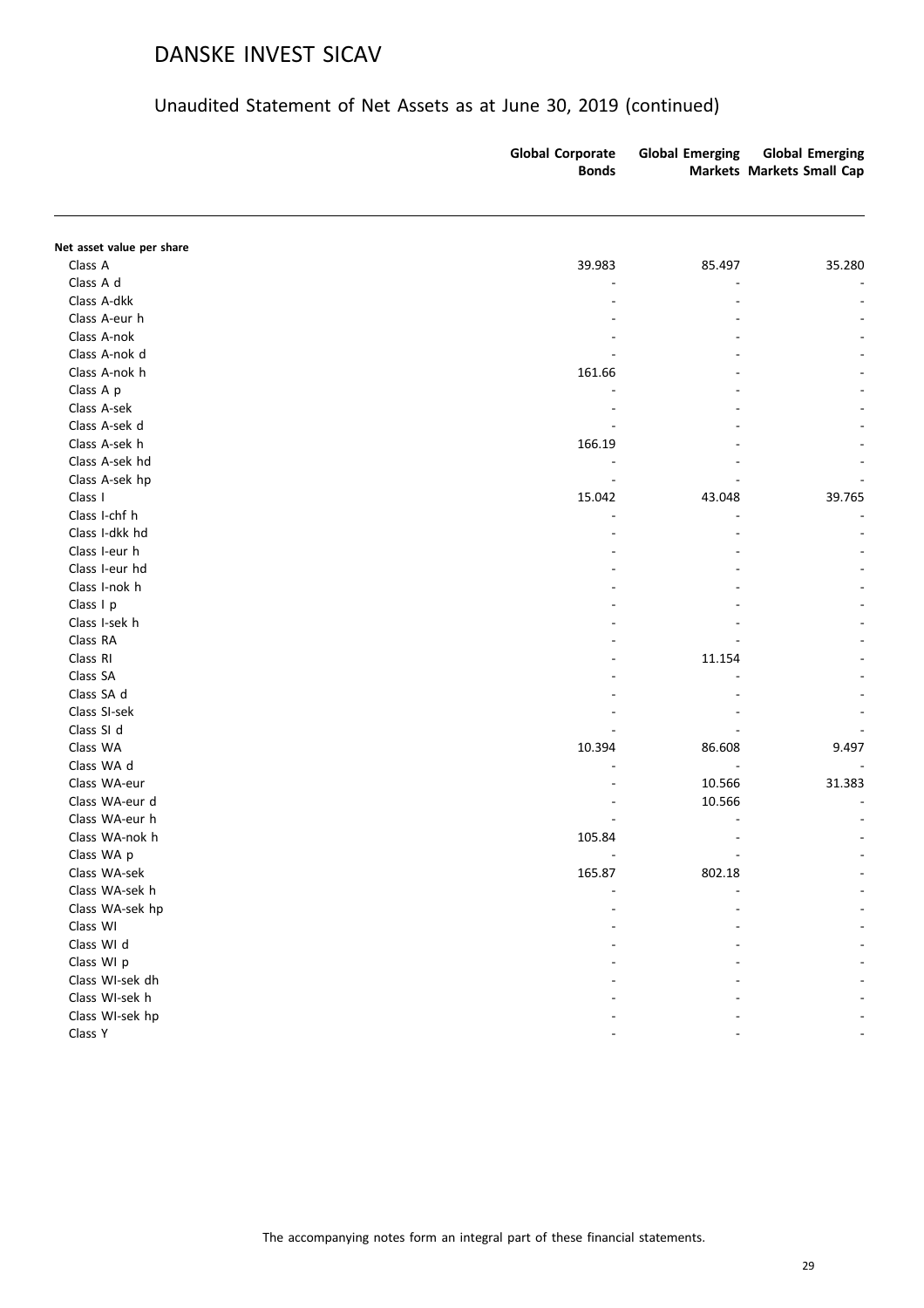| Net asset value per share<br>Class A<br>39.983<br>85.497<br>Class A d<br>Class A-dkk<br>Class A-eur h<br>Class A-nok<br>Class A-nok d<br>Class A-nok h<br>161.66<br>Class A p<br>Class A-sek<br>Class A-sek d<br>Class A-sek h<br>166.19<br>Class A-sek hd<br>Class A-sek hp<br>Class I<br>15.042<br>43.048<br>Class I-chf h<br>Class I-dkk hd<br>Class I-eur h<br>Class I-eur hd<br>Class I-nok h<br>Class I p<br>Class I-sek h<br>Class RA<br>Class RI<br>11.154<br>Class SA<br>Class SA d<br>Class SI-sek<br>Class SI d<br>Class WA<br>10.394<br>86.608<br>Class WA d<br>Class WA-eur<br>10.566<br>Class WA-eur d<br>10.566<br>Class WA-eur h<br>Class WA-nok h<br>105.84<br>Class WA p<br>Class WA-sek<br>165.87<br>802.18<br>Class WA-sek h<br>Class WA-sek hp<br>Class WI<br>Class WI d<br>Class WI p<br>Class WI-sek dh<br>Class WI-sek h<br>Class WI-sek hp |         | <b>Global Corporate</b><br><b>Bonds</b> | <b>Global Emerging</b> | <b>Global Emerging</b><br>Markets Markets Small Cap |
|---------------------------------------------------------------------------------------------------------------------------------------------------------------------------------------------------------------------------------------------------------------------------------------------------------------------------------------------------------------------------------------------------------------------------------------------------------------------------------------------------------------------------------------------------------------------------------------------------------------------------------------------------------------------------------------------------------------------------------------------------------------------------------------------------------------------------------------------------------------------|---------|-----------------------------------------|------------------------|-----------------------------------------------------|
|                                                                                                                                                                                                                                                                                                                                                                                                                                                                                                                                                                                                                                                                                                                                                                                                                                                                     |         |                                         |                        |                                                     |
|                                                                                                                                                                                                                                                                                                                                                                                                                                                                                                                                                                                                                                                                                                                                                                                                                                                                     |         |                                         |                        |                                                     |
|                                                                                                                                                                                                                                                                                                                                                                                                                                                                                                                                                                                                                                                                                                                                                                                                                                                                     |         |                                         |                        | 35.280                                              |
|                                                                                                                                                                                                                                                                                                                                                                                                                                                                                                                                                                                                                                                                                                                                                                                                                                                                     |         |                                         |                        |                                                     |
|                                                                                                                                                                                                                                                                                                                                                                                                                                                                                                                                                                                                                                                                                                                                                                                                                                                                     |         |                                         |                        |                                                     |
|                                                                                                                                                                                                                                                                                                                                                                                                                                                                                                                                                                                                                                                                                                                                                                                                                                                                     |         |                                         |                        |                                                     |
|                                                                                                                                                                                                                                                                                                                                                                                                                                                                                                                                                                                                                                                                                                                                                                                                                                                                     |         |                                         |                        |                                                     |
|                                                                                                                                                                                                                                                                                                                                                                                                                                                                                                                                                                                                                                                                                                                                                                                                                                                                     |         |                                         |                        |                                                     |
|                                                                                                                                                                                                                                                                                                                                                                                                                                                                                                                                                                                                                                                                                                                                                                                                                                                                     |         |                                         |                        |                                                     |
|                                                                                                                                                                                                                                                                                                                                                                                                                                                                                                                                                                                                                                                                                                                                                                                                                                                                     |         |                                         |                        |                                                     |
|                                                                                                                                                                                                                                                                                                                                                                                                                                                                                                                                                                                                                                                                                                                                                                                                                                                                     |         |                                         |                        |                                                     |
|                                                                                                                                                                                                                                                                                                                                                                                                                                                                                                                                                                                                                                                                                                                                                                                                                                                                     |         |                                         |                        |                                                     |
|                                                                                                                                                                                                                                                                                                                                                                                                                                                                                                                                                                                                                                                                                                                                                                                                                                                                     |         |                                         |                        |                                                     |
|                                                                                                                                                                                                                                                                                                                                                                                                                                                                                                                                                                                                                                                                                                                                                                                                                                                                     |         |                                         |                        |                                                     |
|                                                                                                                                                                                                                                                                                                                                                                                                                                                                                                                                                                                                                                                                                                                                                                                                                                                                     |         |                                         |                        |                                                     |
|                                                                                                                                                                                                                                                                                                                                                                                                                                                                                                                                                                                                                                                                                                                                                                                                                                                                     |         |                                         |                        | 39.765                                              |
|                                                                                                                                                                                                                                                                                                                                                                                                                                                                                                                                                                                                                                                                                                                                                                                                                                                                     |         |                                         |                        |                                                     |
|                                                                                                                                                                                                                                                                                                                                                                                                                                                                                                                                                                                                                                                                                                                                                                                                                                                                     |         |                                         |                        |                                                     |
|                                                                                                                                                                                                                                                                                                                                                                                                                                                                                                                                                                                                                                                                                                                                                                                                                                                                     |         |                                         |                        |                                                     |
|                                                                                                                                                                                                                                                                                                                                                                                                                                                                                                                                                                                                                                                                                                                                                                                                                                                                     |         |                                         |                        |                                                     |
|                                                                                                                                                                                                                                                                                                                                                                                                                                                                                                                                                                                                                                                                                                                                                                                                                                                                     |         |                                         |                        |                                                     |
|                                                                                                                                                                                                                                                                                                                                                                                                                                                                                                                                                                                                                                                                                                                                                                                                                                                                     |         |                                         |                        |                                                     |
|                                                                                                                                                                                                                                                                                                                                                                                                                                                                                                                                                                                                                                                                                                                                                                                                                                                                     |         |                                         |                        |                                                     |
|                                                                                                                                                                                                                                                                                                                                                                                                                                                                                                                                                                                                                                                                                                                                                                                                                                                                     |         |                                         |                        |                                                     |
|                                                                                                                                                                                                                                                                                                                                                                                                                                                                                                                                                                                                                                                                                                                                                                                                                                                                     |         |                                         |                        |                                                     |
|                                                                                                                                                                                                                                                                                                                                                                                                                                                                                                                                                                                                                                                                                                                                                                                                                                                                     |         |                                         |                        |                                                     |
|                                                                                                                                                                                                                                                                                                                                                                                                                                                                                                                                                                                                                                                                                                                                                                                                                                                                     |         |                                         |                        |                                                     |
|                                                                                                                                                                                                                                                                                                                                                                                                                                                                                                                                                                                                                                                                                                                                                                                                                                                                     |         |                                         |                        |                                                     |
|                                                                                                                                                                                                                                                                                                                                                                                                                                                                                                                                                                                                                                                                                                                                                                                                                                                                     |         |                                         |                        |                                                     |
|                                                                                                                                                                                                                                                                                                                                                                                                                                                                                                                                                                                                                                                                                                                                                                                                                                                                     |         |                                         |                        | 9.497                                               |
|                                                                                                                                                                                                                                                                                                                                                                                                                                                                                                                                                                                                                                                                                                                                                                                                                                                                     |         |                                         |                        |                                                     |
|                                                                                                                                                                                                                                                                                                                                                                                                                                                                                                                                                                                                                                                                                                                                                                                                                                                                     |         |                                         |                        | 31.383                                              |
|                                                                                                                                                                                                                                                                                                                                                                                                                                                                                                                                                                                                                                                                                                                                                                                                                                                                     |         |                                         |                        |                                                     |
|                                                                                                                                                                                                                                                                                                                                                                                                                                                                                                                                                                                                                                                                                                                                                                                                                                                                     |         |                                         |                        |                                                     |
|                                                                                                                                                                                                                                                                                                                                                                                                                                                                                                                                                                                                                                                                                                                                                                                                                                                                     |         |                                         |                        |                                                     |
|                                                                                                                                                                                                                                                                                                                                                                                                                                                                                                                                                                                                                                                                                                                                                                                                                                                                     |         |                                         |                        |                                                     |
|                                                                                                                                                                                                                                                                                                                                                                                                                                                                                                                                                                                                                                                                                                                                                                                                                                                                     |         |                                         |                        |                                                     |
|                                                                                                                                                                                                                                                                                                                                                                                                                                                                                                                                                                                                                                                                                                                                                                                                                                                                     |         |                                         |                        |                                                     |
|                                                                                                                                                                                                                                                                                                                                                                                                                                                                                                                                                                                                                                                                                                                                                                                                                                                                     |         |                                         |                        |                                                     |
|                                                                                                                                                                                                                                                                                                                                                                                                                                                                                                                                                                                                                                                                                                                                                                                                                                                                     |         |                                         |                        |                                                     |
|                                                                                                                                                                                                                                                                                                                                                                                                                                                                                                                                                                                                                                                                                                                                                                                                                                                                     |         |                                         |                        |                                                     |
|                                                                                                                                                                                                                                                                                                                                                                                                                                                                                                                                                                                                                                                                                                                                                                                                                                                                     |         |                                         |                        |                                                     |
|                                                                                                                                                                                                                                                                                                                                                                                                                                                                                                                                                                                                                                                                                                                                                                                                                                                                     |         |                                         |                        |                                                     |
|                                                                                                                                                                                                                                                                                                                                                                                                                                                                                                                                                                                                                                                                                                                                                                                                                                                                     |         |                                         |                        |                                                     |
|                                                                                                                                                                                                                                                                                                                                                                                                                                                                                                                                                                                                                                                                                                                                                                                                                                                                     |         |                                         |                        |                                                     |
|                                                                                                                                                                                                                                                                                                                                                                                                                                                                                                                                                                                                                                                                                                                                                                                                                                                                     | Class Y |                                         |                        |                                                     |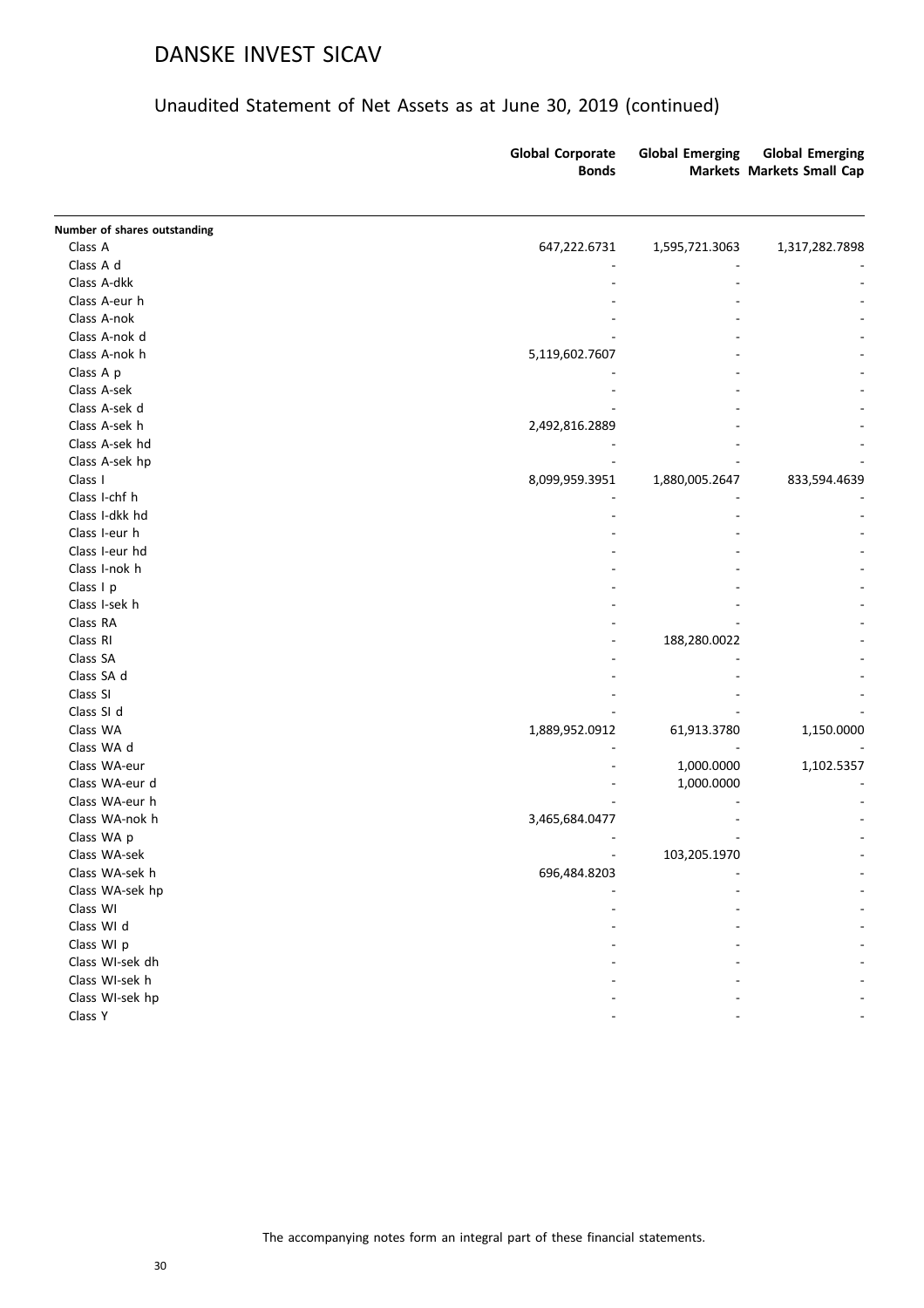|                                | <b>Global Corporate</b><br><b>Bonds</b> | <b>Global Emerging</b> | <b>Global Emerging</b><br><b>Markets Markets Small Cap</b> |
|--------------------------------|-----------------------------------------|------------------------|------------------------------------------------------------|
| Number of shares outstanding   |                                         |                        |                                                            |
| Class A                        | 647,222.6731                            | 1,595,721.3063         | 1,317,282.7898                                             |
| Class A d                      |                                         |                        |                                                            |
| Class A-dkk                    |                                         |                        |                                                            |
| Class A-eur h                  |                                         |                        |                                                            |
| Class A-nok                    |                                         |                        |                                                            |
| Class A-nok d                  |                                         |                        |                                                            |
| Class A-nok h                  | 5,119,602.7607                          |                        |                                                            |
| Class A p                      |                                         |                        |                                                            |
| Class A-sek                    |                                         |                        |                                                            |
| Class A-sek d                  |                                         |                        |                                                            |
| Class A-sek h                  | 2,492,816.2889                          |                        |                                                            |
| Class A-sek hd                 |                                         |                        |                                                            |
| Class A-sek hp                 |                                         |                        |                                                            |
| Class I                        | 8,099,959.3951                          | 1,880,005.2647         | 833,594.4639                                               |
| Class I-chf h                  |                                         |                        |                                                            |
| Class I-dkk hd                 |                                         |                        |                                                            |
| Class I-eur h                  |                                         |                        |                                                            |
| Class I-eur hd                 |                                         |                        |                                                            |
| Class I-nok h                  |                                         |                        |                                                            |
| Class I p                      |                                         |                        |                                                            |
| Class I-sek h                  |                                         |                        |                                                            |
| Class RA                       |                                         |                        |                                                            |
| Class RI                       |                                         | 188,280.0022           |                                                            |
| Class SA                       |                                         |                        |                                                            |
| Class SA d                     |                                         |                        |                                                            |
| Class SI                       |                                         |                        |                                                            |
| Class SI d                     |                                         |                        |                                                            |
| Class WA                       |                                         |                        |                                                            |
| Class WA d                     | 1,889,952.0912                          | 61,913.3780            | 1,150.0000                                                 |
| Class WA-eur                   |                                         |                        |                                                            |
| Class WA-eur d                 |                                         | 1,000.0000             | 1,102.5357                                                 |
| Class WA-eur h                 |                                         | 1,000.0000             |                                                            |
| Class WA-nok h                 |                                         |                        |                                                            |
| Class WA p                     | 3,465,684.0477                          |                        |                                                            |
|                                |                                         |                        |                                                            |
| Class WA-sek<br>Class WA-sek h |                                         | 103,205.1970           |                                                            |
|                                | 696,484.8203                            |                        |                                                            |
| Class WA-sek hp                |                                         |                        |                                                            |
| Class WI                       |                                         |                        |                                                            |
| Class WI d                     |                                         |                        |                                                            |
| Class WI p                     |                                         |                        |                                                            |
| Class WI-sek dh                |                                         |                        |                                                            |
| Class WI-sek h                 |                                         |                        |                                                            |
| Class WI-sek hp                |                                         |                        |                                                            |
| Class Y                        |                                         |                        |                                                            |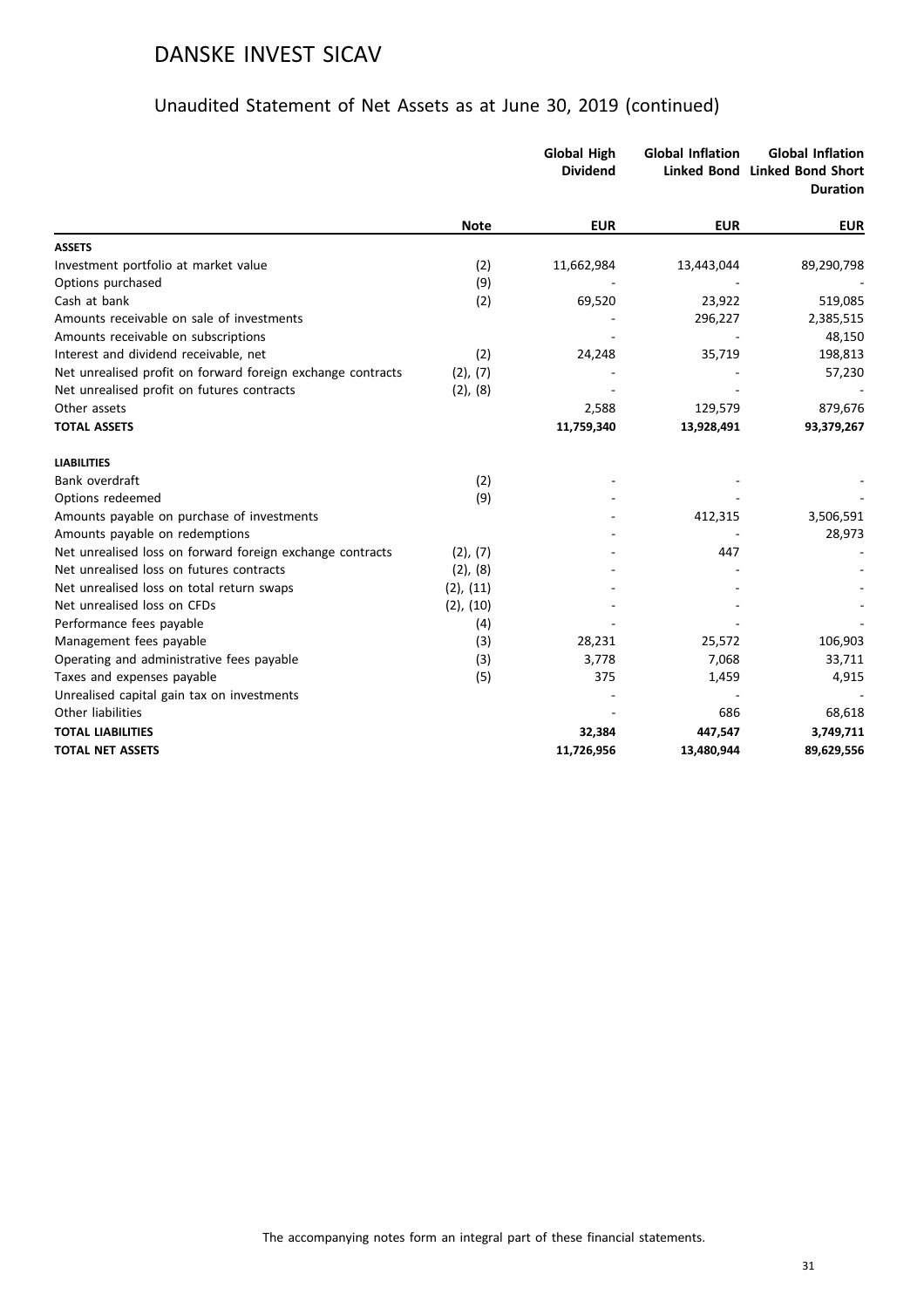|                                                             |                | <b>Global High</b><br><b>Dividend</b> | <b>Global Inflation</b> | <b>Global Inflation</b><br>Linked Bond Linked Bond Short<br><b>Duration</b> |
|-------------------------------------------------------------|----------------|---------------------------------------|-------------------------|-----------------------------------------------------------------------------|
|                                                             | <b>Note</b>    | <b>EUR</b>                            | <b>EUR</b>              | <b>EUR</b>                                                                  |
| <b>ASSETS</b>                                               |                |                                       |                         |                                                                             |
| Investment portfolio at market value                        | (2)            | 11,662,984                            | 13,443,044              | 89,290,798                                                                  |
| Options purchased                                           | (9)            |                                       |                         |                                                                             |
| Cash at bank                                                | (2)            | 69,520                                | 23,922                  | 519,085                                                                     |
| Amounts receivable on sale of investments                   |                |                                       | 296,227                 | 2,385,515                                                                   |
| Amounts receivable on subscriptions                         |                |                                       |                         | 48,150                                                                      |
| Interest and dividend receivable, net                       | (2)            | 24,248                                | 35,719                  | 198,813                                                                     |
| Net unrealised profit on forward foreign exchange contracts | (2), (7)       |                                       |                         | 57,230                                                                      |
| Net unrealised profit on futures contracts                  | (2), (8)       |                                       |                         |                                                                             |
| Other assets                                                |                | 2,588                                 | 129,579                 | 879,676                                                                     |
| <b>TOTAL ASSETS</b>                                         |                | 11,759,340                            | 13,928,491              | 93,379,267                                                                  |
| <b>LIABILITIES</b>                                          |                |                                       |                         |                                                                             |
| Bank overdraft                                              | (2)            |                                       |                         |                                                                             |
| Options redeemed                                            | (9)            |                                       |                         |                                                                             |
| Amounts payable on purchase of investments                  |                |                                       | 412,315                 | 3,506,591                                                                   |
| Amounts payable on redemptions                              |                |                                       |                         | 28,973                                                                      |
| Net unrealised loss on forward foreign exchange contracts   | (2), (7)       |                                       | 447                     |                                                                             |
| Net unrealised loss on futures contracts                    | $(2)$ , $(8)$  |                                       |                         |                                                                             |
| Net unrealised loss on total return swaps                   | $(2)$ , $(11)$ |                                       |                         |                                                                             |
| Net unrealised loss on CFDs                                 | $(2)$ , $(10)$ |                                       |                         |                                                                             |
| Performance fees payable                                    | (4)            |                                       |                         |                                                                             |
| Management fees payable                                     | (3)            | 28,231                                | 25,572                  | 106,903                                                                     |
| Operating and administrative fees payable                   | (3)            | 3,778                                 | 7,068                   | 33,711                                                                      |
| Taxes and expenses payable                                  | (5)            | 375                                   | 1,459                   | 4,915                                                                       |
| Unrealised capital gain tax on investments                  |                |                                       |                         |                                                                             |
| Other liabilities                                           |                |                                       | 686                     | 68,618                                                                      |
| <b>TOTAL LIABILITIES</b>                                    |                | 32,384                                | 447,547                 | 3,749,711                                                                   |
| <b>TOTAL NET ASSETS</b>                                     |                | 11,726,956                            | 13,480,944              | 89,629,556                                                                  |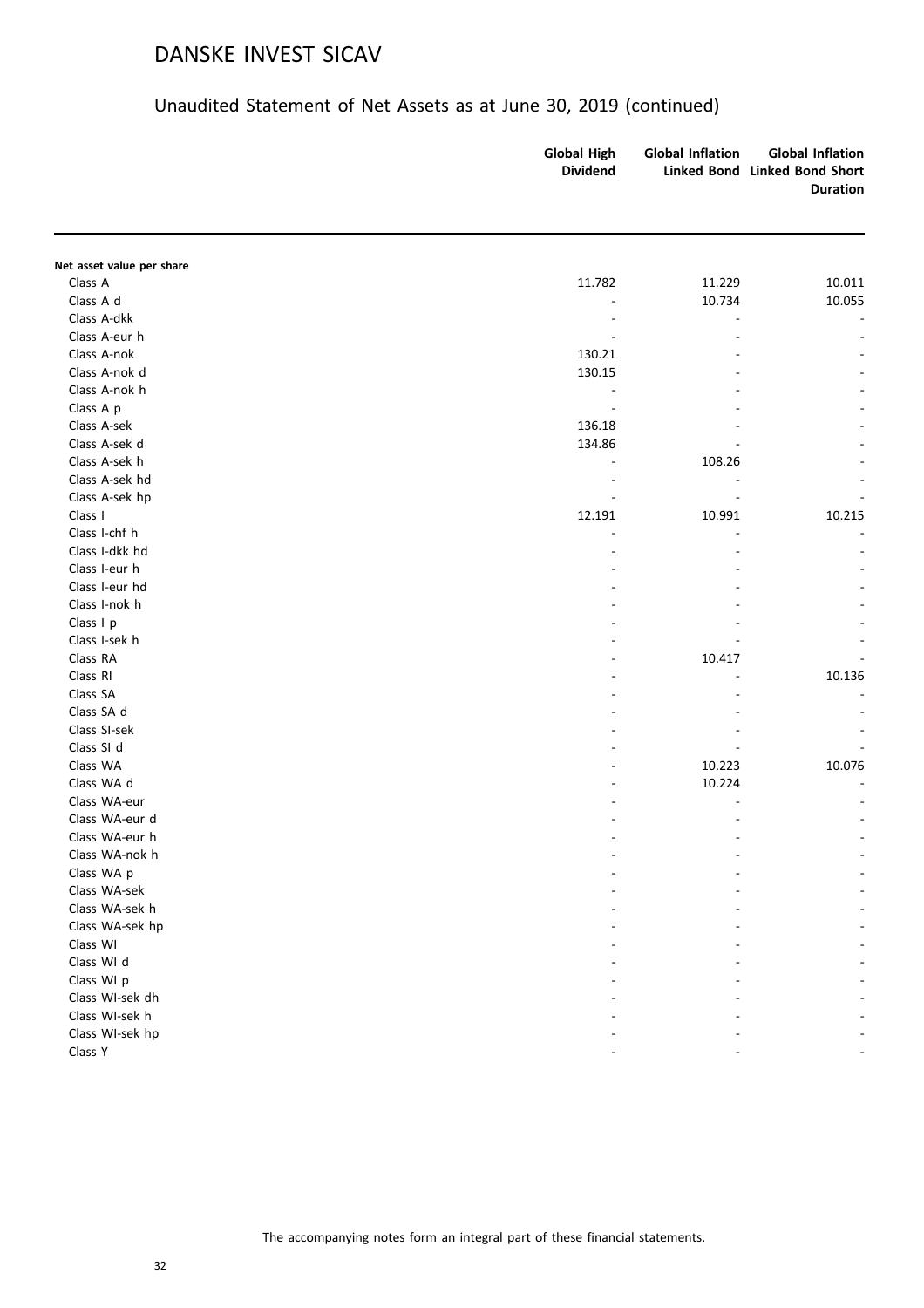|                           | <b>Global High</b><br><b>Dividend</b> | <b>Global Inflation</b> | <b>Global Inflation</b><br>Linked Bond Linked Bond Short<br><b>Duration</b> |
|---------------------------|---------------------------------------|-------------------------|-----------------------------------------------------------------------------|
| Net asset value per share |                                       |                         |                                                                             |
| Class A                   | 11.782                                | 11.229                  | 10.011                                                                      |
| Class A d                 |                                       | 10.734                  | 10.055                                                                      |
| Class A-dkk               |                                       |                         |                                                                             |
| Class A-eur h             |                                       |                         |                                                                             |
| Class A-nok               | 130.21                                |                         |                                                                             |
| Class A-nok d             | 130.15                                |                         |                                                                             |
| Class A-nok h             |                                       |                         |                                                                             |
| Class A p                 |                                       |                         |                                                                             |
| Class A-sek               | 136.18                                |                         |                                                                             |
| Class A-sek d             | 134.86                                |                         |                                                                             |
| Class A-sek h             |                                       | 108.26                  |                                                                             |
| Class A-sek hd            |                                       |                         |                                                                             |
| Class A-sek hp            |                                       |                         |                                                                             |
| Class I                   | 12.191                                | 10.991                  | 10.215                                                                      |
| Class I-chf h             |                                       |                         |                                                                             |
| Class I-dkk hd            | ÷                                     |                         |                                                                             |
| Class I-eur h             |                                       |                         |                                                                             |
| Class I-eur hd            |                                       |                         |                                                                             |
| Class I-nok h             |                                       |                         |                                                                             |
| Class I p                 |                                       |                         |                                                                             |
| Class I-sek h             |                                       |                         |                                                                             |
| Class RA                  |                                       | 10.417                  |                                                                             |
| Class RI                  |                                       |                         | 10.136                                                                      |
| Class SA                  |                                       |                         |                                                                             |
| Class SA d                |                                       |                         |                                                                             |
| Class SI-sek              |                                       |                         |                                                                             |
| Class SI d                |                                       |                         |                                                                             |
| Class WA                  |                                       | 10.223                  | 10.076                                                                      |
| Class WA d                |                                       | 10.224                  |                                                                             |
| Class WA-eur              |                                       |                         |                                                                             |
| Class WA-eur d            |                                       |                         |                                                                             |
| Class WA-eur h            |                                       |                         |                                                                             |
| Class WA-nok h            |                                       |                         |                                                                             |
| Class WA p                |                                       |                         |                                                                             |
| Class WA-sek              |                                       |                         |                                                                             |
| Class WA-sek h            |                                       |                         |                                                                             |
| Class WA-sek hp           |                                       |                         |                                                                             |
| Class WI                  |                                       |                         |                                                                             |
| Class WI d                |                                       |                         |                                                                             |
| Class WI p                |                                       |                         |                                                                             |
| Class WI-sek dh           |                                       |                         |                                                                             |
| Class WI-sek h            |                                       |                         |                                                                             |
| Class WI-sek hp           |                                       |                         |                                                                             |
| Class Y                   |                                       |                         |                                                                             |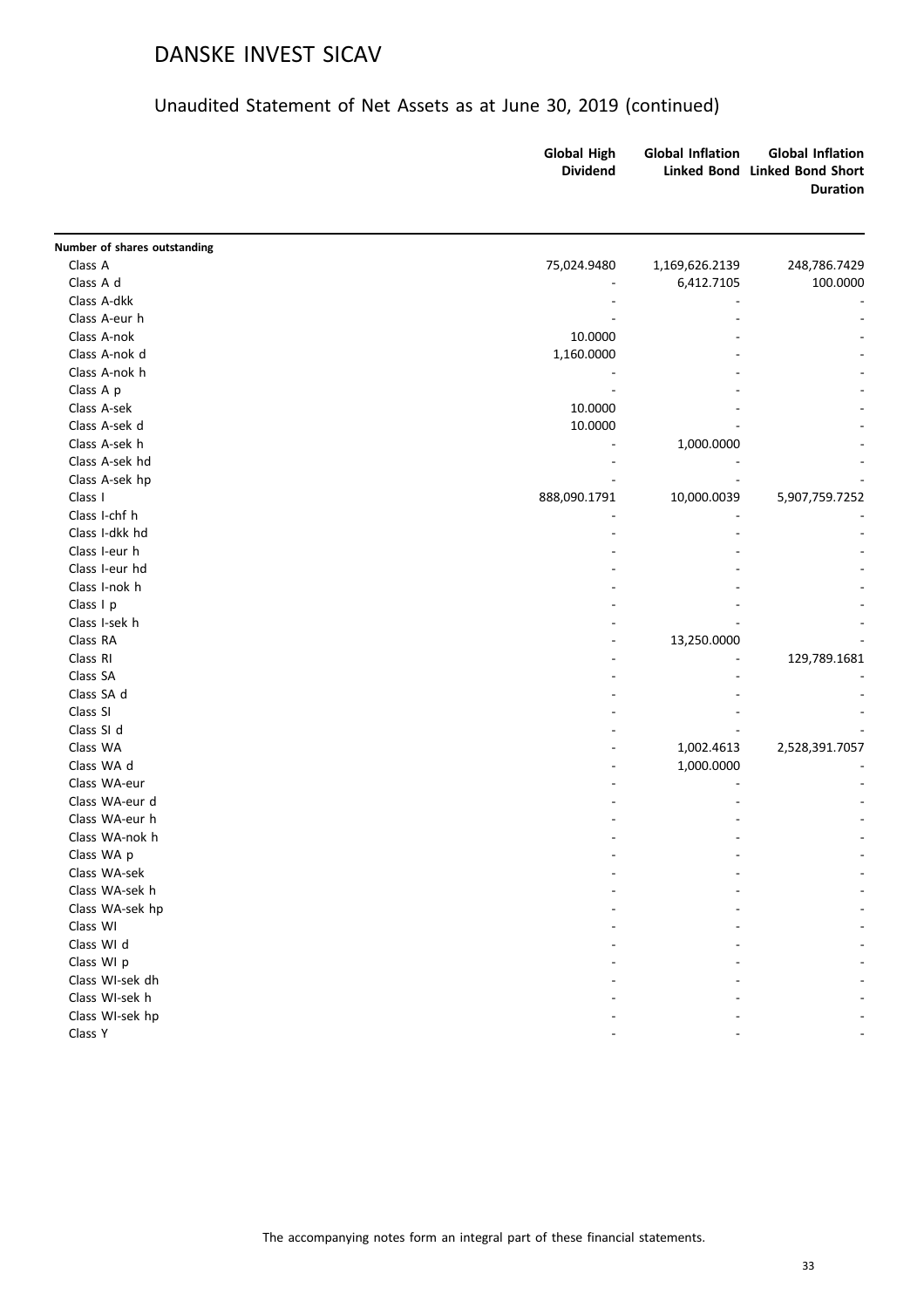|                              | <b>Global High</b><br><b>Dividend</b> | <b>Global Inflation</b> | <b>Global Inflation</b><br>Linked Bond Linked Bond Short<br><b>Duration</b> |
|------------------------------|---------------------------------------|-------------------------|-----------------------------------------------------------------------------|
| Number of shares outstanding |                                       |                         |                                                                             |
| Class A                      | 75,024.9480                           | 1,169,626.2139          | 248,786.7429                                                                |
| Class A d                    |                                       | 6,412.7105              | 100.0000                                                                    |
| Class A-dkk                  |                                       |                         |                                                                             |
| Class A-eur h                |                                       |                         |                                                                             |
| Class A-nok                  | 10.0000                               |                         |                                                                             |
| Class A-nok d                | 1,160.0000                            |                         |                                                                             |
| Class A-nok h                |                                       |                         |                                                                             |
| Class A p                    |                                       |                         |                                                                             |
| Class A-sek                  | 10.0000                               |                         |                                                                             |
| Class A-sek d                | 10.0000                               |                         |                                                                             |
| Class A-sek h                |                                       | 1,000.0000              |                                                                             |
| Class A-sek hd               |                                       |                         |                                                                             |
| Class A-sek hp               |                                       |                         |                                                                             |
| Class I                      | 888,090.1791                          | 10,000.0039             | 5,907,759.7252                                                              |
| Class I-chf h                |                                       |                         |                                                                             |
| Class I-dkk hd               |                                       |                         |                                                                             |
| Class I-eur h                |                                       |                         |                                                                             |
| Class I-eur hd               |                                       |                         |                                                                             |
| Class I-nok h                |                                       |                         |                                                                             |
| Class I p                    |                                       |                         |                                                                             |
| Class I-sek h                |                                       |                         |                                                                             |
| Class RA                     |                                       | 13,250.0000             |                                                                             |
| Class RI                     |                                       |                         | 129,789.1681                                                                |
| Class SA                     |                                       |                         |                                                                             |
| Class SA d                   |                                       |                         |                                                                             |
| Class SI                     |                                       |                         |                                                                             |
| Class SI d                   |                                       |                         |                                                                             |
| Class WA                     |                                       | 1,002.4613              | 2,528,391.7057                                                              |
| Class WA d                   |                                       | 1,000.0000              |                                                                             |
| Class WA-eur                 |                                       |                         |                                                                             |
| Class WA-eur d               |                                       |                         |                                                                             |
| Class WA-eur h               |                                       |                         |                                                                             |
| Class WA-nok h               |                                       |                         |                                                                             |
| Class WA p                   |                                       |                         |                                                                             |
| Class WA-sek                 |                                       |                         |                                                                             |
| Class WA-sek h               |                                       |                         |                                                                             |
| Class WA-sek hp              |                                       |                         |                                                                             |
| Class WI                     |                                       |                         |                                                                             |
| Class WI d                   |                                       |                         |                                                                             |
| Class WI p                   |                                       |                         |                                                                             |
|                              |                                       |                         |                                                                             |
| Class WI-sek dh              |                                       |                         |                                                                             |
| Class WI-sek h               |                                       |                         |                                                                             |
| Class WI-sek hp              |                                       |                         |                                                                             |
| Class Y                      |                                       |                         |                                                                             |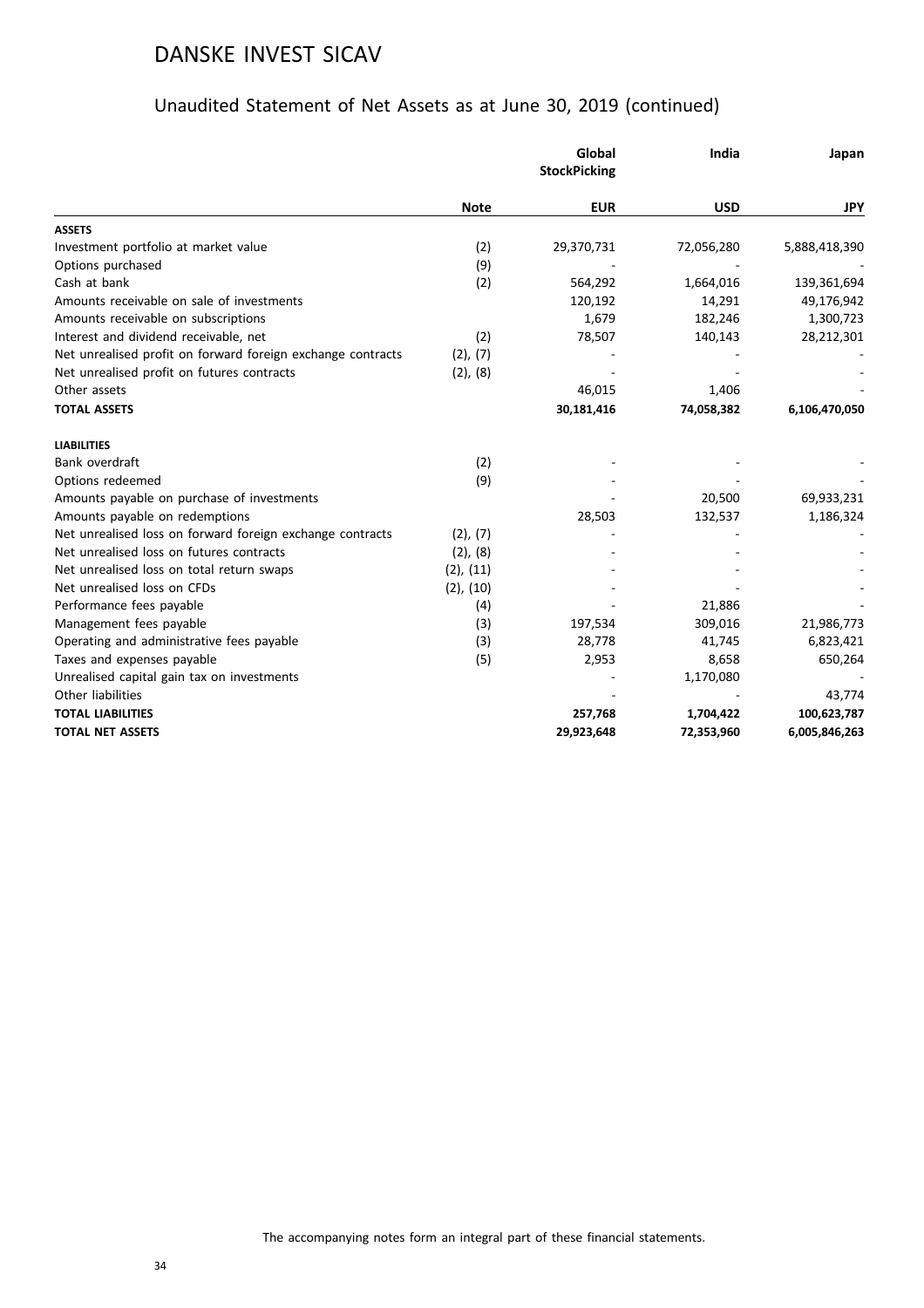|                                                             |                | Global<br><b>StockPicking</b> | India      | Japan         |
|-------------------------------------------------------------|----------------|-------------------------------|------------|---------------|
|                                                             | <b>Note</b>    | <b>EUR</b>                    | <b>USD</b> | JPY           |
| <b>ASSETS</b>                                               |                |                               |            |               |
| Investment portfolio at market value                        | (2)            | 29,370,731                    | 72,056,280 | 5,888,418,390 |
| Options purchased                                           | (9)            |                               |            |               |
| Cash at bank                                                | (2)            | 564,292                       | 1,664,016  | 139,361,694   |
| Amounts receivable on sale of investments                   |                | 120,192                       | 14,291     | 49,176,942    |
| Amounts receivable on subscriptions                         |                | 1,679                         | 182,246    | 1,300,723     |
| Interest and dividend receivable, net                       | (2)            | 78,507                        | 140,143    | 28,212,301    |
| Net unrealised profit on forward foreign exchange contracts | (2), (7)       |                               |            |               |
| Net unrealised profit on futures contracts                  | (2), (8)       |                               |            |               |
| Other assets                                                |                | 46,015                        | 1,406      |               |
| <b>TOTAL ASSETS</b>                                         |                | 30,181,416                    | 74,058,382 | 6,106,470,050 |
| <b>LIABILITIES</b>                                          |                |                               |            |               |
| Bank overdraft                                              | (2)            |                               |            |               |
| Options redeemed                                            | (9)            |                               |            |               |
| Amounts payable on purchase of investments                  |                |                               | 20,500     | 69,933,231    |
| Amounts payable on redemptions                              |                | 28,503                        | 132,537    | 1,186,324     |
| Net unrealised loss on forward foreign exchange contracts   | (2), (7)       |                               |            |               |
| Net unrealised loss on futures contracts                    | $(2)$ , $(8)$  |                               |            |               |
| Net unrealised loss on total return swaps                   | $(2)$ , $(11)$ |                               |            |               |
| Net unrealised loss on CFDs                                 | $(2)$ , $(10)$ |                               |            |               |
| Performance fees payable                                    | (4)            |                               | 21,886     |               |
| Management fees payable                                     | (3)            | 197,534                       | 309,016    | 21,986,773    |
| Operating and administrative fees payable                   | (3)            | 28,778                        | 41,745     | 6,823,421     |
| Taxes and expenses payable                                  | (5)            | 2,953                         | 8,658      | 650,264       |
| Unrealised capital gain tax on investments                  |                |                               | 1,170,080  |               |
| Other liabilities                                           |                |                               |            | 43,774        |
| <b>TOTAL LIABILITIES</b>                                    |                | 257,768                       | 1,704,422  | 100,623,787   |
| <b>TOTAL NET ASSETS</b>                                     |                | 29,923,648                    | 72,353,960 | 6,005,846,263 |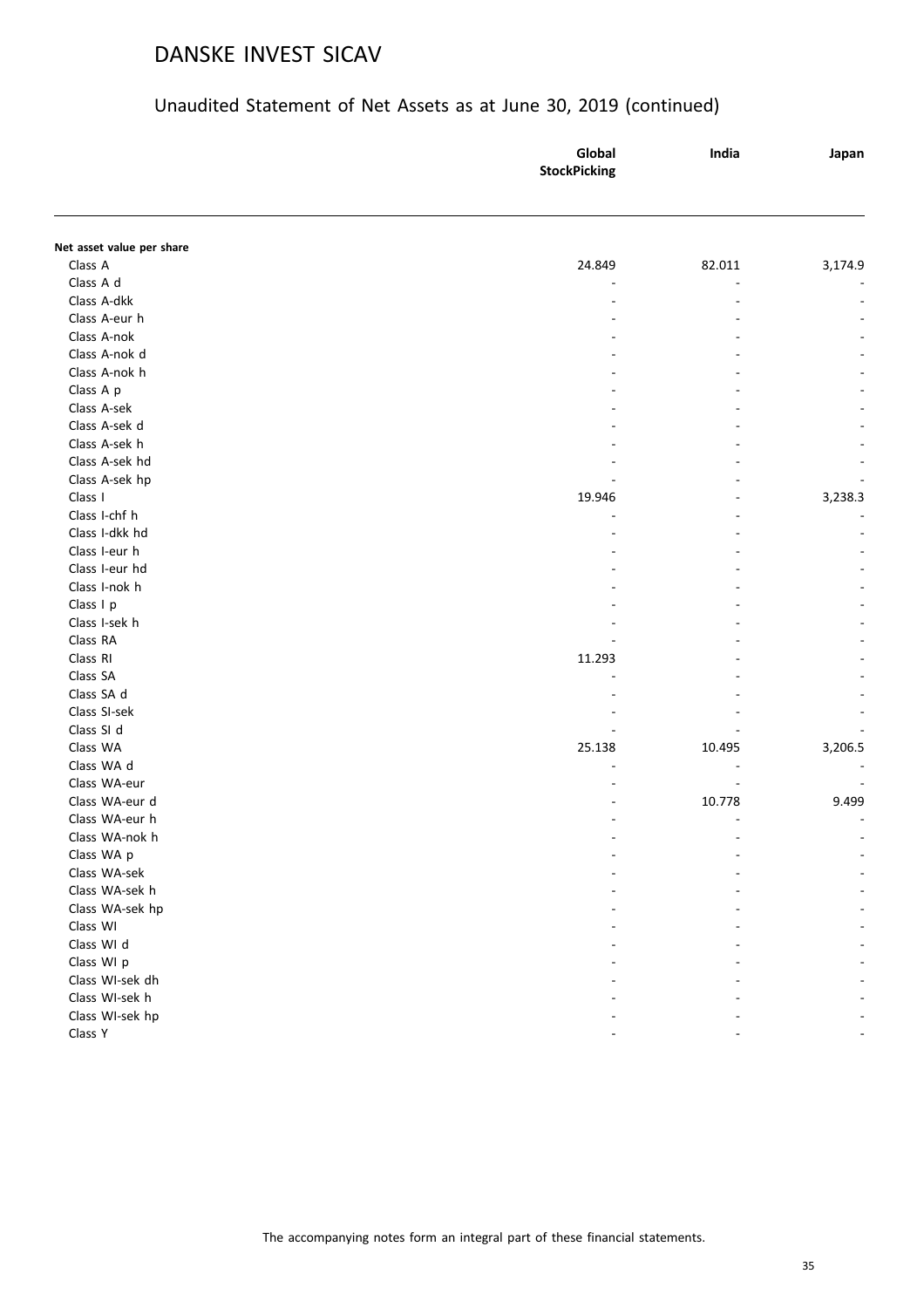| Net asset value per share<br>Class A<br>24.849<br>82.011<br>Class A d<br>Class A-dkk<br>Class A-eur h<br>Class A-nok<br>Class A-nok d<br>Class A-nok h<br>Class A p<br>Class A-sek<br>Class A-sek d | Japan   |
|-----------------------------------------------------------------------------------------------------------------------------------------------------------------------------------------------------|---------|
|                                                                                                                                                                                                     |         |
|                                                                                                                                                                                                     |         |
|                                                                                                                                                                                                     | 3,174.9 |
|                                                                                                                                                                                                     |         |
|                                                                                                                                                                                                     |         |
|                                                                                                                                                                                                     |         |
|                                                                                                                                                                                                     |         |
|                                                                                                                                                                                                     |         |
|                                                                                                                                                                                                     |         |
|                                                                                                                                                                                                     |         |
|                                                                                                                                                                                                     |         |
|                                                                                                                                                                                                     |         |
| Class A-sek h                                                                                                                                                                                       |         |
| Class A-sek hd                                                                                                                                                                                      |         |
| Class A-sek hp                                                                                                                                                                                      |         |
| Class I<br>19.946                                                                                                                                                                                   | 3,238.3 |
| Class I-chf h                                                                                                                                                                                       |         |
| Class I-dkk hd                                                                                                                                                                                      |         |
| Class I-eur h                                                                                                                                                                                       |         |
| Class I-eur hd                                                                                                                                                                                      |         |
| Class I-nok h                                                                                                                                                                                       |         |
| Class I p                                                                                                                                                                                           |         |
| Class I-sek h                                                                                                                                                                                       |         |
| Class RA                                                                                                                                                                                            |         |
| Class RI<br>11.293                                                                                                                                                                                  |         |
| Class SA                                                                                                                                                                                            |         |
| Class SA d                                                                                                                                                                                          |         |
| Class SI-sek                                                                                                                                                                                        |         |
| Class SI d                                                                                                                                                                                          |         |
| Class WA<br>25.138<br>10.495                                                                                                                                                                        | 3,206.5 |
| Class WA d                                                                                                                                                                                          |         |
| Class WA-eur                                                                                                                                                                                        |         |
| Class WA-eur d<br>10.778                                                                                                                                                                            | 9.499   |
| Class WA-eur h                                                                                                                                                                                      |         |
| Class WA-nok h                                                                                                                                                                                      |         |
| Class WA p                                                                                                                                                                                          |         |
| Class WA-sek                                                                                                                                                                                        |         |
| Class WA-sek h                                                                                                                                                                                      |         |
| Class WA-sek hp                                                                                                                                                                                     |         |
| Class WI                                                                                                                                                                                            |         |
| Class WI d                                                                                                                                                                                          |         |
| Class WI p                                                                                                                                                                                          |         |
| Class WI-sek dh                                                                                                                                                                                     |         |
| Class WI-sek h                                                                                                                                                                                      |         |
| Class WI-sek hp                                                                                                                                                                                     |         |
| Class Y                                                                                                                                                                                             |         |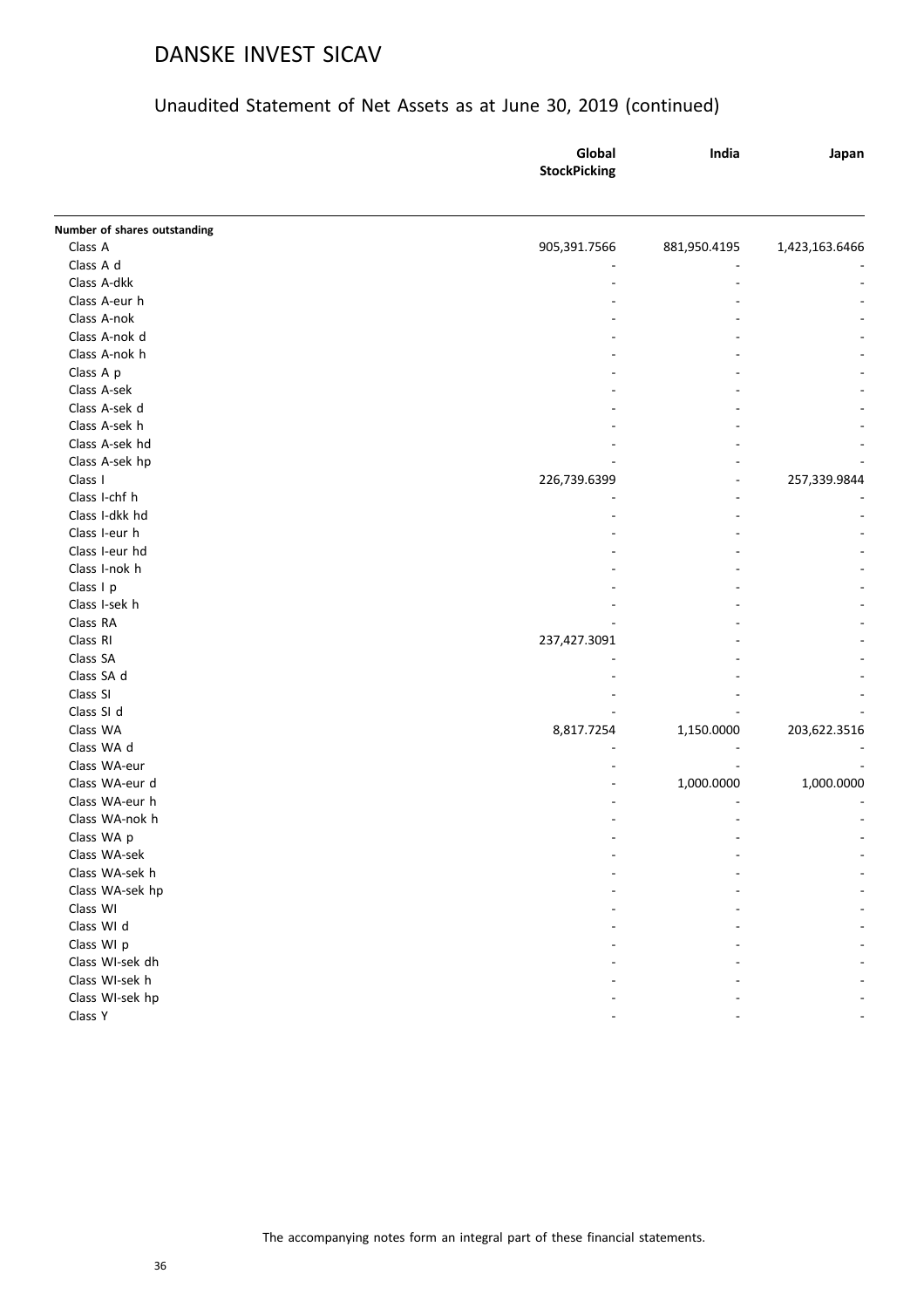|                                         | Global<br><b>StockPicking</b> | India        | Japan          |
|-----------------------------------------|-------------------------------|--------------|----------------|
|                                         |                               |              |                |
| Number of shares outstanding<br>Class A |                               |              |                |
| Class A d                               | 905,391.7566                  | 881,950.4195 | 1,423,163.6466 |
| Class A-dkk                             |                               |              |                |
| Class A-eur h                           |                               |              |                |
| Class A-nok                             |                               |              |                |
| Class A-nok d                           |                               |              |                |
| Class A-nok h                           |                               |              |                |
| Class A p                               |                               |              |                |
| Class A-sek                             |                               |              |                |
| Class A-sek d                           |                               |              |                |
| Class A-sek h                           |                               |              |                |
| Class A-sek hd                          |                               |              |                |
|                                         |                               |              |                |
| Class A-sek hp<br>Class I               | 226,739.6399                  |              | 257,339.9844   |
| Class I-chf h                           |                               |              |                |
| Class I-dkk hd                          |                               |              |                |
| Class I-eur h                           |                               |              |                |
| Class I-eur hd                          |                               |              |                |
| Class I-nok h                           |                               |              |                |
| Class I p                               |                               |              |                |
| Class I-sek h                           |                               |              |                |
| Class RA                                |                               |              |                |
| Class RI                                | 237,427.3091                  |              |                |
| Class SA                                |                               |              |                |
| Class SA d                              |                               |              |                |
| Class SI                                |                               |              |                |
| Class SI d                              |                               |              |                |
| Class WA                                | 8,817.7254                    | 1,150.0000   | 203,622.3516   |
| Class WA d                              |                               |              |                |
| Class WA-eur                            |                               |              |                |
| Class WA-eur d                          |                               | 1,000.0000   | 1,000.0000     |
| Class WA-eur h                          |                               |              |                |
| Class WA-nok h                          |                               |              |                |
| Class WA p                              |                               |              |                |
| Class WA-sek                            |                               |              |                |
| Class WA-sek h                          |                               |              |                |
| Class WA-sek hp                         |                               |              |                |
| Class WI                                |                               |              |                |
| Class WI d                              |                               |              |                |
| Class WI p                              |                               |              |                |
| Class WI-sek dh                         |                               |              |                |
| Class WI-sek h                          |                               |              |                |
| Class WI-sek hp                         |                               |              |                |
| Class Y                                 |                               |              |                |
|                                         |                               |              |                |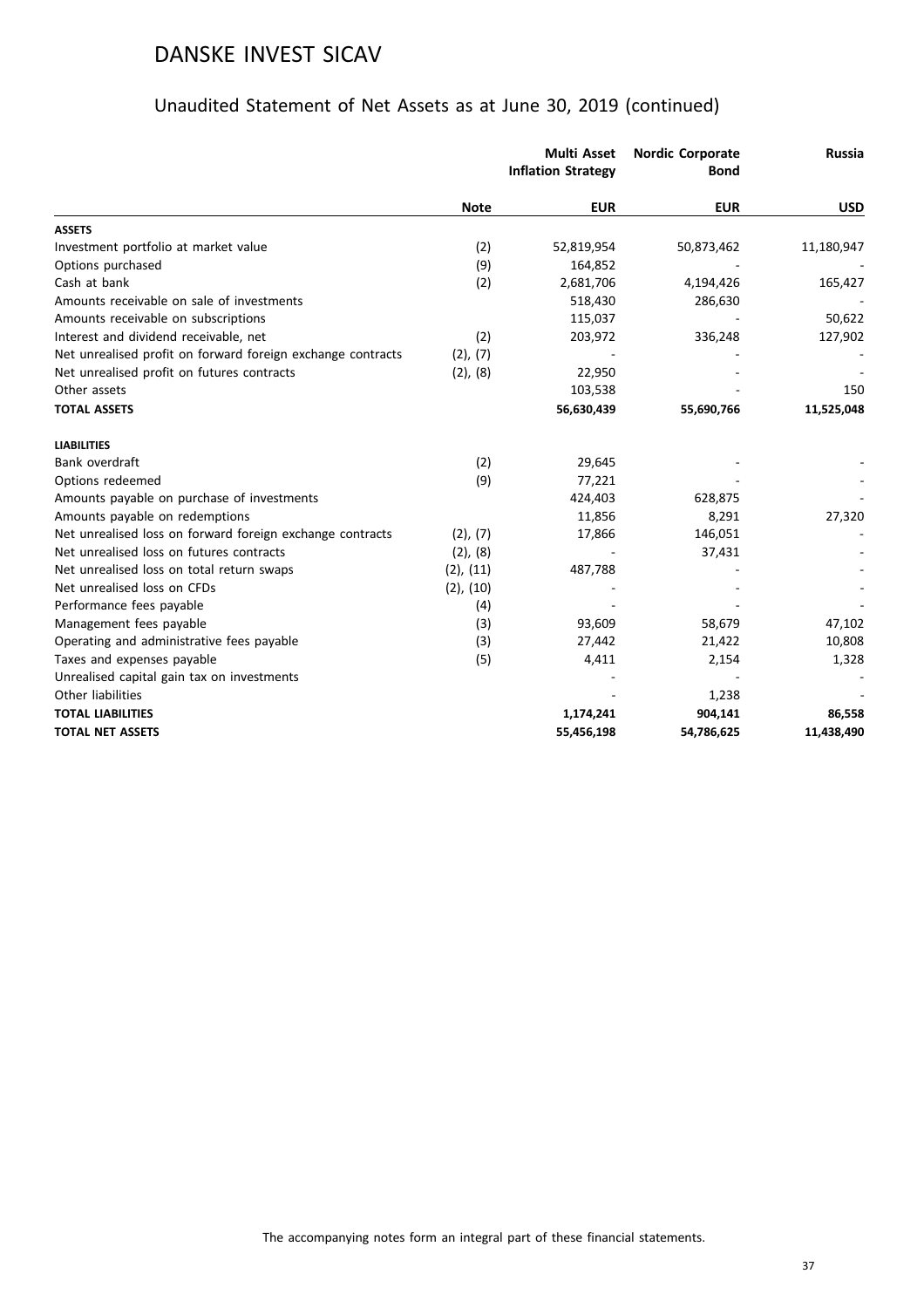|                                                             |                | <b>Multi Asset</b><br><b>Inflation Strategy</b> | <b>Nordic Corporate</b><br><b>Bond</b> | <b>Russia</b> |
|-------------------------------------------------------------|----------------|-------------------------------------------------|----------------------------------------|---------------|
|                                                             | <b>Note</b>    | <b>EUR</b>                                      | <b>EUR</b>                             | <b>USD</b>    |
| <b>ASSETS</b>                                               |                |                                                 |                                        |               |
| Investment portfolio at market value                        | (2)            | 52,819,954                                      | 50,873,462                             | 11,180,947    |
| Options purchased                                           | (9)            | 164,852                                         |                                        |               |
| Cash at bank                                                | (2)            | 2,681,706                                       | 4,194,426                              | 165,427       |
| Amounts receivable on sale of investments                   |                | 518,430                                         | 286,630                                |               |
| Amounts receivable on subscriptions                         |                | 115,037                                         |                                        | 50,622        |
| Interest and dividend receivable, net                       | (2)            | 203,972                                         | 336,248                                | 127,902       |
| Net unrealised profit on forward foreign exchange contracts | (2), (7)       |                                                 |                                        |               |
| Net unrealised profit on futures contracts                  | (2), (8)       | 22,950                                          |                                        |               |
| Other assets                                                |                | 103,538                                         |                                        | 150           |
| <b>TOTAL ASSETS</b>                                         |                | 56,630,439                                      | 55,690,766                             | 11,525,048    |
| <b>LIABILITIES</b>                                          |                |                                                 |                                        |               |
| Bank overdraft                                              | (2)            | 29,645                                          |                                        |               |
| Options redeemed                                            | (9)            | 77,221                                          |                                        |               |
| Amounts payable on purchase of investments                  |                | 424,403                                         | 628,875                                |               |
| Amounts payable on redemptions                              |                | 11,856                                          | 8,291                                  | 27,320        |
| Net unrealised loss on forward foreign exchange contracts   | (2), (7)       | 17,866                                          | 146,051                                |               |
| Net unrealised loss on futures contracts                    | $(2)$ , $(8)$  |                                                 | 37,431                                 |               |
| Net unrealised loss on total return swaps                   | $(2)$ , $(11)$ | 487,788                                         |                                        |               |
| Net unrealised loss on CFDs                                 | $(2)$ , $(10)$ |                                                 |                                        |               |
| Performance fees payable                                    | (4)            |                                                 |                                        |               |
| Management fees payable                                     | (3)            | 93,609                                          | 58,679                                 | 47,102        |
| Operating and administrative fees payable                   | (3)            | 27,442                                          | 21,422                                 | 10,808        |
| Taxes and expenses payable                                  | (5)            | 4,411                                           | 2,154                                  | 1,328         |
| Unrealised capital gain tax on investments                  |                |                                                 |                                        |               |
| Other liabilities                                           |                |                                                 | 1,238                                  |               |
| <b>TOTAL LIABILITIES</b>                                    |                | 1,174,241                                       | 904,141                                | 86,558        |
| <b>TOTAL NET ASSETS</b>                                     |                | 55,456,198                                      | 54,786,625                             | 11,438,490    |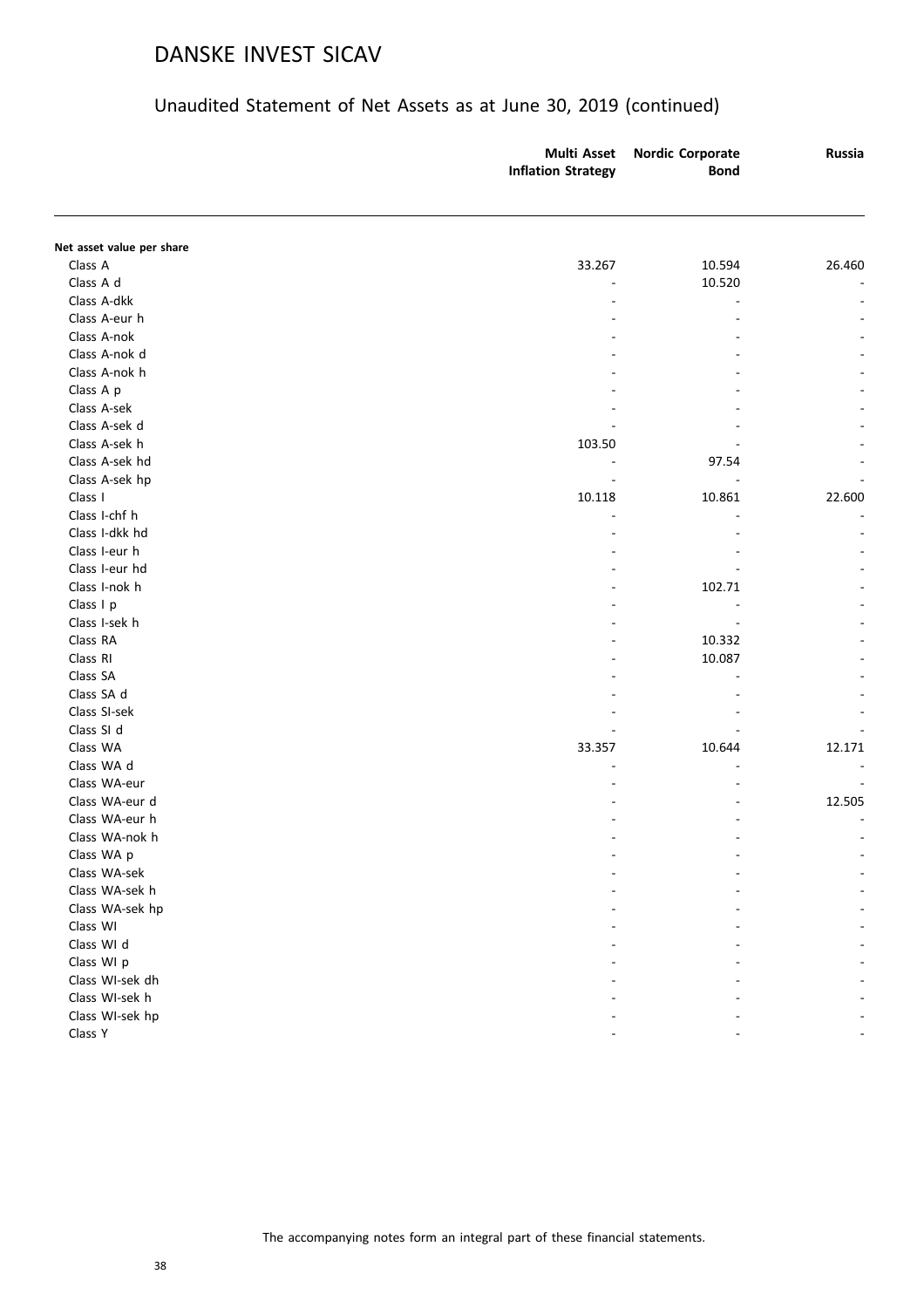|                           | <b>Multi Asset</b><br><b>Inflation Strategy</b> | <b>Nordic Corporate</b><br><b>Bond</b> | <b>Russia</b>  |
|---------------------------|-------------------------------------------------|----------------------------------------|----------------|
|                           |                                                 |                                        |                |
| Net asset value per share |                                                 |                                        |                |
| Class A                   | 33.267                                          | 10.594                                 | 26.460         |
| Class A d                 |                                                 | 10.520                                 |                |
| Class A-dkk               |                                                 |                                        |                |
| Class A-eur h             |                                                 |                                        |                |
| Class A-nok               |                                                 |                                        |                |
| Class A-nok d             |                                                 |                                        |                |
| Class A-nok h             |                                                 |                                        |                |
| Class A p                 |                                                 |                                        |                |
| Class A-sek               |                                                 |                                        |                |
| Class A-sek d             |                                                 |                                        |                |
| Class A-sek h             | 103.50                                          |                                        |                |
| Class A-sek hd            |                                                 | 97.54                                  |                |
| Class A-sek hp            |                                                 |                                        |                |
| Class I                   | 10.118                                          | 10.861                                 | 22.600         |
| Class I-chf h             | L,                                              |                                        | $\overline{a}$ |
| Class I-dkk hd            |                                                 |                                        |                |
| Class I-eur h             |                                                 |                                        |                |
| Class I-eur hd            |                                                 |                                        |                |
| Class I-nok h             |                                                 | 102.71                                 |                |
| Class I p                 |                                                 |                                        |                |
| Class I-sek h             |                                                 |                                        |                |
| Class RA                  |                                                 | 10.332                                 |                |
| Class RI                  |                                                 | 10.087                                 |                |
| Class SA                  |                                                 |                                        |                |
| Class SA d                |                                                 |                                        |                |
| Class SI-sek              |                                                 |                                        |                |
| Class SI d                |                                                 |                                        |                |
| Class WA                  | 33.357                                          | 10.644                                 | 12.171         |
| Class WA d                |                                                 |                                        |                |
| Class WA-eur              |                                                 |                                        |                |
| Class WA-eur d            |                                                 |                                        | 12.505         |
| Class WA-eur h            |                                                 |                                        |                |
| Class WA-nok h            |                                                 |                                        |                |
| Class WA p                |                                                 |                                        |                |
| Class WA-sek              |                                                 |                                        |                |
| Class WA-sek h            |                                                 |                                        |                |
| Class WA-sek hp           |                                                 |                                        |                |
| Class WI                  |                                                 |                                        |                |
| Class WI d                |                                                 |                                        |                |
| Class WI p                |                                                 |                                        |                |
| Class WI-sek dh           |                                                 |                                        |                |
| Class WI-sek h            |                                                 |                                        |                |
|                           |                                                 |                                        |                |
| Class WI-sek hp           |                                                 |                                        |                |
| Class Y                   |                                                 |                                        |                |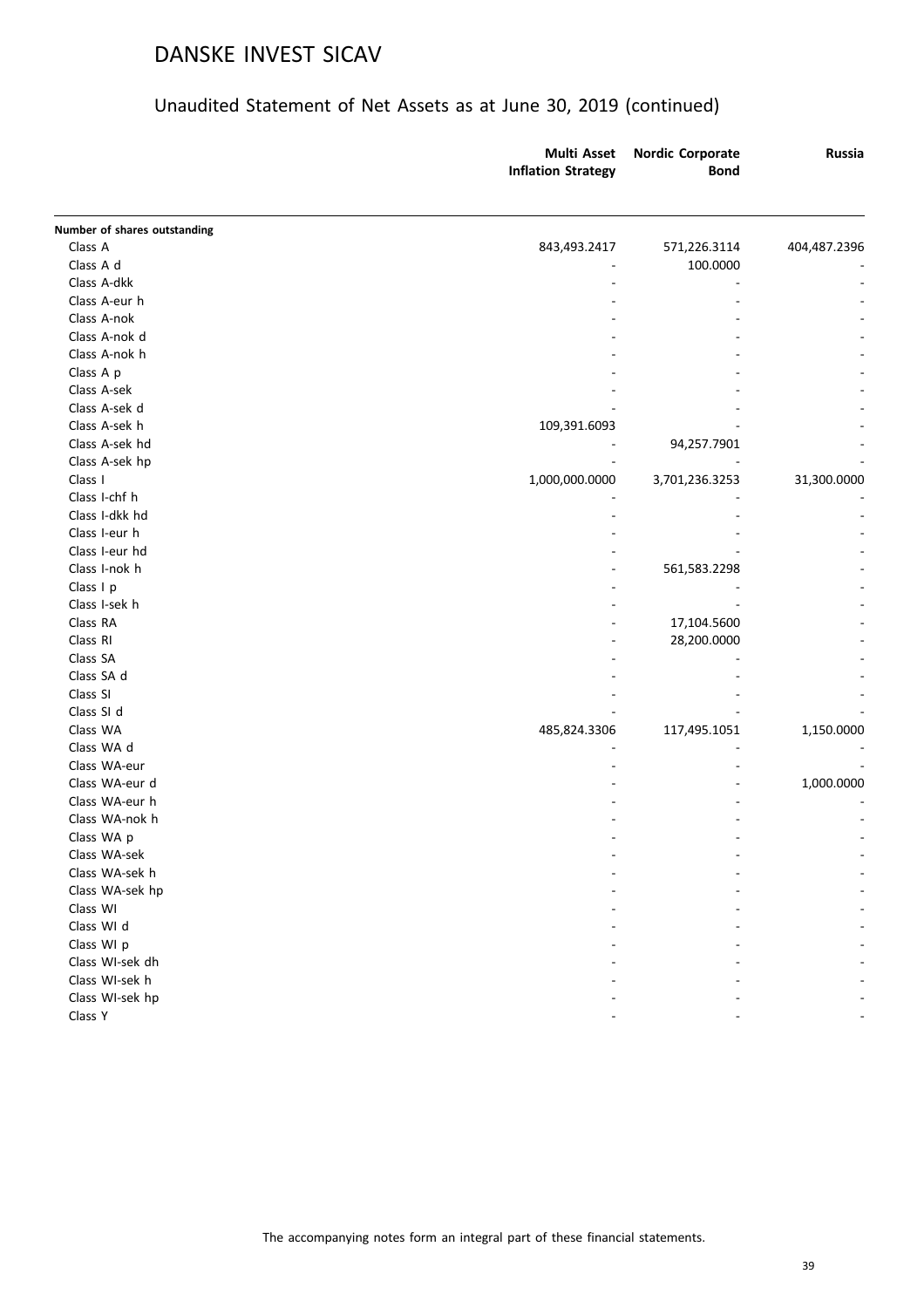|                              | <b>Multi Asset</b><br><b>Inflation Strategy</b> | <b>Nordic Corporate</b><br><b>Bond</b> | <b>Russia</b> |
|------------------------------|-------------------------------------------------|----------------------------------------|---------------|
| Number of shares outstanding |                                                 |                                        |               |
| Class A                      | 843,493.2417                                    | 571,226.3114                           | 404,487.2396  |
| Class A d                    |                                                 | 100.0000                               |               |
| Class A-dkk                  |                                                 |                                        |               |
| Class A-eur h                |                                                 |                                        |               |
| Class A-nok                  |                                                 |                                        |               |
| Class A-nok d                |                                                 |                                        |               |
| Class A-nok h                |                                                 |                                        |               |
| Class A p                    |                                                 |                                        |               |
| Class A-sek                  |                                                 |                                        |               |
| Class A-sek d                |                                                 |                                        |               |
| Class A-sek h                | 109,391.6093                                    |                                        |               |
| Class A-sek hd               |                                                 | 94,257.7901                            |               |
| Class A-sek hp               |                                                 |                                        |               |
| Class I                      | 1,000,000.0000                                  | 3,701,236.3253                         | 31,300.0000   |
| Class I-chf h                |                                                 |                                        |               |
| Class I-dkk hd               |                                                 |                                        |               |
| Class I-eur h                |                                                 |                                        |               |
| Class I-eur hd               |                                                 |                                        |               |
| Class I-nok h                | $\overline{a}$                                  | 561,583.2298                           |               |
| Class I p                    |                                                 |                                        |               |
| Class I-sek h                |                                                 |                                        |               |
| Class RA                     |                                                 | 17,104.5600                            |               |
| Class RI                     |                                                 | 28,200.0000                            |               |
| Class SA                     |                                                 |                                        |               |
| Class SA d                   |                                                 |                                        |               |
| Class SI                     |                                                 |                                        |               |
| Class SI d                   |                                                 |                                        |               |
| Class WA                     | 485,824.3306                                    | 117,495.1051                           | 1,150.0000    |
| Class WA d                   |                                                 |                                        |               |
| Class WA-eur                 |                                                 |                                        |               |
| Class WA-eur d               |                                                 |                                        | 1,000.0000    |
| Class WA-eur h               |                                                 |                                        |               |
| Class WA-nok h               |                                                 |                                        |               |
| Class WA p                   |                                                 |                                        |               |
| Class WA-sek                 |                                                 |                                        |               |
| Class WA-sek h               |                                                 |                                        |               |
| Class WA-sek hp              |                                                 |                                        |               |
| Class WI                     |                                                 |                                        |               |
| Class WI d                   |                                                 |                                        |               |
| Class WI p                   |                                                 |                                        |               |
| Class WI-sek dh              |                                                 |                                        |               |
| Class WI-sek h               |                                                 |                                        |               |
| Class WI-sek hp              |                                                 |                                        |               |
| Class Y                      |                                                 |                                        |               |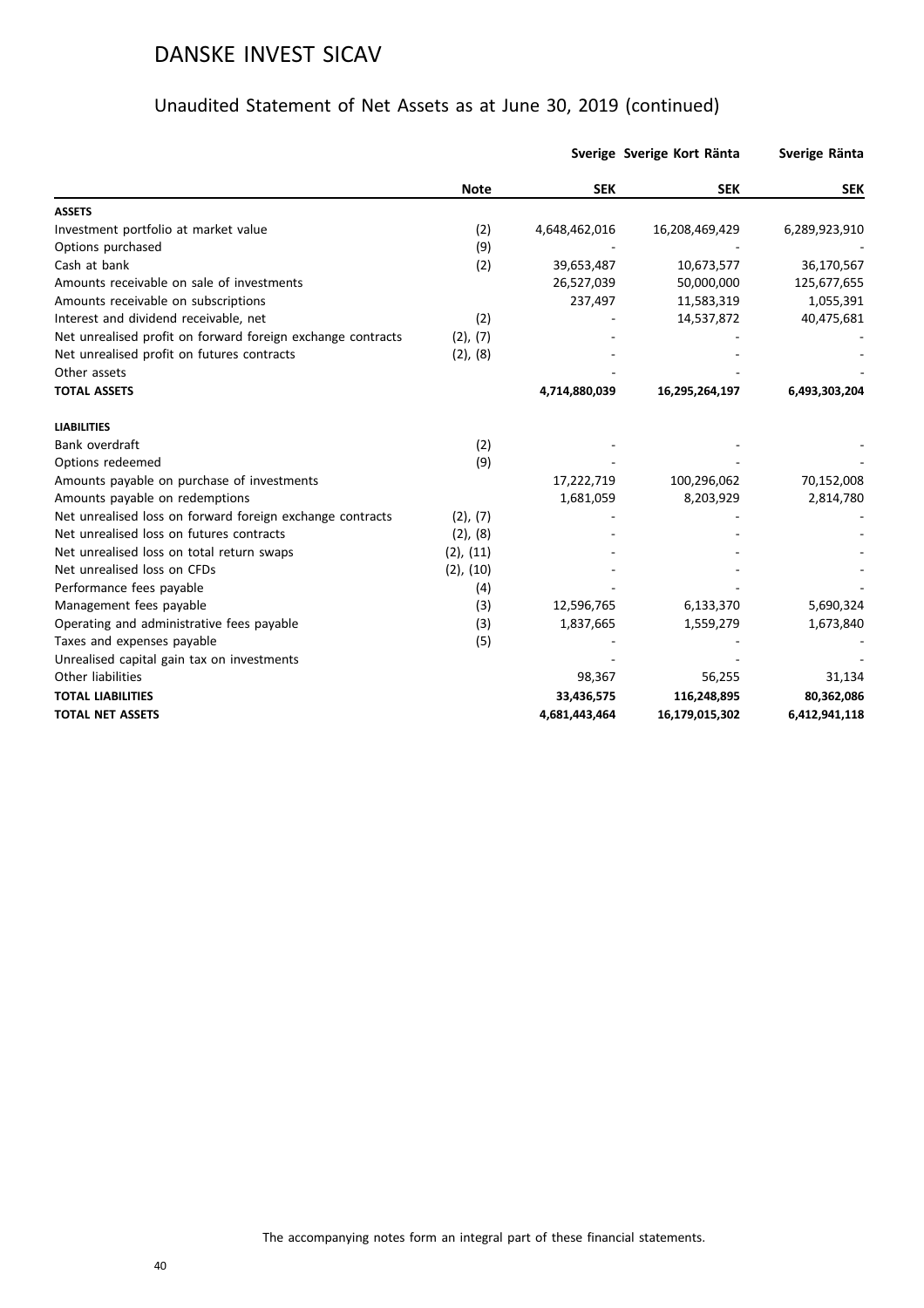|                                                             |                |               | Sverige Sverige Kort Ränta | Sverige Ränta |
|-------------------------------------------------------------|----------------|---------------|----------------------------|---------------|
|                                                             | <b>Note</b>    | <b>SEK</b>    | <b>SEK</b>                 | <b>SEK</b>    |
| <b>ASSETS</b>                                               |                |               |                            |               |
| Investment portfolio at market value                        | (2)            | 4,648,462,016 | 16,208,469,429             | 6,289,923,910 |
| Options purchased                                           | (9)            |               |                            |               |
| Cash at bank                                                | (2)            | 39,653,487    | 10,673,577                 | 36,170,567    |
| Amounts receivable on sale of investments                   |                | 26,527,039    | 50,000,000                 | 125,677,655   |
| Amounts receivable on subscriptions                         |                | 237,497       | 11,583,319                 | 1,055,391     |
| Interest and dividend receivable, net                       | (2)            |               | 14,537,872                 | 40,475,681    |
| Net unrealised profit on forward foreign exchange contracts | (2), (7)       |               |                            |               |
| Net unrealised profit on futures contracts                  | $(2)$ , $(8)$  |               |                            |               |
| Other assets                                                |                |               |                            |               |
| <b>TOTAL ASSETS</b>                                         |                | 4,714,880,039 | 16,295,264,197             | 6,493,303,204 |
| <b>LIABILITIES</b>                                          |                |               |                            |               |
| Bank overdraft                                              | (2)            |               |                            |               |
| Options redeemed                                            | (9)            |               |                            |               |
| Amounts payable on purchase of investments                  |                | 17,222,719    | 100,296,062                | 70,152,008    |
| Amounts payable on redemptions                              |                | 1,681,059     | 8,203,929                  | 2,814,780     |
| Net unrealised loss on forward foreign exchange contracts   | (2), (7)       |               |                            |               |
| Net unrealised loss on futures contracts                    | (2), (8)       |               |                            |               |
| Net unrealised loss on total return swaps                   | $(2)$ , $(11)$ |               |                            |               |
| Net unrealised loss on CFDs                                 | $(2)$ , $(10)$ |               |                            |               |
| Performance fees payable                                    | (4)            |               |                            |               |
| Management fees payable                                     | (3)            | 12,596,765    | 6,133,370                  | 5,690,324     |
| Operating and administrative fees payable                   | (3)            | 1,837,665     | 1,559,279                  | 1,673,840     |
| Taxes and expenses payable                                  | (5)            |               |                            |               |
| Unrealised capital gain tax on investments                  |                |               |                            |               |
| Other liabilities                                           |                | 98,367        | 56,255                     | 31,134        |
| <b>TOTAL LIABILITIES</b>                                    |                | 33,436,575    | 116,248,895                | 80,362,086    |
| <b>TOTAL NET ASSETS</b>                                     |                | 4,681,443,464 | 16,179,015,302             | 6,412,941,118 |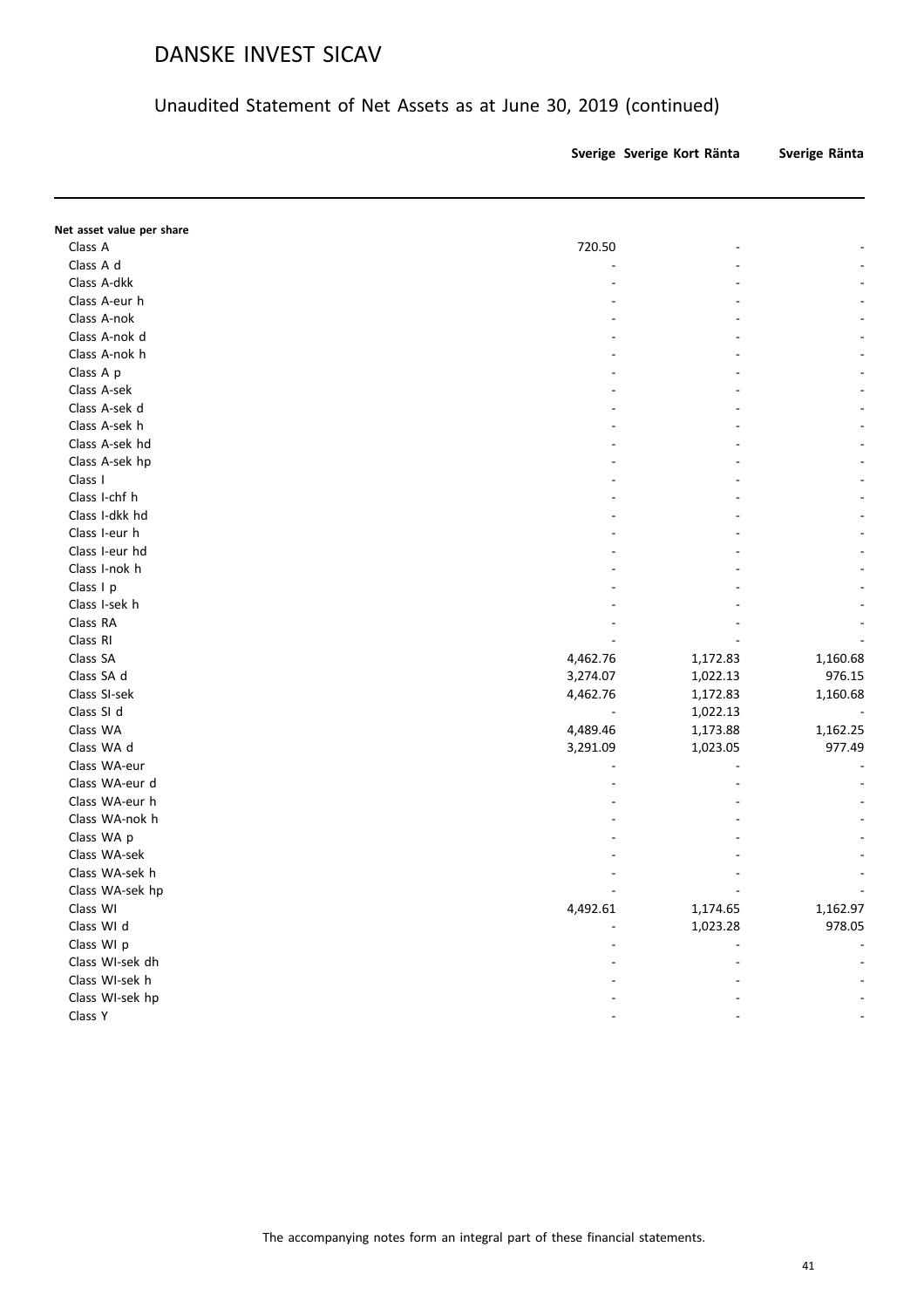## Unaudited Statement of Net Assets as at June 30, 2019 (continued)

| Sverige Sverige Kort Ränta |  | Sverige Ränta |
|----------------------------|--|---------------|
|----------------------------|--|---------------|

**Note SEK SEK SEK**

| Net asset value per share |          |          |          |
|---------------------------|----------|----------|----------|
| Class A                   | 720.50   |          |          |
| Class A d                 |          |          |          |
| Class A-dkk               |          |          |          |
| Class A-eur h             |          |          |          |
| Class A-nok               |          |          |          |
| Class A-nok d             |          |          |          |
| Class A-nok h             |          |          |          |
| Class A p                 |          |          |          |
| Class A-sek               |          |          |          |
| Class A-sek d             |          |          |          |
| Class A-sek h             |          |          |          |
| Class A-sek hd            |          |          |          |
| Class A-sek hp            |          |          |          |
| Class I                   |          |          |          |
| Class I-chf h             |          |          |          |
| Class I-dkk hd            |          |          |          |
| Class I-eur h             |          |          |          |
| Class I-eur hd            |          |          |          |
| Class I-nok h             |          |          |          |
| Class I p                 |          |          |          |
| Class I-sek h             |          |          |          |
| Class RA                  |          |          |          |
| Class RI                  |          |          |          |
| Class SA                  | 4,462.76 | 1,172.83 | 1,160.68 |
| Class SA d                | 3,274.07 | 1,022.13 | 976.15   |
| Class SI-sek              | 4,462.76 | 1,172.83 | 1,160.68 |
| Class SI d                |          | 1,022.13 |          |
| Class WA                  | 4,489.46 | 1,173.88 | 1,162.25 |
| Class WA d                | 3,291.09 | 1,023.05 | 977.49   |
| Class WA-eur              |          |          |          |
| Class WA-eur d            |          |          |          |
| Class WA-eur h            |          |          |          |
| Class WA-nok h            |          |          |          |
| Class WA p                |          |          |          |
| Class WA-sek              |          |          |          |
| Class WA-sek h            |          |          |          |
| Class WA-sek hp           |          |          |          |
| Class WI                  | 4,492.61 | 1,174.65 | 1,162.97 |
| Class WI d                |          | 1,023.28 | 978.05   |
| Class WI p                |          |          |          |
| Class WI-sek dh           |          |          |          |
| Class WI-sek h            |          |          |          |
| Class WI-sek hp           |          |          |          |
| Class Y                   |          |          |          |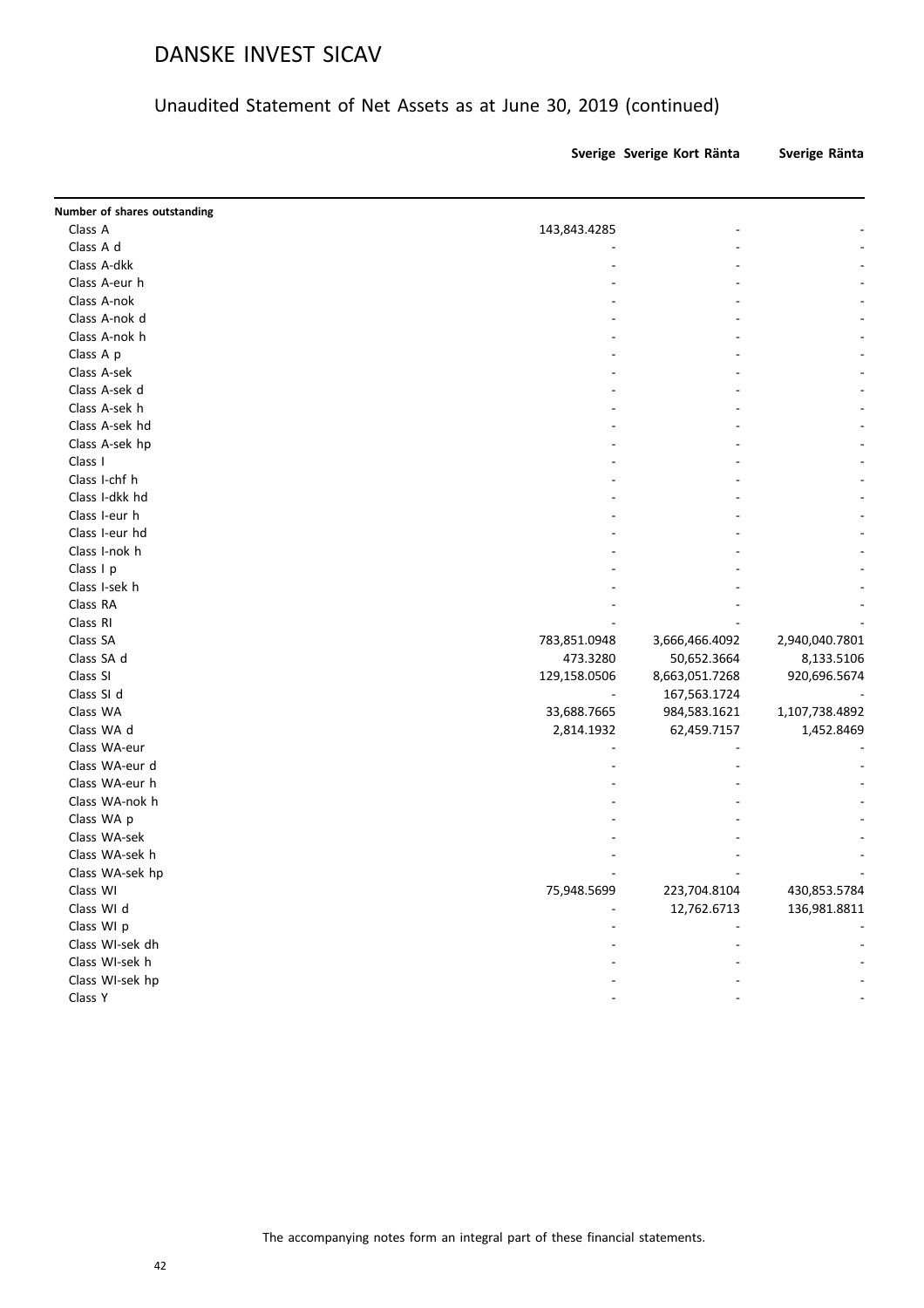#### Unaudited Statement of Net Assets as at June 30, 2019 (continued)

**Sverige Sverige Kort Ränta Sverige Ränta**

| Number of shares outstanding |              |                |                |
|------------------------------|--------------|----------------|----------------|
| Class A                      | 143,843.4285 |                |                |
| Class A d                    |              |                |                |
| Class A-dkk                  |              |                |                |
| Class A-eur h                |              |                |                |
| Class A-nok                  |              |                |                |
| Class A-nok d                |              |                |                |
| Class A-nok h                |              |                |                |
| Class A p                    |              |                |                |
| Class A-sek                  |              |                |                |
| Class A-sek d                |              |                |                |
| Class A-sek h                |              |                |                |
| Class A-sek hd               |              |                |                |
| Class A-sek hp               |              |                |                |
| Class I                      |              |                |                |
| Class I-chf h                |              |                |                |
| Class I-dkk hd               |              |                |                |
| Class I-eur h                |              |                |                |
| Class I-eur hd               |              |                |                |
| Class I-nok h                |              |                |                |
| Class I p                    |              |                |                |
| Class I-sek h                |              |                |                |
| Class RA                     |              |                |                |
| Class RI                     |              |                |                |
| Class SA                     | 783,851.0948 | 3,666,466.4092 | 2,940,040.7801 |
| Class SA d                   | 473.3280     | 50,652.3664    | 8,133.5106     |
| Class SI                     | 129,158.0506 | 8,663,051.7268 | 920,696.5674   |
| Class SI d                   |              | 167,563.1724   |                |
| Class WA                     | 33,688.7665  | 984,583.1621   | 1,107,738.4892 |
| Class WA d                   | 2,814.1932   | 62,459.7157    | 1,452.8469     |
| Class WA-eur                 |              |                |                |
| Class WA-eur d               |              |                |                |
| Class WA-eur h               |              |                |                |
| Class WA-nok h               |              |                |                |
| Class WA p                   |              |                |                |
| Class WA-sek                 |              |                |                |
| Class WA-sek h               |              |                |                |
| Class WA-sek hp              |              |                |                |
| Class WI                     | 75,948.5699  | 223,704.8104   | 430,853.5784   |
| Class WI d                   |              | 12,762.6713    | 136,981.8811   |
| Class WI p                   |              |                |                |
| Class WI-sek dh              |              |                |                |
| Class WI-sek h               |              |                |                |
| Class WI-sek hp              |              |                |                |
| Class Y                      |              |                |                |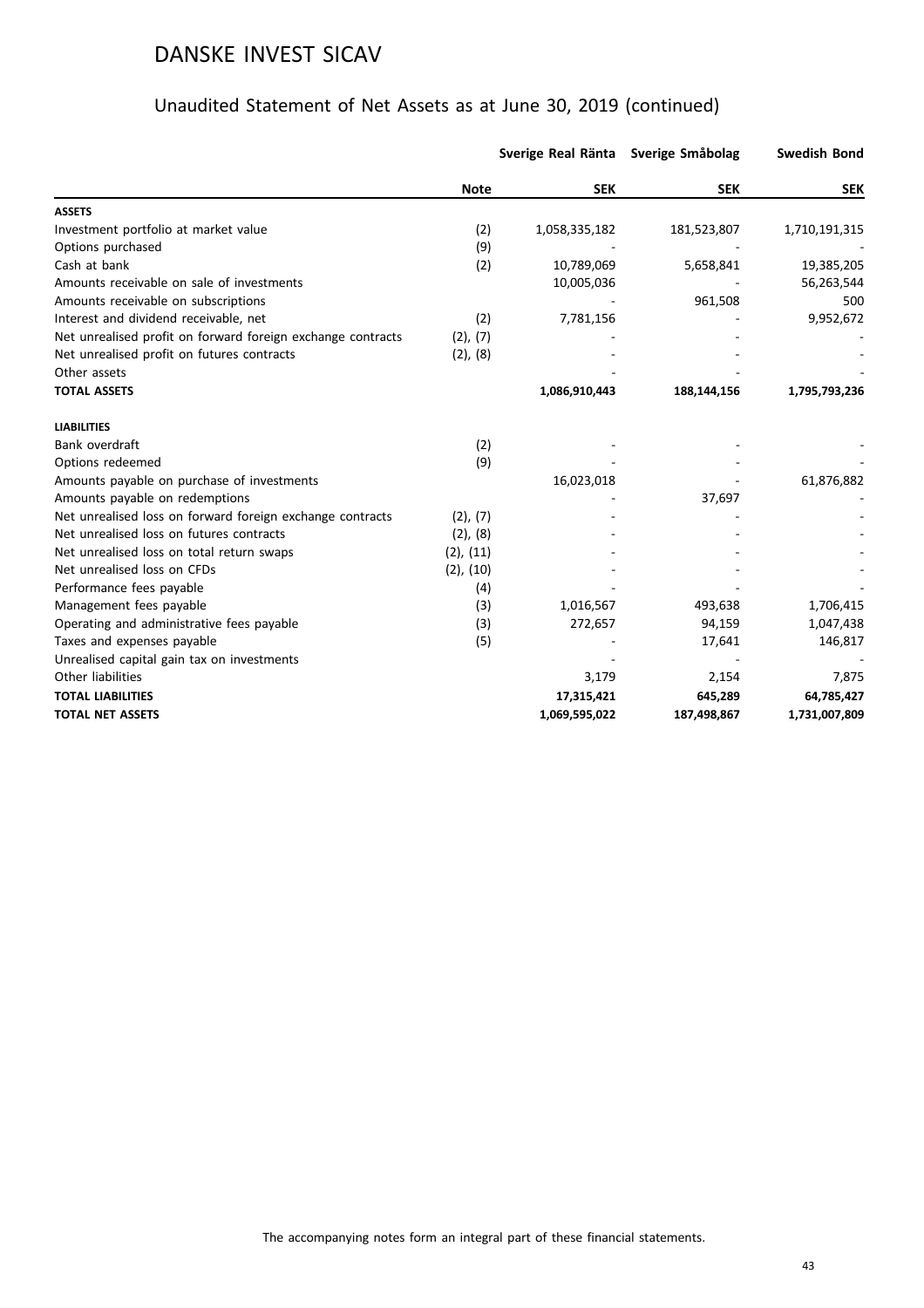|                                                             |                | Sverige Real Ränta Sverige Småbolag |             | <b>Swedish Bond</b> |
|-------------------------------------------------------------|----------------|-------------------------------------|-------------|---------------------|
|                                                             | <b>Note</b>    | <b>SEK</b>                          | <b>SEK</b>  | <b>SEK</b>          |
| <b>ASSETS</b>                                               |                |                                     |             |                     |
| Investment portfolio at market value                        | (2)            | 1,058,335,182                       | 181,523,807 | 1,710,191,315       |
| Options purchased                                           | (9)            |                                     |             |                     |
| Cash at bank                                                | (2)            | 10,789,069                          | 5,658,841   | 19,385,205          |
| Amounts receivable on sale of investments                   |                | 10,005,036                          |             | 56,263,544          |
| Amounts receivable on subscriptions                         |                |                                     | 961,508     | 500                 |
| Interest and dividend receivable, net                       | (2)            | 7,781,156                           |             | 9,952,672           |
| Net unrealised profit on forward foreign exchange contracts | (2), (7)       |                                     |             |                     |
| Net unrealised profit on futures contracts                  | $(2)$ , $(8)$  |                                     |             |                     |
| Other assets                                                |                |                                     |             |                     |
| <b>TOTAL ASSETS</b>                                         |                | 1,086,910,443                       | 188,144,156 | 1,795,793,236       |
| <b>LIABILITIES</b>                                          |                |                                     |             |                     |
| Bank overdraft                                              | (2)            |                                     |             |                     |
| Options redeemed                                            | (9)            |                                     |             |                     |
| Amounts payable on purchase of investments                  |                | 16,023,018                          |             | 61,876,882          |
| Amounts payable on redemptions                              |                |                                     | 37,697      |                     |
| Net unrealised loss on forward foreign exchange contracts   | (2), (7)       |                                     |             |                     |
| Net unrealised loss on futures contracts                    | $(2)$ , $(8)$  |                                     |             |                     |
| Net unrealised loss on total return swaps                   | $(2)$ , $(11)$ |                                     |             |                     |
| Net unrealised loss on CFDs                                 | $(2)$ , $(10)$ |                                     |             |                     |
| Performance fees payable                                    | (4)            |                                     |             |                     |
| Management fees payable                                     | (3)            | 1,016,567                           | 493,638     | 1,706,415           |
| Operating and administrative fees payable                   | (3)            | 272,657                             | 94,159      | 1,047,438           |
| Taxes and expenses payable                                  | (5)            |                                     | 17,641      | 146,817             |
| Unrealised capital gain tax on investments                  |                |                                     |             |                     |
| Other liabilities                                           |                | 3,179                               | 2,154       | 7,875               |
| <b>TOTAL LIABILITIES</b>                                    |                | 17,315,421                          | 645,289     | 64,785,427          |
| <b>TOTAL NET ASSETS</b>                                     |                | 1,069,595,022                       | 187,498,867 | 1,731,007,809       |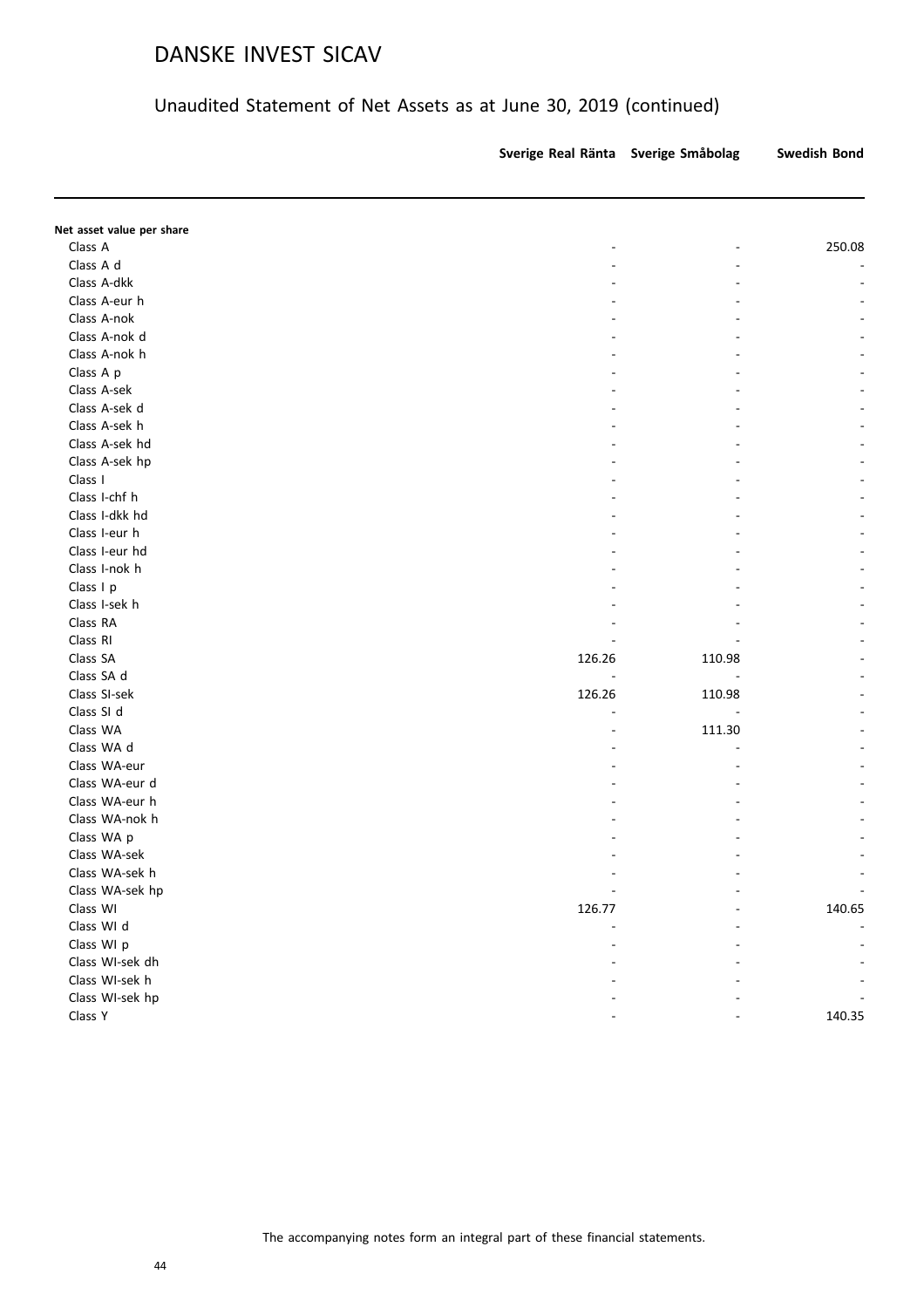|                           | Sverige Real Ränta | Sverige Småbolag | Swedish Bond |
|---------------------------|--------------------|------------------|--------------|
|                           |                    |                  |              |
| Net asset value per share |                    |                  |              |
| Class A                   |                    | ÷.               | 250.08       |
| Class A d                 |                    |                  |              |
| Class A-dkk               |                    |                  |              |
| Class A-eur h             |                    |                  |              |
| Class A-nok               |                    |                  |              |
| Class A-nok d             |                    |                  |              |
| Class A-nok h             |                    |                  |              |
| Class A p                 |                    |                  |              |
| Class A-sek               |                    |                  |              |
| Class A-sek d             |                    |                  |              |
| Class A-sek h             |                    |                  |              |
| Class A-sek hd            |                    |                  |              |
| Class A-sek hp            |                    |                  |              |
| Class I                   |                    |                  |              |
| Class I-chf h             |                    |                  |              |
| Class I-dkk hd            |                    |                  |              |
| Class I-eur h             |                    |                  |              |
| Class I-eur hd            |                    |                  |              |
| Class I-nok h             |                    |                  |              |
| Class I p                 |                    |                  |              |
| Class I-sek h             |                    |                  |              |
| Class RA                  |                    |                  |              |
| Class RI                  |                    |                  |              |
| Class SA                  | 126.26             | 110.98           |              |
| Class SA d                |                    |                  |              |
| Class SI-sek              | 126.26             | 110.98           |              |
| Class SI d                |                    |                  |              |
| Class WA                  |                    | 111.30           |              |
| Class WA d                |                    |                  |              |
| Class WA-eur              |                    |                  |              |
| Class WA-eur d            |                    |                  |              |
| Class WA-eur h            |                    |                  |              |
| Class WA-nok h            |                    |                  |              |
| Class WA p                |                    |                  |              |
| Class WA-sek              |                    |                  |              |
| Class WA-sek h            |                    |                  |              |
| Class WA-sek hp           |                    |                  |              |
| Class WI                  | 126.77             |                  | 140.65       |
| Class WI d                |                    |                  |              |
| Class WI p                |                    |                  |              |
| Class WI-sek dh           |                    |                  |              |
| Class WI-sek h            |                    |                  |              |
| Class WI-sek hp           |                    |                  |              |
| Class Y                   |                    |                  | 140.35       |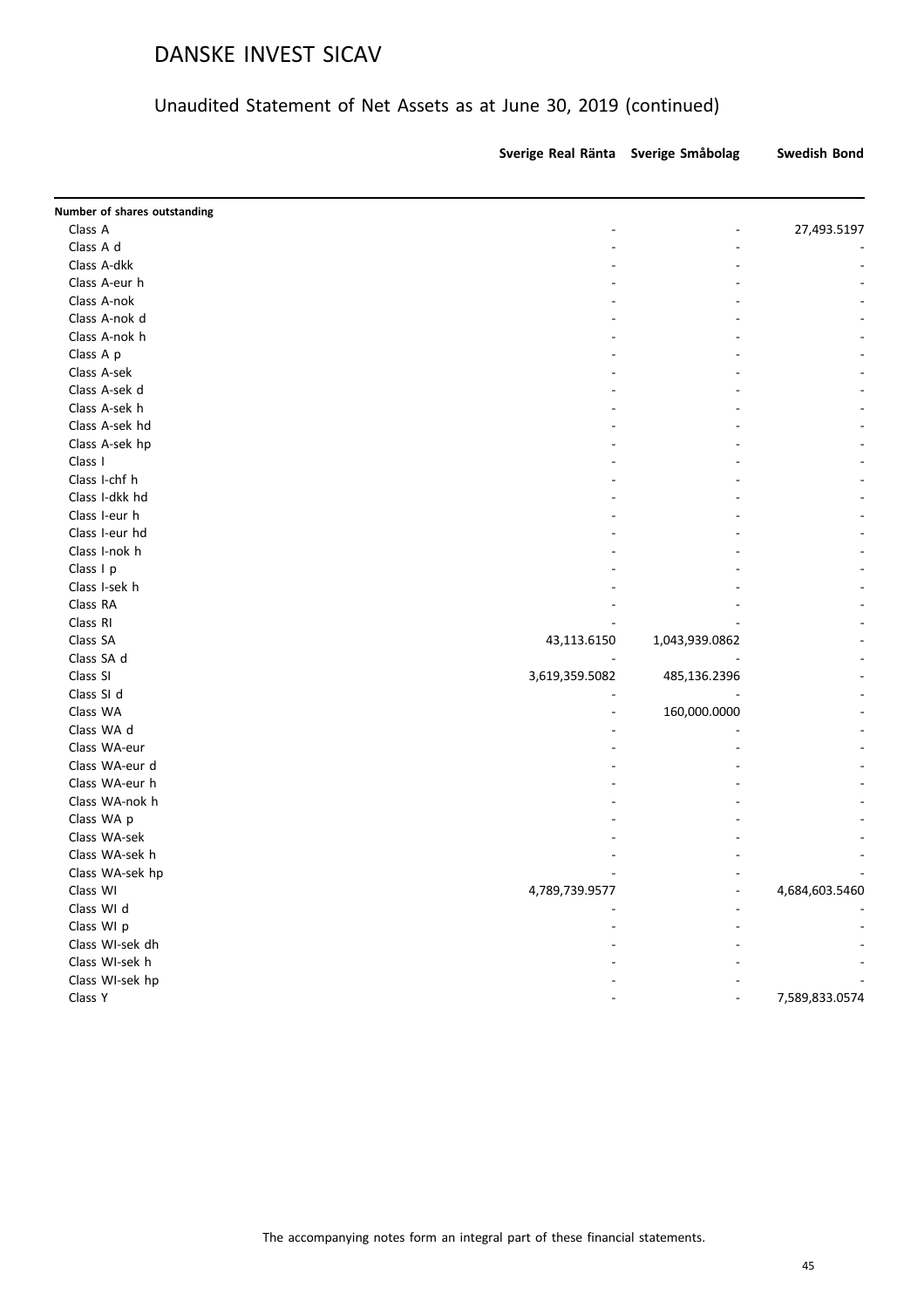|                              | Sverige Real Ränta Sverige Småbolag |                | <b>Swedish Bond</b> |
|------------------------------|-------------------------------------|----------------|---------------------|
| Number of shares outstanding |                                     |                |                     |
| Class A                      | -                                   |                | 27,493.5197         |
| Class A d                    |                                     |                |                     |
| Class A-dkk                  |                                     |                |                     |
| Class A-eur h                |                                     |                |                     |
| Class A-nok                  |                                     |                |                     |
| Class A-nok d                |                                     |                |                     |
| Class A-nok h                |                                     |                |                     |
| Class A p                    |                                     |                |                     |
| Class A-sek                  |                                     |                |                     |
| Class A-sek d                |                                     |                |                     |
| Class A-sek h                |                                     |                |                     |
| Class A-sek hd               |                                     |                |                     |
| Class A-sek hp               |                                     |                |                     |
| Class I                      |                                     |                |                     |
| Class I-chf h                |                                     |                |                     |
| Class I-dkk hd               |                                     |                |                     |
| Class I-eur h                |                                     |                |                     |
| Class I-eur hd               |                                     |                |                     |
| Class I-nok h                |                                     |                |                     |
| Class I p                    |                                     |                |                     |
| Class I-sek h                |                                     |                |                     |
| Class RA                     |                                     |                |                     |
| Class RI                     |                                     |                |                     |
| Class SA                     |                                     |                |                     |
| Class SA d                   | 43,113.6150                         | 1,043,939.0862 |                     |
| Class SI                     |                                     |                |                     |
| Class SI d                   | 3,619,359.5082                      | 485,136.2396   |                     |
| Class WA                     |                                     |                |                     |
| Class WA d                   |                                     | 160,000.0000   |                     |
| Class WA-eur                 |                                     |                |                     |
|                              |                                     |                |                     |
| Class WA-eur d               |                                     |                |                     |
| Class WA-eur h               |                                     |                |                     |
| Class WA-nok h               |                                     |                |                     |
| Class WA p                   |                                     |                |                     |
| Class WA-sek                 |                                     |                |                     |
| Class WA-sek h               |                                     |                |                     |
| Class WA-sek hp              |                                     |                |                     |
| Class WI                     | 4,789,739.9577                      |                | 4,684,603.5460      |
| Class WI d                   |                                     |                |                     |
| Class WI p                   |                                     |                |                     |
| Class WI-sek dh              |                                     |                |                     |
| Class WI-sek h               |                                     |                |                     |
| Class WI-sek hp              |                                     |                |                     |
| Class Y                      |                                     |                | 7,589,833.0574      |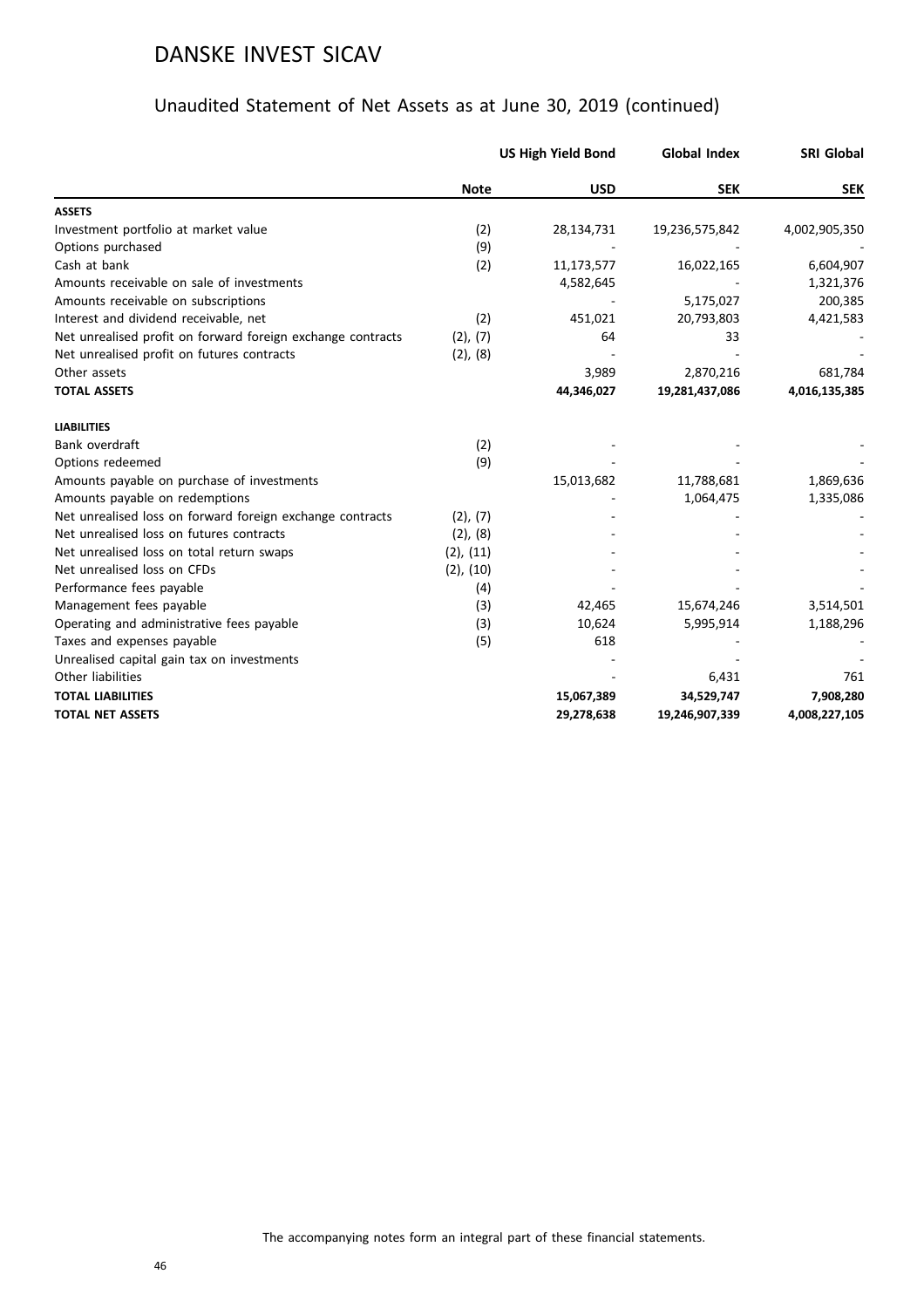|                                                             |                | <b>US High Yield Bond</b> | <b>Global Index</b> | <b>SRI Global</b> |
|-------------------------------------------------------------|----------------|---------------------------|---------------------|-------------------|
|                                                             | <b>Note</b>    | <b>USD</b>                | <b>SEK</b>          | <b>SEK</b>        |
| <b>ASSETS</b>                                               |                |                           |                     |                   |
| Investment portfolio at market value                        | (2)            | 28,134,731                | 19,236,575,842      | 4,002,905,350     |
| Options purchased                                           | (9)            |                           |                     |                   |
| Cash at bank                                                | (2)            | 11,173,577                | 16,022,165          | 6,604,907         |
| Amounts receivable on sale of investments                   |                | 4,582,645                 |                     | 1,321,376         |
| Amounts receivable on subscriptions                         |                |                           | 5,175,027           | 200,385           |
| Interest and dividend receivable, net                       | (2)            | 451,021                   | 20,793,803          | 4,421,583         |
| Net unrealised profit on forward foreign exchange contracts | (2), (7)       | 64                        | 33                  |                   |
| Net unrealised profit on futures contracts                  | (2), (8)       |                           |                     |                   |
| Other assets                                                |                | 3,989                     | 2,870,216           | 681,784           |
| <b>TOTAL ASSETS</b>                                         |                | 44,346,027                | 19,281,437,086      | 4,016,135,385     |
| <b>LIABILITIES</b>                                          |                |                           |                     |                   |
| Bank overdraft                                              | (2)            |                           |                     |                   |
| Options redeemed                                            | (9)            |                           |                     |                   |
| Amounts payable on purchase of investments                  |                | 15,013,682                | 11,788,681          | 1,869,636         |
| Amounts payable on redemptions                              |                |                           | 1,064,475           | 1,335,086         |
| Net unrealised loss on forward foreign exchange contracts   | (2), (7)       |                           |                     |                   |
| Net unrealised loss on futures contracts                    | (2), (8)       |                           |                     |                   |
| Net unrealised loss on total return swaps                   | $(2)$ , $(11)$ |                           |                     |                   |
| Net unrealised loss on CFDs                                 | $(2)$ , $(10)$ |                           |                     |                   |
| Performance fees payable                                    | (4)            |                           |                     |                   |
| Management fees payable                                     | (3)            | 42,465                    | 15,674,246          | 3,514,501         |
| Operating and administrative fees payable                   | (3)            | 10,624                    | 5,995,914           | 1,188,296         |
| Taxes and expenses payable                                  | (5)            | 618                       |                     |                   |
| Unrealised capital gain tax on investments                  |                |                           |                     |                   |
| Other liabilities                                           |                |                           | 6,431               | 761               |
| <b>TOTAL LIABILITIES</b>                                    |                | 15,067,389                | 34,529,747          | 7,908,280         |
| <b>TOTAL NET ASSETS</b>                                     |                | 29,278,638                | 19,246,907,339      | 4,008,227,105     |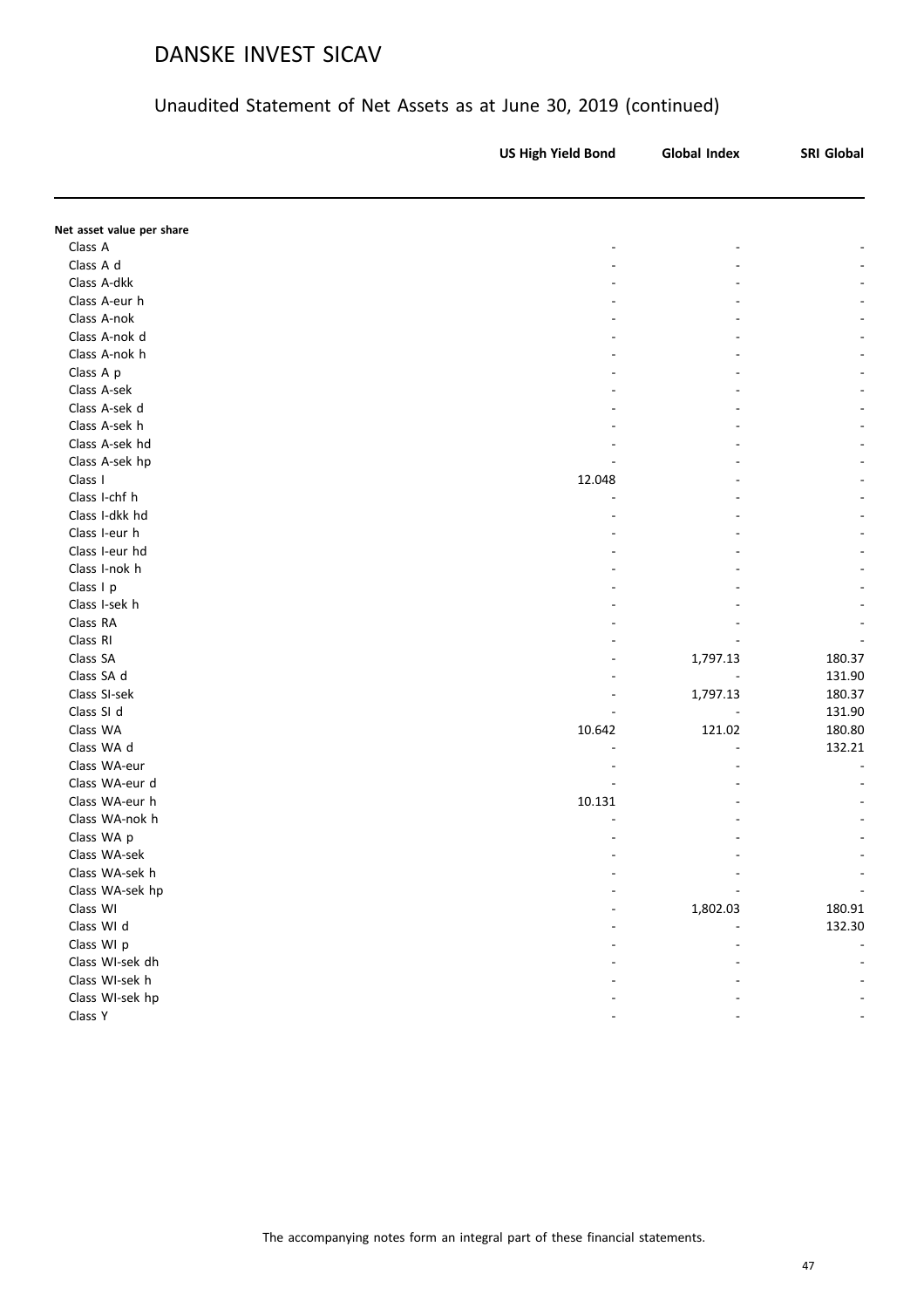|                           | <b>US High Yield Bond</b> | <b>Global Index</b> | <b>SRI Global</b> |
|---------------------------|---------------------------|---------------------|-------------------|
|                           |                           |                     |                   |
| Net asset value per share |                           |                     |                   |
| Class A                   |                           |                     |                   |
| Class A d                 |                           |                     |                   |
| Class A-dkk               |                           |                     |                   |
| Class A-eur h             |                           |                     |                   |
| Class A-nok               |                           |                     |                   |
| Class A-nok d             |                           |                     |                   |
| Class A-nok h             |                           |                     |                   |
| Class A p                 |                           |                     |                   |
| Class A-sek               |                           |                     |                   |
| Class A-sek d             |                           |                     |                   |
| Class A-sek h             |                           |                     |                   |
| Class A-sek hd            |                           |                     |                   |
| Class A-sek hp            |                           |                     |                   |
| Class I                   | 12.048                    |                     |                   |
| Class I-chf h             |                           |                     |                   |
| Class I-dkk hd            |                           |                     |                   |
| Class I-eur h             |                           |                     |                   |
| Class I-eur hd            |                           |                     |                   |
| Class I-nok h             |                           |                     |                   |
| Class I p                 |                           |                     |                   |
| Class I-sek h             |                           |                     |                   |
| Class RA                  |                           |                     |                   |
| Class RI                  |                           |                     |                   |
| Class SA                  |                           | 1,797.13            | 180.37            |
| Class SA d                |                           |                     | 131.90            |
| Class SI-sek              |                           | 1,797.13            | 180.37            |
| Class SI d                |                           |                     | 131.90            |
| Class WA                  | 10.642                    | 121.02              | 180.80            |
| Class WA d                |                           |                     | 132.21            |
| Class WA-eur              |                           |                     |                   |
| Class WA-eur d            |                           |                     |                   |
| Class WA-eur h            | 10.131                    |                     |                   |
| Class WA-nok h            |                           |                     |                   |
| Class WA p                |                           |                     |                   |
| Class WA-sek              |                           |                     |                   |
| Class WA-sek h            |                           |                     |                   |
| Class WA-sek hp           |                           |                     |                   |
| Class WI                  |                           | 1,802.03            | 180.91            |
| Class WI d                |                           |                     | 132.30            |
| Class WI p                |                           |                     |                   |
| Class WI-sek dh           |                           |                     |                   |
| Class WI-sek h            |                           |                     |                   |
| Class WI-sek hp           |                           |                     |                   |
| Class Y                   |                           |                     |                   |
|                           |                           |                     |                   |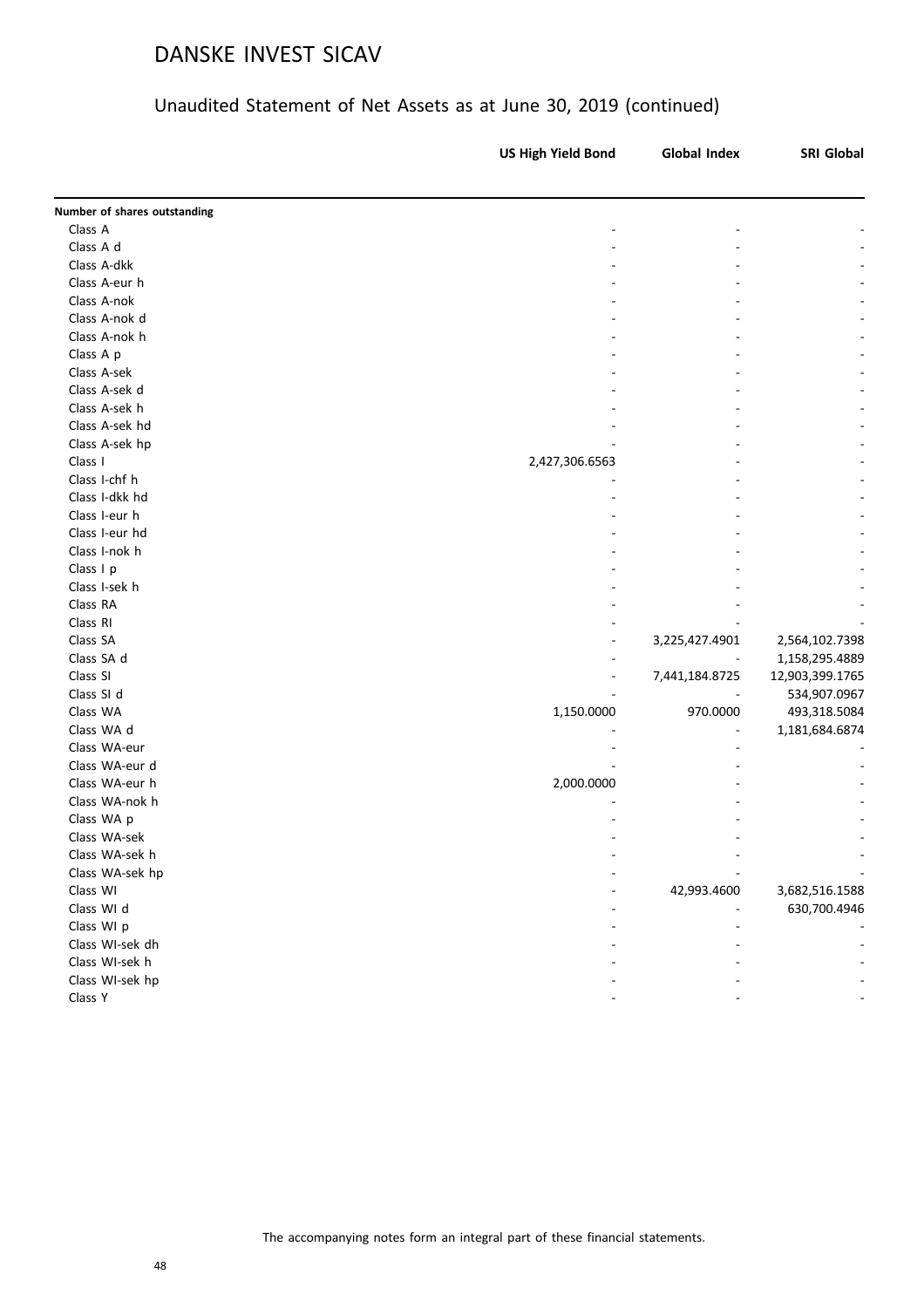| Number of shares outstanding<br>Class A<br>Class A d<br>Class A-dkk<br>Class A-eur h<br>Class A-nok<br>Class A-nok d<br>Class A-nok h<br>Class A p<br>Class A-sek<br>Class A-sek d<br>Class A-sek h<br>Class A-sek hd<br>Class A-sek hp<br>2,427,306.6563<br>Class I<br>Class I-chf h<br>Class I-dkk hd<br>Class I-eur h<br>Class I-eur hd<br>Class I-nok h<br>Class I p<br>Class I-sek h<br>Class RA<br>Class RI<br>Class SA<br>3,225,427.4901<br>2,564,102.7398<br>Class SA d<br>1,158,295.4889<br>Class SI<br>7,441,184.8725<br>12,903,399.1765<br>Class SI d<br>534,907.0967<br>Class WA<br>970.0000<br>1,150.0000<br>493,318.5084<br>Class WA d<br>1,181,684.6874<br>Class WA-eur<br>Class WA-eur d<br>Class WA-eur h<br>2,000.0000<br>Class WA-nok h<br>Class WA p<br>Class WA-sek<br>Class WA-sek h<br>Class WA-sek hp<br>Class WI<br>42,993.4600<br>3,682,516.1588<br>Class WI d<br>630,700.4946<br>Class WI p<br>Class WI-sek dh<br>Class WI-sek h<br>Class WI-sek hp<br>Class Y | <b>US High Yield Bond</b> | <b>Global Index</b> | SRI Global |
|-------------------------------------------------------------------------------------------------------------------------------------------------------------------------------------------------------------------------------------------------------------------------------------------------------------------------------------------------------------------------------------------------------------------------------------------------------------------------------------------------------------------------------------------------------------------------------------------------------------------------------------------------------------------------------------------------------------------------------------------------------------------------------------------------------------------------------------------------------------------------------------------------------------------------------------------------------------------------------------------|---------------------------|---------------------|------------|
|                                                                                                                                                                                                                                                                                                                                                                                                                                                                                                                                                                                                                                                                                                                                                                                                                                                                                                                                                                                           |                           |                     |            |
|                                                                                                                                                                                                                                                                                                                                                                                                                                                                                                                                                                                                                                                                                                                                                                                                                                                                                                                                                                                           |                           |                     |            |
|                                                                                                                                                                                                                                                                                                                                                                                                                                                                                                                                                                                                                                                                                                                                                                                                                                                                                                                                                                                           |                           |                     |            |
|                                                                                                                                                                                                                                                                                                                                                                                                                                                                                                                                                                                                                                                                                                                                                                                                                                                                                                                                                                                           |                           |                     |            |
|                                                                                                                                                                                                                                                                                                                                                                                                                                                                                                                                                                                                                                                                                                                                                                                                                                                                                                                                                                                           |                           |                     |            |
|                                                                                                                                                                                                                                                                                                                                                                                                                                                                                                                                                                                                                                                                                                                                                                                                                                                                                                                                                                                           |                           |                     |            |
|                                                                                                                                                                                                                                                                                                                                                                                                                                                                                                                                                                                                                                                                                                                                                                                                                                                                                                                                                                                           |                           |                     |            |
|                                                                                                                                                                                                                                                                                                                                                                                                                                                                                                                                                                                                                                                                                                                                                                                                                                                                                                                                                                                           |                           |                     |            |
|                                                                                                                                                                                                                                                                                                                                                                                                                                                                                                                                                                                                                                                                                                                                                                                                                                                                                                                                                                                           |                           |                     |            |
|                                                                                                                                                                                                                                                                                                                                                                                                                                                                                                                                                                                                                                                                                                                                                                                                                                                                                                                                                                                           |                           |                     |            |
|                                                                                                                                                                                                                                                                                                                                                                                                                                                                                                                                                                                                                                                                                                                                                                                                                                                                                                                                                                                           |                           |                     |            |
|                                                                                                                                                                                                                                                                                                                                                                                                                                                                                                                                                                                                                                                                                                                                                                                                                                                                                                                                                                                           |                           |                     |            |
|                                                                                                                                                                                                                                                                                                                                                                                                                                                                                                                                                                                                                                                                                                                                                                                                                                                                                                                                                                                           |                           |                     |            |
|                                                                                                                                                                                                                                                                                                                                                                                                                                                                                                                                                                                                                                                                                                                                                                                                                                                                                                                                                                                           |                           |                     |            |
|                                                                                                                                                                                                                                                                                                                                                                                                                                                                                                                                                                                                                                                                                                                                                                                                                                                                                                                                                                                           |                           |                     |            |
|                                                                                                                                                                                                                                                                                                                                                                                                                                                                                                                                                                                                                                                                                                                                                                                                                                                                                                                                                                                           |                           |                     |            |
|                                                                                                                                                                                                                                                                                                                                                                                                                                                                                                                                                                                                                                                                                                                                                                                                                                                                                                                                                                                           |                           |                     |            |
|                                                                                                                                                                                                                                                                                                                                                                                                                                                                                                                                                                                                                                                                                                                                                                                                                                                                                                                                                                                           |                           |                     |            |
|                                                                                                                                                                                                                                                                                                                                                                                                                                                                                                                                                                                                                                                                                                                                                                                                                                                                                                                                                                                           |                           |                     |            |
|                                                                                                                                                                                                                                                                                                                                                                                                                                                                                                                                                                                                                                                                                                                                                                                                                                                                                                                                                                                           |                           |                     |            |
|                                                                                                                                                                                                                                                                                                                                                                                                                                                                                                                                                                                                                                                                                                                                                                                                                                                                                                                                                                                           |                           |                     |            |
|                                                                                                                                                                                                                                                                                                                                                                                                                                                                                                                                                                                                                                                                                                                                                                                                                                                                                                                                                                                           |                           |                     |            |
|                                                                                                                                                                                                                                                                                                                                                                                                                                                                                                                                                                                                                                                                                                                                                                                                                                                                                                                                                                                           |                           |                     |            |
|                                                                                                                                                                                                                                                                                                                                                                                                                                                                                                                                                                                                                                                                                                                                                                                                                                                                                                                                                                                           |                           |                     |            |
|                                                                                                                                                                                                                                                                                                                                                                                                                                                                                                                                                                                                                                                                                                                                                                                                                                                                                                                                                                                           |                           |                     |            |
|                                                                                                                                                                                                                                                                                                                                                                                                                                                                                                                                                                                                                                                                                                                                                                                                                                                                                                                                                                                           |                           |                     |            |
|                                                                                                                                                                                                                                                                                                                                                                                                                                                                                                                                                                                                                                                                                                                                                                                                                                                                                                                                                                                           |                           |                     |            |
|                                                                                                                                                                                                                                                                                                                                                                                                                                                                                                                                                                                                                                                                                                                                                                                                                                                                                                                                                                                           |                           |                     |            |
|                                                                                                                                                                                                                                                                                                                                                                                                                                                                                                                                                                                                                                                                                                                                                                                                                                                                                                                                                                                           |                           |                     |            |
|                                                                                                                                                                                                                                                                                                                                                                                                                                                                                                                                                                                                                                                                                                                                                                                                                                                                                                                                                                                           |                           |                     |            |
|                                                                                                                                                                                                                                                                                                                                                                                                                                                                                                                                                                                                                                                                                                                                                                                                                                                                                                                                                                                           |                           |                     |            |
|                                                                                                                                                                                                                                                                                                                                                                                                                                                                                                                                                                                                                                                                                                                                                                                                                                                                                                                                                                                           |                           |                     |            |
|                                                                                                                                                                                                                                                                                                                                                                                                                                                                                                                                                                                                                                                                                                                                                                                                                                                                                                                                                                                           |                           |                     |            |
|                                                                                                                                                                                                                                                                                                                                                                                                                                                                                                                                                                                                                                                                                                                                                                                                                                                                                                                                                                                           |                           |                     |            |
|                                                                                                                                                                                                                                                                                                                                                                                                                                                                                                                                                                                                                                                                                                                                                                                                                                                                                                                                                                                           |                           |                     |            |
|                                                                                                                                                                                                                                                                                                                                                                                                                                                                                                                                                                                                                                                                                                                                                                                                                                                                                                                                                                                           |                           |                     |            |
|                                                                                                                                                                                                                                                                                                                                                                                                                                                                                                                                                                                                                                                                                                                                                                                                                                                                                                                                                                                           |                           |                     |            |
|                                                                                                                                                                                                                                                                                                                                                                                                                                                                                                                                                                                                                                                                                                                                                                                                                                                                                                                                                                                           |                           |                     |            |
|                                                                                                                                                                                                                                                                                                                                                                                                                                                                                                                                                                                                                                                                                                                                                                                                                                                                                                                                                                                           |                           |                     |            |
|                                                                                                                                                                                                                                                                                                                                                                                                                                                                                                                                                                                                                                                                                                                                                                                                                                                                                                                                                                                           |                           |                     |            |
|                                                                                                                                                                                                                                                                                                                                                                                                                                                                                                                                                                                                                                                                                                                                                                                                                                                                                                                                                                                           |                           |                     |            |
|                                                                                                                                                                                                                                                                                                                                                                                                                                                                                                                                                                                                                                                                                                                                                                                                                                                                                                                                                                                           |                           |                     |            |
|                                                                                                                                                                                                                                                                                                                                                                                                                                                                                                                                                                                                                                                                                                                                                                                                                                                                                                                                                                                           |                           |                     |            |
|                                                                                                                                                                                                                                                                                                                                                                                                                                                                                                                                                                                                                                                                                                                                                                                                                                                                                                                                                                                           |                           |                     |            |
|                                                                                                                                                                                                                                                                                                                                                                                                                                                                                                                                                                                                                                                                                                                                                                                                                                                                                                                                                                                           |                           |                     |            |
|                                                                                                                                                                                                                                                                                                                                                                                                                                                                                                                                                                                                                                                                                                                                                                                                                                                                                                                                                                                           |                           |                     |            |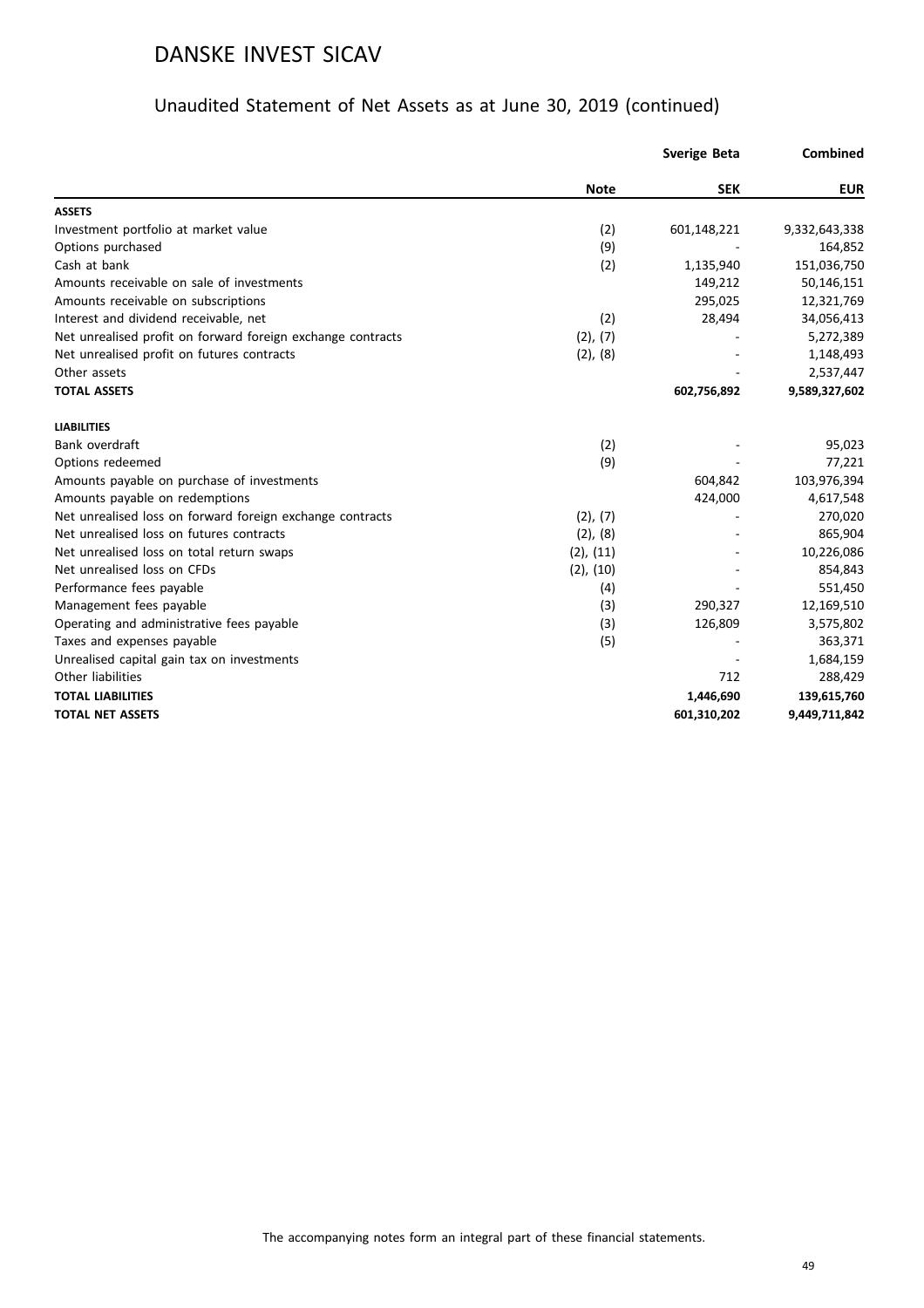|                                                             |                | <b>Sverige Beta</b> | Combined      |
|-------------------------------------------------------------|----------------|---------------------|---------------|
|                                                             | <b>Note</b>    | <b>SEK</b>          | <b>EUR</b>    |
| <b>ASSETS</b>                                               |                |                     |               |
| Investment portfolio at market value                        | (2)            | 601,148,221         | 9,332,643,338 |
| Options purchased                                           | (9)            |                     | 164,852       |
| Cash at bank                                                | (2)            | 1,135,940           | 151,036,750   |
| Amounts receivable on sale of investments                   |                | 149,212             | 50,146,151    |
| Amounts receivable on subscriptions                         |                | 295,025             | 12,321,769    |
| Interest and dividend receivable, net                       | (2)            | 28,494              | 34,056,413    |
| Net unrealised profit on forward foreign exchange contracts | (2), (7)       |                     | 5,272,389     |
| Net unrealised profit on futures contracts                  | $(2)$ , $(8)$  |                     | 1,148,493     |
| Other assets                                                |                |                     | 2,537,447     |
| <b>TOTAL ASSETS</b>                                         |                | 602,756,892         | 9,589,327,602 |
| <b>LIABILITIES</b>                                          |                |                     |               |
| Bank overdraft                                              | (2)            |                     | 95,023        |
| Options redeemed                                            | (9)            |                     | 77,221        |
| Amounts payable on purchase of investments                  |                | 604,842             | 103,976,394   |
| Amounts payable on redemptions                              |                | 424,000             | 4,617,548     |
| Net unrealised loss on forward foreign exchange contracts   | (2), (7)       |                     | 270,020       |
| Net unrealised loss on futures contracts                    | $(2)$ , $(8)$  |                     | 865,904       |
| Net unrealised loss on total return swaps                   | $(2)$ , $(11)$ |                     | 10,226,086    |
| Net unrealised loss on CFDs                                 | $(2)$ , $(10)$ |                     | 854,843       |
| Performance fees payable                                    | (4)            |                     | 551,450       |
| Management fees payable                                     | (3)            | 290,327             | 12,169,510    |
| Operating and administrative fees payable                   | (3)            | 126,809             | 3,575,802     |
| Taxes and expenses payable                                  | (5)            |                     | 363,371       |
| Unrealised capital gain tax on investments                  |                |                     | 1,684,159     |
| Other liabilities                                           |                | 712                 | 288,429       |
| <b>TOTAL LIABILITIES</b>                                    |                | 1,446,690           | 139,615,760   |
| <b>TOTAL NET ASSETS</b>                                     |                | 601,310,202         | 9,449,711,842 |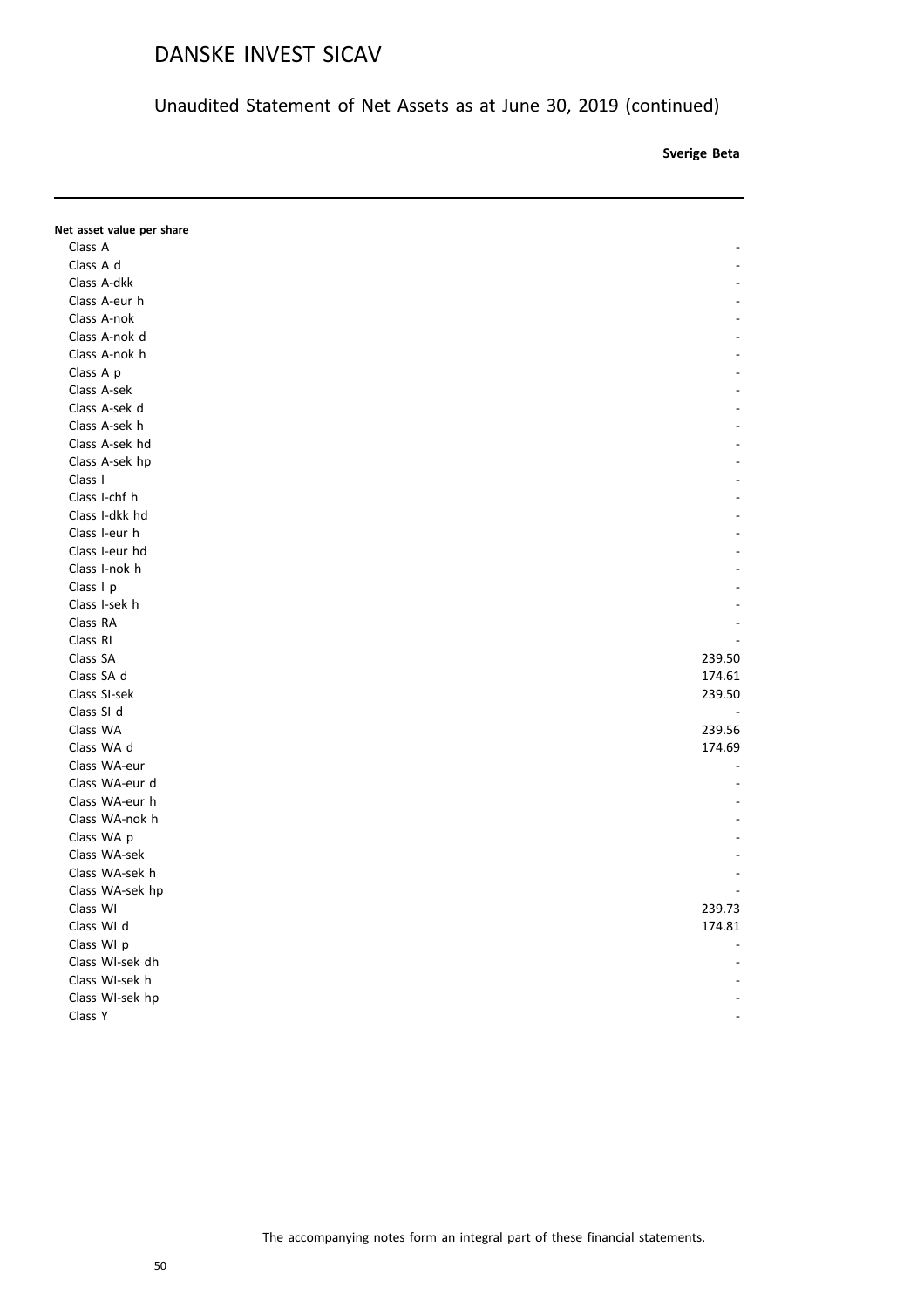Unaudited Statement of Net Assets as at June 30, 2019 (continued)

**Sverige Beta**

**Note SEKE** 

| Net asset value per share |        |
|---------------------------|--------|
| Class A                   |        |
| Class A d                 |        |
| Class A-dkk               |        |
| Class A-eur h             |        |
| Class A-nok               |        |
| Class A-nok d             |        |
| Class A-nok h             |        |
| Class A p                 |        |
| Class A-sek               |        |
| Class A-sek d             |        |
| Class A-sek h             |        |
| Class A-sek hd            |        |
| Class A-sek hp            |        |
| Class I                   |        |
| Class I-chf h             |        |
| Class I-dkk hd            |        |
| Class I-eur h             |        |
| Class I-eur hd            |        |
| Class I-nok h             |        |
| Class I p                 |        |
| Class I-sek h             |        |
| Class RA                  |        |
| Class RI                  |        |
| Class SA                  | 239.50 |
| Class SA d                | 174.61 |
| Class SI-sek              | 239.50 |
| Class SI d                | $\sim$ |
| Class WA                  | 239.56 |
| Class WA d                | 174.69 |
| Class WA-eur              |        |
| Class WA-eur d            |        |
| Class WA-eur h            |        |
| Class WA-nok h            |        |
| Class WA p                |        |
| Class WA-sek              |        |
| Class WA-sek h            |        |
| Class WA-sek hp           |        |
| Class WI                  | 239.73 |
| Class WI d                | 174.81 |
| Class WI p                |        |
| Class WI-sek dh           |        |
| Class WI-sek h            |        |
| Class WI-sek hp           |        |
| Class Y                   |        |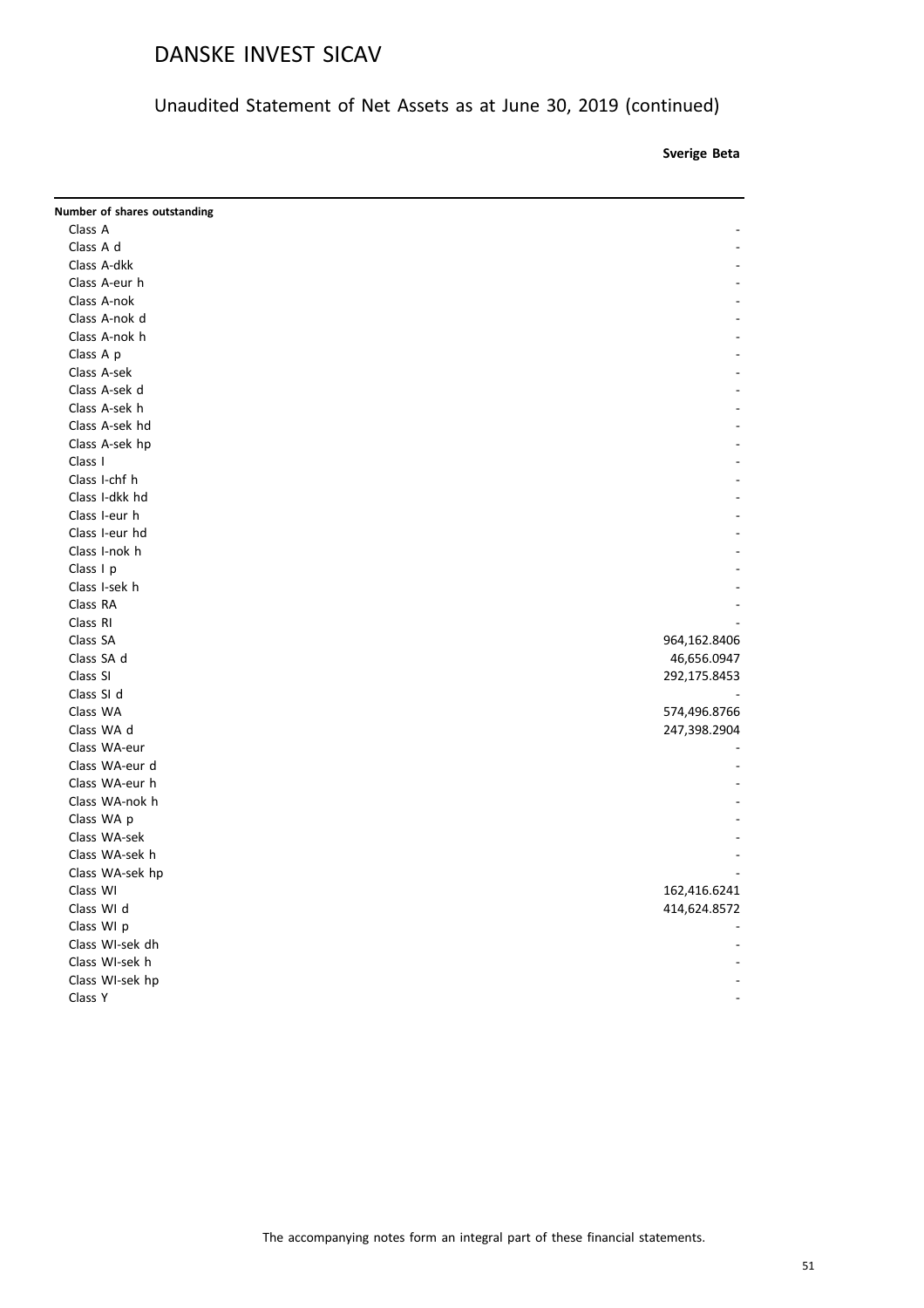Unaudited Statement of Net Assets as at June 30, 2019 (continued)

**Sverige Beta**

**Note SEKE** 

| Number of shares outstanding |              |
|------------------------------|--------------|
| Class A                      |              |
| Class A d                    |              |
| Class A-dkk                  |              |
| Class A-eur h                |              |
| Class A-nok                  |              |
| Class A-nok d                |              |
| Class A-nok h                |              |
| Class A p                    |              |
| Class A-sek                  |              |
| Class A-sek d                |              |
| Class A-sek h                |              |
| Class A-sek hd               |              |
| Class A-sek hp               |              |
| Class I                      |              |
| Class I-chf h                |              |
| Class I-dkk hd               |              |
| Class I-eur h                |              |
| Class I-eur hd               |              |
| Class I-nok h                |              |
| Class I p                    |              |
| Class I-sek h                |              |
| Class RA                     |              |
| Class RI                     |              |
| Class SA                     | 964,162.8406 |
| Class SA d                   | 46,656.0947  |
| Class SI                     | 292,175.8453 |
| Class SI d                   |              |
| Class WA                     | 574,496.8766 |
| Class WA d                   | 247,398.2904 |
| Class WA-eur                 |              |
| Class WA-eur d               |              |
| Class WA-eur h               |              |
| Class WA-nok h               |              |
| Class WA p                   |              |
| Class WA-sek                 |              |
| Class WA-sek h               |              |
| Class WA-sek hp              |              |
| Class WI                     | 162,416.6241 |
| Class WI d                   | 414,624.8572 |
| Class WI p                   |              |
| Class WI-sek dh              |              |
| Class WI-sek h               |              |
| Class WI-sek hp              |              |
| Class Y                      |              |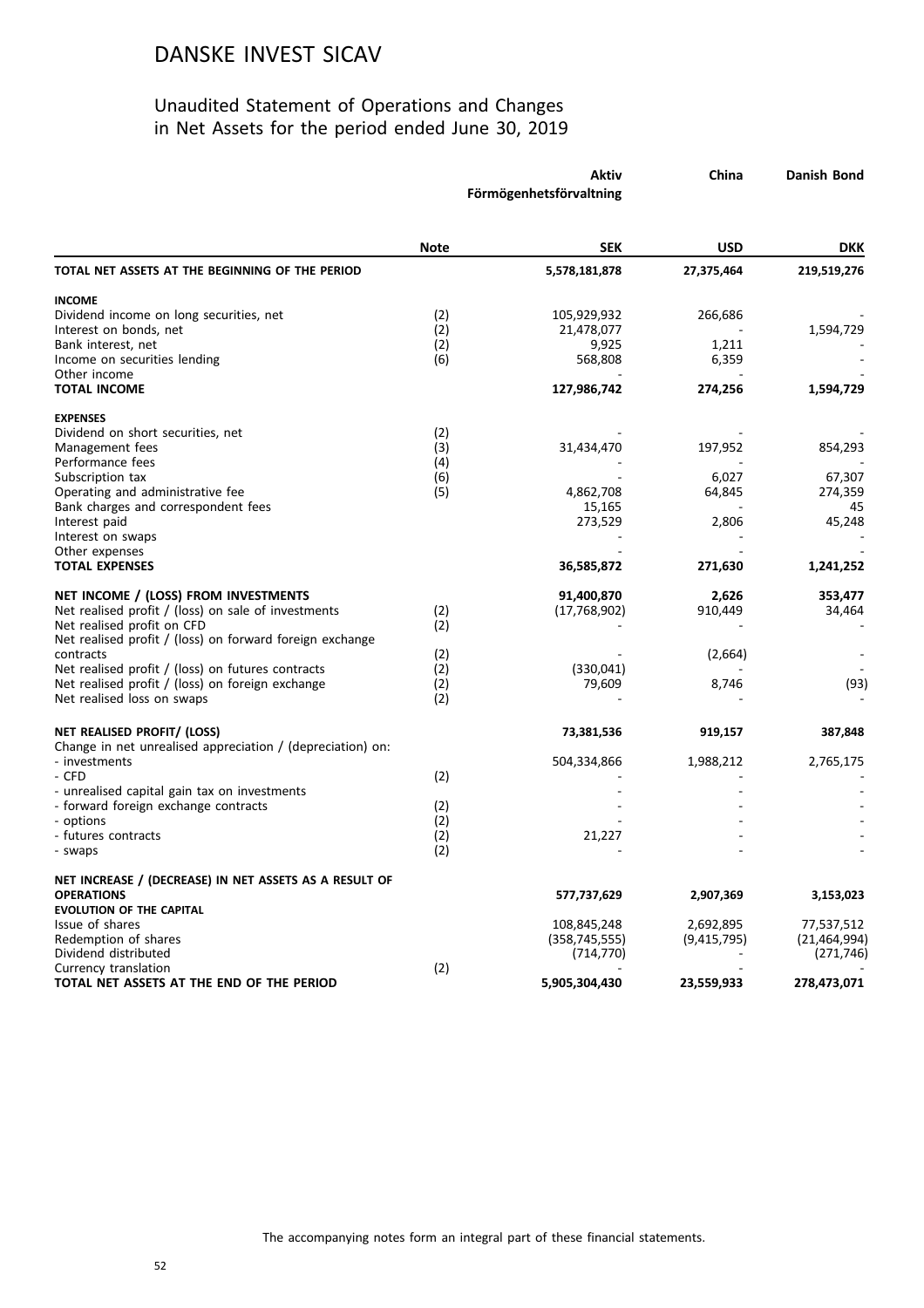|                                                                                                                                                                                       | Aktiv<br>Förmögenhetsförvaltning |                                | China                    | Danish Bond                  |
|---------------------------------------------------------------------------------------------------------------------------------------------------------------------------------------|----------------------------------|--------------------------------|--------------------------|------------------------------|
|                                                                                                                                                                                       | <b>Note</b>                      | <b>SEK</b>                     | USD                      | <b>DKK</b>                   |
| TOTAL NET ASSETS AT THE BEGINNING OF THE PERIOD                                                                                                                                       |                                  | 5,578,181,878                  | 27,375,464               | 219,519,276                  |
| <b>INCOME</b><br>Dividend income on long securities, net                                                                                                                              | (2)                              | 105,929,932                    | 266,686                  |                              |
| Interest on bonds, net<br>Bank interest, net<br>Income on securities lending                                                                                                          | (2)<br>(2)<br>(6)                | 21,478,077<br>9,925<br>568,808 | 1,211<br>6,359           | 1,594,729                    |
| Other income<br><b>TOTAL INCOME</b>                                                                                                                                                   |                                  | 127,986,742                    | 274,256                  | 1,594,729                    |
| <b>EXPENSES</b><br>Dividend on short securities, net                                                                                                                                  | (2)                              |                                |                          |                              |
| Management fees<br>Performance fees                                                                                                                                                   | (3)<br>(4)                       | 31,434,470                     | 197,952                  | 854,293                      |
| Subscription tax<br>Operating and administrative fee<br>Bank charges and correspondent fees                                                                                           | (6)<br>(5)                       | 4,862,708<br>15,165            | 6,027<br>64,845          | 67,307<br>274,359<br>45      |
| Interest paid<br>Interest on swaps                                                                                                                                                    |                                  | 273,529                        | 2,806                    | 45,248                       |
| Other expenses<br><b>TOTAL EXPENSES</b>                                                                                                                                               |                                  | 36,585,872                     | 271,630                  | 1,241,252                    |
| NET INCOME / (LOSS) FROM INVESTMENTS<br>Net realised profit / (loss) on sale of investments<br>Net realised profit on CFD<br>Net realised profit / (loss) on forward foreign exchange | (2)<br>(2)                       | 91,400,870<br>(17, 768, 902)   | 2,626<br>910,449         | 353,477<br>34,464            |
| contracts<br>Net realised profit / (loss) on futures contracts                                                                                                                        | (2)<br>(2)                       | (330,041)                      | (2,664)                  |                              |
| Net realised profit / (loss) on foreign exchange<br>Net realised loss on swaps                                                                                                        | (2)<br>(2)                       | 79,609                         | 8,746                    | (93)                         |
| NET REALISED PROFIT/ (LOSS)<br>Change in net unrealised appreciation / (depreciation) on:                                                                                             |                                  | 73,381,536                     | 919,157                  | 387,848                      |
| - investments<br>- CFD                                                                                                                                                                | (2)                              | 504,334,866                    | 1,988,212                | 2,765,175                    |
| - unrealised capital gain tax on investments<br>- forward foreign exchange contracts                                                                                                  | (2)                              |                                |                          |                              |
| - options<br>- futures contracts<br>- swaps                                                                                                                                           | (2)<br>(2)<br>(2)                | 21,227                         |                          |                              |
| NET INCREASE / (DECREASE) IN NET ASSETS AS A RESULT OF<br><b>OPERATIONS</b>                                                                                                           |                                  | 577,737,629                    | 2,907,369                | 3,153,023                    |
| <b>EVOLUTION OF THE CAPITAL</b><br>Issue of shares<br>Redemption of shares                                                                                                            |                                  | 108,845,248<br>(358, 745, 555) | 2,692,895<br>(9,415,795) | 77,537,512<br>(21, 464, 994) |
| Dividend distributed<br>Currency translation<br>TOTAL NET ASSETS AT THE END OF THE PERIOD                                                                                             | (2)                              | (714, 770)<br>5,905,304,430    | 23,559,933               | (271, 746)<br>278,473,071    |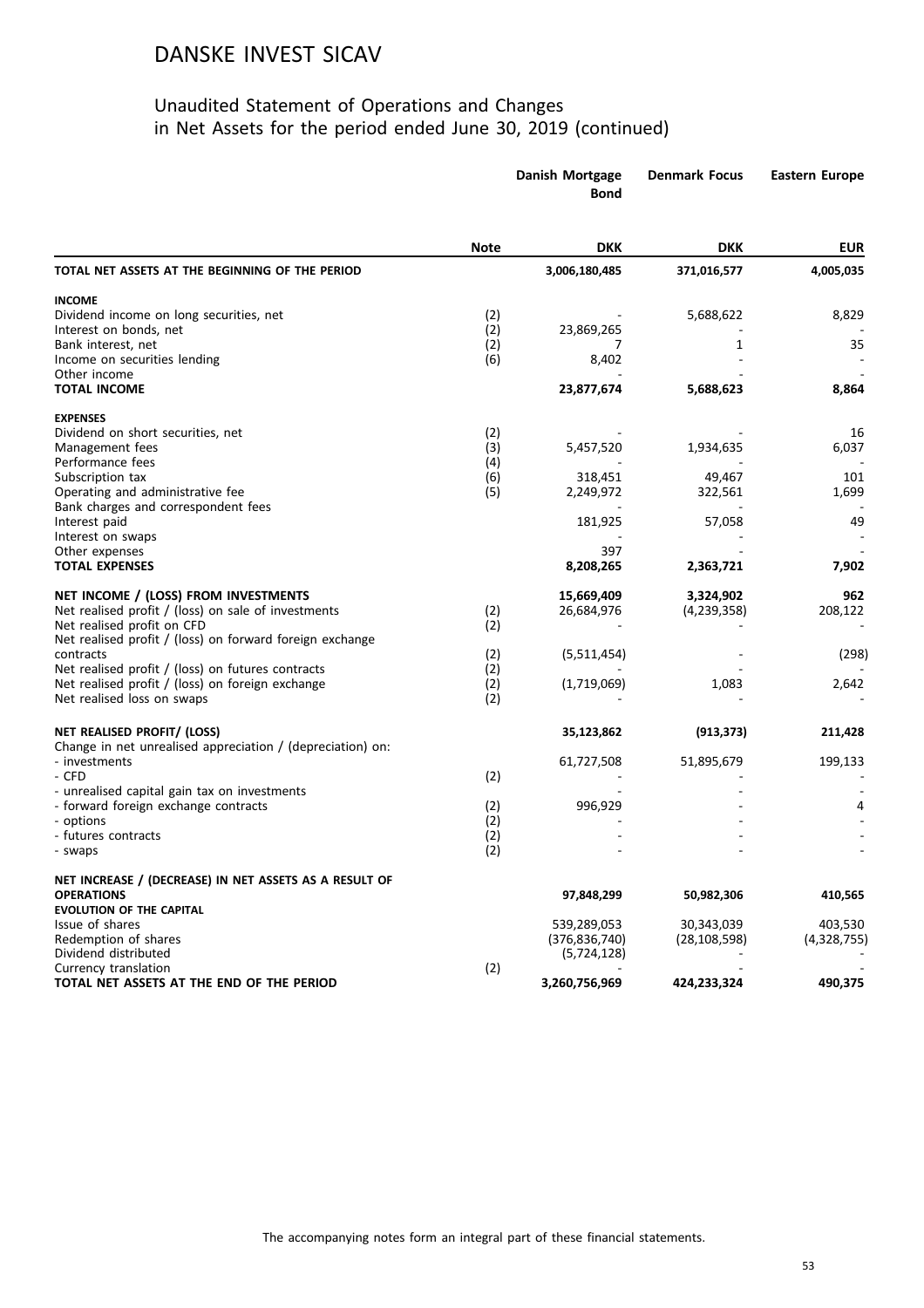|                                                                             |             | Danish Mortgage<br><b>Bond</b> | <b>Denmark Focus</b> | <b>Eastern Europe</b> |
|-----------------------------------------------------------------------------|-------------|--------------------------------|----------------------|-----------------------|
|                                                                             | <b>Note</b> | <b>DKK</b>                     | DKK                  | <b>EUR</b>            |
| TOTAL NET ASSETS AT THE BEGINNING OF THE PERIOD                             |             | 3,006,180,485                  | 371,016,577          | 4,005,035             |
| <b>INCOME</b>                                                               |             |                                |                      |                       |
| Dividend income on long securities, net                                     | (2)         |                                | 5,688,622            | 8,829                 |
| Interest on bonds, net                                                      | (2)         | 23,869,265                     |                      |                       |
| Bank interest, net                                                          | (2)         | 7                              | 1                    | 35                    |
| Income on securities lending<br>Other income                                | (6)         | 8,402                          |                      |                       |
| <b>TOTAL INCOME</b>                                                         |             | 23,877,674                     | 5,688,623            | 8,864                 |
| <b>EXPENSES</b>                                                             |             |                                |                      |                       |
| Dividend on short securities, net                                           | (2)         |                                |                      | 16                    |
| Management fees                                                             | (3)         | 5,457,520                      | 1,934,635            | 6,037                 |
| Performance fees                                                            | (4)         |                                |                      |                       |
| Subscription tax                                                            | (6)         | 318,451                        | 49,467               | 101                   |
| Operating and administrative fee                                            | (5)         | 2,249,972                      | 322,561              | 1,699                 |
| Bank charges and correspondent fees                                         |             | 181,925                        |                      | 49                    |
| Interest paid<br>Interest on swaps                                          |             |                                | 57,058               |                       |
| Other expenses                                                              |             | 397                            |                      |                       |
| <b>TOTAL EXPENSES</b>                                                       |             | 8,208,265                      | 2,363,721            | 7,902                 |
| NET INCOME / (LOSS) FROM INVESTMENTS                                        |             | 15,669,409                     | 3,324,902            | 962                   |
| Net realised profit / (loss) on sale of investments                         | (2)         | 26,684,976                     | (4, 239, 358)        | 208,122               |
| Net realised profit on CFD                                                  | (2)         |                                |                      |                       |
| Net realised profit / (loss) on forward foreign exchange                    |             |                                |                      |                       |
| contracts                                                                   | (2)         | (5,511,454)                    |                      | (298)                 |
| Net realised profit / (loss) on futures contracts                           | (2)         |                                |                      |                       |
| Net realised profit / (loss) on foreign exchange                            | (2)         | (1,719,069)                    | 1,083                | 2,642                 |
| Net realised loss on swaps                                                  | (2)         |                                |                      |                       |
| NET REALISED PROFIT/ (LOSS)                                                 |             | 35,123,862                     | (913, 373)           | 211,428               |
| Change in net unrealised appreciation / (depreciation) on:<br>- investments |             | 61,727,508                     | 51,895,679           | 199,133               |
| - CFD                                                                       | (2)         |                                |                      |                       |
| - unrealised capital gain tax on investments                                |             |                                |                      |                       |
| - forward foreign exchange contracts                                        | (2)         | 996,929                        |                      |                       |
| - options                                                                   | (2)         |                                |                      |                       |
| - futures contracts                                                         | (2)         |                                |                      |                       |
| - swaps                                                                     | (2)         |                                |                      |                       |
| NET INCREASE / (DECREASE) IN NET ASSETS AS A RESULT OF                      |             |                                |                      |                       |
| <b>OPERATIONS</b><br><b>EVOLUTION OF THE CAPITAL</b>                        |             | 97,848,299                     | 50,982,306           | 410,565               |
| Issue of shares                                                             |             | 539,289,053                    | 30,343,039           | 403,530               |
| Redemption of shares                                                        |             | (376, 836, 740)                | (28, 108, 598)       | (4,328,755)           |
| Dividend distributed                                                        |             | (5, 724, 128)                  |                      |                       |
| Currency translation                                                        | (2)         |                                |                      |                       |
| TOTAL NET ASSETS AT THE END OF THE PERIOD                                   |             | 3,260,756,969                  | 424,233,324          | 490,375               |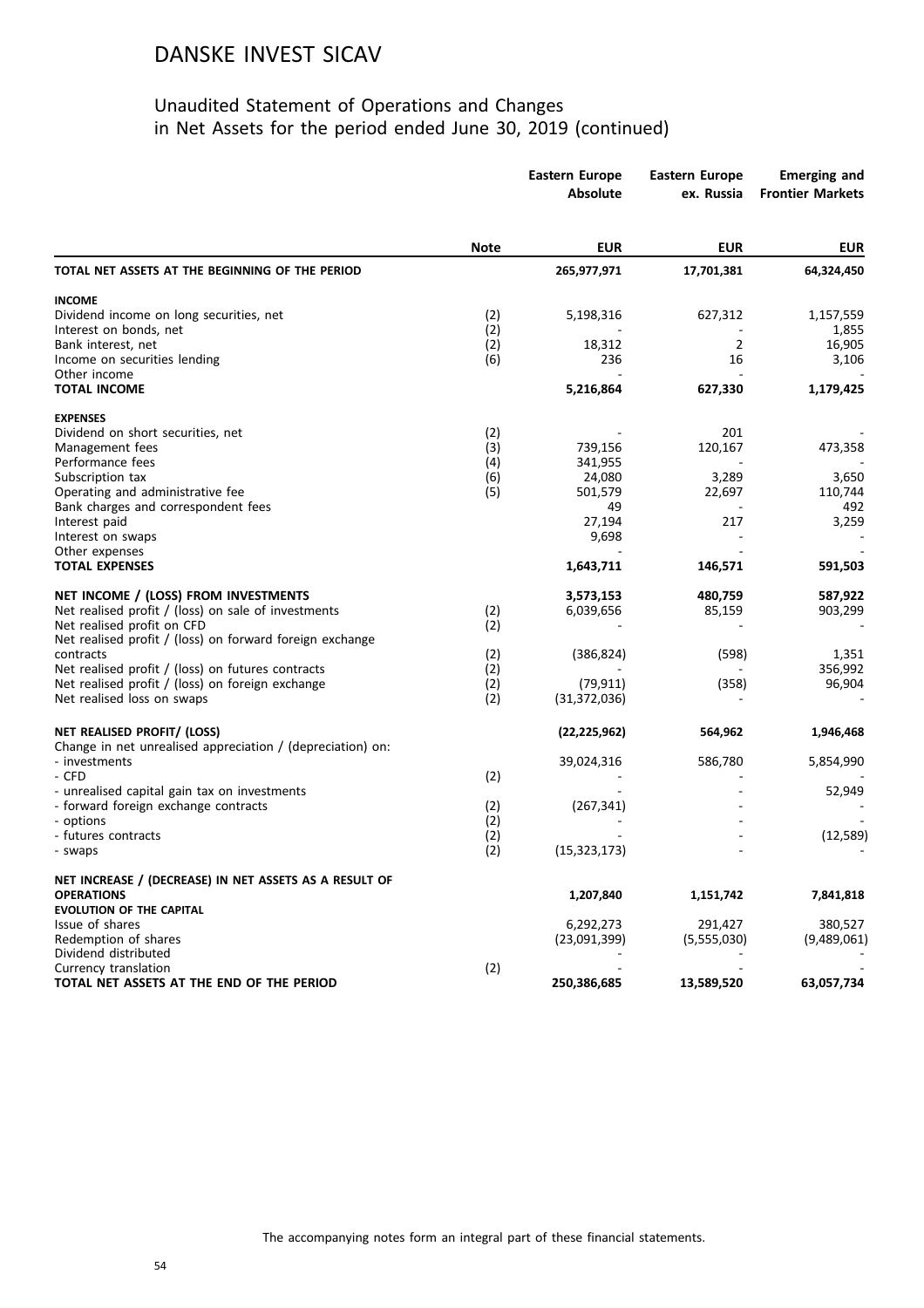|                                                                             |             | <b>Eastern Europe</b><br><b>Absolute</b> | <b>Eastern Europe</b><br>ex. Russia | <b>Emerging and</b><br><b>Frontier Markets</b> |
|-----------------------------------------------------------------------------|-------------|------------------------------------------|-------------------------------------|------------------------------------------------|
|                                                                             | <b>Note</b> | <b>EUR</b>                               | <b>EUR</b>                          | <b>EUR</b>                                     |
| TOTAL NET ASSETS AT THE BEGINNING OF THE PERIOD                             |             | 265,977,971                              | 17,701,381                          | 64,324,450                                     |
| <b>INCOME</b>                                                               |             |                                          |                                     |                                                |
| Dividend income on long securities, net                                     | (2)         | 5,198,316                                | 627,312                             | 1,157,559                                      |
| Interest on bonds, net                                                      | (2)         |                                          |                                     | 1,855                                          |
| Bank interest, net                                                          | (2)         | 18,312                                   | $\overline{2}$                      | 16,905                                         |
| Income on securities lending                                                | (6)         | 236                                      | 16                                  | 3,106                                          |
| Other income                                                                |             |                                          | 627,330                             |                                                |
| <b>TOTAL INCOME</b>                                                         |             | 5,216,864                                |                                     | 1,179,425                                      |
| <b>EXPENSES</b>                                                             |             |                                          |                                     |                                                |
| Dividend on short securities, net                                           | (2)         |                                          | 201                                 |                                                |
| Management fees                                                             | (3)         | 739,156                                  | 120,167                             | 473,358                                        |
| Performance fees                                                            | (4)         | 341,955                                  |                                     |                                                |
| Subscription tax                                                            | (6)         | 24,080                                   | 3,289                               | 3,650                                          |
| Operating and administrative fee<br>Bank charges and correspondent fees     | (5)         | 501,579<br>49                            | 22,697                              | 110,744<br>492                                 |
| Interest paid                                                               |             | 27,194                                   | 217                                 | 3,259                                          |
| Interest on swaps                                                           |             | 9,698                                    |                                     |                                                |
| Other expenses                                                              |             |                                          |                                     |                                                |
| <b>TOTAL EXPENSES</b>                                                       |             | 1,643,711                                | 146,571                             | 591,503                                        |
| NET INCOME / (LOSS) FROM INVESTMENTS                                        |             | 3,573,153                                | 480,759                             | 587,922                                        |
| Net realised profit / (loss) on sale of investments                         | (2)         | 6,039,656                                | 85,159                              | 903,299                                        |
| Net realised profit on CFD                                                  | (2)         |                                          |                                     |                                                |
| Net realised profit / (loss) on forward foreign exchange                    |             |                                          |                                     |                                                |
| contracts                                                                   | (2)         | (386, 824)                               | (598)                               | 1,351                                          |
| Net realised profit / (loss) on futures contracts                           | (2)         |                                          |                                     | 356,992                                        |
| Net realised profit / (loss) on foreign exchange                            | (2)         | (79, 911)                                | (358)                               | 96,904                                         |
| Net realised loss on swaps                                                  | (2)         | (31, 372, 036)                           |                                     |                                                |
| NET REALISED PROFIT/ (LOSS)                                                 |             | (22, 225, 962)                           | 564,962                             | 1,946,468                                      |
| Change in net unrealised appreciation / (depreciation) on:<br>- investments |             | 39,024,316                               | 586,780                             | 5,854,990                                      |
| - CFD                                                                       | (2)         |                                          |                                     |                                                |
| - unrealised capital gain tax on investments                                |             |                                          |                                     | 52,949                                         |
| - forward foreign exchange contracts                                        | (2)         | (267, 341)                               |                                     |                                                |
| - options                                                                   | (2)         |                                          |                                     |                                                |
| - futures contracts                                                         | (2)         |                                          |                                     | (12, 589)                                      |
| - swaps                                                                     | (2)         | (15, 323, 173)                           |                                     |                                                |
| NET INCREASE / (DECREASE) IN NET ASSETS AS A RESULT OF                      |             |                                          |                                     |                                                |
| <b>OPERATIONS</b>                                                           |             | 1,207,840                                | 1,151,742                           | 7,841,818                                      |
| <b>EVOLUTION OF THE CAPITAL</b>                                             |             |                                          |                                     |                                                |
| Issue of shares                                                             |             | 6,292,273                                | 291,427                             | 380,527                                        |
| Redemption of shares                                                        |             | (23,091,399)                             | (5,555,030)                         | (9,489,061)                                    |
| Dividend distributed                                                        |             |                                          |                                     |                                                |
| Currency translation                                                        | (2)         |                                          |                                     |                                                |
| TOTAL NET ASSETS AT THE END OF THE PERIOD                                   |             | 250,386,685                              | 13,589,520                          | 63,057,734                                     |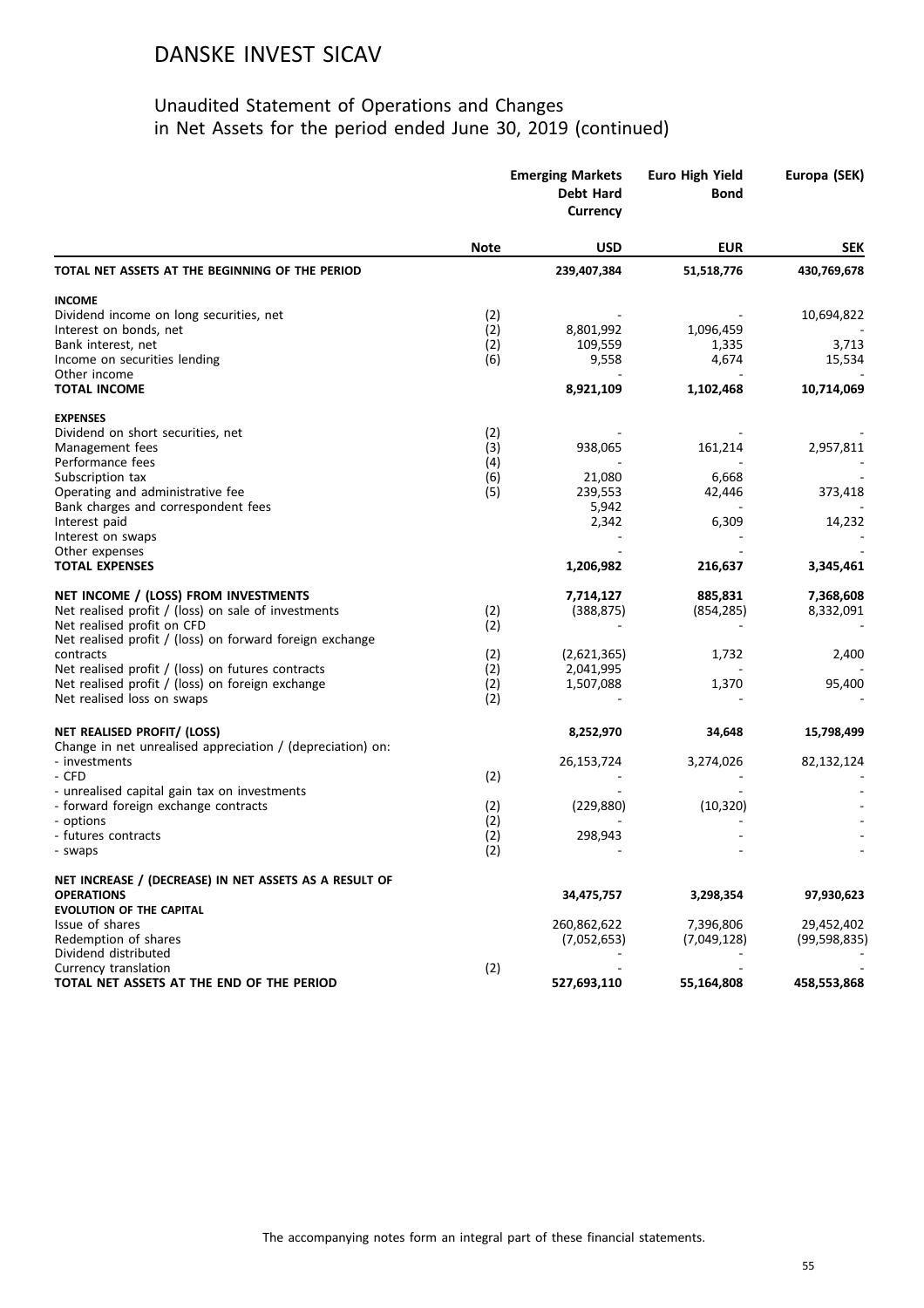|                                                                             | <b>Emerging Markets</b><br>Debt Hard<br>Currency |             | <b>Euro High Yield</b><br><b>Bond</b> | Europa (SEK)   |
|-----------------------------------------------------------------------------|--------------------------------------------------|-------------|---------------------------------------|----------------|
|                                                                             | <b>Note</b>                                      | <b>USD</b>  | <b>EUR</b>                            | <b>SEK</b>     |
| TOTAL NET ASSETS AT THE BEGINNING OF THE PERIOD                             |                                                  | 239,407,384 | 51,518,776                            | 430,769,678    |
| <b>INCOME</b>                                                               |                                                  |             |                                       |                |
| Dividend income on long securities, net                                     | (2)                                              |             |                                       | 10,694,822     |
| Interest on bonds, net                                                      | (2)                                              | 8,801,992   | 1,096,459                             |                |
| Bank interest, net                                                          | (2)                                              | 109,559     | 1,335                                 | 3,713          |
| Income on securities lending                                                | (6)                                              | 9,558       | 4,674                                 | 15,534         |
| Other income                                                                |                                                  |             |                                       |                |
| <b>TOTAL INCOME</b>                                                         |                                                  | 8,921,109   | 1,102,468                             | 10,714,069     |
| <b>EXPENSES</b>                                                             |                                                  |             |                                       |                |
| Dividend on short securities, net                                           | (2)                                              |             |                                       |                |
| Management fees                                                             | (3)                                              | 938,065     | 161,214                               | 2,957,811      |
| Performance fees                                                            | (4)                                              |             |                                       |                |
| Subscription tax                                                            | (6)                                              | 21,080      | 6,668                                 |                |
| Operating and administrative fee                                            | (5)                                              | 239,553     | 42,446                                | 373,418        |
| Bank charges and correspondent fees                                         |                                                  | 5,942       |                                       |                |
| Interest paid                                                               |                                                  | 2,342       | 6,309                                 | 14,232         |
| Interest on swaps                                                           |                                                  |             |                                       |                |
| Other expenses                                                              |                                                  |             |                                       |                |
| <b>TOTAL EXPENSES</b>                                                       |                                                  | 1,206,982   | 216,637                               | 3,345,461      |
| NET INCOME / (LOSS) FROM INVESTMENTS                                        |                                                  | 7,714,127   | 885,831                               | 7,368,608      |
| Net realised profit / (loss) on sale of investments                         | (2)                                              | (388, 875)  | (854, 285)                            | 8,332,091      |
| Net realised profit on CFD                                                  | (2)                                              |             |                                       |                |
| Net realised profit / (loss) on forward foreign exchange                    |                                                  |             |                                       |                |
| contracts                                                                   | (2)                                              | (2,621,365) | 1,732                                 | 2,400          |
| Net realised profit / (loss) on futures contracts                           | (2)                                              | 2,041,995   |                                       |                |
| Net realised profit / (loss) on foreign exchange                            | (2)                                              | 1,507,088   | 1,370                                 | 95,400         |
| Net realised loss on swaps                                                  | (2)                                              |             |                                       |                |
|                                                                             |                                                  |             |                                       |                |
| NET REALISED PROFIT/ (LOSS)                                                 |                                                  | 8,252,970   | 34,648                                | 15,798,499     |
| Change in net unrealised appreciation / (depreciation) on:<br>- investments |                                                  | 26,153,724  | 3,274,026                             | 82,132,124     |
| - CFD                                                                       | (2)                                              |             |                                       |                |
| - unrealised capital gain tax on investments                                |                                                  |             |                                       |                |
| - forward foreign exchange contracts                                        | (2)                                              | (229, 880)  | (10, 320)                             |                |
| - options                                                                   | (2)                                              |             |                                       |                |
| - futures contracts                                                         |                                                  | 298,943     |                                       |                |
| - swaps                                                                     | (2)<br>(2)                                       |             |                                       |                |
| NET INCREASE / (DECREASE) IN NET ASSETS AS A RESULT OF                      |                                                  |             |                                       |                |
| <b>OPERATIONS</b>                                                           |                                                  | 34,475,757  | 3,298,354                             | 97,930,623     |
| <b>EVOLUTION OF THE CAPITAL</b>                                             |                                                  |             |                                       |                |
| Issue of shares                                                             |                                                  | 260,862,622 | 7,396,806                             | 29,452,402     |
| Redemption of shares                                                        |                                                  | (7,052,653) | (7,049,128)                           | (99, 598, 835) |
| Dividend distributed                                                        |                                                  |             |                                       |                |
| Currency translation                                                        | (2)                                              |             |                                       |                |
| TOTAL NET ASSETS AT THE END OF THE PERIOD                                   |                                                  | 527,693,110 | 55,164,808                            | 458,553,868    |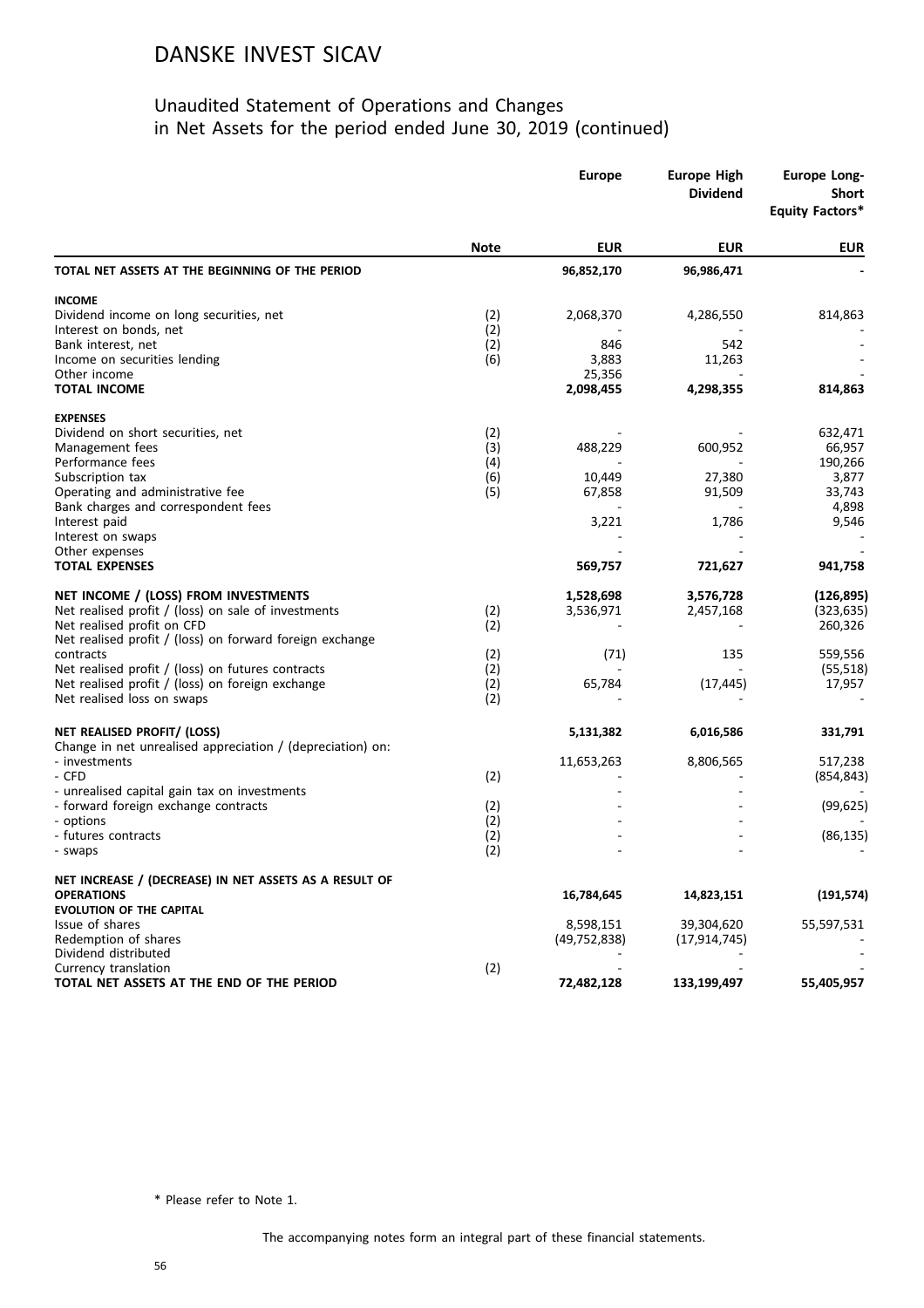#### Unaudited Statement of Operations and Changes in Net Assets for the period ended June 30, 2019 (continued)

|                                                                   |             | <b>Europe</b>  | <b>Europe High</b><br><b>Dividend</b> | <b>Europe Long-</b><br><b>Short</b><br><b>Equity Factors*</b> |  |
|-------------------------------------------------------------------|-------------|----------------|---------------------------------------|---------------------------------------------------------------|--|
|                                                                   | <b>Note</b> | <b>EUR</b>     | <b>EUR</b>                            | <b>EUR</b>                                                    |  |
| TOTAL NET ASSETS AT THE BEGINNING OF THE PERIOD                   |             | 96,852,170     | 96,986,471                            |                                                               |  |
| <b>INCOME</b>                                                     |             |                |                                       |                                                               |  |
| Dividend income on long securities, net                           | (2)         | 2,068,370      | 4,286,550                             | 814,863                                                       |  |
| Interest on bonds, net                                            | (2)         |                |                                       |                                                               |  |
| Bank interest, net                                                | (2)         | 846<br>3,883   | 542                                   |                                                               |  |
| Income on securities lending<br>Other income                      | (6)         | 25,356         | 11,263                                |                                                               |  |
| <b>TOTAL INCOME</b>                                               |             | 2,098,455      | 4,298,355                             | 814,863                                                       |  |
| <b>EXPENSES</b>                                                   |             |                |                                       |                                                               |  |
| Dividend on short securities, net                                 | (2)         |                |                                       | 632,471                                                       |  |
| Management fees                                                   | (3)         | 488,229        | 600,952                               | 66,957                                                        |  |
| Performance fees                                                  | (4)         |                |                                       | 190,266                                                       |  |
| Subscription tax                                                  | (6)         | 10,449         | 27,380                                | 3,877                                                         |  |
| Operating and administrative fee                                  | (5)         | 67,858         | 91,509                                | 33,743                                                        |  |
| Bank charges and correspondent fees                               |             |                |                                       | 4,898                                                         |  |
| Interest paid                                                     |             | 3,221          | 1,786                                 | 9,546                                                         |  |
| Interest on swaps                                                 |             |                |                                       |                                                               |  |
| Other expenses                                                    |             |                |                                       |                                                               |  |
| <b>TOTAL EXPENSES</b>                                             |             | 569,757        | 721,627                               | 941,758                                                       |  |
| NET INCOME / (LOSS) FROM INVESTMENTS                              |             | 1,528,698      | 3,576,728                             | (126, 895)                                                    |  |
| Net realised profit / (loss) on sale of investments               | (2)         | 3,536,971      | 2,457,168                             | (323, 635)                                                    |  |
| Net realised profit on CFD                                        | (2)         |                |                                       | 260,326                                                       |  |
| Net realised profit / (loss) on forward foreign exchange          |             |                |                                       |                                                               |  |
| contracts                                                         | (2)         | (71)           | 135                                   | 559,556                                                       |  |
| Net realised profit / (loss) on futures contracts                 | (2)         |                |                                       | (55, 518)                                                     |  |
| Net realised profit / (loss) on foreign exchange                  | (2)         | 65,784         | (17, 445)                             | 17,957                                                        |  |
| Net realised loss on swaps                                        | (2)         |                |                                       |                                                               |  |
| NET REALISED PROFIT/ (LOSS)                                       |             | 5,131,382      | 6,016,586                             | 331,791                                                       |  |
| Change in net unrealised appreciation / (depreciation) on:        |             |                |                                       |                                                               |  |
| - investments                                                     |             | 11,653,263     | 8,806,565                             | 517,238                                                       |  |
| - CFD                                                             | (2)         |                |                                       | (854, 843)                                                    |  |
| - unrealised capital gain tax on investments                      |             |                |                                       |                                                               |  |
| - forward foreign exchange contracts<br>- options                 | (2)<br>(2)  |                |                                       | (99, 625)                                                     |  |
| - futures contracts                                               | (2)         |                |                                       | (86, 135)                                                     |  |
| - swaps                                                           | (2)         |                |                                       |                                                               |  |
| NET INCREASE / (DECREASE) IN NET ASSETS AS A RESULT OF            |             |                |                                       |                                                               |  |
| <b>OPERATIONS</b>                                                 |             | 16,784,645     | 14,823,151                            | (191, 574)                                                    |  |
| <b>EVOLUTION OF THE CAPITAL</b>                                   |             |                |                                       |                                                               |  |
| Issue of shares                                                   |             | 8,598,151      | 39,304,620                            | 55,597,531                                                    |  |
| Redemption of shares                                              |             | (49, 752, 838) | (17, 914, 745)                        |                                                               |  |
| Dividend distributed                                              |             |                |                                       |                                                               |  |
| Currency translation<br>TOTAL NET ASSETS AT THE END OF THE PERIOD | (2)         |                |                                       |                                                               |  |
|                                                                   |             | 72,482,128     | 133,199,497                           | 55,405,957                                                    |  |

\* Please refer to Note 1.

The accompanying notes form an integral part of these financial statements.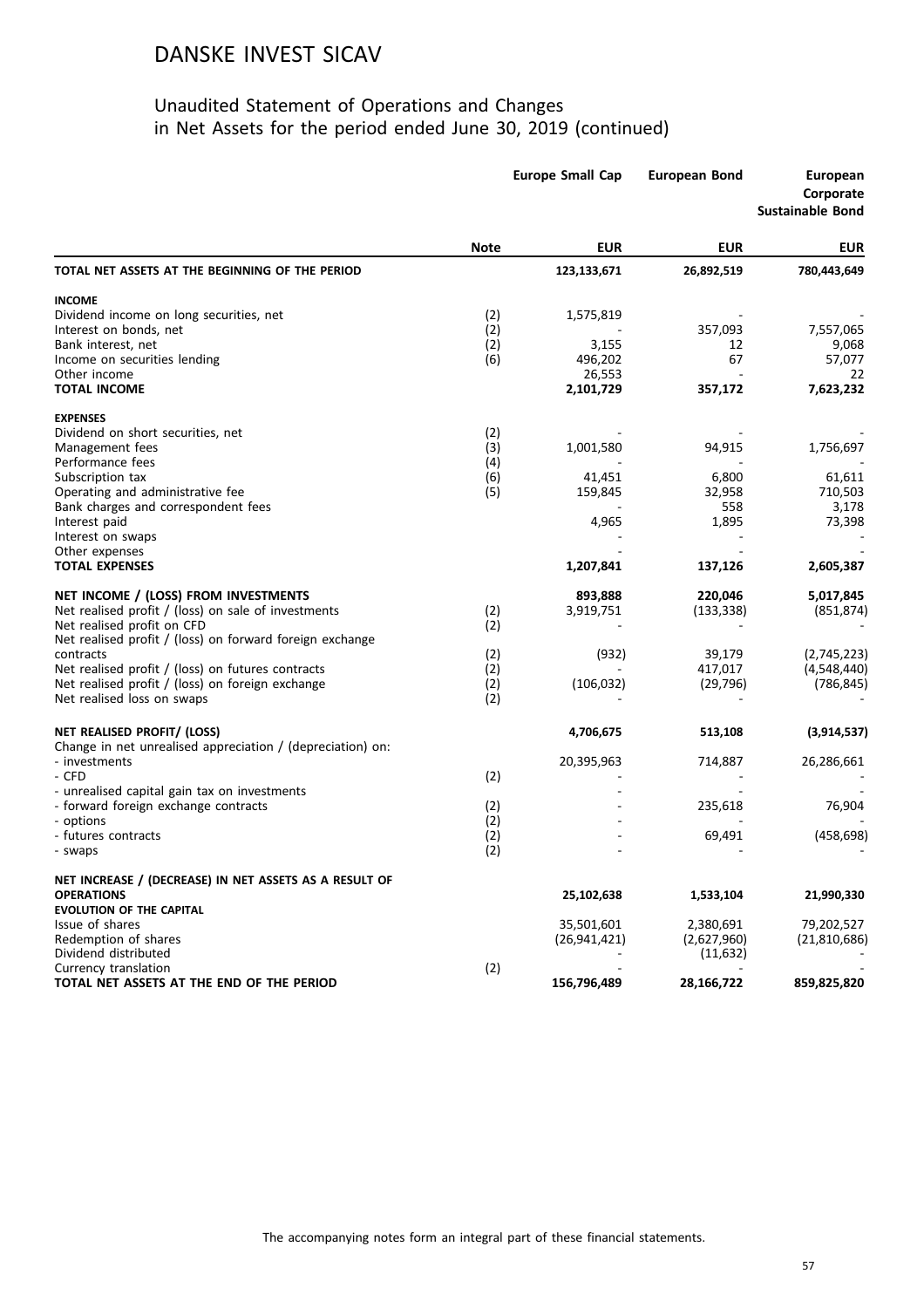|                                                            |             | <b>Europe Small Cap</b> | <b>European Bond</b> | <b>European</b><br>Corporate<br><b>Sustainable Bond</b> |
|------------------------------------------------------------|-------------|-------------------------|----------------------|---------------------------------------------------------|
|                                                            | <b>Note</b> | <b>EUR</b>              | <b>EUR</b>           | <b>EUR</b>                                              |
| TOTAL NET ASSETS AT THE BEGINNING OF THE PERIOD            |             | 123,133,671             | 26,892,519           | 780,443,649                                             |
| <b>INCOME</b>                                              |             |                         |                      |                                                         |
| Dividend income on long securities, net                    | (2)         | 1,575,819               |                      |                                                         |
| Interest on bonds, net                                     | (2)         |                         | 357,093              | 7,557,065                                               |
| Bank interest, net                                         | (2)         | 3,155                   | 12                   | 9,068                                                   |
| Income on securities lending                               | (6)         | 496,202                 | 67                   | 57,077                                                  |
| Other income                                               |             | 26,553                  |                      | 22                                                      |
| <b>TOTAL INCOME</b>                                        |             | 2,101,729               | 357,172              | 7,623,232                                               |
| <b>EXPENSES</b>                                            |             |                         |                      |                                                         |
| Dividend on short securities, net                          | (2)         |                         |                      |                                                         |
| Management fees                                            | (3)         | 1,001,580               | 94,915               | 1,756,697                                               |
| Performance fees                                           | (4)         |                         |                      |                                                         |
| Subscription tax                                           | (6)         | 41,451                  | 6,800                | 61,611                                                  |
| Operating and administrative fee                           | (5)         | 159,845                 | 32,958               | 710,503                                                 |
| Bank charges and correspondent fees                        |             |                         | 558                  | 3,178                                                   |
| Interest paid                                              |             | 4,965                   | 1,895                | 73,398                                                  |
| Interest on swaps                                          |             |                         |                      |                                                         |
| Other expenses<br><b>TOTAL EXPENSES</b>                    |             | 1,207,841               | 137,126              | 2,605,387                                               |
|                                                            |             |                         |                      |                                                         |
| NET INCOME / (LOSS) FROM INVESTMENTS                       |             | 893,888                 | 220,046              | 5,017,845                                               |
| Net realised profit / (loss) on sale of investments        | (2)         | 3,919,751               | (133, 338)           | (851, 874)                                              |
| Net realised profit on CFD                                 | (2)         |                         |                      |                                                         |
| Net realised profit / (loss) on forward foreign exchange   |             |                         |                      |                                                         |
| contracts                                                  | (2)         | (932)                   | 39,179               | (2,745,223)                                             |
| Net realised profit / (loss) on futures contracts          | (2)         |                         | 417,017              | (4,548,440)                                             |
| Net realised profit / (loss) on foreign exchange           | (2)         | (106, 032)              | (29, 796)            | (786, 845)                                              |
| Net realised loss on swaps                                 | (2)         |                         |                      |                                                         |
| NET REALISED PROFIT/ (LOSS)                                |             | 4,706,675               | 513,108              | (3,914,537)                                             |
| Change in net unrealised appreciation / (depreciation) on: |             |                         |                      |                                                         |
| - investments                                              |             | 20,395,963              | 714,887              | 26,286,661                                              |
| - CFD                                                      | (2)         |                         |                      |                                                         |
| - unrealised capital gain tax on investments               |             |                         |                      |                                                         |
| - forward foreign exchange contracts                       | (2)         |                         | 235,618              | 76,904                                                  |
| - options                                                  | (2)         |                         |                      |                                                         |
| - futures contracts                                        | (2)         |                         | 69,491               | (458, 698)                                              |
| - swaps                                                    | (2)         |                         |                      |                                                         |
| NET INCREASE / (DECREASE) IN NET ASSETS AS A RESULT OF     |             |                         |                      |                                                         |
| <b>OPERATIONS</b>                                          |             | 25,102,638              | 1,533,104            | 21,990,330                                              |
| <b>EVOLUTION OF THE CAPITAL</b>                            |             |                         |                      |                                                         |
| Issue of shares                                            |             | 35,501,601              | 2,380,691            | 79,202,527                                              |
| Redemption of shares                                       |             | (26, 941, 421)          | (2,627,960)          | (21,810,686)                                            |
| Dividend distributed                                       |             |                         | (11,632)             |                                                         |
| Currency translation                                       | (2)         |                         |                      |                                                         |
| TOTAL NET ASSETS AT THE END OF THE PERIOD                  |             | 156,796,489             | 28,166,722           | 859,825,820                                             |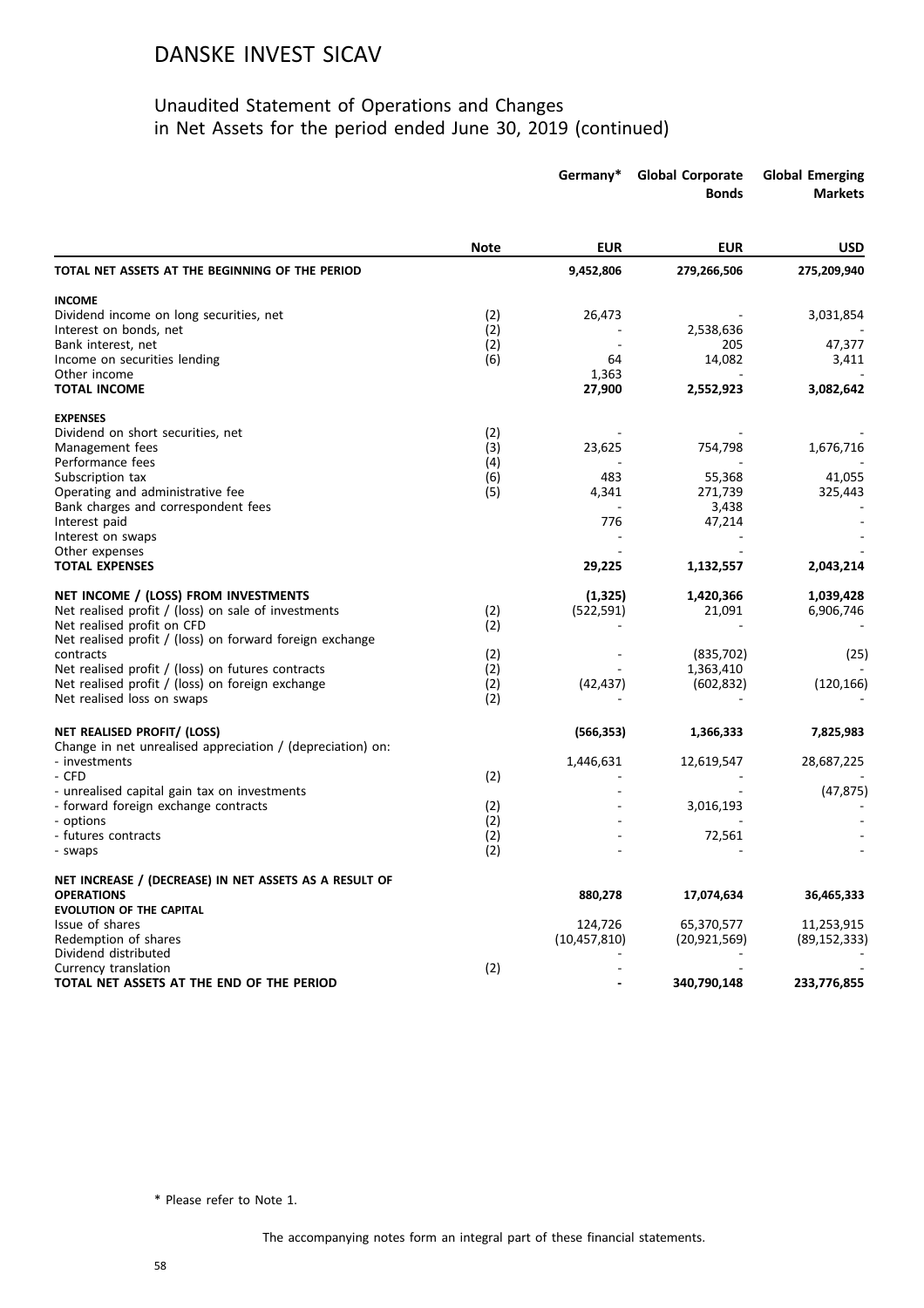#### Unaudited Statement of Operations and Changes in Net Assets for the period ended June 30, 2019 (continued)

|                                                            |             | Germany*        | <b>Global Corporate</b><br><b>Bonds</b> | <b>Global Emerging</b><br><b>Markets</b> |
|------------------------------------------------------------|-------------|-----------------|-----------------------------------------|------------------------------------------|
|                                                            | <b>Note</b> | <b>EUR</b>      | <b>EUR</b>                              | <b>USD</b>                               |
| TOTAL NET ASSETS AT THE BEGINNING OF THE PERIOD            |             | 9,452,806       | 279,266,506                             | 275,209,940                              |
| <b>INCOME</b>                                              |             |                 |                                         |                                          |
| Dividend income on long securities, net                    | (2)         | 26,473          |                                         | 3,031,854                                |
| Interest on bonds, net                                     | (2)         |                 | 2,538,636                               |                                          |
| Bank interest, net                                         | (2)         |                 | 205                                     | 47,377                                   |
| Income on securities lending                               | (6)         | 64              | 14,082                                  | 3,411                                    |
| Other income<br><b>TOTAL INCOME</b>                        |             | 1,363<br>27,900 | 2,552,923                               | 3,082,642                                |
|                                                            |             |                 |                                         |                                          |
| <b>EXPENSES</b>                                            |             |                 |                                         |                                          |
| Dividend on short securities, net                          | (2)         |                 |                                         |                                          |
| Management fees                                            | (3)         | 23,625          | 754,798                                 | 1,676,716                                |
| Performance fees                                           | (4)         |                 |                                         |                                          |
| Subscription tax                                           | (6)         | 483             | 55,368                                  | 41,055                                   |
| Operating and administrative fee                           | (5)         | 4,341           | 271,739                                 | 325,443                                  |
| Bank charges and correspondent fees                        |             |                 | 3,438                                   |                                          |
| Interest paid                                              |             | 776             | 47,214                                  |                                          |
| Interest on swaps                                          |             |                 |                                         |                                          |
| Other expenses<br><b>TOTAL EXPENSES</b>                    |             | 29,225          | 1,132,557                               | 2,043,214                                |
|                                                            |             |                 |                                         |                                          |
| NET INCOME / (LOSS) FROM INVESTMENTS                       |             | (1, 325)        | 1,420,366                               | 1,039,428                                |
| Net realised profit / (loss) on sale of investments        | (2)         | (522, 591)      | 21,091                                  | 6,906,746                                |
| Net realised profit on CFD                                 | (2)         |                 |                                         |                                          |
| Net realised profit / (loss) on forward foreign exchange   |             |                 |                                         |                                          |
| contracts                                                  | (2)         |                 | (835, 702)                              | (25)                                     |
| Net realised profit / (loss) on futures contracts          | (2)         |                 | 1,363,410                               |                                          |
| Net realised profit / (loss) on foreign exchange           | (2)         | (42, 437)       | (602, 832)                              | (120, 166)                               |
| Net realised loss on swaps                                 | (2)         |                 |                                         |                                          |
| NET REALISED PROFIT/ (LOSS)                                |             | (566, 353)      | 1,366,333                               | 7,825,983                                |
| Change in net unrealised appreciation / (depreciation) on: |             |                 |                                         |                                          |
| - investments                                              |             | 1,446,631       | 12,619,547                              | 28,687,225                               |
| - CFD                                                      | (2)         |                 |                                         |                                          |
| - unrealised capital gain tax on investments               |             |                 |                                         | (47, 875)                                |
| - forward foreign exchange contracts                       | (2)         |                 | 3,016,193                               |                                          |
| - options                                                  | (2)         |                 |                                         |                                          |
| - futures contracts<br>- swaps                             | (2)<br>(2)  |                 | 72,561                                  |                                          |
|                                                            |             |                 |                                         |                                          |
| NET INCREASE / (DECREASE) IN NET ASSETS AS A RESULT OF     |             |                 |                                         |                                          |
| <b>OPERATIONS</b>                                          |             | 880,278         | 17,074,634                              | 36,465,333                               |
| <b>EVOLUTION OF THE CAPITAL</b>                            |             |                 |                                         |                                          |
| Issue of shares                                            |             | 124,726         | 65,370,577                              | 11,253,915                               |
| Redemption of shares                                       |             | (10, 457, 810)  | (20, 921, 569)                          | (89, 152, 333)                           |
| Dividend distributed                                       |             |                 |                                         |                                          |
| Currency translation                                       | (2)         |                 |                                         |                                          |
| TOTAL NET ASSETS AT THE END OF THE PERIOD                  |             |                 | 340,790,148                             | 233,776,855                              |

\* Please refer to Note 1.

The accompanying notes form an integral part of these financial statements.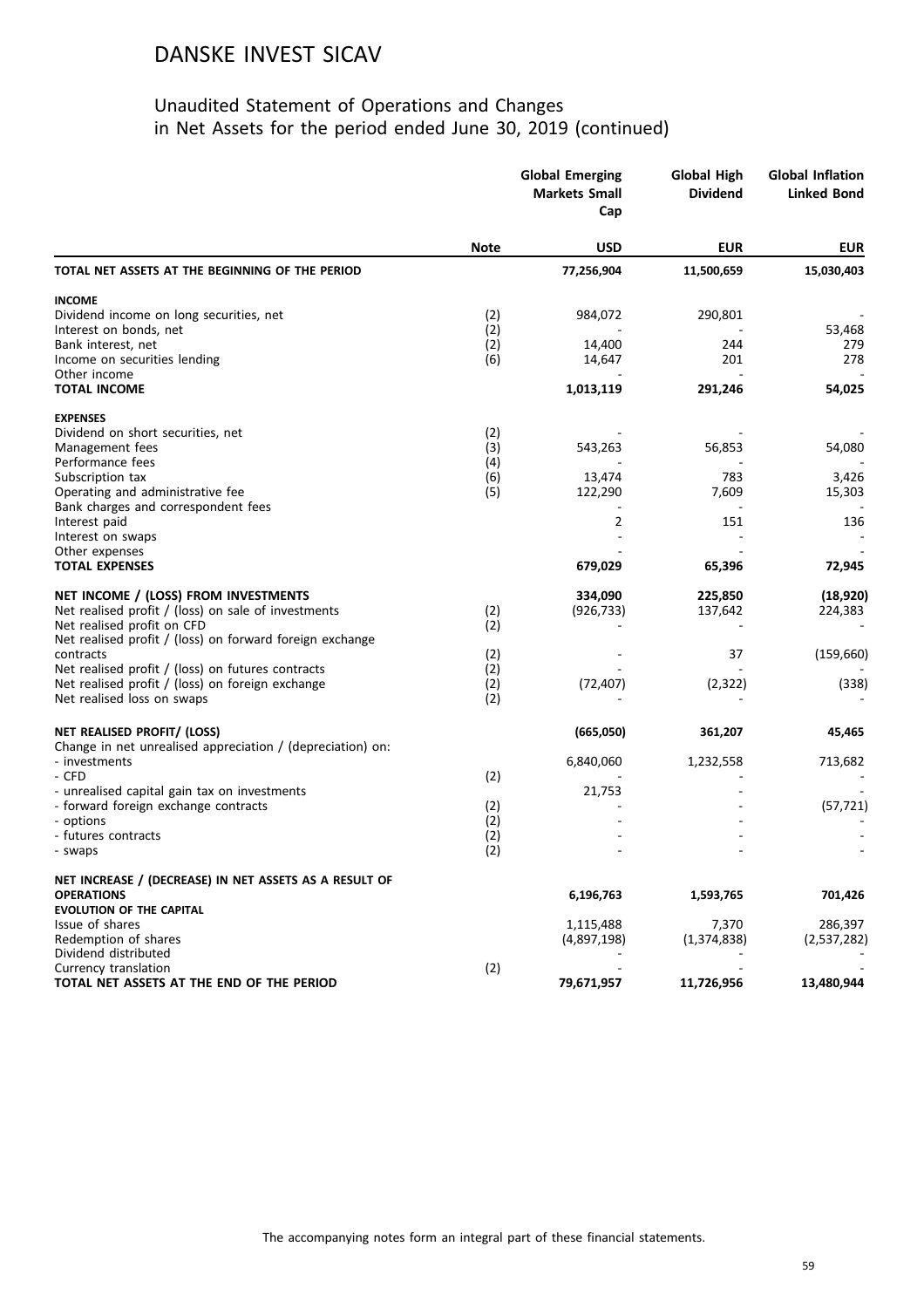|                                                                             | <b>Global Emerging</b><br><b>Markets Small</b><br>Cap |             | <b>Global High</b><br><b>Dividend</b> | <b>Global Inflation</b><br><b>Linked Bond</b> |
|-----------------------------------------------------------------------------|-------------------------------------------------------|-------------|---------------------------------------|-----------------------------------------------|
|                                                                             | <b>Note</b>                                           | <b>USD</b>  | <b>EUR</b>                            | <b>EUR</b>                                    |
| TOTAL NET ASSETS AT THE BEGINNING OF THE PERIOD                             |                                                       | 77,256,904  | 11,500,659                            | 15,030,403                                    |
| <b>INCOME</b>                                                               |                                                       |             |                                       |                                               |
| Dividend income on long securities, net                                     | (2)                                                   | 984,072     | 290,801                               |                                               |
| Interest on bonds, net                                                      | (2)                                                   |             |                                       | 53,468                                        |
| Bank interest, net                                                          | (2)                                                   | 14,400      | 244                                   | 279                                           |
| Income on securities lending<br>Other income                                | (6)                                                   | 14,647      | 201                                   | 278                                           |
| <b>TOTAL INCOME</b>                                                         |                                                       | 1,013,119   | 291,246                               | 54,025                                        |
| <b>EXPENSES</b>                                                             |                                                       |             |                                       |                                               |
| Dividend on short securities, net                                           | (2)                                                   |             |                                       |                                               |
| Management fees                                                             | (3)                                                   | 543,263     | 56,853                                | 54,080                                        |
| Performance fees                                                            | (4)                                                   |             |                                       |                                               |
| Subscription tax                                                            | (6)                                                   | 13,474      | 783                                   | 3,426                                         |
| Operating and administrative fee                                            | (5)                                                   | 122,290     | 7,609                                 | 15,303                                        |
| Bank charges and correspondent fees<br>Interest paid                        |                                                       | 2           | 151                                   | 136                                           |
| Interest on swaps                                                           |                                                       |             |                                       |                                               |
| Other expenses                                                              |                                                       |             |                                       |                                               |
| <b>TOTAL EXPENSES</b>                                                       |                                                       | 679,029     | 65,396                                | 72,945                                        |
| NET INCOME / (LOSS) FROM INVESTMENTS                                        |                                                       | 334,090     | 225,850                               | (18, 920)                                     |
| Net realised profit / (loss) on sale of investments                         | (2)                                                   | (926, 733)  | 137,642                               | 224,383                                       |
| Net realised profit on CFD                                                  | (2)                                                   |             |                                       |                                               |
| Net realised profit / (loss) on forward foreign exchange                    |                                                       |             |                                       |                                               |
| contracts                                                                   | (2)                                                   |             | 37                                    | (159, 660)                                    |
| Net realised profit / (loss) on futures contracts                           | (2)                                                   |             |                                       |                                               |
| Net realised profit / (loss) on foreign exchange                            | (2)                                                   | (72, 407)   | (2, 322)                              | (338)                                         |
| Net realised loss on swaps                                                  | (2)                                                   |             |                                       |                                               |
| NET REALISED PROFIT/ (LOSS)                                                 |                                                       | (665,050)   | 361,207                               | 45,465                                        |
| Change in net unrealised appreciation / (depreciation) on:<br>- investments |                                                       | 6,840,060   | 1,232,558                             | 713,682                                       |
| - CFD                                                                       | (2)                                                   |             |                                       |                                               |
| - unrealised capital gain tax on investments                                |                                                       | 21,753      |                                       |                                               |
| - forward foreign exchange contracts                                        | (2)                                                   |             |                                       | (57, 721)                                     |
| - options                                                                   | (2)                                                   |             |                                       |                                               |
| - futures contracts<br>- swaps                                              | (2)<br>(2)                                            |             |                                       |                                               |
| NET INCREASE / (DECREASE) IN NET ASSETS AS A RESULT OF                      |                                                       |             |                                       |                                               |
| <b>OPERATIONS</b>                                                           |                                                       | 6,196,763   | 1,593,765                             | 701,426                                       |
| <b>EVOLUTION OF THE CAPITAL</b>                                             |                                                       |             |                                       |                                               |
| Issue of shares                                                             |                                                       | 1,115,488   | 7,370                                 | 286,397                                       |
| Redemption of shares                                                        |                                                       | (4,897,198) | (1,374,838)                           | (2,537,282)                                   |
| Dividend distributed                                                        |                                                       |             |                                       |                                               |
| Currency translation                                                        | (2)                                                   |             |                                       |                                               |
| TOTAL NET ASSETS AT THE END OF THE PERIOD                                   |                                                       | 79,671,957  | 11,726,956                            | 13,480,944                                    |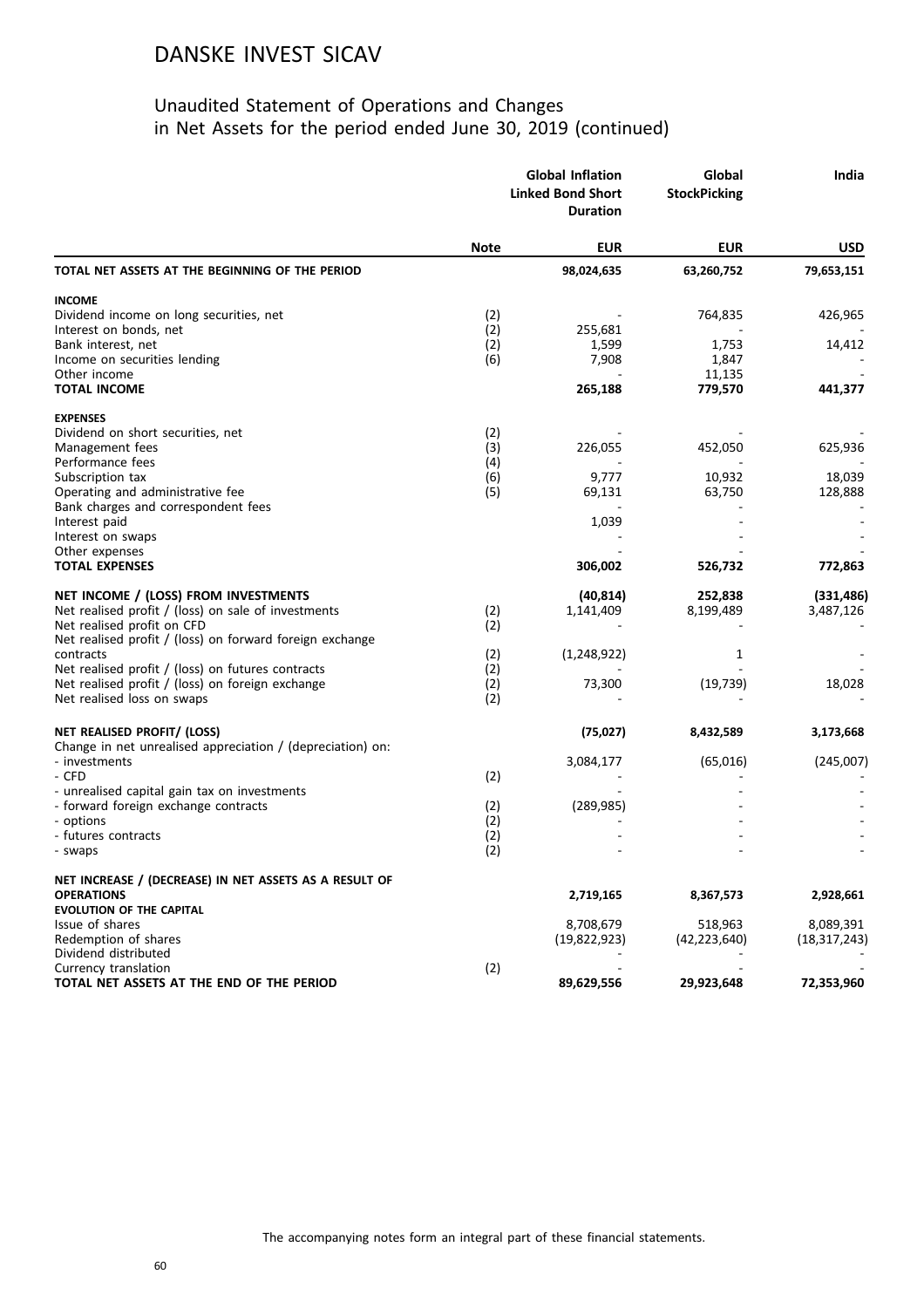|                                                            | <b>Global Inflation</b><br><b>Linked Bond Short</b><br><b>Duration</b> |               | Global<br><b>StockPicking</b> | India          |
|------------------------------------------------------------|------------------------------------------------------------------------|---------------|-------------------------------|----------------|
|                                                            | <b>Note</b>                                                            | <b>EUR</b>    | <b>EUR</b>                    | <b>USD</b>     |
| TOTAL NET ASSETS AT THE BEGINNING OF THE PERIOD            |                                                                        | 98,024,635    | 63,260,752                    | 79,653,151     |
| <b>INCOME</b>                                              |                                                                        |               |                               |                |
| Dividend income on long securities, net                    | (2)                                                                    |               | 764,835                       | 426,965        |
| Interest on bonds, net                                     | (2)                                                                    | 255,681       |                               |                |
| Bank interest, net                                         | (2)                                                                    | 1,599         | 1,753                         | 14,412         |
| Income on securities lending                               | (6)                                                                    | 7,908         | 1,847                         |                |
| Other income                                               |                                                                        |               | 11,135                        |                |
| <b>TOTAL INCOME</b>                                        |                                                                        | 265,188       | 779,570                       | 441,377        |
| <b>EXPENSES</b>                                            |                                                                        |               |                               |                |
| Dividend on short securities, net                          | (2)                                                                    |               |                               |                |
| Management fees                                            | (3)                                                                    | 226,055       | 452,050                       | 625,936        |
| Performance fees                                           | (4)                                                                    | 9,777         | 10,932                        | 18,039         |
| Subscription tax<br>Operating and administrative fee       | (6)<br>(5)                                                             | 69,131        | 63,750                        | 128,888        |
| Bank charges and correspondent fees                        |                                                                        |               |                               |                |
| Interest paid                                              |                                                                        | 1,039         |                               |                |
| Interest on swaps                                          |                                                                        |               |                               |                |
| Other expenses                                             |                                                                        |               |                               |                |
| <b>TOTAL EXPENSES</b>                                      |                                                                        | 306,002       | 526,732                       | 772,863        |
| NET INCOME / (LOSS) FROM INVESTMENTS                       |                                                                        | (40, 814)     | 252,838                       | (331, 486)     |
| Net realised profit / (loss) on sale of investments        | (2)                                                                    | 1,141,409     | 8,199,489                     | 3,487,126      |
| Net realised profit on CFD                                 | (2)                                                                    |               |                               |                |
| Net realised profit / (loss) on forward foreign exchange   |                                                                        |               |                               |                |
| contracts                                                  | (2)                                                                    | (1, 248, 922) | 1                             |                |
| Net realised profit / (loss) on futures contracts          | (2)                                                                    |               |                               |                |
| Net realised profit / (loss) on foreign exchange           | (2)                                                                    | 73,300        | (19, 739)                     | 18,028         |
| Net realised loss on swaps                                 | (2)                                                                    |               |                               |                |
| NET REALISED PROFIT/ (LOSS)                                |                                                                        | (75, 027)     | 8,432,589                     | 3,173,668      |
| Change in net unrealised appreciation / (depreciation) on: |                                                                        |               |                               |                |
| - investments                                              |                                                                        | 3,084,177     | (65, 016)                     | (245,007)      |
| - CFD<br>- unrealised capital gain tax on investments      | (2)                                                                    |               |                               |                |
| - forward foreign exchange contracts                       | (2)                                                                    | (289, 985)    |                               |                |
| - options                                                  | (2)                                                                    |               |                               |                |
| - futures contracts                                        | (2)                                                                    |               |                               |                |
| - swaps                                                    | (2)                                                                    |               |                               |                |
| NET INCREASE / (DECREASE) IN NET ASSETS AS A RESULT OF     |                                                                        |               |                               |                |
| <b>OPERATIONS</b>                                          |                                                                        | 2,719,165     | 8,367,573                     | 2,928,661      |
| <b>EVOLUTION OF THE CAPITAL</b>                            |                                                                        |               |                               |                |
| Issue of shares                                            |                                                                        | 8,708,679     | 518,963                       | 8,089,391      |
| Redemption of shares                                       |                                                                        | (19,822,923)  | (42, 223, 640)                | (18, 317, 243) |
| Dividend distributed                                       |                                                                        |               |                               |                |
| Currency translation                                       | (2)                                                                    |               |                               |                |
| TOTAL NET ASSETS AT THE END OF THE PERIOD                  |                                                                        | 89,629,556    | 29,923,648                    | 72,353,960     |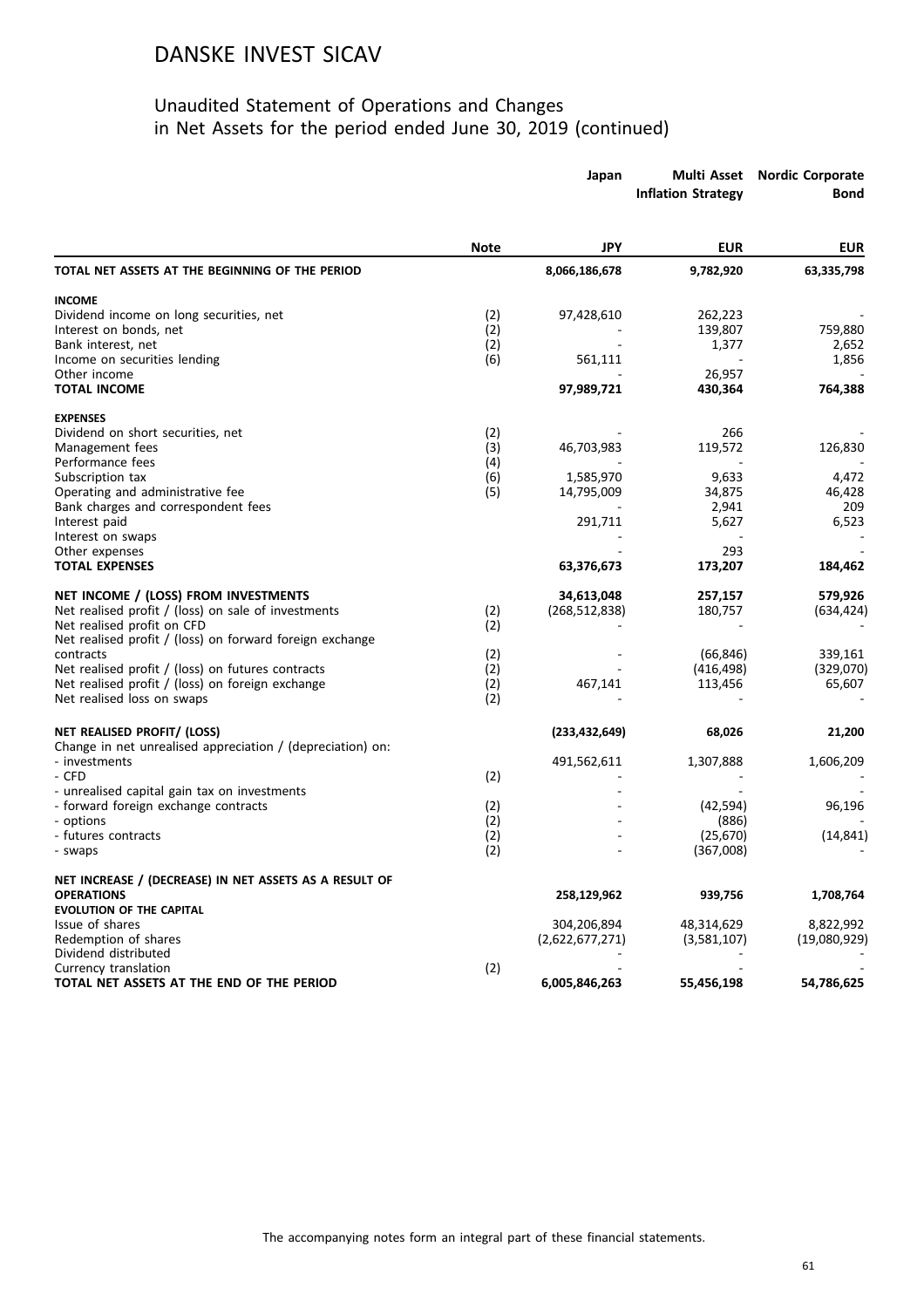|                                                            |             | Japan           | <b>Inflation Strategy</b> | Multi Asset Nordic Corporate<br>Bond |
|------------------------------------------------------------|-------------|-----------------|---------------------------|--------------------------------------|
|                                                            | <b>Note</b> | <b>JPY</b>      | <b>EUR</b>                | <b>EUR</b>                           |
| TOTAL NET ASSETS AT THE BEGINNING OF THE PERIOD            |             | 8,066,186,678   | 9,782,920                 | 63,335,798                           |
| <b>INCOME</b>                                              |             |                 |                           |                                      |
| Dividend income on long securities, net                    | (2)         | 97,428,610      | 262,223                   |                                      |
| Interest on bonds, net                                     | (2)         |                 | 139,807                   | 759,880                              |
| Bank interest, net                                         | (2)         |                 | 1,377                     | 2,652                                |
| Income on securities lending                               | (6)         | 561,111         |                           | 1,856                                |
| Other income                                               |             |                 | 26,957                    |                                      |
| <b>TOTAL INCOME</b>                                        |             | 97,989,721      | 430,364                   | 764,388                              |
| <b>EXPENSES</b>                                            |             |                 |                           |                                      |
| Dividend on short securities, net                          | (2)         |                 | 266                       |                                      |
| Management fees                                            | (3)         | 46,703,983      | 119,572                   | 126,830                              |
| Performance fees                                           | (4)         |                 |                           |                                      |
| Subscription tax                                           | (6)         | 1,585,970       | 9,633                     | 4,472                                |
| Operating and administrative fee                           | (5)         | 14,795,009      | 34,875                    | 46,428                               |
| Bank charges and correspondent fees                        |             |                 | 2,941                     | 209                                  |
| Interest paid                                              |             | 291,711         | 5,627                     | 6,523                                |
| Interest on swaps                                          |             |                 |                           |                                      |
| Other expenses                                             |             |                 | 293                       |                                      |
| <b>TOTAL EXPENSES</b>                                      |             | 63,376,673      | 173,207                   | 184,462                              |
| NET INCOME / (LOSS) FROM INVESTMENTS                       |             | 34,613,048      | 257,157                   | 579,926                              |
| Net realised profit / (loss) on sale of investments        | (2)         | (268, 512, 838) | 180,757                   | (634,424)                            |
| Net realised profit on CFD                                 | (2)         |                 |                           |                                      |
| Net realised profit / (loss) on forward foreign exchange   |             |                 |                           |                                      |
| contracts                                                  | (2)         |                 | (66, 846)                 | 339,161                              |
| Net realised profit / (loss) on futures contracts          | (2)         |                 | (416, 498)                | (329,070)                            |
| Net realised profit / (loss) on foreign exchange           | (2)         | 467,141         | 113,456                   | 65,607                               |
| Net realised loss on swaps                                 | (2)         |                 |                           |                                      |
| NET REALISED PROFIT/ (LOSS)                                |             | (233, 432, 649) | 68,026                    | 21,200                               |
| Change in net unrealised appreciation / (depreciation) on: |             |                 |                           |                                      |
| - investments                                              |             | 491,562,611     | 1,307,888                 | 1,606,209                            |
| - CFD                                                      | (2)         |                 |                           |                                      |
| - unrealised capital gain tax on investments               |             |                 |                           |                                      |
| - forward foreign exchange contracts                       | (2)         |                 | (42, 594)                 | 96,196                               |
| - options                                                  | (2)         |                 | (886)                     |                                      |
| - futures contracts                                        | (2)         |                 | (25,670)                  | (14, 841)                            |
| - swaps                                                    | (2)         |                 | (367,008)                 |                                      |
| NET INCREASE / (DECREASE) IN NET ASSETS AS A RESULT OF     |             |                 |                           |                                      |
| <b>OPERATIONS</b>                                          |             | 258,129,962     | 939,756                   | 1,708,764                            |
| <b>EVOLUTION OF THE CAPITAL</b>                            |             |                 |                           |                                      |
| Issue of shares                                            |             | 304,206,894     | 48,314,629                | 8,822,992                            |
| Redemption of shares                                       |             | (2,622,677,271) | (3,581,107)               | (19,080,929)                         |
| Dividend distributed                                       |             |                 |                           |                                      |
| Currency translation                                       | (2)         |                 |                           |                                      |
| TOTAL NET ASSETS AT THE END OF THE PERIOD                  |             | 6,005,846,263   | 55,456,198                | 54,786,625                           |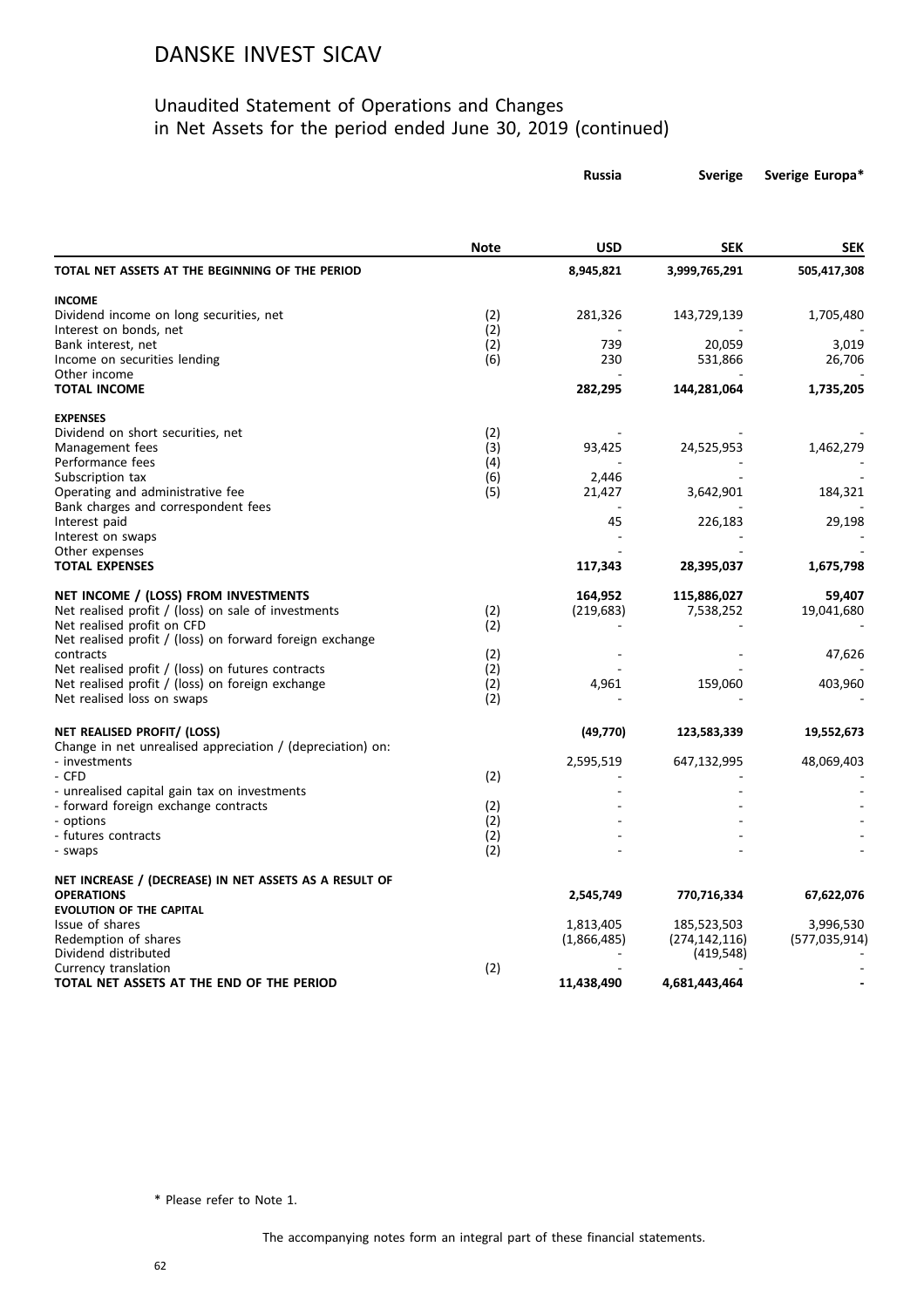#### Unaudited Statement of Operations and Changes in Net Assets for the period ended June 30, 2019 (continued)

|                                                                         |             | Russia          | <b>Sverige</b>  | Sverige Europa* |
|-------------------------------------------------------------------------|-------------|-----------------|-----------------|-----------------|
|                                                                         |             |                 |                 |                 |
|                                                                         | <b>Note</b> | <b>USD</b>      | <b>SEK</b>      | <b>SEK</b>      |
| TOTAL NET ASSETS AT THE BEGINNING OF THE PERIOD                         |             | 8,945,821       | 3,999,765,291   | 505,417,308     |
| <b>INCOME</b>                                                           |             |                 |                 |                 |
| Dividend income on long securities, net                                 | (2)         | 281,326         | 143,729,139     | 1,705,480       |
| Interest on bonds, net                                                  | (2)         |                 |                 |                 |
| Bank interest, net                                                      | (2)         | 739             | 20,059          | 3,019           |
| Income on securities lending                                            | (6)         | 230             | 531,866         | 26,706          |
| Other income<br><b>TOTAL INCOME</b>                                     |             | 282,295         | 144,281,064     | 1,735,205       |
|                                                                         |             |                 |                 |                 |
| <b>EXPENSES</b>                                                         |             |                 |                 |                 |
| Dividend on short securities, net                                       | (2)         |                 |                 |                 |
| Management fees                                                         | (3)         | 93,425          | 24,525,953      | 1,462,279       |
| Performance fees                                                        | (4)         |                 |                 |                 |
| Subscription tax                                                        | (6)         | 2,446<br>21,427 |                 |                 |
| Operating and administrative fee<br>Bank charges and correspondent fees | (5)         |                 | 3,642,901       | 184,321         |
| Interest paid                                                           |             | 45              | 226,183         | 29,198          |
| Interest on swaps                                                       |             |                 |                 |                 |
| Other expenses                                                          |             |                 |                 |                 |
| <b>TOTAL EXPENSES</b>                                                   |             | 117,343         | 28,395,037      | 1,675,798       |
| NET INCOME / (LOSS) FROM INVESTMENTS                                    |             | 164,952         | 115,886,027     | 59,407          |
| Net realised profit / (loss) on sale of investments                     | (2)         | (219, 683)      | 7,538,252       | 19,041,680      |
| Net realised profit on CFD                                              | (2)         |                 |                 |                 |
| Net realised profit / (loss) on forward foreign exchange                |             |                 |                 |                 |
| contracts                                                               | (2)         |                 |                 | 47,626          |
| Net realised profit / (loss) on futures contracts                       | (2)         |                 |                 |                 |
| Net realised profit / (loss) on foreign exchange                        | (2)         | 4,961           | 159,060         | 403,960         |
| Net realised loss on swaps                                              | (2)         |                 |                 |                 |
| NET REALISED PROFIT/ (LOSS)                                             |             | (49, 770)       | 123,583,339     | 19,552,673      |
| Change in net unrealised appreciation / (depreciation) on:              |             |                 |                 |                 |
| - investments                                                           |             | 2,595,519       | 647,132,995     | 48,069,403      |
| - CFD                                                                   | (2)         |                 |                 |                 |
| - unrealised capital gain tax on investments                            |             |                 |                 |                 |
| - forward foreign exchange contracts<br>- options                       | (2)<br>(2)  |                 |                 |                 |
| - futures contracts                                                     | (2)         |                 |                 |                 |
| - swaps                                                                 | (2)         |                 |                 |                 |
| NET INCREASE / (DECREASE) IN NET ASSETS AS A RESULT OF                  |             |                 |                 |                 |
| <b>OPERATIONS</b>                                                       |             | 2,545,749       | 770,716,334     | 67,622,076      |
| <b>EVOLUTION OF THE CAPITAL</b>                                         |             |                 |                 |                 |
| Issue of shares                                                         |             | 1,813,405       | 185,523,503     | 3,996,530       |
| Redemption of shares                                                    |             | (1,866,485)     | (274, 142, 116) | (577, 035, 914) |
| Dividend distributed                                                    |             |                 | (419, 548)      |                 |
| Currency translation                                                    | (2)         |                 |                 |                 |
| TOTAL NET ASSETS AT THE END OF THE PERIOD                               |             | 11,438,490      | 4,681,443,464   |                 |

\* Please refer to Note 1.

The accompanying notes form an integral part of these financial statements.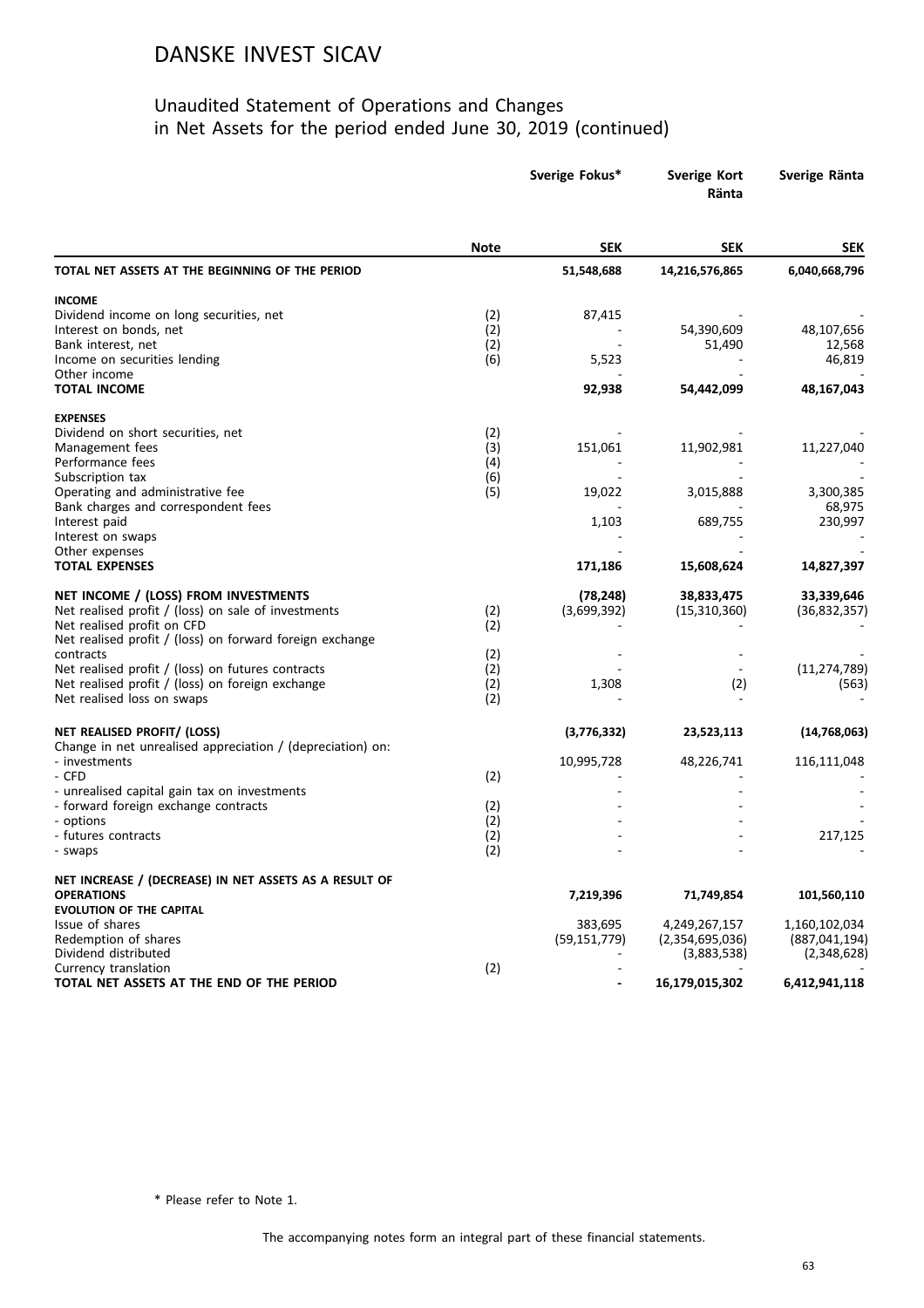#### Unaudited Statement of Operations and Changes in Net Assets for the period ended June 30, 2019 (continued)

|                                                                                      |             | Sverige Fokus* | <b>Sverige Kort</b><br>Ränta | Sverige Ränta     |
|--------------------------------------------------------------------------------------|-------------|----------------|------------------------------|-------------------|
|                                                                                      | <b>Note</b> | <b>SEK</b>     | <b>SEK</b>                   | <b>SEK</b>        |
| TOTAL NET ASSETS AT THE BEGINNING OF THE PERIOD                                      |             | 51,548,688     | 14,216,576,865               | 6,040,668,796     |
| <b>INCOME</b>                                                                        |             |                |                              |                   |
| Dividend income on long securities, net                                              | (2)         | 87,415         |                              |                   |
| Interest on bonds, net                                                               | (2)         |                | 54,390,609                   | 48,107,656        |
| Bank interest, net                                                                   | (2)         |                | 51,490                       | 12,568            |
| Income on securities lending                                                         | (6)         | 5,523          |                              | 46,819            |
| Other income                                                                         |             |                |                              |                   |
| <b>TOTAL INCOME</b>                                                                  |             | 92,938         | 54,442,099                   | 48,167,043        |
| <b>EXPENSES</b>                                                                      |             |                |                              |                   |
| Dividend on short securities, net                                                    | (2)         |                |                              |                   |
| Management fees                                                                      | (3)         | 151,061        | 11,902,981                   | 11,227,040        |
| Performance fees                                                                     | (4)         |                |                              |                   |
| Subscription tax                                                                     | (6)         |                |                              |                   |
| Operating and administrative fee<br>Bank charges and correspondent fees              | (5)         | 19,022         | 3,015,888                    | 3,300,385         |
| Interest paid                                                                        |             | 1,103          | 689,755                      | 68,975<br>230,997 |
| Interest on swaps                                                                    |             |                |                              |                   |
| Other expenses                                                                       |             |                |                              |                   |
| <b>TOTAL EXPENSES</b>                                                                |             | 171,186        | 15,608,624                   | 14,827,397        |
| NET INCOME / (LOSS) FROM INVESTMENTS                                                 |             | (78, 248)      | 38,833,475                   | 33,339,646        |
| Net realised profit / (loss) on sale of investments                                  | (2)         | (3,699,392)    | (15,310,360)                 | (36, 832, 357)    |
| Net realised profit on CFD                                                           | (2)         |                |                              |                   |
| Net realised profit / (loss) on forward foreign exchange                             |             |                |                              |                   |
| contracts                                                                            | (2)         |                |                              |                   |
| Net realised profit $/$ (loss) on futures contracts                                  | (2)         |                |                              | (11, 274, 789)    |
| Net realised profit / (loss) on foreign exchange                                     | (2)         | 1,308          | (2)                          | (563)             |
| Net realised loss on swaps                                                           | (2)         |                |                              |                   |
| NET REALISED PROFIT/ (LOSS)                                                          |             | (3,776,332)    | 23,523,113                   | (14, 768, 063)    |
| Change in net unrealised appreciation / (depreciation) on:                           |             |                |                              |                   |
| - investments                                                                        |             | 10,995,728     | 48,226,741                   | 116,111,048       |
| - CFD                                                                                | (2)         |                |                              |                   |
| - unrealised capital gain tax on investments<br>- forward foreign exchange contracts | (2)         |                |                              |                   |
| - options                                                                            | (2)         |                |                              |                   |
| - futures contracts                                                                  | (2)         |                |                              | 217,125           |
| - swaps                                                                              | (2)         |                |                              |                   |
| NET INCREASE / (DECREASE) IN NET ASSETS AS A RESULT OF                               |             |                |                              |                   |
| <b>OPERATIONS</b>                                                                    |             | 7,219,396      | 71,749,854                   | 101,560,110       |
| <b>EVOLUTION OF THE CAPITAL</b>                                                      |             |                |                              |                   |
| Issue of shares                                                                      |             | 383,695        | 4,249,267,157                | 1,160,102,034     |
| Redemption of shares                                                                 |             | (59, 151, 779) | (2,354,695,036)              | (887, 041, 194)   |
| Dividend distributed                                                                 |             |                | (3,883,538)                  | (2,348,628)       |
| Currency translation                                                                 | (2)         |                |                              |                   |
| TOTAL NET ASSETS AT THE END OF THE PERIOD                                            |             |                | 16,179,015,302               | 6,412,941,118     |

\* Please refer to Note 1.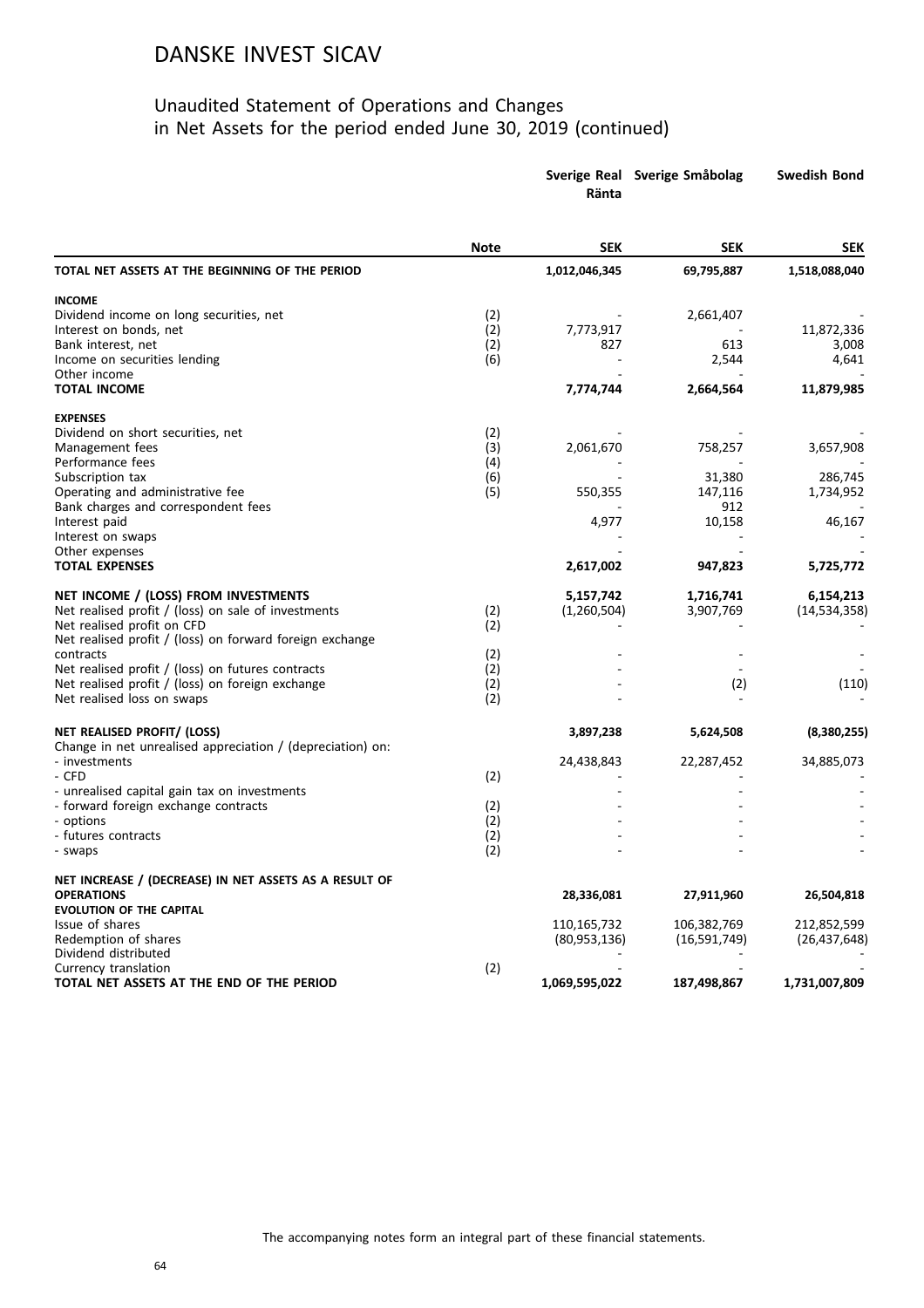|                                                                             |             | Ränta         | Sverige Real Sverige Småbolag | <b>Swedish Bond</b> |  |
|-----------------------------------------------------------------------------|-------------|---------------|-------------------------------|---------------------|--|
|                                                                             | <b>Note</b> | <b>SEK</b>    | <b>SEK</b>                    | <b>SEK</b>          |  |
| TOTAL NET ASSETS AT THE BEGINNING OF THE PERIOD                             |             | 1,012,046,345 | 69,795,887                    | 1,518,088,040       |  |
| <b>INCOME</b>                                                               |             |               |                               |                     |  |
| Dividend income on long securities, net                                     | (2)         |               | 2,661,407                     |                     |  |
| Interest on bonds, net                                                      | (2)         | 7,773,917     |                               | 11,872,336          |  |
| Bank interest, net                                                          | (2)         | 827           | 613                           | 3,008               |  |
| Income on securities lending                                                | (6)         |               | 2,544                         | 4,641               |  |
| Other income<br><b>TOTAL INCOME</b>                                         |             | 7,774,744     | 2,664,564                     | 11,879,985          |  |
| <b>EXPENSES</b>                                                             |             |               |                               |                     |  |
| Dividend on short securities, net                                           | (2)         |               |                               |                     |  |
| Management fees                                                             | (3)         | 2,061,670     | 758,257                       | 3,657,908           |  |
| Performance fees                                                            | (4)         |               |                               |                     |  |
| Subscription tax                                                            | (6)         |               | 31,380                        | 286,745             |  |
| Operating and administrative fee                                            | (5)         | 550,355       | 147,116                       | 1,734,952           |  |
| Bank charges and correspondent fees                                         |             | 4,977         | 912<br>10,158                 |                     |  |
| Interest paid<br>Interest on swaps                                          |             |               |                               | 46,167              |  |
| Other expenses                                                              |             |               |                               |                     |  |
| <b>TOTAL EXPENSES</b>                                                       |             | 2,617,002     | 947,823                       | 5,725,772           |  |
| NET INCOME / (LOSS) FROM INVESTMENTS                                        |             | 5,157,742     | 1,716,741                     | 6,154,213           |  |
| Net realised profit / (loss) on sale of investments                         | (2)         | (1,260,504)   | 3,907,769                     | (14, 534, 358)      |  |
| Net realised profit on CFD                                                  | (2)         |               |                               |                     |  |
| Net realised profit / (loss) on forward foreign exchange                    |             |               |                               |                     |  |
| contracts                                                                   | (2)         |               |                               |                     |  |
| Net realised profit / (loss) on futures contracts                           | (2)         |               |                               |                     |  |
| Net realised profit / (loss) on foreign exchange                            | (2)         |               | (2)                           | (110)               |  |
| Net realised loss on swaps                                                  | (2)         |               |                               |                     |  |
| NET REALISED PROFIT/ (LOSS)                                                 |             | 3,897,238     | 5,624,508                     | (8,380,255)         |  |
| Change in net unrealised appreciation / (depreciation) on:<br>- investments |             | 24,438,843    | 22,287,452                    | 34,885,073          |  |
| - CFD                                                                       | (2)         |               |                               |                     |  |
| - unrealised capital gain tax on investments                                |             |               |                               |                     |  |
| - forward foreign exchange contracts                                        | (2)         |               |                               |                     |  |
| - options                                                                   | (2)         |               |                               |                     |  |
| - futures contracts                                                         | (2)         |               |                               |                     |  |
| - swaps                                                                     | (2)         |               |                               |                     |  |
| NET INCREASE / (DECREASE) IN NET ASSETS AS A RESULT OF                      |             |               |                               |                     |  |
| <b>OPERATIONS</b><br><b>EVOLUTION OF THE CAPITAL</b>                        |             | 28,336,081    | 27,911,960                    | 26,504,818          |  |
| Issue of shares                                                             |             | 110,165,732   | 106,382,769                   | 212,852,599         |  |
| Redemption of shares                                                        |             | (80,953,136)  | (16,591,749)                  | (26, 437, 648)      |  |
| Dividend distributed                                                        |             |               |                               |                     |  |
| Currency translation                                                        | (2)         |               |                               |                     |  |
| TOTAL NET ASSETS AT THE END OF THE PERIOD                                   |             | 1,069,595,022 | 187,498,867                   | 1,731,007,809       |  |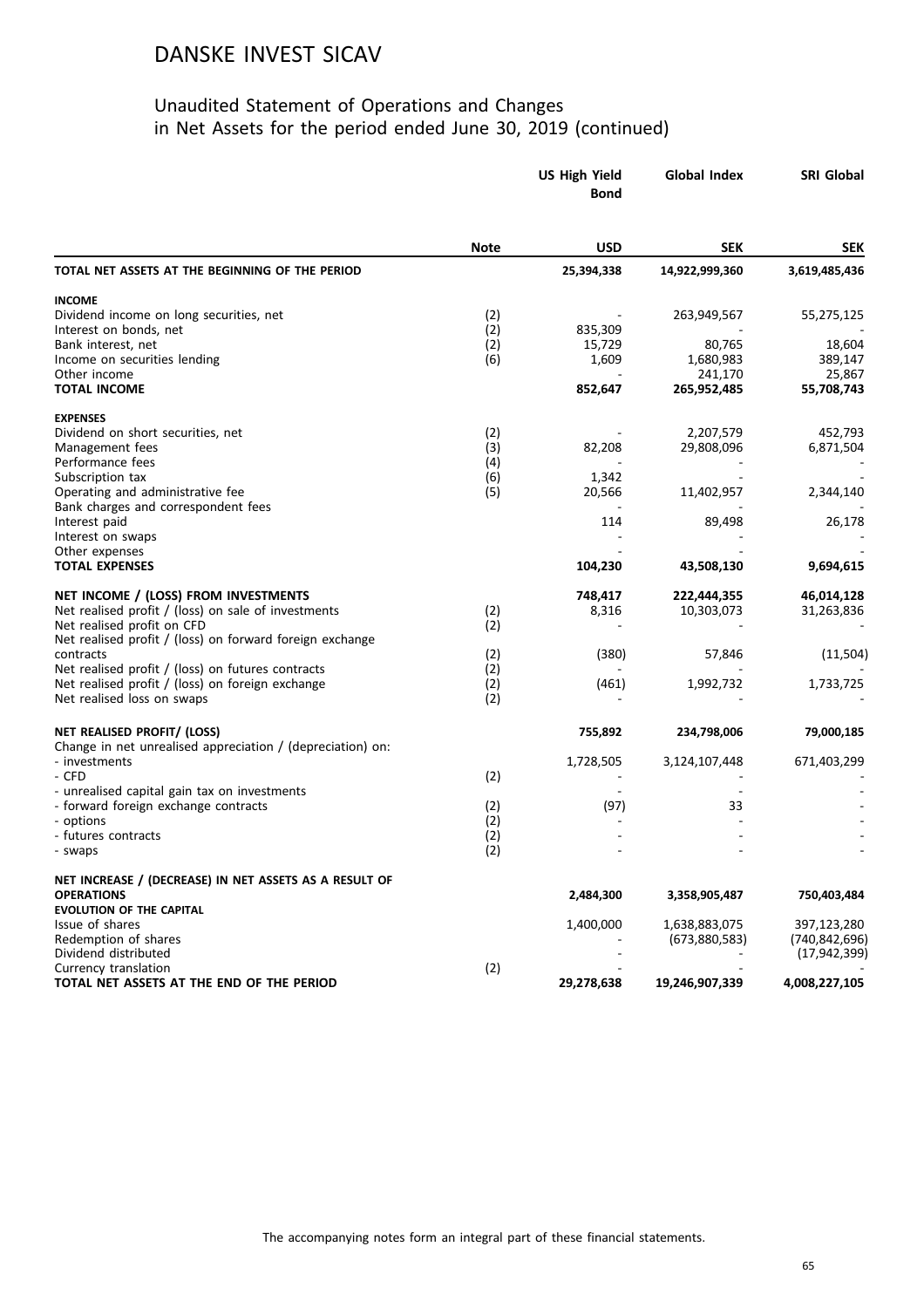|                                                            | <b>US High Yield</b><br><b>Bond</b> |            | <b>Global Index</b>    | SRI Global           |  |
|------------------------------------------------------------|-------------------------------------|------------|------------------------|----------------------|--|
|                                                            | <b>Note</b>                         | <b>USD</b> | SEK                    | <b>SEK</b>           |  |
| TOTAL NET ASSETS AT THE BEGINNING OF THE PERIOD            |                                     | 25,394,338 | 14,922,999,360         | 3,619,485,436        |  |
| <b>INCOME</b>                                              |                                     |            |                        |                      |  |
| Dividend income on long securities, net                    | (2)                                 |            | 263,949,567            | 55,275,125           |  |
| Interest on bonds, net                                     | (2)                                 | 835,309    |                        |                      |  |
| Bank interest, net                                         | (2)                                 | 15,729     | 80,765                 | 18,604               |  |
| Income on securities lending                               | (6)                                 | 1,609      | 1,680,983              | 389,147              |  |
| Other income<br><b>TOTAL INCOME</b>                        |                                     | 852,647    | 241,170<br>265,952,485 | 25,867<br>55,708,743 |  |
|                                                            |                                     |            |                        |                      |  |
| <b>EXPENSES</b><br>Dividend on short securities, net       |                                     |            | 2,207,579              | 452,793              |  |
| Management fees                                            | (2)<br>(3)                          | 82,208     | 29,808,096             | 6,871,504            |  |
| Performance fees                                           | (4)                                 |            |                        |                      |  |
| Subscription tax                                           | (6)                                 | 1,342      |                        |                      |  |
| Operating and administrative fee                           | (5)                                 | 20,566     | 11,402,957             | 2,344,140            |  |
| Bank charges and correspondent fees                        |                                     |            |                        |                      |  |
| Interest paid                                              |                                     | 114        | 89,498                 | 26,178               |  |
| Interest on swaps                                          |                                     |            |                        |                      |  |
| Other expenses                                             |                                     |            |                        |                      |  |
| <b>TOTAL EXPENSES</b>                                      |                                     | 104,230    | 43,508,130             | 9,694,615            |  |
| NET INCOME / (LOSS) FROM INVESTMENTS                       |                                     | 748,417    | 222,444,355            | 46,014,128           |  |
| Net realised profit / (loss) on sale of investments        | (2)                                 | 8,316      | 10,303,073             | 31,263,836           |  |
| Net realised profit on CFD                                 | (2)                                 |            |                        |                      |  |
| Net realised profit / (loss) on forward foreign exchange   |                                     |            |                        |                      |  |
| contracts                                                  | (2)                                 | (380)      | 57,846                 | (11,504)             |  |
| Net realised profit / (loss) on futures contracts          | (2)                                 |            |                        |                      |  |
| Net realised profit / (loss) on foreign exchange           | (2)                                 | (461)      | 1,992,732              | 1,733,725            |  |
| Net realised loss on swaps                                 | (2)                                 |            |                        |                      |  |
| NET REALISED PROFIT/ (LOSS)                                |                                     | 755,892    | 234,798,006            | 79,000,185           |  |
| Change in net unrealised appreciation / (depreciation) on: |                                     |            |                        |                      |  |
| - investments                                              |                                     | 1,728,505  | 3,124,107,448          | 671,403,299          |  |
| - CFD                                                      | (2)                                 |            |                        |                      |  |
| - unrealised capital gain tax on investments               |                                     |            |                        |                      |  |
| - forward foreign exchange contracts<br>- options          | (2)                                 | (97)       | 33                     |                      |  |
| - futures contracts                                        | (2)<br>(2)                          |            |                        |                      |  |
| - swaps                                                    | (2)                                 |            |                        |                      |  |
| NET INCREASE / (DECREASE) IN NET ASSETS AS A RESULT OF     |                                     |            |                        |                      |  |
| <b>OPERATIONS</b>                                          |                                     | 2,484,300  | 3,358,905,487          | 750,403,484          |  |
| <b>EVOLUTION OF THE CAPITAL</b>                            |                                     |            |                        |                      |  |
| Issue of shares                                            |                                     | 1,400,000  | 1,638,883,075          | 397,123,280          |  |
| Redemption of shares                                       |                                     |            | (673,880,583)          | (740, 842, 696)      |  |
| Dividend distributed                                       |                                     |            |                        | (17, 942, 399)       |  |
| Currency translation                                       | (2)                                 |            |                        |                      |  |
| TOTAL NET ASSETS AT THE END OF THE PERIOD                  |                                     | 29,278,638 | 19,246,907,339         | 4,008,227,105        |  |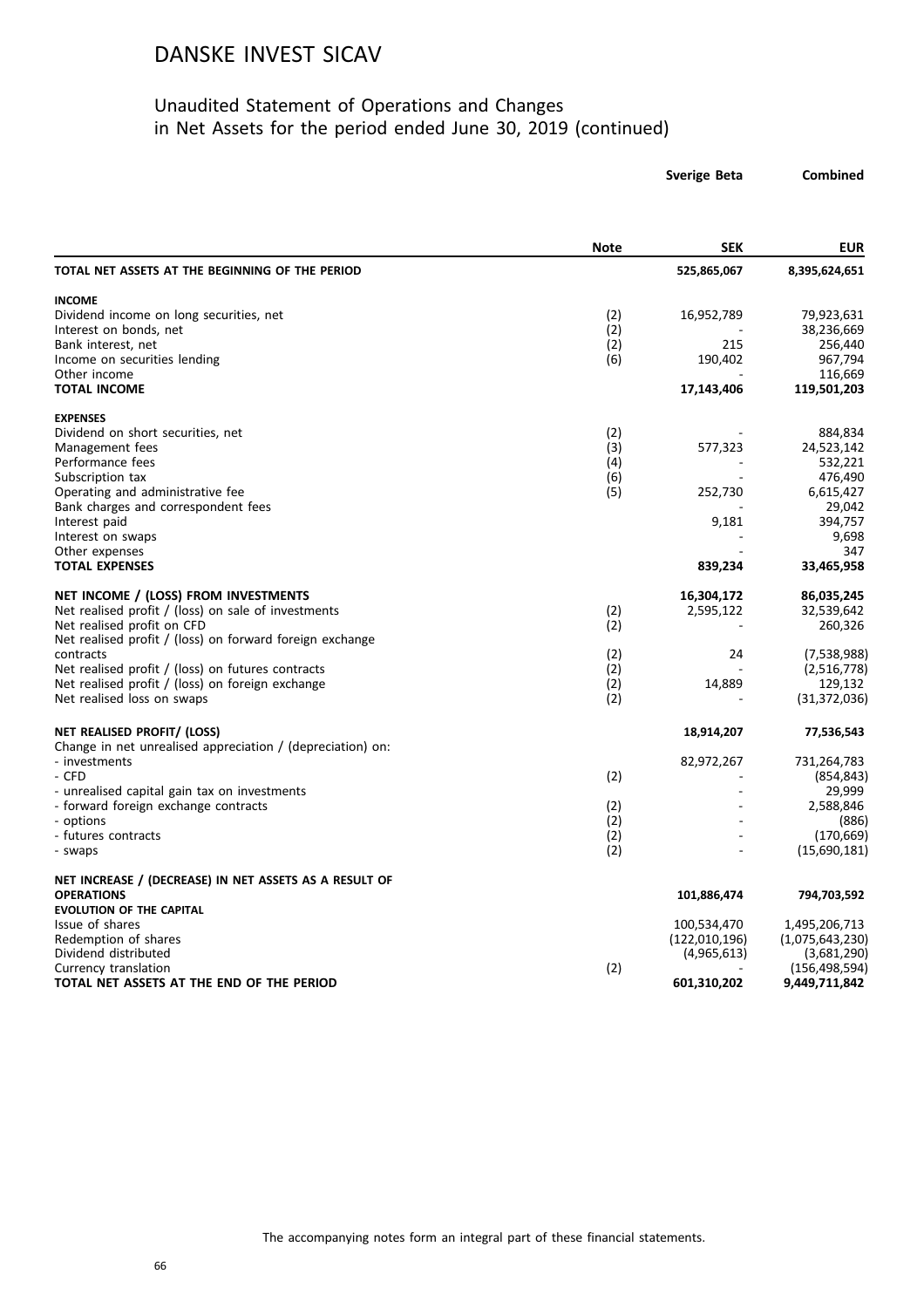#### Unaudited Statement of Operations and Changes in Net Assets for the period ended June 30, 2019 (continued)

**Sverige Beta Combined**

|                                                            | <b>Note</b> | <b>SEK</b>    | <b>EUR</b>                 |
|------------------------------------------------------------|-------------|---------------|----------------------------|
| TOTAL NET ASSETS AT THE BEGINNING OF THE PERIOD            |             | 525,865,067   | 8,395,624,651              |
| <b>INCOME</b>                                              |             |               |                            |
| Dividend income on long securities, net                    | (2)         | 16,952,789    | 79,923,631                 |
| Interest on bonds, net                                     | (2)         |               | 38,236,669                 |
| Bank interest, net                                         | (2)         | 215           | 256,440                    |
| Income on securities lending                               | (6)         | 190,402       | 967,794                    |
| Other income<br><b>TOTAL INCOME</b>                        |             | 17,143,406    | 116,669<br>119,501,203     |
| <b>EXPENSES</b>                                            |             |               |                            |
| Dividend on short securities, net                          | (2)         |               | 884,834                    |
| Management fees                                            | (3)         | 577,323       | 24,523,142                 |
| Performance fees                                           | (4)         |               | 532,221                    |
| Subscription tax                                           | (6)         |               | 476,490                    |
| Operating and administrative fee                           | (5)         | 252,730       | 6,615,427                  |
| Bank charges and correspondent fees                        |             |               | 29,042                     |
| Interest paid                                              |             | 9,181         | 394,757                    |
| Interest on swaps                                          |             |               | 9,698                      |
| Other expenses                                             |             |               | 347                        |
| <b>TOTAL EXPENSES</b>                                      |             | 839,234       | 33,465,958                 |
| NET INCOME / (LOSS) FROM INVESTMENTS                       |             | 16,304,172    | 86,035,245                 |
| Net realised profit / (loss) on sale of investments        | (2)         | 2,595,122     | 32,539,642                 |
| Net realised profit on CFD                                 | (2)         |               | 260,326                    |
| Net realised profit / (loss) on forward foreign exchange   |             |               |                            |
| contracts                                                  | (2)         | 24            | (7,538,988)                |
| Net realised profit / (loss) on futures contracts          | (2)         |               | (2,516,778)                |
| Net realised profit / (loss) on foreign exchange           | (2)         | 14,889        | 129,132                    |
| Net realised loss on swaps                                 | (2)         |               | (31, 372, 036)             |
| NET REALISED PROFIT/ (LOSS)                                |             | 18,914,207    | 77,536,543                 |
| Change in net unrealised appreciation / (depreciation) on: |             |               |                            |
| - investments                                              |             | 82,972,267    | 731,264,783                |
| - CFD                                                      | (2)         |               | (854, 843)                 |
| - unrealised capital gain tax on investments               |             |               | 29,999                     |
| - forward foreign exchange contracts                       | (2)         |               | 2,588,846                  |
| - options                                                  | (2)         |               | (886)                      |
| - futures contracts<br>- swaps                             | (2)<br>(2)  |               | (170, 669)<br>(15,690,181) |
| NET INCREASE / (DECREASE) IN NET ASSETS AS A RESULT OF     |             |               |                            |
| <b>OPERATIONS</b>                                          |             | 101,886,474   | 794,703,592                |
| <b>EVOLUTION OF THE CAPITAL</b>                            |             |               |                            |
| Issue of shares                                            |             | 100,534,470   | 1,495,206,713              |
| Redemption of shares                                       |             | (122,010,196) | (1,075,643,230)            |
| Dividend distributed                                       |             | (4,965,613)   | (3,681,290)                |
| Currency translation                                       | (2)         |               | (156, 498, 594)            |
| TOTAL NET ASSETS AT THE END OF THE PERIOD                  |             | 601,310,202   | 9,449,711,842              |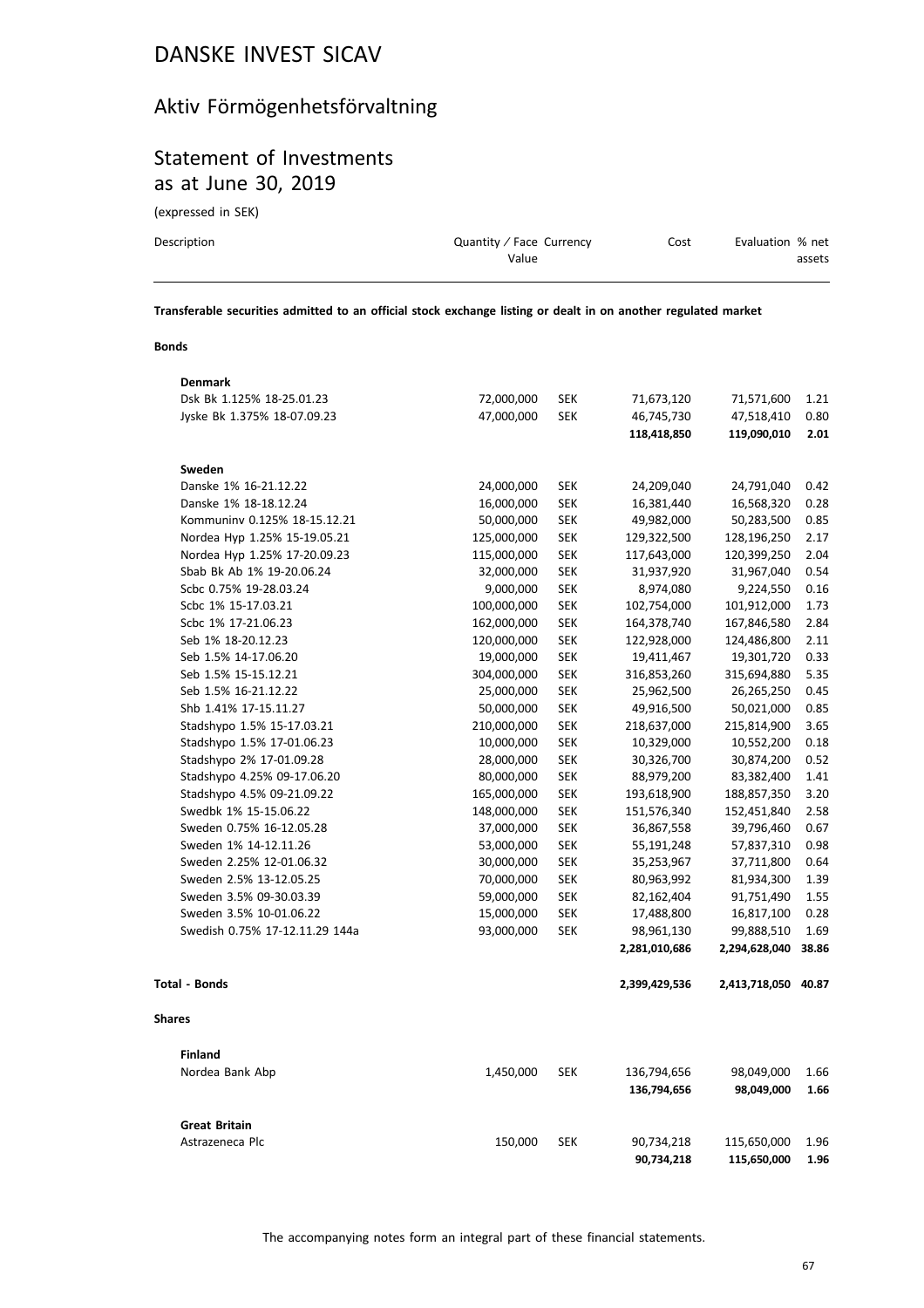# Aktiv Förmögenhetsförvaltning

## Statement of Investments as at June 30, 2019

(expressed in SEK)

| Description | Quantity / Face Currency<br>Value | Cost | Evaluation % net | assets |
|-------------|-----------------------------------|------|------------------|--------|
|             |                                   |      |                  |        |

**Transferable securities admitted to an official stock exchange listing or dealt in on another regulated market**

#### **Bonds**

| Denmark                        |             |            |               |               |       |
|--------------------------------|-------------|------------|---------------|---------------|-------|
| Dsk Bk 1.125% 18-25.01.23      | 72,000,000  | <b>SEK</b> | 71,673,120    | 71,571,600    | 1.21  |
| Jyske Bk 1.375% 18-07.09.23    | 47,000,000  | <b>SEK</b> | 46,745,730    | 47,518,410    | 0.80  |
|                                |             |            | 118,418,850   | 119,090,010   | 2.01  |
| Sweden                         |             |            |               |               |       |
| Danske 1% 16-21.12.22          | 24,000,000  | <b>SEK</b> | 24,209,040    | 24,791,040    | 0.42  |
| Danske 1% 18-18.12.24          | 16,000,000  | <b>SEK</b> | 16,381,440    | 16,568,320    | 0.28  |
| Kommuniny 0.125% 18-15.12.21   | 50,000,000  | <b>SEK</b> | 49,982,000    | 50,283,500    | 0.85  |
| Nordea Hyp 1.25% 15-19.05.21   | 125,000,000 | <b>SEK</b> | 129,322,500   | 128,196,250   | 2.17  |
| Nordea Hyp 1.25% 17-20.09.23   | 115,000,000 | <b>SEK</b> | 117,643,000   | 120,399,250   | 2.04  |
| Sbab Bk Ab 1% 19-20.06.24      | 32,000,000  | <b>SEK</b> | 31,937,920    | 31,967,040    | 0.54  |
| Scbc 0.75% 19-28.03.24         | 9,000,000   | <b>SEK</b> | 8,974,080     | 9,224,550     | 0.16  |
| Scbc 1% 15-17.03.21            | 100,000,000 | <b>SEK</b> | 102,754,000   | 101,912,000   | 1.73  |
| Scbc 1% 17-21.06.23            | 162,000,000 | <b>SEK</b> | 164,378,740   | 167,846,580   | 2.84  |
| Seb 1% 18-20.12.23             | 120,000,000 | <b>SEK</b> | 122,928,000   | 124,486,800   | 2.11  |
| Seb 1.5% 14-17.06.20           | 19,000,000  | <b>SEK</b> | 19,411,467    | 19,301,720    | 0.33  |
| Seb 1.5% 15-15.12.21           | 304,000,000 | <b>SEK</b> | 316,853,260   | 315,694,880   | 5.35  |
| Seb 1.5% 16-21.12.22           | 25,000,000  | <b>SEK</b> | 25,962,500    | 26,265,250    | 0.45  |
| Shb 1.41% 17-15.11.27          | 50,000,000  | <b>SEK</b> | 49,916,500    | 50,021,000    | 0.85  |
| Stadshypo 1.5% 15-17.03.21     | 210,000,000 | <b>SEK</b> | 218,637,000   | 215,814,900   | 3.65  |
| Stadshypo 1.5% 17-01.06.23     | 10,000,000  | <b>SEK</b> | 10,329,000    | 10,552,200    | 0.18  |
| Stadshypo 2% 17-01.09.28       | 28,000,000  | <b>SEK</b> | 30,326,700    | 30,874,200    | 0.52  |
| Stadshypo 4.25% 09-17.06.20    | 80,000,000  | <b>SEK</b> | 88,979,200    | 83,382,400    | 1.41  |
| Stadshypo 4.5% 09-21.09.22     | 165,000,000 | <b>SEK</b> | 193,618,900   | 188,857,350   | 3.20  |
| Swedbk 1% 15-15.06.22          | 148,000,000 | <b>SEK</b> | 151,576,340   | 152,451,840   | 2.58  |
| Sweden 0.75% 16-12.05.28       | 37,000,000  | <b>SEK</b> | 36,867,558    | 39,796,460    | 0.67  |
| Sweden 1% 14-12.11.26          | 53,000,000  | <b>SEK</b> | 55,191,248    | 57,837,310    | 0.98  |
| Sweden 2.25% 12-01.06.32       | 30,000,000  | <b>SEK</b> | 35,253,967    | 37,711,800    | 0.64  |
| Sweden 2.5% 13-12.05.25        | 70,000,000  | <b>SEK</b> | 80,963,992    | 81,934,300    | 1.39  |
| Sweden 3.5% 09-30.03.39        | 59,000,000  | <b>SEK</b> | 82,162,404    | 91,751,490    | 1.55  |
| Sweden 3.5% 10-01.06.22        | 15,000,000  | <b>SEK</b> | 17,488,800    | 16,817,100    | 0.28  |
| Swedish 0.75% 17-12.11.29 144a | 93,000,000  | <b>SEK</b> | 98,961,130    | 99,888,510    | 1.69  |
|                                |             |            | 2,281,010,686 | 2,294,628,040 | 38.86 |
| <b>Total - Bonds</b>           |             |            | 2,399,429,536 | 2,413,718,050 | 40.87 |
| <b>Shares</b>                  |             |            |               |               |       |
| <b>Finland</b>                 |             |            |               |               |       |
| Nordea Bank Abp                | 1,450,000   | <b>SEK</b> | 136,794,656   | 98,049,000    | 1.66  |
|                                |             |            | 136,794,656   | 98,049,000    | 1.66  |
| <b>Great Britain</b>           |             |            |               |               |       |
| Astrazeneca Plc                | 150,000     | <b>SEK</b> | 90,734,218    | 115,650,000   | 1.96  |
|                                |             |            | 90,734,218    | 115,650,000   | 1.96  |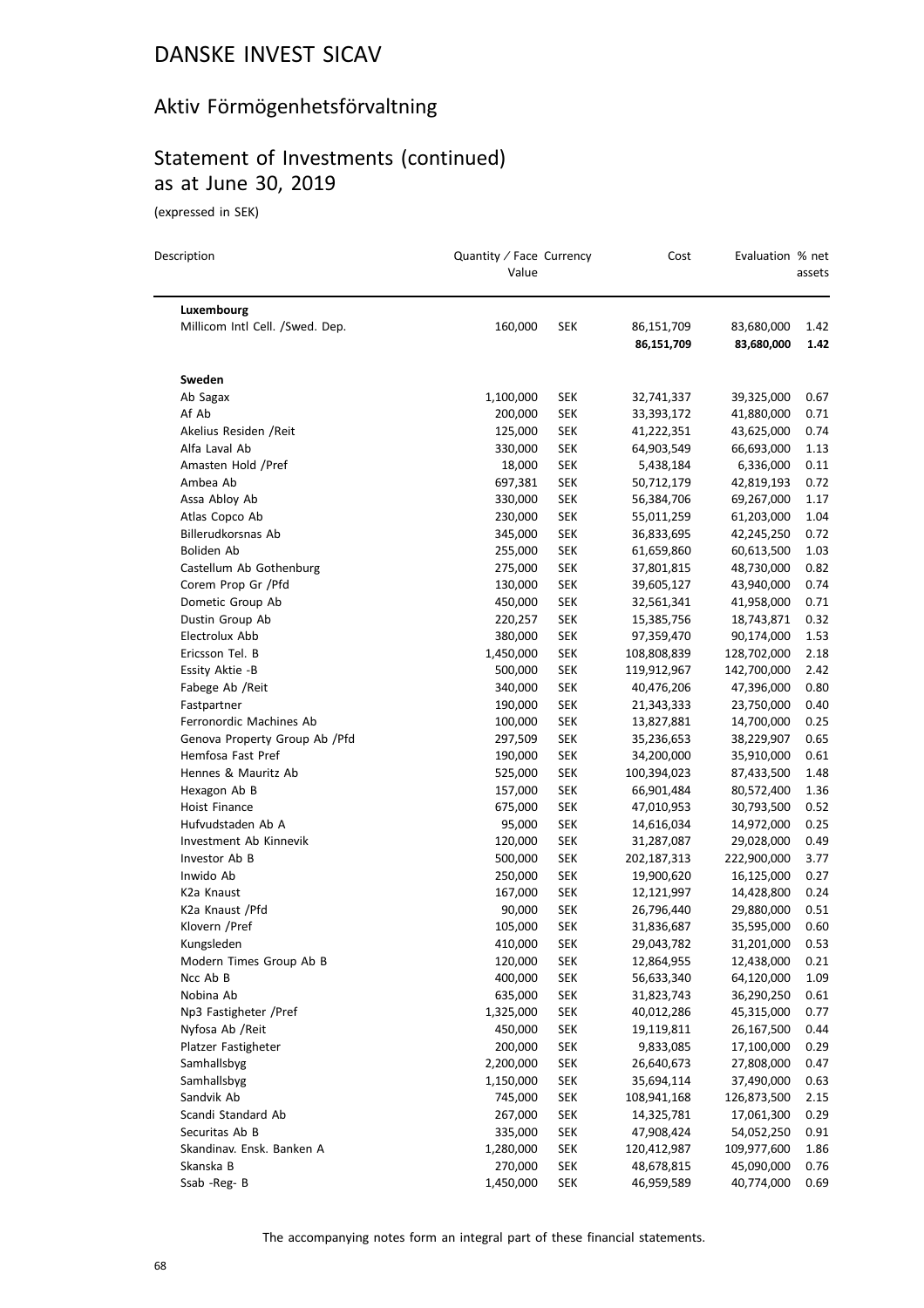## Aktiv Förmögenhetsförvaltning

# Statement of Investments (continued) as at June 30, 2019

(expressed in SEK)

| Description                     | Quantity / Face Currency<br>Value |            | Cost        | Evaluation % net | assets |
|---------------------------------|-----------------------------------|------------|-------------|------------------|--------|
| Luxembourg                      |                                   |            |             |                  |        |
| Millicom Intl Cell. /Swed. Dep. | 160,000                           | SEK        | 86,151,709  | 83,680,000       | 1.42   |
|                                 |                                   |            | 86,151,709  | 83,680,000       | 1.42   |
| Sweden                          |                                   |            |             |                  |        |
| Ab Sagax                        | 1,100,000                         | <b>SEK</b> | 32,741,337  | 39,325,000       | 0.67   |
| Af Ab                           | 200,000                           | <b>SEK</b> | 33,393,172  | 41,880,000       | 0.71   |
| Akelius Residen / Reit          | 125,000                           | SEK        | 41,222,351  | 43,625,000       | 0.74   |
| Alfa Laval Ab                   | 330,000                           | <b>SEK</b> | 64,903,549  | 66,693,000       | 1.13   |
| Amasten Hold /Pref              | 18,000                            | <b>SEK</b> | 5,438,184   | 6,336,000        | 0.11   |
| Ambea Ab                        | 697,381                           | <b>SEK</b> | 50,712,179  | 42,819,193       | 0.72   |
| Assa Abloy Ab                   | 330,000                           | <b>SEK</b> | 56,384,706  | 69,267,000       | 1.17   |
| Atlas Copco Ab                  | 230,000                           | <b>SEK</b> | 55,011,259  | 61,203,000       | 1.04   |
| Billerudkorsnas Ab              | 345,000                           | <b>SEK</b> | 36,833,695  | 42,245,250       | 0.72   |
| Boliden Ab                      | 255,000                           | <b>SEK</b> | 61,659,860  | 60,613,500       | 1.03   |
| Castellum Ab Gothenburg         | 275,000                           | <b>SEK</b> | 37,801,815  | 48,730,000       | 0.82   |
| Corem Prop Gr / Pfd             | 130,000                           | <b>SEK</b> | 39,605,127  | 43,940,000       | 0.74   |
| Dometic Group Ab                | 450,000                           | SEK        | 32,561,341  | 41,958,000       | 0.71   |
| Dustin Group Ab                 | 220,257                           | <b>SEK</b> | 15,385,756  | 18,743,871       | 0.32   |
| Electrolux Abb                  | 380,000                           | <b>SEK</b> | 97,359,470  | 90,174,000       | 1.53   |
| Ericsson Tel. B                 | 1,450,000                         | SEK        | 108,808,839 | 128,702,000      | 2.18   |
| Essity Aktie -B                 | 500,000                           | <b>SEK</b> | 119,912,967 | 142,700,000      | 2.42   |
| Fabege Ab / Reit                | 340,000                           | <b>SEK</b> | 40,476,206  | 47,396,000       | 0.80   |
| Fastpartner                     | 190,000                           | <b>SEK</b> | 21,343,333  | 23,750,000       | 0.40   |
| Ferronordic Machines Ab         | 100,000                           | <b>SEK</b> | 13,827,881  | 14,700,000       | 0.25   |
| Genova Property Group Ab / Pfd  | 297,509                           | <b>SEK</b> | 35,236,653  | 38,229,907       | 0.65   |
| Hemfosa Fast Pref               | 190,000                           | <b>SEK</b> | 34,200,000  | 35,910,000       | 0.61   |
| Hennes & Mauritz Ab             | 525,000                           | <b>SEK</b> | 100,394,023 | 87,433,500       | 1.48   |
| Hexagon Ab B                    | 157,000                           | <b>SEK</b> | 66,901,484  | 80,572,400       | 1.36   |
| Hoist Finance                   | 675,000                           | <b>SEK</b> | 47,010,953  | 30,793,500       | 0.52   |
| Hufvudstaden Ab A               | 95,000                            | <b>SEK</b> | 14,616,034  | 14,972,000       | 0.25   |
| Investment Ab Kinnevik          | 120,000                           | <b>SEK</b> | 31,287,087  | 29,028,000       | 0.49   |
| Investor Ab B                   | 500,000                           | <b>SEK</b> | 202,187,313 | 222,900,000      | 3.77   |
| Inwido Ab                       | 250,000                           | <b>SEK</b> | 19,900,620  | 16,125,000       | 0.27   |
| K2a Knaust                      | 167,000                           | <b>SEK</b> | 12,121,997  | 14,428,800       | 0.24   |
| K2a Knaust / Pfd                | 90,000                            | <b>SEK</b> | 26,796,440  | 29,880,000       | 0.51   |
| Klovern /Pref                   | 105,000                           | <b>SEK</b> | 31,836,687  | 35,595,000       | 0.60   |
| Kungsleden                      | 410,000                           | <b>SEK</b> | 29,043,782  | 31,201,000       | 0.53   |
| Modern Times Group Ab B         | 120,000                           | SEK        | 12,864,955  | 12,438,000       | 0.21   |
| Ncc Ab B                        | 400,000                           | <b>SEK</b> | 56,633,340  | 64,120,000       | 1.09   |
| Nobina Ab                       | 635,000                           | <b>SEK</b> | 31,823,743  | 36,290,250       | 0.61   |
| Np3 Fastigheter /Pref           | 1,325,000                         | <b>SEK</b> | 40,012,286  | 45,315,000       | 0.77   |
| Nyfosa Ab / Reit                | 450,000                           | <b>SEK</b> | 19,119,811  | 26,167,500       | 0.44   |
| Platzer Fastigheter             | 200,000                           | <b>SEK</b> | 9,833,085   | 17,100,000       | 0.29   |
| Samhallsbyg                     | 2,200,000                         | <b>SEK</b> | 26,640,673  | 27,808,000       | 0.47   |
| Samhallsbyg                     | 1,150,000                         | <b>SEK</b> | 35,694,114  | 37,490,000       | 0.63   |
| Sandvik Ab                      | 745,000                           | <b>SEK</b> | 108,941,168 | 126,873,500      | 2.15   |
| Scandi Standard Ab              | 267,000                           | <b>SEK</b> | 14,325,781  | 17,061,300       | 0.29   |
| Securitas Ab B                  | 335,000                           | <b>SEK</b> | 47,908,424  | 54,052,250       | 0.91   |
| Skandinav. Ensk. Banken A       | 1,280,000                         | <b>SEK</b> | 120,412,987 | 109,977,600      | 1.86   |
| Skanska B                       | 270,000                           | <b>SEK</b> | 48,678,815  | 45,090,000       | 0.76   |
| Ssab - Reg- B                   | 1,450,000                         | <b>SEK</b> | 46,959,589  | 40,774,000       | 0.69   |

The accompanying notes form an integral part of these financial statements.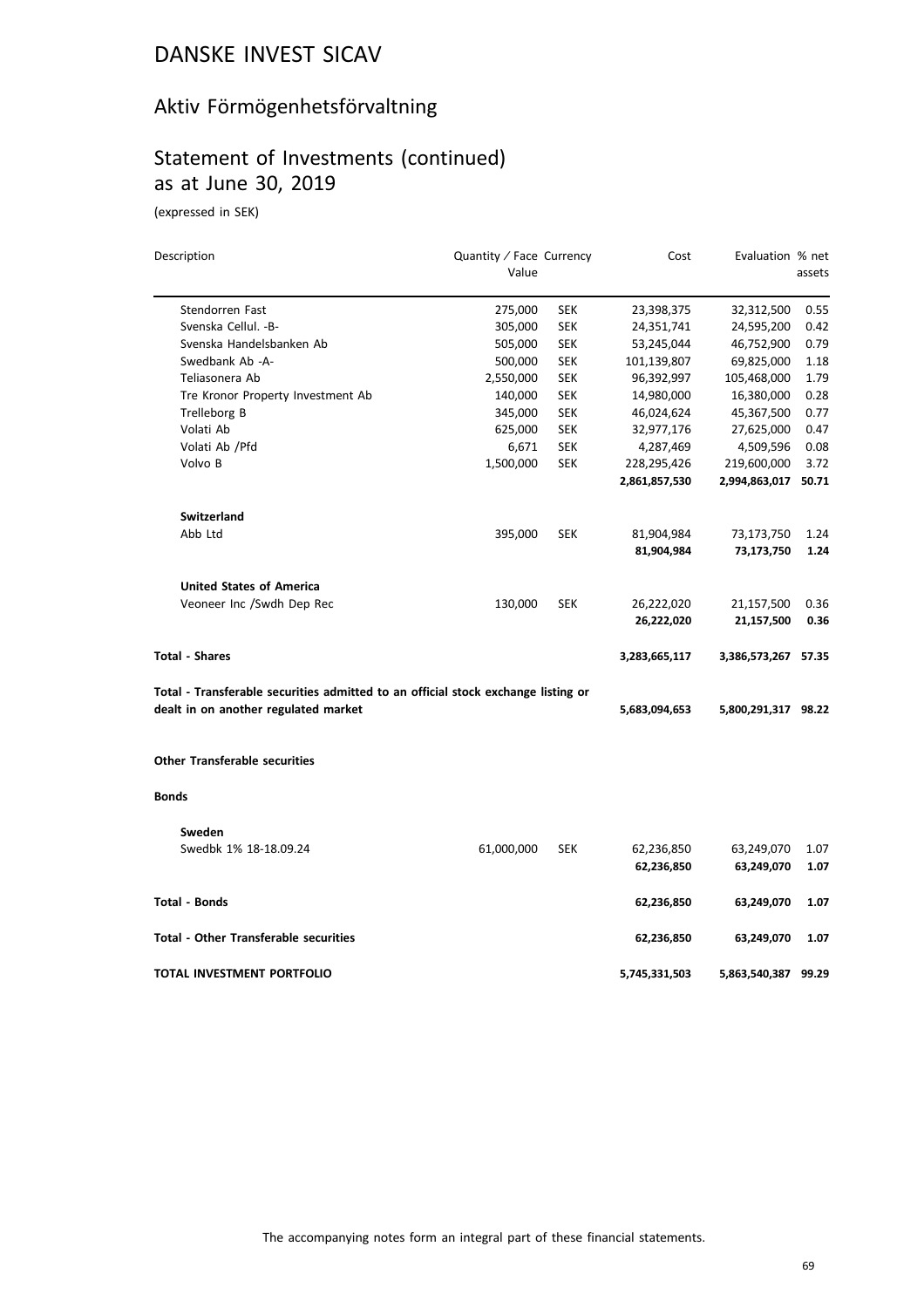# Aktiv Förmögenhetsförvaltning

# Statement of Investments (continued) as at June 30, 2019

(expressed in SEK)

| Description                                                                       | Quantity / Face Currency<br>Value |            | Cost          | Evaluation % net    | assets |
|-----------------------------------------------------------------------------------|-----------------------------------|------------|---------------|---------------------|--------|
|                                                                                   |                                   |            |               |                     |        |
| Stendorren Fast                                                                   | 275,000                           | SEK        | 23,398,375    | 32,312,500          | 0.55   |
| Svenska Cellul. - B-                                                              | 305,000                           | <b>SEK</b> | 24,351,741    | 24,595,200          | 0.42   |
| Svenska Handelsbanken Ab                                                          | 505,000                           | <b>SEK</b> | 53,245,044    | 46,752,900          | 0.79   |
| Swedbank Ab -A-                                                                   | 500,000                           | <b>SEK</b> | 101,139,807   | 69,825,000          | 1.18   |
| Teliasonera Ab                                                                    | 2,550,000                         | SEK        | 96,392,997    | 105,468,000         | 1.79   |
| Tre Kronor Property Investment Ab                                                 | 140,000                           | <b>SEK</b> | 14,980,000    | 16,380,000          | 0.28   |
| Trelleborg B                                                                      | 345,000                           | <b>SEK</b> | 46,024,624    | 45,367,500          | 0.77   |
| Volati Ab                                                                         | 625,000                           | <b>SEK</b> | 32,977,176    | 27,625,000          | 0.47   |
| Volati Ab / Pfd                                                                   | 6,671                             | SEK        | 4,287,469     | 4,509,596           | 0.08   |
| Volvo B                                                                           | 1,500,000                         | <b>SEK</b> | 228,295,426   | 219,600,000         | 3.72   |
|                                                                                   |                                   |            | 2,861,857,530 | 2,994,863,017       | 50.71  |
| Switzerland                                                                       |                                   |            |               |                     |        |
| Abb Ltd                                                                           | 395,000                           | <b>SEK</b> | 81,904,984    | 73,173,750          | 1.24   |
|                                                                                   |                                   |            | 81,904,984    | 73,173,750          | 1.24   |
| <b>United States of America</b>                                                   |                                   |            |               |                     |        |
| Veoneer Inc /Swdh Dep Rec                                                         | 130,000                           | <b>SEK</b> | 26,222,020    | 21,157,500          | 0.36   |
|                                                                                   |                                   |            | 26,222,020    | 21,157,500          | 0.36   |
| <b>Total - Shares</b>                                                             |                                   |            | 3,283,665,117 | 3,386,573,267 57.35 |        |
| Total - Transferable securities admitted to an official stock exchange listing or |                                   |            |               |                     |        |
| dealt in on another regulated market                                              |                                   |            | 5,683,094,653 | 5,800,291,317 98.22 |        |
| <b>Other Transferable securities</b>                                              |                                   |            |               |                     |        |
| <b>Bonds</b>                                                                      |                                   |            |               |                     |        |
| Sweden                                                                            |                                   |            |               |                     |        |
| Swedbk 1% 18-18.09.24                                                             | 61,000,000                        | <b>SEK</b> | 62,236,850    | 63,249,070          | 1.07   |
|                                                                                   |                                   |            | 62,236,850    | 63,249,070          | 1.07   |
| Total - Bonds                                                                     |                                   |            | 62,236,850    | 63,249,070          | 1.07   |
| Total - Other Transferable securities                                             |                                   |            | 62,236,850    | 63,249,070          | 1.07   |
| TOTAL INVESTMENT PORTFOLIO                                                        |                                   |            | 5,745,331,503 | 5,863,540,387 99.29 |        |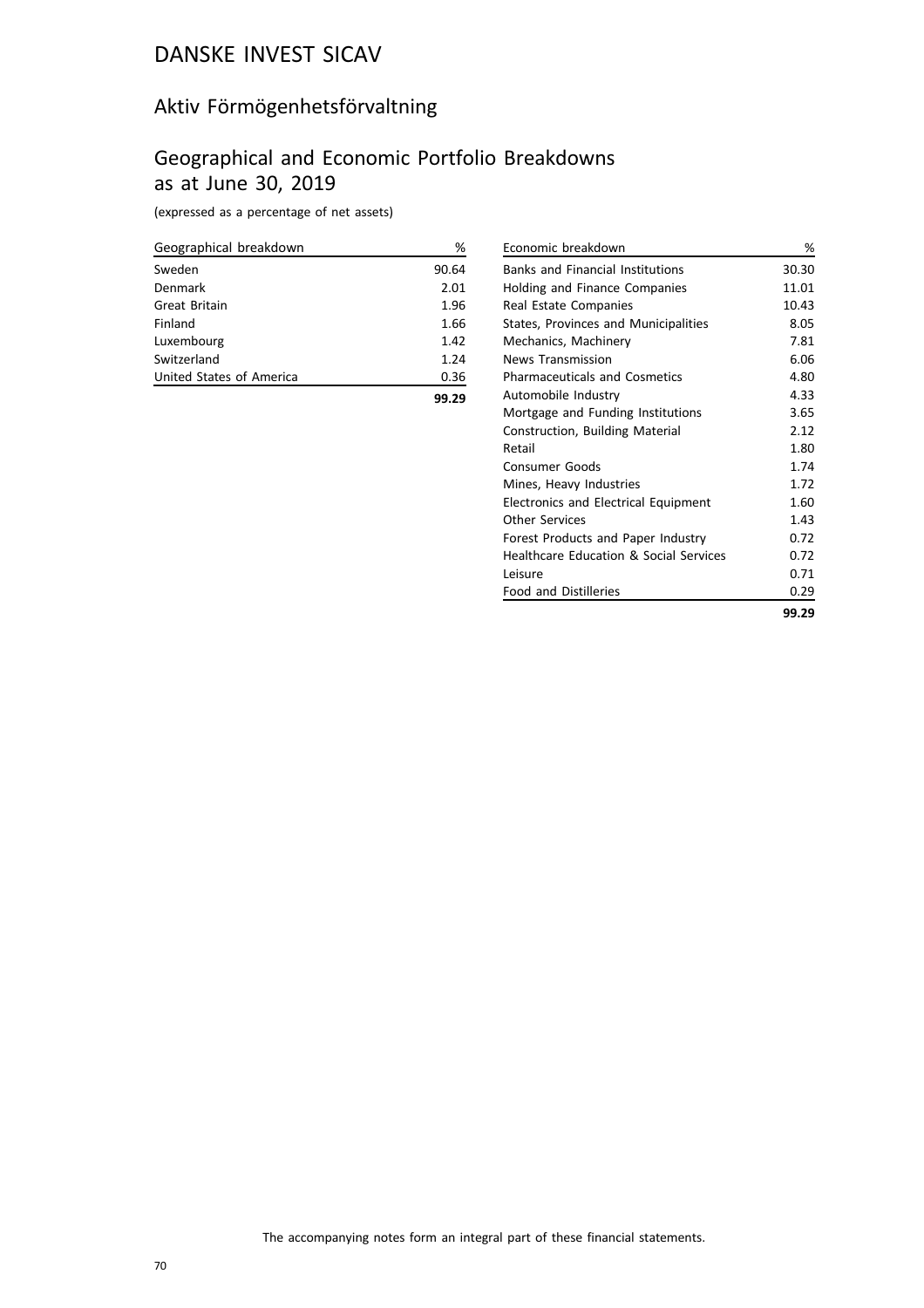## Aktiv Förmögenhetsförvaltning

## Geographical and Economic Portfolio Breakdowns as at June 30, 2019

(expressed as a percentage of net assets)

| Geographical breakdown   | %     |
|--------------------------|-------|
| Sweden                   | 90.64 |
| Denmark                  | 2.01  |
| Great Britain            | 1.96  |
| Finland                  | 1.66  |
| Luxembourg               | 1.42  |
| Switzerland              | 1.24  |
| United States of America | 0.36  |
|                          |       |

| Economic breakdown                      | %     |
|-----------------------------------------|-------|
| <b>Banks and Financial Institutions</b> | 30.30 |
| <b>Holding and Finance Companies</b>    | 11.01 |
| Real Estate Companies                   | 10.43 |
| States, Provinces and Municipalities    | 8.05  |
| Mechanics, Machinery                    | 7.81  |
| <b>News Transmission</b>                | 6.06  |
| <b>Pharmaceuticals and Cosmetics</b>    | 4.80  |
| Automobile Industry                     | 4.33  |
| Mortgage and Funding Institutions       | 3.65  |
| Construction, Building Material         | 2.12  |
| Retail                                  | 1.80  |
| <b>Consumer Goods</b>                   | 1.74  |
| Mines, Heavy Industries                 | 1.72  |
| Electronics and Electrical Equipment    | 1.60  |
| Other Services                          | 1.43  |
| Forest Products and Paper Industry      | 0.72  |
| Healthcare Education & Social Services  | 0.72  |
| l eisure                                | 0.71  |
| <b>Food and Distilleries</b>            | 0.29  |
|                                         | 99.29 |

The accompanying notes form an integral part of these financial statements.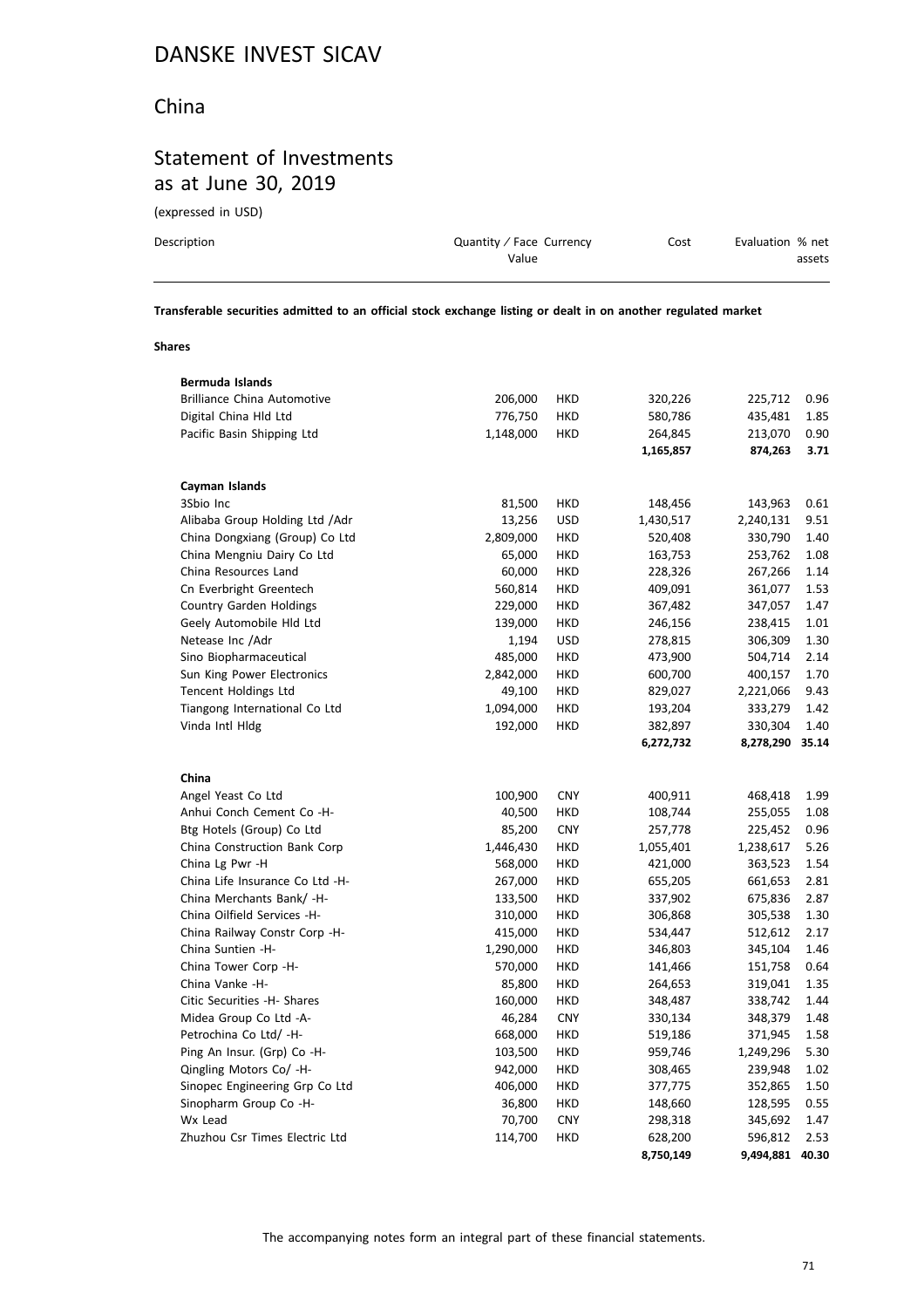#### China

## Statement of Investments as at June 30, 2019

(expressed in USD)

| Description | Quantity / Face Currency | Cost | Evaluation % net |
|-------------|--------------------------|------|------------------|
|             | Value                    |      | assets           |
|             |                          |      |                  |

**Transferable securities admitted to an official stock exchange listing or dealt in on another regulated market**

#### **Shares**

| Bermuda Islands                    |           |            |           |           |       |
|------------------------------------|-----------|------------|-----------|-----------|-------|
| <b>Brilliance China Automotive</b> | 206,000   | <b>HKD</b> | 320,226   | 225,712   | 0.96  |
| Digital China Hld Ltd              | 776,750   | <b>HKD</b> | 580,786   | 435,481   | 1.85  |
| Pacific Basin Shipping Ltd         | 1,148,000 | <b>HKD</b> | 264,845   | 213,070   | 0.90  |
|                                    |           |            | 1,165,857 | 874,263   | 3.71  |
| Cayman Islands                     |           |            |           |           |       |
| 3Sbio Inc                          | 81,500    | <b>HKD</b> | 148,456   | 143,963   | 0.61  |
| Alibaba Group Holding Ltd / Adr    | 13,256    | <b>USD</b> | 1,430,517 | 2,240,131 | 9.51  |
| China Dongxiang (Group) Co Ltd     | 2,809,000 | <b>HKD</b> | 520,408   | 330,790   | 1.40  |
| China Mengniu Dairy Co Ltd         | 65,000    | <b>HKD</b> | 163,753   | 253,762   | 1.08  |
| China Resources Land               | 60,000    | <b>HKD</b> | 228,326   | 267,266   | 1.14  |
| Cn Everbright Greentech            | 560,814   | <b>HKD</b> | 409,091   | 361,077   | 1.53  |
| Country Garden Holdings            | 229,000   | <b>HKD</b> | 367,482   | 347,057   | 1.47  |
| Geely Automobile Hld Ltd           | 139,000   | <b>HKD</b> | 246,156   | 238,415   | 1.01  |
| Netease Inc / Adr                  | 1,194     | <b>USD</b> | 278,815   | 306,309   | 1.30  |
| Sino Biopharmaceutical             | 485,000   | <b>HKD</b> | 473,900   | 504,714   | 2.14  |
| Sun King Power Electronics         | 2,842,000 | HKD        | 600,700   | 400,157   | 1.70  |
| Tencent Holdings Ltd               | 49,100    | HKD        | 829,027   | 2,221,066 | 9.43  |
| Tiangong International Co Ltd      | 1,094,000 | HKD        | 193,204   | 333,279   | 1.42  |
| Vinda Intl Hldg                    | 192,000   | <b>HKD</b> | 382,897   | 330,304   | 1.40  |
|                                    |           |            | 6,272,732 | 8,278,290 | 35.14 |
| China                              |           |            |           |           |       |
| Angel Yeast Co Ltd                 | 100,900   | <b>CNY</b> | 400,911   | 468,418   | 1.99  |
| Anhui Conch Cement Co -H-          | 40,500    | <b>HKD</b> | 108,744   | 255,055   | 1.08  |
| Btg Hotels (Group) Co Ltd          | 85,200    | <b>CNY</b> | 257,778   | 225,452   | 0.96  |
| China Construction Bank Corp       | 1,446,430 | <b>HKD</b> | 1,055,401 | 1,238,617 | 5.26  |
| China Lg Pwr -H                    | 568,000   | <b>HKD</b> | 421,000   | 363,523   | 1.54  |
| China Life Insurance Co Ltd -H-    | 267,000   | <b>HKD</b> | 655,205   | 661,653   | 2.81  |
| China Merchants Bank/ -H-          | 133,500   | <b>HKD</b> | 337,902   | 675,836   | 2.87  |
| China Oilfield Services -H-        | 310,000   | HKD        | 306,868   | 305,538   | 1.30  |
| China Railway Constr Corp -H-      | 415,000   | <b>HKD</b> | 534,447   | 512,612   | 2.17  |
| China Suntien -H-                  | 1,290,000 | <b>HKD</b> | 346,803   | 345,104   | 1.46  |
| China Tower Corp -H-               | 570,000   | <b>HKD</b> | 141,466   | 151,758   | 0.64  |
| China Vanke -H-                    | 85,800    | <b>HKD</b> | 264,653   | 319,041   | 1.35  |
| Citic Securities -H- Shares        | 160,000   | <b>HKD</b> | 348,487   | 338,742   | 1.44  |
| Midea Group Co Ltd -A-             | 46,284    | <b>CNY</b> | 330,134   | 348,379   | 1.48  |
| Petrochina Co Ltd/ -H-             | 668,000   | <b>HKD</b> | 519,186   | 371,945   | 1.58  |
| Ping An Insur. (Grp) Co -H-        | 103,500   | <b>HKD</b> | 959,746   | 1,249,296 | 5.30  |
| Qingling Motors Co/ -H-            | 942,000   | <b>HKD</b> | 308,465   | 239,948   | 1.02  |
| Sinopec Engineering Grp Co Ltd     | 406,000   | HKD        | 377,775   | 352,865   | 1.50  |
| Sinopharm Group Co -H-             | 36,800    | <b>HKD</b> | 148,660   | 128,595   | 0.55  |
| Wx Lead                            | 70,700    | <b>CNY</b> | 298,318   | 345,692   | 1.47  |
| Zhuzhou Csr Times Electric Ltd     | 114,700   | <b>HKD</b> | 628,200   | 596,812   | 2.53  |
|                                    |           |            | 8,750,149 | 9,494,881 | 40.30 |
|                                    |           |            |           |           |       |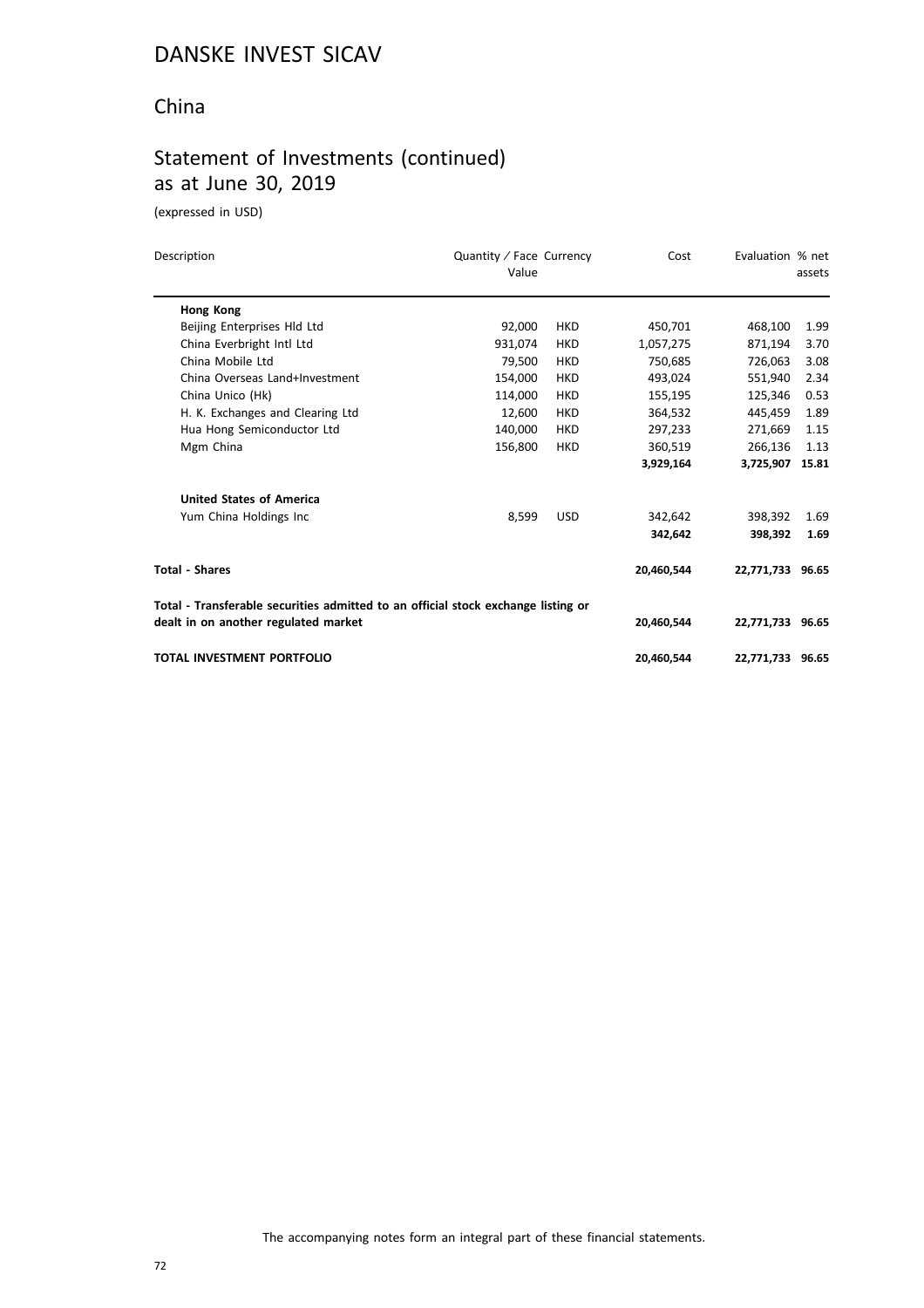#### China

# Statement of Investments (continued) as at June 30, 2019

(expressed in USD)

| Description                                                                       | Quantity / Face Currency<br>Value |            | Cost       | Evaluation % net | assets |
|-----------------------------------------------------------------------------------|-----------------------------------|------------|------------|------------------|--------|
| Hong Kong                                                                         |                                   |            |            |                  |        |
| Beijing Enterprises Hld Ltd                                                       | 92,000                            | <b>HKD</b> | 450,701    | 468,100          | 1.99   |
| China Everbright Intl Ltd                                                         | 931,074                           | <b>HKD</b> | 1,057,275  | 871,194          | 3.70   |
| China Mobile Ltd                                                                  | 79,500                            | <b>HKD</b> | 750,685    | 726,063          | 3.08   |
| China Overseas Land+Investment                                                    | 154,000                           | <b>HKD</b> | 493,024    | 551.940          | 2.34   |
| China Unico (Hk)                                                                  | 114,000                           | <b>HKD</b> | 155,195    | 125,346          | 0.53   |
| H. K. Exchanges and Clearing Ltd                                                  | 12,600                            | <b>HKD</b> | 364,532    | 445,459          | 1.89   |
| Hua Hong Semiconductor Ltd                                                        | 140.000                           | <b>HKD</b> | 297,233    | 271,669          | 1.15   |
| Mgm China                                                                         | 156,800                           | <b>HKD</b> | 360,519    | 266,136          | 1.13   |
|                                                                                   |                                   |            | 3,929,164  | 3,725,907 15.81  |        |
| <b>United States of America</b>                                                   |                                   |            |            |                  |        |
| Yum China Holdings Inc                                                            | 8.599                             | <b>USD</b> | 342.642    | 398.392          | 1.69   |
|                                                                                   |                                   |            | 342,642    | 398,392          | 1.69   |
| <b>Total - Shares</b>                                                             |                                   |            | 20,460,544 | 22,771,733 96.65 |        |
| Total - Transferable securities admitted to an official stock exchange listing or |                                   |            |            |                  |        |
| dealt in on another regulated market                                              |                                   |            | 20,460,544 | 22,771,733 96.65 |        |
| <b>TOTAL INVESTMENT PORTFOLIO</b>                                                 |                                   |            | 20.460.544 | 22,771,733 96.65 |        |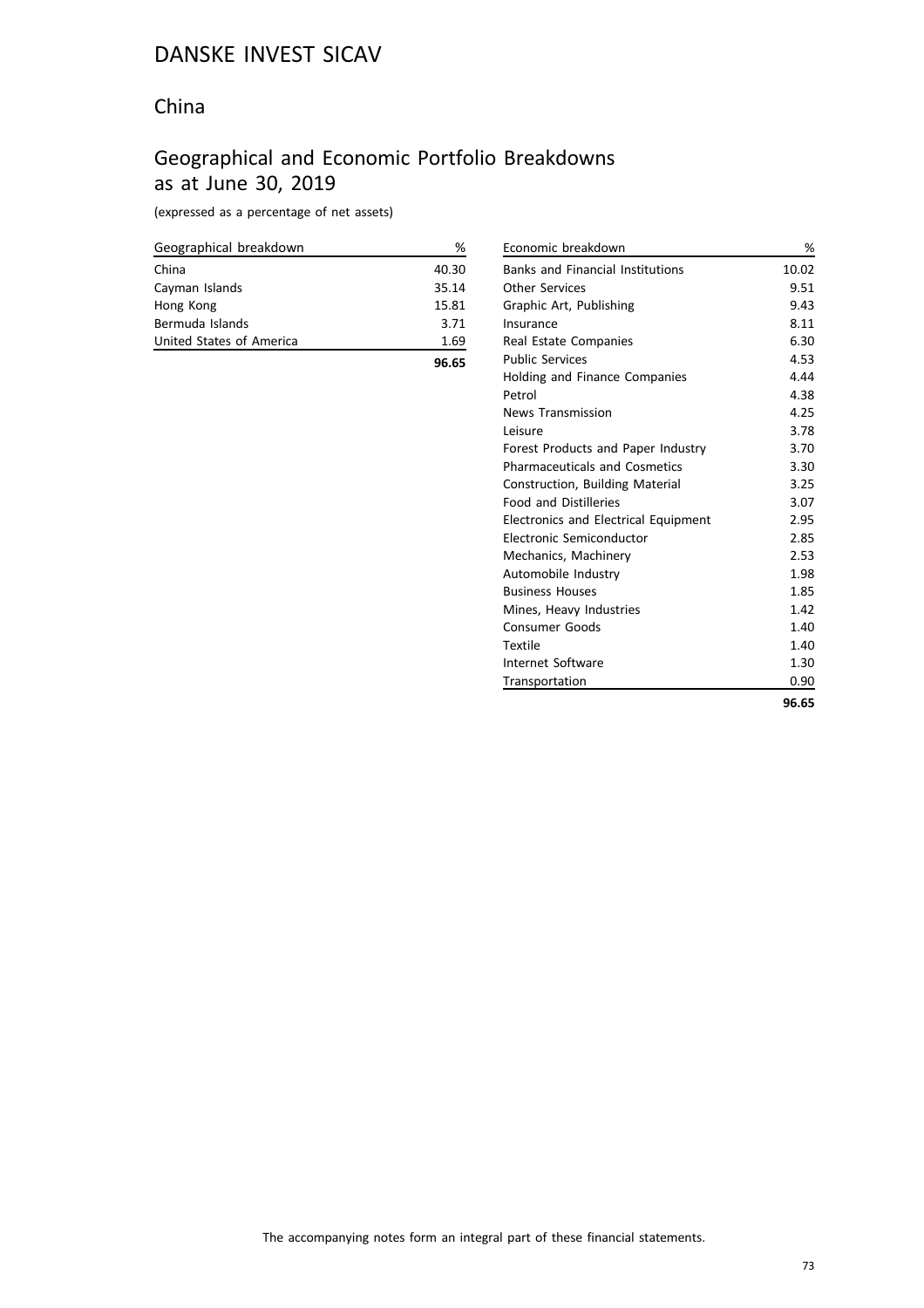#### China

## Geographical and Economic Portfolio Breakdowns as at June 30, 2019

(expressed as a percentage of net assets)

| Geographical breakdown   | ℅     |
|--------------------------|-------|
| China                    | 40.30 |
| Cayman Islands           | 35.14 |
| Hong Kong                | 15.81 |
| Bermuda Islands          | 3.71  |
| United States of America | 1.69  |
|                          | 96.65 |

| Economic breakdown                          | %     |
|---------------------------------------------|-------|
| <b>Banks and Financial Institutions</b>     | 10.02 |
| <b>Other Services</b>                       | 9.51  |
| Graphic Art, Publishing                     | 9.43  |
| Insurance                                   | 8.11  |
| Real Estate Companies                       | 6.30  |
| <b>Public Services</b>                      | 4.53  |
| Holding and Finance Companies               | 4.44  |
| Petrol                                      | 4.38  |
| <b>News Transmission</b>                    | 4.25  |
| Leisure                                     | 3.78  |
| Forest Products and Paper Industry          | 3.70  |
| <b>Pharmaceuticals and Cosmetics</b>        | 3.30  |
| <b>Construction, Building Material</b>      | 3.25  |
| <b>Food and Distilleries</b>                | 3.07  |
| <b>Electronics and Electrical Equipment</b> | 2.95  |
| Electronic Semiconductor                    | 2.85  |
| Mechanics, Machinery                        | 2.53  |
| Automobile Industry                         | 1.98  |
| <b>Business Houses</b>                      | 1.85  |
| Mines, Heavy Industries                     | 1.42  |
| Consumer Goods                              | 1.40  |
| Textile                                     | 1.40  |
| Internet Software                           | 1.30  |
| Transportation                              | 0.90  |
|                                             | 96.65 |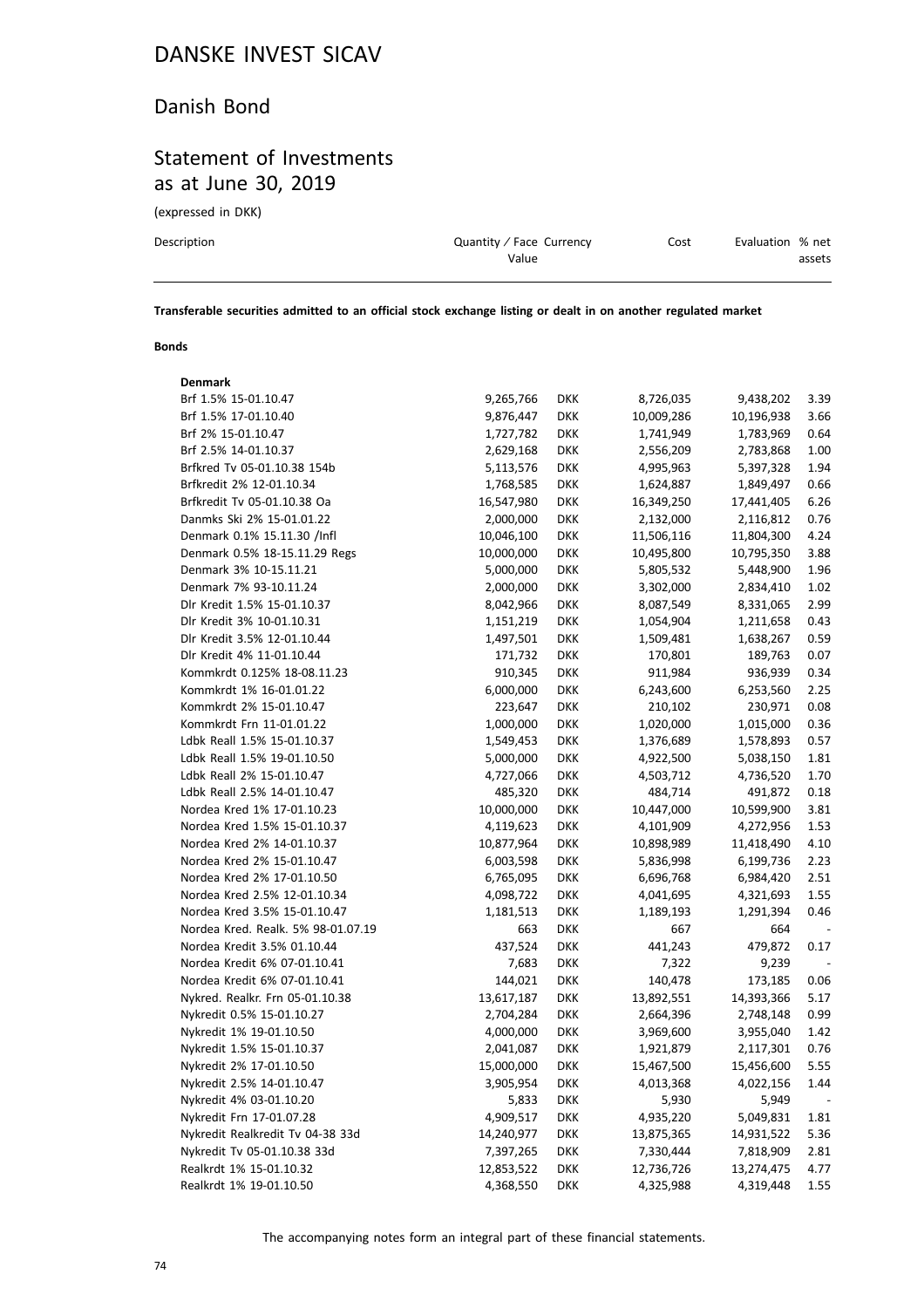#### Danish Bond

#### Statement of Investments as at June 30, 2019

(expressed in DKK)

| Description | Quantity / Face Currency | Cost | Evaluation % net |
|-------------|--------------------------|------|------------------|
|             | Value                    |      | assets           |
|             |                          |      |                  |

**Transferable securities admitted to an official stock exchange listing or dealt in on another regulated market**

#### **Bonds**

| 9,265,766  | DKK        | 8,726,035  | 9,438,202  | 3.39 |
|------------|------------|------------|------------|------|
| 9,876,447  | <b>DKK</b> | 10,009,286 | 10,196,938 | 3.66 |
| 1,727,782  | DKK        | 1,741,949  | 1,783,969  | 0.64 |
| 2,629,168  | <b>DKK</b> | 2,556,209  | 2,783,868  | 1.00 |
| 5,113,576  | <b>DKK</b> | 4,995,963  | 5,397,328  | 1.94 |
| 1,768,585  | <b>DKK</b> | 1,624,887  | 1,849,497  | 0.66 |
| 16,547,980 | <b>DKK</b> | 16,349,250 | 17,441,405 | 6.26 |
| 2,000,000  | <b>DKK</b> | 2,132,000  | 2,116,812  | 0.76 |
| 10,046,100 | <b>DKK</b> | 11,506,116 | 11,804,300 | 4.24 |
| 10,000,000 | <b>DKK</b> | 10,495,800 | 10,795,350 | 3.88 |
| 5,000,000  | <b>DKK</b> | 5,805,532  | 5,448,900  | 1.96 |
| 2,000,000  | <b>DKK</b> | 3,302,000  | 2,834,410  | 1.02 |
| 8,042,966  | <b>DKK</b> | 8,087,549  | 8,331,065  | 2.99 |
| 1,151,219  | <b>DKK</b> | 1,054,904  | 1,211,658  | 0.43 |
| 1,497,501  | <b>DKK</b> | 1,509,481  | 1,638,267  | 0.59 |
| 171,732    | <b>DKK</b> | 170,801    | 189,763    | 0.07 |
| 910,345    | <b>DKK</b> | 911,984    | 936,939    | 0.34 |
| 6,000,000  | <b>DKK</b> | 6,243,600  | 6,253,560  | 2.25 |
| 223,647    | <b>DKK</b> | 210,102    | 230,971    | 0.08 |
| 1,000,000  | <b>DKK</b> | 1,020,000  | 1,015,000  | 0.36 |
| 1,549,453  | <b>DKK</b> | 1,376,689  | 1,578,893  | 0.57 |
| 5,000,000  | <b>DKK</b> | 4,922,500  | 5,038,150  | 1.81 |
| 4,727,066  | <b>DKK</b> | 4,503,712  | 4,736,520  | 1.70 |
| 485,320    | <b>DKK</b> | 484,714    | 491,872    | 0.18 |
| 10,000,000 | <b>DKK</b> | 10,447,000 | 10,599,900 | 3.81 |
| 4,119,623  | <b>DKK</b> | 4,101,909  | 4,272,956  | 1.53 |
| 10,877,964 | <b>DKK</b> | 10,898,989 | 11,418,490 | 4.10 |
| 6,003,598  | <b>DKK</b> | 5,836,998  | 6,199,736  | 2.23 |
| 6,765,095  | <b>DKK</b> | 6,696,768  | 6,984,420  | 2.51 |
| 4,098,722  | <b>DKK</b> | 4,041,695  | 4,321,693  | 1.55 |
| 1,181,513  | <b>DKK</b> | 1,189,193  | 1,291,394  | 0.46 |
| 663        | <b>DKK</b> | 667        | 664        |      |
| 437,524    | <b>DKK</b> | 441,243    | 479,872    | 0.17 |
| 7,683      | <b>DKK</b> | 7,322      | 9,239      |      |
| 144,021    | <b>DKK</b> | 140,478    | 173,185    | 0.06 |
| 13,617,187 | <b>DKK</b> | 13,892,551 | 14,393,366 | 5.17 |
| 2,704,284  | <b>DKK</b> | 2,664,396  | 2,748,148  | 0.99 |
| 4,000,000  | <b>DKK</b> | 3,969,600  | 3,955,040  | 1.42 |
| 2,041,087  | <b>DKK</b> | 1,921,879  | 2,117,301  | 0.76 |
| 15,000,000 | <b>DKK</b> | 15,467,500 | 15,456,600 | 5.55 |
| 3,905,954  | DKK        | 4,013,368  | 4,022,156  | 1.44 |
|            | <b>DKK</b> | 5,930      | 5,949      |      |
| 4,909,517  | <b>DKK</b> | 4,935,220  | 5,049,831  | 1.81 |
| 14,240,977 | <b>DKK</b> | 13,875,365 | 14,931,522 | 5.36 |
| 7,397,265  | DKK        | 7,330,444  | 7,818,909  | 2.81 |
| 12,853,522 | <b>DKK</b> | 12,736,726 | 13,274,475 | 4.77 |
| 4,368,550  | DKK        | 4,325,988  | 4,319,448  | 1.55 |
|            | 5,833      |            |            |      |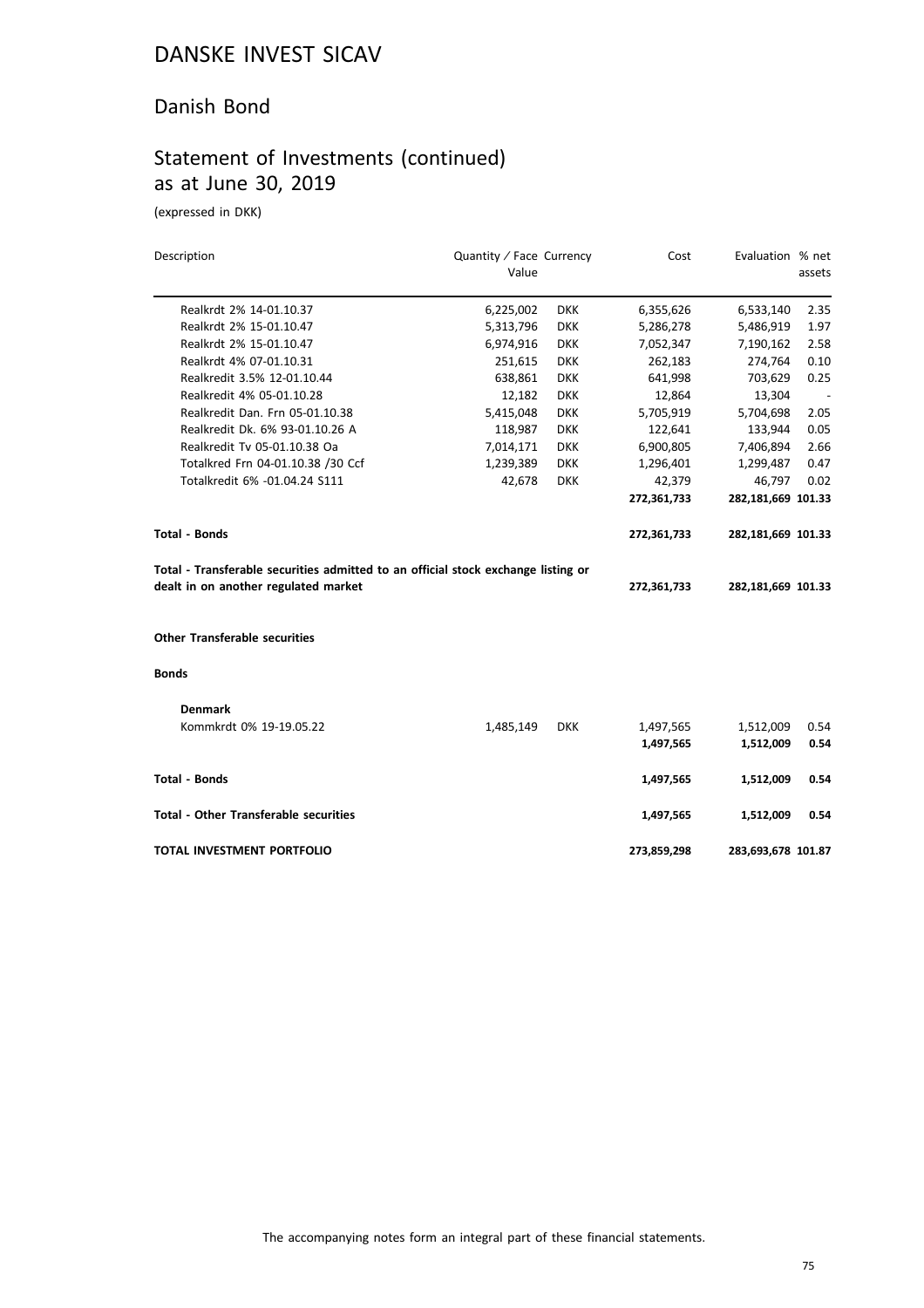#### Danish Bond

#### Statement of Investments (continued) as at June 30, 2019

(expressed in DKK)

| Description                                                                       | Quantity / Face Currency |            | Cost        | Evaluation % net   |        |
|-----------------------------------------------------------------------------------|--------------------------|------------|-------------|--------------------|--------|
|                                                                                   | Value                    |            |             |                    | assets |
| Realkrdt 2% 14-01.10.37                                                           | 6,225,002                | <b>DKK</b> | 6,355,626   | 6,533,140          | 2.35   |
| Realkrdt 2% 15-01.10.47                                                           | 5,313,796                | <b>DKK</b> | 5,286,278   | 5,486,919          | 1.97   |
| Realkrdt 2% 15-01.10.47                                                           | 6,974,916                | <b>DKK</b> | 7,052,347   | 7,190,162          | 2.58   |
| Realkrdt 4% 07-01.10.31                                                           | 251,615                  | <b>DKK</b> | 262,183     | 274,764            | 0.10   |
| Realkredit 3.5% 12-01.10.44                                                       | 638,861                  | <b>DKK</b> | 641,998     | 703,629            | 0.25   |
| Realkredit 4% 05-01.10.28                                                         | 12,182                   | <b>DKK</b> | 12,864      | 13,304             |        |
| Realkredit Dan. Frn 05-01.10.38                                                   | 5,415,048                | <b>DKK</b> | 5,705,919   | 5,704,698          | 2.05   |
| Realkredit Dk. 6% 93-01.10.26 A                                                   | 118,987                  | <b>DKK</b> | 122,641     | 133,944            | 0.05   |
| Realkredit Tv 05-01.10.38 Oa                                                      | 7,014,171                | <b>DKK</b> | 6,900,805   | 7,406,894          | 2.66   |
| Totalkred Frn 04-01.10.38 /30 Ccf                                                 | 1,239,389                | <b>DKK</b> | 1,296,401   | 1,299,487          | 0.47   |
| Totalkredit 6% -01.04.24 S111                                                     | 42,678                   | <b>DKK</b> | 42,379      | 46,797             | 0.02   |
|                                                                                   |                          |            | 272,361,733 | 282,181,669 101.33 |        |
| <b>Total - Bonds</b>                                                              |                          |            | 272,361,733 | 282,181,669 101.33 |        |
| Total - Transferable securities admitted to an official stock exchange listing or |                          |            |             |                    |        |
| dealt in on another regulated market                                              |                          |            | 272,361,733 | 282,181,669 101.33 |        |
| <b>Other Transferable securities</b>                                              |                          |            |             |                    |        |
| <b>Bonds</b>                                                                      |                          |            |             |                    |        |
| <b>Denmark</b>                                                                    |                          |            |             |                    |        |
| Kommkrdt 0% 19-19.05.22                                                           | 1,485,149                | <b>DKK</b> | 1,497,565   | 1,512,009          | 0.54   |
|                                                                                   |                          |            | 1,497,565   | 1,512,009          | 0.54   |
| <b>Total - Bonds</b>                                                              |                          |            | 1,497,565   | 1,512,009          | 0.54   |
| <b>Total - Other Transferable securities</b>                                      |                          |            | 1,497,565   | 1,512,009          | 0.54   |
| <b>TOTAL INVESTMENT PORTFOLIO</b>                                                 |                          |            | 273,859,298 | 283,693,678 101.87 |        |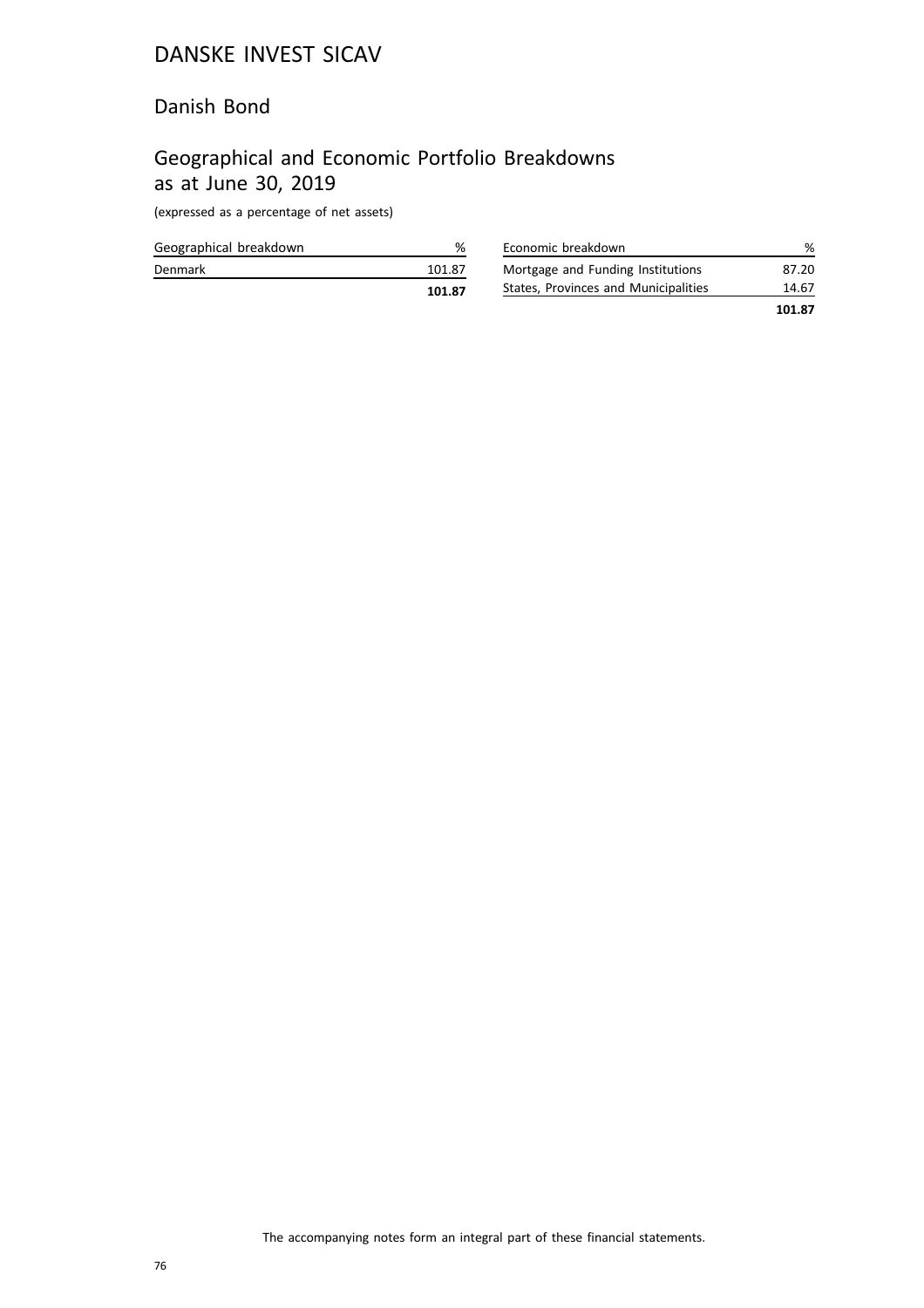#### Danish Bond

## Geographical and Economic Portfolio Breakdowns as at June 30, 2019

(expressed as a percentage of net assets)

|                        | 101.87 |
|------------------------|--------|
| Denmark                | 101.87 |
| Geographical breakdown | %      |

| Economic breakdown                   | ℅      |
|--------------------------------------|--------|
| Mortgage and Funding Institutions    | 87.20  |
| States, Provinces and Municipalities | 14.67  |
|                                      | 101.87 |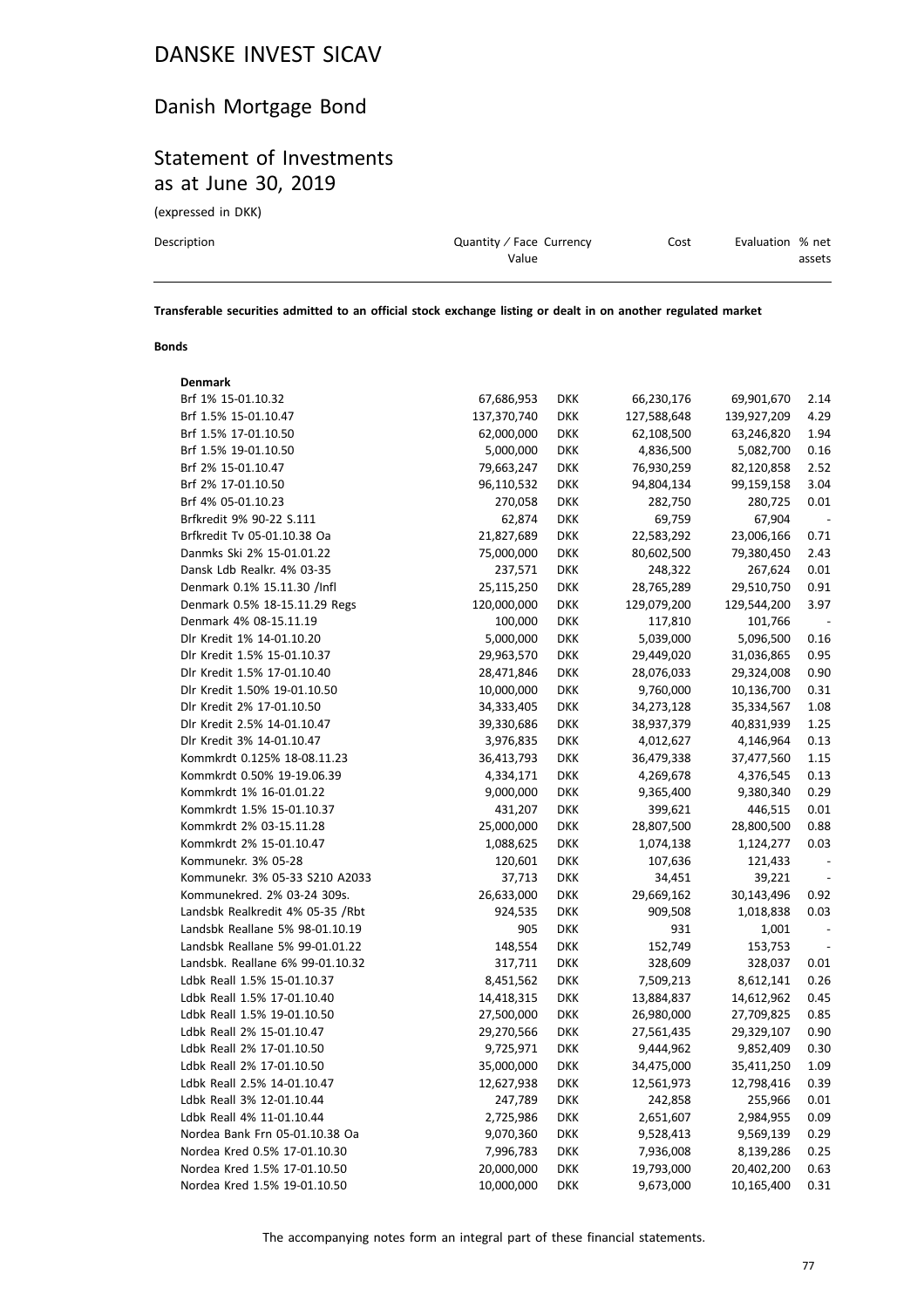#### Danish Mortgage Bond

#### Statement of Investments as at June 30, 2019

(expressed in DKK)

| Description | Quantity / Face Currency | Cost | Evaluation % net |
|-------------|--------------------------|------|------------------|
|             | Value                    |      | assets           |
|             |                          |      |                  |

**Transferable securities admitted to an official stock exchange listing or dealt in on another regulated market**

#### **Bonds**

| <b>Denmark</b>                   |             |            |             |             |                          |
|----------------------------------|-------------|------------|-------------|-------------|--------------------------|
| Brf 1% 15-01.10.32               | 67,686,953  | <b>DKK</b> | 66,230,176  | 69,901,670  | 2.14                     |
| Brf 1.5% 15-01.10.47             | 137,370,740 | <b>DKK</b> | 127,588,648 | 139,927,209 | 4.29                     |
| Brf 1.5% 17-01.10.50             | 62,000,000  | <b>DKK</b> | 62,108,500  | 63,246,820  | 1.94                     |
| Brf 1.5% 19-01.10.50             | 5,000,000   | <b>DKK</b> | 4,836,500   | 5,082,700   | 0.16                     |
| Brf 2% 15-01.10.47               | 79,663,247  | <b>DKK</b> | 76,930,259  | 82,120,858  | 2.52                     |
| Brf 2% 17-01.10.50               | 96,110,532  | <b>DKK</b> | 94,804,134  | 99,159,158  | 3.04                     |
| Brf 4% 05-01.10.23               | 270,058     | <b>DKK</b> | 282,750     | 280,725     | 0.01                     |
| Brfkredit 9% 90-22 S.111         | 62,874      | <b>DKK</b> | 69,759      | 67,904      | $\overline{\phantom{a}}$ |
| Brfkredit Tv 05-01.10.38 Oa      | 21,827,689  | <b>DKK</b> | 22,583,292  | 23,006,166  | 0.71                     |
| Danmks Ski 2% 15-01.01.22        | 75,000,000  | <b>DKK</b> | 80,602,500  | 79,380,450  | 2.43                     |
| Dansk Ldb Realkr. 4% 03-35       | 237,571     | <b>DKK</b> | 248,322     | 267,624     | 0.01                     |
| Denmark 0.1% 15.11.30 /Infl      | 25,115,250  | <b>DKK</b> | 28,765,289  | 29,510,750  | 0.91                     |
| Denmark 0.5% 18-15.11.29 Regs    | 120,000,000 | <b>DKK</b> | 129,079,200 | 129,544,200 | 3.97                     |
| Denmark 4% 08-15.11.19           | 100,000     | <b>DKK</b> | 117,810     | 101,766     |                          |
| Dlr Kredit 1% 14-01.10.20        | 5,000,000   | <b>DKK</b> | 5,039,000   | 5,096,500   | 0.16                     |
| Dlr Kredit 1.5% 15-01.10.37      | 29,963,570  | <b>DKK</b> | 29,449,020  | 31,036,865  | 0.95                     |
| Dlr Kredit 1.5% 17-01.10.40      | 28,471,846  | <b>DKK</b> | 28,076,033  | 29,324,008  | 0.90                     |
| Dlr Kredit 1.50% 19-01.10.50     | 10,000,000  | <b>DKK</b> | 9,760,000   | 10,136,700  | 0.31                     |
| Dlr Kredit 2% 17-01.10.50        | 34,333,405  | <b>DKK</b> | 34,273,128  | 35,334,567  | 1.08                     |
| Dlr Kredit 2.5% 14-01.10.47      | 39,330,686  | <b>DKK</b> | 38,937,379  | 40,831,939  | 1.25                     |
| Dlr Kredit 3% 14-01.10.47        | 3,976,835   | <b>DKK</b> | 4,012,627   | 4,146,964   | 0.13                     |
| Kommkrdt 0.125% 18-08.11.23      | 36,413,793  | <b>DKK</b> | 36,479,338  | 37,477,560  | 1.15                     |
| Kommkrdt 0.50% 19-19.06.39       | 4,334,171   | <b>DKK</b> | 4,269,678   | 4,376,545   | 0.13                     |
| Kommkrdt 1% 16-01.01.22          | 9,000,000   | <b>DKK</b> | 9,365,400   | 9,380,340   | 0.29                     |
| Kommkrdt 1.5% 15-01.10.37        | 431,207     | <b>DKK</b> | 399,621     | 446,515     | 0.01                     |
| Kommkrdt 2% 03-15.11.28          | 25,000,000  | <b>DKK</b> | 28,807,500  | 28,800,500  | 0.88                     |
| Kommkrdt 2% 15-01.10.47          | 1,088,625   | <b>DKK</b> | 1,074,138   | 1,124,277   | 0.03                     |
| Kommunekr. 3% 05-28              | 120,601     | <b>DKK</b> | 107,636     | 121,433     | $\overline{\phantom{a}}$ |
| Kommunekr. 3% 05-33 S210 A2033   | 37,713      | <b>DKK</b> | 34,451      | 39,221      | $\overline{\phantom{a}}$ |
| Kommunekred. 2% 03-24 309s.      | 26,633,000  | <b>DKK</b> | 29,669,162  | 30,143,496  | 0.92                     |
| Landsbk Realkredit 4% 05-35 /Rbt | 924,535     | <b>DKK</b> | 909,508     | 1,018,838   | 0.03                     |
| Landsbk Reallane 5% 98-01.10.19  | 905         | <b>DKK</b> | 931         | 1,001       |                          |
| Landsbk Reallane 5% 99-01.01.22  | 148,554     | <b>DKK</b> | 152,749     | 153,753     | $\overline{\phantom{a}}$ |
| Landsbk. Reallane 6% 99-01.10.32 | 317,711     | <b>DKK</b> | 328,609     | 328,037     | 0.01                     |
| Ldbk Reall 1.5% 15-01.10.37      | 8,451,562   | <b>DKK</b> | 7,509,213   | 8,612,141   | 0.26                     |
| Ldbk Reall 1.5% 17-01.10.40      | 14,418,315  | <b>DKK</b> | 13,884,837  | 14,612,962  | 0.45                     |
| Ldbk Reall 1.5% 19-01.10.50      | 27,500,000  | <b>DKK</b> | 26,980,000  | 27,709,825  | 0.85                     |
| Ldbk Reall 2% 15-01.10.47        | 29,270,566  | <b>DKK</b> | 27,561,435  | 29,329,107  | 0.90                     |
| Ldbk Reall 2% 17-01.10.50        | 9,725,971   | <b>DKK</b> | 9,444,962   | 9,852,409   | 0.30                     |
| Ldbk Reall 2% 17-01.10.50        | 35,000,000  | <b>DKK</b> | 34,475,000  | 35,411,250  | 1.09                     |
| Ldbk Reall 2.5% 14-01.10.47      | 12,627,938  | DKK        | 12,561,973  | 12,798,416  | 0.39                     |
| Ldbk Reall 3% 12-01.10.44        | 247,789     | <b>DKK</b> | 242,858     | 255,966     | 0.01                     |
| Ldbk Reall 4% 11-01.10.44        | 2,725,986   | <b>DKK</b> | 2,651,607   | 2,984,955   | 0.09                     |
| Nordea Bank Frn 05-01.10.38 Oa   | 9,070,360   | DKK        | 9,528,413   | 9,569,139   | 0.29                     |
| Nordea Kred 0.5% 17-01.10.30     | 7,996,783   | <b>DKK</b> | 7,936,008   | 8,139,286   | 0.25                     |
| Nordea Kred 1.5% 17-01.10.50     | 20,000,000  | <b>DKK</b> | 19,793,000  | 20,402,200  | 0.63                     |
| Nordea Kred 1.5% 19-01.10.50     | 10,000,000  | <b>DKK</b> | 9,673,000   | 10,165,400  | 0.31                     |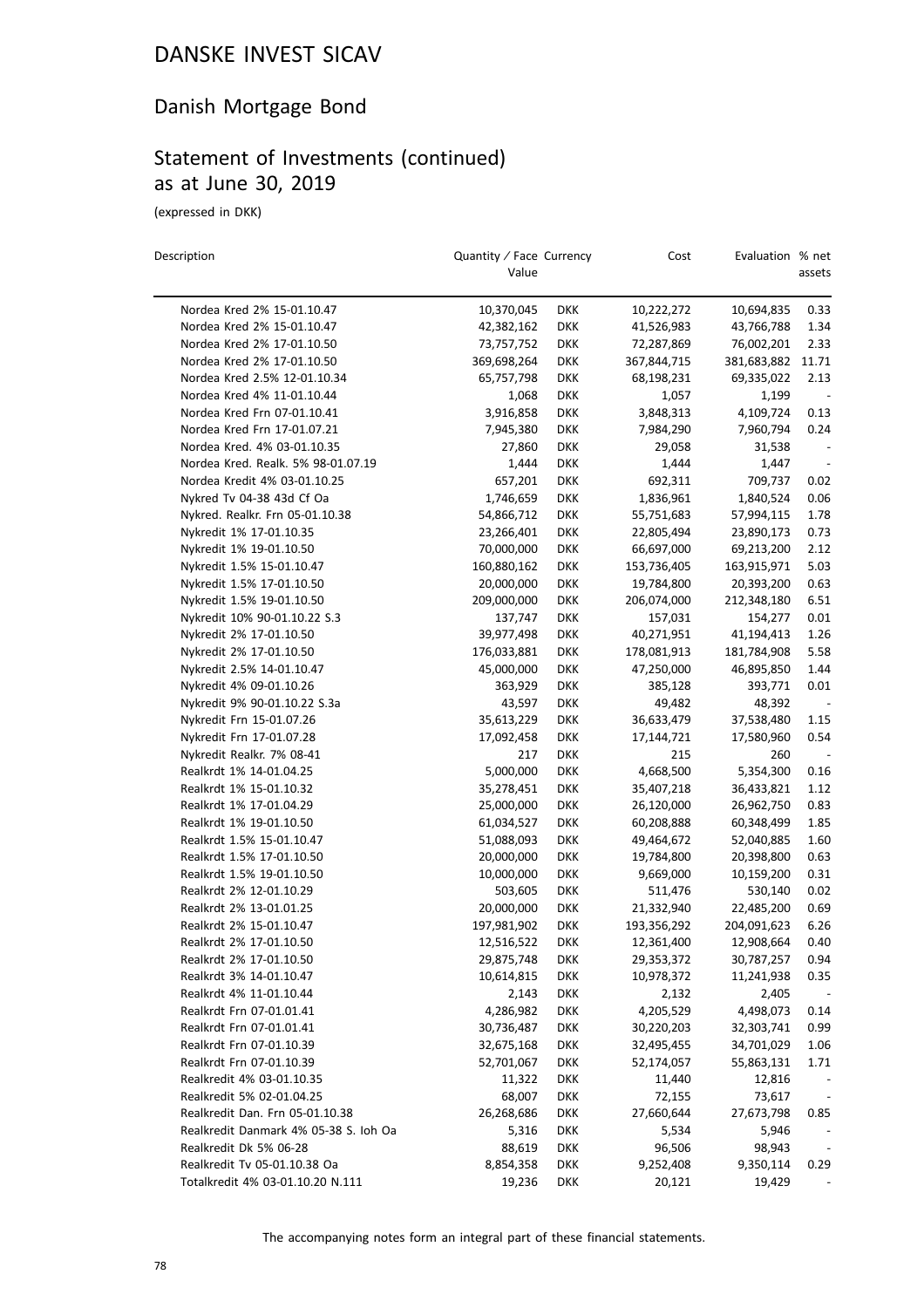#### Danish Mortgage Bond

#### Statement of Investments (continued) as at June 30, 2019

(expressed in DKK)

| Description                           | Quantity / Face Currency<br>Value |            | Cost        | Evaluation % net | assets                       |
|---------------------------------------|-----------------------------------|------------|-------------|------------------|------------------------------|
|                                       |                                   |            |             |                  |                              |
| Nordea Kred 2% 15-01.10.47            | 10,370,045                        | <b>DKK</b> | 10,222,272  | 10,694,835       | 0.33                         |
| Nordea Kred 2% 15-01.10.47            | 42,382,162                        | <b>DKK</b> | 41,526,983  | 43,766,788       | 1.34                         |
| Nordea Kred 2% 17-01.10.50            | 73,757,752                        | <b>DKK</b> | 72,287,869  | 76,002,201       | 2.33                         |
| Nordea Kred 2% 17-01.10.50            | 369,698,264                       | <b>DKK</b> | 367,844,715 | 381,683,882      | 11.71                        |
| Nordea Kred 2.5% 12-01.10.34          | 65,757,798                        | <b>DKK</b> | 68,198,231  | 69,335,022       | 2.13                         |
| Nordea Kred 4% 11-01.10.44            | 1,068                             | <b>DKK</b> | 1,057       | 1,199            |                              |
| Nordea Kred Frn 07-01.10.41           | 3,916,858                         | <b>DKK</b> | 3,848,313   | 4,109,724        | 0.13                         |
| Nordea Kred Frn 17-01.07.21           | 7,945,380                         | <b>DKK</b> | 7,984,290   | 7,960,794        | 0.24                         |
| Nordea Kred. 4% 03-01.10.35           | 27,860                            | <b>DKK</b> | 29,058      | 31,538           |                              |
| Nordea Kred. Realk. 5% 98-01.07.19    | 1,444                             | <b>DKK</b> | 1,444       | 1,447            |                              |
| Nordea Kredit 4% 03-01.10.25          | 657,201                           | <b>DKK</b> | 692,311     | 709,737          | 0.02                         |
| Nykred Tv 04-38 43d Cf Oa             | 1,746,659                         | <b>DKK</b> | 1,836,961   | 1,840,524        | 0.06                         |
| Nykred. Realkr. Frn 05-01.10.38       | 54,866,712                        | <b>DKK</b> | 55,751,683  | 57,994,115       | 1.78                         |
| Nykredit 1% 17-01.10.35               | 23,266,401                        | <b>DKK</b> | 22,805,494  | 23,890,173       | 0.73                         |
| Nykredit 1% 19-01.10.50               | 70,000,000                        | <b>DKK</b> | 66,697,000  | 69,213,200       | 2.12                         |
| Nykredit 1.5% 15-01.10.47             | 160,880,162                       | <b>DKK</b> | 153,736,405 | 163,915,971      | 5.03                         |
| Nykredit 1.5% 17-01.10.50             | 20,000,000                        | <b>DKK</b> | 19,784,800  | 20,393,200       | 0.63                         |
| Nykredit 1.5% 19-01.10.50             | 209,000,000                       | <b>DKK</b> | 206,074,000 | 212,348,180      | 6.51                         |
| Nykredit 10% 90-01.10.22 S.3          | 137,747                           | <b>DKK</b> | 157,031     | 154,277          | 0.01                         |
| Nykredit 2% 17-01.10.50               | 39,977,498                        | <b>DKK</b> | 40,271,951  | 41,194,413       | 1.26                         |
| Nykredit 2% 17-01.10.50               | 176,033,881                       | DKK        | 178,081,913 | 181,784,908      | 5.58                         |
| Nykredit 2.5% 14-01.10.47             | 45,000,000                        | <b>DKK</b> | 47,250,000  | 46,895,850       | 1.44                         |
| Nykredit 4% 09-01.10.26               | 363,929                           | <b>DKK</b> | 385,128     | 393,771          | 0.01                         |
| Nykredit 9% 90-01.10.22 S.3a          | 43,597                            | <b>DKK</b> | 49,482      | 48,392           |                              |
| Nykredit Frn 15-01.07.26              | 35,613,229                        | <b>DKK</b> | 36,633,479  | 37,538,480       | 1.15                         |
| Nykredit Frn 17-01.07.28              | 17,092,458                        | <b>DKK</b> | 17,144,721  | 17,580,960       | 0.54                         |
| Nykredit Realkr. 7% 08-41             | 217                               | <b>DKK</b> | 215         | 260              |                              |
| Realkrdt 1% 14-01.04.25               | 5,000,000                         | <b>DKK</b> | 4,668,500   | 5,354,300        | 0.16                         |
| Realkrdt 1% 15-01.10.32               | 35,278,451                        | <b>DKK</b> | 35,407,218  | 36,433,821       | 1.12                         |
| Realkrdt 1% 17-01.04.29               | 25,000,000                        | <b>DKK</b> | 26,120,000  | 26,962,750       | 0.83                         |
| Realkrdt 1% 19-01.10.50               | 61,034,527                        | <b>DKK</b> | 60,208,888  | 60,348,499       | 1.85                         |
| Realkrdt 1.5% 15-01.10.47             | 51,088,093                        | <b>DKK</b> | 49,464,672  | 52,040,885       | 1.60                         |
| Realkrdt 1.5% 17-01.10.50             | 20,000,000                        | DKK        | 19,784,800  | 20,398,800       | 0.63                         |
| Realkrdt 1.5% 19-01.10.50             | 10,000,000                        | <b>DKK</b> | 9,669,000   | 10,159,200       | 0.31                         |
| Realkrdt 2% 12-01.10.29               | 503,605                           | <b>DKK</b> | 511,476     | 530,140          | 0.02                         |
| Realkrdt 2% 13-01.01.25               | 20,000,000                        | <b>DKK</b> | 21,332,940  | 22,485,200       | 0.69                         |
| Realkrdt 2% 15-01.10.47               | 197,981,902                       | <b>DKK</b> | 193,356,292 | 204,091,623      | 6.26                         |
| Realkrdt 2% 17-01.10.50               | 12.516.522                        | DKK        | 12,361,400  | 12,908,664       | 0.40                         |
| Realkrdt 2% 17-01.10.50               | 29,875,748                        | DKK        | 29,353,372  | 30,787,257       | 0.94                         |
| Realkrdt 3% 14-01.10.47               | 10,614,815                        | <b>DKK</b> | 10,978,372  | 11,241,938       | 0.35                         |
| Realkrdt 4% 11-01.10.44               | 2,143                             | <b>DKK</b> | 2,132       | 2,405            |                              |
| Realkrdt Frn 07-01.01.41              | 4,286,982                         | <b>DKK</b> | 4,205,529   | 4,498,073        | 0.14                         |
| Realkrdt Frn 07-01.01.41              | 30,736,487                        | DKK        | 30,220,203  | 32,303,741       | 0.99                         |
| Realkrdt Frn 07-01.10.39              | 32,675,168                        | <b>DKK</b> | 32,495,455  | 34,701,029       | 1.06                         |
| Realkrdt Frn 07-01.10.39              | 52,701,067                        | DKK        | 52,174,057  | 55,863,131       | 1.71                         |
| Realkredit 4% 03-01.10.35             | 11,322                            | DKK        | 11,440      | 12,816           |                              |
| Realkredit 5% 02-01.04.25             | 68,007                            | <b>DKK</b> | 72,155      | 73,617           |                              |
| Realkredit Dan. Frn 05-01.10.38       | 26,268,686                        | DKK        | 27,660,644  | 27,673,798       | 0.85                         |
| Realkredit Danmark 4% 05-38 S. Ioh Oa | 5,316                             | <b>DKK</b> | 5,534       | 5,946            |                              |
| Realkredit Dk 5% 06-28                | 88,619                            | <b>DKK</b> | 96,506      | 98,943           | $\qquad \qquad \blacksquare$ |
| Realkredit Tv 05-01.10.38 Oa          | 8,854,358                         | DKK        | 9,252,408   | 9,350,114        | 0.29                         |
| Totalkredit 4% 03-01.10.20 N.111      | 19,236                            | DKK        | 20,121      | 19,429           |                              |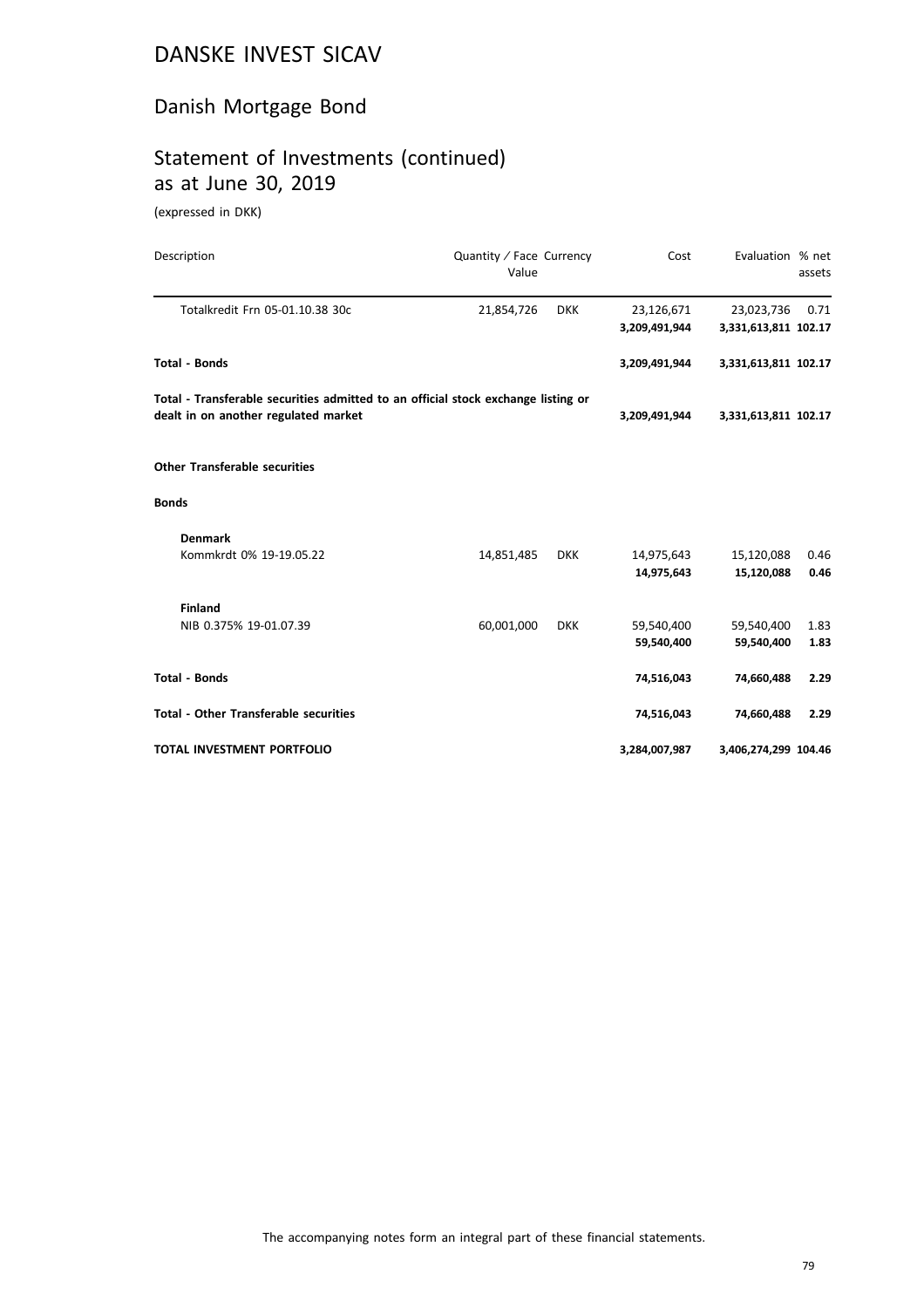#### Danish Mortgage Bond

#### Statement of Investments (continued) as at June 30, 2019

(expressed in DKK)

| Description                                                                                                               | Quantity / Face Currency<br>Value |            | Cost          | Evaluation % net     | assets |
|---------------------------------------------------------------------------------------------------------------------------|-----------------------------------|------------|---------------|----------------------|--------|
| Totalkredit Frn 05-01.10.38 30c                                                                                           | 21,854,726                        | <b>DKK</b> | 23,126,671    | 23,023,736           | 0.71   |
|                                                                                                                           |                                   |            | 3,209,491,944 | 3,331,613,811 102.17 |        |
| <b>Total - Bonds</b>                                                                                                      |                                   |            | 3,209,491,944 | 3,331,613,811 102.17 |        |
| Total - Transferable securities admitted to an official stock exchange listing or<br>dealt in on another regulated market |                                   |            | 3,209,491,944 | 3,331,613,811 102.17 |        |
| <b>Other Transferable securities</b>                                                                                      |                                   |            |               |                      |        |
| <b>Bonds</b>                                                                                                              |                                   |            |               |                      |        |
| <b>Denmark</b>                                                                                                            |                                   |            |               |                      |        |
| Kommkrdt 0% 19-19.05.22                                                                                                   | 14,851,485                        | <b>DKK</b> | 14,975,643    | 15,120,088           | 0.46   |
|                                                                                                                           |                                   |            | 14,975,643    | 15,120,088           | 0.46   |
| <b>Finland</b>                                                                                                            |                                   |            |               |                      |        |
| NIB 0.375% 19-01.07.39                                                                                                    | 60,001,000                        | <b>DKK</b> | 59,540,400    | 59,540,400           | 1.83   |
|                                                                                                                           |                                   |            | 59,540,400    | 59,540,400           | 1.83   |
| <b>Total - Bonds</b>                                                                                                      |                                   |            | 74,516,043    | 74,660,488           | 2.29   |
| <b>Total - Other Transferable securities</b>                                                                              |                                   |            | 74,516,043    | 74,660,488           | 2.29   |
| <b>TOTAL INVESTMENT PORTFOLIO</b>                                                                                         |                                   |            | 3,284,007,987 | 3,406,274,299 104.46 |        |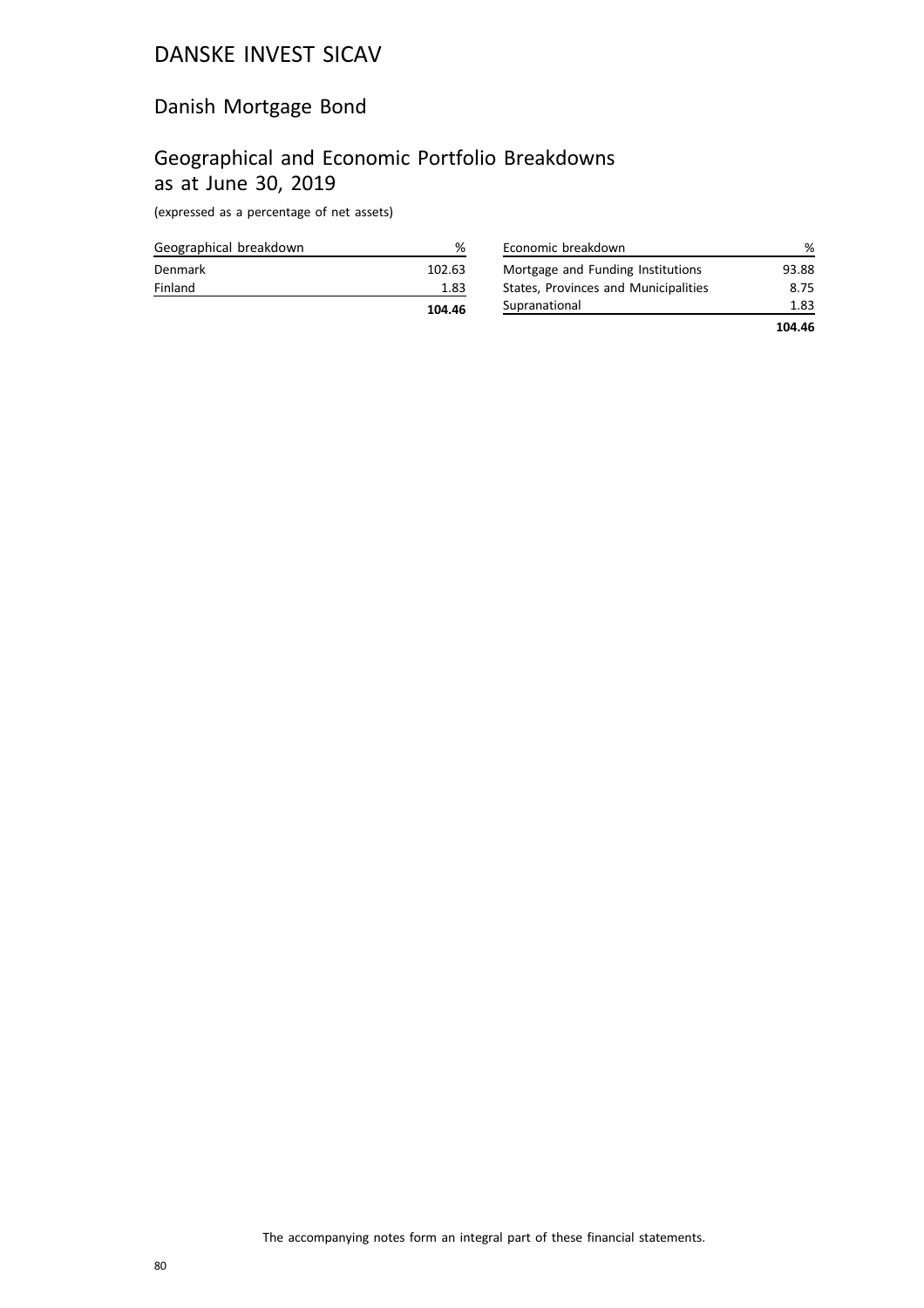#### Danish Mortgage Bond

#### Geographical and Economic Portfolio Breakdowns as at June 30, 2019

(expressed as a percentage of net assets)

|                        | 104.46 |
|------------------------|--------|
| Finland                | 1.83   |
| Denmark                | 102.63 |
| Geographical breakdown | %      |

| Economic breakdown                   | ℅      |
|--------------------------------------|--------|
| Mortgage and Funding Institutions    | 93.88  |
| States, Provinces and Municipalities | 8.75   |
| Supranational                        | 1.83   |
|                                      | 104.46 |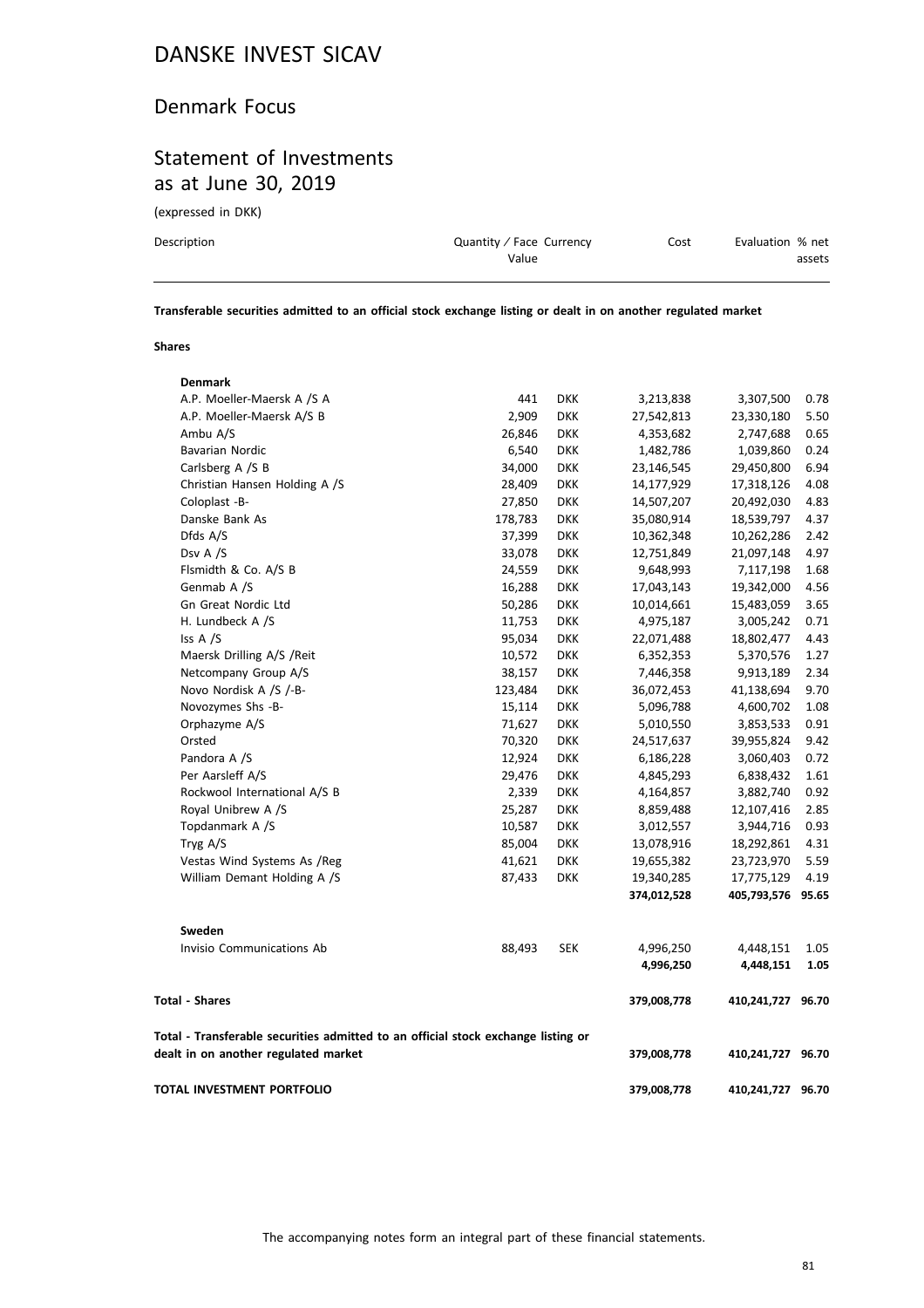#### Denmark Focus

#### Statement of Investments as at June 30, 2019

(expressed in DKK)

| Description | Quantity / Face Currency | Cost | Evaluation % net |
|-------------|--------------------------|------|------------------|
|             | Value                    |      | assets           |
|             |                          |      |                  |

**Transferable securities admitted to an official stock exchange listing or dealt in on another regulated market**

#### **Shares**

| TOTAL INVESTMENT PORTFOLIO                                                                                                |                  |                   | 379,008,778             | 410,241,727 96.70       |              |
|---------------------------------------------------------------------------------------------------------------------------|------------------|-------------------|-------------------------|-------------------------|--------------|
| Total - Transferable securities admitted to an official stock exchange listing or<br>dealt in on another regulated market |                  |                   | 379,008,778             | 410,241,727 96.70       |              |
| <b>Total - Shares</b>                                                                                                     |                  |                   | 379,008,778             | 410,241,727 96.70       |              |
|                                                                                                                           | 88,493           | <b>SEK</b>        | 4,996,250<br>4,996,250  | 4,448,151<br>4,448,151  | 1.05<br>1.05 |
| Invisio Communications Ab                                                                                                 |                  |                   |                         |                         |              |
| Sweden                                                                                                                    |                  |                   |                         |                         |              |
|                                                                                                                           |                  |                   | 374,012,528             | 405,793,576             | 95.65        |
| William Demant Holding A /S                                                                                               | 87,433           | <b>DKK</b>        | 19,340,285              | 17,775,129              | 4.19         |
| Vestas Wind Systems As /Reg                                                                                               | 41,621           | <b>DKK</b>        | 19,655,382              | 23,723,970              | 5.59         |
| Tryg A/S                                                                                                                  | 85,004           | <b>DKK</b>        | 13,078,916              | 18,292,861              | 4.31         |
| Topdanmark A /S                                                                                                           | 10,587           | <b>DKK</b>        | 3,012,557               | 3,944,716               | 0.93         |
| Royal Unibrew A /S                                                                                                        | 25,287           | <b>DKK</b>        | 8,859,488               | 12,107,416              | 2.85         |
| Rockwool International A/S B                                                                                              | 2,339            | <b>DKK</b>        | 4,164,857               | 3,882,740               | 0.92         |
| Per Aarsleff A/S                                                                                                          | 29,476           | DKK               | 4,845,293               | 6,838,432               | 1.61         |
| Pandora A /S                                                                                                              | 12,924           | <b>DKK</b>        | 6,186,228               | 3,060,403               | 0.72         |
| Orsted                                                                                                                    | 70,320           | DKK               | 24,517,637              | 39,955,824              | 9.42         |
| Orphazyme A/S                                                                                                             | 71,627           | DKK               | 5,010,550               | 3,853,533               | 0.91         |
| Novozymes Shs -B-                                                                                                         | 15,114           | <b>DKK</b>        | 5,096,788               | 4,600,702               | 1.08         |
| Novo Nordisk A /S /-B-                                                                                                    | 123,484          | <b>DKK</b>        | 36,072,453              | 41,138,694              | 9.70         |
| Netcompany Group A/S                                                                                                      | 38,157           | DKK               | 7,446,358               | 9,913,189               | 2.34         |
| Maersk Drilling A/S / Reit                                                                                                | 10,572           | DKK               | 6,352,353               | 5,370,576               | 1.27         |
| Iss A /S                                                                                                                  | 95,034           | <b>DKK</b>        | 22,071,488              | 18,802,477              | 4.43         |
| H. Lundbeck A /S                                                                                                          | 11,753           | <b>DKK</b>        | 10,014,661<br>4,975,187 | 15,483,059<br>3,005,242 | 0.71         |
| Genmab A /S<br>Gn Great Nordic Ltd                                                                                        | 16,288<br>50,286 | <b>DKK</b>        | 17,043,143              | 19,342,000              | 4.56<br>3.65 |
| Flsmidth & Co. A/S B                                                                                                      | 24,559           | <b>DKK</b>        | 9,648,993               | 7,117,198               | 1.68         |
| Dsv A /S                                                                                                                  | 33,078           | DKK<br><b>DKK</b> | 12,751,849              | 21,097,148              | 4.97         |
| Dfds A/S                                                                                                                  | 37,399           | <b>DKK</b>        | 10,362,348              | 10,262,286              | 2.42         |
| Danske Bank As                                                                                                            | 178,783          | DKK               | 35,080,914              | 18,539,797              | 4.37         |
| Coloplast -B-                                                                                                             | 27,850           | DKK               | 14,507,207              | 20,492,030              | 4.83         |
| Christian Hansen Holding A /S                                                                                             | 28,409           | DKK               | 14,177,929              | 17,318,126              | 4.08         |
| Carlsberg A /S B                                                                                                          | 34,000           | DKK               | 23,146,545              | 29,450,800              | 6.94         |
| <b>Bavarian Nordic</b>                                                                                                    | 6,540            | DKK               | 1,482,786               | 1,039,860               | 0.24         |
| Ambu A/S                                                                                                                  | 26,846           | DKK               | 4,353,682               | 2,747,688               | 0.65         |
| A.P. Moeller-Maersk A/S B                                                                                                 | 2,909            | <b>DKK</b>        | 27,542,813              | 23,330,180              | 5.50         |
| A.P. Moeller-Maersk A /S A                                                                                                | 441              | <b>DKK</b>        | 3,213,838               | 3,307,500               | 0.78         |
| <b>Denmark</b>                                                                                                            |                  |                   |                         |                         |              |
|                                                                                                                           |                  |                   |                         |                         |              |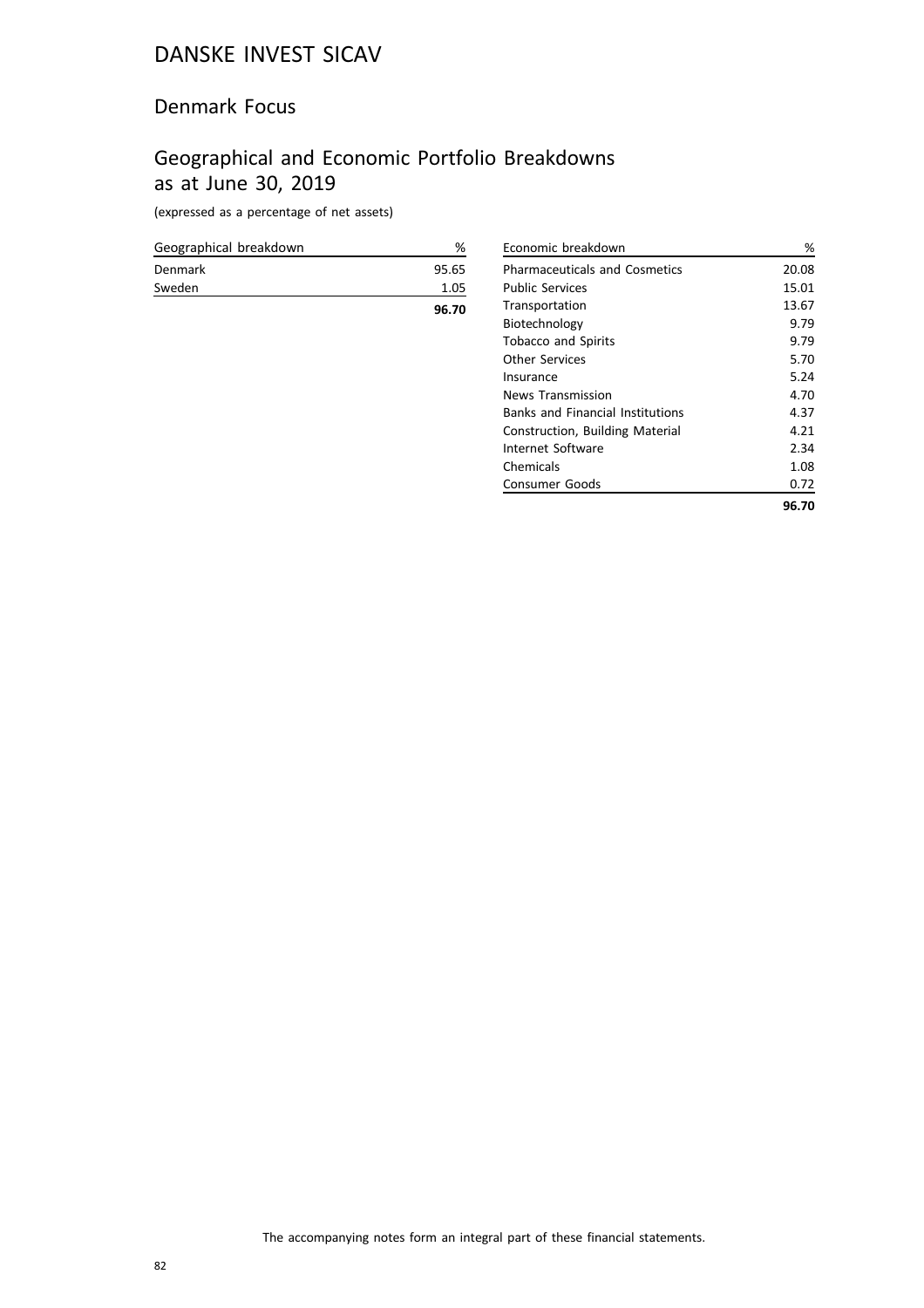#### Denmark Focus

## Geographical and Economic Portfolio Breakdowns as at June 30, 2019

(expressed as a percentage of net assets)

| Denmark | 95.65 |
|---------|-------|
| Sweden  | 1.05  |
|         | 96.70 |

| Economic breakdown                      | %     |
|-----------------------------------------|-------|
| <b>Pharmaceuticals and Cosmetics</b>    | 20.08 |
| <b>Public Services</b>                  | 15.01 |
| Transportation                          | 13.67 |
| Biotechnology                           | 9.79  |
| <b>Tobacco and Spirits</b>              | 9.79  |
| <b>Other Services</b>                   | 5.70  |
| Insurance                               | 5.24  |
| <b>News Transmission</b>                | 4.70  |
| <b>Banks and Financial Institutions</b> | 4.37  |
| Construction, Building Material         | 4.21  |
| Internet Software                       | 2.34  |
| Chemicals                               | 1.08  |
| Consumer Goods                          | 0.72  |
|                                         | 96.70 |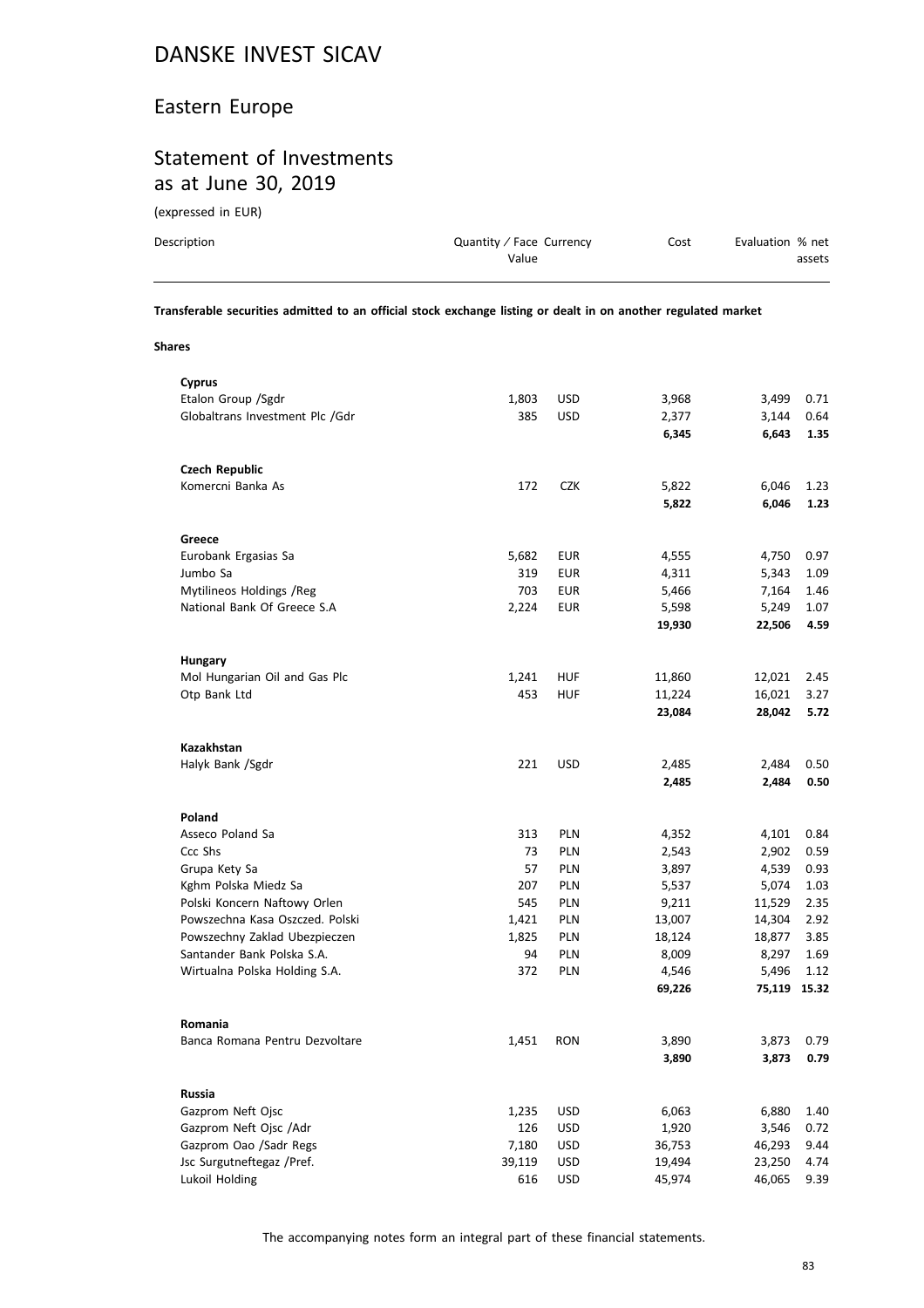#### Eastern Europe

#### Statement of Investments as at June 30, 2019

(expressed in EUR)

| Description | Quantity / Face Currency | Cost | Evaluation % net |
|-------------|--------------------------|------|------------------|
|             | Value                    |      | assets           |
|             |                          |      |                  |

**Transferable securities admitted to an official stock exchange listing or dealt in on another regulated market**

**Shares**

| Cyprus                          |        |            |        |              |      |
|---------------------------------|--------|------------|--------|--------------|------|
| Etalon Group / Sgdr             | 1,803  | <b>USD</b> | 3,968  | 3,499        | 0.71 |
| Globaltrans Investment Plc /Gdr | 385    | <b>USD</b> | 2,377  | 3,144        | 0.64 |
|                                 |        |            | 6,345  | 6,643        | 1.35 |
| <b>Czech Republic</b>           |        |            |        |              |      |
| Komercni Banka As               | 172    | <b>CZK</b> | 5,822  | 6,046        | 1.23 |
|                                 |        |            | 5,822  | 6,046        | 1.23 |
| Greece                          |        |            |        |              |      |
| Eurobank Ergasias Sa            | 5,682  | EUR        | 4,555  | 4,750        | 0.97 |
| Jumbo Sa                        | 319    | <b>EUR</b> | 4,311  | 5,343        | 1.09 |
| Mytilineos Holdings / Reg       | 703    | <b>EUR</b> | 5,466  | 7,164        | 1.46 |
| National Bank Of Greece S.A     | 2,224  | EUR        | 5,598  | 5,249        | 1.07 |
|                                 |        |            | 19,930 | 22,506       | 4.59 |
| <b>Hungary</b>                  |        |            |        |              |      |
| Mol Hungarian Oil and Gas Plc   | 1,241  | <b>HUF</b> | 11,860 | 12,021       | 2.45 |
| Otp Bank Ltd                    | 453    | <b>HUF</b> | 11,224 | 16,021       | 3.27 |
|                                 |        |            | 23,084 | 28,042       | 5.72 |
| Kazakhstan                      |        |            |        |              |      |
| Halyk Bank /Sgdr                | 221    | <b>USD</b> | 2,485  | 2,484        | 0.50 |
|                                 |        |            | 2,485  | 2,484        | 0.50 |
| Poland                          |        |            |        |              |      |
| Asseco Poland Sa                | 313    | PLN        | 4,352  | 4,101        | 0.84 |
| Ccc Shs                         | 73     | PLN        | 2,543  | 2,902        | 0.59 |
| Grupa Kety Sa                   | 57     | PLN        | 3,897  | 4,539        | 0.93 |
| Kghm Polska Miedz Sa            | 207    | PLN        | 5,537  | 5,074        | 1.03 |
| Polski Koncern Naftowy Orlen    | 545    | PLN        | 9,211  | 11,529       | 2.35 |
| Powszechna Kasa Oszczed. Polski | 1,421  | PLN        | 13,007 | 14,304       | 2.92 |
| Powszechny Zaklad Ubezpieczen   | 1,825  | PLN        | 18,124 | 18,877       | 3.85 |
| Santander Bank Polska S.A.      | 94     | PLN        | 8,009  | 8,297        | 1.69 |
| Wirtualna Polska Holding S.A.   | 372    | PLN        | 4,546  | 5,496        | 1.12 |
|                                 |        |            | 69,226 | 75,119 15.32 |      |
| Romania                         |        |            |        |              |      |
| Banca Romana Pentru Dezvoltare  | 1,451  | <b>RON</b> | 3,890  | 3,873        | 0.79 |
|                                 |        |            | 3,890  | 3,873        | 0.79 |
| Russia                          |        |            |        |              |      |
| Gazprom Neft Ojsc               | 1,235  | USD        | 6,063  | 6,880        | 1.40 |
| Gazprom Neft Ojsc /Adr          | 126    | USD        | 1,920  | 3,546        | 0.72 |
| Gazprom Oao /Sadr Regs          | 7,180  | USD        | 36,753 | 46,293       | 9.44 |
| Jsc Surgutneftegaz /Pref.       | 39,119 | <b>USD</b> | 19,494 | 23,250       | 4.74 |
| Lukoil Holding                  | 616    | USD        | 45,974 | 46,065       | 9.39 |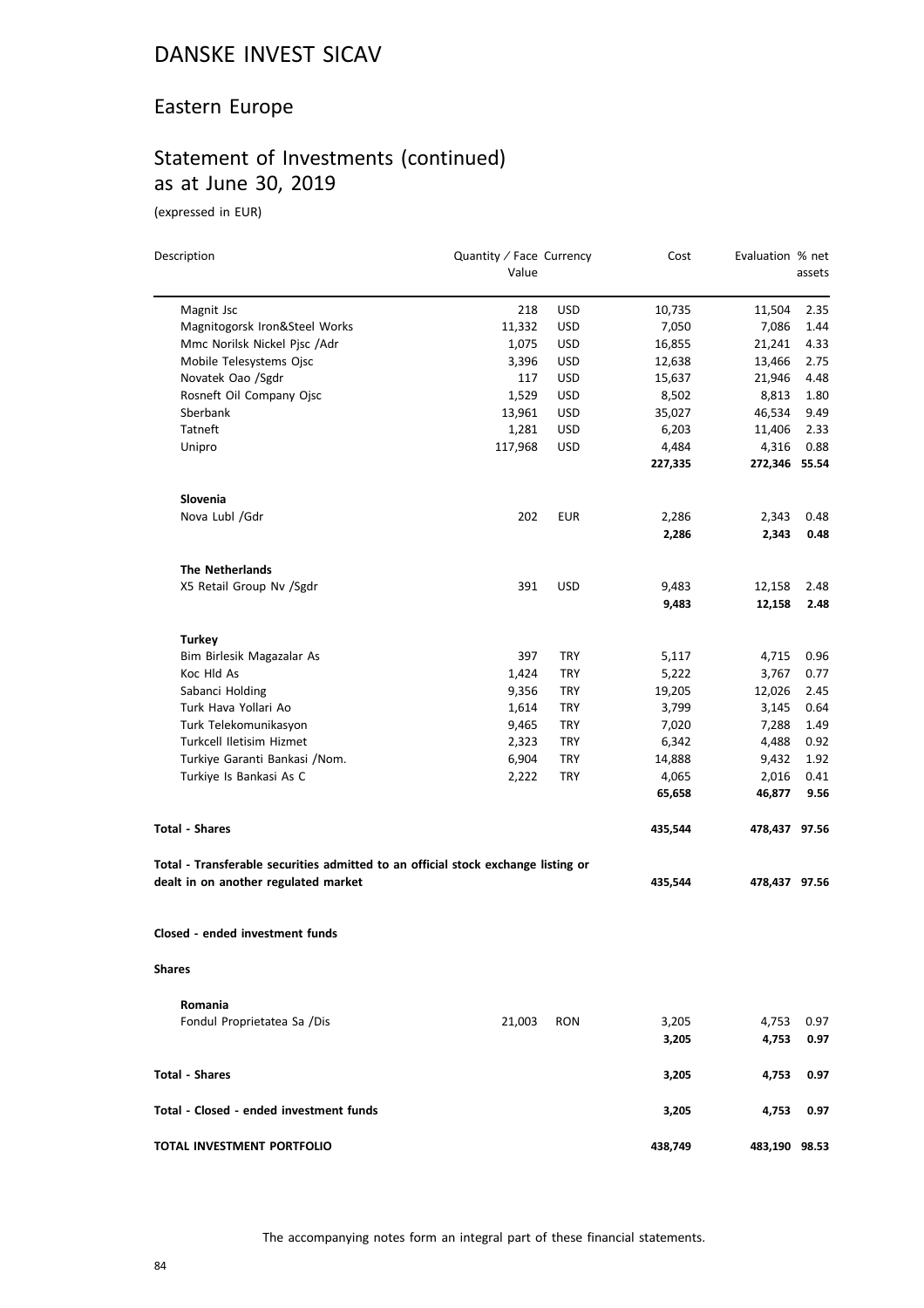#### Eastern Europe

## Statement of Investments (continued) as at June 30, 2019

| Description                                                                       | Quantity / Face Currency |            | Cost    | Evaluation % net |        |
|-----------------------------------------------------------------------------------|--------------------------|------------|---------|------------------|--------|
|                                                                                   | Value                    |            |         |                  | assets |
| Magnit Jsc                                                                        | 218                      | <b>USD</b> | 10,735  | 11,504           | 2.35   |
| Magnitogorsk Iron&Steel Works                                                     | 11,332                   | <b>USD</b> | 7,050   | 7,086            | 1.44   |
| Mmc Norilsk Nickel Pjsc /Adr                                                      | 1,075                    | <b>USD</b> | 16,855  | 21,241           | 4.33   |
| Mobile Telesystems Ojsc                                                           | 3,396                    | <b>USD</b> | 12,638  | 13,466           | 2.75   |
| Novatek Oao /Sgdr                                                                 | 117                      | <b>USD</b> | 15,637  | 21,946           | 4.48   |
| Rosneft Oil Company Ojsc                                                          | 1,529                    | <b>USD</b> | 8,502   | 8,813            | 1.80   |
| Sberbank                                                                          | 13,961                   | <b>USD</b> | 35,027  | 46,534           | 9.49   |
| Tatneft                                                                           | 1,281                    | <b>USD</b> | 6,203   | 11,406           | 2.33   |
| Unipro                                                                            | 117,968                  | <b>USD</b> | 4,484   | 4,316            | 0.88   |
|                                                                                   |                          |            | 227,335 | 272,346 55.54    |        |
| Slovenia                                                                          |                          |            |         |                  |        |
| Nova Lubl /Gdr                                                                    | 202                      | <b>EUR</b> | 2,286   | 2,343            | 0.48   |
|                                                                                   |                          |            | 2,286   | 2,343            | 0.48   |
| <b>The Netherlands</b>                                                            |                          |            |         |                  |        |
| X5 Retail Group Nv /Sgdr                                                          | 391                      | <b>USD</b> | 9,483   | 12,158           | 2.48   |
|                                                                                   |                          |            | 9,483   | 12,158           | 2.48   |
| <b>Turkey</b>                                                                     |                          |            |         |                  |        |
| Bim Birlesik Magazalar As                                                         | 397                      | TRY        | 5,117   | 4,715            | 0.96   |
| Koc Hld As                                                                        | 1,424                    | TRY        | 5,222   | 3,767            | 0.77   |
| Sabanci Holding                                                                   | 9,356                    | TRY        | 19,205  | 12,026           | 2.45   |
| Turk Hava Yollari Ao                                                              | 1,614                    | TRY        | 3,799   | 3,145            | 0.64   |
| Turk Telekomunikasyon                                                             | 9,465                    | <b>TRY</b> | 7,020   | 7,288            | 1.49   |
| Turkcell Iletisim Hizmet                                                          | 2,323                    | TRY        | 6,342   | 4,488            | 0.92   |
| Turkiye Garanti Bankasi / Nom.                                                    | 6,904                    | TRY        | 14,888  | 9,432            | 1.92   |
| Turkiye Is Bankasi As C                                                           | 2,222                    | <b>TRY</b> | 4,065   | 2,016            | 0.41   |
|                                                                                   |                          |            | 65,658  | 46,877           | 9.56   |
| <b>Total - Shares</b>                                                             |                          |            | 435,544 | 478,437 97.56    |        |
| Total - Transferable securities admitted to an official stock exchange listing or |                          |            |         |                  |        |
| dealt in on another regulated market                                              |                          |            | 435,544 | 478,437 97.56    |        |
| Closed - ended investment funds                                                   |                          |            |         |                  |        |
| <b>Shares</b>                                                                     |                          |            |         |                  |        |
| Romania                                                                           |                          |            |         |                  |        |
| Fondul Proprietatea Sa /Dis                                                       | 21,003                   | <b>RON</b> | 3,205   | 4,753            | 0.97   |
|                                                                                   |                          |            | 3,205   | 4,753            | 0.97   |
| <b>Total - Shares</b>                                                             |                          |            | 3,205   | 4,753            | 0.97   |
| Total - Closed - ended investment funds                                           |                          |            | 3,205   | 4,753            | 0.97   |
| TOTAL INVESTMENT PORTFOLIO                                                        |                          |            | 438,749 | 483,190 98.53    |        |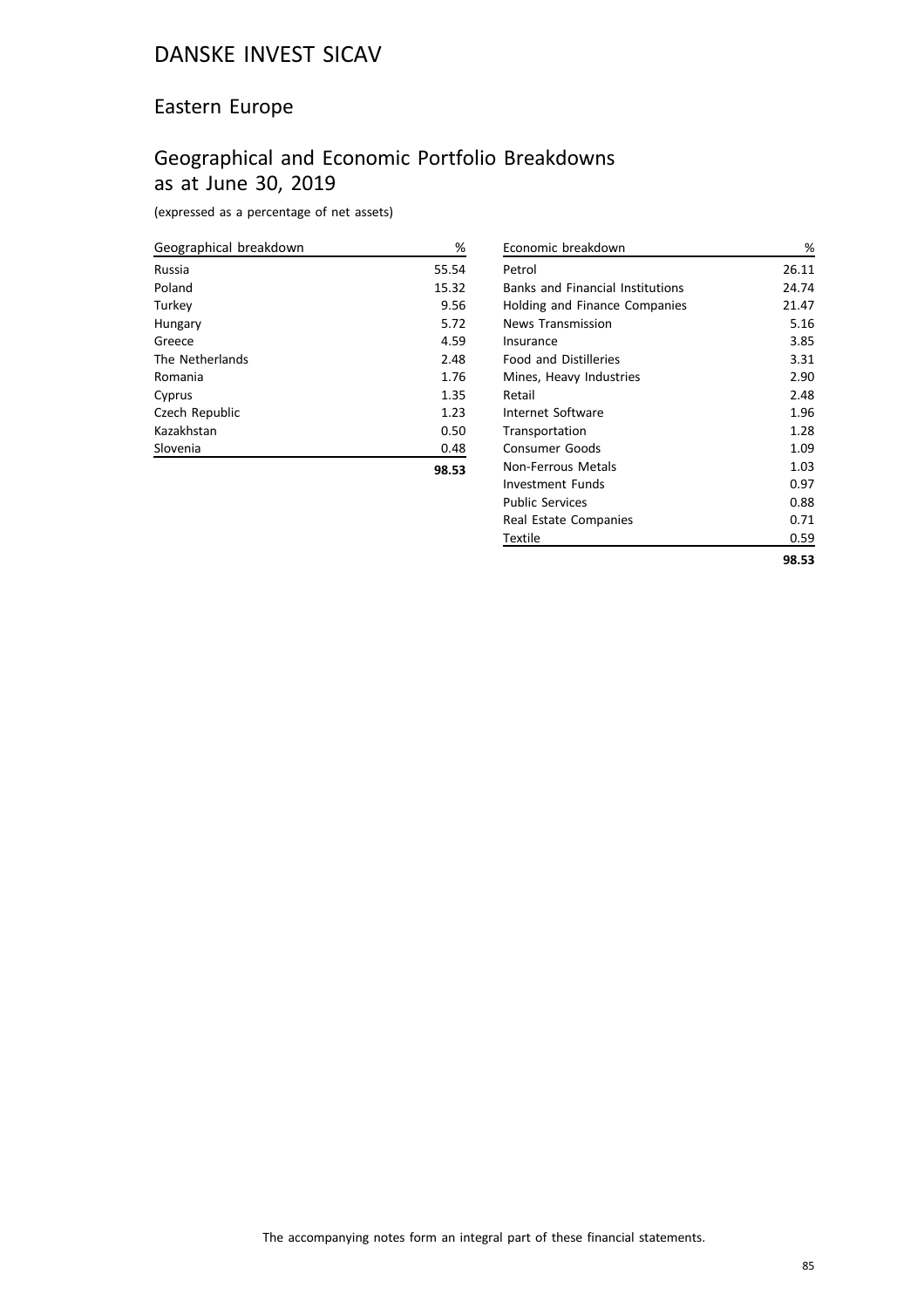#### Eastern Europe

## Geographical and Economic Portfolio Breakdowns as at June 30, 2019

(expressed as a percentage of net assets)

| Geographical breakdown | %     |
|------------------------|-------|
| Russia                 | 55.54 |
| Poland                 | 15.32 |
| Turkey                 | 9.56  |
| Hungary                | 5.72  |
| Greece                 | 4.59  |
| The Netherlands        | 2.48  |
| Romania                | 1.76  |
| Cyprus                 | 1.35  |
| Czech Republic         | 1.23  |
| Kazakhstan             | 0.50  |
| Slovenia               | 0.48  |
|                        | 98.53 |

| Economic breakdown                      | ℅     |
|-----------------------------------------|-------|
| Petrol                                  | 26.11 |
| <b>Banks and Financial Institutions</b> | 24.74 |
| Holding and Finance Companies           | 21.47 |
| <b>News Transmission</b>                | 5.16  |
| Insurance                               | 3.85  |
| <b>Food and Distilleries</b>            | 3.31  |
| Mines, Heavy Industries                 | 2.90  |
| Retail                                  | 2.48  |
| Internet Software                       | 1.96  |
| Transportation                          | 1.28  |
| Consumer Goods                          | 1.09  |
| Non-Ferrous Metals                      | 1.03  |
| Investment Funds                        | 0.97  |
| <b>Public Services</b>                  | 0.88  |
| Real Estate Companies                   | 0.71  |
| Textile                                 | 0.59  |
|                                         | 98.53 |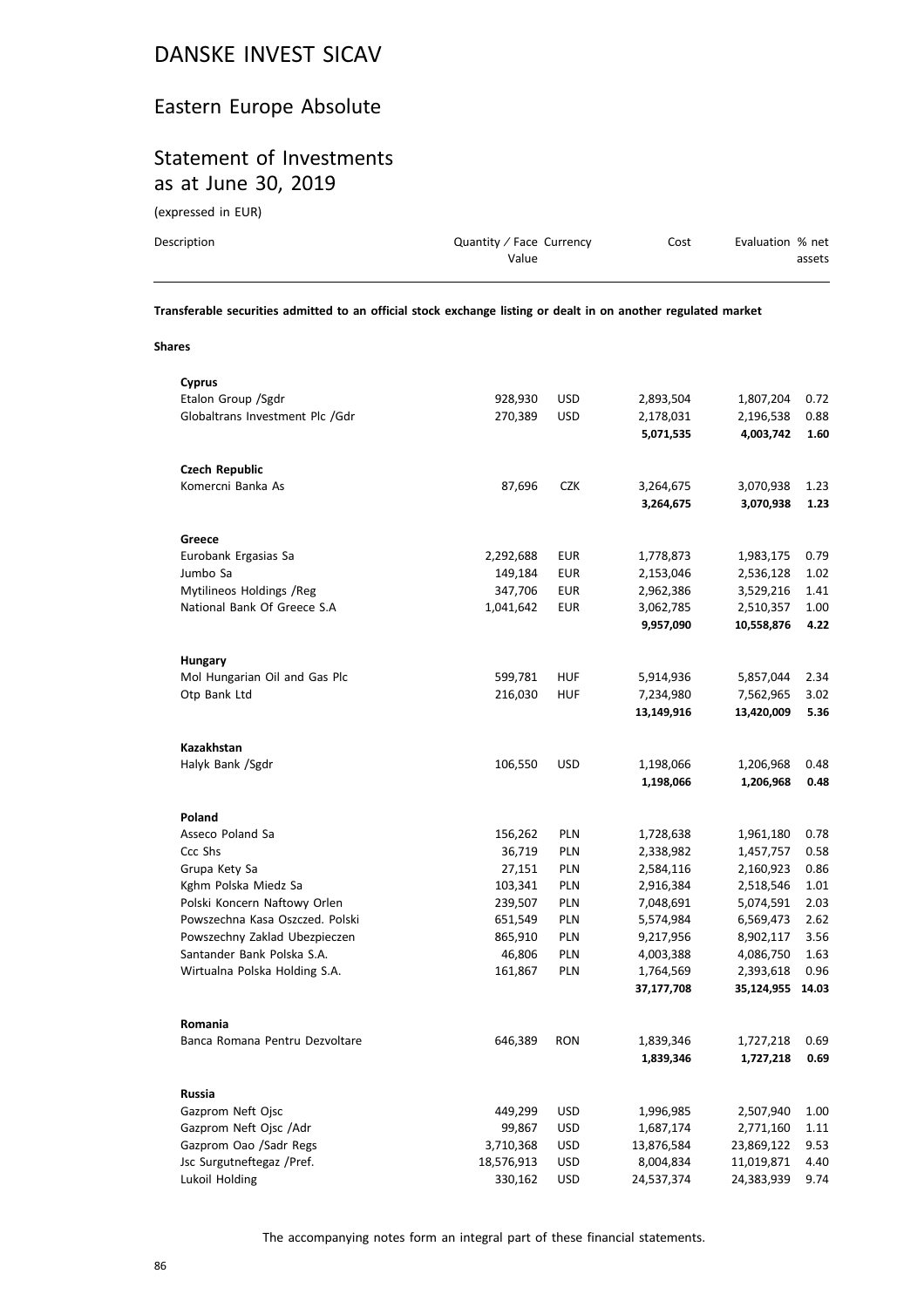#### Eastern Europe Absolute

#### Statement of Investments as at June 30, 2019

(expressed in EUR)

| Description | Quantity / Face Currency | Cost | Evaluation % net |
|-------------|--------------------------|------|------------------|
|             | Value                    |      | assets           |
|             |                          |      |                  |

**Transferable securities admitted to an official stock exchange listing or dealt in on another regulated market**

**Shares**

| <b>Cyprus</b>                             |            |            |            |                  |      |
|-------------------------------------------|------------|------------|------------|------------------|------|
| Etalon Group / Sgdr                       | 928,930    | <b>USD</b> | 2,893,504  | 1,807,204        | 0.72 |
| Globaltrans Investment Plc /Gdr           | 270,389    | <b>USD</b> | 2,178,031  | 2,196,538        | 0.88 |
|                                           |            |            | 5,071,535  | 4,003,742        | 1.60 |
| <b>Czech Republic</b>                     |            |            |            |                  |      |
| Komercni Banka As                         | 87,696     | <b>CZK</b> | 3,264,675  | 3,070,938        | 1.23 |
|                                           |            |            | 3,264,675  | 3,070,938        | 1.23 |
| Greece                                    |            |            |            |                  |      |
| Eurobank Ergasias Sa                      | 2,292,688  | <b>EUR</b> | 1,778,873  | 1,983,175        | 0.79 |
| Jumbo Sa                                  | 149,184    | <b>EUR</b> | 2,153,046  | 2,536,128        | 1.02 |
| Mytilineos Holdings / Reg                 | 347,706    | <b>EUR</b> | 2,962,386  | 3,529,216        | 1.41 |
| National Bank Of Greece S.A               | 1,041,642  | <b>EUR</b> | 3,062,785  | 2,510,357        | 1.00 |
|                                           |            |            | 9,957,090  | 10,558,876       | 4.22 |
| <b>Hungary</b>                            |            |            |            |                  |      |
| Mol Hungarian Oil and Gas Plc             | 599,781    | <b>HUF</b> | 5,914,936  | 5,857,044        | 2.34 |
| Otp Bank Ltd                              | 216,030    | <b>HUF</b> | 7,234,980  | 7,562,965        | 3.02 |
|                                           |            |            | 13,149,916 | 13,420,009       | 5.36 |
|                                           |            |            |            |                  |      |
| <b>Kazakhstan</b>                         |            |            |            |                  |      |
| Halyk Bank /Sgdr                          | 106,550    | <b>USD</b> | 1,198,066  | 1,206,968        | 0.48 |
|                                           |            |            | 1,198,066  | 1,206,968        | 0.48 |
| Poland                                    |            |            |            |                  |      |
| Asseco Poland Sa                          | 156,262    | PLN        | 1,728,638  | 1,961,180        | 0.78 |
| Ccc Shs                                   | 36,719     | PLN        | 2,338,982  | 1,457,757        | 0.58 |
| Grupa Kety Sa                             | 27,151     | <b>PLN</b> | 2,584,116  | 2,160,923        | 0.86 |
| Kghm Polska Miedz Sa                      | 103,341    | PLN        | 2,916,384  | 2,518,546        | 1.01 |
| Polski Koncern Naftowy Orlen              | 239,507    | PLN        | 7,048,691  | 5,074,591        | 2.03 |
| Powszechna Kasa Oszczed. Polski           | 651,549    | PLN        | 5,574,984  | 6,569,473        | 2.62 |
| Powszechny Zaklad Ubezpieczen             | 865,910    | PLN        | 9,217,956  | 8,902,117        | 3.56 |
| Santander Bank Polska S.A.                | 46,806     | PLN        | 4,003,388  | 4,086,750        | 1.63 |
| Wirtualna Polska Holding S.A.             | 161,867    | PLN        | 1,764,569  | 2,393,618        | 0.96 |
|                                           |            |            | 37,177,708 | 35,124,955 14.03 |      |
|                                           |            |            |            |                  |      |
| Romania<br>Banca Romana Pentru Dezvoltare | 646,389    | <b>RON</b> |            | 1,727,218        | 0.69 |
|                                           |            |            | 1,839,346  |                  |      |
|                                           |            |            | 1,839,346  | 1,727,218        | 0.69 |
| Russia                                    |            |            |            |                  |      |
| Gazprom Neft Ojsc                         | 449,299    | USD        | 1,996,985  | 2,507,940        | 1.00 |
| Gazprom Neft Ojsc /Adr                    | 99,867     | <b>USD</b> | 1,687,174  | 2,771,160        | 1.11 |
| Gazprom Oao /Sadr Regs                    | 3,710,368  | <b>USD</b> | 13,876,584 | 23,869,122       | 9.53 |
| Jsc Surgutneftegaz /Pref.                 | 18,576,913 | <b>USD</b> | 8,004,834  | 11,019,871       | 4.40 |
| Lukoil Holding                            | 330,162    | <b>USD</b> | 24,537,374 | 24,383,939       | 9.74 |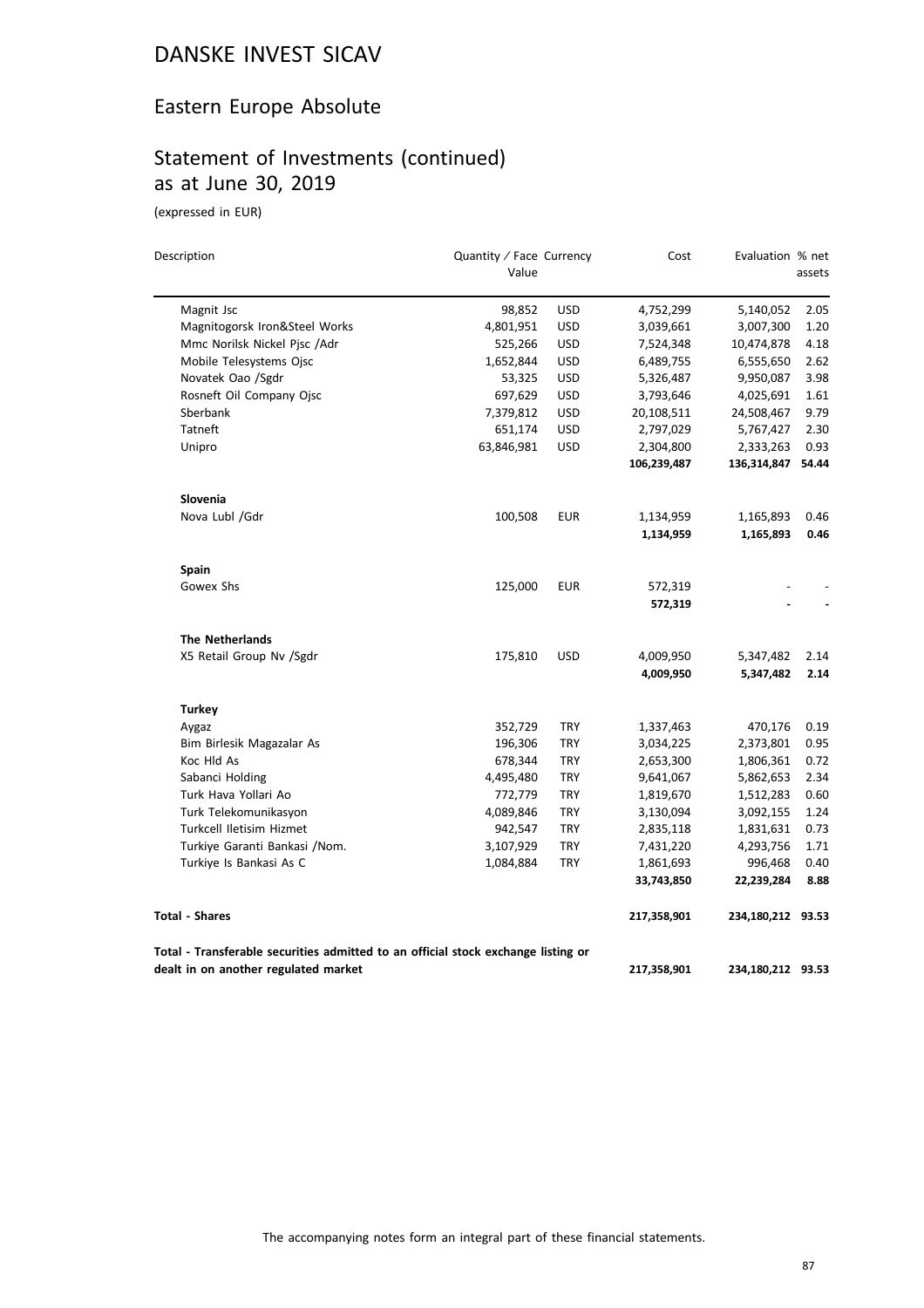#### Eastern Europe Absolute

## Statement of Investments (continued) as at June 30, 2019

| Description                                                                       | Quantity / Face Currency |            | Cost        | Evaluation % net  |        |
|-----------------------------------------------------------------------------------|--------------------------|------------|-------------|-------------------|--------|
|                                                                                   | Value                    |            |             |                   | assets |
| Magnit Jsc                                                                        | 98,852                   | <b>USD</b> | 4,752,299   | 5,140,052         | 2.05   |
| Magnitogorsk Iron&Steel Works                                                     | 4,801,951                | <b>USD</b> | 3,039,661   | 3,007,300         | 1.20   |
| Mmc Norilsk Nickel Pisc /Adr                                                      | 525,266                  | <b>USD</b> | 7,524,348   | 10,474,878        | 4.18   |
| Mobile Telesystems Ojsc                                                           | 1,652,844                | <b>USD</b> | 6,489,755   | 6,555,650         | 2.62   |
| Novatek Oao /Sgdr                                                                 | 53,325                   | <b>USD</b> | 5,326,487   | 9,950,087         | 3.98   |
| Rosneft Oil Company Ojsc                                                          | 697,629                  | <b>USD</b> | 3,793,646   | 4,025,691         | 1.61   |
| Sberbank                                                                          | 7,379,812                | <b>USD</b> | 20,108,511  | 24,508,467        | 9.79   |
| Tatneft                                                                           | 651,174                  | <b>USD</b> | 2,797,029   | 5,767,427         | 2.30   |
| Unipro                                                                            | 63,846,981               | <b>USD</b> | 2,304,800   | 2,333,263         | 0.93   |
|                                                                                   |                          |            | 106,239,487 | 136,314,847       | 54.44  |
| Slovenia                                                                          |                          |            |             |                   |        |
| Nova Lubl /Gdr                                                                    | 100,508                  | EUR        | 1,134,959   | 1,165,893         | 0.46   |
|                                                                                   |                          |            | 1,134,959   | 1,165,893         | 0.46   |
| <b>Spain</b>                                                                      |                          |            |             |                   |        |
| Gowex Shs                                                                         | 125,000                  | <b>EUR</b> | 572,319     |                   |        |
|                                                                                   |                          |            | 572,319     |                   |        |
| <b>The Netherlands</b>                                                            |                          |            |             |                   |        |
| X5 Retail Group Nv /Sgdr                                                          | 175,810                  | <b>USD</b> | 4,009,950   | 5,347,482         | 2.14   |
|                                                                                   |                          |            | 4,009,950   | 5,347,482         | 2.14   |
| <b>Turkey</b>                                                                     |                          |            |             |                   |        |
| Aygaz                                                                             | 352,729                  | TRY        | 1,337,463   | 470,176           | 0.19   |
| Bim Birlesik Magazalar As                                                         | 196,306                  | <b>TRY</b> | 3,034,225   | 2,373,801         | 0.95   |
| Koc Hld As                                                                        | 678,344                  | <b>TRY</b> | 2,653,300   | 1,806,361         | 0.72   |
| Sabanci Holding                                                                   | 4,495,480                | <b>TRY</b> | 9,641,067   | 5,862,653         | 2.34   |
| Turk Hava Yollari Ao                                                              | 772,779                  | <b>TRY</b> | 1,819,670   | 1,512,283         | 0.60   |
| Turk Telekomunikasyon                                                             | 4,089,846                | TRY        | 3,130,094   | 3,092,155         | 1.24   |
| Turkcell Iletisim Hizmet                                                          | 942,547                  | <b>TRY</b> | 2,835,118   | 1,831,631         | 0.73   |
| Turkiye Garanti Bankasi /Nom.                                                     | 3,107,929                | <b>TRY</b> | 7,431,220   | 4,293,756         | 1.71   |
| Turkiye Is Bankasi As C                                                           | 1,084,884                | <b>TRY</b> | 1,861,693   | 996,468           | 0.40   |
|                                                                                   |                          |            | 33,743,850  | 22,239,284        | 8.88   |
| <b>Total - Shares</b>                                                             |                          |            | 217,358,901 | 234,180,212 93.53 |        |
| Total - Transferable securities admitted to an official stock exchange listing or |                          |            |             |                   |        |
| dealt in on another regulated market                                              |                          |            | 217,358,901 | 234,180,212 93.53 |        |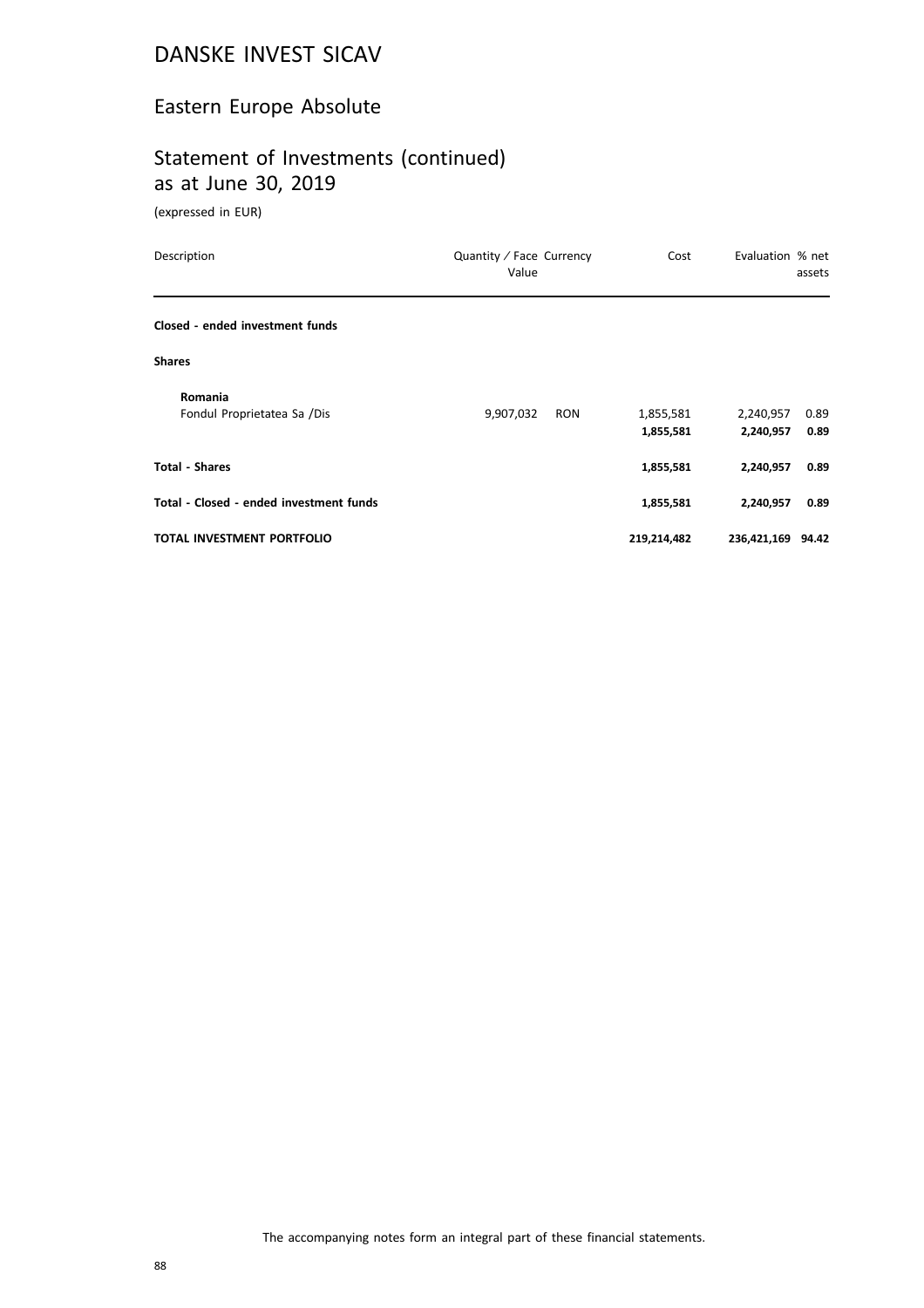#### Eastern Europe Absolute

#### Statement of Investments (continued) as at June 30, 2019

| Description                             | Quantity / Face Currency<br>Value | Cost                   | Evaluation % net       | assets       |
|-----------------------------------------|-----------------------------------|------------------------|------------------------|--------------|
| Closed - ended investment funds         |                                   |                        |                        |              |
| <b>Shares</b>                           |                                   |                        |                        |              |
| Romania<br>Fondul Proprietatea Sa /Dis  | 9,907,032<br>RON                  | 1,855,581<br>1,855,581 | 2,240,957<br>2,240,957 | 0.89<br>0.89 |
| <b>Total - Shares</b>                   |                                   | 1,855,581              | 2,240,957              | 0.89         |
| Total - Closed - ended investment funds |                                   | 1,855,581              | 2,240,957              | 0.89         |
| <b>TOTAL INVESTMENT PORTFOLIO</b>       |                                   | 219,214,482            | 236,421,169 94.42      |              |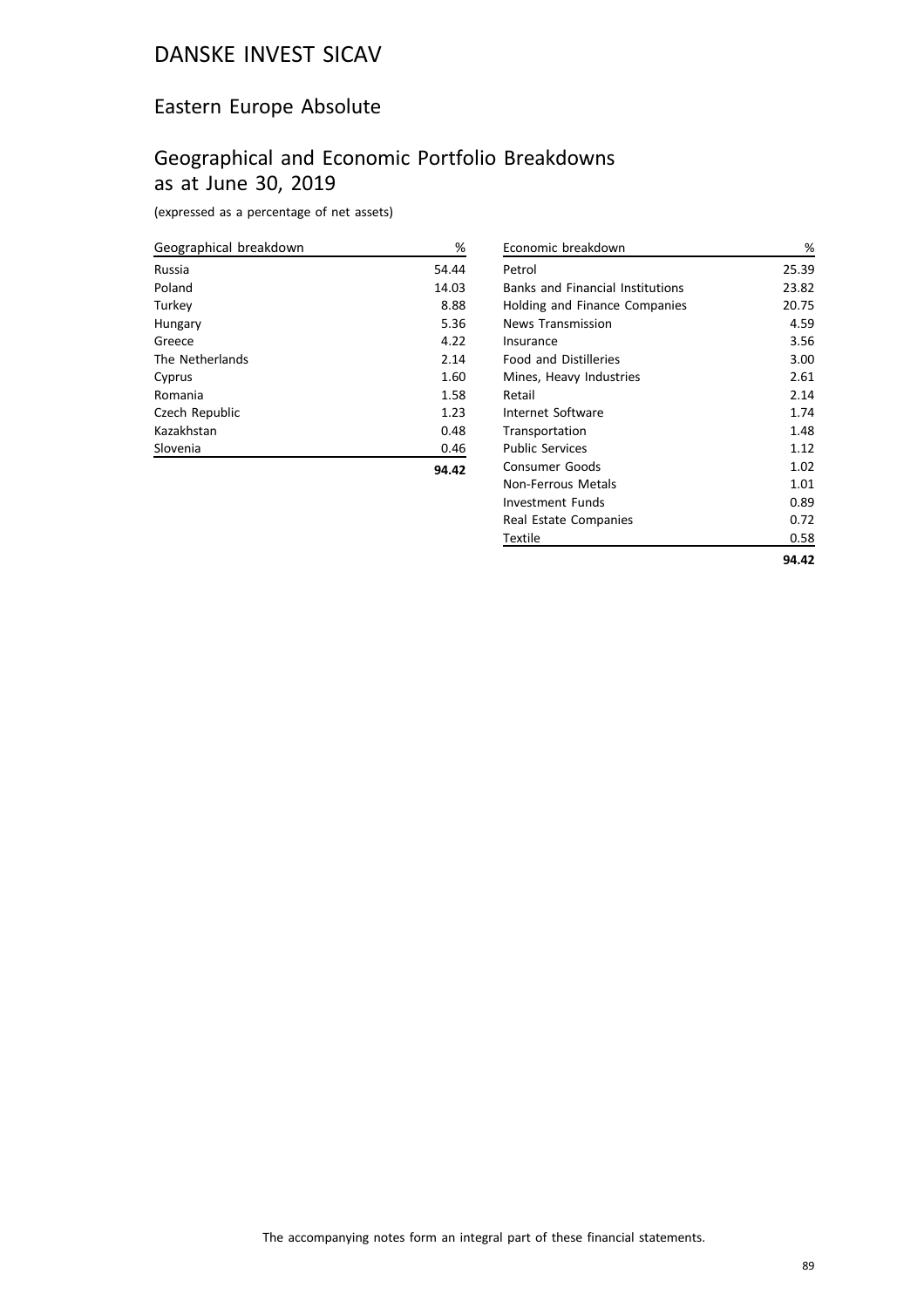#### Eastern Europe Absolute

#### Geographical and Economic Portfolio Breakdowns as at June 30, 2019

(expressed as a percentage of net assets)

| Geographical breakdown | %     |
|------------------------|-------|
| Russia                 | 54.44 |
| Poland                 | 14.03 |
| Turkey                 | 8.88  |
| Hungary                | 5.36  |
| Greece                 | 4.22  |
| The Netherlands        | 2.14  |
| Cyprus                 | 1.60  |
| Romania                | 1.58  |
| Czech Republic         | 1.23  |
| Kazakhstan             | 0.48  |
| Slovenia               | 0.46  |
|                        | 94.42 |

| Economic breakdown                      | %     |
|-----------------------------------------|-------|
| Petrol                                  | 25.39 |
| <b>Banks and Financial Institutions</b> | 23.82 |
| Holding and Finance Companies           | 20.75 |
| <b>News Transmission</b>                | 4.59  |
| Insurance                               | 3.56  |
| <b>Food and Distilleries</b>            | 3.00  |
| Mines, Heavy Industries                 | 2.61  |
| Retail                                  | 2.14  |
| Internet Software                       | 1.74  |
| Transportation                          | 1.48  |
| <b>Public Services</b>                  | 1.12  |
| Consumer Goods                          | 1.02  |
| Non-Ferrous Metals                      | 1.01  |
| Investment Funds                        | 0.89  |
| Real Estate Companies                   | 0.72  |
| Textile                                 | 0.58  |
|                                         | 94.42 |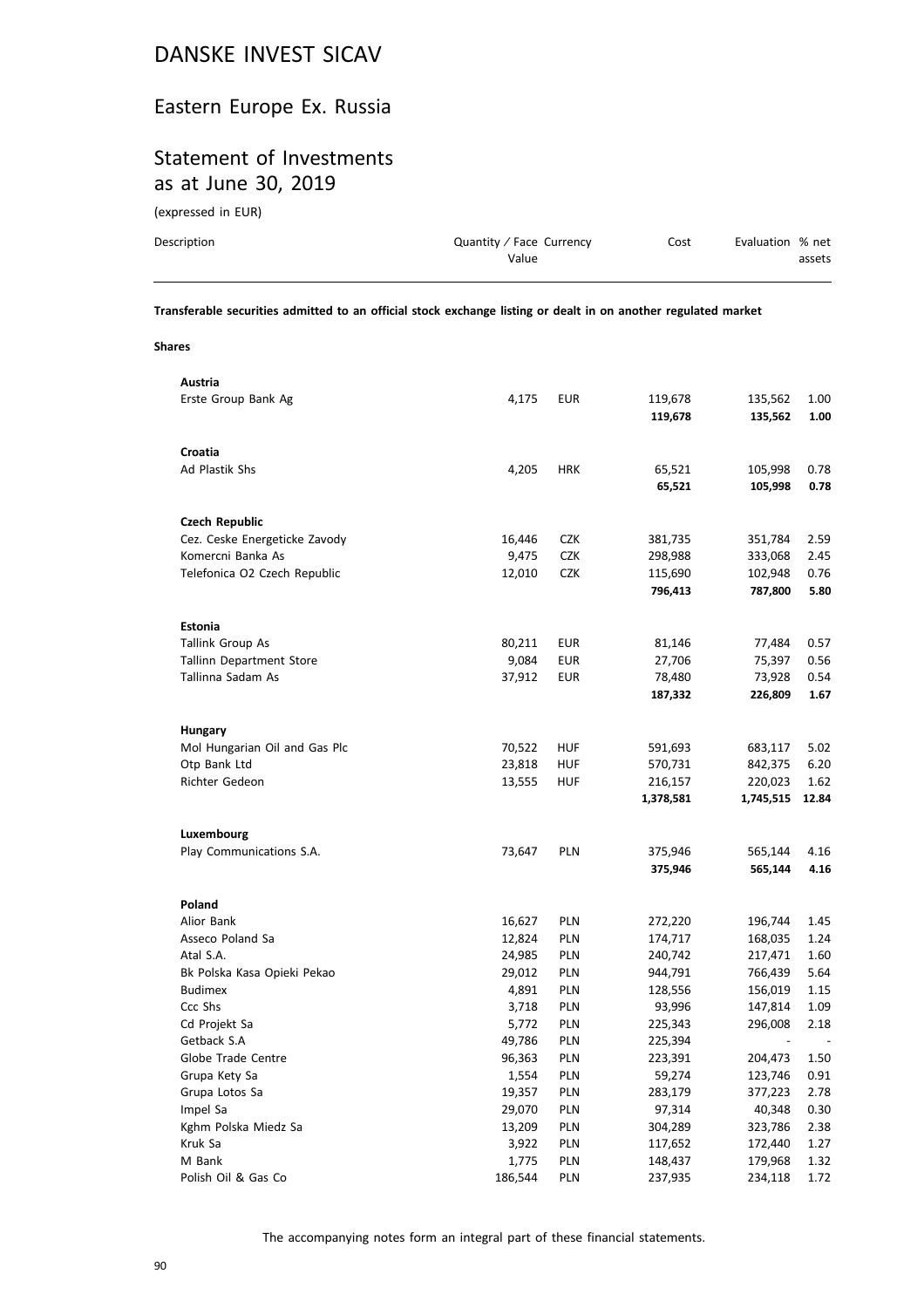#### Eastern Europe Ex. Russia

## Statement of Investments as at June 30, 2019

(expressed in EUR)

| Description | Quantity / Face Currency<br>Value | Cost | Evaluation % net | assets |
|-------------|-----------------------------------|------|------------------|--------|
|             |                                   |      |                  |        |

**Transferable securities admitted to an official stock exchange listing or dealt in on another regulated market**

**Shares**

| Austria                       |        |            |                    |                    |              |
|-------------------------------|--------|------------|--------------------|--------------------|--------------|
| Erste Group Bank Ag           | 4,175  | EUR        | 119,678            | 135,562            | 1.00         |
|                               |        |            | 119,678            | 135,562            | 1.00         |
|                               |        |            |                    |                    |              |
| Croatia                       |        |            |                    |                    |              |
| Ad Plastik Shs                | 4,205  | <b>HRK</b> | 65,521             | 105,998            | 0.78         |
|                               |        |            | 65,521             | 105,998            | 0.78         |
|                               |        |            |                    |                    |              |
| <b>Czech Republic</b>         |        |            |                    |                    |              |
| Cez. Ceske Energeticke Zavody | 16,446 | <b>CZK</b> | 381,735            | 351,784            | 2.59         |
| Komercni Banka As             | 9,475  | <b>CZK</b> | 298,988            | 333,068            | 2.45         |
| Telefonica O2 Czech Republic  | 12,010 | <b>CZK</b> | 115,690            | 102,948            | 0.76         |
|                               |        |            | 796,413            | 787,800            | 5.80         |
|                               |        |            |                    |                    |              |
| <b>Estonia</b>                |        |            |                    |                    |              |
| Tallink Group As              | 80,211 | EUR        | 81,146             | 77,484             | 0.57         |
| Tallinn Department Store      | 9,084  | <b>EUR</b> | 27,706             | 75,397             | 0.56         |
| Tallinna Sadam As             | 37,912 | EUR        | 78,480             | 73,928             | 0.54         |
|                               |        |            | 187,332            | 226,809            | 1.67         |
|                               |        |            |                    |                    |              |
| Hungary                       |        |            |                    |                    |              |
| Mol Hungarian Oil and Gas Plc | 70,522 | <b>HUF</b> | 591,693            | 683,117            | 5.02         |
| Otp Bank Ltd                  | 23,818 | <b>HUF</b> | 570,731            | 842,375            | 6.20         |
|                               |        |            |                    |                    |              |
|                               |        |            |                    |                    |              |
| Richter Gedeon                | 13,555 | HUF        | 216,157            | 220,023            | 1.62         |
|                               |        |            | 1,378,581          | 1,745,515          | 12.84        |
|                               |        |            |                    |                    |              |
| Luxembourg                    |        |            |                    |                    |              |
| Play Communications S.A.      | 73,647 | <b>PLN</b> | 375,946<br>375,946 | 565,144<br>565,144 | 4.16<br>4.16 |
|                               |        |            |                    |                    |              |
| Poland                        |        |            |                    |                    |              |
| Alior Bank                    | 16,627 | PLN        | 272,220            | 196,744            | 1.45         |
| Asseco Poland Sa              | 12,824 | PLN        | 174,717            | 168,035            | 1.24         |
| Atal S.A.                     | 24,985 | PLN        | 240,742            | 217,471            | 1.60         |
| Bk Polska Kasa Opieki Pekao   | 29,012 | PLN        | 944,791            | 766,439            | 5.64         |
| <b>Budimex</b>                | 4,891  | PLN        | 128,556            | 156,019            | 1.15         |
| Ccc Shs                       | 3,718  | PLN        | 93,996             | 147,814            | 1.09         |
| Cd Projekt Sa                 | 5,772  | PLN        | 225,343            | 296,008            | 2.18         |
| Getback S.A                   | 49,786 | PLN        | 225,394            |                    |              |
| Globe Trade Centre            | 96,363 | <b>PLN</b> | 223,391            | 204,473            | 1.50         |
| Grupa Kety Sa                 | 1,554  | PLN        | 59,274             | 123,746            | 0.91         |
| Grupa Lotos Sa                | 19,357 | PLN        | 283,179            | 377,223            | 2.78         |
| Impel Sa                      | 29,070 | PLN        | 97,314             | 40,348             | 0.30         |
| Kghm Polska Miedz Sa          | 13,209 | PLN        | 304,289            | 323,786            | 2.38         |
| Kruk Sa                       | 3,922  | PLN        | 117,652            | 172,440            | 1.27         |
| M Bank                        | 1,775  | PLN        | 148,437            | 179,968            | 1.32         |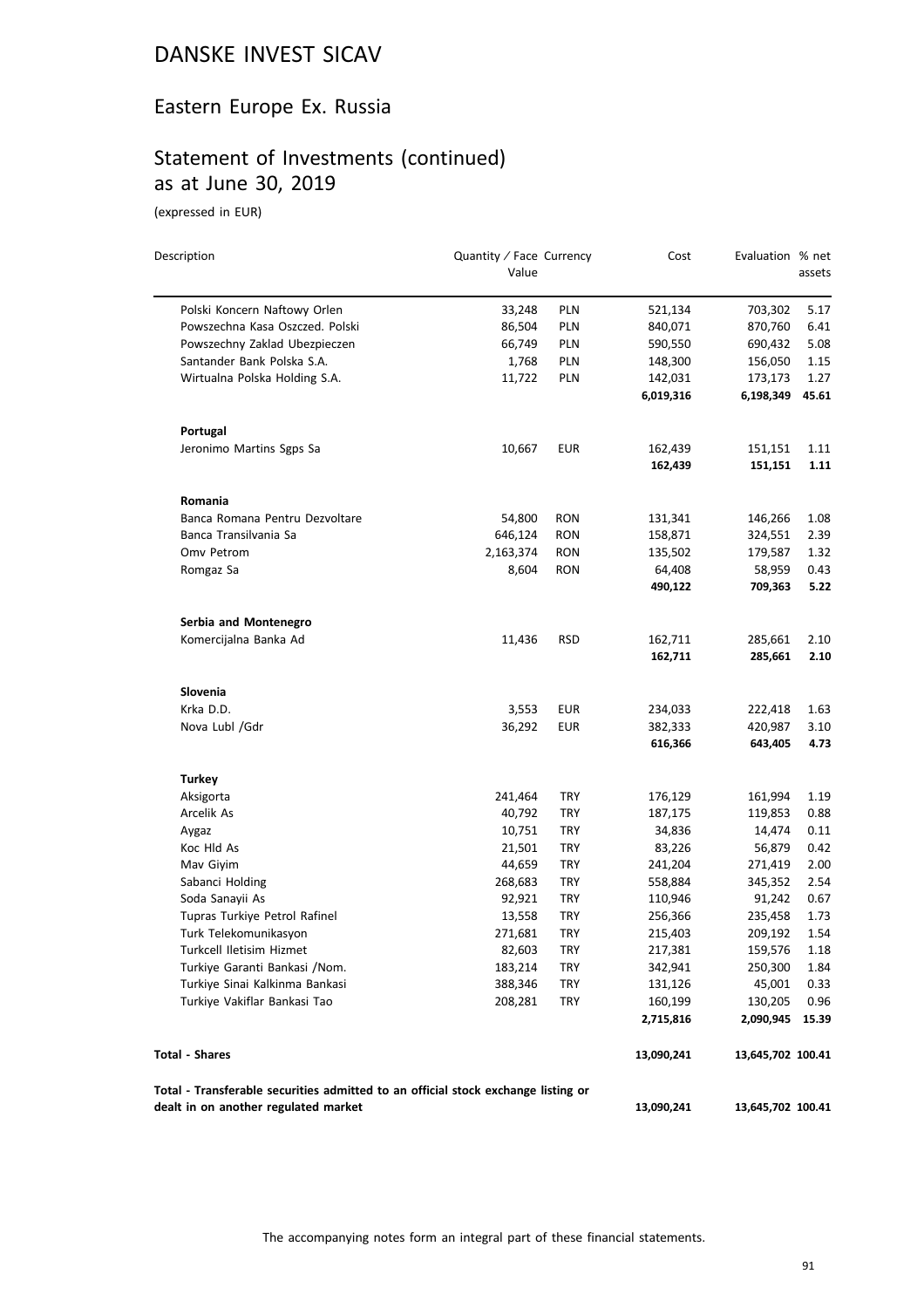#### Eastern Europe Ex. Russia

## Statement of Investments (continued) as at June 30, 2019

| Description                                                                                                               | Quantity / Face Currency |            | Cost                 | Evaluation % net     |               |
|---------------------------------------------------------------------------------------------------------------------------|--------------------------|------------|----------------------|----------------------|---------------|
|                                                                                                                           | Value                    |            |                      |                      | assets        |
| Polski Koncern Naftowy Orlen                                                                                              | 33,248                   | <b>PLN</b> | 521,134              | 703,302              | 5.17          |
| Powszechna Kasa Oszczed. Polski                                                                                           | 86,504                   | PLN        | 840,071              | 870,760              | 6.41          |
| Powszechny Zaklad Ubezpieczen                                                                                             | 66,749                   | PLN        | 590,550              | 690,432              | 5.08          |
| Santander Bank Polska S.A.                                                                                                | 1,768                    | PLN        | 148,300              | 156,050              | 1.15          |
| Wirtualna Polska Holding S.A.                                                                                             | 11,722                   | PLN        | 142,031              | 173,173              | 1.27          |
|                                                                                                                           |                          |            | 6,019,316            | 6,198,349            | 45.61         |
| Portugal                                                                                                                  |                          |            |                      |                      |               |
| Jeronimo Martins Sgps Sa                                                                                                  | 10,667                   | <b>EUR</b> | 162,439              | 151,151              | 1.11          |
|                                                                                                                           |                          |            | 162,439              | 151,151              | 1.11          |
| Romania                                                                                                                   |                          |            |                      |                      |               |
| Banca Romana Pentru Dezvoltare                                                                                            | 54,800                   | <b>RON</b> | 131,341              | 146,266              | 1.08          |
| Banca Transilvania Sa                                                                                                     | 646,124                  | RON        | 158,871              | 324,551              | 2.39          |
| Omv Petrom                                                                                                                | 2,163,374                | <b>RON</b> | 135,502              | 179,587              | 1.32          |
| Romgaz Sa                                                                                                                 | 8,604                    | <b>RON</b> | 64,408               | 58,959               | 0.43          |
|                                                                                                                           |                          |            | 490,122              | 709,363              | 5.22          |
| Serbia and Montenegro                                                                                                     |                          |            |                      |                      |               |
| Komercijalna Banka Ad                                                                                                     | 11,436                   | <b>RSD</b> | 162,711              | 285,661              | 2.10          |
|                                                                                                                           |                          |            | 162,711              | 285,661              | 2.10          |
| Slovenia                                                                                                                  |                          |            |                      |                      |               |
| Krka D.D.                                                                                                                 | 3,553                    | <b>EUR</b> | 234,033              | 222,418              | 1.63          |
| Nova Lubl /Gdr                                                                                                            | 36,292                   | <b>EUR</b> | 382,333              | 420,987              | 3.10          |
|                                                                                                                           |                          |            | 616,366              | 643,405              | 4.73          |
| <b>Turkey</b>                                                                                                             |                          |            |                      |                      |               |
| Aksigorta                                                                                                                 | 241,464                  | TRY        | 176,129              | 161,994              | 1.19          |
| Arcelik As                                                                                                                | 40,792                   | TRY        | 187,175              | 119,853              | 0.88          |
| Aygaz                                                                                                                     | 10,751                   | <b>TRY</b> | 34,836               | 14,474               | 0.11          |
| Koc Hld As                                                                                                                | 21,501                   | TRY        | 83,226               | 56,879               | 0.42          |
| Mav Giyim                                                                                                                 | 44,659                   | TRY        | 241,204              | 271,419              | 2.00          |
| Sabanci Holding                                                                                                           | 268,683                  | TRY        | 558,884              | 345,352              | 2.54          |
| Soda Sanayii As                                                                                                           | 92,921                   | TRY        | 110,946              | 91,242               | 0.67          |
| Tupras Turkiye Petrol Rafinel                                                                                             | 13,558                   | TRY        | 256,366              | 235,458              | 1.73          |
| Turk Telekomunikasyon                                                                                                     | 271,681                  | <b>TRY</b> | 215,403              | 209,192              | 1.54          |
| Turkcell Iletisim Hizmet                                                                                                  | 82,603                   | TRY        | 217,381              | 159,576              | 1.18          |
| Turkiye Garanti Bankasi /Nom.                                                                                             | 183,214                  | TRY        | 342,941              | 250,300              | 1.84          |
| Turkiye Sinai Kalkinma Bankasi                                                                                            | 388,346                  | TRY        | 131,126              | 45,001               | 0.33          |
| Turkiye Vakiflar Bankasi Tao                                                                                              | 208,281                  | TRY        | 160,199<br>2,715,816 | 130,205<br>2,090,945 | 0.96<br>15.39 |
| <b>Total - Shares</b>                                                                                                     |                          |            | 13,090,241           | 13,645,702 100.41    |               |
|                                                                                                                           |                          |            |                      |                      |               |
| Total - Transferable securities admitted to an official stock exchange listing or<br>dealt in on another regulated market |                          |            | 13,090,241           | 13,645,702 100.41    |               |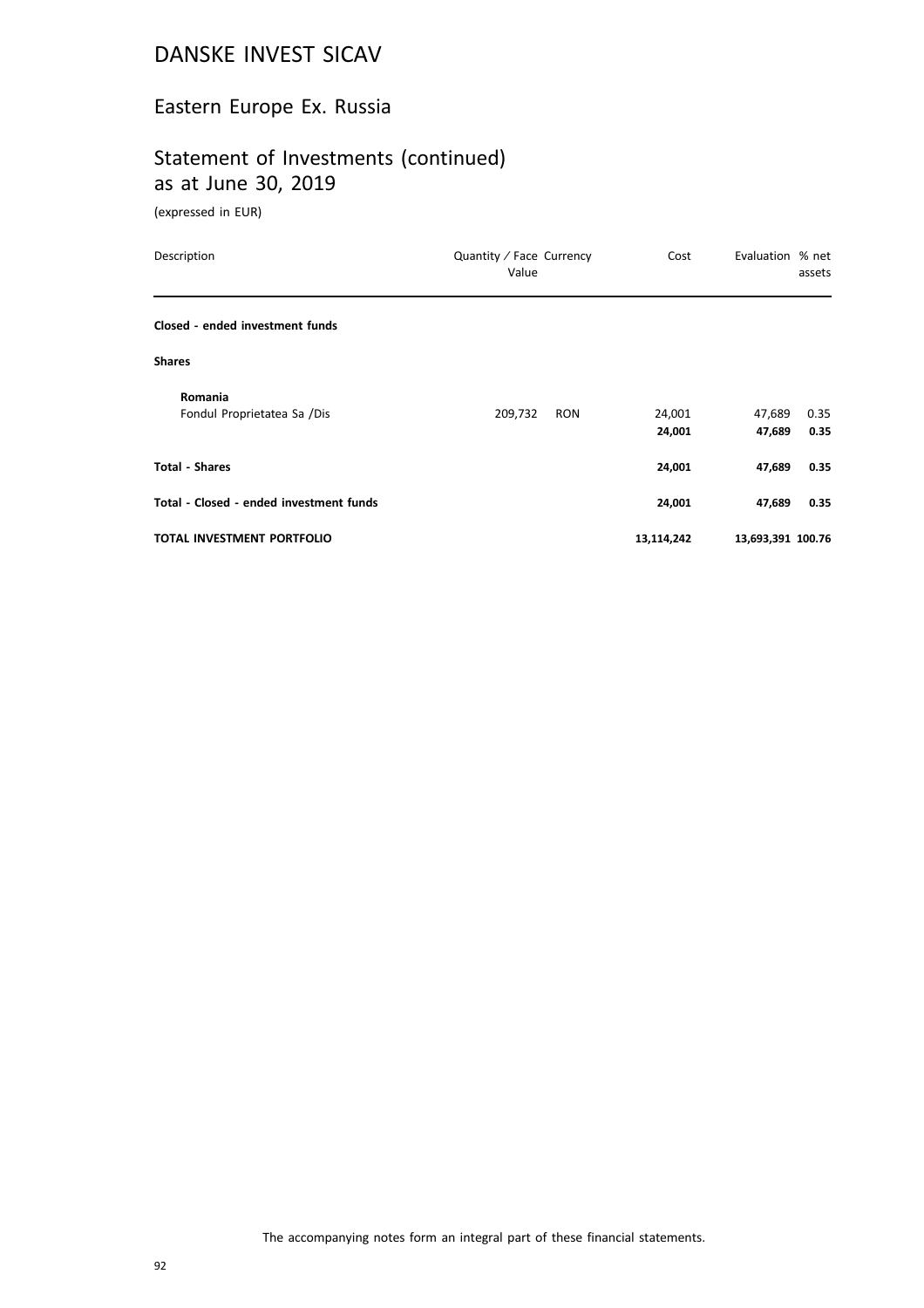#### Eastern Europe Ex. Russia

## Statement of Investments (continued) as at June 30, 2019

| Description                             | Quantity / Face Currency<br>Value | Cost             | Evaluation % net  | assets       |
|-----------------------------------------|-----------------------------------|------------------|-------------------|--------------|
| Closed - ended investment funds         |                                   |                  |                   |              |
| <b>Shares</b>                           |                                   |                  |                   |              |
| Romania<br>Fondul Proprietatea Sa /Dis  | 209,732<br><b>RON</b>             | 24,001<br>24,001 | 47,689<br>47,689  | 0.35<br>0.35 |
| <b>Total - Shares</b>                   |                                   | 24,001           | 47,689            | 0.35         |
| Total - Closed - ended investment funds |                                   | 24,001           | 47,689            | 0.35         |
| <b>TOTAL INVESTMENT PORTFOLIO</b>       |                                   | 13,114,242       | 13,693,391 100.76 |              |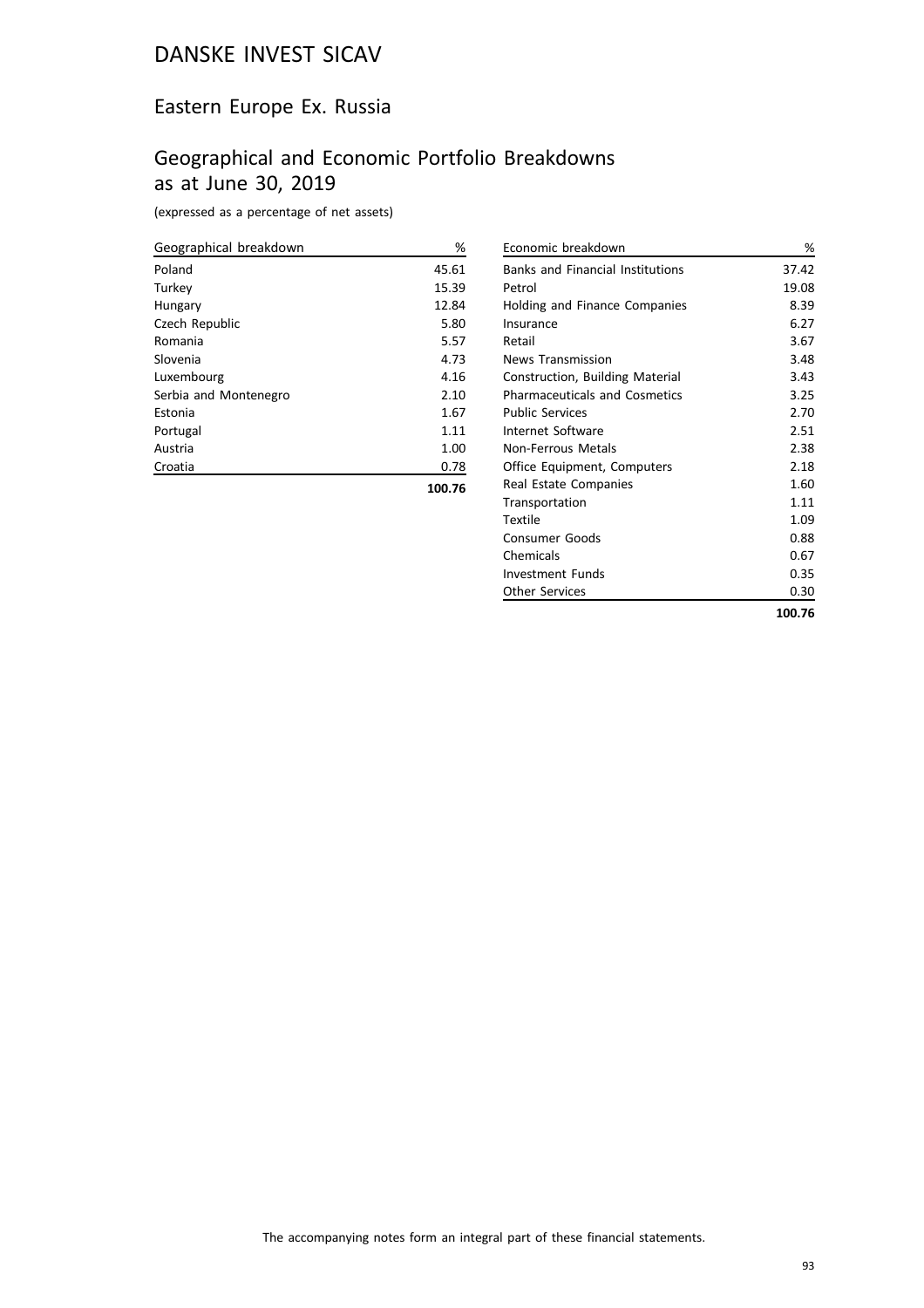#### Eastern Europe Ex. Russia

#### Geographical and Economic Portfolio Breakdowns as at June 30, 2019

(expressed as a percentage of net assets)

| Geographical breakdown | %      |
|------------------------|--------|
| Poland                 | 45.61  |
| Turkey                 | 15.39  |
| Hungary                | 12.84  |
| Czech Republic         | 5.80   |
| Romania                | 5.57   |
| Slovenia               | 4.73   |
| Luxembourg             | 4.16   |
| Serbia and Montenegro  | 2.10   |
| Estonia                | 1.67   |
| Portugal               | 1.11   |
| Austria                | 1.00   |
| Croatia                | 0.78   |
|                        | 100.76 |

| %      |
|--------|
| 37.42  |
| 19.08  |
| 8.39   |
| 6.27   |
| 3.67   |
| 3.48   |
| 3.43   |
| 3.25   |
| 2.70   |
| 2.51   |
| 2.38   |
| 2.18   |
| 1.60   |
| 1.11   |
| 1.09   |
| 0.88   |
| 0.67   |
| 0.35   |
| 0.30   |
| 100.76 |
|        |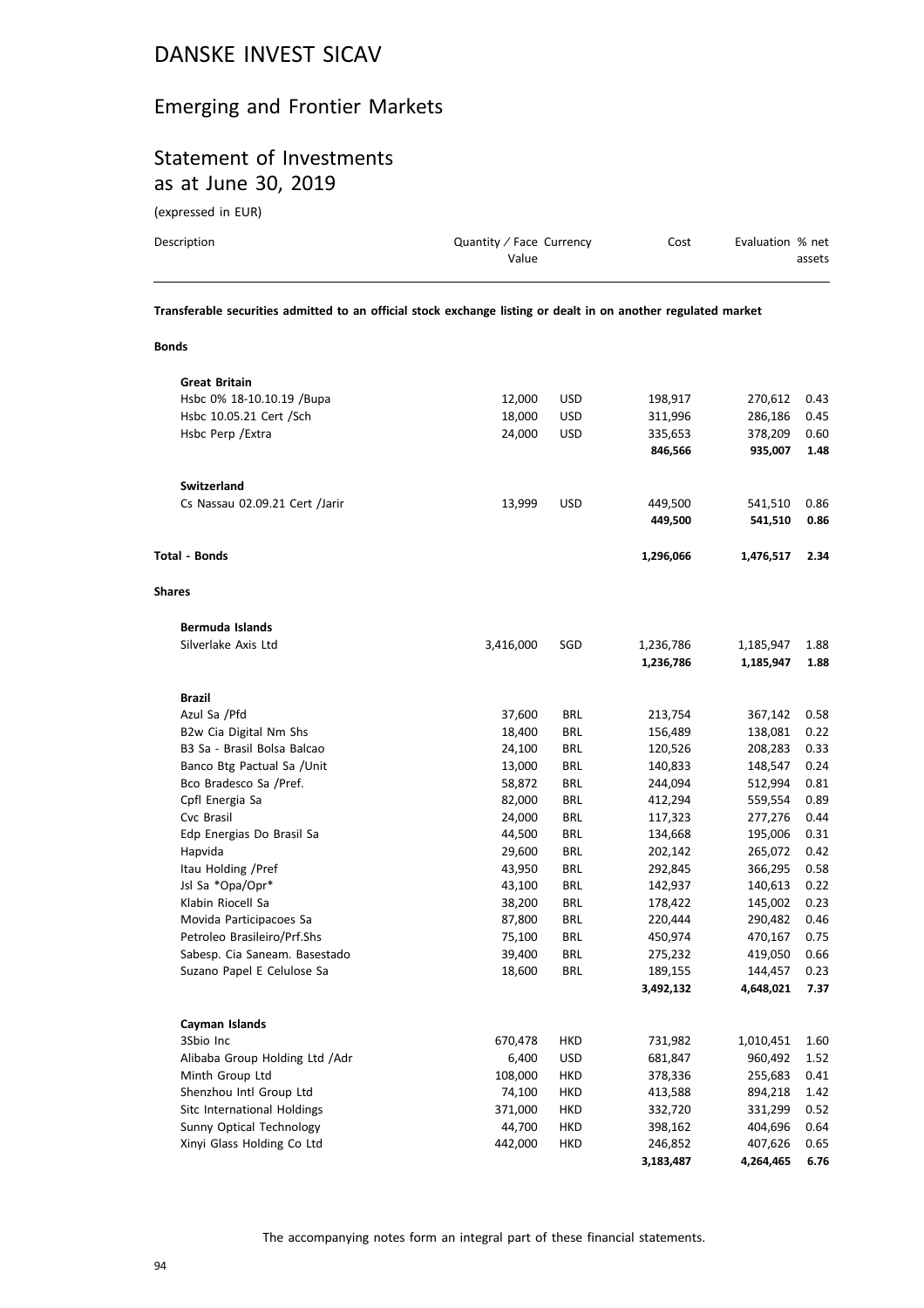# Emerging and Frontier Markets

## Statement of Investments as at June 30, 2019

(expressed in EUR)

| Description                                                                                                    | Quantity / Face Currency<br>Value | Cost | Evaluation % net | assets |
|----------------------------------------------------------------------------------------------------------------|-----------------------------------|------|------------------|--------|
| Transferable securities admitted to an official stock exchange listing or dealt in on another regulated market |                                   |      |                  |        |

**Bonds**

| <b>Great Britain</b>           |           |            |           |           |      |
|--------------------------------|-----------|------------|-----------|-----------|------|
| Hsbc 0% 18-10.10.19 /Bupa      | 12,000    | <b>USD</b> | 198,917   | 270,612   | 0.43 |
| Hsbc 10.05.21 Cert /Sch        | 18,000    | USD        | 311,996   | 286,186   | 0.45 |
| Hsbc Perp / Extra              | 24,000    | <b>USD</b> | 335,653   | 378,209   | 0.60 |
|                                |           |            | 846,566   | 935,007   | 1.48 |
| Switzerland                    |           |            |           |           |      |
| Cs Nassau 02.09.21 Cert /Jarir | 13,999    | <b>USD</b> | 449,500   | 541,510   | 0.86 |
|                                |           |            | 449,500   | 541,510   | 0.86 |
| <b>Total - Bonds</b>           |           |            | 1,296,066 | 1,476,517 | 2.34 |
| <b>Shares</b>                  |           |            |           |           |      |
| Bermuda Islands                |           |            |           |           |      |
| Silverlake Axis Ltd            | 3,416,000 | SGD        | 1,236,786 | 1,185,947 | 1.88 |
|                                |           |            | 1,236,786 | 1,185,947 | 1.88 |
| <b>Brazil</b>                  |           |            |           |           |      |
| Azul Sa / Pfd                  | 37,600    | <b>BRL</b> | 213,754   | 367,142   | 0.58 |
| B2w Cia Digital Nm Shs         | 18,400    | <b>BRL</b> | 156,489   | 138,081   | 0.22 |
| B3 Sa - Brasil Bolsa Balcao    | 24,100    | <b>BRL</b> | 120,526   | 208,283   | 0.33 |
| Banco Btg Pactual Sa / Unit    | 13,000    | <b>BRL</b> | 140,833   | 148,547   | 0.24 |
| Bco Bradesco Sa /Pref.         | 58,872    | <b>BRL</b> | 244,094   | 512,994   | 0.81 |
| Cpfl Energia Sa                | 82,000    | <b>BRL</b> | 412,294   | 559,554   | 0.89 |
| Cvc Brasil                     | 24,000    | <b>BRL</b> | 117,323   | 277,276   | 0.44 |
| Edp Energias Do Brasil Sa      | 44,500    | <b>BRL</b> | 134,668   | 195,006   | 0.31 |
| Hapvida                        | 29,600    | <b>BRL</b> | 202,142   | 265,072   | 0.42 |
| Itau Holding / Pref            | 43,950    | <b>BRL</b> | 292,845   | 366,295   | 0.58 |
| Jsl Sa *Opa/Opr*               | 43,100    | <b>BRL</b> | 142,937   | 140,613   | 0.22 |
| Klabin Riocell Sa              | 38,200    | <b>BRL</b> | 178,422   | 145,002   | 0.23 |
| Movida Participacoes Sa        | 87,800    | <b>BRL</b> | 220,444   | 290,482   | 0.46 |
| Petroleo Brasileiro/Prf.Shs    | 75,100    | <b>BRL</b> | 450,974   | 470,167   | 0.75 |
| Sabesp. Cia Saneam. Basestado  | 39,400    | <b>BRL</b> | 275,232   | 419,050   | 0.66 |
| Suzano Papel E Celulose Sa     | 18,600    | <b>BRL</b> | 189,155   | 144,457   | 0.23 |
|                                |           |            | 3,492,132 | 4,648,021 | 7.37 |
| Cayman Islands                 |           |            |           |           |      |
| 3Sbio Inc                      | 670,478   | HKD        | 731,982   | 1,010,451 | 1.60 |
| Alibaba Group Holding Ltd /Adr | 6,400     | <b>USD</b> | 681,847   | 960,492   | 1.52 |
| Minth Group Ltd                | 108,000   | HKD        | 378,336   | 255,683   | 0.41 |
| Shenzhou Intl Group Ltd        | 74,100    | HKD        | 413,588   | 894,218   | 1.42 |
| Sitc International Holdings    | 371,000   | <b>HKD</b> | 332,720   | 331,299   | 0.52 |
| Sunny Optical Technology       | 44,700    | <b>HKD</b> | 398,162   | 404,696   | 0.64 |
| Xinyi Glass Holding Co Ltd     | 442,000   | <b>HKD</b> | 246,852   | 407,626   | 0.65 |
|                                |           |            | 3,183,487 | 4,264,465 | 6.76 |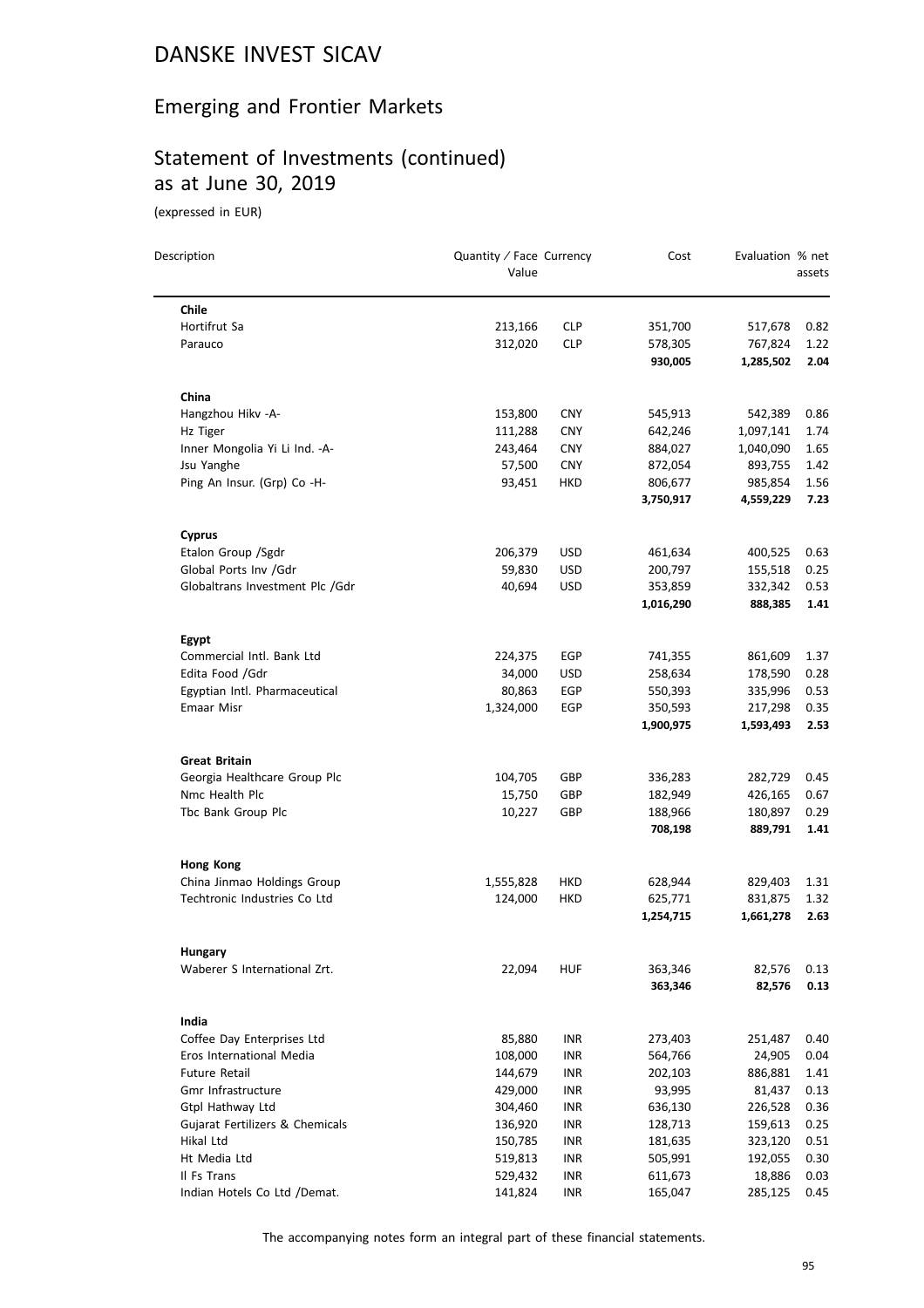# Emerging and Frontier Markets

# Statement of Investments (continued) as at June 30, 2019

(expressed in EUR)

| Description                                    | Quantity / Face Currency<br>Value |            | Cost                 | Evaluation % net     | assets       |
|------------------------------------------------|-----------------------------------|------------|----------------------|----------------------|--------------|
|                                                |                                   |            |                      |                      |              |
| <b>Chile</b>                                   |                                   |            |                      |                      |              |
| Hortifrut Sa                                   | 213,166                           | <b>CLP</b> | 351,700              | 517,678              | 0.82         |
| Parauco                                        | 312,020                           | <b>CLP</b> | 578,305<br>930,005   | 767,824<br>1,285,502 | 1.22<br>2.04 |
| China                                          |                                   |            |                      |                      |              |
| Hangzhou Hikv -A-                              | 153,800                           | <b>CNY</b> | 545,913              | 542,389              | 0.86         |
| Hz Tiger                                       | 111,288                           | <b>CNY</b> | 642,246              | 1,097,141            | 1.74         |
| Inner Mongolia Yi Li Ind. - A-                 | 243,464                           | <b>CNY</b> | 884,027              | 1,040,090            | 1.65         |
| Jsu Yanghe                                     | 57,500                            | <b>CNY</b> | 872,054              | 893,755              | 1.42         |
| Ping An Insur. (Grp) Co -H-                    | 93,451                            | HKD        | 806,677              | 985,854              | 1.56         |
|                                                |                                   |            | 3,750,917            | 4,559,229            | 7.23         |
| <b>Cyprus</b>                                  |                                   |            |                      |                      |              |
| Etalon Group / Sgdr                            | 206,379                           | <b>USD</b> | 461,634              | 400,525              | 0.63         |
| Global Ports Inv /Gdr                          | 59,830                            | <b>USD</b> | 200,797              | 155,518              | 0.25         |
| Globaltrans Investment Plc /Gdr                | 40,694                            | <b>USD</b> | 353,859              | 332,342              | 0.53         |
|                                                |                                   |            | 1,016,290            | 888,385              | 1.41         |
| Egypt                                          |                                   |            |                      |                      |              |
| Commercial Intl. Bank Ltd                      | 224,375                           | EGP        | 741,355              | 861,609              | 1.37         |
| Edita Food /Gdr                                | 34,000                            | <b>USD</b> | 258,634              | 178,590              | 0.28         |
| Egyptian Intl. Pharmaceutical                  | 80,863                            | EGP        | 550,393              | 335,996              | 0.53         |
| Emaar Misr                                     | 1,324,000                         | EGP        | 350,593              | 217,298              | 0.35         |
|                                                |                                   |            | 1,900,975            | 1,593,493            | 2.53         |
| <b>Great Britain</b>                           |                                   |            |                      |                      |              |
| Georgia Healthcare Group Plc                   | 104,705                           | GBP        | 336,283              | 282,729              | 0.45         |
| Nmc Health Plc                                 | 15,750                            | GBP        | 182,949              | 426,165              | 0.67         |
| Tbc Bank Group Plc                             | 10,227                            | GBP        | 188,966              | 180,897              | 0.29         |
|                                                |                                   |            | 708,198              | 889,791              | 1.41         |
| <b>Hong Kong</b>                               |                                   |            |                      |                      |              |
| China Jinmao Holdings Group                    | 1,555,828                         | HKD        | 628,944              | 829,403              | 1.31         |
| Techtronic Industries Co Ltd                   | 124,000                           | HKD        | 625,771<br>1,254,715 | 831,875<br>1,661,278 | 1.32<br>2.63 |
|                                                |                                   |            |                      |                      |              |
| <b>Hungary</b><br>Waberer S International Zrt. | 22,094                            | <b>HUF</b> | 363,346              | 82,576               | 0.13         |
|                                                |                                   |            | 363,346              | 82,576               | 0.13         |
| India                                          |                                   |            |                      |                      |              |
| Coffee Day Enterprises Ltd                     | 85,880                            | INR        | 273,403              | 251,487              | 0.40         |
| Eros International Media                       | 108,000                           | <b>INR</b> | 564,766              | 24,905               | 0.04         |
| <b>Future Retail</b>                           | 144,679                           | INR        | 202,103              | 886,881              | 1.41         |
| Gmr Infrastructure                             | 429,000                           | INR        | 93,995               | 81,437               | 0.13         |
| Gtpl Hathway Ltd                               | 304,460                           | <b>INR</b> | 636,130              | 226,528              | 0.36         |
| Gujarat Fertilizers & Chemicals                | 136,920                           | INR        | 128,713              | 159,613              | 0.25         |
| Hikal Ltd                                      | 150,785                           | INR        | 181,635              | 323,120              | 0.51         |
| Ht Media Ltd                                   | 519,813                           | <b>INR</b> | 505,991              | 192,055              | 0.30         |
| Il Fs Trans                                    | 529,432                           | INR        | 611,673              | 18,886               | 0.03         |
| Indian Hotels Co Ltd /Demat.                   | 141,824                           | INR        | 165,047              | 285,125              | 0.45         |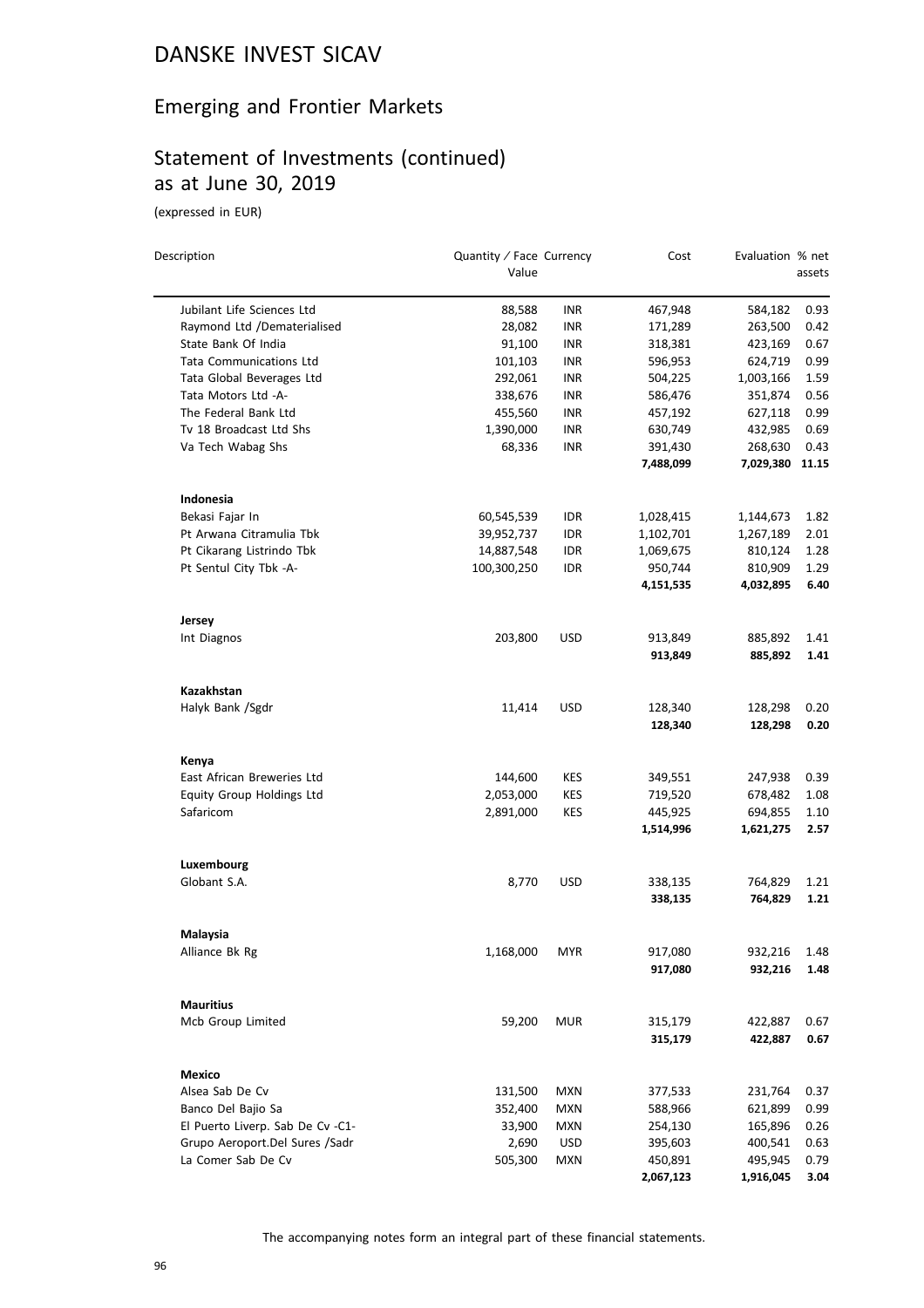#### Emerging and Frontier Markets

## Statement of Investments (continued) as at June 30, 2019

(expressed in EUR)

| Description                      | Quantity / Face Currency |            | Cost      | Evaluation % net |        |
|----------------------------------|--------------------------|------------|-----------|------------------|--------|
|                                  | Value                    |            |           |                  | assets |
| Jubilant Life Sciences Ltd       | 88,588                   | <b>INR</b> | 467,948   | 584,182          | 0.93   |
| Raymond Ltd /Dematerialised      | 28,082                   | <b>INR</b> | 171,289   | 263,500          | 0.42   |
| State Bank Of India              | 91,100                   | <b>INR</b> | 318,381   | 423,169          | 0.67   |
| <b>Tata Communications Ltd</b>   | 101,103                  | <b>INR</b> | 596,953   | 624,719          | 0.99   |
| Tata Global Beverages Ltd        | 292,061                  | <b>INR</b> | 504,225   | 1,003,166        | 1.59   |
| Tata Motors Ltd -A-              | 338,676                  | <b>INR</b> | 586,476   | 351,874          | 0.56   |
| The Federal Bank Ltd             | 455,560                  | INR        | 457,192   | 627,118          | 0.99   |
| Tv 18 Broadcast Ltd Shs          | 1,390,000                | INR        | 630,749   | 432,985          | 0.69   |
| Va Tech Wabag Shs                | 68,336                   | <b>INR</b> | 391,430   | 268,630          | 0.43   |
|                                  |                          |            | 7,488,099 | 7,029,380 11.15  |        |
| Indonesia                        |                          |            |           |                  |        |
| Bekasi Fajar In                  | 60,545,539               | IDR        | 1,028,415 | 1,144,673        | 1.82   |
| Pt Arwana Citramulia Tbk         | 39,952,737               | IDR        | 1,102,701 | 1,267,189        | 2.01   |
| Pt Cikarang Listrindo Tbk        | 14,887,548               | <b>IDR</b> | 1,069,675 | 810,124          | 1.28   |
| Pt Sentul City Tbk -A-           | 100,300,250              | <b>IDR</b> | 950,744   | 810,909          | 1.29   |
|                                  |                          |            | 4,151,535 | 4,032,895        | 6.40   |
| Jersey                           |                          |            |           |                  |        |
| Int Diagnos                      | 203,800                  | <b>USD</b> | 913,849   | 885,892          | 1.41   |
|                                  |                          |            | 913,849   | 885,892          | 1.41   |
| Kazakhstan                       |                          |            |           |                  |        |
| Halyk Bank /Sgdr                 | 11,414                   | <b>USD</b> | 128,340   | 128,298          | 0.20   |
|                                  |                          |            | 128,340   | 128,298          | 0.20   |
| Kenya                            |                          |            |           |                  |        |
| East African Breweries Ltd       | 144,600                  | KES        | 349,551   | 247,938          | 0.39   |
| Equity Group Holdings Ltd        | 2,053,000                | <b>KES</b> | 719,520   | 678,482          | 1.08   |
| Safaricom                        | 2,891,000                | <b>KES</b> | 445,925   | 694,855          | 1.10   |
|                                  |                          |            | 1,514,996 | 1,621,275        | 2.57   |
| Luxembourg                       |                          |            |           |                  |        |
| Globant S.A.                     | 8,770                    | <b>USD</b> | 338,135   | 764,829          | 1.21   |
|                                  |                          |            | 338,135   | 764,829          | 1.21   |
| Malaysia                         |                          |            |           |                  |        |
| Alliance Bk Rg                   | 1,168,000                | MYR        | 917,080   | 932,216          | 1.48   |
|                                  |                          |            | 917,080   | 932,216          | 1.48   |
| <b>Mauritius</b>                 |                          |            |           |                  |        |
| Mcb Group Limited                | 59,200                   | <b>MUR</b> | 315,179   | 422,887          | 0.67   |
|                                  |                          |            | 315,179   | 422,887          | 0.67   |
| Mexico                           |                          |            |           |                  |        |
| Alsea Sab De Cv                  | 131,500                  | <b>MXN</b> | 377,533   | 231,764          | 0.37   |
| Banco Del Bajio Sa               | 352,400                  | MXN        | 588,966   | 621,899          | 0.99   |
| El Puerto Liverp. Sab De Cv -C1- | 33,900                   | <b>MXN</b> | 254,130   | 165,896          | 0.26   |
| Grupo Aeroport.Del Sures /Sadr   | 2,690                    | <b>USD</b> | 395,603   | 400,541          | 0.63   |
| La Comer Sab De Cv               | 505,300                  | <b>MXN</b> | 450,891   | 495,945          | 0.79   |
|                                  |                          |            | 2,067,123 | 1,916,045        | 3.04   |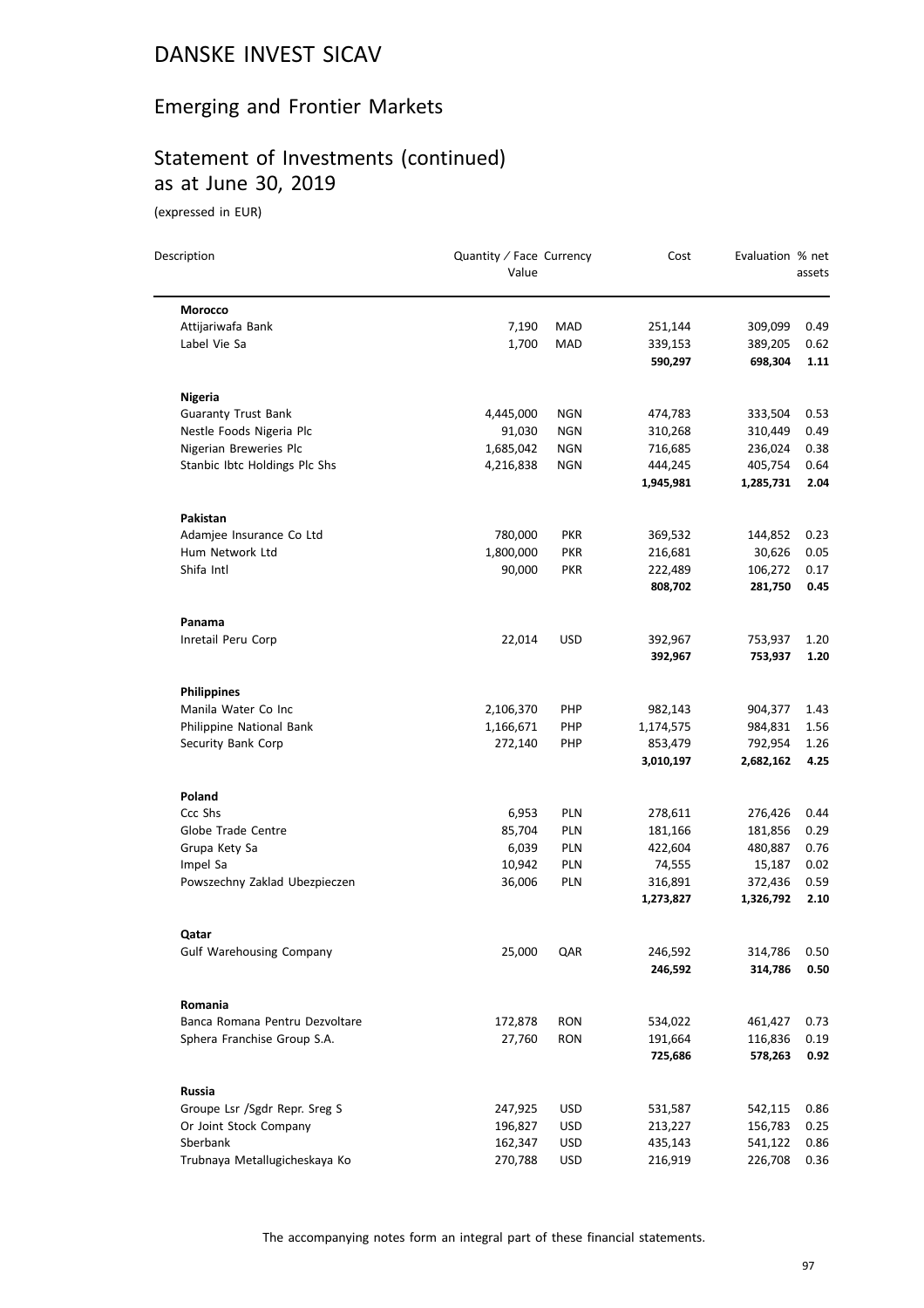# Emerging and Frontier Markets

# Statement of Investments (continued) as at June 30, 2019

| Description                     | Quantity / Face Currency<br>Value |            | Cost               | Evaluation % net   | assets       |
|---------------------------------|-----------------------------------|------------|--------------------|--------------------|--------------|
| Morocco                         |                                   |            |                    |                    |              |
| Attijariwafa Bank               | 7,190                             | MAD        | 251,144            | 309,099            | 0.49         |
| Label Vie Sa                    | 1,700                             | MAD        | 339,153            | 389,205            | 0.62         |
|                                 |                                   |            | 590,297            | 698,304            | 1.11         |
| <b>Nigeria</b>                  |                                   |            |                    |                    |              |
| <b>Guaranty Trust Bank</b>      | 4,445,000                         | NGN        | 474,783            | 333,504            | 0.53         |
| Nestle Foods Nigeria Plc        | 91,030                            | NGN        | 310,268            | 310,449            | 0.49         |
| Nigerian Breweries Plc          | 1,685,042                         | NGN        | 716,685            | 236,024            | 0.38         |
| Stanbic Ibtc Holdings Plc Shs   | 4,216,838                         | NGN        | 444,245            | 405,754            | 0.64         |
|                                 |                                   |            | 1,945,981          | 1,285,731          | 2.04         |
| Pakistan                        |                                   |            |                    |                    |              |
| Adamjee Insurance Co Ltd        | 780,000                           | <b>PKR</b> | 369,532            | 144,852            | 0.23         |
| Hum Network Ltd                 | 1,800,000                         | <b>PKR</b> | 216,681            | 30,626             | 0.05         |
| Shifa Intl                      | 90,000                            | <b>PKR</b> | 222,489            | 106,272            | 0.17         |
|                                 |                                   |            | 808,702            | 281,750            | 0.45         |
| Panama                          |                                   |            |                    |                    |              |
| Inretail Peru Corp              | 22,014                            | <b>USD</b> | 392,967            | 753,937            | 1.20         |
|                                 |                                   |            | 392,967            | 753,937            | 1.20         |
| <b>Philippines</b>              |                                   |            |                    |                    |              |
| Manila Water Co Inc             | 2,106,370                         | PHP        | 982,143            | 904,377            | 1.43         |
| Philippine National Bank        | 1,166,671                         | PHP        | 1,174,575          | 984,831            | 1.56         |
| Security Bank Corp              | 272,140                           | <b>PHP</b> | 853,479            | 792,954            | 1.26         |
|                                 |                                   |            | 3,010,197          | 2,682,162          | 4.25         |
| Poland                          |                                   |            |                    |                    |              |
| Ccc Shs                         | 6,953                             | <b>PLN</b> | 278,611            | 276,426            | 0.44         |
| Globe Trade Centre              | 85,704                            | <b>PLN</b> | 181,166            | 181,856            | 0.29         |
| Grupa Kety Sa                   | 6,039                             | <b>PLN</b> | 422,604            | 480,887            | 0.76         |
| Impel Sa                        | 10,942                            | PLN        | 74,555             | 15,187             | 0.02         |
| Powszechny Zaklad Ubezpieczen   | 36,006                            | PLN        | 316,891            | 372,436            | 0.59         |
|                                 |                                   |            | 1,273,827          | 1,326,792          | 2.10         |
| Qatar                           |                                   |            |                    |                    |              |
| <b>Gulf Warehousing Company</b> | 25,000                            | QAR        | 246,592<br>246,592 | 314,786<br>314,786 | 0.50<br>0.50 |
| Romania                         |                                   |            |                    |                    |              |
| Banca Romana Pentru Dezvoltare  | 172,878                           | <b>RON</b> | 534,022            | 461,427            | 0.73         |
| Sphera Franchise Group S.A.     | 27,760                            | <b>RON</b> | 191,664            | 116,836            | 0.19         |
|                                 |                                   |            | 725,686            | 578,263            | 0.92         |
| Russia                          |                                   |            |                    |                    |              |
| Groupe Lsr /Sgdr Repr. Sreg S   | 247,925                           | <b>USD</b> | 531,587            | 542,115            | 0.86         |
| Or Joint Stock Company          | 196,827                           | <b>USD</b> | 213,227            | 156,783            | 0.25         |
| Sberbank                        | 162,347                           | USD        | 435,143            | 541,122            | 0.86         |
| Trubnaya Metallugicheskaya Ko   | 270,788                           | <b>USD</b> | 216,919            | 226,708            | 0.36         |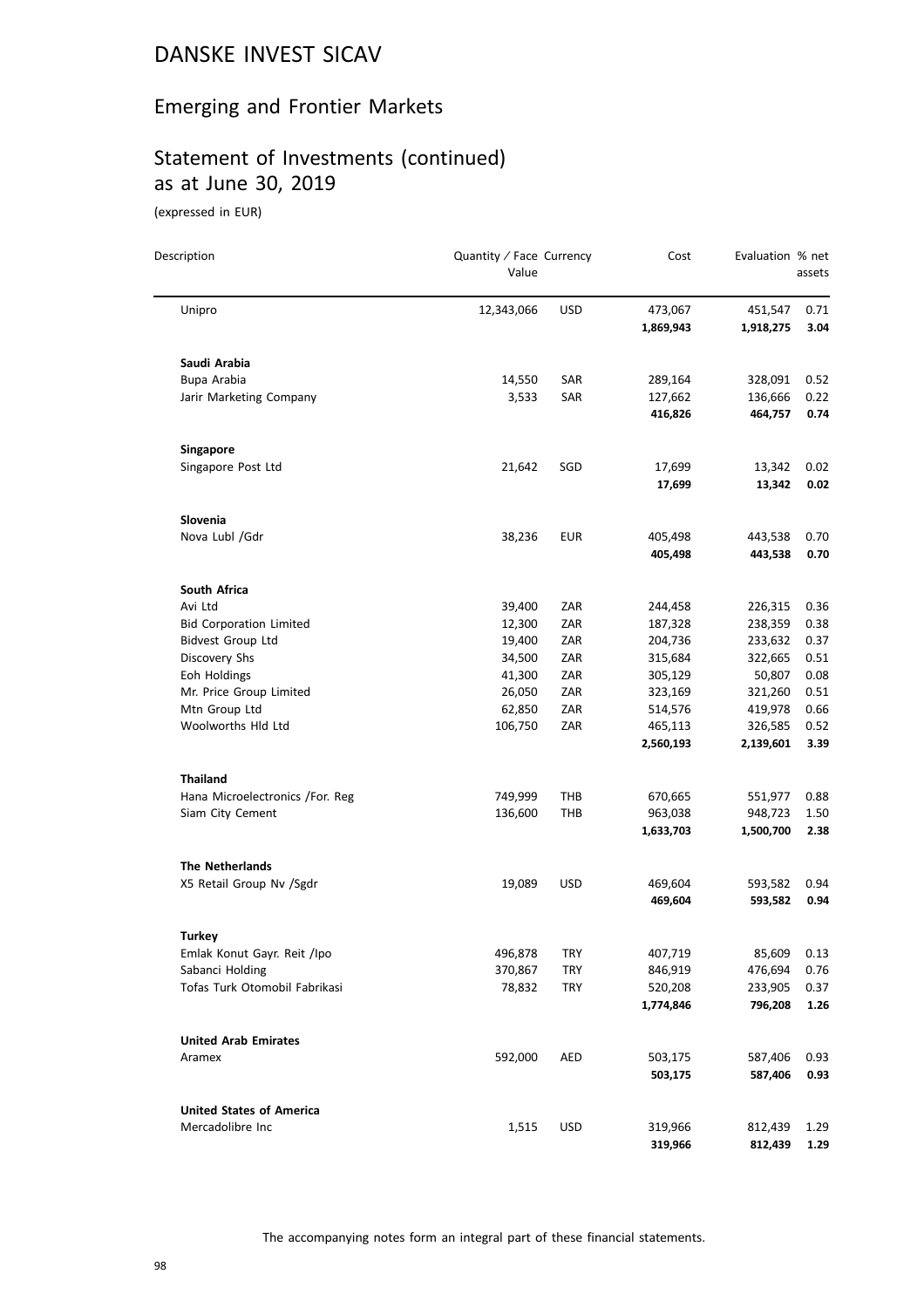#### Emerging and Frontier Markets

# Statement of Investments (continued) as at June 30, 2019

(expressed in EUR)

| Description                             | Quantity / Face Currency<br>Value |            | Cost               | Evaluation % net  | assets       |
|-----------------------------------------|-----------------------------------|------------|--------------------|-------------------|--------------|
| Unipro                                  | 12,343,066                        | <b>USD</b> | 473,067            | 451,547           | 0.71         |
|                                         |                                   |            | 1,869,943          | 1,918,275         | 3.04         |
| Saudi Arabia                            |                                   |            |                    |                   |              |
| Bupa Arabia                             | 14,550                            | SAR        | 289,164            | 328,091           | 0.52         |
| Jarir Marketing Company                 | 3,533                             | SAR        | 127,662            | 136,666           | 0.22         |
|                                         |                                   |            | 416,826            | 464,757           | 0.74         |
| Singapore                               |                                   |            |                    |                   |              |
| Singapore Post Ltd                      | 21,642                            | SGD        | 17,699             | 13,342            | 0.02         |
|                                         |                                   |            | 17,699             | 13,342            | 0.02         |
| Slovenia                                |                                   |            |                    |                   |              |
| Nova Lubl /Gdr                          | 38,236                            | <b>EUR</b> | 405,498            | 443,538           | 0.70         |
|                                         |                                   |            | 405,498            | 443,538           | 0.70         |
| South Africa                            |                                   |            |                    |                   |              |
| Avi Ltd                                 | 39,400                            | ZAR        | 244,458            | 226,315           | 0.36         |
| <b>Bid Corporation Limited</b>          | 12,300                            | ZAR        | 187,328            | 238,359           | 0.38         |
| <b>Bidvest Group Ltd</b>                | 19,400<br>34,500                  | ZAR        | 204,736            | 233,632           | 0.37         |
| Discovery Shs                           |                                   | ZAR        | 315,684            | 322,665<br>50,807 | 0.51         |
| Eoh Holdings<br>Mr. Price Group Limited | 41,300<br>26,050                  | ZAR<br>ZAR | 305,129<br>323,169 | 321,260           | 0.08<br>0.51 |
| Mtn Group Ltd                           | 62,850                            | ZAR        | 514,576            | 419,978           | 0.66         |
| Woolworths Hld Ltd                      | 106,750                           | ZAR        | 465,113            | 326,585           | 0.52         |
|                                         |                                   |            | 2,560,193          | 2,139,601         | 3.39         |
| <b>Thailand</b>                         |                                   |            |                    |                   |              |
| Hana Microelectronics /For. Reg         | 749,999                           | THB        | 670,665            | 551,977           | 0.88         |
| Siam City Cement                        | 136,600                           | <b>THB</b> | 963,038            | 948,723           | 1.50         |
|                                         |                                   |            | 1,633,703          | 1,500,700         | 2.38         |
| <b>The Netherlands</b>                  |                                   |            |                    |                   |              |
| X5 Retail Group Nv /Sgdr                | 19,089                            | <b>USD</b> | 469,604            | 593,582           | 0.94         |
|                                         |                                   |            | 469,604            | 593,582           | 0.94         |
| Turkey                                  |                                   |            |                    |                   |              |
| Emlak Konut Gayr. Reit /Ipo             | 496,878                           | <b>TRY</b> | 407,719            | 85,609            | 0.13         |
| Sabanci Holding                         | 370,867                           | <b>TRY</b> | 846,919            | 476,694           | 0.76         |
| Tofas Turk Otomobil Fabrikasi           | 78,832                            | <b>TRY</b> | 520,208            | 233,905           | 0.37         |
|                                         |                                   |            | 1,774,846          | 796,208           | 1.26         |
| <b>United Arab Emirates</b>             |                                   |            |                    |                   |              |
| Aramex                                  | 592,000                           | <b>AED</b> | 503,175            | 587,406           | 0.93         |
|                                         |                                   |            | 503,175            | 587,406           | 0.93         |
| <b>United States of America</b>         |                                   |            |                    |                   |              |
| Mercadolibre Inc                        | 1,515                             | <b>USD</b> | 319,966            | 812,439           | 1.29         |
|                                         |                                   |            | 319,966            | 812,439           | 1.29         |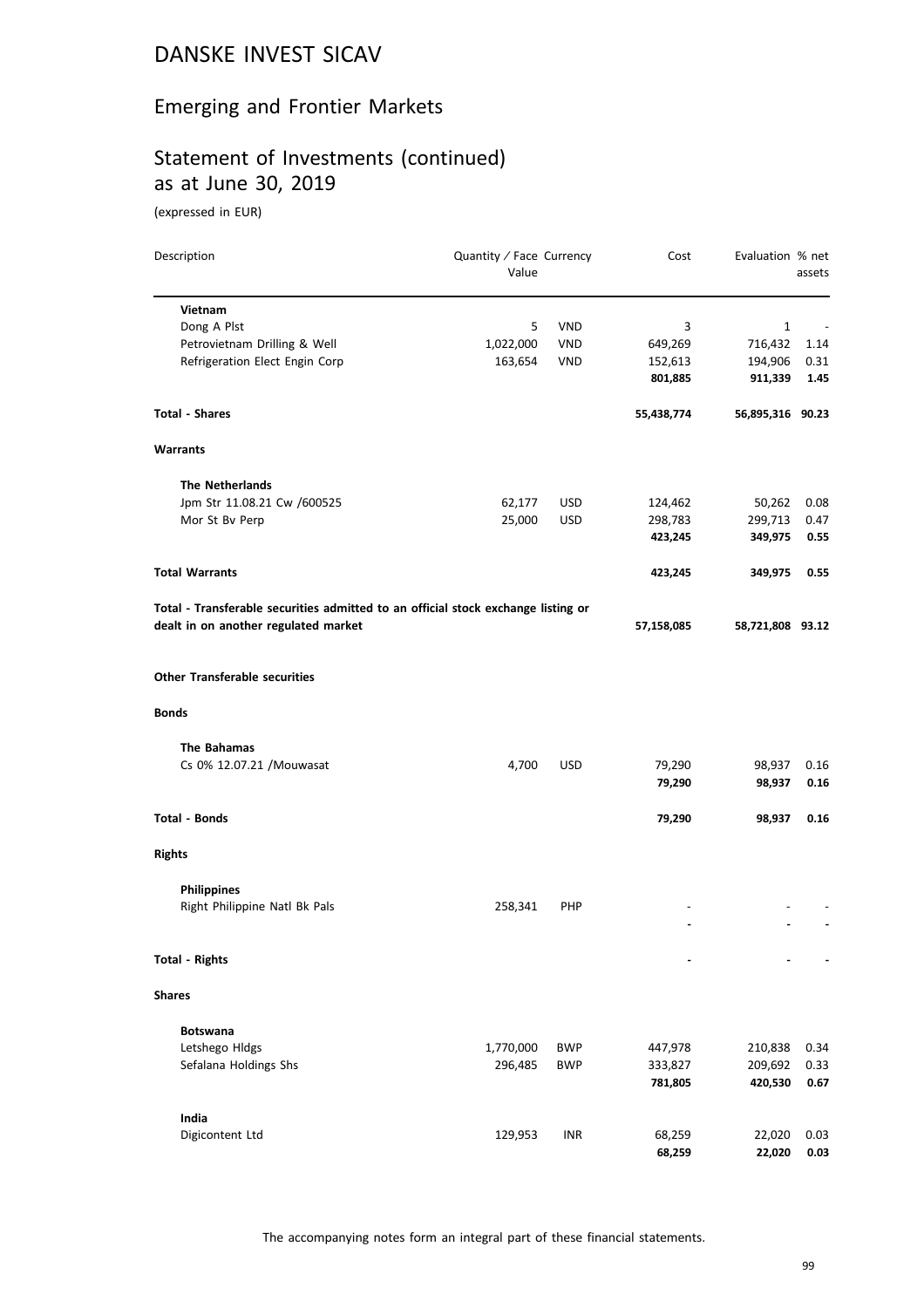#### Emerging and Frontier Markets

## Statement of Investments (continued) as at June 30, 2019

| Description                                                                       | Quantity / Face Currency<br>Value |            | Cost       | Evaluation % net | assets |
|-----------------------------------------------------------------------------------|-----------------------------------|------------|------------|------------------|--------|
| Vietnam                                                                           |                                   |            |            |                  |        |
| Dong A Plst                                                                       | 5                                 | <b>VND</b> | 3          | $\mathbf{1}$     |        |
| Petrovietnam Drilling & Well                                                      | 1,022,000                         | <b>VND</b> | 649,269    | 716,432          | 1.14   |
| Refrigeration Elect Engin Corp                                                    | 163,654                           | <b>VND</b> | 152,613    | 194,906          | 0.31   |
|                                                                                   |                                   |            | 801,885    | 911,339          | 1.45   |
| Total - Shares                                                                    |                                   |            | 55,438,774 | 56,895,316 90.23 |        |
| Warrants                                                                          |                                   |            |            |                  |        |
| <b>The Netherlands</b>                                                            |                                   |            |            |                  |        |
| Jpm Str 11.08.21 Cw /600525                                                       | 62,177                            | <b>USD</b> | 124,462    | 50,262           | 0.08   |
| Mor St Bv Perp                                                                    | 25,000                            | <b>USD</b> | 298,783    | 299,713          | 0.47   |
|                                                                                   |                                   |            | 423,245    | 349,975          | 0.55   |
| <b>Total Warrants</b>                                                             |                                   |            | 423,245    | 349,975          | 0.55   |
| Total - Transferable securities admitted to an official stock exchange listing or |                                   |            |            |                  |        |
| dealt in on another regulated market                                              |                                   |            | 57,158,085 | 58,721,808 93.12 |        |
| <b>Other Transferable securities</b>                                              |                                   |            |            |                  |        |
| <b>Bonds</b>                                                                      |                                   |            |            |                  |        |
| The Bahamas                                                                       |                                   |            |            |                  |        |
| Cs 0% 12.07.21 / Mouwasat                                                         | 4,700                             | <b>USD</b> | 79,290     | 98,937           | 0.16   |
|                                                                                   |                                   |            | 79,290     | 98,937           | 0.16   |
| Total - Bonds                                                                     |                                   |            | 79,290     | 98,937           | 0.16   |
| <b>Rights</b>                                                                     |                                   |            |            |                  |        |
| <b>Philippines</b>                                                                |                                   |            |            |                  |        |
| Right Philippine Natl Bk Pals                                                     | 258,341                           | PHP        |            |                  |        |
|                                                                                   |                                   |            |            |                  |        |
| <b>Total - Rights</b>                                                             |                                   |            |            |                  |        |
| <b>Shares</b>                                                                     |                                   |            |            |                  |        |
| <b>Botswana</b>                                                                   |                                   |            |            |                  |        |
| Letshego Hldgs                                                                    | 1,770,000                         | <b>BWP</b> | 447,978    | 210,838          | 0.34   |
| Sefalana Holdings Shs                                                             | 296,485                           | BWP        | 333,827    | 209,692          | 0.33   |
|                                                                                   |                                   |            | 781,805    | 420,530          | 0.67   |
| India                                                                             |                                   |            |            |                  |        |
| Digicontent Ltd                                                                   | 129,953                           | <b>INR</b> | 68,259     | 22,020           | 0.03   |
|                                                                                   |                                   |            | 68,259     | 22,020           | 0.03   |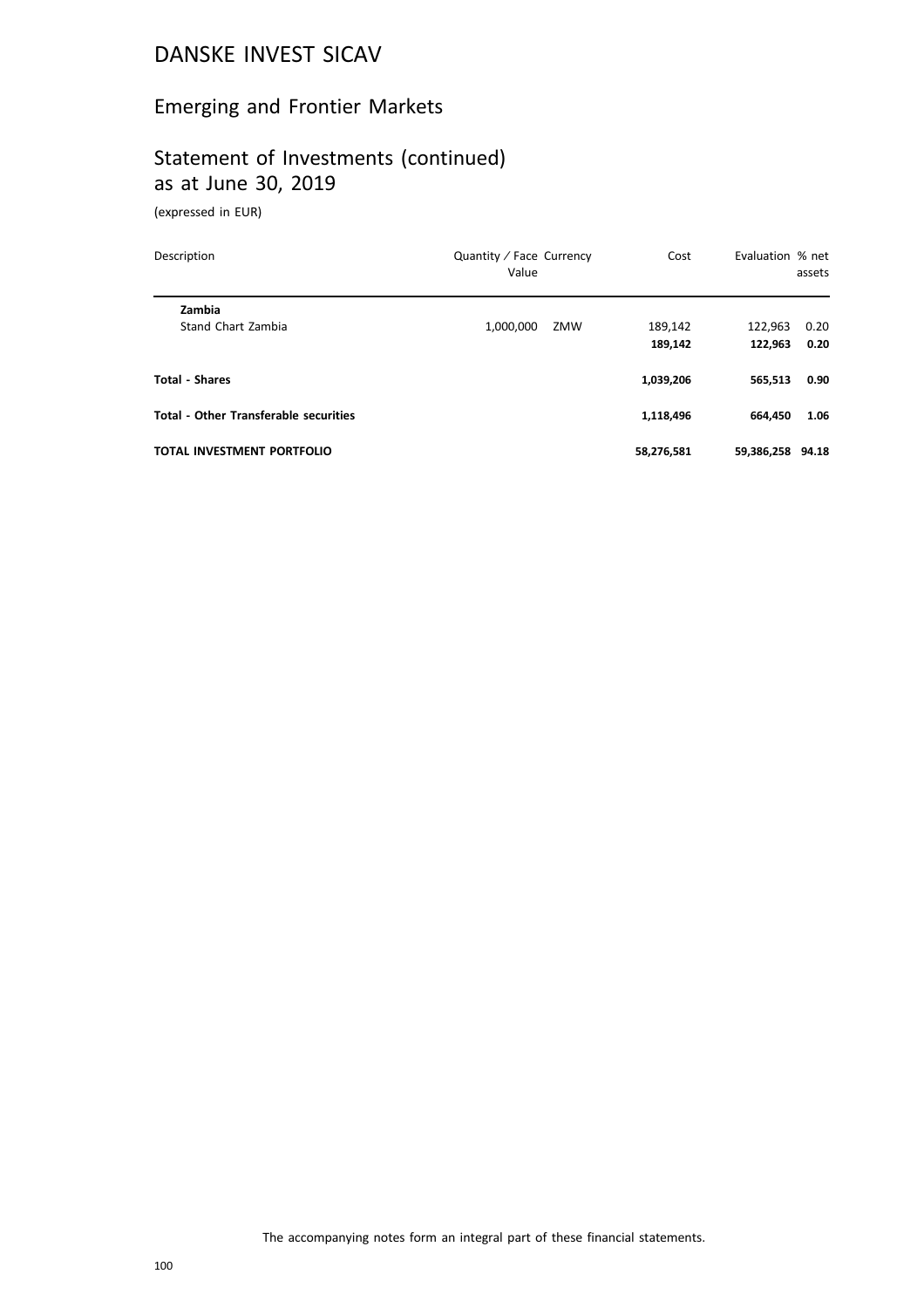#### Emerging and Frontier Markets

## Statement of Investments (continued) as at June 30, 2019

| Description                                  | Quantity / Face Currency<br>Value | Cost       | Evaluation % net | assets |  |
|----------------------------------------------|-----------------------------------|------------|------------------|--------|--|
| Zambia                                       |                                   |            |                  |        |  |
| Stand Chart Zambia                           | 1,000,000<br>ZMW                  | 189.142    | 122.963          | 0.20   |  |
|                                              |                                   | 189.142    | 122.963          | 0.20   |  |
| <b>Total - Shares</b>                        |                                   | 1,039,206  | 565,513          | 0.90   |  |
| <b>Total - Other Transferable securities</b> |                                   | 1,118,496  | 664.450          | 1.06   |  |
| <b>TOTAL INVESTMENT PORTFOLIO</b>            |                                   | 58,276,581 | 59,386,258 94.18 |        |  |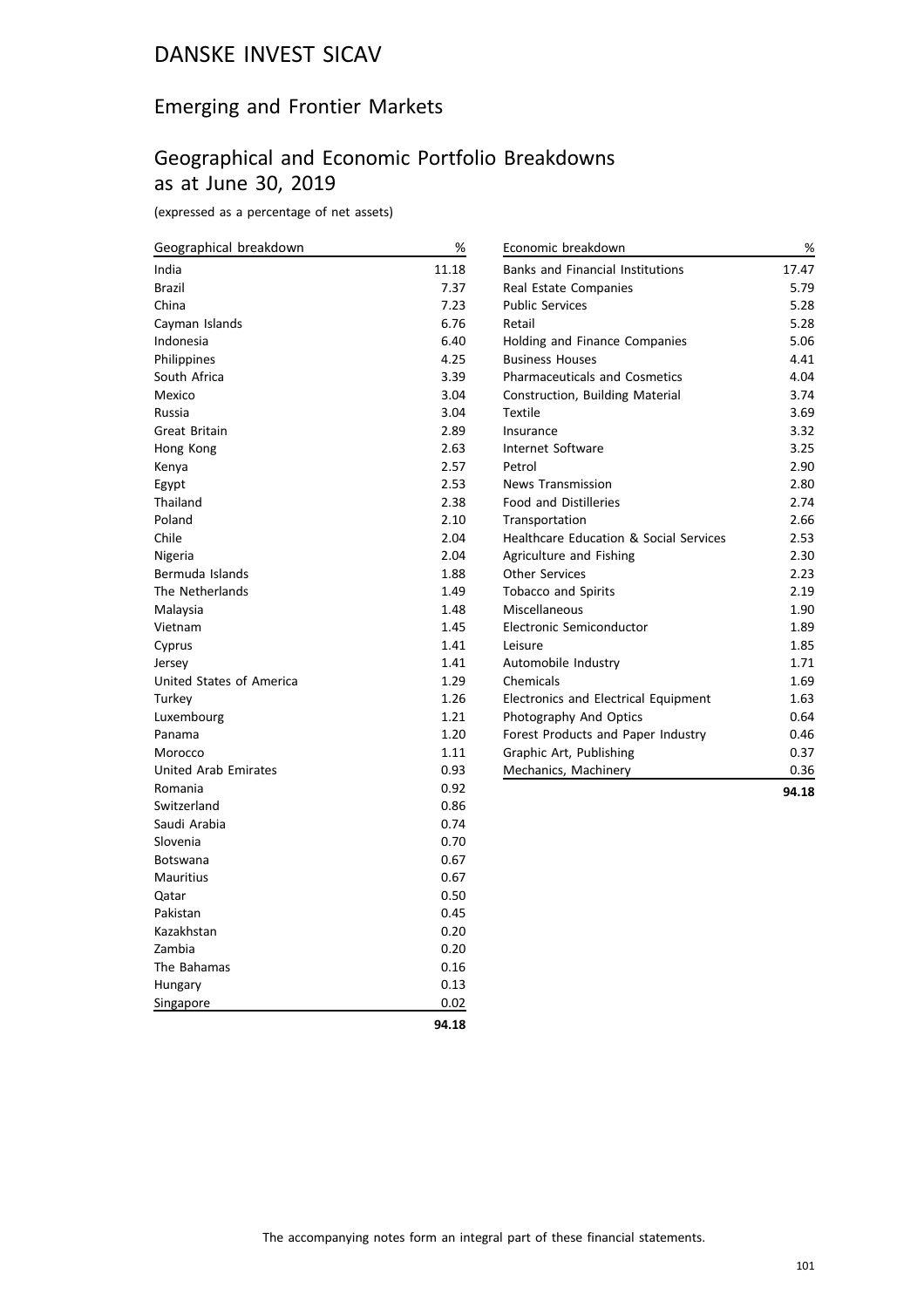#### Emerging and Frontier Markets

#### Geographical and Economic Portfolio Breakdowns as at June 30, 2019

(expressed as a percentage of net assets)

| Geographical breakdown      | $\%$  | Economic breakdown                                | %     |
|-----------------------------|-------|---------------------------------------------------|-------|
| India                       | 11.18 | <b>Banks and Financial Institutions</b>           | 17.47 |
| Brazil                      | 7.37  | Real Estate Companies                             | 5.79  |
| China                       | 7.23  | <b>Public Services</b>                            | 5.28  |
| Cayman Islands              | 6.76  | Retail                                            | 5.28  |
| Indonesia                   | 6.40  | Holding and Finance Companies                     | 5.06  |
| Philippines                 | 4.25  | <b>Business Houses</b>                            | 4.41  |
| South Africa                | 3.39  | <b>Pharmaceuticals and Cosmetics</b>              | 4.04  |
| Mexico                      | 3.04  | Construction, Building Material                   | 3.74  |
| Russia                      | 3.04  | <b>Textile</b>                                    | 3.69  |
| Great Britain               | 2.89  | Insurance                                         | 3.32  |
| Hong Kong                   | 2.63  | Internet Software                                 | 3.25  |
| Kenya                       | 2.57  | Petrol                                            | 2.90  |
| Egypt                       | 2.53  | <b>News Transmission</b>                          | 2.80  |
| Thailand                    | 2.38  | <b>Food and Distilleries</b>                      | 2.74  |
| Poland                      | 2.10  | Transportation                                    | 2.66  |
| Chile                       | 2.04  | <b>Healthcare Education &amp; Social Services</b> | 2.53  |
| Nigeria                     | 2.04  | Agriculture and Fishing                           | 2.30  |
| Bermuda Islands             | 1.88  | <b>Other Services</b>                             | 2.23  |
| The Netherlands             | 1.49  | <b>Tobacco and Spirits</b>                        | 2.19  |
| Malaysia                    | 1.48  | Miscellaneous                                     | 1.90  |
| Vietnam                     | 1.45  | Electronic Semiconductor                          | 1.89  |
| Cyprus                      | 1.41  | Leisure                                           | 1.85  |
| Jersey                      | 1.41  | Automobile Industry                               | 1.71  |
| United States of America    | 1.29  | Chemicals                                         | 1.69  |
| Turkey                      | 1.26  | Electronics and Electrical Equipment              | 1.63  |
| Luxembourg                  | 1.21  | Photography And Optics                            | 0.64  |
| Panama                      | 1.20  | Forest Products and Paper Industry                | 0.46  |
| Morocco                     | 1.11  | Graphic Art, Publishing                           | 0.37  |
| <b>United Arab Emirates</b> | 0.93  | Mechanics, Machinery                              | 0.36  |
| Romania                     | 0.92  |                                                   | 94.18 |
| Switzerland                 | 0.86  |                                                   |       |
| Saudi Arabia                | 0.74  |                                                   |       |
| Slovenia                    | 0.70  |                                                   |       |
| <b>Botswana</b>             | 0.67  |                                                   |       |
| Mauritius                   | 0.67  |                                                   |       |
| Qatar                       | 0.50  |                                                   |       |
| Pakistan                    | 0.45  |                                                   |       |
| Kazakhstan                  | 0.20  |                                                   |       |
| Zambia                      | 0.20  |                                                   |       |

Singapore 0.02 **94.18**

The Bahamas 0.16 Hungary 0.13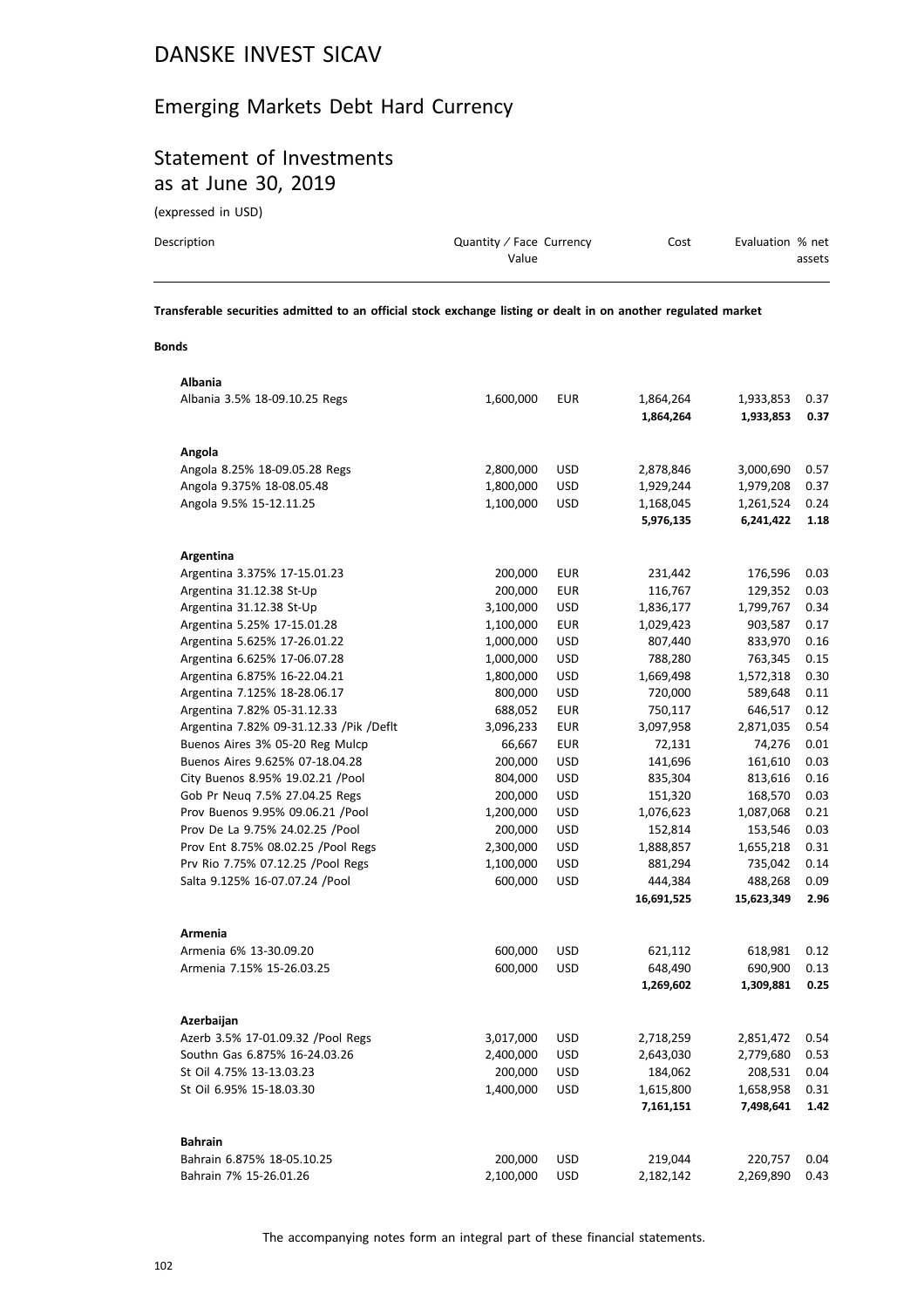#### Emerging Markets Debt Hard Currency

## Statement of Investments as at June 30, 2019

(expressed in USD)

| Description | Quantity / Face Currency | Cost | Evaluation % net |
|-------------|--------------------------|------|------------------|
|             | Value                    |      | assets           |
|             |                          |      |                  |

**Transferable securities admitted to an official stock exchange listing or dealt in on another regulated market**

#### **Bonds**

| Albania                                   |           |            |            |            |      |
|-------------------------------------------|-----------|------------|------------|------------|------|
| Albania 3.5% 18-09.10.25 Regs             | 1,600,000 | EUR        | 1,864,264  | 1,933,853  | 0.37 |
|                                           |           |            | 1,864,264  | 1,933,853  | 0.37 |
|                                           |           |            |            |            |      |
| Angola                                    |           |            |            |            |      |
| Angola 8.25% 18-09.05.28 Regs             | 2,800,000 | <b>USD</b> | 2,878,846  | 3,000,690  | 0.57 |
| Angola 9.375% 18-08.05.48                 | 1,800,000 | <b>USD</b> | 1,929,244  | 1,979,208  | 0.37 |
| Angola 9.5% 15-12.11.25                   | 1,100,000 | <b>USD</b> | 1,168,045  | 1,261,524  | 0.24 |
|                                           |           |            | 5,976,135  | 6,241,422  | 1.18 |
|                                           |           |            |            |            |      |
| Argentina                                 |           |            |            |            |      |
| Argentina 3.375% 17-15.01.23              | 200,000   | <b>EUR</b> | 231,442    | 176,596    | 0.03 |
| Argentina 31.12.38 St-Up                  | 200,000   | <b>EUR</b> | 116,767    | 129,352    | 0.03 |
| Argentina 31.12.38 St-Up                  | 3,100,000 | <b>USD</b> | 1,836,177  | 1,799,767  | 0.34 |
| Argentina 5.25% 17-15.01.28               | 1,100,000 | <b>EUR</b> | 1,029,423  | 903,587    | 0.17 |
| Argentina 5.625% 17-26.01.22              | 1,000,000 | <b>USD</b> | 807,440    | 833,970    | 0.16 |
| Argentina 6.625% 17-06.07.28              | 1,000,000 | <b>USD</b> | 788,280    | 763,345    | 0.15 |
| Argentina 6.875% 16-22.04.21              | 1,800,000 | <b>USD</b> | 1,669,498  | 1,572,318  | 0.30 |
| Argentina 7.125% 18-28.06.17              | 800,000   | <b>USD</b> | 720,000    | 589,648    | 0.11 |
| Argentina 7.82% 05-31.12.33               | 688,052   | <b>EUR</b> | 750,117    | 646,517    | 0.12 |
| Argentina 7.82% 09-31.12.33 / Pik / Deflt | 3,096,233 | <b>EUR</b> | 3,097,958  | 2,871,035  | 0.54 |
| Buenos Aires 3% 05-20 Reg Mulcp           | 66,667    | <b>EUR</b> | 72,131     | 74,276     | 0.01 |
| Buenos Aires 9.625% 07-18.04.28           | 200,000   | <b>USD</b> | 141,696    | 161,610    | 0.03 |
| City Buenos 8.95% 19.02.21 / Pool         | 804,000   | <b>USD</b> | 835,304    | 813,616    | 0.16 |
| Gob Pr Neug 7.5% 27.04.25 Regs            | 200,000   | <b>USD</b> | 151,320    | 168,570    | 0.03 |
| Prov Buenos 9.95% 09.06.21 / Pool         | 1,200,000 | <b>USD</b> | 1,076,623  | 1,087,068  | 0.21 |
| Prov De La 9.75% 24.02.25 /Pool           | 200,000   | <b>USD</b> | 152,814    | 153,546    | 0.03 |
| Prov Ent 8.75% 08.02.25 /Pool Regs        | 2,300,000 | <b>USD</b> | 1,888,857  | 1,655,218  | 0.31 |
| Prv Rio 7.75% 07.12.25 / Pool Regs        | 1,100,000 | <b>USD</b> | 881,294    | 735,042    | 0.14 |
| Salta 9.125% 16-07.07.24 /Pool            | 600,000   | <b>USD</b> | 444,384    | 488,268    | 0.09 |
|                                           |           |            | 16,691,525 | 15,623,349 | 2.96 |
|                                           |           |            |            |            |      |
| Armenia                                   |           |            |            |            |      |
| Armenia 6% 13-30.09.20                    | 600,000   | <b>USD</b> | 621,112    | 618,981    | 0.12 |
| Armenia 7.15% 15-26.03.25                 | 600,000   | <b>USD</b> | 648,490    | 690,900    | 0.13 |
|                                           |           |            | 1,269,602  | 1,309,881  | 0.25 |
|                                           |           |            |            |            |      |
| Azerbaijan                                |           |            |            |            |      |
| Azerb 3.5% 17-01.09.32 /Pool Regs         | 3,017,000 | <b>USD</b> | 2,718,259  | 2,851,472  | 0.54 |
| Southn Gas 6.875% 16-24.03.26             | 2,400,000 | <b>USD</b> | 2,643,030  | 2,779,680  | 0.53 |
| St Oil 4.75% 13-13.03.23                  | 200,000   | <b>USD</b> | 184,062    | 208,531    | 0.04 |
| St Oil 6.95% 15-18.03.30                  | 1,400,000 | <b>USD</b> | 1,615,800  | 1,658,958  | 0.31 |
|                                           |           |            | 7,161,151  | 7,498,641  | 1.42 |
|                                           |           |            |            |            |      |
| <b>Bahrain</b>                            |           |            |            |            |      |
| Bahrain 6.875% 18-05.10.25                | 200,000   | <b>USD</b> | 219,044    | 220,757    | 0.04 |
| Bahrain 7% 15-26.01.26                    | 2,100,000 | <b>USD</b> | 2,182,142  | 2,269,890  | 0.43 |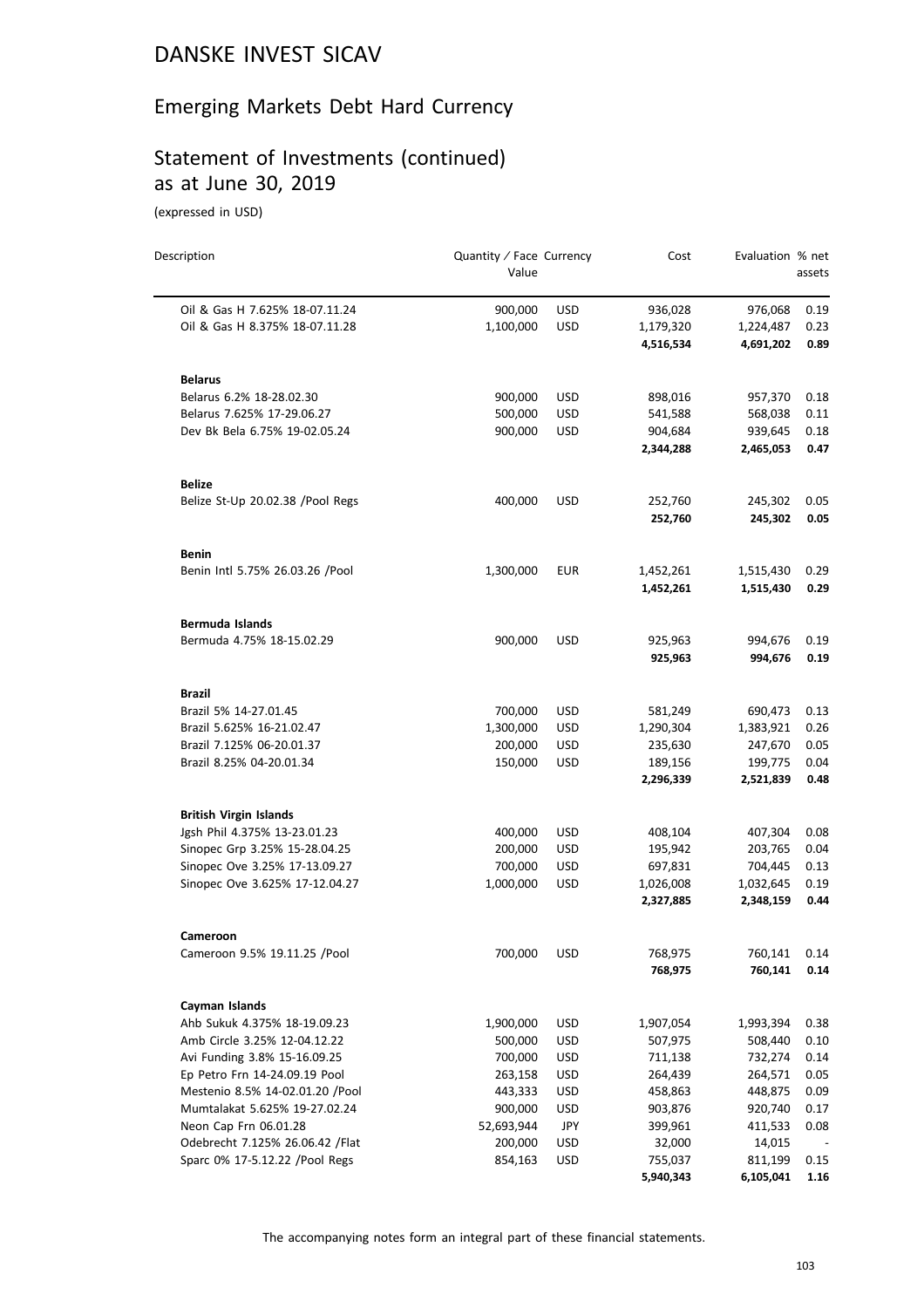#### Emerging Markets Debt Hard Currency

#### Statement of Investments (continued) as at June 30, 2019

(expressed in USD)

| Description                      | Quantity / Face Currency<br>Value |            | Cost                   | Evaluation % net       | assets |
|----------------------------------|-----------------------------------|------------|------------------------|------------------------|--------|
| Oil & Gas H 7.625% 18-07.11.24   | 900,000                           | <b>USD</b> |                        |                        | 0.19   |
| Oil & Gas H 8.375% 18-07.11.28   | 1,100,000                         | <b>USD</b> | 936,028                | 976,068                | 0.23   |
|                                  |                                   |            | 1,179,320<br>4,516,534 | 1,224,487<br>4,691,202 | 0.89   |
| <b>Belarus</b>                   |                                   |            |                        |                        |        |
| Belarus 6.2% 18-28.02.30         | 900,000                           | <b>USD</b> | 898,016                | 957,370                | 0.18   |
| Belarus 7.625% 17-29.06.27       | 500,000                           | <b>USD</b> | 541,588                | 568,038                | 0.11   |
| Dev Bk Bela 6.75% 19-02.05.24    | 900,000                           | <b>USD</b> | 904,684                | 939,645                | 0.18   |
|                                  |                                   |            | 2,344,288              | 2,465,053              | 0.47   |
| <b>Belize</b>                    |                                   |            |                        |                        |        |
| Belize St-Up 20.02.38 /Pool Regs | 400,000                           | <b>USD</b> | 252,760                | 245,302                | 0.05   |
|                                  |                                   |            | 252,760                | 245,302                | 0.05   |
| <b>Benin</b>                     |                                   |            |                        |                        |        |
| Benin Intl 5.75% 26.03.26 /Pool  | 1,300,000                         | <b>EUR</b> | 1,452,261              | 1,515,430              | 0.29   |
|                                  |                                   |            | 1,452,261              | 1,515,430              | 0.29   |
| Bermuda Islands                  |                                   |            |                        |                        |        |
| Bermuda 4.75% 18-15.02.29        | 900,000                           | <b>USD</b> | 925,963                | 994,676                | 0.19   |
|                                  |                                   |            | 925,963                | 994,676                | 0.19   |
| Brazil                           |                                   |            |                        |                        |        |
| Brazil 5% 14-27.01.45            | 700,000                           | <b>USD</b> | 581,249                | 690,473                | 0.13   |
| Brazil 5.625% 16-21.02.47        | 1,300,000                         | <b>USD</b> | 1,290,304              | 1,383,921              | 0.26   |
| Brazil 7.125% 06-20.01.37        | 200,000                           | <b>USD</b> | 235,630                | 247,670                | 0.05   |
| Brazil 8.25% 04-20.01.34         | 150,000                           | <b>USD</b> | 189,156                | 199,775                | 0.04   |
|                                  |                                   |            | 2,296,339              | 2,521,839              | 0.48   |
| <b>British Virgin Islands</b>    |                                   |            |                        |                        |        |
| Jgsh Phil 4.375% 13-23.01.23     | 400,000                           | <b>USD</b> | 408,104                | 407,304                | 0.08   |
| Sinopec Grp 3.25% 15-28.04.25    | 200,000                           | <b>USD</b> | 195,942                | 203,765                | 0.04   |
| Sinopec Ove 3.25% 17-13.09.27    | 700,000                           | <b>USD</b> | 697,831                | 704,445                | 0.13   |
| Sinopec Ove 3.625% 17-12.04.27   | 1,000,000                         | <b>USD</b> | 1,026,008              | 1,032,645              | 0.19   |
|                                  |                                   |            | 2,327,885              | 2,348,159              | 0.44   |
| Cameroon                         |                                   |            |                        |                        |        |
| Cameroon 9.5% 19.11.25 /Pool     | 700,000                           | <b>USD</b> | 768,975                | 760,141                | 0.14   |
|                                  |                                   |            | 768,975                | 760,141                | 0.14   |
| Cayman Islands                   |                                   |            |                        |                        |        |
| Ahb Sukuk 4.375% 18-19.09.23     | 1,900,000                         | <b>USD</b> | 1,907,054              | 1,993,394              | 0.38   |
| Amb Circle 3.25% 12-04.12.22     | 500,000                           | USD        | 507,975                | 508,440                | 0.10   |
| Avi Funding 3.8% 15-16.09.25     | 700,000                           | <b>USD</b> | 711,138                | 732,274                | 0.14   |
| Ep Petro Frn 14-24.09.19 Pool    | 263,158                           | <b>USD</b> | 264,439                | 264,571                | 0.05   |
| Mestenio 8.5% 14-02.01.20 /Pool  | 443,333                           | <b>USD</b> | 458,863                | 448,875                | 0.09   |
| Mumtalakat 5.625% 19-27.02.24    | 900,000                           | USD        | 903,876                | 920,740                | 0.17   |
| Neon Cap Frn 06.01.28            | 52,693,944                        | <b>JPY</b> | 399,961                | 411,533                | 0.08   |
| Odebrecht 7.125% 26.06.42 / Flat | 200,000                           | <b>USD</b> | 32,000                 | 14,015                 |        |
| Sparc 0% 17-5.12.22 /Pool Regs   | 854,163                           | <b>USD</b> | 755,037                | 811,199                | 0.15   |
|                                  |                                   |            | 5,940,343              | 6,105,041              | 1.16   |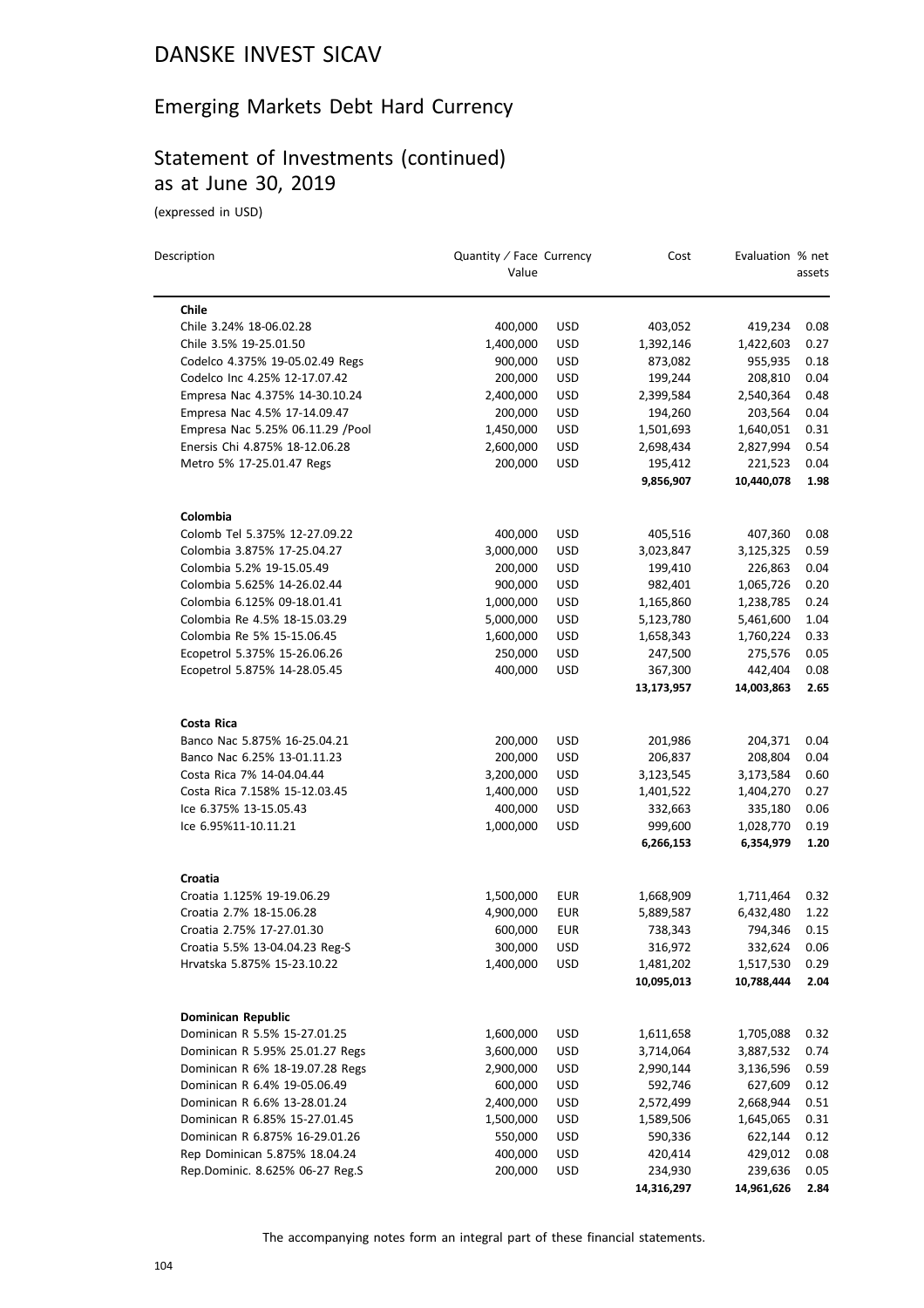## Emerging Markets Debt Hard Currency

## Statement of Investments (continued) as at June 30, 2019

(expressed in USD)

| Description                       | Quantity / Face Currency<br>Value |            | Cost       | Evaluation % net | assets |
|-----------------------------------|-----------------------------------|------------|------------|------------------|--------|
| Chile                             |                                   |            |            |                  |        |
| Chile 3.24% 18-06.02.28           | 400,000                           | <b>USD</b> | 403,052    | 419,234          | 0.08   |
| Chile 3.5% 19-25.01.50            | 1,400,000                         | <b>USD</b> | 1,392,146  | 1,422,603        | 0.27   |
| Codelco 4.375% 19-05.02.49 Regs   | 900,000                           | USD        | 873,082    | 955,935          | 0.18   |
| Codelco Inc 4.25% 12-17.07.42     | 200,000                           | <b>USD</b> | 199,244    | 208,810          | 0.04   |
| Empresa Nac 4.375% 14-30.10.24    | 2,400,000                         | <b>USD</b> | 2,399,584  | 2,540,364        | 0.48   |
| Empresa Nac 4.5% 17-14.09.47      | 200,000                           | <b>USD</b> | 194,260    | 203,564          | 0.04   |
| Empresa Nac 5.25% 06.11.29 / Pool | 1,450,000                         | <b>USD</b> | 1,501,693  | 1,640,051        | 0.31   |
| Enersis Chi 4.875% 18-12.06.28    | 2,600,000                         | <b>USD</b> | 2,698,434  | 2,827,994        | 0.54   |
| Metro 5% 17-25.01.47 Regs         | 200,000                           | <b>USD</b> | 195,412    | 221,523          | 0.04   |
|                                   |                                   |            | 9,856,907  | 10,440,078       | 1.98   |
| Colombia                          |                                   |            |            |                  |        |
| Colomb Tel 5.375% 12-27.09.22     | 400,000                           | <b>USD</b> | 405,516    | 407,360          | 0.08   |
| Colombia 3.875% 17-25.04.27       | 3,000,000                         | <b>USD</b> | 3,023,847  | 3,125,325        | 0.59   |
| Colombia 5.2% 19-15.05.49         | 200,000                           | <b>USD</b> | 199,410    | 226,863          | 0.04   |
| Colombia 5.625% 14-26.02.44       | 900,000                           | <b>USD</b> | 982,401    | 1,065,726        | 0.20   |
| Colombia 6.125% 09-18.01.41       | 1,000,000                         | <b>USD</b> | 1,165,860  | 1,238,785        | 0.24   |
| Colombia Re 4.5% 18-15.03.29      | 5,000,000                         | <b>USD</b> | 5,123,780  | 5,461,600        | 1.04   |
| Colombia Re 5% 15-15.06.45        | 1,600,000                         | <b>USD</b> | 1,658,343  | 1,760,224        | 0.33   |
| Ecopetrol 5.375% 15-26.06.26      | 250,000                           | <b>USD</b> | 247,500    | 275,576          | 0.05   |
| Ecopetrol 5.875% 14-28.05.45      | 400,000                           | <b>USD</b> | 367,300    | 442,404          | 0.08   |
|                                   |                                   |            | 13,173,957 | 14,003,863       | 2.65   |
| Costa Rica                        |                                   |            |            |                  |        |
| Banco Nac 5.875% 16-25.04.21      | 200,000                           | <b>USD</b> | 201,986    | 204,371          | 0.04   |
| Banco Nac 6.25% 13-01.11.23       | 200,000                           | <b>USD</b> | 206,837    | 208,804          | 0.04   |
| Costa Rica 7% 14-04.04.44         | 3,200,000                         | <b>USD</b> | 3,123,545  | 3,173,584        | 0.60   |
| Costa Rica 7.158% 15-12.03.45     | 1,400,000                         | <b>USD</b> | 1,401,522  | 1,404,270        | 0.27   |
| Ice 6.375% 13-15.05.43            | 400,000                           | <b>USD</b> | 332,663    | 335,180          | 0.06   |
| Ice 6.95%11-10.11.21              | 1,000,000                         | <b>USD</b> | 999,600    | 1,028,770        | 0.19   |
|                                   |                                   |            | 6,266,153  | 6,354,979        | 1.20   |
| Croatia                           |                                   |            |            |                  |        |
| Croatia 1.125% 19-19.06.29        | 1,500,000                         | EUR        | 1,668,909  | 1,711,464        | 0.32   |
| Croatia 2.7% 18-15.06.28          | 4,900,000                         | <b>EUR</b> | 5,889,587  | 6,432,480        | 1.22   |
| Croatia 2.75% 17-27.01.30         | 600,000                           | EUR        | 738,343    | 794,346          | 0.15   |
| Croatia 5.5% 13-04.04.23 Reg-S    | 300,000                           | <b>USD</b> | 316,972    | 332,624          | 0.06   |
| Hrvatska 5.875% 15-23.10.22       | 1,400,000                         | USD        | 1,481,202  | 1,517,530        | 0.29   |
|                                   |                                   |            | 10,095,013 | 10,788,444       | 2.04   |
| <b>Dominican Republic</b>         |                                   |            |            |                  |        |
| Dominican R 5.5% 15-27.01.25      | 1,600,000                         | <b>USD</b> | 1,611,658  | 1,705,088        | 0.32   |
| Dominican R 5.95% 25.01.27 Regs   | 3,600,000                         | USD        | 3,714,064  | 3,887,532        | 0.74   |
| Dominican R 6% 18-19.07.28 Regs   | 2,900,000                         | <b>USD</b> | 2,990,144  | 3,136,596        | 0.59   |
| Dominican R 6.4% 19-05.06.49      | 600,000                           | <b>USD</b> | 592,746    | 627,609          | 0.12   |
| Dominican R 6.6% 13-28.01.24      | 2,400,000                         | USD        | 2,572,499  | 2,668,944        | 0.51   |
| Dominican R 6.85% 15-27.01.45     | 1,500,000                         | <b>USD</b> | 1,589,506  | 1,645,065        | 0.31   |
| Dominican R 6.875% 16-29.01.26    | 550,000                           | <b>USD</b> | 590,336    | 622,144          | 0.12   |
| Rep Dominican 5.875% 18.04.24     | 400,000                           | USD        | 420,414    | 429,012          | 0.08   |
| Rep.Dominic. 8.625% 06-27 Reg.S   | 200,000                           | USD        | 234,930    | 239,636          | 0.05   |
|                                   |                                   |            | 14,316,297 | 14,961,626       | 2.84   |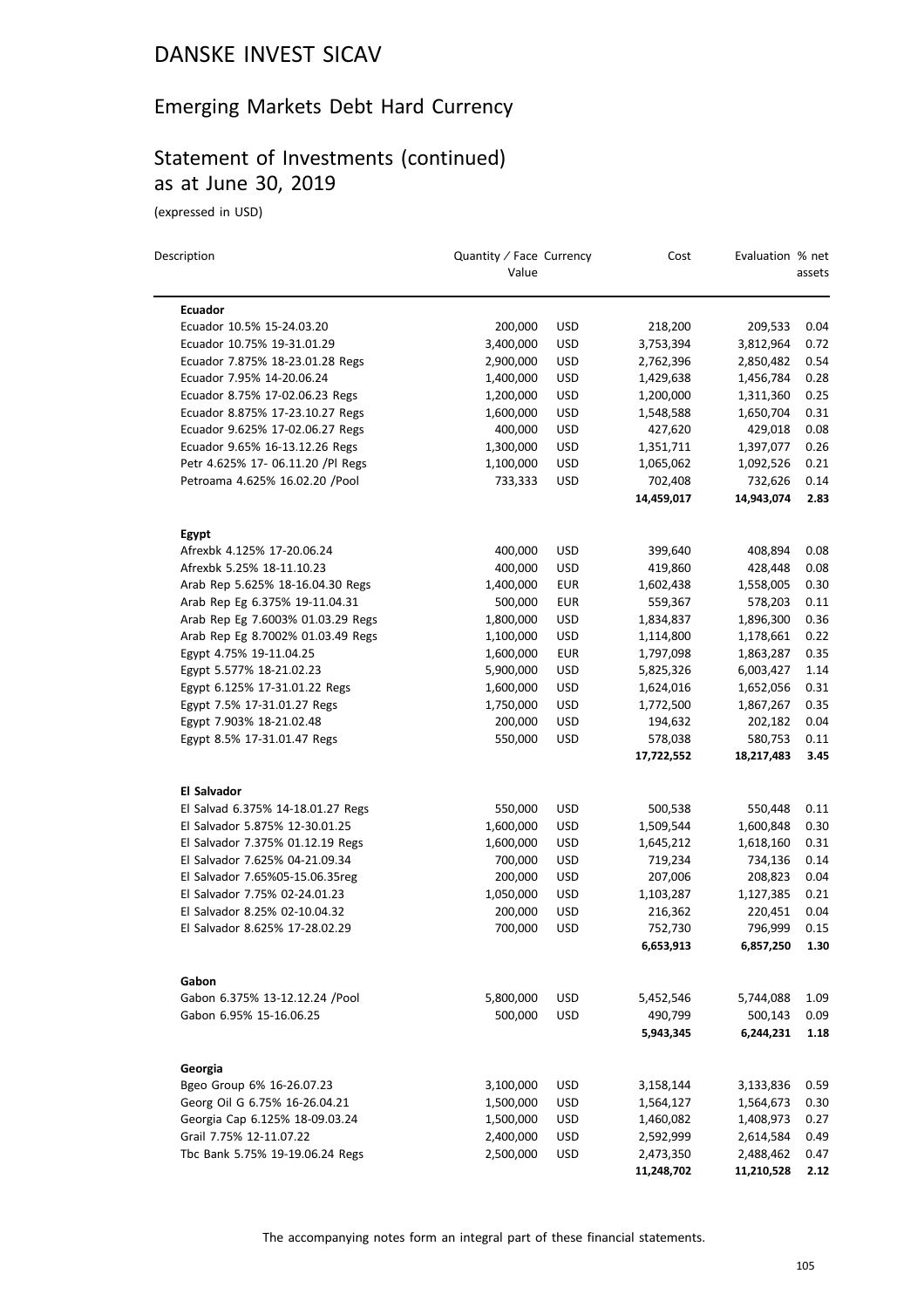## Emerging Markets Debt Hard Currency

## Statement of Investments (continued) as at June 30, 2019

(expressed in USD)

| Description                       | Quantity / Face Currency<br>Value |            | Cost       | Evaluation % net | assets |
|-----------------------------------|-----------------------------------|------------|------------|------------------|--------|
| <b>Ecuador</b>                    |                                   |            |            |                  |        |
| Ecuador 10.5% 15-24.03.20         | 200,000                           | <b>USD</b> | 218,200    | 209,533          | 0.04   |
| Ecuador 10.75% 19-31.01.29        | 3,400,000                         | <b>USD</b> | 3,753,394  | 3,812,964        | 0.72   |
| Ecuador 7.875% 18-23.01.28 Regs   | 2,900,000                         | USD        | 2,762,396  | 2,850,482        | 0.54   |
| Ecuador 7.95% 14-20.06.24         | 1,400,000                         | <b>USD</b> | 1,429,638  | 1,456,784        | 0.28   |
| Ecuador 8.75% 17-02.06.23 Regs    | 1,200,000                         | <b>USD</b> | 1,200,000  | 1,311,360        | 0.25   |
| Ecuador 8.875% 17-23.10.27 Regs   | 1,600,000                         | <b>USD</b> | 1,548,588  | 1,650,704        | 0.31   |
| Ecuador 9.625% 17-02.06.27 Regs   | 400,000                           | <b>USD</b> | 427,620    | 429,018          | 0.08   |
| Ecuador 9.65% 16-13.12.26 Regs    | 1,300,000                         | <b>USD</b> | 1,351,711  | 1,397,077        | 0.26   |
| Petr 4.625% 17- 06.11.20 /Pl Regs | 1,100,000                         | USD        | 1,065,062  | 1,092,526        | 0.21   |
| Petroama 4.625% 16.02.20 /Pool    | 733,333                           | <b>USD</b> | 702,408    | 732,626          | 0.14   |
|                                   |                                   |            | 14,459,017 | 14,943,074       | 2.83   |
| <b>Egypt</b>                      |                                   |            |            |                  |        |
| Afrexbk 4.125% 17-20.06.24        | 400,000                           | <b>USD</b> | 399,640    | 408,894          | 0.08   |
| Afrexbk 5.25% 18-11.10.23         | 400,000                           | <b>USD</b> | 419,860    | 428,448          | 0.08   |
| Arab Rep 5.625% 18-16.04.30 Regs  | 1,400,000                         | <b>EUR</b> | 1,602,438  | 1,558,005        | 0.30   |
| Arab Rep Eg 6.375% 19-11.04.31    | 500,000                           | <b>EUR</b> | 559,367    | 578,203          | 0.11   |
| Arab Rep Eg 7.6003% 01.03.29 Regs | 1,800,000                         | <b>USD</b> | 1,834,837  | 1,896,300        | 0.36   |
| Arab Rep Eg 8.7002% 01.03.49 Regs | 1,100,000                         | <b>USD</b> | 1,114,800  | 1,178,661        | 0.22   |
| Egypt 4.75% 19-11.04.25           | 1,600,000                         | <b>EUR</b> | 1,797,098  | 1,863,287        | 0.35   |
| Egypt 5.577% 18-21.02.23          | 5,900,000                         | <b>USD</b> | 5,825,326  | 6,003,427        | 1.14   |
| Egypt 6.125% 17-31.01.22 Regs     | 1,600,000                         | <b>USD</b> | 1,624,016  | 1,652,056        | 0.31   |
| Egypt 7.5% 17-31.01.27 Regs       | 1,750,000                         | <b>USD</b> | 1,772,500  | 1,867,267        | 0.35   |
| Egypt 7.903% 18-21.02.48          | 200,000                           | <b>USD</b> | 194,632    | 202,182          | 0.04   |
| Egypt 8.5% 17-31.01.47 Regs       | 550,000                           | <b>USD</b> | 578,038    | 580,753          | 0.11   |
|                                   |                                   |            | 17,722,552 | 18,217,483       | 3.45   |
| El Salvador                       |                                   |            |            |                  |        |
| El Salvad 6.375% 14-18.01.27 Regs | 550,000                           | <b>USD</b> | 500,538    | 550,448          | 0.11   |
| El Salvador 5.875% 12-30.01.25    | 1,600,000                         | <b>USD</b> | 1,509,544  | 1,600,848        | 0.30   |
| El Salvador 7.375% 01.12.19 Regs  | 1,600,000                         | <b>USD</b> | 1,645,212  | 1,618,160        | 0.31   |
| El Salvador 7.625% 04-21.09.34    | 700,000                           | USD        | 719,234    | 734,136          | 0.14   |
| El Salvador 7.65%05-15.06.35reg   | 200,000                           | <b>USD</b> | 207,006    | 208,823          | 0.04   |
| El Salvador 7.75% 02-24.01.23     | 1,050,000                         | <b>USD</b> | 1,103,287  | 1,127,385        | 0.21   |
| El Salvador 8.25% 02-10.04.32     | 200,000                           | <b>USD</b> | 216,362    | 220,451          | 0.04   |
| El Salvador 8.625% 17-28.02.29    | 700,000                           | <b>USD</b> | 752,730    | 796,999          | 0.15   |
|                                   |                                   |            | 6,653,913  | 6,857,250        | 1.30   |
| Gabon                             |                                   |            |            |                  |        |
| Gabon 6.375% 13-12.12.24 /Pool    | 5,800,000                         | <b>USD</b> | 5,452,546  | 5,744,088        | 1.09   |
| Gabon 6.95% 15-16.06.25           | 500,000                           | <b>USD</b> | 490,799    | 500,143          | 0.09   |
|                                   |                                   |            | 5,943,345  | 6,244,231        | 1.18   |
| Georgia                           |                                   |            |            |                  |        |
| Bgeo Group 6% 16-26.07.23         | 3,100,000                         | <b>USD</b> | 3,158,144  | 3,133,836        | 0.59   |
| Georg Oil G 6.75% 16-26.04.21     | 1,500,000                         | <b>USD</b> | 1,564,127  | 1,564,673        | 0.30   |
| Georgia Cap 6.125% 18-09.03.24    | 1,500,000                         | <b>USD</b> | 1,460,082  | 1,408,973        | 0.27   |
| Grail 7.75% 12-11.07.22           | 2,400,000                         | <b>USD</b> | 2,592,999  | 2,614,584        | 0.49   |
| Tbc Bank 5.75% 19-19.06.24 Regs   | 2,500,000                         | USD        | 2,473,350  | 2,488,462        | 0.47   |
|                                   |                                   |            | 11,248,702 | 11,210,528       | 2.12   |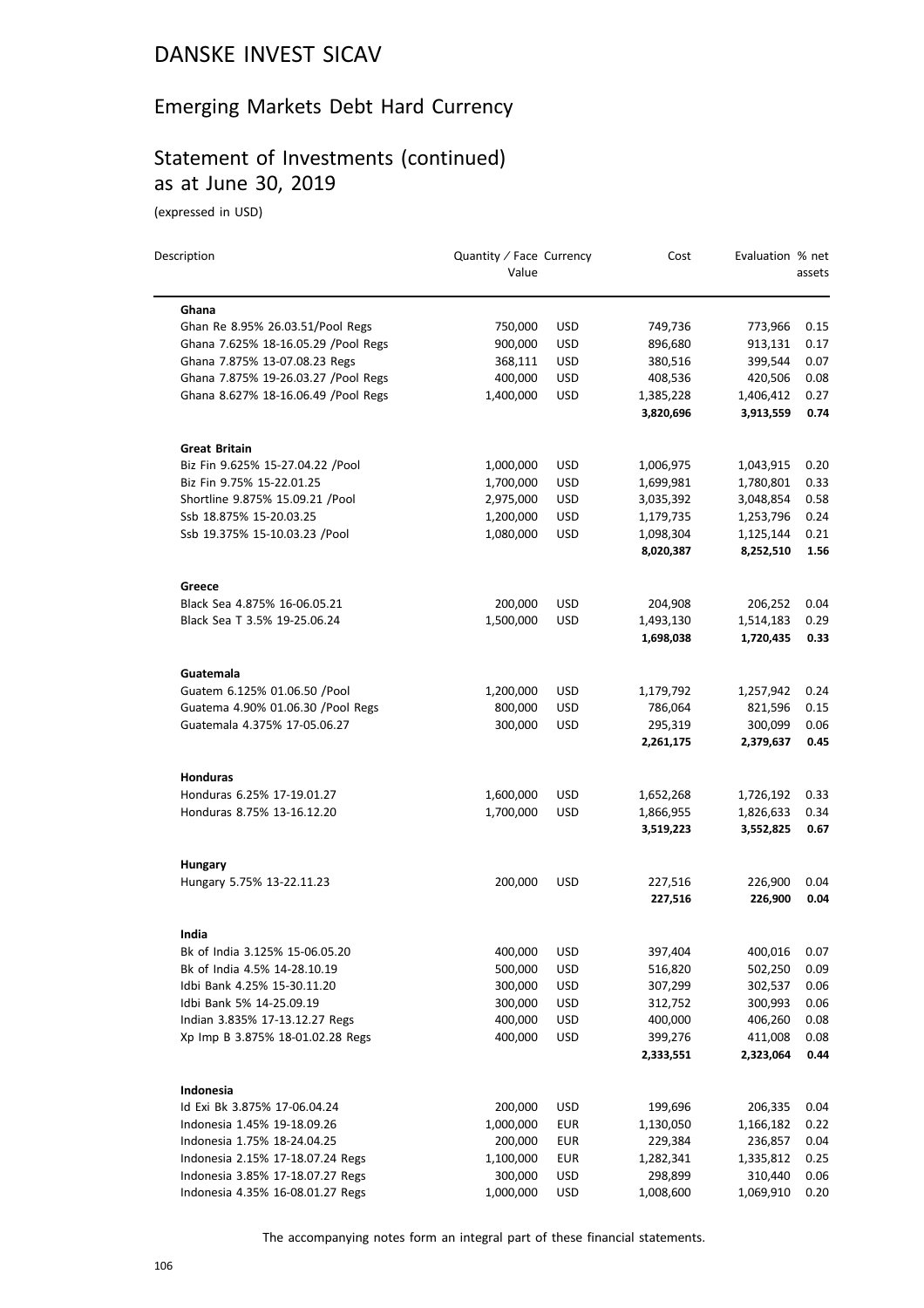## Emerging Markets Debt Hard Currency

## Statement of Investments (continued) as at June 30, 2019

(expressed in USD)

| Description                          | Quantity / Face Currency<br>Value |            | Cost                 | Evaluation % net     | assets       |
|--------------------------------------|-----------------------------------|------------|----------------------|----------------------|--------------|
| Ghana                                |                                   |            |                      |                      |              |
| Ghan Re 8.95% 26.03.51/Pool Regs     | 750,000                           | <b>USD</b> | 749,736              | 773,966              | 0.15         |
| Ghana 7.625% 18-16.05.29 / Pool Regs | 900,000                           | <b>USD</b> | 896,680              | 913,131              | 0.17         |
| Ghana 7.875% 13-07.08.23 Regs        | 368,111                           | <b>USD</b> | 380,516              | 399,544              | 0.07         |
| Ghana 7.875% 19-26.03.27 / Pool Regs | 400,000                           | <b>USD</b> | 408,536              | 420,506              | 0.08         |
| Ghana 8.627% 18-16.06.49 / Pool Regs | 1,400,000                         | <b>USD</b> | 1,385,228            | 1,406,412            | 0.27         |
|                                      |                                   |            | 3,820,696            | 3,913,559            | 0.74         |
| <b>Great Britain</b>                 |                                   |            |                      |                      |              |
| Biz Fin 9.625% 15-27.04.22 /Pool     | 1,000,000                         | USD        | 1,006,975            | 1,043,915            | 0.20         |
| Biz Fin 9.75% 15-22.01.25            | 1,700,000                         | <b>USD</b> | 1,699,981            | 1,780,801            | 0.33         |
| Shortline 9.875% 15.09.21 /Pool      | 2,975,000                         | <b>USD</b> | 3,035,392            | 3,048,854            | 0.58         |
| Ssb 18.875% 15-20.03.25              | 1,200,000                         | <b>USD</b> | 1,179,735            | 1,253,796            | 0.24         |
| Ssb 19.375% 15-10.03.23 /Pool        | 1,080,000                         | <b>USD</b> | 1,098,304            | 1,125,144            | 0.21         |
|                                      |                                   |            | 8,020,387            | 8,252,510            | 1.56         |
| Greece                               |                                   |            |                      |                      |              |
| Black Sea 4.875% 16-06.05.21         | 200,000                           | <b>USD</b> | 204,908              | 206,252              | 0.04         |
| Black Sea T 3.5% 19-25.06.24         | 1,500,000                         | <b>USD</b> | 1,493,130            | 1,514,183            | 0.29         |
|                                      |                                   |            | 1,698,038            | 1,720,435            | 0.33         |
| Guatemala                            |                                   |            |                      |                      |              |
| Guatem 6.125% 01.06.50 / Pool        | 1,200,000                         | USD        | 1,179,792            | 1,257,942            | 0.24         |
| Guatema 4.90% 01.06.30 / Pool Regs   | 800,000                           | <b>USD</b> | 786,064              | 821,596              | 0.15         |
| Guatemala 4.375% 17-05.06.27         | 300,000                           | <b>USD</b> | 295,319<br>2,261,175 | 300,099<br>2,379,637 | 0.06<br>0.45 |
| <b>Honduras</b>                      |                                   |            |                      |                      |              |
| Honduras 6.25% 17-19.01.27           | 1,600,000                         | <b>USD</b> | 1,652,268            | 1,726,192            | 0.33         |
| Honduras 8.75% 13-16.12.20           | 1,700,000                         | <b>USD</b> | 1,866,955            | 1,826,633            | 0.34         |
|                                      |                                   |            | 3,519,223            | 3,552,825            | 0.67         |
| <b>Hungary</b>                       |                                   |            |                      |                      |              |
| Hungary 5.75% 13-22.11.23            | 200,000                           | <b>USD</b> | 227,516              | 226,900              | 0.04         |
|                                      |                                   |            | 227,516              | 226,900              | 0.04         |
| India                                |                                   |            |                      |                      |              |
| Bk of India 3.125% 15-06.05.20       | 400,000                           | <b>USD</b> | 397,404              | 400,016              | $0.07\,$     |
| Bk of India 4.5% 14-28.10.19         | 500,000                           | <b>USD</b> | 516,820              | 502,250              | 0.09         |
| Idbi Bank 4.25% 15-30.11.20          | 300,000                           | <b>USD</b> | 307,299              | 302,537              | 0.06         |
| Idbi Bank 5% 14-25.09.19             | 300,000                           | <b>USD</b> | 312,752              | 300,993              | 0.06         |
| Indian 3.835% 17-13.12.27 Regs       | 400,000                           | USD        | 400,000              | 406,260              | 0.08         |
| Xp Imp B 3.875% 18-01.02.28 Regs     | 400,000                           | USD        | 399,276              | 411,008              | 0.08         |
|                                      |                                   |            | 2,333,551            | 2,323,064            | 0.44         |
| Indonesia                            |                                   |            |                      |                      |              |
| Id Exi Bk 3.875% 17-06.04.24         | 200,000                           | USD        | 199,696              | 206,335              | 0.04         |
| Indonesia 1.45% 19-18.09.26          | 1,000,000                         | <b>EUR</b> | 1,130,050            | 1,166,182            | 0.22         |
| Indonesia 1.75% 18-24.04.25          | 200,000                           | <b>EUR</b> | 229,384              | 236,857              | 0.04         |
| Indonesia 2.15% 17-18.07.24 Regs     | 1,100,000                         | EUR        | 1,282,341            | 1,335,812            | 0.25         |
| Indonesia 3.85% 17-18.07.27 Regs     | 300,000                           | <b>USD</b> | 298,899              | 310,440              | 0.06         |
| Indonesia 4.35% 16-08.01.27 Regs     | 1,000,000                         | <b>USD</b> | 1,008,600            | 1,069,910            | 0.20         |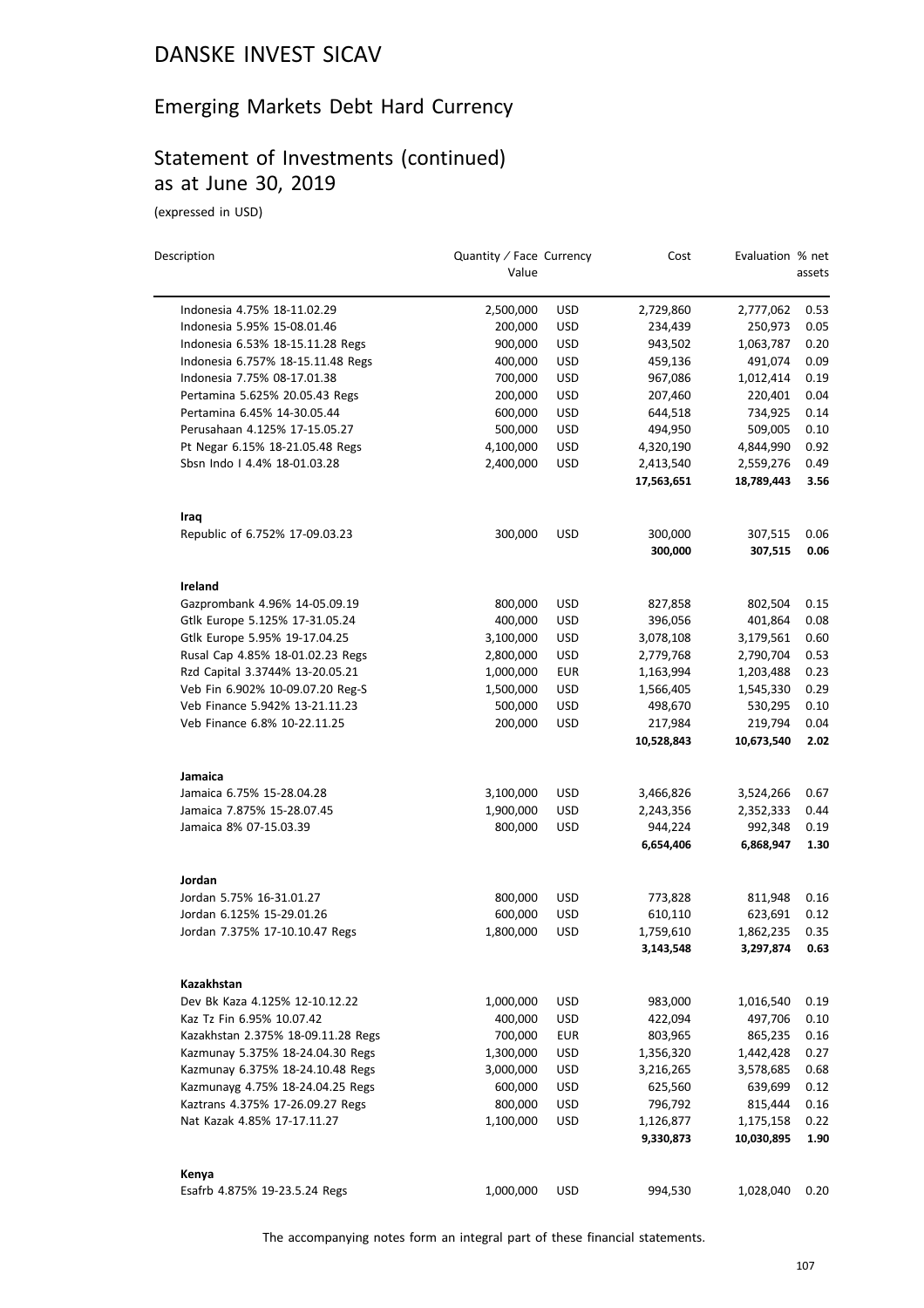## Emerging Markets Debt Hard Currency

#### Statement of Investments (continued) as at June 30, 2019

(expressed in USD)

| Description                        | Quantity / Face Currency<br>Value |            | Cost                  | Evaluation % net      | assets       |
|------------------------------------|-----------------------------------|------------|-----------------------|-----------------------|--------------|
| Indonesia 4.75% 18-11.02.29        | 2,500,000                         | <b>USD</b> | 2,729,860             | 2,777,062             | 0.53         |
| Indonesia 5.95% 15-08.01.46        | 200,000                           | <b>USD</b> | 234,439               | 250,973               | 0.05         |
| Indonesia 6.53% 18-15.11.28 Regs   | 900,000                           | <b>USD</b> | 943,502               | 1,063,787             | 0.20         |
| Indonesia 6.757% 18-15.11.48 Regs  | 400,000                           | USD        | 459,136               | 491,074               | 0.09         |
| Indonesia 7.75% 08-17.01.38        | 700,000                           | <b>USD</b> | 967,086               | 1,012,414             | 0.19         |
| Pertamina 5.625% 20.05.43 Regs     | 200,000                           | <b>USD</b> | 207,460               | 220,401               | 0.04         |
| Pertamina 6.45% 14-30.05.44        | 600,000                           | <b>USD</b> | 644,518               | 734,925               | 0.14         |
| Perusahaan 4.125% 17-15.05.27      | 500,000                           | <b>USD</b> | 494,950               | 509,005               | 0.10         |
| Pt Negar 6.15% 18-21.05.48 Regs    | 4,100,000                         | <b>USD</b> | 4,320,190             | 4,844,990             | 0.92         |
| Sbsn Indo   4.4% 18-01.03.28       | 2,400,000                         | <b>USD</b> | 2,413,540             | 2,559,276             | 0.49         |
|                                    |                                   |            | 17,563,651            | 18,789,443            | 3.56         |
| Iraq                               |                                   |            |                       |                       |              |
| Republic of 6.752% 17-09.03.23     | 300,000                           | <b>USD</b> | 300,000               | 307,515               | 0.06         |
|                                    |                                   |            | 300,000               | 307,515               | 0.06         |
| Ireland                            |                                   |            |                       |                       |              |
| Gazprombank 4.96% 14-05.09.19      | 800,000                           | <b>USD</b> | 827,858               | 802,504               | 0.15         |
| Gtlk Europe 5.125% 17-31.05.24     | 400,000                           | <b>USD</b> | 396,056               | 401,864               | 0.08         |
| Gtlk Europe 5.95% 19-17.04.25      | 3,100,000                         | <b>USD</b> | 3,078,108             | 3,179,561             | 0.60         |
| Rusal Cap 4.85% 18-01.02.23 Regs   | 2,800,000                         | <b>USD</b> | 2,779,768             | 2,790,704             | 0.53         |
| Rzd Capital 3.3744% 13-20.05.21    | 1,000,000                         | <b>EUR</b> | 1,163,994             | 1,203,488             | 0.23         |
| Veb Fin 6.902% 10-09.07.20 Reg-S   | 1,500,000                         | <b>USD</b> | 1,566,405             | 1,545,330             | 0.29         |
| Veb Finance 5.942% 13-21.11.23     | 500,000                           | <b>USD</b> | 498,670               | 530,295               | 0.10         |
| Veb Finance 6.8% 10-22.11.25       | 200,000                           | <b>USD</b> | 217,984<br>10,528,843 | 219,794<br>10,673,540 | 0.04<br>2.02 |
|                                    |                                   |            |                       |                       |              |
| Jamaica                            |                                   |            |                       |                       |              |
| Jamaica 6.75% 15-28.04.28          | 3,100,000                         | <b>USD</b> | 3,466,826             | 3,524,266             | 0.67         |
| Jamaica 7.875% 15-28.07.45         | 1,900,000                         | <b>USD</b> | 2,243,356             | 2,352,333             | 0.44         |
| Jamaica 8% 07-15.03.39             | 800,000                           | <b>USD</b> | 944,224               | 992,348               | 0.19         |
|                                    |                                   |            | 6,654,406             | 6,868,947             | 1.30         |
| Jordan                             |                                   |            |                       |                       |              |
| Jordan 5.75% 16-31.01.27           | 800,000                           | <b>USD</b> | 773,828               | 811,948               | 0.16         |
| Jordan 6.125% 15-29.01.26          | 600,000                           | <b>USD</b> | 610,110               | 623,691               | 0.12         |
| Jordan 7.375% 17-10.10.47 Regs     | 1,800,000                         | <b>USD</b> | 1,759,610             | 1,862,235             | 0.35         |
|                                    |                                   |            | 3,143,548             | 3,297,874             | 0.63         |
| Kazakhstan                         |                                   |            |                       |                       |              |
| Dev Bk Kaza 4.125% 12-10.12.22     | 1,000,000                         | <b>USD</b> | 983,000               | 1,016,540             | 0.19         |
| Kaz Tz Fin 6.95% 10.07.42          | 400,000                           | <b>USD</b> | 422,094               | 497,706               | 0.10         |
| Kazakhstan 2.375% 18-09.11.28 Regs | 700,000                           | <b>EUR</b> | 803,965               | 865,235               | 0.16         |
| Kazmunay 5.375% 18-24.04.30 Regs   | 1,300,000                         | <b>USD</b> | 1,356,320             | 1,442,428             | 0.27         |
| Kazmunay 6.375% 18-24.10.48 Regs   | 3,000,000                         | USD        | 3,216,265             | 3,578,685             | 0.68         |
| Kazmunayg 4.75% 18-24.04.25 Regs   | 600,000                           | <b>USD</b> | 625,560               | 639,699               | 0.12         |
| Kaztrans 4.375% 17-26.09.27 Regs   | 800,000                           | <b>USD</b> | 796,792               | 815,444               | 0.16         |
| Nat Kazak 4.85% 17-17.11.27        | 1,100,000                         | USD        | 1,126,877             | 1,175,158             | 0.22         |
|                                    |                                   |            | 9,330,873             | 10,030,895            | 1.90         |
| Kenya                              |                                   |            |                       |                       |              |
| Esafrb 4.875% 19-23.5.24 Regs      | 1,000,000                         | USD        | 994,530               | 1,028,040             | 0.20         |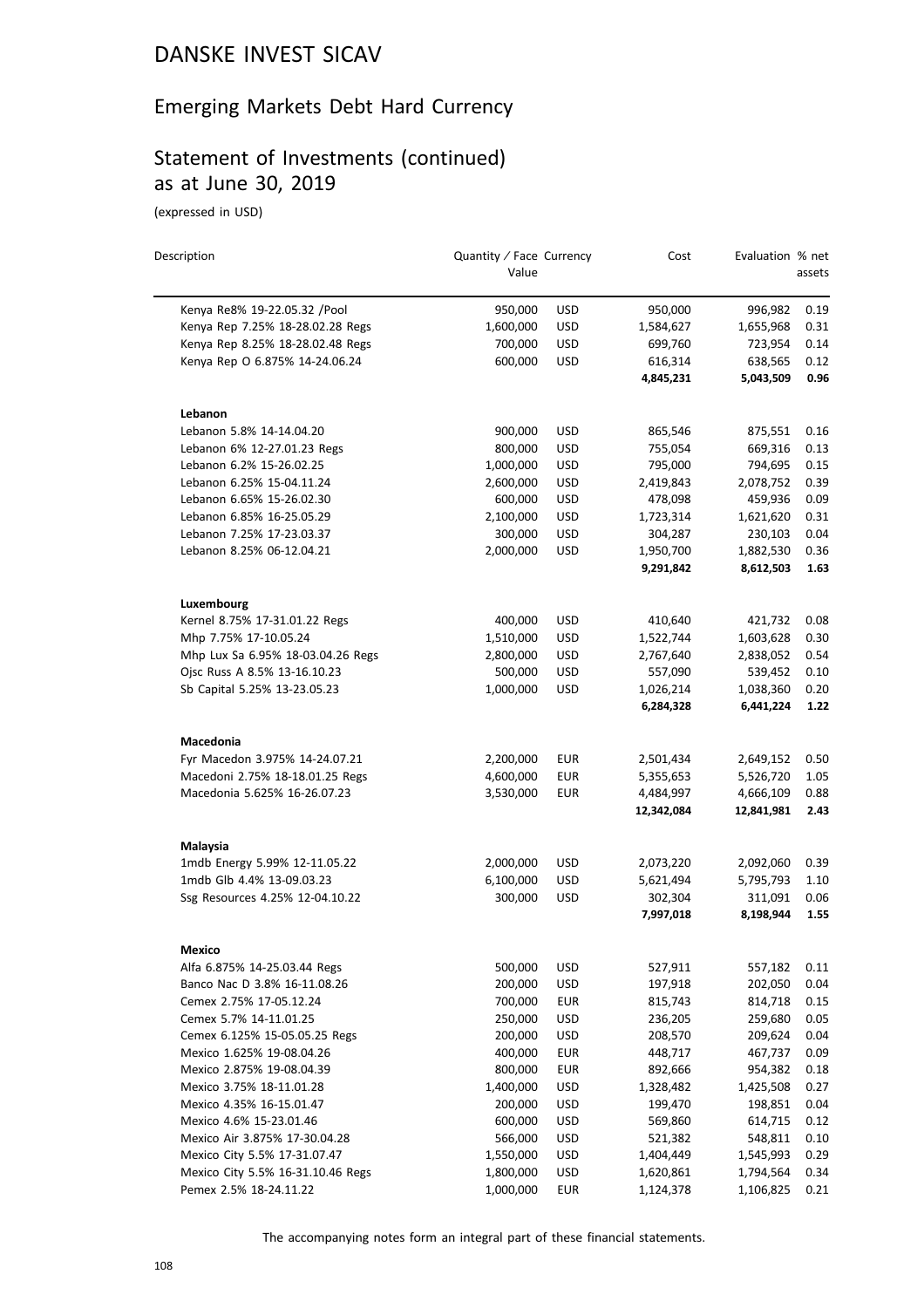## Emerging Markets Debt Hard Currency

## Statement of Investments (continued) as at June 30, 2019

(expressed in USD)

| Description                                                          | Quantity / Face Currency<br>Value |                          | Cost                 | Evaluation % net     | assets       |
|----------------------------------------------------------------------|-----------------------------------|--------------------------|----------------------|----------------------|--------------|
|                                                                      |                                   |                          |                      |                      |              |
| Kenya Re8% 19-22.05.32 /Pool                                         | 950,000                           | <b>USD</b>               | 950,000              | 996,982              | 0.19         |
| Kenya Rep 7.25% 18-28.02.28 Regs<br>Kenya Rep 8.25% 18-28.02.48 Regs | 1,600,000<br>700,000              | <b>USD</b><br><b>USD</b> | 1,584,627<br>699,760 | 1,655,968<br>723,954 | 0.31<br>0.14 |
|                                                                      | 600,000                           | <b>USD</b>               | 616,314              |                      | 0.12         |
| Kenya Rep O 6.875% 14-24.06.24                                       |                                   |                          | 4,845,231            | 638,565<br>5,043,509 | 0.96         |
| Lebanon                                                              |                                   |                          |                      |                      |              |
| Lebanon 5.8% 14-14.04.20                                             | 900,000                           | <b>USD</b>               | 865,546              | 875,551              | 0.16         |
| Lebanon 6% 12-27.01.23 Regs                                          | 800,000                           | <b>USD</b>               | 755,054              | 669,316              | 0.13         |
| Lebanon 6.2% 15-26.02.25                                             | 1,000,000                         | <b>USD</b>               | 795,000              | 794,695              | 0.15         |
| Lebanon 6.25% 15-04.11.24                                            | 2,600,000                         | <b>USD</b>               | 2,419,843            | 2,078,752            | 0.39         |
| Lebanon 6.65% 15-26.02.30                                            | 600,000                           | <b>USD</b>               | 478,098              | 459,936              | 0.09         |
| Lebanon 6.85% 16-25.05.29                                            | 2,100,000                         | <b>USD</b>               | 1,723,314            | 1,621,620            | 0.31         |
| Lebanon 7.25% 17-23.03.37                                            | 300,000                           | <b>USD</b>               | 304,287              | 230,103              | 0.04         |
| Lebanon 8.25% 06-12.04.21                                            | 2,000,000                         | <b>USD</b>               | 1,950,700            | 1,882,530            | 0.36         |
|                                                                      |                                   |                          | 9,291,842            | 8,612,503            | 1.63         |
| Luxembourg                                                           |                                   |                          |                      |                      |              |
| Kernel 8.75% 17-31.01.22 Regs                                        | 400,000                           | USD                      | 410,640              | 421,732              | 0.08         |
| Mhp 7.75% 17-10.05.24                                                | 1,510,000                         | <b>USD</b>               | 1,522,744            | 1,603,628            | 0.30         |
| Mhp Lux Sa 6.95% 18-03.04.26 Regs                                    | 2,800,000                         | <b>USD</b>               | 2,767,640            | 2,838,052            | 0.54         |
| Ojsc Russ A 8.5% 13-16.10.23                                         | 500,000                           | <b>USD</b>               | 557,090              | 539,452              | 0.10         |
| Sb Capital 5.25% 13-23.05.23                                         | 1,000,000                         | <b>USD</b>               | 1,026,214            | 1,038,360            | 0.20         |
|                                                                      |                                   |                          | 6,284,328            | 6,441,224            | 1.22         |
| Macedonia                                                            |                                   |                          |                      |                      |              |
| Fyr Macedon 3.975% 14-24.07.21                                       | 2,200,000                         | EUR                      | 2,501,434            | 2,649,152            | 0.50         |
| Macedoni 2.75% 18-18.01.25 Regs                                      | 4,600,000                         | <b>EUR</b>               | 5,355,653            | 5,526,720            | 1.05         |
| Macedonia 5.625% 16-26.07.23                                         | 3,530,000                         | <b>EUR</b>               | 4,484,997            | 4,666,109            | 0.88         |
|                                                                      |                                   |                          | 12,342,084           | 12,841,981           | 2.43         |
| Malaysia                                                             |                                   |                          |                      |                      |              |
| 1mdb Energy 5.99% 12-11.05.22                                        | 2,000,000                         | USD                      | 2,073,220            | 2,092,060            | 0.39         |
| 1mdb Glb 4.4% 13-09.03.23                                            | 6,100,000                         | <b>USD</b>               | 5,621,494            | 5,795,793            | 1.10         |
| Ssg Resources 4.25% 12-04.10.22                                      | 300,000                           | <b>USD</b>               | 302,304              | 311,091              | 0.06         |
|                                                                      |                                   |                          | 7,997,018            | 8,198,944            | 1.55         |
| Mexico                                                               |                                   |                          |                      |                      |              |
| Alfa 6.875% 14-25.03.44 Regs                                         | 500,000                           | <b>USD</b>               | 527,911              | 557,182              | 0.11         |
| Banco Nac D 3.8% 16-11.08.26                                         | 200,000                           | <b>USD</b>               | 197,918              | 202,050              | 0.04         |
| Cemex 2.75% 17-05.12.24                                              | 700,000                           | EUR                      | 815,743              | 814,718              | 0.15         |
| Cemex 5.7% 14-11.01.25                                               | 250,000                           | <b>USD</b>               | 236,205              | 259,680              | 0.05         |
| Cemex 6.125% 15-05.05.25 Regs                                        | 200,000                           | <b>USD</b>               | 208,570              | 209,624              | 0.04         |
| Mexico 1.625% 19-08.04.26                                            | 400,000                           | EUR                      | 448,717              | 467,737              | 0.09         |
| Mexico 2.875% 19-08.04.39                                            | 800,000                           | <b>EUR</b>               | 892,666              | 954,382              | 0.18         |
| Mexico 3.75% 18-11.01.28                                             | 1,400,000                         | <b>USD</b>               | 1,328,482            | 1,425,508            | 0.27         |
| Mexico 4.35% 16-15.01.47                                             | 200,000                           | <b>USD</b>               | 199,470              | 198,851              | 0.04         |
| Mexico 4.6% 15-23.01.46                                              | 600,000                           | <b>USD</b>               | 569,860              | 614,715              | 0.12         |
| Mexico Air 3.875% 17-30.04.28                                        | 566,000                           | <b>USD</b>               | 521,382              | 548,811              | 0.10         |
| Mexico City 5.5% 17-31.07.47                                         | 1,550,000                         | <b>USD</b>               | 1,404,449            | 1,545,993            | 0.29         |
| Mexico City 5.5% 16-31.10.46 Regs                                    | 1,800,000                         | <b>USD</b>               | 1,620,861            | 1,794,564            | 0.34         |
| Pemex 2.5% 18-24.11.22                                               | 1,000,000                         | <b>EUR</b>               | 1,124,378            | 1,106,825            | 0.21         |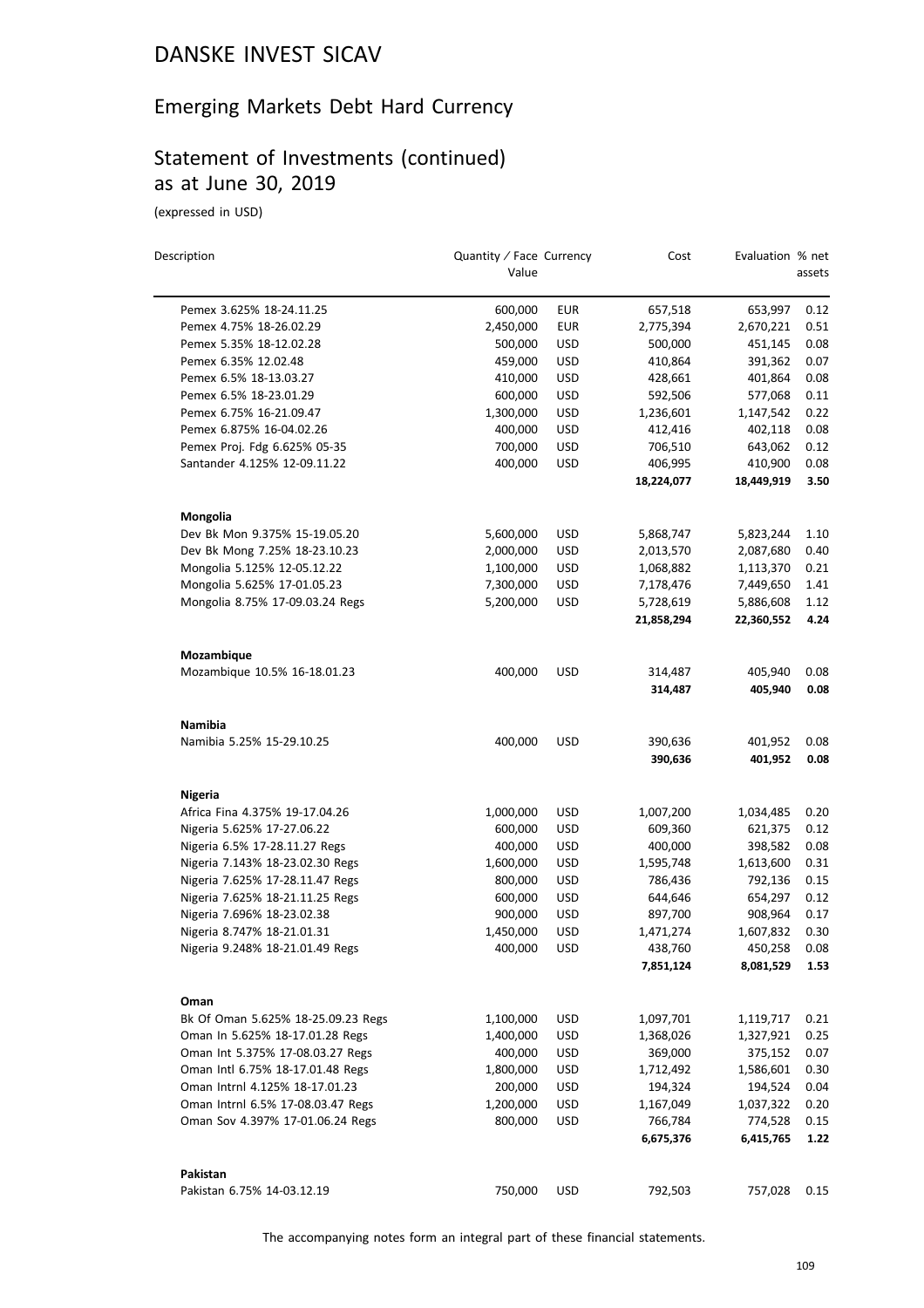# Emerging Markets Debt Hard Currency

# Statement of Investments (continued) as at June 30, 2019

(expressed in USD)

| Description                        | Quantity / Face Currency<br>Value |            | Cost               | Evaluation % net   | assets       |
|------------------------------------|-----------------------------------|------------|--------------------|--------------------|--------------|
| Pemex 3.625% 18-24.11.25           | 600,000                           | <b>EUR</b> | 657,518            | 653,997            | 0.12         |
| Pemex 4.75% 18-26.02.29            | 2,450,000                         | <b>EUR</b> | 2,775,394          | 2,670,221          | 0.51         |
| Pemex 5.35% 18-12.02.28            | 500,000                           | <b>USD</b> | 500,000            | 451,145            | 0.08         |
| Pemex 6.35% 12.02.48               | 459,000                           | <b>USD</b> | 410,864            | 391,362            | 0.07         |
| Pemex 6.5% 18-13.03.27             | 410,000                           | <b>USD</b> | 428,661            | 401,864            | 0.08         |
| Pemex 6.5% 18-23.01.29             | 600,000                           | <b>USD</b> | 592,506            | 577,068            | 0.11         |
| Pemex 6.75% 16-21.09.47            | 1,300,000                         | <b>USD</b> | 1,236,601          | 1,147,542          | 0.22         |
| Pemex 6.875% 16-04.02.26           | 400,000                           | <b>USD</b> | 412,416            | 402,118            | 0.08         |
| Pemex Proj. Fdg 6.625% 05-35       | 700,000                           | USD        | 706,510            | 643,062            | 0.12         |
| Santander 4.125% 12-09.11.22       | 400,000                           | <b>USD</b> | 406,995            | 410,900            | 0.08         |
|                                    |                                   |            | 18,224,077         | 18,449,919         | 3.50         |
| Mongolia                           |                                   |            |                    |                    |              |
| Dev Bk Mon 9.375% 15-19.05.20      | 5,600,000                         | USD        | 5,868,747          | 5,823,244          | 1.10         |
| Dev Bk Mong 7.25% 18-23.10.23      | 2,000,000                         | <b>USD</b> | 2,013,570          | 2,087,680          | 0.40         |
| Mongolia 5.125% 12-05.12.22        | 1,100,000                         | <b>USD</b> | 1,068,882          | 1,113,370          | 0.21         |
| Mongolia 5.625% 17-01.05.23        | 7,300,000                         | <b>USD</b> | 7,178,476          | 7,449,650          | 1.41         |
| Mongolia 8.75% 17-09.03.24 Regs    | 5,200,000                         | <b>USD</b> | 5,728,619          | 5,886,608          | 1.12         |
|                                    |                                   |            | 21,858,294         | 22,360,552         | 4.24         |
| Mozambique                         |                                   |            |                    |                    |              |
| Mozambique 10.5% 16-18.01.23       | 400,000                           | <b>USD</b> | 314,487            | 405,940            | 0.08         |
|                                    |                                   |            | 314,487            | 405,940            | 0.08         |
| <b>Namibia</b>                     |                                   |            |                    |                    |              |
| Namibia 5.25% 15-29.10.25          | 400,000                           | <b>USD</b> | 390,636<br>390,636 | 401,952<br>401,952 | 0.08<br>0.08 |
| Nigeria                            |                                   |            |                    |                    |              |
| Africa Fina 4.375% 19-17.04.26     | 1,000,000                         | <b>USD</b> | 1,007,200          | 1,034,485          | 0.20         |
| Nigeria 5.625% 17-27.06.22         | 600,000                           | <b>USD</b> | 609,360            | 621,375            | 0.12         |
| Nigeria 6.5% 17-28.11.27 Regs      | 400,000                           | <b>USD</b> | 400,000            | 398,582            | 0.08         |
| Nigeria 7.143% 18-23.02.30 Regs    | 1,600,000                         | <b>USD</b> | 1,595,748          | 1,613,600          | 0.31         |
| Nigeria 7.625% 17-28.11.47 Regs    | 800,000                           | <b>USD</b> | 786,436            | 792,136            | 0.15         |
| Nigeria 7.625% 18-21.11.25 Regs    | 600,000                           | <b>USD</b> | 644,646            | 654,297            | 0.12         |
| Nigeria 7.696% 18-23.02.38         | 900,000                           | <b>USD</b> | 897,700            | 908,964            | 0.17         |
| Nigeria 8.747% 18-21.01.31         | 1,450,000                         | USD        | 1,471,274          | 1,607,832          | 0.30         |
| Nigeria 9.248% 18-21.01.49 Regs    | 400,000                           | <b>USD</b> | 438,760            | 450,258            | 0.08         |
|                                    |                                   |            | 7,851,124          | 8,081,529          | 1.53         |
| Oman                               |                                   |            |                    |                    |              |
| Bk Of Oman 5.625% 18-25.09.23 Regs | 1,100,000                         | <b>USD</b> | 1,097,701          | 1,119,717          | 0.21         |
| Oman In 5.625% 18-17.01.28 Regs    | 1,400,000                         | <b>USD</b> | 1,368,026          | 1,327,921          | 0.25         |
| Oman Int 5.375% 17-08.03.27 Regs   | 400,000                           | USD        | 369,000            | 375,152            | 0.07         |
| Oman Intl 6.75% 18-17.01.48 Regs   | 1,800,000                         | <b>USD</b> | 1,712,492          | 1,586,601          | 0.30         |
| Oman Intrnl 4.125% 18-17.01.23     | 200,000                           | <b>USD</b> | 194,324            | 194,524            | 0.04         |
| Oman Intrnl 6.5% 17-08.03.47 Regs  | 1,200,000                         | USD        | 1,167,049          | 1,037,322          | 0.20         |
| Oman Sov 4.397% 17-01.06.24 Regs   | 800,000                           | <b>USD</b> | 766,784            | 774,528            | 0.15         |
|                                    |                                   |            | 6,675,376          | 6,415,765          | 1.22         |
| Pakistan                           |                                   |            |                    |                    |              |
| Pakistan 6.75% 14-03.12.19         | 750,000                           | USD        | 792,503            | 757,028            | 0.15         |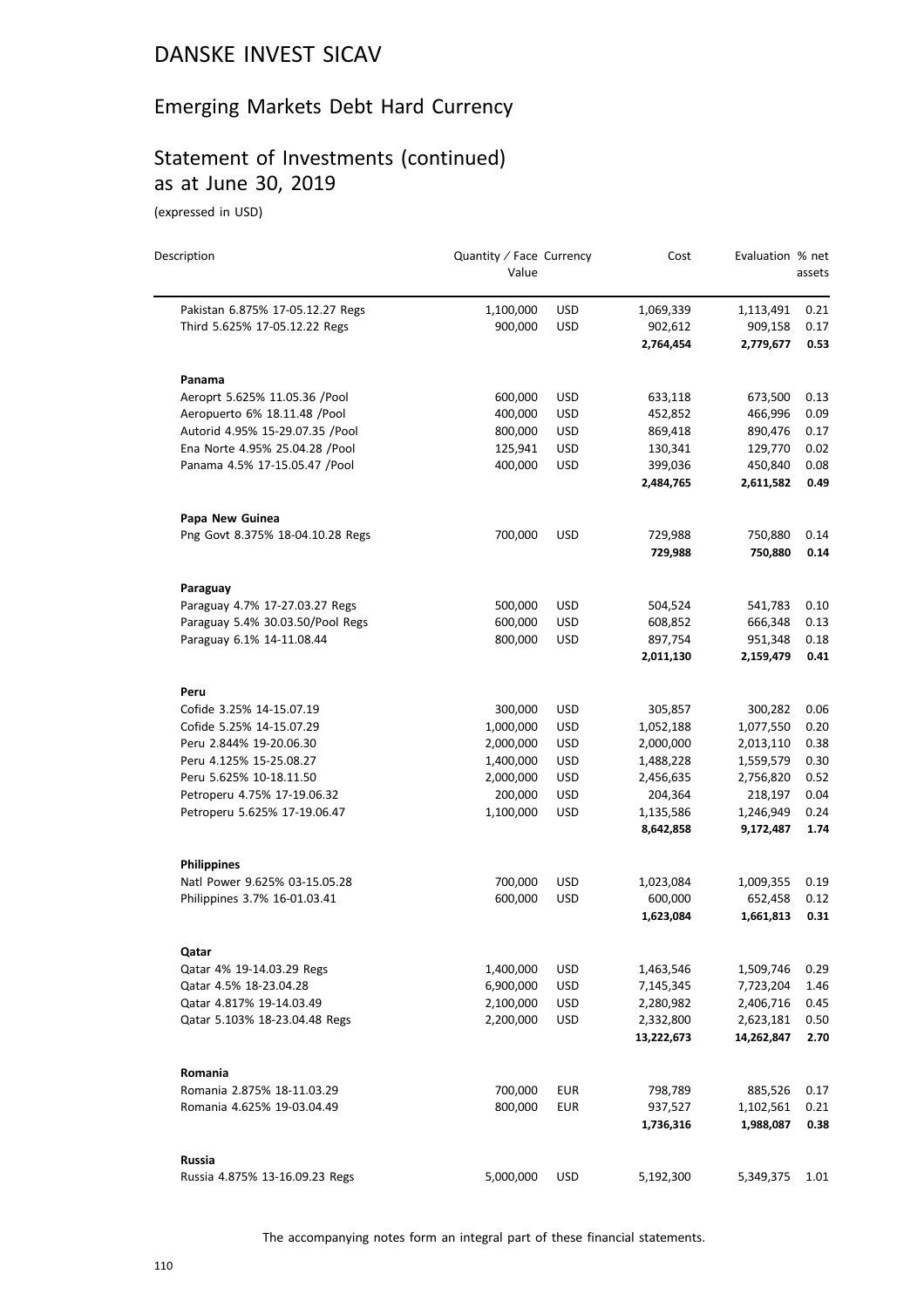# Emerging Markets Debt Hard Currency

# Statement of Investments (continued) as at June 30, 2019

(expressed in USD)

| Description                      | Quantity / Face Currency<br>Value |            | Cost                    | Evaluation % net        | assets       |
|----------------------------------|-----------------------------------|------------|-------------------------|-------------------------|--------------|
| Pakistan 6.875% 17-05.12.27 Regs | 1,100,000                         | <b>USD</b> | 1,069,339               | 1,113,491               | 0.21         |
| Third 5.625% 17-05.12.22 Regs    | 900,000                           | <b>USD</b> | 902,612                 | 909,158                 | 0.17         |
|                                  |                                   |            | 2,764,454               | 2,779,677               | 0.53         |
| Panama                           |                                   |            |                         |                         |              |
| Aeroprt 5.625% 11.05.36 /Pool    | 600,000                           | <b>USD</b> | 633,118                 | 673,500                 | 0.13         |
| Aeropuerto 6% 18.11.48 /Pool     | 400,000                           | <b>USD</b> | 452,852                 | 466,996                 | 0.09         |
| Autorid 4.95% 15-29.07.35 /Pool  | 800,000                           | USD        | 869,418                 | 890,476                 | 0.17         |
| Ena Norte 4.95% 25.04.28 /Pool   | 125,941                           | <b>USD</b> | 130,341                 | 129,770                 | 0.02         |
| Panama 4.5% 17-15.05.47 /Pool    | 400,000                           | <b>USD</b> | 399,036                 | 450,840                 | 0.08         |
|                                  |                                   |            | 2,484,765               | 2,611,582               | 0.49         |
| Papa New Guinea                  |                                   |            |                         |                         |              |
| Png Govt 8.375% 18-04.10.28 Regs | 700,000                           | <b>USD</b> | 729,988                 | 750,880                 | 0.14         |
|                                  |                                   |            | 729,988                 | 750,880                 | 0.14         |
| Paraguay                         |                                   |            |                         |                         |              |
| Paraguay 4.7% 17-27.03.27 Regs   | 500,000                           | <b>USD</b> | 504,524                 | 541,783                 | 0.10         |
| Paraguay 5.4% 30.03.50/Pool Regs | 600,000                           | <b>USD</b> | 608,852                 | 666,348                 | 0.13         |
| Paraguay 6.1% 14-11.08.44        | 800,000                           | <b>USD</b> | 897,754                 | 951,348                 | 0.18         |
|                                  |                                   |            | 2,011,130               | 2,159,479               | 0.41         |
| Peru                             |                                   |            |                         |                         |              |
| Cofide 3.25% 14-15.07.19         | 300,000                           | <b>USD</b> | 305,857                 | 300,282                 | 0.06         |
| Cofide 5.25% 14-15.07.29         | 1,000,000                         | <b>USD</b> | 1,052,188               | 1,077,550               | 0.20         |
| Peru 2.844% 19-20.06.30          | 2,000,000                         | <b>USD</b> | 2,000,000               | 2,013,110               | 0.38         |
| Peru 4.125% 15-25.08.27          | 1,400,000                         | <b>USD</b> | 1,488,228               | 1,559,579               | 0.30         |
| Peru 5.625% 10-18.11.50          | 2,000,000                         | <b>USD</b> | 2,456,635               | 2,756,820               | 0.52         |
| Petroperu 4.75% 17-19.06.32      | 200,000                           | <b>USD</b> | 204,364                 | 218,197                 | 0.04         |
| Petroperu 5.625% 17-19.06.47     | 1,100,000                         | <b>USD</b> | 1,135,586               | 1,246,949               | 0.24         |
|                                  |                                   |            | 8,642,858               | 9,172,487               | 1.74         |
| <b>Philippines</b>               |                                   |            |                         |                         |              |
| Natl Power 9.625% 03-15.05.28    | 700,000                           | <b>USD</b> | 1,023,084               | 1,009,355               | 0.19         |
| Philippines 3.7% 16-01.03.41     | 600,000                           | <b>USD</b> | 600,000                 | 652,458                 | 0.12         |
|                                  |                                   |            | 1,623,084               | 1,661,813               | 0.31         |
| Qatar                            |                                   |            |                         |                         |              |
| Qatar 4% 19-14.03.29 Regs        | 1,400,000                         | USD        | 1,463,546               | 1,509,746               | 0.29         |
| Qatar 4.5% 18-23.04.28           | 6,900,000                         | <b>USD</b> | 7,145,345               | 7,723,204               | 1.46         |
| Qatar 4.817% 19-14.03.49         | 2,100,000                         | <b>USD</b> | 2,280,982               | 2,406,716               | 0.45         |
| Qatar 5.103% 18-23.04.48 Regs    | 2,200,000                         | USD        | 2,332,800<br>13,222,673 | 2,623,181<br>14,262,847 | 0.50<br>2.70 |
|                                  |                                   |            |                         |                         |              |
| Romania                          |                                   |            |                         |                         |              |
| Romania 2.875% 18-11.03.29       | 700,000                           | <b>EUR</b> | 798,789                 | 885,526                 | 0.17         |
| Romania 4.625% 19-03.04.49       | 800,000                           | <b>EUR</b> | 937,527                 | 1,102,561               | 0.21         |
|                                  |                                   |            | 1,736,316               | 1,988,087               | 0.38         |
| Russia                           |                                   |            |                         |                         |              |
| Russia 4.875% 13-16.09.23 Regs   | 5,000,000                         | <b>USD</b> | 5,192,300               | 5,349,375               | 1.01         |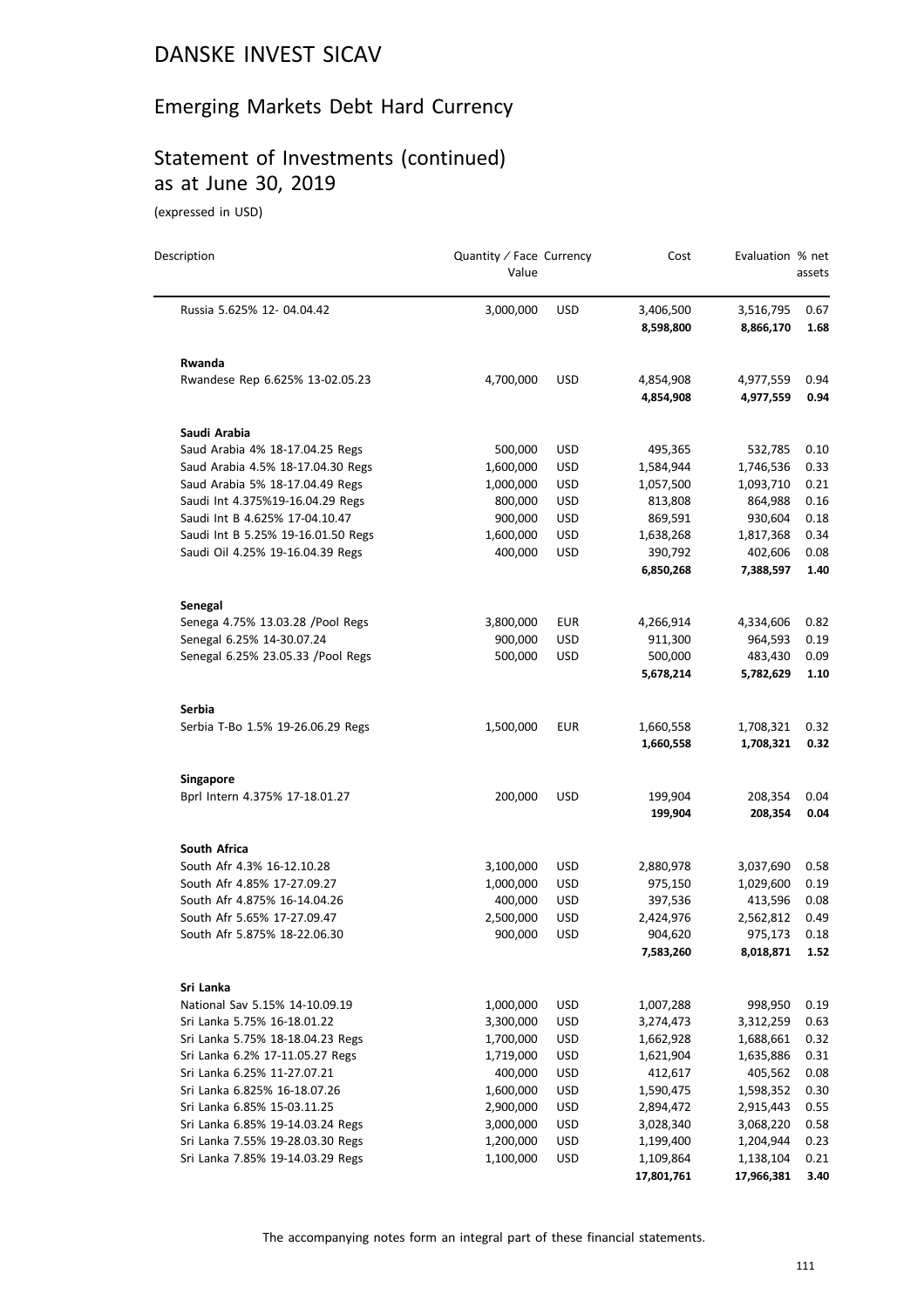# Emerging Markets Debt Hard Currency

# Statement of Investments (continued) as at June 30, 2019

(expressed in USD)

| Description                        | Quantity / Face Currency<br>Value |            | Cost                   | Evaluation % net       | assets       |
|------------------------------------|-----------------------------------|------------|------------------------|------------------------|--------------|
| Russia 5.625% 12-04.04.42          | 3,000,000                         | <b>USD</b> | 3,406,500<br>8,598,800 | 3,516,795<br>8,866,170 | 0.67<br>1.68 |
| <b>Rwanda</b>                      |                                   |            |                        |                        |              |
| Rwandese Rep 6.625% 13-02.05.23    | 4,700,000                         | <b>USD</b> | 4,854,908<br>4,854,908 | 4,977,559<br>4,977,559 | 0.94<br>0.94 |
| Saudi Arabia                       |                                   |            |                        |                        |              |
| Saud Arabia 4% 18-17.04.25 Regs    | 500,000                           | <b>USD</b> | 495,365                | 532,785                | 0.10         |
| Saud Arabia 4.5% 18-17.04.30 Regs  | 1,600,000                         | <b>USD</b> | 1,584,944              | 1,746,536              | 0.33         |
| Saud Arabia 5% 18-17.04.49 Regs    | 1,000,000                         | <b>USD</b> | 1,057,500              | 1,093,710              | 0.21         |
| Saudi Int 4.375%19-16.04.29 Regs   | 800,000                           | <b>USD</b> | 813,808                | 864,988                | 0.16         |
| Saudi Int B 4.625% 17-04.10.47     | 900,000                           | USD        | 869,591                | 930,604                | 0.18         |
| Saudi Int B 5.25% 19-16.01.50 Regs | 1,600,000                         | <b>USD</b> | 1,638,268              | 1,817,368              | 0.34         |
| Saudi Oil 4.25% 19-16.04.39 Regs   | 400,000                           | <b>USD</b> | 390,792                | 402,606                | 0.08         |
|                                    |                                   |            | 6,850,268              | 7,388,597              | 1.40         |
| Senegal                            |                                   |            |                        |                        |              |
| Senega 4.75% 13.03.28 / Pool Regs  | 3,800,000                         | <b>EUR</b> | 4,266,914              | 4,334,606              | 0.82         |
| Senegal 6.25% 14-30.07.24          | 900,000                           | <b>USD</b> | 911,300                | 964,593                | 0.19         |
| Senegal 6.25% 23.05.33 / Pool Regs | 500,000                           | <b>USD</b> | 500,000                | 483,430                | 0.09         |
|                                    |                                   |            | 5,678,214              | 5,782,629              | 1.10         |
| Serbia                             |                                   |            |                        |                        |              |
| Serbia T-Bo 1.5% 19-26.06.29 Regs  | 1,500,000                         | <b>EUR</b> | 1,660,558<br>1,660,558 | 1,708,321<br>1,708,321 | 0.32<br>0.32 |
| Singapore                          |                                   |            |                        |                        |              |
| Bprl Intern 4.375% 17-18.01.27     | 200,000                           | <b>USD</b> | 199,904                | 208,354                | 0.04         |
|                                    |                                   |            | 199,904                | 208,354                | 0.04         |
| South Africa                       |                                   |            |                        |                        |              |
| South Afr 4.3% 16-12.10.28         | 3,100,000                         | USD        | 2,880,978              | 3,037,690              | 0.58         |
| South Afr 4.85% 17-27.09.27        | 1,000,000                         | <b>USD</b> | 975,150                | 1,029,600              | 0.19         |
| South Afr 4.875% 16-14.04.26       | 400,000                           | USD        | 397,536                | 413,596                | 0.08         |
| South Afr 5.65% 17-27.09.47        | 2,500,000                         | USD        | 2,424,976              | 2,562,812              | 0.49         |
| South Afr 5.875% 18-22.06.30       | 900,000                           | <b>USD</b> | 904,620<br>7,583,260   | 975,173<br>8,018,871   | 0.18<br>1.52 |
| Sri Lanka                          |                                   |            |                        |                        |              |
| National Sav 5.15% 14-10.09.19     | 1,000,000                         | <b>USD</b> | 1,007,288              | 998,950                | 0.19         |
| Sri Lanka 5.75% 16-18.01.22        | 3,300,000                         | <b>USD</b> | 3,274,473              | 3,312,259              | 0.63         |
| Sri Lanka 5.75% 18-18.04.23 Regs   | 1,700,000                         | USD        | 1,662,928              | 1,688,661              | 0.32         |
| Sri Lanka 6.2% 17-11.05.27 Regs    | 1,719,000                         | <b>USD</b> | 1,621,904              | 1,635,886              | 0.31         |
| Sri Lanka 6.25% 11-27.07.21        | 400,000                           | <b>USD</b> | 412,617                | 405,562                | 0.08         |
| Sri Lanka 6.825% 16-18.07.26       | 1,600,000                         | <b>USD</b> | 1,590,475              | 1,598,352              | 0.30         |
| Sri Lanka 6.85% 15-03.11.25        | 2,900,000                         | <b>USD</b> | 2,894,472              | 2,915,443              | 0.55         |
| Sri Lanka 6.85% 19-14.03.24 Regs   | 3,000,000                         | USD        | 3,028,340              | 3,068,220              | 0.58         |
| Sri Lanka 7.55% 19-28.03.30 Regs   | 1,200,000                         | <b>USD</b> | 1,199,400              | 1,204,944              | 0.23         |
| Sri Lanka 7.85% 19-14.03.29 Regs   | 1,100,000                         | <b>USD</b> | 1,109,864              | 1,138,104              | 0.21         |
|                                    |                                   |            | 17,801,761             | 17,966,381             | 3.40         |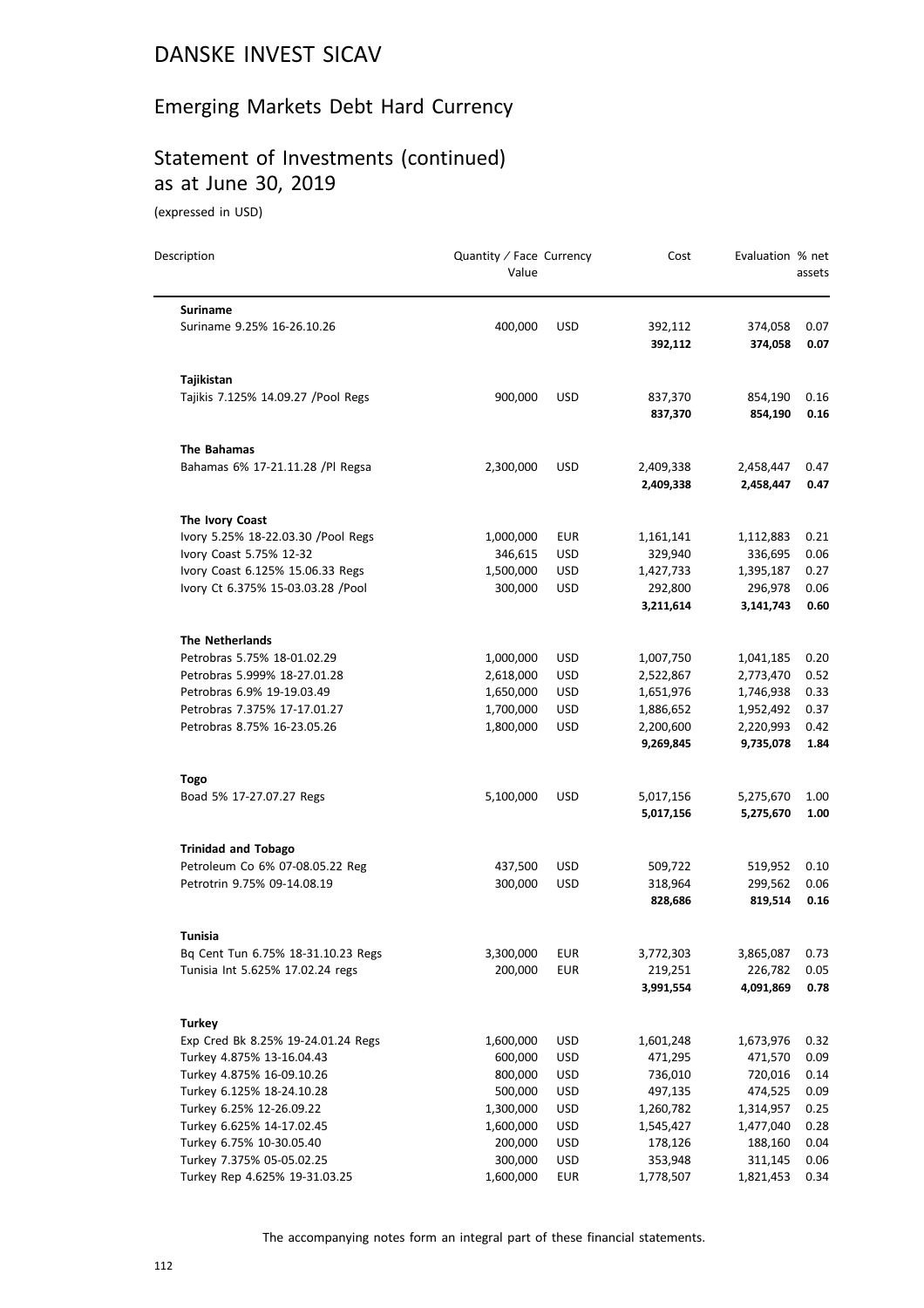# Emerging Markets Debt Hard Currency

# Statement of Investments (continued) as at June 30, 2019

(expressed in USD)

| Description                                                | Quantity / Face Currency<br>Value |                          | Cost                   | Evaluation % net       | assets       |
|------------------------------------------------------------|-----------------------------------|--------------------------|------------------------|------------------------|--------------|
| <b>Suriname</b>                                            |                                   |                          |                        |                        |              |
| Suriname 9.25% 16-26.10.26                                 | 400,000                           | <b>USD</b>               | 392,112<br>392,112     | 374,058<br>374,058     | 0.07<br>0.07 |
| Tajikistan                                                 |                                   |                          |                        |                        |              |
| Tajikis 7.125% 14.09.27 / Pool Regs                        | 900,000                           | <b>USD</b>               | 837,370<br>837,370     | 854,190<br>854,190     | 0.16<br>0.16 |
| The Bahamas                                                |                                   |                          |                        |                        |              |
| Bahamas 6% 17-21.11.28 /Pl Regsa                           | 2,300,000                         | <b>USD</b>               | 2,409,338<br>2,409,338 | 2,458,447<br>2,458,447 | 0.47<br>0.47 |
| The Ivory Coast                                            |                                   |                          |                        |                        |              |
| Ivory 5.25% 18-22.03.30 /Pool Regs                         | 1,000,000                         | <b>EUR</b>               | 1,161,141              | 1,112,883              | 0.21         |
| Ivory Coast 5.75% 12-32                                    | 346,615                           | <b>USD</b>               | 329,940                | 336,695                | 0.06         |
| Ivory Coast 6.125% 15.06.33 Regs                           | 1,500,000                         | <b>USD</b>               | 1,427,733              | 1,395,187              | 0.27         |
| Ivory Ct 6.375% 15-03.03.28 /Pool                          | 300,000                           | <b>USD</b>               | 292,800<br>3,211,614   | 296,978<br>3,141,743   | 0.06<br>0.60 |
|                                                            |                                   |                          |                        |                        |              |
| <b>The Netherlands</b>                                     |                                   |                          |                        |                        |              |
| Petrobras 5.75% 18-01.02.29                                | 1,000,000                         | <b>USD</b>               | 1,007,750              | 1,041,185              | 0.20         |
| Petrobras 5.999% 18-27.01.28<br>Petrobras 6.9% 19-19.03.49 | 2,618,000<br>1,650,000            | <b>USD</b><br><b>USD</b> | 2,522,867<br>1,651,976 | 2,773,470              | 0.52<br>0.33 |
| Petrobras 7.375% 17-17.01.27                               | 1,700,000                         | <b>USD</b>               | 1,886,652              | 1,746,938<br>1,952,492 | 0.37         |
| Petrobras 8.75% 16-23.05.26                                | 1,800,000                         | <b>USD</b>               | 2,200,600              | 2,220,993              | 0.42         |
|                                                            |                                   |                          | 9,269,845              | 9,735,078              | 1.84         |
| <b>Togo</b>                                                |                                   |                          |                        |                        |              |
| Boad 5% 17-27.07.27 Regs                                   | 5,100,000                         | <b>USD</b>               | 5,017,156              | 5,275,670              | 1.00         |
|                                                            |                                   |                          | 5,017,156              | 5,275,670              | 1.00         |
| <b>Trinidad and Tobago</b>                                 |                                   |                          |                        |                        |              |
| Petroleum Co 6% 07-08.05.22 Reg                            | 437,500                           | <b>USD</b>               | 509,722                | 519,952                | 0.10         |
| Petrotrin 9.75% 09-14.08.19                                | 300,000                           | <b>USD</b>               | 318,964                | 299,562                | 0.06         |
|                                                            |                                   |                          | 828,686                | 819,514                | 0.16         |
| Tunisia                                                    |                                   |                          |                        |                        |              |
| Bq Cent Tun 6.75% 18-31.10.23 Regs                         | 3,300,000                         | <b>EUR</b>               | 3,772,303              | 3,865,087              | 0.73         |
| Tunisia Int 5.625% 17.02.24 regs                           | 200,000                           | <b>EUR</b>               | 219,251                | 226,782                | 0.05         |
|                                                            |                                   |                          | 3,991,554              | 4,091,869              | 0.78         |
| <b>Turkey</b>                                              |                                   |                          |                        |                        |              |
| Exp Cred Bk 8.25% 19-24.01.24 Regs                         | 1,600,000                         | <b>USD</b>               | 1,601,248              | 1,673,976              | 0.32         |
| Turkey 4.875% 13-16.04.43                                  | 600,000                           | <b>USD</b>               | 471,295                | 471,570                | 0.09         |
| Turkey 4.875% 16-09.10.26                                  | 800,000                           | <b>USD</b>               | 736,010                | 720,016                | 0.14         |
| Turkey 6.125% 18-24.10.28                                  | 500,000                           | USD                      | 497,135                | 474,525                | 0.09         |
| Turkey 6.25% 12-26.09.22                                   | 1,300,000                         | <b>USD</b>               | 1,260,782              | 1,314,957              | 0.25         |
| Turkey 6.625% 14-17.02.45                                  | 1,600,000                         | <b>USD</b>               | 1,545,427              | 1,477,040              | 0.28         |
| Turkey 6.75% 10-30.05.40                                   | 200,000                           | <b>USD</b>               | 178,126                | 188,160                | 0.04         |
| Turkey 7.375% 05-05.02.25                                  | 300,000                           | USD                      | 353,948                | 311,145                | 0.06         |
| Turkey Rep 4.625% 19-31.03.25                              | 1,600,000                         | <b>EUR</b>               | 1,778,507              | 1,821,453              | 0.34         |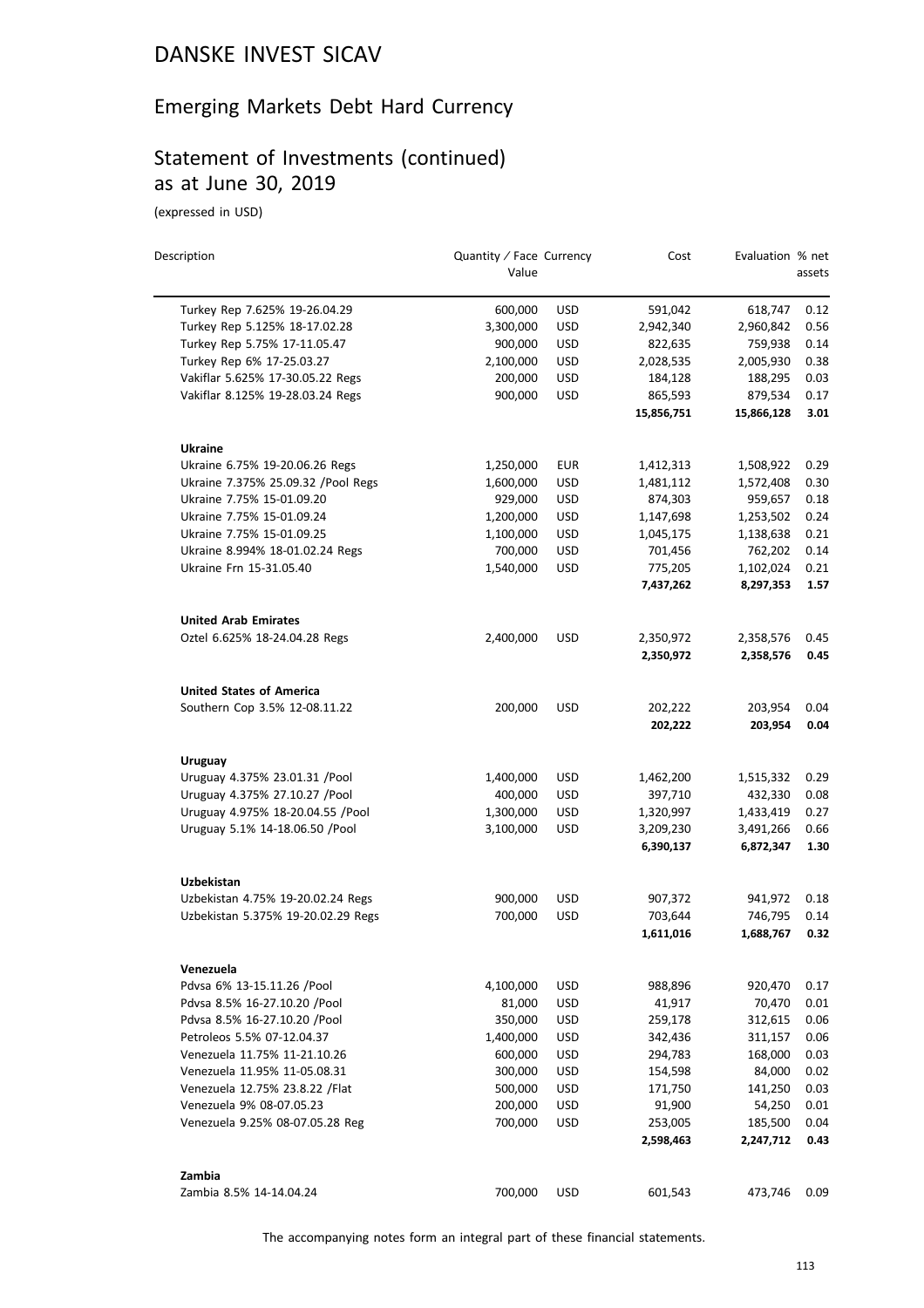# Emerging Markets Debt Hard Currency

# Statement of Investments (continued) as at June 30, 2019

(expressed in USD)

| Description                                                 | Quantity / Face Currency<br>Value |                   | Cost               | Evaluation % net     | assets       |
|-------------------------------------------------------------|-----------------------------------|-------------------|--------------------|----------------------|--------------|
| Turkey Rep 7.625% 19-26.04.29                               | 600,000                           | <b>USD</b>        | 591,042            | 618,747              | 0.12         |
| Turkey Rep 5.125% 18-17.02.28                               | 3,300,000                         | <b>USD</b>        | 2,942,340          | 2,960,842            | 0.56         |
| Turkey Rep 5.75% 17-11.05.47                                | 900,000                           | <b>USD</b>        | 822,635            | 759,938              | 0.14         |
| Turkey Rep 6% 17-25.03.27                                   | 2,100,000                         | <b>USD</b>        | 2,028,535          | 2,005,930            | 0.38         |
| Vakiflar 5.625% 17-30.05.22 Regs                            | 200,000                           | <b>USD</b>        | 184,128            | 188,295              | 0.03         |
| Vakiflar 8.125% 19-28.03.24 Regs                            | 900,000                           | <b>USD</b>        | 865,593            | 879,534              | 0.17         |
|                                                             |                                   |                   | 15,856,751         | 15,866,128           | 3.01         |
| <b>Ukraine</b>                                              |                                   |                   |                    |                      |              |
| Ukraine 6.75% 19-20.06.26 Regs                              | 1,250,000                         | <b>EUR</b>        | 1,412,313          | 1,508,922            | 0.29         |
| Ukraine 7.375% 25.09.32 / Pool Regs                         | 1,600,000                         | <b>USD</b>        | 1,481,112          | 1,572,408            | 0.30         |
| Ukraine 7.75% 15-01.09.20                                   | 929,000                           | <b>USD</b>        | 874,303            | 959,657              | 0.18         |
| Ukraine 7.75% 15-01.09.24                                   | 1,200,000                         | <b>USD</b>        | 1,147,698          | 1,253,502            | 0.24         |
| Ukraine 7.75% 15-01.09.25                                   | 1,100,000                         | <b>USD</b>        | 1,045,175          | 1,138,638            | 0.21         |
| Ukraine 8.994% 18-01.02.24 Regs                             | 700,000                           | <b>USD</b>        | 701,456            | 762,202              | 0.14         |
| Ukraine Frn 15-31.05.40                                     | 1,540,000                         | <b>USD</b>        | 775,205            | 1,102,024            | 0.21         |
|                                                             |                                   |                   | 7,437,262          | 8,297,353            | 1.57         |
| <b>United Arab Emirates</b>                                 |                                   |                   |                    |                      |              |
| Oztel 6.625% 18-24.04.28 Regs                               | 2,400,000                         | <b>USD</b>        | 2,350,972          | 2,358,576            | 0.45         |
|                                                             |                                   |                   | 2,350,972          | 2,358,576            | 0.45         |
| <b>United States of America</b>                             |                                   |                   |                    |                      |              |
| Southern Cop 3.5% 12-08.11.22                               | 200,000                           | <b>USD</b>        | 202,222<br>202,222 | 203,954<br>203,954   | 0.04<br>0.04 |
| Uruguay                                                     |                                   |                   |                    |                      |              |
| Uruguay 4.375% 23.01.31 /Pool                               | 1,400,000                         | <b>USD</b>        | 1,462,200          | 1,515,332            | 0.29         |
| Uruguay 4.375% 27.10.27 / Pool                              | 400,000                           | <b>USD</b>        | 397,710            | 432,330              | 0.08         |
| Uruguay 4.975% 18-20.04.55 /Pool                            | 1,300,000                         | <b>USD</b>        | 1,320,997          | 1,433,419            | 0.27         |
| Uruguay 5.1% 14-18.06.50 /Pool                              | 3,100,000                         | <b>USD</b>        | 3,209,230          | 3,491,266            | 0.66         |
|                                                             |                                   |                   | 6,390,137          | 6,872,347            | 1.30         |
| Uzbekistan                                                  |                                   |                   |                    |                      |              |
| Uzbekistan 4.75% 19-20.02.24 Regs                           | 900,000                           | <b>USD</b>        | 907,372            | 941,972              | 0.18         |
| Uzbekistan 5.375% 19-20.02.29 Regs                          | 700,000                           | <b>USD</b>        | 703,644            | 746,795              | 0.14         |
|                                                             |                                   |                   | 1,611,016          | 1,688,767            | 0.32         |
| Venezuela                                                   |                                   |                   |                    |                      |              |
| Pdvsa 6% 13-15.11.26 /Pool                                  | 4,100,000                         | USD               | 988,896            | 920,470              | 0.17         |
| Pdvsa 8.5% 16-27.10.20 /Pool                                | 81,000                            | <b>USD</b>        | 41,917             | 70,470               | 0.01         |
| Pdvsa 8.5% 16-27.10.20 /Pool                                | 350,000                           | <b>USD</b>        | 259,178            | 312,615              | 0.06         |
| Petroleos 5.5% 07-12.04.37                                  | 1,400,000                         | <b>USD</b>        | 342,436            | 311,157              | 0.06         |
| Venezuela 11.75% 11-21.10.26                                | 600,000                           | <b>USD</b>        | 294,783            | 168,000              | 0.03         |
| Venezuela 11.95% 11-05.08.31                                | 300,000                           | <b>USD</b>        | 154,598            | 84,000               | 0.02         |
| Venezuela 12.75% 23.8.22 / Flat<br>Venezuela 9% 08-07.05.23 | 500,000<br>200,000                | USD<br><b>USD</b> | 171,750<br>91,900  | 141,250<br>54,250    | 0.03<br>0.01 |
|                                                             |                                   | <b>USD</b>        | 253,005            |                      | 0.04         |
| Venezuela 9.25% 08-07.05.28 Reg                             | 700,000                           |                   | 2,598,463          | 185,500<br>2,247,712 | 0.43         |
| Zambia                                                      |                                   |                   |                    |                      |              |
| Zambia 8.5% 14-14.04.24                                     | 700,000                           | <b>USD</b>        | 601,543            | 473,746              | 0.09         |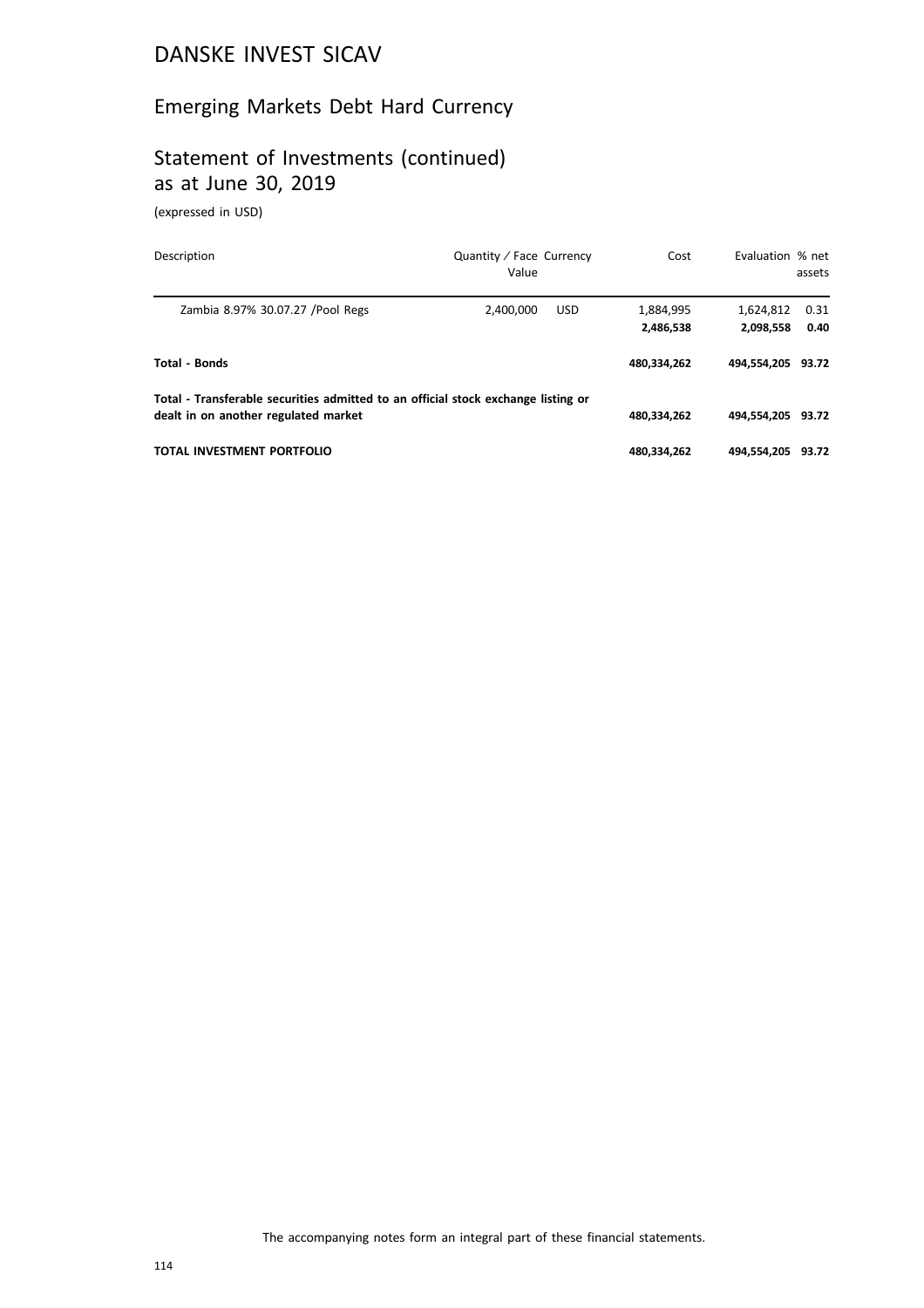# Emerging Markets Debt Hard Currency

# Statement of Investments (continued) as at June 30, 2019

(expressed in USD)

| Description                                                                                                               | Quantity / Face Currency<br>Value | Cost                   | Evaluation % net       | assets       |
|---------------------------------------------------------------------------------------------------------------------------|-----------------------------------|------------------------|------------------------|--------------|
| Zambia 8.97% 30.07.27 / Pool Regs                                                                                         | <b>USD</b><br>2.400.000           | 1,884,995<br>2,486,538 | 1,624,812<br>2,098,558 | 0.31<br>0.40 |
| <b>Total - Bonds</b>                                                                                                      |                                   | 480.334.262            | 494.554.205 93.72      |              |
| Total - Transferable securities admitted to an official stock exchange listing or<br>dealt in on another regulated market |                                   | 480,334,262            | 494.554.205 93.72      |              |
| TOTAL INVESTMENT PORTFOLIO                                                                                                |                                   | 480,334,262            | 494.554.205 93.72      |              |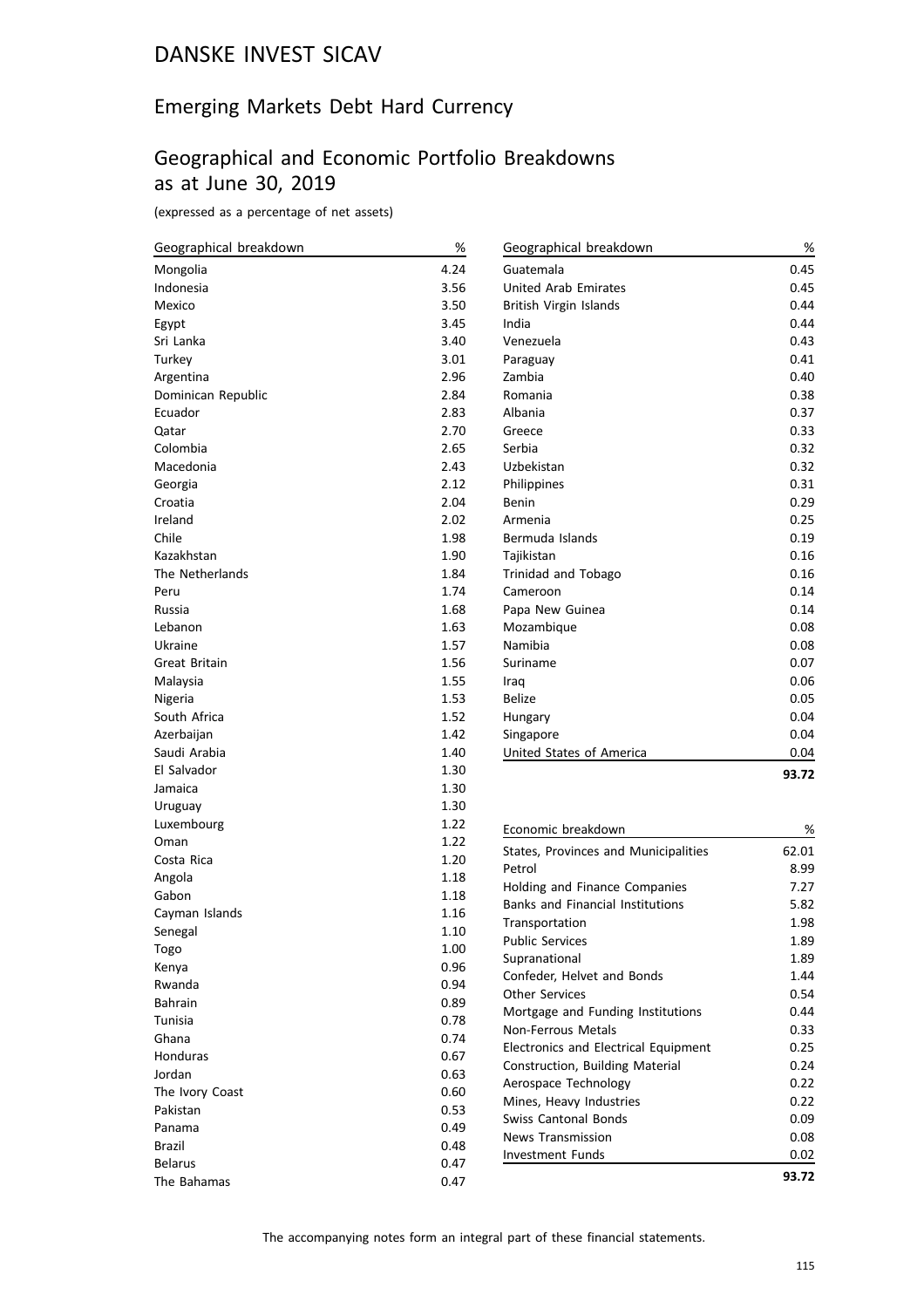# Emerging Markets Debt Hard Currency

#### Geographical and Economic Portfolio Breakdowns as at June 30, 2019

(expressed as a percentage of net assets)

| Geographical breakdown | $\%$ | Geographical breakdown                   | $\%$  |
|------------------------|------|------------------------------------------|-------|
| Mongolia               | 4.24 | Guatemala                                | 0.45  |
| Indonesia              | 3.56 | <b>United Arab Emirates</b>              | 0.45  |
| Mexico                 | 3.50 | British Virgin Islands                   | 0.44  |
| Egypt                  | 3.45 | India                                    | 0.44  |
| Sri Lanka              | 3.40 | Venezuela                                | 0.43  |
| Turkey                 | 3.01 | Paraguay                                 | 0.41  |
| Argentina              | 2.96 | Zambia                                   | 0.40  |
| Dominican Republic     | 2.84 | Romania                                  | 0.38  |
| Ecuador                | 2.83 | Albania                                  | 0.37  |
| Qatar                  | 2.70 | Greece                                   | 0.33  |
| Colombia               | 2.65 | Serbia                                   | 0.32  |
| Macedonia              | 2.43 | Uzbekistan                               | 0.32  |
| Georgia                | 2.12 | Philippines                              | 0.31  |
| Croatia                | 2.04 | Benin                                    | 0.29  |
| Ireland                | 2.02 | Armenia                                  | 0.25  |
| Chile                  | 1.98 | Bermuda Islands                          | 0.19  |
| Kazakhstan             | 1.90 | Tajikistan                               | 0.16  |
| The Netherlands        | 1.84 | Trinidad and Tobago                      | 0.16  |
| Peru                   | 1.74 | Cameroon                                 | 0.14  |
| Russia                 | 1.68 | Papa New Guinea                          | 0.14  |
| Lebanon                | 1.63 | Mozambique                               | 0.08  |
| Ukraine                | 1.57 | Namibia                                  | 0.08  |
| Great Britain          | 1.56 | Suriname                                 | 0.07  |
| Malaysia               | 1.55 | Iraq                                     | 0.06  |
| Nigeria                | 1.53 | <b>Belize</b>                            | 0.05  |
| South Africa           | 1.52 | Hungary                                  | 0.04  |
| Azerbaijan             | 1.42 | Singapore                                | 0.04  |
| Saudi Arabia           | 1.40 | United States of America                 | 0.04  |
| El Salvador            | 1.30 |                                          | 93.72 |
| Jamaica                | 1.30 |                                          |       |
| Uruguay                | 1.30 |                                          |       |
| Luxembourg             | 1.22 | Economic breakdown                       | %     |
| Oman                   | 1.22 | States, Provinces and Municipalities     | 62.01 |
| Costa Rica             | 1.20 | Petrol                                   | 8.99  |
| Angola                 | 1.18 | Holding and Finance Companies            | 7.27  |
| Gabon                  | 1.18 | <b>Banks and Financial Institutions</b>  | 5.82  |
| Cayman Islands         | 1.16 |                                          | 1.98  |
| Senegal                | 1.10 | Transportation<br><b>Public Services</b> | 1.89  |
| Togo                   | 1.00 | Supranational                            | 1.89  |
| Kenya                  | 0.96 | Confeder, Helvet and Bonds               | 1.44  |
| Rwanda                 | 0.94 | <b>Other Services</b>                    | 0.54  |
| <b>Bahrain</b>         | 0.89 | Mortgage and Funding Institutions        | 0.44  |
| Tunisia                | 0.78 | <b>Non-Ferrous Metals</b>                | 0.33  |
| Ghana                  | 0.74 | Electronics and Electrical Equipment     | 0.25  |
| Honduras               | 0.67 | Construction, Building Material          | 0.24  |
| Jordan                 | 0.63 | Aerospace Technology                     | 0.22  |
| The Ivory Coast        | 0.60 | Mines, Heavy Industries                  | 0.22  |
| Pakistan               | 0.53 | <b>Swiss Cantonal Bonds</b>              | 0.09  |
| Panama                 | 0.49 | <b>News Transmission</b>                 | 0.08  |
| Brazil                 | 0.48 | <b>Investment Funds</b>                  | 0.02  |
| <b>Belarus</b>         | 0.47 |                                          |       |
| The Bahamas            | 0.47 |                                          | 93.72 |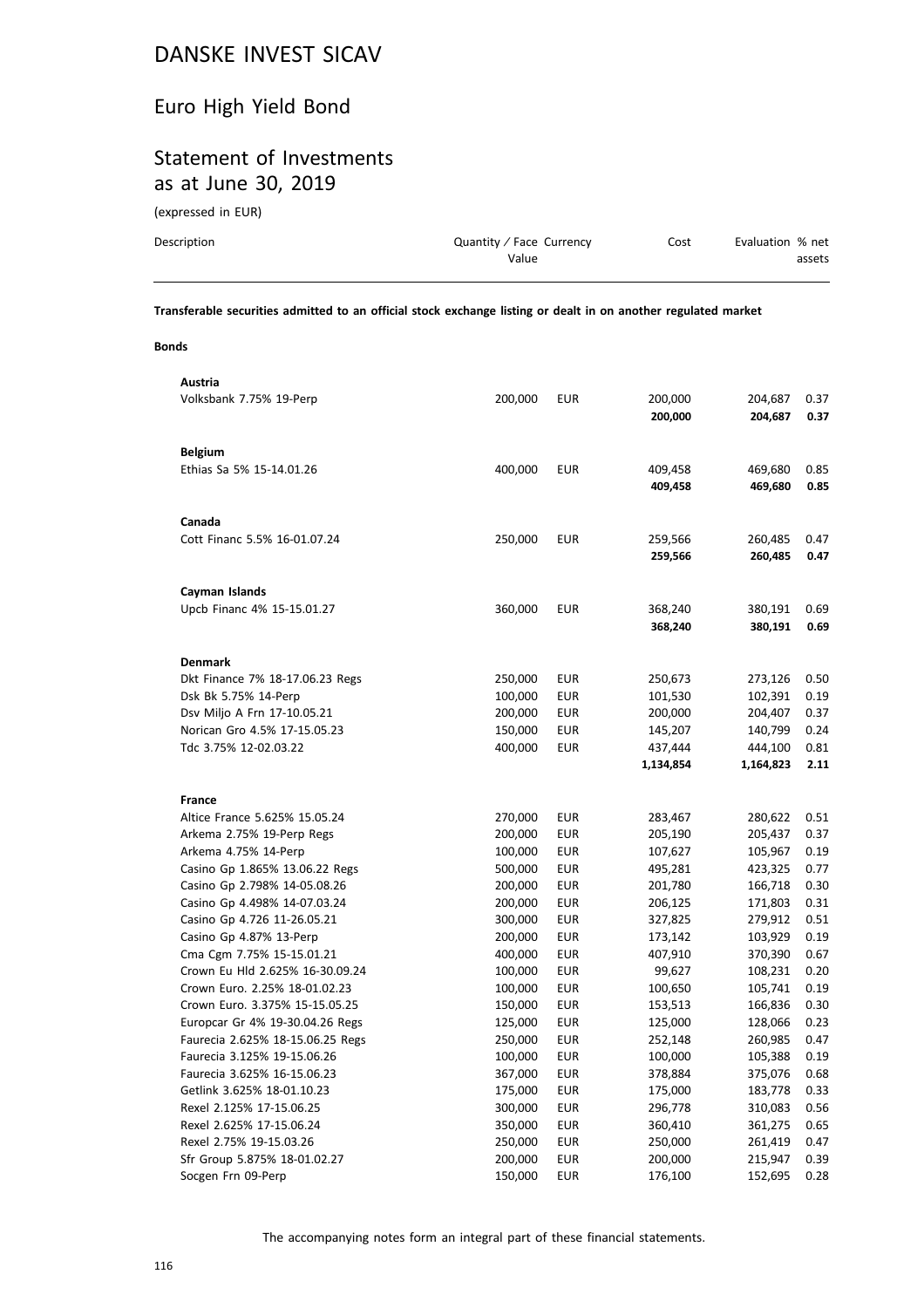# Euro High Yield Bond

#### Statement of Investments as at June 30, 2019

(expressed in EUR)

| Description | Quantity / Face Currency | Cost | Evaluation % net |
|-------------|--------------------------|------|------------------|
|             | Value                    |      | assets           |
|             |                          |      |                  |

**Transferable securities admitted to an official stock exchange listing or dealt in on another regulated market**

**Bonds**

| Austria                                            |                    |                          |                    |                    |              |
|----------------------------------------------------|--------------------|--------------------------|--------------------|--------------------|--------------|
| Volksbank 7.75% 19-Perp                            | 200,000            | <b>EUR</b>               | 200,000            | 204,687            | 0.37         |
|                                                    |                    |                          | 200,000            | 204,687            | 0.37         |
|                                                    |                    |                          |                    |                    |              |
| <b>Belgium</b>                                     |                    |                          |                    |                    |              |
| Ethias Sa 5% 15-14.01.26                           | 400,000            | <b>EUR</b>               | 409,458            | 469,680            | 0.85         |
|                                                    |                    |                          | 409,458            | 469,680            | 0.85         |
|                                                    |                    |                          |                    |                    |              |
| Canada                                             |                    |                          |                    |                    |              |
| Cott Financ 5.5% 16-01.07.24                       | 250,000            | <b>EUR</b>               | 259,566            | 260,485            | 0.47         |
|                                                    |                    |                          | 259,566            | 260,485            | 0.47         |
|                                                    |                    |                          |                    |                    |              |
| Cayman Islands                                     |                    |                          |                    |                    |              |
| Upcb Financ 4% 15-15.01.27                         | 360,000            | <b>EUR</b>               | 368,240            | 380,191            | 0.69         |
|                                                    |                    |                          | 368,240            | 380,191            | 0.69         |
|                                                    |                    |                          |                    |                    |              |
| <b>Denmark</b>                                     |                    |                          |                    |                    |              |
| Dkt Finance 7% 18-17.06.23 Regs                    | 250,000            | <b>EUR</b>               | 250,673            | 273,126            | 0.50         |
| Dsk Bk 5.75% 14-Perp                               | 100,000            | <b>EUR</b>               | 101,530            | 102,391            | 0.19         |
| Dsv Miljo A Frn 17-10.05.21                        | 200,000            | <b>EUR</b>               | 200,000            | 204,407            | 0.37         |
| Norican Gro 4.5% 17-15.05.23                       | 150,000            | <b>EUR</b>               | 145,207            | 140,799            | 0.24         |
| Tdc 3.75% 12-02.03.22                              | 400,000            | <b>EUR</b>               | 437,444            | 444,100            | 0.81         |
|                                                    |                    |                          | 1,134,854          | 1,164,823          | 2.11         |
|                                                    |                    |                          |                    |                    |              |
| <b>France</b>                                      |                    |                          |                    |                    |              |
| Altice France 5.625% 15.05.24                      | 270,000            | <b>EUR</b>               | 283,467            | 280,622            | 0.51         |
| Arkema 2.75% 19-Perp Regs                          | 200,000            | <b>EUR</b>               | 205,190            | 205,437            | 0.37         |
| Arkema 4.75% 14-Perp                               | 100,000            | <b>EUR</b>               | 107,627            | 105,967            | 0.19         |
| Casino Gp 1.865% 13.06.22 Regs                     | 500,000            | <b>EUR</b>               | 495,281            | 423,325            | 0.77         |
| Casino Gp 2.798% 14-05.08.26                       | 200,000            | <b>EUR</b>               | 201,780            | 166,718            | 0.30         |
| Casino Gp 4.498% 14-07.03.24                       | 200,000            | <b>EUR</b>               | 206,125            | 171,803            | 0.31         |
| Casino Gp 4.726 11-26.05.21                        | 300,000            | <b>EUR</b>               | 327,825            | 279,912            | 0.51         |
| Casino Gp 4.87% 13-Perp                            | 200,000            | <b>EUR</b>               | 173,142            | 103,929            | 0.19         |
| Cma Cgm 7.75% 15-15.01.21                          | 400,000            | <b>EUR</b>               | 407,910            | 370,390            | 0.67         |
| Crown Eu Hld 2.625% 16-30.09.24                    | 100,000            | <b>EUR</b>               | 99,627             | 108,231            | 0.20         |
| Crown Euro. 2.25% 18-01.02.23                      | 100,000            | <b>EUR</b>               | 100,650            | 105,741            | 0.19         |
| Crown Euro. 3.375% 15-15.05.25                     | 150,000            | <b>EUR</b>               | 153,513            | 166,836            | 0.30         |
| Europcar Gr 4% 19-30.04.26 Regs                    | 125,000            | EUR                      | 125,000            | 128,066            | 0.23         |
| Faurecia 2.625% 18-15.06.25 Regs                   | 250,000            | <b>EUR</b>               | 252,148            | 260,985            | 0.47         |
| Faurecia 3.125% 19-15.06.26                        | 100,000            | <b>EUR</b>               | 100,000            | 105,388            | 0.19         |
| Faurecia 3.625% 16-15.06.23                        | 367,000            | <b>EUR</b>               | 378,884            | 375,076            | 0.68         |
| Getlink 3.625% 18-01.10.23                         | 175,000            | <b>EUR</b>               | 175,000            | 183,778            | 0.33         |
| Rexel 2.125% 17-15.06.25                           | 300,000            | <b>EUR</b>               | 296,778            | 310,083            | 0.56         |
| Rexel 2.625% 17-15.06.24                           | 350,000            | <b>EUR</b>               | 360,410            | 361,275            | 0.65         |
| Rexel 2.75% 19-15.03.26                            | 250,000            | <b>EUR</b>               | 250,000            | 261,419            | 0.47         |
| Sfr Group 5.875% 18-01.02.27<br>Socgen Frn 09-Perp | 200,000<br>150,000 | <b>EUR</b><br><b>EUR</b> | 200,000<br>176,100 | 215,947<br>152,695 | 0.39<br>0.28 |
|                                                    |                    |                          |                    |                    |              |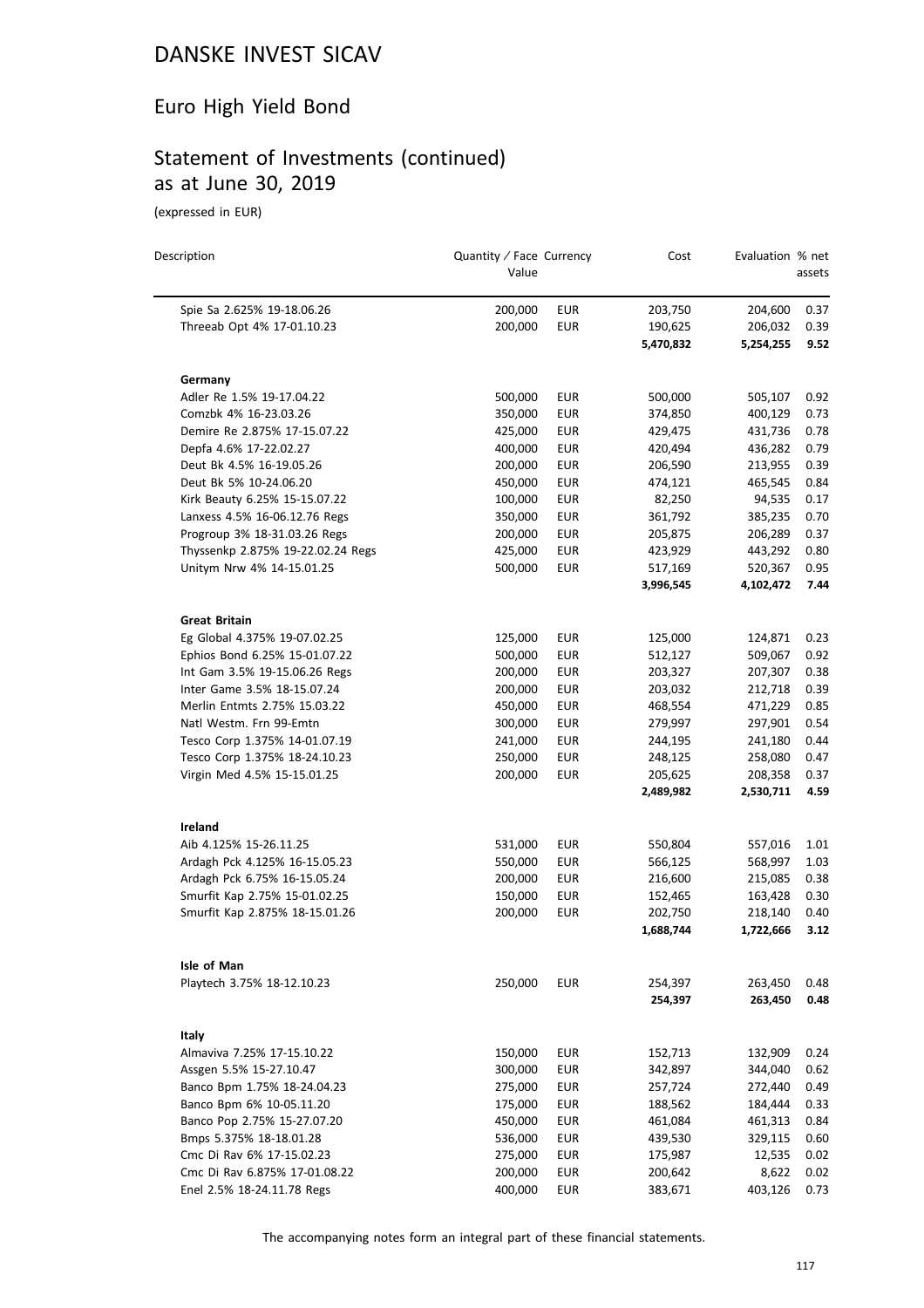# Euro High Yield Bond

# Statement of Investments (continued) as at June 30, 2019

(expressed in EUR)

| Description                       | Quantity / Face Currency<br>Value |                          | Cost                 | Evaluation % net     | assets       |
|-----------------------------------|-----------------------------------|--------------------------|----------------------|----------------------|--------------|
|                                   |                                   |                          |                      |                      |              |
| Spie Sa 2.625% 19-18.06.26        | 200,000                           | <b>EUR</b>               | 203,750              | 204,600              | 0.37         |
| Threeab Opt 4% 17-01.10.23        | 200,000                           | <b>EUR</b>               | 190,625              | 206,032              | 0.39         |
|                                   |                                   |                          | 5,470,832            | 5,254,255            | 9.52         |
| Germany                           |                                   |                          |                      |                      |              |
| Adler Re 1.5% 19-17.04.22         | 500,000                           | <b>EUR</b>               | 500,000              | 505,107              | 0.92         |
| Comzbk 4% 16-23.03.26             | 350,000                           | <b>EUR</b>               | 374,850              | 400,129              | 0.73         |
| Demire Re 2.875% 17-15.07.22      | 425,000                           | EUR                      | 429,475              | 431,736              | 0.78         |
| Depfa 4.6% 17-22.02.27            | 400,000                           | <b>EUR</b>               | 420,494              | 436,282              | 0.79         |
| Deut Bk 4.5% 16-19.05.26          | 200,000                           | <b>EUR</b>               | 206,590              | 213,955              | 0.39         |
| Deut Bk 5% 10-24.06.20            | 450,000                           | EUR                      | 474,121              | 465,545              | 0.84         |
| Kirk Beauty 6.25% 15-15.07.22     | 100,000                           | <b>EUR</b>               | 82,250               | 94,535               | 0.17         |
| Lanxess 4.5% 16-06.12.76 Regs     | 350,000                           | <b>EUR</b>               | 361,792              | 385,235              | 0.70         |
| Progroup 3% 18-31.03.26 Regs      | 200,000                           | <b>EUR</b>               | 205,875              | 206,289              | 0.37         |
| Thyssenkp 2.875% 19-22.02.24 Regs | 425,000                           | <b>EUR</b>               | 423,929              | 443,292              | 0.80         |
| Unitym Nrw 4% 14-15.01.25         | 500,000                           | <b>EUR</b>               | 517,169              | 520,367              | 0.95         |
|                                   |                                   |                          | 3,996,545            | 4,102,472            | 7.44         |
| <b>Great Britain</b>              |                                   |                          |                      |                      |              |
| Eg Global 4.375% 19-07.02.25      | 125,000                           | EUR                      | 125,000              | 124,871              | 0.23         |
| Ephios Bond 6.25% 15-01.07.22     | 500,000                           | EUR                      | 512,127              | 509,067              | 0.92         |
| Int Gam 3.5% 19-15.06.26 Regs     | 200,000                           | <b>EUR</b>               | 203,327              | 207,307              | 0.38         |
| Inter Game 3.5% 18-15.07.24       | 200,000                           | <b>EUR</b>               | 203,032              | 212,718              | 0.39         |
| Merlin Entmts 2.75% 15.03.22      | 450,000                           | EUR                      | 468,554              | 471,229              | 0.85         |
| Natl Westm. Frn 99-Emtn           | 300,000                           | <b>EUR</b>               | 279,997              | 297,901              | 0.54         |
| Tesco Corp 1.375% 14-01.07.19     | 241,000                           | <b>EUR</b>               | 244,195              | 241,180              | 0.44         |
| Tesco Corp 1.375% 18-24.10.23     | 250,000                           | <b>EUR</b>               | 248,125              | 258,080              | 0.47         |
| Virgin Med 4.5% 15-15.01.25       | 200,000                           | <b>EUR</b>               | 205,625              | 208,358              | 0.37<br>4.59 |
|                                   |                                   |                          | 2,489,982            | 2,530,711            |              |
| Ireland                           |                                   |                          |                      |                      |              |
| Aib 4.125% 15-26.11.25            | 531,000                           | EUR                      | 550,804              | 557,016              | 1.01         |
| Ardagh Pck 4.125% 16-15.05.23     | 550,000                           | <b>EUR</b>               | 566,125              | 568,997              | 1.03         |
| Ardagh Pck 6.75% 16-15.05.24      | 200,000                           | <b>EUR</b>               | 216,600              | 215,085              | 0.38         |
| Smurfit Kap 2.75% 15-01.02.25     | 150,000                           | <b>EUR</b><br><b>EUR</b> | 152,465              | 163,428              | 0.30<br>0.40 |
| Smurfit Kap 2.875% 18-15.01.26    | 200,000                           |                          | 202,750<br>1,688,744 | 218,140<br>1,722,666 | 3.12         |
| Isle of Man                       |                                   |                          |                      |                      |              |
| Playtech 3.75% 18-12.10.23        | 250,000                           | <b>EUR</b>               | 254,397              | 263,450              | 0.48         |
|                                   |                                   |                          | 254,397              | 263,450              | 0.48         |
| Italy                             |                                   |                          |                      |                      |              |
| Almaviva 7.25% 17-15.10.22        | 150,000                           | <b>EUR</b>               | 152,713              | 132,909              | 0.24         |
| Assgen 5.5% 15-27.10.47           | 300,000                           | <b>EUR</b>               | 342,897              | 344,040              | 0.62         |
| Banco Bpm 1.75% 18-24.04.23       | 275,000                           | <b>EUR</b>               | 257,724              | 272,440              | 0.49         |
| Banco Bpm 6% 10-05.11.20          | 175,000                           | <b>EUR</b>               | 188,562              | 184,444              | 0.33         |
| Banco Pop 2.75% 15-27.07.20       | 450,000                           | <b>EUR</b>               | 461,084              | 461,313              | 0.84         |
| Bmps 5.375% 18-18.01.28           | 536,000                           | <b>EUR</b>               | 439,530              | 329,115              | 0.60         |
| Cmc Di Rav 6% 17-15.02.23         | 275,000                           | <b>EUR</b>               | 175,987              | 12,535               | 0.02         |
| Cmc Di Rav 6.875% 17-01.08.22     | 200,000                           | EUR                      | 200,642              | 8,622                | 0.02         |
| Enel 2.5% 18-24.11.78 Regs        | 400,000                           | EUR                      | 383,671              | 403,126              | 0.73         |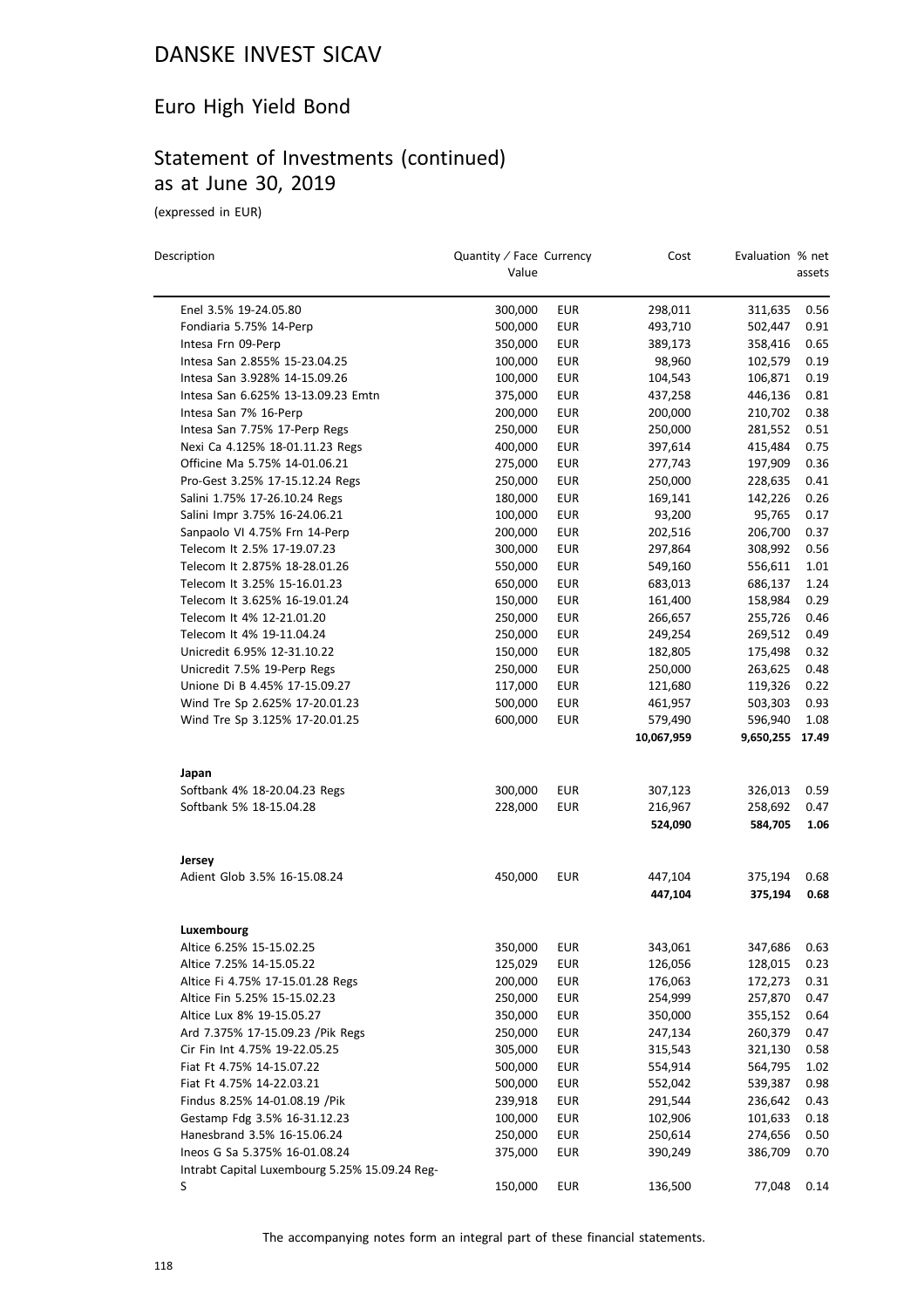# Euro High Yield Bond

# Statement of Investments (continued) as at June 30, 2019

(expressed in EUR)

 $\overline{a}$ 

| Description                                                  | Quantity / Face Currency<br>Value |                          | Cost               | Evaluation % net   | assets       |
|--------------------------------------------------------------|-----------------------------------|--------------------------|--------------------|--------------------|--------------|
|                                                              |                                   |                          |                    |                    |              |
| Enel 3.5% 19-24.05.80                                        | 300,000                           | <b>EUR</b><br><b>EUR</b> | 298,011<br>493,710 | 311,635            | 0.56<br>0.91 |
| Fondiaria 5.75% 14-Perp<br>Intesa Frn 09-Perp                | 500,000<br>350,000                | <b>EUR</b>               | 389,173            | 502,447<br>358,416 | 0.65         |
| Intesa San 2.855% 15-23.04.25                                | 100,000                           | <b>EUR</b>               | 98,960             | 102,579            | 0.19         |
| Intesa San 3.928% 14-15.09.26                                | 100,000                           | <b>EUR</b>               | 104,543            | 106,871            | 0.19         |
| Intesa San 6.625% 13-13.09.23 Emtn                           | 375,000                           | <b>EUR</b>               | 437,258            | 446,136            | 0.81         |
| Intesa San 7% 16-Perp                                        | 200,000                           | <b>EUR</b>               | 200,000            | 210,702            | 0.38         |
| Intesa San 7.75% 17-Perp Regs                                | 250,000                           | <b>EUR</b>               | 250,000            | 281,552            | 0.51         |
| Nexi Ca 4.125% 18-01.11.23 Regs                              | 400,000                           | <b>EUR</b>               | 397,614            | 415,484            | 0.75         |
| Officine Ma 5.75% 14-01.06.21                                | 275,000                           | <b>EUR</b>               | 277,743            | 197,909            | 0.36         |
| Pro-Gest 3.25% 17-15.12.24 Regs                              | 250,000                           | <b>EUR</b>               | 250,000            | 228,635            | 0.41         |
| Salini 1.75% 17-26.10.24 Regs                                | 180,000                           | <b>EUR</b>               | 169,141            | 142,226            | 0.26         |
| Salini Impr 3.75% 16-24.06.21                                | 100,000                           | <b>EUR</b>               | 93,200             | 95,765             | 0.17         |
| Sanpaolo VI 4.75% Frn 14-Perp                                | 200,000                           | <b>EUR</b>               | 202,516            | 206,700            | 0.37         |
| Telecom It 2.5% 17-19.07.23                                  | 300,000                           | <b>EUR</b>               | 297,864            | 308,992            | 0.56         |
| Telecom It 2.875% 18-28.01.26                                | 550,000                           | <b>EUR</b>               | 549,160            | 556,611            | 1.01         |
| Telecom It 3.25% 15-16.01.23                                 | 650,000                           | <b>EUR</b>               | 683,013            | 686,137            | 1.24         |
| Telecom It 3.625% 16-19.01.24                                | 150,000                           | <b>EUR</b>               | 161,400            | 158,984            | 0.29         |
| Telecom It 4% 12-21.01.20                                    | 250,000                           | <b>EUR</b>               | 266,657            | 255,726            | 0.46         |
| Telecom It 4% 19-11.04.24                                    | 250,000                           | <b>EUR</b>               | 249,254            | 269,512            | 0.49         |
| Unicredit 6.95% 12-31.10.22                                  | 150,000                           | <b>EUR</b>               | 182,805            | 175,498            | 0.32         |
| Unicredit 7.5% 19-Perp Regs                                  | 250,000                           | <b>EUR</b>               | 250,000            | 263,625            | 0.48         |
| Unione Di B 4.45% 17-15.09.27                                | 117,000                           | <b>EUR</b>               | 121,680            | 119,326            | 0.22         |
| Wind Tre Sp 2.625% 17-20.01.23                               | 500,000                           | <b>EUR</b>               | 461,957            | 503,303            | 0.93         |
| Wind Tre Sp 3.125% 17-20.01.25                               | 600,000                           | <b>EUR</b>               | 579,490            | 596,940            | 1.08         |
|                                                              |                                   |                          | 10,067,959         | 9,650,255 17.49    |              |
| Japan                                                        |                                   |                          |                    |                    |              |
| Softbank 4% 18-20.04.23 Regs                                 | 300,000                           | <b>EUR</b>               | 307,123            | 326,013            | 0.59         |
| Softbank 5% 18-15.04.28                                      | 228,000                           | <b>EUR</b>               | 216,967            | 258,692            | 0.47         |
|                                                              |                                   |                          | 524,090            | 584,705            | 1.06         |
| Jersey                                                       |                                   |                          |                    |                    |              |
| Adient Glob 3.5% 16-15.08.24                                 | 450,000                           | <b>EUR</b>               | 447,104            | 375,194            | 0.68         |
|                                                              |                                   |                          | 447,104            | 375,194            | 0.68         |
| Luxembourg                                                   |                                   |                          |                    |                    |              |
| Altice 6.25% 15-15.02.25                                     | 350,000                           | <b>EUR</b>               | 343,061            | 347,686            | 0.63         |
| Altice 7.25% 14-15.05.22                                     | 125,029                           | EUR                      | 126,056            | 128,015            | 0.23         |
| Altice Fi 4.75% 17-15.01.28 Regs                             | 200,000                           | <b>EUR</b>               | 176,063            | 172,273            | 0.31         |
| Altice Fin 5.25% 15-15.02.23                                 | 250,000                           | <b>EUR</b>               | 254,999            | 257,870            | 0.47         |
| Altice Lux 8% 19-15.05.27                                    | 350,000                           | <b>EUR</b>               | 350,000            | 355,152            | 0.64         |
| Ard 7.375% 17-15.09.23 /Pik Regs                             | 250,000                           | <b>EUR</b>               | 247,134            | 260,379            | 0.47         |
| Cir Fin Int 4.75% 19-22.05.25                                | 305,000                           | <b>EUR</b>               | 315,543            | 321,130            | 0.58         |
| Fiat Ft 4.75% 14-15.07.22                                    | 500,000                           | EUR                      | 554,914            | 564,795            | 1.02         |
| Fiat Ft 4.75% 14-22.03.21                                    | 500,000                           | <b>EUR</b>               | 552,042            | 539,387            | 0.98         |
| Findus 8.25% 14-01.08.19 / Pik                               | 239,918                           | <b>EUR</b>               | 291,544            | 236,642            | 0.43         |
| Gestamp Fdg 3.5% 16-31.12.23                                 | 100,000                           | <b>EUR</b>               | 102,906            | 101,633            | 0.18         |
| Hanesbrand 3.5% 16-15.06.24<br>Ineos G Sa 5.375% 16-01.08.24 | 250,000                           | <b>EUR</b>               | 250,614            | 274,656            | 0.50         |
| Intrabt Capital Luxembourg 5.25% 15.09.24 Reg-               | 375,000                           | EUR                      | 390,249            | 386,709            | 0.70         |
| S                                                            | 150,000                           | <b>EUR</b>               | 136,500            | 77,048             | 0.14         |
|                                                              |                                   |                          |                    |                    |              |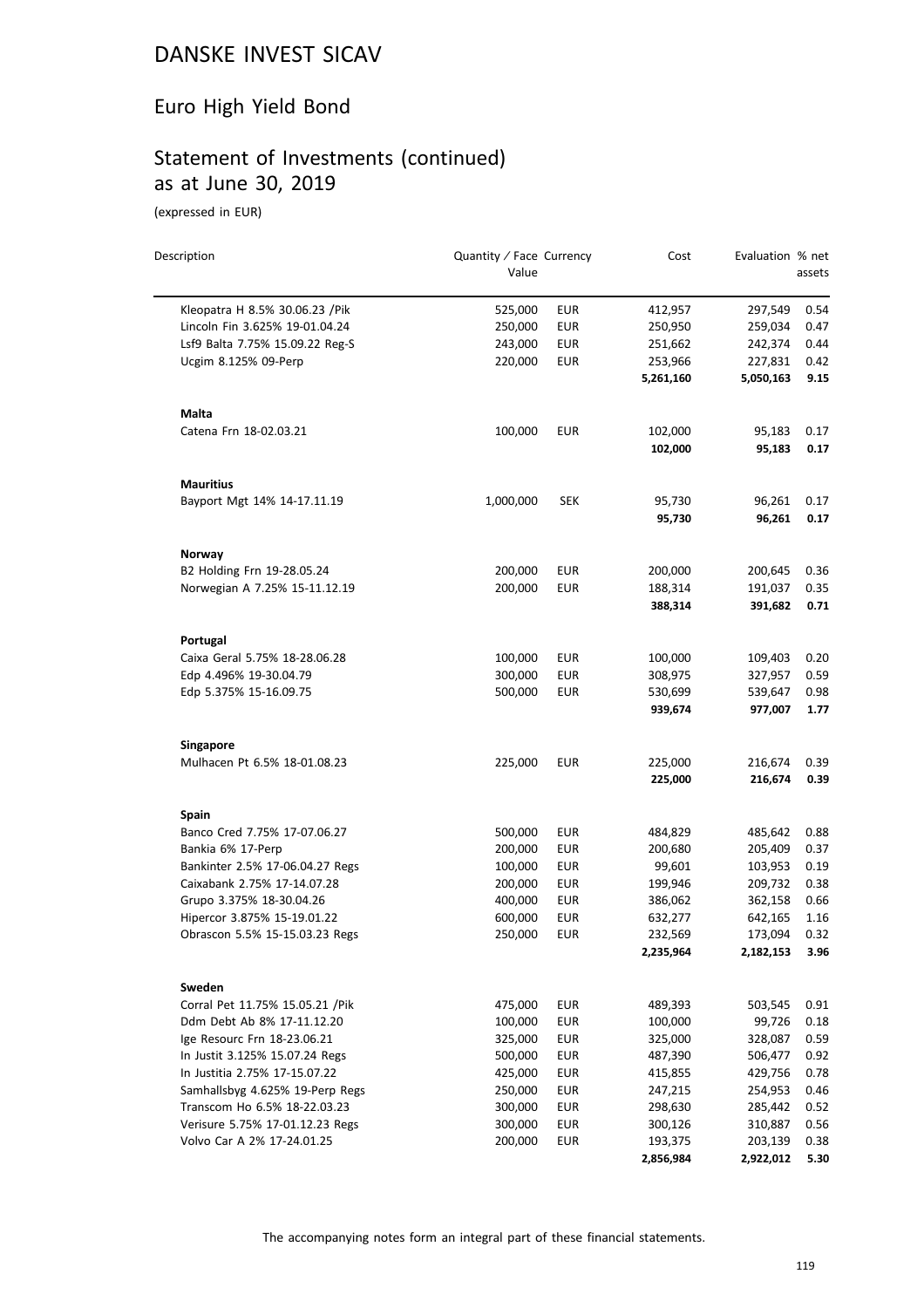# Euro High Yield Bond

# Statement of Investments (continued) as at June 30, 2019

(expressed in EUR)

| Description                      | Quantity / Face Currency<br>Value |            | Cost                 | Evaluation % net     | assets       |
|----------------------------------|-----------------------------------|------------|----------------------|----------------------|--------------|
| Kleopatra H 8.5% 30.06.23 / Pik  | 525,000                           | <b>EUR</b> | 412,957              | 297,549              | 0.54         |
| Lincoln Fin 3.625% 19-01.04.24   | 250,000                           | <b>EUR</b> | 250,950              | 259,034              | 0.47         |
| Lsf9 Balta 7.75% 15.09.22 Reg-S  | 243,000                           | <b>EUR</b> | 251,662              | 242,374              | 0.44         |
| Ucgim 8.125% 09-Perp             | 220,000                           | <b>EUR</b> | 253,966              | 227,831              | 0.42         |
|                                  |                                   |            | 5,261,160            | 5,050,163            | 9.15         |
| Malta                            |                                   |            |                      |                      |              |
| Catena Frn 18-02.03.21           | 100,000                           | <b>EUR</b> | 102,000              | 95,183               | 0.17         |
|                                  |                                   |            | 102,000              | 95,183               | 0.17         |
| <b>Mauritius</b>                 |                                   |            |                      |                      |              |
| Bayport Mgt 14% 14-17.11.19      | 1,000,000                         | <b>SEK</b> | 95,730               | 96,261               | 0.17         |
|                                  |                                   |            | 95,730               | 96,261               | 0.17         |
| Norway                           |                                   |            |                      |                      |              |
| B2 Holding Frn 19-28.05.24       | 200,000                           | <b>EUR</b> | 200,000              | 200,645              | 0.36         |
| Norwegian A 7.25% 15-11.12.19    | 200,000                           | <b>EUR</b> | 188,314              | 191,037              | 0.35         |
|                                  |                                   |            | 388,314              | 391,682              | 0.71         |
| Portugal                         |                                   |            |                      |                      |              |
| Caixa Geral 5.75% 18-28.06.28    | 100,000                           | EUR        | 100,000              | 109,403              | 0.20         |
| Edp 4.496% 19-30.04.79           | 300,000                           | <b>EUR</b> | 308,975              | 327,957              | 0.59         |
| Edp 5.375% 15-16.09.75           | 500,000                           | <b>EUR</b> | 530,699<br>939,674   | 539,647<br>977,007   | 0.98<br>1.77 |
| <b>Singapore</b>                 |                                   |            |                      |                      |              |
| Mulhacen Pt 6.5% 18-01.08.23     | 225,000                           | <b>EUR</b> | 225,000              | 216,674              | 0.39         |
|                                  |                                   |            | 225,000              | 216,674              | 0.39         |
| <b>Spain</b>                     |                                   |            |                      |                      |              |
| Banco Cred 7.75% 17-07.06.27     | 500,000                           | <b>EUR</b> | 484,829              | 485,642              | 0.88         |
| Bankia 6% 17-Perp                | 200,000                           | <b>EUR</b> | 200,680              | 205,409              | 0.37         |
| Bankinter 2.5% 17-06.04.27 Regs  | 100,000                           | <b>EUR</b> | 99,601               | 103,953              | 0.19         |
| Caixabank 2.75% 17-14.07.28      | 200,000                           | <b>EUR</b> | 199,946              | 209,732              | 0.38         |
| Grupo 3.375% 18-30.04.26         | 400,000                           | <b>EUR</b> | 386,062              | 362,158              | 0.66         |
| Hipercor 3.875% 15-19.01.22      | 600,000                           | <b>EUR</b> | 632,277              | 642,165              | 1.16         |
| Obrascon 5.5% 15-15.03.23 Regs   | 250,000                           | <b>EUR</b> | 232,569              | 173,094              | 0.32         |
|                                  |                                   |            | 2,235,964            | 2,182,153            | 3.96         |
| Sweden                           |                                   |            |                      |                      |              |
| Corral Pet 11.75% 15.05.21 / Pik | 475,000                           | <b>EUR</b> | 489,393              | 503,545              | 0.91         |
| Ddm Debt Ab 8% 17-11.12.20       | 100,000                           | <b>EUR</b> | 100,000              | 99,726               | 0.18         |
| Ige Resourc Frn 18-23.06.21      | 325,000                           | <b>EUR</b> | 325,000              | 328,087              | 0.59         |
| In Justit 3.125% 15.07.24 Regs   | 500,000                           | <b>EUR</b> | 487,390              | 506,477              | 0.92         |
| In Justitia 2.75% 17-15.07.22    | 425,000                           | EUR        | 415,855              | 429,756              | 0.78         |
| Samhallsbyg 4.625% 19-Perp Regs  | 250,000                           | <b>EUR</b> | 247,215              | 254,953              | 0.46         |
| Transcom Ho 6.5% 18-22.03.23     | 300,000                           | <b>EUR</b> | 298,630              | 285,442              | 0.52         |
| Verisure 5.75% 17-01.12.23 Regs  | 300,000<br>200,000                | <b>EUR</b> | 300,126              | 310,887              | 0.56         |
| Volvo Car A 2% 17-24.01.25       |                                   | <b>EUR</b> | 193,375<br>2,856,984 | 203,139<br>2,922,012 | 0.38<br>5.30 |
|                                  |                                   |            |                      |                      |              |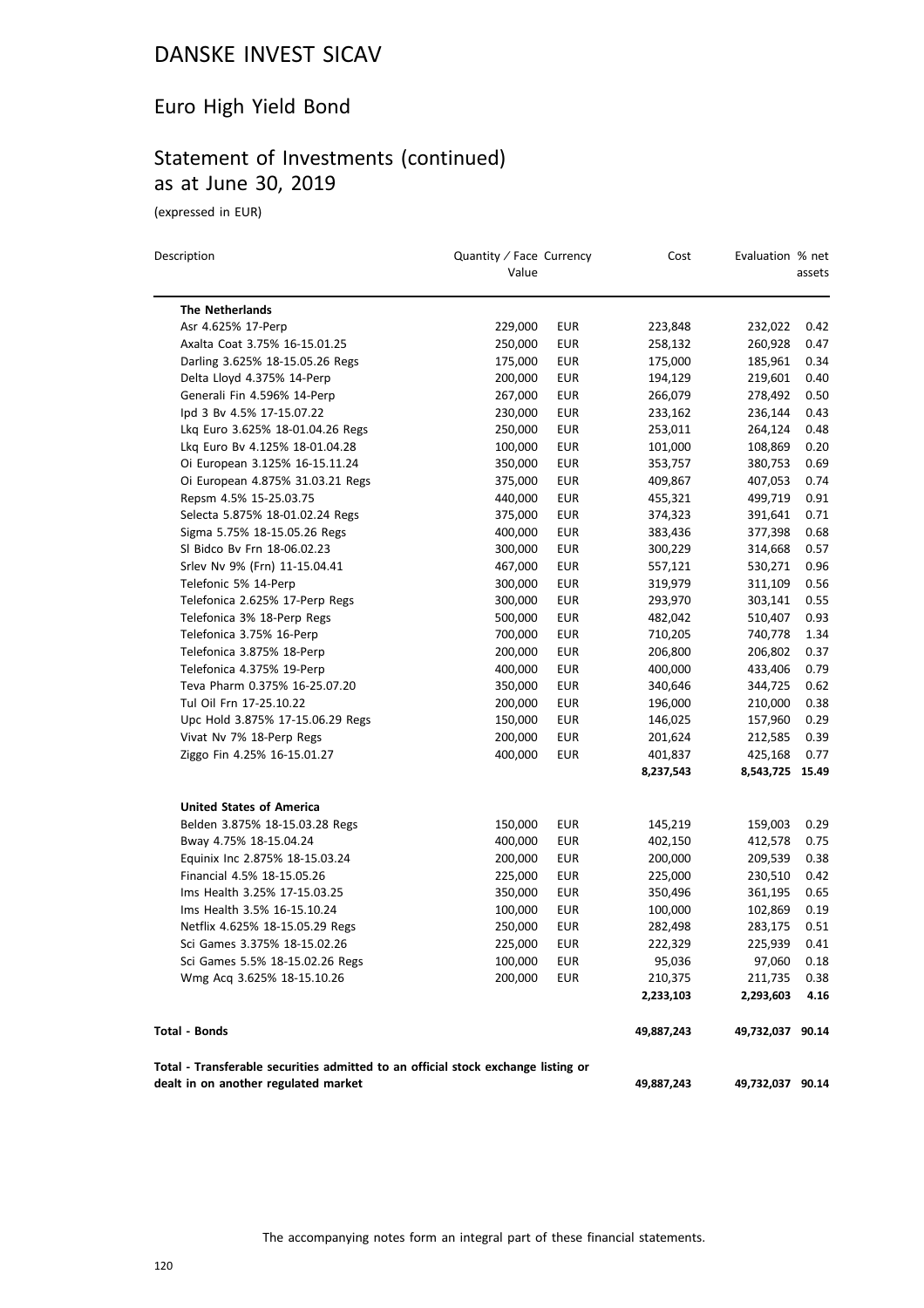# Euro High Yield Bond

# Statement of Investments (continued) as at June 30, 2019

(expressed in EUR)

| Description                                                                                                               | Quantity / Face Currency |            | Cost       | Evaluation % net |        |
|---------------------------------------------------------------------------------------------------------------------------|--------------------------|------------|------------|------------------|--------|
|                                                                                                                           | Value                    |            |            |                  | assets |
| <b>The Netherlands</b>                                                                                                    |                          |            |            |                  |        |
| Asr 4.625% 17-Perp                                                                                                        | 229,000                  | <b>EUR</b> | 223,848    | 232,022          | 0.42   |
| Axalta Coat 3.75% 16-15.01.25                                                                                             | 250,000                  | EUR        | 258,132    | 260,928          | 0.47   |
| Darling 3.625% 18-15.05.26 Regs                                                                                           | 175,000                  | EUR        | 175,000    | 185,961          | 0.34   |
| Delta Lloyd 4.375% 14-Perp                                                                                                | 200,000                  | <b>EUR</b> | 194,129    | 219,601          | 0.40   |
| Generali Fin 4.596% 14-Perp                                                                                               | 267,000                  | <b>EUR</b> | 266,079    | 278,492          | 0.50   |
| lpd 3 Bv 4.5% 17-15.07.22                                                                                                 | 230,000                  | EUR        | 233,162    | 236,144          | 0.43   |
| Lkg Euro 3.625% 18-01.04.26 Regs                                                                                          | 250,000                  | <b>EUR</b> | 253,011    | 264,124          | 0.48   |
| Lkq Euro Bv 4.125% 18-01.04.28                                                                                            | 100,000                  | <b>EUR</b> | 101,000    | 108,869          | 0.20   |
| Oi European 3.125% 16-15.11.24                                                                                            | 350,000                  | <b>EUR</b> | 353,757    | 380,753          | 0.69   |
| Oi European 4.875% 31.03.21 Regs                                                                                          | 375,000                  | <b>EUR</b> | 409,867    | 407,053          | 0.74   |
| Repsm 4.5% 15-25.03.75                                                                                                    | 440,000                  | EUR        | 455,321    | 499,719          | 0.91   |
| Selecta 5.875% 18-01.02.24 Regs                                                                                           | 375,000                  | <b>EUR</b> | 374,323    | 391,641          | 0.71   |
| Sigma 5.75% 18-15.05.26 Regs                                                                                              | 400,000                  | <b>EUR</b> | 383,436    | 377,398          | 0.68   |
| SI Bidco Bv Frn 18-06.02.23                                                                                               | 300,000                  | <b>EUR</b> | 300,229    | 314,668          | 0.57   |
| Srlev Nv 9% (Frn) 11-15.04.41                                                                                             | 467,000                  | <b>EUR</b> | 557,121    | 530,271          | 0.96   |
| Telefonic 5% 14-Perp                                                                                                      | 300,000                  | <b>EUR</b> | 319,979    | 311,109          | 0.56   |
| Telefonica 2.625% 17-Perp Regs                                                                                            | 300,000                  | <b>EUR</b> | 293,970    | 303,141          | 0.55   |
| Telefonica 3% 18-Perp Regs                                                                                                | 500,000                  | <b>EUR</b> | 482,042    | 510,407          | 0.93   |
| Telefonica 3.75% 16-Perp                                                                                                  | 700,000                  | <b>EUR</b> | 710,205    | 740,778          | 1.34   |
| Telefonica 3.875% 18-Perp                                                                                                 | 200,000                  | <b>EUR</b> | 206,800    | 206,802          | 0.37   |
| Telefonica 4.375% 19-Perp                                                                                                 | 400,000                  | <b>EUR</b> | 400,000    | 433,406          | 0.79   |
| Teva Pharm 0.375% 16-25.07.20                                                                                             | 350,000                  | <b>EUR</b> | 340,646    | 344,725          | 0.62   |
| Tul Oil Frn 17-25.10.22                                                                                                   | 200,000                  | EUR        | 196,000    | 210,000          | 0.38   |
| Upc Hold 3.875% 17-15.06.29 Regs                                                                                          | 150,000                  | <b>EUR</b> | 146,025    | 157,960          | 0.29   |
| Vivat Nv 7% 18-Perp Regs                                                                                                  | 200,000                  | <b>EUR</b> | 201,624    | 212,585          | 0.39   |
| Ziggo Fin 4.25% 16-15.01.27                                                                                               | 400,000                  | EUR        | 401,837    | 425,168          | 0.77   |
|                                                                                                                           |                          |            | 8,237,543  | 8,543,725 15.49  |        |
| <b>United States of America</b>                                                                                           |                          |            |            |                  |        |
| Belden 3.875% 18-15.03.28 Regs                                                                                            | 150,000                  | EUR        | 145,219    | 159,003          | 0.29   |
| Bway 4.75% 18-15.04.24                                                                                                    | 400,000                  | <b>EUR</b> | 402,150    | 412,578          | 0.75   |
| Equinix Inc 2.875% 18-15.03.24                                                                                            | 200,000                  | EUR        | 200,000    | 209,539          | 0.38   |
| Financial 4.5% 18-15.05.26                                                                                                | 225,000                  | EUR        | 225,000    | 230,510          | 0.42   |
| Ims Health 3.25% 17-15.03.25                                                                                              | 350,000                  | EUR        | 350,496    | 361,195          | 0.65   |
| Ims Health 3.5% 16-15.10.24                                                                                               | 100,000                  | <b>EUR</b> | 100,000    | 102,869          | 0.19   |
| Netflix 4.625% 18-15.05.29 Regs                                                                                           | 250,000                  | EUR        | 282,498    | 283,175          | 0.51   |
| Sci Games 3.375% 18-15.02.26                                                                                              | 225,000                  | <b>EUR</b> | 222,329    | 225,939          | 0.41   |
| Sci Games 5.5% 18-15.02.26 Regs                                                                                           | 100,000                  | EUR        | 95,036     | 97,060           | 0.18   |
| Wmg Acq 3.625% 18-15.10.26                                                                                                | 200,000                  | <b>EUR</b> | 210,375    | 211,735          | 0.38   |
|                                                                                                                           |                          |            | 2,233,103  | 2,293,603        | 4.16   |
| <b>Total - Bonds</b>                                                                                                      |                          |            | 49,887,243 | 49,732,037 90.14 |        |
| Total - Transferable securities admitted to an official stock exchange listing or<br>dealt in on another regulated market |                          |            | 49,887,243 | 49,732,037 90.14 |        |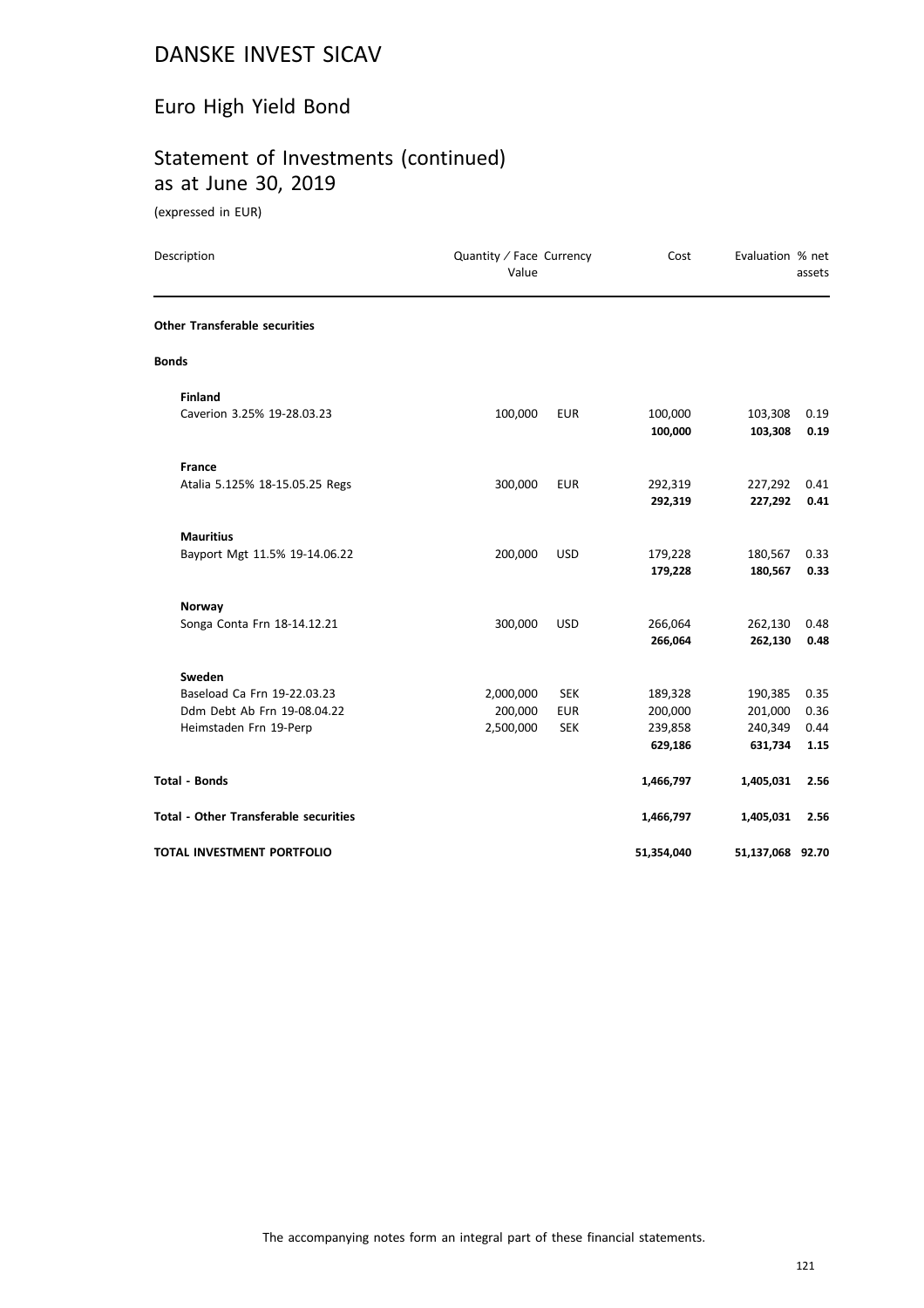# Euro High Yield Bond

# Statement of Investments (continued) as at June 30, 2019

(expressed in EUR)

| Description                                  | Quantity / Face Currency<br>Value |            | Cost               | Evaluation % net   | assets       |
|----------------------------------------------|-----------------------------------|------------|--------------------|--------------------|--------------|
| <b>Other Transferable securities</b>         |                                   |            |                    |                    |              |
| <b>Bonds</b>                                 |                                   |            |                    |                    |              |
| <b>Finland</b>                               |                                   |            |                    |                    |              |
| Caverion 3.25% 19-28.03.23                   | 100,000                           | <b>EUR</b> | 100,000<br>100,000 | 103,308<br>103,308 | 0.19<br>0.19 |
| <b>France</b>                                |                                   |            |                    |                    |              |
| Atalia 5.125% 18-15.05.25 Regs               | 300,000                           | <b>EUR</b> | 292,319            | 227,292            | 0.41         |
|                                              |                                   |            | 292,319            | 227,292            | 0.41         |
| <b>Mauritius</b>                             |                                   |            |                    |                    |              |
| Bayport Mgt 11.5% 19-14.06.22                | 200,000                           | <b>USD</b> | 179,228            | 180,567            | 0.33         |
|                                              |                                   |            | 179,228            | 180,567            | 0.33         |
| Norway                                       |                                   |            |                    |                    |              |
| Songa Conta Frn 18-14.12.21                  | 300,000                           | <b>USD</b> | 266,064            | 262,130            | 0.48         |
|                                              |                                   |            | 266,064            | 262,130            | 0.48         |
| Sweden                                       |                                   |            |                    |                    |              |
| Baseload Ca Frn 19-22.03.23                  | 2,000,000                         | <b>SEK</b> | 189,328            | 190,385            | 0.35         |
| Ddm Debt Ab Frn 19-08.04.22                  | 200,000                           | <b>EUR</b> | 200,000            | 201,000            | 0.36         |
| Heimstaden Frn 19-Perp                       | 2,500,000                         | <b>SEK</b> | 239,858            | 240,349            | 0.44         |
|                                              |                                   |            | 629,186            | 631,734            | 1.15         |
| <b>Total - Bonds</b>                         |                                   |            | 1,466,797          | 1,405,031          | 2.56         |
| <b>Total - Other Transferable securities</b> |                                   |            | 1,466,797          | 1,405,031          | 2.56         |
| TOTAL INVESTMENT PORTFOLIO                   |                                   |            | 51,354,040         | 51,137,068 92.70   |              |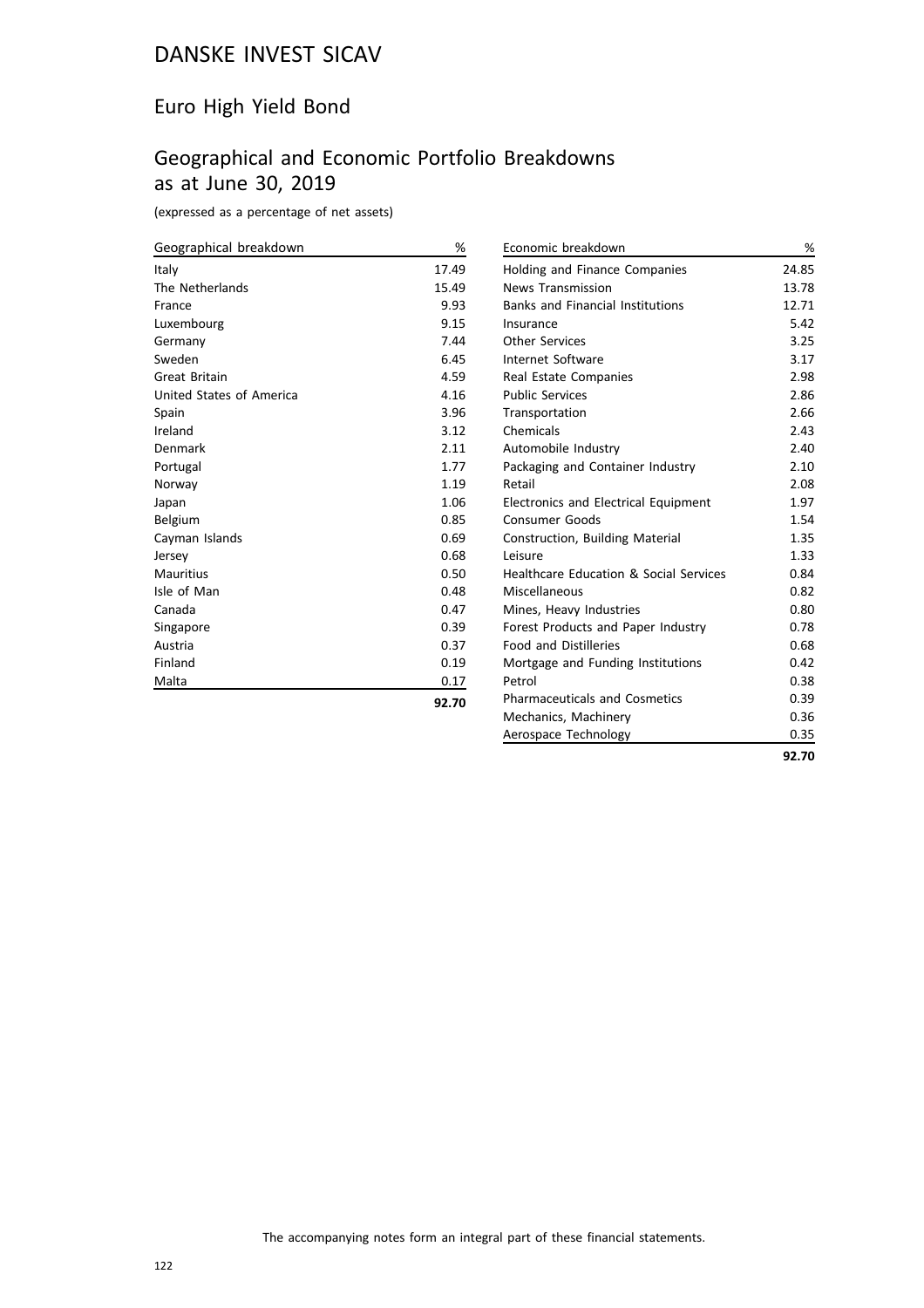# Euro High Yield Bond

# Geographical and Economic Portfolio Breakdowns as at June 30, 2019

(expressed as a percentage of net assets)

| Geographical breakdown   | %     |
|--------------------------|-------|
| Italy                    | 17.49 |
| The Netherlands          | 15.49 |
| France                   | 9.93  |
| Luxembourg               | 9.15  |
| Germany                  | 7.44  |
| Sweden                   | 6.45  |
| <b>Great Britain</b>     | 4.59  |
| United States of America | 4.16  |
| Spain                    | 3.96  |
| Ireland                  | 3.12  |
| Denmark                  | 2.11  |
| Portugal                 | 1.77  |
| Norway                   | 1.19  |
| Japan                    | 1.06  |
| Belgium                  | 0.85  |
| Cayman Islands           | 0.69  |
| Jersey                   | 0.68  |
| Mauritius                | 0.50  |
| Isle of Man              | 0.48  |
| Canada                   | 0.47  |
| Singapore                | 0.39  |
| Austria                  | 0.37  |
| Finland                  | 0.19  |
| Malta                    | 0.17  |
|                          | 92.70 |

| Economic breakdown                      | %     |
|-----------------------------------------|-------|
| Holding and Finance Companies           | 24.85 |
| <b>News Transmission</b>                | 13.78 |
| <b>Banks and Financial Institutions</b> | 12.71 |
| Insurance                               | 5.42  |
| Other Services                          | 3.25  |
| Internet Software                       | 3.17  |
| Real Estate Companies                   | 2.98  |
| <b>Public Services</b>                  | 2.86  |
| Transportation                          | 2.66  |
| Chemicals                               | 2.43  |
| Automobile Industry                     | 2.40  |
| Packaging and Container Industry        | 2.10  |
| Retail                                  | 2.08  |
| Electronics and Electrical Equipment    | 1.97  |
| <b>Consumer Goods</b>                   | 1.54  |
| Construction, Building Material         | 1.35  |
| Leisure                                 | 1.33  |
| Healthcare Education & Social Services  | 0.84  |
| Miscellaneous                           | 0.82  |
| Mines, Heavy Industries                 | 0.80  |
| Forest Products and Paper Industry      | 0.78  |
| <b>Food and Distilleries</b>            | 0.68  |
| Mortgage and Funding Institutions       | 0.42  |
| Petrol                                  | 0.38  |
| <b>Pharmaceuticals and Cosmetics</b>    | 0.39  |
| Mechanics, Machinery                    | 0.36  |
| Aerospace Technology                    | 0.35  |
|                                         | 92.70 |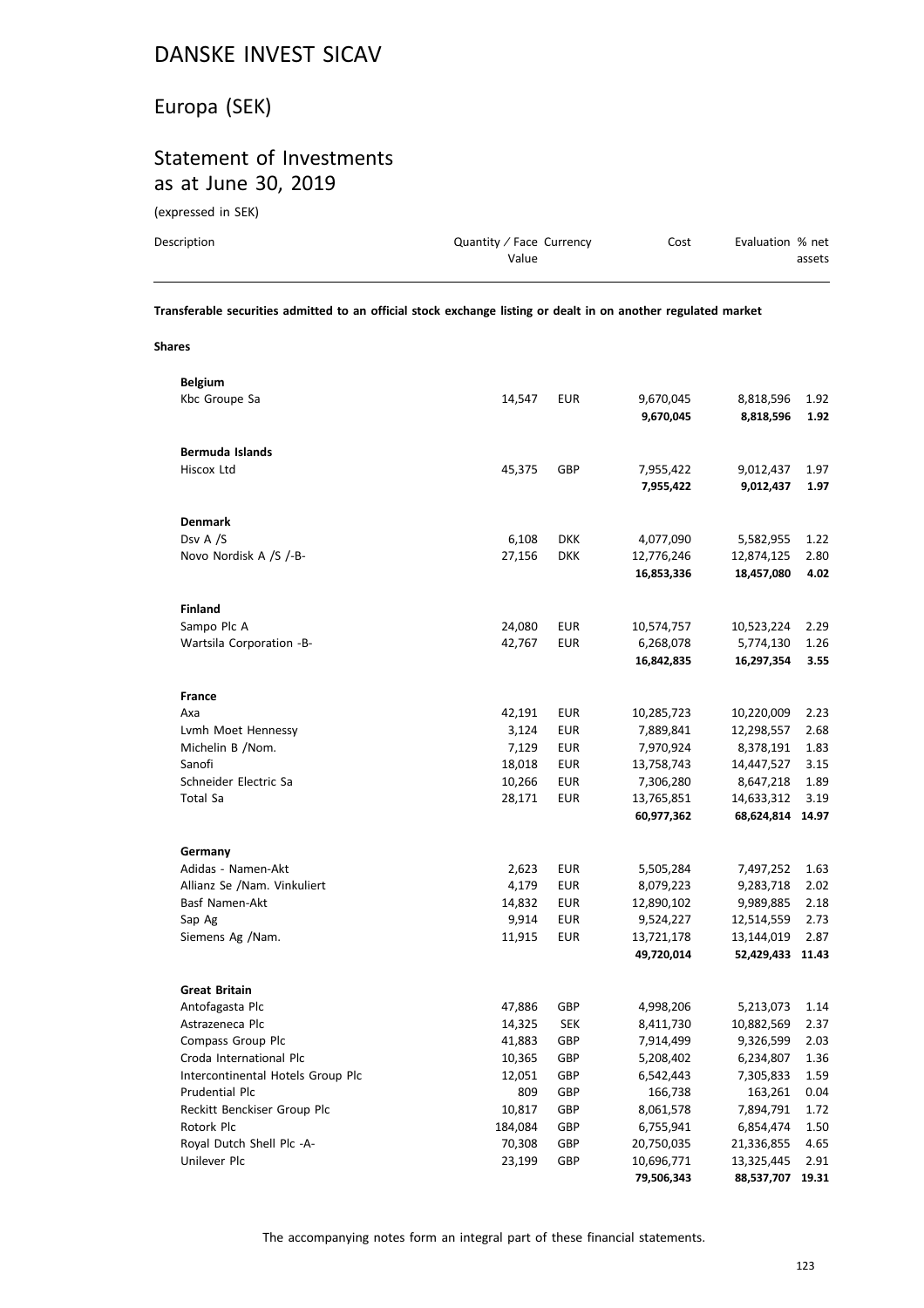# Europa (SEK)

# Statement of Investments as at June 30, 2019

(expressed in SEK)

| Description | Quantity / Face Currency<br>Value | Cost | Evaluation % net<br>assets |
|-------------|-----------------------------------|------|----------------------------|
|             |                                   |      |                            |

**Transferable securities admitted to an official stock exchange listing or dealt in on another regulated market**

**Shares**

| <b>Belgium</b>                    |         |            |            |                  |       |
|-----------------------------------|---------|------------|------------|------------------|-------|
| Kbc Groupe Sa                     | 14,547  | <b>EUR</b> | 9,670,045  | 8,818,596        | 1.92  |
|                                   |         |            | 9,670,045  | 8,818,596        | 1.92  |
|                                   |         |            |            |                  |       |
| Bermuda Islands                   |         |            |            |                  |       |
| Hiscox Ltd                        | 45,375  | GBP        | 7,955,422  | 9,012,437        | 1.97  |
|                                   |         |            | 7,955,422  | 9,012,437        | 1.97  |
|                                   |         |            |            |                  |       |
| <b>Denmark</b>                    |         |            |            |                  |       |
| Dsv A /S                          | 6,108   | <b>DKK</b> | 4,077,090  | 5,582,955        | 1.22  |
| Novo Nordisk A /S /-B-            | 27,156  | <b>DKK</b> | 12,776,246 | 12,874,125       | 2.80  |
|                                   |         |            | 16,853,336 | 18,457,080       | 4.02  |
|                                   |         |            |            |                  |       |
| <b>Finland</b>                    |         |            |            |                  |       |
| Sampo Plc A                       | 24,080  | <b>EUR</b> | 10,574,757 | 10,523,224       | 2.29  |
| Wartsila Corporation -B-          | 42,767  | <b>EUR</b> | 6,268,078  |                  | 1.26  |
|                                   |         |            |            | 5,774,130        | 3.55  |
|                                   |         |            | 16,842,835 | 16,297,354       |       |
|                                   |         |            |            |                  |       |
| France                            |         |            |            |                  |       |
| Axa                               | 42,191  | <b>EUR</b> | 10,285,723 | 10,220,009       | 2.23  |
| Lvmh Moet Hennessy                | 3,124   | EUR        | 7,889,841  | 12,298,557       | 2.68  |
| Michelin B /Nom.                  | 7,129   | <b>EUR</b> | 7,970,924  | 8,378,191        | 1.83  |
| Sanofi                            | 18,018  | <b>EUR</b> | 13,758,743 | 14,447,527       | 3.15  |
| Schneider Electric Sa             | 10,266  | EUR        | 7,306,280  | 8,647,218        | 1.89  |
| Total Sa                          | 28,171  | EUR        | 13,765,851 | 14,633,312       | 3.19  |
|                                   |         |            | 60,977,362 | 68,624,814 14.97 |       |
|                                   |         |            |            |                  |       |
| Germany                           |         |            |            |                  |       |
| Adidas - Namen-Akt                | 2,623   | <b>EUR</b> | 5,505,284  | 7,497,252        | 1.63  |
| Allianz Se /Nam. Vinkuliert       | 4,179   | EUR        | 8,079,223  | 9,283,718        | 2.02  |
| Basf Namen-Akt                    | 14,832  | <b>EUR</b> | 12,890,102 | 9,989,885        | 2.18  |
| Sap Ag                            | 9,914   | <b>EUR</b> | 9,524,227  | 12,514,559       | 2.73  |
| Siemens Ag /Nam.                  | 11,915  | <b>EUR</b> | 13,721,178 | 13,144,019       | 2.87  |
|                                   |         |            | 49,720,014 | 52,429,433       | 11.43 |
|                                   |         |            |            |                  |       |
| <b>Great Britain</b>              |         |            |            |                  |       |
| Antofagasta Plc                   | 47,886  | GBP        | 4,998,206  | 5,213,073        | 1.14  |
| Astrazeneca Plc                   | 14,325  | <b>SEK</b> | 8,411,730  | 10,882,569       | 2.37  |
| Compass Group Plc                 | 41,883  | GBP        | 7,914,499  | 9,326,599        | 2.03  |
| Croda International Plc           | 10,365  | GBP        | 5,208,402  | 6,234,807        | 1.36  |
| Intercontinental Hotels Group Plc | 12,051  | GBP        | 6,542,443  | 7,305,833        | 1.59  |
| Prudential Plc                    | 809     | GBP        | 166,738    | 163,261          | 0.04  |
| Reckitt Benckiser Group Plc       | 10,817  | GBP        | 8,061,578  | 7,894,791        | 1.72  |
| Rotork Plc                        | 184,084 | GBP        | 6,755,941  | 6,854,474        | 1.50  |
| Royal Dutch Shell Plc -A-         | 70,308  | GBP        | 20,750,035 | 21,336,855       | 4.65  |
| Unilever Plc                      | 23,199  | GBP        | 10,696,771 | 13,325,445       | 2.91  |
|                                   |         |            | 79,506,343 | 88,537,707       | 19.31 |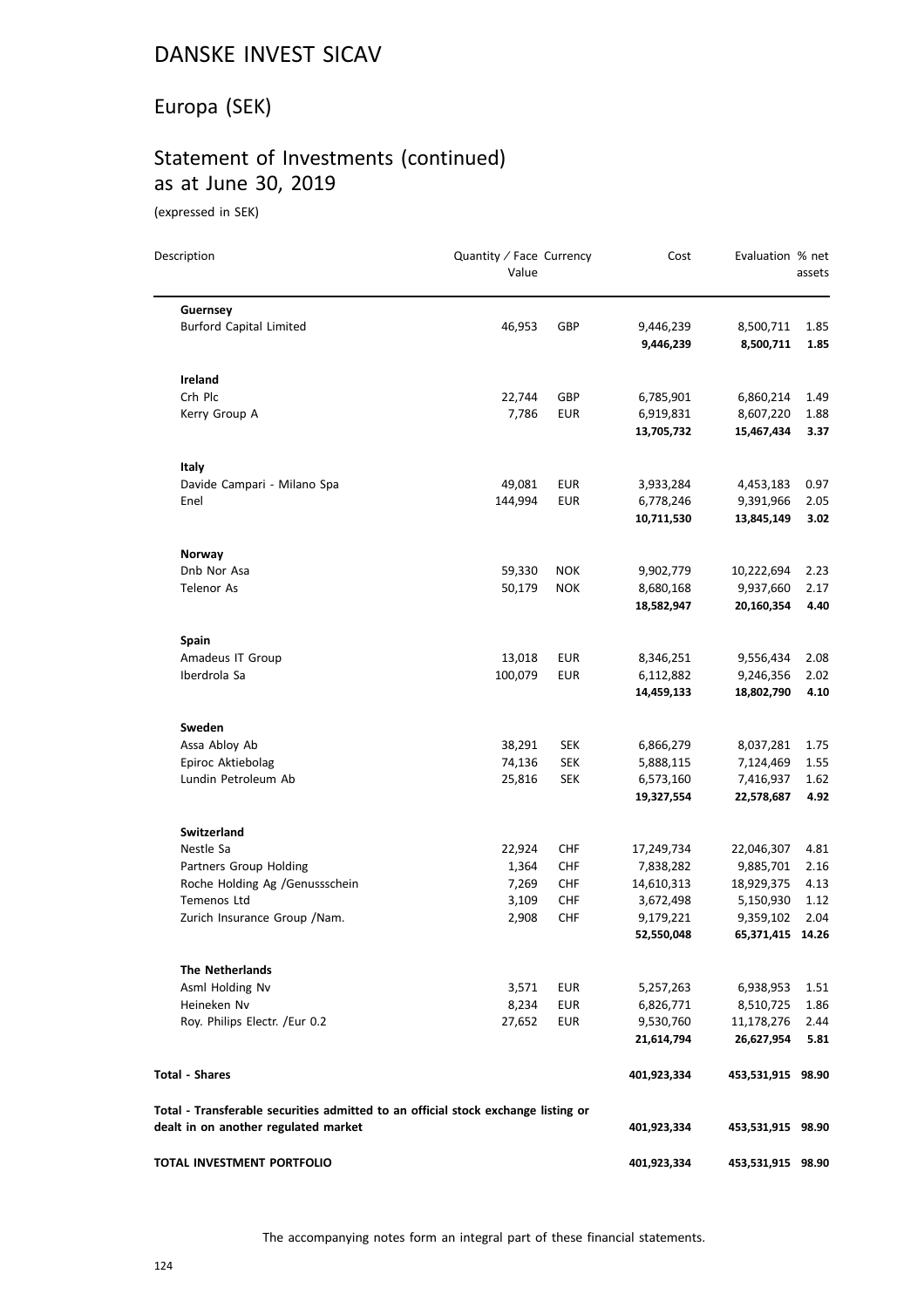# Europa (SEK)

# Statement of Investments (continued) as at June 30, 2019

(expressed in SEK)

| Description                                                                       | Quantity / Face Currency<br>Value |            | Cost                    | Evaluation % net              | assets       |
|-----------------------------------------------------------------------------------|-----------------------------------|------------|-------------------------|-------------------------------|--------------|
| Guernsey                                                                          |                                   |            |                         |                               |              |
| <b>Burford Capital Limited</b>                                                    | 46,953                            | <b>GBP</b> | 9,446,239<br>9,446,239  | 8,500,711<br>8,500,711        | 1.85<br>1.85 |
| Ireland                                                                           |                                   |            |                         |                               |              |
| Crh Plc                                                                           | 22,744                            | GBP        | 6,785,901               | 6,860,214                     | 1.49         |
| Kerry Group A                                                                     | 7,786                             | EUR        | 6,919,831               | 8,607,220                     | 1.88         |
|                                                                                   |                                   |            | 13,705,732              | 15,467,434                    | 3.37         |
| Italy                                                                             |                                   |            |                         |                               |              |
| Davide Campari - Milano Spa                                                       | 49,081                            | <b>EUR</b> | 3,933,284               | 4,453,183                     | 0.97         |
| Enel                                                                              | 144,994                           | <b>EUR</b> | 6,778,246               | 9,391,966                     | 2.05         |
|                                                                                   |                                   |            | 10,711,530              | 13,845,149                    | 3.02         |
| Norway                                                                            |                                   |            |                         |                               |              |
| Dnb Nor Asa                                                                       | 59,330                            | <b>NOK</b> | 9,902,779               | 10,222,694                    | 2.23         |
| <b>Telenor As</b>                                                                 | 50,179                            | <b>NOK</b> | 8,680,168               | 9,937,660                     | 2.17         |
|                                                                                   |                                   |            | 18,582,947              | 20,160,354                    | 4.40         |
| <b>Spain</b>                                                                      |                                   |            |                         |                               |              |
| Amadeus IT Group                                                                  | 13,018                            | <b>EUR</b> | 8,346,251               | 9,556,434                     | 2.08         |
| Iberdrola Sa                                                                      | 100,079                           | <b>EUR</b> | 6,112,882               | 9,246,356                     | 2.02         |
|                                                                                   |                                   |            | 14,459,133              | 18,802,790                    | 4.10         |
| Sweden                                                                            |                                   |            |                         |                               |              |
| Assa Abloy Ab                                                                     | 38,291                            | <b>SEK</b> | 6,866,279               | 8,037,281                     | 1.75         |
| Epiroc Aktiebolag                                                                 | 74,136                            | <b>SEK</b> | 5,888,115               | 7,124,469                     | 1.55         |
| Lundin Petroleum Ab                                                               | 25,816                            | <b>SEK</b> | 6,573,160               | 7,416,937                     | 1.62         |
|                                                                                   |                                   |            | 19,327,554              | 22,578,687                    | 4.92         |
| Switzerland                                                                       |                                   |            |                         |                               |              |
| Nestle Sa                                                                         | 22,924                            | CHF        | 17,249,734              | 22,046,307                    | 4.81         |
| Partners Group Holding                                                            | 1,364                             | <b>CHF</b> | 7,838,282               | 9,885,701                     | 2.16         |
| Roche Holding Ag /Genussschein                                                    | 7,269                             | <b>CHF</b> | 14,610,313              | 18,929,375                    | 4.13         |
| Temenos Ltd                                                                       | 3,109                             | <b>CHF</b> | 3,672,498               | 5,150,930                     | 1.12         |
| Zurich Insurance Group / Nam.                                                     | 2,908                             | <b>CHF</b> | 9,179,221<br>52,550,048 | 9,359,102<br>65,371,415 14.26 | 2.04         |
|                                                                                   |                                   |            |                         |                               |              |
| <b>The Netherlands</b>                                                            |                                   |            |                         |                               |              |
| Asml Holding Nv                                                                   | 3,571                             | EUR        | 5,257,263               | 6,938,953                     | 1.51         |
| Heineken Nv<br>Roy. Philips Electr. /Eur 0.2                                      | 8,234<br>27,652                   | <b>EUR</b> | 6,826,771               | 8,510,725<br>11,178,276       | 1.86         |
|                                                                                   |                                   | EUR        | 9,530,760<br>21,614,794 | 26,627,954                    | 2.44<br>5.81 |
| <b>Total - Shares</b>                                                             |                                   |            | 401,923,334             | 453,531,915 98.90             |              |
| Total - Transferable securities admitted to an official stock exchange listing or |                                   |            |                         |                               |              |
| dealt in on another regulated market                                              |                                   |            | 401,923,334             | 453,531,915 98.90             |              |
| TOTAL INVESTMENT PORTFOLIO                                                        |                                   |            | 401,923,334             | 453,531,915 98.90             |              |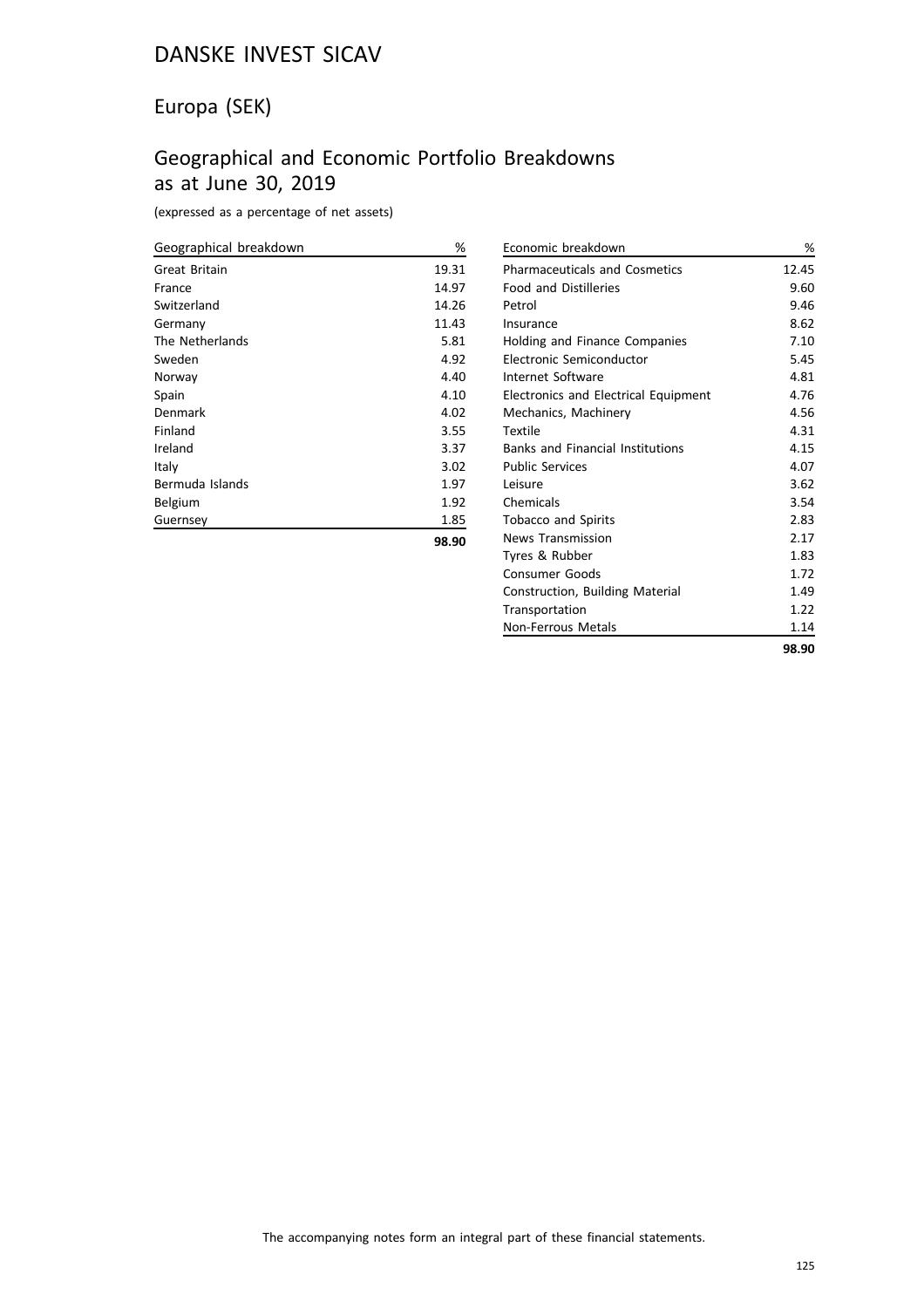# Europa (SEK)

# Geographical and Economic Portfolio Breakdowns as at June 30, 2019

(expressed as a percentage of net assets)

| Geographical breakdown | %     |
|------------------------|-------|
| <b>Great Britain</b>   | 19.31 |
| France                 | 14.97 |
| Switzerland            | 14.26 |
| Germany                | 11.43 |
| The Netherlands        | 5.81  |
| Sweden                 | 4.92  |
| Norway                 | 4.40  |
| Spain                  | 4.10  |
| Denmark                | 4.02  |
| Finland                | 3.55  |
| Ireland                | 3.37  |
| Italy                  | 3.02  |
| Bermuda Islands        | 1.97  |
| Belgium                | 1.92  |
| Guernsey               | 1.85  |
|                        | 98.90 |

| Economic breakdown                      | %     |
|-----------------------------------------|-------|
| <b>Pharmaceuticals and Cosmetics</b>    | 12.45 |
| <b>Food and Distilleries</b>            | 9.60  |
| Petrol                                  | 9.46  |
| Insurance                               | 8.62  |
| Holding and Finance Companies           | 7.10  |
| Electronic Semiconductor                | 5.45  |
| Internet Software                       | 4.81  |
| Electronics and Electrical Equipment    | 4.76  |
| Mechanics, Machinery                    | 4.56  |
| Textile                                 | 4.31  |
| <b>Banks and Financial Institutions</b> | 4.15  |
| <b>Public Services</b>                  | 4.07  |
| Leisure                                 | 3.62  |
| Chemicals                               | 3.54  |
| <b>Tobacco and Spirits</b>              | 2.83  |
| <b>News Transmission</b>                | 2.17  |
| Tyres & Rubber                          | 1.83  |
| <b>Consumer Goods</b>                   | 1.72  |
| Construction, Building Material         | 1.49  |
| Transportation                          | 1.22  |
| Non-Ferrous Metals                      | 1.14  |
|                                         | 98.90 |
|                                         |       |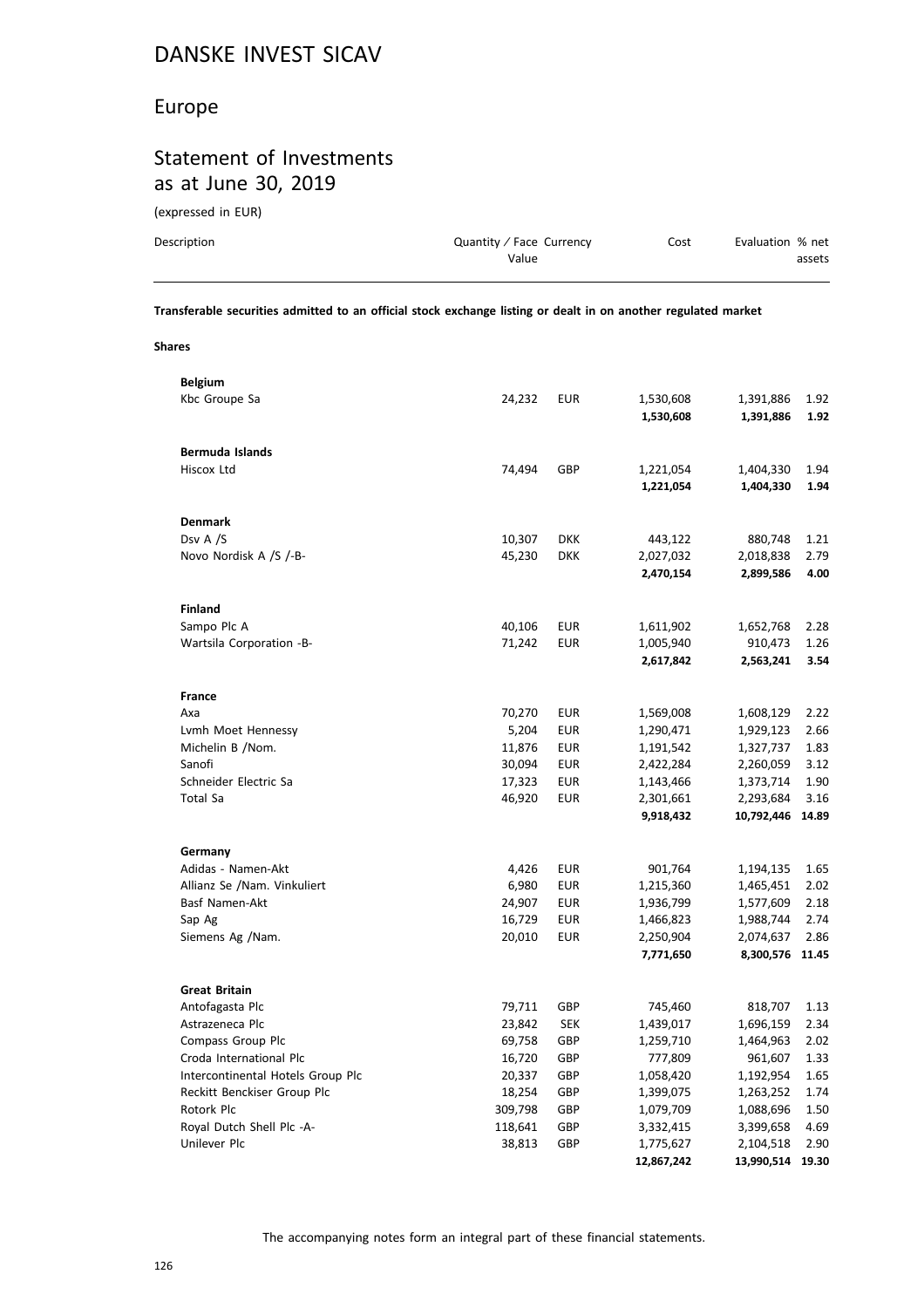#### Europe

# Statement of Investments as at June 30, 2019

(expressed in EUR)

| Description | Quantity / Face Currency | Cost | Evaluation % net |
|-------------|--------------------------|------|------------------|
|             | Value                    |      | assets           |
|             |                          |      |                  |

**Transferable securities admitted to an official stock exchange listing or dealt in on another regulated market**

**Shares**

| <b>Belgium</b>                    |         |            |            |            |       |
|-----------------------------------|---------|------------|------------|------------|-------|
| Kbc Groupe Sa                     | 24,232  | <b>EUR</b> | 1,530,608  | 1,391,886  | 1.92  |
|                                   |         |            | 1,530,608  | 1,391,886  | 1.92  |
|                                   |         |            |            |            |       |
| Bermuda Islands                   |         |            |            |            |       |
| Hiscox Ltd                        | 74,494  | GBP        | 1,221,054  | 1,404,330  | 1.94  |
|                                   |         |            | 1,221,054  | 1,404,330  | 1.94  |
|                                   |         |            |            |            |       |
| <b>Denmark</b>                    |         |            |            |            |       |
| Dsv A /S                          | 10,307  | <b>DKK</b> | 443,122    | 880,748    | 1.21  |
| Novo Nordisk A /S /-B-            | 45,230  | <b>DKK</b> | 2,027,032  | 2,018,838  | 2.79  |
|                                   |         |            | 2,470,154  | 2,899,586  | 4.00  |
|                                   |         |            |            |            |       |
| <b>Finland</b>                    |         |            |            |            |       |
| Sampo Plc A                       | 40,106  | <b>EUR</b> | 1,611,902  | 1,652,768  | 2.28  |
| Wartsila Corporation -B-          | 71,242  | <b>EUR</b> | 1,005,940  | 910,473    | 1.26  |
|                                   |         |            | 2,617,842  | 2,563,241  | 3.54  |
|                                   |         |            |            |            |       |
|                                   |         |            |            |            |       |
| <b>France</b>                     |         |            |            |            |       |
| Axa                               | 70,270  | EUR        | 1,569,008  | 1,608,129  | 2.22  |
| Lymh Moet Hennessy                | 5,204   | EUR        | 1,290,471  | 1,929,123  | 2.66  |
| Michelin B /Nom.                  | 11,876  | <b>EUR</b> | 1,191,542  | 1,327,737  | 1.83  |
| Sanofi                            | 30,094  | EUR        | 2,422,284  | 2,260,059  | 3.12  |
| Schneider Electric Sa             | 17,323  | <b>EUR</b> | 1,143,466  | 1,373,714  | 1.90  |
| Total Sa                          | 46,920  | <b>EUR</b> | 2,301,661  | 2,293,684  | 3.16  |
|                                   |         |            | 9,918,432  | 10,792,446 | 14.89 |
|                                   |         |            |            |            |       |
| Germany                           |         |            |            |            |       |
| Adidas - Namen-Akt                | 4,426   | <b>EUR</b> | 901,764    | 1,194,135  | 1.65  |
| Allianz Se /Nam. Vinkuliert       | 6,980   | <b>EUR</b> | 1,215,360  | 1,465,451  | 2.02  |
| Basf Namen-Akt                    | 24,907  | <b>EUR</b> | 1,936,799  | 1,577,609  | 2.18  |
| Sap Ag                            | 16,729  | <b>EUR</b> | 1,466,823  | 1,988,744  | 2.74  |
| Siemens Ag /Nam.                  | 20,010  | <b>EUR</b> | 2,250,904  | 2,074,637  | 2.86  |
|                                   |         |            | 7,771,650  | 8,300,576  | 11.45 |
|                                   |         |            |            |            |       |
| <b>Great Britain</b>              |         |            |            |            |       |
| Antofagasta Plc                   | 79,711  | GBP        | 745,460    | 818,707    | 1.13  |
| Astrazeneca Plc                   | 23,842  | <b>SEK</b> | 1,439,017  | 1,696,159  | 2.34  |
| Compass Group Plc                 | 69,758  | GBP        | 1,259,710  | 1,464,963  | 2.02  |
| Croda International Plc           | 16,720  | GBP        | 777,809    | 961,607    | 1.33  |
| Intercontinental Hotels Group Plc | 20,337  | GBP        | 1,058,420  | 1,192,954  | 1.65  |
| Reckitt Benckiser Group Plc       | 18,254  | GBP        | 1,399,075  | 1,263,252  | 1.74  |
| Rotork Plc                        | 309,798 | GBP        | 1,079,709  | 1,088,696  | 1.50  |
| Royal Dutch Shell Plc -A-         | 118,641 | GBP        | 3,332,415  | 3,399,658  | 4.69  |
| Unilever Plc                      | 38,813  | GBP        | 1,775,627  | 2,104,518  | 2.90  |
|                                   |         |            | 12,867,242 | 13,990,514 | 19.30 |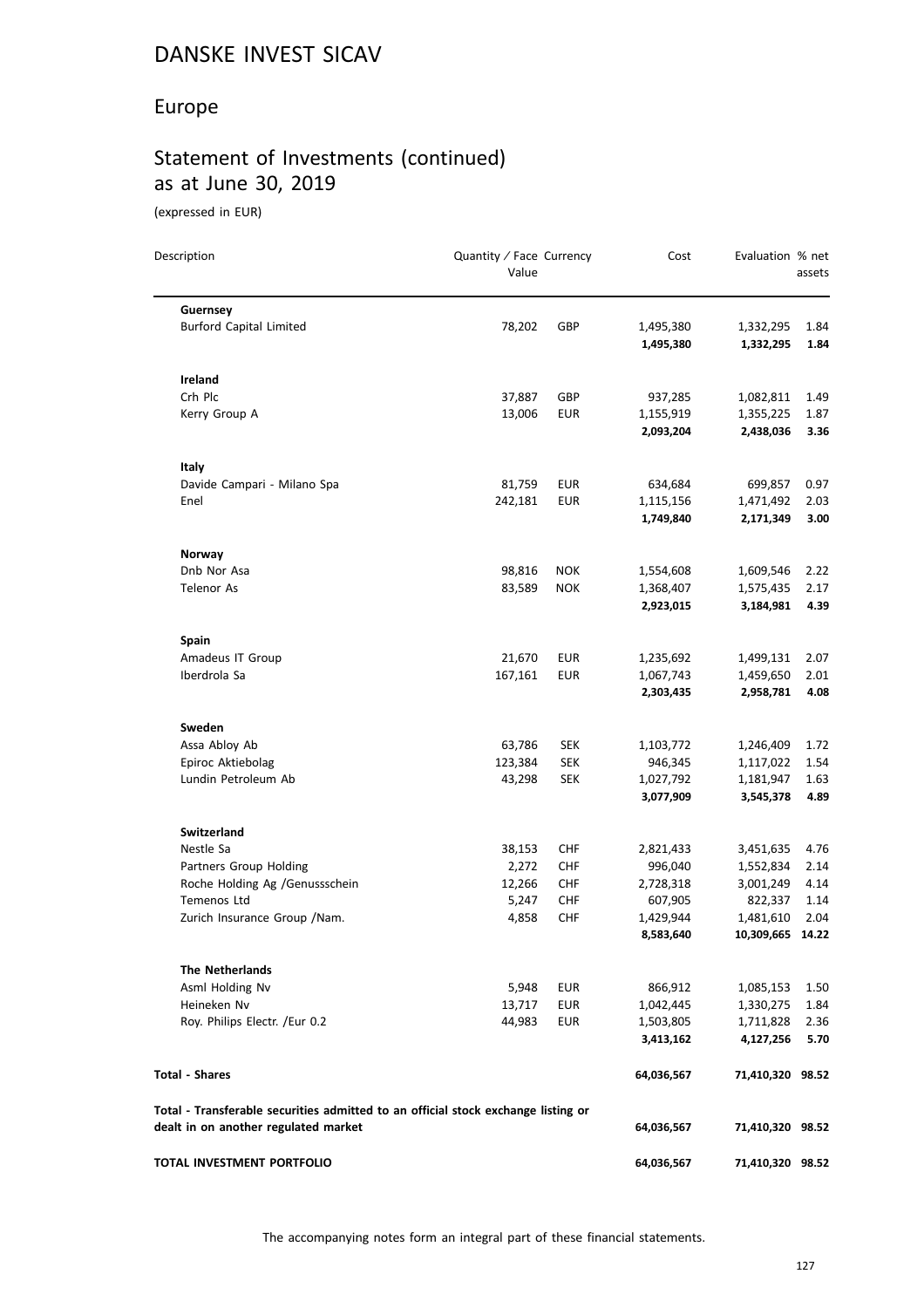# Europe

# Statement of Investments (continued) as at June 30, 2019

(expressed in EUR)

| Description                                                                                                               | Quantity / Face Currency<br>Value |                          | Cost                   | Evaluation % net       | assets       |
|---------------------------------------------------------------------------------------------------------------------------|-----------------------------------|--------------------------|------------------------|------------------------|--------------|
| Guernsey                                                                                                                  |                                   |                          |                        |                        |              |
| <b>Burford Capital Limited</b>                                                                                            | 78,202                            | GBP                      | 1,495,380              | 1,332,295              | 1.84         |
|                                                                                                                           |                                   |                          | 1,495,380              | 1,332,295              | 1.84         |
| Ireland                                                                                                                   |                                   |                          |                        |                        |              |
| Crh Plc                                                                                                                   | 37,887                            | GBP                      | 937,285                | 1,082,811              | 1.49         |
| Kerry Group A                                                                                                             | 13,006                            | <b>EUR</b>               | 1,155,919              | 1,355,225              | 1.87         |
|                                                                                                                           |                                   |                          | 2,093,204              | 2,438,036              | 3.36         |
| Italy                                                                                                                     |                                   |                          |                        |                        |              |
| Davide Campari - Milano Spa                                                                                               | 81,759                            | <b>EUR</b>               | 634,684                | 699,857                | 0.97         |
| Enel                                                                                                                      | 242,181                           | <b>EUR</b>               | 1,115,156              | 1,471,492              | 2.03         |
|                                                                                                                           |                                   |                          | 1,749,840              | 2,171,349              | 3.00         |
| Norway                                                                                                                    |                                   |                          |                        |                        |              |
| Dnb Nor Asa                                                                                                               | 98,816                            | <b>NOK</b>               | 1,554,608              | 1,609,546              | 2.22         |
| <b>Telenor As</b>                                                                                                         | 83,589                            | <b>NOK</b>               | 1,368,407              | 1,575,435              | 2.17         |
|                                                                                                                           |                                   |                          | 2,923,015              | 3,184,981              | 4.39         |
| Spain                                                                                                                     |                                   |                          |                        |                        |              |
| Amadeus IT Group                                                                                                          | 21,670                            | <b>EUR</b>               | 1,235,692              | 1,499,131              | 2.07         |
| Iberdrola Sa                                                                                                              | 167,161                           | <b>EUR</b>               | 1,067,743              | 1,459,650              | 2.01         |
|                                                                                                                           |                                   |                          | 2,303,435              | 2,958,781              | 4.08         |
| Sweden                                                                                                                    |                                   |                          |                        |                        |              |
| Assa Abloy Ab                                                                                                             | 63,786                            | <b>SEK</b>               | 1,103,772              | 1,246,409              | 1.72         |
| Epiroc Aktiebolag                                                                                                         | 123,384                           | <b>SEK</b>               | 946,345                | 1,117,022              | 1.54         |
| Lundin Petroleum Ab                                                                                                       | 43,298                            | <b>SEK</b>               | 1,027,792<br>3,077,909 | 1,181,947<br>3,545,378 | 1.63<br>4.89 |
|                                                                                                                           |                                   |                          |                        |                        |              |
| <b>Switzerland</b>                                                                                                        |                                   |                          |                        |                        |              |
| Nestle Sa                                                                                                                 | 38,153                            | <b>CHF</b>               | 2,821,433              | 3,451,635              | 4.76         |
| Partners Group Holding                                                                                                    | 2,272                             | <b>CHF</b>               | 996,040                | 1,552,834              | 2.14         |
| Roche Holding Ag /Genussschein<br><b>Temenos Ltd</b>                                                                      | 12,266<br>5,247                   | <b>CHF</b><br><b>CHF</b> | 2,728,318<br>607,905   | 3,001,249<br>822,337   | 4.14<br>1.14 |
| Zurich Insurance Group / Nam.                                                                                             | 4,858                             | <b>CHF</b>               | 1,429,944              | 1,481,610              | 2.04         |
|                                                                                                                           |                                   |                          | 8,583,640              | 10,309,665 14.22       |              |
| <b>The Netherlands</b>                                                                                                    |                                   |                          |                        |                        |              |
| Asml Holding Nv                                                                                                           | 5,948                             | <b>EUR</b>               | 866,912                | 1,085,153              | 1.50         |
| Heineken Nv                                                                                                               | 13,717                            | <b>EUR</b>               | 1,042,445              | 1,330,275              | 1.84         |
| Roy. Philips Electr. /Eur 0.2                                                                                             | 44,983                            | EUR                      | 1,503,805              | 1,711,828              | 2.36         |
|                                                                                                                           |                                   |                          | 3,413,162              | 4,127,256              | 5.70         |
| <b>Total - Shares</b>                                                                                                     |                                   |                          | 64,036,567             | 71,410,320 98.52       |              |
| Total - Transferable securities admitted to an official stock exchange listing or<br>dealt in on another regulated market |                                   |                          | 64,036,567             | 71,410,320 98.52       |              |
| TOTAL INVESTMENT PORTFOLIO                                                                                                |                                   |                          | 64,036,567             | 71,410,320 98.52       |              |
|                                                                                                                           |                                   |                          |                        |                        |              |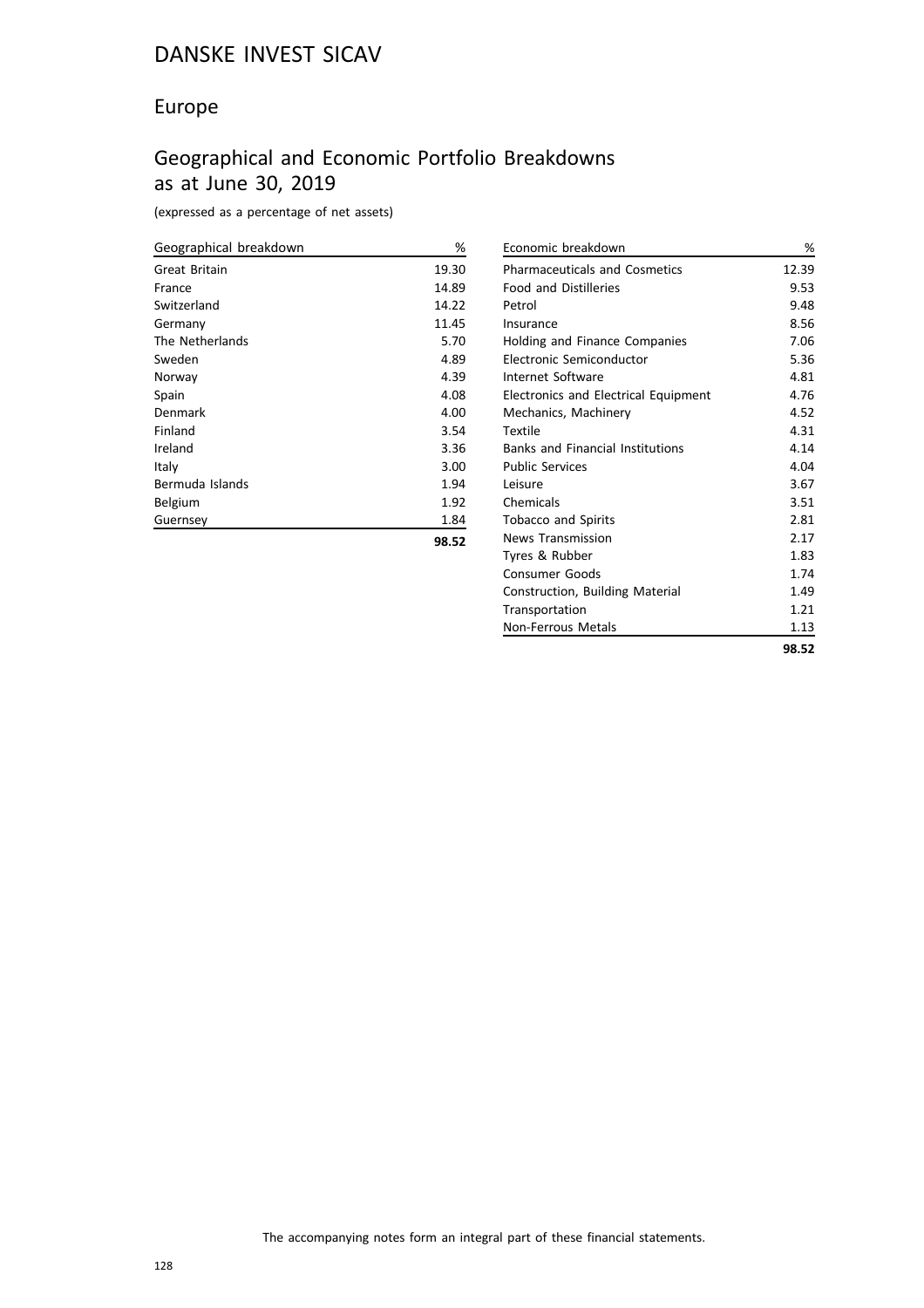# Europe

# Geographical and Economic Portfolio Breakdowns as at June 30, 2019

(expressed as a percentage of net assets)

| Geographical breakdown | %     |
|------------------------|-------|
| Great Britain          | 19.30 |
| France                 | 14.89 |
| Switzerland            | 14.22 |
| Germany                | 11.45 |
| The Netherlands        | 5.70  |
| Sweden                 | 4.89  |
| Norway                 | 4.39  |
| Spain                  | 4.08  |
| Denmark                | 4.00  |
| Finland                | 3.54  |
| Ireland                | 3.36  |
| Italy                  | 3.00  |
| Bermuda Islands        | 1.94  |
| Belgium                | 1.92  |
| Guernsey               | 1.84  |
|                        | 98.52 |

| Economic breakdown                      | %     |
|-----------------------------------------|-------|
| <b>Pharmaceuticals and Cosmetics</b>    | 12.39 |
| <b>Food and Distilleries</b>            | 9.53  |
| Petrol                                  | 9.48  |
| Insurance                               | 8.56  |
| Holding and Finance Companies           | 7.06  |
| Electronic Semiconductor                | 5.36  |
| Internet Software                       | 4.81  |
| Electronics and Electrical Equipment    | 4.76  |
| Mechanics, Machinery                    | 4.52  |
| Textile                                 | 4.31  |
| <b>Banks and Financial Institutions</b> | 4.14  |
| <b>Public Services</b>                  | 4.04  |
| Leisure                                 | 3.67  |
| Chemicals                               | 3.51  |
| <b>Tobacco and Spirits</b>              | 2.81  |
| <b>News Transmission</b>                | 2.17  |
| Tyres & Rubber                          | 1.83  |
| <b>Consumer Goods</b>                   | 1.74  |
| Construction, Building Material         | 1.49  |
| Transportation                          | 1.21  |
| Non-Ferrous Metals                      | 1.13  |
|                                         | 98.52 |
|                                         |       |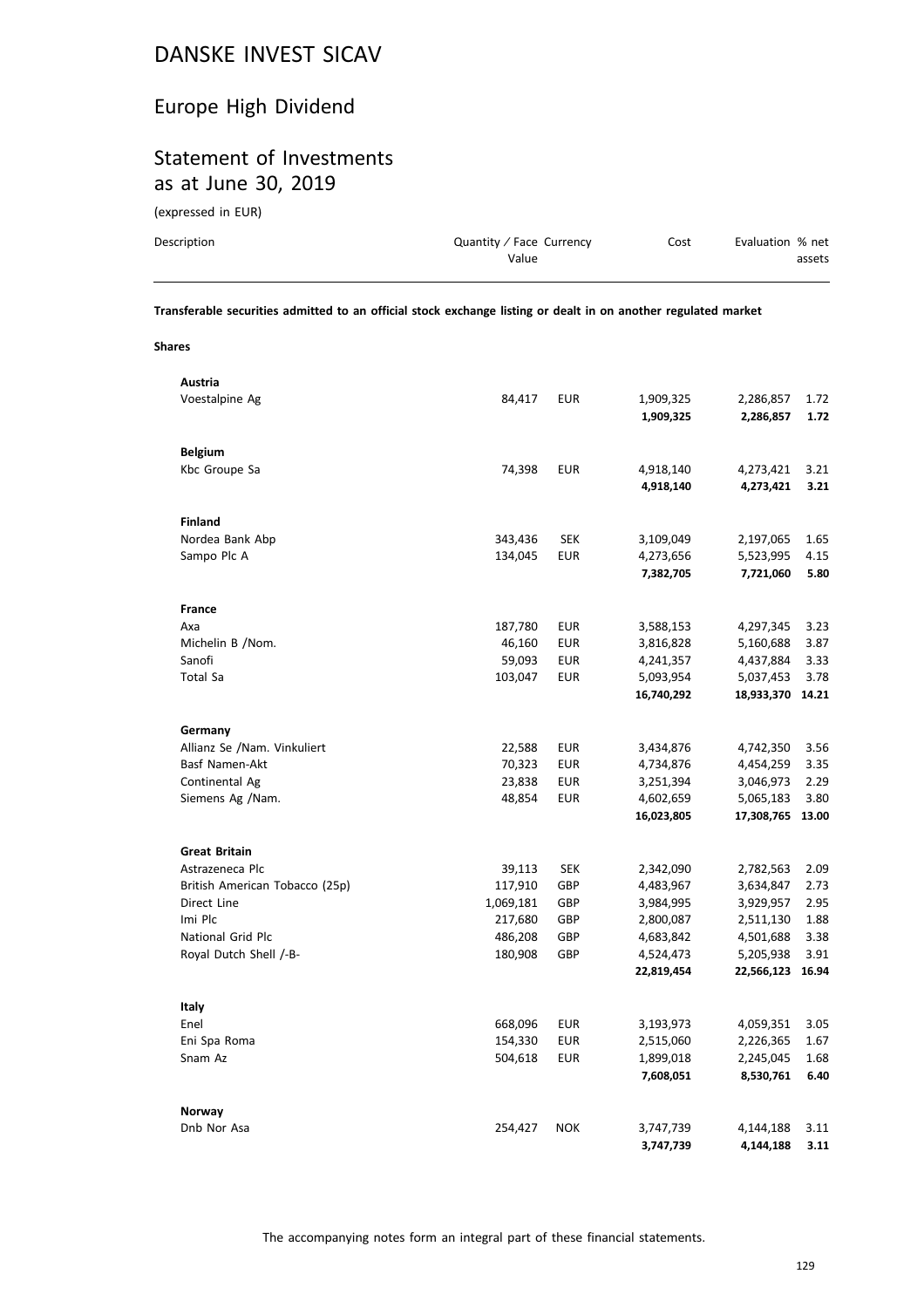# Europe High Dividend

# Statement of Investments as at June 30, 2019

(expressed in EUR)

| Description | Quantity / Face Currency | Cost | Evaluation % net |
|-------------|--------------------------|------|------------------|
|             | Value                    |      | assets           |
|             |                          |      |                  |

**Transferable securities admitted to an official stock exchange listing or dealt in on another regulated market**

**Shares**

| Austria                        |           |            |            |                  |      |
|--------------------------------|-----------|------------|------------|------------------|------|
| Voestalpine Ag                 | 84,417    | <b>EUR</b> | 1,909,325  | 2,286,857        | 1.72 |
|                                |           |            | 1,909,325  | 2,286,857        | 1.72 |
|                                |           |            |            |                  |      |
| <b>Belgium</b>                 |           |            |            |                  |      |
| Kbc Groupe Sa                  | 74,398    | <b>EUR</b> | 4,918,140  | 4,273,421        | 3.21 |
|                                |           |            | 4,918,140  | 4,273,421        | 3.21 |
|                                |           |            |            |                  |      |
| <b>Finland</b>                 |           |            |            |                  |      |
| Nordea Bank Abp                | 343,436   | <b>SEK</b> | 3,109,049  | 2,197,065        | 1.65 |
| Sampo Plc A                    | 134,045   | <b>EUR</b> | 4,273,656  | 5,523,995        | 4.15 |
|                                |           |            | 7,382,705  | 7,721,060        | 5.80 |
|                                |           |            |            |                  |      |
| <b>France</b>                  |           |            |            |                  |      |
| Axa                            | 187,780   | <b>EUR</b> | 3,588,153  | 4,297,345        | 3.23 |
| Michelin B /Nom.               | 46,160    | <b>EUR</b> | 3,816,828  | 5,160,688        | 3.87 |
| Sanofi                         | 59,093    | <b>EUR</b> | 4,241,357  | 4,437,884        | 3.33 |
| Total Sa                       | 103,047   | <b>EUR</b> | 5,093,954  | 5,037,453        | 3.78 |
|                                |           |            | 16,740,292 | 18,933,370 14.21 |      |
|                                |           |            |            |                  |      |
| Germany                        |           |            |            |                  |      |
| Allianz Se /Nam. Vinkuliert    | 22,588    | <b>EUR</b> | 3,434,876  | 4,742,350        | 3.56 |
| Basf Namen-Akt                 | 70,323    | <b>EUR</b> | 4,734,876  | 4,454,259        | 3.35 |
| Continental Ag                 | 23,838    | <b>EUR</b> | 3,251,394  | 3,046,973        | 2.29 |
| Siemens Ag /Nam.               | 48,854    | <b>EUR</b> | 4,602,659  | 5,065,183        | 3.80 |
|                                |           |            | 16,023,805 | 17,308,765 13.00 |      |
|                                |           |            |            |                  |      |
| <b>Great Britain</b>           |           |            |            |                  |      |
| Astrazeneca Plc                | 39,113    | <b>SEK</b> | 2,342,090  | 2,782,563        | 2.09 |
| British American Tobacco (25p) | 117,910   | GBP        | 4,483,967  | 3,634,847        | 2.73 |
| Direct Line                    | 1,069,181 | GBP        | 3,984,995  | 3,929,957        | 2.95 |
| Imi Plc                        | 217,680   | GBP        | 2,800,087  | 2,511,130        | 1.88 |
| National Grid Plc              | 486,208   | GBP        | 4,683,842  | 4,501,688        | 3.38 |
| Royal Dutch Shell /-B-         | 180,908   | GBP        | 4,524,473  | 5,205,938        | 3.91 |
|                                |           |            | 22,819,454 | 22,566,123 16.94 |      |
|                                |           |            |            |                  |      |
| Italy                          |           |            |            |                  |      |
| Enel                           | 668,096   | <b>EUR</b> | 3,193,973  | 4,059,351        | 3.05 |
| Eni Spa Roma                   | 154,330   | <b>EUR</b> | 2,515,060  | 2,226,365        | 1.67 |
| Snam Az                        | 504,618   | <b>EUR</b> | 1,899,018  | 2,245,045        | 1.68 |
|                                |           |            | 7,608,051  | 8,530,761        | 6.40 |
|                                |           |            |            |                  |      |
| Norway                         |           |            |            |                  |      |
| Dnb Nor Asa                    | 254,427   | <b>NOK</b> | 3,747,739  | 4,144,188        | 3.11 |
|                                |           |            | 3,747,739  | 4,144,188        | 3.11 |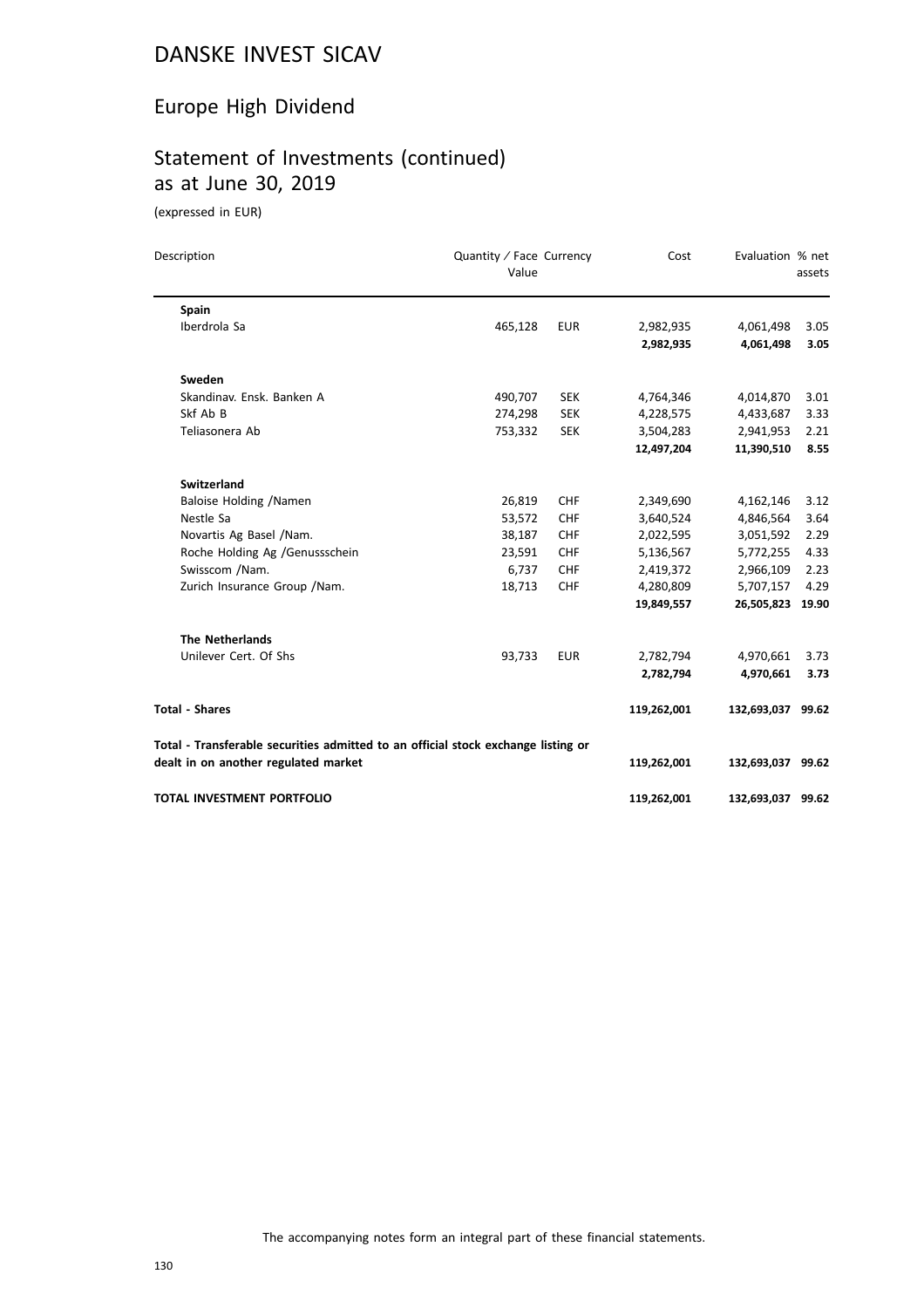# Europe High Dividend

# Statement of Investments (continued) as at June 30, 2019

(expressed in EUR)

| Description                                                                       | Quantity / Face Currency<br>Value |            | Cost        | Evaluation % net  | assets |
|-----------------------------------------------------------------------------------|-----------------------------------|------------|-------------|-------------------|--------|
| Spain                                                                             |                                   |            |             |                   |        |
| Iberdrola Sa                                                                      | 465,128                           | <b>EUR</b> | 2,982,935   | 4,061,498         | 3.05   |
|                                                                                   |                                   |            | 2,982,935   | 4,061,498         | 3.05   |
| Sweden                                                                            |                                   |            |             |                   |        |
| Skandinav. Ensk. Banken A                                                         | 490,707                           | <b>SEK</b> | 4,764,346   | 4,014,870         | 3.01   |
| Skf Ab B                                                                          | 274,298                           | <b>SEK</b> | 4,228,575   | 4,433,687         | 3.33   |
| Teliasonera Ab                                                                    | 753,332                           | <b>SEK</b> | 3,504,283   | 2,941,953         | 2.21   |
|                                                                                   |                                   |            | 12,497,204  | 11,390,510        | 8.55   |
| <b>Switzerland</b>                                                                |                                   |            |             |                   |        |
| Baloise Holding /Namen                                                            | 26,819                            | <b>CHF</b> | 2,349,690   | 4,162,146         | 3.12   |
| Nestle Sa                                                                         | 53,572                            | <b>CHF</b> | 3,640,524   | 4,846,564         | 3.64   |
| Novartis Ag Basel /Nam.                                                           | 38,187                            | <b>CHF</b> | 2,022,595   | 3,051,592         | 2.29   |
| Roche Holding Ag /Genussschein                                                    | 23,591                            | <b>CHF</b> | 5,136,567   | 5,772,255         | 4.33   |
| Swisscom /Nam.                                                                    | 6,737                             | <b>CHF</b> | 2,419,372   | 2,966,109         | 2.23   |
| Zurich Insurance Group / Nam.                                                     | 18,713                            | <b>CHF</b> | 4,280,809   | 5,707,157         | 4.29   |
|                                                                                   |                                   |            | 19,849,557  | 26,505,823        | 19.90  |
| <b>The Netherlands</b>                                                            |                                   |            |             |                   |        |
| Unilever Cert. Of Shs                                                             | 93,733                            | <b>EUR</b> | 2,782,794   | 4,970,661         | 3.73   |
|                                                                                   |                                   |            | 2,782,794   | 4,970,661         | 3.73   |
| <b>Total - Shares</b>                                                             |                                   |            | 119,262,001 | 132,693,037 99.62 |        |
| Total - Transferable securities admitted to an official stock exchange listing or |                                   |            |             |                   |        |
| dealt in on another regulated market                                              |                                   |            | 119,262,001 | 132,693,037 99.62 |        |
| <b>TOTAL INVESTMENT PORTFOLIO</b>                                                 |                                   |            | 119,262,001 | 132,693,037 99.62 |        |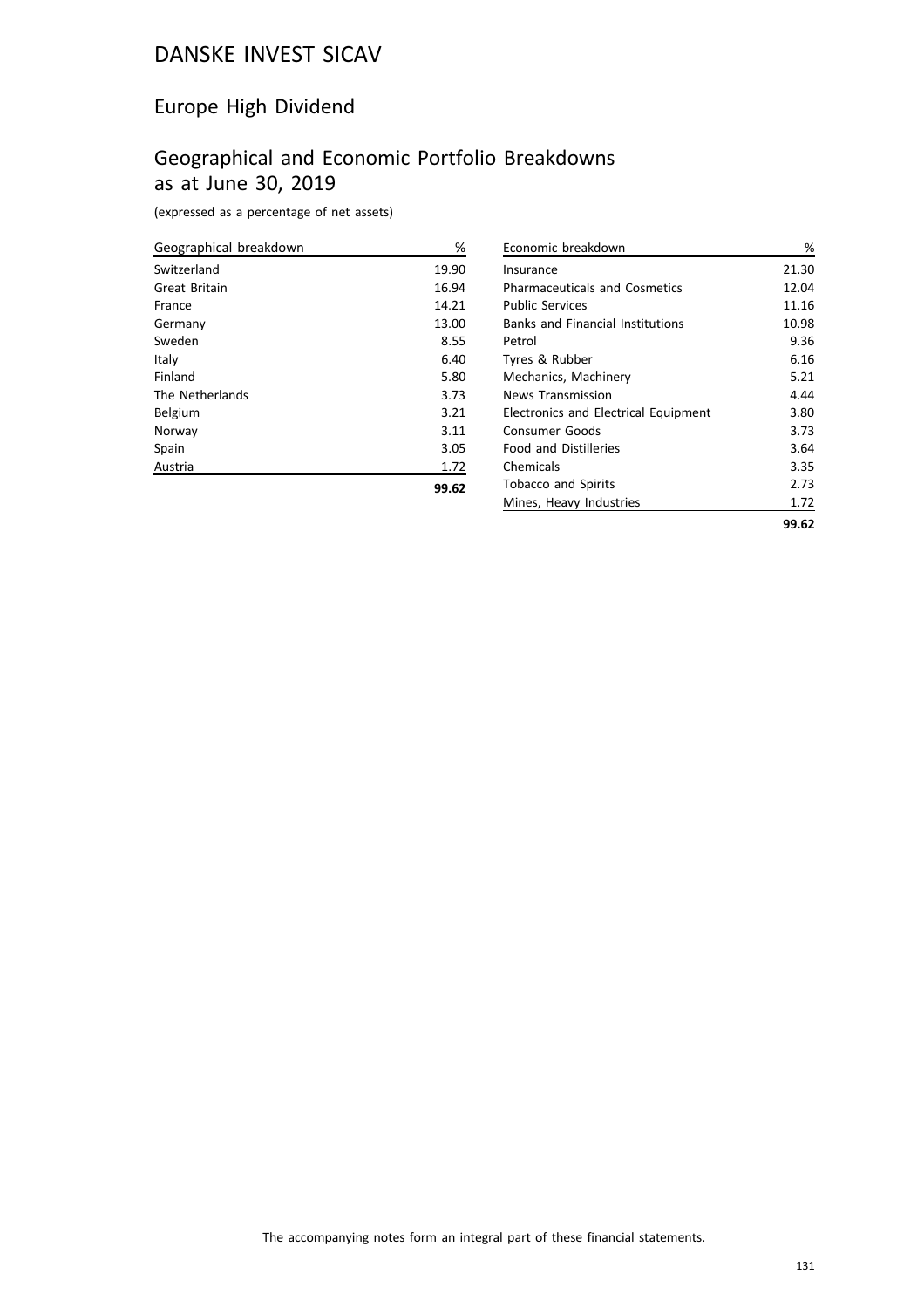# Europe High Dividend

# Geographical and Economic Portfolio Breakdowns as at June 30, 2019

(expressed as a percentage of net assets)

| Geographical breakdown | %     |
|------------------------|-------|
| Switzerland            | 19.90 |
| Great Britain          | 16.94 |
| France                 | 14.21 |
| Germany                | 13.00 |
| Sweden                 | 8.55  |
| Italy                  | 6.40  |
| Finland                | 5.80  |
| The Netherlands        | 3.73  |
| Belgium                | 3.21  |
| Norway                 | 3.11  |
| Spain                  | 3.05  |
| Austria                | 1.72  |
|                        | 99.62 |

| Economic breakdown                          | %     |
|---------------------------------------------|-------|
| Insurance                                   | 21.30 |
| <b>Pharmaceuticals and Cosmetics</b>        | 12.04 |
| <b>Public Services</b>                      | 11.16 |
| <b>Banks and Financial Institutions</b>     | 10.98 |
| Petrol                                      | 9.36  |
| Tyres & Rubber                              | 6.16  |
| Mechanics, Machinery                        | 5.21  |
| News Transmission                           | 4.44  |
| <b>Electronics and Electrical Equipment</b> | 3.80  |
| Consumer Goods                              | 3.73  |
| <b>Food and Distilleries</b>                | 3.64  |
| Chemicals                                   | 3.35  |
| <b>Tobacco and Spirits</b>                  | 2.73  |
| Mines, Heavy Industries                     | 1.72  |
|                                             | 99.62 |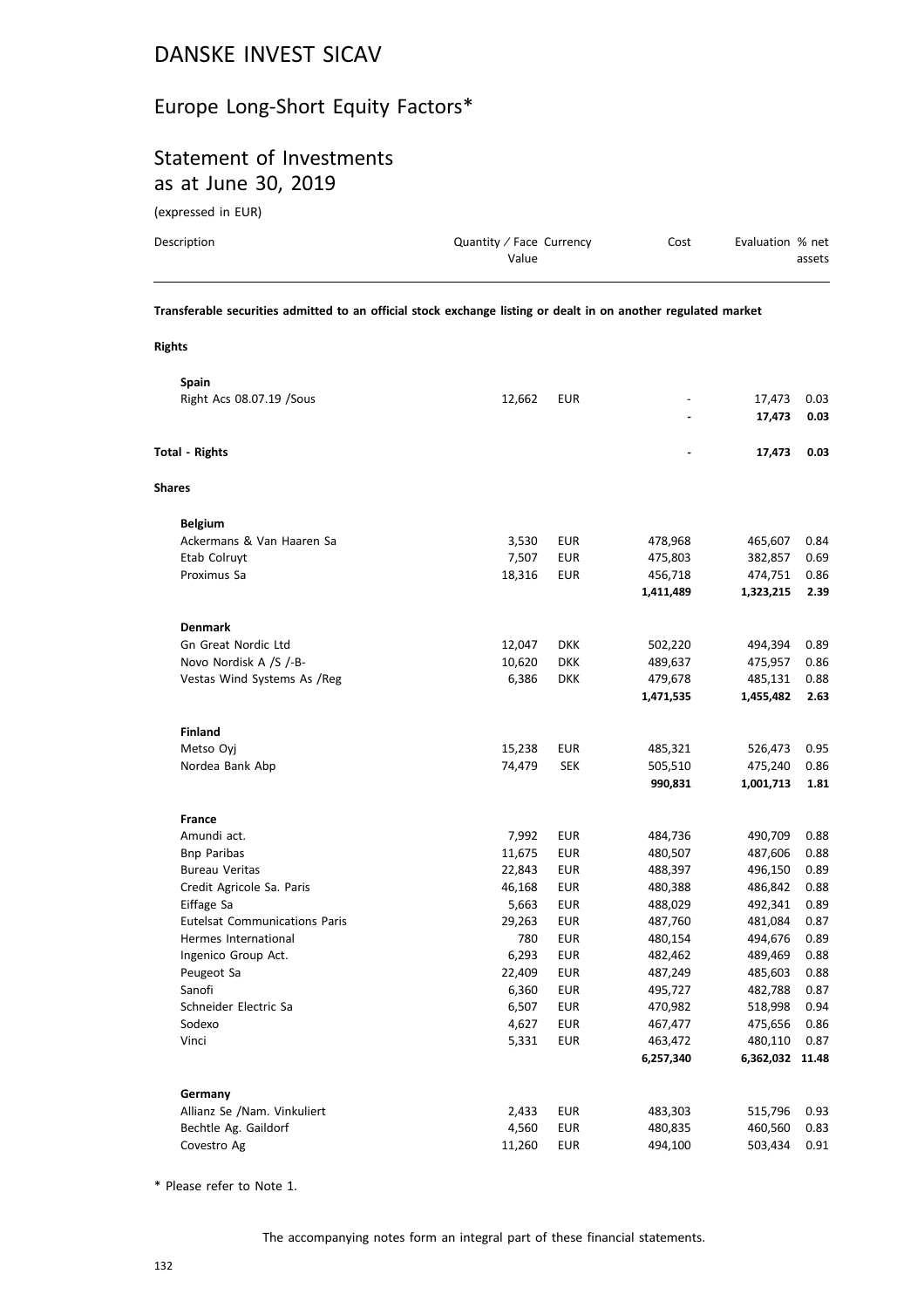# Europe Long-Short Equity Factors\*

# Statement of Investments as at June 30, 2019

(expressed in EUR)

**Rights**

| Description |   | Quantity / Face Currency<br>Value |  | Evaluation % net<br>assets |
|-------------|---|-----------------------------------|--|----------------------------|
| _ _ _       | . |                                   |  | .                          |

**Transferable securities admitted to an official stock exchange listing or dealt in on another regulated market**

|               | Spain                                |        |            |           |                 |      |
|---------------|--------------------------------------|--------|------------|-----------|-----------------|------|
|               | Right Acs 08.07.19 / Sous            | 12,662 | <b>EUR</b> |           | 17,473          | 0.03 |
|               |                                      |        |            |           | 17,473          | 0.03 |
|               | <b>Total - Rights</b>                |        |            |           | 17,473          | 0.03 |
| <b>Shares</b> |                                      |        |            |           |                 |      |
|               | <b>Belgium</b>                       |        |            |           |                 |      |
|               | Ackermans & Van Haaren Sa            | 3,530  | <b>EUR</b> | 478,968   | 465,607         | 0.84 |
|               | Etab Colruyt                         | 7,507  | <b>EUR</b> | 475,803   | 382,857         | 0.69 |
|               | Proximus Sa                          | 18,316 | <b>EUR</b> | 456,718   | 474,751         | 0.86 |
|               |                                      |        |            | 1,411,489 | 1,323,215       | 2.39 |
|               | <b>Denmark</b>                       |        |            |           |                 |      |
|               | <b>Gn Great Nordic Ltd</b>           | 12,047 | <b>DKK</b> | 502,220   | 494,394         | 0.89 |
|               | Novo Nordisk A /S /-B-               | 10,620 | <b>DKK</b> | 489,637   | 475,957         | 0.86 |
|               | Vestas Wind Systems As /Reg          | 6,386  | <b>DKK</b> | 479,678   | 485,131         | 0.88 |
|               |                                      |        |            | 1,471,535 | 1,455,482       | 2.63 |
|               | <b>Finland</b>                       |        |            |           |                 |      |
|               | Metso Oyj                            | 15,238 | <b>EUR</b> | 485,321   | 526,473         | 0.95 |
|               | Nordea Bank Abp                      | 74,479 | <b>SEK</b> | 505,510   | 475,240         | 0.86 |
|               |                                      |        |            | 990,831   | 1,001,713       | 1.81 |
|               | <b>France</b>                        |        |            |           |                 |      |
|               | Amundi act.                          | 7,992  | <b>EUR</b> | 484,736   | 490,709         | 0.88 |
|               | <b>Bnp Paribas</b>                   | 11,675 | <b>EUR</b> | 480,507   | 487,606         | 0.88 |
|               | <b>Bureau Veritas</b>                | 22,843 | <b>EUR</b> | 488,397   | 496,150         | 0.89 |
|               | Credit Agricole Sa. Paris            | 46,168 | <b>EUR</b> | 480,388   | 486,842         | 0.88 |
|               | Eiffage Sa                           | 5,663  | <b>EUR</b> | 488,029   | 492,341         | 0.89 |
|               | <b>Eutelsat Communications Paris</b> | 29,263 | <b>EUR</b> | 487,760   | 481,084         | 0.87 |
|               | Hermes International                 | 780    | <b>EUR</b> | 480,154   | 494,676         | 0.89 |
|               | Ingenico Group Act.                  | 6,293  | <b>EUR</b> | 482,462   | 489,469         | 0.88 |
|               | Peugeot Sa                           | 22,409 | <b>EUR</b> | 487,249   | 485,603         | 0.88 |
|               | Sanofi                               | 6,360  | <b>EUR</b> | 495,727   | 482,788         | 0.87 |
|               | Schneider Electric Sa                | 6,507  | <b>EUR</b> | 470,982   | 518,998         | 0.94 |
|               | Sodexo                               | 4,627  | <b>EUR</b> | 467,477   | 475,656         | 0.86 |
|               | Vinci                                | 5,331  | <b>EUR</b> | 463,472   | 480,110         | 0.87 |
|               |                                      |        |            | 6,257,340 | 6,362,032 11.48 |      |
|               | Germany                              |        |            |           |                 |      |
|               | Allianz Se /Nam. Vinkuliert          | 2,433  | <b>EUR</b> | 483,303   | 515,796         | 0.93 |
|               | Bechtle Ag. Gaildorf                 | 4,560  | <b>EUR</b> | 480,835   | 460,560         | 0.83 |
|               | Covestro Ag                          | 11,260 | <b>EUR</b> | 494,100   | 503,434         | 0.91 |

\* Please refer to Note 1.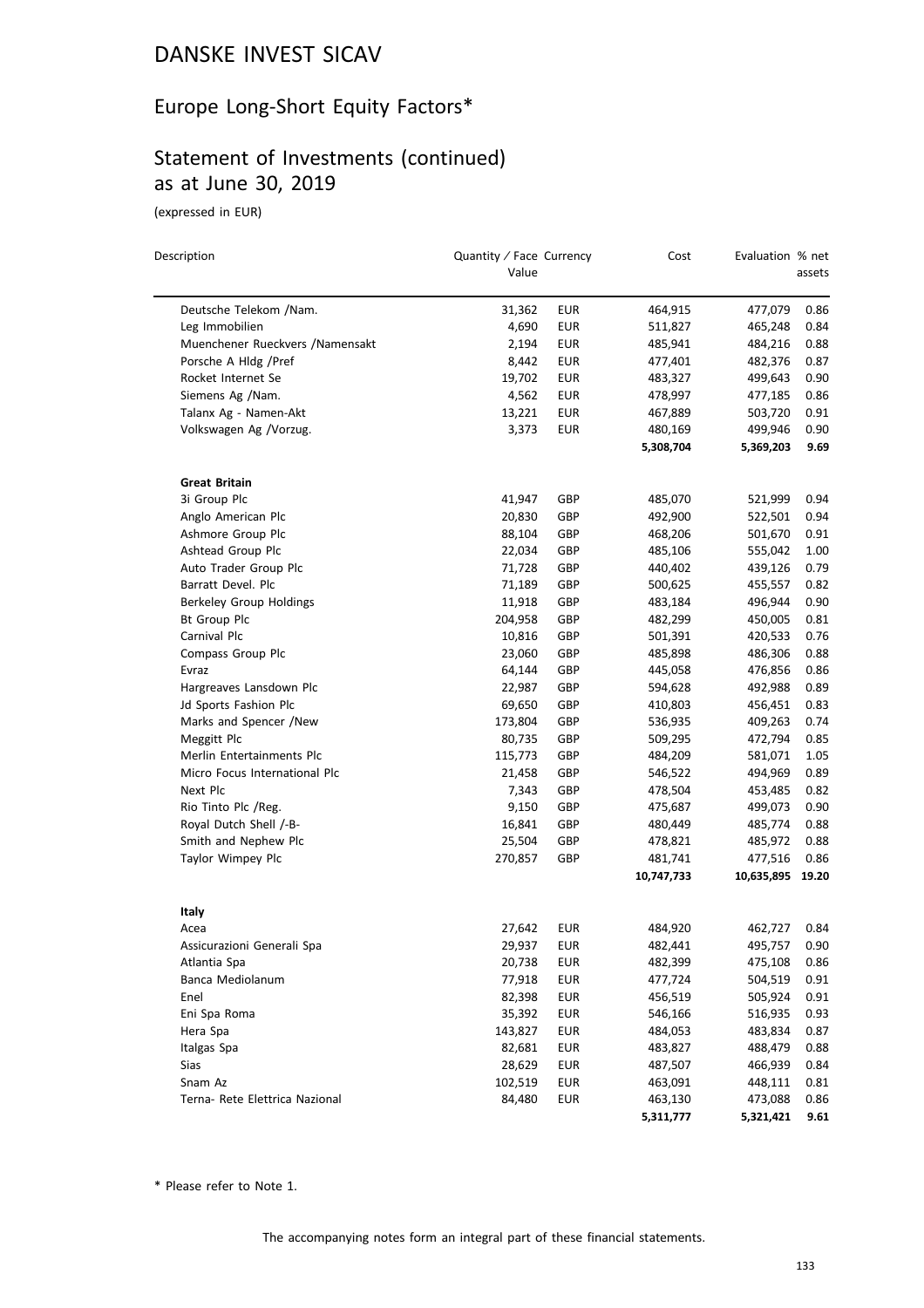# Europe Long-Short Equity Factors\*

# Statement of Investments (continued) as at June 30, 2019

(expressed in EUR)

| Description                      | Quantity / Face Currency<br>Value |            | Cost       | Evaluation % net | assets |
|----------------------------------|-----------------------------------|------------|------------|------------------|--------|
| Deutsche Telekom /Nam.           | 31,362                            | <b>EUR</b> | 464,915    | 477,079          | 0.86   |
| Leg Immobilien                   | 4,690                             | <b>EUR</b> | 511,827    | 465,248          | 0.84   |
| Muenchener Rueckvers / Namensakt | 2,194                             | <b>EUR</b> | 485,941    | 484,216          | 0.88   |
| Porsche A Hldg /Pref             | 8,442                             | <b>EUR</b> | 477,401    | 482,376          | 0.87   |
| Rocket Internet Se               | 19,702                            | <b>EUR</b> | 483,327    | 499,643          | 0.90   |
| Siemens Ag /Nam.                 | 4,562                             | EUR        | 478,997    | 477,185          | 0.86   |
| Talanx Ag - Namen-Akt            | 13,221                            | EUR        | 467,889    | 503,720          | 0.91   |
| Volkswagen Ag /Vorzug.           | 3,373                             | <b>EUR</b> | 480,169    | 499,946          | 0.90   |
|                                  |                                   |            | 5,308,704  | 5,369,203        | 9.69   |
| <b>Great Britain</b>             |                                   |            |            |                  |        |
| 3i Group Plc                     | 41,947                            | GBP        | 485,070    | 521,999          | 0.94   |
| Anglo American Plc               | 20,830                            | GBP        | 492,900    | 522,501          | 0.94   |
| Ashmore Group Plc                | 88,104                            | GBP        | 468,206    | 501,670          | 0.91   |
| Ashtead Group Plc                | 22,034                            | GBP        | 485,106    | 555,042          | 1.00   |
| Auto Trader Group Plc            | 71,728                            | GBP        | 440,402    | 439,126          | 0.79   |
| Barratt Devel. Plc               | 71,189                            | GBP        | 500,625    | 455,557          | 0.82   |
| Berkeley Group Holdings          | 11,918                            | GBP        | 483,184    | 496,944          | 0.90   |
| <b>Bt Group Plc</b>              | 204,958                           | GBP        | 482,299    | 450,005          | 0.81   |
| Carnival Plc                     | 10,816                            | GBP        | 501,391    | 420,533          | 0.76   |
| Compass Group Plc                | 23,060                            | GBP        | 485,898    | 486,306          | 0.88   |
| Evraz                            | 64,144                            | GBP        | 445,058    | 476,856          | 0.86   |
| Hargreaves Lansdown Plc          | 22,987                            | GBP        | 594,628    | 492,988          | 0.89   |
| Jd Sports Fashion Plc            | 69,650                            | GBP        | 410,803    | 456,451          | 0.83   |
| Marks and Spencer /New           | 173,804                           | GBP        | 536,935    | 409,263          | 0.74   |
| Meggitt Plc                      | 80,735                            | GBP        | 509,295    | 472,794          | 0.85   |
| Merlin Entertainments Plc        | 115,773                           | GBP        | 484,209    | 581,071          | 1.05   |
| Micro Focus International Plc    | 21,458                            | GBP        | 546,522    | 494,969          | 0.89   |
| Next Plc                         | 7,343                             | GBP        | 478,504    | 453,485          | 0.82   |
| Rio Tinto Plc /Reg.              | 9,150                             | GBP        | 475,687    | 499,073          | 0.90   |
| Royal Dutch Shell /-B-           | 16,841                            | GBP        | 480,449    | 485,774          | 0.88   |
| Smith and Nephew Plc             | 25,504                            | GBP        | 478,821    | 485,972          | 0.88   |
| Taylor Wimpey Plc                | 270,857                           | GBP        | 481,741    | 477,516          | 0.86   |
|                                  |                                   |            | 10,747,733 | 10,635,895 19.20 |        |
| Italy                            |                                   |            |            |                  |        |
| Acea                             | 27,642                            | <b>EUR</b> | 484,920    | 462,727          | 0.84   |
| Assicurazioni Generali Spa       | 29,937                            | <b>EUR</b> | 482,441    | 495,757          | 0.90   |
| Atlantia Spa                     | 20,738                            | EUR        | 482,399    | 475,108          | 0.86   |
| Banca Mediolanum                 | 77,918                            | <b>EUR</b> | 477,724    | 504,519          | 0.91   |
| Enel                             | 82,398                            | <b>EUR</b> | 456,519    | 505,924          | 0.91   |
| Eni Spa Roma                     | 35,392                            | <b>EUR</b> | 546,166    | 516,935          | 0.93   |
| Hera Spa                         | 143,827                           | <b>EUR</b> | 484,053    | 483,834          | 0.87   |
| Italgas Spa                      | 82,681                            | <b>EUR</b> | 483,827    | 488,479          | 0.88   |
| Sias                             | 28,629                            | <b>EUR</b> | 487,507    | 466,939          | 0.84   |
| Snam Az                          | 102,519                           | <b>EUR</b> | 463,091    | 448,111          | 0.81   |
| Terna- Rete Elettrica Nazional   | 84,480                            | <b>EUR</b> | 463,130    | 473,088          | 0.86   |
|                                  |                                   |            | 5.311.777  | 5.321.421 9.61   |        |

\* Please refer to Note 1.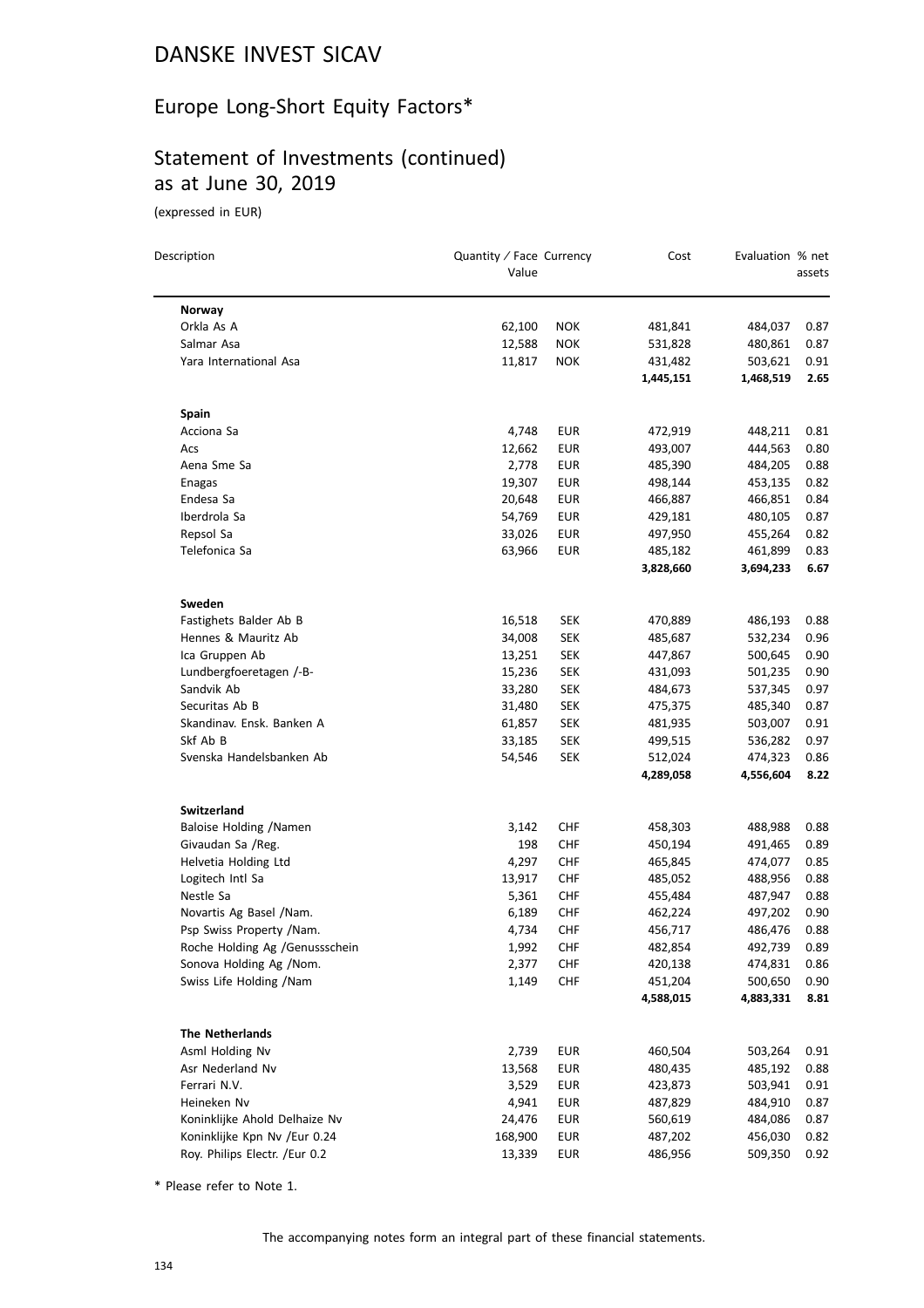# Europe Long-Short Equity Factors\*

# Statement of Investments (continued) as at June 30, 2019

(expressed in EUR)

| Description                      | Quantity / Face Currency<br>Value |            | Cost                 | Evaluation % net     | assets       |
|----------------------------------|-----------------------------------|------------|----------------------|----------------------|--------------|
|                                  |                                   |            |                      |                      |              |
| Norway                           |                                   |            |                      |                      |              |
| Orkla As A                       | 62,100                            | <b>NOK</b> | 481,841              | 484,037              | 0.87         |
| Salmar Asa                       | 12,588                            | <b>NOK</b> | 531,828              | 480,861              | 0.87         |
| Yara International Asa           | 11,817                            | <b>NOK</b> | 431,482<br>1,445,151 | 503,621<br>1,468,519 | 0.91<br>2.65 |
| <b>Spain</b>                     |                                   |            |                      |                      |              |
| Acciona Sa                       | 4,748                             | EUR        | 472,919              | 448,211              | 0.81         |
| Acs                              | 12,662                            | EUR        | 493,007              | 444,563              | 0.80         |
| Aena Sme Sa                      | 2,778                             | EUR        | 485,390              | 484,205              | 0.88         |
| Enagas                           | 19,307                            | <b>EUR</b> | 498,144              | 453,135              | 0.82         |
| Endesa Sa                        | 20,648                            | EUR        | 466,887              | 466,851              | 0.84         |
| Iberdrola Sa                     | 54,769                            | EUR        | 429,181              | 480,105              | 0.87         |
| Repsol Sa                        | 33,026                            | <b>EUR</b> | 497,950              | 455,264              | 0.82         |
| Telefonica Sa                    | 63,966                            | <b>EUR</b> | 485,182              | 461,899              | 0.83         |
|                                  |                                   |            | 3,828,660            | 3,694,233            | 6.67         |
|                                  |                                   |            |                      |                      |              |
| Sweden<br>Fastighets Balder Ab B | 16,518                            | SEK        | 470,889              | 486,193              | 0.88         |
| Hennes & Mauritz Ab              | 34,008                            | SEK        | 485,687              | 532,234              | 0.96         |
| Ica Gruppen Ab                   | 13,251                            | <b>SEK</b> | 447,867              | 500,645              | 0.90         |
| Lundbergfoeretagen /-B-          | 15,236                            | <b>SEK</b> | 431,093              | 501,235              | 0.90         |
| Sandvik Ab                       | 33,280                            | <b>SEK</b> | 484,673              | 537,345              | 0.97         |
| Securitas Ab B                   | 31,480                            | <b>SEK</b> | 475,375              | 485,340              | 0.87         |
| Skandinav. Ensk. Banken A        | 61,857                            | <b>SEK</b> | 481,935              | 503,007              | 0.91         |
| Skf Ab B                         | 33,185                            | SEK        | 499,515              | 536,282              | 0.97         |
| Svenska Handelsbanken Ab         | 54,546                            | SEK        | 512,024              | 474,323              | 0.86         |
|                                  |                                   |            | 4,289,058            | 4,556,604            | 8.22         |
|                                  |                                   |            |                      |                      |              |
| <b>Switzerland</b>               |                                   |            |                      |                      |              |
| Baloise Holding /Namen           | 3,142                             | CHF        | 458,303              | 488,988              | 0.88         |
| Givaudan Sa /Reg.                | 198                               | <b>CHF</b> | 450,194              | 491,465              | 0.89         |
| Helvetia Holding Ltd             | 4,297                             | CHF        | 465,845              | 474,077              | 0.85         |
| Logitech Intl Sa<br>Nestle Sa    | 13,917                            | <b>CHF</b> | 485,052              | 488,956              | 0.88         |
|                                  | 5,361                             | <b>CHF</b> | 455,484              | 487,947              | 0.88         |
| Novartis Ag Basel / Nam.         | 6,189                             | CHF        | 462,224              | 497,202              | 0.90         |
| Psp Swiss Property /Nam.         | 4,734                             | CHF        | 456,717              | 486,476              | 0.88         |
| Roche Holding Ag / Genussschein  | 1,992                             | <b>CHF</b> | 482,854              | 492,739              | 0.89         |
| Sonova Holding Ag /Nom.          | 2,377                             | CHF        | 420,138              | 474,831              | 0.86         |
| Swiss Life Holding /Nam          | 1,149                             | <b>CHF</b> | 451,204<br>4,588,015 | 500,650<br>4,883,331 | 0.90<br>8.81 |
|                                  |                                   |            |                      |                      |              |
| <b>The Netherlands</b>           |                                   |            |                      |                      |              |
| Asml Holding Nv                  | 2,739                             | <b>EUR</b> | 460,504              | 503,264              | 0.91         |
| Asr Nederland Nv                 | 13,568                            | <b>EUR</b> | 480,435              | 485,192              | 0.88         |
| Ferrari N.V.                     | 3,529                             | <b>EUR</b> | 423,873              | 503,941              | 0.91         |
| Heineken Nv                      | 4,941                             | EUR        | 487,829              | 484,910              | 0.87         |
| Koninklijke Ahold Delhaize Nv    | 24,476                            | EUR        | 560,619              | 484,086              | 0.87         |
| Koninklijke Kpn Nv /Eur 0.24     | 168,900                           | <b>EUR</b> | 487,202              | 456,030              | 0.82         |
| Roy. Philips Electr. /Eur 0.2    | 13,339                            | <b>EUR</b> | 486,956              | 509,350              | 0.92         |

\* Please refer to Note 1.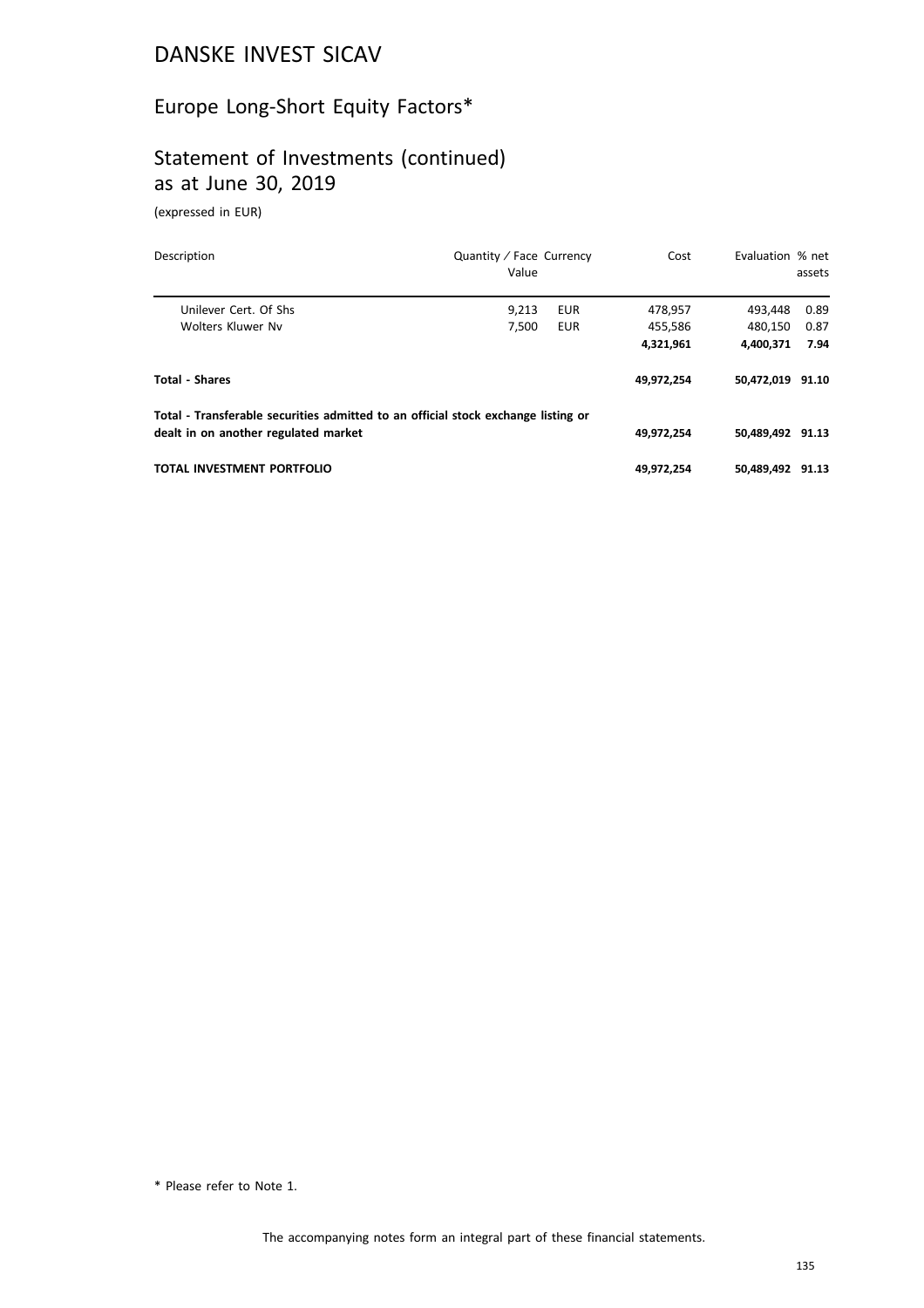# Europe Long-Short Equity Factors\*

# Statement of Investments (continued) as at June 30, 2019

(expressed in EUR)

| Description                                                                       | Quantity / Face Currency<br>Value |            | Cost       | Evaluation % net | assets |
|-----------------------------------------------------------------------------------|-----------------------------------|------------|------------|------------------|--------|
| Unilever Cert. Of Shs.                                                            | 9.213                             | <b>EUR</b> | 478,957    | 493,448          | 0.89   |
| Wolters Kluwer Ny                                                                 | 7.500                             | <b>EUR</b> | 455,586    | 480.150          | 0.87   |
|                                                                                   |                                   |            | 4,321,961  | 4.400.371        | 7.94   |
| <b>Total - Shares</b>                                                             |                                   |            | 49,972,254 | 50,472,019 91.10 |        |
| Total - Transferable securities admitted to an official stock exchange listing or |                                   |            |            |                  |        |
| dealt in on another regulated market                                              |                                   |            | 49,972,254 | 50.489.492 91.13 |        |
| TOTAL INVESTMENT PORTFOLIO                                                        |                                   |            | 49,972,254 | 50.489.492       | 91.13  |

\* Please refer to Note 1.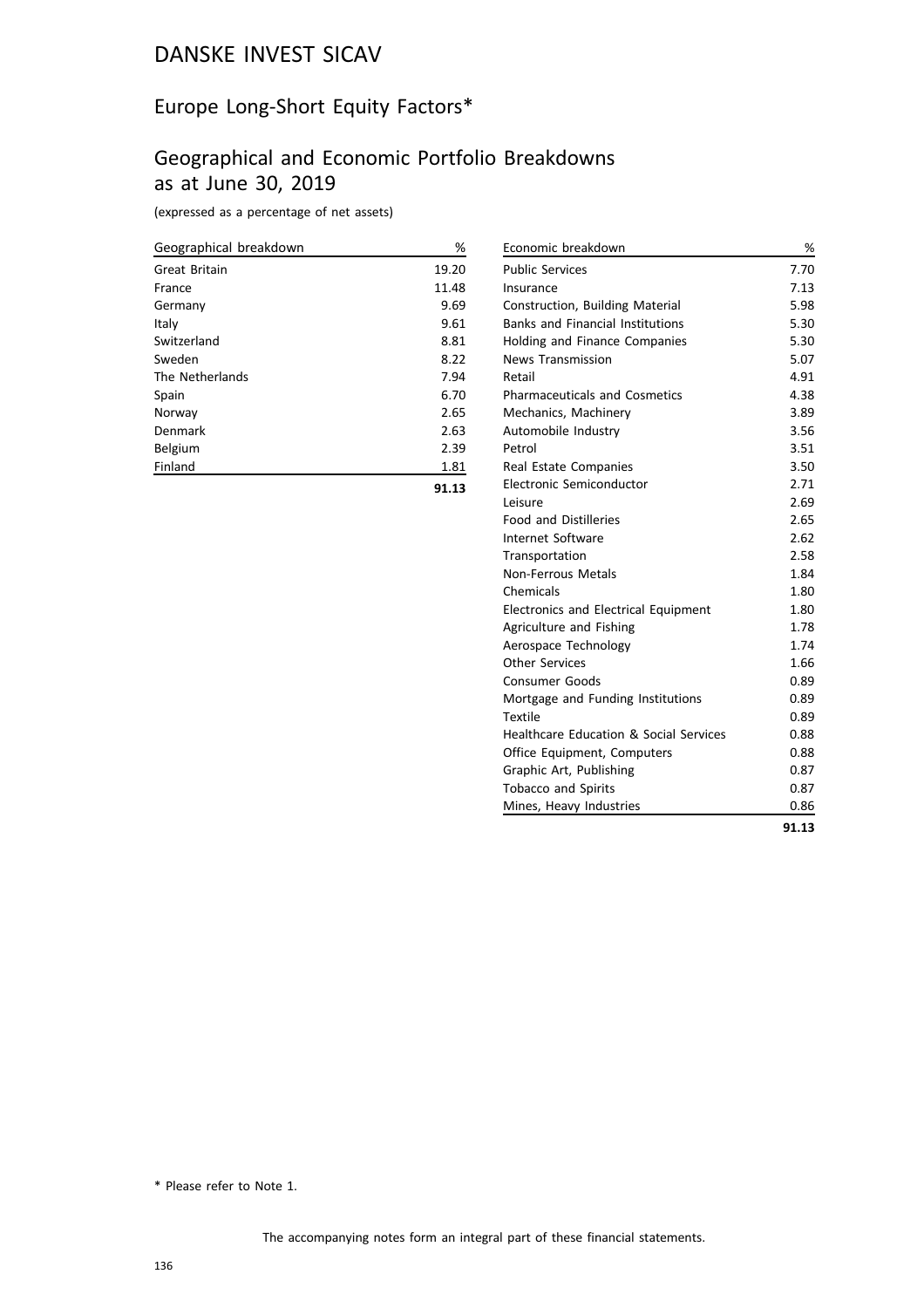#### Europe Long-Short Equity Factors\*

#### Geographical and Economic Portfolio Breakdowns as at June 30, 2019

(expressed as a percentage of net assets)

| Geographical breakdown | %     |
|------------------------|-------|
| Great Britain          | 19.20 |
| France                 | 11.48 |
| Germany                | 9.69  |
| Italy                  | 9.61  |
| Switzerland            | 8.81  |
| Sweden                 | 8.22  |
| The Netherlands        | 7.94  |
| Spain                  | 6.70  |
| Norway                 | 2.65  |
| Denmark                | 2.63  |
| Belgium                | 2.39  |
| Finland                | 1.81  |
|                        | 91.13 |

Economic breakdown % Public Services 7.70 Insurance 7.13 Construction, Building Material 5.98 Banks and Financial Institutions 5.30 Holding and Finance Companies 6.30 News Transmission 5.07 Retail and the set of the set of the set of the set of the set of the set of the set of the set of the set of the set of the set of the set of the set of the set of the set of the set of the set of the set of the set of th Pharmaceuticals and Cosmetics 4.38 Mechanics, Machinery 3.89 Automobile Industry 3.56 Petrol 3.51 Real Estate Companies 3.50 Electronic Semiconductor 2.71 Leisure 2.69 Food and Distilleries 2.65 Internet Software 2.62 Transportation 2.58 Non-Ferrous Metals 1.84 Chemicals 1.80 Electronics and Electrical Equipment 1.80 Agriculture and Fishing 1.78 Aerospace Technology 1.74 Other Services 1.66 Consumer Goods 0.89 Mortgage and Funding Institutions 0.89 Textile **Department of the COVID-** 0.89 Healthcare Education & Social Services 0.88 Office Equipment, Computers 0.88 Graphic Art, Publishing **6.87** Tobacco and Spirits 0.87 Mines, Heavy Industries **1988** COMPONER 1988 **91.13**

\* Please refer to Note 1.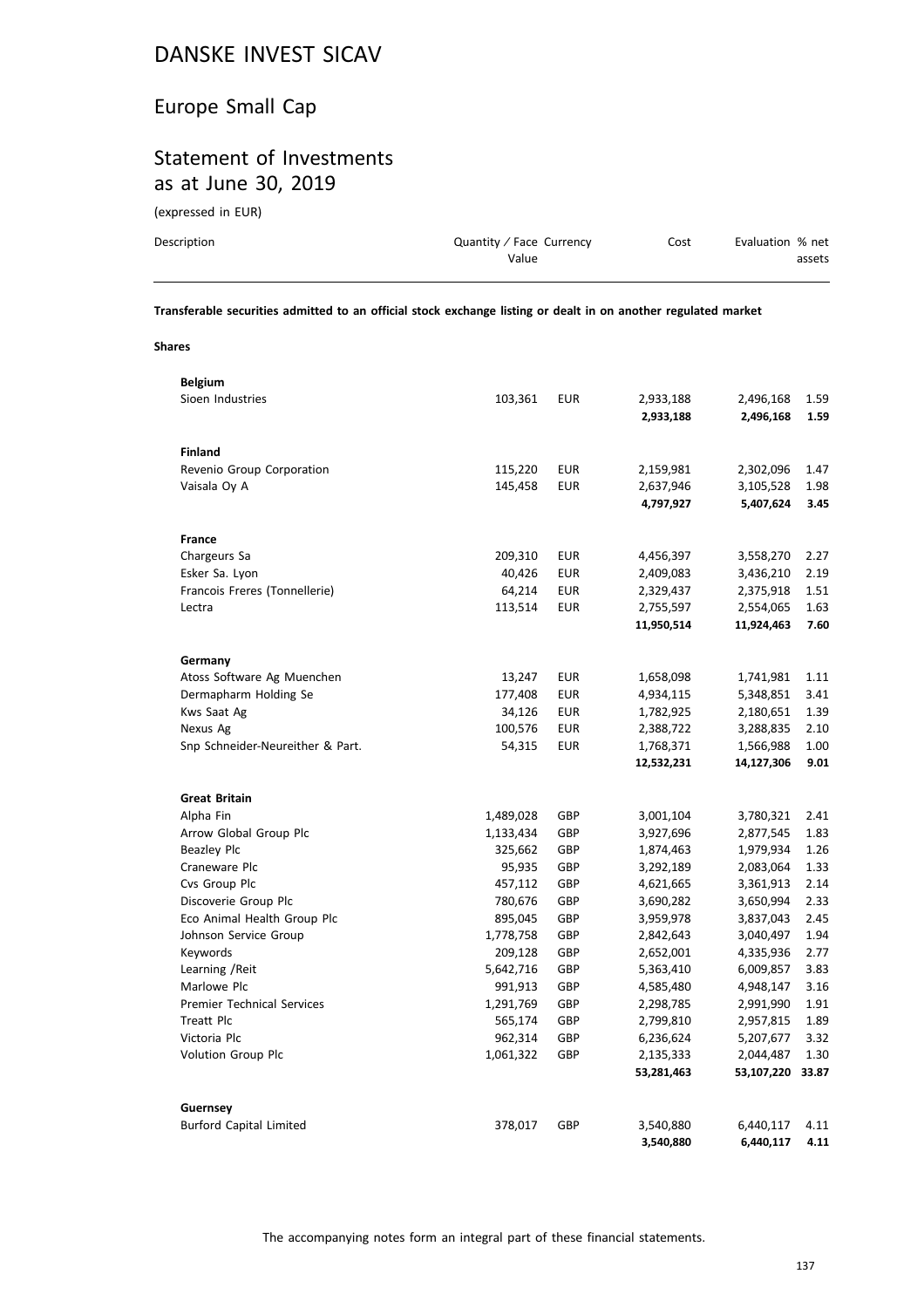# Europe Small Cap

# Statement of Investments as at June 30, 2019

(expressed in EUR)

| Description | Quantity / Face Currency | Cost | Evaluation % net |
|-------------|--------------------------|------|------------------|
|             | Value                    |      | assets           |
|             |                          |      |                  |

**Transferable securities admitted to an official stock exchange listing or dealt in on another regulated market**

| v.<br>$\sim$ | $\sim$<br>۰.<br>$\sim$ |
|--------------|------------------------|
|--------------|------------------------|

| <b>Belgium</b>                    |           |            |            |                  |      |
|-----------------------------------|-----------|------------|------------|------------------|------|
| Sioen Industries                  | 103,361   | <b>EUR</b> | 2,933,188  | 2,496,168        | 1.59 |
|                                   |           |            | 2,933,188  | 2,496,168        | 1.59 |
|                                   |           |            |            |                  |      |
| <b>Finland</b>                    |           |            |            |                  |      |
| Revenio Group Corporation         | 115,220   | <b>EUR</b> | 2,159,981  | 2,302,096        | 1.47 |
| Vaisala Oy A                      | 145,458   | <b>EUR</b> | 2,637,946  | 3,105,528        | 1.98 |
|                                   |           |            | 4,797,927  | 5,407,624        | 3.45 |
|                                   |           |            |            |                  |      |
| France                            |           |            |            |                  |      |
| Chargeurs Sa                      | 209,310   | <b>EUR</b> | 4,456,397  | 3,558,270        | 2.27 |
| Esker Sa. Lyon                    | 40,426    | <b>EUR</b> | 2,409,083  | 3,436,210        | 2.19 |
| Francois Freres (Tonnellerie)     | 64,214    | <b>EUR</b> | 2,329,437  | 2,375,918        | 1.51 |
| Lectra                            | 113,514   | <b>EUR</b> | 2,755,597  | 2,554,065        | 1.63 |
|                                   |           |            | 11,950,514 | 11,924,463       | 7.60 |
|                                   |           |            |            |                  |      |
| Germany                           |           |            |            |                  |      |
| Atoss Software Ag Muenchen        | 13,247    | <b>EUR</b> | 1,658,098  | 1,741,981        | 1.11 |
| Dermapharm Holding Se             | 177,408   | <b>EUR</b> | 4,934,115  | 5,348,851        | 3.41 |
| Kws Saat Ag                       | 34,126    | <b>EUR</b> | 1,782,925  | 2,180,651        | 1.39 |
| Nexus Ag                          | 100,576   | <b>EUR</b> | 2,388,722  | 3,288,835        | 2.10 |
| Snp Schneider-Neureither & Part.  | 54,315    | <b>EUR</b> | 1,768,371  | 1,566,988        | 1.00 |
|                                   |           |            | 12,532,231 | 14,127,306       | 9.01 |
|                                   |           |            |            |                  |      |
| <b>Great Britain</b>              |           |            |            |                  |      |
| Alpha Fin                         | 1,489,028 | GBP        | 3,001,104  | 3,780,321        | 2.41 |
| Arrow Global Group Plc            | 1,133,434 | GBP        | 3,927,696  | 2,877,545        | 1.83 |
| <b>Beazley Plc</b>                | 325,662   | GBP        | 1,874,463  | 1,979,934        | 1.26 |
| Craneware Plc                     | 95,935    | GBP        | 3,292,189  | 2,083,064        | 1.33 |
| Cvs Group Plc                     | 457,112   | GBP        | 4,621,665  | 3,361,913        | 2.14 |
| Discoverie Group Plc              | 780,676   | GBP        | 3,690,282  | 3,650,994        | 2.33 |
| Eco Animal Health Group Plc       | 895,045   | GBP        | 3,959,978  | 3,837,043        | 2.45 |
| Johnson Service Group             | 1,778,758 | GBP        | 2,842,643  | 3,040,497        | 1.94 |
| Keywords                          | 209,128   | GBP        | 2,652,001  | 4,335,936        | 2.77 |
| Learning / Reit                   | 5,642,716 | GBP        | 5,363,410  | 6,009,857        | 3.83 |
| Marlowe Plc                       | 991,913   | GBP        | 4,585,480  | 4,948,147        | 3.16 |
| <b>Premier Technical Services</b> | 1,291,769 | GBP        | 2,298,785  | 2,991,990        | 1.91 |
| Treatt Plc                        | 565,174   | GBP        | 2,799,810  | 2,957,815        | 1.89 |
| Victoria Plc                      | 962,314   | GBP        | 6,236,624  | 5,207,677        | 3.32 |
| Volution Group Plc                | 1,061,322 | GBP        | 2,135,333  | 2,044,487        | 1.30 |
|                                   |           |            | 53,281,463 | 53,107,220 33.87 |      |
|                                   |           |            |            |                  |      |
| Guernsey                          |           |            |            |                  |      |
| <b>Burford Capital Limited</b>    | 378,017   | GBP        | 3,540,880  | 6,440,117        | 4.11 |
|                                   |           |            | 3,540,880  | 6,440,117        | 4.11 |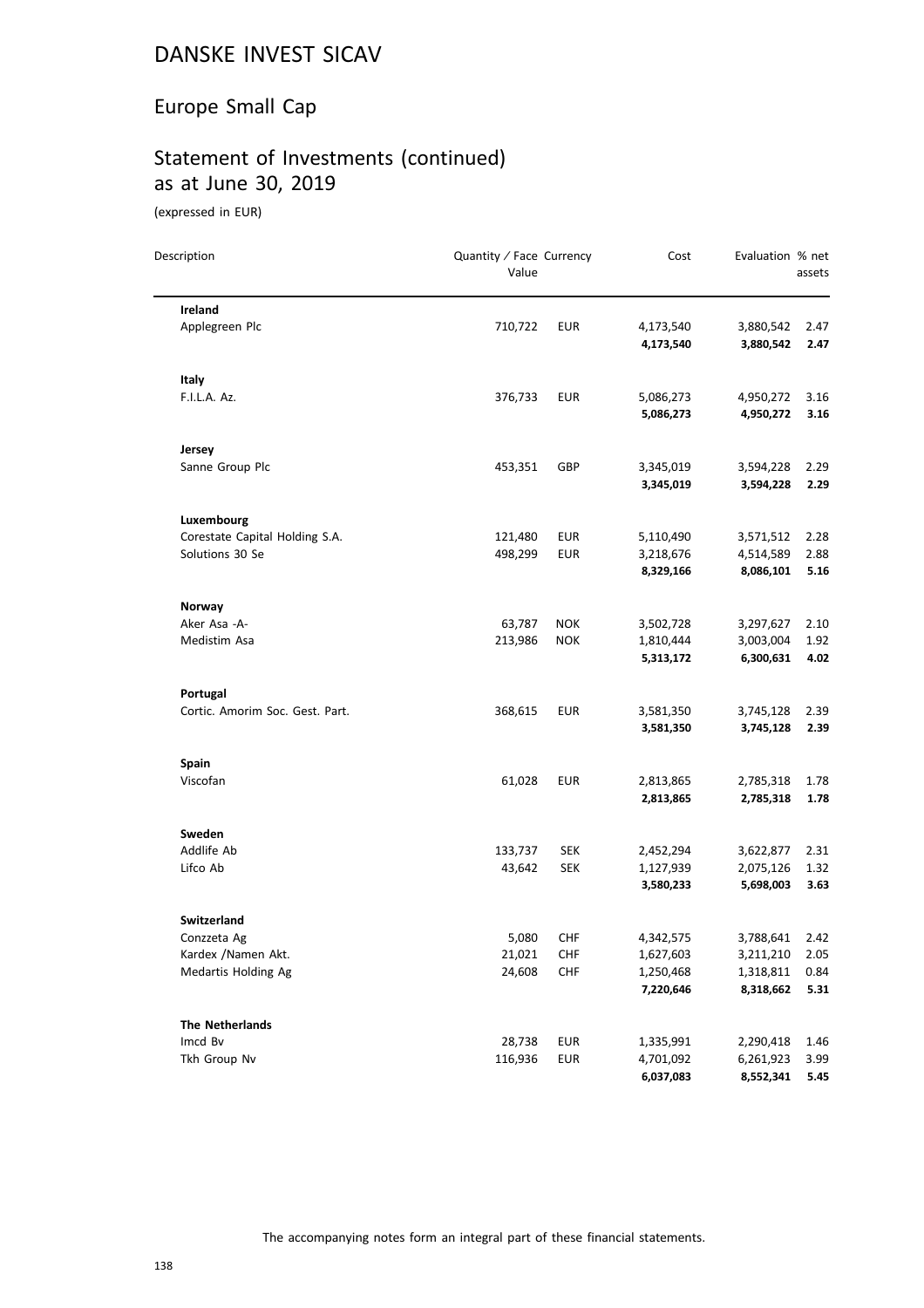# Europe Small Cap

# Statement of Investments (continued) as at June 30, 2019

(expressed in EUR)

| Description                     | Quantity / Face Currency<br>Value |            | Cost      | Evaluation % net | assets |
|---------------------------------|-----------------------------------|------------|-----------|------------------|--------|
| Ireland                         |                                   |            |           |                  |        |
| Applegreen Plc                  | 710,722                           | <b>EUR</b> | 4,173,540 | 3,880,542        | 2.47   |
|                                 |                                   |            | 4,173,540 | 3,880,542        | 2.47   |
| Italy                           |                                   |            |           |                  |        |
| F.I.L.A. Az.                    | 376,733                           | <b>EUR</b> | 5,086,273 | 4,950,272        | 3.16   |
|                                 |                                   |            | 5,086,273 | 4,950,272        | 3.16   |
| Jersey                          |                                   |            |           |                  |        |
| Sanne Group Plc                 | 453,351                           | GBP        | 3,345,019 | 3,594,228        | 2.29   |
|                                 |                                   |            | 3,345,019 | 3,594,228        | 2.29   |
| Luxembourg                      |                                   |            |           |                  |        |
| Corestate Capital Holding S.A.  | 121,480                           | <b>EUR</b> | 5,110,490 | 3,571,512        | 2.28   |
| Solutions 30 Se                 | 498,299                           | <b>EUR</b> | 3,218,676 | 4,514,589        | 2.88   |
|                                 |                                   |            | 8,329,166 | 8,086,101        | 5.16   |
| Norway                          |                                   |            |           |                  |        |
| Aker Asa -A-                    | 63,787                            | <b>NOK</b> | 3,502,728 | 3,297,627        | 2.10   |
| Medistim Asa                    | 213,986                           | <b>NOK</b> | 1,810,444 | 3,003,004        | 1.92   |
|                                 |                                   |            | 5,313,172 | 6,300,631        | 4.02   |
| Portugal                        |                                   |            |           |                  |        |
| Cortic. Amorim Soc. Gest. Part. | 368,615                           | <b>EUR</b> | 3,581,350 | 3,745,128        | 2.39   |
|                                 |                                   |            | 3,581,350 | 3,745,128        | 2.39   |
| Spain                           |                                   |            |           |                  |        |
| Viscofan                        | 61,028                            | <b>EUR</b> | 2,813,865 | 2,785,318        | 1.78   |
|                                 |                                   |            | 2,813,865 | 2,785,318        | 1.78   |
| Sweden                          |                                   |            |           |                  |        |
| Addlife Ab                      | 133,737                           | <b>SEK</b> | 2,452,294 | 3,622,877        | 2.31   |
| Lifco Ab                        | 43,642                            | <b>SEK</b> | 1,127,939 | 2,075,126        | 1.32   |
|                                 |                                   |            | 3,580,233 | 5,698,003        | 3.63   |
| <b>Switzerland</b>              |                                   |            |           |                  |        |
| Conzzeta Ag                     | 5,080                             | <b>CHF</b> | 4,342,575 | 3,788,641        | 2.42   |
| Kardex / Namen Akt.             | 21,021                            | <b>CHF</b> | 1,627,603 | 3,211,210        | 2.05   |
| Medartis Holding Ag             | 24,608                            | <b>CHF</b> | 1,250,468 | 1,318,811        | 0.84   |
|                                 |                                   |            | 7,220,646 | 8,318,662        | 5.31   |
| <b>The Netherlands</b>          |                                   |            |           |                  |        |
| Imcd Bv                         | 28,738                            | <b>EUR</b> | 1,335,991 | 2,290,418        | 1.46   |
| Tkh Group Nv                    | 116,936                           | <b>EUR</b> | 4,701,092 | 6,261,923        | 3.99   |
|                                 |                                   |            | 6,037,083 | 8,552,341        | 5.45   |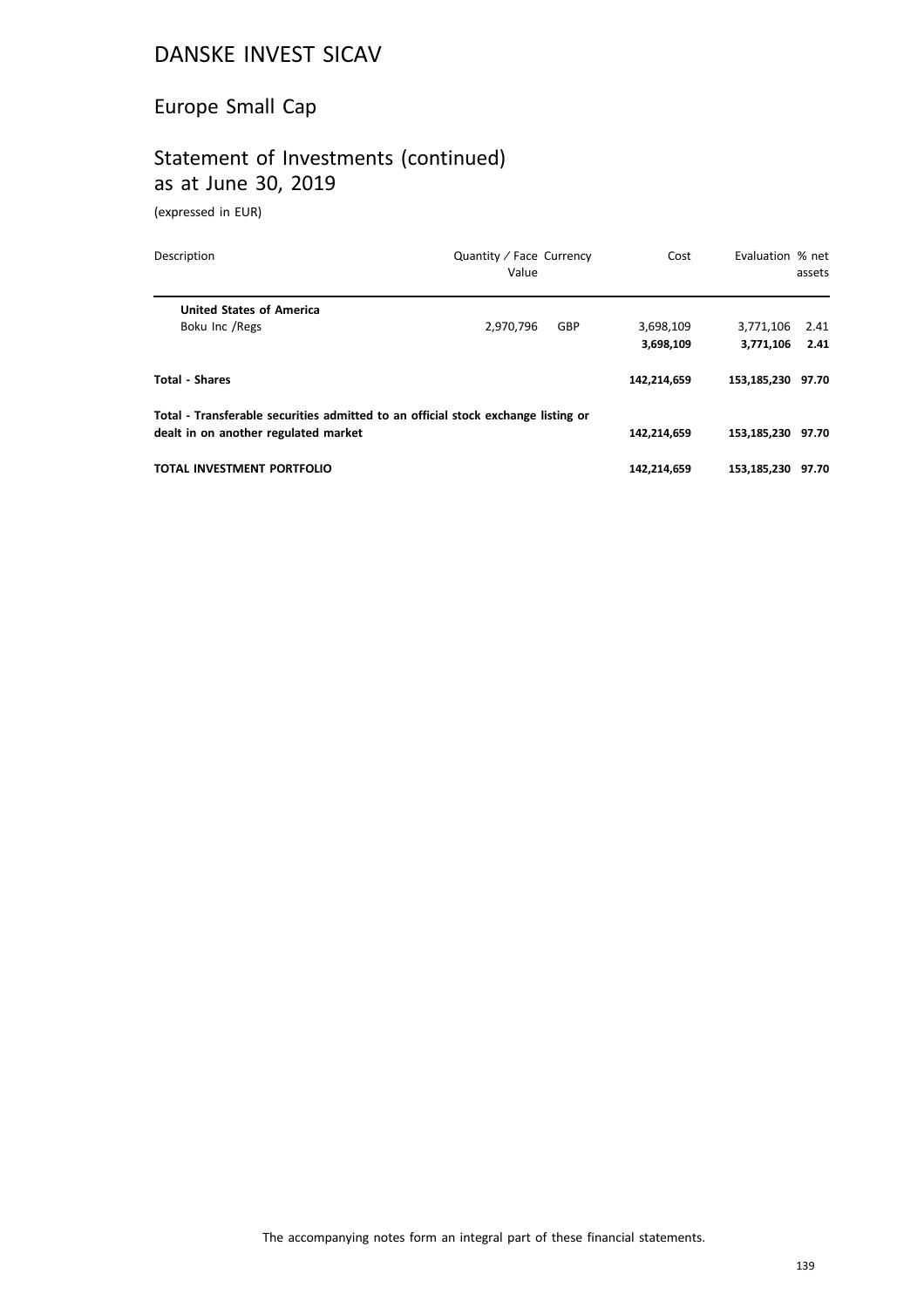# Europe Small Cap

# Statement of Investments (continued) as at June 30, 2019

(expressed in EUR)

| Description                                                                       | Quantity / Face Currency<br>Value | Cost        | Evaluation % net  | assets |
|-----------------------------------------------------------------------------------|-----------------------------------|-------------|-------------------|--------|
| <b>United States of America</b>                                                   |                                   |             |                   |        |
| Boku Inc / Regs                                                                   | GBP<br>2,970,796                  | 3,698,109   | 3,771,106         | 2.41   |
|                                                                                   |                                   | 3,698,109   | 3,771,106         | 2.41   |
| <b>Total - Shares</b>                                                             |                                   | 142,214,659 | 153,185,230       | 97.70  |
| Total - Transferable securities admitted to an official stock exchange listing or |                                   |             |                   |        |
| dealt in on another regulated market                                              |                                   | 142,214,659 | 153.185.230 97.70 |        |
| <b>TOTAL INVESTMENT PORTFOLIO</b>                                                 |                                   | 142,214,659 | 153.185.230       | 97.70  |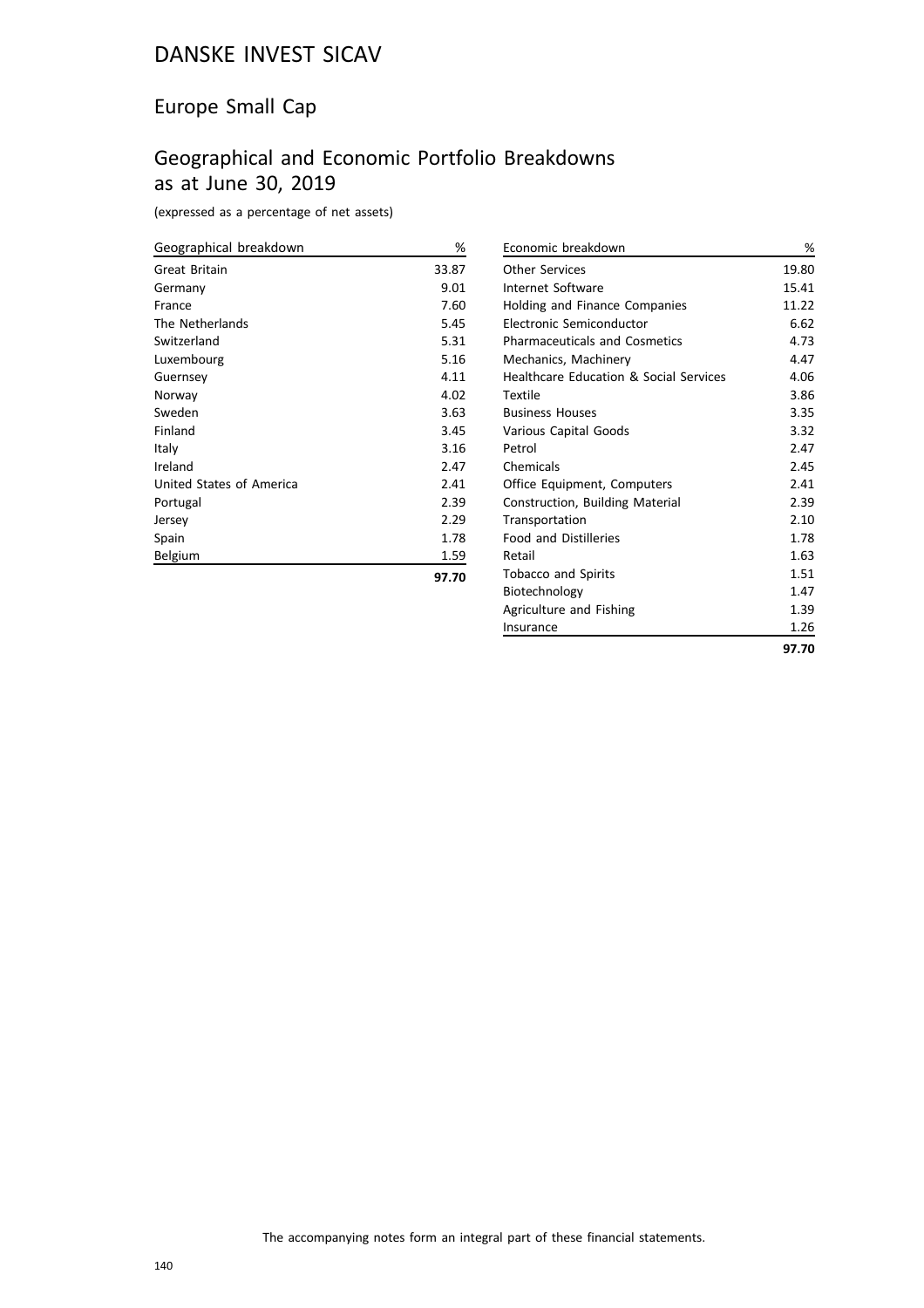# Europe Small Cap

# Geographical and Economic Portfolio Breakdowns as at June 30, 2019

(expressed as a percentage of net assets)

| Geographical breakdown   | %     |
|--------------------------|-------|
| Great Britain            | 33.87 |
| Germany                  | 9.01  |
| France                   | 7.60  |
| The Netherlands          | 5.45  |
| Switzerland              | 5.31  |
| Luxembourg               | 5.16  |
| Guernsey                 | 4.11  |
| Norway                   | 4.02  |
| Sweden                   | 3.63  |
| Finland                  | 3.45  |
| Italy                    | 3.16  |
| Ireland                  | 2.47  |
| United States of America | 2.41  |
| Portugal                 | 2.39  |
| Jersey                   | 2.29  |
| Spain                    | 1.78  |
| Belgium                  | 1.59  |
|                          | 97.70 |

| Economic breakdown                                | %     |
|---------------------------------------------------|-------|
| <b>Other Services</b>                             | 19.80 |
| Internet Software                                 | 15.41 |
| Holding and Finance Companies                     | 11.22 |
| Electronic Semiconductor                          | 6.62  |
| <b>Pharmaceuticals and Cosmetics</b>              | 4.73  |
| Mechanics, Machinery                              | 4.47  |
| <b>Healthcare Education &amp; Social Services</b> | 4.06  |
| Textile                                           | 3.86  |
| <b>Business Houses</b>                            | 3.35  |
| Various Capital Goods                             | 3.32  |
| Petrol                                            | 2.47  |
| Chemicals                                         | 2.45  |
| Office Equipment, Computers                       | 2.41  |
| Construction, Building Material                   | 2.39  |
| Transportation                                    | 2.10  |
| <b>Food and Distilleries</b>                      | 1.78  |
| Retail                                            | 1.63  |
| <b>Tobacco and Spirits</b>                        | 1.51  |
| Biotechnology                                     | 1.47  |
| Agriculture and Fishing                           | 1.39  |
| Insurance                                         | 1.26  |
|                                                   | 97.70 |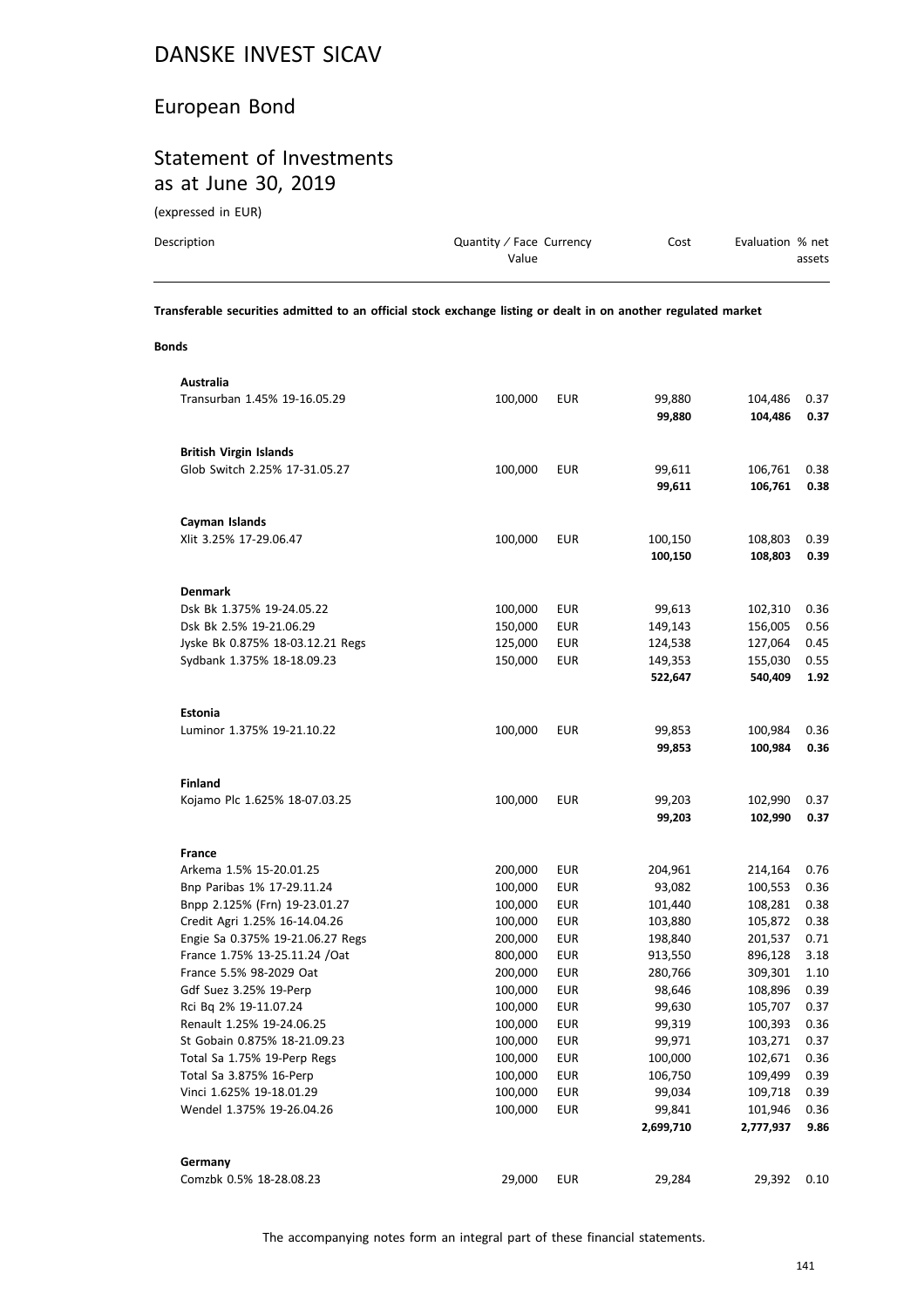# European Bond

# Statement of Investments as at June 30, 2019

(expressed in EUR)

| Description | Quantity / Face Currency | Cost | Evaluation % net |
|-------------|--------------------------|------|------------------|
|             | Value                    |      | assets           |
|             |                          |      |                  |

**Transferable securities admitted to an official stock exchange listing or dealt in on another regulated market**

#### **Bonds**

| Australia                                         |                    |                   |                  |                    |              |
|---------------------------------------------------|--------------------|-------------------|------------------|--------------------|--------------|
| Transurban 1.45% 19-16.05.29                      | 100,000            | <b>EUR</b>        | 99,880           | 104,486            | 0.37         |
|                                                   |                    |                   | 99,880           | 104,486            | 0.37         |
|                                                   |                    |                   |                  |                    |              |
| <b>British Virgin Islands</b>                     |                    |                   |                  |                    |              |
| Glob Switch 2.25% 17-31.05.27                     | 100,000            | EUR               | 99,611           | 106,761            | 0.38         |
|                                                   |                    |                   | 99,611           | 106,761            | 0.38         |
|                                                   |                    |                   |                  |                    |              |
| Cayman Islands                                    |                    |                   |                  |                    |              |
| Xlit 3.25% 17-29.06.47                            | 100,000            | <b>EUR</b>        | 100,150          | 108,803            | 0.39         |
|                                                   |                    |                   | 100,150          | 108,803            | 0.39         |
| <b>Denmark</b>                                    |                    |                   |                  |                    |              |
| Dsk Bk 1.375% 19-24.05.22                         | 100,000            | EUR               | 99,613           | 102,310            | 0.36         |
| Dsk Bk 2.5% 19-21.06.29                           | 150,000            | EUR               | 149,143          | 156,005            | 0.56         |
| Jyske Bk 0.875% 18-03.12.21 Regs                  | 125,000            | EUR               | 124,538          | 127,064            | 0.45         |
| Sydbank 1.375% 18-18.09.23                        | 150,000            | <b>EUR</b>        | 149,353          | 155,030            | 0.55         |
|                                                   |                    |                   | 522,647          | 540,409            | 1.92         |
|                                                   |                    |                   |                  |                    |              |
| <b>Estonia</b>                                    |                    |                   |                  |                    |              |
| Luminor 1.375% 19-21.10.22                        | 100,000            | <b>EUR</b>        | 99,853           | 100,984            | 0.36         |
|                                                   |                    |                   | 99,853           | 100,984            | 0.36         |
|                                                   |                    |                   |                  |                    |              |
| <b>Finland</b>                                    |                    |                   |                  |                    |              |
| Kojamo Plc 1.625% 18-07.03.25                     | 100,000            | EUR               | 99,203           | 102,990            | 0.37         |
|                                                   |                    |                   | 99,203           | 102,990            | 0.37         |
|                                                   |                    |                   |                  |                    |              |
| <b>France</b>                                     |                    |                   |                  |                    |              |
| Arkema 1.5% 15-20.01.25                           | 200,000            | EUR               | 204,961          | 214,164            | 0.76         |
| Bnp Paribas 1% 17-29.11.24                        | 100,000            | EUR               | 93,082           | 100,553            | 0.36         |
| Bnpp 2.125% (Frn) 19-23.01.27                     | 100,000            | EUR               | 101,440          | 108,281            | 0.38         |
| Credit Agri 1.25% 16-14.04.26                     | 100,000            | EUR               | 103,880          | 105,872            | 0.38         |
| Engie Sa 0.375% 19-21.06.27 Regs                  | 200,000            | EUR               | 198,840          | 201,537            | 0.71         |
| France 1.75% 13-25.11.24 / Oat                    | 800,000            | EUR               | 913,550          | 896,128            | 3.18         |
| France 5.5% 98-2029 Oat<br>Gdf Suez 3.25% 19-Perp | 200,000            | <b>EUR</b>        | 280,766          | 309,301            | 1.10         |
| Rci Bq 2% 19-11.07.24                             | 100,000<br>100,000 | EUR<br><b>EUR</b> | 98,646<br>99,630 | 108,896<br>105,707 | 0.39<br>0.37 |
| Renault 1.25% 19-24.06.25                         | 100,000            | EUR               | 99,319           | 100,393            | 0.36         |
| St Gobain 0.875% 18-21.09.23                      | 100,000            | EUR               | 99,971           | 103,271            | 0.37         |
| Total Sa 1.75% 19-Perp Regs                       | 100,000            | EUR               | 100,000          | 102,671            | 0.36         |
| Total Sa 3.875% 16-Perp                           | 100,000            | EUR               | 106,750          | 109,499            | 0.39         |
| Vinci 1.625% 19-18.01.29                          | 100,000            | <b>EUR</b>        | 99,034           | 109,718            | 0.39         |
| Wendel 1.375% 19-26.04.26                         | 100,000            | <b>EUR</b>        | 99,841           | 101,946            | 0.36         |
|                                                   |                    |                   | 2,699,710        | 2,777,937          | 9.86         |
|                                                   |                    |                   |                  |                    |              |
| Germany                                           |                    |                   |                  |                    |              |
| Comzbk 0.5% 18-28.08.23                           | 29,000             | <b>EUR</b>        | 29,284           | 29,392             | 0.10         |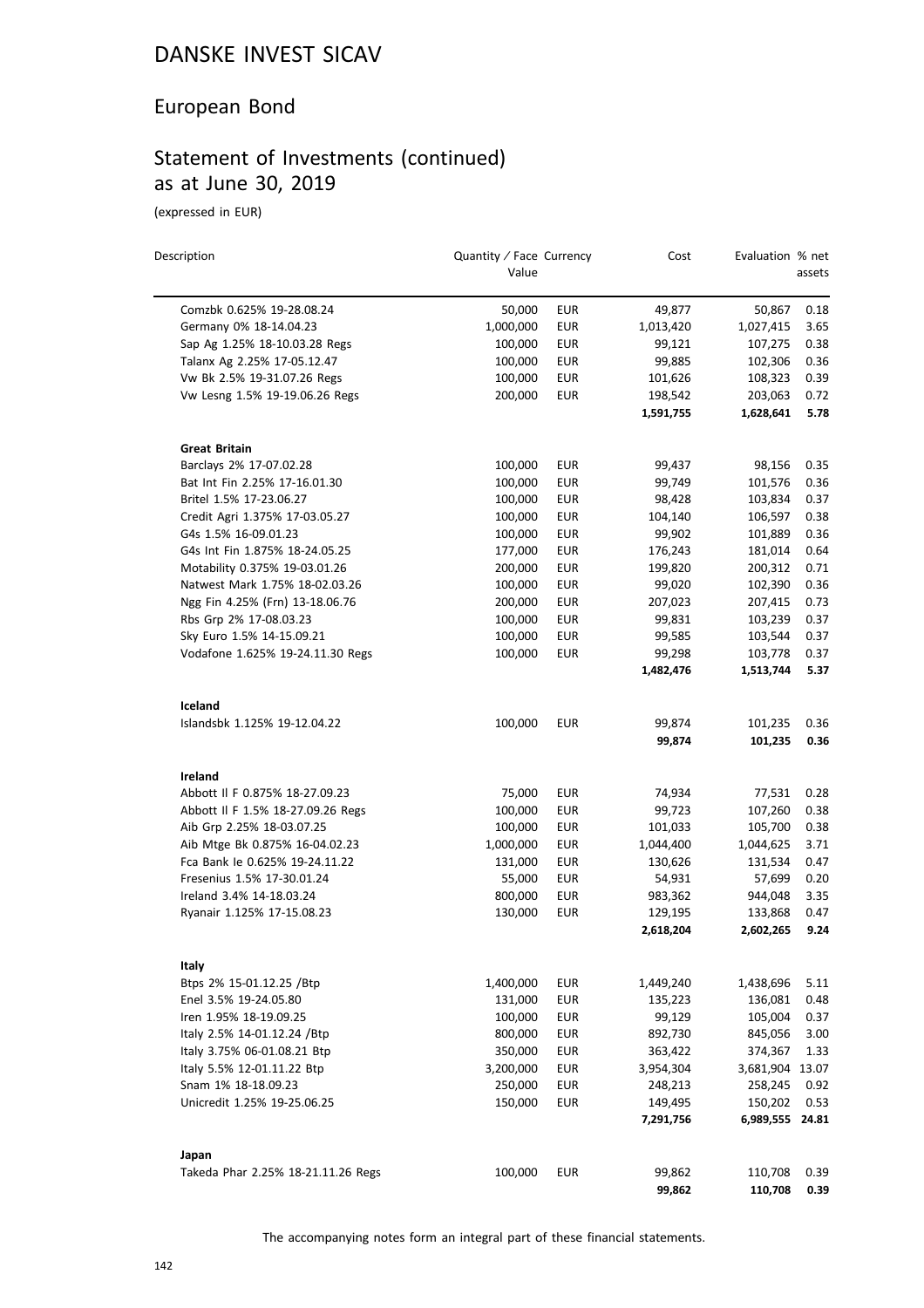# European Bond

# Statement of Investments (continued) as at June 30, 2019

(expressed in EUR)

| Description                                 | Quantity / Face Currency<br>Value |            | Cost                 | Evaluation % net           | assets       |
|---------------------------------------------|-----------------------------------|------------|----------------------|----------------------------|--------------|
| Comzbk 0.625% 19-28.08.24                   | 50,000                            | <b>EUR</b> | 49,877               | 50,867                     | 0.18         |
| Germany 0% 18-14.04.23                      | 1,000,000                         | <b>EUR</b> | 1,013,420            | 1,027,415                  | 3.65         |
| Sap Ag 1.25% 18-10.03.28 Regs               | 100,000                           | <b>EUR</b> | 99,121               | 107,275                    | 0.38         |
| Talanx Ag 2.25% 17-05.12.47                 | 100,000                           | EUR        | 99,885               | 102,306                    | 0.36         |
| Vw Bk 2.5% 19-31.07.26 Regs                 | 100,000                           | <b>EUR</b> | 101,626              | 108,323                    | 0.39         |
| Vw Lesng 1.5% 19-19.06.26 Regs              | 200,000                           | <b>EUR</b> | 198,542              | 203,063                    | 0.72         |
|                                             |                                   |            | 1,591,755            | 1,628,641                  | 5.78         |
| <b>Great Britain</b>                        |                                   |            |                      |                            |              |
| Barclays 2% 17-07.02.28                     | 100,000                           | EUR        | 99,437               | 98,156                     | 0.35         |
| Bat Int Fin 2.25% 17-16.01.30               | 100,000                           | <b>EUR</b> | 99,749               | 101,576                    | 0.36         |
| Britel 1.5% 17-23.06.27                     | 100,000                           | <b>EUR</b> | 98,428               | 103,834                    | 0.37         |
| Credit Agri 1.375% 17-03.05.27              | 100,000                           | <b>EUR</b> | 104,140              | 106,597                    | 0.38         |
| G4s 1.5% 16-09.01.23                        | 100,000                           | <b>EUR</b> | 99,902               | 101,889                    | 0.36         |
| G4s Int Fin 1.875% 18-24.05.25              | 177,000                           | <b>EUR</b> | 176,243              | 181,014                    | 0.64         |
| Motability 0.375% 19-03.01.26               | 200,000                           | <b>EUR</b> | 199,820              | 200,312                    | 0.71         |
| Natwest Mark 1.75% 18-02.03.26              | 100,000                           | EUR        | 99,020               | 102,390                    | 0.36         |
| Ngg Fin 4.25% (Frn) 13-18.06.76             | 200,000                           | <b>EUR</b> | 207,023              | 207,415                    | 0.73         |
| Rbs Grp 2% 17-08.03.23                      | 100,000                           | <b>EUR</b> | 99,831               | 103,239                    | 0.37         |
| Sky Euro 1.5% 14-15.09.21                   | 100,000                           | EUR        | 99,585               | 103,544                    | 0.37         |
| Vodafone 1.625% 19-24.11.30 Regs            | 100,000                           | <b>EUR</b> | 99,298               | 103,778                    | 0.37         |
|                                             |                                   |            | 1,482,476            | 1,513,744                  | 5.37         |
| Iceland                                     |                                   |            |                      |                            |              |
| Islandsbk 1.125% 19-12.04.22                | 100,000                           | <b>EUR</b> | 99,874               | 101,235                    | 0.36         |
|                                             |                                   |            | 99,874               | 101,235                    | 0.36         |
| Ireland                                     |                                   |            |                      |                            |              |
| Abbott II F 0.875% 18-27.09.23              | 75,000                            | <b>EUR</b> | 74,934               | 77,531                     | 0.28         |
| Abbott II F 1.5% 18-27.09.26 Regs           | 100,000                           | <b>EUR</b> | 99,723               | 107,260                    | 0.38         |
| Aib Grp 2.25% 18-03.07.25                   | 100,000                           | <b>EUR</b> | 101,033              | 105,700                    | 0.38         |
| Aib Mtge Bk 0.875% 16-04.02.23              | 1,000,000                         | EUR        | 1,044,400            | 1,044,625                  | 3.71         |
| Fca Bank le 0.625% 19-24.11.22              | 131,000                           | <b>EUR</b> | 130,626              | 131,534                    | 0.47         |
| Fresenius 1.5% 17-30.01.24                  | 55,000                            | EUR        | 54,931               | 57,699                     | 0.20         |
| Ireland 3.4% 14-18.03.24                    | 800,000                           | <b>EUR</b> | 983,362              | 944,048                    | 3.35         |
| Ryanair 1.125% 17-15.08.23                  | 130,000                           | <b>EUR</b> | 129,195<br>2,618,204 | 133,868<br>2,602,265       | 0.47<br>9.24 |
|                                             |                                   |            |                      |                            |              |
| Italy                                       |                                   |            |                      |                            |              |
| Btps 2% 15-01.12.25 /Btp                    | 1,400,000                         | <b>EUR</b> | 1,449,240            | 1,438,696                  | 5.11         |
| Enel 3.5% 19-24.05.80                       | 131,000                           | <b>EUR</b> | 135,223              | 136,081                    | 0.48         |
| Iren 1.95% 18-19.09.25                      | 100,000                           | <b>EUR</b> | 99,129               | 105,004                    | 0.37         |
| Italy 2.5% 14-01.12.24 /Btp                 | 800,000                           | <b>EUR</b> | 892,730              | 845,056                    | 3.00         |
| Italy 3.75% 06-01.08.21 Btp                 | 350,000                           | <b>EUR</b> | 363,422              | 374,367                    | 1.33         |
| Italy 5.5% 12-01.11.22 Btp                  | 3,200,000                         | <b>EUR</b> | 3,954,304            | 3,681,904 13.07            |              |
| Snam 1% 18-18.09.23                         | 250,000                           | <b>EUR</b> | 248,213              | 258,245                    | 0.92         |
| Unicredit 1.25% 19-25.06.25                 | 150,000                           | EUR        | 149,495<br>7,291,756 | 150,202<br>6,989,555 24.81 | 0.53         |
|                                             |                                   |            |                      |                            |              |
| Japan<br>Takeda Phar 2.25% 18-21.11.26 Regs | 100,000                           | EUR        | 99,862               | 110,708                    | 0.39         |
|                                             |                                   |            | 99,862               | 110,708                    | 0.39         |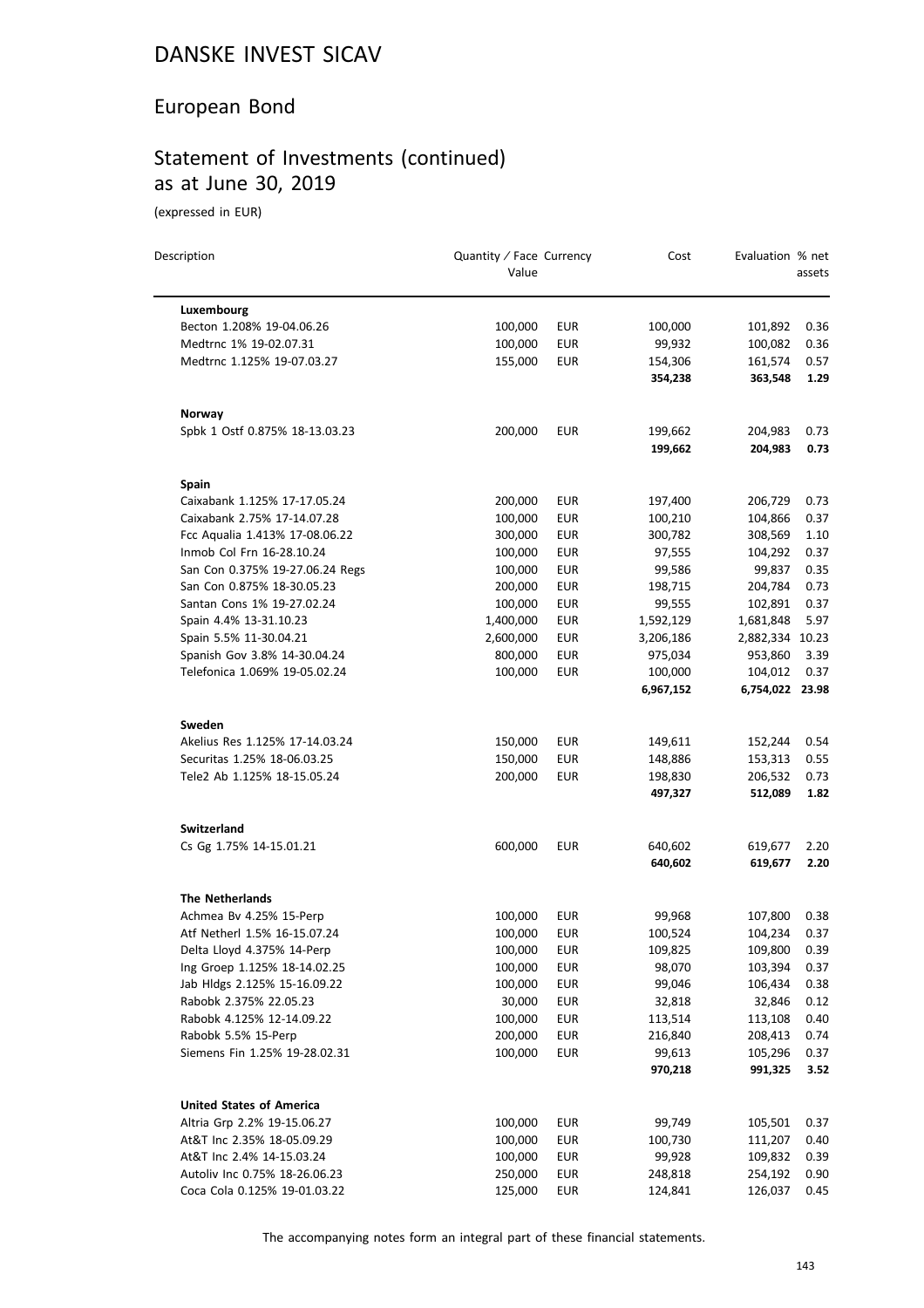# European Bond

# Statement of Investments (continued) as at June 30, 2019

(expressed in EUR)

 $\equiv$ 

| Description                     | Quantity / Face Currency<br>Value |            | Cost      | Evaluation % net | assets |
|---------------------------------|-----------------------------------|------------|-----------|------------------|--------|
| Luxembourg                      |                                   |            |           |                  |        |
| Becton 1.208% 19-04.06.26       | 100,000                           | <b>EUR</b> | 100,000   | 101,892          | 0.36   |
| Medtrnc 1% 19-02.07.31          | 100,000                           | <b>EUR</b> | 99,932    | 100,082          | 0.36   |
| Medtrnc 1.125% 19-07.03.27      | 155,000                           | <b>EUR</b> | 154,306   | 161,574          | 0.57   |
|                                 |                                   |            | 354,238   | 363,548          | 1.29   |
| Norway                          |                                   |            |           |                  |        |
| Spbk 1 Ostf 0.875% 18-13.03.23  | 200,000                           | <b>EUR</b> | 199,662   | 204,983          | 0.73   |
|                                 |                                   |            | 199,662   | 204,983          | 0.73   |
| <b>Spain</b>                    |                                   |            |           |                  |        |
| Caixabank 1.125% 17-17.05.24    | 200,000                           | EUR        | 197,400   | 206,729          | 0.73   |
| Caixabank 2.75% 17-14.07.28     | 100,000                           | <b>EUR</b> | 100,210   | 104,866          | 0.37   |
| Fcc Aqualia 1.413% 17-08.06.22  | 300,000                           | <b>EUR</b> | 300,782   | 308,569          | 1.10   |
| Inmob Col Frn 16-28.10.24       | 100,000                           | <b>EUR</b> | 97,555    | 104,292          | 0.37   |
| San Con 0.375% 19-27.06.24 Regs | 100,000                           | <b>EUR</b> | 99,586    | 99,837           | 0.35   |
| San Con 0.875% 18-30.05.23      | 200,000                           | <b>EUR</b> | 198,715   | 204,784          | 0.73   |
| Santan Cons 1% 19-27.02.24      | 100,000                           | <b>EUR</b> | 99,555    | 102,891          | 0.37   |
| Spain 4.4% 13-31.10.23          | 1,400,000                         | <b>EUR</b> | 1,592,129 | 1,681,848        | 5.97   |
| Spain 5.5% 11-30.04.21          | 2,600,000                         | <b>EUR</b> | 3,206,186 | 2,882,334 10.23  |        |
| Spanish Gov 3.8% 14-30.04.24    | 800,000                           | EUR        | 975,034   | 953,860          | 3.39   |
| Telefonica 1.069% 19-05.02.24   | 100,000                           | <b>EUR</b> | 100,000   | 104,012          | 0.37   |
|                                 |                                   |            | 6,967,152 | 6,754,022 23.98  |        |
| Sweden                          |                                   |            |           |                  |        |
| Akelius Res 1.125% 17-14.03.24  | 150,000                           | EUR        | 149,611   | 152,244          | 0.54   |
| Securitas 1.25% 18-06.03.25     | 150,000                           | <b>EUR</b> | 148,886   | 153,313          | 0.55   |
| Tele2 Ab 1.125% 18-15.05.24     | 200,000                           | <b>EUR</b> | 198,830   | 206,532          | 0.73   |
|                                 |                                   |            | 497,327   | 512,089          | 1.82   |
| <b>Switzerland</b>              |                                   |            |           |                  |        |
| Cs Gg 1.75% 14-15.01.21         | 600,000                           | <b>EUR</b> | 640,602   | 619,677          | 2.20   |
|                                 |                                   |            | 640,602   | 619,677          | 2.20   |
| <b>The Netherlands</b>          |                                   |            |           |                  |        |
| Achmea Bv 4.25% 15-Perp         | 100,000                           | <b>EUR</b> | 99,968    | 107,800          | 0.38   |
| Atf Netherl 1.5% 16-15.07.24    | 100,000                           | <b>EUR</b> | 100,524   | 104,234          | 0.37   |
| Delta Lloyd 4.375% 14-Perp      | 100,000                           | <b>EUR</b> | 109,825   | 109,800          | 0.39   |
| Ing Groep 1.125% 18-14.02.25    | 100,000                           | <b>EUR</b> | 98,070    | 103,394          | 0.37   |
| Jab Hldgs 2.125% 15-16.09.22    | 100,000                           | <b>EUR</b> | 99,046    | 106,434          | 0.38   |
| Rabobk 2.375% 22.05.23          | 30,000                            | <b>EUR</b> | 32,818    | 32,846           | 0.12   |
| Rabobk 4.125% 12-14.09.22       | 100,000                           | EUR        | 113,514   | 113,108          | 0.40   |
| Rabobk 5.5% 15-Perp             | 200,000                           | <b>EUR</b> | 216,840   | 208,413          | 0.74   |
| Siemens Fin 1.25% 19-28.02.31   | 100,000                           | <b>EUR</b> | 99,613    | 105,296          | 0.37   |
|                                 |                                   |            | 970,218   | 991,325          | 3.52   |
| <b>United States of America</b> |                                   |            |           |                  |        |
| Altria Grp 2.2% 19-15.06.27     | 100,000                           | <b>EUR</b> | 99,749    | 105,501          | 0.37   |
| At&T Inc 2.35% 18-05.09.29      | 100,000                           | <b>EUR</b> | 100,730   | 111,207          | 0.40   |
| At&T Inc 2.4% 14-15.03.24       | 100,000                           | <b>EUR</b> | 99,928    | 109,832          | 0.39   |
| Autoliv Inc 0.75% 18-26.06.23   | 250,000                           | <b>EUR</b> | 248,818   | 254,192          | 0.90   |
| Coca Cola 0.125% 19-01.03.22    | 125,000                           | <b>EUR</b> | 124,841   | 126,037          | 0.45   |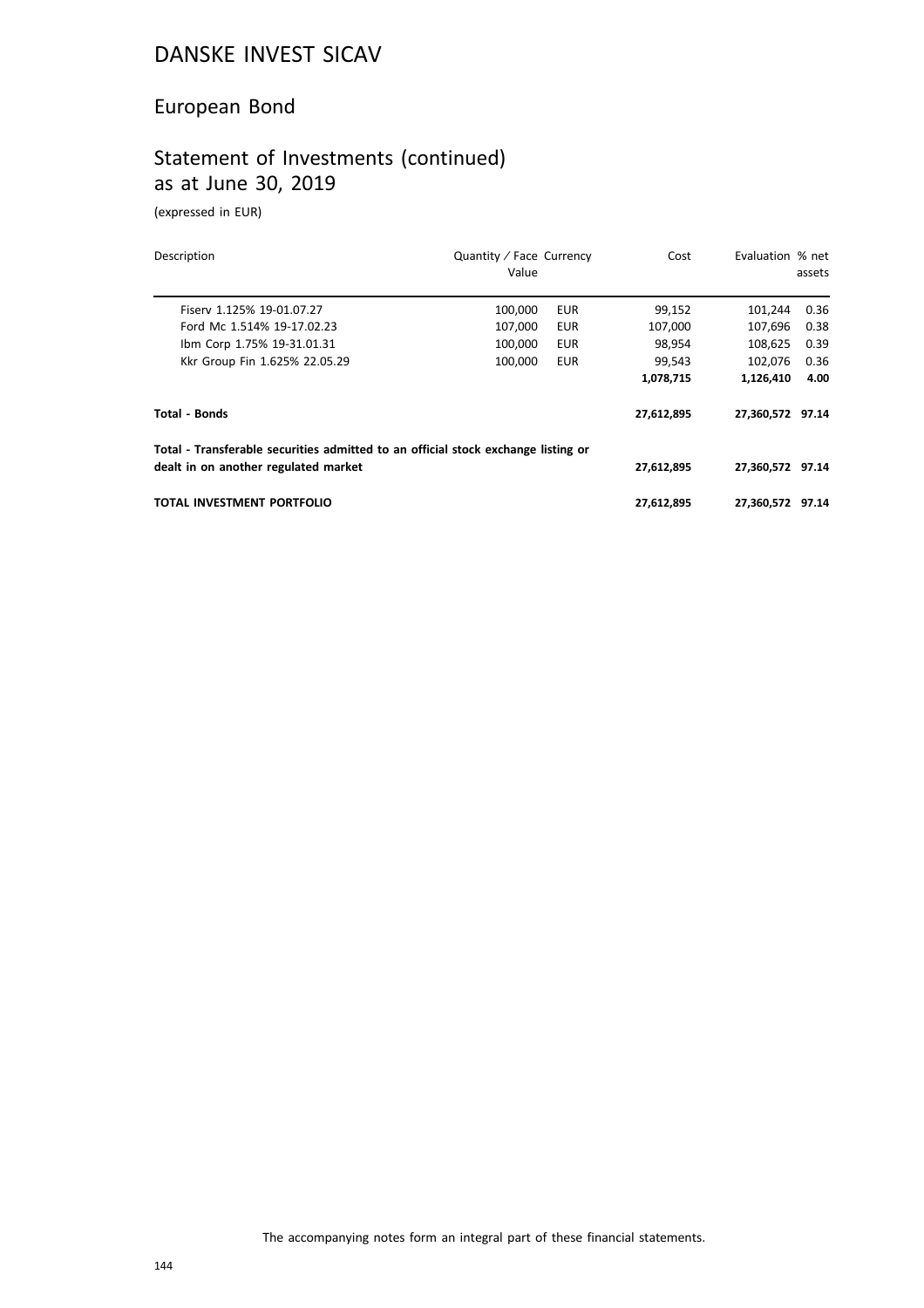# European Bond

# Statement of Investments (continued) as at June 30, 2019

(expressed in EUR)

| Description                                                                       | Quantity / Face Currency<br>Value |            | Cost       | Evaluation % net | assets |
|-----------------------------------------------------------------------------------|-----------------------------------|------------|------------|------------------|--------|
| Fisery 1.125% 19-01.07.27                                                         | 100,000                           | <b>EUR</b> | 99,152     | 101,244          | 0.36   |
| Ford Mc 1.514% 19-17.02.23                                                        | 107.000                           | <b>EUR</b> | 107,000    | 107.696          | 0.38   |
| Ibm Corp 1.75% 19-31.01.31                                                        | 100,000                           | <b>EUR</b> | 98,954     | 108,625          | 0.39   |
| Kkr Group Fin 1.625% 22.05.29                                                     | 100.000                           | <b>EUR</b> | 99,543     | 102.076          | 0.36   |
|                                                                                   |                                   |            | 1,078,715  | 1,126,410        | 4.00   |
| <b>Total - Bonds</b>                                                              |                                   |            | 27,612,895 | 27,360,572 97.14 |        |
| Total - Transferable securities admitted to an official stock exchange listing or |                                   |            |            |                  |        |
| dealt in on another regulated market                                              |                                   |            | 27,612,895 | 27,360,572 97.14 |        |
| TOTAL INVESTMENT PORTFOLIO                                                        |                                   |            | 27,612,895 | 27.360.572 97.14 |        |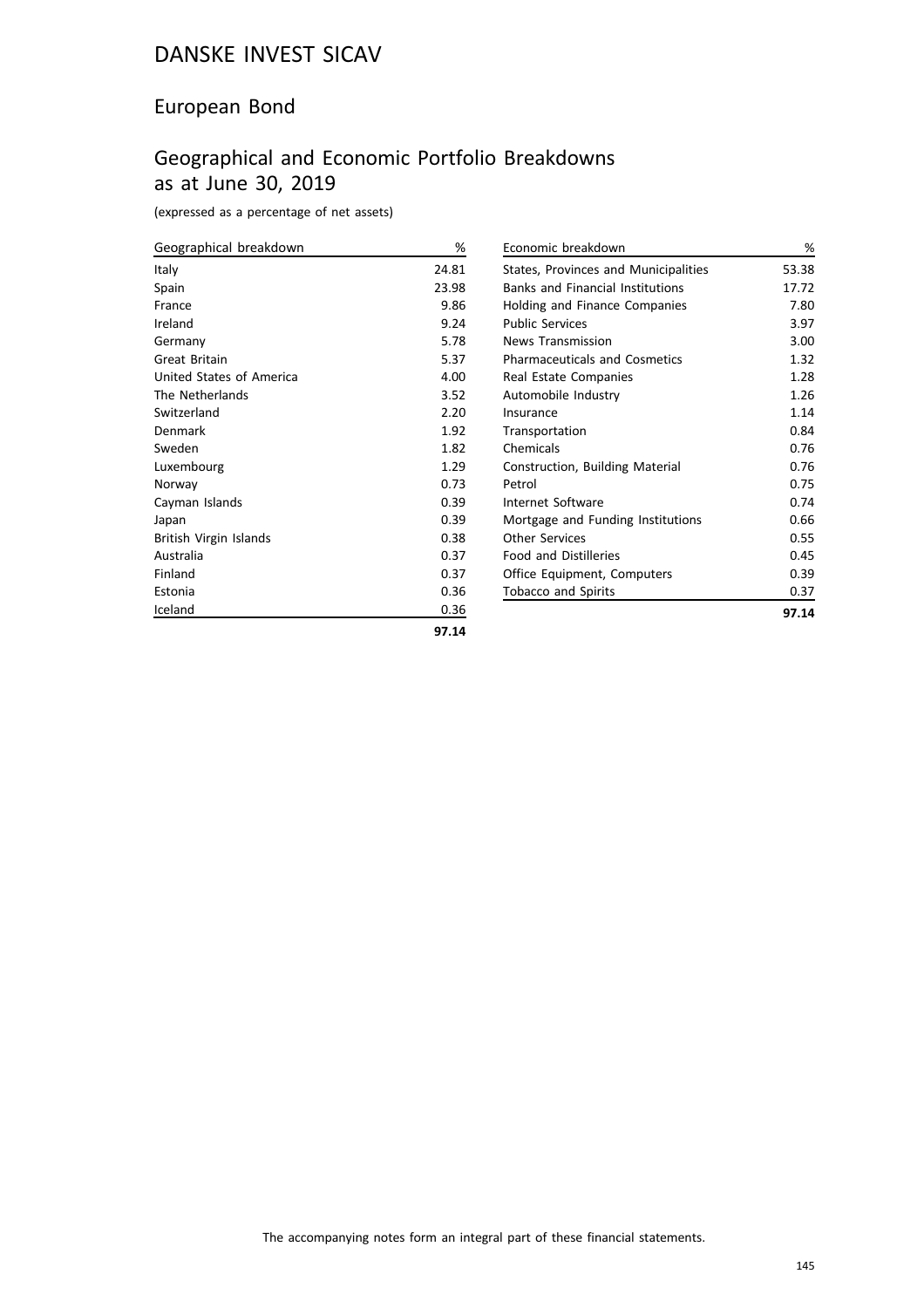### European Bond

# Geographical and Economic Portfolio Breakdowns as at June 30, 2019

(expressed as a percentage of net assets)

| Geographical breakdown   | %     |
|--------------------------|-------|
| Italy                    | 24.81 |
| Spain                    | 23.98 |
| France                   | 9.86  |
| Ireland                  | 9.24  |
| Germany                  | 5.78  |
| Great Britain            | 5.37  |
| United States of America | 4.00  |
| The Netherlands          | 3.52  |
| Switzerland              | 2.20  |
| Denmark                  | 1.92  |
| Sweden                   | 1.82  |
| Luxembourg               | 1.29  |
| Norway                   | 0.73  |
| Cayman Islands           | 0.39  |
| Japan                    | 0.39  |
| British Virgin Islands   | 0.38  |
| Australia                | 0.37  |
| Finland                  | 0.37  |
| Estonia                  | 0.36  |
| Iceland                  | 0.36  |
|                          |       |

| Economic breakdown                      | ℅     |
|-----------------------------------------|-------|
| States, Provinces and Municipalities    | 53.38 |
| <b>Banks and Financial Institutions</b> | 17.72 |
| <b>Holding and Finance Companies</b>    | 7.80  |
| <b>Public Services</b>                  | 3.97  |
| <b>News Transmission</b>                | 3.00  |
| <b>Pharmaceuticals and Cosmetics</b>    | 1.32  |
| Real Estate Companies                   | 1.28  |
| Automobile Industry                     | 1.26  |
| Insurance                               | 1.14  |
| Transportation                          | 0.84  |
| Chemicals                               | 0.76  |
| Construction, Building Material         | 0.76  |
| Petrol                                  | 0.75  |
| Internet Software                       | 0.74  |
| Mortgage and Funding Institutions       | 0.66  |
| Other Services                          | 0.55  |
| <b>Food and Distilleries</b>            | 0.45  |
| Office Equipment, Computers             | 0.39  |
| Tobacco and Spirits                     | 0.37  |
|                                         | 97.14 |

$$
\textcolor{blue}{\bf97.14}
$$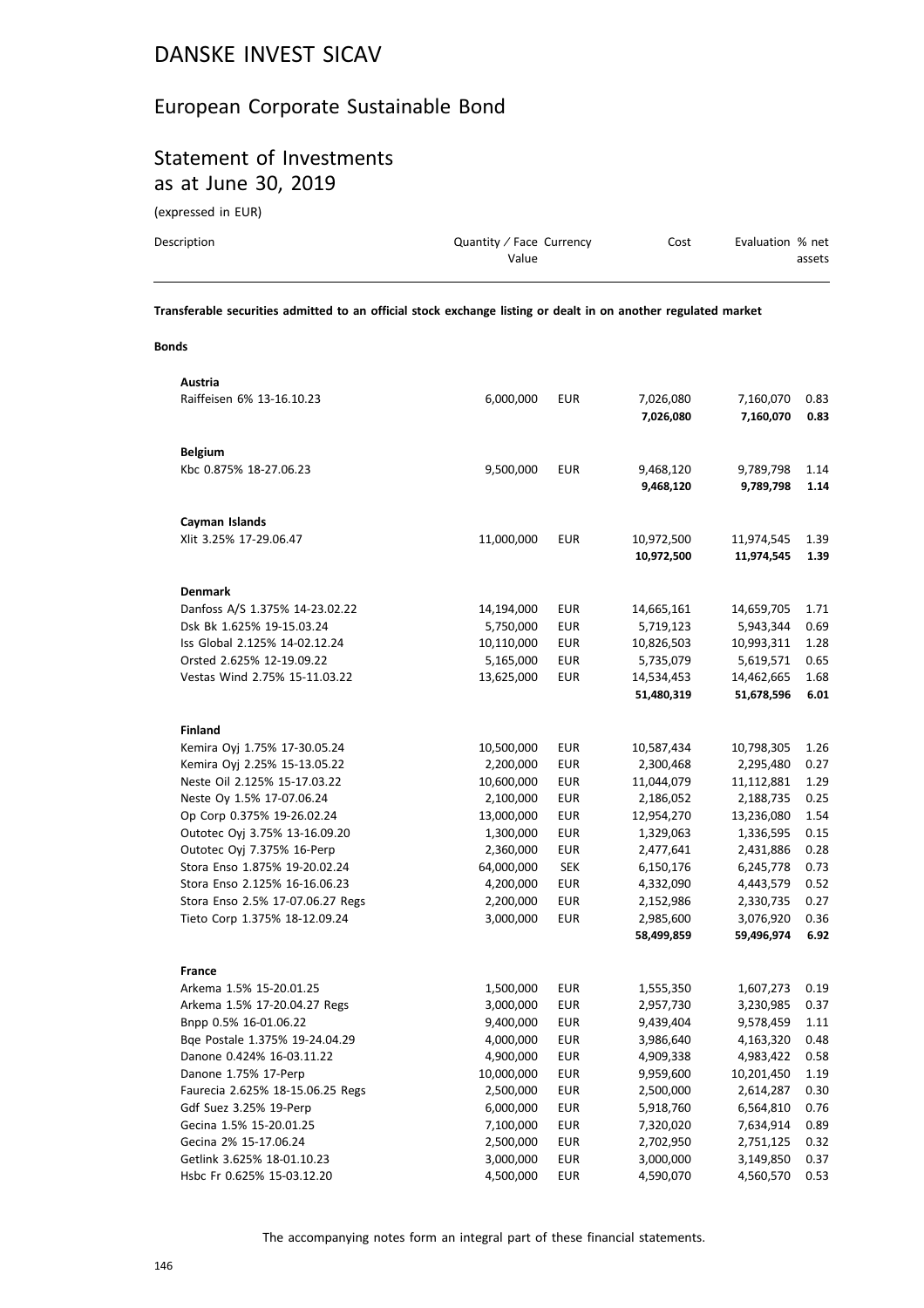### European Corporate Sustainable Bond

### Statement of Investments as at June 30, 2019

(expressed in EUR)

| Description | Quantity / Face Currency | Cost | Evaluation % net |        |
|-------------|--------------------------|------|------------------|--------|
|             | Value                    |      |                  | assets |
|             |                          |      |                  |        |

**Transferable securities admitted to an official stock exchange listing or dealt in on another regulated market**

### **Bonds**

| Austria                          |            |            |            |            |      |
|----------------------------------|------------|------------|------------|------------|------|
| Raiffeisen 6% 13-16.10.23        | 6,000,000  | <b>EUR</b> | 7,026,080  | 7,160,070  | 0.83 |
|                                  |            |            | 7,026,080  | 7,160,070  | 0.83 |
|                                  |            |            |            |            |      |
| <b>Belgium</b>                   |            |            |            |            |      |
| Kbc 0.875% 18-27.06.23           | 9,500,000  | <b>EUR</b> | 9,468,120  | 9,789,798  | 1.14 |
|                                  |            |            | 9,468,120  | 9,789,798  | 1.14 |
|                                  |            |            |            |            |      |
| Cayman Islands                   |            |            |            |            |      |
| Xlit 3.25% 17-29.06.47           | 11,000,000 | <b>EUR</b> | 10,972,500 | 11,974,545 | 1.39 |
|                                  |            |            | 10,972,500 | 11,974,545 | 1.39 |
|                                  |            |            |            |            |      |
| <b>Denmark</b>                   |            |            |            |            |      |
| Danfoss A/S 1.375% 14-23.02.22   | 14,194,000 | <b>EUR</b> | 14,665,161 | 14,659,705 | 1.71 |
| Dsk Bk 1.625% 19-15.03.24        | 5,750,000  | <b>EUR</b> | 5,719,123  | 5,943,344  | 0.69 |
| Iss Global 2.125% 14-02.12.24    | 10,110,000 | <b>EUR</b> | 10,826,503 | 10,993,311 | 1.28 |
| Orsted 2.625% 12-19.09.22        | 5,165,000  | <b>EUR</b> | 5,735,079  | 5,619,571  | 0.65 |
| Vestas Wind 2.75% 15-11.03.22    | 13,625,000 | <b>EUR</b> | 14,534,453 | 14,462,665 | 1.68 |
|                                  |            |            | 51,480,319 | 51,678,596 | 6.01 |
|                                  |            |            |            |            |      |
| <b>Finland</b>                   |            |            |            |            |      |
| Kemira Oyj 1.75% 17-30.05.24     | 10,500,000 | <b>EUR</b> | 10,587,434 | 10,798,305 | 1.26 |
| Kemira Oyj 2.25% 15-13.05.22     | 2,200,000  | <b>EUR</b> | 2,300,468  | 2,295,480  | 0.27 |
| Neste Oil 2.125% 15-17.03.22     | 10,600,000 | <b>EUR</b> | 11,044,079 | 11,112,881 | 1.29 |
| Neste Oy 1.5% 17-07.06.24        | 2,100,000  | <b>EUR</b> | 2,186,052  | 2,188,735  | 0.25 |
| Op Corp 0.375% 19-26.02.24       | 13,000,000 | <b>EUR</b> | 12,954,270 | 13,236,080 | 1.54 |
| Outotec Oyj 3.75% 13-16.09.20    | 1,300,000  | <b>EUR</b> | 1,329,063  | 1,336,595  | 0.15 |
| Outotec Oyj 7.375% 16-Perp       | 2,360,000  | <b>EUR</b> | 2,477,641  | 2,431,886  | 0.28 |
| Stora Enso 1.875% 19-20.02.24    | 64,000,000 | <b>SEK</b> | 6,150,176  | 6,245,778  | 0.73 |
| Stora Enso 2.125% 16-16.06.23    | 4,200,000  | <b>EUR</b> | 4,332,090  | 4,443,579  | 0.52 |
| Stora Enso 2.5% 17-07.06.27 Regs | 2,200,000  | <b>EUR</b> | 2,152,986  | 2,330,735  | 0.27 |
| Tieto Corp 1.375% 18-12.09.24    | 3,000,000  | <b>EUR</b> | 2,985,600  | 3,076,920  | 0.36 |
|                                  |            |            | 58,499,859 | 59,496,974 | 6.92 |
|                                  |            |            |            |            |      |
| <b>France</b>                    |            |            |            |            |      |
| Arkema 1.5% 15-20.01.25          | 1,500,000  | <b>EUR</b> | 1,555,350  | 1,607,273  | 0.19 |
| Arkema 1.5% 17-20.04.27 Regs     | 3,000,000  | <b>EUR</b> | 2,957,730  | 3,230,985  | 0.37 |
| Bnpp 0.5% 16-01.06.22            | 9,400,000  | <b>EUR</b> | 9,439,404  | 9,578,459  | 1.11 |
| Bge Postale 1.375% 19-24.04.29   | 4,000,000  | <b>EUR</b> | 3,986,640  | 4,163,320  | 0.48 |
| Danone 0.424% 16-03.11.22        | 4,900,000  | <b>EUR</b> | 4,909,338  | 4,983,422  | 0.58 |
| Danone 1.75% 17-Perp             | 10,000,000 | <b>EUR</b> | 9,959,600  | 10,201,450 | 1.19 |
| Faurecia 2.625% 18-15.06.25 Regs | 2,500,000  | <b>EUR</b> | 2,500,000  | 2,614,287  | 0.30 |
| Gdf Suez 3.25% 19-Perp           | 6,000,000  | <b>EUR</b> | 5,918,760  | 6,564,810  | 0.76 |
| Gecina 1.5% 15-20.01.25          | 7,100,000  | <b>EUR</b> | 7,320,020  | 7,634,914  | 0.89 |
| Gecina 2% 15-17.06.24            | 2,500,000  | <b>EUR</b> | 2,702,950  | 2,751,125  | 0.32 |
| Getlink 3.625% 18-01.10.23       | 3,000,000  | <b>EUR</b> | 3,000,000  | 3,149,850  | 0.37 |
| Hsbc Fr 0.625% 15-03.12.20       | 4,500,000  | <b>EUR</b> | 4,590,070  | 4,560,570  | 0.53 |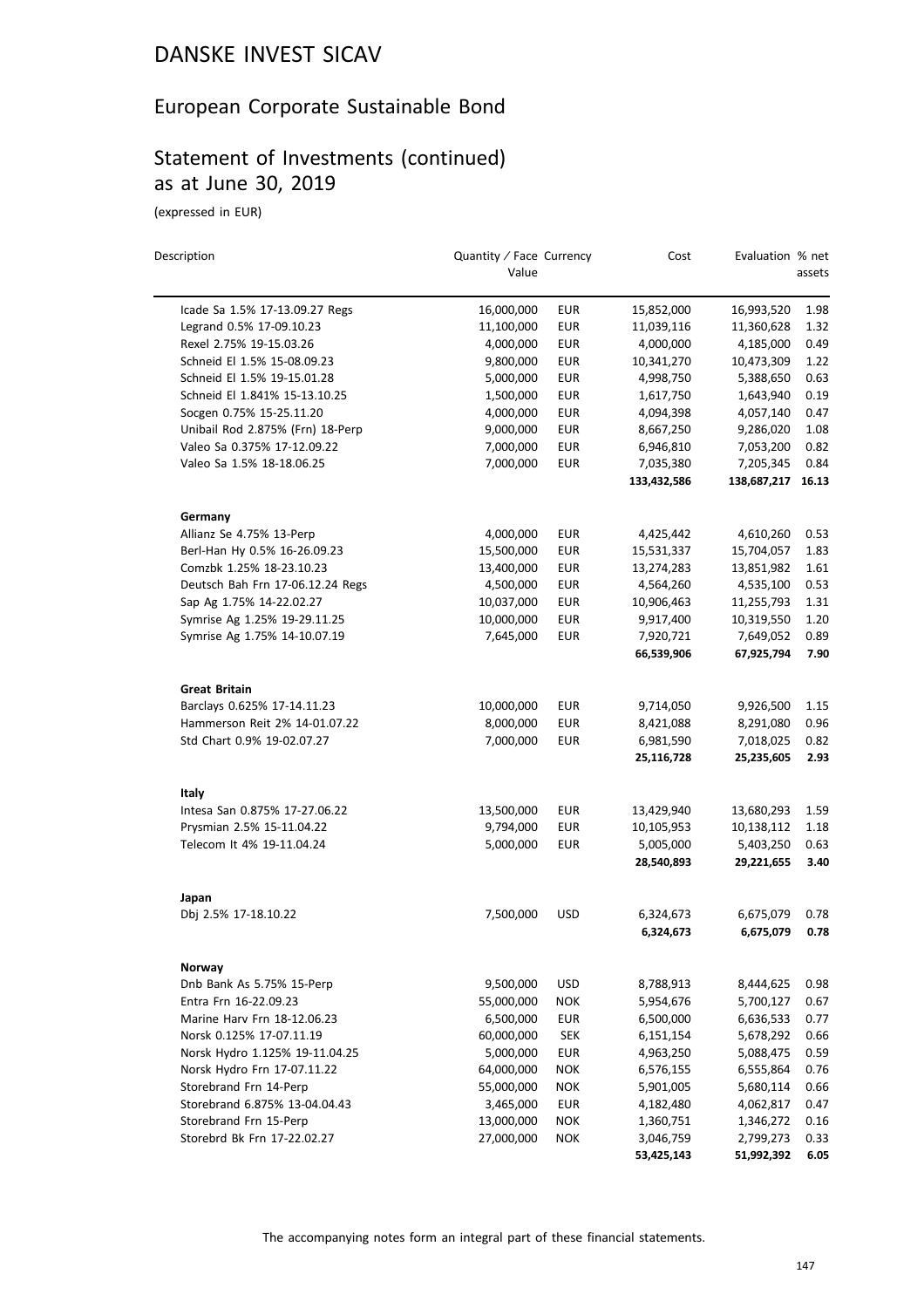# European Corporate Sustainable Bond

# Statement of Investments (continued) as at June 30, 2019

| Description                      | Quantity / Face Currency<br>Value |            | Cost        | Evaluation % net | assets |
|----------------------------------|-----------------------------------|------------|-------------|------------------|--------|
|                                  |                                   |            |             |                  |        |
| Icade Sa 1.5% 17-13.09.27 Regs   | 16,000,000                        | EUR        | 15,852,000  | 16,993,520       | 1.98   |
| Legrand 0.5% 17-09.10.23         | 11,100,000                        | <b>EUR</b> | 11,039,116  | 11,360,628       | 1.32   |
| Rexel 2.75% 19-15.03.26          | 4,000,000                         | <b>EUR</b> | 4,000,000   | 4,185,000        | 0.49   |
| Schneid El 1.5% 15-08.09.23      | 9,800,000                         | <b>EUR</b> | 10,341,270  | 10,473,309       | 1.22   |
| Schneid El 1.5% 19-15.01.28      | 5,000,000                         | <b>EUR</b> | 4,998,750   | 5,388,650        | 0.63   |
| Schneid El 1.841% 15-13.10.25    | 1,500,000                         | <b>EUR</b> | 1,617,750   | 1,643,940        | 0.19   |
| Socgen 0.75% 15-25.11.20         | 4,000,000                         | <b>EUR</b> | 4,094,398   | 4,057,140        | 0.47   |
| Unibail Rod 2.875% (Frn) 18-Perp | 9,000,000                         | <b>EUR</b> | 8,667,250   | 9,286,020        | 1.08   |
| Valeo Sa 0.375% 17-12.09.22      | 7,000,000                         | <b>EUR</b> | 6,946,810   | 7,053,200        | 0.82   |
| Valeo Sa 1.5% 18-18.06.25        | 7,000,000                         | <b>EUR</b> | 7,035,380   | 7,205,345        | 0.84   |
|                                  |                                   |            | 133,432,586 | 138,687,217      | 16.13  |
| Germany                          |                                   |            |             |                  |        |
| Allianz Se 4.75% 13-Perp         | 4,000,000                         | EUR        | 4,425,442   | 4,610,260        | 0.53   |
| Berl-Han Hy 0.5% 16-26.09.23     | 15,500,000                        | <b>EUR</b> | 15,531,337  | 15,704,057       | 1.83   |
| Comzbk 1.25% 18-23.10.23         | 13,400,000                        | <b>EUR</b> | 13,274,283  | 13,851,982       | 1.61   |
| Deutsch Bah Frn 17-06.12.24 Regs | 4,500,000                         | <b>EUR</b> | 4,564,260   | 4,535,100        | 0.53   |
| Sap Ag 1.75% 14-22.02.27         | 10,037,000                        | <b>EUR</b> | 10,906,463  | 11,255,793       | 1.31   |
| Symrise Ag 1.25% 19-29.11.25     | 10,000,000                        | <b>EUR</b> | 9,917,400   | 10,319,550       | 1.20   |
| Symrise Ag 1.75% 14-10.07.19     | 7,645,000                         | <b>EUR</b> | 7,920,721   | 7,649,052        | 0.89   |
|                                  |                                   |            | 66,539,906  | 67,925,794       | 7.90   |
| <b>Great Britain</b>             |                                   |            |             |                  |        |
| Barclays 0.625% 17-14.11.23      | 10,000,000                        | <b>EUR</b> | 9,714,050   | 9,926,500        | 1.15   |
| Hammerson Reit 2% 14-01.07.22    | 8,000,000                         | <b>EUR</b> | 8,421,088   | 8,291,080        | 0.96   |
| Std Chart 0.9% 19-02.07.27       | 7,000,000                         | <b>EUR</b> | 6,981,590   | 7,018,025        | 0.82   |
|                                  |                                   |            | 25,116,728  | 25,235,605       | 2.93   |
| Italy                            |                                   |            |             |                  |        |
| Intesa San 0.875% 17-27.06.22    | 13,500,000                        | <b>EUR</b> | 13,429,940  | 13,680,293       | 1.59   |
| Prysmian 2.5% 15-11.04.22        | 9,794,000                         | <b>EUR</b> | 10,105,953  | 10,138,112       | 1.18   |
| Telecom It 4% 19-11.04.24        | 5,000,000                         | <b>EUR</b> | 5,005,000   | 5,403,250        | 0.63   |
|                                  |                                   |            | 28,540,893  | 29,221,655       | 3.40   |
| Japan                            |                                   |            |             |                  |        |
| Dbj 2.5% 17-18.10.22             | 7,500,000                         | <b>USD</b> | 6,324,673   | 6,675,079        | 0.78   |
|                                  |                                   |            | 6,324,673   | 6,675,079        | 0.78   |
| Norway                           |                                   |            |             |                  |        |
| Dnb Bank As 5.75% 15-Perp        | 9,500,000                         | <b>USD</b> | 8,788,913   | 8,444,625        | 0.98   |
| Entra Frn 16-22.09.23            | 55,000,000                        | <b>NOK</b> | 5,954,676   | 5,700,127        | 0.67   |
| Marine Harv Frn 18-12.06.23      | 6,500,000                         | <b>EUR</b> | 6,500,000   | 6,636,533        | 0.77   |
| Norsk 0.125% 17-07.11.19         | 60,000,000                        | <b>SEK</b> | 6,151,154   | 5,678,292        | 0.66   |
| Norsk Hydro 1.125% 19-11.04.25   | 5,000,000                         | <b>EUR</b> | 4,963,250   | 5,088,475        | 0.59   |
| Norsk Hydro Frn 17-07.11.22      | 64,000,000                        | <b>NOK</b> | 6,576,155   | 6,555,864        | 0.76   |
| Storebrand Frn 14-Perp           | 55,000,000                        | <b>NOK</b> | 5,901,005   | 5,680,114        | 0.66   |
| Storebrand 6.875% 13-04.04.43    | 3,465,000                         | <b>EUR</b> | 4,182,480   | 4,062,817        | 0.47   |
| Storebrand Frn 15-Perp           | 13,000,000                        | <b>NOK</b> | 1,360,751   | 1,346,272        | 0.16   |
| Storebrd Bk Frn 17-22.02.27      | 27,000,000                        | <b>NOK</b> | 3,046,759   | 2,799,273        | 0.33   |
|                                  |                                   |            | 53,425,143  | 51,992,392       | 6.05   |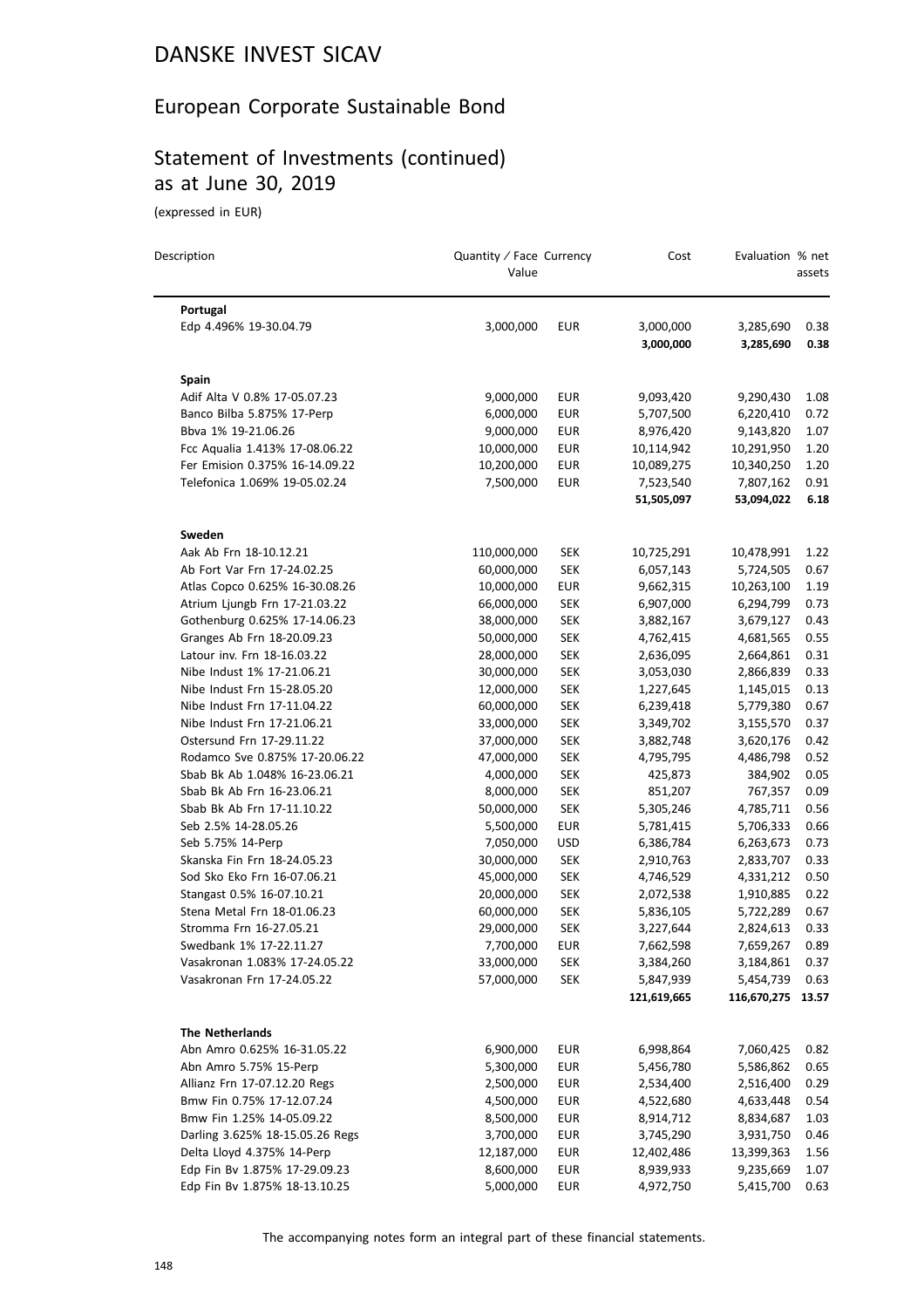## European Corporate Sustainable Bond

# Statement of Investments (continued) as at June 30, 2019

(expressed in EUR)

| Description                                                     | Quantity / Face Currency<br>Value |                          | Cost                    | Evaluation % net        | assets       |
|-----------------------------------------------------------------|-----------------------------------|--------------------------|-------------------------|-------------------------|--------------|
| Portugal                                                        |                                   |                          |                         |                         |              |
| Edp 4.496% 19-30.04.79                                          | 3,000,000                         | <b>EUR</b>               | 3,000,000<br>3,000,000  | 3,285,690<br>3,285,690  | 0.38<br>0.38 |
| Spain                                                           |                                   |                          |                         |                         |              |
| Adif Alta V 0.8% 17-05.07.23                                    | 9,000,000                         | EUR                      | 9,093,420               | 9,290,430               | 1.08         |
| Banco Bilba 5.875% 17-Perp                                      | 6,000,000                         | <b>EUR</b>               | 5,707,500               | 6,220,410               | 0.72         |
| Bbva 1% 19-21.06.26                                             | 9,000,000                         | <b>EUR</b>               | 8,976,420               | 9,143,820               | 1.07         |
| Fcc Aqualia 1.413% 17-08.06.22                                  | 10,000,000                        | <b>EUR</b>               | 10,114,942              | 10,291,950              | 1.20         |
| Fer Emision 0.375% 16-14.09.22                                  | 10,200,000                        | <b>EUR</b>               | 10,089,275              | 10,340,250              | 1.20         |
| Telefonica 1.069% 19-05.02.24                                   | 7,500,000                         | <b>EUR</b>               | 7,523,540<br>51,505,097 | 7,807,162<br>53,094,022 | 0.91<br>6.18 |
|                                                                 |                                   |                          |                         |                         |              |
| Sweden                                                          |                                   |                          |                         |                         |              |
| Aak Ab Frn 18-10.12.21                                          | 110,000,000                       | <b>SEK</b>               | 10,725,291              | 10,478,991              | 1.22         |
| Ab Fort Var Frn 17-24.02.25                                     | 60,000,000                        | <b>SEK</b>               | 6,057,143               | 5,724,505               | 0.67         |
| Atlas Copco 0.625% 16-30.08.26                                  | 10,000,000                        | <b>EUR</b>               | 9,662,315               | 10,263,100              | 1.19         |
| Atrium Ljungb Frn 17-21.03.22                                   | 66,000,000                        | <b>SEK</b>               | 6,907,000               | 6,294,799               | 0.73         |
| Gothenburg 0.625% 17-14.06.23                                   | 38,000,000                        | <b>SEK</b>               | 3,882,167               | 3,679,127               | 0.43         |
| Granges Ab Frn 18-20.09.23                                      | 50,000,000                        | <b>SEK</b>               | 4,762,415               | 4,681,565               | 0.55         |
| Latour inv. Frn 18-16.03.22                                     | 28,000,000                        | <b>SEK</b>               | 2,636,095               | 2,664,861               | 0.31         |
| Nibe Indust 1% 17-21.06.21                                      | 30,000,000                        | <b>SEK</b>               | 3,053,030               | 2,866,839               | 0.33         |
| Nibe Indust Frn 15-28.05.20                                     | 12,000,000                        | <b>SEK</b>               | 1,227,645               | 1,145,015               | 0.13         |
| Nibe Indust Frn 17-11.04.22                                     | 60,000,000                        | <b>SEK</b>               | 6,239,418               | 5,779,380               | 0.67         |
| Nibe Indust Frn 17-21.06.21                                     | 33,000,000                        | <b>SEK</b>               | 3,349,702               | 3,155,570               | 0.37         |
| Ostersund Frn 17-29.11.22                                       | 37,000,000                        | <b>SEK</b>               | 3,882,748               | 3,620,176               | 0.42         |
| Rodamco Sve 0.875% 17-20.06.22<br>Sbab Bk Ab 1.048% 16-23.06.21 | 47,000,000                        | <b>SEK</b><br><b>SEK</b> | 4,795,795<br>425,873    | 4,486,798               | 0.52<br>0.05 |
| Sbab Bk Ab Frn 16-23.06.21                                      | 4,000,000<br>8,000,000            | <b>SEK</b>               | 851,207                 | 384,902<br>767,357      | 0.09         |
| Sbab Bk Ab Frn 17-11.10.22                                      |                                   | <b>SEK</b>               |                         | 4,785,711               | 0.56         |
| Seb 2.5% 14-28.05.26                                            | 50,000,000<br>5,500,000           | EUR                      | 5,305,246<br>5,781,415  | 5,706,333               | 0.66         |
| Seb 5.75% 14-Perp                                               | 7,050,000                         | USD                      | 6,386,784               |                         | 0.73         |
| Skanska Fin Frn 18-24.05.23                                     | 30,000,000                        | <b>SEK</b>               | 2,910,763               | 6,263,673<br>2,833,707  | 0.33         |
| Sod Sko Eko Frn 16-07.06.21                                     | 45,000,000                        | <b>SEK</b>               | 4,746,529               | 4,331,212               | 0.50         |
| Stangast 0.5% 16-07.10.21                                       | 20,000,000                        | <b>SEK</b>               | 2,072,538               | 1,910,885               | 0.22         |
| Stena Metal Frn 18-01.06.23                                     | 60,000,000                        | <b>SEK</b>               | 5,836,105               | 5,722,289               | 0.67         |
| Stromma Frn 16-27.05.21                                         | 29,000,000                        | SEK                      | 3,227,644               | 2,824,613               | 0.33         |
| Swedbank 1% 17-22.11.27                                         | 7,700,000                         | <b>EUR</b>               | 7,662,598               | 7,659,267               | 0.89         |
| Vasakronan 1.083% 17-24.05.22                                   | 33,000,000                        | <b>SEK</b>               | 3,384,260               | 3,184,861               | 0.37         |
| Vasakronan Frn 17-24.05.22                                      | 57,000,000                        | <b>SEK</b>               | 5,847,939               | 5,454,739               | 0.63         |
|                                                                 |                                   |                          | 121,619,665             | 116,670,275             | 13.57        |
| <b>The Netherlands</b>                                          |                                   |                          |                         |                         |              |
| Abn Amro 0.625% 16-31.05.22                                     | 6,900,000                         | <b>EUR</b>               | 6,998,864               | 7,060,425               | 0.82         |
| Abn Amro 5.75% 15-Perp                                          | 5,300,000                         | <b>EUR</b>               | 5,456,780               | 5,586,862               | 0.65         |
| Allianz Frn 17-07.12.20 Regs                                    | 2,500,000                         | <b>EUR</b>               | 2,534,400               | 2,516,400               | 0.29         |
| Bmw Fin 0.75% 17-12.07.24                                       | 4,500,000                         | EUR                      | 4,522,680               | 4,633,448               | 0.54         |
| Bmw Fin 1.25% 14-05.09.22                                       | 8,500,000                         | <b>EUR</b>               | 8,914,712               | 8,834,687               | 1.03         |
| Darling 3.625% 18-15.05.26 Regs                                 | 3,700,000                         | EUR                      | 3,745,290               | 3,931,750               | 0.46         |
| Delta Lloyd 4.375% 14-Perp                                      | 12,187,000                        | <b>EUR</b>               | 12,402,486              | 13,399,363              | 1.56         |
| Edp Fin Bv 1.875% 17-29.09.23                                   | 8,600,000                         | <b>EUR</b>               | 8,939,933               | 9,235,669               | 1.07         |
| Edp Fin Bv 1.875% 18-13.10.25                                   | 5,000,000                         | EUR                      | 4,972,750               | 5,415,700               | 0.63         |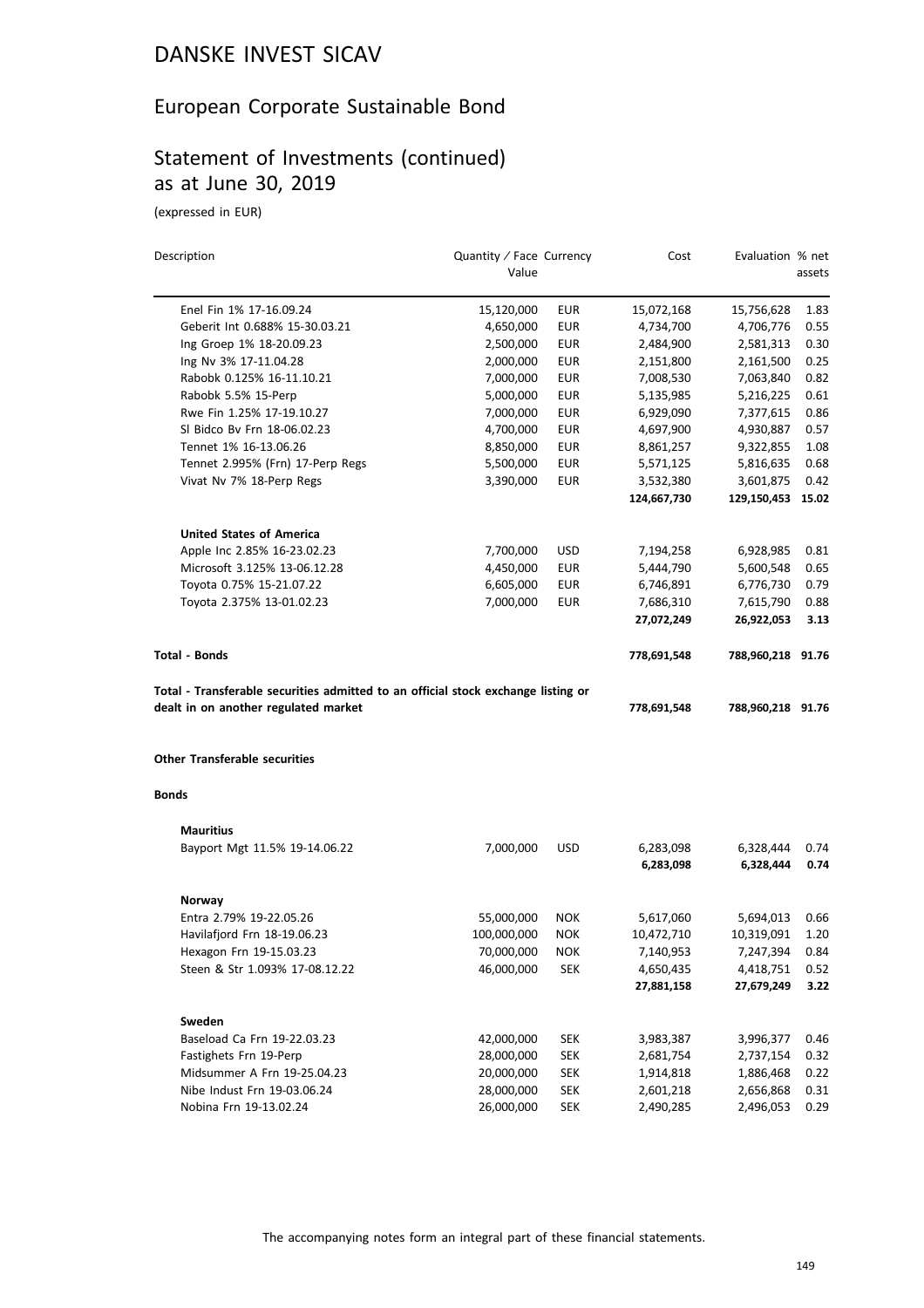### European Corporate Sustainable Bond

### Statement of Investments (continued) as at June 30, 2019

| Description                                                                                                               | Quantity / Face Currency |            | Cost        | Evaluation % net  |        |
|---------------------------------------------------------------------------------------------------------------------------|--------------------------|------------|-------------|-------------------|--------|
|                                                                                                                           | Value                    |            |             |                   | assets |
| Enel Fin 1% 17-16.09.24                                                                                                   | 15,120,000               | <b>EUR</b> | 15,072,168  | 15,756,628        | 1.83   |
| Geberit Int 0.688% 15-30.03.21                                                                                            | 4,650,000                | <b>EUR</b> | 4,734,700   | 4,706,776         | 0.55   |
| Ing Groep 1% 18-20.09.23                                                                                                  | 2,500,000                | <b>EUR</b> | 2,484,900   | 2,581,313         | 0.30   |
| Ing Nv 3% 17-11.04.28                                                                                                     | 2,000,000                | <b>EUR</b> | 2,151,800   | 2,161,500         | 0.25   |
| Rabobk 0.125% 16-11.10.21                                                                                                 | 7,000,000                | EUR        | 7,008,530   | 7,063,840         | 0.82   |
| Rabobk 5.5% 15-Perp                                                                                                       | 5,000,000                | <b>EUR</b> | 5,135,985   | 5,216,225         | 0.61   |
| Rwe Fin 1.25% 17-19.10.27                                                                                                 | 7,000,000                | <b>EUR</b> | 6,929,090   | 7,377,615         | 0.86   |
| SI Bidco By Frn 18-06.02.23                                                                                               | 4,700,000                | EUR        | 4,697,900   | 4,930,887         | 0.57   |
| Tennet 1% 16-13.06.26                                                                                                     | 8,850,000                | EUR        | 8,861,257   | 9,322,855         | 1.08   |
| Tennet 2.995% (Frn) 17-Perp Regs                                                                                          | 5,500,000                | <b>EUR</b> | 5,571,125   | 5,816,635         | 0.68   |
| Vivat Nv 7% 18-Perp Regs                                                                                                  | 3,390,000                | <b>EUR</b> | 3,532,380   | 3,601,875         | 0.42   |
|                                                                                                                           |                          |            | 124,667,730 | 129,150,453       | 15.02  |
| <b>United States of America</b>                                                                                           |                          |            |             |                   |        |
| Apple Inc 2.85% 16-23.02.23                                                                                               | 7,700,000                | USD        | 7,194,258   | 6,928,985         | 0.81   |
| Microsoft 3.125% 13-06.12.28                                                                                              | 4,450,000                | <b>EUR</b> | 5,444,790   | 5,600,548         | 0.65   |
| Toyota 0.75% 15-21.07.22                                                                                                  | 6,605,000                | <b>EUR</b> | 6,746,891   | 6,776,730         | 0.79   |
| Toyota 2.375% 13-01.02.23                                                                                                 | 7,000,000                | <b>EUR</b> | 7,686,310   | 7,615,790         | 0.88   |
|                                                                                                                           |                          |            | 27,072,249  | 26,922,053        | 3.13   |
| Total - Bonds                                                                                                             |                          |            | 778,691,548 | 788,960,218 91.76 |        |
| Total - Transferable securities admitted to an official stock exchange listing or<br>dealt in on another regulated market |                          |            | 778,691,548 | 788,960,218 91.76 |        |
| <b>Other Transferable securities</b>                                                                                      |                          |            |             |                   |        |
| Bonds                                                                                                                     |                          |            |             |                   |        |
| <b>Mauritius</b>                                                                                                          |                          |            |             |                   |        |
| Bayport Mgt 11.5% 19-14.06.22                                                                                             | 7,000,000                | <b>USD</b> | 6,283,098   | 6,328,444         | 0.74   |
|                                                                                                                           |                          |            | 6,283,098   | 6,328,444         | 0.74   |
| Norway                                                                                                                    |                          |            |             |                   |        |
| Entra 2.79% 19-22.05.26                                                                                                   | 55,000,000               | <b>NOK</b> | 5,617,060   | 5,694,013         | 0.66   |
| Havilafjord Frn 18-19.06.23                                                                                               | 100,000,000              | <b>NOK</b> | 10,472,710  | 10,319,091        | 1.20   |
| Hexagon Frn 19-15.03.23                                                                                                   | 70,000,000               | <b>NOK</b> | 7,140,953   | 7,247,394         | 0.84   |
| Steen & Str 1.093% 17-08.12.22                                                                                            | 46,000,000               | <b>SEK</b> | 4,650,435   | 4,418,751         | 0.52   |
|                                                                                                                           |                          |            | 27,881,158  | 27,679,249        | 3.22   |
| Sweden                                                                                                                    |                          |            |             |                   |        |
| Baseload Ca Frn 19-22.03.23                                                                                               | 42,000,000               | <b>SEK</b> | 3,983,387   | 3,996,377         | 0.46   |
| Fastighets Frn 19-Perp                                                                                                    | 28,000,000               | <b>SEK</b> | 2,681,754   | 2,737,154         | 0.32   |
| Midsummer A Frn 19-25.04.23                                                                                               | 20,000,000               | <b>SEK</b> | 1,914,818   | 1,886,468         | 0.22   |
| Nibe Indust Frn 19-03.06.24                                                                                               | 28,000,000               | <b>SEK</b> | 2,601,218   | 2,656,868         | 0.31   |
| Nobina Frn 19-13.02.24                                                                                                    | 26,000,000               | <b>SEK</b> | 2,490,285   | 2,496,053         | 0.29   |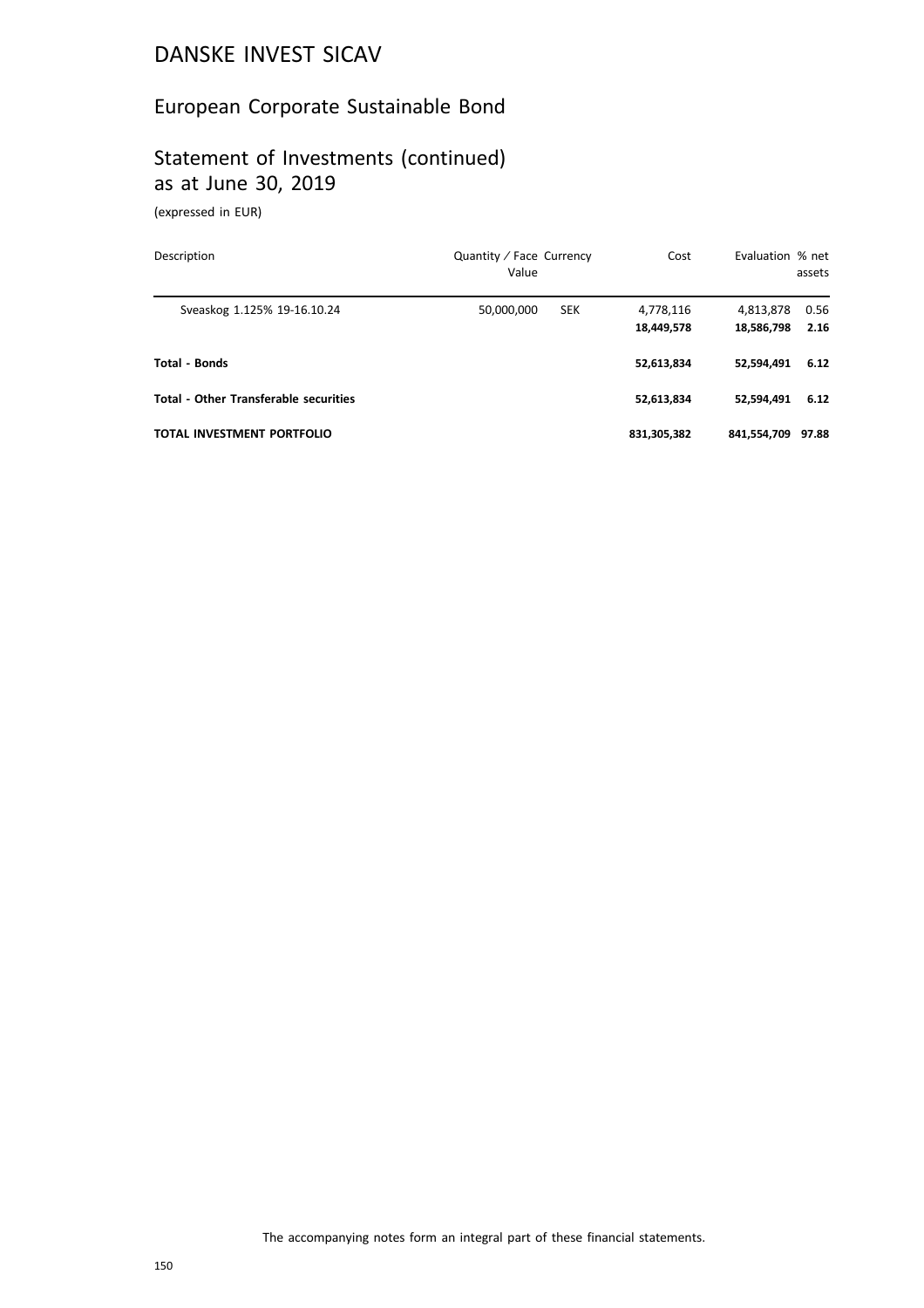### European Corporate Sustainable Bond

# Statement of Investments (continued) as at June 30, 2019

| Description                                  | Quantity / Face Currency<br>Value | Cost                    | Evaluation % net        | assets       |
|----------------------------------------------|-----------------------------------|-------------------------|-------------------------|--------------|
| Sveaskog 1.125% 19-16.10.24                  | <b>SEK</b><br>50,000,000          | 4,778,116<br>18,449,578 | 4,813,878<br>18,586,798 | 0.56<br>2.16 |
| Total - Bonds                                |                                   | 52,613,834              | 52.594.491              | 6.12         |
| <b>Total - Other Transferable securities</b> |                                   | 52,613,834              | 52,594,491              | 6.12         |
| TOTAL INVESTMENT PORTFOLIO                   |                                   | 831,305,382             | 841,554,709             | 97.88        |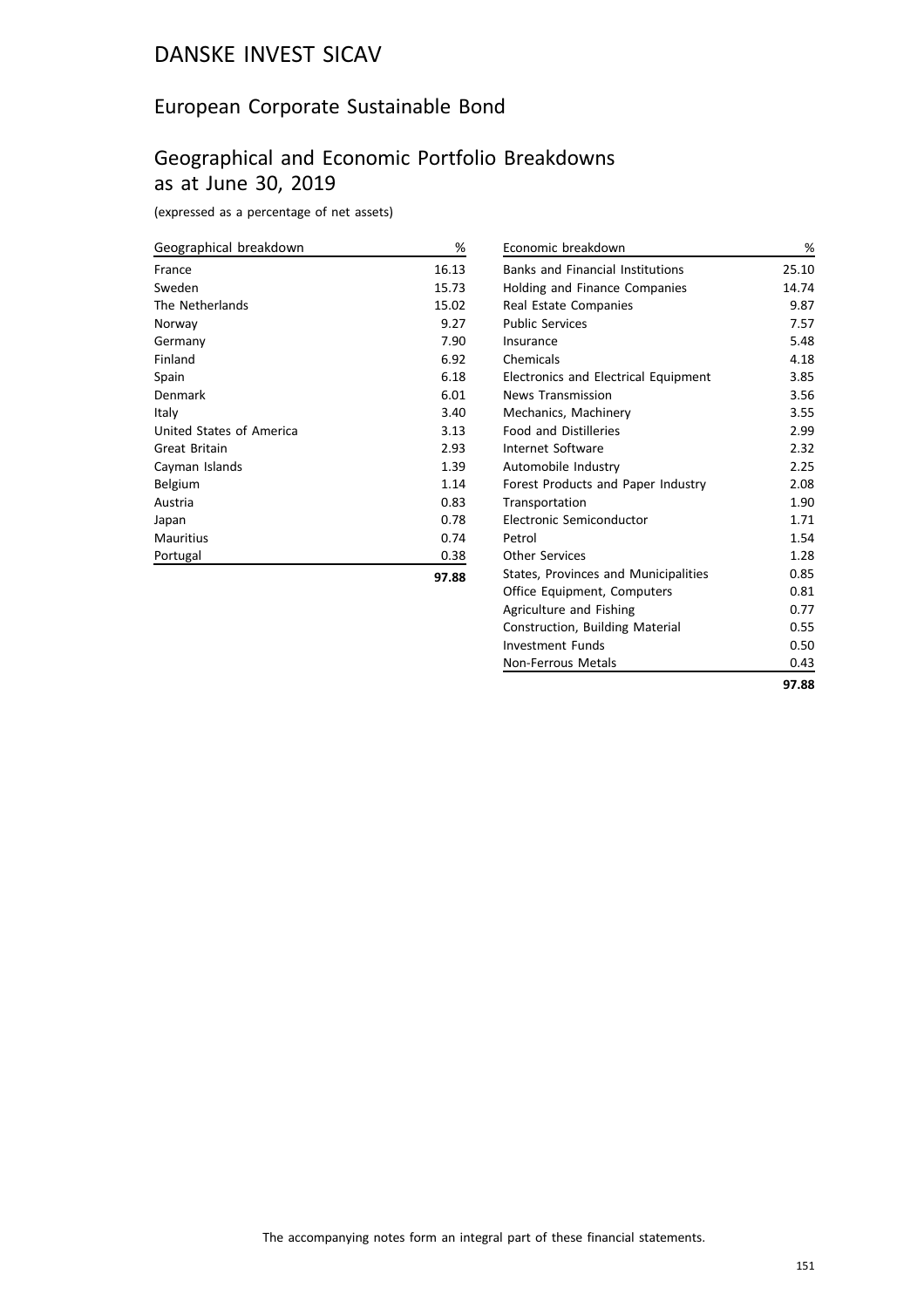### European Corporate Sustainable Bond

### Geographical and Economic Portfolio Breakdowns as at June 30, 2019

(expressed as a percentage of net assets)

| Geographical breakdown   | %     |
|--------------------------|-------|
| France                   | 16.13 |
| Sweden                   | 15.73 |
| The Netherlands          | 15.02 |
| Norway                   | 9.27  |
| Germany                  | 7.90  |
| Finland                  | 6.92  |
| Spain                    | 6.18  |
| Denmark                  | 6.01  |
| Italy                    | 3.40  |
| United States of America | 3.13  |
| <b>Great Britain</b>     | 2.93  |
| Cayman Islands           | 1.39  |
| Belgium                  | 1.14  |
| Austria                  | 0.83  |
| Japan                    | 0.78  |
| <b>Mauritius</b>         | 0.74  |
| Portugal                 | 0.38  |
|                          | 97.88 |

| Economic breakdown                      | %     |
|-----------------------------------------|-------|
| <b>Banks and Financial Institutions</b> | 25.10 |
| <b>Holding and Finance Companies</b>    | 14.74 |
| Real Estate Companies                   | 9.87  |
| <b>Public Services</b>                  | 7.57  |
| Insurance                               | 5.48  |
| Chemicals                               | 4.18  |
| Electronics and Electrical Equipment    | 3.85  |
| <b>News Transmission</b>                | 3.56  |
| Mechanics, Machinery                    | 3.55  |
| <b>Food and Distilleries</b>            | 2.99  |
| Internet Software                       | 2.32  |
| Automobile Industry                     | 2.25  |
| Forest Products and Paper Industry      | 2.08  |
| Transportation                          | 1.90  |
| Electronic Semiconductor                | 1.71  |
| Petrol                                  | 1.54  |
| Other Services                          | 1.28  |
| States, Provinces and Municipalities    | 0.85  |
| Office Equipment, Computers             | 0.81  |
| Agriculture and Fishing                 | 0.77  |
| <b>Construction, Building Material</b>  | 0.55  |
| Investment Funds                        | 0.50  |
| Non-Ferrous Metals                      | 0.43  |
|                                         | 97.88 |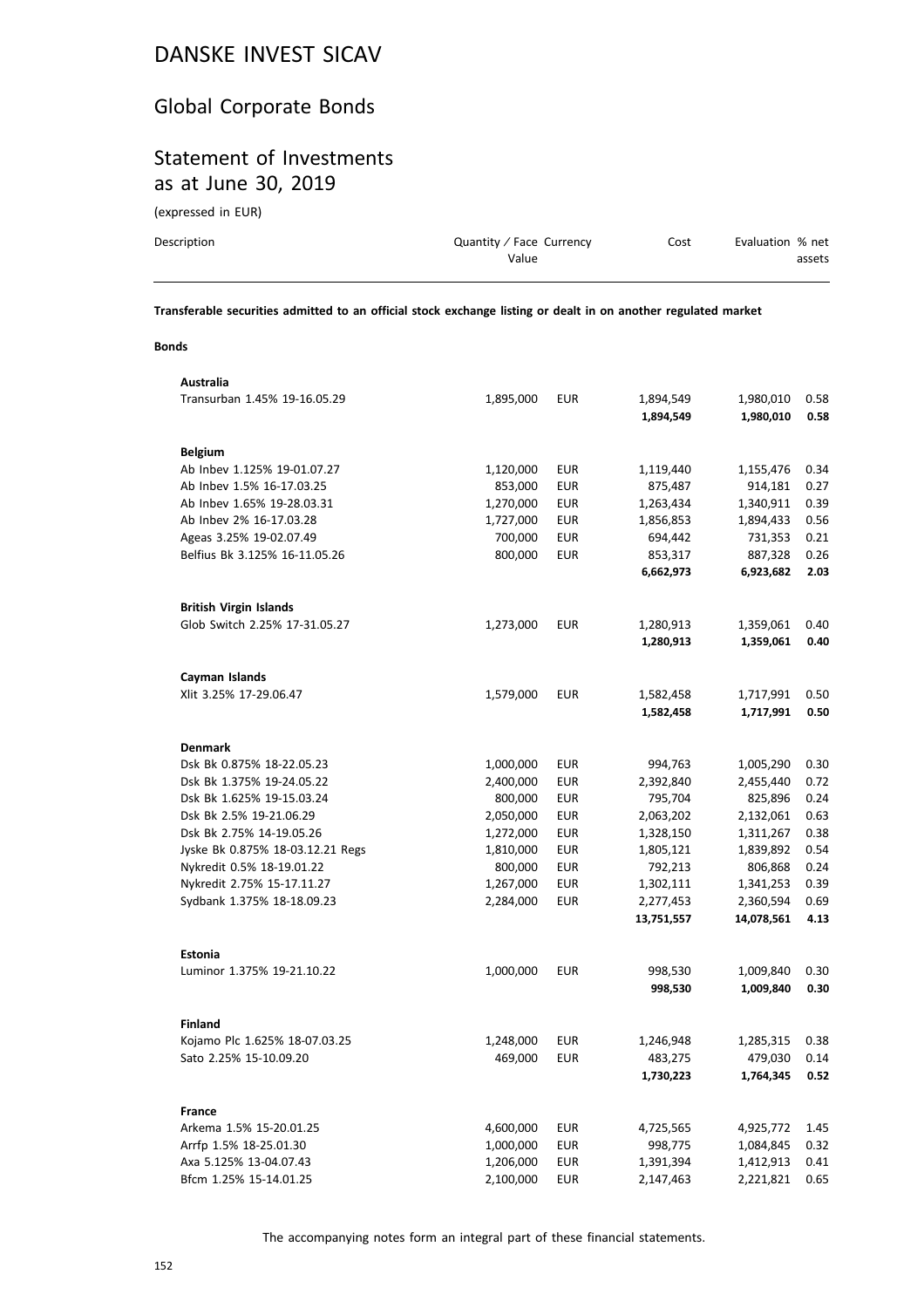### Global Corporate Bonds

### Statement of Investments as at June 30, 2019

(expressed in EUR)

| Description | Quantity / Face Currency | Cost | Evaluation % net |
|-------------|--------------------------|------|------------------|
|             | Value                    |      | assets           |
|             |                          |      |                  |

**Transferable securities admitted to an official stock exchange listing or dealt in on another regulated market**

### **Bonds**

| Transurban 1.45% 19-16.05.29<br>1,895,000<br><b>EUR</b><br>1,894,549<br>1,980,010<br>0.58<br>1,894,549<br>1,980,010<br>0.58<br><b>Belgium</b><br>Ab Inbev 1.125% 19-01.07.27<br>1,120,000<br><b>EUR</b><br>1,119,440<br>1,155,476<br>0.34<br>Ab Inbev 1.5% 16-17.03.25<br>853,000<br><b>EUR</b><br>0.27<br>875,487<br>914,181<br><b>EUR</b><br>Ab Inbev 1.65% 19-28.03.31<br>1,270,000<br>1,263,434<br>1,340,911<br>0.39<br>Ab Inbev 2% 16-17.03.28<br>1,727,000<br><b>EUR</b><br>1,856,853<br>1,894,433<br>0.56<br>Ageas 3.25% 19-02.07.49<br>700,000<br><b>EUR</b><br>0.21<br>694,442<br>731,353<br>Belfius Bk 3.125% 16-11.05.26<br>800,000<br><b>EUR</b><br>853,317<br>887,328<br>0.26<br>6,662,973<br>6,923,682<br>2.03<br><b>British Virgin Islands</b><br>Glob Switch 2.25% 17-31.05.27<br>1,273,000<br><b>EUR</b><br>1,359,061<br>0.40<br>1,280,913<br>1,280,913<br>1,359,061<br>0.40<br>Cayman Islands<br>Xlit 3.25% 17-29.06.47<br><b>EUR</b><br>1,579,000<br>1,717,991<br>0.50<br>1,582,458<br>1,717,991<br>0.50<br>1,582,458<br><b>Denmark</b><br>Dsk Bk 0.875% 18-22.05.23<br>1,000,000<br>EUR<br>994,763<br>1,005,290<br>0.30<br>Dsk Bk 1.375% 19-24.05.22<br>2,400,000<br>EUR<br>2,392,840<br>2,455,440<br>0.72<br>795,704<br>0.24<br>Dsk Bk 1.625% 19-15.03.24<br>800,000<br>EUR<br>825,896<br><b>EUR</b><br>2,063,202<br>0.63<br>Dsk Bk 2.5% 19-21.06.29<br>2,050,000<br>2,132,061<br><b>EUR</b><br>0.38<br>Dsk Bk 2.75% 14-19.05.26<br>1,272,000<br>1,328,150<br>1,311,267<br><b>EUR</b><br>0.54<br>Jyske Bk 0.875% 18-03.12.21 Regs<br>1,810,000<br>1,805,121<br>1,839,892<br>Nykredit 0.5% 18-19.01.22<br><b>EUR</b><br>792,213<br>800,000<br>806,868<br>0.24<br>Nykredit 2.75% 15-17.11.27<br>1,267,000<br><b>EUR</b><br>1,302,111<br>1,341,253<br>0.39<br><b>EUR</b><br>Sydbank 1.375% 18-18.09.23<br>2,284,000<br>2,277,453<br>2,360,594<br>0.69<br>14,078,561<br>4.13<br>13,751,557<br><b>Estonia</b><br>Luminor 1.375% 19-21.10.22<br>1,000,000<br><b>EUR</b><br>998,530<br>1,009,840<br>0.30<br>998,530<br>0.30<br>1,009,840 |
|--------------------------------------------------------------------------------------------------------------------------------------------------------------------------------------------------------------------------------------------------------------------------------------------------------------------------------------------------------------------------------------------------------------------------------------------------------------------------------------------------------------------------------------------------------------------------------------------------------------------------------------------------------------------------------------------------------------------------------------------------------------------------------------------------------------------------------------------------------------------------------------------------------------------------------------------------------------------------------------------------------------------------------------------------------------------------------------------------------------------------------------------------------------------------------------------------------------------------------------------------------------------------------------------------------------------------------------------------------------------------------------------------------------------------------------------------------------------------------------------------------------------------------------------------------------------------------------------------------------------------------------------------------------------------------------------------------------------------------------------------------------------------------------------------------------------------------------------------------------------------------------------------------------------------------------------------------------------------------------------------------------------------------------------------------|
|                                                                                                                                                                                                                                                                                                                                                                                                                                                                                                                                                                                                                                                                                                                                                                                                                                                                                                                                                                                                                                                                                                                                                                                                                                                                                                                                                                                                                                                                                                                                                                                                                                                                                                                                                                                                                                                                                                                                                                                                                                                        |
|                                                                                                                                                                                                                                                                                                                                                                                                                                                                                                                                                                                                                                                                                                                                                                                                                                                                                                                                                                                                                                                                                                                                                                                                                                                                                                                                                                                                                                                                                                                                                                                                                                                                                                                                                                                                                                                                                                                                                                                                                                                        |
|                                                                                                                                                                                                                                                                                                                                                                                                                                                                                                                                                                                                                                                                                                                                                                                                                                                                                                                                                                                                                                                                                                                                                                                                                                                                                                                                                                                                                                                                                                                                                                                                                                                                                                                                                                                                                                                                                                                                                                                                                                                        |
|                                                                                                                                                                                                                                                                                                                                                                                                                                                                                                                                                                                                                                                                                                                                                                                                                                                                                                                                                                                                                                                                                                                                                                                                                                                                                                                                                                                                                                                                                                                                                                                                                                                                                                                                                                                                                                                                                                                                                                                                                                                        |
|                                                                                                                                                                                                                                                                                                                                                                                                                                                                                                                                                                                                                                                                                                                                                                                                                                                                                                                                                                                                                                                                                                                                                                                                                                                                                                                                                                                                                                                                                                                                                                                                                                                                                                                                                                                                                                                                                                                                                                                                                                                        |
|                                                                                                                                                                                                                                                                                                                                                                                                                                                                                                                                                                                                                                                                                                                                                                                                                                                                                                                                                                                                                                                                                                                                                                                                                                                                                                                                                                                                                                                                                                                                                                                                                                                                                                                                                                                                                                                                                                                                                                                                                                                        |
|                                                                                                                                                                                                                                                                                                                                                                                                                                                                                                                                                                                                                                                                                                                                                                                                                                                                                                                                                                                                                                                                                                                                                                                                                                                                                                                                                                                                                                                                                                                                                                                                                                                                                                                                                                                                                                                                                                                                                                                                                                                        |
|                                                                                                                                                                                                                                                                                                                                                                                                                                                                                                                                                                                                                                                                                                                                                                                                                                                                                                                                                                                                                                                                                                                                                                                                                                                                                                                                                                                                                                                                                                                                                                                                                                                                                                                                                                                                                                                                                                                                                                                                                                                        |
|                                                                                                                                                                                                                                                                                                                                                                                                                                                                                                                                                                                                                                                                                                                                                                                                                                                                                                                                                                                                                                                                                                                                                                                                                                                                                                                                                                                                                                                                                                                                                                                                                                                                                                                                                                                                                                                                                                                                                                                                                                                        |
|                                                                                                                                                                                                                                                                                                                                                                                                                                                                                                                                                                                                                                                                                                                                                                                                                                                                                                                                                                                                                                                                                                                                                                                                                                                                                                                                                                                                                                                                                                                                                                                                                                                                                                                                                                                                                                                                                                                                                                                                                                                        |
|                                                                                                                                                                                                                                                                                                                                                                                                                                                                                                                                                                                                                                                                                                                                                                                                                                                                                                                                                                                                                                                                                                                                                                                                                                                                                                                                                                                                                                                                                                                                                                                                                                                                                                                                                                                                                                                                                                                                                                                                                                                        |
|                                                                                                                                                                                                                                                                                                                                                                                                                                                                                                                                                                                                                                                                                                                                                                                                                                                                                                                                                                                                                                                                                                                                                                                                                                                                                                                                                                                                                                                                                                                                                                                                                                                                                                                                                                                                                                                                                                                                                                                                                                                        |
|                                                                                                                                                                                                                                                                                                                                                                                                                                                                                                                                                                                                                                                                                                                                                                                                                                                                                                                                                                                                                                                                                                                                                                                                                                                                                                                                                                                                                                                                                                                                                                                                                                                                                                                                                                                                                                                                                                                                                                                                                                                        |
|                                                                                                                                                                                                                                                                                                                                                                                                                                                                                                                                                                                                                                                                                                                                                                                                                                                                                                                                                                                                                                                                                                                                                                                                                                                                                                                                                                                                                                                                                                                                                                                                                                                                                                                                                                                                                                                                                                                                                                                                                                                        |
|                                                                                                                                                                                                                                                                                                                                                                                                                                                                                                                                                                                                                                                                                                                                                                                                                                                                                                                                                                                                                                                                                                                                                                                                                                                                                                                                                                                                                                                                                                                                                                                                                                                                                                                                                                                                                                                                                                                                                                                                                                                        |
|                                                                                                                                                                                                                                                                                                                                                                                                                                                                                                                                                                                                                                                                                                                                                                                                                                                                                                                                                                                                                                                                                                                                                                                                                                                                                                                                                                                                                                                                                                                                                                                                                                                                                                                                                                                                                                                                                                                                                                                                                                                        |
|                                                                                                                                                                                                                                                                                                                                                                                                                                                                                                                                                                                                                                                                                                                                                                                                                                                                                                                                                                                                                                                                                                                                                                                                                                                                                                                                                                                                                                                                                                                                                                                                                                                                                                                                                                                                                                                                                                                                                                                                                                                        |
|                                                                                                                                                                                                                                                                                                                                                                                                                                                                                                                                                                                                                                                                                                                                                                                                                                                                                                                                                                                                                                                                                                                                                                                                                                                                                                                                                                                                                                                                                                                                                                                                                                                                                                                                                                                                                                                                                                                                                                                                                                                        |
|                                                                                                                                                                                                                                                                                                                                                                                                                                                                                                                                                                                                                                                                                                                                                                                                                                                                                                                                                                                                                                                                                                                                                                                                                                                                                                                                                                                                                                                                                                                                                                                                                                                                                                                                                                                                                                                                                                                                                                                                                                                        |
|                                                                                                                                                                                                                                                                                                                                                                                                                                                                                                                                                                                                                                                                                                                                                                                                                                                                                                                                                                                                                                                                                                                                                                                                                                                                                                                                                                                                                                                                                                                                                                                                                                                                                                                                                                                                                                                                                                                                                                                                                                                        |
|                                                                                                                                                                                                                                                                                                                                                                                                                                                                                                                                                                                                                                                                                                                                                                                                                                                                                                                                                                                                                                                                                                                                                                                                                                                                                                                                                                                                                                                                                                                                                                                                                                                                                                                                                                                                                                                                                                                                                                                                                                                        |
|                                                                                                                                                                                                                                                                                                                                                                                                                                                                                                                                                                                                                                                                                                                                                                                                                                                                                                                                                                                                                                                                                                                                                                                                                                                                                                                                                                                                                                                                                                                                                                                                                                                                                                                                                                                                                                                                                                                                                                                                                                                        |
|                                                                                                                                                                                                                                                                                                                                                                                                                                                                                                                                                                                                                                                                                                                                                                                                                                                                                                                                                                                                                                                                                                                                                                                                                                                                                                                                                                                                                                                                                                                                                                                                                                                                                                                                                                                                                                                                                                                                                                                                                                                        |
|                                                                                                                                                                                                                                                                                                                                                                                                                                                                                                                                                                                                                                                                                                                                                                                                                                                                                                                                                                                                                                                                                                                                                                                                                                                                                                                                                                                                                                                                                                                                                                                                                                                                                                                                                                                                                                                                                                                                                                                                                                                        |
|                                                                                                                                                                                                                                                                                                                                                                                                                                                                                                                                                                                                                                                                                                                                                                                                                                                                                                                                                                                                                                                                                                                                                                                                                                                                                                                                                                                                                                                                                                                                                                                                                                                                                                                                                                                                                                                                                                                                                                                                                                                        |
|                                                                                                                                                                                                                                                                                                                                                                                                                                                                                                                                                                                                                                                                                                                                                                                                                                                                                                                                                                                                                                                                                                                                                                                                                                                                                                                                                                                                                                                                                                                                                                                                                                                                                                                                                                                                                                                                                                                                                                                                                                                        |
|                                                                                                                                                                                                                                                                                                                                                                                                                                                                                                                                                                                                                                                                                                                                                                                                                                                                                                                                                                                                                                                                                                                                                                                                                                                                                                                                                                                                                                                                                                                                                                                                                                                                                                                                                                                                                                                                                                                                                                                                                                                        |
|                                                                                                                                                                                                                                                                                                                                                                                                                                                                                                                                                                                                                                                                                                                                                                                                                                                                                                                                                                                                                                                                                                                                                                                                                                                                                                                                                                                                                                                                                                                                                                                                                                                                                                                                                                                                                                                                                                                                                                                                                                                        |
|                                                                                                                                                                                                                                                                                                                                                                                                                                                                                                                                                                                                                                                                                                                                                                                                                                                                                                                                                                                                                                                                                                                                                                                                                                                                                                                                                                                                                                                                                                                                                                                                                                                                                                                                                                                                                                                                                                                                                                                                                                                        |
|                                                                                                                                                                                                                                                                                                                                                                                                                                                                                                                                                                                                                                                                                                                                                                                                                                                                                                                                                                                                                                                                                                                                                                                                                                                                                                                                                                                                                                                                                                                                                                                                                                                                                                                                                                                                                                                                                                                                                                                                                                                        |
|                                                                                                                                                                                                                                                                                                                                                                                                                                                                                                                                                                                                                                                                                                                                                                                                                                                                                                                                                                                                                                                                                                                                                                                                                                                                                                                                                                                                                                                                                                                                                                                                                                                                                                                                                                                                                                                                                                                                                                                                                                                        |
|                                                                                                                                                                                                                                                                                                                                                                                                                                                                                                                                                                                                                                                                                                                                                                                                                                                                                                                                                                                                                                                                                                                                                                                                                                                                                                                                                                                                                                                                                                                                                                                                                                                                                                                                                                                                                                                                                                                                                                                                                                                        |
|                                                                                                                                                                                                                                                                                                                                                                                                                                                                                                                                                                                                                                                                                                                                                                                                                                                                                                                                                                                                                                                                                                                                                                                                                                                                                                                                                                                                                                                                                                                                                                                                                                                                                                                                                                                                                                                                                                                                                                                                                                                        |
|                                                                                                                                                                                                                                                                                                                                                                                                                                                                                                                                                                                                                                                                                                                                                                                                                                                                                                                                                                                                                                                                                                                                                                                                                                                                                                                                                                                                                                                                                                                                                                                                                                                                                                                                                                                                                                                                                                                                                                                                                                                        |
| <b>Finland</b>                                                                                                                                                                                                                                                                                                                                                                                                                                                                                                                                                                                                                                                                                                                                                                                                                                                                                                                                                                                                                                                                                                                                                                                                                                                                                                                                                                                                                                                                                                                                                                                                                                                                                                                                                                                                                                                                                                                                                                                                                                         |
| Kojamo Plc 1.625% 18-07.03.25<br>1,248,000<br><b>EUR</b><br>1,285,315<br>0.38<br>1,246,948                                                                                                                                                                                                                                                                                                                                                                                                                                                                                                                                                                                                                                                                                                                                                                                                                                                                                                                                                                                                                                                                                                                                                                                                                                                                                                                                                                                                                                                                                                                                                                                                                                                                                                                                                                                                                                                                                                                                                             |
| <b>EUR</b><br>Sato 2.25% 15-10.09.20<br>469,000<br>483,275<br>479,030<br>0.14                                                                                                                                                                                                                                                                                                                                                                                                                                                                                                                                                                                                                                                                                                                                                                                                                                                                                                                                                                                                                                                                                                                                                                                                                                                                                                                                                                                                                                                                                                                                                                                                                                                                                                                                                                                                                                                                                                                                                                          |
| 1,730,223<br>1,764,345<br>0.52                                                                                                                                                                                                                                                                                                                                                                                                                                                                                                                                                                                                                                                                                                                                                                                                                                                                                                                                                                                                                                                                                                                                                                                                                                                                                                                                                                                                                                                                                                                                                                                                                                                                                                                                                                                                                                                                                                                                                                                                                         |
| <b>France</b>                                                                                                                                                                                                                                                                                                                                                                                                                                                                                                                                                                                                                                                                                                                                                                                                                                                                                                                                                                                                                                                                                                                                                                                                                                                                                                                                                                                                                                                                                                                                                                                                                                                                                                                                                                                                                                                                                                                                                                                                                                          |
| <b>EUR</b><br>Arkema 1.5% 15-20.01.25<br>4,600,000<br>4,725,565<br>4,925,772<br>1.45                                                                                                                                                                                                                                                                                                                                                                                                                                                                                                                                                                                                                                                                                                                                                                                                                                                                                                                                                                                                                                                                                                                                                                                                                                                                                                                                                                                                                                                                                                                                                                                                                                                                                                                                                                                                                                                                                                                                                                   |
| Arrfp 1.5% 18-25.01.30<br><b>EUR</b><br>998,775<br>0.32<br>1,000,000<br>1,084,845                                                                                                                                                                                                                                                                                                                                                                                                                                                                                                                                                                                                                                                                                                                                                                                                                                                                                                                                                                                                                                                                                                                                                                                                                                                                                                                                                                                                                                                                                                                                                                                                                                                                                                                                                                                                                                                                                                                                                                      |
| Axa 5.125% 13-04.07.43<br>1,206,000<br><b>EUR</b><br>0.41<br>1,391,394<br>1,412,913                                                                                                                                                                                                                                                                                                                                                                                                                                                                                                                                                                                                                                                                                                                                                                                                                                                                                                                                                                                                                                                                                                                                                                                                                                                                                                                                                                                                                                                                                                                                                                                                                                                                                                                                                                                                                                                                                                                                                                    |
| Bfcm 1.25% 15-14.01.25<br>2,100,000<br><b>EUR</b><br>2,221,821<br>0.65<br>2,147,463                                                                                                                                                                                                                                                                                                                                                                                                                                                                                                                                                                                                                                                                                                                                                                                                                                                                                                                                                                                                                                                                                                                                                                                                                                                                                                                                                                                                                                                                                                                                                                                                                                                                                                                                                                                                                                                                                                                                                                    |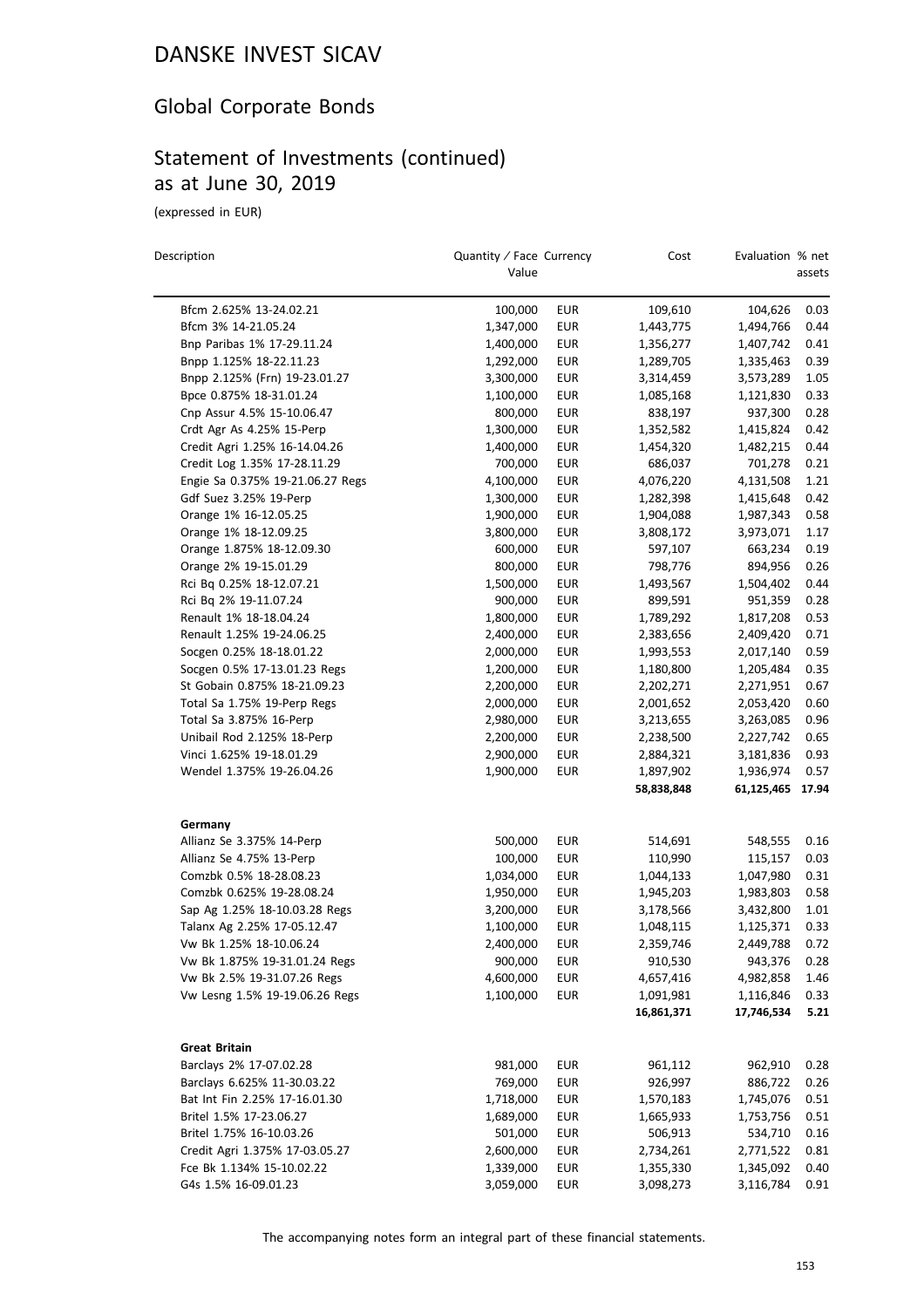### Global Corporate Bonds

### Statement of Investments (continued) as at June 30, 2019

(expressed in EUR)

 $\overline{\phantom{0}}$ 

| Description                      | Quantity / Face Currency<br>Value |            | Cost       | Evaluation % net | assets |
|----------------------------------|-----------------------------------|------------|------------|------------------|--------|
| Bfcm 2.625% 13-24.02.21          | 100,000                           | <b>EUR</b> | 109,610    | 104,626          | 0.03   |
| Bfcm 3% 14-21.05.24              | 1,347,000                         | <b>EUR</b> | 1,443,775  | 1,494,766        | 0.44   |
| Bnp Paribas 1% 17-29.11.24       | 1,400,000                         | <b>EUR</b> | 1,356,277  | 1,407,742        | 0.41   |
| Bnpp 1.125% 18-22.11.23          | 1,292,000                         | <b>EUR</b> | 1,289,705  | 1,335,463        | 0.39   |
| Bnpp 2.125% (Frn) 19-23.01.27    | 3,300,000                         | EUR        | 3,314,459  | 3,573,289        | 1.05   |
| Bpce 0.875% 18-31.01.24          | 1,100,000                         | <b>EUR</b> | 1,085,168  | 1,121,830        | 0.33   |
| Cnp Assur 4.5% 15-10.06.47       | 800,000                           | <b>EUR</b> | 838,197    | 937,300          | 0.28   |
| Crdt Agr As 4.25% 15-Perp        | 1,300,000                         | EUR        | 1,352,582  | 1,415,824        | 0.42   |
| Credit Agri 1.25% 16-14.04.26    | 1,400,000                         | EUR        | 1,454,320  | 1,482,215        | 0.44   |
| Credit Log 1.35% 17-28.11.29     | 700,000                           | <b>EUR</b> | 686,037    | 701,278          | 0.21   |
| Engie Sa 0.375% 19-21.06.27 Regs | 4,100,000                         | <b>EUR</b> | 4,076,220  | 4,131,508        | 1.21   |
| Gdf Suez 3.25% 19-Perp           | 1,300,000                         | <b>EUR</b> | 1,282,398  | 1,415,648        | 0.42   |
| Orange 1% 16-12.05.25            | 1,900,000                         | <b>EUR</b> | 1,904,088  | 1,987,343        | 0.58   |
| Orange 1% 18-12.09.25            | 3,800,000                         | <b>EUR</b> | 3,808,172  | 3,973,071        | 1.17   |
| Orange 1.875% 18-12.09.30        | 600,000                           | <b>EUR</b> | 597,107    | 663,234          | 0.19   |
| Orange 2% 19-15.01.29            | 800,000                           | <b>EUR</b> | 798,776    | 894,956          | 0.26   |
| Rci Bq 0.25% 18-12.07.21         | 1,500,000                         | <b>EUR</b> | 1,493,567  | 1,504,402        | 0.44   |
| Rci Bq 2% 19-11.07.24            | 900,000                           | <b>EUR</b> | 899,591    | 951,359          | 0.28   |
| Renault 1% 18-18.04.24           | 1,800,000                         | <b>EUR</b> | 1,789,292  | 1,817,208        | 0.53   |
| Renault 1.25% 19-24.06.25        | 2,400,000                         | <b>EUR</b> | 2,383,656  | 2,409,420        | 0.71   |
| Socgen 0.25% 18-18.01.22         | 2,000,000                         | <b>EUR</b> | 1,993,553  | 2,017,140        | 0.59   |
| Socgen 0.5% 17-13.01.23 Regs     | 1,200,000                         | <b>EUR</b> | 1,180,800  | 1,205,484        | 0.35   |
| St Gobain 0.875% 18-21.09.23     | 2,200,000                         | EUR        | 2,202,271  | 2,271,951        | 0.67   |
| Total Sa 1.75% 19-Perp Regs      | 2,000,000                         | <b>EUR</b> | 2,001,652  | 2,053,420        | 0.60   |
| Total Sa 3.875% 16-Perp          | 2,980,000                         | <b>EUR</b> | 3,213,655  | 3,263,085        | 0.96   |
| Unibail Rod 2.125% 18-Perp       | 2,200,000                         | <b>EUR</b> | 2,238,500  | 2,227,742        | 0.65   |
| Vinci 1.625% 19-18.01.29         | 2,900,000                         | <b>EUR</b> | 2,884,321  | 3,181,836        | 0.93   |
| Wendel 1.375% 19-26.04.26        | 1,900,000                         | <b>EUR</b> | 1,897,902  | 1,936,974        | 0.57   |
|                                  |                                   |            | 58,838,848 | 61,125,465       | 17.94  |
| Germany                          |                                   |            |            |                  |        |
| Allianz Se 3.375% 14-Perp        | 500,000                           | EUR        | 514,691    | 548,555          | 0.16   |
| Allianz Se 4.75% 13-Perp         | 100,000                           | <b>EUR</b> | 110,990    | 115,157          | 0.03   |
| Comzbk 0.5% 18-28.08.23          | 1,034,000                         | EUR        | 1,044,133  | 1,047,980        | 0.31   |
| Comzbk 0.625% 19-28.08.24        | 1,950,000                         | <b>EUR</b> | 1,945,203  | 1,983,803        | 0.58   |
| Sap Ag 1.25% 18-10.03.28 Regs    | 3,200,000                         | <b>EUR</b> | 3,178,566  | 3,432,800        | 1.01   |
| Talanx Ag 2.25% 17-05.12.47      | 1,100,000                         | <b>EUR</b> | 1,048,115  | 1,125,371        | 0.33   |
| Vw Bk 1.25% 18-10.06.24          | 2,400,000                         | <b>EUR</b> | 2,359,746  | 2,449,788        | 0.72   |
| Vw Bk 1.875% 19-31.01.24 Regs    | 900,000                           | EUR        | 910,530    | 943,376          | 0.28   |
| Vw Bk 2.5% 19-31.07.26 Regs      | 4,600,000                         | <b>EUR</b> | 4,657,416  | 4,982,858        | 1.46   |
| Vw Lesng 1.5% 19-19.06.26 Regs   | 1,100,000                         | <b>EUR</b> | 1,091,981  | 1,116,846        | 0.33   |
|                                  |                                   |            | 16,861,371 | 17,746,534       | 5.21   |
| <b>Great Britain</b>             |                                   |            |            |                  |        |
| Barclays 2% 17-07.02.28          | 981,000                           | EUR        | 961,112    | 962,910          | 0.28   |
| Barclays 6.625% 11-30.03.22      | 769,000                           | EUR        | 926,997    | 886,722          | 0.26   |
| Bat Int Fin 2.25% 17-16.01.30    | 1,718,000                         | <b>EUR</b> | 1,570,183  | 1,745,076        | 0.51   |
| Britel 1.5% 17-23.06.27          | 1,689,000                         | <b>EUR</b> | 1,665,933  | 1,753,756        | 0.51   |
| Britel 1.75% 16-10.03.26         | 501,000                           | <b>EUR</b> | 506,913    | 534,710          | 0.16   |
| Credit Agri 1.375% 17-03.05.27   | 2,600,000                         | <b>EUR</b> | 2,734,261  | 2,771,522        | 0.81   |
| Fce Bk 1.134% 15-10.02.22        | 1,339,000                         | <b>EUR</b> | 1,355,330  | 1,345,092        | 0.40   |
| G4s 1.5% 16-09.01.23             | 3,059,000                         | <b>EUR</b> | 3,098,273  | 3,116,784        | 0.91   |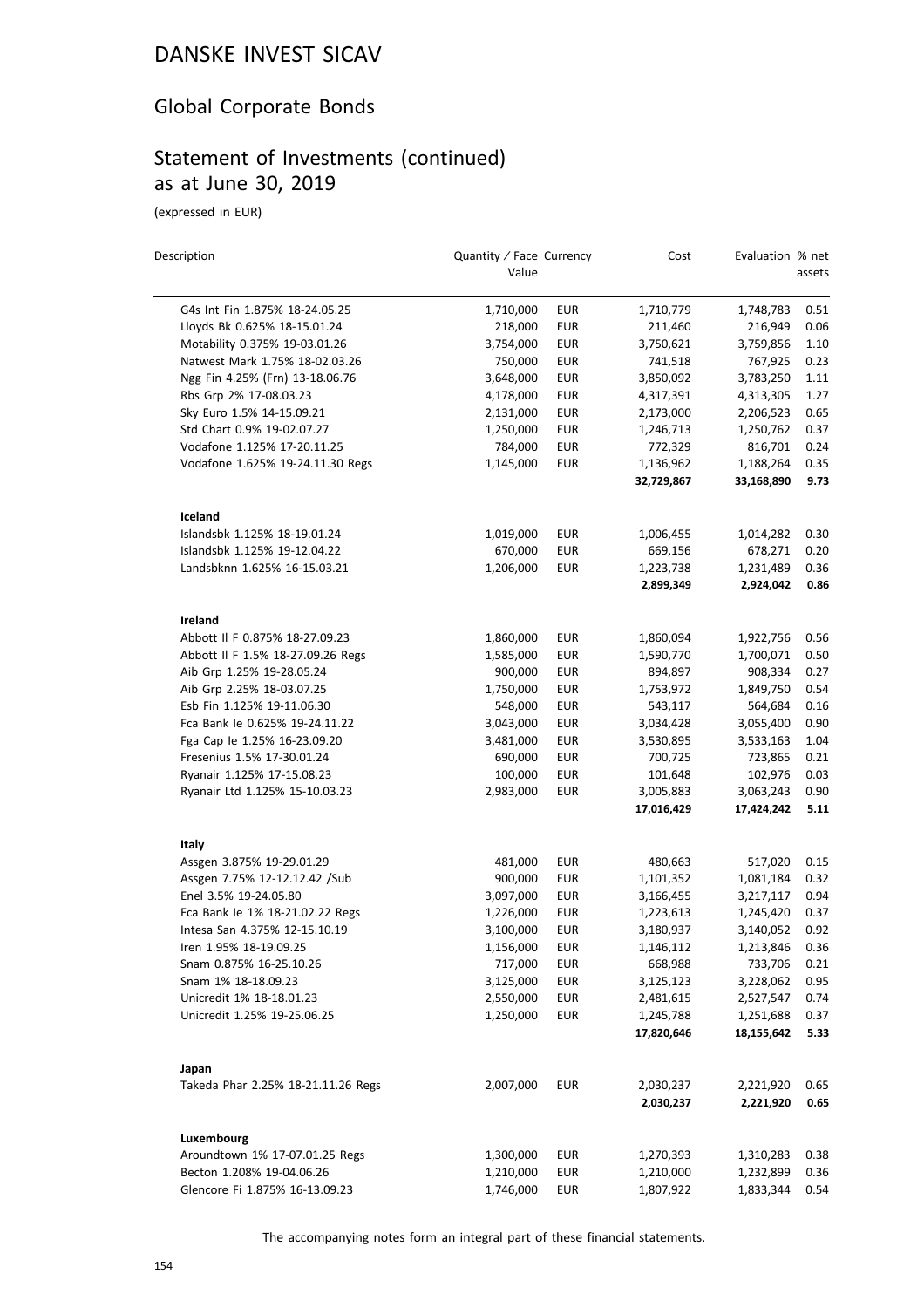### Global Corporate Bonds

# Statement of Investments (continued) as at June 30, 2019

(expressed in EUR)

| Description                        | Quantity / Face Currency<br>Value |            | Cost       | Evaluation % net | assets |
|------------------------------------|-----------------------------------|------------|------------|------------------|--------|
| G4s Int Fin 1.875% 18-24.05.25     | 1,710,000                         | EUR        | 1,710,779  | 1,748,783        | 0.51   |
| Lloyds Bk 0.625% 18-15.01.24       | 218,000                           | <b>EUR</b> | 211,460    | 216,949          | 0.06   |
| Motability 0.375% 19-03.01.26      | 3,754,000                         | <b>EUR</b> | 3,750,621  | 3,759,856        | 1.10   |
| Natwest Mark 1.75% 18-02.03.26     | 750,000                           | <b>EUR</b> | 741,518    | 767,925          | 0.23   |
| Ngg Fin 4.25% (Frn) 13-18.06.76    | 3,648,000                         | EUR        | 3,850,092  | 3,783,250        | 1.11   |
| Rbs Grp 2% 17-08.03.23             | 4,178,000                         | <b>EUR</b> | 4,317,391  | 4,313,305        | 1.27   |
| Sky Euro 1.5% 14-15.09.21          | 2,131,000                         | <b>EUR</b> | 2,173,000  | 2,206,523        | 0.65   |
| Std Chart 0.9% 19-02.07.27         | 1,250,000                         | EUR        | 1,246,713  | 1,250,762        | 0.37   |
| Vodafone 1.125% 17-20.11.25        | 784,000                           | <b>EUR</b> | 772,329    | 816,701          | 0.24   |
| Vodafone 1.625% 19-24.11.30 Regs   | 1,145,000                         | <b>EUR</b> | 1,136,962  | 1,188,264        | 0.35   |
|                                    |                                   |            | 32,729,867 | 33,168,890       | 9.73   |
| Iceland                            |                                   |            |            |                  |        |
| Islandsbk 1.125% 18-19.01.24       | 1,019,000                         | EUR        | 1,006,455  | 1,014,282        | 0.30   |
| Islandsbk 1.125% 19-12.04.22       | 670,000                           | <b>EUR</b> | 669,156    | 678,271          | 0.20   |
| Landsbknn 1.625% 16-15.03.21       | 1,206,000                         | <b>EUR</b> | 1,223,738  | 1,231,489        | 0.36   |
|                                    |                                   |            | 2,899,349  | 2,924,042        | 0.86   |
| Ireland                            |                                   |            |            |                  |        |
| Abbott II F 0.875% 18-27.09.23     | 1,860,000                         | EUR        | 1,860,094  | 1,922,756        | 0.56   |
| Abbott II F 1.5% 18-27.09.26 Regs  | 1,585,000                         | <b>EUR</b> | 1,590,770  | 1,700,071        | 0.50   |
| Aib Grp 1.25% 19-28.05.24          | 900,000                           | <b>EUR</b> | 894,897    | 908,334          | 0.27   |
| Aib Grp 2.25% 18-03.07.25          | 1,750,000                         | <b>EUR</b> | 1,753,972  | 1,849,750        | 0.54   |
| Esb Fin 1.125% 19-11.06.30         | 548,000                           | <b>EUR</b> | 543,117    | 564,684          | 0.16   |
| Fca Bank le 0.625% 19-24.11.22     | 3,043,000                         | <b>EUR</b> | 3,034,428  | 3,055,400        | 0.90   |
| Fga Cap le 1.25% 16-23.09.20       | 3,481,000                         | <b>EUR</b> | 3,530,895  | 3,533,163        | 1.04   |
| Fresenius 1.5% 17-30.01.24         | 690,000                           | <b>EUR</b> | 700,725    | 723,865          | 0.21   |
| Ryanair 1.125% 17-15.08.23         | 100,000                           | <b>EUR</b> | 101,648    | 102,976          | 0.03   |
| Ryanair Ltd 1.125% 15-10.03.23     | 2,983,000                         | <b>EUR</b> | 3,005,883  | 3,063,243        | 0.90   |
|                                    |                                   |            | 17,016,429 | 17,424,242       | 5.11   |
| Italy                              |                                   |            |            |                  |        |
| Assgen 3.875% 19-29.01.29          | 481,000                           | EUR        | 480,663    | 517,020          | 0.15   |
| Assgen 7.75% 12-12.12.42 /Sub      | 900,000                           | <b>EUR</b> | 1,101,352  | 1,081,184        | 0.32   |
| Enel 3.5% 19-24.05.80              | 3,097,000                         | <b>EUR</b> | 3,166,455  | 3,217,117        | 0.94   |
| Fca Bank le 1% 18-21.02.22 Regs    | 1,226,000                         | EUR        | 1,223,613  | 1,245,420        | 0.37   |
| Intesa San 4.375% 12-15.10.19      | 3,100,000                         | <b>EUR</b> | 3,180,937  | 3,140,052        | 0.92   |
| Iren 1.95% 18-19.09.25             | 1,156,000                         | <b>EUR</b> | 1,146,112  | 1,213,846        | 0.36   |
| Snam 0.875% 16-25.10.26            | 717,000                           | EUR        | 668,988    | 733,706          | 0.21   |
| Snam 1% 18-18.09.23                | 3,125,000                         | <b>EUR</b> | 3,125,123  | 3,228,062        | 0.95   |
| Unicredit 1% 18-18.01.23           | 2,550,000                         | EUR        | 2,481,615  | 2,527,547        | 0.74   |
| Unicredit 1.25% 19-25.06.25        | 1,250,000                         | <b>EUR</b> | 1,245,788  | 1,251,688        | 0.37   |
|                                    |                                   |            | 17,820,646 | 18,155,642       | 5.33   |
| Japan                              |                                   |            |            |                  |        |
| Takeda Phar 2.25% 18-21.11.26 Regs | 2,007,000                         | <b>EUR</b> | 2,030,237  | 2,221,920        | 0.65   |
|                                    |                                   |            | 2,030,237  | 2,221,920        | 0.65   |
| Luxembourg                         |                                   |            |            |                  |        |
| Aroundtown 1% 17-07.01.25 Regs     | 1,300,000                         | EUR        | 1,270,393  | 1,310,283        | 0.38   |
| Becton 1.208% 19-04.06.26          | 1,210,000                         | <b>EUR</b> | 1,210,000  | 1,232,899        | 0.36   |
| Glencore Fi 1.875% 16-13.09.23     | 1,746,000                         | EUR        | 1,807,922  | 1,833,344        | 0.54   |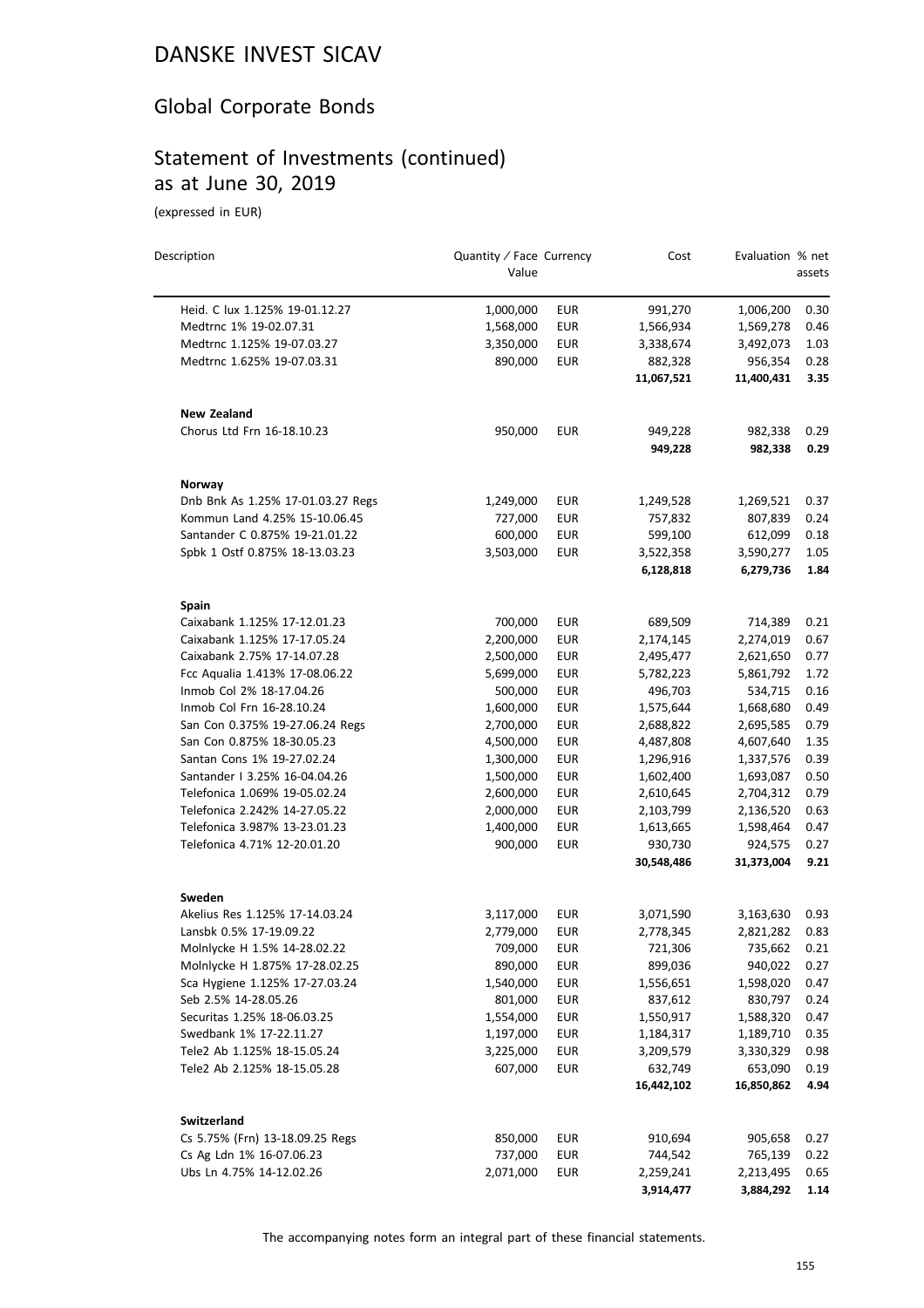### Global Corporate Bonds

### Statement of Investments (continued) as at June 30, 2019

(expressed in EUR)

| Description                                    | Quantity / Face Currency |            | Cost                  | Evaluation % net      |              |
|------------------------------------------------|--------------------------|------------|-----------------------|-----------------------|--------------|
|                                                | Value                    |            |                       |                       | assets       |
| Heid. C lux 1.125% 19-01.12.27                 | 1,000,000                | <b>EUR</b> | 991,270               | 1,006,200             | 0.30         |
| Medtrnc 1% 19-02.07.31                         | 1,568,000                | <b>EUR</b> | 1,566,934             | 1,569,278             | 0.46         |
| Medtrnc 1.125% 19-07.03.27                     | 3,350,000                | <b>EUR</b> | 3,338,674             | 3,492,073             | 1.03         |
| Medtrnc 1.625% 19-07.03.31                     | 890,000                  | <b>EUR</b> | 882,328               | 956,354               | 0.28         |
|                                                |                          |            | 11,067,521            | 11,400,431            | 3.35         |
| <b>New Zealand</b>                             |                          |            |                       |                       |              |
| Chorus Ltd Frn 16-18.10.23                     | 950,000                  | <b>EUR</b> | 949,228               | 982,338               | 0.29         |
|                                                |                          |            | 949,228               | 982,338               | 0.29         |
| Norway                                         |                          |            |                       |                       |              |
| Dnb Bnk As 1.25% 17-01.03.27 Regs              | 1,249,000                | EUR        | 1,249,528             | 1,269,521             | 0.37         |
| Kommun Land 4.25% 15-10.06.45                  | 727,000                  | <b>EUR</b> | 757,832               | 807,839               | 0.24         |
| Santander C 0.875% 19-21.01.22                 | 600,000                  | <b>EUR</b> | 599,100               | 612,099               | 0.18         |
| Spbk 1 Ostf 0.875% 18-13.03.23                 | 3,503,000                | <b>EUR</b> | 3,522,358             | 3,590,277             | 1.05         |
|                                                |                          |            | 6,128,818             | 6,279,736             | 1.84         |
| Spain                                          |                          |            |                       |                       |              |
| Caixabank 1.125% 17-12.01.23                   | 700,000                  | <b>EUR</b> | 689,509               | 714,389               | 0.21         |
| Caixabank 1.125% 17-17.05.24                   | 2,200,000                | <b>EUR</b> | 2,174,145             | 2,274,019             | 0.67         |
| Caixabank 2.75% 17-14.07.28                    | 2,500,000                | <b>EUR</b> | 2,495,477             | 2,621,650             | 0.77         |
| Fcc Aqualia 1.413% 17-08.06.22                 | 5,699,000                | <b>EUR</b> | 5,782,223             | 5,861,792             | 1.72         |
| Inmob Col 2% 18-17.04.26                       | 500,000                  | <b>EUR</b> | 496,703               | 534,715               | 0.16         |
| Inmob Col Frn 16-28.10.24                      | 1,600,000                | <b>EUR</b> | 1,575,644             | 1,668,680             | 0.49         |
| San Con 0.375% 19-27.06.24 Regs                | 2,700,000                | <b>EUR</b> | 2,688,822             | 2,695,585             | 0.79         |
| San Con 0.875% 18-30.05.23                     | 4,500,000                | <b>EUR</b> | 4,487,808             | 4,607,640             | 1.35         |
| Santan Cons 1% 19-27.02.24                     | 1,300,000                | <b>EUR</b> | 1,296,916             | 1,337,576             | 0.39         |
| Santander   3.25% 16-04.04.26                  | 1,500,000                | <b>EUR</b> | 1,602,400             | 1,693,087             | 0.50         |
| Telefonica 1.069% 19-05.02.24                  | 2,600,000                | <b>EUR</b> | 2,610,645             | 2,704,312             | 0.79         |
| Telefonica 2.242% 14-27.05.22                  | 2,000,000                | <b>EUR</b> | 2,103,799             | 2,136,520             | 0.63         |
| Telefonica 3.987% 13-23.01.23                  | 1,400,000                | <b>EUR</b> | 1,613,665             | 1,598,464             | 0.47         |
| Telefonica 4.71% 12-20.01.20                   | 900,000                  | <b>EUR</b> | 930,730               | 924,575               | 0.27         |
|                                                |                          |            | 30,548,486            | 31,373,004            | 9.21         |
| Sweden                                         |                          |            |                       |                       |              |
| Akelius Res 1.125% 17-14.03.24                 | 3,117,000                | <b>EUR</b> | 3,071,590             | 3,163,630             | 0.93         |
| Lansbk 0.5% 17-19.09.22                        | 2,779,000                | <b>EUR</b> | 2,778,345             | 2,821,282             | 0.83         |
| Molnlycke H 1.5% 14-28.02.22                   | 709,000                  | EUR        | 721,306               | 735,662               | 0.21         |
| Molnlycke H 1.875% 17-28.02.25                 | 890,000                  | EUR        | 899,036               | 940,022               | 0.27         |
| Sca Hygiene 1.125% 17-27.03.24                 | 1,540,000                | <b>EUR</b> | 1,556,651             | 1,598,020             | 0.47         |
| Seb 2.5% 14-28.05.26                           | 801,000                  | <b>EUR</b> | 837,612               | 830,797               | 0.24         |
| Securitas 1.25% 18-06.03.25                    | 1,554,000                | <b>EUR</b> | 1,550,917             | 1,588,320             | 0.47         |
| Swedbank 1% 17-22.11.27                        | 1,197,000                | <b>EUR</b> | 1,184,317             | 1,189,710             | 0.35         |
| Tele2 Ab 1.125% 18-15.05.24                    | 3,225,000                | EUR        | 3,209,579             | 3,330,329             | 0.98         |
| Tele2 Ab 2.125% 18-15.05.28                    | 607,000                  | <b>EUR</b> | 632,749<br>16,442,102 | 653,090<br>16,850,862 | 0.19<br>4.94 |
|                                                |                          |            |                       |                       |              |
| Switzerland<br>Cs 5.75% (Frn) 13-18.09.25 Regs | 850,000                  | <b>EUR</b> | 910,694               | 905,658               | 0.27         |
| Cs Ag Ldn 1% 16-07.06.23                       | 737,000                  | <b>EUR</b> | 744,542               | 765,139               | 0.22         |
| Ubs Ln 4.75% 14-12.02.26                       | 2,071,000                | EUR        | 2,259,241             | 2,213,495             | 0.65         |
|                                                |                          |            | 3,914,477             | 3,884,292             | 1.14         |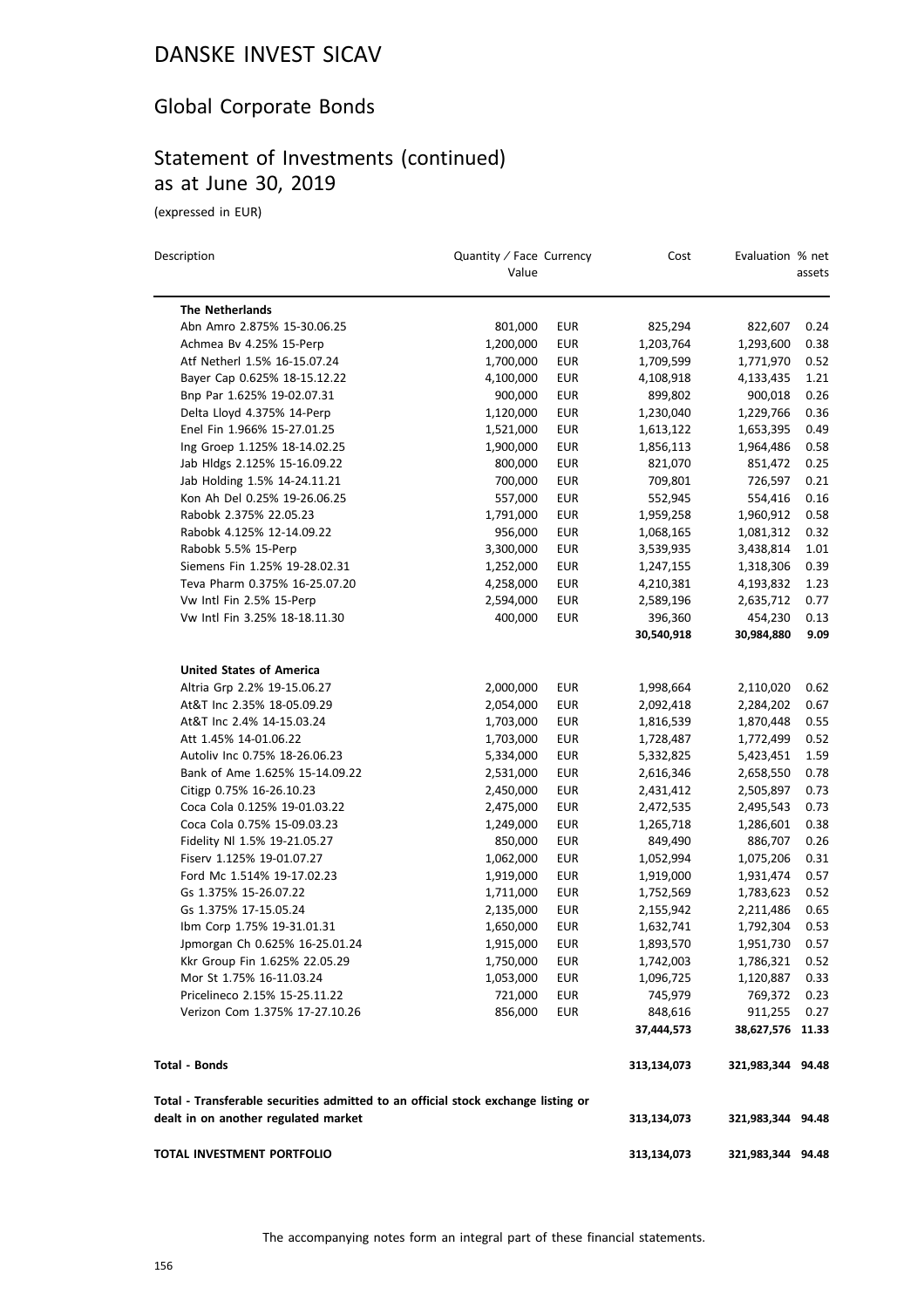### Global Corporate Bonds

# Statement of Investments (continued) as at June 30, 2019

| Description                                                                       | Quantity / Face Currency<br>Value |                          | Cost                   | Evaluation % net            | assets       |
|-----------------------------------------------------------------------------------|-----------------------------------|--------------------------|------------------------|-----------------------------|--------------|
| <b>The Netherlands</b>                                                            |                                   |                          |                        |                             |              |
| Abn Amro 2.875% 15-30.06.25                                                       | 801,000                           | <b>EUR</b>               | 825,294                | 822,607                     | 0.24         |
| Achmea Bv 4.25% 15-Perp                                                           | 1,200,000                         | <b>EUR</b>               | 1,203,764              | 1,293,600                   | 0.38         |
| Atf Netherl 1.5% 16-15.07.24                                                      | 1,700,000                         | <b>EUR</b>               | 1,709,599              | 1,771,970                   | 0.52         |
| Bayer Cap 0.625% 18-15.12.22                                                      | 4,100,000                         | <b>EUR</b>               | 4,108,918              | 4,133,435                   | 1.21         |
| Bnp Par 1.625% 19-02.07.31                                                        | 900,000                           | <b>EUR</b>               | 899,802                | 900,018                     | 0.26         |
| Delta Lloyd 4.375% 14-Perp                                                        | 1,120,000                         | EUR                      | 1,230,040              | 1,229,766                   | 0.36         |
| Enel Fin 1.966% 15-27.01.25                                                       | 1,521,000                         | <b>EUR</b>               | 1,613,122              | 1,653,395                   | 0.49         |
| Ing Groep 1.125% 18-14.02.25                                                      | 1,900,000                         | <b>EUR</b>               | 1,856,113              | 1,964,486                   | 0.58         |
| Jab Hldgs 2.125% 15-16.09.22                                                      | 800,000                           | EUR                      | 821,070                | 851,472                     | 0.25         |
| Jab Holding 1.5% 14-24.11.21                                                      | 700,000                           | <b>EUR</b>               | 709,801                | 726,597                     | 0.21         |
| Kon Ah Del 0.25% 19-26.06.25                                                      | 557,000                           | <b>EUR</b>               | 552,945                | 554,416                     | 0.16         |
| Rabobk 2.375% 22.05.23                                                            | 1,791,000                         | <b>EUR</b>               | 1,959,258              | 1,960,912                   | 0.58         |
| Rabobk 4.125% 12-14.09.22                                                         | 956,000                           | <b>EUR</b>               | 1,068,165              | 1,081,312                   | 0.32         |
| Rabobk 5.5% 15-Perp                                                               | 3,300,000                         | <b>EUR</b>               | 3,539,935              | 3,438,814                   | 1.01         |
| Siemens Fin 1.25% 19-28.02.31                                                     | 1,252,000                         | EUR                      | 1,247,155              | 1,318,306                   | 0.39         |
| Teva Pharm 0.375% 16-25.07.20                                                     | 4,258,000                         | EUR                      | 4,210,381              | 4,193,832                   | 1.23         |
| Vw Intl Fin 2.5% 15-Perp                                                          | 2,594,000                         | EUR                      | 2,589,196              | 2,635,712                   | 0.77         |
| Vw Intl Fin 3.25% 18-18.11.30                                                     | 400,000                           | EUR                      | 396,360                | 454,230                     | 0.13         |
|                                                                                   |                                   |                          | 30,540,918             | 30,984,880                  | 9.09         |
| <b>United States of America</b>                                                   |                                   |                          |                        |                             |              |
| Altria Grp 2.2% 19-15.06.27                                                       | 2,000,000                         | EUR                      | 1,998,664              | 2,110,020                   | 0.62         |
| At&T Inc 2.35% 18-05.09.29                                                        | 2,054,000                         | <b>EUR</b>               | 2,092,418              | 2,284,202                   | 0.67         |
| At&T Inc 2.4% 14-15.03.24                                                         | 1,703,000                         | <b>EUR</b>               | 1,816,539              | 1,870,448                   | 0.55         |
| Att 1.45% 14-01.06.22                                                             | 1,703,000                         | <b>EUR</b>               | 1,728,487              | 1,772,499                   | 0.52         |
| Autoliv Inc 0.75% 18-26.06.23                                                     | 5,334,000                         | <b>EUR</b>               | 5,332,825              | 5,423,451                   | 1.59         |
| Bank of Ame 1.625% 15-14.09.22                                                    |                                   | <b>EUR</b>               | 2,616,346              | 2,658,550                   | 0.78         |
| Citigp 0.75% 16-26.10.23                                                          | 2,531,000                         |                          |                        |                             | 0.73         |
| Coca Cola 0.125% 19-01.03.22                                                      | 2,450,000<br>2,475,000            | <b>EUR</b><br><b>EUR</b> | 2,431,412              | 2,505,897                   | 0.73         |
| Coca Cola 0.75% 15-09.03.23                                                       | 1,249,000                         | <b>EUR</b>               | 2,472,535<br>1,265,718 | 2,495,543<br>1,286,601      | 0.38         |
|                                                                                   |                                   |                          |                        |                             | 0.26         |
| Fidelity NI 1.5% 19-21.05.27                                                      | 850,000                           | EUR                      | 849,490                | 886,707                     |              |
| Fiserv 1.125% 19-01.07.27<br>Ford Mc 1.514% 19-17.02.23                           | 1,062,000<br>1,919,000            | <b>EUR</b><br>EUR        | 1,052,994              | 1,075,206<br>1,931,474      | 0.31<br>0.57 |
| Gs 1.375% 15-26.07.22                                                             |                                   |                          | 1,919,000              |                             |              |
| Gs 1.375% 17-15.05.24                                                             | 1,711,000                         | <b>EUR</b><br><b>EUR</b> | 1,752,569              | 1,783,623                   | 0.52<br>0.65 |
| Ibm Corp 1.75% 19-31.01.31                                                        | 2,135,000                         | <b>EUR</b>               | 2,155,942<br>1,632,741 | 2,211,486                   | 0.53         |
|                                                                                   | 1,650,000                         |                          |                        | 1,792,304                   |              |
| Jpmorgan Ch 0.625% 16-25.01.24                                                    | 1,915,000                         | <b>EUR</b>               | 1,893,570              | 1,951,730 0.57              |              |
| Kkr Group Fin 1.625% 22.05.29                                                     | 1,750,000                         | EUR                      | 1,742,003              | 1,786,321                   | 0.52         |
| Mor St 1.75% 16-11.03.24                                                          | 1,053,000                         | <b>EUR</b>               | 1,096,725              | 1,120,887                   | 0.33         |
| Pricelineco 2.15% 15-25.11.22<br>Verizon Com 1.375% 17-27.10.26                   | 721,000<br>856,000                | EUR<br><b>EUR</b>        | 745,979                | 769,372                     | 0.23         |
|                                                                                   |                                   |                          | 848,616<br>37,444,573  | 911,255<br>38,627,576 11.33 | 0.27         |
| Total - Bonds                                                                     |                                   |                          | 313,134,073            | 321,983,344 94.48           |              |
| Total - Transferable securities admitted to an official stock exchange listing or |                                   |                          |                        |                             |              |
| dealt in on another regulated market                                              |                                   |                          | 313,134,073            | 321,983,344 94.48           |              |
| TOTAL INVESTMENT PORTFOLIO                                                        |                                   |                          | 313,134,073            | 321,983,344 94.48           |              |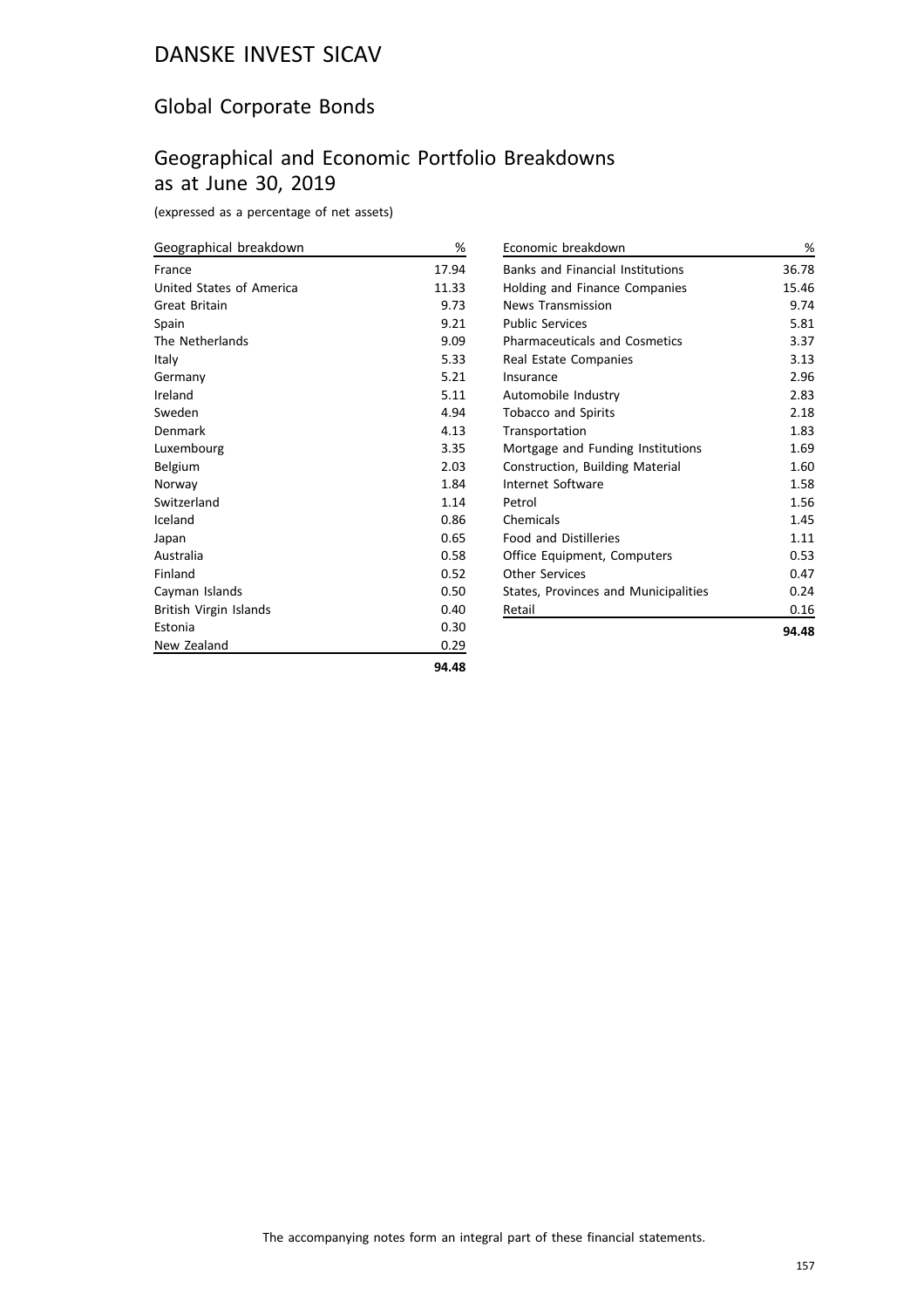### Global Corporate Bonds

### Geographical and Economic Portfolio Breakdowns as at June 30, 2019

(expressed as a percentage of net assets)

| Geographical breakdown   | %     |
|--------------------------|-------|
| France                   | 17.94 |
| United States of America | 11.33 |
| Great Britain            | 9.73  |
| Spain                    | 9.21  |
| The Netherlands          | 9.09  |
| Italy                    | 5.33  |
| Germany                  | 5.21  |
| Ireland                  | 5.11  |
| Sweden                   | 4.94  |
| Denmark                  | 4.13  |
| Luxembourg               | 3.35  |
| Belgium                  | 2.03  |
| Norway                   | 1.84  |
| Switzerland              | 1.14  |
| Iceland                  | 0.86  |
| Japan                    | 0.65  |
| Australia                | 0.58  |
| Finland                  | 0.52  |
| Cayman Islands           | 0.50  |
| British Virgin Islands   | 0.40  |
| Estonia                  | 0.30  |
| New Zealand              | 0.29  |
|                          | 94.48 |

| Economic breakdown                      | %     |
|-----------------------------------------|-------|
| <b>Banks and Financial Institutions</b> | 36.78 |
| Holding and Finance Companies           | 15.46 |
| News Transmission                       | 9.74  |
| <b>Public Services</b>                  | 5.81  |
| <b>Pharmaceuticals and Cosmetics</b>    | 3.37  |
| Real Estate Companies                   | 3.13  |
| Insurance                               | 2.96  |
| Automobile Industry                     | 2.83  |
| <b>Tobacco and Spirits</b>              | 2.18  |
| Transportation                          | 1.83  |
| Mortgage and Funding Institutions       | 1.69  |
| Construction, Building Material         | 1.60  |
| Internet Software                       | 1.58  |
| Petrol                                  | 1.56  |
| Chemicals                               | 1.45  |
| <b>Food and Distilleries</b>            | 1.11  |
| Office Equipment, Computers             | 0.53  |
| Other Services                          | 0.47  |
| States, Provinces and Municipalities    | 0.24  |
| Retail                                  | 0.16  |
|                                         | 94.48 |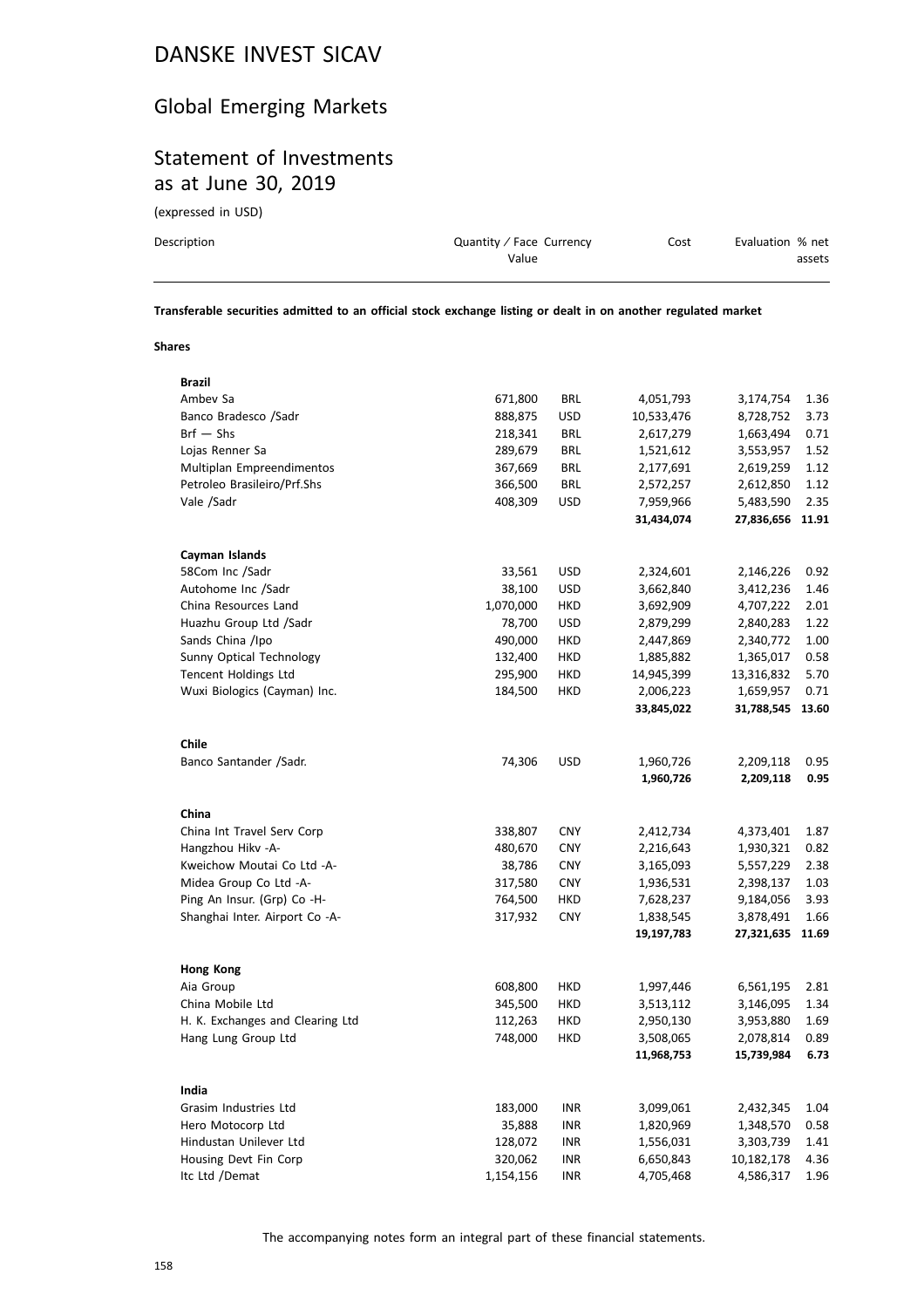### Global Emerging Markets

### Statement of Investments as at June 30, 2019

(expressed in USD)

| Description | Quantity / Face Currency | Cost | Evaluation % net |
|-------------|--------------------------|------|------------------|
|             | Value                    |      | assets           |
|             |                          |      |                  |

**Transferable securities admitted to an official stock exchange listing or dealt in on another regulated market**

### **Shares**

| Brazil                           |           |            |            |            |       |
|----------------------------------|-----------|------------|------------|------------|-------|
| Ambev Sa                         | 671,800   | <b>BRL</b> | 4,051,793  | 3,174,754  | 1.36  |
| Banco Bradesco /Sadr             | 888,875   | <b>USD</b> | 10,533,476 | 8,728,752  | 3.73  |
| $Brf - Shs$                      | 218,341   | <b>BRL</b> | 2,617,279  | 1,663,494  | 0.71  |
| Lojas Renner Sa                  | 289,679   | <b>BRL</b> | 1,521,612  | 3,553,957  | 1.52  |
| Multiplan Empreendimentos        | 367,669   | <b>BRL</b> | 2,177,691  | 2,619,259  | 1.12  |
| Petroleo Brasileiro/Prf.Shs      | 366,500   | <b>BRL</b> | 2,572,257  | 2,612,850  | 1.12  |
| Vale /Sadr                       | 408,309   | <b>USD</b> | 7,959,966  | 5,483,590  | 2.35  |
|                                  |           |            | 31,434,074 | 27,836,656 | 11.91 |
| Cayman Islands                   |           |            |            |            |       |
| 58Com Inc /Sadr                  | 33,561    | <b>USD</b> | 2,324,601  | 2,146,226  | 0.92  |
| Autohome Inc /Sadr               | 38,100    | <b>USD</b> | 3,662,840  | 3,412,236  | 1.46  |
| China Resources Land             | 1,070,000 | HKD        | 3,692,909  | 4,707,222  | 2.01  |
| Huazhu Group Ltd /Sadr           | 78,700    | <b>USD</b> | 2,879,299  | 2,840,283  | 1.22  |
| Sands China /Ipo                 | 490,000   | HKD        | 2,447,869  | 2,340,772  | 1.00  |
| Sunny Optical Technology         | 132,400   | HKD        | 1,885,882  | 1,365,017  | 0.58  |
| Tencent Holdings Ltd             | 295,900   | HKD        | 14,945,399 | 13,316,832 | 5.70  |
| Wuxi Biologics (Cayman) Inc.     | 184,500   | HKD        | 2,006,223  | 1,659,957  | 0.71  |
|                                  |           |            | 33,845,022 | 31,788,545 | 13.60 |
| Chile                            |           |            |            |            |       |
| Banco Santander /Sadr.           | 74,306    | <b>USD</b> | 1,960,726  | 2,209,118  | 0.95  |
|                                  |           |            | 1,960,726  | 2,209,118  | 0.95  |
| China                            |           |            |            |            |       |
| China Int Travel Serv Corp       | 338,807   | <b>CNY</b> | 2,412,734  | 4,373,401  | 1.87  |
| Hangzhou Hikv - A-               | 480,670   | <b>CNY</b> | 2,216,643  | 1,930,321  | 0.82  |
| Kweichow Moutai Co Ltd -A-       | 38,786    | <b>CNY</b> | 3,165,093  | 5,557,229  | 2.38  |
| Midea Group Co Ltd -A-           | 317,580   | <b>CNY</b> | 1,936,531  | 2,398,137  | 1.03  |
| Ping An Insur. (Grp) Co -H-      | 764,500   | <b>HKD</b> | 7,628,237  | 9,184,056  | 3.93  |
| Shanghai Inter. Airport Co -A-   | 317,932   | <b>CNY</b> | 1,838,545  | 3,878,491  | 1.66  |
|                                  |           |            | 19,197,783 | 27,321,635 | 11.69 |
| <b>Hong Kong</b>                 |           |            |            |            |       |
| Aia Group                        | 608,800   | HKD        | 1,997,446  | 6,561,195  | 2.81  |
| China Mobile Ltd                 | 345,500   | HKD        | 3,513,112  | 3,146,095  | 1.34  |
| H. K. Exchanges and Clearing Ltd | 112,263   | HKD        | 2,950,130  | 3,953,880  | 1.69  |
| Hang Lung Group Ltd              | 748,000   | <b>HKD</b> | 3,508,065  | 2,078,814  | 0.89  |
|                                  |           |            | 11,968,753 | 15,739,984 | 6.73  |
| India                            |           |            |            |            |       |
| Grasim Industries Ltd            | 183,000   | INR        | 3,099,061  | 2,432,345  | 1.04  |
| Hero Motocorp Ltd                | 35,888    | INR        | 1,820,969  | 1,348,570  | 0.58  |
| Hindustan Unilever Ltd           | 128,072   | <b>INR</b> | 1,556,031  | 3,303,739  | 1.41  |
| Housing Devt Fin Corp            | 320,062   | <b>INR</b> | 6,650,843  | 10,182,178 | 4.36  |
| Itc Ltd /Demat                   | 1,154,156 | <b>INR</b> | 4,705,468  | 4,586,317  | 1.96  |
|                                  |           |            |            |            |       |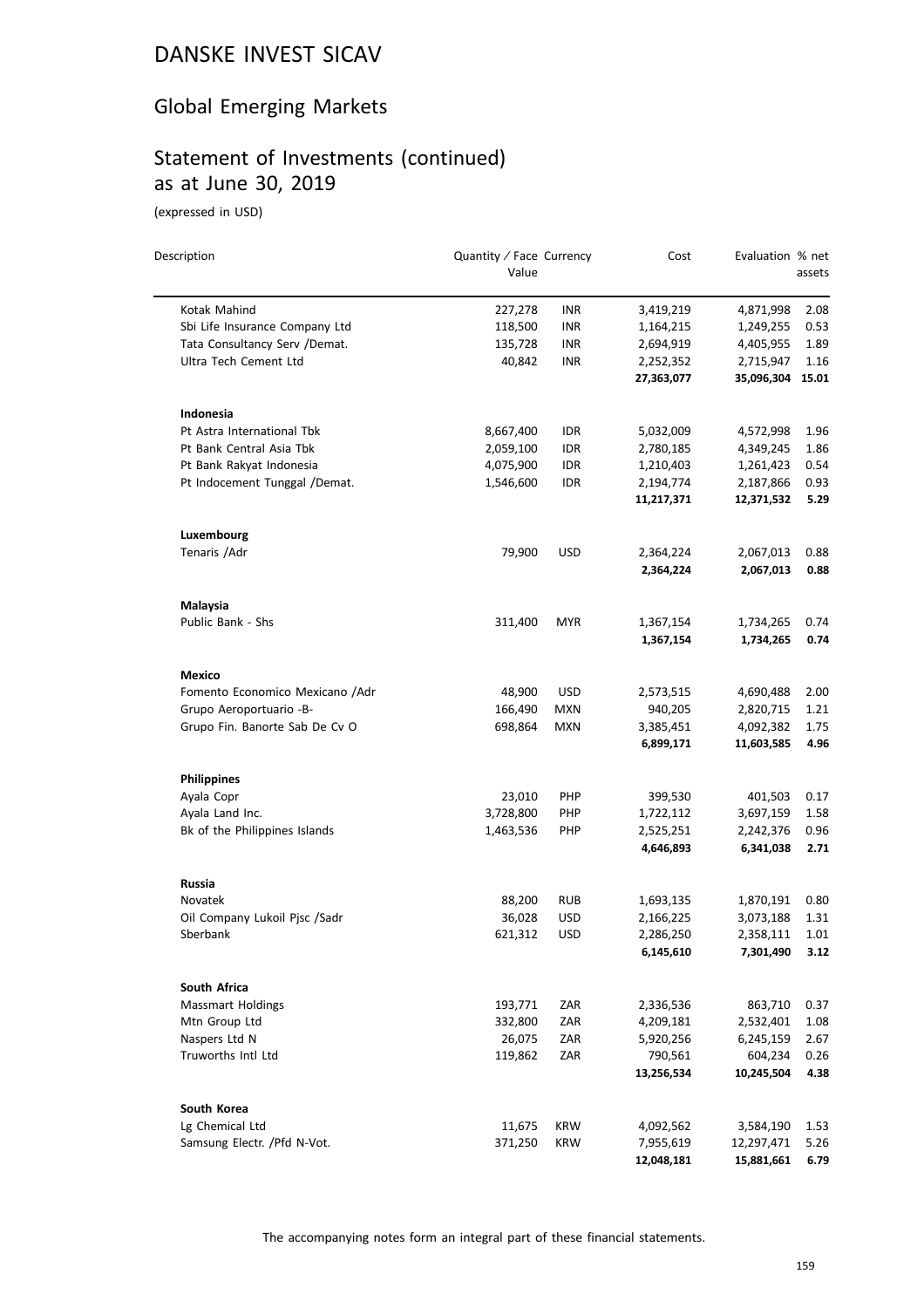# Global Emerging Markets

# Statement of Investments (continued) as at June 30, 2019

(expressed in USD)

| Description                     | Quantity / Face Currency |            | Cost                   | Evaluation % net        |              |
|---------------------------------|--------------------------|------------|------------------------|-------------------------|--------------|
|                                 | Value                    |            |                        |                         | assets       |
| Kotak Mahind                    | 227,278                  | INR        | 3,419,219              | 4,871,998               | 2.08         |
| Sbi Life Insurance Company Ltd  | 118,500                  | <b>INR</b> | 1,164,215              | 1,249,255               | 0.53         |
| Tata Consultancy Serv /Demat.   | 135,728                  | <b>INR</b> | 2,694,919              | 4,405,955               | 1.89         |
| Ultra Tech Cement Ltd           | 40,842                   | <b>INR</b> | 2,252,352              | 2,715,947               | 1.16         |
|                                 |                          |            | 27,363,077             | 35,096,304              | 15.01        |
| Indonesia                       |                          |            |                        |                         |              |
| Pt Astra International Tbk      | 8,667,400                | IDR        | 5,032,009              | 4,572,998               | 1.96         |
| Pt Bank Central Asia Tbk        | 2,059,100                | <b>IDR</b> | 2,780,185              | 4,349,245               | 1.86         |
| Pt Bank Rakyat Indonesia        | 4,075,900                | <b>IDR</b> | 1,210,403              | 1,261,423               | 0.54         |
| Pt Indocement Tunggal /Demat.   | 1,546,600                | IDR        | 2,194,774              | 2,187,866               | 0.93         |
|                                 |                          |            | 11,217,371             | 12,371,532              | 5.29         |
| Luxembourg                      |                          |            |                        |                         |              |
| Tenaris / Adr                   | 79,900                   | <b>USD</b> | 2,364,224              | 2,067,013               | 0.88         |
|                                 |                          |            | 2,364,224              | 2,067,013               | 0.88         |
| Malaysia                        |                          |            |                        |                         |              |
| Public Bank - Shs               | 311,400                  | <b>MYR</b> | 1,367,154              | 1,734,265               | 0.74         |
|                                 |                          |            | 1,367,154              | 1,734,265               | 0.74         |
| Mexico                          |                          |            |                        |                         |              |
| Fomento Economico Mexicano /Adr | 48,900                   | <b>USD</b> | 2,573,515              | 4,690,488               | 2.00         |
| Grupo Aeroportuario -B-         | 166,490                  | <b>MXN</b> | 940,205                | 2,820,715               | 1.21         |
| Grupo Fin. Banorte Sab De Cv O  | 698,864                  | <b>MXN</b> | 3,385,451<br>6,899,171 | 4,092,382<br>11,603,585 | 1.75<br>4.96 |
| <b>Philippines</b>              |                          |            |                        |                         |              |
| Ayala Copr                      | 23,010                   | <b>PHP</b> | 399,530                | 401,503                 | 0.17         |
| Ayala Land Inc.                 | 3,728,800                | <b>PHP</b> | 1,722,112              | 3,697,159               | 1.58         |
| Bk of the Philippines Islands   | 1,463,536                | <b>PHP</b> | 2,525,251              | 2,242,376               | 0.96         |
|                                 |                          |            | 4,646,893              | 6,341,038               | 2.71         |
| Russia                          |                          |            |                        |                         |              |
| Novatek                         | 88,200                   | <b>RUB</b> | 1,693,135              | 1,870,191               | 0.80         |
| Oil Company Lukoil Pjsc /Sadr   | 36,028                   | USD        | 2,166,225              | 3,073,188               | 1.31         |
| Sberbank                        | 621,312                  | <b>USD</b> | 2,286,250              | 2,358,111               | 1.01         |
|                                 |                          |            | 6,145,610              | 7,301,490               | 3.12         |
| South Africa                    |                          |            |                        |                         |              |
| <b>Massmart Holdings</b>        | 193,771                  | ZAR        | 2,336,536              | 863,710                 | 0.37         |
| Mtn Group Ltd                   | 332,800                  | ZAR        | 4,209,181              | 2,532,401               | 1.08         |
| Naspers Ltd N                   | 26,075                   | ZAR        | 5,920,256              | 6,245,159               | 2.67         |
| Truworths Intl Ltd              | 119,862                  | ZAR        | 790,561                | 604,234                 | 0.26         |
|                                 |                          |            | 13,256,534             | 10,245,504              | 4.38         |
| South Korea                     |                          |            |                        |                         |              |
| Lg Chemical Ltd                 | 11,675                   | <b>KRW</b> | 4,092,562              | 3,584,190               | 1.53         |
| Samsung Electr. / Pfd N-Vot.    | 371,250                  | <b>KRW</b> | 7,955,619              | 12,297,471              | 5.26         |
|                                 |                          |            | 12,048,181             | 15,881,661              | 6.79         |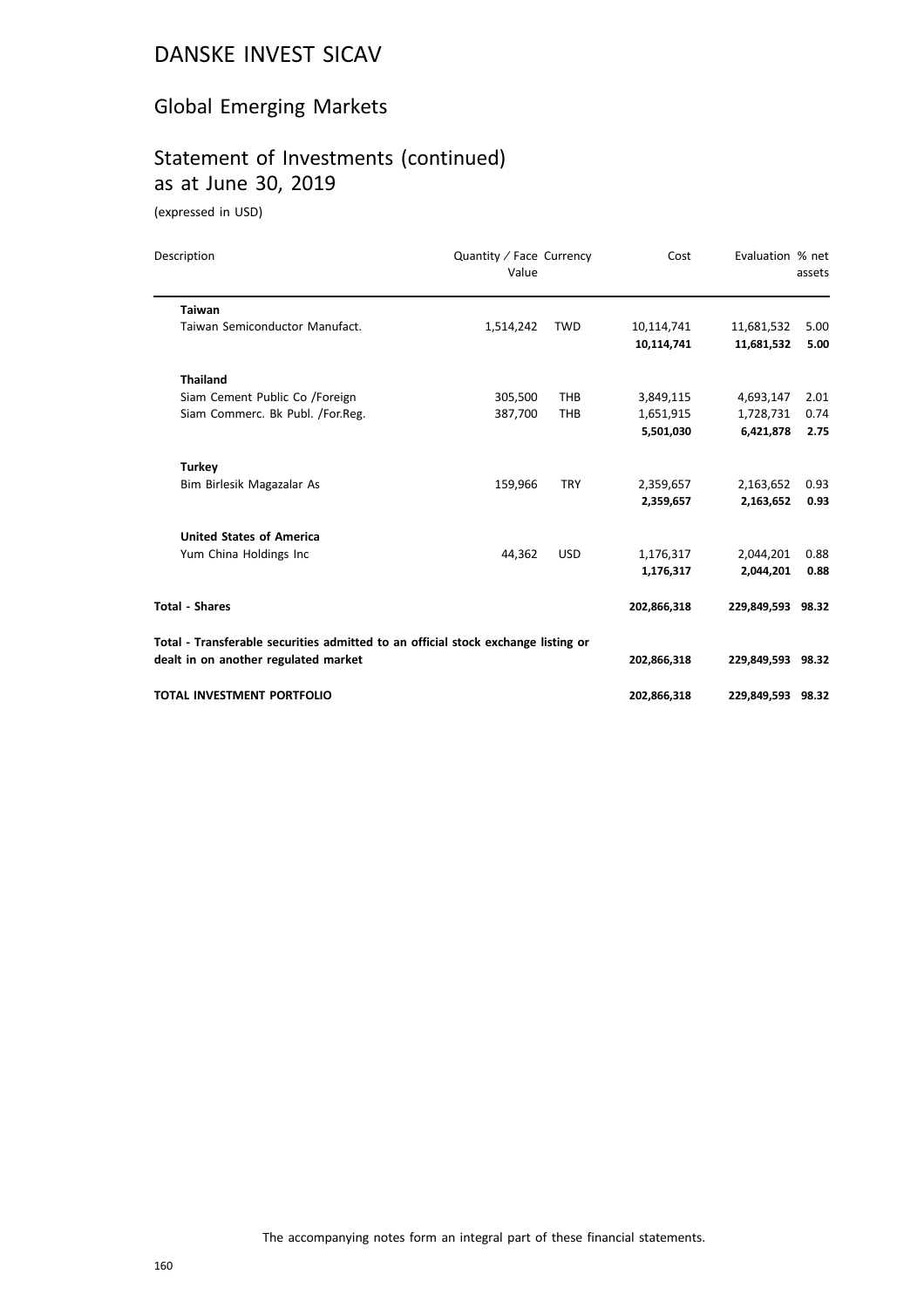# Global Emerging Markets

# Statement of Investments (continued) as at June 30, 2019

(expressed in USD)

| Description                                                                       | Quantity / Face Currency<br>Value |            | Cost        | Evaluation % net  | assets |
|-----------------------------------------------------------------------------------|-----------------------------------|------------|-------------|-------------------|--------|
| <b>Taiwan</b>                                                                     |                                   |            |             |                   |        |
| Taiwan Semiconductor Manufact.                                                    | 1,514,242                         | <b>TWD</b> | 10,114,741  | 11,681,532        | 5.00   |
|                                                                                   |                                   |            | 10,114,741  | 11,681,532        | 5.00   |
| <b>Thailand</b>                                                                   |                                   |            |             |                   |        |
| Siam Cement Public Co /Foreign                                                    | 305,500                           | <b>THB</b> | 3,849,115   | 4,693,147         | 2.01   |
| Siam Commerc. Bk Publ. /For.Reg.                                                  | 387,700                           | <b>THB</b> | 1,651,915   | 1,728,731         | 0.74   |
|                                                                                   |                                   |            | 5,501,030   | 6,421,878         | 2.75   |
| <b>Turkey</b>                                                                     |                                   |            |             |                   |        |
| Bim Birlesik Magazalar As                                                         | 159,966                           | <b>TRY</b> | 2,359,657   | 2,163,652         | 0.93   |
|                                                                                   |                                   |            | 2,359,657   | 2,163,652         | 0.93   |
| <b>United States of America</b>                                                   |                                   |            |             |                   |        |
| Yum China Holdings Inc                                                            | 44,362                            | <b>USD</b> | 1,176,317   | 2,044,201         | 0.88   |
|                                                                                   |                                   |            | 1,176,317   | 2,044,201         | 0.88   |
| <b>Total - Shares</b>                                                             |                                   |            | 202,866,318 | 229,849,593 98.32 |        |
| Total - Transferable securities admitted to an official stock exchange listing or |                                   |            |             |                   |        |
| dealt in on another regulated market                                              |                                   |            | 202,866,318 | 229,849,593 98.32 |        |
| <b>TOTAL INVESTMENT PORTFOLIO</b>                                                 |                                   |            | 202,866,318 | 229,849,593 98.32 |        |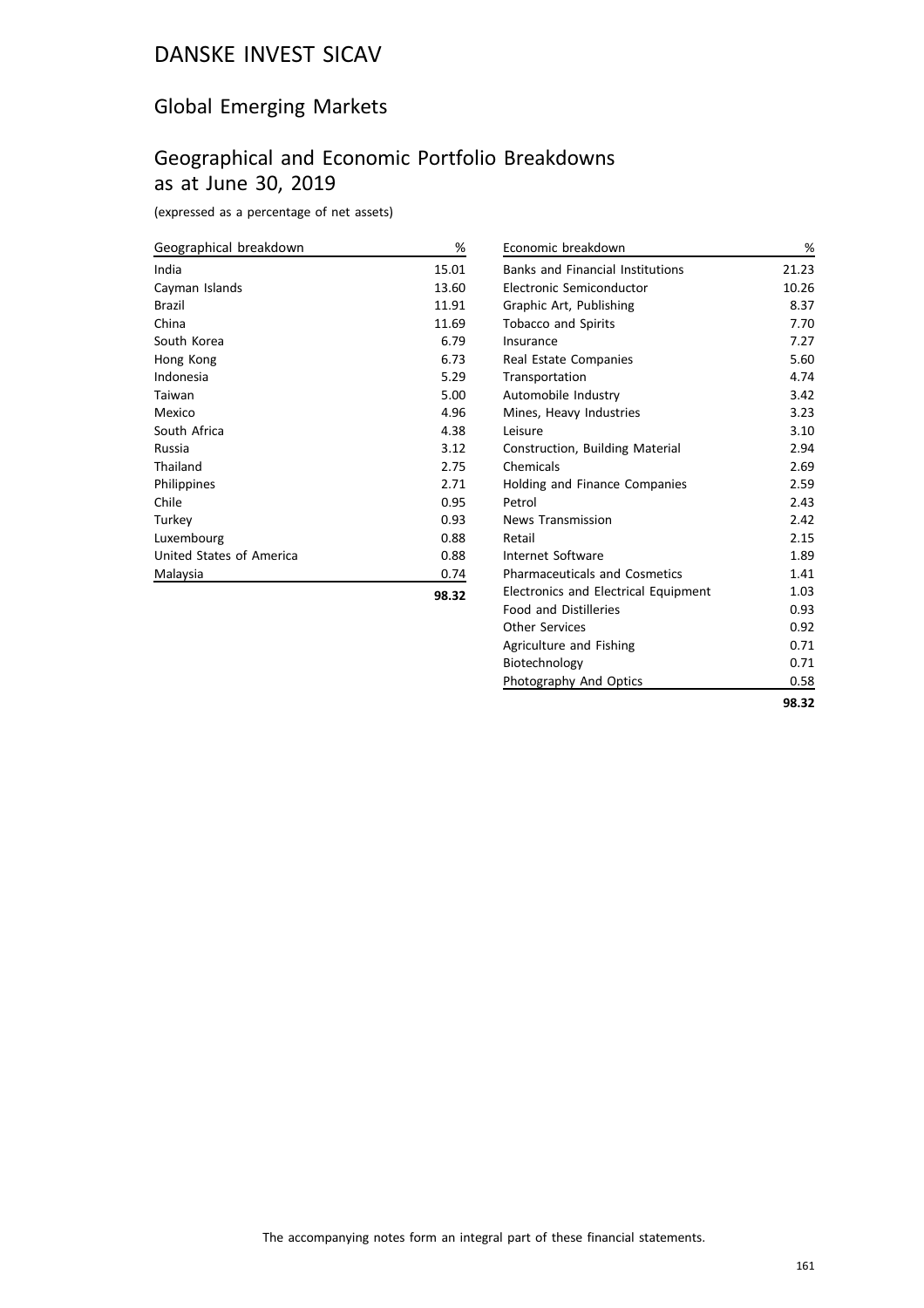### Global Emerging Markets

### Geographical and Economic Portfolio Breakdowns as at June 30, 2019

(expressed as a percentage of net assets)

| Geographical breakdown   | %     |
|--------------------------|-------|
| India                    | 15.01 |
| Cayman Islands           | 13.60 |
| Brazil                   | 11.91 |
| China                    | 11.69 |
| South Korea              | 6.79  |
| Hong Kong                | 6.73  |
| Indonesia                | 5.29  |
| Taiwan                   | 5.00  |
| Mexico                   | 4.96  |
| South Africa             | 4.38  |
| Russia                   | 3.12  |
| Thailand                 | 2.75  |
| Philippines              | 2.71  |
| Chile                    | 0.95  |
| Turkey                   | 0.93  |
| Luxembourg               | 0.88  |
| United States of America | 0.88  |
| Malaysia                 | 0.74  |
|                          | 98.32 |

| Economic breakdown                          | %     |
|---------------------------------------------|-------|
| <b>Banks and Financial Institutions</b>     | 21.23 |
| Electronic Semiconductor                    | 10.26 |
| Graphic Art, Publishing                     | 8.37  |
| <b>Tobacco and Spirits</b>                  | 7.70  |
| Insurance                                   | 7.27  |
| Real Estate Companies                       | 5.60  |
| Transportation                              | 4.74  |
| Automobile Industry                         | 3.42  |
| Mines, Heavy Industries                     | 3.23  |
| Leisure                                     | 3.10  |
| Construction, Building Material             | 2.94  |
| Chemicals                                   | 2.69  |
| Holding and Finance Companies               | 2.59  |
| Petrol                                      | 2.43  |
| <b>News Transmission</b>                    | 2.42  |
| Retail                                      | 2.15  |
| Internet Software                           | 1.89  |
| <b>Pharmaceuticals and Cosmetics</b>        | 1.41  |
| <b>Electronics and Electrical Equipment</b> | 1.03  |
| <b>Food and Distilleries</b>                | 0.93  |
| Other Services                              | 0.92  |
| Agriculture and Fishing                     | 0.71  |
| Biotechnology                               | 0.71  |
| Photography And Optics                      | 0.58  |
|                                             | 98.32 |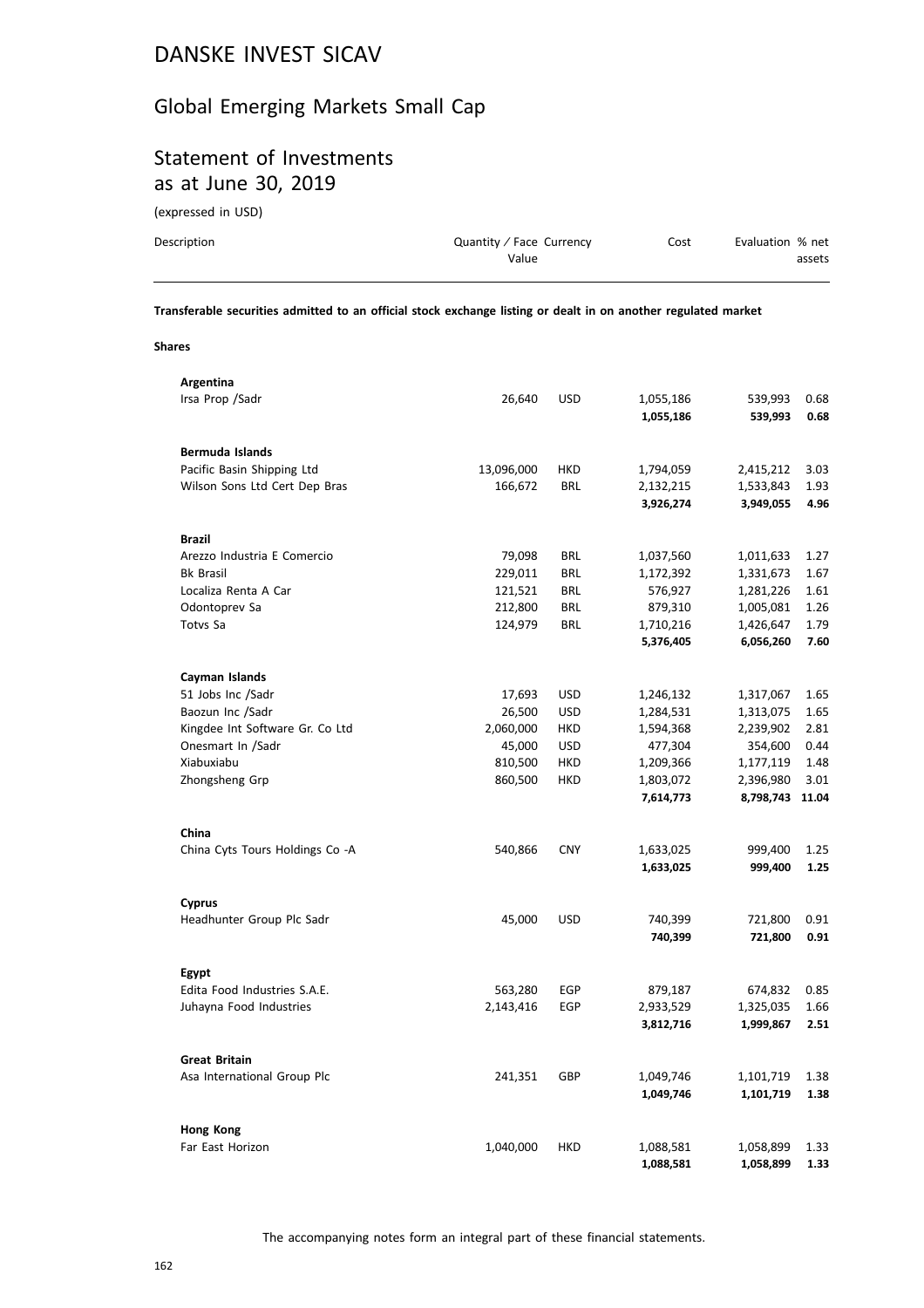### Global Emerging Markets Small Cap

# Statement of Investments as at June 30, 2019

(expressed in USD)

| Description | Quantity / Face Currency | Cost | Evaluation % net |
|-------------|--------------------------|------|------------------|
|             | Value                    |      | assets           |
|             |                          |      |                  |

**Transferable securities admitted to an official stock exchange listing or dealt in on another regulated market**

#### **Shares**

| Argentina                       |            |            |           |           |       |
|---------------------------------|------------|------------|-----------|-----------|-------|
| Irsa Prop / Sadr                | 26,640     | <b>USD</b> | 1,055,186 | 539,993   | 0.68  |
|                                 |            |            | 1,055,186 | 539,993   | 0.68  |
|                                 |            |            |           |           |       |
| <b>Bermuda Islands</b>          |            |            |           |           |       |
| Pacific Basin Shipping Ltd      | 13,096,000 | <b>HKD</b> | 1,794,059 | 2,415,212 | 3.03  |
| Wilson Sons Ltd Cert Dep Bras   | 166,672    | <b>BRL</b> | 2,132,215 | 1,533,843 | 1.93  |
|                                 |            |            | 3,926,274 | 3,949,055 | 4.96  |
|                                 |            |            |           |           |       |
| <b>Brazil</b>                   |            |            |           |           |       |
| Arezzo Industria E Comercio     | 79,098     | BRL        | 1,037,560 | 1,011,633 | 1.27  |
| <b>Bk Brasil</b>                | 229,011    | <b>BRL</b> |           |           | 1.67  |
| Localiza Renta A Car            |            |            | 1,172,392 | 1,331,673 |       |
|                                 | 121,521    | <b>BRL</b> | 576,927   | 1,281,226 | 1.61  |
| Odontoprev Sa                   | 212,800    | <b>BRL</b> | 879,310   | 1,005,081 | 1.26  |
| Totvs Sa                        | 124,979    | <b>BRL</b> | 1,710,216 | 1,426,647 | 1.79  |
|                                 |            |            | 5,376,405 | 6,056,260 | 7.60  |
|                                 |            |            |           |           |       |
| Cayman Islands                  |            |            |           |           |       |
| 51 Jobs Inc /Sadr               | 17,693     | <b>USD</b> | 1,246,132 | 1,317,067 | 1.65  |
| Baozun Inc /Sadr                | 26,500     | <b>USD</b> | 1,284,531 | 1,313,075 | 1.65  |
| Kingdee Int Software Gr. Co Ltd | 2,060,000  | <b>HKD</b> | 1,594,368 | 2,239,902 | 2.81  |
| Onesmart In /Sadr               | 45,000     | <b>USD</b> | 477,304   | 354,600   | 0.44  |
| Xiabuxiabu                      | 810,500    | <b>HKD</b> | 1,209,366 | 1,177,119 | 1.48  |
| Zhongsheng Grp                  | 860,500    | <b>HKD</b> | 1,803,072 | 2,396,980 | 3.01  |
|                                 |            |            | 7,614,773 | 8,798,743 | 11.04 |
|                                 |            |            |           |           |       |
| China                           |            |            |           |           |       |
| China Cyts Tours Holdings Co -A | 540,866    | <b>CNY</b> | 1,633,025 | 999,400   | 1.25  |
|                                 |            |            | 1,633,025 | 999,400   | 1.25  |
|                                 |            |            |           |           |       |
| <b>Cyprus</b>                   |            |            |           |           |       |
| Headhunter Group Plc Sadr       | 45,000     | <b>USD</b> | 740,399   | 721,800   | 0.91  |
|                                 |            |            |           |           | 0.91  |
|                                 |            |            | 740,399   | 721,800   |       |
|                                 |            |            |           |           |       |
| Egypt                           |            |            |           |           |       |
| Edita Food Industries S.A.E.    | 563,280    | EGP        | 879,187   | 674,832   | 0.85  |
| Juhayna Food Industries         | 2,143,416  | EGP        | 2,933,529 | 1,325,035 | 1.66  |
|                                 |            |            | 3,812,716 | 1,999,867 | 2.51  |
|                                 |            |            |           |           |       |
| <b>Great Britain</b>            |            |            |           |           |       |
| Asa International Group Plc     | 241,351    | GBP        | 1,049,746 | 1,101,719 | 1.38  |
|                                 |            |            | 1,049,746 | 1,101,719 | 1.38  |
|                                 |            |            |           |           |       |
| Hong Kong                       |            |            |           |           |       |
| Far East Horizon                | 1,040,000  | HKD        | 1,088,581 | 1,058,899 | 1.33  |
|                                 |            |            | 1,088,581 | 1,058,899 | 1.33  |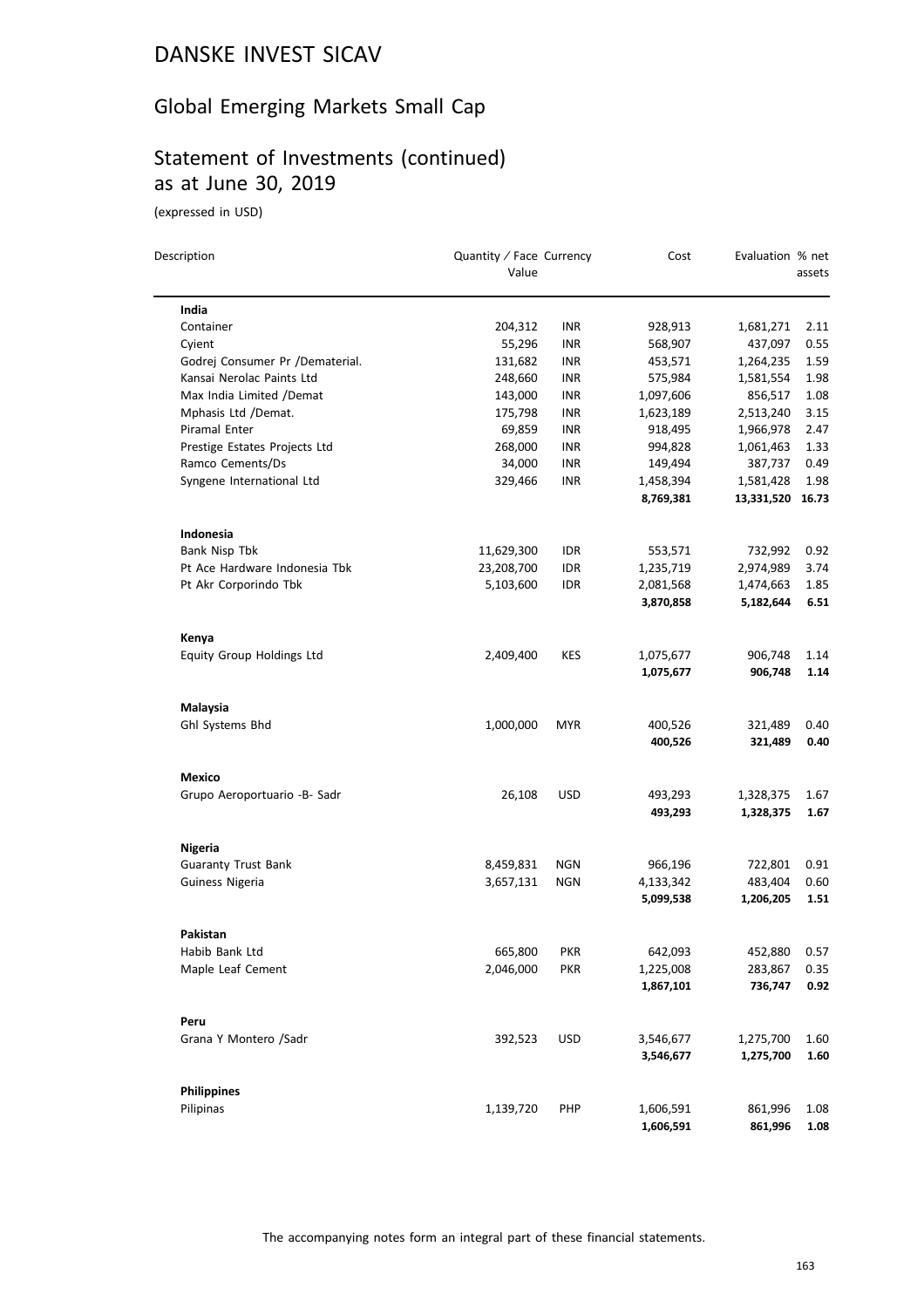### Global Emerging Markets Small Cap

# Statement of Investments (continued) as at June 30, 2019

(expressed in USD)

| Description                     | Quantity / Face Currency<br>Value |            | Cost                   | Evaluation % net   | assets               |
|---------------------------------|-----------------------------------|------------|------------------------|--------------------|----------------------|
| India                           |                                   |            |                        |                    |                      |
| Container                       | 204,312                           | INR        | 928,913                | 1,681,271          | 2.11                 |
| Cyient                          | 55,296                            | INR        | 568,907                | 437,097            | 0.55                 |
| Godrej Consumer Pr /Dematerial. | 131,682                           | INR        | 453,571                | 1,264,235          | 1.59                 |
| Kansai Nerolac Paints Ltd       | 248,660                           | <b>INR</b> | 575,984                | 1,581,554          | 1.98                 |
| Max India Limited /Demat        | 143,000                           | INR        | 1,097,606              | 856,517            | 1.08                 |
| Mphasis Ltd /Demat.             | 175,798                           | INR        | 1,623,189              | 2,513,240          | 3.15                 |
| Piramal Enter                   | 69,859                            | <b>INR</b> | 918,495                | 1,966,978          | 2.47                 |
| Prestige Estates Projects Ltd   | 268,000                           | INR        | 994,828                | 1,061,463          | 1.33                 |
| Ramco Cements/Ds                | 34,000                            | <b>INR</b> | 149,494                | 387,737            | 0.49                 |
| Syngene International Ltd       | 329,466                           | <b>INR</b> | 1,458,394              | 1,581,428          | 1.98                 |
|                                 |                                   |            | 8,769,381              | 13,331,520         | 16.73                |
| Indonesia                       |                                   |            |                        |                    |                      |
| Bank Nisp Tbk                   | 11,629,300                        | IDR        | 553,571                | 732,992            | 0.92                 |
| Pt Ace Hardware Indonesia Tbk   | 23,208,700                        | IDR        | 1,235,719              | 2,974,989          | 3.74                 |
| Pt Akr Corporindo Tbk           | 5,103,600                         | <b>IDR</b> | 2,081,568              | 1,474,663          | 1.85                 |
|                                 |                                   |            | 3,870,858              | 5,182,644          | 6.51                 |
| Kenya                           |                                   |            |                        |                    |                      |
| Equity Group Holdings Ltd       | 2,409,400                         | <b>KES</b> | 1,075,677              | 906,748            | 1.14                 |
|                                 |                                   |            | 1,075,677              | 906,748            | 1.14                 |
| Malaysia                        |                                   |            |                        |                    |                      |
| Ghl Systems Bhd                 | 1,000,000                         | <b>MYR</b> | 400,526                | 321,489            | 0.40                 |
|                                 |                                   |            | 400,526                | 321,489            | 0.40                 |
| Mexico                          |                                   |            |                        |                    |                      |
| Grupo Aeroportuario -B- Sadr    | 26,108                            | <b>USD</b> | 493,293                | 1,328,375          | 1.67                 |
|                                 |                                   |            | 493,293                | 1,328,375          | 1.67                 |
| Nigeria                         |                                   |            |                        |                    |                      |
| <b>Guaranty Trust Bank</b>      | 8,459,831                         | <b>NGN</b> | 966,196                | 722,801            | 0.91                 |
| Guiness Nigeria                 | 3,657,131                         | <b>NGN</b> | 4,133,342              | 483,404            | 0.60                 |
|                                 |                                   |            | 5,099,538              | 1,206,205          | 1.51                 |
| Pakistan                        |                                   |            |                        |                    |                      |
| Habib Bank Ltd                  | 665,800                           | <b>PKR</b> | 642,093                | 452,880            | 0.57                 |
| Maple Leaf Cement               | 2,046,000                         | <b>PKR</b> | 1,225,008              | 283,867            | 0.35                 |
|                                 |                                   |            | 1,867,101              | 736,747            | 0.92                 |
| Peru                            |                                   |            |                        |                    |                      |
| Grana Y Montero /Sadr           | 392,523                           | <b>USD</b> | 3,546,677              | 1,275,700          | 1.60                 |
|                                 |                                   |            | 3,546,677              | 1,275,700          | 1.60                 |
|                                 |                                   |            |                        |                    |                      |
| <b>Philippines</b><br>Pilipinas |                                   | PHP        |                        |                    |                      |
|                                 | 1,139,720                         |            | 1,606,591<br>1,606,591 | 861,996<br>861,996 | 1.08<br>${\bf 1.08}$ |
|                                 |                                   |            |                        |                    |                      |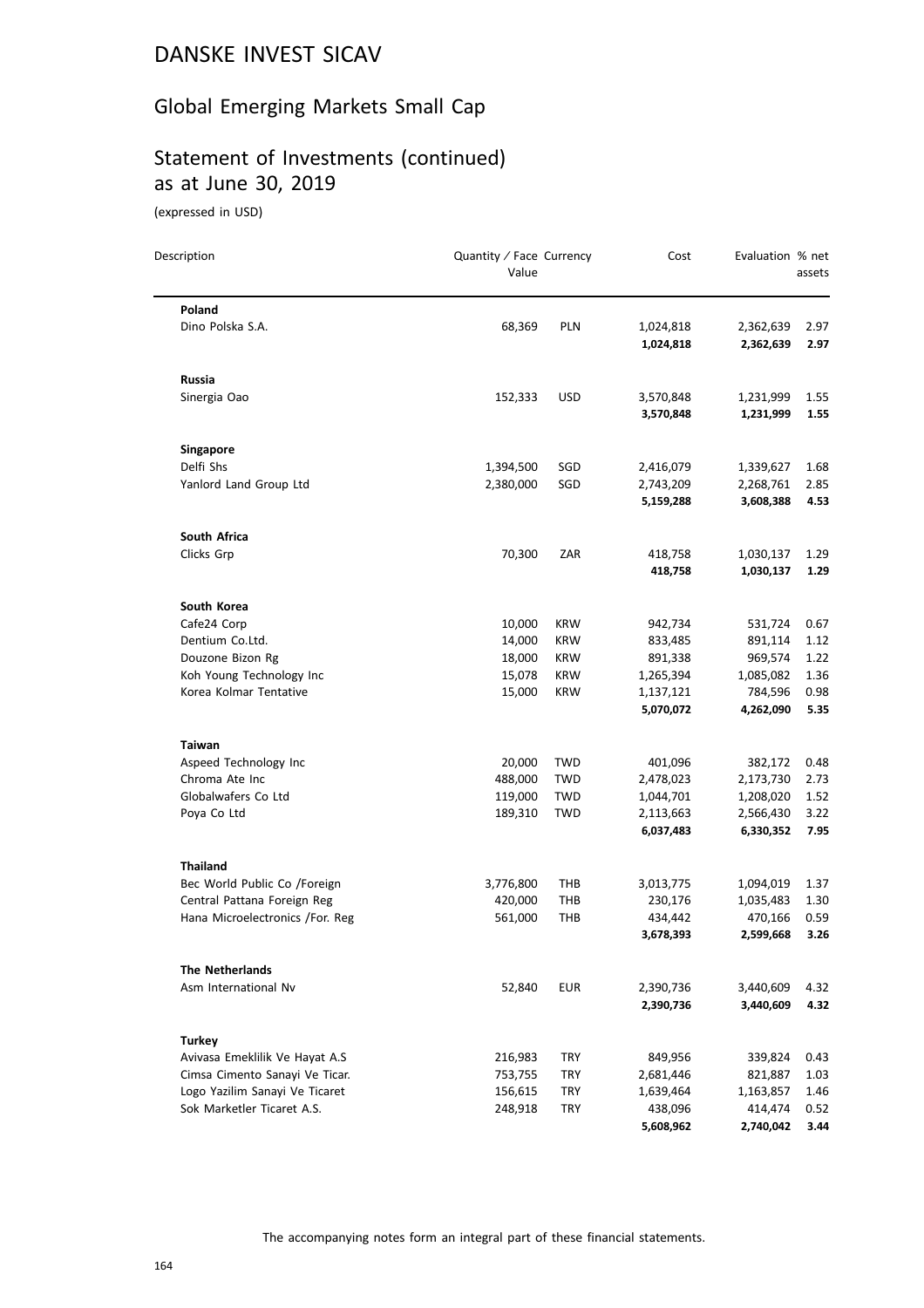### Global Emerging Markets Small Cap

# Statement of Investments (continued) as at June 30, 2019

(expressed in USD)

| Description                                                      | Quantity / Face Currency<br>Value |                   | Cost                   | Evaluation % net       | assets       |
|------------------------------------------------------------------|-----------------------------------|-------------------|------------------------|------------------------|--------------|
| Poland                                                           |                                   |                   |                        |                        |              |
| Dino Polska S.A.                                                 | 68,369                            | <b>PLN</b>        | 1,024,818<br>1,024,818 | 2,362,639<br>2,362,639 | 2.97<br>2.97 |
| <b>Russia</b>                                                    |                                   |                   |                        |                        |              |
| Sinergia Oao                                                     | 152,333                           | <b>USD</b>        | 3,570,848              | 1,231,999              | 1.55         |
|                                                                  |                                   |                   | 3,570,848              | 1,231,999              | 1.55         |
| Singapore                                                        |                                   |                   |                        |                        |              |
| Delfi Shs                                                        | 1,394,500                         | SGD               | 2,416,079              | 1,339,627              | 1.68         |
| Yanlord Land Group Ltd                                           | 2,380,000                         | SGD               | 2,743,209              | 2,268,761              | 2.85         |
|                                                                  |                                   |                   | 5,159,288              | 3,608,388              | 4.53         |
| South Africa                                                     |                                   |                   |                        |                        |              |
| Clicks Grp                                                       | 70,300                            | ZAR               | 418,758                | 1,030,137              | 1.29         |
|                                                                  |                                   |                   | 418,758                | 1,030,137              | 1.29         |
| South Korea                                                      |                                   |                   |                        |                        |              |
| Cafe24 Corp                                                      | 10,000                            | <b>KRW</b>        | 942,734                | 531,724                | 0.67         |
| Dentium Co.Ltd.                                                  | 14,000                            | <b>KRW</b>        | 833,485                | 891,114                | 1.12         |
| Douzone Bizon Rg                                                 | 18,000                            | <b>KRW</b>        | 891,338                | 969,574                | 1.22         |
| Koh Young Technology Inc                                         | 15,078                            | <b>KRW</b>        | 1,265,394              | 1,085,082              | 1.36         |
| Korea Kolmar Tentative                                           | 15,000                            | <b>KRW</b>        | 1,137,121<br>5,070,072 | 784,596<br>4,262,090   | 0.98<br>5.35 |
|                                                                  |                                   |                   |                        |                        |              |
| Taiwan                                                           |                                   |                   |                        |                        |              |
| Aspeed Technology Inc                                            | 20,000                            | <b>TWD</b>        | 401,096                | 382,172                | 0.48         |
| Chroma Ate Inc                                                   | 488,000                           | <b>TWD</b>        | 2,478,023              | 2,173,730              | 2.73         |
| Globalwafers Co Ltd                                              | 119,000                           | TWD<br><b>TWD</b> | 1,044,701<br>2,113,663 | 1,208,020              | 1.52<br>3.22 |
| Poya Co Ltd                                                      | 189,310                           |                   | 6,037,483              | 2,566,430<br>6,330,352 | 7.95         |
|                                                                  |                                   |                   |                        |                        |              |
| <b>Thailand</b><br>Bec World Public Co /Foreign                  | 3,776,800                         | THB               | 3,013,775              |                        |              |
| Central Pattana Foreign Reg                                      | 420,000                           | <b>THB</b>        | 230,176                | 1,094,019<br>1,035,483 | 1.37<br>1.30 |
| Hana Microelectronics /For. Reg                                  | 561,000                           | <b>THB</b>        | 434,442                | 470,166                | 0.59         |
|                                                                  |                                   |                   | 3,678,393              | 2,599,668              | 3.26         |
| <b>The Netherlands</b>                                           |                                   |                   |                        |                        |              |
| Asm International Nv                                             | 52,840                            | <b>EUR</b>        | 2,390,736              | 3,440,609              | 4.32         |
|                                                                  |                                   |                   | 2,390,736              | 3,440,609              | 4.32         |
|                                                                  |                                   |                   |                        |                        |              |
| <b>Turkey</b>                                                    |                                   | <b>TRY</b>        |                        |                        |              |
| Avivasa Emeklilik Ve Hayat A.S<br>Cimsa Cimento Sanayi Ve Ticar. | 216,983<br>753,755                | TRY               | 849,956<br>2,681,446   | 339,824<br>821,887     | 0.43<br>1.03 |
| Logo Yazilim Sanayi Ve Ticaret                                   | 156,615                           | TRY               | 1,639,464              | 1,163,857              | 1.46         |
| Sok Marketler Ticaret A.S.                                       | 248,918                           | <b>TRY</b>        | 438,096                | 414,474                | 0.52         |
|                                                                  |                                   |                   | 5,608,962              | 2,740,042              | 3.44         |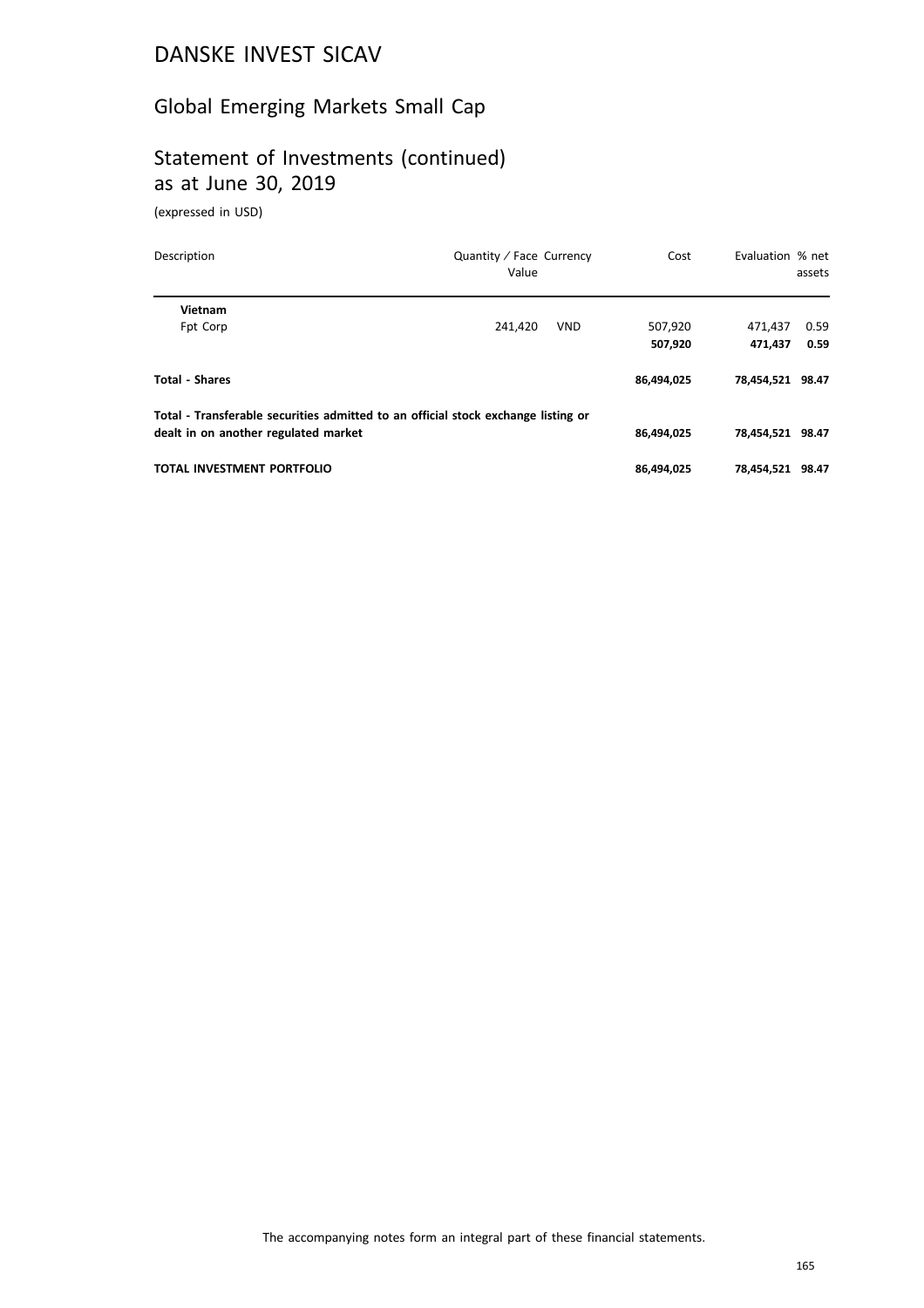### Global Emerging Markets Small Cap

# Statement of Investments (continued) as at June 30, 2019

(expressed in USD)

| Description                                                                       | Quantity / Face Currency<br>Value |            | Cost       | Evaluation % net | assets |
|-----------------------------------------------------------------------------------|-----------------------------------|------------|------------|------------------|--------|
| Vietnam                                                                           |                                   |            |            |                  |        |
| Fpt Corp                                                                          | 241.420                           | <b>VND</b> | 507,920    | 471.437          | 0.59   |
|                                                                                   |                                   |            | 507,920    | 471.437          | 0.59   |
| <b>Total - Shares</b>                                                             |                                   |            | 86,494,025 | 78,454,521 98.47 |        |
| Total - Transferable securities admitted to an official stock exchange listing or |                                   |            |            |                  |        |
| dealt in on another regulated market                                              |                                   |            | 86,494,025 | 78,454,521 98.47 |        |
| TOTAL INVESTMENT PORTFOLIO                                                        |                                   |            | 86,494,025 | 78,454,521       | 98.47  |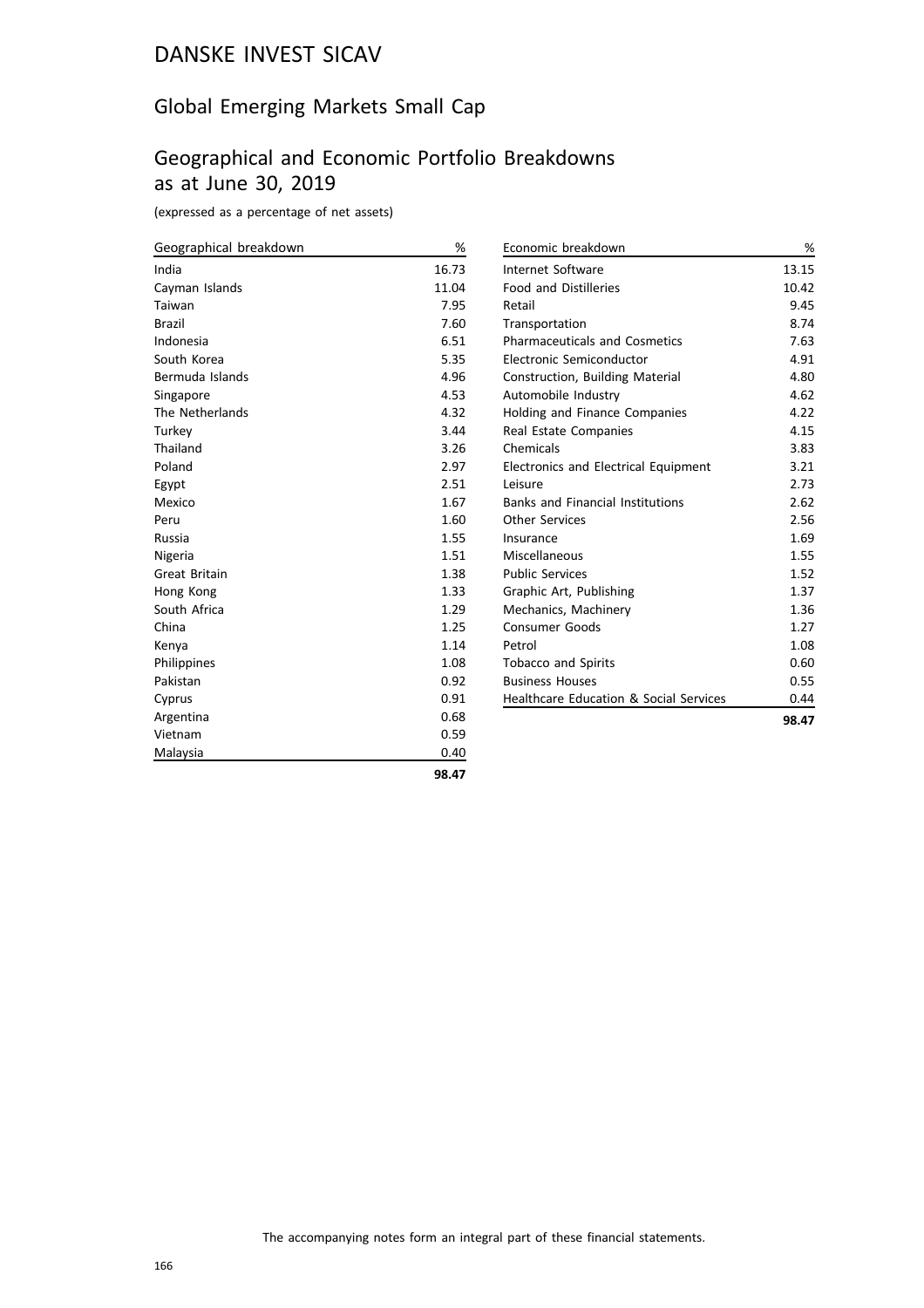### Global Emerging Markets Small Cap

# Geographical and Economic Portfolio Breakdowns as at June 30, 2019

(expressed as a percentage of net assets)

| Geographical breakdown | %     | Economic breakdown                      | $\%$  |
|------------------------|-------|-----------------------------------------|-------|
| India                  | 16.73 | Internet Software                       | 13.15 |
| Cayman Islands         | 11.04 | <b>Food and Distilleries</b>            | 10.42 |
| Taiwan                 | 7.95  | Retail                                  | 9.45  |
| <b>Brazil</b>          | 7.60  | Transportation                          | 8.74  |
| Indonesia              | 6.51  | <b>Pharmaceuticals and Cosmetics</b>    | 7.63  |
| South Korea            | 5.35  | Electronic Semiconductor                | 4.91  |
| Bermuda Islands        | 4.96  | Construction, Building Material         | 4.80  |
| Singapore              | 4.53  | Automobile Industry                     | 4.62  |
| The Netherlands        | 4.32  | Holding and Finance Companies           | 4.22  |
| Turkey                 | 3.44  | Real Estate Companies                   | 4.15  |
| Thailand               | 3.26  | Chemicals                               | 3.83  |
| Poland                 | 2.97  | Electronics and Electrical Equipment    | 3.21  |
| Egypt                  | 2.51  | Leisure                                 | 2.73  |
| Mexico                 | 1.67  | <b>Banks and Financial Institutions</b> | 2.62  |
| Peru                   | 1.60  | <b>Other Services</b>                   | 2.56  |
| Russia                 | 1.55  | Insurance                               | 1.69  |
| Nigeria                | 1.51  | Miscellaneous                           | 1.55  |
| Great Britain          | 1.38  | <b>Public Services</b>                  | 1.52  |
| Hong Kong              | 1.33  | Graphic Art, Publishing                 | 1.37  |
| South Africa           | 1.29  | Mechanics, Machinery                    | 1.36  |
| China                  | 1.25  | <b>Consumer Goods</b>                   | 1.27  |
| Kenya                  | 1.14  | Petrol                                  | 1.08  |
| Philippines            | 1.08  | <b>Tobacco and Spirits</b>              | 0.60  |
| Pakistan               | 0.92  | <b>Business Houses</b>                  | 0.55  |
| Cyprus                 | 0.91  | Healthcare Education & Social Services  | 0.44  |
| Argentina              | 0.68  |                                         | 98.47 |
| Vietnam                | 0.59  |                                         |       |
| Malaysia               | 0.40  |                                         |       |

**98.47**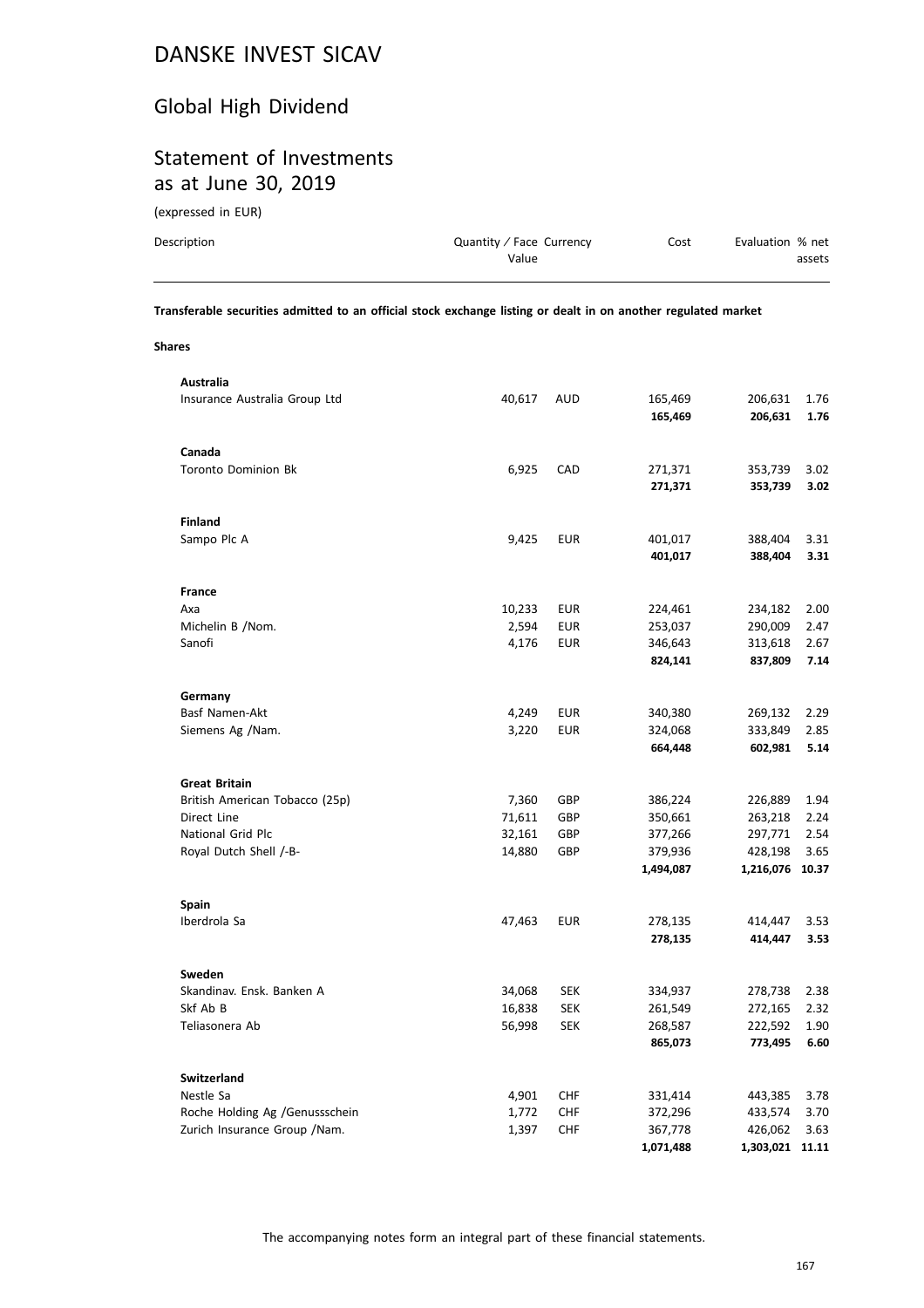# Global High Dividend

# Statement of Investments as at June 30, 2019

(expressed in EUR)

| Description | Quantity / Face Currency | Cost | Evaluation % net |
|-------------|--------------------------|------|------------------|
|             | Value                    |      | assets           |
|             |                          |      |                  |

**Transferable securities admitted to an official stock exchange listing or dealt in on another regulated market**

**Shares**

| Australia                      |        |            |           |                 |       |
|--------------------------------|--------|------------|-----------|-----------------|-------|
| Insurance Australia Group Ltd  | 40,617 | AUD        | 165,469   | 206,631         | 1.76  |
|                                |        |            | 165,469   | 206,631         | 1.76  |
|                                |        |            |           |                 |       |
| Canada                         |        |            |           |                 |       |
| <b>Toronto Dominion Bk</b>     | 6,925  | CAD        | 271,371   | 353,739         | 3.02  |
|                                |        |            | 271,371   | 353,739         | 3.02  |
|                                |        |            |           |                 |       |
| <b>Finland</b>                 |        |            |           |                 |       |
| Sampo Plc A                    | 9,425  | <b>EUR</b> | 401,017   | 388,404         | 3.31  |
|                                |        |            | 401,017   | 388,404         | 3.31  |
|                                |        |            |           |                 |       |
| <b>France</b>                  |        |            |           |                 |       |
| Axa                            | 10,233 | <b>EUR</b> | 224,461   | 234,182         | 2.00  |
| Michelin B / Nom.              | 2,594  | EUR        | 253,037   | 290,009         | 2.47  |
|                                |        |            |           |                 |       |
| Sanofi                         | 4,176  | <b>EUR</b> | 346,643   | 313,618         | 2.67  |
|                                |        |            | 824,141   | 837,809         | 7.14  |
|                                |        |            |           |                 |       |
| Germany                        |        |            |           |                 |       |
| Basf Namen-Akt                 | 4,249  | <b>EUR</b> | 340,380   | 269,132         | 2.29  |
| Siemens Ag /Nam.               | 3,220  | <b>EUR</b> | 324,068   | 333,849         | 2.85  |
|                                |        |            | 664,448   | 602,981         | 5.14  |
|                                |        |            |           |                 |       |
| <b>Great Britain</b>           |        |            |           |                 |       |
| British American Tobacco (25p) | 7,360  | GBP        | 386,224   | 226,889         | 1.94  |
| Direct Line                    | 71,611 | GBP        | 350,661   | 263,218         | 2.24  |
| National Grid Plc              | 32,161 | GBP        | 377,266   | 297,771         | 2.54  |
| Royal Dutch Shell /-B-         | 14,880 | GBP        | 379,936   | 428,198         | 3.65  |
|                                |        |            | 1,494,087 | 1,216,076 10.37 |       |
|                                |        |            |           |                 |       |
| <b>Spain</b>                   |        |            |           |                 |       |
| Iberdrola Sa                   | 47,463 | <b>EUR</b> | 278,135   | 414,447         | 3.53  |
|                                |        |            | 278,135   | 414,447         | 3.53  |
|                                |        |            |           |                 |       |
| Sweden                         |        |            |           |                 |       |
| Skandinav. Ensk. Banken A      | 34,068 | <b>SEK</b> | 334,937   | 278,738         | 2.38  |
| Skf Ab B                       | 16,838 | SEK        | 261,549   | 272,165         | 2.32  |
| Teliasonera Ab                 | 56,998 | <b>SEK</b> | 268,587   | 222,592         | 1.90  |
|                                |        |            | 865,073   | 773,495         | 6.60  |
|                                |        |            |           |                 |       |
| <b>Switzerland</b>             |        |            |           |                 |       |
| Nestle Sa                      | 4,901  | CHF        | 331,414   | 443,385         | 3.78  |
| Roche Holding Ag /Genussschein | 1,772  | <b>CHF</b> | 372,296   | 433,574         | 3.70  |
| Zurich Insurance Group / Nam.  | 1,397  | <b>CHF</b> | 367,778   | 426,062         | 3.63  |
|                                |        |            | 1,071,488 | 1,303,021       | 11.11 |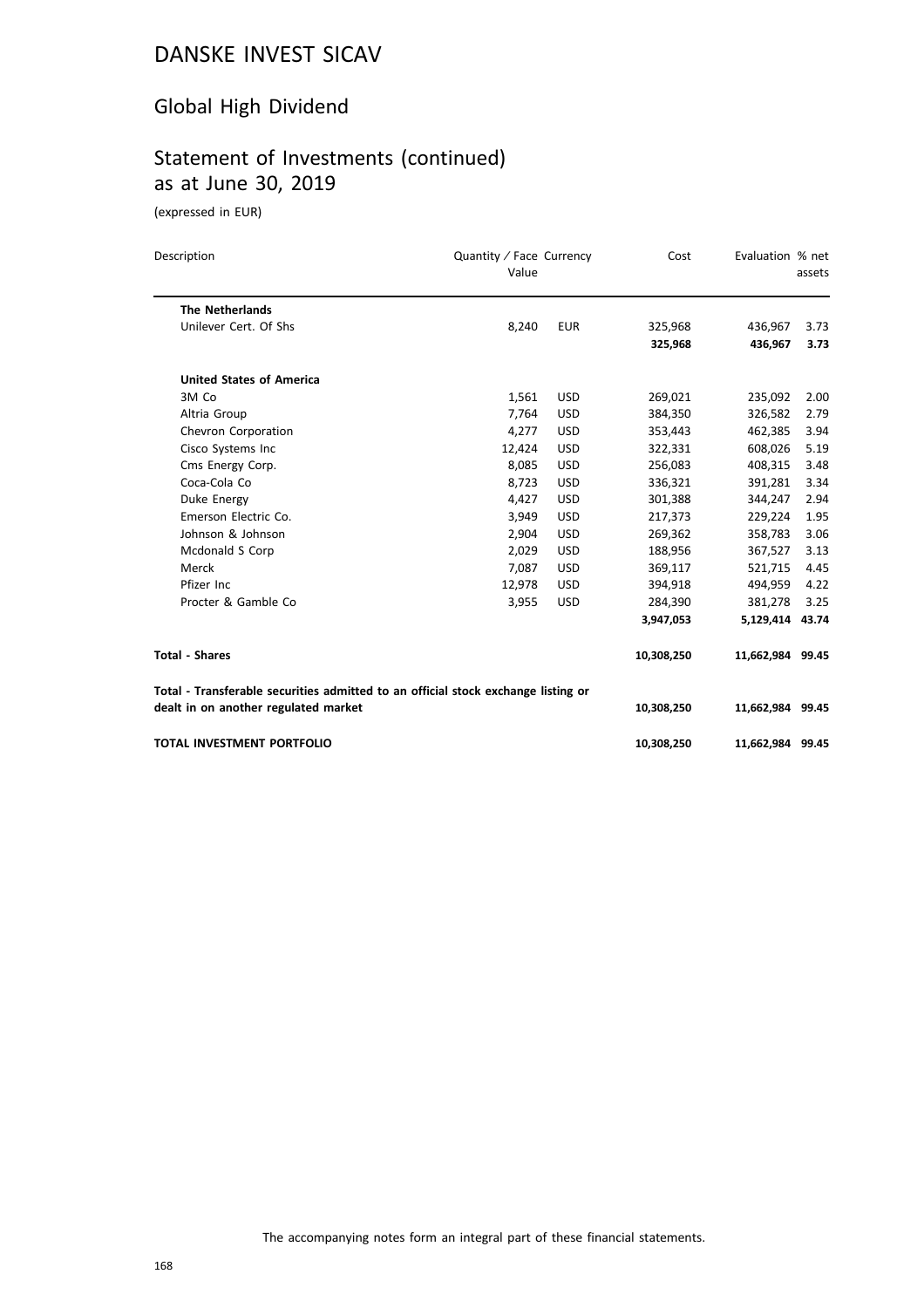### Global High Dividend

## Statement of Investments (continued) as at June 30, 2019

| Description                                                                       | Quantity / Face Currency<br>Value |            | Cost       | Evaluation % net | assets |
|-----------------------------------------------------------------------------------|-----------------------------------|------------|------------|------------------|--------|
| <b>The Netherlands</b>                                                            |                                   |            |            |                  |        |
| Unilever Cert. Of Shs                                                             | 8,240                             | <b>EUR</b> | 325,968    | 436,967          | 3.73   |
|                                                                                   |                                   |            | 325,968    | 436,967          | 3.73   |
| <b>United States of America</b>                                                   |                                   |            |            |                  |        |
| 3M Co                                                                             | 1,561                             | <b>USD</b> | 269,021    | 235,092          | 2.00   |
| Altria Group                                                                      | 7,764                             | <b>USD</b> | 384,350    | 326,582          | 2.79   |
| Chevron Corporation                                                               | 4,277                             | <b>USD</b> | 353,443    | 462,385          | 3.94   |
| Cisco Systems Inc                                                                 | 12,424                            | <b>USD</b> | 322,331    | 608,026          | 5.19   |
| Cms Energy Corp.                                                                  | 8,085                             | <b>USD</b> | 256,083    | 408,315          | 3.48   |
| Coca-Cola Co                                                                      | 8,723                             | <b>USD</b> | 336,321    | 391,281          | 3.34   |
| Duke Energy                                                                       | 4,427                             | <b>USD</b> | 301,388    | 344,247          | 2.94   |
| Emerson Electric Co.                                                              | 3,949                             | <b>USD</b> | 217,373    | 229,224          | 1.95   |
| Johnson & Johnson                                                                 | 2,904                             | <b>USD</b> | 269,362    | 358,783          | 3.06   |
| Mcdonald S Corp                                                                   | 2,029                             | <b>USD</b> | 188,956    | 367,527          | 3.13   |
| Merck                                                                             | 7,087                             | <b>USD</b> | 369,117    | 521,715          | 4.45   |
| Pfizer Inc.                                                                       | 12,978                            | <b>USD</b> | 394,918    | 494,959          | 4.22   |
| Procter & Gamble Co                                                               | 3,955                             | <b>USD</b> | 284,390    | 381,278          | 3.25   |
|                                                                                   |                                   |            | 3,947,053  | 5,129,414 43.74  |        |
| <b>Total - Shares</b>                                                             |                                   |            | 10,308,250 | 11,662,984 99.45 |        |
| Total - Transferable securities admitted to an official stock exchange listing or |                                   |            |            |                  |        |
| dealt in on another regulated market                                              |                                   |            | 10,308,250 | 11,662,984 99.45 |        |
| <b>TOTAL INVESTMENT PORTFOLIO</b>                                                 |                                   |            | 10,308,250 | 11,662,984 99.45 |        |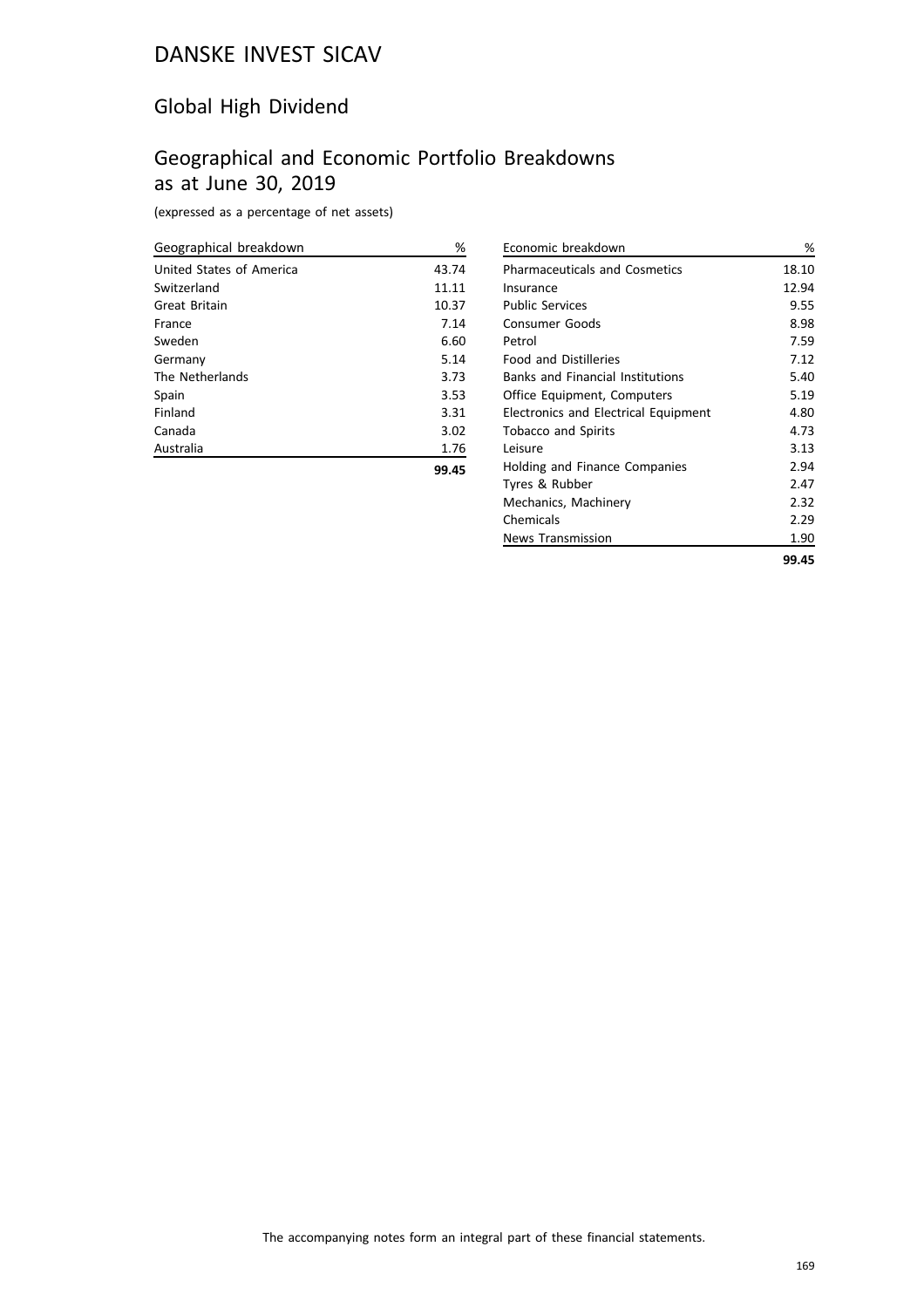### Global High Dividend

### Geographical and Economic Portfolio Breakdowns as at June 30, 2019

(expressed as a percentage of net assets)

| Geographical breakdown   | %     |
|--------------------------|-------|
| United States of America | 43.74 |
| Switzerland              | 11.11 |
| Great Britain            | 10.37 |
| France                   | 7.14  |
| Sweden                   | 6.60  |
| Germany                  | 5.14  |
| The Netherlands          | 3.73  |
| Spain                    | 3.53  |
| Finland                  | 3.31  |
| Canada                   | 3.02  |
| Australia                | 1.76  |
|                          | 99.45 |

| Economic breakdown                      | %     |
|-----------------------------------------|-------|
| <b>Pharmaceuticals and Cosmetics</b>    | 18.10 |
| Insurance                               | 12.94 |
| <b>Public Services</b>                  | 9.55  |
| Consumer Goods                          | 8.98  |
| Petrol                                  | 7.59  |
| <b>Food and Distilleries</b>            | 7.12  |
| <b>Banks and Financial Institutions</b> | 5.40  |
| Office Equipment, Computers             | 5.19  |
| Electronics and Electrical Equipment    | 4.80  |
| <b>Tobacco and Spirits</b>              | 4.73  |
| l eisure                                | 3.13  |
| Holding and Finance Companies           | 2.94  |
| Tyres & Rubber                          | 2.47  |
| Mechanics, Machinery                    | 2.32  |
| Chemicals                               | 2.29  |
| <b>News Transmission</b>                | 1.90  |
|                                         | 99.45 |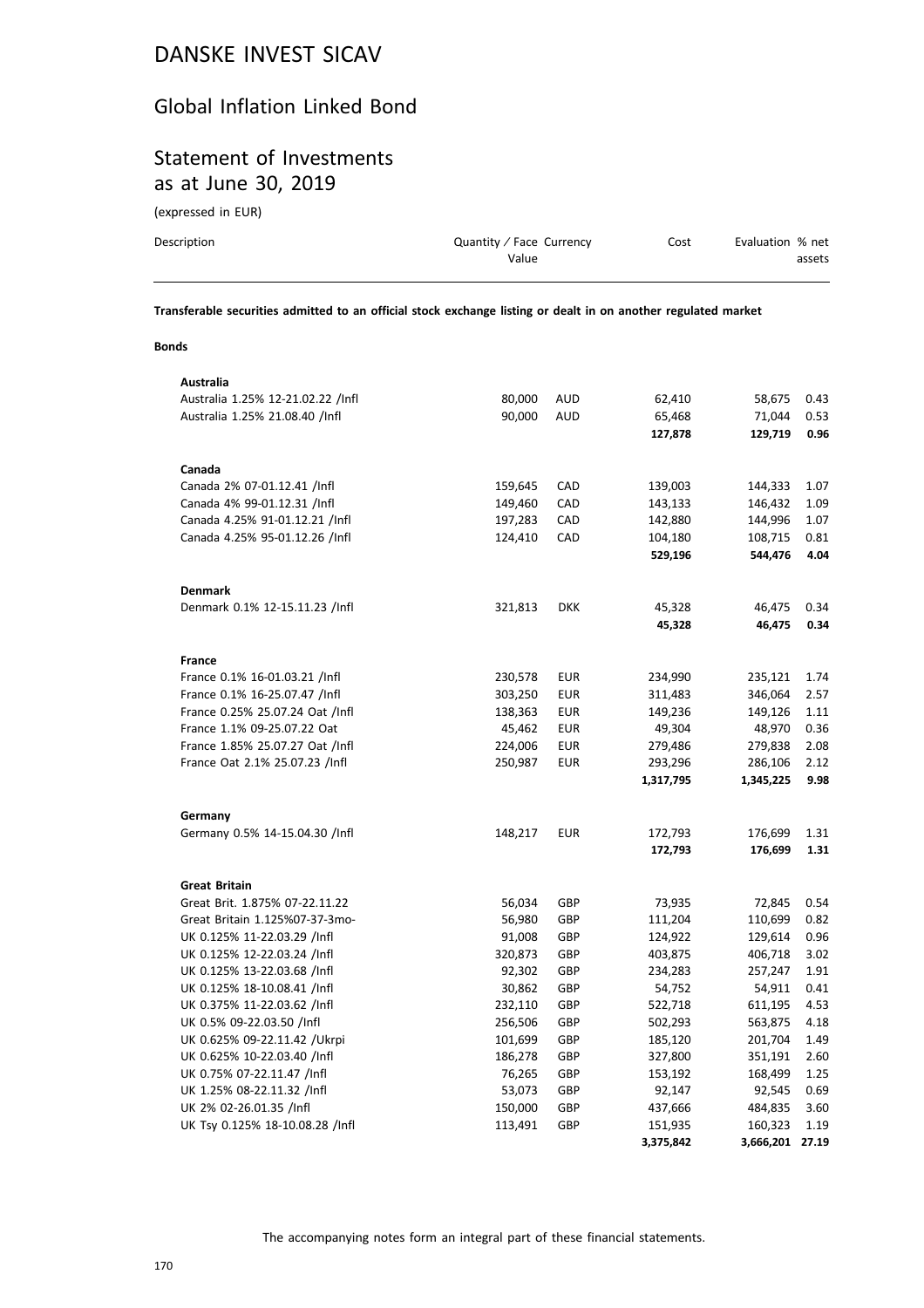### Global Inflation Linked Bond

# Statement of Investments as at June 30, 2019

(expressed in EUR)

| Description | Quantity / Face Currency | Cost | Evaluation % net |
|-------------|--------------------------|------|------------------|
|             | Value                    |      | assets           |
|             |                          |      |                  |

**Transferable securities admitted to an official stock exchange listing or dealt in on another regulated market**

### **Bonds**

| Australia                         |         |            |           |                 |      |
|-----------------------------------|---------|------------|-----------|-----------------|------|
| Australia 1.25% 12-21.02.22 /Infl | 80,000  | AUD        | 62,410    | 58,675          | 0.43 |
| Australia 1.25% 21.08.40 /Infl    | 90,000  | <b>AUD</b> | 65,468    | 71,044          | 0.53 |
|                                   |         |            | 127,878   | 129,719         | 0.96 |
| Canada                            |         |            |           |                 |      |
| Canada 2% 07-01.12.41 /Infl       | 159,645 | CAD        | 139,003   | 144,333         | 1.07 |
| Canada 4% 99-01.12.31 /Infl       | 149,460 | CAD        | 143,133   | 146,432         | 1.09 |
| Canada 4.25% 91-01.12.21 /Infl    | 197,283 | CAD        | 142,880   | 144,996         | 1.07 |
| Canada 4.25% 95-01.12.26 /Infl    | 124,410 | CAD        | 104,180   | 108,715         | 0.81 |
|                                   |         |            | 529,196   | 544,476         | 4.04 |
| <b>Denmark</b>                    |         |            |           |                 |      |
| Denmark 0.1% 12-15.11.23 /Infl    | 321,813 | <b>DKK</b> | 45,328    | 46,475          | 0.34 |
|                                   |         |            | 45,328    | 46,475          | 0.34 |
| France                            |         |            |           |                 |      |
| France 0.1% 16-01.03.21 /Infl     | 230,578 | EUR        | 234,990   | 235,121         | 1.74 |
| France 0.1% 16-25.07.47 /Infl     | 303,250 | <b>EUR</b> | 311,483   | 346,064         | 2.57 |
| France 0.25% 25.07.24 Oat /Infl   | 138,363 | <b>EUR</b> | 149,236   | 149,126         | 1.11 |
| France 1.1% 09-25.07.22 Oat       | 45,462  | EUR        | 49,304    | 48,970          | 0.36 |
| France 1.85% 25.07.27 Oat /Infl   | 224,006 | <b>EUR</b> | 279,486   | 279,838         | 2.08 |
| France Oat 2.1% 25.07.23 /Infl    | 250,987 | <b>EUR</b> | 293,296   | 286,106         | 2.12 |
|                                   |         |            | 1,317,795 | 1,345,225       | 9.98 |
| Germany                           |         |            |           |                 |      |
| Germany 0.5% 14-15.04.30 /Infl    | 148,217 | <b>EUR</b> | 172,793   | 176,699         | 1.31 |
|                                   |         |            | 172,793   | 176,699         | 1.31 |
| <b>Great Britain</b>              |         |            |           |                 |      |
| Great Brit. 1.875% 07-22.11.22    | 56,034  | GBP        | 73,935    | 72,845          | 0.54 |
| Great Britain 1.125%07-37-3mo-    | 56,980  | GBP        | 111,204   | 110,699         | 0.82 |
| UK 0.125% 11-22.03.29 /Infl       | 91,008  | GBP        | 124,922   | 129,614         | 0.96 |
| UK 0.125% 12-22.03.24 /Infl       | 320,873 | GBP        | 403,875   | 406,718         | 3.02 |
| UK 0.125% 13-22.03.68 /Infl       | 92,302  | GBP        | 234,283   | 257,247         | 1.91 |
| UK 0.125% 18-10.08.41 /Infl       | 30,862  | GBP        | 54,752    | 54,911          | 0.41 |
| UK 0.375% 11-22.03.62 /Infl       | 232,110 | GBP        | 522,718   | 611,195         | 4.53 |
| UK 0.5% 09-22.03.50 /Infl         | 256,506 | GBP        | 502,293   | 563,875         | 4.18 |
| UK 0.625% 09-22.11.42 / Ukrpi     | 101,699 | GBP        | 185,120   | 201,704         | 1.49 |
| UK 0.625% 10-22.03.40 /Infl       | 186,278 | GBP        | 327,800   | 351,191         | 2.60 |
| UK 0.75% 07-22.11.47 /Infl        | 76,265  | GBP        | 153,192   | 168,499         | 1.25 |
| UK 1.25% 08-22.11.32 /Infl        | 53,073  | GBP        | 92,147    | 92,545          | 0.69 |
| UK 2% 02-26.01.35 /Infl           | 150,000 | GBP        | 437,666   | 484,835         | 3.60 |
| UK Tsy 0.125% 18-10.08.28 /Infl   | 113,491 | GBP        | 151,935   | 160,323         | 1.19 |
|                                   |         |            | 3,375,842 | 3,666,201 27.19 |      |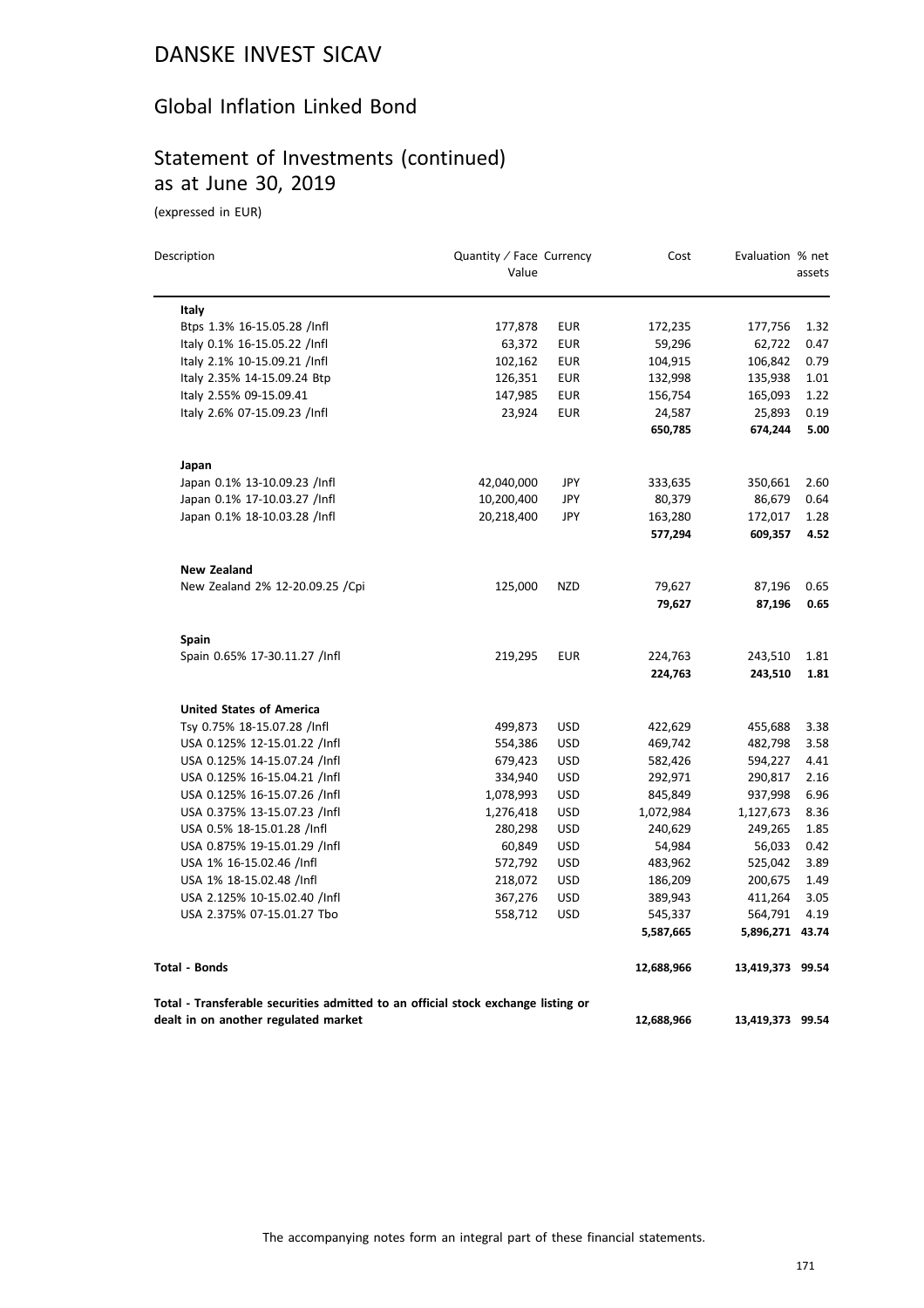### Global Inflation Linked Bond

### Statement of Investments (continued) as at June 30, 2019

| Description<br>Quantity / Face Currency<br>Value                                                                          |            |            | Cost       | Evaluation % net | assets |
|---------------------------------------------------------------------------------------------------------------------------|------------|------------|------------|------------------|--------|
| Italy                                                                                                                     |            |            |            |                  |        |
| Btps 1.3% 16-15.05.28 /Infl                                                                                               | 177,878    | <b>EUR</b> | 172,235    | 177,756          | 1.32   |
| Italy 0.1% 16-15.05.22 /Infl                                                                                              | 63,372     | <b>EUR</b> | 59,296     | 62,722           | 0.47   |
| Italy 2.1% 10-15.09.21 /Infl                                                                                              | 102,162    | <b>EUR</b> | 104,915    | 106,842          | 0.79   |
| Italy 2.35% 14-15.09.24 Btp                                                                                               | 126,351    | <b>EUR</b> | 132,998    | 135,938          | 1.01   |
| Italy 2.55% 09-15.09.41                                                                                                   | 147,985    | <b>EUR</b> | 156,754    | 165,093          | 1.22   |
| Italy 2.6% 07-15.09.23 /Infl                                                                                              | 23,924     | <b>EUR</b> | 24,587     | 25,893           | 0.19   |
|                                                                                                                           |            |            | 650,785    | 674,244          | 5.00   |
| Japan                                                                                                                     |            |            |            |                  |        |
| Japan 0.1% 13-10.09.23 /Infl                                                                                              | 42,040,000 | JPY        | 333,635    | 350,661          | 2.60   |
| Japan 0.1% 17-10.03.27 /Infl                                                                                              | 10,200,400 | JPY        | 80,379     | 86,679           | 0.64   |
| Japan 0.1% 18-10.03.28 /Infl                                                                                              | 20,218,400 | JPY        | 163,280    | 172,017          | 1.28   |
|                                                                                                                           |            |            | 577,294    | 609,357          | 4.52   |
| <b>New Zealand</b>                                                                                                        |            |            |            |                  |        |
| New Zealand 2% 12-20.09.25 / Cpi                                                                                          | 125,000    | <b>NZD</b> | 79,627     | 87,196           | 0.65   |
|                                                                                                                           |            |            | 79,627     | 87,196           | 0.65   |
| Spain                                                                                                                     |            |            |            |                  |        |
| Spain 0.65% 17-30.11.27 /Infl                                                                                             | 219,295    | <b>EUR</b> | 224,763    | 243,510          | 1.81   |
|                                                                                                                           |            |            | 224,763    | 243,510          | 1.81   |
| <b>United States of America</b>                                                                                           |            |            |            |                  |        |
| Tsy 0.75% 18-15.07.28 /Infl                                                                                               | 499,873    | <b>USD</b> | 422,629    | 455,688          | 3.38   |
| USA 0.125% 12-15.01.22 /Infl                                                                                              | 554,386    | <b>USD</b> | 469,742    | 482,798          | 3.58   |
| USA 0.125% 14-15.07.24 /Infl                                                                                              | 679,423    | <b>USD</b> | 582,426    | 594,227          | 4.41   |
| USA 0.125% 16-15.04.21 /Infl                                                                                              | 334,940    | <b>USD</b> | 292,971    | 290,817          | 2.16   |
| USA 0.125% 16-15.07.26 /Infl                                                                                              | 1,078,993  | <b>USD</b> | 845,849    | 937,998          | 6.96   |
| USA 0.375% 13-15.07.23 /Infl                                                                                              | 1,276,418  | <b>USD</b> | 1,072,984  | 1,127,673        | 8.36   |
| USA 0.5% 18-15.01.28 /Infl                                                                                                | 280,298    | <b>USD</b> | 240,629    | 249,265          | 1.85   |
| USA 0.875% 19-15.01.29 /Infl                                                                                              | 60,849     | <b>USD</b> | 54,984     | 56,033           | 0.42   |
| USA 1% 16-15.02.46 /Infl                                                                                                  | 572,792    | <b>USD</b> | 483,962    | 525,042          | 3.89   |
| USA 1% 18-15.02.48 /Infl                                                                                                  | 218,072    | <b>USD</b> | 186,209    | 200,675          | 1.49   |
| USA 2.125% 10-15.02.40 /Infl                                                                                              | 367,276    | <b>USD</b> | 389,943    | 411,264          | 3.05   |
| USA 2.375% 07-15.01.27 Tbo                                                                                                | 558,712    | <b>USD</b> | 545,337    | 564,791          | 4.19   |
|                                                                                                                           |            |            | 5,587,665  | 5,896,271 43.74  |        |
| <b>Total - Bonds</b>                                                                                                      |            |            | 12,688,966 | 13,419,373 99.54 |        |
| Total - Transferable securities admitted to an official stock exchange listing or<br>dealt in on another regulated market |            |            |            |                  |        |
|                                                                                                                           |            |            | 12,688,966 | 13,419,373 99.54 |        |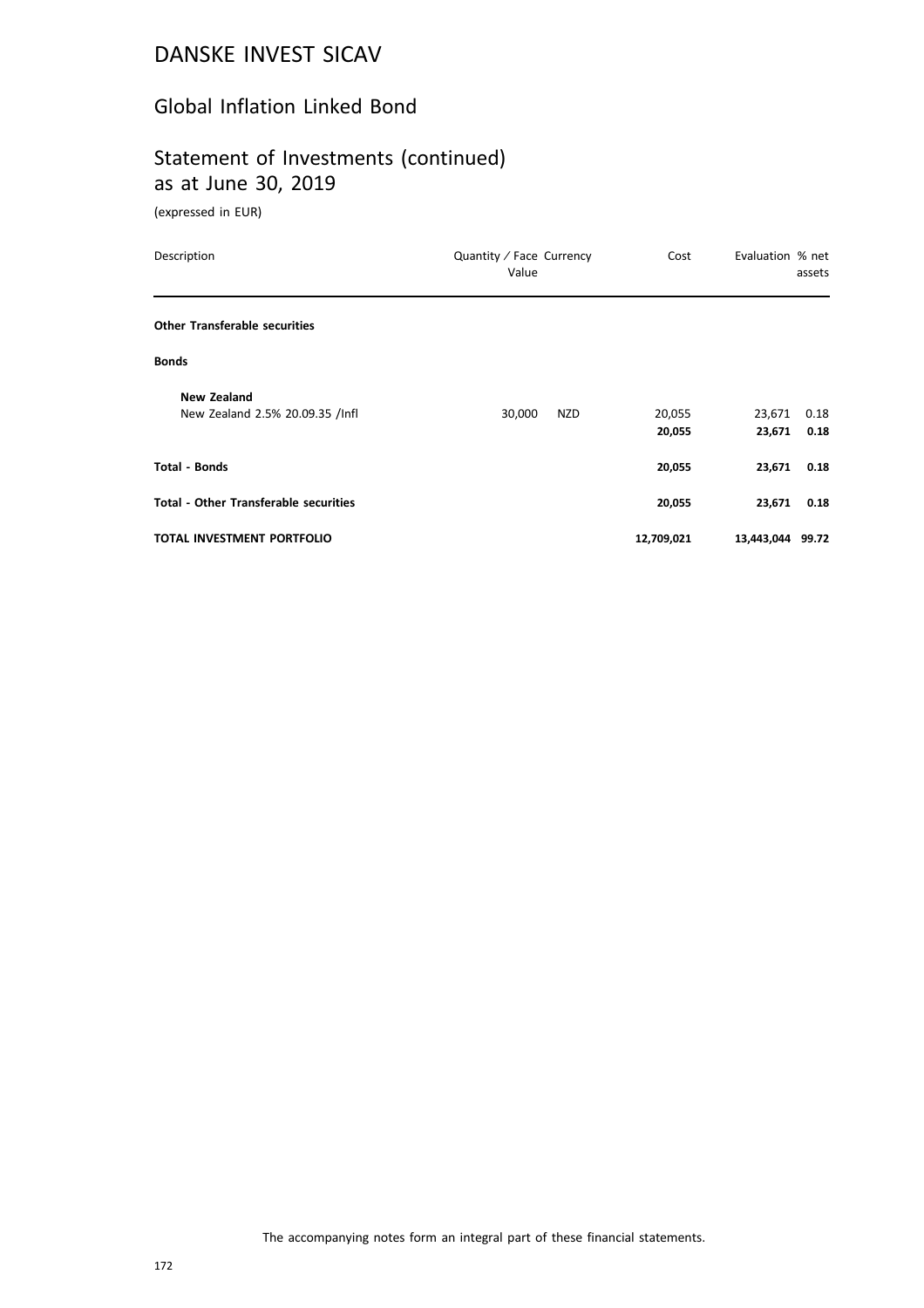### Global Inflation Linked Bond

# Statement of Investments (continued) as at June 30, 2019

| Description                                           | Quantity / Face Currency<br>Value | Cost             | Evaluation % net<br>assets       |
|-------------------------------------------------------|-----------------------------------|------------------|----------------------------------|
| <b>Other Transferable securities</b>                  |                                   |                  |                                  |
| <b>Bonds</b>                                          |                                   |                  |                                  |
| <b>New Zealand</b><br>New Zealand 2.5% 20.09.35 /Infl | 30,000<br>NZD                     | 20,055<br>20,055 | 23,671<br>0.18<br>23,671<br>0.18 |
| <b>Total - Bonds</b>                                  |                                   | 20,055           | 23,671<br>0.18                   |
| <b>Total - Other Transferable securities</b>          |                                   | 20,055           | 23,671<br>0.18                   |
| TOTAL INVESTMENT PORTFOLIO                            |                                   | 12,709,021       | 13,443,044 99.72                 |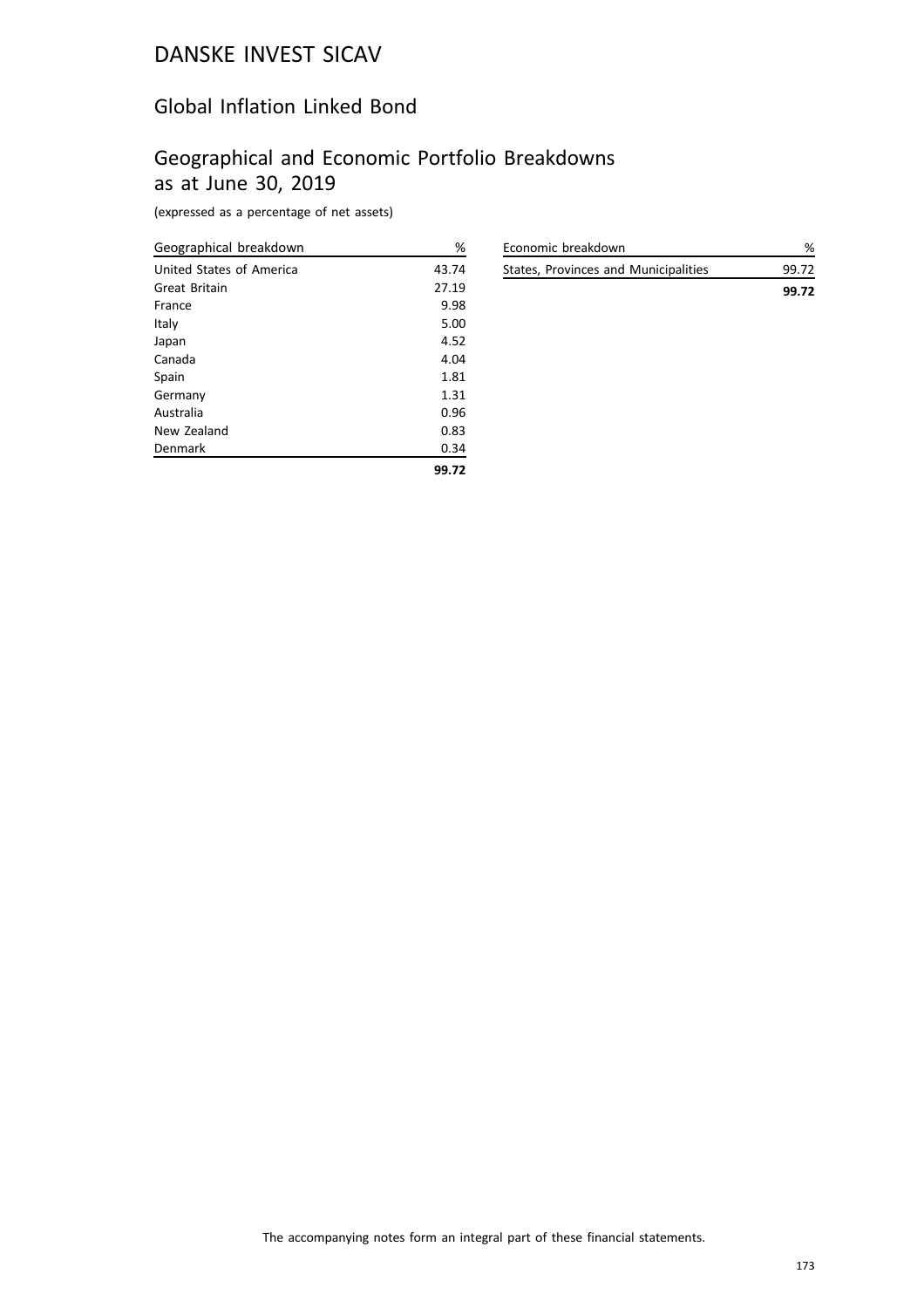### Global Inflation Linked Bond

# Geographical and Economic Portfolio Breakdowns as at June 30, 2019

(expressed as a percentage of net assets)

| Geographical breakdown   | %     |
|--------------------------|-------|
| United States of America | 43.74 |
| Great Britain            | 27.19 |
| France                   | 9.98  |
| Italy                    | 5.00  |
| Japan                    | 4.52  |
| Canada                   | 4.04  |
| Spain                    | 1.81  |
| Germany                  | 1.31  |
| Australia                | 0.96  |
| New Zealand              | 0.83  |
| Denmark                  | 0.34  |
|                          | 99.72 |

| Economic breakdown                   | %     |
|--------------------------------------|-------|
| States, Provinces and Municipalities | 99.72 |
|                                      | 99.72 |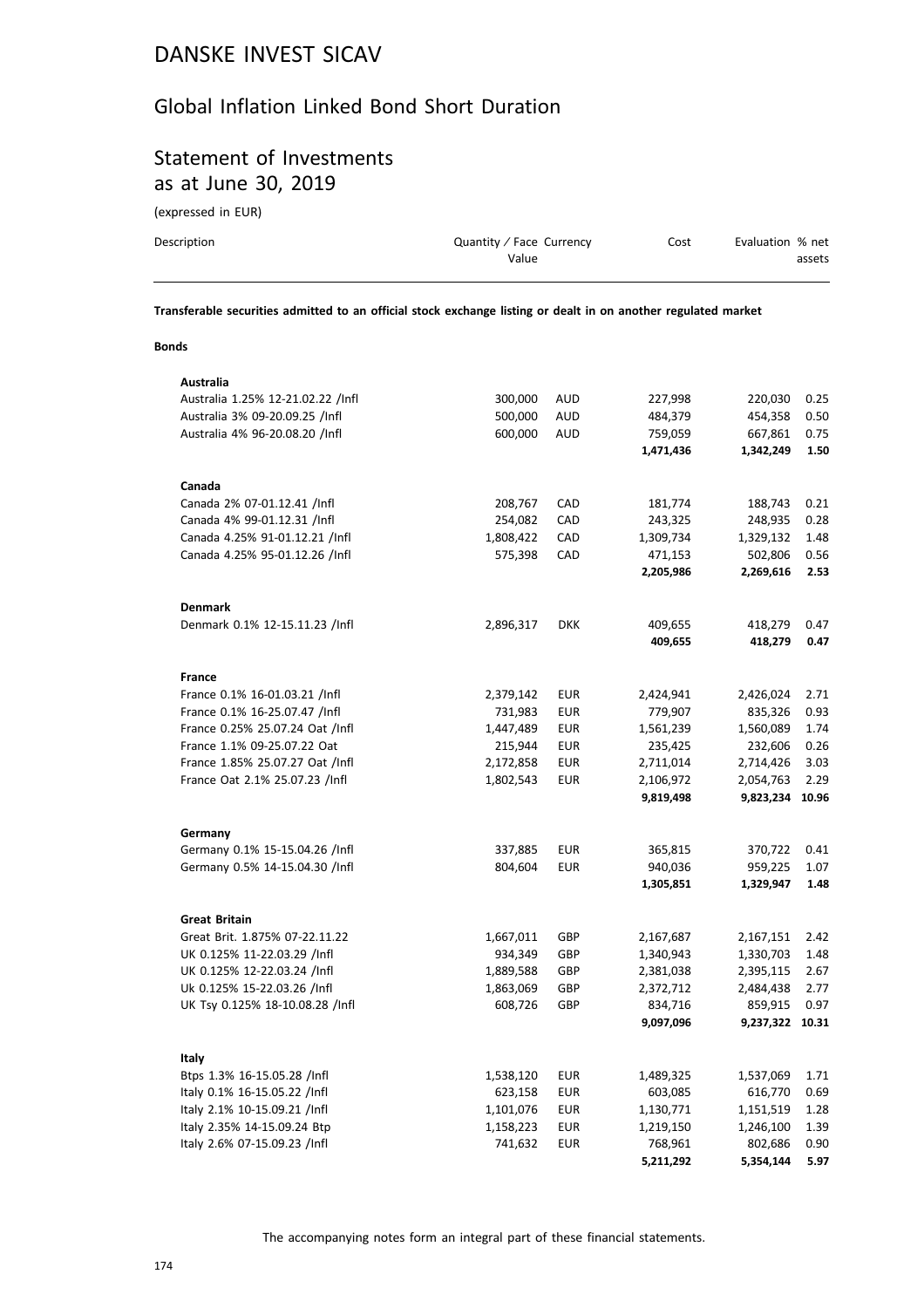### Global Inflation Linked Bond Short Duration

# Statement of Investments as at June 30, 2019

(expressed in EUR)

| Description | Quantity / Face Currency<br>Value | Cost | Evaluation % net<br>assets |
|-------------|-----------------------------------|------|----------------------------|
|             |                                   |      |                            |

**Transferable securities admitted to an official stock exchange listing or dealt in on another regulated market**

### **Bonds**

| Australia                         |           |            |           |           |       |
|-----------------------------------|-----------|------------|-----------|-----------|-------|
| Australia 1.25% 12-21.02.22 /Infl | 300,000   | <b>AUD</b> | 227,998   | 220,030   | 0.25  |
| Australia 3% 09-20.09.25 /Infl    | 500,000   | <b>AUD</b> | 484,379   | 454,358   | 0.50  |
| Australia 4% 96-20.08.20 /Infl    | 600,000   | <b>AUD</b> | 759,059   | 667,861   | 0.75  |
|                                   |           |            | 1,471,436 | 1,342,249 | 1.50  |
| Canada                            |           |            |           |           |       |
| Canada 2% 07-01.12.41 /Infl       | 208,767   | CAD        | 181,774   | 188,743   | 0.21  |
| Canada 4% 99-01.12.31 /Infl       | 254,082   | CAD        | 243,325   | 248,935   | 0.28  |
| Canada 4.25% 91-01.12.21 /Infl    | 1,808,422 | CAD        | 1,309,734 | 1,329,132 | 1.48  |
| Canada 4.25% 95-01.12.26 /Infl    | 575,398   | CAD        | 471,153   | 502,806   | 0.56  |
|                                   |           |            | 2,205,986 | 2,269,616 | 2.53  |
| <b>Denmark</b>                    |           |            |           |           |       |
| Denmark 0.1% 12-15.11.23 /Infl    | 2,896,317 | <b>DKK</b> | 409,655   | 418,279   | 0.47  |
|                                   |           |            | 409,655   | 418,279   | 0.47  |
| <b>France</b>                     |           |            |           |           |       |
| France 0.1% 16-01.03.21 /Infl     | 2,379,142 | EUR        | 2,424,941 | 2,426,024 | 2.71  |
| France 0.1% 16-25.07.47 /Infl     | 731,983   | <b>EUR</b> | 779,907   | 835,326   | 0.93  |
| France 0.25% 25.07.24 Oat /Infl   | 1,447,489 | <b>EUR</b> | 1,561,239 | 1,560,089 | 1.74  |
| France 1.1% 09-25.07.22 Oat       | 215,944   | <b>EUR</b> | 235,425   | 232,606   | 0.26  |
| France 1.85% 25.07.27 Oat /Infl   | 2,172,858 | <b>EUR</b> | 2,711,014 | 2,714,426 | 3.03  |
| France Oat 2.1% 25.07.23 /Infl    | 1,802,543 | <b>EUR</b> | 2,106,972 | 2,054,763 | 2.29  |
|                                   |           |            | 9,819,498 | 9,823,234 | 10.96 |
| Germany                           |           |            |           |           |       |
| Germany 0.1% 15-15.04.26 /Infl    | 337,885   | <b>EUR</b> | 365,815   | 370,722   | 0.41  |
| Germany 0.5% 14-15.04.30 /Infl    | 804,604   | <b>EUR</b> | 940,036   | 959,225   | 1.07  |
|                                   |           |            | 1,305,851 | 1,329,947 | 1.48  |
| <b>Great Britain</b>              |           |            |           |           |       |
| Great Brit. 1.875% 07-22.11.22    | 1,667,011 | GBP        | 2,167,687 | 2,167,151 | 2.42  |
| UK 0.125% 11-22.03.29 /Infl       | 934,349   | GBP        | 1,340,943 | 1,330,703 | 1.48  |
| UK 0.125% 12-22.03.24 /Infl       | 1,889,588 | GBP        | 2,381,038 | 2,395,115 | 2.67  |
| Uk 0.125% 15-22.03.26 /Infl       | 1,863,069 | GBP        | 2,372,712 | 2,484,438 | 2.77  |
| UK Tsy 0.125% 18-10.08.28 /Infl   | 608,726   | GBP        | 834,716   | 859,915   | 0.97  |
|                                   |           |            | 9,097,096 | 9,237,322 | 10.31 |
| Italy                             |           |            |           |           |       |
| Btps 1.3% 16-15.05.28 /Infl       | 1,538,120 | <b>EUR</b> | 1,489,325 | 1,537,069 | 1.71  |
| Italy 0.1% 16-15.05.22 /Infl      | 623,158   | EUR        | 603,085   | 616,770   | 0.69  |
| Italy 2.1% 10-15.09.21 /Infl      | 1,101,076 | <b>EUR</b> | 1,130,771 | 1,151,519 | 1.28  |
| Italy 2.35% 14-15.09.24 Btp       | 1,158,223 | <b>EUR</b> | 1,219,150 | 1,246,100 | 1.39  |
| Italy 2.6% 07-15.09.23 /Infl      | 741,632   | <b>EUR</b> | 768,961   | 802,686   | 0.90  |
|                                   |           |            | 5,211,292 | 5,354,144 | 5.97  |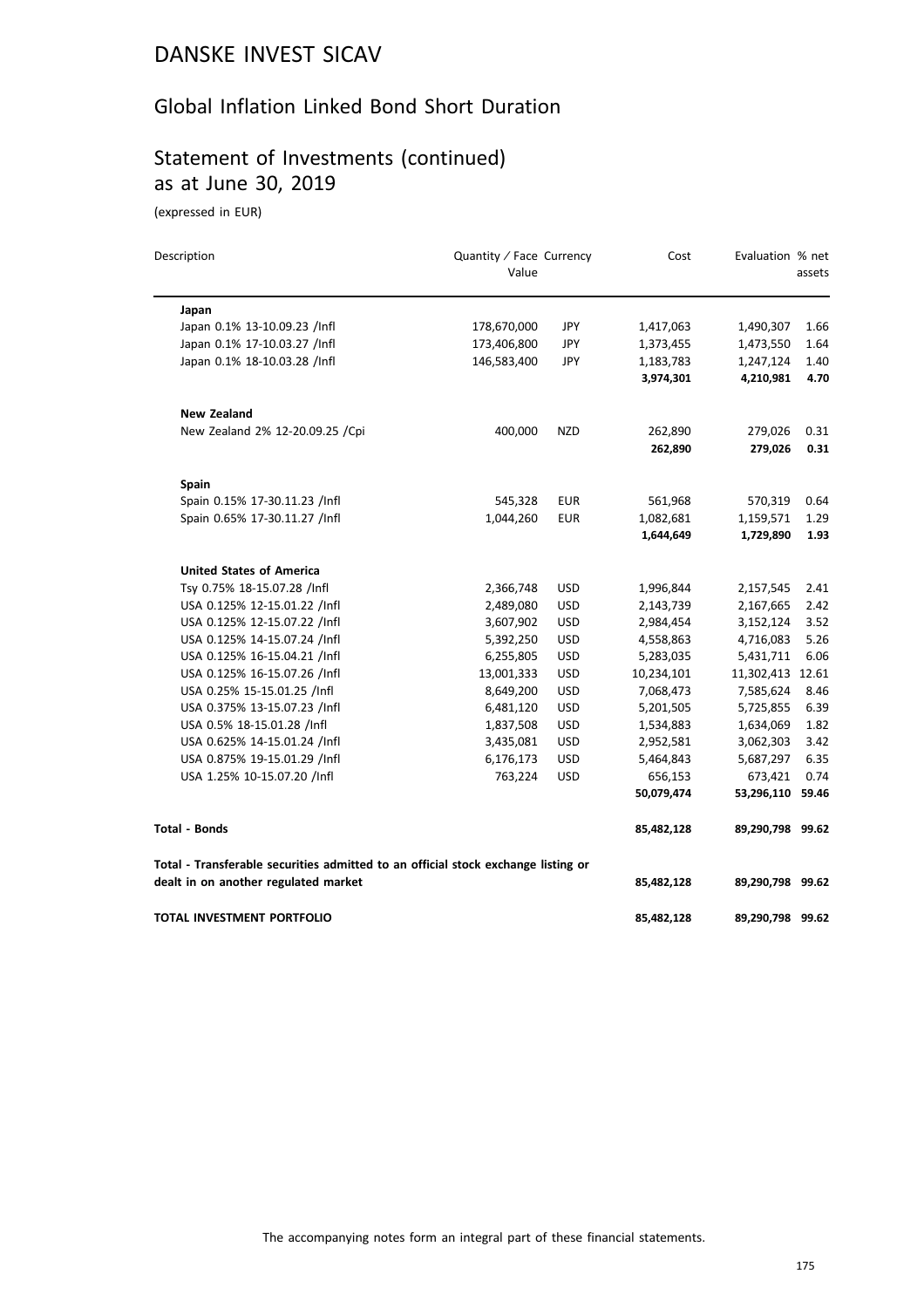# Global Inflation Linked Bond Short Duration

# Statement of Investments (continued) as at June 30, 2019

| Description                                                                       | Quantity / Face Currency<br>Value |            | Cost       | Evaluation % net | assets |
|-----------------------------------------------------------------------------------|-----------------------------------|------------|------------|------------------|--------|
| Japan                                                                             |                                   |            |            |                  |        |
| Japan 0.1% 13-10.09.23 /Infl                                                      | 178,670,000                       | JPY        | 1,417,063  | 1,490,307        | 1.66   |
| Japan 0.1% 17-10.03.27 /Infl                                                      | 173,406,800                       | JPY        | 1,373,455  | 1,473,550        | 1.64   |
| Japan 0.1% 18-10.03.28 /Infl                                                      | 146,583,400                       | JPY        | 1,183,783  | 1,247,124        | 1.40   |
|                                                                                   |                                   |            | 3,974,301  | 4,210,981        | 4.70   |
| <b>New Zealand</b>                                                                |                                   |            |            |                  |        |
| New Zealand 2% 12-20.09.25 /Cpi                                                   | 400,000                           | <b>NZD</b> | 262,890    | 279,026          | 0.31   |
|                                                                                   |                                   |            | 262,890    | 279,026          | 0.31   |
| <b>Spain</b>                                                                      |                                   |            |            |                  |        |
| Spain 0.15% 17-30.11.23 /Infl                                                     | 545,328                           | <b>EUR</b> | 561,968    | 570,319          | 0.64   |
| Spain 0.65% 17-30.11.27 /Infl                                                     | 1,044,260                         | <b>EUR</b> | 1,082,681  | 1,159,571        | 1.29   |
|                                                                                   |                                   |            | 1,644,649  | 1,729,890        | 1.93   |
| <b>United States of America</b>                                                   |                                   |            |            |                  |        |
| Tsy 0.75% 18-15.07.28 /Infl                                                       | 2,366,748                         | <b>USD</b> | 1,996,844  | 2,157,545        | 2.41   |
| USA 0.125% 12-15.01.22 /Infl                                                      | 2,489,080                         | <b>USD</b> | 2,143,739  | 2,167,665        | 2.42   |
| USA 0.125% 12-15.07.22 /Infl                                                      | 3,607,902                         | <b>USD</b> | 2,984,454  | 3,152,124        | 3.52   |
| USA 0.125% 14-15.07.24 /Infl                                                      | 5,392,250                         | <b>USD</b> | 4,558,863  | 4,716,083        | 5.26   |
| USA 0.125% 16-15.04.21 /Infl                                                      | 6,255,805                         | <b>USD</b> | 5,283,035  | 5,431,711        | 6.06   |
| USA 0.125% 16-15.07.26 /Infl                                                      | 13,001,333                        | <b>USD</b> | 10,234,101 | 11,302,413 12.61 |        |
| USA 0.25% 15-15.01.25 /Infl                                                       | 8,649,200                         | <b>USD</b> | 7,068,473  | 7,585,624        | 8.46   |
| USA 0.375% 13-15.07.23 /Infl                                                      | 6,481,120                         | <b>USD</b> | 5,201,505  | 5,725,855        | 6.39   |
| USA 0.5% 18-15.01.28 /Infl                                                        | 1,837,508                         | <b>USD</b> | 1,534,883  | 1,634,069        | 1.82   |
| USA 0.625% 14-15.01.24 /Infl                                                      | 3,435,081                         | <b>USD</b> | 2,952,581  | 3,062,303        | 3.42   |
| USA 0.875% 19-15.01.29 /Infl                                                      | 6,176,173                         | <b>USD</b> | 5,464,843  | 5,687,297        | 6.35   |
| USA 1.25% 10-15.07.20 /Infl                                                       | 763,224                           | <b>USD</b> | 656,153    | 673,421          | 0.74   |
|                                                                                   |                                   |            | 50,079,474 | 53,296,110       | 59.46  |
| <b>Total - Bonds</b>                                                              |                                   |            | 85,482,128 | 89,290,798 99.62 |        |
| Total - Transferable securities admitted to an official stock exchange listing or |                                   |            |            |                  |        |
| dealt in on another regulated market                                              |                                   |            | 85,482,128 | 89,290,798 99.62 |        |
| TOTAL INVESTMENT PORTFOLIO                                                        |                                   |            | 85,482,128 | 89,290,798 99.62 |        |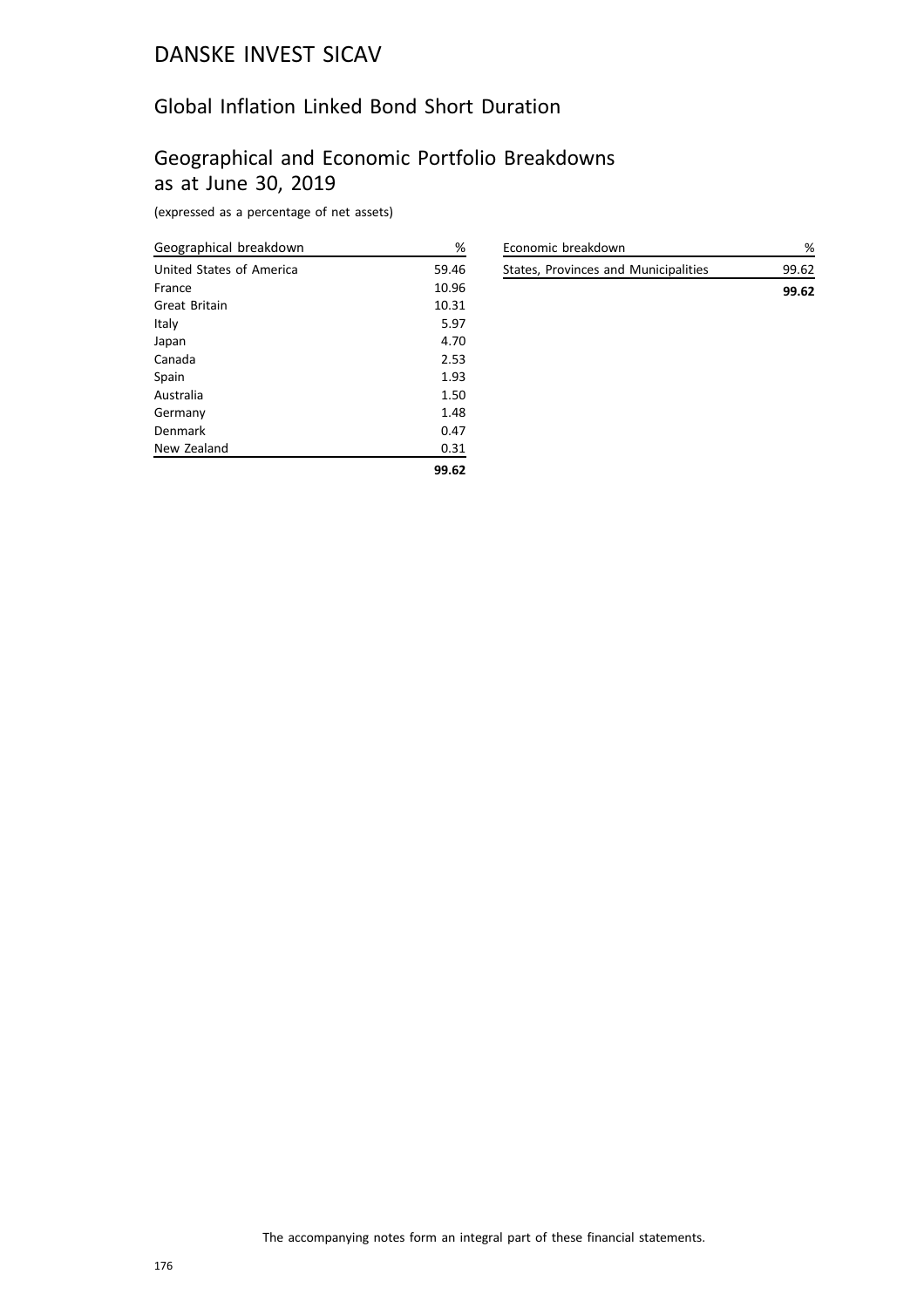### Global Inflation Linked Bond Short Duration

# Geographical and Economic Portfolio Breakdowns as at June 30, 2019

(expressed as a percentage of net assets)

| Geographical breakdown   | $\%$  |
|--------------------------|-------|
| United States of America | 59.46 |
| France                   | 10.96 |
| Great Britain            | 10.31 |
| Italy                    | 5.97  |
| Japan                    | 4.70  |
| Canada                   | 2.53  |
| Spain                    | 1.93  |
| Australia                | 1.50  |
| Germany                  | 1.48  |
| Denmark                  | 0.47  |
| New Zealand              | 0.31  |
|                          | 99.62 |

| Economic breakdown                   | %     |
|--------------------------------------|-------|
| States, Provinces and Municipalities | 99.62 |
|                                      | 99.62 |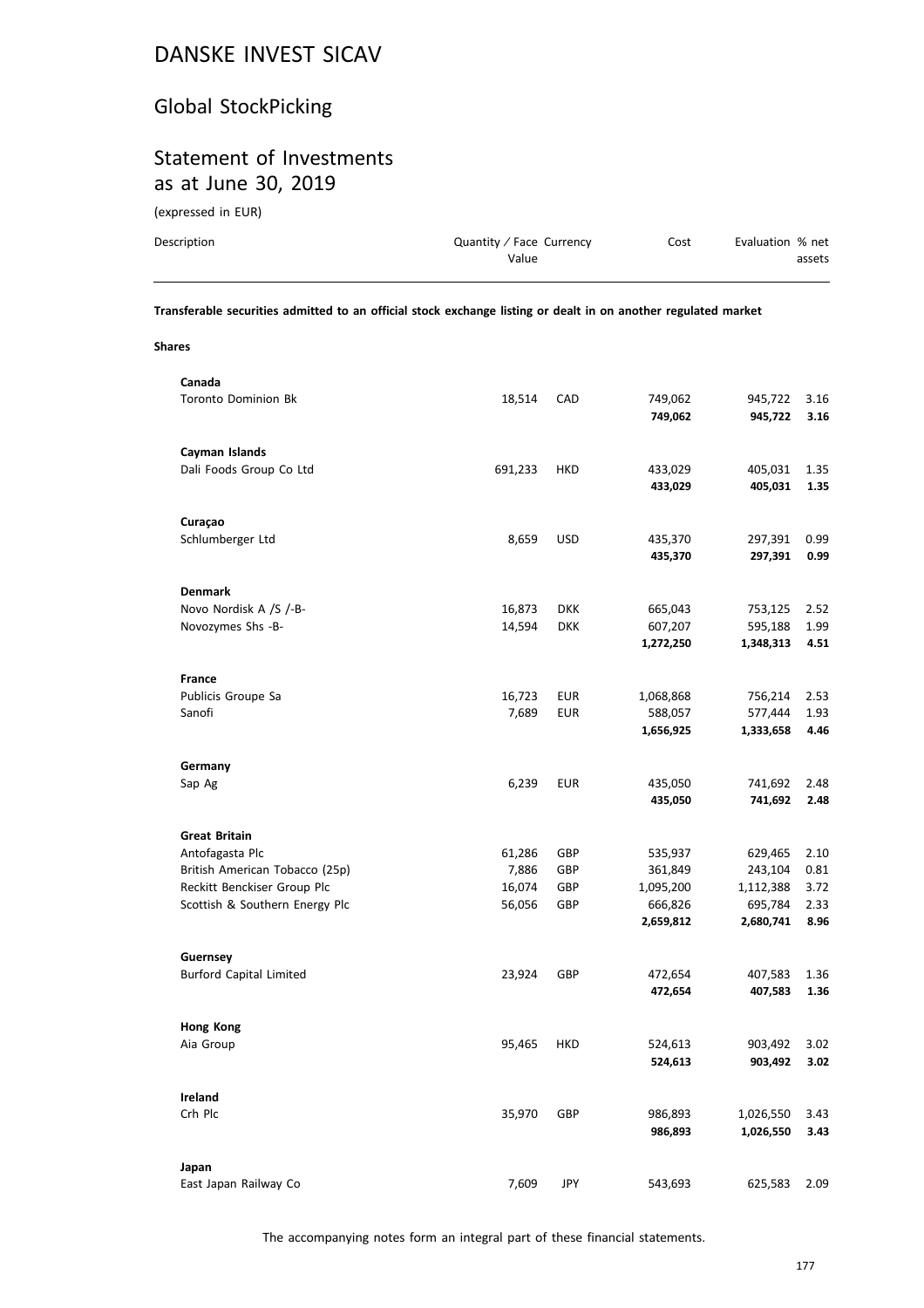# Global StockPicking

### Statement of Investments as at June 30, 2019

(expressed in EUR)

| Description | Quantity / Face Currency | Cost | Evaluation % net |
|-------------|--------------------------|------|------------------|
|             | Value                    |      | assets           |
|             |                          |      |                  |

**Transferable securities admitted to an official stock exchange listing or dealt in on another regulated market**

**Shares**

| Canada                                    |         |            |           |           |      |
|-------------------------------------------|---------|------------|-----------|-----------|------|
| <b>Toronto Dominion Bk</b>                | 18,514  | CAD        | 749,062   | 945,722   | 3.16 |
|                                           |         |            | 749,062   | 945,722   | 3.16 |
|                                           |         |            |           |           |      |
| Cayman Islands<br>Dali Foods Group Co Ltd | 691,233 | HKD        | 433,029   | 405,031   | 1.35 |
|                                           |         |            | 433,029   | 405,031   | 1.35 |
|                                           |         |            |           |           |      |
| Curaçao                                   |         |            |           |           |      |
| Schlumberger Ltd                          | 8,659   | <b>USD</b> | 435,370   | 297,391   | 0.99 |
|                                           |         |            | 435,370   | 297,391   | 0.99 |
|                                           |         |            |           |           |      |
| <b>Denmark</b>                            |         |            |           |           |      |
| Novo Nordisk A /S /-B-                    | 16,873  | <b>DKK</b> | 665,043   | 753,125   | 2.52 |
| Novozymes Shs -B-                         | 14,594  | <b>DKK</b> | 607,207   | 595,188   | 1.99 |
|                                           |         |            | 1,272,250 | 1,348,313 | 4.51 |
| France                                    |         |            |           |           |      |
| Publicis Groupe Sa                        | 16,723  | EUR        | 1,068,868 | 756,214   | 2.53 |
| Sanofi                                    | 7,689   | <b>EUR</b> | 588,057   | 577,444   | 1.93 |
|                                           |         |            | 1,656,925 | 1,333,658 | 4.46 |
|                                           |         |            |           |           |      |
| Germany                                   |         |            |           |           |      |
| Sap Ag                                    | 6,239   | <b>EUR</b> | 435,050   | 741,692   | 2.48 |
|                                           |         |            | 435,050   | 741,692   | 2.48 |
|                                           |         |            |           |           |      |
| <b>Great Britain</b>                      |         |            |           |           |      |
| Antofagasta Plc                           | 61,286  | GBP        | 535,937   | 629,465   | 2.10 |
| British American Tobacco (25p)            | 7,886   | GBP        | 361,849   | 243,104   | 0.81 |
| Reckitt Benckiser Group Plc               | 16,074  | GBP        | 1,095,200 | 1,112,388 | 3.72 |
| Scottish & Southern Energy Plc            | 56,056  | GBP        | 666,826   | 695,784   | 2.33 |
|                                           |         |            | 2,659,812 | 2,680,741 | 8.96 |
| Guernsey                                  |         |            |           |           |      |
| <b>Burford Capital Limited</b>            | 23,924  | GBP        | 472,654   | 407,583   | 1.36 |
|                                           |         |            | 472,654   | 407,583   | 1.36 |
|                                           |         |            |           |           |      |
| Hong Kong                                 |         |            |           |           |      |
| Aia Group                                 | 95,465  | <b>HKD</b> | 524,613   | 903,492   | 3.02 |
|                                           |         |            | 524,613   | 903,492   | 3.02 |
|                                           |         |            |           |           |      |
| Ireland                                   |         |            |           |           |      |
| Crh Plc                                   | 35,970  | GBP        | 986,893   | 1,026,550 | 3.43 |
|                                           |         |            | 986,893   | 1,026,550 | 3.43 |
| Japan                                     |         |            |           |           |      |
| East Japan Railway Co                     | 7,609   | JPY        | 543,693   | 625,583   | 2.09 |
|                                           |         |            |           |           |      |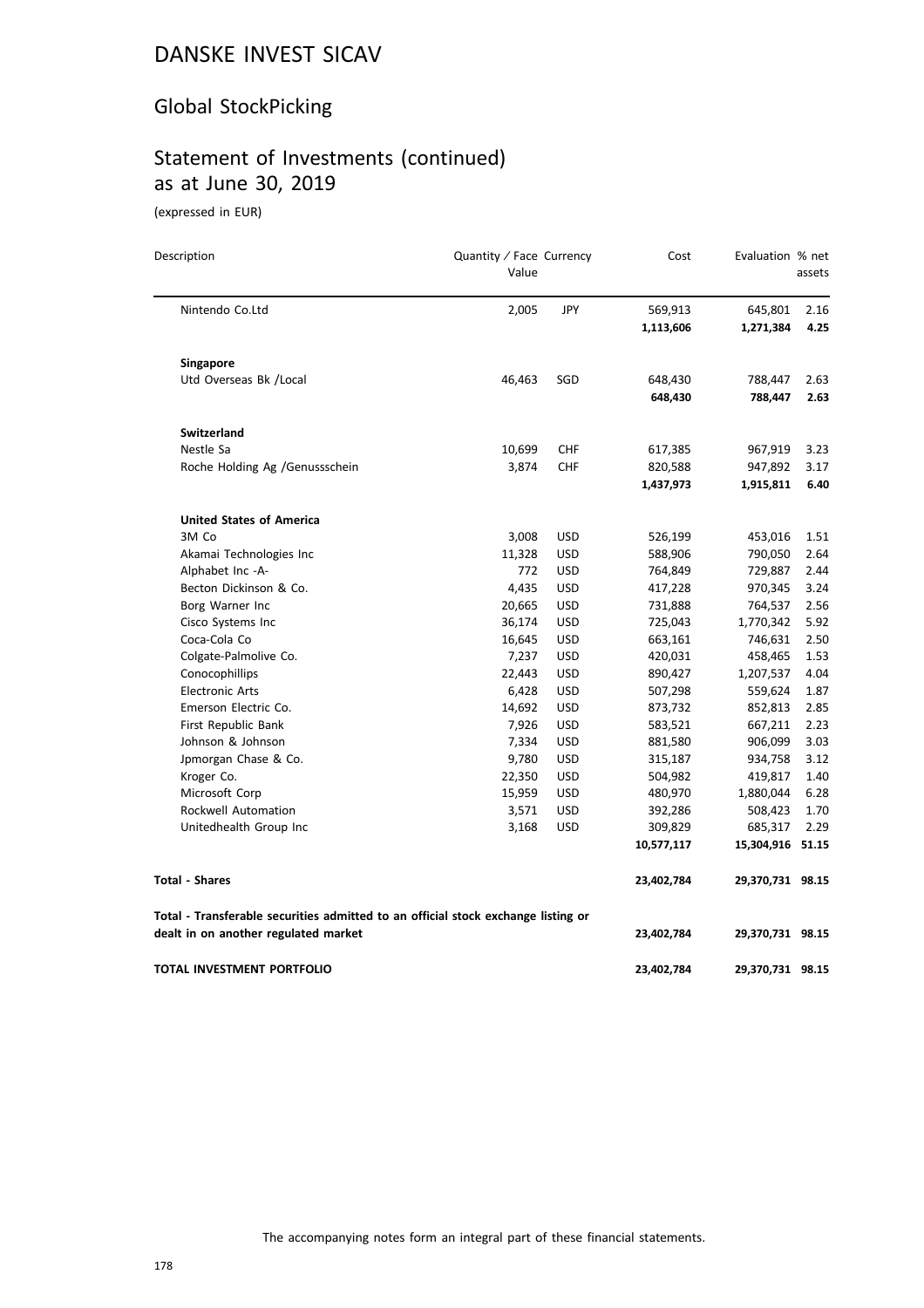### Global StockPicking

# Statement of Investments (continued) as at June 30, 2019

| Description                                                                       | Quantity / Face Currency<br>Value |            | Cost       | Evaluation % net | assets |
|-----------------------------------------------------------------------------------|-----------------------------------|------------|------------|------------------|--------|
| Nintendo Co.Ltd                                                                   | 2,005                             | <b>JPY</b> | 569,913    | 645,801          | 2.16   |
|                                                                                   |                                   |            | 1,113,606  | 1,271,384        | 4.25   |
| <b>Singapore</b>                                                                  |                                   |            |            |                  |        |
| Utd Overseas Bk /Local                                                            | 46,463                            | SGD        | 648,430    | 788,447          | 2.63   |
|                                                                                   |                                   |            | 648,430    | 788,447          | 2.63   |
| Switzerland                                                                       |                                   |            |            |                  |        |
| Nestle Sa                                                                         | 10,699                            | <b>CHF</b> | 617,385    | 967,919          | 3.23   |
| Roche Holding Ag / Genussschein                                                   | 3,874                             | <b>CHF</b> | 820,588    | 947,892          | 3.17   |
|                                                                                   |                                   |            | 1,437,973  | 1,915,811        | 6.40   |
| <b>United States of America</b>                                                   |                                   |            |            |                  |        |
| 3M Co                                                                             | 3,008                             | <b>USD</b> | 526,199    | 453,016          | 1.51   |
| Akamai Technologies Inc                                                           | 11,328                            | USD        | 588,906    | 790,050          | 2.64   |
| Alphabet Inc -A-                                                                  | 772                               | <b>USD</b> | 764,849    | 729,887          | 2.44   |
| Becton Dickinson & Co.                                                            | 4,435                             | <b>USD</b> | 417,228    | 970,345          | 3.24   |
| Borg Warner Inc                                                                   | 20,665                            | <b>USD</b> | 731,888    | 764,537          | 2.56   |
| Cisco Systems Inc                                                                 | 36,174                            | <b>USD</b> | 725,043    | 1,770,342        | 5.92   |
| Coca-Cola Co                                                                      | 16,645                            | USD        | 663,161    | 746,631          | 2.50   |
| Colgate-Palmolive Co.                                                             | 7,237                             | <b>USD</b> | 420,031    | 458,465          | 1.53   |
| Conocophillips                                                                    | 22,443                            | <b>USD</b> | 890,427    | 1,207,537        | 4.04   |
| <b>Electronic Arts</b>                                                            | 6,428                             | <b>USD</b> | 507,298    | 559,624          | 1.87   |
| Emerson Electric Co.                                                              | 14,692                            | <b>USD</b> | 873,732    | 852,813          | 2.85   |
| First Republic Bank                                                               | 7,926                             | <b>USD</b> | 583,521    | 667,211          | 2.23   |
| Johnson & Johnson                                                                 | 7,334                             | <b>USD</b> | 881,580    | 906,099          | 3.03   |
| Jpmorgan Chase & Co.                                                              | 9,780                             | <b>USD</b> | 315,187    | 934,758          | 3.12   |
| Kroger Co.                                                                        | 22,350                            | <b>USD</b> | 504,982    | 419,817          | 1.40   |
| Microsoft Corp                                                                    | 15,959                            | USD        | 480,970    | 1,880,044        | 6.28   |
| <b>Rockwell Automation</b>                                                        | 3,571                             | <b>USD</b> | 392,286    | 508,423          | 1.70   |
| Unitedhealth Group Inc                                                            | 3,168                             | <b>USD</b> | 309,829    | 685,317          | 2.29   |
|                                                                                   |                                   |            | 10,577,117 | 15,304,916 51.15 |        |
| <b>Total - Shares</b>                                                             |                                   |            | 23,402,784 | 29,370,731 98.15 |        |
| Total - Transferable securities admitted to an official stock exchange listing or |                                   |            |            |                  |        |
| dealt in on another regulated market                                              |                                   |            | 23,402,784 | 29,370,731 98.15 |        |
| TOTAL INVESTMENT PORTFOLIO                                                        |                                   |            | 23,402,784 | 29,370,731 98.15 |        |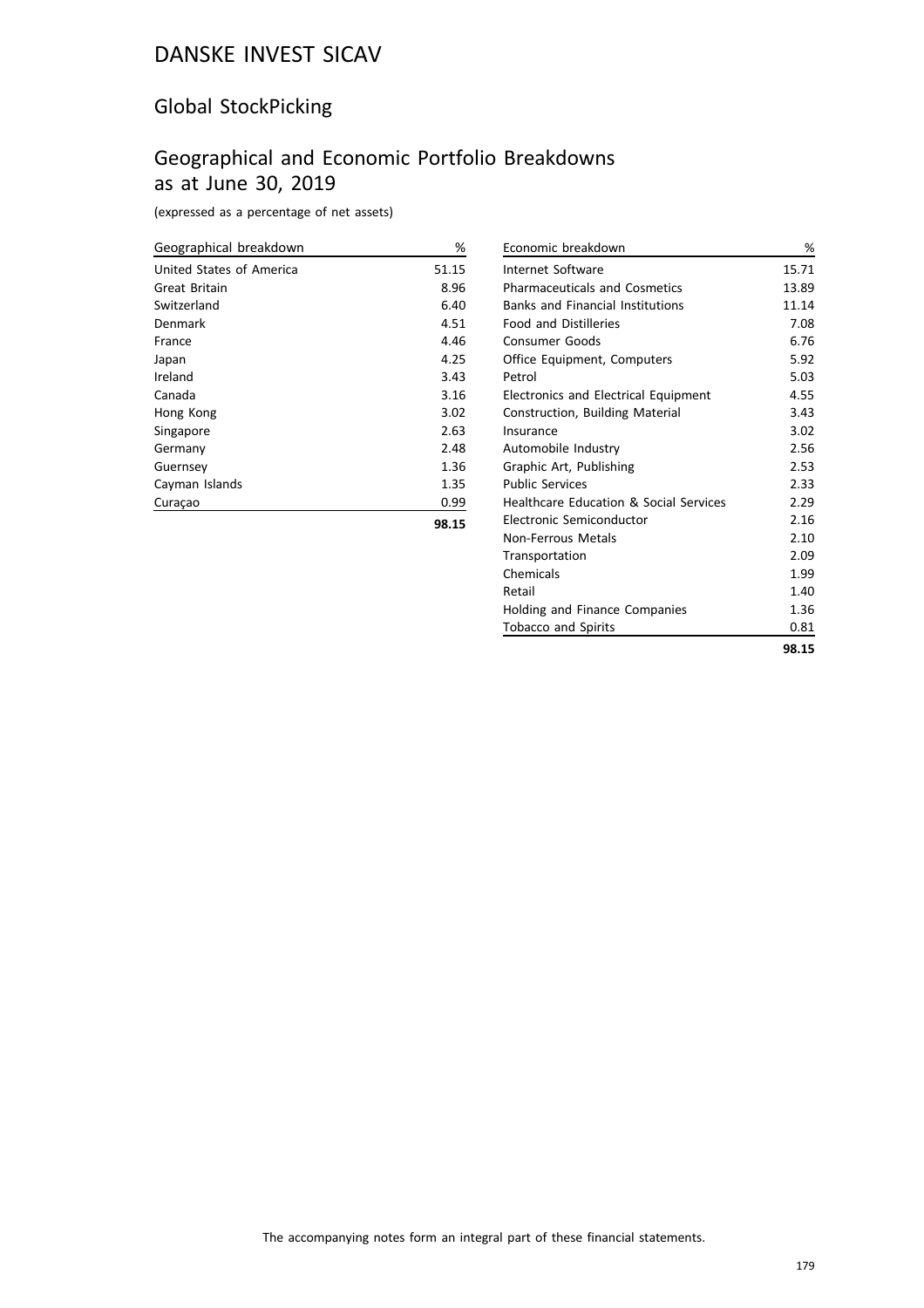### Global StockPicking

# Geographical and Economic Portfolio Breakdowns as at June 30, 2019

(expressed as a percentage of net assets)

| Geographical breakdown   | %     |
|--------------------------|-------|
| United States of America | 51.15 |
| Great Britain            | 8.96  |
| Switzerland              | 6.40  |
| Denmark                  | 4.51  |
| France                   | 4.46  |
| Japan                    | 4.25  |
| Ireland                  | 3.43  |
| Canada                   | 3.16  |
| Hong Kong                | 3.02  |
| Singapore                | 2.63  |
| Germany                  | 2.48  |
| Guernsey                 | 1.36  |
| Cayman Islands           | 1.35  |
| Curaçao                  | 0.99  |
|                          |       |

| Economic breakdown                                | %     |
|---------------------------------------------------|-------|
| Internet Software                                 | 15.71 |
| <b>Pharmaceuticals and Cosmetics</b>              | 13.89 |
| <b>Banks and Financial Institutions</b>           | 11.14 |
| <b>Food and Distilleries</b>                      | 7.08  |
| Consumer Goods                                    | 6.76  |
| Office Equipment, Computers                       | 5.92  |
| Petrol                                            | 5.03  |
| <b>Electronics and Electrical Equipment</b>       | 4.55  |
| Construction, Building Material                   | 3.43  |
| Insurance                                         | 3.02  |
| Automobile Industry                               | 2.56  |
| Graphic Art, Publishing                           | 2.53  |
| <b>Public Services</b>                            | 2.33  |
| <b>Healthcare Education &amp; Social Services</b> | 2.29  |
| Electronic Semiconductor                          | 2.16  |
| Non-Ferrous Metals                                | 2.10  |
| Transportation                                    | 2.09  |
| Chemicals                                         | 1.99  |
| Retail                                            | 1.40  |
| Holding and Finance Companies                     | 1.36  |
| <b>Tobacco and Spirits</b>                        | 0.81  |
|                                                   | 98.15 |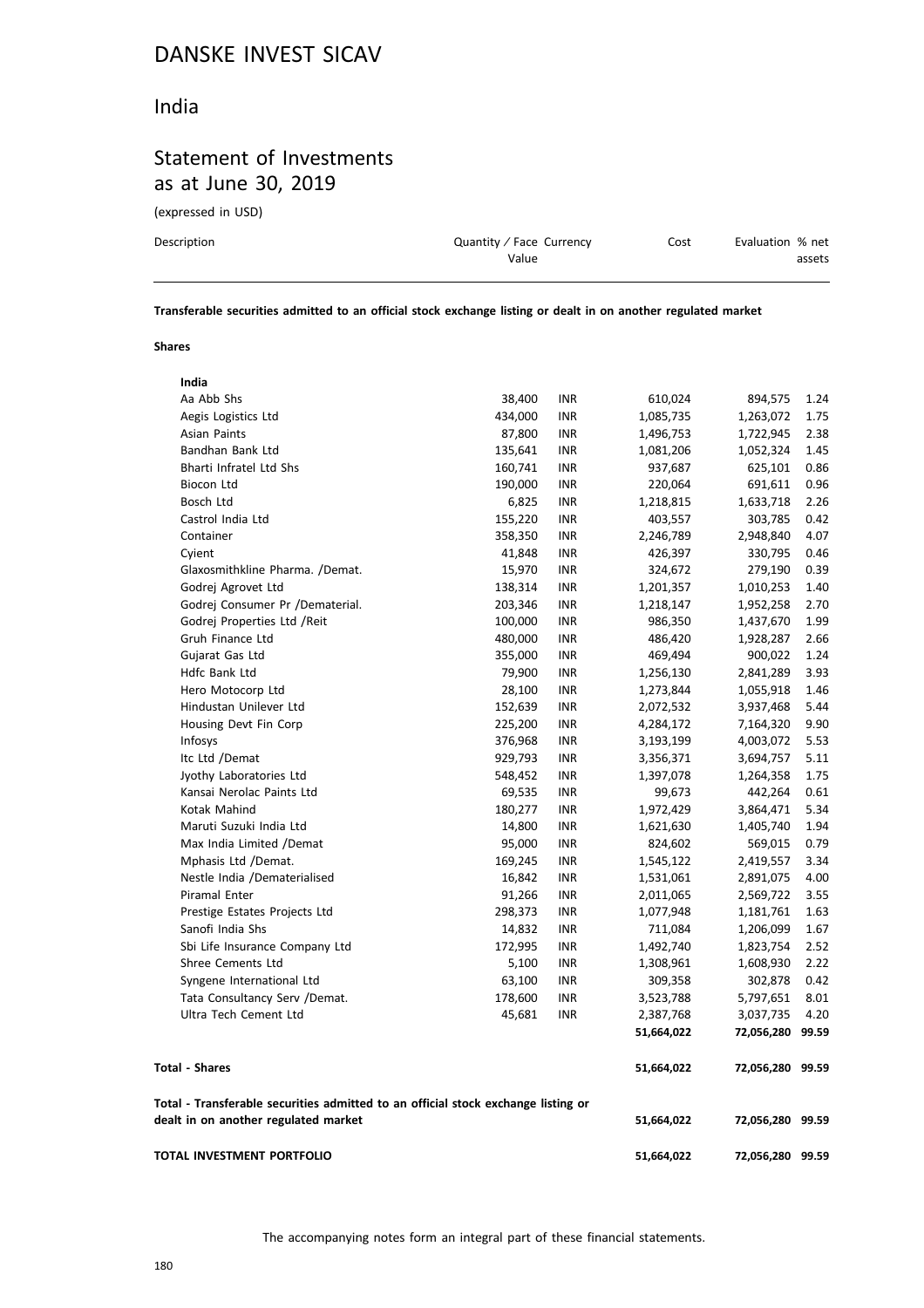### India

# Statement of Investments as at June 30, 2019

(expressed in USD)

| Description | Quantity / Face Currency | Cost | Evaluation % net |
|-------------|--------------------------|------|------------------|
|             | Value                    |      | assets           |
|             |                          |      |                  |

**Transferable securities admitted to an official stock exchange listing or dealt in on another regulated market**

#### **Shares**

| India                                                                                                                     |         |            |            |                  |      |
|---------------------------------------------------------------------------------------------------------------------------|---------|------------|------------|------------------|------|
| Aa Abb Shs                                                                                                                | 38,400  | <b>INR</b> | 610,024    | 894,575          | 1.24 |
| Aegis Logistics Ltd                                                                                                       | 434,000 | <b>INR</b> | 1,085,735  | 1,263,072        | 1.75 |
| Asian Paints                                                                                                              | 87,800  | <b>INR</b> | 1,496,753  | 1,722,945        | 2.38 |
| Bandhan Bank Ltd                                                                                                          | 135,641 | <b>INR</b> | 1,081,206  | 1,052,324        | 1.45 |
| <b>Bharti Infratel Ltd Shs</b>                                                                                            | 160,741 | <b>INR</b> | 937,687    | 625,101          | 0.86 |
| Biocon Ltd                                                                                                                | 190,000 | <b>INR</b> | 220,064    | 691,611          | 0.96 |
| Bosch Ltd                                                                                                                 | 6,825   | <b>INR</b> | 1,218,815  | 1,633,718        | 2.26 |
| Castrol India Ltd                                                                                                         | 155,220 | <b>INR</b> | 403,557    | 303,785          | 0.42 |
| Container                                                                                                                 | 358,350 | <b>INR</b> | 2,246,789  | 2,948,840        | 4.07 |
| Cyient                                                                                                                    | 41,848  | <b>INR</b> | 426,397    | 330,795          | 0.46 |
| Glaxosmithkline Pharma. /Demat.                                                                                           | 15,970  | <b>INR</b> | 324,672    | 279,190          | 0.39 |
| Godrej Agrovet Ltd                                                                                                        | 138,314 | <b>INR</b> | 1,201,357  | 1,010,253        | 1.40 |
| Godrej Consumer Pr /Dematerial.                                                                                           | 203,346 | <b>INR</b> | 1,218,147  | 1,952,258        | 2.70 |
| Godrej Properties Ltd / Reit                                                                                              | 100,000 | <b>INR</b> | 986,350    | 1,437,670        | 1.99 |
| Gruh Finance Ltd                                                                                                          | 480,000 | <b>INR</b> | 486,420    | 1,928,287        | 2.66 |
| Gujarat Gas Ltd                                                                                                           | 355,000 | <b>INR</b> | 469,494    | 900,022          | 1.24 |
| Hdfc Bank Ltd                                                                                                             | 79,900  | <b>INR</b> | 1,256,130  | 2,841,289        | 3.93 |
| Hero Motocorp Ltd                                                                                                         | 28,100  | <b>INR</b> | 1,273,844  | 1,055,918        | 1.46 |
| Hindustan Unilever Ltd                                                                                                    | 152,639 | <b>INR</b> | 2,072,532  | 3,937,468        | 5.44 |
| Housing Devt Fin Corp                                                                                                     | 225,200 | <b>INR</b> | 4,284,172  | 7,164,320        | 9.90 |
| Infosys                                                                                                                   | 376,968 | <b>INR</b> | 3,193,199  | 4,003,072        | 5.53 |
| Itc Ltd /Demat                                                                                                            | 929,793 | <b>INR</b> | 3,356,371  | 3,694,757        | 5.11 |
| Jyothy Laboratories Ltd                                                                                                   | 548,452 | <b>INR</b> | 1,397,078  | 1,264,358        | 1.75 |
| Kansai Nerolac Paints Ltd                                                                                                 | 69,535  | <b>INR</b> | 99,673     | 442,264          | 0.61 |
| Kotak Mahind                                                                                                              | 180,277 | <b>INR</b> | 1,972,429  | 3,864,471        | 5.34 |
| Maruti Suzuki India Ltd                                                                                                   | 14,800  | <b>INR</b> | 1,621,630  | 1,405,740        | 1.94 |
| Max India Limited /Demat                                                                                                  | 95,000  | <b>INR</b> | 824,602    | 569,015          | 0.79 |
| Mphasis Ltd /Demat.                                                                                                       | 169,245 | <b>INR</b> | 1,545,122  | 2,419,557        | 3.34 |
| Nestle India /Dematerialised                                                                                              | 16,842  | <b>INR</b> | 1,531,061  | 2,891,075        | 4.00 |
| <b>Piramal Enter</b>                                                                                                      | 91,266  | <b>INR</b> | 2,011,065  | 2,569,722        | 3.55 |
| Prestige Estates Projects Ltd                                                                                             | 298,373 | <b>INR</b> | 1,077,948  | 1,181,761        | 1.63 |
| Sanofi India Shs                                                                                                          | 14,832  | <b>INR</b> | 711,084    | 1,206,099        | 1.67 |
| Sbi Life Insurance Company Ltd                                                                                            | 172,995 | <b>INR</b> | 1,492,740  | 1,823,754        | 2.52 |
| <b>Shree Cements Ltd</b>                                                                                                  | 5,100   | <b>INR</b> | 1,308,961  | 1,608,930        | 2.22 |
| Syngene International Ltd                                                                                                 | 63,100  | <b>INR</b> | 309,358    | 302,878          | 0.42 |
| Tata Consultancy Serv /Demat.                                                                                             | 178,600 | <b>INR</b> | 3,523,788  | 5,797,651        | 8.01 |
| Ultra Tech Cement Ltd                                                                                                     | 45,681  | <b>INR</b> | 2,387,768  | 3,037,735        | 4.20 |
|                                                                                                                           |         |            | 51,664,022 | 72,056,280 99.59 |      |
| <b>Total - Shares</b>                                                                                                     |         |            | 51,664,022 | 72,056,280 99.59 |      |
| Total - Transferable securities admitted to an official stock exchange listing or<br>dealt in on another regulated market |         |            | 51,664,022 | 72,056,280 99.59 |      |
| TOTAL INVESTMENT PORTFOLIO                                                                                                |         |            | 51,664,022 | 72,056,280 99.59 |      |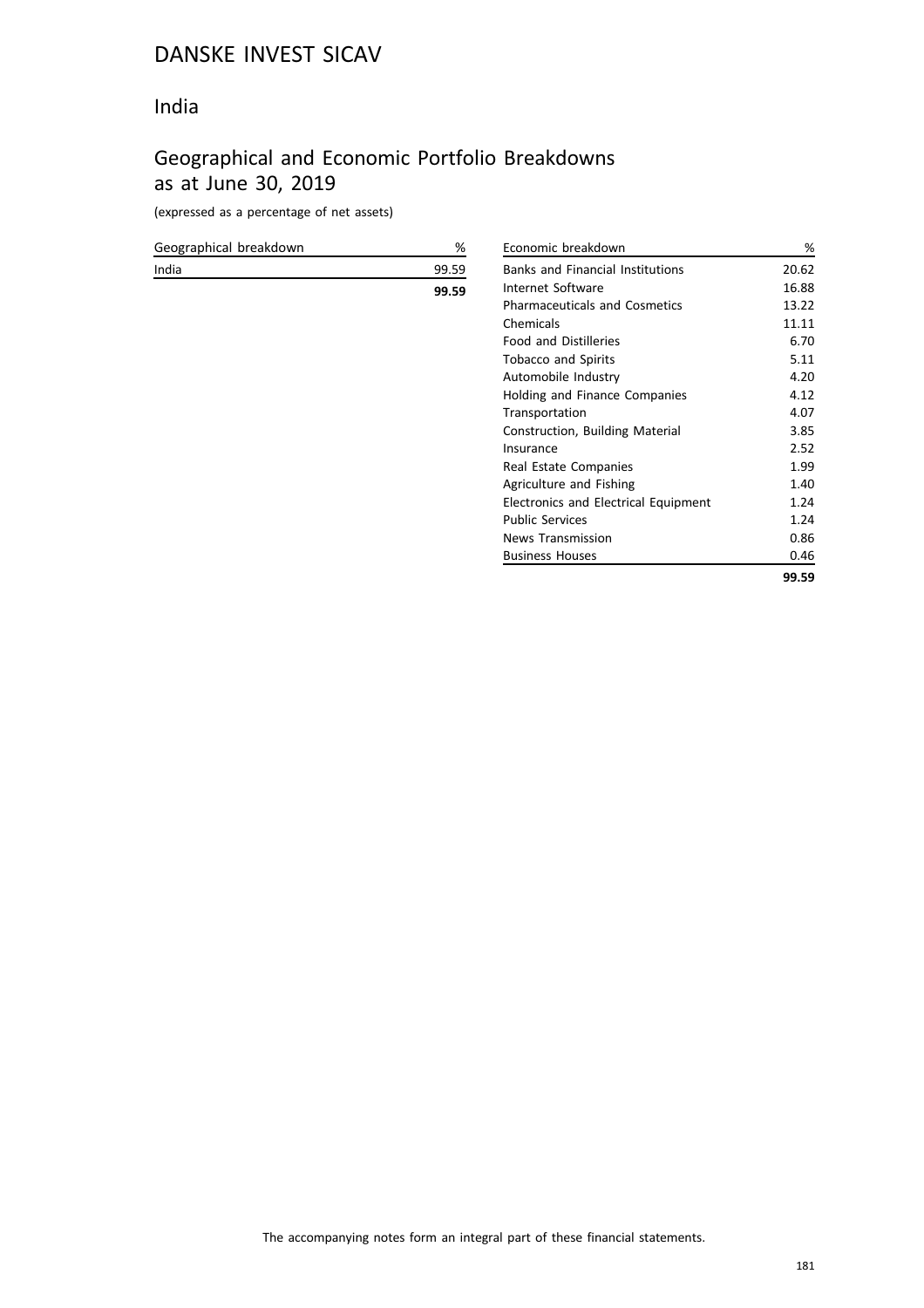#### India

## Geographical and Economic Portfolio Breakdowns as at June 30, 2019

(expressed as a percentage of net assets)

| Geographical breakdown | %     | Economic I        |
|------------------------|-------|-------------------|
| India                  | 99.59 | Banks and         |
|                        | 99.59 | Internet Sc       |
|                        |       | Pharmaceu         |
|                        |       | Chemicals         |
|                        |       | Food and I        |
|                        |       | Tobacco ar        |
|                        |       | Automobile        |
|                        |       | Holding an        |
|                        |       | Transporta        |
|                        |       | Constructio       |
|                        |       | Insurance         |
|                        |       | Real Estate       |
|                        |       | Agriculture       |
|                        |       | Electronics       |
|                        |       | Public Serv       |
|                        |       | News Tran         |
|                        |       | <b>Business H</b> |
|                        |       |                   |

| Economic breakdown                      | %     |
|-----------------------------------------|-------|
| <b>Banks and Financial Institutions</b> | 20.62 |
| Internet Software                       | 16.88 |
| <b>Pharmaceuticals and Cosmetics</b>    | 13.22 |
| Chemicals                               | 11.11 |
| <b>Food and Distilleries</b>            | 6.70  |
| <b>Tobacco and Spirits</b>              | 5.11  |
| Automobile Industry                     | 4.20  |
| Holding and Finance Companies           | 4.12  |
| Transportation                          | 4.07  |
| Construction, Building Material         | 3.85  |
| Insurance                               | 2.52  |
| Real Estate Companies                   | 1.99  |
| Agriculture and Fishing                 | 1.40  |
| Electronics and Electrical Equipment    | 1.24  |
| <b>Public Services</b>                  | 1.24  |
| <b>News Transmission</b>                | 0.86  |
| <b>Business Houses</b>                  | 0.46  |
|                                         | 99.59 |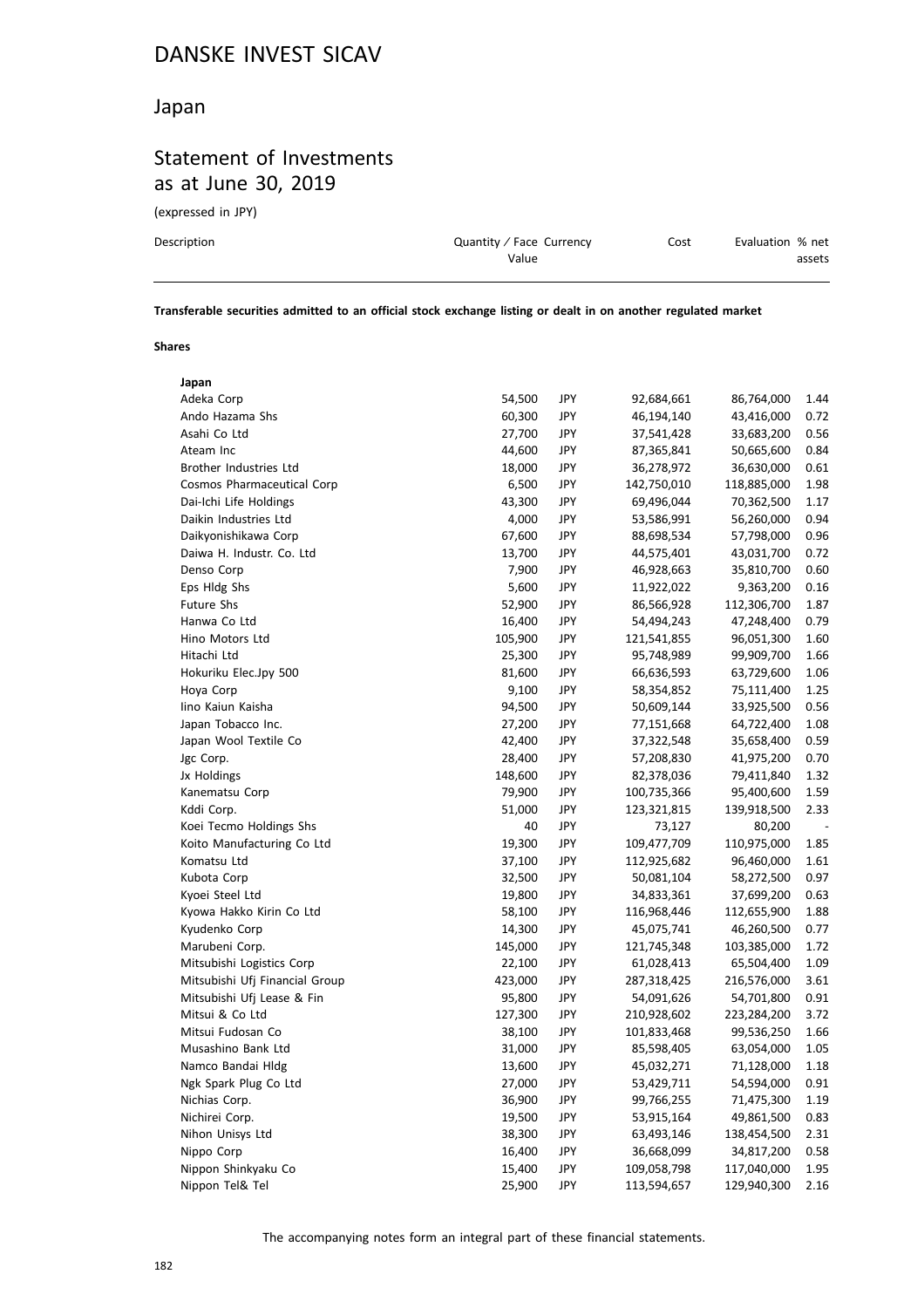#### Japan

## Statement of Investments as at June 30, 2019

(expressed in JPY)

| Description | Quantity / Face Currency | Cost | Evaluation % net |
|-------------|--------------------------|------|------------------|
|             | Value                    |      | assets           |
|             |                          |      |                  |

**Transferable securities admitted to an official stock exchange listing or dealt in on another regulated market**

#### **Shares**

| 54,500  | JPY        | 92,684,661  | 86,764,000  | 1.44 |
|---------|------------|-------------|-------------|------|
| 60,300  | JPY        | 46,194,140  | 43,416,000  | 0.72 |
| 27,700  | JPY        | 37,541,428  | 33,683,200  | 0.56 |
| 44,600  | JPY        | 87,365,841  | 50,665,600  | 0.84 |
| 18,000  | JPY        | 36,278,972  | 36,630,000  | 0.61 |
| 6,500   | JPY        | 142,750,010 | 118,885,000 | 1.98 |
| 43,300  | JPY        | 69,496,044  | 70,362,500  | 1.17 |
| 4,000   | JPY        | 53,586,991  | 56,260,000  | 0.94 |
| 67,600  | JPY        | 88,698,534  | 57,798,000  | 0.96 |
| 13,700  | JPY        | 44,575,401  | 43,031,700  | 0.72 |
| 7,900   | JPY        | 46,928,663  | 35,810,700  | 0.60 |
| 5,600   | JPY        | 11,922,022  | 9,363,200   | 0.16 |
| 52,900  | JPY        | 86,566,928  | 112,306,700 | 1.87 |
| 16,400  | JPY        | 54,494,243  | 47,248,400  | 0.79 |
| 105,900 | JPY        | 121,541,855 | 96,051,300  | 1.60 |
| 25,300  | JPY        | 95,748,989  | 99,909,700  | 1.66 |
| 81,600  | JPY        | 66,636,593  | 63,729,600  | 1.06 |
| 9,100   | JPY        | 58,354,852  | 75,111,400  | 1.25 |
| 94,500  | JPY        | 50,609,144  | 33,925,500  | 0.56 |
| 27,200  | JPY        | 77,151,668  | 64,722,400  | 1.08 |
| 42,400  | JPY        | 37,322,548  | 35,658,400  | 0.59 |
| 28,400  | JPY        | 57,208,830  | 41,975,200  | 0.70 |
| 148,600 | JPY        | 82,378,036  | 79,411,840  | 1.32 |
| 79,900  | JPY        | 100,735,366 | 95,400,600  | 1.59 |
| 51,000  | JPY        | 123,321,815 | 139,918,500 | 2.33 |
| 40      | JPY        | 73,127      | 80,200      |      |
| 19,300  | JPY        | 109,477,709 | 110,975,000 | 1.85 |
| 37,100  | JPY        | 112,925,682 | 96,460,000  | 1.61 |
| 32,500  | JPY        | 50,081,104  | 58,272,500  | 0.97 |
| 19,800  | JPY        | 34,833,361  | 37,699,200  | 0.63 |
| 58,100  | JPY        | 116,968,446 | 112,655,900 | 1.88 |
| 14,300  | JPY        | 45,075,741  | 46,260,500  | 0.77 |
| 145,000 | JPY        | 121,745,348 | 103,385,000 | 1.72 |
| 22,100  | JPY        | 61,028,413  | 65,504,400  | 1.09 |
| 423,000 | JPY        | 287,318,425 | 216,576,000 | 3.61 |
| 95,800  | JPY        | 54,091,626  | 54,701,800  | 0.91 |
| 127,300 | JPY        | 210,928,602 | 223,284,200 | 3.72 |
| 38,100  | JPY        | 101,833,468 | 99,536,250  | 1.66 |
| 31,000  | JPY        | 85,598,405  | 63,054,000  | 1.05 |
| 13,600  | <b>JPY</b> | 45,032,271  | 71,128,000  | 1.18 |
| 27,000  | JPY        | 53,429,711  | 54,594,000  | 0.91 |
| 36,900  | JPY        | 99,766,255  | 71,475,300  | 1.19 |
| 19,500  | JPY        | 53,915,164  | 49,861,500  | 0.83 |
| 38,300  | JPY        | 63,493,146  | 138,454,500 | 2.31 |
| 16,400  | JPY        | 36,668,099  | 34,817,200  | 0.58 |
| 15,400  | JPY        | 109,058,798 | 117,040,000 | 1.95 |
| 25,900  | JPY        | 113,594,657 | 129,940,300 | 2.16 |
|         |            |             |             |      |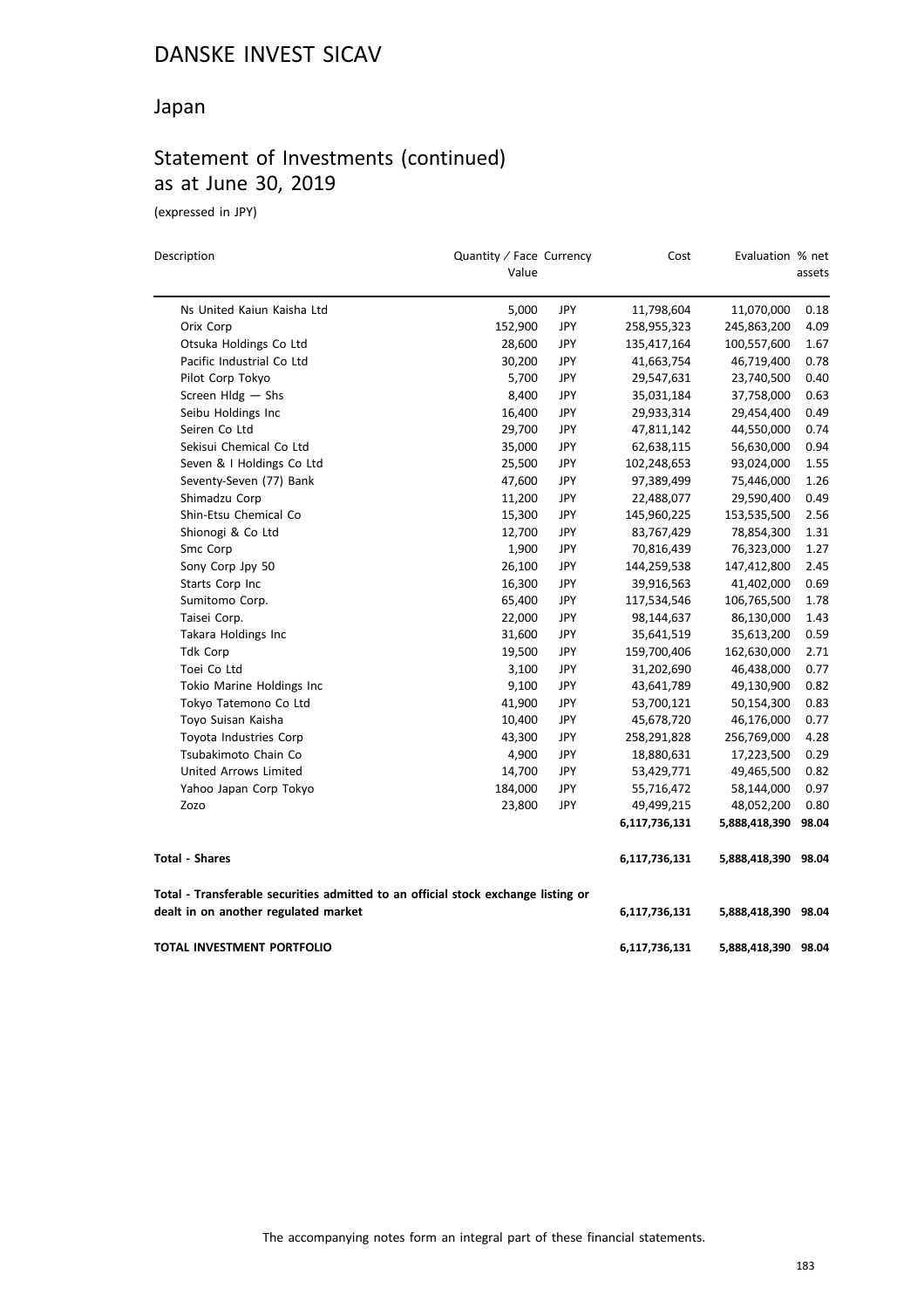#### Japan

## Statement of Investments (continued) as at June 30, 2019

(expressed in JPY)

| Description                                                                       | Quantity / Face Currency<br>Value |            | Cost          | Evaluation % net    | assets |
|-----------------------------------------------------------------------------------|-----------------------------------|------------|---------------|---------------------|--------|
| Ns United Kaiun Kaisha Ltd                                                        | 5,000                             | JPY        | 11,798,604    | 11,070,000          | 0.18   |
| Orix Corp                                                                         | 152,900                           | <b>JPY</b> | 258,955,323   | 245,863,200         | 4.09   |
| Otsuka Holdings Co Ltd                                                            | 28,600                            | <b>JPY</b> | 135,417,164   | 100,557,600         | 1.67   |
| Pacific Industrial Co Ltd                                                         | 30,200                            | JPY        | 41,663,754    | 46,719,400          | 0.78   |
| Pilot Corp Tokyo                                                                  | 5,700                             | JPY        | 29,547,631    | 23,740,500          | 0.40   |
| Screen $Hldg - Shs$                                                               | 8,400                             | JPY        | 35,031,184    | 37,758,000          | 0.63   |
| Seibu Holdings Inc                                                                | 16,400                            | <b>JPY</b> | 29,933,314    | 29,454,400          | 0.49   |
| Seiren Co Ltd                                                                     | 29,700                            | JPY        | 47,811,142    | 44,550,000          | 0.74   |
| Sekisui Chemical Co Ltd                                                           | 35,000                            | JPY        | 62,638,115    | 56,630,000          | 0.94   |
| Seven & I Holdings Co Ltd                                                         | 25,500                            | JPY        | 102,248,653   | 93,024,000          | 1.55   |
| Seventy-Seven (77) Bank                                                           | 47,600                            | JPY        | 97,389,499    | 75,446,000          | 1.26   |
| Shimadzu Corp                                                                     | 11,200                            | <b>JPY</b> | 22,488,077    | 29,590,400          | 0.49   |
| Shin-Etsu Chemical Co                                                             | 15,300                            | JPY        | 145,960,225   | 153,535,500         | 2.56   |
| Shionogi & Co Ltd                                                                 | 12,700                            | JPY        | 83,767,429    | 78,854,300          | 1.31   |
| Smc Corp                                                                          | 1,900                             | JPY        | 70,816,439    | 76,323,000          | 1.27   |
| Sony Corp Jpy 50                                                                  | 26,100                            | JPY        | 144,259,538   | 147,412,800         | 2.45   |
| Starts Corp Inc                                                                   | 16,300                            | <b>JPY</b> | 39,916,563    | 41,402,000          | 0.69   |
| Sumitomo Corp.                                                                    | 65,400                            | <b>JPY</b> | 117,534,546   | 106,765,500         | 1.78   |
| Taisei Corp.                                                                      | 22,000                            | JPY        | 98,144,637    | 86,130,000          | 1.43   |
| Takara Holdings Inc                                                               | 31,600                            | <b>JPY</b> | 35,641,519    | 35,613,200          | 0.59   |
| <b>Tdk Corp</b>                                                                   | 19,500                            | JPY        | 159,700,406   | 162,630,000         | 2.71   |
| Toei Co Ltd                                                                       | 3,100                             | JPY        | 31,202,690    | 46,438,000          | 0.77   |
| Tokio Marine Holdings Inc                                                         | 9,100                             | JPY        | 43,641,789    | 49,130,900          | 0.82   |
| Tokyo Tatemono Co Ltd                                                             | 41,900                            | JPY        | 53,700,121    | 50,154,300          | 0.83   |
| Toyo Suisan Kaisha                                                                | 10,400                            | JPY        | 45,678,720    | 46,176,000          | 0.77   |
| Toyota Industries Corp                                                            | 43,300                            | <b>JPY</b> | 258,291,828   | 256,769,000         | 4.28   |
| Tsubakimoto Chain Co                                                              | 4,900                             | JPY        | 18,880,631    | 17,223,500          | 0.29   |
| <b>United Arrows Limited</b>                                                      | 14,700                            | JPY        | 53,429,771    | 49,465,500          | 0.82   |
| Yahoo Japan Corp Tokyo                                                            | 184,000                           | <b>JPY</b> | 55,716,472    | 58,144,000          | 0.97   |
| Zozo                                                                              | 23,800                            | <b>JPY</b> | 49,499,215    | 48,052,200          | 0.80   |
|                                                                                   |                                   |            | 6,117,736,131 | 5,888,418,390       | 98.04  |
| <b>Total - Shares</b>                                                             |                                   |            | 6,117,736,131 | 5,888,418,390       | 98.04  |
| Total - Transferable securities admitted to an official stock exchange listing or |                                   |            |               |                     |        |
| dealt in on another regulated market                                              |                                   |            | 6,117,736,131 | 5,888,418,390       | 98.04  |
| <b>TOTAL INVESTMENT PORTFOLIO</b>                                                 |                                   |            | 6,117,736,131 | 5,888,418,390 98.04 |        |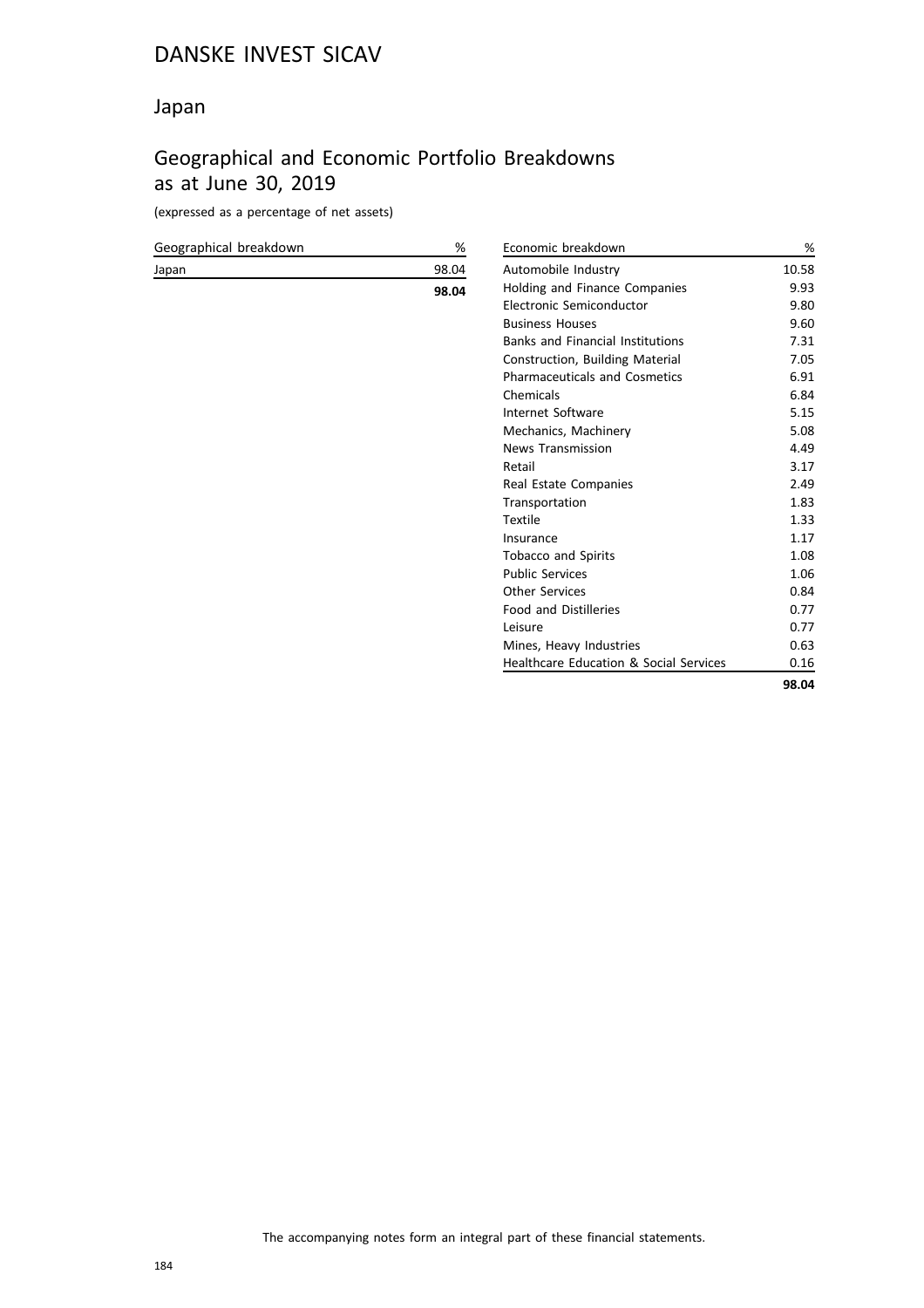#### Japan

## Geographical and Economic Portfolio Breakdowns as at June 30, 2019

(expressed as a percentage of net assets)

| Geographical breakdown | %     | Economic ł          |
|------------------------|-------|---------------------|
| Japan                  | 98.04 | Automobile          |
|                        | 98.04 | Holding an          |
|                        |       | <b>Electronic</b> ! |
|                        |       | <b>Business H</b>   |
|                        |       | Banks and           |
|                        |       | Constructic         |
|                        |       | Pharmaceu           |
|                        |       | Chemicals           |
|                        |       | Internet Sc         |
|                        |       | Mechanics,          |
|                        |       | News Tran:          |
|                        |       | Retail              |
|                        |       | <b>Real Estate</b>  |
|                        |       | Transporta          |
|                        |       | Artile              |

| Economic breakdown                                | %     |
|---------------------------------------------------|-------|
| Automobile Industry                               | 10.58 |
| Holding and Finance Companies                     | 9.93  |
| Electronic Semiconductor                          | 9.80  |
| <b>Business Houses</b>                            | 9.60  |
| <b>Banks and Financial Institutions</b>           | 7.31  |
| Construction, Building Material                   | 7.05  |
| <b>Pharmaceuticals and Cosmetics</b>              | 6.91  |
| Chemicals                                         | 6.84  |
| Internet Software                                 | 5.15  |
| Mechanics, Machinery                              | 5.08  |
| <b>News Transmission</b>                          | 4.49  |
| Retail                                            | 3.17  |
| Real Estate Companies                             | 2.49  |
| Transportation                                    | 1.83  |
| <b>Textile</b>                                    | 1.33  |
| Insurance                                         | 1.17  |
| <b>Tobacco and Spirits</b>                        | 1.08  |
| <b>Public Services</b>                            | 1.06  |
| <b>Other Services</b>                             | 0.84  |
| <b>Food and Distilleries</b>                      | 0.77  |
| Leisure                                           | 0.77  |
| Mines, Heavy Industries                           | 0.63  |
| <b>Healthcare Education &amp; Social Services</b> | 0.16  |
|                                                   | 98.04 |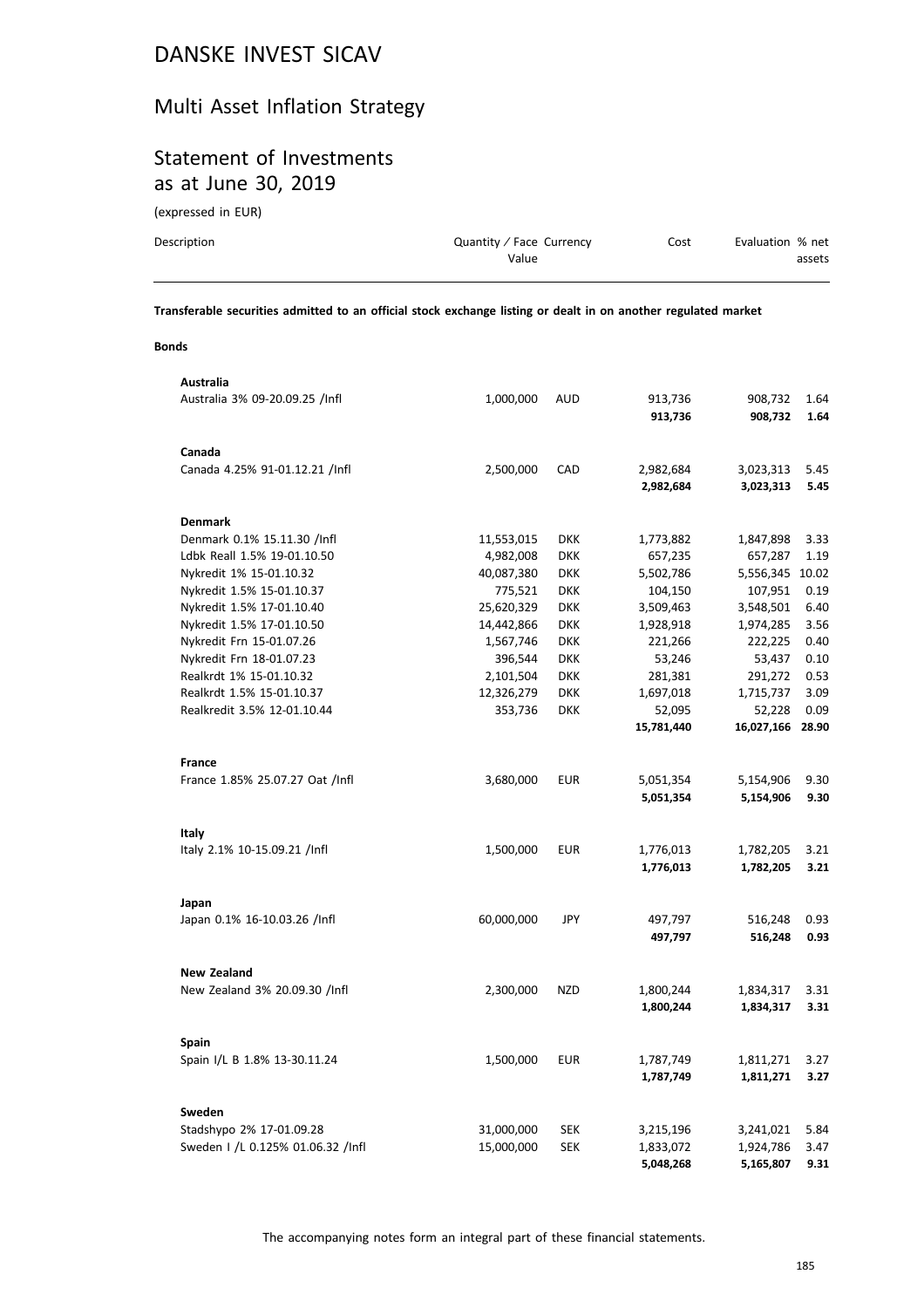## Multi Asset Inflation Strategy

#### Statement of Investments as at June 30, 2019

(expressed in EUR)

| Description | Quantity / Face Currency | Cost | Evaluation % net |
|-------------|--------------------------|------|------------------|
|             | Value                    |      | assets           |
|             |                          |      |                  |

**Transferable securities admitted to an official stock exchange listing or dealt in on another regulated market**

#### **Bonds**

| Australia                         |            |            |            |                 |       |
|-----------------------------------|------------|------------|------------|-----------------|-------|
| Australia 3% 09-20.09.25 /Infl    | 1,000,000  | AUD        | 913,736    | 908,732         | 1.64  |
|                                   |            |            | 913,736    | 908,732         | 1.64  |
|                                   |            |            |            |                 |       |
| Canada                            |            |            |            |                 |       |
| Canada 4.25% 91-01.12.21 /Infl    | 2,500,000  | CAD        | 2,982,684  | 3,023,313       | 5.45  |
|                                   |            |            | 2,982,684  | 3,023,313       | 5.45  |
|                                   |            |            |            |                 |       |
| <b>Denmark</b>                    |            |            |            |                 |       |
| Denmark 0.1% 15.11.30 /Infl       | 11,553,015 | <b>DKK</b> | 1,773,882  | 1,847,898       | 3.33  |
| Ldbk Reall 1.5% 19-01.10.50       | 4,982,008  | <b>DKK</b> | 657,235    | 657,287         | 1.19  |
| Nykredit 1% 15-01.10.32           | 40,087,380 | <b>DKK</b> | 5,502,786  | 5,556,345 10.02 |       |
| Nykredit 1.5% 15-01.10.37         | 775,521    | <b>DKK</b> | 104,150    | 107,951         | 0.19  |
| Nykredit 1.5% 17-01.10.40         | 25,620,329 | <b>DKK</b> | 3,509,463  | 3,548,501       | 6.40  |
| Nykredit 1.5% 17-01.10.50         | 14,442,866 | <b>DKK</b> | 1,928,918  | 1,974,285       | 3.56  |
| Nykredit Frn 15-01.07.26          | 1,567,746  | <b>DKK</b> | 221,266    | 222,225         | 0.40  |
| Nykredit Frn 18-01.07.23          | 396,544    | <b>DKK</b> | 53,246     | 53,437          | 0.10  |
| Realkrdt 1% 15-01.10.32           | 2,101,504  | <b>DKK</b> | 281,381    | 291,272         | 0.53  |
| Realkrdt 1.5% 15-01.10.37         | 12,326,279 | <b>DKK</b> | 1,697,018  | 1,715,737       | 3.09  |
| Realkredit 3.5% 12-01.10.44       | 353,736    | <b>DKK</b> | 52,095     | 52,228          | 0.09  |
|                                   |            |            | 15,781,440 | 16,027,166      | 28.90 |
|                                   |            |            |            |                 |       |
| France                            |            |            |            |                 |       |
| France 1.85% 25.07.27 Oat /Infl   | 3,680,000  | <b>EUR</b> | 5,051,354  | 5,154,906       | 9.30  |
|                                   |            |            | 5,051,354  | 5,154,906       | 9.30  |
|                                   |            |            |            |                 |       |
| Italy                             |            |            |            |                 |       |
| Italy 2.1% 10-15.09.21 /Infl      | 1,500,000  | <b>EUR</b> | 1,776,013  | 1,782,205       | 3.21  |
|                                   |            |            | 1,776,013  | 1,782,205       | 3.21  |
|                                   |            |            |            |                 |       |
| Japan                             |            |            |            |                 |       |
| Japan 0.1% 16-10.03.26 /Infl      | 60,000,000 | JPY        | 497,797    | 516,248         | 0.93  |
|                                   |            |            | 497,797    | 516,248         | 0.93  |
|                                   |            |            |            |                 |       |
| <b>New Zealand</b>                |            |            |            |                 |       |
| New Zealand 3% 20.09.30 /Infl     | 2,300,000  | <b>NZD</b> | 1,800,244  | 1,834,317       | 3.31  |
|                                   |            |            | 1,800,244  | 1,834,317       | 3.31  |
|                                   |            |            |            |                 |       |
| <b>Spain</b>                      |            |            |            |                 |       |
| Spain I/L B 1.8% 13-30.11.24      | 1,500,000  | EUR        | 1,787,749  | 1,811,271       | 3.27  |
|                                   |            |            | 1,787,749  | 1,811,271       | 3.27  |
|                                   |            |            |            |                 |       |
| Sweden                            |            |            |            |                 |       |
| Stadshypo 2% 17-01.09.28          | 31,000,000 | <b>SEK</b> | 3,215,196  | 3,241,021       | 5.84  |
| Sweden 1 /L 0.125% 01.06.32 /Infl | 15,000,000 | <b>SEK</b> | 1,833,072  | 1,924,786       | 3.47  |
|                                   |            |            | 5,048,268  | 5,165,807       | 9.31  |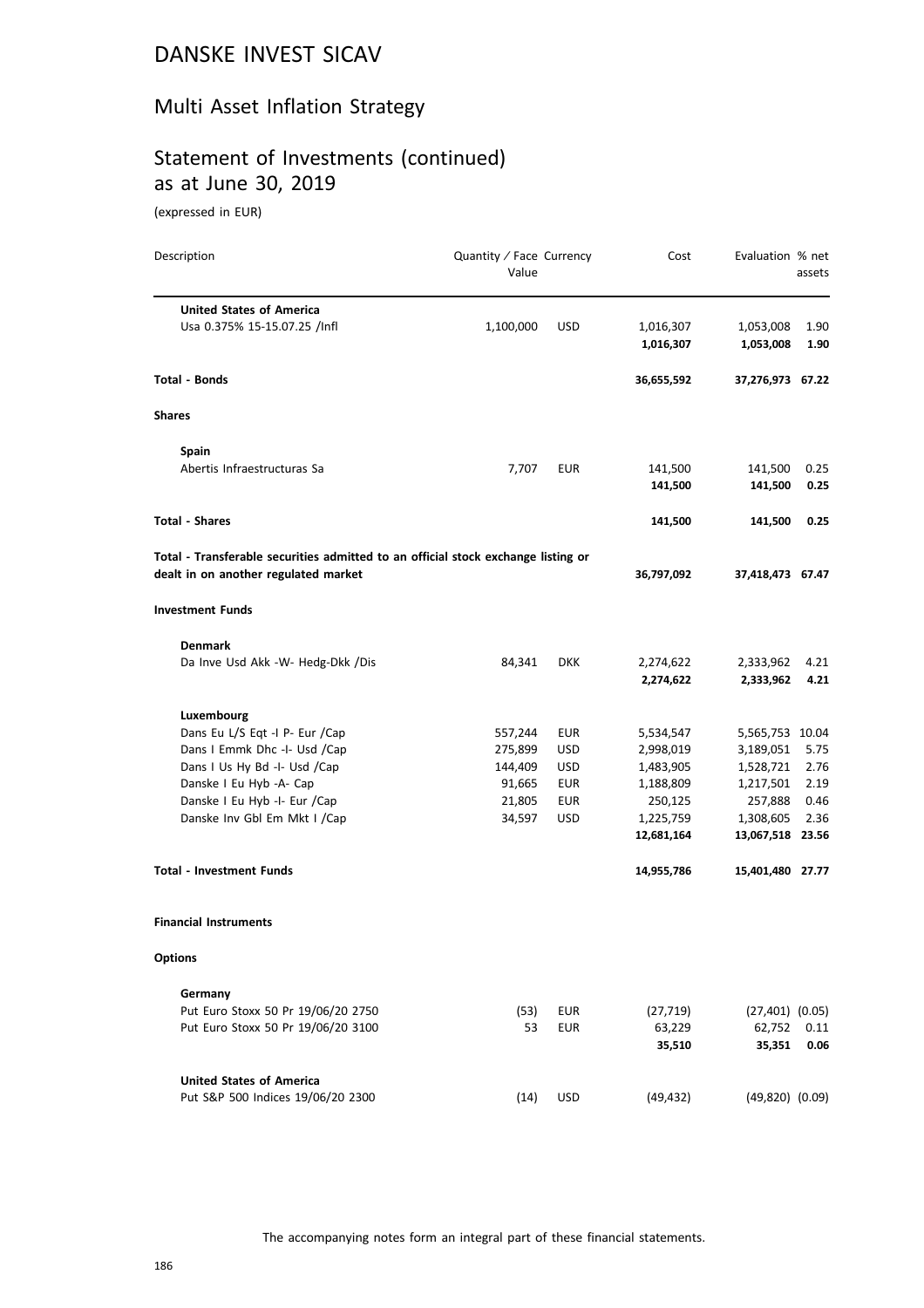## Multi Asset Inflation Strategy

## Statement of Investments (continued) as at June 30, 2019

(expressed in EUR)

| Description                                                                       | Quantity / Face Currency<br>Value |            | Cost       | Evaluation % net    | assets |
|-----------------------------------------------------------------------------------|-----------------------------------|------------|------------|---------------------|--------|
| <b>United States of America</b>                                                   |                                   |            |            |                     |        |
| Usa 0.375% 15-15.07.25 /Infl                                                      | 1,100,000                         | <b>USD</b> | 1,016,307  | 1,053,008           | 1.90   |
|                                                                                   |                                   |            | 1,016,307  | 1,053,008           | 1.90   |
| Total - Bonds                                                                     |                                   |            | 36,655,592 | 37,276,973 67.22    |        |
| Shares                                                                            |                                   |            |            |                     |        |
| Spain                                                                             |                                   |            |            |                     |        |
| Abertis Infraestructuras Sa                                                       | 7,707                             | <b>EUR</b> | 141,500    | 141,500             | 0.25   |
|                                                                                   |                                   |            | 141,500    | 141,500             | 0.25   |
| <b>Total - Shares</b>                                                             |                                   |            | 141,500    | 141,500             | 0.25   |
| Total - Transferable securities admitted to an official stock exchange listing or |                                   |            |            |                     |        |
| dealt in on another regulated market                                              |                                   |            | 36,797,092 | 37,418,473 67.47    |        |
| <b>Investment Funds</b>                                                           |                                   |            |            |                     |        |
| <b>Denmark</b>                                                                    |                                   |            |            |                     |        |
| Da Inve Usd Akk -W- Hedg-Dkk /Dis                                                 | 84,341                            | <b>DKK</b> | 2,274,622  | 2,333,962           | 4.21   |
|                                                                                   |                                   |            | 2,274,622  | 2,333,962           | 4.21   |
| Luxembourg                                                                        |                                   |            |            |                     |        |
| Dans Eu L/S Eqt -I P- Eur /Cap                                                    | 557,244                           | EUR        | 5,534,547  | 5,565,753 10.04     |        |
| Dans I Emmk Dhc -I- Usd /Cap                                                      | 275,899                           | <b>USD</b> | 2,998,019  | 3,189,051           | 5.75   |
| Dans I Us Hy Bd -I- Usd /Cap                                                      | 144,409                           | <b>USD</b> | 1,483,905  | 1,528,721           | 2.76   |
| Danske I Eu Hyb -A- Cap                                                           | 91,665                            | EUR        | 1,188,809  | 1,217,501           | 2.19   |
| Danske I Eu Hyb -I- Eur /Cap                                                      | 21,805                            | <b>EUR</b> | 250,125    | 257,888             | 0.46   |
| Danske Inv Gbl Em Mkt I / Cap                                                     | 34,597                            | <b>USD</b> | 1,225,759  | 1,308,605           | 2.36   |
|                                                                                   |                                   |            | 12,681,164 | 13,067,518 23.56    |        |
| Total - Investment Funds                                                          |                                   |            | 14,955,786 | 15,401,480 27.77    |        |
| <b>Financial Instruments</b>                                                      |                                   |            |            |                     |        |
| <b>Options</b>                                                                    |                                   |            |            |                     |        |
| Germany                                                                           |                                   |            |            |                     |        |
| Put Euro Stoxx 50 Pr 19/06/20 2750                                                | (53)                              | <b>EUR</b> | (27, 719)  | $(27,401)$ $(0.05)$ |        |
| Put Euro Stoxx 50 Pr 19/06/20 3100                                                | 53                                | <b>EUR</b> | 63,229     | 62,752              | 0.11   |
|                                                                                   |                                   |            | 35,510     | 35,351              | 0.06   |
| <b>United States of America</b>                                                   |                                   |            |            |                     |        |
| Put S&P 500 Indices 19/06/20 2300                                                 | (14)                              | <b>USD</b> | (49, 432)  | $(49,820)$ $(0.09)$ |        |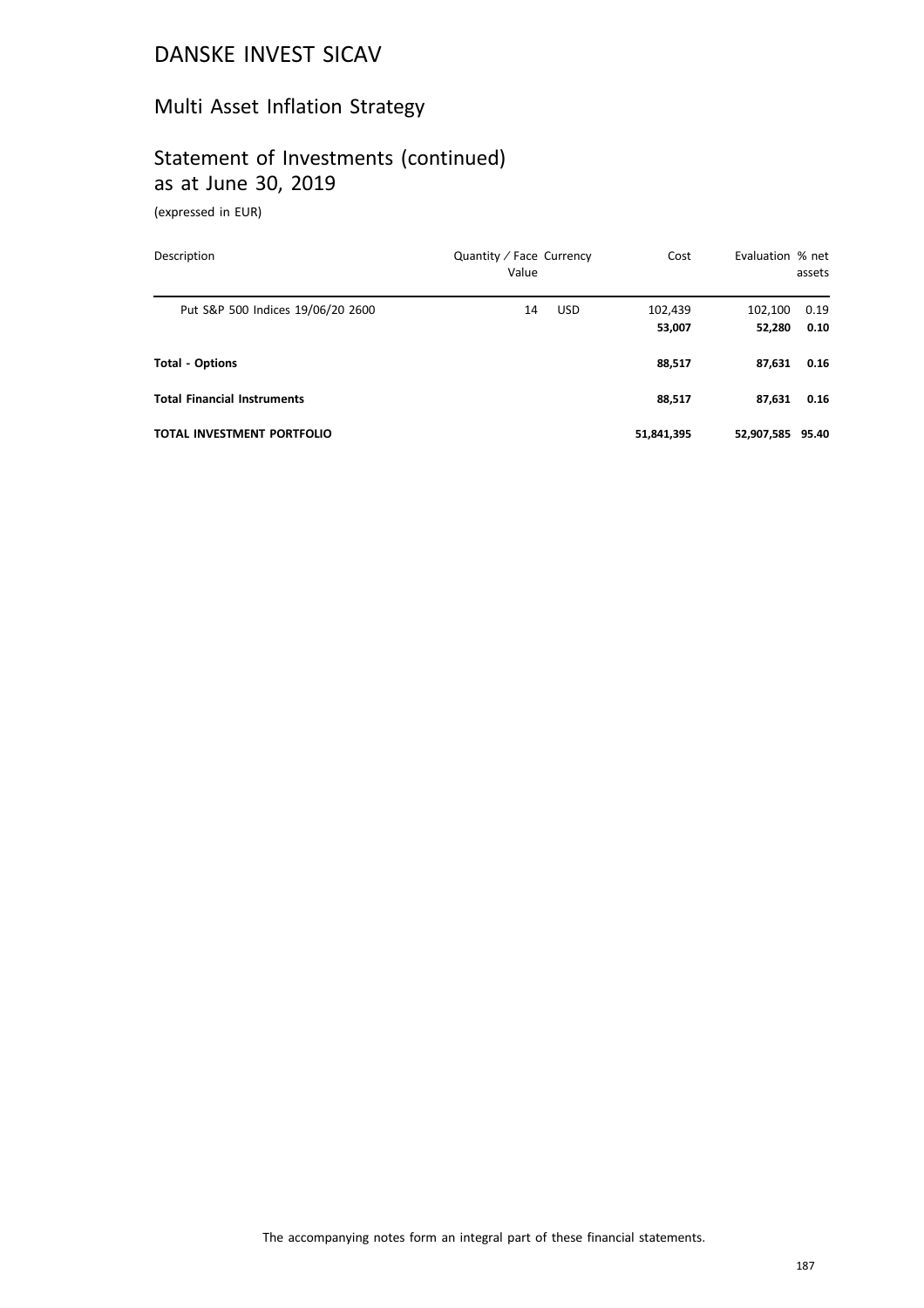## Multi Asset Inflation Strategy

## Statement of Investments (continued) as at June 30, 2019

(expressed in EUR)

| Description                        | Quantity / Face Currency<br>Value | Cost              | Evaluation % net  | assets       |
|------------------------------------|-----------------------------------|-------------------|-------------------|--------------|
| Put S&P 500 Indices 19/06/20 2600  | <b>USD</b><br>14                  | 102,439<br>53,007 | 102,100<br>52,280 | 0.19<br>0.10 |
| <b>Total - Options</b>             |                                   | 88,517            | 87,631            | 0.16         |
| <b>Total Financial Instruments</b> |                                   | 88,517            | 87,631            | 0.16         |
| <b>TOTAL INVESTMENT PORTFOLIO</b>  |                                   | 51,841,395        | 52,907,585        | 95.40        |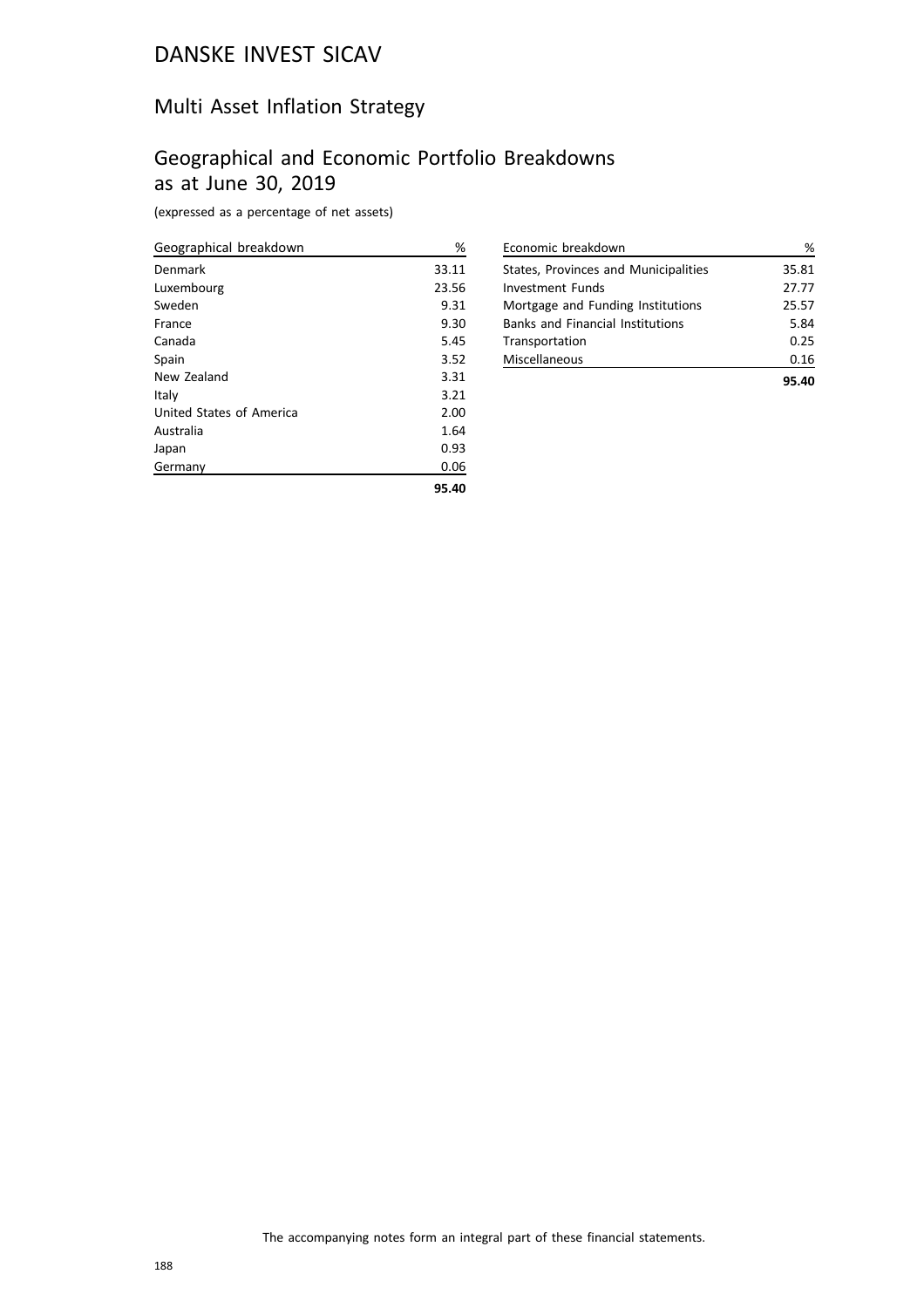## Multi Asset Inflation Strategy

## Geographical and Economic Portfolio Breakdowns as at June 30, 2019

(expressed as a percentage of net assets)

| Geographical breakdown   | %     |
|--------------------------|-------|
| Denmark                  | 33.11 |
| Luxembourg               | 23.56 |
| Sweden                   | 9.31  |
| France                   | 9.30  |
| Canada                   | 5.45  |
| Spain                    | 3.52  |
| New Zealand              | 3.31  |
| Italy                    | 3.21  |
| United States of America | 2.00  |
| Australia                | 1.64  |
| Japan                    | 0.93  |
| Germany                  | 0.06  |
|                          | 95.40 |

| Economic breakdown                      | ℅     |
|-----------------------------------------|-------|
| States, Provinces and Municipalities    | 35.81 |
| Investment Funds                        | 27.77 |
| Mortgage and Funding Institutions       | 25.57 |
| <b>Banks and Financial Institutions</b> | 5.84  |
| Transportation                          | 0.25  |
| Miscellaneous                           | 0.16  |
|                                         |       |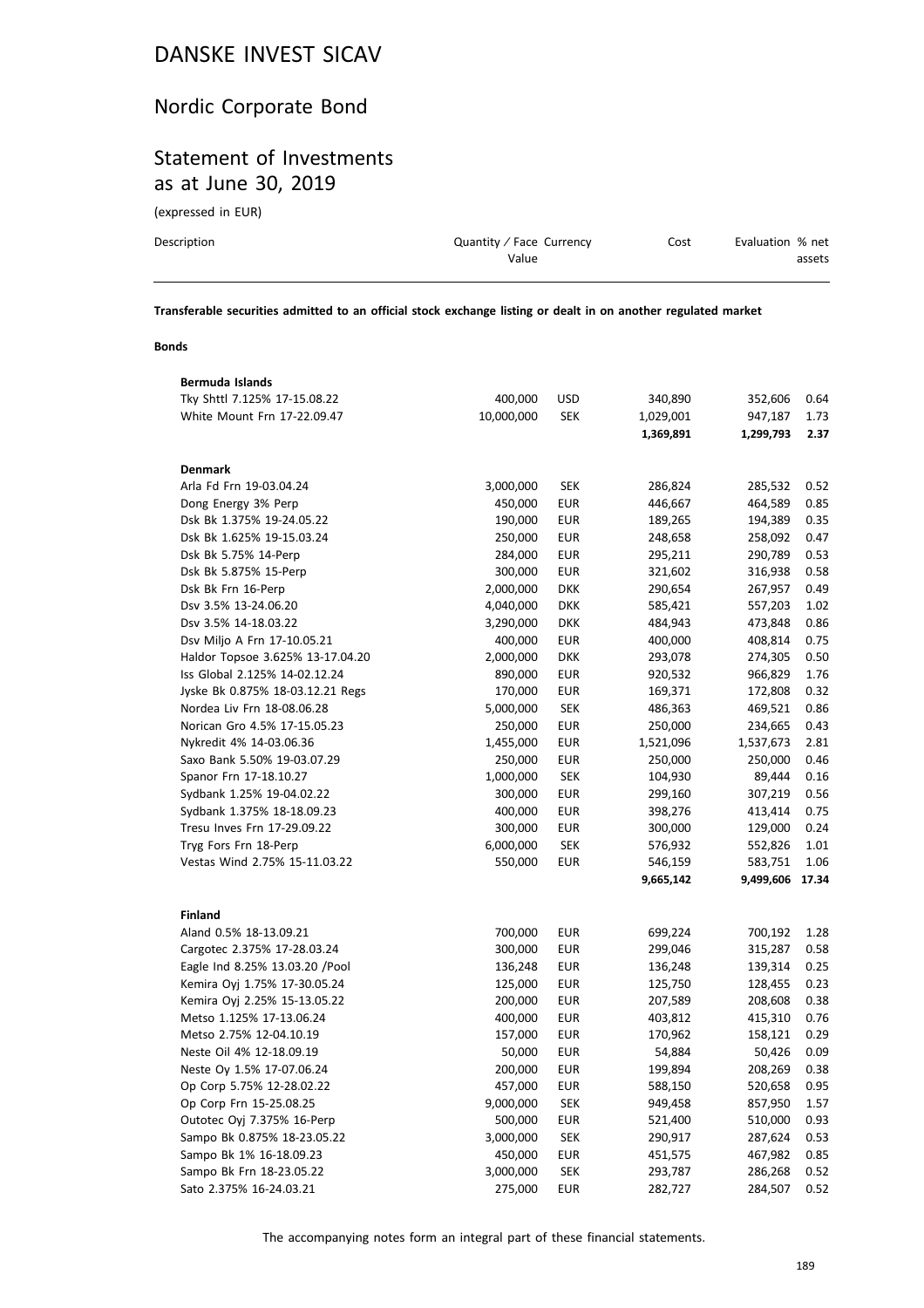## Nordic Corporate Bond

## Statement of Investments as at June 30, 2019

(expressed in EUR)

| Description | Quantity / Face Currency | Cost | Evaluation % net |
|-------------|--------------------------|------|------------------|
|             | Value                    |      | assets           |
|             |                          |      |                  |

**Transferable securities admitted to an official stock exchange listing or dealt in on another regulated market**

#### **Bonds**

| Bermuda Islands                  |            |            |           |           |       |
|----------------------------------|------------|------------|-----------|-----------|-------|
| Tky Shttl 7.125% 17-15.08.22     | 400,000    | USD        | 340,890   | 352,606   | 0.64  |
| White Mount Frn 17-22.09.47      | 10,000,000 | <b>SEK</b> | 1,029,001 | 947,187   | 1.73  |
|                                  |            |            | 1,369,891 | 1,299,793 | 2.37  |
|                                  |            |            |           |           |       |
| <b>Denmark</b>                   |            |            |           |           |       |
| Arla Fd Frn 19-03.04.24          | 3,000,000  | SEK        | 286,824   | 285,532   | 0.52  |
| Dong Energy 3% Perp              | 450,000    | EUR        | 446,667   | 464,589   | 0.85  |
| Dsk Bk 1.375% 19-24.05.22        | 190,000    | EUR        | 189,265   | 194,389   | 0.35  |
| Dsk Bk 1.625% 19-15.03.24        | 250,000    | <b>EUR</b> | 248,658   | 258,092   | 0.47  |
| Dsk Bk 5.75% 14-Perp             | 284,000    | <b>EUR</b> | 295,211   | 290,789   | 0.53  |
| Dsk Bk 5.875% 15-Perp            | 300,000    | <b>EUR</b> | 321,602   | 316,938   | 0.58  |
| Dsk Bk Frn 16-Perp               | 2,000,000  | <b>DKK</b> | 290,654   | 267,957   | 0.49  |
| Dsv 3.5% 13-24.06.20             | 4,040,000  | <b>DKK</b> | 585,421   | 557,203   | 1.02  |
| Dsv 3.5% 14-18.03.22             | 3,290,000  | <b>DKK</b> | 484,943   | 473,848   | 0.86  |
| Dsv Miljo A Frn 17-10.05.21      | 400,000    | EUR        | 400,000   | 408,814   | 0.75  |
| Haldor Topsoe 3.625% 13-17.04.20 | 2,000,000  | <b>DKK</b> | 293,078   | 274,305   | 0.50  |
| Iss Global 2.125% 14-02.12.24    | 890,000    | EUR        | 920,532   | 966,829   | 1.76  |
| Jyske Bk 0.875% 18-03.12.21 Regs | 170,000    | <b>EUR</b> | 169,371   | 172,808   | 0.32  |
| Nordea Liv Frn 18-08.06.28       | 5,000,000  | <b>SEK</b> | 486,363   | 469,521   | 0.86  |
| Norican Gro 4.5% 17-15.05.23     | 250,000    | EUR        | 250,000   | 234,665   | 0.43  |
| Nykredit 4% 14-03.06.36          | 1,455,000  | <b>EUR</b> | 1,521,096 | 1,537,673 | 2.81  |
| Saxo Bank 5.50% 19-03.07.29      | 250,000    | <b>EUR</b> | 250,000   | 250,000   | 0.46  |
| Spanor Frn 17-18.10.27           | 1,000,000  | <b>SEK</b> | 104,930   | 89,444    | 0.16  |
| Sydbank 1.25% 19-04.02.22        | 300,000    | EUR        | 299,160   | 307,219   | 0.56  |
| Sydbank 1.375% 18-18.09.23       | 400,000    | <b>EUR</b> | 398,276   | 413,414   | 0.75  |
| Tresu Inves Frn 17-29.09.22      | 300,000    | <b>EUR</b> | 300,000   | 129,000   | 0.24  |
| Tryg Fors Frn 18-Perp            | 6,000,000  | <b>SEK</b> | 576,932   | 552,826   | 1.01  |
| Vestas Wind 2.75% 15-11.03.22    | 550,000    | <b>EUR</b> | 546,159   | 583,751   | 1.06  |
|                                  |            |            | 9,665,142 | 9,499,606 | 17.34 |
|                                  |            |            |           |           |       |
| <b>Finland</b>                   |            |            |           |           |       |
| Aland 0.5% 18-13.09.21           | 700,000    | <b>EUR</b> | 699,224   | 700,192   | 1.28  |
| Cargotec 2.375% 17-28.03.24      | 300,000    | <b>EUR</b> | 299,046   | 315,287   | 0.58  |
| Eagle Ind 8.25% 13.03.20 / Pool  | 136,248    | <b>EUR</b> | 136,248   | 139,314   | 0.25  |
| Kemira Oyj 1.75% 17-30.05.24     | 125,000    | <b>EUR</b> | 125,750   | 128,455   | 0.23  |
| Kemira Oyj 2.25% 15-13.05.22     | 200,000    | <b>EUR</b> | 207,589   | 208,608   | 0.38  |
| Metso 1.125% 17-13.06.24         | 400,000    | <b>EUR</b> | 403,812   | 415,310   | 0.76  |
| Metso 2.75% 12-04.10.19          | 157,000    | <b>EUR</b> | 170,962   | 158,121   | 0.29  |
| Neste Oil 4% 12-18.09.19         | 50,000     | <b>EUR</b> | 54,884    | 50,426    | 0.09  |
| Neste Oy 1.5% 17-07.06.24        | 200,000    | <b>EUR</b> | 199,894   | 208,269   | 0.38  |
| Op Corp 5.75% 12-28.02.22        | 457,000    | <b>EUR</b> | 588,150   | 520,658   | 0.95  |
| Op Corp Frn 15-25.08.25          | 9,000,000  | <b>SEK</b> | 949,458   | 857,950   | 1.57  |
| Outotec Oyj 7.375% 16-Perp       | 500,000    | EUR        | 521,400   | 510,000   | 0.93  |
| Sampo Bk 0.875% 18-23.05.22      | 3,000,000  | <b>SEK</b> | 290,917   | 287,624   | 0.53  |
| Sampo Bk 1% 16-18.09.23          | 450,000    | <b>EUR</b> | 451,575   | 467,982   | 0.85  |
| Sampo Bk Frn 18-23.05.22         | 3,000,000  | <b>SEK</b> | 293,787   | 286,268   | 0.52  |
| Sato 2.375% 16-24.03.21          | 275,000    | <b>EUR</b> | 282,727   | 284,507   | 0.52  |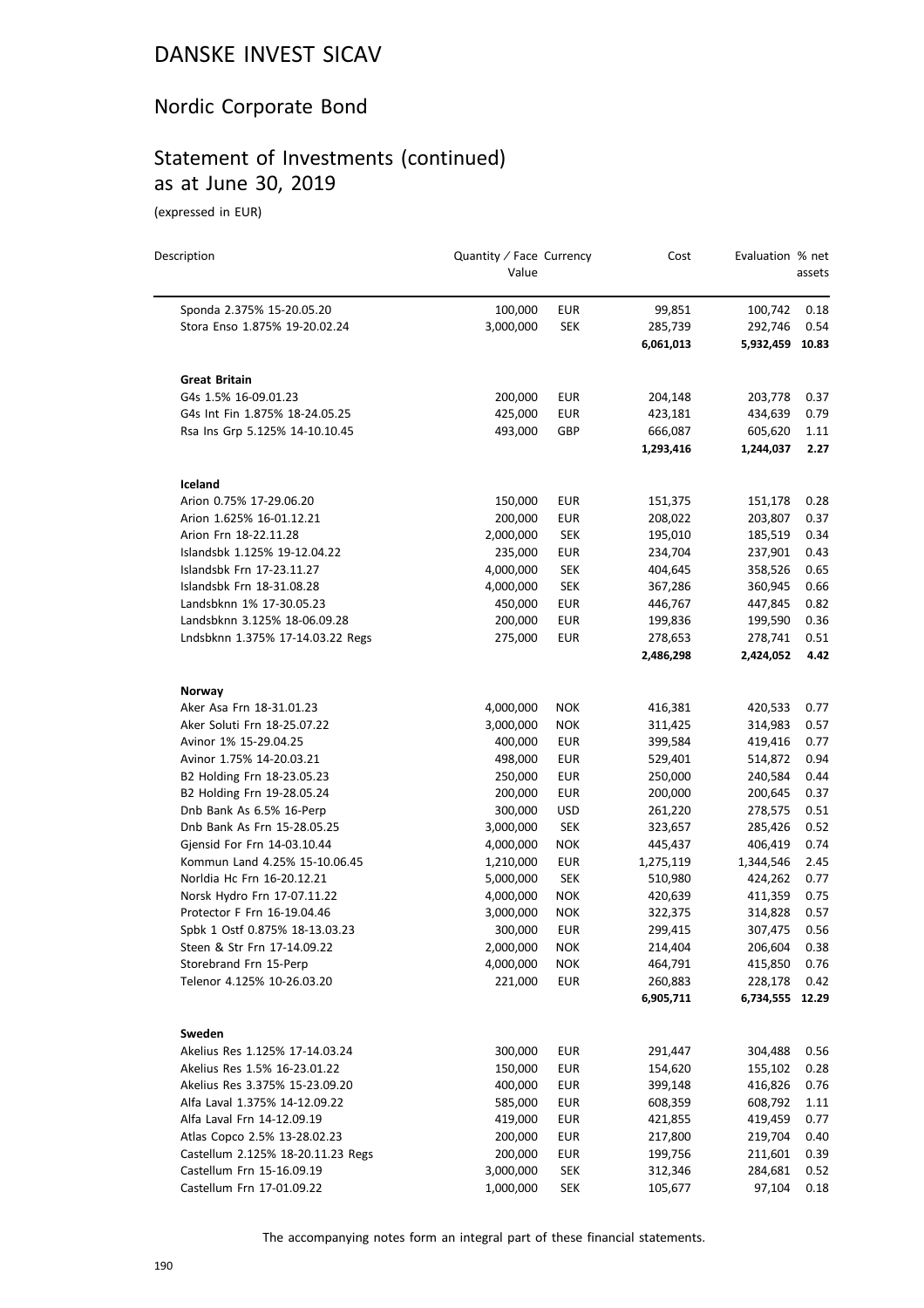## Nordic Corporate Bond

## Statement of Investments (continued) as at June 30, 2019

(expressed in EUR)

| Description                       | Quantity / Face Currency<br>Value |            | Cost                 | Evaluation % net           | assets |
|-----------------------------------|-----------------------------------|------------|----------------------|----------------------------|--------|
| Sponda 2.375% 15-20.05.20         | 100,000                           | <b>EUR</b> | 99,851               | 100,742                    | 0.18   |
| Stora Enso 1.875% 19-20.02.24     | 3,000,000                         | <b>SEK</b> | 285,739              | 292,746                    | 0.54   |
|                                   |                                   |            | 6,061,013            | 5,932,459 10.83            |        |
| <b>Great Britain</b>              |                                   |            |                      |                            |        |
| G4s 1.5% 16-09.01.23              | 200,000                           | <b>EUR</b> | 204,148              | 203,778                    | 0.37   |
| G4s Int Fin 1.875% 18-24.05.25    | 425,000                           | <b>EUR</b> | 423,181              | 434,639                    | 0.79   |
| Rsa Ins Grp 5.125% 14-10.10.45    | 493,000                           | GBP        | 666,087              | 605,620                    | 1.11   |
|                                   |                                   |            | 1,293,416            | 1,244,037                  | 2.27   |
| Iceland                           |                                   |            |                      |                            |        |
| Arion 0.75% 17-29.06.20           | 150,000                           | <b>EUR</b> | 151,375              | 151,178                    | 0.28   |
| Arion 1.625% 16-01.12.21          | 200,000                           | <b>EUR</b> | 208,022              | 203,807                    | 0.37   |
| Arion Frn 18-22.11.28             | 2,000,000                         | <b>SEK</b> | 195,010              | 185,519                    | 0.34   |
| Islandsbk 1.125% 19-12.04.22      | 235,000                           | <b>EUR</b> | 234,704              | 237,901                    | 0.43   |
| Islandsbk Frn 17-23.11.27         | 4,000,000                         | <b>SEK</b> | 404,645              | 358,526                    | 0.65   |
| Islandsbk Frn 18-31.08.28         | 4,000,000                         | <b>SEK</b> | 367,286              | 360,945                    | 0.66   |
| Landsbknn 1% 17-30.05.23          | 450,000                           | <b>EUR</b> | 446,767              | 447,845                    | 0.82   |
| Landsbknn 3.125% 18-06.09.28      | 200,000                           | <b>EUR</b> | 199,836              | 199,590                    | 0.36   |
| Lndsbknn 1.375% 17-14.03.22 Regs  | 275,000                           | <b>EUR</b> | 278,653              | 278,741                    | 0.51   |
|                                   |                                   |            | 2,486,298            | 2,424,052                  | 4.42   |
| Norway                            |                                   |            |                      |                            |        |
| Aker Asa Frn 18-31.01.23          | 4,000,000                         | <b>NOK</b> | 416,381              | 420,533                    | 0.77   |
| Aker Soluti Frn 18-25.07.22       | 3,000,000                         | <b>NOK</b> | 311,425              | 314,983                    | 0.57   |
| Avinor 1% 15-29.04.25             | 400,000                           | <b>EUR</b> | 399,584              | 419,416                    | 0.77   |
| Avinor 1.75% 14-20.03.21          | 498,000                           | <b>EUR</b> | 529,401              | 514,872                    | 0.94   |
| B2 Holding Frn 18-23.05.23        | 250,000                           | <b>EUR</b> | 250,000              | 240,584                    | 0.44   |
| B2 Holding Frn 19-28.05.24        | 200,000                           | <b>EUR</b> | 200,000              | 200,645                    | 0.37   |
| Dnb Bank As 6.5% 16-Perp          | 300,000                           | USD        | 261,220              | 278,575                    | 0.51   |
| Dnb Bank As Frn 15-28.05.25       | 3,000,000                         | <b>SEK</b> | 323,657              | 285,426                    | 0.52   |
| Gjensid For Frn 14-03.10.44       | 4,000,000                         | <b>NOK</b> | 445,437              | 406,419                    | 0.74   |
| Kommun Land 4.25% 15-10.06.45     | 1,210,000                         | <b>EUR</b> | 1,275,119            | 1,344,546                  | 2.45   |
| Norldia Hc Frn 16-20.12.21        | 5,000,000                         | <b>SEK</b> | 510,980              | 424,262                    | 0.77   |
| Norsk Hydro Frn 17-07.11.22       | 4,000,000                         | <b>NOK</b> | 420,639              | 411,359                    | 0.75   |
| Protector F Frn 16-19.04.46       | 3,000,000                         | <b>NOK</b> | 322,375              | 314,828                    | 0.57   |
| Spbk 1 Ostf 0.875% 18-13.03.23    | 300,000                           | <b>EUR</b> | 299,415              | 307,475                    | 0.56   |
| Steen & Str Frn 17-14.09.22       | 2,000,000                         | <b>NOK</b> | 214,404              | 206,604                    | 0.38   |
| Storebrand Frn 15-Perp            | 4,000,000                         | <b>NOK</b> | 464,791              | 415,850                    | 0.76   |
| Telenor 4.125% 10-26.03.20        | 221,000                           | <b>EUR</b> | 260,883<br>6,905,711 | 228,178<br>6,734,555 12.29 | 0.42   |
|                                   |                                   |            |                      |                            |        |
| Sweden                            |                                   |            |                      |                            |        |
| Akelius Res 1.125% 17-14.03.24    | 300,000                           | <b>EUR</b> | 291,447              | 304,488                    | 0.56   |
| Akelius Res 1.5% 16-23.01.22      | 150,000                           | <b>EUR</b> | 154,620              | 155,102                    | 0.28   |
| Akelius Res 3.375% 15-23.09.20    | 400,000                           | <b>EUR</b> | 399,148              | 416,826                    | 0.76   |
| Alfa Laval 1.375% 14-12.09.22     | 585,000                           | <b>EUR</b> | 608,359              | 608,792                    | 1.11   |
| Alfa Laval Frn 14-12.09.19        | 419,000                           | <b>EUR</b> | 421,855              | 419,459                    | 0.77   |
| Atlas Copco 2.5% 13-28.02.23      | 200,000                           | <b>EUR</b> | 217,800              | 219,704                    | 0.40   |
| Castellum 2.125% 18-20.11.23 Regs | 200,000                           | <b>EUR</b> | 199,756              | 211,601                    | 0.39   |
| Castellum Frn 15-16.09.19         | 3,000,000                         | <b>SEK</b> | 312,346              | 284,681                    | 0.52   |
| Castellum Frn 17-01.09.22         | 1,000,000                         | <b>SEK</b> | 105,677              | 97,104                     | 0.18   |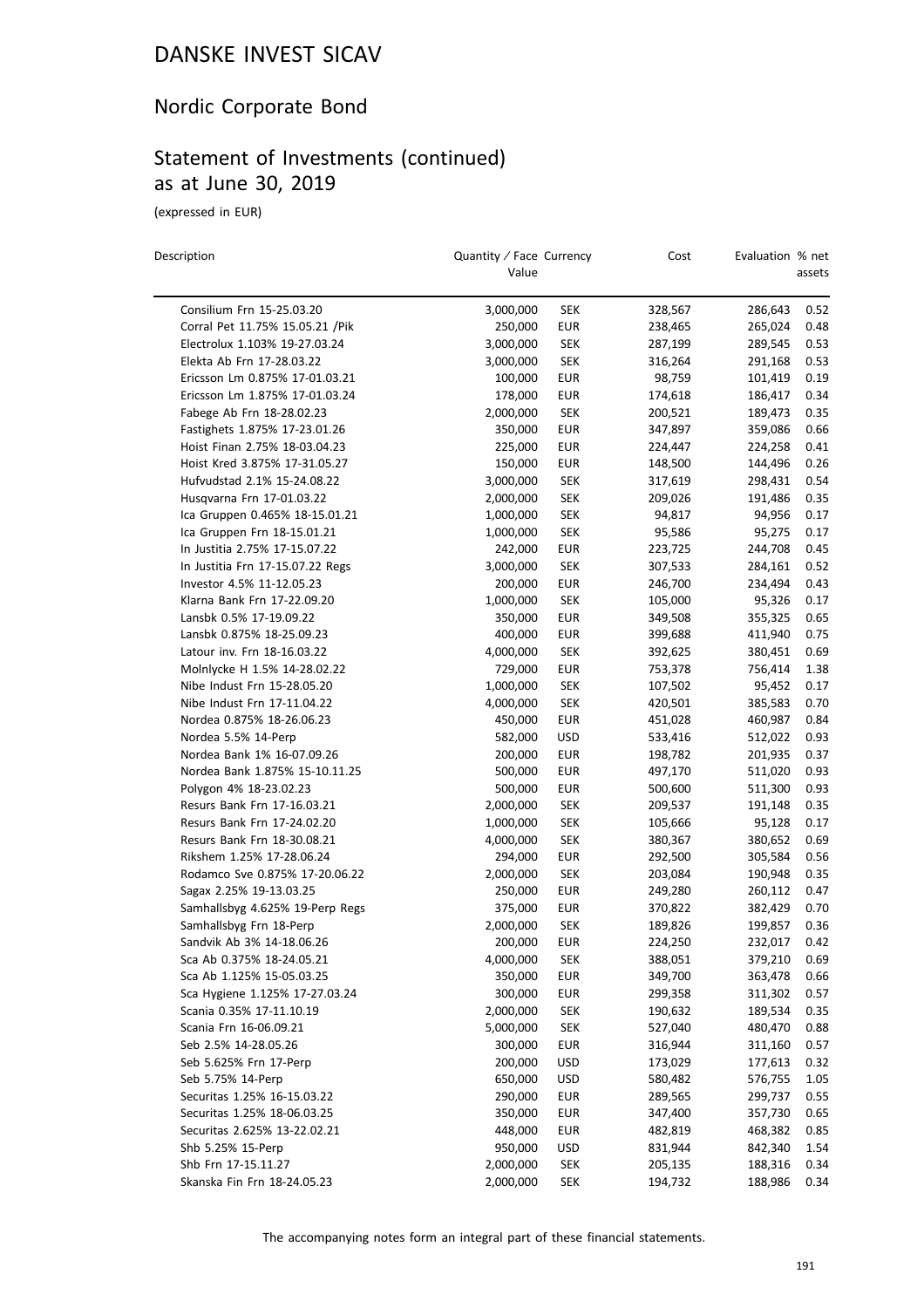## Nordic Corporate Bond

#### Statement of Investments (continued) as at June 30, 2019

(expressed in EUR)

| Description                      | Quantity / Face Currency<br>Value |            | Cost    | Evaluation % net | assets |
|----------------------------------|-----------------------------------|------------|---------|------------------|--------|
| Consilium Frn 15-25.03.20        | 3,000,000                         | <b>SEK</b> | 328,567 | 286,643          | 0.52   |
| Corral Pet 11.75% 15.05.21 / Pik | 250,000                           | <b>EUR</b> | 238,465 | 265,024          | 0.48   |
| Electrolux 1.103% 19-27.03.24    | 3,000,000                         | <b>SEK</b> | 287,199 | 289,545          | 0.53   |
| Elekta Ab Frn 17-28.03.22        | 3,000,000                         | <b>SEK</b> | 316,264 | 291,168          | 0.53   |
| Ericsson Lm 0.875% 17-01.03.21   | 100,000                           | <b>EUR</b> | 98,759  | 101,419          | 0.19   |
| Ericsson Lm 1.875% 17-01.03.24   | 178,000                           | <b>EUR</b> | 174,618 | 186,417          | 0.34   |
| Fabege Ab Frn 18-28.02.23        | 2,000,000                         | <b>SEK</b> | 200,521 | 189,473          | 0.35   |
| Fastighets 1.875% 17-23.01.26    | 350,000                           | <b>EUR</b> | 347,897 | 359,086          | 0.66   |
| Hoist Finan 2.75% 18-03.04.23    | 225,000                           | <b>EUR</b> | 224,447 | 224,258          | 0.41   |
| Hoist Kred 3.875% 17-31.05.27    | 150,000                           | <b>EUR</b> | 148,500 | 144,496          | 0.26   |
| Hufvudstad 2.1% 15-24.08.22      | 3,000,000                         | <b>SEK</b> | 317,619 | 298,431          | 0.54   |
| Husqvarna Frn 17-01.03.22        | 2,000,000                         | <b>SEK</b> | 209,026 | 191,486          | 0.35   |
| Ica Gruppen 0.465% 18-15.01.21   | 1,000,000                         | <b>SEK</b> | 94,817  | 94,956           | 0.17   |
| Ica Gruppen Frn 18-15.01.21      | 1,000,000                         | <b>SEK</b> | 95,586  | 95,275           | 0.17   |
| In Justitia 2.75% 17-15.07.22    | 242,000                           | <b>EUR</b> | 223,725 | 244,708          | 0.45   |
| In Justitia Frn 17-15.07.22 Regs | 3,000,000                         | <b>SEK</b> | 307,533 | 284,161          | 0.52   |
| Investor 4.5% 11-12.05.23        | 200,000                           | <b>EUR</b> | 246,700 | 234,494          | 0.43   |
| Klarna Bank Frn 17-22.09.20      | 1,000,000                         | <b>SEK</b> | 105,000 | 95,326           | 0.17   |
| Lansbk 0.5% 17-19.09.22          | 350,000                           | <b>EUR</b> | 349,508 | 355,325          | 0.65   |
| Lansbk 0.875% 18-25.09.23        | 400,000                           | <b>EUR</b> | 399,688 | 411,940          | 0.75   |
| Latour inv. Frn 18-16.03.22      | 4,000,000                         | <b>SEK</b> | 392,625 | 380,451          | 0.69   |
| Molnlycke H 1.5% 14-28.02.22     | 729,000                           | <b>EUR</b> | 753,378 | 756,414          | 1.38   |
| Nibe Indust Frn 15-28.05.20      | 1,000,000                         | <b>SEK</b> | 107,502 | 95,452           | 0.17   |
| Nibe Indust Frn 17-11.04.22      | 4,000,000                         | <b>SEK</b> | 420,501 | 385,583          | 0.70   |
| Nordea 0.875% 18-26.06.23        | 450,000                           | <b>EUR</b> | 451,028 | 460,987          | 0.84   |
| Nordea 5.5% 14-Perp              | 582,000                           | <b>USD</b> | 533,416 | 512,022          | 0.93   |
| Nordea Bank 1% 16-07.09.26       | 200,000                           | <b>EUR</b> | 198,782 | 201,935          | 0.37   |
| Nordea Bank 1.875% 15-10.11.25   | 500,000                           | <b>EUR</b> | 497,170 | 511,020          | 0.93   |
| Polygon 4% 18-23.02.23           | 500,000                           | <b>EUR</b> | 500,600 | 511,300          | 0.93   |
| Resurs Bank Frn 17-16.03.21      | 2,000,000                         | <b>SEK</b> | 209,537 | 191,148          | 0.35   |
| Resurs Bank Frn 17-24.02.20      | 1,000,000                         | <b>SEK</b> | 105,666 | 95,128           | 0.17   |
| Resurs Bank Frn 18-30.08.21      | 4,000,000                         | <b>SEK</b> | 380,367 | 380,652          | 0.69   |
| Rikshem 1.25% 17-28.06.24        | 294,000                           | <b>EUR</b> | 292,500 | 305,584          | 0.56   |
| Rodamco Sve 0.875% 17-20.06.22   | 2,000,000                         | <b>SEK</b> | 203,084 | 190,948          | 0.35   |
| Sagax 2.25% 19-13.03.25          | 250,000                           | <b>EUR</b> | 249,280 | 260,112          | 0.47   |
| Samhallsbyg 4.625% 19-Perp Regs  | 375,000                           | <b>EUR</b> | 370,822 | 382,429          | 0.70   |
| Samhallsbyg Frn 18-Perp          | 2,000,000                         | <b>SEK</b> | 189,826 | 199,857          | 0.36   |
| Sandvik Ab 3% 14-18.06.26        | 200.000                           | <b>EUR</b> | 224,250 | 232.017          | 0.42   |
| Sca Ab 0.375% 18-24.05.21        | 4,000,000                         | <b>SEK</b> | 388,051 | 379,210          | 0.69   |
| Sca Ab 1.125% 15-05.03.25        | 350,000                           | <b>EUR</b> | 349,700 | 363,478          | 0.66   |
| Sca Hygiene 1.125% 17-27.03.24   | 300,000                           | <b>EUR</b> | 299,358 | 311,302          | 0.57   |
| Scania 0.35% 17-11.10.19         | 2,000,000                         | <b>SEK</b> | 190,632 | 189,534          | 0.35   |
| Scania Frn 16-06.09.21           | 5,000,000                         | <b>SEK</b> | 527,040 | 480,470          | 0.88   |
| Seb 2.5% 14-28.05.26             | 300,000                           | <b>EUR</b> | 316,944 | 311,160          | 0.57   |
| Seb 5.625% Frn 17-Perp           | 200,000                           | <b>USD</b> | 173,029 | 177,613          | 0.32   |
| Seb 5.75% 14-Perp                | 650,000                           | <b>USD</b> | 580,482 | 576,755          | 1.05   |
| Securitas 1.25% 16-15.03.22      | 290,000                           | <b>EUR</b> | 289,565 | 299,737          | 0.55   |
| Securitas 1.25% 18-06.03.25      | 350,000                           | <b>EUR</b> | 347,400 | 357,730          | 0.65   |
| Securitas 2.625% 13-22.02.21     | 448,000                           | <b>EUR</b> | 482,819 | 468,382          | 0.85   |
| Shb 5.25% 15-Perp                | 950,000                           | <b>USD</b> | 831,944 | 842,340          | 1.54   |
| Shb Frn 17-15.11.27              | 2,000,000                         | <b>SEK</b> | 205,135 | 188,316          | 0.34   |
| Skanska Fin Frn 18-24.05.23      | 2,000,000                         | <b>SEK</b> | 194,732 | 188,986          | 0.34   |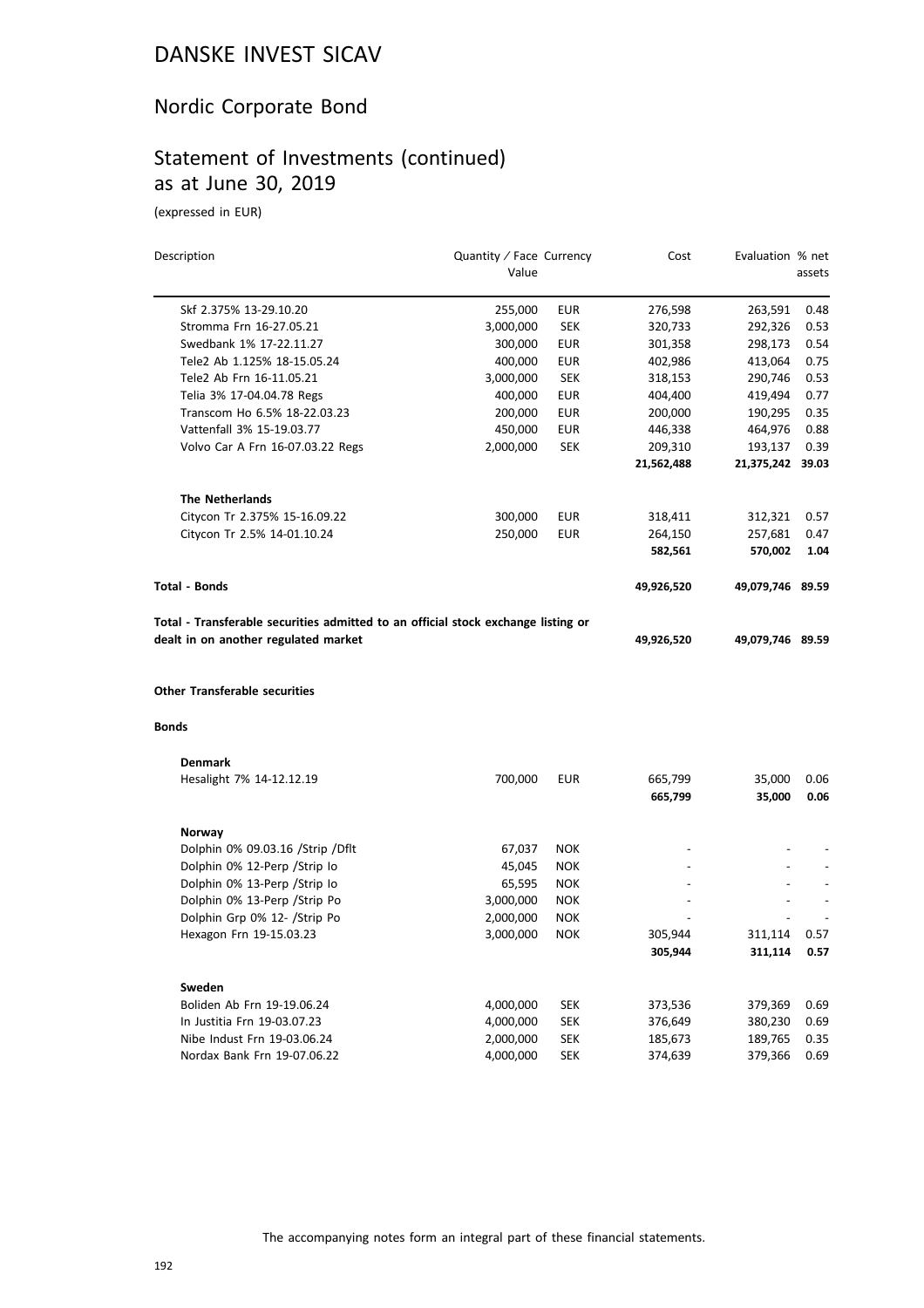## Nordic Corporate Bond

## Statement of Investments (continued) as at June 30, 2019

(expressed in EUR)

| Description                                                                  | Quantity / Face Currency |            | Cost           | Evaluation % net |        |
|------------------------------------------------------------------------------|--------------------------|------------|----------------|------------------|--------|
|                                                                              | Value                    |            |                |                  | assets |
| Skf 2.375% 13-29.10.20                                                       | 255,000                  | <b>EUR</b> | 276,598        | 263,591          | 0.48   |
| Stromma Frn 16-27.05.21                                                      | 3,000,000                | <b>SEK</b> | 320,733        | 292,326          | 0.53   |
| Swedbank 1% 17-22.11.27                                                      | 300,000                  | EUR        | 301,358        | 298,173          | 0.54   |
| Tele2 Ab 1.125% 18-15.05.24                                                  | 400,000                  | <b>EUR</b> | 402,986        | 413,064          | 0.75   |
| Tele2 Ab Frn 16-11.05.21                                                     | 3,000,000                | <b>SEK</b> | 318,153        | 290,746          | 0.53   |
| Telia 3% 17-04.04.78 Regs                                                    | 400,000                  | <b>EUR</b> | 404,400        | 419,494          | 0.77   |
| Transcom Ho 6.5% 18-22.03.23                                                 | 200,000                  | <b>EUR</b> | 200,000        | 190,295          | 0.35   |
| Vattenfall 3% 15-19.03.77                                                    | 450,000                  | <b>EUR</b> | 446,338        | 464,976          | 0.88   |
| Volvo Car A Frn 16-07.03.22 Regs                                             | 2,000,000                | <b>SEK</b> | 209,310        | 193,137          | 0.39   |
|                                                                              |                          |            | 21,562,488     | 21,375,242 39.03 |        |
| <b>The Netherlands</b>                                                       |                          |            |                |                  |        |
| Citycon Tr 2.375% 15-16.09.22                                                | 300,000                  | <b>EUR</b> | 318,411        | 312,321          | 0.57   |
| Citycon Tr 2.5% 14-01.10.24                                                  | 250,000                  | <b>EUR</b> | 264,150        | 257,681          | 0.47   |
|                                                                              |                          |            | 582,561        | 570,002          | 1.04   |
| <b>Total - Bonds</b>                                                         |                          |            | 49,926,520     | 49,079,746 89.59 |        |
| dealt in on another regulated market<br><b>Other Transferable securities</b> |                          |            | 49,926,520     | 49,079,746 89.59 |        |
| <b>Bonds</b>                                                                 |                          |            |                |                  |        |
| <b>Denmark</b>                                                               |                          |            |                |                  |        |
| Hesalight 7% 14-12.12.19                                                     | 700,000                  | <b>EUR</b> | 665,799        | 35,000           | 0.06   |
|                                                                              |                          |            | 665,799        | 35,000           | 0.06   |
| Norway                                                                       |                          |            |                |                  |        |
| Dolphin 0% 09.03.16 / Strip / Dflt                                           | 67,037                   | <b>NOK</b> |                |                  |        |
| Dolphin 0% 12-Perp / Strip Io                                                | 45,045                   | <b>NOK</b> |                |                  |        |
| Dolphin 0% 13-Perp / Strip lo                                                | 65,595                   | <b>NOK</b> | $\overline{a}$ |                  |        |
| Dolphin 0% 13-Perp / Strip Po                                                | 3,000,000                | <b>NOK</b> |                |                  |        |
| Dolphin Grp 0% 12- /Strip Po                                                 | 2,000,000                | <b>NOK</b> |                |                  |        |
| Hexagon Frn 19-15.03.23                                                      | 3,000,000                | <b>NOK</b> | 305,944        | 311,114          | 0.57   |
|                                                                              |                          |            | 305,944        | 311,114          | 0.57   |
| Sweden                                                                       |                          |            |                |                  |        |
| Boliden Ab Frn 19-19.06.24                                                   | 4,000,000                | SEK        | 373,536        | 379,369          | 0.69   |
| In Justitia Frn 19-03.07.23                                                  | 4,000,000                | <b>SEK</b> | 376,649        | 380,230          | 0.69   |
| Nibe Indust Frn 19-03.06.24                                                  | 2,000,000                | <b>SEK</b> | 185,673        | 189,765          | 0.35   |
| Nordax Bank Frn 19-07.06.22                                                  | 4,000,000                | SEK        | 374,639        | 379,366          | 0.69   |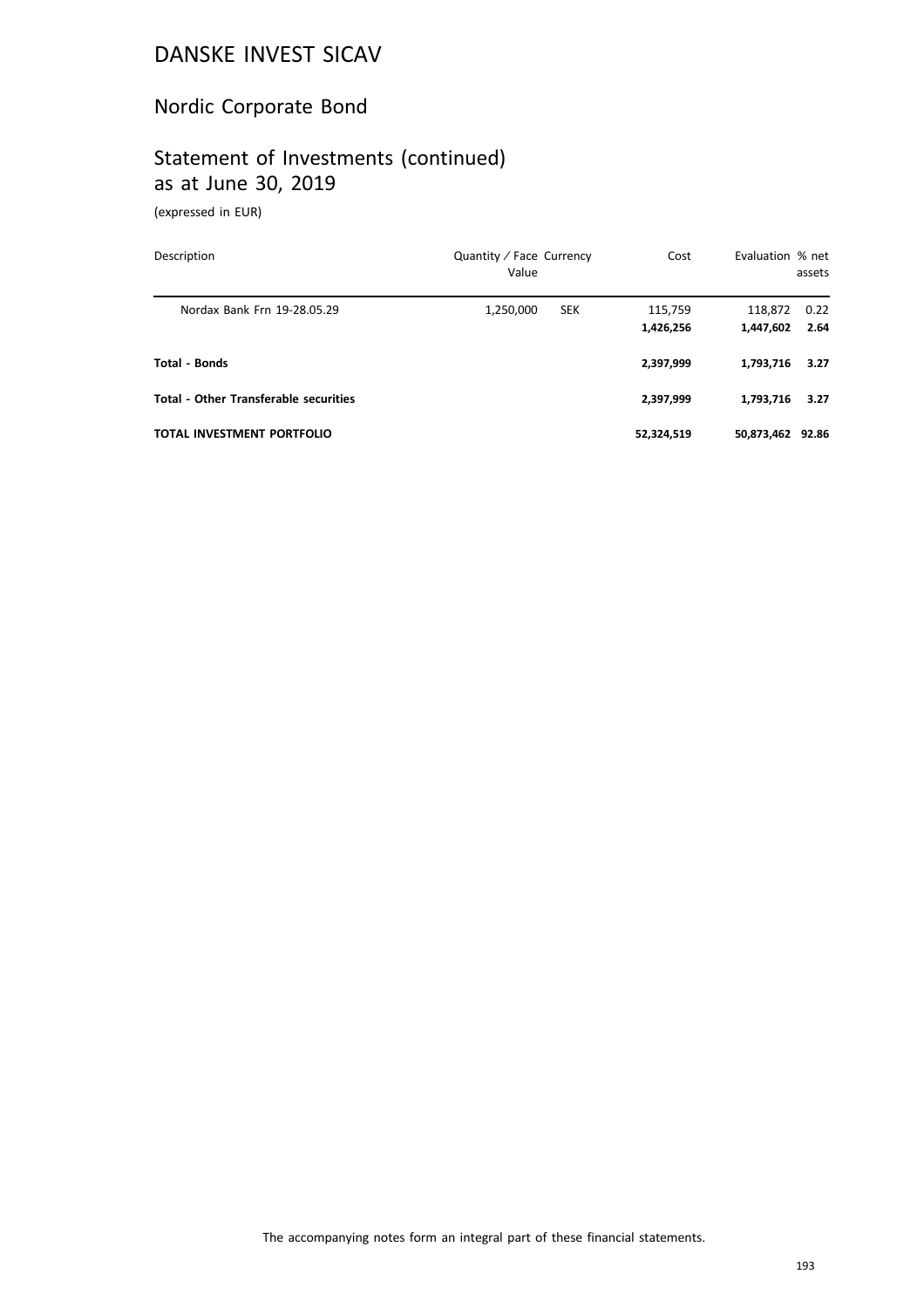## Nordic Corporate Bond

## Statement of Investments (continued) as at June 30, 2019

(expressed in EUR)

| Description                                  | Quantity / Face Currency<br>Value | Cost                 | Evaluation % net     | assets       |
|----------------------------------------------|-----------------------------------|----------------------|----------------------|--------------|
| Nordax Bank Frn 19-28.05.29                  | <b>SEK</b><br>1,250,000           | 115,759<br>1,426,256 | 118,872<br>1,447,602 | 0.22<br>2.64 |
| Total - Bonds                                |                                   | 2,397,999            | 1,793,716            | 3.27         |
| <b>Total - Other Transferable securities</b> |                                   | 2,397,999            | 1,793,716            | 3.27         |
| TOTAL INVESTMENT PORTFOLIO                   |                                   | 52,324,519           | 50,873,462 92.86     |              |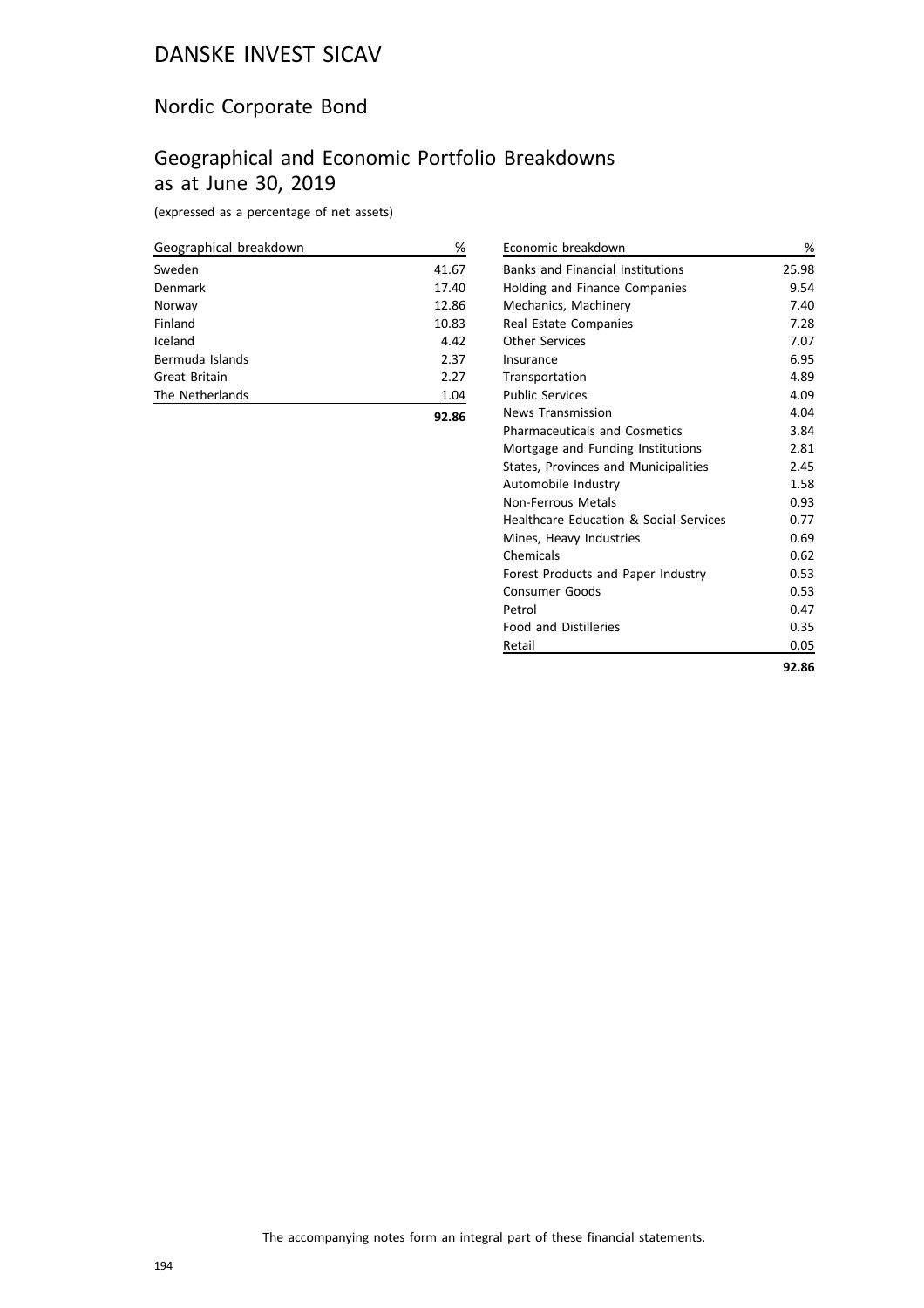## Nordic Corporate Bond

## Geographical and Economic Portfolio Breakdowns as at June 30, 2019

(expressed as a percentage of net assets)

| Geographical breakdown | %     |
|------------------------|-------|
| Sweden                 | 41.67 |
| Denmark                | 17.40 |
| Norway                 | 12.86 |
| Finland                | 10.83 |
| Iceland                | 4.42  |
| Bermuda Islands        | 2.37  |
| Great Britain          | 2.27  |
| The Netherlands        | 1.04  |
|                        | 92.86 |

| Economic breakdown                      | %     |
|-----------------------------------------|-------|
| <b>Banks and Financial Institutions</b> | 25.98 |
| Holding and Finance Companies           | 9.54  |
| Mechanics, Machinery                    | 7.40  |
| Real Estate Companies                   | 7.28  |
| <b>Other Services</b>                   | 7.07  |
| Insurance                               | 6.95  |
| Transportation                          | 4.89  |
| <b>Public Services</b>                  | 4.09  |
| <b>News Transmission</b>                | 4.04  |
| <b>Pharmaceuticals and Cosmetics</b>    | 3.84  |
| Mortgage and Funding Institutions       | 2.81  |
| States, Provinces and Municipalities    | 2.45  |
| Automobile Industry                     | 1.58  |
| Non-Ferrous Metals                      | 0.93  |
| Healthcare Education & Social Services  | 0.77  |
| Mines, Heavy Industries                 | 0.69  |
| Chemicals                               | 0.62  |
| Forest Products and Paper Industry      | 0.53  |
| <b>Consumer Goods</b>                   | 0.53  |
| Petrol                                  | 0.47  |
| <b>Food and Distilleries</b>            | 0.35  |
| Retail                                  | 0.05  |
|                                         | 92.86 |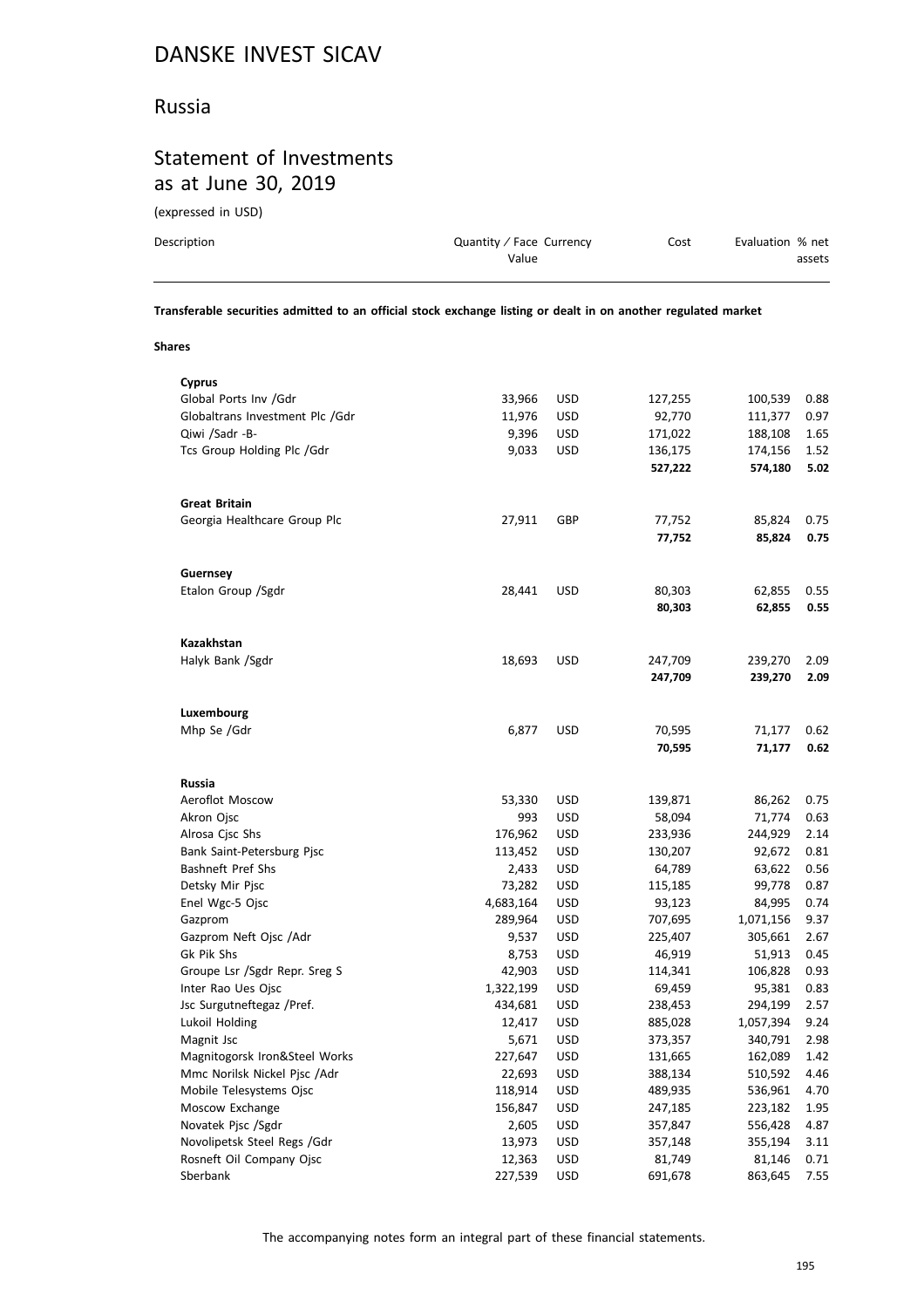#### Russia

## Statement of Investments as at June 30, 2019

(expressed in USD)

| Description | Quantity / Face Currency<br>Value | Cost | Evaluation % net<br>assets |
|-------------|-----------------------------------|------|----------------------------|
|             |                                   |      |                            |

**Transferable securities admitted to an official stock exchange listing or dealt in on another regulated market**

**Shares**

| <b>Cyprus</b>                   |           |            |         |           |      |
|---------------------------------|-----------|------------|---------|-----------|------|
| Global Ports Inv /Gdr           | 33,966    | <b>USD</b> | 127,255 | 100,539   | 0.88 |
| Globaltrans Investment Plc /Gdr | 11,976    | <b>USD</b> | 92,770  | 111,377   | 0.97 |
| Qiwi /Sadr -B-                  | 9,396     | <b>USD</b> | 171,022 | 188,108   | 1.65 |
| Tcs Group Holding Plc /Gdr      | 9,033     | <b>USD</b> | 136,175 | 174,156   | 1.52 |
|                                 |           |            | 527,222 | 574,180   | 5.02 |
|                                 |           |            |         |           |      |
| <b>Great Britain</b>            |           |            |         |           |      |
| Georgia Healthcare Group Plc    | 27,911    | GBP        | 77,752  | 85,824    | 0.75 |
|                                 |           |            | 77,752  | 85,824    | 0.75 |
|                                 |           |            |         |           |      |
| Guernsey                        |           |            |         |           |      |
| Etalon Group /Sgdr              | 28,441    | <b>USD</b> | 80,303  | 62,855    | 0.55 |
|                                 |           |            | 80,303  | 62,855    | 0.55 |
|                                 |           |            |         |           |      |
| <b>Kazakhstan</b>               |           |            |         |           |      |
| Halyk Bank /Sgdr                | 18,693    | <b>USD</b> | 247,709 | 239,270   | 2.09 |
|                                 |           |            | 247,709 | 239,270   | 2.09 |
|                                 |           |            |         |           |      |
| Luxembourg                      |           |            |         |           |      |
| Mhp Se /Gdr                     | 6,877     | <b>USD</b> | 70,595  | 71,177    | 0.62 |
|                                 |           |            | 70,595  | 71,177    | 0.62 |
|                                 |           |            |         |           |      |
| <b>Russia</b>                   |           |            |         |           |      |
| Aeroflot Moscow                 | 53,330    | <b>USD</b> | 139,871 | 86,262    | 0.75 |
| Akron Ojsc                      | 993       | <b>USD</b> | 58,094  | 71,774    | 0.63 |
|                                 |           | <b>USD</b> | 233,936 | 244,929   | 2.14 |
| Alrosa Cjsc Shs                 | 176,962   | <b>USD</b> |         | 92,672    | 0.81 |
| Bank Saint-Petersburg Pjsc      | 113,452   |            | 130,207 |           |      |
| Bashneft Pref Shs               | 2,433     | <b>USD</b> | 64,789  | 63,622    | 0.56 |
| Detsky Mir Pjsc                 | 73,282    | <b>USD</b> | 115,185 | 99,778    | 0.87 |
| Enel Wgc-5 Ojsc                 | 4,683,164 | <b>USD</b> | 93,123  | 84,995    | 0.74 |
| Gazprom                         | 289,964   | <b>USD</b> | 707,695 | 1,071,156 | 9.37 |
| Gazprom Neft Ojsc /Adr          | 9,537     | <b>USD</b> | 225,407 | 305,661   | 2.67 |
| Gk Pik Shs                      | 8,753     | <b>USD</b> | 46,919  | 51,913    | 0.45 |
| Groupe Lsr /Sgdr Repr. Sreg S   | 42,903    | <b>USD</b> | 114,341 | 106,828   | 0.93 |
| Inter Rao Ues Ojsc              | 1,322,199 | <b>USD</b> | 69,459  | 95,381    | 0.83 |
| Jsc Surgutneftegaz /Pref.       | 434,681   | <b>USD</b> | 238,453 | 294,199   | 2.57 |
| Lukoil Holding                  | 12,417    | <b>USD</b> | 885,028 | 1,057,394 | 9.24 |
| Magnit Jsc                      | 5,671     | <b>USD</b> | 373,357 | 340,791   | 2.98 |
| Magnitogorsk Iron&Steel Works   | 227,647   | <b>USD</b> | 131,665 | 162,089   | 1.42 |
| Mmc Norilsk Nickel Pjsc /Adr    | 22,693    | <b>USD</b> | 388,134 | 510,592   | 4.46 |
| Mobile Telesystems Ojsc         | 118,914   | <b>USD</b> | 489,935 | 536,961   | 4.70 |
| Moscow Exchange                 | 156,847   | <b>USD</b> | 247,185 | 223,182   | 1.95 |
| Novatek Pjsc /Sgdr              | 2,605     | <b>USD</b> | 357,847 | 556,428   | 4.87 |
| Novolipetsk Steel Regs /Gdr     | 13,973    | <b>USD</b> | 357,148 | 355,194   | 3.11 |
| Rosneft Oil Company Ojsc        | 12,363    | <b>USD</b> | 81,749  | 81,146    | 0.71 |
| Sberbank                        | 227,539   | <b>USD</b> | 691,678 | 863,645   | 7.55 |
|                                 |           |            |         |           |      |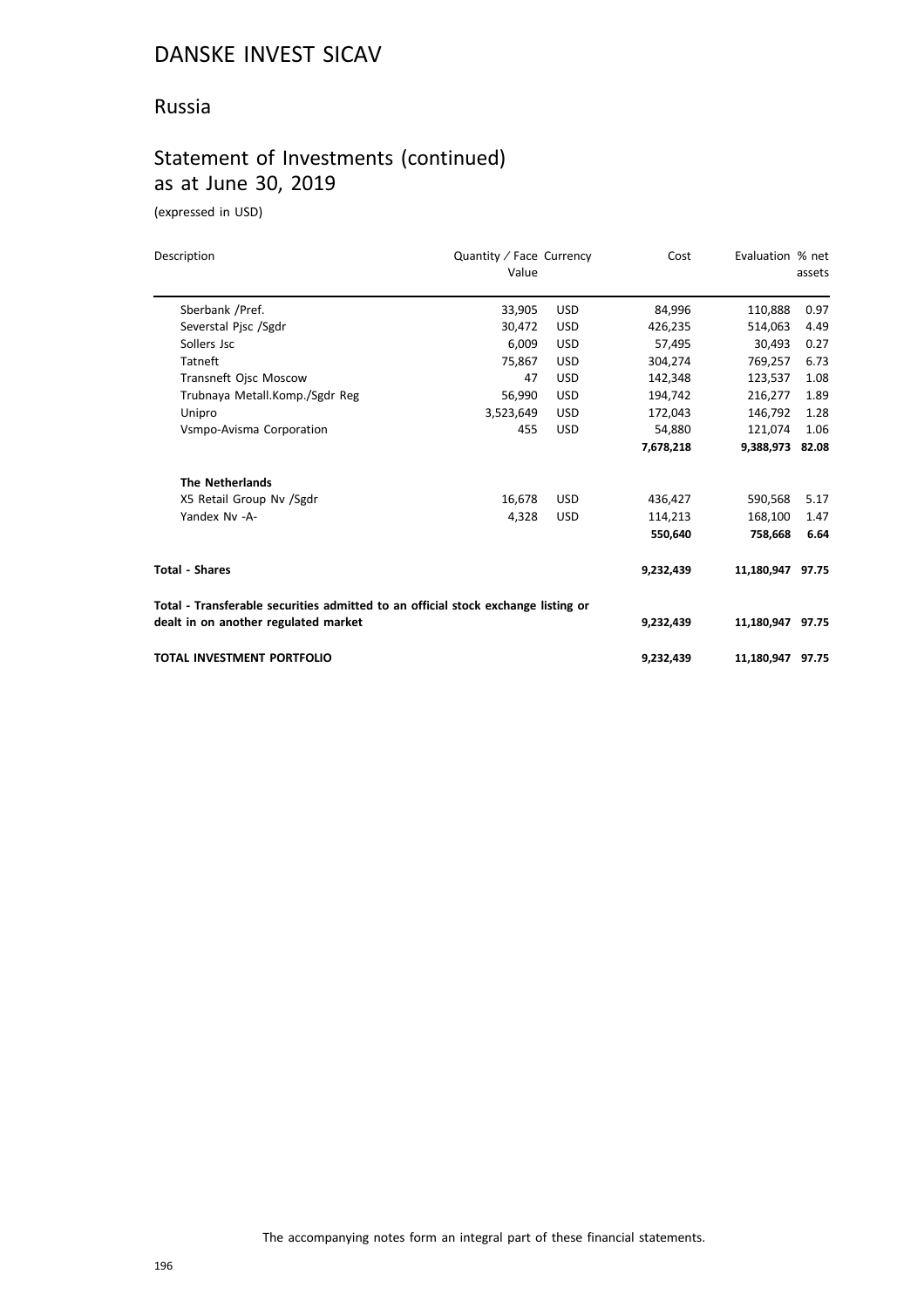#### Russia

## Statement of Investments (continued) as at June 30, 2019

(expressed in USD)

| Description                                                                       | Quantity / Face Currency<br>Value |            | Cost      | Evaluation % net | assets |
|-----------------------------------------------------------------------------------|-----------------------------------|------------|-----------|------------------|--------|
| Sberbank /Pref.                                                                   | 33,905                            | <b>USD</b> | 84,996    | 110,888          | 0.97   |
| Severstal Pjsc /Sgdr                                                              | 30.472                            | <b>USD</b> | 426,235   | 514.063          | 4.49   |
| Sollers Jsc                                                                       | 6,009                             | <b>USD</b> | 57,495    | 30,493           | 0.27   |
| Tatneft                                                                           | 75,867                            | <b>USD</b> | 304,274   | 769,257          | 6.73   |
| Transneft Ojsc Moscow                                                             | 47                                | <b>USD</b> | 142,348   | 123,537          | 1.08   |
| Trubnaya Metall.Komp./Sgdr Reg                                                    | 56,990                            | <b>USD</b> | 194,742   | 216,277          | 1.89   |
| Unipro                                                                            | 3,523,649                         | <b>USD</b> | 172,043   | 146,792          | 1.28   |
| Vsmpo-Avisma Corporation                                                          | 455                               | <b>USD</b> | 54,880    | 121.074          | 1.06   |
|                                                                                   |                                   |            | 7,678,218 | 9,388,973 82.08  |        |
| <b>The Netherlands</b>                                                            |                                   |            |           |                  |        |
| X5 Retail Group Nv /Sgdr                                                          | 16,678                            | <b>USD</b> | 436,427   | 590,568          | 5.17   |
| Yandex Nv -A-                                                                     | 4,328                             | <b>USD</b> | 114,213   | 168,100          | 1.47   |
|                                                                                   |                                   |            | 550,640   | 758,668          | 6.64   |
| <b>Total - Shares</b>                                                             |                                   |            | 9,232,439 | 11,180,947 97.75 |        |
| Total - Transferable securities admitted to an official stock exchange listing or |                                   |            |           |                  |        |
| dealt in on another regulated market                                              |                                   |            | 9,232,439 | 11,180,947 97.75 |        |
| <b>TOTAL INVESTMENT PORTFOLIO</b>                                                 |                                   |            | 9,232,439 | 11,180,947 97.75 |        |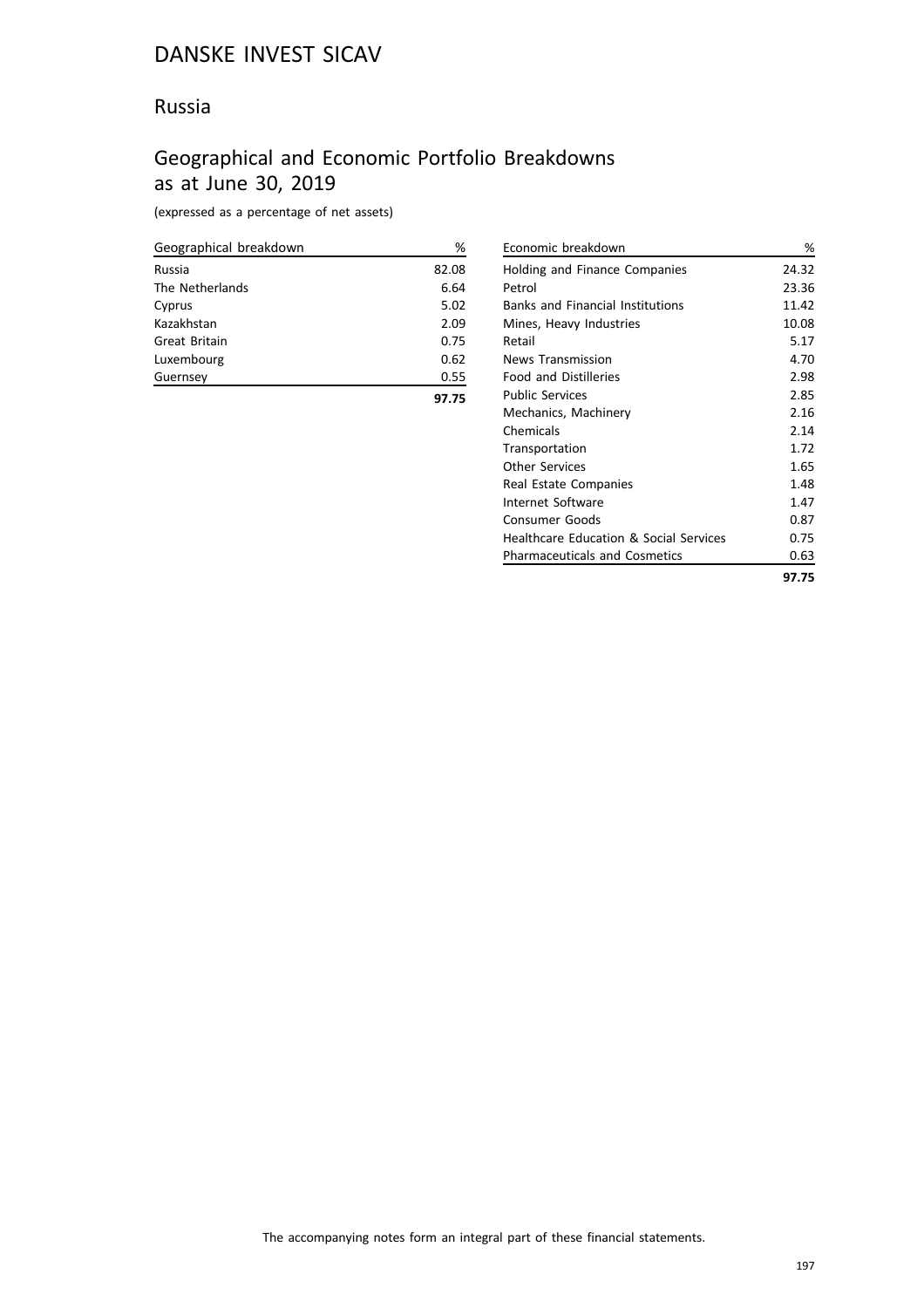#### Russia

## Geographical and Economic Portfolio Breakdowns as at June 30, 2019

(expressed as a percentage of net assets)

| Geographical breakdown | %     |
|------------------------|-------|
| Russia                 | 82.08 |
| The Netherlands        | 6.64  |
| Cyprus                 | 5.02  |
| Kazakhstan             | 2.09  |
| Great Britain          | 0.75  |
| Luxembourg             | 0.62  |
| Guernsey               | 0.55  |
|                        |       |

**97.75**

| Economic breakdown                                | %     |
|---------------------------------------------------|-------|
| Holding and Finance Companies                     | 24.32 |
| Petrol                                            | 23.36 |
| <b>Banks and Financial Institutions</b>           | 11.42 |
| Mines, Heavy Industries                           | 10.08 |
| Retail                                            | 5.17  |
| <b>News Transmission</b>                          | 4.70  |
| <b>Food and Distilleries</b>                      | 2.98  |
| <b>Public Services</b>                            | 2.85  |
| Mechanics, Machinery                              | 2.16  |
| Chemicals                                         | 2.14  |
| Transportation                                    | 1.72  |
| Other Services                                    | 1.65  |
| Real Estate Companies                             | 1.48  |
| Internet Software                                 | 1.47  |
| Consumer Goods                                    | 0.87  |
| <b>Healthcare Education &amp; Social Services</b> | 0.75  |
| <b>Pharmaceuticals and Cosmetics</b>              | 0.63  |
|                                                   | 97.75 |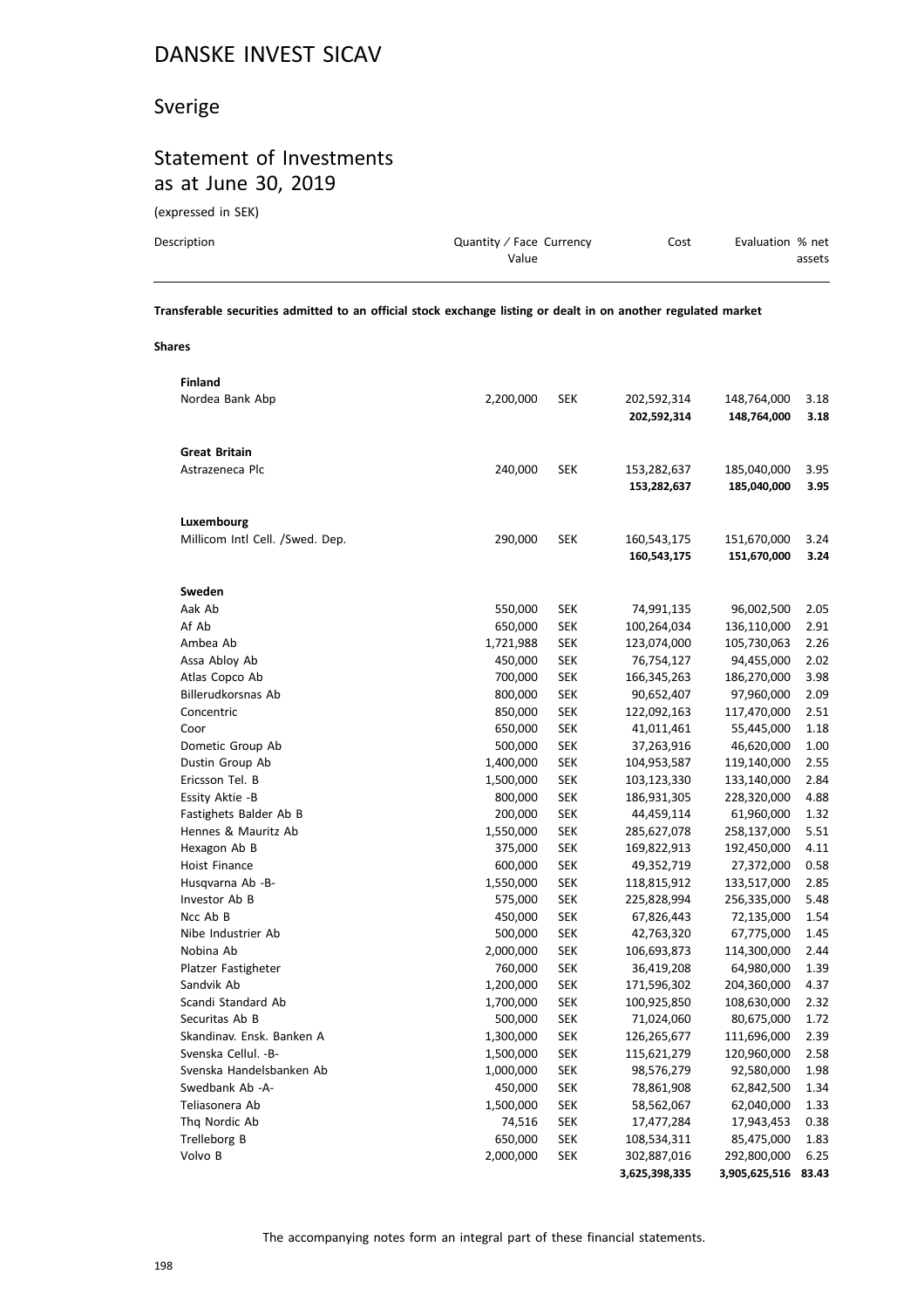## Sverige

## Statement of Investments as at June 30, 2019

(expressed in SEK)

| Description | Quantity / Face Currency | Cost | Evaluation % net |
|-------------|--------------------------|------|------------------|
|             | Value                    |      | assets           |
|             |                          |      |                  |

**Transferable securities admitted to an official stock exchange listing or dealt in on another regulated market**

**Shares**

| <b>Finland</b>                  |           |            |               |               |       |
|---------------------------------|-----------|------------|---------------|---------------|-------|
| Nordea Bank Abp                 | 2,200,000 | <b>SEK</b> | 202,592,314   | 148,764,000   | 3.18  |
|                                 |           |            | 202,592,314   | 148,764,000   | 3.18  |
|                                 |           |            |               |               |       |
| <b>Great Britain</b>            |           |            |               |               |       |
| Astrazeneca Plc                 | 240,000   | SEK        | 153,282,637   | 185,040,000   | 3.95  |
|                                 |           |            | 153,282,637   | 185,040,000   | 3.95  |
|                                 |           |            |               |               |       |
| Luxembourg                      |           |            |               |               |       |
| Millicom Intl Cell. /Swed. Dep. | 290,000   | <b>SEK</b> | 160,543,175   | 151,670,000   | 3.24  |
|                                 |           |            | 160,543,175   | 151,670,000   | 3.24  |
|                                 |           |            |               |               |       |
| Sweden                          |           |            |               |               |       |
| Aak Ab                          | 550,000   | <b>SEK</b> | 74,991,135    | 96,002,500    | 2.05  |
| Af Ab                           | 650,000   | <b>SEK</b> | 100,264,034   | 136,110,000   | 2.91  |
| Ambea Ab                        | 1,721,988 | <b>SEK</b> | 123,074,000   | 105,730,063   | 2.26  |
| Assa Abloy Ab                   | 450,000   | <b>SEK</b> | 76,754,127    | 94,455,000    | 2.02  |
| Atlas Copco Ab                  | 700,000   | <b>SEK</b> | 166,345,263   | 186,270,000   | 3.98  |
| Billerudkorsnas Ab              | 800,000   | <b>SEK</b> | 90,652,407    | 97,960,000    | 2.09  |
| Concentric                      | 850,000   | <b>SEK</b> | 122,092,163   | 117,470,000   | 2.51  |
| Coor                            | 650,000   | <b>SEK</b> | 41,011,461    | 55,445,000    | 1.18  |
| Dometic Group Ab                | 500,000   | <b>SEK</b> | 37,263,916    | 46,620,000    | 1.00  |
| Dustin Group Ab                 | 1,400,000 | <b>SEK</b> | 104,953,587   | 119,140,000   | 2.55  |
| Ericsson Tel. B                 | 1,500,000 | <b>SEK</b> | 103,123,330   | 133,140,000   | 2.84  |
| Essity Aktie -B                 | 800,000   | <b>SEK</b> | 186,931,305   | 228,320,000   | 4.88  |
| Fastighets Balder Ab B          | 200,000   | <b>SEK</b> | 44,459,114    | 61,960,000    | 1.32  |
| Hennes & Mauritz Ab             | 1,550,000 | <b>SEK</b> | 285,627,078   | 258,137,000   | 5.51  |
| Hexagon Ab B                    | 375,000   | <b>SEK</b> | 169,822,913   | 192,450,000   | 4.11  |
| <b>Hoist Finance</b>            | 600,000   | <b>SEK</b> | 49,352,719    | 27,372,000    | 0.58  |
| Husqvarna Ab -B-                | 1,550,000 | <b>SEK</b> | 118,815,912   | 133,517,000   | 2.85  |
| Investor Ab B                   | 575,000   | <b>SEK</b> | 225,828,994   | 256,335,000   | 5.48  |
| Ncc Ab B                        | 450,000   | <b>SEK</b> | 67,826,443    | 72,135,000    | 1.54  |
| Nibe Industrier Ab              | 500,000   | <b>SEK</b> | 42,763,320    | 67,775,000    | 1.45  |
| Nobina Ab                       | 2,000,000 | <b>SEK</b> | 106,693,873   | 114,300,000   | 2.44  |
| Platzer Fastigheter             | 760,000   | <b>SEK</b> | 36,419,208    | 64,980,000    | 1.39  |
| Sandvik Ab                      | 1,200,000 | <b>SEK</b> | 171,596,302   | 204,360,000   | 4.37  |
| Scandi Standard Ab              | 1,700,000 | <b>SEK</b> | 100,925,850   | 108,630,000   | 2.32  |
| Securitas Ab B                  | 500,000   | <b>SEK</b> | 71,024,060    | 80,675,000    | 1.72  |
| Skandinav. Ensk. Banken A       | 1,300,000 | <b>SEK</b> | 126,265,677   | 111,696,000   | 2.39  |
| Svenska Cellul. - B-            | 1,500,000 | <b>SEK</b> | 115,621,279   | 120,960,000   | 2.58  |
| Svenska Handelsbanken Ab        | 1,000,000 | <b>SEK</b> | 98,576,279    | 92,580,000    | 1.98  |
| Swedbank Ab -A-                 | 450,000   | <b>SEK</b> | 78,861,908    | 62,842,500    | 1.34  |
| Teliasonera Ab                  | 1,500,000 | <b>SEK</b> | 58,562,067    | 62,040,000    | 1.33  |
| Thg Nordic Ab                   | 74,516    | <b>SEK</b> | 17,477,284    | 17,943,453    | 0.38  |
| Trelleborg B                    | 650,000   | <b>SEK</b> | 108,534,311   | 85,475,000    | 1.83  |
| Volvo B                         | 2,000,000 | <b>SEK</b> | 302,887,016   | 292,800,000   | 6.25  |
|                                 |           |            | 3,625,398,335 | 3,905,625,516 | 83.43 |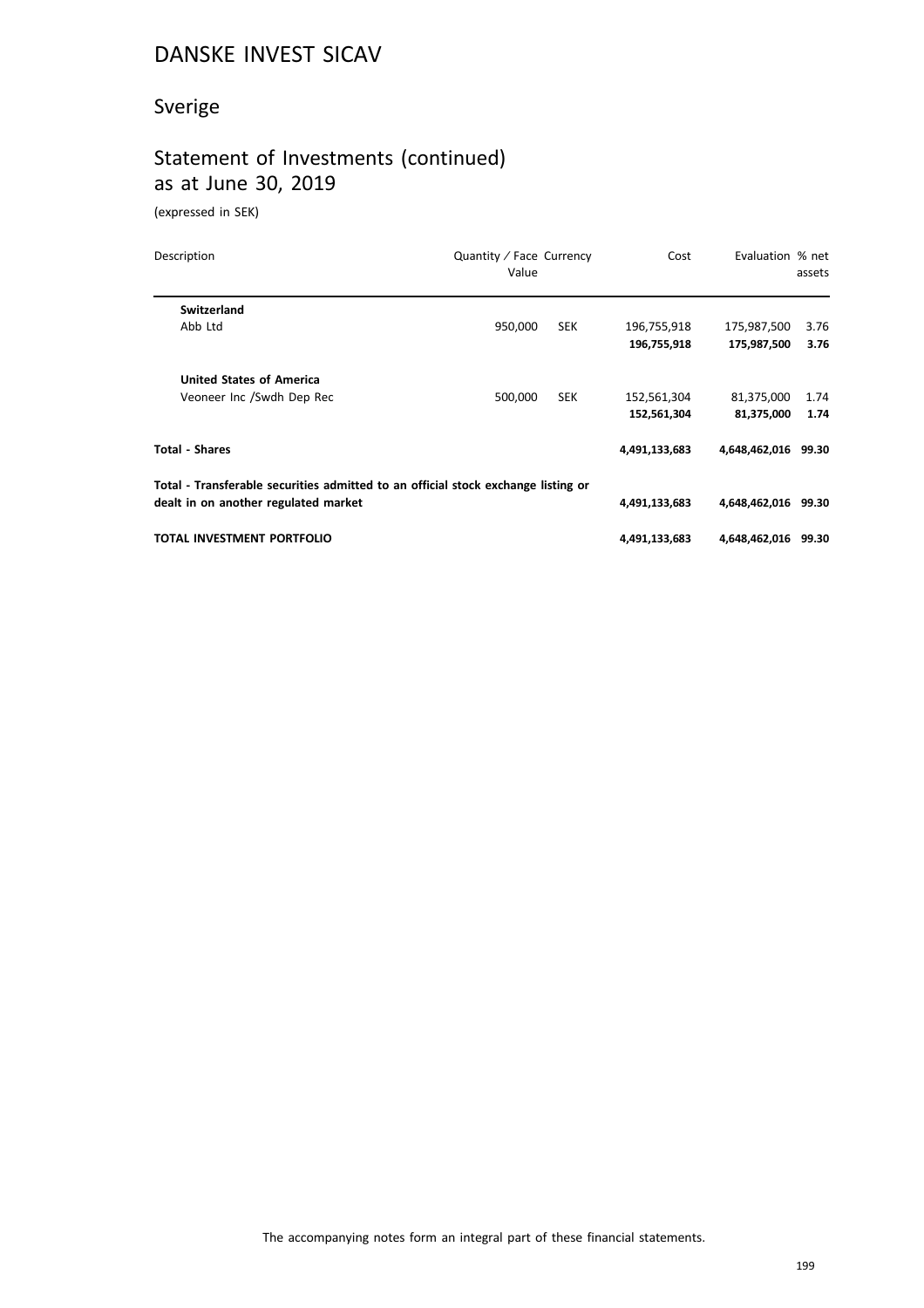# Sverige

## Statement of Investments (continued) as at June 30, 2019

(expressed in SEK)

| Description                                                                       | Quantity / Face Currency<br>Value |            | Cost          | Evaluation % net    | assets |
|-----------------------------------------------------------------------------------|-----------------------------------|------------|---------------|---------------------|--------|
| Switzerland                                                                       |                                   |            |               |                     |        |
| Abb Ltd                                                                           | 950,000                           | <b>SEK</b> | 196,755,918   | 175,987,500         | 3.76   |
|                                                                                   |                                   |            | 196,755,918   | 175,987,500         | 3.76   |
| <b>United States of America</b>                                                   |                                   |            |               |                     |        |
| Veoneer Inc /Swdh Dep Rec                                                         | 500,000                           | <b>SEK</b> | 152,561,304   | 81,375,000          | 1.74   |
|                                                                                   |                                   |            | 152,561,304   | 81,375,000          | 1.74   |
| <b>Total - Shares</b>                                                             |                                   |            | 4,491,133,683 | 4,648,462,016 99.30 |        |
| Total - Transferable securities admitted to an official stock exchange listing or |                                   |            |               |                     |        |
| dealt in on another regulated market                                              |                                   |            | 4,491,133,683 | 4,648,462,016 99.30 |        |
| TOTAL INVESTMENT PORTFOLIO                                                        |                                   |            | 4,491,133,683 | 4,648,462,016 99.30 |        |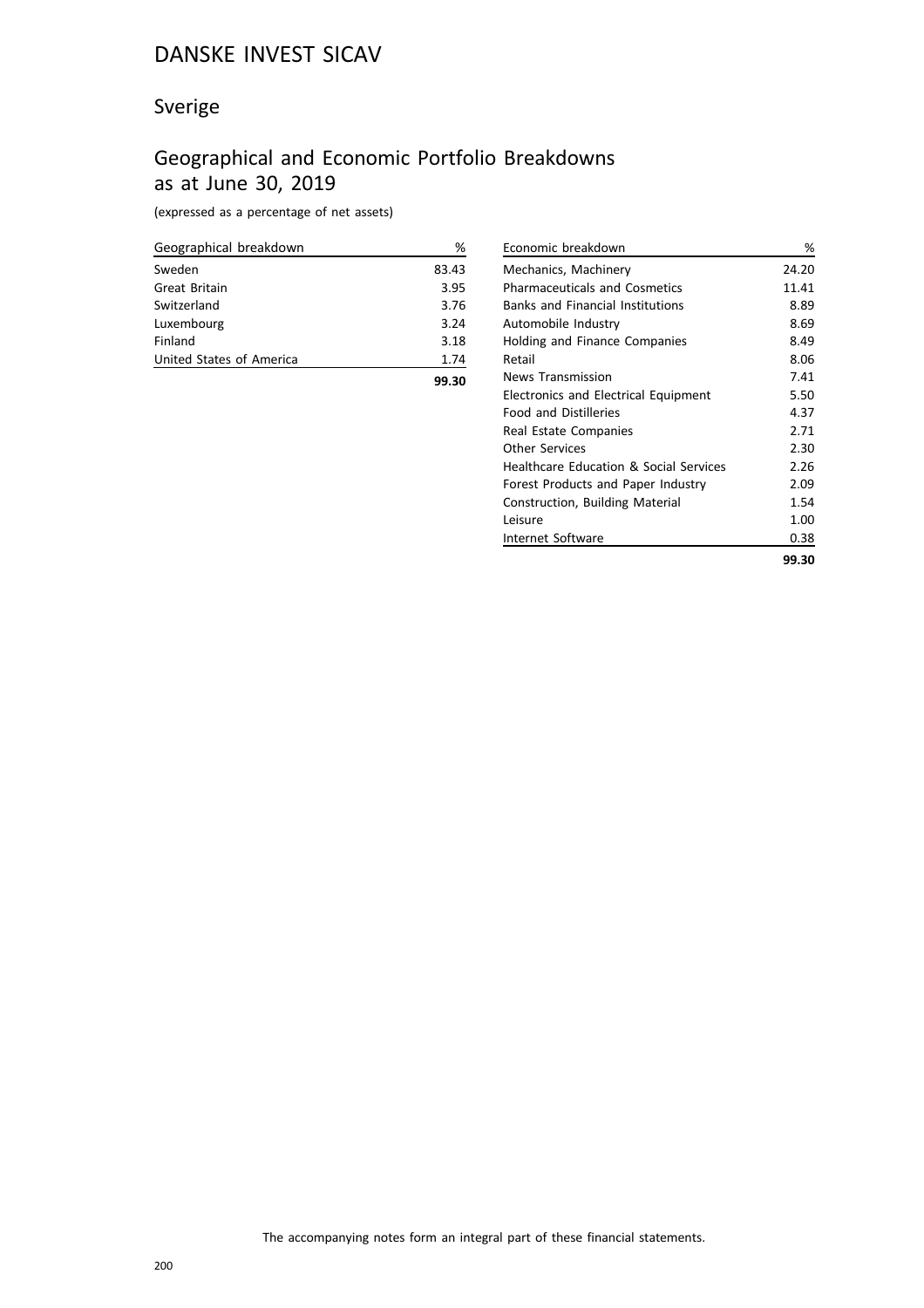## Sverige

## Geographical and Economic Portfolio Breakdowns as at June 30, 2019

(expressed as a percentage of net assets)

| Geographical breakdown   | %     |
|--------------------------|-------|
| Sweden                   | 83.43 |
| Great Britain            | 3.95  |
| Switzerland              | 3.76  |
| Luxembourg               | 3.24  |
| Finland                  | 3.18  |
| United States of America | 1.74  |
|                          | 99.30 |

| Economic breakdown                      | %     |
|-----------------------------------------|-------|
| Mechanics, Machinery                    | 24.20 |
| <b>Pharmaceuticals and Cosmetics</b>    | 11.41 |
| <b>Banks and Financial Institutions</b> | 8.89  |
| Automobile Industry                     | 8.69  |
| Holding and Finance Companies           | 8.49  |
| Retail                                  | 8.06  |
| <b>News Transmission</b>                | 7.41  |
| Electronics and Electrical Equipment    | 5.50  |
| <b>Food and Distilleries</b>            | 4.37  |
| Real Estate Companies                   | 2.71  |
| Other Services                          | 2.30  |
| Healthcare Education & Social Services  | 2.26  |
| Forest Products and Paper Industry      | 2.09  |
| Construction, Building Material         | 1.54  |
| Leisure                                 | 1.00  |
| Internet Software                       | 0.38  |
|                                         | 99.30 |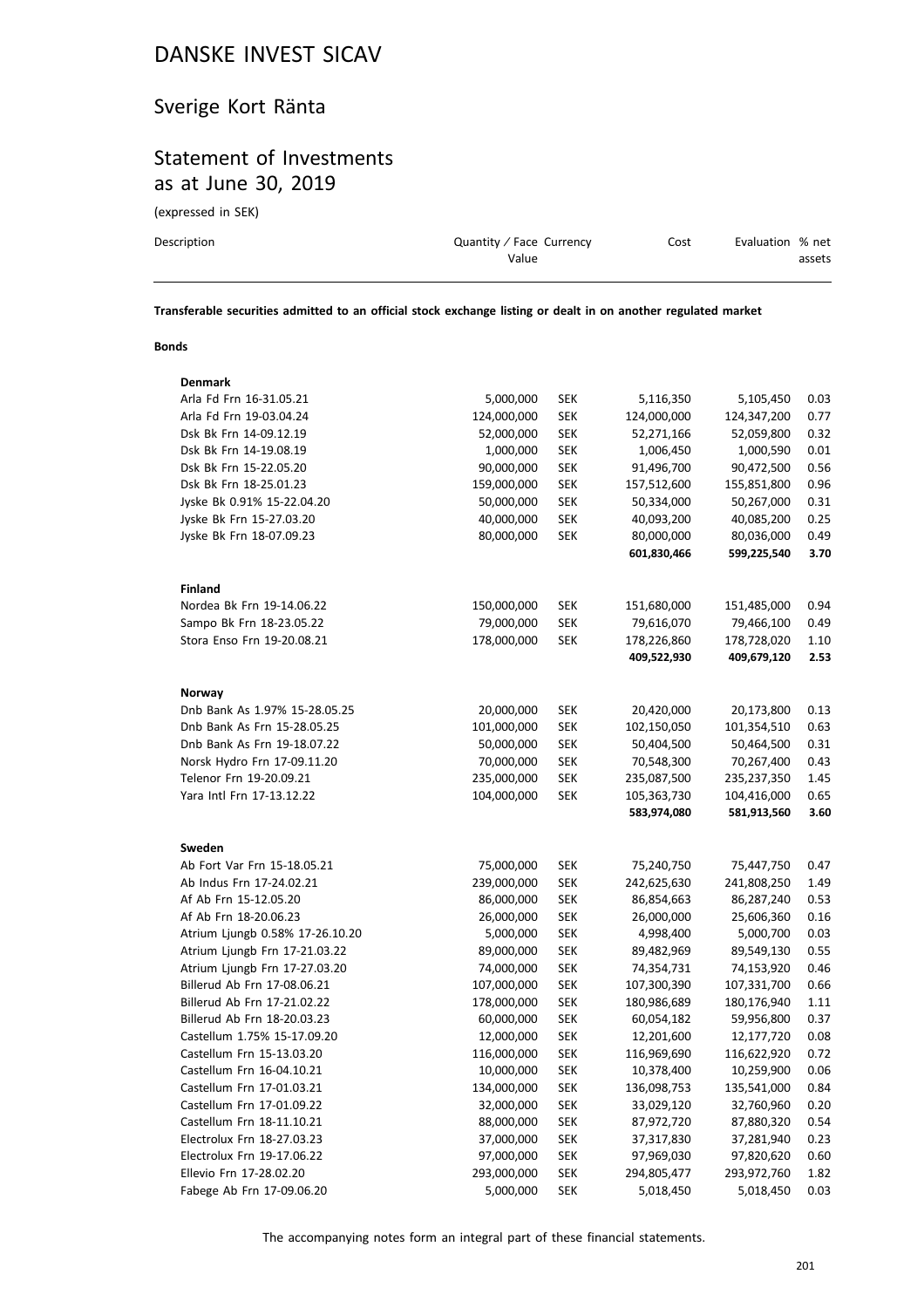## Sverige Kort Ränta

## Statement of Investments as at June 30, 2019

(expressed in SEK)

| Description | Quantity / Face Currency | Cost | Evaluation % net |
|-------------|--------------------------|------|------------------|
|             | Value                    |      | assets           |
|             |                          |      |                  |

**Transferable securities admitted to an official stock exchange listing or dealt in on another regulated market**

#### **Bonds**

| Denmark                         |             |            |             |             |      |
|---------------------------------|-------------|------------|-------------|-------------|------|
| Arla Fd Frn 16-31.05.21         | 5,000,000   | <b>SEK</b> | 5,116,350   | 5,105,450   | 0.03 |
| Arla Fd Frn 19-03.04.24         | 124,000,000 | <b>SEK</b> | 124,000,000 | 124,347,200 | 0.77 |
| Dsk Bk Frn 14-09.12.19          | 52,000,000  | <b>SEK</b> | 52,271,166  | 52,059,800  | 0.32 |
| Dsk Bk Frn 14-19.08.19          | 1,000,000   | <b>SEK</b> | 1,006,450   | 1,000,590   | 0.01 |
| Dsk Bk Frn 15-22.05.20          | 90,000,000  | <b>SEK</b> | 91,496,700  | 90,472,500  | 0.56 |
| Dsk Bk Frn 18-25.01.23          | 159,000,000 | <b>SEK</b> | 157,512,600 | 155,851,800 | 0.96 |
| Jyske Bk 0.91% 15-22.04.20      | 50,000,000  | <b>SEK</b> | 50,334,000  | 50,267,000  | 0.31 |
| Jyske Bk Frn 15-27.03.20        | 40,000,000  | <b>SEK</b> | 40,093,200  | 40,085,200  | 0.25 |
| Jyske Bk Frn 18-07.09.23        | 80,000,000  | <b>SEK</b> | 80,000,000  | 80,036,000  | 0.49 |
|                                 |             |            | 601,830,466 | 599,225,540 | 3.70 |
| <b>Finland</b>                  |             |            |             |             |      |
| Nordea Bk Frn 19-14.06.22       | 150,000,000 | <b>SEK</b> | 151,680,000 | 151,485,000 | 0.94 |
| Sampo Bk Frn 18-23.05.22        | 79,000,000  | <b>SEK</b> | 79,616,070  | 79,466,100  | 0.49 |
| Stora Enso Frn 19-20.08.21      | 178,000,000 | <b>SEK</b> | 178,226,860 | 178,728,020 | 1.10 |
|                                 |             |            | 409,522,930 | 409,679,120 | 2.53 |
| Norway                          |             |            |             |             |      |
| Dnb Bank As 1.97% 15-28.05.25   | 20,000,000  | SEK        | 20,420,000  | 20,173,800  | 0.13 |
| Dnb Bank As Frn 15-28.05.25     | 101,000,000 | <b>SEK</b> | 102,150,050 | 101,354,510 | 0.63 |
| Dnb Bank As Frn 19-18.07.22     | 50,000,000  | <b>SEK</b> | 50,404,500  | 50,464,500  | 0.31 |
| Norsk Hydro Frn 17-09.11.20     | 70,000,000  | <b>SEK</b> | 70,548,300  | 70,267,400  | 0.43 |
| Telenor Frn 19-20.09.21         | 235,000,000 | <b>SEK</b> | 235,087,500 | 235,237,350 | 1.45 |
| Yara Intl Frn 17-13.12.22       | 104,000,000 | <b>SEK</b> | 105,363,730 | 104,416,000 | 0.65 |
|                                 |             |            | 583,974,080 | 581,913,560 | 3.60 |
| Sweden                          |             |            |             |             |      |
| Ab Fort Var Frn 15-18.05.21     | 75,000,000  | <b>SEK</b> | 75,240,750  | 75,447,750  | 0.47 |
| Ab Indus Frn 17-24.02.21        | 239,000,000 | <b>SEK</b> | 242,625,630 | 241,808,250 | 1.49 |
| Af Ab Frn 15-12.05.20           | 86,000,000  | <b>SEK</b> | 86,854,663  | 86,287,240  | 0.53 |
| Af Ab Frn 18-20.06.23           | 26,000,000  | <b>SEK</b> | 26,000,000  | 25,606,360  | 0.16 |
| Atrium Ljungb 0.58% 17-26.10.20 | 5,000,000   | <b>SEK</b> | 4,998,400   | 5,000,700   | 0.03 |
| Atrium Ljungb Frn 17-21.03.22   | 89,000,000  | <b>SEK</b> | 89,482,969  | 89,549,130  | 0.55 |
| Atrium Ljungb Frn 17-27.03.20   | 74,000,000  | <b>SEK</b> | 74,354,731  | 74,153,920  | 0.46 |
| Billerud Ab Frn 17-08.06.21     | 107,000,000 | <b>SEK</b> | 107,300,390 | 107,331,700 | 0.66 |
| Billerud Ab Frn 17-21.02.22     | 178,000,000 | <b>SEK</b> | 180,986,689 | 180,176,940 | 1.11 |
| Billerud Ab Frn 18-20.03.23     | 60,000,000  | <b>SEK</b> | 60,054,182  | 59,956,800  | 0.37 |
| Castellum 1.75% 15-17.09.20     | 12,000,000  | <b>SEK</b> | 12,201,600  | 12,177,720  | 0.08 |
| Castellum Frn 15-13.03.20       | 116,000,000 | <b>SEK</b> | 116,969,690 | 116,622,920 | 0.72 |
| Castellum Frn 16-04.10.21       | 10,000,000  | <b>SEK</b> | 10,378,400  | 10,259,900  | 0.06 |
| Castellum Frn 17-01.03.21       | 134,000,000 | <b>SEK</b> | 136,098,753 | 135,541,000 | 0.84 |
| Castellum Frn 17-01.09.22       | 32,000,000  | <b>SEK</b> | 33,029,120  | 32,760,960  | 0.20 |
| Castellum Frn 18-11.10.21       | 88,000,000  | <b>SEK</b> | 87,972,720  | 87,880,320  | 0.54 |
| Electrolux Frn 18-27.03.23      | 37,000,000  | <b>SEK</b> | 37,317,830  | 37,281,940  | 0.23 |
| Electrolux Frn 19-17.06.22      | 97,000,000  | <b>SEK</b> | 97,969,030  | 97,820,620  | 0.60 |
| Ellevio Frn 17-28.02.20         | 293,000,000 | <b>SEK</b> | 294,805,477 | 293,972,760 | 1.82 |
| Fabege Ab Frn 17-09.06.20       | 5,000,000   | <b>SEK</b> | 5,018,450   | 5,018,450   | 0.03 |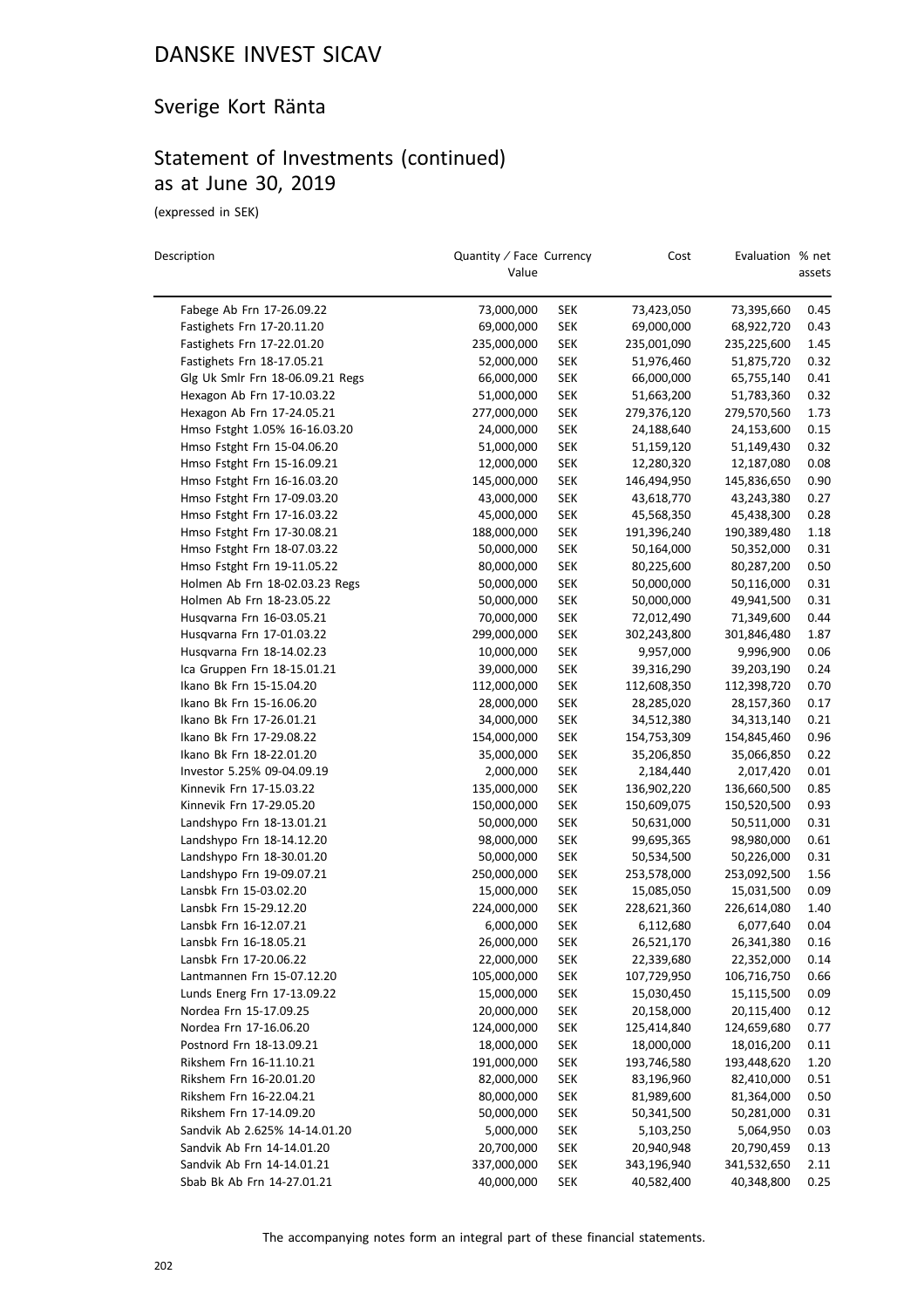## Sverige Kort Ränta

## Statement of Investments (continued) as at June 30, 2019

(expressed in SEK)

| Description                      | Quantity / Face Currency<br>Value |            | Cost        | Evaluation % net | assets |
|----------------------------------|-----------------------------------|------------|-------------|------------------|--------|
| Fabege Ab Frn 17-26.09.22        | 73,000,000                        | <b>SEK</b> | 73,423,050  | 73,395,660       | 0.45   |
| Fastighets Frn 17-20.11.20       | 69,000,000                        | <b>SEK</b> | 69,000,000  | 68,922,720       | 0.43   |
| Fastighets Frn 17-22.01.20       | 235,000,000                       | <b>SEK</b> | 235,001,090 | 235,225,600      | 1.45   |
| Fastighets Frn 18-17.05.21       | 52,000,000                        | <b>SEK</b> | 51,976,460  | 51,875,720       | 0.32   |
| Glg Uk Smlr Frn 18-06.09.21 Regs | 66,000,000                        | <b>SEK</b> | 66,000,000  | 65,755,140       | 0.41   |
| Hexagon Ab Frn 17-10.03.22       | 51,000,000                        | <b>SEK</b> | 51,663,200  | 51,783,360       | 0.32   |
| Hexagon Ab Frn 17-24.05.21       | 277,000,000                       | <b>SEK</b> | 279,376,120 | 279,570,560      | 1.73   |
| Hmso Fstght 1.05% 16-16.03.20    | 24,000,000                        | <b>SEK</b> | 24,188,640  | 24,153,600       | 0.15   |
| Hmso Fstght Frn 15-04.06.20      | 51,000,000                        | <b>SEK</b> | 51,159,120  | 51,149,430       | 0.32   |
| Hmso Fstght Frn 15-16.09.21      | 12,000,000                        | <b>SEK</b> | 12,280,320  | 12,187,080       | 0.08   |
| Hmso Fstght Frn 16-16.03.20      | 145,000,000                       | <b>SEK</b> | 146,494,950 | 145,836,650      | 0.90   |
| Hmso Fstght Frn 17-09.03.20      | 43,000,000                        | <b>SEK</b> | 43,618,770  | 43,243,380       | 0.27   |
| Hmso Fstght Frn 17-16.03.22      | 45,000,000                        | <b>SEK</b> | 45,568,350  | 45,438,300       | 0.28   |
| Hmso Fstght Frn 17-30.08.21      | 188,000,000                       | <b>SEK</b> | 191,396,240 | 190,389,480      | 1.18   |
| Hmso Fstght Frn 18-07.03.22      | 50,000,000                        | <b>SEK</b> | 50,164,000  | 50,352,000       | 0.31   |
| Hmso Fstght Frn 19-11.05.22      | 80,000,000                        | <b>SEK</b> | 80,225,600  | 80,287,200       | 0.50   |
| Holmen Ab Frn 18-02.03.23 Regs   | 50,000,000                        | <b>SEK</b> | 50,000,000  | 50,116,000       | 0.31   |
| Holmen Ab Frn 18-23.05.22        | 50,000,000                        | <b>SEK</b> | 50,000,000  | 49,941,500       | 0.31   |
| Husqvarna Frn 16-03.05.21        | 70,000,000                        | <b>SEK</b> | 72,012,490  | 71,349,600       | 0.44   |
| Husqvarna Frn 17-01.03.22        | 299,000,000                       | <b>SEK</b> | 302,243,800 | 301,846,480      | 1.87   |
| Husqvarna Frn 18-14.02.23        | 10,000,000                        | <b>SEK</b> | 9,957,000   | 9,996,900        | 0.06   |
| Ica Gruppen Frn 18-15.01.21      | 39,000,000                        | <b>SEK</b> | 39,316,290  | 39,203,190       | 0.24   |
| Ikano Bk Frn 15-15.04.20         | 112,000,000                       | <b>SEK</b> | 112,608,350 | 112,398,720      | 0.70   |
| Ikano Bk Frn 15-16.06.20         | 28,000,000                        | <b>SEK</b> | 28,285,020  | 28,157,360       | 0.17   |
| Ikano Bk Frn 17-26.01.21         | 34,000,000                        | <b>SEK</b> | 34,512,380  | 34,313,140       | 0.21   |
| Ikano Bk Frn 17-29.08.22         | 154,000,000                       | <b>SEK</b> | 154,753,309 | 154,845,460      | 0.96   |
| Ikano Bk Frn 18-22.01.20         | 35,000,000                        | <b>SEK</b> | 35,206,850  | 35,066,850       | 0.22   |
| Investor 5.25% 09-04.09.19       | 2,000,000                         | <b>SEK</b> | 2,184,440   | 2,017,420        | 0.01   |
| Kinnevik Frn 17-15.03.22         | 135,000,000                       | <b>SEK</b> | 136,902,220 | 136,660,500      | 0.85   |
| Kinnevik Frn 17-29.05.20         | 150,000,000                       | <b>SEK</b> | 150,609,075 | 150,520,500      | 0.93   |
| Landshypo Frn 18-13.01.21        | 50,000,000                        | <b>SEK</b> | 50,631,000  | 50,511,000       | 0.31   |
| Landshypo Frn 18-14.12.20        | 98,000,000                        | <b>SEK</b> | 99,695,365  | 98,980,000       | 0.61   |
| Landshypo Frn 18-30.01.20        | 50,000,000                        | <b>SEK</b> | 50,534,500  | 50,226,000       | 0.31   |
| Landshypo Frn 19-09.07.21        | 250,000,000                       | <b>SEK</b> | 253,578,000 | 253,092,500      | 1.56   |
| Lansbk Frn 15-03.02.20           | 15,000,000                        | <b>SEK</b> | 15,085,050  | 15,031,500       | 0.09   |
| Lansbk Frn 15-29.12.20           | 224,000,000                       | <b>SEK</b> | 228,621,360 | 226,614,080      | 1.40   |
| Lansbk Frn 16-12.07.21           | 6,000,000                         | <b>SEK</b> | 6,112,680   | 6,077,640        | 0.04   |
| Lansbk Frn 16-18.05.21           | 26,000,000                        | <b>SEK</b> | 26,521,170  | 26,341,380       | 0.16   |
| Lansbk Frn 17-20.06.22           | 22,000,000                        | <b>SEK</b> | 22,339,680  | 22,352,000       | 0.14   |
| Lantmannen Frn 15-07.12.20       | 105,000,000                       | <b>SEK</b> | 107,729,950 | 106,716,750      | 0.66   |
| Lunds Energ Frn 17-13.09.22      | 15,000,000                        | <b>SEK</b> | 15,030,450  | 15,115,500       | 0.09   |
| Nordea Frn 15-17.09.25           | 20,000,000                        | <b>SEK</b> | 20,158,000  | 20,115,400       | 0.12   |
| Nordea Frn 17-16.06.20           | 124,000,000                       | <b>SEK</b> | 125,414,840 | 124,659,680      | 0.77   |
| Postnord Frn 18-13.09.21         | 18,000,000                        | <b>SEK</b> | 18,000,000  | 18,016,200       | 0.11   |
| Rikshem Frn 16-11.10.21          | 191,000,000                       | <b>SEK</b> | 193,746,580 | 193,448,620      | 1.20   |
| Rikshem Frn 16-20.01.20          | 82,000,000                        | <b>SEK</b> | 83,196,960  | 82,410,000       | 0.51   |
| Rikshem Frn 16-22.04.21          | 80,000,000                        | <b>SEK</b> | 81,989,600  | 81,364,000       | 0.50   |
| Rikshem Frn 17-14.09.20          | 50,000,000                        | <b>SEK</b> | 50,341,500  | 50,281,000       | 0.31   |
| Sandvik Ab 2.625% 14-14.01.20    | 5,000,000                         | <b>SEK</b> | 5,103,250   | 5,064,950        | 0.03   |
| Sandvik Ab Frn 14-14.01.20       | 20,700,000                        | <b>SEK</b> | 20,940,948  | 20,790,459       | 0.13   |
| Sandvik Ab Frn 14-14.01.21       | 337,000,000                       | <b>SEK</b> | 343,196,940 | 341,532,650      | 2.11   |
| Sbab Bk Ab Frn 14-27.01.21       | 40,000,000                        | <b>SEK</b> | 40,582,400  | 40,348,800       | 0.25   |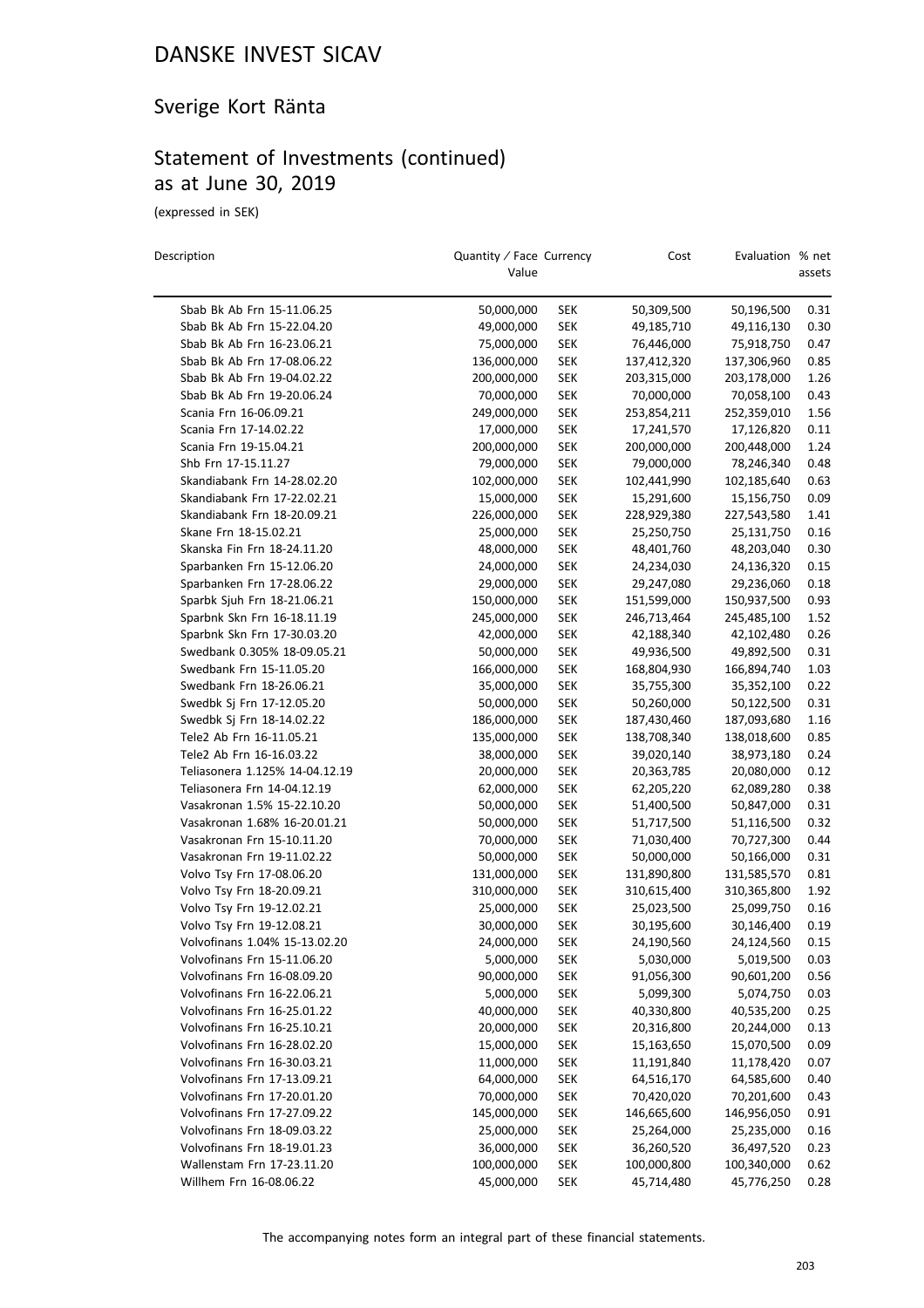## Sverige Kort Ränta

## Statement of Investments (continued) as at June 30, 2019

(expressed in SEK)

| Description                    | Quantity / Face Currency<br>Value |            | Cost        | Evaluation % net | assets |
|--------------------------------|-----------------------------------|------------|-------------|------------------|--------|
| Sbab Bk Ab Frn 15-11.06.25     | 50,000,000                        | SEK        | 50,309,500  | 50,196,500       | 0.31   |
| Sbab Bk Ab Frn 15-22.04.20     | 49,000,000                        | <b>SEK</b> | 49,185,710  | 49,116,130       | 0.30   |
| Sbab Bk Ab Frn 16-23.06.21     | 75,000,000                        | <b>SEK</b> | 76,446,000  | 75,918,750       | 0.47   |
| Sbab Bk Ab Frn 17-08.06.22     | 136,000,000                       | <b>SEK</b> | 137,412,320 | 137,306,960      | 0.85   |
| Sbab Bk Ab Frn 19-04.02.22     | 200,000,000                       | <b>SEK</b> | 203,315,000 | 203,178,000      | 1.26   |
| Sbab Bk Ab Frn 19-20.06.24     | 70,000,000                        | <b>SEK</b> | 70,000,000  | 70,058,100       | 0.43   |
| Scania Frn 16-06.09.21         | 249,000,000                       | <b>SEK</b> | 253,854,211 | 252,359,010      | 1.56   |
| Scania Frn 17-14.02.22         | 17,000,000                        | <b>SEK</b> | 17,241,570  | 17,126,820       | 0.11   |
| Scania Frn 19-15.04.21         | 200,000,000                       | <b>SEK</b> | 200,000,000 | 200,448,000      | 1.24   |
| Shb Frn 17-15.11.27            | 79,000,000                        | <b>SEK</b> | 79,000,000  | 78,246,340       | 0.48   |
| Skandiabank Frn 14-28.02.20    | 102,000,000                       | <b>SEK</b> | 102,441,990 | 102,185,640      | 0.63   |
| Skandiabank Frn 17-22.02.21    | 15,000,000                        | <b>SEK</b> | 15,291,600  | 15,156,750       | 0.09   |
| Skandiabank Frn 18-20.09.21    | 226,000,000                       | <b>SEK</b> | 228,929,380 | 227,543,580      | 1.41   |
| Skane Frn 18-15.02.21          | 25,000,000                        | <b>SEK</b> | 25,250,750  | 25,131,750       | 0.16   |
| Skanska Fin Frn 18-24.11.20    | 48,000,000                        | <b>SEK</b> | 48,401,760  | 48,203,040       | 0.30   |
| Sparbanken Frn 15-12.06.20     | 24,000,000                        | <b>SEK</b> | 24,234,030  | 24,136,320       | 0.15   |
| Sparbanken Frn 17-28.06.22     | 29,000,000                        | <b>SEK</b> | 29,247,080  | 29,236,060       | 0.18   |
| Sparbk Sjuh Frn 18-21.06.21    | 150,000,000                       | <b>SEK</b> | 151,599,000 | 150,937,500      | 0.93   |
| Sparbnk Skn Frn 16-18.11.19    | 245,000,000                       | <b>SEK</b> | 246,713,464 | 245,485,100      | 1.52   |
| Sparbnk Skn Frn 17-30.03.20    | 42,000,000                        | <b>SEK</b> | 42,188,340  | 42,102,480       | 0.26   |
| Swedbank 0.305% 18-09.05.21    | 50,000,000                        | <b>SEK</b> | 49,936,500  | 49,892,500       | 0.31   |
| Swedbank Frn 15-11.05.20       | 166,000,000                       | <b>SEK</b> | 168,804,930 | 166,894,740      | 1.03   |
| Swedbank Frn 18-26.06.21       | 35,000,000                        | <b>SEK</b> | 35,755,300  | 35,352,100       | 0.22   |
| Swedbk Sj Frn 17-12.05.20      | 50,000,000                        | <b>SEK</b> | 50,260,000  | 50,122,500       | 0.31   |
| Swedbk Sj Frn 18-14.02.22      | 186,000,000                       | <b>SEK</b> | 187,430,460 | 187,093,680      | 1.16   |
| Tele2 Ab Frn 16-11.05.21       | 135,000,000                       | <b>SEK</b> | 138,708,340 | 138,018,600      | 0.85   |
| Tele2 Ab Frn 16-16.03.22       | 38,000,000                        | <b>SEK</b> | 39,020,140  | 38,973,180       | 0.24   |
| Teliasonera 1.125% 14-04.12.19 | 20,000,000                        | <b>SEK</b> | 20,363,785  | 20,080,000       | 0.12   |
| Teliasonera Frn 14-04.12.19    | 62,000,000                        | <b>SEK</b> | 62,205,220  | 62,089,280       | 0.38   |
| Vasakronan 1.5% 15-22.10.20    | 50,000,000                        | <b>SEK</b> | 51,400,500  | 50,847,000       | 0.31   |
| Vasakronan 1.68% 16-20.01.21   | 50,000,000                        | <b>SEK</b> | 51,717,500  | 51,116,500       | 0.32   |
| Vasakronan Frn 15-10.11.20     | 70,000,000                        | <b>SEK</b> | 71,030,400  | 70,727,300       | 0.44   |
| Vasakronan Frn 19-11.02.22     | 50,000,000                        | <b>SEK</b> | 50,000,000  | 50,166,000       | 0.31   |
| Volvo Tsy Frn 17-08.06.20      | 131,000,000                       | <b>SEK</b> | 131,890,800 | 131,585,570      | 0.81   |
| Volvo Tsy Frn 18-20.09.21      | 310,000,000                       | <b>SEK</b> | 310,615,400 | 310,365,800      | 1.92   |
| Volvo Tsy Frn 19-12.02.21      | 25,000,000                        | <b>SEK</b> | 25,023,500  | 25,099,750       | 0.16   |
| Volvo Tsy Frn 19-12.08.21      | 30,000,000                        | <b>SEK</b> | 30,195,600  | 30,146,400       | 0.19   |
| Volvofinans 1.04% 15-13.02.20  | 24,000,000                        | <b>SEK</b> | 24,190,560  | 24,124,560       | 0.15   |
| Volvofinans Frn 15-11.06.20    | 5,000,000                         | <b>SEK</b> | 5,030,000   | 5,019,500        | 0.03   |
| Volvofinans Frn 16-08.09.20    | 90,000,000                        | <b>SEK</b> | 91,056,300  | 90,601,200       | 0.56   |
| Volvofinans Frn 16-22.06.21    | 5,000,000                         | <b>SEK</b> | 5,099,300   | 5,074,750        | 0.03   |
| Volvofinans Frn 16-25.01.22    | 40,000,000                        | <b>SEK</b> | 40,330,800  | 40,535,200       | 0.25   |
| Volvofinans Frn 16-25.10.21    | 20,000,000                        | <b>SEK</b> | 20,316,800  | 20,244,000       | 0.13   |
| Volvofinans Frn 16-28.02.20    | 15,000,000                        | <b>SEK</b> | 15,163,650  | 15,070,500       | 0.09   |
| Volvofinans Frn 16-30.03.21    | 11,000,000                        | <b>SEK</b> | 11,191,840  | 11,178,420       | 0.07   |
| Volvofinans Frn 17-13.09.21    | 64,000,000                        | <b>SEK</b> | 64,516,170  | 64,585,600       | 0.40   |
| Volvofinans Frn 17-20.01.20    | 70,000,000                        | <b>SEK</b> | 70,420,020  | 70,201,600       | 0.43   |
| Volvofinans Frn 17-27.09.22    | 145,000,000                       | <b>SEK</b> | 146,665,600 | 146,956,050      | 0.91   |
| Volvofinans Frn 18-09.03.22    | 25,000,000                        | <b>SEK</b> | 25,264,000  | 25,235,000       | 0.16   |
| Volvofinans Frn 18-19.01.23    | 36,000,000                        | <b>SEK</b> | 36,260,520  | 36,497,520       | 0.23   |
| Wallenstam Frn 17-23.11.20     | 100,000,000                       | <b>SEK</b> | 100,000,800 | 100,340,000      | 0.62   |
| Willhem Frn 16-08.06.22        | 45,000,000                        | <b>SEK</b> | 45,714,480  | 45,776,250       | 0.28   |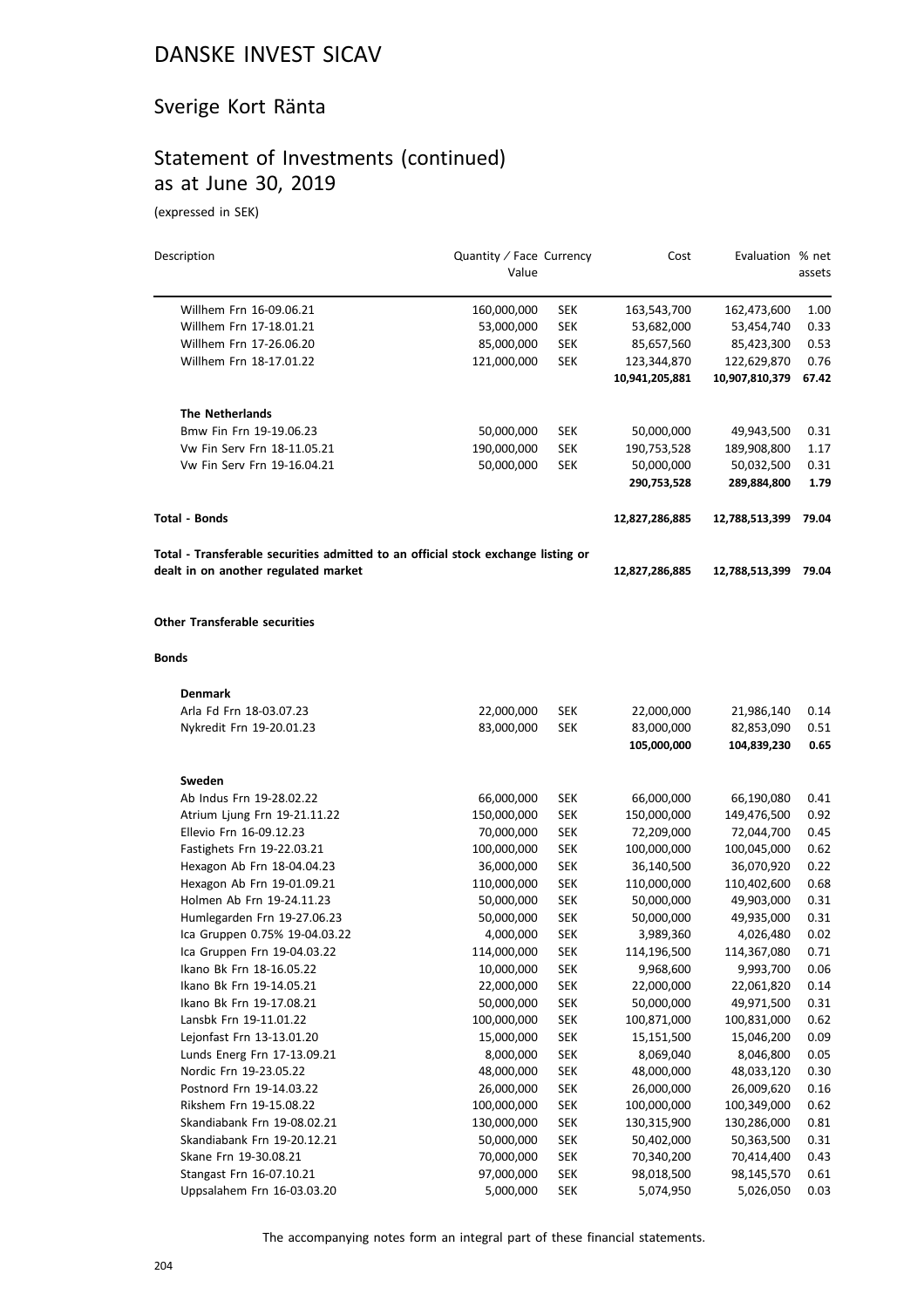## Sverige Kort Ränta

## Statement of Investments (continued) as at June 30, 2019

(expressed in SEK)

| Description                                                                       | Quantity / Face Currency<br>Value |            | Cost           | Evaluation % net | assets |
|-----------------------------------------------------------------------------------|-----------------------------------|------------|----------------|------------------|--------|
| Willhem Frn 16-09.06.21                                                           | 160,000,000                       | <b>SEK</b> | 163,543,700    | 162,473,600      | 1.00   |
| Willhem Frn 17-18.01.21                                                           | 53,000,000                        | <b>SEK</b> | 53,682,000     | 53,454,740       | 0.33   |
| Willhem Frn 17-26.06.20                                                           | 85,000,000                        | <b>SEK</b> | 85,657,560     | 85,423,300       | 0.53   |
| Willhem Frn 18-17.01.22                                                           | 121,000,000                       | <b>SEK</b> | 123,344,870    | 122,629,870      | 0.76   |
|                                                                                   |                                   |            | 10,941,205,881 | 10,907,810,379   | 67.42  |
| <b>The Netherlands</b>                                                            |                                   |            |                |                  |        |
| Bmw Fin Frn 19-19.06.23                                                           | 50,000,000                        | <b>SEK</b> | 50,000,000     | 49,943,500       | 0.31   |
| Vw Fin Serv Frn 18-11.05.21                                                       | 190,000,000                       | <b>SEK</b> | 190,753,528    | 189,908,800      | 1.17   |
| Vw Fin Serv Frn 19-16.04.21                                                       | 50,000,000                        | <b>SEK</b> | 50,000,000     | 50,032,500       | 0.31   |
|                                                                                   |                                   |            | 290,753,528    | 289,884,800      | 1.79   |
| <b>Total - Bonds</b>                                                              |                                   |            | 12,827,286,885 | 12,788,513,399   | 79.04  |
| Total - Transferable securities admitted to an official stock exchange listing or |                                   |            |                |                  |        |
| dealt in on another regulated market                                              |                                   |            | 12,827,286,885 | 12,788,513,399   | 79.04  |
| <b>Other Transferable securities</b>                                              |                                   |            |                |                  |        |
| <b>Bonds</b>                                                                      |                                   |            |                |                  |        |
| <b>Denmark</b>                                                                    |                                   |            |                |                  |        |
| Arla Fd Frn 18-03.07.23                                                           | 22,000,000                        | SEK        | 22,000,000     | 21,986,140       | 0.14   |
| Nykredit Frn 19-20.01.23                                                          | 83,000,000                        | <b>SEK</b> | 83,000,000     | 82,853,090       | 0.51   |
|                                                                                   |                                   |            | 105,000,000    | 104,839,230      | 0.65   |
| Sweden                                                                            |                                   |            |                |                  |        |
| Ab Indus Frn 19-28.02.22                                                          | 66,000,000                        | <b>SEK</b> | 66,000,000     | 66,190,080       | 0.41   |
| Atrium Ljung Frn 19-21.11.22                                                      | 150,000,000                       | <b>SEK</b> | 150,000,000    | 149,476,500      | 0.92   |
| Ellevio Frn 16-09.12.23                                                           | 70,000,000                        | <b>SEK</b> | 72,209,000     | 72,044,700       | 0.45   |
| Fastighets Frn 19-22.03.21                                                        | 100,000,000                       | <b>SEK</b> | 100,000,000    | 100,045,000      | 0.62   |
| Hexagon Ab Frn 18-04.04.23                                                        | 36,000,000                        | <b>SEK</b> | 36,140,500     | 36,070,920       | 0.22   |
| Hexagon Ab Frn 19-01.09.21                                                        | 110,000,000                       | <b>SEK</b> | 110,000,000    | 110,402,600      | 0.68   |
| Holmen Ab Frn 19-24.11.23                                                         | 50,000,000                        | <b>SEK</b> | 50,000,000     | 49,903,000       | 0.31   |
| Humlegarden Frn 19-27.06.23                                                       | 50,000,000                        | <b>SEK</b> | 50,000,000     | 49,935,000       | 0.31   |
| Ica Gruppen 0.75% 19-04.03.22                                                     | 4,000,000                         | <b>SEK</b> | 3,989,360      | 4,026,480        | 0.02   |
| Ica Gruppen Frn 19-04.03.22                                                       | 114,000,000                       | <b>SEK</b> | 114,196,500    | 114,367,080      | 0.71   |
| Ikano Bk Frn 18-16.05.22                                                          | 10,000,000                        | SEK        | 9,968,600      | 9,993,700        | 0.06   |
| Ikano Bk Frn 19-14.05.21                                                          | 22,000,000                        | <b>SEK</b> | 22,000,000     | 22,061,820       | 0.14   |
| Ikano Bk Frn 19-17.08.21                                                          | 50,000,000                        | <b>SEK</b> | 50,000,000     | 49,971,500       | 0.31   |
| Lansbk Frn 19-11.01.22                                                            | 100,000,000                       | <b>SEK</b> | 100,871,000    | 100,831,000      | 0.62   |
| Lejonfast Frn 13-13.01.20                                                         | 15,000,000                        | <b>SEK</b> | 15,151,500     | 15,046,200       | 0.09   |
| Lunds Energ Frn 17-13.09.21                                                       | 8,000,000                         | <b>SEK</b> | 8,069,040      | 8,046,800        | 0.05   |
| Nordic Frn 19-23.05.22                                                            | 48,000,000                        | <b>SEK</b> | 48,000,000     | 48,033,120       | 0.30   |
| Postnord Frn 19-14.03.22                                                          | 26,000,000                        | <b>SEK</b> | 26,000,000     | 26,009,620       | 0.16   |
| Rikshem Frn 19-15.08.22                                                           | 100,000,000                       | <b>SEK</b> | 100,000,000    | 100,349,000      | 0.62   |
| Skandiabank Frn 19-08.02.21                                                       | 130,000,000                       | <b>SEK</b> | 130,315,900    | 130,286,000      | 0.81   |
| Skandiabank Frn 19-20.12.21                                                       | 50,000,000                        | <b>SEK</b> | 50,402,000     | 50,363,500       | 0.31   |
| Skane Frn 19-30.08.21                                                             | 70,000,000                        | <b>SEK</b> | 70,340,200     | 70,414,400       | 0.43   |
| Stangast Frn 16-07.10.21                                                          | 97,000,000                        | <b>SEK</b> | 98,018,500     | 98,145,570       | 0.61   |
| Uppsalahem Frn 16-03.03.20                                                        | 5,000,000                         | <b>SEK</b> | 5,074,950      | 5,026,050        | 0.03   |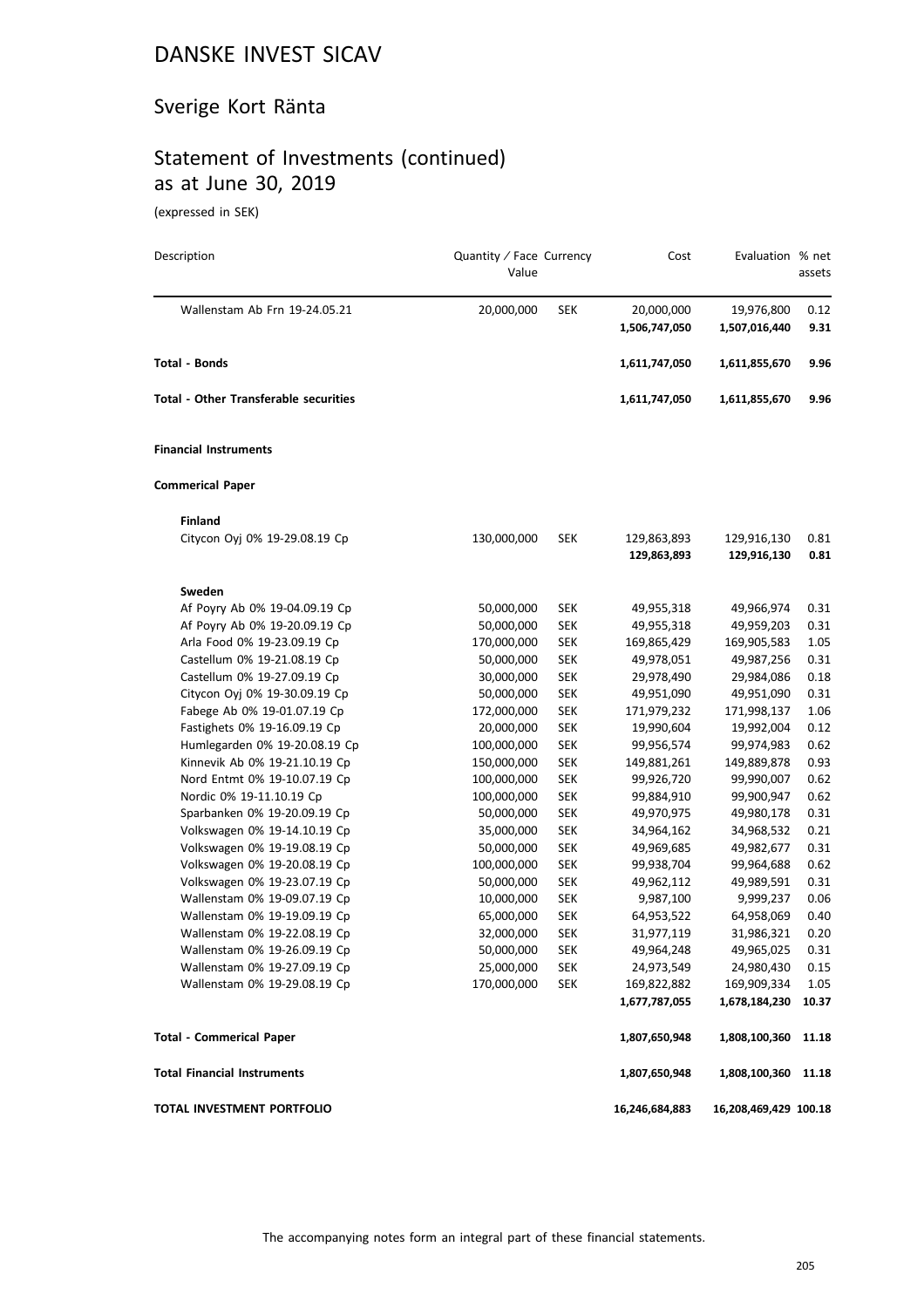## Sverige Kort Ränta

## Statement of Investments (continued) as at June 30, 2019

(expressed in SEK)

| Description                                  | Quantity / Face Currency<br>Value |            | Cost           | Evaluation % net      | assets |
|----------------------------------------------|-----------------------------------|------------|----------------|-----------------------|--------|
| Wallenstam Ab Frn 19-24.05.21                | 20,000,000                        | SEK        | 20,000,000     | 19,976,800            | 0.12   |
|                                              |                                   |            | 1,506,747,050  | 1,507,016,440         | 9.31   |
| <b>Total - Bonds</b>                         |                                   |            | 1,611,747,050  | 1,611,855,670         | 9.96   |
| <b>Total - Other Transferable securities</b> |                                   |            | 1,611,747,050  | 1,611,855,670         | 9.96   |
| <b>Financial Instruments</b>                 |                                   |            |                |                       |        |
| <b>Commerical Paper</b>                      |                                   |            |                |                       |        |
| <b>Finland</b>                               |                                   |            |                |                       |        |
| Citycon Oyj 0% 19-29.08.19 Cp                | 130,000,000                       | SEK        | 129,863,893    | 129,916,130           | 0.81   |
|                                              |                                   |            | 129,863,893    | 129,916,130           | 0.81   |
| Sweden                                       |                                   |            |                |                       |        |
| Af Poyry Ab 0% 19-04.09.19 Cp                | 50,000,000                        | <b>SEK</b> | 49,955,318     | 49,966,974            | 0.31   |
| Af Poyry Ab 0% 19-20.09.19 Cp                | 50,000,000                        | <b>SEK</b> | 49,955,318     | 49,959,203            | 0.31   |
| Arla Food 0% 19-23.09.19 Cp                  | 170,000,000                       | <b>SEK</b> | 169,865,429    | 169,905,583           | 1.05   |
| Castellum 0% 19-21.08.19 Cp                  | 50,000,000                        | <b>SEK</b> | 49,978,051     | 49,987,256            | 0.31   |
| Castellum 0% 19-27.09.19 Cp                  | 30,000,000                        | <b>SEK</b> | 29,978,490     | 29,984,086            | 0.18   |
| Citycon Oyj 0% 19-30.09.19 Cp                | 50,000,000                        | <b>SEK</b> | 49,951,090     | 49,951,090            | 0.31   |
| Fabege Ab 0% 19-01.07.19 Cp                  | 172,000,000                       | <b>SEK</b> | 171,979,232    | 171,998,137           | 1.06   |
| Fastighets 0% 19-16.09.19 Cp                 | 20,000,000                        | <b>SEK</b> | 19,990,604     | 19,992,004            | 0.12   |
| Humlegarden 0% 19-20.08.19 Cp                | 100,000,000                       | <b>SEK</b> | 99,956,574     | 99,974,983            | 0.62   |
| Kinnevik Ab 0% 19-21.10.19 Cp                | 150,000,000                       | <b>SEK</b> | 149,881,261    | 149,889,878           | 0.93   |
| Nord Entmt 0% 19-10.07.19 Cp                 | 100,000,000                       | <b>SEK</b> | 99,926,720     | 99,990,007            | 0.62   |
| Nordic 0% 19-11.10.19 Cp                     | 100,000,000                       | <b>SEK</b> | 99,884,910     | 99,900,947            | 0.62   |
| Sparbanken 0% 19-20.09.19 Cp                 | 50,000,000                        | <b>SEK</b> | 49,970,975     | 49,980,178            | 0.31   |
| Volkswagen 0% 19-14.10.19 Cp                 | 35,000,000                        | <b>SEK</b> | 34,964,162     | 34,968,532            | 0.21   |
| Volkswagen 0% 19-19.08.19 Cp                 | 50,000,000                        | <b>SEK</b> | 49,969,685     | 49,982,677            | 0.31   |
| Volkswagen 0% 19-20.08.19 Cp                 | 100,000,000                       | <b>SEK</b> | 99,938,704     | 99,964,688            | 0.62   |
| Volkswagen 0% 19-23.07.19 Cp                 | 50,000,000                        | <b>SEK</b> | 49,962,112     | 49,989,591            | 0.31   |
| Wallenstam 0% 19-09.07.19 Cp                 | 10,000,000                        | <b>SEK</b> | 9,987,100      | 9,999,237             | 0.06   |
| Wallenstam 0% 19-19.09.19 Cp                 | 65,000,000                        | <b>SEK</b> | 64,953,522     | 64,958,069            | 0.40   |
| Wallenstam 0% 19-22.08.19 Cp                 | 32,000,000                        | <b>SEK</b> | 31,977,119     | 31,986,321            | 0.20   |
| Wallenstam 0% 19-26.09.19 Cp                 | 50,000,000                        | SEK        | 49,964,248     | 49,965,025            | 0.31   |
| Wallenstam 0% 19-27.09.19 Cp                 | 25,000,000                        | <b>SEK</b> | 24,973,549     | 24,980,430            | 0.15   |
| Wallenstam 0% 19-29.08.19 Cp                 | 170,000,000                       | <b>SEK</b> | 169,822,882    | 169,909,334           | 1.05   |
|                                              |                                   |            | 1,677,787,055  | 1,678,184,230         | 10.37  |
| <b>Total - Commerical Paper</b>              |                                   |            | 1,807,650,948  | 1,808,100,360         | 11.18  |
| <b>Total Financial Instruments</b>           |                                   |            | 1,807,650,948  | 1,808,100,360         | 11.18  |
| TOTAL INVESTMENT PORTFOLIO                   |                                   |            | 16,246,684,883 | 16,208,469,429 100.18 |        |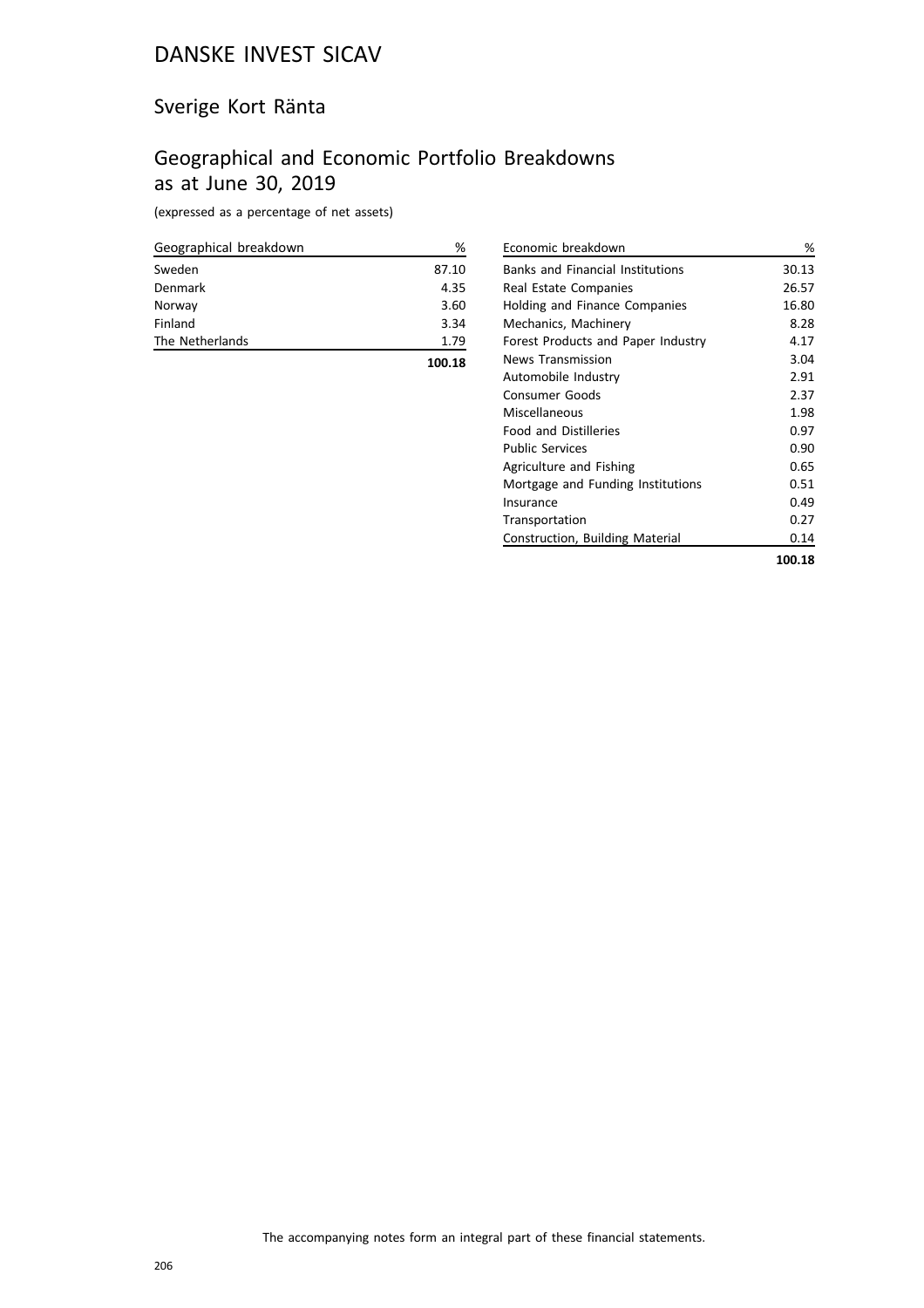## Sverige Kort Ränta

## Geographical and Economic Portfolio Breakdowns as at June 30, 2019

(expressed as a percentage of net assets)

| Geographical breakdown | ℅     |
|------------------------|-------|
| Sweden                 | 87.10 |
| Denmark                | 4.35  |
| Norway                 | 3.60  |
| Finland                | 3.34  |
| The Netherlands        | 1.79  |
|                        |       |

| י מנו<br>÷<br>ĩ<br>ш |  |
|----------------------|--|

| Economic breakdown                      | %      |
|-----------------------------------------|--------|
| <b>Banks and Financial Institutions</b> | 30.13  |
| Real Estate Companies                   | 26.57  |
| Holding and Finance Companies           | 16.80  |
| Mechanics, Machinery                    | 8.28   |
| Forest Products and Paper Industry      | 4.17   |
| News Transmission                       | 3.04   |
| Automobile Industry                     | 2.91   |
| Consumer Goods                          | 2.37   |
| Miscellaneous                           | 1.98   |
| <b>Food and Distilleries</b>            | 0.97   |
| <b>Public Services</b>                  | 0.90   |
| Agriculture and Fishing                 | 0.65   |
| Mortgage and Funding Institutions       | 0.51   |
| Insurance                               | 0.49   |
| Transportation                          | 0.27   |
| Construction, Building Material         | 0.14   |
|                                         | 100.18 |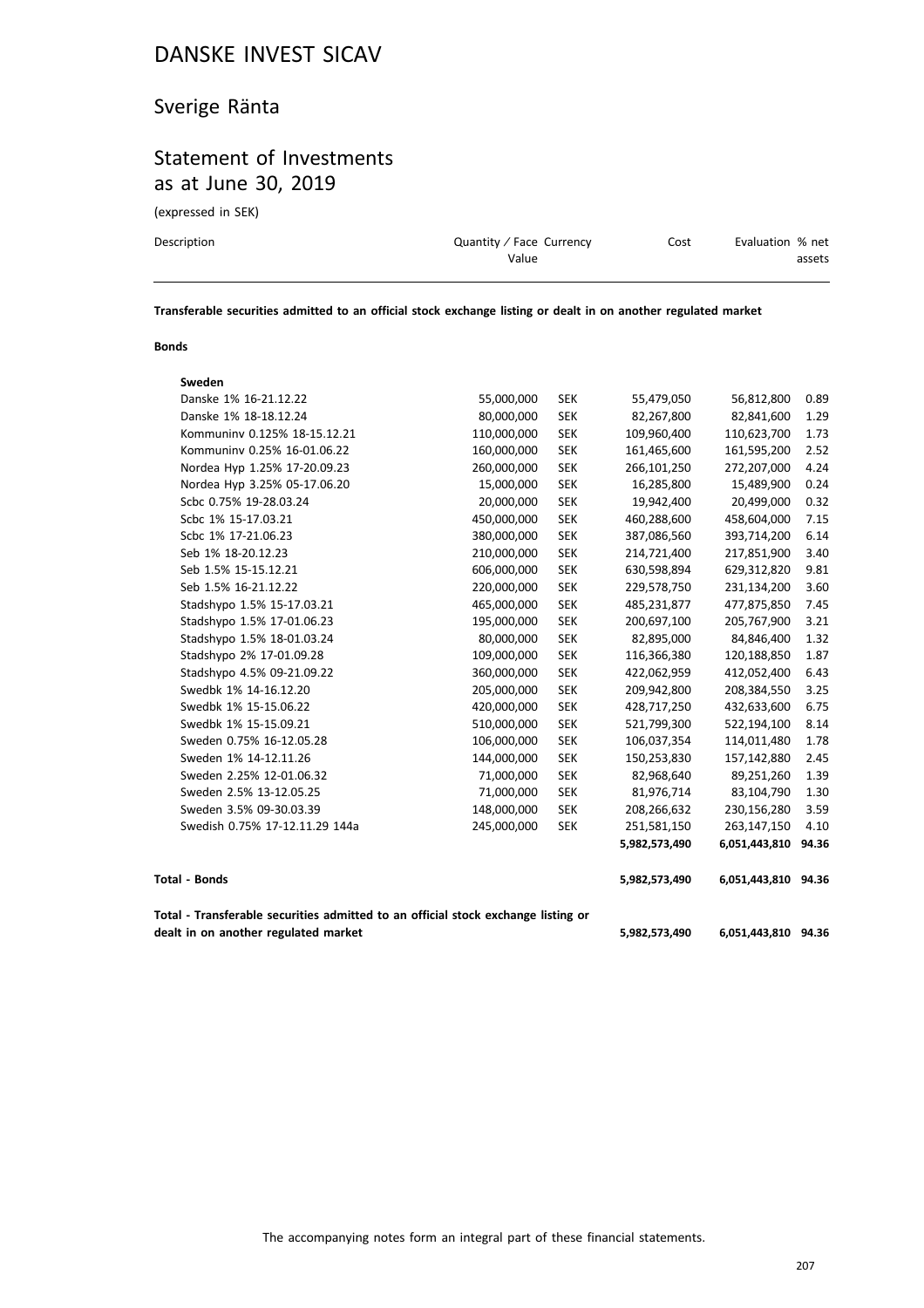## Sverige Ränta

## Statement of Investments as at June 30, 2019

(expressed in SEK)

| Description | Quantity / Face Currency | Cost | Evaluation % net |
|-------------|--------------------------|------|------------------|
|             | Value                    |      | assets           |
|             |                          |      |                  |

**Transferable securities admitted to an official stock exchange listing or dealt in on another regulated market**

#### **Bonds**

| Sweden                                                                            |             |            |               |                     |       |
|-----------------------------------------------------------------------------------|-------------|------------|---------------|---------------------|-------|
| Danske 1% 16-21.12.22                                                             | 55,000,000  | <b>SEK</b> | 55,479,050    | 56,812,800          | 0.89  |
| Danske 1% 18-18.12.24                                                             | 80,000,000  | <b>SEK</b> | 82,267,800    | 82,841,600          | 1.29  |
| Kommuniny 0.125% 18-15.12.21                                                      | 110,000,000 | <b>SEK</b> | 109,960,400   | 110,623,700         | 1.73  |
| Kommuninv 0.25% 16-01.06.22                                                       | 160,000,000 | <b>SEK</b> | 161,465,600   | 161,595,200         | 2.52  |
| Nordea Hyp 1.25% 17-20.09.23                                                      | 260,000,000 | <b>SEK</b> | 266,101,250   | 272,207,000         | 4.24  |
| Nordea Hyp 3.25% 05-17.06.20                                                      | 15,000,000  | <b>SEK</b> | 16,285,800    | 15,489,900          | 0.24  |
| Scbc 0.75% 19-28.03.24                                                            | 20,000,000  | <b>SEK</b> | 19,942,400    | 20,499,000          | 0.32  |
| Scbc 1% 15-17.03.21                                                               | 450,000,000 | <b>SEK</b> | 460,288,600   | 458,604,000         | 7.15  |
| Scbc 1% 17-21.06.23                                                               | 380,000,000 | <b>SEK</b> | 387,086,560   | 393,714,200         | 6.14  |
| Seb 1% 18-20.12.23                                                                | 210,000,000 | <b>SEK</b> | 214,721,400   | 217,851,900         | 3.40  |
| Seb 1.5% 15-15.12.21                                                              | 606,000,000 | <b>SEK</b> | 630,598,894   | 629,312,820         | 9.81  |
| Seb 1.5% 16-21.12.22                                                              | 220,000,000 | <b>SEK</b> | 229,578,750   | 231,134,200         | 3.60  |
| Stadshypo 1.5% 15-17.03.21                                                        | 465,000,000 | <b>SEK</b> | 485,231,877   | 477,875,850         | 7.45  |
| Stadshypo 1.5% 17-01.06.23                                                        | 195,000,000 | <b>SEK</b> | 200,697,100   | 205,767,900         | 3.21  |
| Stadshypo 1.5% 18-01.03.24                                                        | 80,000,000  | <b>SEK</b> | 82,895,000    | 84,846,400          | 1.32  |
| Stadshypo 2% 17-01.09.28                                                          | 109,000,000 | <b>SEK</b> | 116,366,380   | 120,188,850         | 1.87  |
| Stadshypo 4.5% 09-21.09.22                                                        | 360,000,000 | <b>SEK</b> | 422,062,959   | 412,052,400         | 6.43  |
| Swedbk 1% 14-16.12.20                                                             | 205,000,000 | <b>SEK</b> | 209,942,800   | 208,384,550         | 3.25  |
| Swedbk 1% 15-15.06.22                                                             | 420,000,000 | <b>SEK</b> | 428,717,250   | 432,633,600         | 6.75  |
| Swedbk 1% 15-15.09.21                                                             | 510,000,000 | <b>SEK</b> | 521,799,300   | 522,194,100         | 8.14  |
| Sweden 0.75% 16-12.05.28                                                          | 106,000,000 | <b>SEK</b> | 106,037,354   | 114,011,480         | 1.78  |
| Sweden 1% 14-12.11.26                                                             | 144,000,000 | <b>SEK</b> | 150,253,830   | 157,142,880         | 2.45  |
| Sweden 2.25% 12-01.06.32                                                          | 71,000,000  | <b>SEK</b> | 82,968,640    | 89,251,260          | 1.39  |
| Sweden 2.5% 13-12.05.25                                                           | 71,000,000  | <b>SEK</b> | 81,976,714    | 83,104,790          | 1.30  |
| Sweden 3.5% 09-30.03.39                                                           | 148,000,000 | <b>SEK</b> | 208,266,632   | 230,156,280         | 3.59  |
| Swedish 0.75% 17-12.11.29 144a                                                    | 245,000,000 | <b>SEK</b> | 251,581,150   | 263,147,150         | 4.10  |
|                                                                                   |             |            | 5,982,573,490 | 6,051,443,810       | 94.36 |
| <b>Total - Bonds</b>                                                              |             |            | 5,982,573,490 | 6,051,443,810 94.36 |       |
| Total - Transferable securities admitted to an official stock exchange listing or |             |            |               |                     |       |
| dealt in on another regulated market                                              |             |            | 5,982,573,490 | 6,051,443,810 94.36 |       |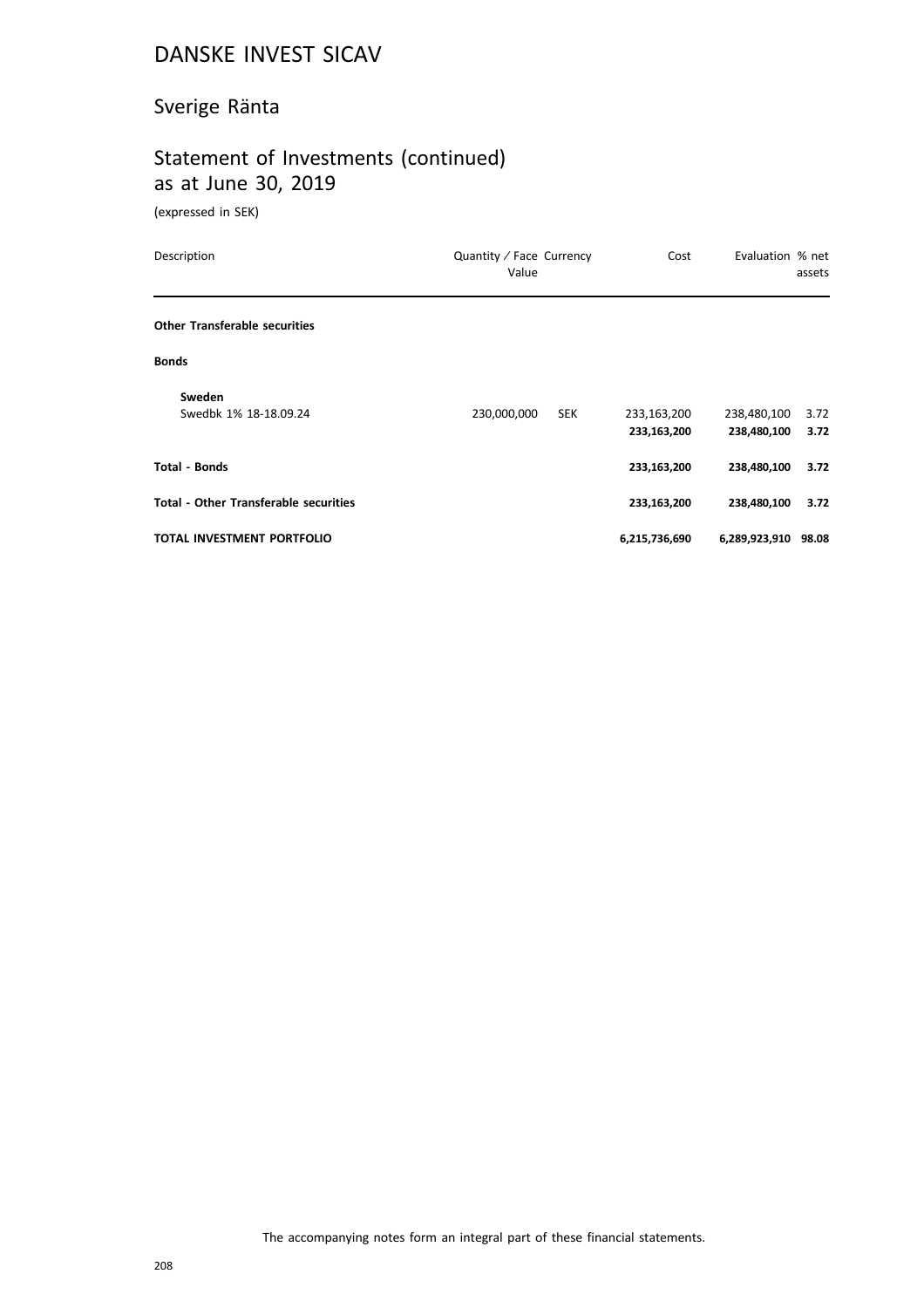## Sverige Ränta

# Statement of Investments (continued) as at June 30, 2019

(expressed in SEK)

| Description                                  | Quantity / Face Currency<br>Value | Cost          | Evaluation % net    | assets |
|----------------------------------------------|-----------------------------------|---------------|---------------------|--------|
| <b>Other Transferable securities</b>         |                                   |               |                     |        |
| <b>Bonds</b>                                 |                                   |               |                     |        |
| Sweden                                       |                                   |               |                     |        |
| Swedbk 1% 18-18.09.24                        | 230,000,000<br><b>SEK</b>         | 233,163,200   | 238,480,100         | 3.72   |
|                                              |                                   | 233,163,200   | 238,480,100         | 3.72   |
| <b>Total - Bonds</b>                         |                                   | 233,163,200   | 238,480,100         | 3.72   |
| <b>Total - Other Transferable securities</b> |                                   | 233,163,200   | 238,480,100         | 3.72   |
| TOTAL INVESTMENT PORTFOLIO                   |                                   | 6,215,736,690 | 6,289,923,910 98.08 |        |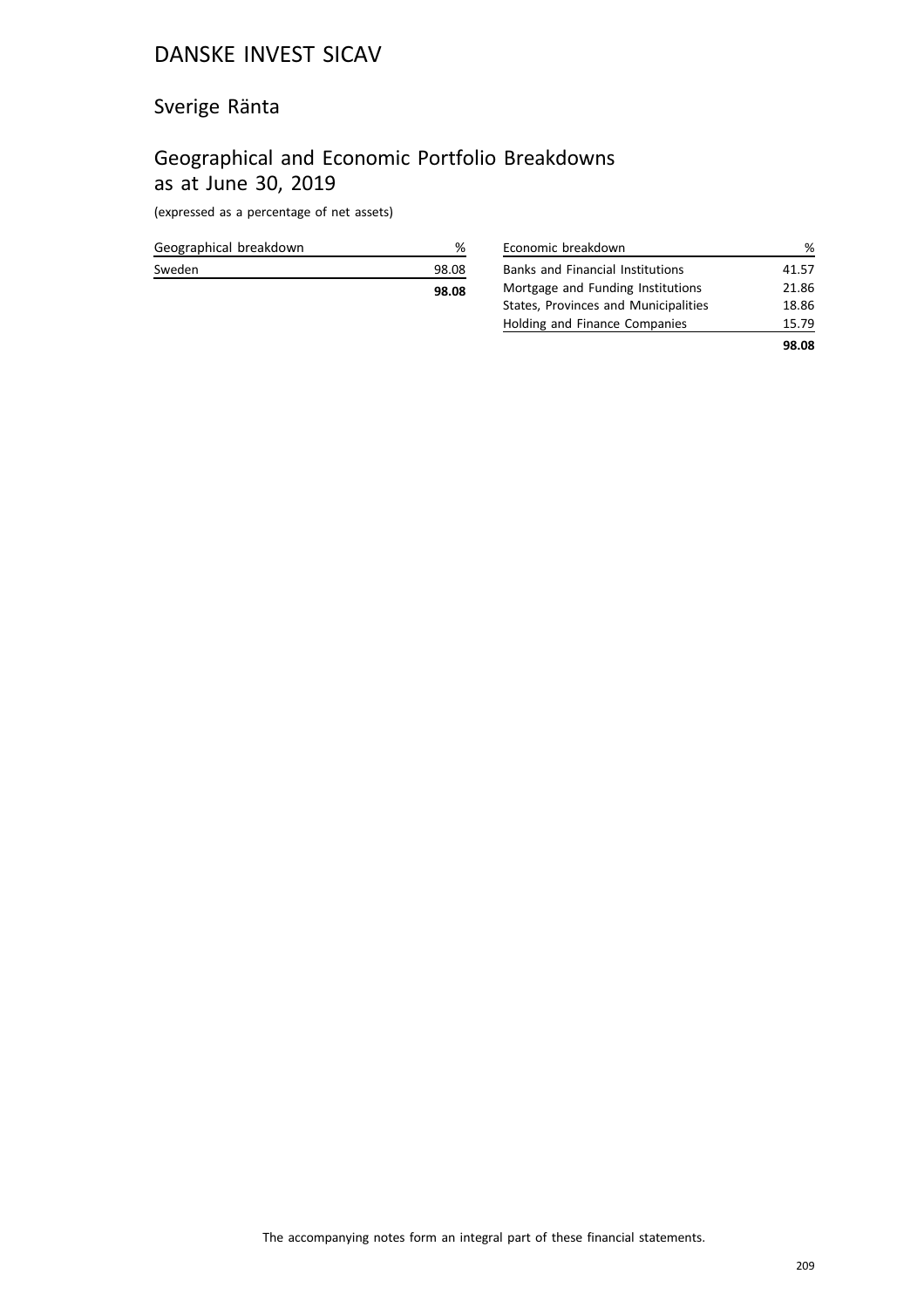## Sverige Ränta

## Geographical and Economic Portfolio Breakdowns as at June 30, 2019

(expressed as a percentage of net assets)

|                        | 98.08 |
|------------------------|-------|
| Sweden                 | 98.08 |
| Geographical breakdown | %     |

| Economic breakdown                      | ℅     |
|-----------------------------------------|-------|
| <b>Banks and Financial Institutions</b> | 41.57 |
| Mortgage and Funding Institutions       | 21.86 |
| States, Provinces and Municipalities    | 18.86 |
| Holding and Finance Companies           | 15.79 |
|                                         | 98.08 |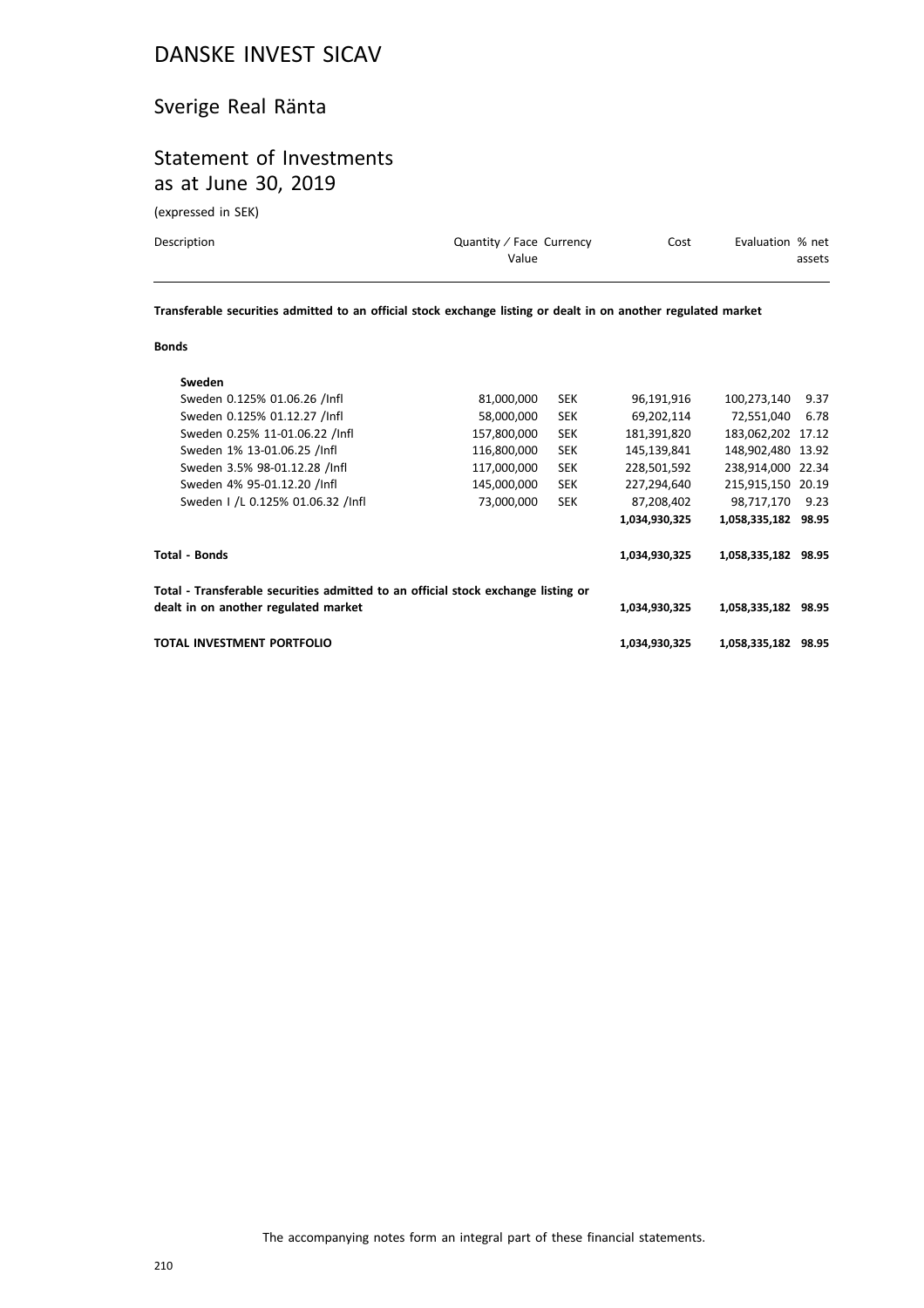## Sverige Real Ränta

## Statement of Investments as at June 30, 2019

(expressed in SEK)

| Description | Quantity / Face Currency | Cost | Evaluation % net |
|-------------|--------------------------|------|------------------|
|             | Value                    |      | assets           |
|             |                          |      |                  |

**Transferable securities admitted to an official stock exchange listing or dealt in on another regulated market**

#### **Bonds**

| Sweden                                                                            |             |            |               |                     |       |
|-----------------------------------------------------------------------------------|-------------|------------|---------------|---------------------|-------|
| Sweden 0.125% 01.06.26 /Infl                                                      | 81,000,000  | <b>SEK</b> | 96,191,916    | 100.273.140         | 9.37  |
| Sweden 0.125% 01.12.27 /Infl                                                      | 58,000,000  | <b>SEK</b> | 69,202,114    | 72,551,040          | 6.78  |
| Sweden 0.25% 11-01.06.22 /Infl                                                    | 157,800,000 | <b>SEK</b> | 181,391,820   | 183.062.202 17.12   |       |
| Sweden 1% 13-01.06.25 /Infl                                                       | 116,800,000 | <b>SEK</b> | 145,139,841   | 148,902,480 13.92   |       |
| Sweden 3.5% 98-01.12.28 /Infl                                                     | 117,000,000 | <b>SEK</b> | 228,501,592   | 238,914,000 22.34   |       |
| Sweden 4% 95-01.12.20 /Infl                                                       | 145,000,000 | <b>SEK</b> | 227,294,640   | 215,915,150 20.19   |       |
| Sweden 1 /L 0.125% 01.06.32 /Infl                                                 | 73,000,000  | <b>SEK</b> | 87,208,402    | 98,717,170          | 9.23  |
|                                                                                   |             |            | 1,034,930,325 | 1,058,335,182 98.95 |       |
| Total - Bonds                                                                     |             |            | 1,034,930,325 | 1,058,335,182 98.95 |       |
| Total - Transferable securities admitted to an official stock exchange listing or |             |            |               |                     |       |
| dealt in on another regulated market                                              |             |            | 1,034,930,325 | 1,058,335,182 98.95 |       |
| TOTAL INVESTMENT PORTFOLIO                                                        |             |            | 1,034,930,325 | 1,058,335,182       | 98.95 |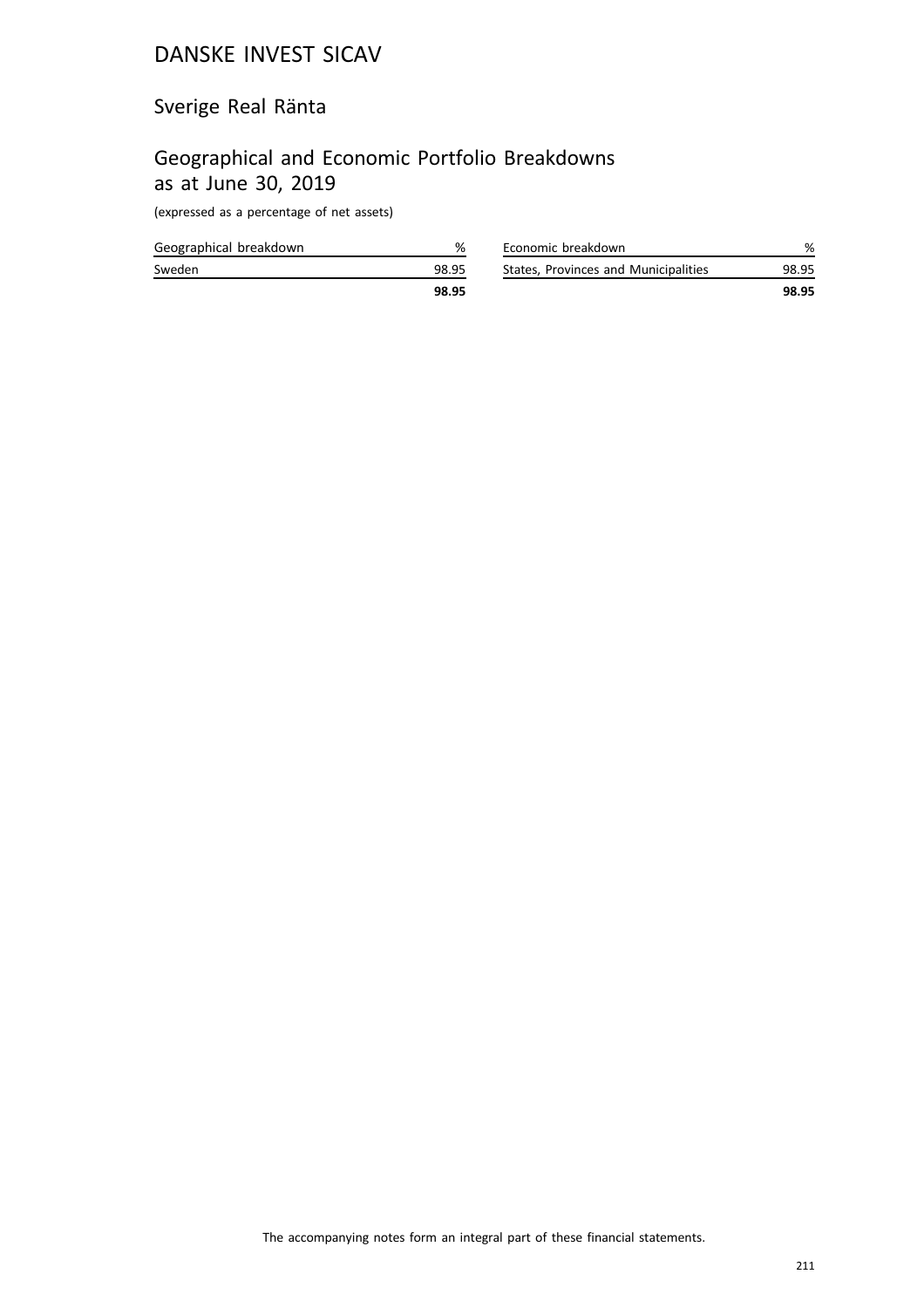## Sverige Real Ränta

## Geographical and Economic Portfolio Breakdowns as at June 30, 2019

(expressed as a percentage of net assets)

| Geographical breakdown |       |
|------------------------|-------|
| Sweden                 | 98.95 |
|                        | 98.95 |

|                                      | 98.95 |
|--------------------------------------|-------|
| States, Provinces and Municipalities | 98.95 |
| Economic breakdown                   | %     |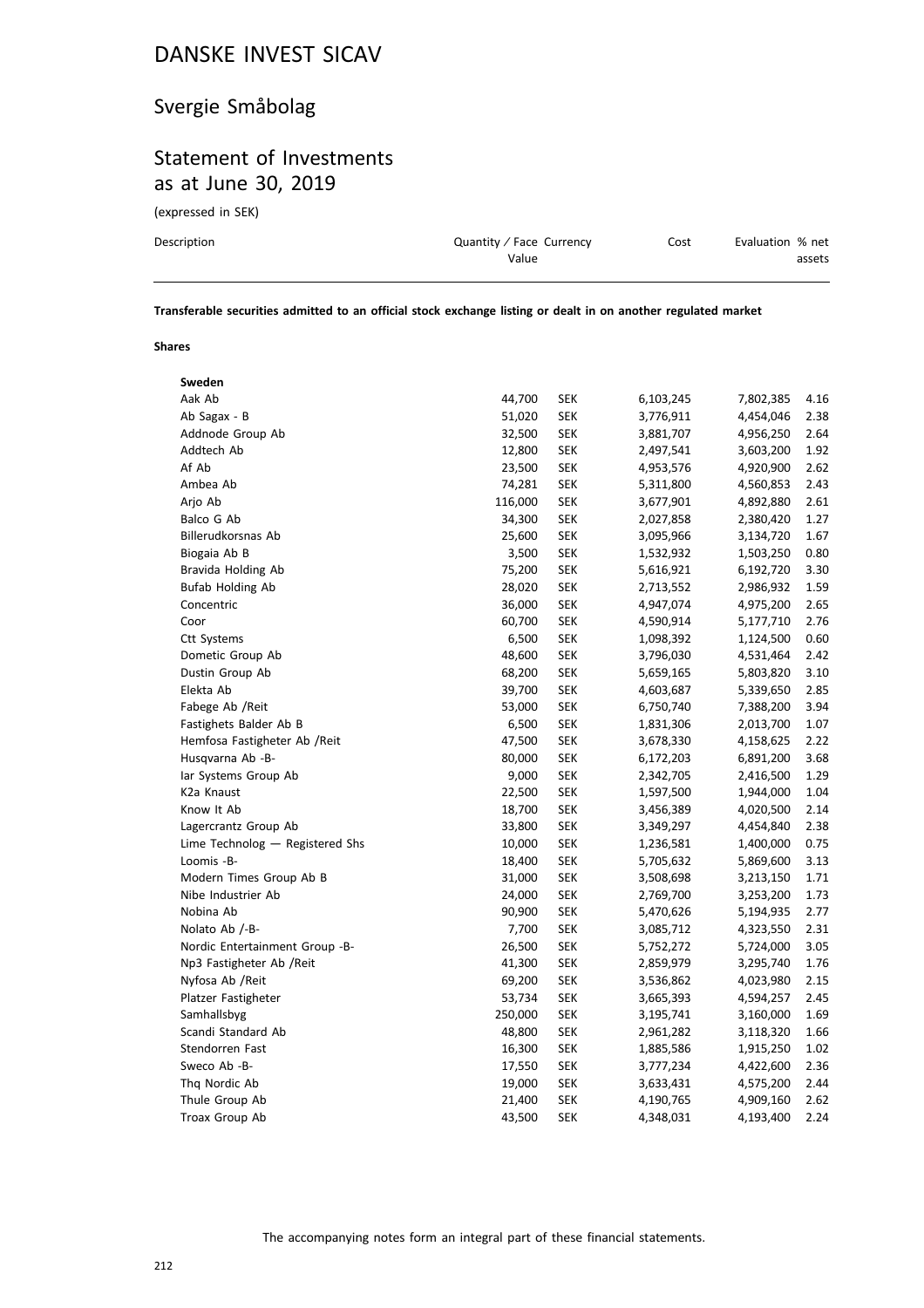# Svergie Småbolag

## Statement of Investments as at June 30, 2019

(expressed in SEK)

| Description | Quantity / Face Currency | Cost | Evaluation % net |
|-------------|--------------------------|------|------------------|
|             | Value                    |      | assets           |
|             |                          |      |                  |

**Transferable securities admitted to an official stock exchange listing or dealt in on another regulated market**

#### **Shares**

| Sweden                          |         |            |           |           |      |
|---------------------------------|---------|------------|-----------|-----------|------|
| Aak Ab                          | 44,700  | <b>SEK</b> | 6,103,245 | 7,802,385 | 4.16 |
| Ab Sagax - B                    | 51,020  | <b>SEK</b> | 3,776,911 | 4,454,046 | 2.38 |
| Addnode Group Ab                | 32,500  | <b>SEK</b> | 3,881,707 | 4,956,250 | 2.64 |
| Addtech Ab                      | 12,800  | <b>SEK</b> | 2,497,541 | 3,603,200 | 1.92 |
| Af Ab                           | 23,500  | <b>SEK</b> | 4,953,576 | 4,920,900 | 2.62 |
| Ambea Ab                        | 74,281  | <b>SEK</b> | 5,311,800 | 4,560,853 | 2.43 |
| Arjo Ab                         | 116,000 | <b>SEK</b> | 3,677,901 | 4,892,880 | 2.61 |
| Balco G Ab                      | 34,300  | <b>SEK</b> | 2,027,858 | 2,380,420 | 1.27 |
| Billerudkorsnas Ab              | 25,600  | <b>SEK</b> | 3,095,966 | 3,134,720 | 1.67 |
| Biogaia Ab B                    | 3,500   | <b>SEK</b> | 1,532,932 | 1,503,250 | 0.80 |
| Bravida Holding Ab              | 75,200  | <b>SEK</b> | 5,616,921 | 6,192,720 | 3.30 |
| <b>Bufab Holding Ab</b>         | 28,020  | <b>SEK</b> | 2,713,552 | 2,986,932 | 1.59 |
| Concentric                      | 36,000  | <b>SEK</b> | 4,947,074 | 4,975,200 | 2.65 |
| Coor                            | 60,700  | <b>SEK</b> | 4,590,914 | 5,177,710 | 2.76 |
| <b>Ctt Systems</b>              | 6,500   | <b>SEK</b> | 1,098,392 | 1,124,500 | 0.60 |
| Dometic Group Ab                | 48,600  | <b>SEK</b> | 3,796,030 | 4,531,464 | 2.42 |
| Dustin Group Ab                 | 68,200  | <b>SEK</b> | 5,659,165 | 5,803,820 | 3.10 |
| Elekta Ab                       | 39,700  | <b>SEK</b> | 4,603,687 | 5,339,650 | 2.85 |
| Fabege Ab / Reit                | 53,000  | <b>SEK</b> | 6,750,740 | 7,388,200 | 3.94 |
| Fastighets Balder Ab B          | 6,500   | <b>SEK</b> | 1,831,306 | 2,013,700 | 1.07 |
| Hemfosa Fastigheter Ab / Reit   | 47,500  | <b>SEK</b> | 3,678,330 | 4,158,625 | 2.22 |
| Husqvarna Ab -B-                | 80,000  | <b>SEK</b> | 6,172,203 | 6,891,200 | 3.68 |
| lar Systems Group Ab            | 9,000   | <b>SEK</b> | 2,342,705 | 2,416,500 | 1.29 |
| K <sub>2</sub> a Knaust         | 22,500  | <b>SEK</b> | 1,597,500 | 1,944,000 | 1.04 |
| Know It Ab                      | 18,700  | <b>SEK</b> | 3,456,389 | 4,020,500 | 2.14 |
| Lagercrantz Group Ab            | 33,800  | <b>SEK</b> | 3,349,297 | 4,454,840 | 2.38 |
| Lime Technolog - Registered Shs | 10,000  | <b>SEK</b> | 1,236,581 | 1,400,000 | 0.75 |
| Loomis -B-                      | 18,400  | <b>SEK</b> | 5,705,632 | 5,869,600 | 3.13 |
| Modern Times Group Ab B         | 31,000  | <b>SEK</b> | 3,508,698 | 3,213,150 | 1.71 |
| Nibe Industrier Ab              | 24,000  | <b>SEK</b> | 2,769,700 | 3,253,200 | 1.73 |
| Nobina Ab                       | 90,900  | <b>SEK</b> | 5,470,626 | 5,194,935 | 2.77 |
| Nolato Ab /-B-                  | 7,700   | <b>SEK</b> | 3,085,712 | 4,323,550 | 2.31 |
| Nordic Entertainment Group -B-  | 26,500  | <b>SEK</b> | 5,752,272 | 5,724,000 | 3.05 |
| Np3 Fastigheter Ab / Reit       | 41,300  | <b>SEK</b> | 2,859,979 | 3,295,740 | 1.76 |
| Nyfosa Ab / Reit                | 69,200  | <b>SEK</b> | 3,536,862 | 4,023,980 | 2.15 |
| Platzer Fastigheter             | 53,734  | <b>SEK</b> | 3,665,393 | 4,594,257 | 2.45 |
| Samhallsbyg                     | 250,000 | <b>SEK</b> | 3,195,741 | 3,160,000 | 1.69 |
| Scandi Standard Ab              | 48,800  | <b>SEK</b> | 2,961,282 | 3,118,320 | 1.66 |
| Stendorren Fast                 | 16,300  | <b>SEK</b> | 1,885,586 | 1,915,250 | 1.02 |
| Sweco Ab -B-                    | 17,550  | <b>SEK</b> | 3,777,234 | 4,422,600 | 2.36 |
| Thg Nordic Ab                   | 19,000  | <b>SEK</b> | 3,633,431 | 4,575,200 | 2.44 |
| Thule Group Ab                  | 21,400  | <b>SEK</b> | 4,190,765 | 4,909,160 | 2.62 |
| Troax Group Ab                  | 43,500  | <b>SEK</b> | 4,348,031 | 4,193,400 | 2.24 |
|                                 |         |            |           |           |      |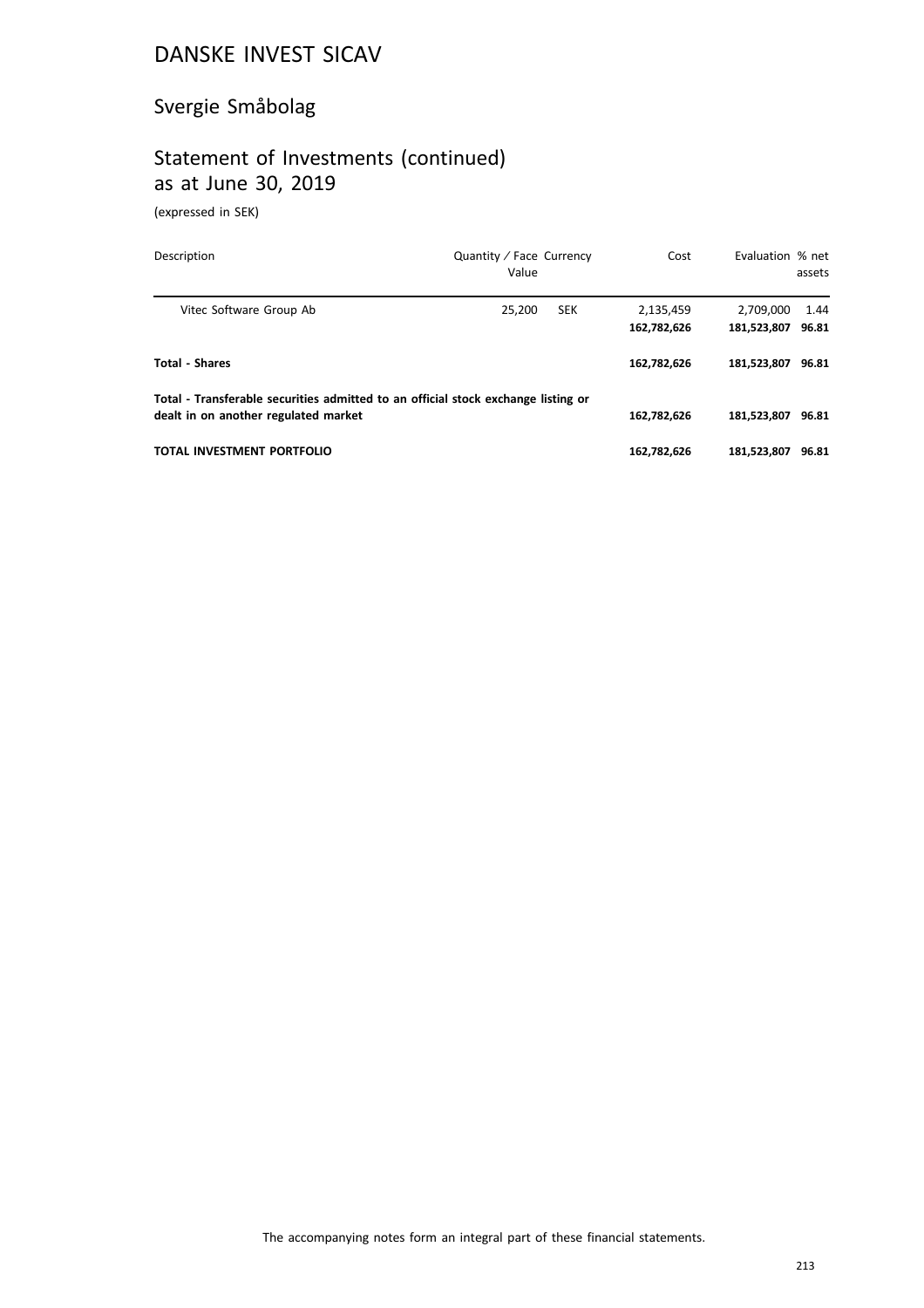# Svergie Småbolag

# Statement of Investments (continued) as at June 30, 2019

(expressed in SEK)

| Description                                                                                                               | Quantity / Face Currency<br>Value | Cost                     | Evaluation % net         | assets        |
|---------------------------------------------------------------------------------------------------------------------------|-----------------------------------|--------------------------|--------------------------|---------------|
| Vitec Software Group Ab                                                                                                   | 25,200<br><b>SEK</b>              | 2,135,459<br>162,782,626 | 2,709,000<br>181,523,807 | 1.44<br>96.81 |
| <b>Total - Shares</b>                                                                                                     |                                   | 162,782,626              | 181.523.807              | 96.81         |
| Total - Transferable securities admitted to an official stock exchange listing or<br>dealt in on another regulated market |                                   | 162,782,626              | 181.523.807              | 96.81         |
| TOTAL INVESTMENT PORTFOLIO                                                                                                |                                   | 162.782.626              | 181.523.807              | 96.81         |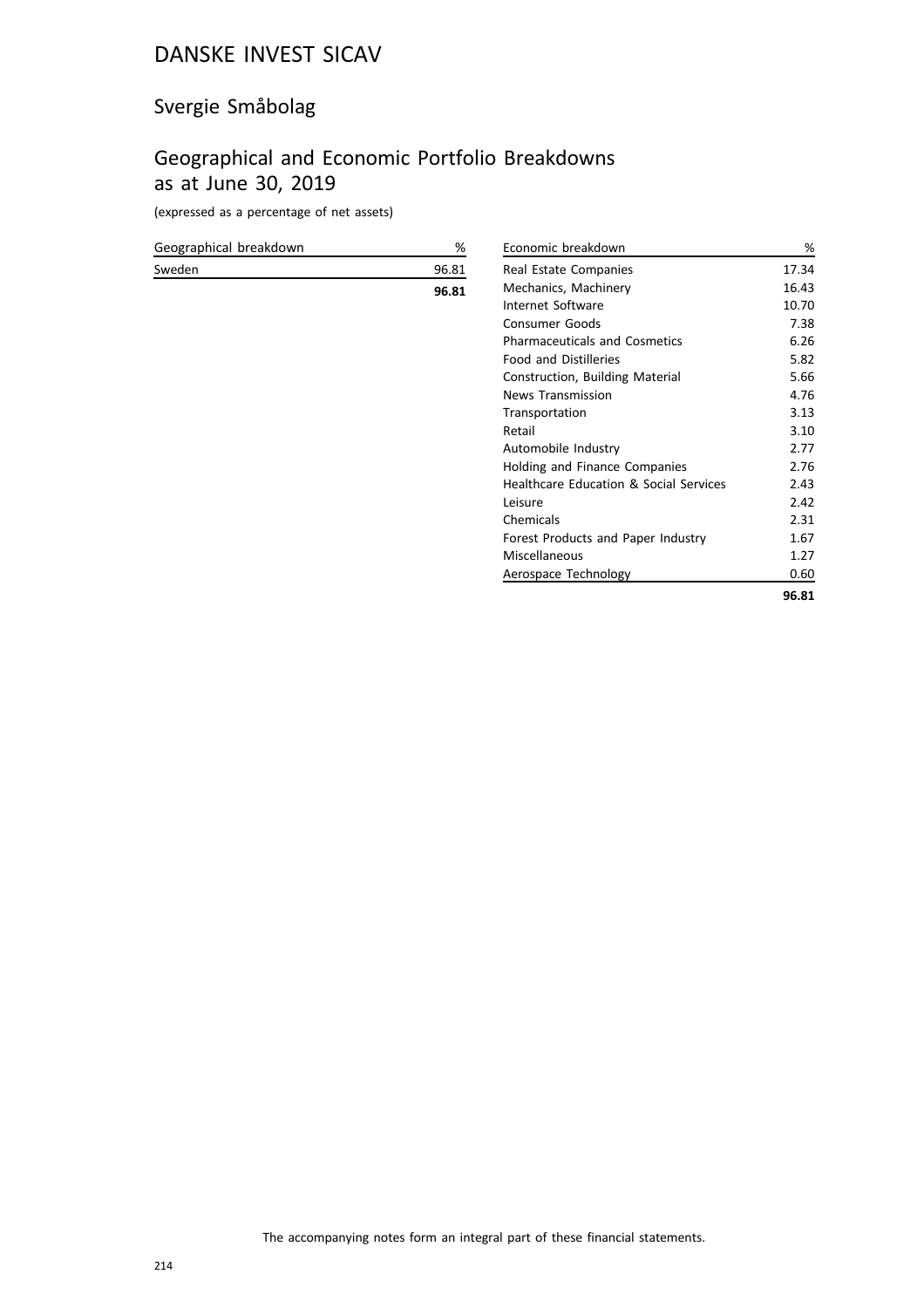# Svergie Småbolag

## Geographical and Economic Portfolio Breakdowns as at June 30, 2019

(expressed as a percentage of net assets)

| Geographical breakdown | $\%$  |
|------------------------|-------|
| Sweden                 | 96.81 |
|                        | 96.81 |
|                        |       |
|                        |       |
|                        |       |
|                        |       |
|                        |       |
|                        |       |
|                        |       |
|                        |       |

| Economic breakdown                     | %     |
|----------------------------------------|-------|
| Real Estate Companies                  | 17.34 |
| Mechanics, Machinery                   | 16.43 |
| Internet Software                      | 10.70 |
| <b>Consumer Goods</b>                  | 7.38  |
| <b>Pharmaceuticals and Cosmetics</b>   | 6.26  |
| <b>Food and Distilleries</b>           | 5.82  |
| Construction, Building Material        | 5.66  |
| <b>News Transmission</b>               | 4.76  |
| Transportation                         | 3.13  |
| Retail                                 | 3.10  |
| Automobile Industry                    | 2.77  |
| Holding and Finance Companies          | 2.76  |
| Healthcare Education & Social Services | 2.43  |
| Leisure                                | 2.42  |
| Chemicals                              | 2.31  |
| Forest Products and Paper Industry     | 1.67  |
| Miscellaneous                          | 1.27  |
| Aerospace Technology                   | 0.60  |
|                                        | 96.81 |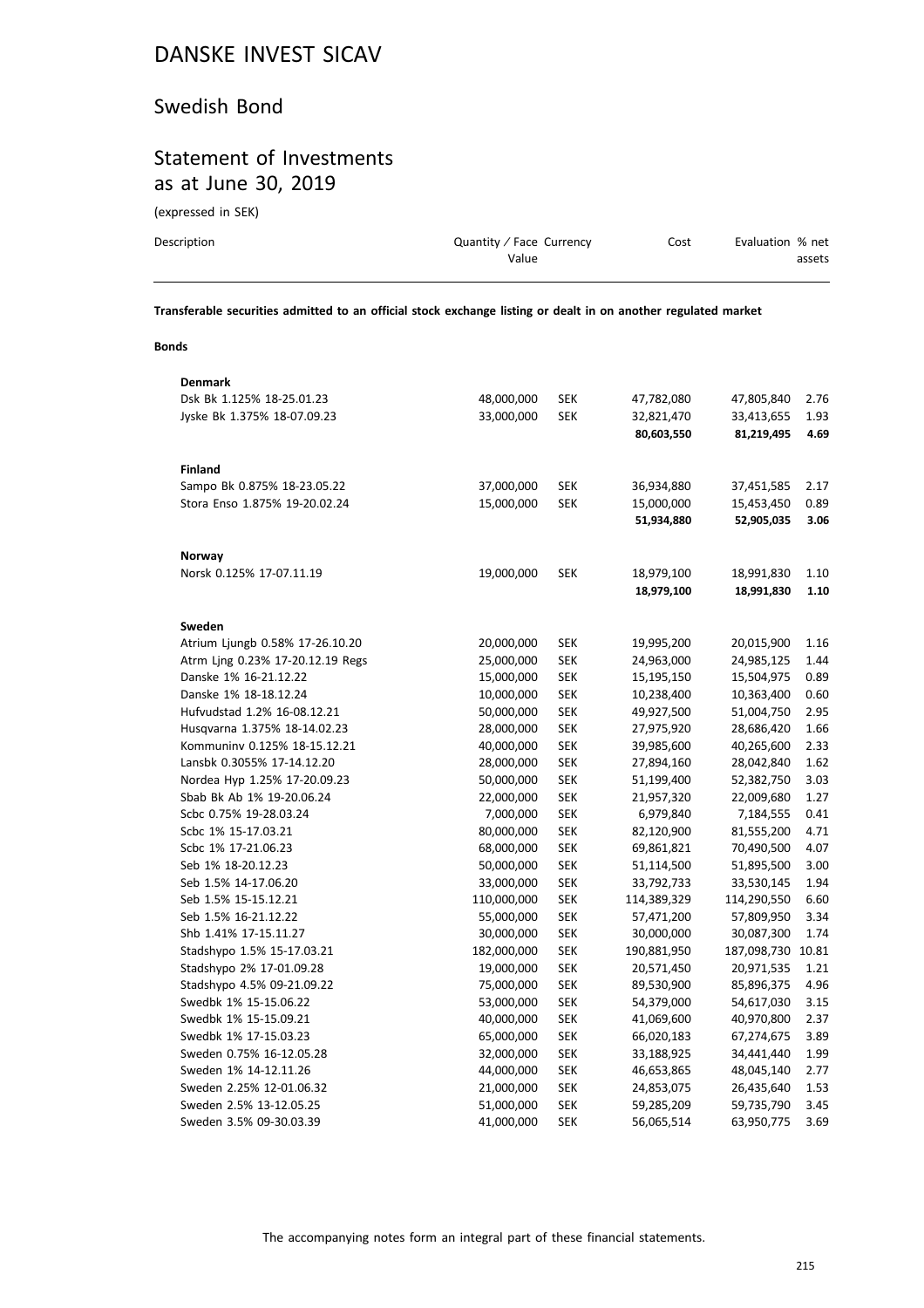#### Swedish Bond

## Statement of Investments as at June 30, 2019

(expressed in SEK)

| Description | Quantity / Face Currency<br>Value | Cost | Evaluation % net<br>assets |
|-------------|-----------------------------------|------|----------------------------|
|             |                                   |      |                            |

**Transferable securities admitted to an official stock exchange listing or dealt in on another regulated market**

#### **Bonds**

| Denmark                          |             |            |             |             |       |
|----------------------------------|-------------|------------|-------------|-------------|-------|
| Dsk Bk 1.125% 18-25.01.23        | 48,000,000  | SEK        | 47,782,080  | 47,805,840  | 2.76  |
| Jyske Bk 1.375% 18-07.09.23      | 33,000,000  | <b>SEK</b> | 32,821,470  | 33,413,655  | 1.93  |
|                                  |             |            | 80,603,550  | 81,219,495  | 4.69  |
|                                  |             |            |             |             |       |
| <b>Finland</b>                   |             |            |             |             |       |
| Sampo Bk 0.875% 18-23.05.22      | 37,000,000  | <b>SEK</b> | 36,934,880  | 37,451,585  | 2.17  |
| Stora Enso 1.875% 19-20.02.24    | 15,000,000  | <b>SEK</b> | 15,000,000  | 15,453,450  | 0.89  |
|                                  |             |            | 51,934,880  | 52,905,035  | 3.06  |
| Norway                           |             |            |             |             |       |
| Norsk 0.125% 17-07.11.19         | 19,000,000  | <b>SEK</b> | 18,979,100  | 18,991,830  | 1.10  |
|                                  |             |            | 18,979,100  | 18,991,830  | 1.10  |
| Sweden                           |             |            |             |             |       |
| Atrium Ljungb 0.58% 17-26.10.20  | 20,000,000  | SEK        | 19,995,200  | 20,015,900  | 1.16  |
| Atrm Ling 0.23% 17-20.12.19 Regs | 25,000,000  | SEK        | 24,963,000  | 24,985,125  | 1.44  |
| Danske 1% 16-21.12.22            | 15,000,000  | <b>SEK</b> | 15,195,150  | 15,504,975  | 0.89  |
| Danske 1% 18-18.12.24            | 10,000,000  | <b>SEK</b> | 10,238,400  | 10,363,400  | 0.60  |
| Hufvudstad 1.2% 16-08.12.21      | 50,000,000  | <b>SEK</b> | 49,927,500  | 51,004,750  | 2.95  |
| Husqvarna 1.375% 18-14.02.23     | 28,000,000  | <b>SEK</b> | 27,975,920  | 28,686,420  | 1.66  |
| Kommuninv 0.125% 18-15.12.21     | 40,000,000  | <b>SEK</b> | 39,985,600  | 40,265,600  | 2.33  |
| Lansbk 0.3055% 17-14.12.20       | 28,000,000  | <b>SEK</b> | 27,894,160  | 28,042,840  | 1.62  |
| Nordea Hyp 1.25% 17-20.09.23     | 50,000,000  | <b>SEK</b> | 51,199,400  | 52,382,750  | 3.03  |
| Sbab Bk Ab 1% 19-20.06.24        | 22,000,000  | <b>SEK</b> | 21,957,320  | 22,009,680  | 1.27  |
| Scbc 0.75% 19-28.03.24           | 7,000,000   | <b>SEK</b> | 6,979,840   | 7,184,555   | 0.41  |
| Scbc 1% 15-17.03.21              | 80,000,000  | <b>SEK</b> | 82,120,900  | 81,555,200  | 4.71  |
| Scbc 1% 17-21.06.23              | 68,000,000  | <b>SEK</b> | 69,861,821  | 70,490,500  | 4.07  |
| Seb 1% 18-20.12.23               | 50,000,000  | <b>SEK</b> | 51,114,500  | 51,895,500  | 3.00  |
| Seb 1.5% 14-17.06.20             | 33,000,000  | <b>SEK</b> | 33,792,733  | 33,530,145  | 1.94  |
| Seb 1.5% 15-15.12.21             | 110,000,000 | <b>SEK</b> | 114,389,329 | 114,290,550 | 6.60  |
| Seb 1.5% 16-21.12.22             | 55,000,000  | <b>SEK</b> | 57,471,200  | 57,809,950  | 3.34  |
| Shb 1.41% 17-15.11.27            | 30,000,000  | <b>SEK</b> | 30,000,000  | 30,087,300  | 1.74  |
| Stadshypo 1.5% 15-17.03.21       | 182,000,000 | <b>SEK</b> | 190,881,950 | 187,098,730 | 10.81 |
| Stadshypo 2% 17-01.09.28         | 19,000,000  | <b>SEK</b> | 20,571,450  | 20,971,535  | 1.21  |
| Stadshypo 4.5% 09-21.09.22       | 75,000,000  | <b>SEK</b> | 89,530,900  | 85,896,375  | 4.96  |
| Swedbk 1% 15-15.06.22            | 53,000,000  | <b>SEK</b> | 54,379,000  | 54,617,030  | 3.15  |
| Swedbk 1% 15-15.09.21            | 40,000,000  | <b>SEK</b> | 41,069,600  | 40,970,800  | 2.37  |
| Swedbk 1% 17-15.03.23            | 65,000,000  | <b>SEK</b> | 66,020,183  | 67,274,675  | 3.89  |
| Sweden 0.75% 16-12.05.28         | 32,000,000  | SEK        | 33,188,925  | 34,441,440  | 1.99  |
| Sweden 1% 14-12.11.26            | 44,000,000  | <b>SEK</b> | 46,653,865  | 48,045,140  | 2.77  |
| Sweden 2.25% 12-01.06.32         | 21,000,000  | <b>SEK</b> | 24,853,075  | 26,435,640  | 1.53  |
| Sweden 2.5% 13-12.05.25          | 51,000,000  | <b>SEK</b> | 59,285,209  | 59,735,790  | 3.45  |
| Sweden 3.5% 09-30.03.39          | 41,000,000  | <b>SEK</b> | 56,065,514  | 63,950,775  | 3.69  |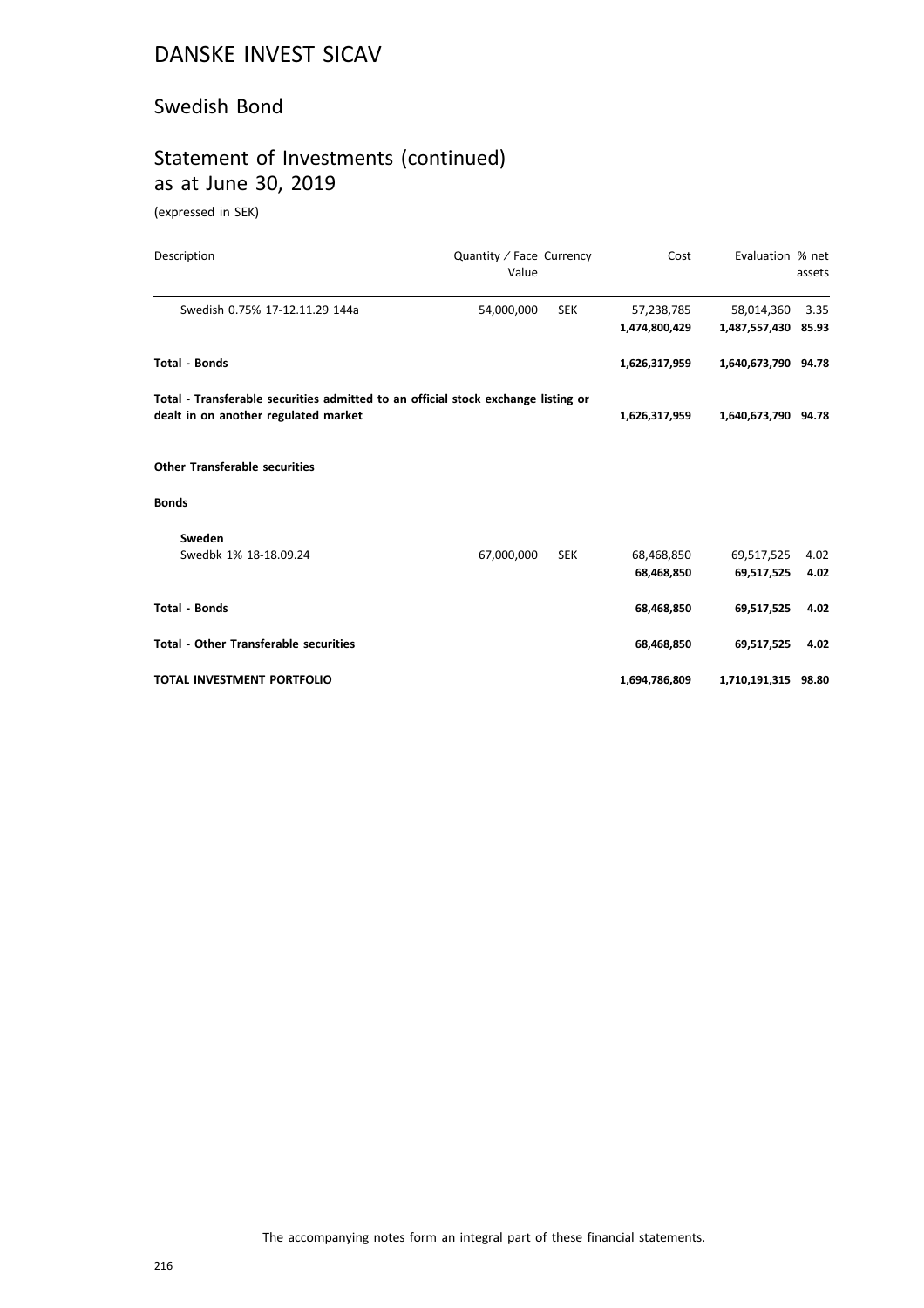#### Swedish Bond

## Statement of Investments (continued) as at June 30, 2019

(expressed in SEK)

| Description                                                                       | Quantity / Face Currency<br>Value |            | Cost          | Evaluation % net    | assets |
|-----------------------------------------------------------------------------------|-----------------------------------|------------|---------------|---------------------|--------|
| Swedish 0.75% 17-12.11.29 144a                                                    | 54,000,000                        | <b>SEK</b> | 57,238,785    | 58,014,360          | 3.35   |
|                                                                                   |                                   |            | 1,474,800,429 | 1,487,557,430 85.93 |        |
| <b>Total - Bonds</b>                                                              |                                   |            | 1,626,317,959 | 1,640,673,790 94.78 |        |
| Total - Transferable securities admitted to an official stock exchange listing or |                                   |            |               |                     |        |
| dealt in on another regulated market                                              |                                   |            | 1,626,317,959 | 1,640,673,790 94.78 |        |
| <b>Other Transferable securities</b>                                              |                                   |            |               |                     |        |
| <b>Bonds</b>                                                                      |                                   |            |               |                     |        |
| Sweden                                                                            |                                   |            |               |                     |        |
| Swedbk 1% 18-18.09.24                                                             | 67,000,000                        | <b>SEK</b> | 68,468,850    | 69,517,525          | 4.02   |
|                                                                                   |                                   |            | 68,468,850    | 69,517,525          | 4.02   |
| <b>Total - Bonds</b>                                                              |                                   |            | 68,468,850    | 69,517,525          | 4.02   |
| <b>Total - Other Transferable securities</b>                                      |                                   |            | 68,468,850    | 69,517,525          | 4.02   |
| TOTAL INVESTMENT PORTFOLIO                                                        |                                   |            | 1,694,786,809 | 1,710,191,315 98.80 |        |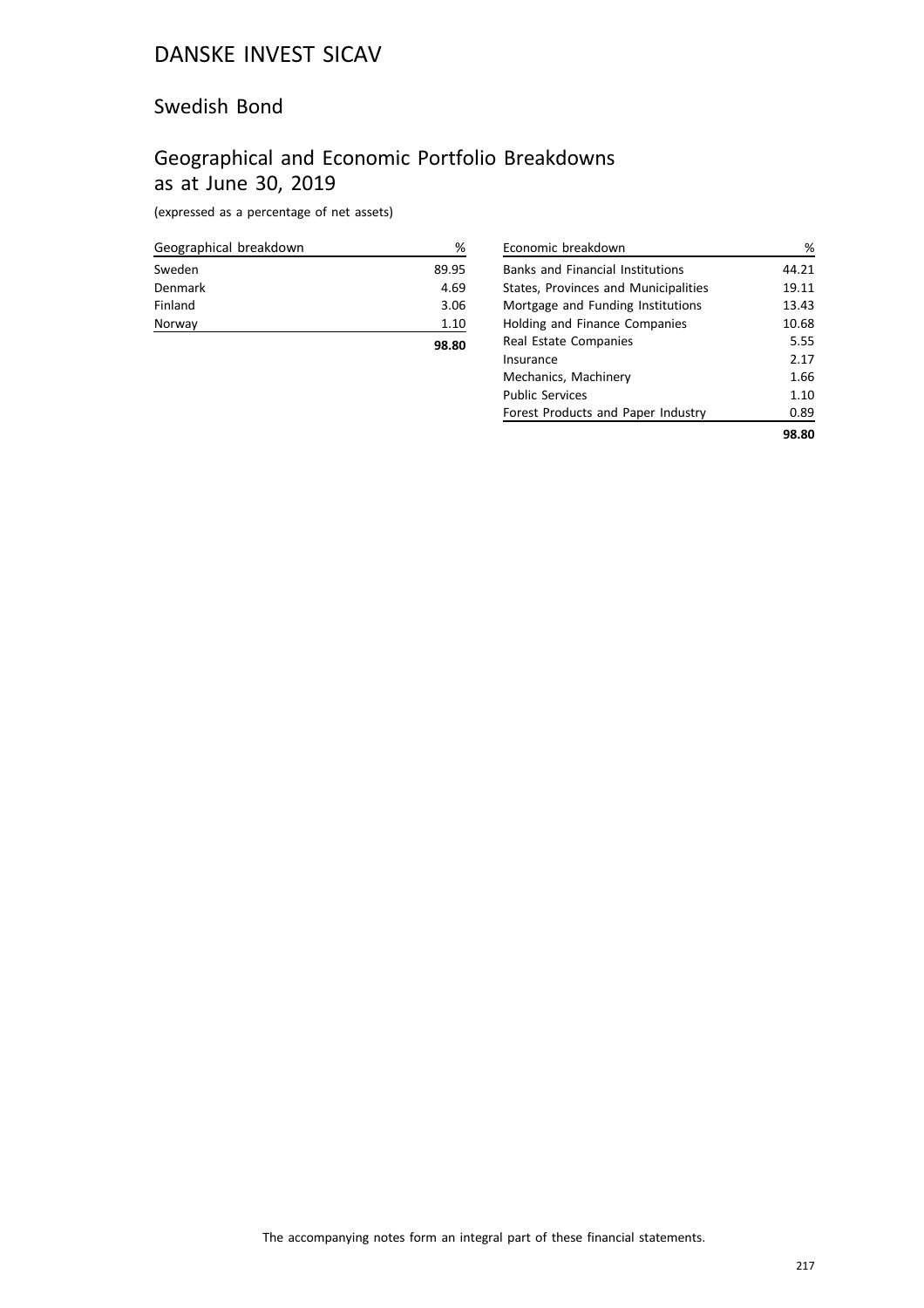#### Swedish Bond

## Geographical and Economic Portfolio Breakdowns as at June 30, 2019

(expressed as a percentage of net assets)

| Geographical breakdown | %     |
|------------------------|-------|
| Sweden                 | 89.95 |
| Denmark                | 4.69  |
| Finland                | 3.06  |
| Norway                 | 1.10  |
|                        | 98.80 |

| Economic breakdown                      | %     |
|-----------------------------------------|-------|
| <b>Banks and Financial Institutions</b> | 44.21 |
| States, Provinces and Municipalities    | 19.11 |
| Mortgage and Funding Institutions       | 13.43 |
| Holding and Finance Companies           | 10.68 |
| Real Estate Companies                   | 5.55  |
| Insurance                               | 2.17  |
| Mechanics, Machinery                    | 1.66  |
| <b>Public Services</b>                  | 1.10  |
| Forest Products and Paper Industry      | 0.89  |
|                                         | 98.80 |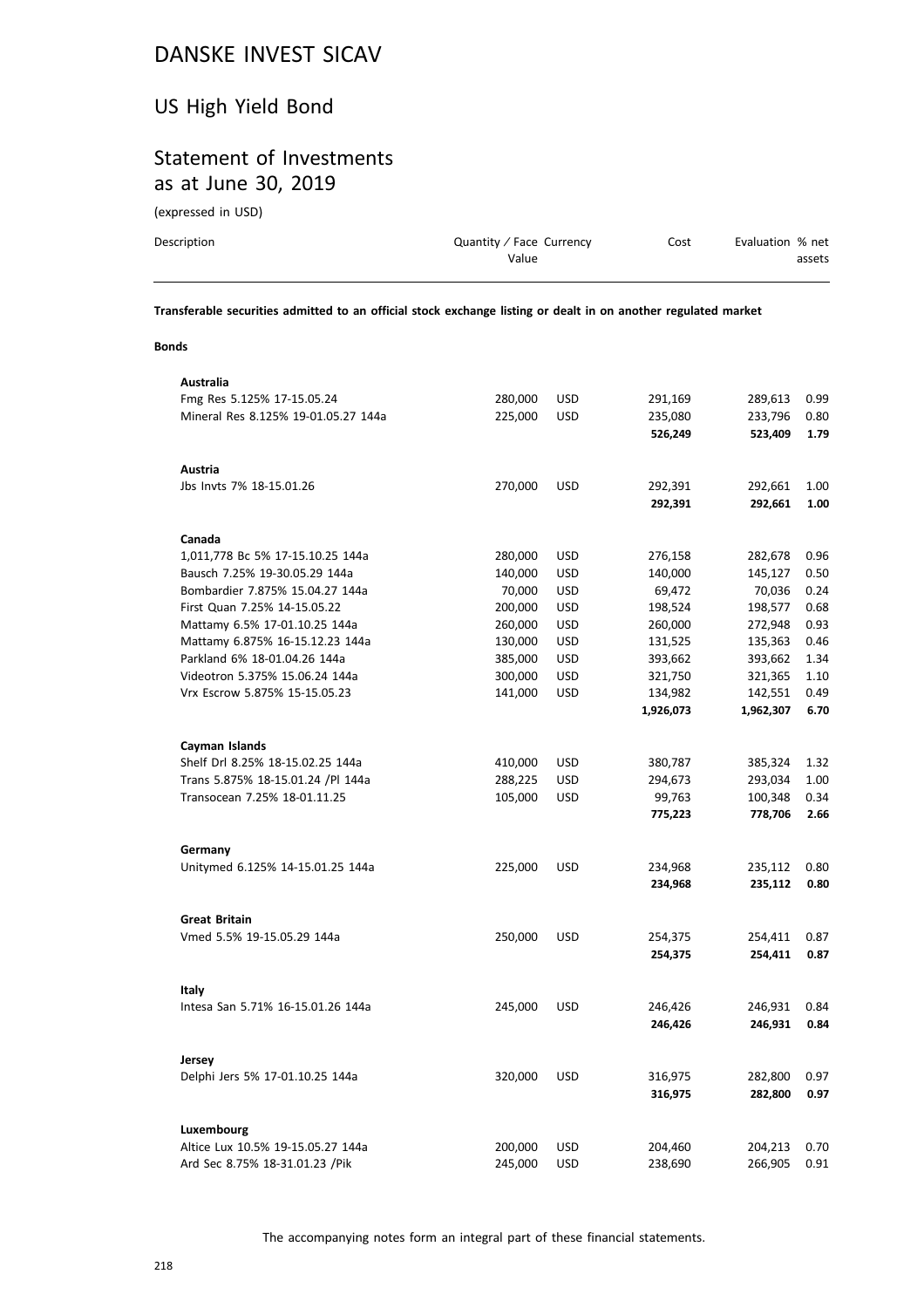### US High Yield Bond

## Statement of Investments as at June 30, 2019

(expressed in USD)

| Description | Quantity / Face Currency | Cost | Evaluation % net |
|-------------|--------------------------|------|------------------|
|             | Value                    |      | assets           |
|             |                          |      |                  |

**Transferable securities admitted to an official stock exchange listing or dealt in on another regulated market**

#### **Bonds**

| Australia                                          |         |            |           |                    |      |
|----------------------------------------------------|---------|------------|-----------|--------------------|------|
| Fmg Res 5.125% 17-15.05.24                         | 280,000 | <b>USD</b> | 291,169   | 289,613            | 0.99 |
| Mineral Res 8.125% 19-01.05.27 144a                | 225,000 | USD        | 235,080   | 233,796            | 0.80 |
|                                                    |         |            | 526,249   | 523,409            | 1.79 |
| Austria                                            |         |            |           |                    |      |
| Jbs Invts 7% 18-15.01.26                           | 270,000 | <b>USD</b> | 292,391   | 292,661            | 1.00 |
|                                                    |         |            | 292,391   | 292,661            | 1.00 |
| Canada                                             |         |            |           |                    |      |
| 1,011,778 Bc 5% 17-15.10.25 144a                   | 280,000 | USD        | 276,158   | 282,678            | 0.96 |
| Bausch 7.25% 19-30.05.29 144a                      | 140,000 | <b>USD</b> | 140,000   | 145,127            | 0.50 |
| Bombardier 7.875% 15.04.27 144a                    | 70,000  | USD        | 69,472    | 70,036             | 0.24 |
| First Quan 7.25% 14-15.05.22                       | 200,000 | <b>USD</b> | 198,524   | 198,577            | 0.68 |
| Mattamy 6.5% 17-01.10.25 144a                      | 260,000 | <b>USD</b> | 260,000   | 272,948            | 0.93 |
| Mattamy 6.875% 16-15.12.23 144a                    | 130,000 | <b>USD</b> | 131,525   | 135,363            | 0.46 |
| Parkland 6% 18-01.04.26 144a                       | 385,000 | USD        | 393,662   | 393,662            | 1.34 |
| Videotron 5.375% 15.06.24 144a                     | 300,000 | <b>USD</b> | 321,750   | 321,365            | 1.10 |
| Vrx Escrow 5.875% 15-15.05.23                      | 141,000 | <b>USD</b> | 134,982   | 142,551            | 0.49 |
|                                                    |         |            | 1,926,073 | 1,962,307          | 6.70 |
| Cayman Islands                                     |         |            |           |                    |      |
| Shelf Drl 8.25% 18-15.02.25 144a                   | 410,000 | <b>USD</b> | 380,787   | 385,324            | 1.32 |
| Trans 5.875% 18-15.01.24 /Pl 144a                  | 288,225 | USD        | 294,673   | 293,034            | 1.00 |
| Transocean 7.25% 18-01.11.25                       | 105,000 | <b>USD</b> | 99,763    | 100,348            | 0.34 |
|                                                    |         |            | 775,223   | 778,706            | 2.66 |
| Germany                                            |         |            |           |                    |      |
| Unitymed 6.125% 14-15.01.25 144a                   | 225,000 | <b>USD</b> | 234,968   | 235,112            | 0.80 |
|                                                    |         |            | 234,968   | 235,112            | 0.80 |
|                                                    |         |            |           |                    |      |
| <b>Great Britain</b><br>Vmed 5.5% 19-15.05.29 144a | 250,000 | <b>USD</b> | 254,375   |                    | 0.87 |
|                                                    |         |            | 254,375   | 254,411<br>254,411 | 0.87 |
|                                                    |         |            |           |                    |      |
| Italy                                              |         |            |           |                    |      |
| Intesa San 5.71% 16-15.01.26 144a                  | 245,000 | <b>USD</b> | 246,426   | 246,931            | 0.84 |
|                                                    |         |            | 246,426   | 246,931            | 0.84 |
| Jersey                                             |         |            |           |                    |      |
| Delphi Jers 5% 17-01.10.25 144a                    | 320,000 | <b>USD</b> | 316,975   | 282,800            | 0.97 |
|                                                    |         |            | 316,975   | 282,800            | 0.97 |
| Luxembourg                                         |         |            |           |                    |      |
| Altice Lux 10.5% 19-15.05.27 144a                  | 200,000 | <b>USD</b> | 204,460   | 204,213            | 0.70 |
| Ard Sec 8.75% 18-31.01.23 /Pik                     | 245,000 | USD        | 238,690   | 266,905            | 0.91 |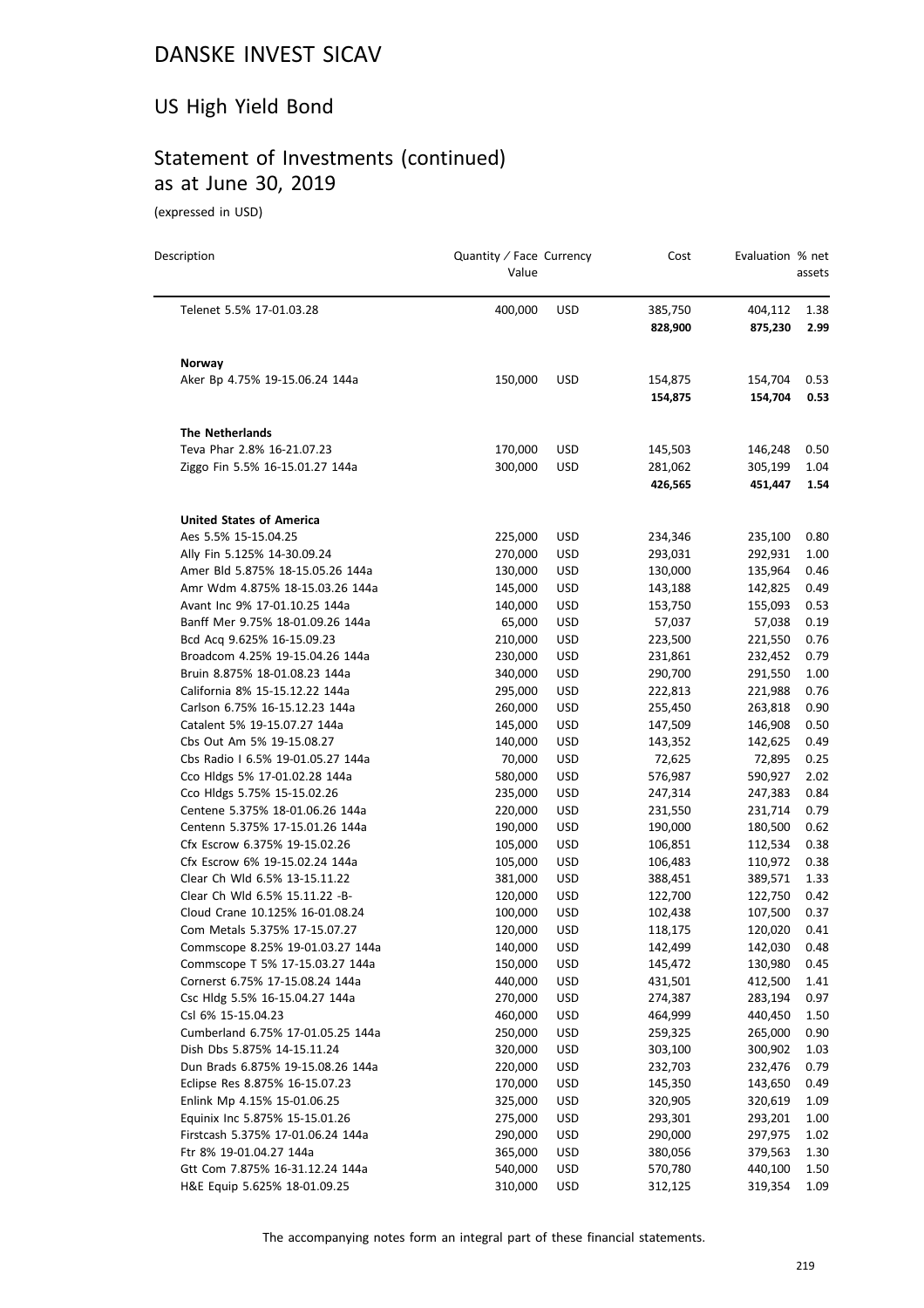# US High Yield Bond

# Statement of Investments (continued) as at June 30, 2019

(expressed in USD)

| Description                              | Quantity / Face Currency<br>Value |            | Cost    | Evaluation % net | assets |
|------------------------------------------|-----------------------------------|------------|---------|------------------|--------|
| Telenet 5.5% 17-01.03.28                 | 400,000                           | <b>USD</b> | 385,750 | 404,112          | 1.38   |
|                                          |                                   |            | 828,900 | 875,230          | 2.99   |
|                                          |                                   |            |         |                  |        |
| Norway<br>Aker Bp 4.75% 19-15.06.24 144a | 150,000                           | <b>USD</b> | 154,875 | 154,704          | 0.53   |
|                                          |                                   |            | 154,875 | 154,704          | 0.53   |
| <b>The Netherlands</b>                   |                                   |            |         |                  |        |
| Teva Phar 2.8% 16-21.07.23               | 170,000                           | USD        | 145,503 | 146,248          | 0.50   |
| Ziggo Fin 5.5% 16-15.01.27 144a          | 300,000                           | <b>USD</b> | 281,062 | 305,199          | 1.04   |
|                                          |                                   |            | 426,565 | 451,447          | 1.54   |
| <b>United States of America</b>          |                                   |            |         |                  |        |
| Aes 5.5% 15-15.04.25                     | 225,000                           | <b>USD</b> | 234,346 | 235,100          | 0.80   |
| Ally Fin 5.125% 14-30.09.24              | 270,000                           | <b>USD</b> | 293,031 | 292,931          | 1.00   |
| Amer Bld 5.875% 18-15.05.26 144a         | 130,000                           | <b>USD</b> | 130,000 | 135,964          | 0.46   |
| Amr Wdm 4.875% 18-15.03.26 144a          | 145,000                           | <b>USD</b> | 143,188 | 142,825          | 0.49   |
| Avant Inc 9% 17-01.10.25 144a            | 140,000                           | USD        | 153,750 | 155,093          | 0.53   |
| Banff Mer 9.75% 18-01.09.26 144a         | 65,000                            | <b>USD</b> | 57,037  | 57,038           | 0.19   |
| Bcd Acq 9.625% 16-15.09.23               | 210,000                           | <b>USD</b> | 223,500 | 221,550          | 0.76   |
| Broadcom 4.25% 19-15.04.26 144a          | 230,000                           | USD        | 231,861 | 232,452          | 0.79   |
| Bruin 8.875% 18-01.08.23 144a            | 340,000                           | <b>USD</b> | 290,700 | 291,550          | 1.00   |
| California 8% 15-15.12.22 144a           | 295,000                           | <b>USD</b> | 222,813 | 221,988          | 0.76   |
| Carlson 6.75% 16-15.12.23 144a           | 260,000                           | <b>USD</b> | 255,450 | 263,818          | 0.90   |
| Catalent 5% 19-15.07.27 144a             | 145,000                           | <b>USD</b> | 147,509 | 146,908          | 0.50   |
| Cbs Out Am 5% 19-15.08.27                | 140,000                           | <b>USD</b> | 143,352 | 142,625          | 0.49   |
| Cbs Radio I 6.5% 19-01.05.27 144a        | 70,000                            | <b>USD</b> | 72,625  | 72,895           | 0.25   |
| Cco Hldgs 5% 17-01.02.28 144a            | 580,000                           | <b>USD</b> | 576,987 | 590,927          | 2.02   |
| Cco Hldgs 5.75% 15-15.02.26              | 235,000                           | <b>USD</b> | 247,314 | 247,383          | 0.84   |
| Centene 5.375% 18-01.06.26 144a          | 220,000                           | <b>USD</b> | 231,550 | 231,714          | 0.79   |
| Centenn 5.375% 17-15.01.26 144a          | 190,000                           | <b>USD</b> | 190,000 | 180,500          | 0.62   |
| Cfx Escrow 6.375% 19-15.02.26            | 105,000                           | <b>USD</b> | 106,851 | 112,534          | 0.38   |
| Cfx Escrow 6% 19-15.02.24 144a           | 105,000                           | USD        | 106,483 | 110,972          | 0.38   |
| Clear Ch Wld 6.5% 13-15.11.22            | 381,000                           | USD        | 388,451 | 389,571          | 1.33   |
| Clear Ch Wld 6.5% 15.11.22 -B-           | 120,000                           | USD        | 122,700 | 122,750          | 0.42   |
| Cloud Crane 10.125% 16-01.08.24          | 100,000                           | USD        | 102,438 | 107,500          | 0.37   |
| Com Metals 5.375% 17-15.07.27            | 120,000                           | <b>USD</b> | 118,175 | 120,020          | 0.41   |
| Commscope 8.25% 19-01.03.27 144a         | 140,000                           | USD        | 142,499 | 142,030          | 0.48   |
| Commscope T 5% 17-15.03.27 144a          | 150,000                           | USD        | 145,472 | 130,980          | 0.45   |
| Cornerst 6.75% 17-15.08.24 144a          | 440,000                           | <b>USD</b> | 431,501 | 412,500          | 1.41   |
| Csc Hldg 5.5% 16-15.04.27 144a           | 270,000                           | <b>USD</b> | 274,387 | 283,194          | 0.97   |
| Csl 6% 15-15.04.23                       | 460,000                           | USD        | 464,999 | 440,450          | 1.50   |
| Cumberland 6.75% 17-01.05.25 144a        | 250,000                           | <b>USD</b> | 259,325 | 265,000          | 0.90   |
| Dish Dbs 5.875% 14-15.11.24              | 320,000                           | <b>USD</b> | 303,100 | 300,902          | 1.03   |
| Dun Brads 6.875% 19-15.08.26 144a        | 220,000                           | USD        | 232,703 | 232,476          | 0.79   |
| Eclipse Res 8.875% 16-15.07.23           | 170,000                           | <b>USD</b> | 145,350 | 143,650          | 0.49   |
| Enlink Mp 4.15% 15-01.06.25              | 325,000                           | <b>USD</b> | 320,905 | 320,619          | 1.09   |
| Equinix Inc 5.875% 15-15.01.26           | 275,000                           | <b>USD</b> | 293,301 | 293,201          | 1.00   |
| Firstcash 5.375% 17-01.06.24 144a        | 290,000                           | <b>USD</b> | 290,000 | 297,975          | 1.02   |
| Ftr 8% 19-01.04.27 144a                  | 365,000                           | <b>USD</b> | 380,056 | 379,563          | 1.30   |
| Gtt Com 7.875% 16-31.12.24 144a          | 540,000                           | <b>USD</b> | 570,780 | 440,100          | 1.50   |
| H&E Equip 5.625% 18-01.09.25             | 310,000                           | <b>USD</b> | 312,125 | 319,354          | 1.09   |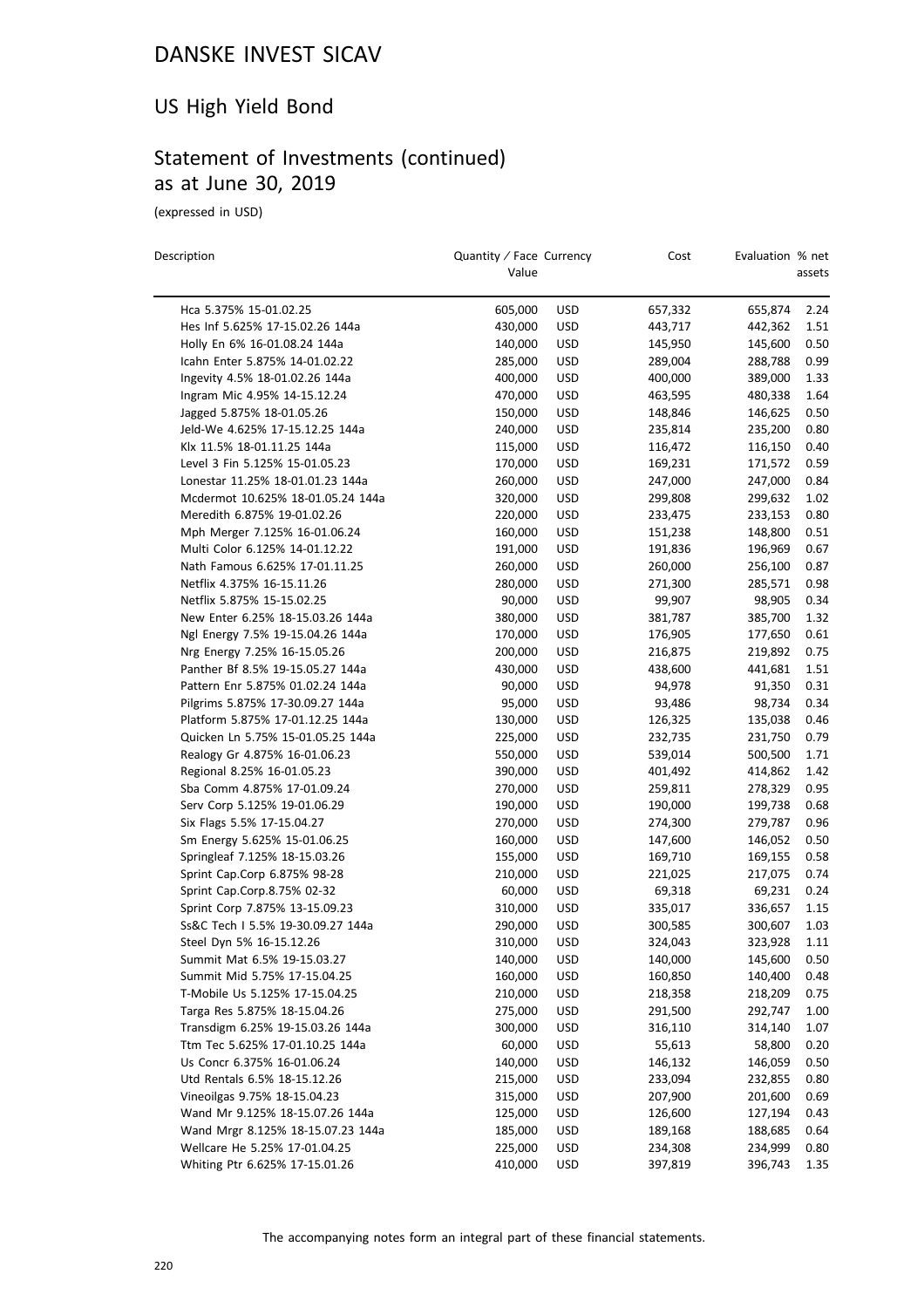### US High Yield Bond

# Statement of Investments (continued) as at June 30, 2019

(expressed in USD)

| Description                       | Quantity / Face Currency<br>Value |            | Cost    | Evaluation % net | assets |
|-----------------------------------|-----------------------------------|------------|---------|------------------|--------|
| Hca 5.375% 15-01.02.25            | 605,000                           | <b>USD</b> | 657,332 | 655,874          | 2.24   |
| Hes Inf 5.625% 17-15.02.26 144a   | 430,000                           | <b>USD</b> | 443,717 | 442,362          | 1.51   |
| Holly En 6% 16-01.08.24 144a      | 140,000                           | USD        | 145,950 | 145,600          | 0.50   |
| Icahn Enter 5.875% 14-01.02.22    | 285,000                           | <b>USD</b> | 289,004 | 288,788          | 0.99   |
| Ingevity 4.5% 18-01.02.26 144a    | 400,000                           | <b>USD</b> | 400,000 | 389,000          | 1.33   |
| Ingram Mic 4.95% 14-15.12.24      | 470,000                           | <b>USD</b> | 463,595 | 480,338          | 1.64   |
| Jagged 5.875% 18-01.05.26         | 150,000                           | <b>USD</b> | 148,846 | 146,625          | 0.50   |
| Jeld-We 4.625% 17-15.12.25 144a   | 240,000                           | <b>USD</b> | 235,814 | 235,200          | 0.80   |
| Klx 11.5% 18-01.11.25 144a        | 115,000                           | <b>USD</b> | 116,472 | 116,150          | 0.40   |
| Level 3 Fin 5.125% 15-01.05.23    | 170,000                           | <b>USD</b> | 169,231 | 171,572          | 0.59   |
| Lonestar 11.25% 18-01.01.23 144a  | 260,000                           | <b>USD</b> | 247,000 | 247,000          | 0.84   |
| Mcdermot 10.625% 18-01.05.24 144a | 320,000                           | <b>USD</b> | 299,808 | 299,632          | 1.02   |
| Meredith 6.875% 19-01.02.26       | 220,000                           | <b>USD</b> | 233,475 | 233,153          | 0.80   |
| Mph Merger 7.125% 16-01.06.24     | 160,000                           | <b>USD</b> | 151,238 | 148,800          | 0.51   |
| Multi Color 6.125% 14-01.12.22    | 191,000                           | <b>USD</b> | 191,836 | 196,969          | 0.67   |
| Nath Famous 6.625% 17-01.11.25    | 260,000                           | <b>USD</b> | 260,000 | 256,100          | 0.87   |
| Netflix 4.375% 16-15.11.26        | 280,000                           | <b>USD</b> | 271,300 | 285,571          | 0.98   |
| Netflix 5.875% 15-15.02.25        | 90,000                            | <b>USD</b> | 99,907  | 98,905           | 0.34   |
| New Enter 6.25% 18-15.03.26 144a  | 380,000                           | <b>USD</b> | 381,787 | 385,700          | 1.32   |
| Ngl Energy 7.5% 19-15.04.26 144a  | 170,000                           | <b>USD</b> | 176,905 | 177,650          | 0.61   |
| Nrg Energy 7.25% 16-15.05.26      | 200,000                           | USD        | 216,875 | 219,892          | 0.75   |
| Panther Bf 8.5% 19-15.05.27 144a  | 430,000                           | <b>USD</b> | 438,600 | 441,681          | 1.51   |
| Pattern Enr 5.875% 01.02.24 144a  | 90,000                            | <b>USD</b> | 94,978  | 91,350           | 0.31   |
| Pilgrims 5.875% 17-30.09.27 144a  | 95,000                            | <b>USD</b> | 93,486  | 98,734           | 0.34   |
| Platform 5.875% 17-01.12.25 144a  | 130,000                           | <b>USD</b> | 126,325 | 135,038          | 0.46   |
| Quicken Ln 5.75% 15-01.05.25 144a | 225,000                           | <b>USD</b> | 232,735 | 231,750          | 0.79   |
| Realogy Gr 4.875% 16-01.06.23     | 550,000                           | USD        | 539,014 | 500,500          | 1.71   |
| Regional 8.25% 16-01.05.23        | 390,000                           | <b>USD</b> | 401,492 | 414,862          | 1.42   |
| Sba Comm 4.875% 17-01.09.24       | 270,000                           | <b>USD</b> | 259,811 | 278,329          | 0.95   |
| Serv Corp 5.125% 19-01.06.29      | 190,000                           | <b>USD</b> | 190,000 | 199,738          | 0.68   |
| Six Flags 5.5% 17-15.04.27        | 270,000                           | <b>USD</b> | 274,300 | 279,787          | 0.96   |
| Sm Energy 5.625% 15-01.06.25      | 160,000                           | USD        | 147,600 | 146,052          | 0.50   |
| Springleaf 7.125% 18-15.03.26     | 155,000                           | USD        | 169,710 | 169,155          | 0.58   |
| Sprint Cap.Corp 6.875% 98-28      | 210,000                           | <b>USD</b> | 221,025 | 217,075          | 0.74   |
| Sprint Cap.Corp.8.75% 02-32       | 60,000                            | <b>USD</b> | 69,318  | 69,231           | 0.24   |
| Sprint Corp 7.875% 13-15.09.23    | 310,000                           | <b>USD</b> | 335,017 | 336,657          | 1.15   |
| Ss&C Tech I 5.5% 19-30.09.27 144a | 290,000                           | <b>USD</b> | 300,585 | 300,607          | 1.03   |
| Steel Dvn 5% 16-15.12.26          | 310,000                           | <b>USD</b> | 324,043 | 323,928          | 1.11   |
| Summit Mat 6.5% 19-15.03.27       | 140,000                           | <b>USD</b> | 140,000 | 145,600          | 0.50   |
| Summit Mid 5.75% 17-15.04.25      | 160,000                           | <b>USD</b> | 160,850 | 140,400          | 0.48   |
| T-Mobile Us 5.125% 17-15.04.25    | 210,000                           | <b>USD</b> | 218,358 | 218,209          | 0.75   |
| Targa Res 5.875% 18-15.04.26      | 275,000                           | <b>USD</b> | 291,500 | 292,747          | 1.00   |
| Transdigm 6.25% 19-15.03.26 144a  | 300,000                           | <b>USD</b> | 316,110 | 314,140          | 1.07   |
| Ttm Tec 5.625% 17-01.10.25 144a   | 60,000                            | <b>USD</b> | 55,613  | 58,800           | 0.20   |
| Us Concr 6.375% 16-01.06.24       | 140,000                           | <b>USD</b> | 146,132 | 146,059          | 0.50   |
| Utd Rentals 6.5% 18-15.12.26      | 215,000                           | <b>USD</b> | 233,094 | 232,855          | 0.80   |
| Vineoilgas 9.75% 18-15.04.23      | 315,000                           | <b>USD</b> | 207,900 | 201,600          | 0.69   |
| Wand Mr 9.125% 18-15.07.26 144a   | 125,000                           | <b>USD</b> | 126,600 | 127,194          | 0.43   |
| Wand Mrgr 8.125% 18-15.07.23 144a | 185,000                           | <b>USD</b> | 189,168 | 188,685          | 0.64   |
| Wellcare He 5.25% 17-01.04.25     | 225,000                           | USD        | 234,308 | 234,999          | 0.80   |
| Whiting Ptr 6.625% 17-15.01.26    | 410,000                           | <b>USD</b> | 397,819 | 396,743          | 1.35   |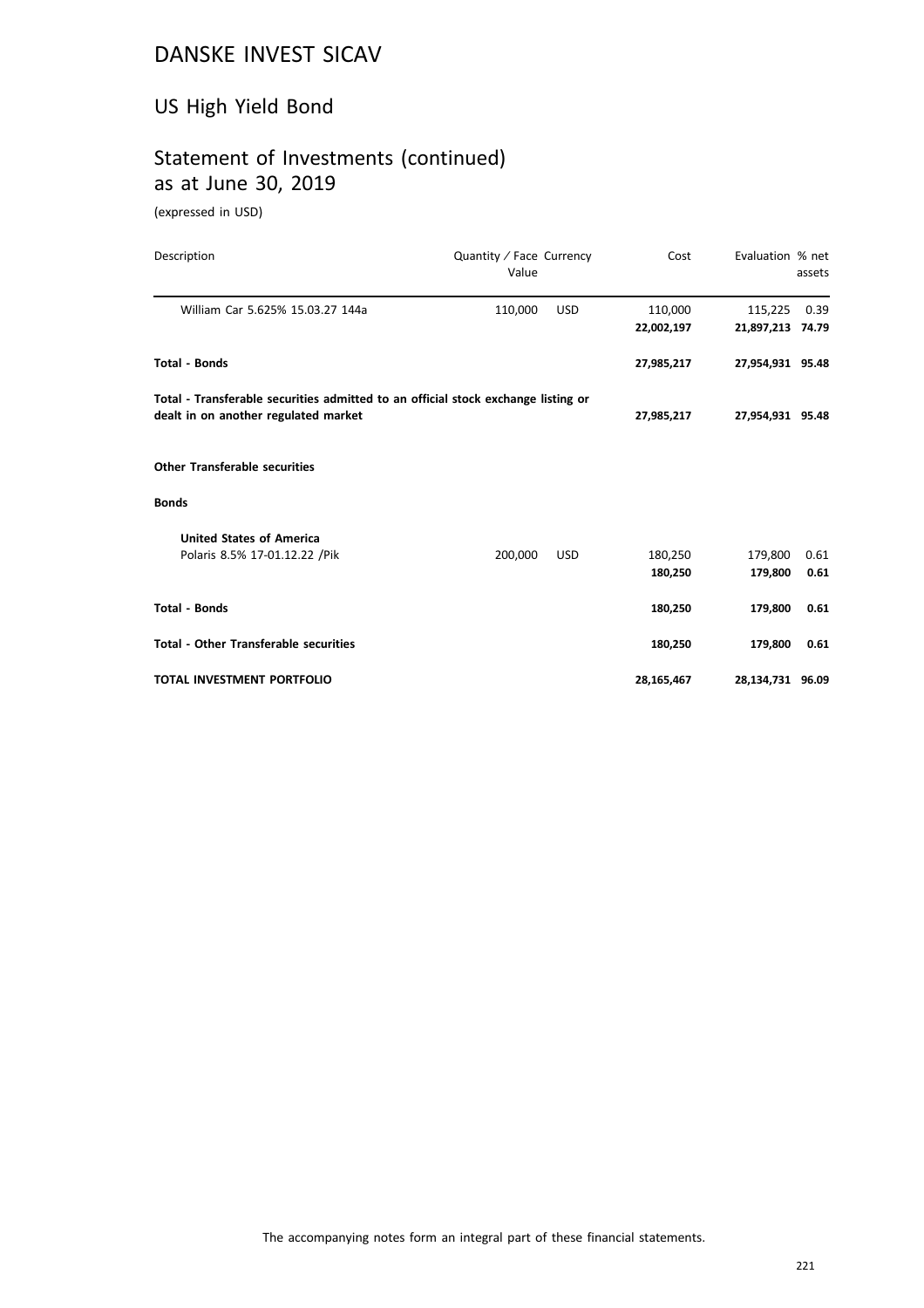# US High Yield Bond

# Statement of Investments (continued) as at June 30, 2019

(expressed in USD)

| Description                                                                       | Quantity / Face Currency<br>Value |            | Cost       | Evaluation % net | assets |
|-----------------------------------------------------------------------------------|-----------------------------------|------------|------------|------------------|--------|
| William Car 5.625% 15.03.27 144a                                                  | 110,000                           | <b>USD</b> | 110,000    | 115,225          | 0.39   |
|                                                                                   |                                   |            | 22,002,197 | 21,897,213 74.79 |        |
| <b>Total - Bonds</b>                                                              |                                   |            | 27,985,217 | 27,954,931 95.48 |        |
| Total - Transferable securities admitted to an official stock exchange listing or |                                   |            |            |                  |        |
| dealt in on another regulated market                                              |                                   |            | 27,985,217 | 27,954,931 95.48 |        |
| <b>Other Transferable securities</b>                                              |                                   |            |            |                  |        |
| <b>Bonds</b>                                                                      |                                   |            |            |                  |        |
| <b>United States of America</b>                                                   |                                   |            |            |                  |        |
| Polaris 8.5% 17-01.12.22 / Pik                                                    | 200,000                           | <b>USD</b> | 180,250    | 179,800          | 0.61   |
|                                                                                   |                                   |            | 180,250    | 179,800          | 0.61   |
| <b>Total - Bonds</b>                                                              |                                   |            | 180,250    | 179,800          | 0.61   |
| <b>Total - Other Transferable securities</b>                                      |                                   |            | 180,250    | 179,800          | 0.61   |
| TOTAL INVESTMENT PORTFOLIO                                                        |                                   |            | 28,165,467 | 28,134,731 96.09 |        |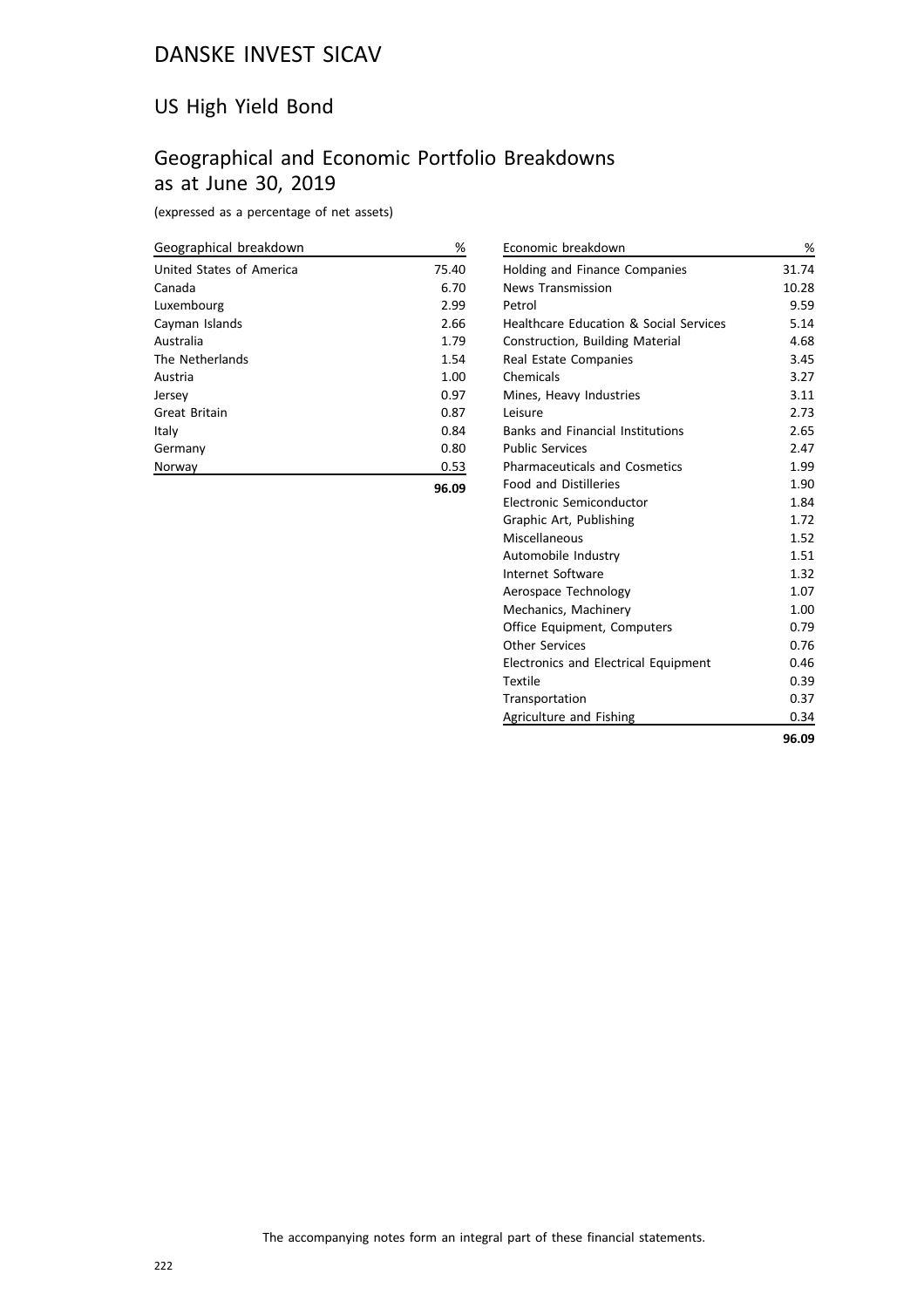### US High Yield Bond

## Geographical and Economic Portfolio Breakdowns as at June 30, 2019

(expressed as a percentage of net assets)

| Geographical breakdown   | %     |
|--------------------------|-------|
| United States of America | 75.40 |
| Canada                   | 6.70  |
| Luxembourg               | 2.99  |
| Cayman Islands           | 2.66  |
| Australia                | 1.79  |
| The Netherlands          | 1.54  |
| Austria                  | 1.00  |
| Jersey                   | 0.97  |
| Great Britain            | 0.87  |
| Italy                    | 0.84  |
| Germany                  | 0.80  |
| Norway                   | 0.53  |
|                          | 96.09 |

| <b>Holding and Finance Companies</b><br><b>News Transmission</b><br>Petrol<br>Healthcare Education & Social Services<br><b>Construction, Building Material</b><br>Real Estate Companies<br>Chemicals<br>Mines, Heavy Industries<br>Leisure<br><b>Banks and Financial Institutions</b><br><b>Public Services</b><br><b>Pharmaceuticals and Cosmetics</b><br><b>Food and Distilleries</b><br>Electronic Semiconductor<br>Graphic Art, Publishing<br>Miscellaneous<br>1.52<br>Automobile Industry<br>Internet Software<br>1.32<br>1.07<br>Aerospace Technology<br>1.00<br>Mechanics, Machinery<br>0.79<br>Office Equipment, Computers<br>Other Services<br>0.76<br>0.46<br><b>Electronics and Electrical Equipment</b><br><b>Textile</b><br>0.39<br>Transportation<br>Agriculture and Fishing | Economic breakdown | %     |
|--------------------------------------------------------------------------------------------------------------------------------------------------------------------------------------------------------------------------------------------------------------------------------------------------------------------------------------------------------------------------------------------------------------------------------------------------------------------------------------------------------------------------------------------------------------------------------------------------------------------------------------------------------------------------------------------------------------------------------------------------------------------------------------------|--------------------|-------|
|                                                                                                                                                                                                                                                                                                                                                                                                                                                                                                                                                                                                                                                                                                                                                                                            |                    | 31.74 |
|                                                                                                                                                                                                                                                                                                                                                                                                                                                                                                                                                                                                                                                                                                                                                                                            |                    | 10.28 |
|                                                                                                                                                                                                                                                                                                                                                                                                                                                                                                                                                                                                                                                                                                                                                                                            |                    | 9.59  |
|                                                                                                                                                                                                                                                                                                                                                                                                                                                                                                                                                                                                                                                                                                                                                                                            |                    | 5.14  |
|                                                                                                                                                                                                                                                                                                                                                                                                                                                                                                                                                                                                                                                                                                                                                                                            |                    | 4.68  |
|                                                                                                                                                                                                                                                                                                                                                                                                                                                                                                                                                                                                                                                                                                                                                                                            |                    | 3.45  |
|                                                                                                                                                                                                                                                                                                                                                                                                                                                                                                                                                                                                                                                                                                                                                                                            |                    | 3.27  |
|                                                                                                                                                                                                                                                                                                                                                                                                                                                                                                                                                                                                                                                                                                                                                                                            |                    | 3.11  |
|                                                                                                                                                                                                                                                                                                                                                                                                                                                                                                                                                                                                                                                                                                                                                                                            |                    | 2.73  |
|                                                                                                                                                                                                                                                                                                                                                                                                                                                                                                                                                                                                                                                                                                                                                                                            |                    | 2.65  |
|                                                                                                                                                                                                                                                                                                                                                                                                                                                                                                                                                                                                                                                                                                                                                                                            |                    | 2.47  |
|                                                                                                                                                                                                                                                                                                                                                                                                                                                                                                                                                                                                                                                                                                                                                                                            |                    | 1.99  |
|                                                                                                                                                                                                                                                                                                                                                                                                                                                                                                                                                                                                                                                                                                                                                                                            |                    | 1.90  |
|                                                                                                                                                                                                                                                                                                                                                                                                                                                                                                                                                                                                                                                                                                                                                                                            |                    | 1.84  |
|                                                                                                                                                                                                                                                                                                                                                                                                                                                                                                                                                                                                                                                                                                                                                                                            |                    | 1.72  |
|                                                                                                                                                                                                                                                                                                                                                                                                                                                                                                                                                                                                                                                                                                                                                                                            |                    |       |
|                                                                                                                                                                                                                                                                                                                                                                                                                                                                                                                                                                                                                                                                                                                                                                                            |                    | 1.51  |
|                                                                                                                                                                                                                                                                                                                                                                                                                                                                                                                                                                                                                                                                                                                                                                                            |                    |       |
|                                                                                                                                                                                                                                                                                                                                                                                                                                                                                                                                                                                                                                                                                                                                                                                            |                    |       |
|                                                                                                                                                                                                                                                                                                                                                                                                                                                                                                                                                                                                                                                                                                                                                                                            |                    |       |
|                                                                                                                                                                                                                                                                                                                                                                                                                                                                                                                                                                                                                                                                                                                                                                                            |                    |       |
|                                                                                                                                                                                                                                                                                                                                                                                                                                                                                                                                                                                                                                                                                                                                                                                            |                    |       |
|                                                                                                                                                                                                                                                                                                                                                                                                                                                                                                                                                                                                                                                                                                                                                                                            |                    |       |
|                                                                                                                                                                                                                                                                                                                                                                                                                                                                                                                                                                                                                                                                                                                                                                                            |                    |       |
|                                                                                                                                                                                                                                                                                                                                                                                                                                                                                                                                                                                                                                                                                                                                                                                            |                    | 0.37  |
|                                                                                                                                                                                                                                                                                                                                                                                                                                                                                                                                                                                                                                                                                                                                                                                            |                    | 0.34  |

**96.09**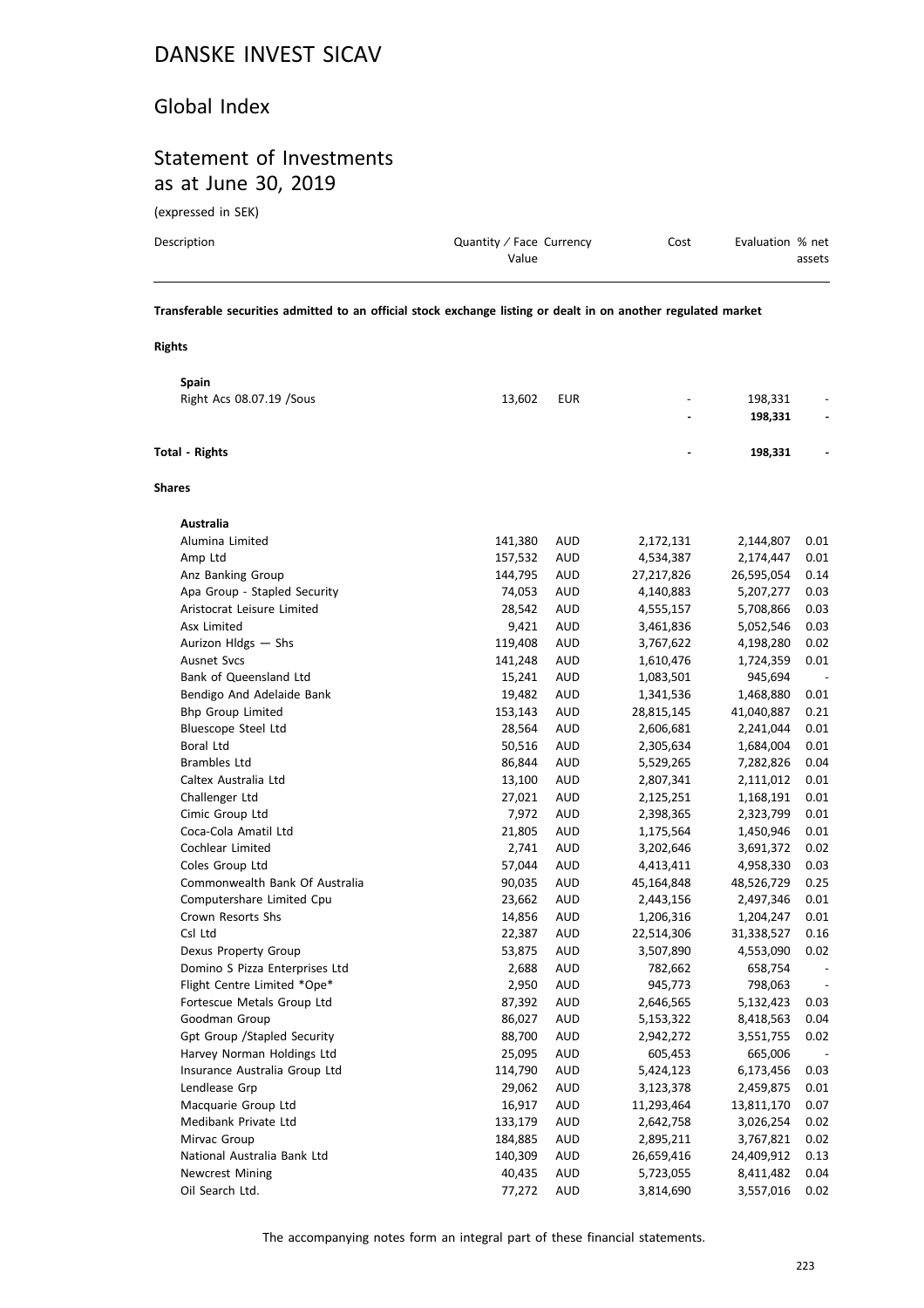#### Global Index

### Statement of Investments as at June 30, 2019

(expressed in SEK)

| Description | Quantity / Face Currency | Cost | Evaluation % net |
|-------------|--------------------------|------|------------------|
|             | Value                    |      | assets           |
|             |                          |      |                  |

**Transferable securities admitted to an official stock exchange listing or dealt in on another regulated market**

#### **Rights**

|                       | Spain                          |         |            |            |            |      |
|-----------------------|--------------------------------|---------|------------|------------|------------|------|
|                       | Right Acs 08.07.19 / Sous      | 13,602  | <b>EUR</b> |            | 198,331    |      |
|                       |                                |         |            |            | 198,331    |      |
| <b>Total - Rights</b> |                                |         |            |            | 198,331    |      |
| <b>Shares</b>         |                                |         |            |            |            |      |
|                       | Australia                      |         |            |            |            |      |
|                       | Alumina Limited                | 141,380 | AUD        | 2,172,131  | 2,144,807  | 0.01 |
|                       | Amp Ltd                        | 157,532 | AUD        | 4,534,387  | 2,174,447  | 0.01 |
|                       | Anz Banking Group              | 144,795 | AUD        | 27,217,826 | 26,595,054 | 0.14 |
|                       | Apa Group - Stapled Security   | 74,053  | <b>AUD</b> | 4,140,883  | 5,207,277  | 0.03 |
|                       | Aristocrat Leisure Limited     | 28,542  | <b>AUD</b> | 4,555,157  | 5,708,866  | 0.03 |
|                       | Asx Limited                    | 9,421   | <b>AUD</b> | 3,461,836  | 5,052,546  | 0.03 |
|                       | Aurizon Hldgs - Shs            | 119,408 | <b>AUD</b> | 3,767,622  | 4,198,280  | 0.02 |
|                       | <b>Ausnet Svcs</b>             | 141,248 | AUD        | 1,610,476  | 1,724,359  | 0.01 |
|                       | Bank of Queensland Ltd         | 15,241  | AUD        | 1,083,501  | 945,694    |      |
|                       | Bendigo And Adelaide Bank      | 19,482  | <b>AUD</b> | 1,341,536  | 1,468,880  | 0.01 |
|                       | <b>Bhp Group Limited</b>       | 153,143 | AUD        | 28,815,145 | 41,040,887 | 0.21 |
|                       | Bluescope Steel Ltd            | 28,564  | <b>AUD</b> | 2,606,681  | 2,241,044  | 0.01 |
|                       | <b>Boral Ltd</b>               | 50,516  | <b>AUD</b> | 2,305,634  | 1,684,004  | 0.01 |
|                       | <b>Brambles Ltd</b>            | 86,844  | AUD        | 5,529,265  | 7,282,826  | 0.04 |
|                       | Caltex Australia Ltd           | 13,100  | AUD        | 2,807,341  | 2,111,012  | 0.01 |
|                       | Challenger Ltd                 | 27,021  | <b>AUD</b> | 2,125,251  | 1,168,191  | 0.01 |
|                       | Cimic Group Ltd                | 7,972   | <b>AUD</b> | 2,398,365  | 2,323,799  | 0.01 |
|                       | Coca-Cola Amatil Ltd           | 21,805  | <b>AUD</b> | 1,175,564  | 1,450,946  | 0.01 |
|                       | Cochlear Limited               | 2,741   | <b>AUD</b> | 3,202,646  | 3,691,372  | 0.02 |
|                       | Coles Group Ltd                | 57,044  | AUD        | 4,413,411  | 4,958,330  | 0.03 |
|                       | Commonwealth Bank Of Australia | 90,035  | AUD        | 45,164,848 | 48,526,729 | 0.25 |
|                       | Computershare Limited Cpu      | 23,662  | <b>AUD</b> | 2,443,156  | 2,497,346  | 0.01 |
|                       | Crown Resorts Shs              | 14,856  | AUD        | 1,206,316  | 1,204,247  | 0.01 |
|                       | Csl Ltd                        | 22,387  | <b>AUD</b> | 22,514,306 | 31,338,527 | 0.16 |
|                       | Dexus Property Group           | 53,875  | <b>AUD</b> | 3,507,890  | 4,553,090  | 0.02 |
|                       | Domino S Pizza Enterprises Ltd | 2,688   | AUD        | 782,662    | 658,754    |      |
|                       | Flight Centre Limited *Ope*    | 2,950   | <b>AUD</b> | 945,773    | 798,063    |      |
|                       | Fortescue Metals Group Ltd     | 87,392  | <b>AUD</b> | 2,646,565  | 5,132,423  | 0.03 |
|                       | Goodman Group                  | 86,027  | AUD        | 5,153,322  | 8,418,563  | 0.04 |
|                       | Gpt Group / Stapled Security   | 88,700  | AUD        | 2,942,272  | 3,551,755  | 0.02 |
|                       | Harvey Norman Holdings Ltd     | 25,095  | <b>AUD</b> | 605,453    | 665,006    |      |
|                       | Insurance Australia Group Ltd  | 114,790 | AUD        | 5,424,123  | 6,173,456  | 0.03 |
|                       | Lendlease Grp                  | 29,062  | AUD        | 3,123,378  | 2,459,875  | 0.01 |
|                       | Macquarie Group Ltd            | 16,917  | AUD        | 11,293,464 | 13,811,170 | 0.07 |
|                       | Medibank Private Ltd           | 133,179 | AUD        | 2,642,758  | 3,026,254  | 0.02 |
|                       | Mirvac Group                   | 184,885 | AUD        | 2,895,211  | 3,767,821  | 0.02 |
|                       | National Australia Bank Ltd    | 140,309 | AUD        | 26,659,416 | 24,409,912 | 0.13 |
|                       | <b>Newcrest Mining</b>         | 40,435  | AUD        | 5,723,055  | 8,411,482  | 0.04 |
|                       | Oil Search Ltd.                | 77,272  | AUD        | 3,814,690  | 3,557,016  | 0.02 |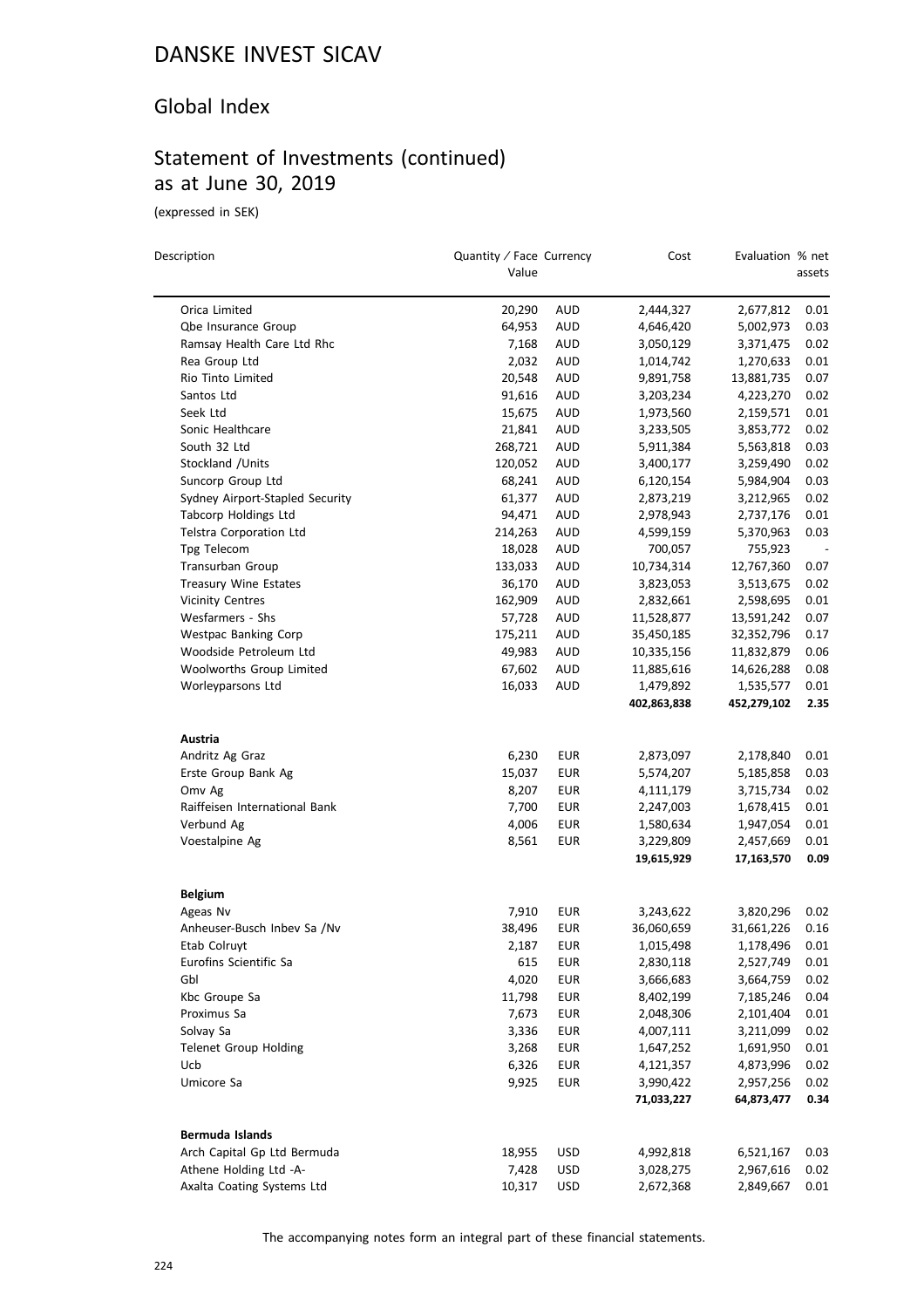### Global Index

# Statement of Investments (continued) as at June 30, 2019

(expressed in SEK)

 $\overline{\phantom{0}}$ 

| Description                                             | Quantity / Face Currency<br>Value |            | Cost                     | Evaluation % net         | assets       |
|---------------------------------------------------------|-----------------------------------|------------|--------------------------|--------------------------|--------------|
| Orica Limited                                           | 20,290                            | <b>AUD</b> | 2,444,327                | 2,677,812                | 0.01         |
| Qbe Insurance Group                                     | 64,953                            | <b>AUD</b> | 4,646,420                | 5,002,973                | 0.03         |
| Ramsay Health Care Ltd Rhc                              | 7,168                             | AUD        | 3,050,129                | 3,371,475                | 0.02         |
| Rea Group Ltd                                           | 2,032                             | <b>AUD</b> | 1,014,742                | 1,270,633                | 0.01         |
| Rio Tinto Limited                                       | 20,548                            | <b>AUD</b> | 9,891,758                | 13,881,735               | 0.07         |
| Santos Ltd                                              | 91,616                            | AUD        | 3,203,234                | 4,223,270                | 0.02         |
| Seek Ltd                                                | 15,675                            | AUD        | 1,973,560                | 2,159,571                | 0.01         |
| Sonic Healthcare                                        | 21,841                            | AUD        | 3,233,505                | 3,853,772                | 0.02         |
| South 32 Ltd                                            | 268,721                           | <b>AUD</b> | 5,911,384                | 5,563,818                | 0.03         |
| Stockland / Units                                       | 120,052                           | AUD        | 3,400,177                | 3,259,490                | 0.02         |
| Suncorp Group Ltd                                       | 68,241                            | AUD        | 6,120,154                | 5,984,904                | 0.03         |
| Sydney Airport-Stapled Security                         | 61,377                            | AUD        | 2,873,219                | 3,212,965                | 0.02         |
| <b>Tabcorp Holdings Ltd</b>                             | 94,471                            | <b>AUD</b> | 2,978,943                | 2,737,176                | 0.01         |
| Telstra Corporation Ltd                                 | 214,263                           | AUD        |                          | 5,370,963                | 0.03         |
| Tpg Telecom                                             | 18,028                            | <b>AUD</b> | 4,599,159<br>700,057     | 755,923                  |              |
|                                                         |                                   |            |                          |                          | 0.07         |
| Transurban Group                                        | 133,033                           | AUD        | 10,734,314               | 12,767,360               |              |
| <b>Treasury Wine Estates</b><br><b>Vicinity Centres</b> | 36,170                            | AUD        | 3,823,053                | 3,513,675                | 0.02         |
| Wesfarmers - Shs                                        | 162,909                           | AUD        | 2,832,661                | 2,598,695                | 0.01         |
|                                                         | 57,728                            | AUD        | 11,528,877               | 13,591,242               | 0.07         |
| <b>Westpac Banking Corp</b>                             | 175,211                           | AUD        | 35,450,185               | 32,352,796               | 0.17         |
| Woodside Petroleum Ltd                                  | 49,983                            | <b>AUD</b> | 10,335,156               | 11,832,879               | 0.06         |
| Woolworths Group Limited                                | 67,602                            | AUD        | 11,885,616               | 14,626,288               | 0.08         |
| Worleyparsons Ltd                                       | 16,033                            | AUD        | 1,479,892<br>402,863,838 | 1,535,577<br>452,279,102 | 0.01<br>2.35 |
| Austria                                                 |                                   |            |                          |                          |              |
| Andritz Ag Graz                                         | 6,230                             | EUR        | 2,873,097                | 2,178,840                | 0.01         |
| Erste Group Bank Ag                                     | 15,037                            | EUR        | 5,574,207                | 5,185,858                | 0.03         |
| Omv Ag                                                  | 8,207                             | EUR        | 4,111,179                | 3,715,734                | 0.02         |
| Raiffeisen International Bank                           | 7,700                             | <b>EUR</b> | 2,247,003                | 1,678,415                | 0.01         |
| Verbund Ag                                              | 4,006                             | EUR        | 1,580,634                | 1,947,054                | 0.01         |
| Voestalpine Ag                                          | 8,561                             | EUR        | 3,229,809                | 2,457,669                | 0.01         |
|                                                         |                                   |            | 19,615,929               | 17,163,570               | 0.09         |
| <b>Belgium</b>                                          |                                   |            |                          |                          |              |
| Ageas Nv                                                | 7,910                             | EUR        | 3,243,622                | 3,820,296                | 0.02         |
| Anheuser-Busch Inbev Sa /Nv                             | 38,496                            | EUR        | 36,060,659               | 31,661,226               | 0.16         |
| Etab Colruyt                                            | 2,187                             | <b>EUR</b> | 1,015,498                | 1,178,496                | 0.01         |
| Eurofins Scientific Sa                                  | 615                               | EUR        | 2,830,118                | 2,527,749                | 0.01         |
| Gbl                                                     | 4,020                             | <b>EUR</b> | 3,666,683                | 3,664,759                | 0.02         |
| Kbc Groupe Sa                                           | 11,798                            | <b>EUR</b> | 8,402,199                | 7,185,246                | 0.04         |
| Proximus Sa                                             | 7,673                             | <b>EUR</b> | 2,048,306                | 2,101,404                | 0.01         |
| Solvay Sa                                               | 3,336                             | EUR        | 4,007,111                | 3,211,099                | 0.02         |
| Telenet Group Holding                                   | 3,268                             | <b>EUR</b> | 1,647,252                | 1,691,950                | 0.01         |
| Ucb                                                     | 6,326                             | <b>EUR</b> | 4,121,357                | 4,873,996                | 0.02         |
| Umicore Sa                                              | 9,925                             | EUR        | 3,990,422                | 2,957,256                | 0.02         |
|                                                         |                                   |            | 71,033,227               | 64,873,477               | 0.34         |
| Bermuda Islands                                         |                                   |            |                          |                          |              |
| Arch Capital Gp Ltd Bermuda                             | 18,955                            | <b>USD</b> | 4,992,818                | 6,521,167                | 0.03         |
| Athene Holding Ltd -A-                                  | 7,428                             | <b>USD</b> | 3,028,275                | 2,967,616                | 0.02         |
| Axalta Coating Systems Ltd                              | 10,317                            | <b>USD</b> | 2,672,368                | 2,849,667                | 0.01         |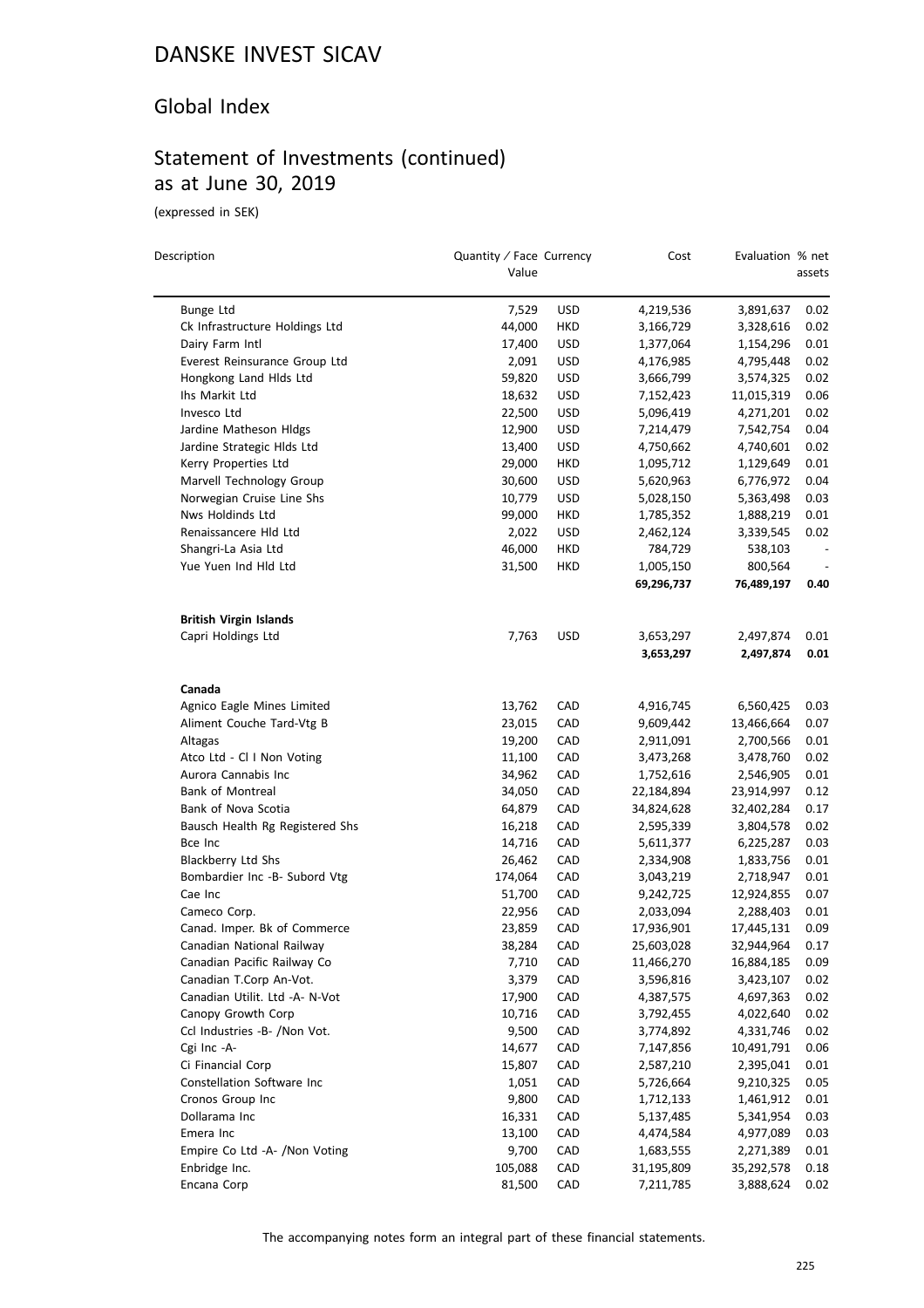### Global Index

## Statement of Investments (continued) as at June 30, 2019

(expressed in SEK)

 $\overline{a}$ 

| Description                     | Quantity / Face Currency<br>Value |            | Cost       | Evaluation % net | assets |
|---------------------------------|-----------------------------------|------------|------------|------------------|--------|
| Bunge Ltd                       | 7,529                             | USD        | 4,219,536  | 3,891,637        | 0.02   |
| Ck Infrastructure Holdings Ltd  | 44,000                            | HKD        | 3,166,729  | 3,328,616        | 0.02   |
| Dairy Farm Intl                 | 17,400                            | USD        | 1,377,064  | 1,154,296        | 0.01   |
| Everest Reinsurance Group Ltd   | 2,091                             | USD        | 4,176,985  | 4,795,448        | 0.02   |
| Hongkong Land Hlds Ltd          | 59,820                            | <b>USD</b> | 3,666,799  | 3,574,325        | 0.02   |
| Ihs Markit Ltd                  | 18,632                            | USD        | 7,152,423  | 11,015,319       | 0.06   |
| Invesco Ltd                     | 22,500                            | USD        | 5,096,419  | 4,271,201        | 0.02   |
| Jardine Matheson Hldgs          | 12,900                            | USD        | 7,214,479  | 7,542,754        | 0.04   |
| Jardine Strategic Hlds Ltd      | 13,400                            | USD        | 4,750,662  | 4,740,601        | 0.02   |
| Kerry Properties Ltd            | 29,000                            | HKD        | 1,095,712  | 1,129,649        | 0.01   |
| Marvell Technology Group        | 30,600                            | <b>USD</b> | 5,620,963  | 6,776,972        | 0.04   |
| Norwegian Cruise Line Shs       | 10,779                            | <b>USD</b> | 5,028,150  | 5,363,498        | 0.03   |
| Nws Holdinds Ltd                | 99,000                            | HKD        | 1,785,352  | 1,888,219        | 0.01   |
| Renaissancere Hld Ltd           | 2,022                             | USD        | 2,462,124  | 3,339,545        | 0.02   |
| Shangri-La Asia Ltd             | 46,000                            | HKD        | 784,729    | 538,103          |        |
| Yue Yuen Ind Hld Ltd            | 31,500                            | HKD        | 1,005,150  | 800,564          |        |
|                                 |                                   |            | 69,296,737 | 76,489,197       | 0.40   |
| <b>British Virgin Islands</b>   |                                   |            |            |                  |        |
| Capri Holdings Ltd              | 7,763                             | <b>USD</b> | 3,653,297  | 2,497,874        | 0.01   |
|                                 |                                   |            | 3,653,297  | 2,497,874        | 0.01   |
| Canada                          |                                   |            |            |                  |        |
| Agnico Eagle Mines Limited      | 13,762                            | CAD        | 4,916,745  | 6,560,425        | 0.03   |
| Aliment Couche Tard-Vtg B       | 23,015                            | CAD        | 9,609,442  | 13,466,664       | 0.07   |
| Altagas                         | 19,200                            | CAD        | 2,911,091  | 2,700,566        | 0.01   |
| Atco Ltd - Cl I Non Voting      | 11,100                            | CAD        | 3,473,268  | 3,478,760        | 0.02   |
| Aurora Cannabis Inc             | 34,962                            | CAD        | 1,752,616  | 2,546,905        | 0.01   |
| <b>Bank of Montreal</b>         | 34,050                            | CAD        | 22,184,894 | 23,914,997       | 0.12   |
| Bank of Nova Scotia             | 64,879                            | CAD        | 34,824,628 | 32,402,284       | 0.17   |
| Bausch Health Rg Registered Shs | 16,218                            | CAD        | 2,595,339  | 3,804,578        | 0.02   |
| Bce Inc                         | 14,716                            | CAD        | 5,611,377  | 6,225,287        | 0.03   |
| Blackberry Ltd Shs              | 26,462                            | CAD        | 2,334,908  | 1,833,756        | 0.01   |
| Bombardier Inc -B- Subord Vtg   | 174,064                           | CAD        | 3,043,219  | 2,718,947        | 0.01   |
| Cae Inc                         | 51,700                            | CAD        | 9,242,725  | 12,924,855       | 0.07   |
| Cameco Corp.                    | 22,956                            | CAD        | 2,033,094  | 2,288,403        | 0.01   |
| Canad. Imper. Bk of Commerce    | 23,859                            | CAD        | 17,936,901 | 17,445,131       | 0.09   |
| Canadian National Railway       | 38,284                            | CAD        | 25,603,028 | 32,944,964       | 0.17   |
| Canadian Pacific Railway Co     | 7,710                             | CAD        | 11,466,270 | 16,884,185       | 0.09   |
| Canadian T.Corp An-Vot.         | 3,379                             | CAD        | 3,596,816  | 3,423,107        | 0.02   |
| Canadian Utilit. Ltd -A- N-Vot  | 17,900                            | CAD        | 4,387,575  | 4,697,363        | 0.02   |
| Canopy Growth Corp              | 10,716                            | CAD        | 3,792,455  | 4,022,640        | 0.02   |
| Ccl Industries -B- /Non Vot.    | 9,500                             | CAD        | 3,774,892  | 4,331,746        | 0.02   |
| Cgi Inc -A-                     | 14,677                            | CAD        | 7,147,856  | 10,491,791       | 0.06   |
| Ci Financial Corp               | 15,807                            | CAD        | 2,587,210  | 2,395,041        | 0.01   |
| Constellation Software Inc      | 1,051                             | CAD        | 5,726,664  | 9,210,325        | 0.05   |
| Cronos Group Inc                | 9,800                             | CAD        | 1,712,133  | 1,461,912        | 0.01   |
| Dollarama Inc                   | 16,331                            | CAD        | 5,137,485  | 5,341,954        | 0.03   |
| Emera Inc                       | 13,100                            | CAD        | 4,474,584  | 4,977,089        | 0.03   |
| Empire Co Ltd -A- /Non Voting   | 9,700                             | CAD        | 1,683,555  | 2,271,389        | 0.01   |
| Enbridge Inc.                   | 105,088                           | CAD        | 31,195,809 | 35,292,578       | 0.18   |
| Encana Corp                     | 81,500                            | CAD        | 7,211,785  | 3,888,624        | 0.02   |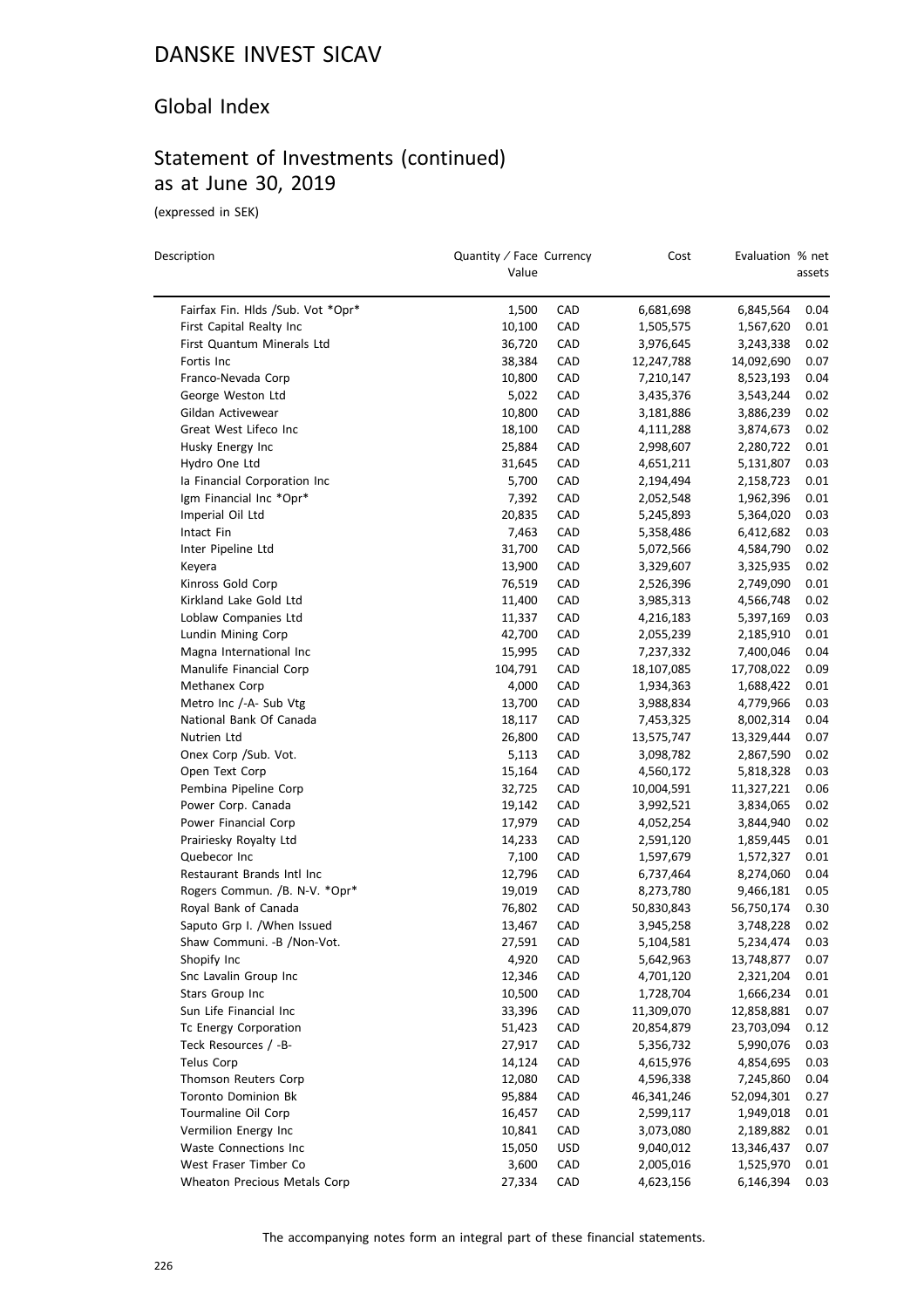#### Global Index

# Statement of Investments (continued) as at June 30, 2019

(expressed in SEK)

| Description                                | Quantity / Face Currency<br>Value |            | Cost       | Evaluation % net | assets       |
|--------------------------------------------|-----------------------------------|------------|------------|------------------|--------------|
| Fairfax Fin. Hlds /Sub. Vot *Opr*          | 1,500                             | CAD        | 6,681,698  | 6,845,564        | 0.04         |
| First Capital Realty Inc                   | 10,100                            | CAD        | 1,505,575  | 1,567,620        | 0.01         |
| First Quantum Minerals Ltd                 | 36,720                            | CAD        | 3,976,645  | 3,243,338        | 0.02         |
| Fortis Inc                                 | 38,384                            | CAD        | 12,247,788 | 14,092,690       | 0.07         |
| Franco-Nevada Corp                         | 10,800                            | CAD        | 7,210,147  | 8,523,193        | 0.04         |
| George Weston Ltd                          | 5,022                             | CAD        | 3,435,376  | 3,543,244        | 0.02         |
| Gildan Activewear                          | 10,800                            | CAD        | 3,181,886  | 3,886,239        | 0.02         |
| Great West Lifeco Inc                      | 18,100                            | CAD        | 4,111,288  | 3,874,673        | 0.02         |
| Husky Energy Inc                           | 25,884                            | CAD        | 2,998,607  | 2,280,722        | 0.01         |
| Hydro One Ltd                              | 31,645                            | CAD        | 4,651,211  | 5,131,807        | 0.03         |
| la Financial Corporation Inc               | 5,700                             | CAD        | 2,194,494  | 2,158,723        | 0.01         |
| Igm Financial Inc *Opr*                    | 7,392                             | CAD        | 2,052,548  | 1,962,396        | 0.01         |
| Imperial Oil Ltd                           | 20,835                            | CAD        | 5,245,893  | 5,364,020        | 0.03         |
| Intact Fin                                 | 7,463                             | CAD        | 5,358,486  | 6,412,682        | 0.03         |
| Inter Pipeline Ltd                         | 31,700                            | CAD        | 5,072,566  | 4,584,790        | 0.02         |
|                                            | 13,900                            | CAD        | 3,329,607  |                  | 0.02         |
| Keyera<br>Kinross Gold Corp                | 76,519                            | CAD        | 2,526,396  | 3,325,935        | 0.01         |
| Kirkland Lake Gold Ltd                     |                                   |            |            | 2,749,090        |              |
|                                            | 11,400                            | CAD        | 3,985,313  | 4,566,748        | 0.02         |
| Loblaw Companies Ltd<br>Lundin Mining Corp | 11,337                            | CAD        | 4,216,183  | 5,397,169        | 0.03<br>0.01 |
|                                            | 42,700                            | CAD        | 2,055,239  | 2,185,910        |              |
| Magna International Inc                    | 15,995                            | CAD        | 7,237,332  | 7,400,046        | 0.04         |
| Manulife Financial Corp                    | 104,791                           | CAD        | 18,107,085 | 17,708,022       | 0.09         |
| Methanex Corp                              | 4,000                             | CAD        | 1,934,363  | 1,688,422        | 0.01         |
| Metro Inc /-A- Sub Vtg                     | 13,700                            | CAD        | 3,988,834  | 4,779,966        | 0.03         |
| National Bank Of Canada                    | 18,117                            | CAD        | 7,453,325  | 8,002,314        | 0.04         |
| Nutrien Ltd                                | 26,800                            | CAD        | 13,575,747 | 13,329,444       | 0.07         |
| Onex Corp / Sub. Vot.                      | 5,113                             | CAD        | 3,098,782  | 2,867,590        | 0.02         |
| Open Text Corp                             | 15,164                            | CAD        | 4,560,172  | 5,818,328        | 0.03         |
| Pembina Pipeline Corp                      | 32,725                            | CAD        | 10,004,591 | 11,327,221       | 0.06         |
| Power Corp. Canada                         | 19,142                            | CAD        | 3,992,521  | 3,834,065        | 0.02         |
| Power Financial Corp                       | 17,979                            | CAD        | 4,052,254  | 3,844,940        | 0.02         |
| Prairiesky Royalty Ltd                     | 14,233                            | CAD        | 2,591,120  | 1,859,445        | 0.01         |
| Quebecor Inc                               | 7,100                             | CAD        | 1,597,679  | 1,572,327        | 0.01         |
| Restaurant Brands Intl Inc                 | 12,796                            | CAD        | 6,737,464  | 8,274,060        | 0.04         |
| Rogers Commun. /B. N-V. *Opr*              | 19,019                            | CAD        | 8,273,780  | 9,466,181        | 0.05         |
| Royal Bank of Canada                       | 76,802                            | CAD        | 50,830,843 | 56,750,174       | 0.30         |
| Saputo Grp I. /When Issued                 | 13,467                            | CAD        | 3,945,258  | 3,748,228        | 0.02         |
| Shaw Communi. - B / Non-Vot.               | 27,591                            | CAD        | 5,104,581  | 5,234,474        | 0.03         |
| Shopify Inc                                | 4,920                             | CAD        | 5,642,963  | 13,748,877       | 0.07         |
| Snc Lavalin Group Inc                      | 12,346                            | CAD        | 4,701,120  | 2,321,204        | 0.01         |
| Stars Group Inc                            | 10,500                            | CAD        | 1,728,704  | 1,666,234        | 0.01         |
| Sun Life Financial Inc                     | 33,396                            | CAD        | 11,309,070 | 12,858,881       | 0.07         |
| Tc Energy Corporation                      | 51,423                            | CAD        | 20,854,879 | 23,703,094       | 0.12         |
| Teck Resources / -B-                       | 27,917                            | CAD        | 5,356,732  | 5,990,076        | 0.03         |
| Telus Corp                                 | 14,124                            | CAD        | 4,615,976  | 4,854,695        | 0.03         |
| Thomson Reuters Corp                       | 12,080                            | CAD        | 4,596,338  | 7,245,860        | 0.04         |
| <b>Toronto Dominion Bk</b>                 | 95,884                            | CAD        | 46,341,246 | 52,094,301       | 0.27         |
| Tourmaline Oil Corp                        | 16,457                            | CAD        | 2,599,117  | 1,949,018        | 0.01         |
| Vermilion Energy Inc                       | 10,841                            | CAD        | 3,073,080  | 2,189,882        | 0.01         |
| Waste Connections Inc                      | 15,050                            | <b>USD</b> | 9,040,012  | 13,346,437       | 0.07         |
| West Fraser Timber Co                      | 3,600                             | CAD        | 2,005,016  | 1,525,970        | 0.01         |
| Wheaton Precious Metals Corp               | 27,334                            | CAD        | 4,623,156  | 6,146,394        | 0.03         |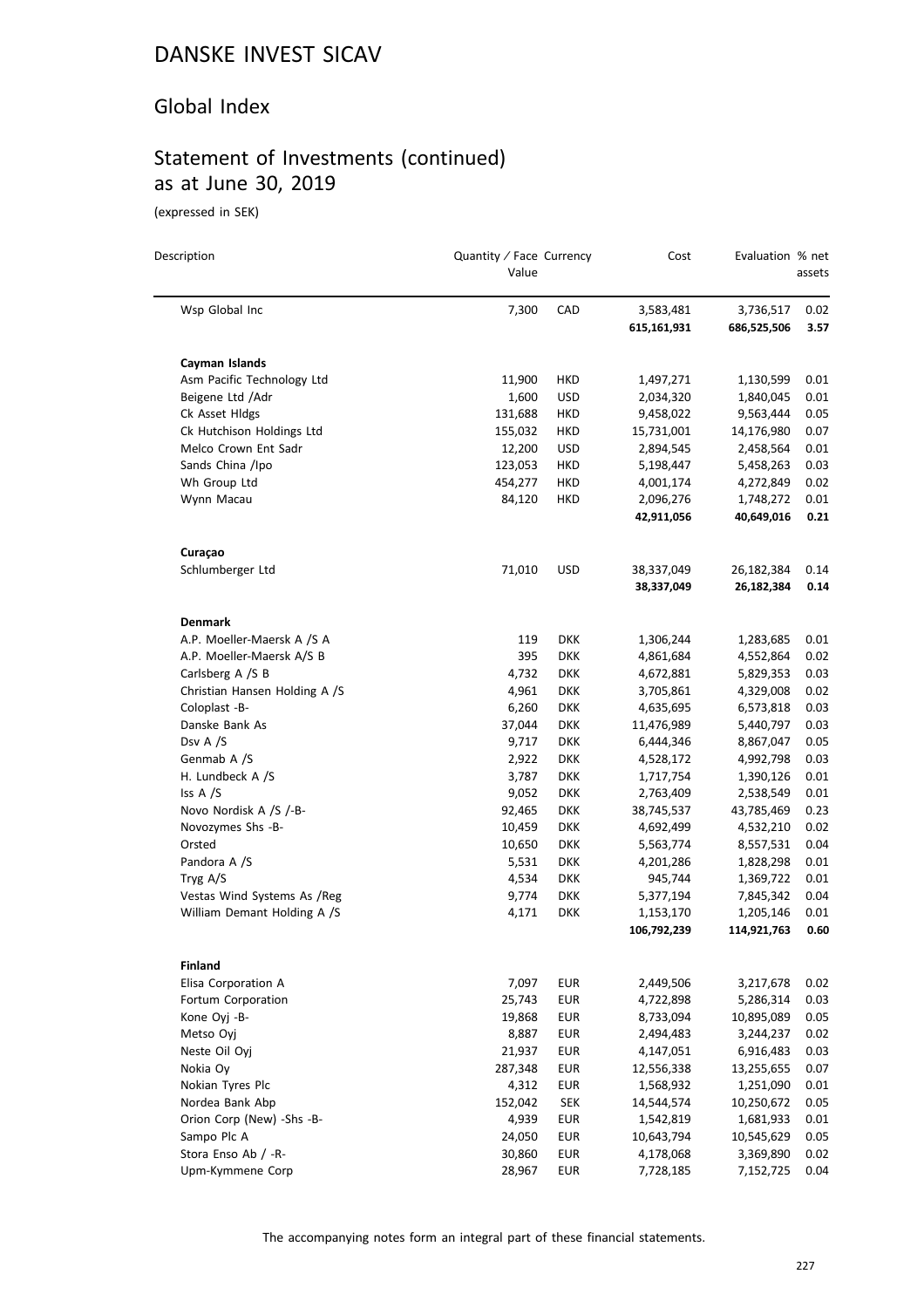#### Global Index

# Statement of Investments (continued) as at June 30, 2019

(expressed in SEK)

 $\overline{a}$ 

| Description                         | Quantity / Face Currency<br>Value |                          | Cost                     | Evaluation % net         | assets       |
|-------------------------------------|-----------------------------------|--------------------------|--------------------------|--------------------------|--------------|
| Wsp Global Inc                      | 7,300                             | CAD                      | 3,583,481<br>615,161,931 | 3,736,517<br>686,525,506 | 0.02<br>3.57 |
| Cayman Islands                      |                                   |                          |                          |                          |              |
| Asm Pacific Technology Ltd          | 11,900                            | HKD                      | 1,497,271                | 1,130,599                | 0.01         |
| Beigene Ltd / Adr                   | 1,600                             | USD                      | 2,034,320                | 1,840,045                | 0.01         |
| Ck Asset Hldgs                      | 131,688                           | HKD                      | 9,458,022                | 9,563,444                | 0.05         |
| Ck Hutchison Holdings Ltd           | 155,032                           | HKD                      | 15,731,001               | 14,176,980               | 0.07         |
| Melco Crown Ent Sadr                | 12,200                            | <b>USD</b>               | 2,894,545                | 2,458,564                | 0.01         |
| Sands China /Ipo                    | 123,053                           | HKD                      | 5,198,447                | 5,458,263                | 0.03         |
| Wh Group Ltd                        | 454,277                           | HKD                      | 4,001,174                | 4,272,849                | 0.02         |
| Wynn Macau                          | 84,120                            | HKD                      | 2,096,276                | 1,748,272                | 0.01         |
|                                     |                                   |                          | 42,911,056               | 40,649,016               | 0.21         |
| Curaçao                             |                                   |                          |                          |                          |              |
| Schlumberger Ltd                    | 71,010                            | USD                      | 38,337,049<br>38,337,049 | 26,182,384<br>26,182,384 | 0.14<br>0.14 |
| <b>Denmark</b>                      |                                   |                          |                          |                          |              |
| A.P. Moeller-Maersk A /S A          | 119                               | <b>DKK</b>               | 1,306,244                | 1,283,685                | 0.01         |
| A.P. Moeller-Maersk A/S B           | 395                               | <b>DKK</b>               | 4,861,684                | 4,552,864                | 0.02         |
| Carlsberg A /S B                    | 4,732                             | <b>DKK</b>               | 4,672,881                | 5,829,353                | 0.03         |
| Christian Hansen Holding A /S       | 4,961                             | <b>DKK</b>               | 3,705,861                | 4,329,008                | 0.02         |
| Coloplast -B-                       | 6,260                             | <b>DKK</b>               | 4,635,695                | 6,573,818                | 0.03         |
| Danske Bank As                      | 37,044                            | <b>DKK</b>               | 11,476,989               | 5,440,797                | 0.03         |
| Dsv A /S                            | 9,717                             | <b>DKK</b>               | 6,444,346                | 8,867,047                | 0.05         |
| Genmab A /S                         | 2,922                             | <b>DKK</b>               | 4,528,172                | 4,992,798                | 0.03         |
| H. Lundbeck A /S                    | 3,787                             | <b>DKK</b>               | 1,717,754                | 1,390,126                | 0.01         |
| Iss A /S                            | 9,052                             | <b>DKK</b>               | 2,763,409                | 2,538,549                | 0.01         |
| Novo Nordisk A /S /-B-              | 92,465                            | <b>DKK</b>               | 38,745,537               | 43,785,469               | 0.23         |
| Novozymes Shs -B-                   | 10,459                            | <b>DKK</b>               | 4,692,499                | 4,532,210                | 0.02         |
| Orsted                              | 10,650                            | <b>DKK</b>               | 5,563,774                | 8,557,531                | 0.04         |
| Pandora A /S                        | 5,531                             | <b>DKK</b>               | 4,201,286                | 1,828,298                | 0.01         |
| Tryg A/S                            | 4,534                             | <b>DKK</b>               | 945,744                  | 1,369,722                | 0.01         |
| Vestas Wind Systems As /Reg         | 9,774                             | <b>DKK</b>               | 5,377,194                | 7,845,342                | 0.04         |
| William Demant Holding A /S         | 4,171                             | <b>DKK</b>               | 1,153,170                | 1,205,146                | 0.01         |
|                                     |                                   |                          | 106,792,239              | 114,921,763              | 0.60         |
| Finland                             |                                   |                          |                          |                          |              |
| Elisa Corporation A                 | 7,097                             | <b>EUR</b>               | 2,449,506                | 3,217,678                | 0.02         |
| Fortum Corporation                  | 25,743                            | <b>EUR</b>               | 4,722,898                | 5,286,314                | 0.03         |
| Kone Ovi -B-                        | 19,868                            | <b>EUR</b>               | 8,733,094                | 10,895,089               | 0.05         |
| Metso Ovi                           | 8,887                             | <b>EUR</b>               | 2,494,483                | 3,244,237                | 0.02         |
| Neste Oil Oyj                       | 21,937                            | <b>EUR</b>               | 4,147,051                | 6,916,483                | 0.03         |
| Nokia Oy                            | 287,348                           | <b>EUR</b>               | 12,556,338               | 13,255,655               | 0.07         |
| Nokian Tyres Plc<br>Nordea Bank Abp | 4,312<br>152,042                  | <b>EUR</b><br><b>SEK</b> | 1,568,932<br>14,544,574  | 1,251,090<br>10,250,672  | 0.01<br>0.05 |
| Orion Corp (New) -Shs -B-           | 4,939                             | <b>EUR</b>               | 1,542,819                | 1,681,933                | 0.01         |
| Sampo Plc A                         | 24,050                            | <b>EUR</b>               | 10,643,794               | 10,545,629               | 0.05         |
| Stora Enso Ab / -R-                 | 30,860                            | <b>EUR</b>               | 4,178,068                | 3,369,890                | 0.02         |
| Upm-Kymmene Corp                    | 28,967                            | EUR                      | 7,728,185                | 7,152,725                | 0.04         |
|                                     |                                   |                          |                          |                          |              |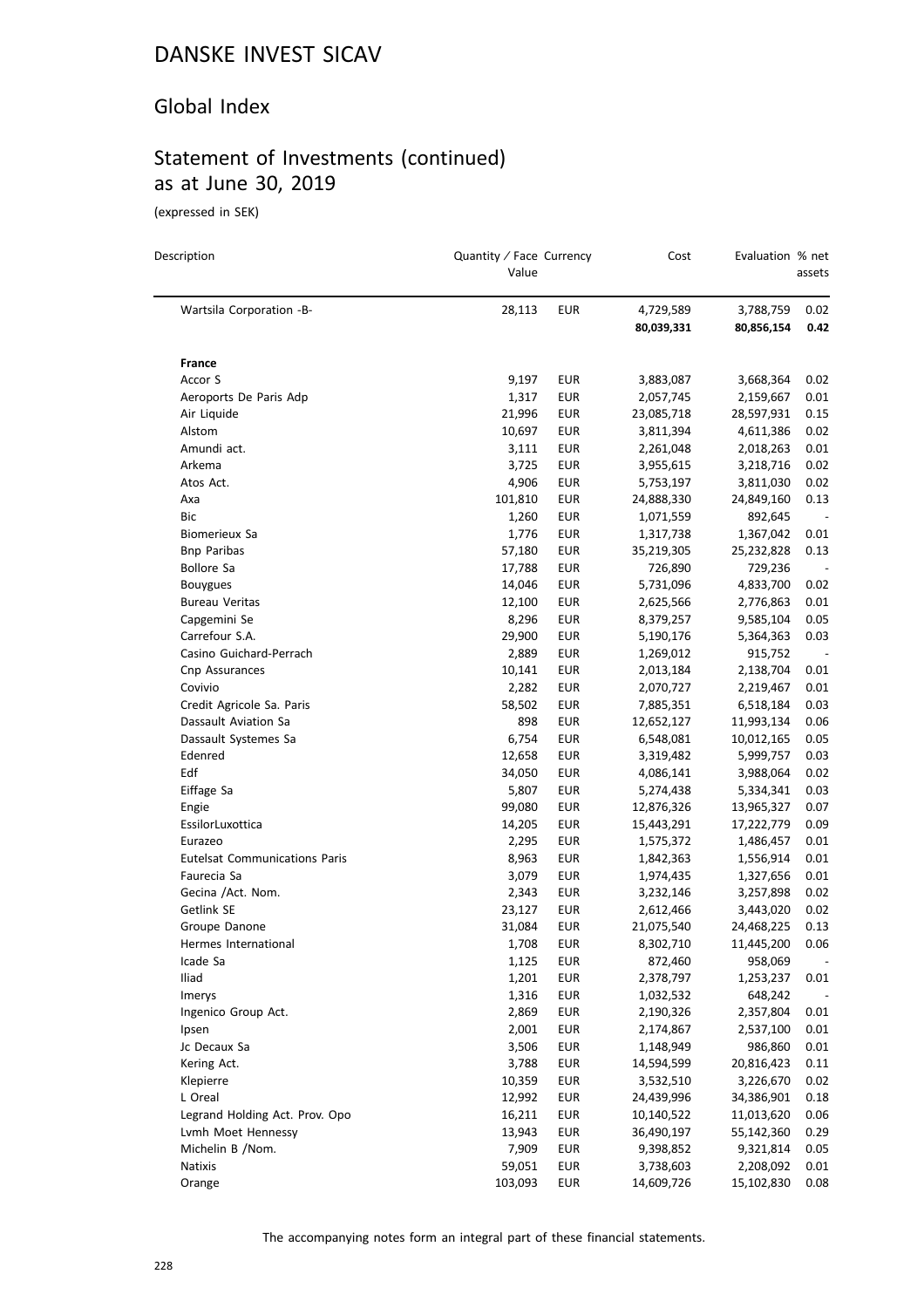#### Global Index

# Statement of Investments (continued) as at June 30, 2019

(expressed in SEK)

| Description                          | Quantity / Face Currency<br>Value |            | Cost                    | Evaluation % net        | assets                   |
|--------------------------------------|-----------------------------------|------------|-------------------------|-------------------------|--------------------------|
| Wartsila Corporation -B-             | 28,113                            | <b>EUR</b> | 4,729,589<br>80,039,331 | 3,788,759<br>80,856,154 | 0.02<br>0.42             |
| France                               |                                   |            |                         |                         |                          |
| Accor S                              | 9,197                             | EUR        | 3,883,087               | 3,668,364               | 0.02                     |
| Aeroports De Paris Adp               | 1,317                             | <b>EUR</b> | 2,057,745               | 2,159,667               | 0.01                     |
| Air Liquide                          | 21,996                            | <b>EUR</b> | 23,085,718              | 28,597,931              | 0.15                     |
| Alstom                               | 10,697                            | EUR        | 3,811,394               | 4,611,386               | 0.02                     |
| Amundi act.                          | 3,111                             | <b>EUR</b> | 2,261,048               | 2,018,263               | 0.01                     |
| Arkema                               | 3,725                             | <b>EUR</b> | 3,955,615               | 3,218,716               | 0.02                     |
| Atos Act.                            | 4,906                             | EUR        | 5,753,197               | 3,811,030               | 0.02                     |
| Axa                                  | 101,810                           | <b>EUR</b> | 24,888,330              | 24,849,160              | 0.13                     |
| Bic                                  | 1,260                             | <b>EUR</b> | 1,071,559               | 892,645                 | $\overline{\phantom{a}}$ |
| Biomerieux Sa                        | 1,776                             | <b>EUR</b> | 1,317,738               | 1,367,042               | 0.01                     |
| <b>Bnp Paribas</b>                   | 57,180                            | <b>EUR</b> | 35,219,305              | 25,232,828              | 0.13                     |
| <b>Bollore Sa</b>                    | 17,788                            | <b>EUR</b> | 726,890                 | 729,236                 |                          |
| <b>Bouygues</b>                      | 14,046                            | <b>EUR</b> | 5,731,096               | 4,833,700               | 0.02                     |
| <b>Bureau Veritas</b>                | 12,100                            | <b>EUR</b> | 2,625,566               | 2,776,863               | 0.01                     |
| Capgemini Se                         | 8,296                             | EUR        | 8,379,257               | 9,585,104               | 0.05                     |
| Carrefour S.A.                       | 29,900                            | EUR        | 5,190,176               | 5,364,363               | 0.03                     |
| Casino Guichard-Perrach              | 2,889                             | <b>EUR</b> | 1,269,012               | 915,752                 | $\sim$                   |
| Cnp Assurances                       | 10,141                            | <b>EUR</b> | 2,013,184               | 2,138,704               | 0.01                     |
| Covivio                              | 2,282                             | EUR        | 2,070,727               | 2,219,467               | 0.01                     |
| Credit Agricole Sa. Paris            | 58,502                            | <b>EUR</b> | 7,885,351               | 6,518,184               | 0.03                     |
| Dassault Aviation Sa                 | 898                               | <b>EUR</b> | 12,652,127              | 11,993,134              | 0.06                     |
| Dassault Systemes Sa                 | 6,754                             | EUR        | 6,548,081               | 10,012,165              | 0.05                     |
| Edenred                              | 12,658                            | <b>EUR</b> | 3,319,482               | 5,999,757               | 0.03                     |
| Edf                                  | 34,050                            | <b>EUR</b> | 4,086,141               | 3,988,064               | 0.02                     |
| Eiffage Sa                           | 5,807                             | EUR        | 5,274,438               | 5,334,341               | 0.03                     |
| Engie                                | 99,080                            | EUR        | 12,876,326              | 13,965,327              | 0.07                     |
| EssilorLuxottica                     | 14,205                            | <b>EUR</b> | 15,443,291              | 17,222,779              | 0.09                     |
| Eurazeo                              | 2,295                             | EUR        | 1,575,372               | 1,486,457               | 0.01                     |
| <b>Eutelsat Communications Paris</b> | 8,963                             | <b>EUR</b> | 1,842,363               | 1,556,914               | 0.01                     |
| Faurecia Sa                          | 3,079                             | EUR        | 1,974,435               | 1,327,656               | 0.01                     |
| Gecina /Act. Nom.                    | 2,343                             | EUR        | 3,232,146               | 3,257,898               | 0.02                     |
| Getlink SE                           | 23,127                            | EUR        | 2,612,466               | 3,443,020               | 0.02                     |
| Groupe Danone                        | 31,084                            | <b>EUR</b> | 21,075,540              | 24,468,225              | 0.13                     |
| Hermes International                 | 1,708                             | <b>EUR</b> | 8,302,710               | 11,445,200              | 0.06                     |
| Icade Sa                             | 1,125                             | EUR        | 872,460                 | 958,069                 |                          |
| Iliad                                | 1,201                             | <b>EUR</b> | 2,378,797               | 1,253,237               | 0.01                     |
| Imerys                               | 1,316                             | <b>EUR</b> | 1,032,532               | 648,242                 |                          |
| Ingenico Group Act.                  | 2,869                             | <b>EUR</b> | 2,190,326               | 2,357,804               | 0.01                     |
| Ipsen                                | 2,001                             | <b>EUR</b> | 2,174,867               | 2,537,100               | 0.01                     |
| Jc Decaux Sa                         | 3,506                             | <b>EUR</b> | 1,148,949               | 986,860                 | 0.01                     |
| Kering Act.                          | 3,788                             | <b>EUR</b> | 14,594,599              | 20,816,423              | 0.11                     |
| Klepierre                            | 10,359                            | <b>EUR</b> | 3,532,510               | 3,226,670               | 0.02                     |
| L Oreal                              | 12,992                            | EUR        | 24,439,996              | 34,386,901              | 0.18                     |
| Legrand Holding Act. Prov. Opo       | 16,211                            | <b>EUR</b> | 10,140,522              | 11,013,620              | 0.06                     |
| Lvmh Moet Hennessy                   | 13,943                            | <b>EUR</b> | 36,490,197              | 55,142,360              | 0.29                     |
| Michelin B /Nom.                     | 7,909                             | EUR        | 9,398,852               | 9,321,814               | 0.05                     |
| Natixis                              | 59,051                            | <b>EUR</b> | 3,738,603               | 2,208,092               | 0.01                     |
| Orange                               | 103,093                           | <b>EUR</b> | 14,609,726              | 15,102,830              | 0.08                     |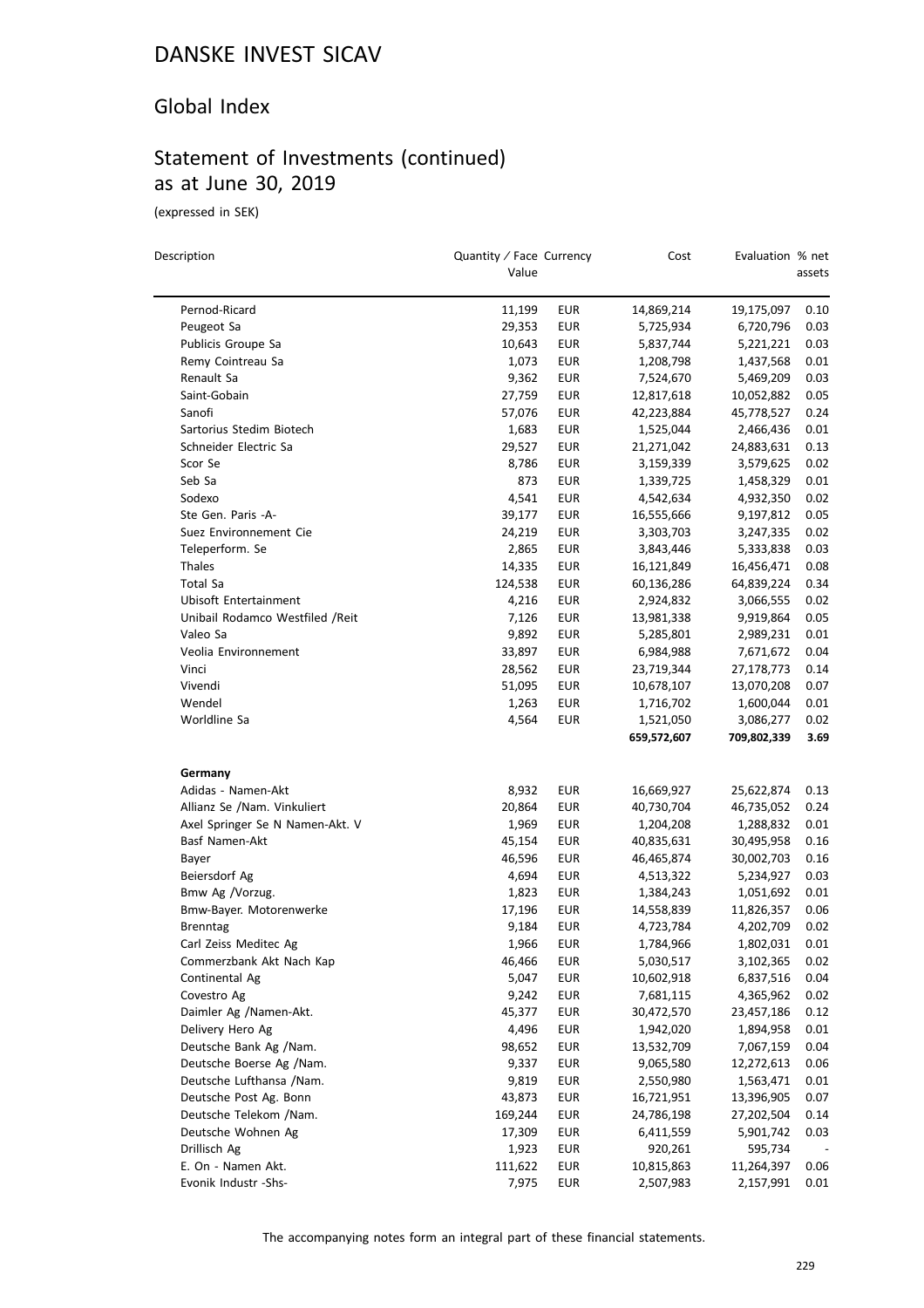### Global Index

## Statement of Investments (continued) as at June 30, 2019

(expressed in SEK)

 $\overline{a}$ 

| Description                      | Quantity / Face Currency<br>Value |            | Cost        | Evaluation % net | assets |
|----------------------------------|-----------------------------------|------------|-------------|------------------|--------|
| Pernod-Ricard                    | 11,199                            | EUR        | 14,869,214  | 19,175,097       | 0.10   |
| Peugeot Sa                       | 29,353                            | <b>EUR</b> | 5,725,934   | 6,720,796        | 0.03   |
| Publicis Groupe Sa               | 10,643                            | EUR        | 5,837,744   | 5,221,221        | 0.03   |
| Remy Cointreau Sa                | 1,073                             | EUR        | 1,208,798   | 1,437,568        | 0.01   |
| Renault Sa                       | 9,362                             | <b>EUR</b> | 7,524,670   | 5,469,209        | 0.03   |
| Saint-Gobain                     | 27,759                            | <b>EUR</b> | 12,817,618  | 10,052,882       | 0.05   |
| Sanofi                           | 57,076                            | <b>EUR</b> | 42,223,884  | 45,778,527       | 0.24   |
| Sartorius Stedim Biotech         | 1,683                             | EUR        | 1,525,044   | 2,466,436        | 0.01   |
| Schneider Electric Sa            | 29,527                            | <b>EUR</b> | 21,271,042  | 24,883,631       | 0.13   |
| Scor Se                          | 8,786                             | EUR        | 3,159,339   | 3,579,625        | 0.02   |
| Seb Sa                           | 873                               | <b>EUR</b> | 1,339,725   | 1,458,329        | 0.01   |
| Sodexo                           | 4,541                             | EUR        | 4,542,634   | 4,932,350        | 0.02   |
| Ste Gen. Paris -A-               | 39,177                            | EUR        | 16,555,666  | 9,197,812        | 0.05   |
| Suez Environnement Cie           | 24,219                            | <b>EUR</b> | 3,303,703   | 3,247,335        | 0.02   |
| Teleperform. Se                  | 2,865                             | EUR        | 3,843,446   | 5,333,838        | 0.03   |
| Thales                           | 14,335                            | EUR        | 16,121,849  | 16,456,471       | 0.08   |
| Total Sa                         | 124,538                           | <b>EUR</b> | 60,136,286  | 64,839,224       | 0.34   |
| Ubisoft Entertainment            | 4,216                             | <b>EUR</b> | 2,924,832   | 3,066,555        | 0.02   |
| Unibail Rodamco Westfiled / Reit | 7,126                             | <b>EUR</b> | 13,981,338  | 9,919,864        | 0.05   |
| Valeo Sa                         | 9,892                             | EUR        | 5,285,801   | 2,989,231        | 0.01   |
| Veolia Environnement             | 33,897                            | EUR        | 6,984,988   | 7,671,672        | 0.04   |
| Vinci                            | 28,562                            | <b>EUR</b> | 23,719,344  | 27,178,773       | 0.14   |
| Vivendi                          | 51,095                            | <b>EUR</b> | 10,678,107  | 13,070,208       | 0.07   |
| Wendel                           | 1,263                             | <b>EUR</b> | 1,716,702   | 1,600,044        | 0.01   |
| Worldline Sa                     | 4,564                             | EUR        | 1,521,050   | 3,086,277        | 0.02   |
|                                  |                                   |            | 659,572,607 | 709,802,339      | 3.69   |
| Germany                          |                                   |            |             |                  |        |
| Adidas - Namen-Akt               | 8,932                             | EUR        | 16,669,927  | 25,622,874       | 0.13   |
| Allianz Se /Nam. Vinkuliert      | 20,864                            | <b>EUR</b> | 40,730,704  | 46,735,052       | 0.24   |
| Axel Springer Se N Namen-Akt. V  | 1,969                             | <b>EUR</b> | 1,204,208   | 1,288,832        | 0.01   |
| Basf Namen-Akt                   | 45,154                            | EUR        | 40,835,631  | 30,495,958       | 0.16   |
| Bayer                            | 46,596                            | EUR        | 46,465,874  | 30,002,703       | 0.16   |
| Beiersdorf Ag                    | 4,694                             | <b>EUR</b> | 4,513,322   | 5,234,927        | 0.03   |
| Bmw Ag /Vorzug.                  | 1,823                             | EUR        | 1,384,243   | 1,051,692        | 0.01   |
| Bmw-Bayer. Motorenwerke          | 17,196                            | EUR        | 14,558,839  | 11,826,357       | 0.06   |
| <b>Brenntag</b>                  | 9,184                             | EUR        | 4,723,784   | 4,202,709        | 0.02   |
| Carl Zeiss Meditec Ag            | 1,966                             | <b>EUR</b> | 1,784,966   | 1,802,031        | 0.01   |
| Commerzbank Akt Nach Kap         | 46,466                            | EUR        | 5,030,517   | 3,102,365        | 0.02   |
| Continental Ag                   | 5,047                             | <b>EUR</b> | 10,602,918  | 6,837,516        | 0.04   |
| Covestro Ag                      | 9,242                             | <b>EUR</b> | 7,681,115   | 4,365,962        | 0.02   |
| Daimler Ag /Namen-Akt.           | 45,377                            | EUR        | 30,472,570  | 23,457,186       | 0.12   |
| Delivery Hero Ag                 | 4,496                             | <b>EUR</b> | 1,942,020   | 1,894,958        | 0.01   |
| Deutsche Bank Ag /Nam.           | 98,652                            | <b>EUR</b> | 13,532,709  | 7,067,159        | 0.04   |
| Deutsche Boerse Ag /Nam.         | 9,337                             | EUR        | 9,065,580   | 12,272,613       | 0.06   |
| Deutsche Lufthansa /Nam.         | 9,819                             | <b>EUR</b> | 2,550,980   | 1,563,471        | 0.01   |
| Deutsche Post Ag. Bonn           | 43,873                            | <b>EUR</b> | 16,721,951  | 13,396,905       | 0.07   |
| Deutsche Telekom /Nam.           | 169,244                           | EUR        | 24,786,198  | 27,202,504       | 0.14   |
| Deutsche Wohnen Ag               | 17,309                            | <b>EUR</b> | 6,411,559   | 5,901,742        | 0.03   |
| Drillisch Ag                     | 1,923                             | <b>EUR</b> | 920,261     | 595,734          |        |
| E. On - Namen Akt.               | 111,622                           | <b>EUR</b> | 10,815,863  | 11,264,397       | 0.06   |
| Evonik Industr -Shs-             | 7,975                             | <b>EUR</b> | 2,507,983   | 2,157,991        | 0.01   |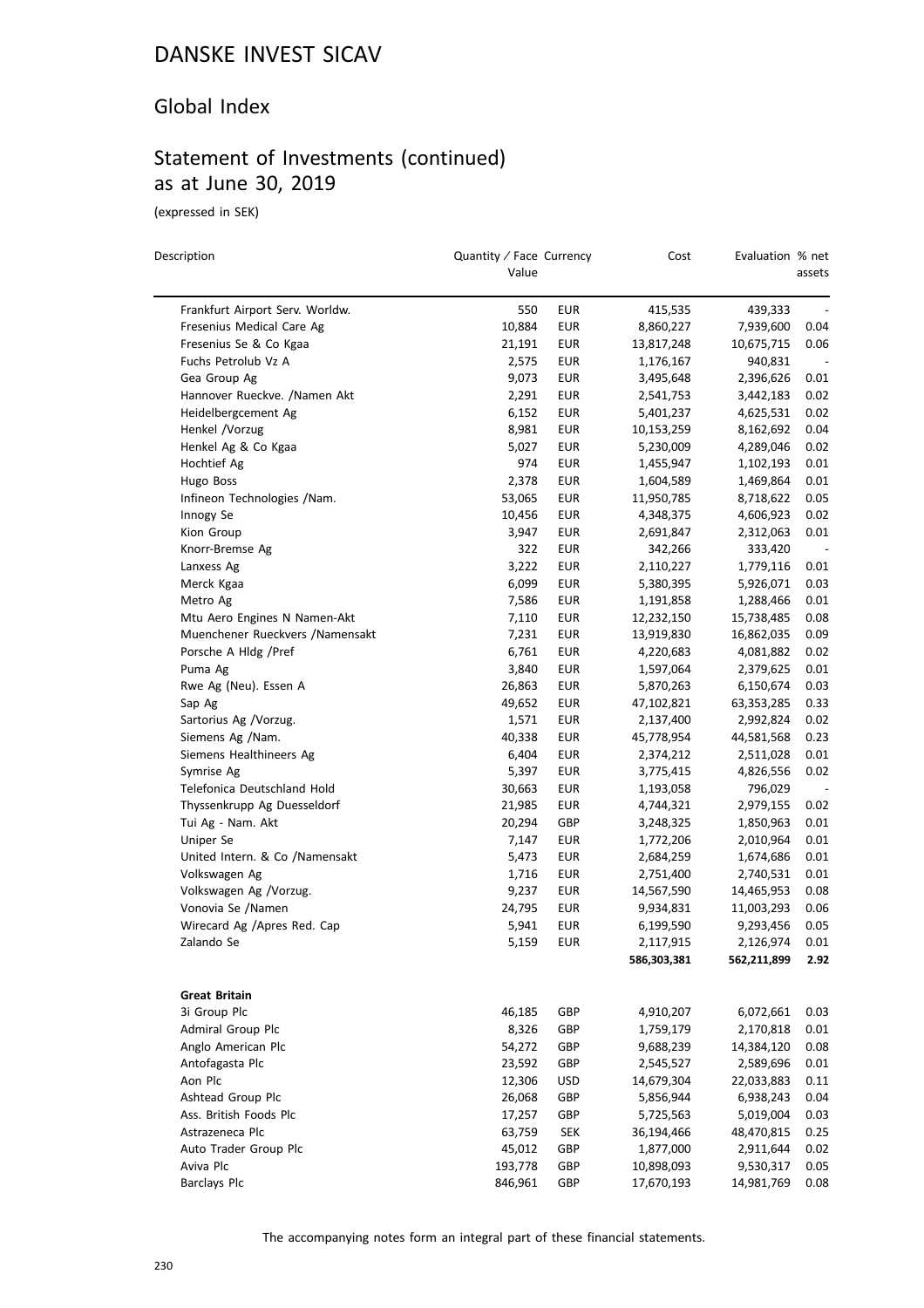### Global Index

# Statement of Investments (continued) as at June 30, 2019

(expressed in SEK)

| Description                      | Quantity / Face Currency<br>Value |            | Cost        | Evaluation % net | assets                       |
|----------------------------------|-----------------------------------|------------|-------------|------------------|------------------------------|
| Frankfurt Airport Serv. Worldw.  | 550                               | <b>EUR</b> | 415,535     | 439,333          | $\qquad \qquad \blacksquare$ |
| Fresenius Medical Care Ag        | 10,884                            | EUR        | 8,860,227   | 7,939,600        | 0.04                         |
| Fresenius Se & Co Kgaa           | 21,191                            | EUR        | 13,817,248  | 10,675,715       | 0.06                         |
| Fuchs Petrolub Vz A              | 2,575                             | <b>EUR</b> | 1,176,167   | 940,831          | $\overline{\phantom{m}}$     |
| Gea Group Ag                     | 9,073                             | EUR        | 3,495,648   | 2,396,626        | 0.01                         |
| Hannover Rueckve. /Namen Akt     | 2,291                             | <b>EUR</b> | 2,541,753   | 3,442,183        | 0.02                         |
| Heidelbergcement Ag              | 6,152                             | <b>EUR</b> | 5,401,237   | 4,625,531        | 0.02                         |
| Henkel /Vorzug                   | 8,981                             | <b>EUR</b> | 10,153,259  | 8,162,692        | 0.04                         |
| Henkel Ag & Co Kgaa              | 5,027                             | <b>EUR</b> | 5,230,009   | 4,289,046        | 0.02                         |
| Hochtief Ag                      | 974                               | EUR        | 1,455,947   | 1,102,193        | 0.01                         |
| Hugo Boss                        | 2,378                             | EUR        | 1,604,589   | 1,469,864        | 0.01                         |
| Infineon Technologies /Nam.      | 53,065                            | <b>EUR</b> | 11,950,785  | 8,718,622        | 0.05                         |
| Innogy Se                        | 10,456                            | <b>EUR</b> | 4,348,375   | 4,606,923        | 0.02                         |
| Kion Group                       | 3,947                             | EUR        | 2,691,847   | 2,312,063        | 0.01                         |
| Knorr-Bremse Ag                  | 322                               | <b>EUR</b> | 342,266     | 333,420          | $\overline{\phantom{a}}$     |
| Lanxess Ag                       | 3,222                             | <b>EUR</b> | 2,110,227   | 1,779,116        | 0.01                         |
| Merck Kgaa                       | 6,099                             | <b>EUR</b> | 5,380,395   | 5,926,071        | 0.03                         |
| Metro Ag                         | 7,586                             | <b>EUR</b> | 1,191,858   | 1,288,466        | 0.01                         |
| Mtu Aero Engines N Namen-Akt     | 7,110                             | <b>EUR</b> | 12,232,150  | 15,738,485       | 0.08                         |
| Muenchener Rueckvers / Namensakt | 7,231                             | <b>EUR</b> | 13,919,830  | 16,862,035       | 0.09                         |
| Porsche A Hldg /Pref             | 6,761                             | <b>EUR</b> | 4,220,683   | 4,081,882        | 0.02                         |
| Puma Ag                          | 3,840                             | EUR        | 1,597,064   | 2,379,625        | 0.01                         |
| Rwe Ag (Neu). Essen A            | 26,863                            | <b>EUR</b> | 5,870,263   | 6,150,674        | 0.03                         |
| Sap Ag                           | 49,652                            | <b>EUR</b> | 47,102,821  | 63,353,285       | 0.33                         |
| Sartorius Ag /Vorzug.            | 1,571                             | <b>EUR</b> | 2,137,400   | 2,992,824        | 0.02                         |
| Siemens Ag /Nam.                 | 40,338                            | EUR        | 45,778,954  | 44,581,568       | 0.23                         |
| Siemens Healthineers Ag          | 6,404                             | <b>EUR</b> | 2,374,212   | 2,511,028        | 0.01                         |
| Symrise Ag                       | 5,397                             | EUR        | 3,775,415   | 4,826,556        | 0.02                         |
| Telefonica Deutschland Hold      | 30,663                            | <b>EUR</b> | 1,193,058   | 796,029          |                              |
| Thyssenkrupp Ag Duesseldorf      | 21,985                            | <b>EUR</b> | 4,744,321   | 2,979,155        | 0.02                         |
| Tui Ag - Nam. Akt                | 20,294                            | GBP        | 3,248,325   | 1,850,963        | 0.01                         |
| Uniper Se                        | 7,147                             | EUR        | 1,772,206   | 2,010,964        | 0.01                         |
| United Intern. & Co /Namensakt   | 5,473                             | <b>EUR</b> | 2,684,259   | 1,674,686        | 0.01                         |
| Volkswagen Ag                    | 1,716                             | EUR        | 2,751,400   | 2,740,531        | 0.01                         |
| Volkswagen Ag /Vorzug.           | 9,237                             | EUR        | 14,567,590  | 14,465,953       | 0.08                         |
| Vonovia Se /Namen                | 24,795                            | <b>EUR</b> | 9,934,831   | 11,003,293       | 0.06                         |
| Wirecard Ag /Apres Red. Cap      | 5,941                             | EUR        | 6,199,590   | 9,293,456        | 0.05                         |
| Zalando Se                       | 5,159                             | <b>EUR</b> | 2,117,915   | 2,126,974        | 0.01                         |
|                                  |                                   |            | 586,303,381 | 562,211,899      | 2.92                         |
| <b>Great Britain</b>             |                                   |            |             |                  |                              |
| 3i Group Plc                     | 46,185                            | GBP        | 4,910,207   | 6,072,661        | 0.03                         |
| Admiral Group Plc                | 8,326                             | GBP        | 1,759,179   | 2,170,818        | 0.01                         |
| Anglo American Plc               | 54,272                            | GBP        | 9,688,239   | 14,384,120       | 0.08                         |
| Antofagasta Plc                  | 23,592                            | GBP        | 2,545,527   | 2,589,696        | 0.01                         |
| Aon Plc                          | 12,306                            | <b>USD</b> | 14,679,304  | 22,033,883       | 0.11                         |
| Ashtead Group Plc                | 26,068                            | GBP        | 5,856,944   | 6,938,243        | 0.04                         |
| Ass. British Foods Plc           | 17,257                            | GBP        | 5,725,563   | 5,019,004        | 0.03                         |
| Astrazeneca Plc                  | 63,759                            | <b>SEK</b> | 36,194,466  | 48,470,815       | 0.25                         |
| Auto Trader Group Plc            | 45,012                            | GBP        | 1,877,000   | 2,911,644        | 0.02                         |
| Aviva Plc                        | 193,778                           | GBP        | 10,898,093  | 9,530,317        | 0.05                         |
| Barclays Plc                     | 846,961                           | GBP        | 17,670,193  | 14,981,769       | 0.08                         |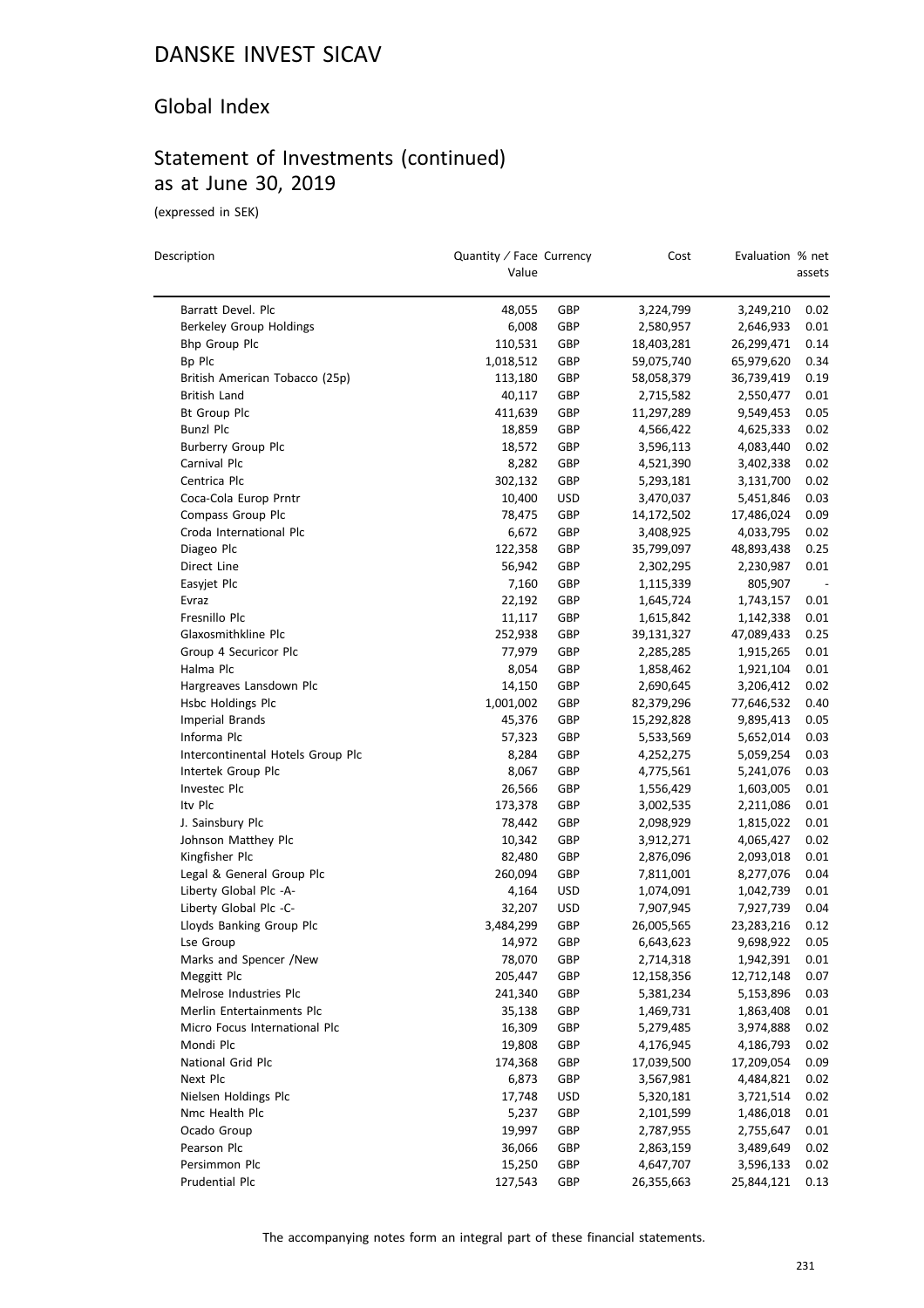#### Global Index

## Statement of Investments (continued) as at June 30, 2019

(expressed in SEK)

| Description                       | Quantity / Face Currency<br>Value |            | Cost       | Evaluation % net | assets |
|-----------------------------------|-----------------------------------|------------|------------|------------------|--------|
| Barratt Devel. Plc                | 48,055                            | GBP        | 3,224,799  | 3,249,210        | 0.02   |
| Berkeley Group Holdings           | 6,008                             | GBP        | 2,580,957  | 2,646,933        | 0.01   |
| Bhp Group Plc                     | 110,531                           | GBP        | 18,403,281 | 26,299,471       | 0.14   |
| Bp Plc                            | 1,018,512                         | GBP        | 59,075,740 | 65,979,620       | 0.34   |
| British American Tobacco (25p)    | 113,180                           | GBP        | 58,058,379 | 36,739,419       | 0.19   |
| British Land                      | 40,117                            | GBP        | 2,715,582  | 2,550,477        | 0.01   |
| <b>Bt Group Plc</b>               | 411,639                           | GBP        | 11,297,289 | 9,549,453        | 0.05   |
| Bunzl Plc                         | 18,859                            | GBP        | 4,566,422  | 4,625,333        | 0.02   |
| Burberry Group Plc                | 18,572                            | GBP        | 3,596,113  | 4,083,440        | 0.02   |
| Carnival Plc                      | 8,282                             | GBP        | 4,521,390  | 3,402,338        | 0.02   |
| Centrica Plc                      | 302,132                           | GBP        | 5,293,181  | 3,131,700        | 0.02   |
| Coca-Cola Europ Prntr             | 10,400                            | <b>USD</b> | 3,470,037  | 5,451,846        | 0.03   |
| Compass Group Plc                 | 78,475                            | GBP        | 14,172,502 | 17,486,024       | 0.09   |
| Croda International Plc           | 6,672                             | GBP        | 3,408,925  | 4,033,795        | 0.02   |
| Diageo Plc                        | 122,358                           | GBP        | 35,799,097 | 48,893,438       | 0.25   |
| Direct Line                       | 56,942                            | GBP        | 2,302,295  | 2,230,987        | 0.01   |
| Easyjet Plc                       | 7,160                             | GBP        | 1,115,339  | 805,907          |        |
| Evraz                             | 22,192                            | GBP        | 1,645,724  | 1,743,157        | 0.01   |
| Fresnillo Plc                     | 11,117                            | GBP        | 1,615,842  | 1,142,338        | 0.01   |
| Glaxosmithkline Plc               | 252,938                           | GBP        | 39,131,327 | 47,089,433       | 0.25   |
| Group 4 Securicor Plc             | 77,979                            | GBP        | 2,285,285  | 1,915,265        | 0.01   |
| Halma Plc                         | 8,054                             | GBP        | 1,858,462  | 1,921,104        | 0.01   |
| Hargreaves Lansdown Plc           | 14,150                            | GBP        | 2,690,645  | 3,206,412        | 0.02   |
| Hsbc Holdings Plc                 | 1,001,002                         | GBP        | 82,379,296 | 77,646,532       | 0.40   |
| <b>Imperial Brands</b>            | 45,376                            | GBP        | 15,292,828 | 9,895,413        | 0.05   |
| Informa Plc                       | 57,323                            | GBP        | 5,533,569  | 5,652,014        | 0.03   |
| Intercontinental Hotels Group Plc | 8,284                             | GBP        | 4,252,275  | 5,059,254        | 0.03   |
| Intertek Group Plc                | 8,067                             | GBP        | 4,775,561  | 5,241,076        | 0.03   |
| Investec Plc                      | 26,566                            | GBP        | 1,556,429  | 1,603,005        | 0.01   |
| Itv Plc                           | 173,378                           | GBP        | 3,002,535  | 2,211,086        | 0.01   |
| J. Sainsbury Plc                  | 78,442                            | GBP        | 2,098,929  | 1,815,022        | 0.01   |
| Johnson Matthey Plc               | 10,342                            | GBP        | 3,912,271  | 4,065,427        | 0.02   |
| Kingfisher Plc                    | 82,480                            | GBP        | 2,876,096  | 2,093,018        | 0.01   |
| Legal & General Group Plc         | 260,094                           | GBP        | 7,811,001  | 8,277,076        | 0.04   |
| Liberty Global Plc -A-            | 4,164                             | <b>USD</b> | 1,074,091  | 1,042,739        | 0.01   |
| Liberty Global Plc -C-            | 32,207                            | <b>USD</b> | 7,907,945  | 7,927,739        | 0.04   |
| Lloyds Banking Group Plc          | 3,484,299                         | GBP        | 26,005,565 | 23,283,216       | 0.12   |
| Lse Group                         | 14,972                            | GBP        | 6,643,623  | 9,698,922        | 0.05   |
| Marks and Spencer /New            | 78,070                            | GBP        | 2,714,318  | 1,942,391        | 0.01   |
| Meggitt Plc                       | 205,447                           | GBP        | 12,158,356 | 12,712,148       | 0.07   |
| Melrose Industries Plc            | 241,340                           | GBP        | 5,381,234  | 5,153,896        | 0.03   |
| Merlin Entertainments Plc         | 35,138                            | GBP        | 1,469,731  | 1,863,408        | 0.01   |
| Micro Focus International Plc     | 16,309                            | GBP        | 5,279,485  | 3,974,888        | 0.02   |
| Mondi Plc                         | 19,808                            | GBP        | 4,176,945  | 4,186,793        | 0.02   |
| National Grid Plc                 | 174,368                           | GBP        | 17,039,500 | 17,209,054       | 0.09   |
| Next Plc                          | 6,873                             | GBP        | 3,567,981  | 4,484,821        | 0.02   |
| Nielsen Holdings Plc              | 17,748                            | <b>USD</b> | 5,320,181  | 3,721,514        | 0.02   |
| Nmc Health Plc                    | 5,237                             | GBP        | 2,101,599  | 1,486,018        | 0.01   |
| Ocado Group                       | 19,997                            | GBP        | 2,787,955  | 2,755,647        | 0.01   |
| Pearson Plc                       | 36,066                            | GBP        | 2,863,159  | 3,489,649        | 0.02   |
| Persimmon Plc                     | 15,250                            | GBP        | 4,647,707  | 3,596,133        | 0.02   |
| Prudential Plc                    | 127,543                           | GBP        | 26,355,663 | 25,844,121       | 0.13   |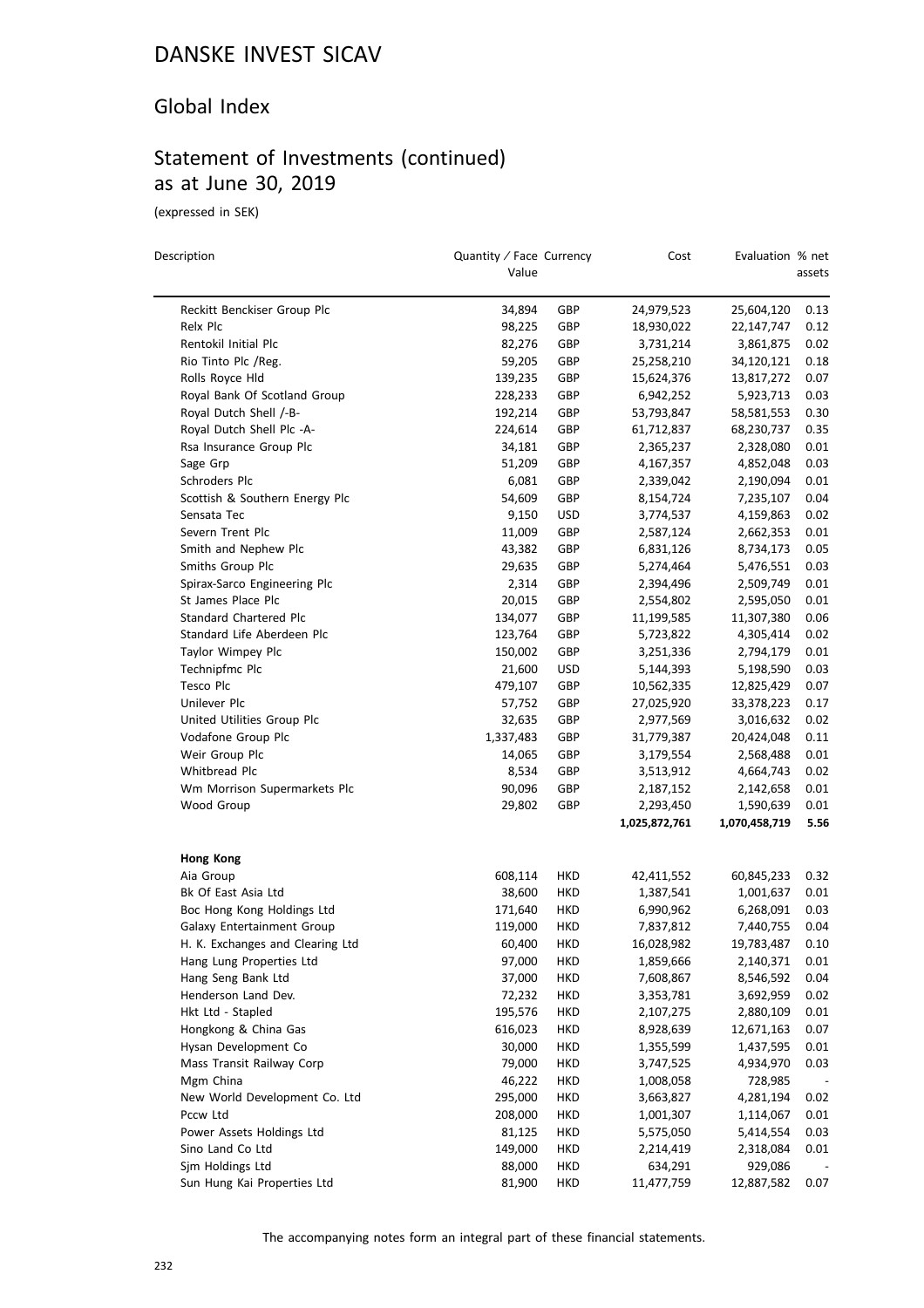### Global Index

# Statement of Investments (continued) as at June 30, 2019

(expressed in SEK)

| Description                      | Quantity / Face Currency<br>Value |            | Cost          | Evaluation % net | assets |
|----------------------------------|-----------------------------------|------------|---------------|------------------|--------|
|                                  |                                   |            |               |                  |        |
| Reckitt Benckiser Group Plc      | 34,894                            | GBP        | 24,979,523    | 25,604,120       | 0.13   |
| Relx Plc                         | 98,225                            | GBP        | 18,930,022    | 22,147,747       | 0.12   |
| Rentokil Initial Plc             | 82,276                            | GBP        | 3,731,214     | 3,861,875        | 0.02   |
| Rio Tinto Plc /Reg.              | 59,205                            | GBP        | 25,258,210    | 34,120,121       | 0.18   |
| Rolls Royce Hld                  | 139,235                           | GBP        | 15,624,376    | 13,817,272       | 0.07   |
| Royal Bank Of Scotland Group     | 228,233                           | GBP        | 6,942,252     | 5,923,713        | 0.03   |
| Royal Dutch Shell /-B-           | 192,214                           | GBP        | 53,793,847    | 58,581,553       | 0.30   |
| Royal Dutch Shell Plc -A-        | 224,614                           | GBP        | 61,712,837    | 68,230,737       | 0.35   |
| Rsa Insurance Group Plc          | 34,181                            | GBP        | 2,365,237     | 2,328,080        | 0.01   |
| Sage Grp                         | 51,209                            | GBP        | 4,167,357     | 4,852,048        | 0.03   |
| Schroders Plc                    | 6,081                             | GBP        | 2,339,042     | 2,190,094        | 0.01   |
| Scottish & Southern Energy Plc   | 54,609                            | GBP        | 8,154,724     | 7,235,107        | 0.04   |
| Sensata Tec                      | 9,150                             | <b>USD</b> | 3,774,537     | 4,159,863        | 0.02   |
| Severn Trent Plc                 | 11,009                            | GBP        | 2,587,124     | 2,662,353        | 0.01   |
| Smith and Nephew Plc             | 43,382                            | GBP        | 6,831,126     | 8,734,173        | 0.05   |
| Smiths Group Plc                 | 29,635                            | GBP        | 5,274,464     | 5,476,551        | 0.03   |
| Spirax-Sarco Engineering Plc     | 2,314                             | GBP        | 2,394,496     | 2,509,749        | 0.01   |
| St James Place Plc               | 20,015                            | GBP        | 2,554,802     | 2,595,050        | 0.01   |
| Standard Chartered Plc           | 134,077                           | GBP        | 11,199,585    | 11,307,380       | 0.06   |
| Standard Life Aberdeen Plc       | 123,764                           | GBP        | 5,723,822     | 4,305,414        | 0.02   |
| Taylor Wimpey Plc                | 150,002                           | GBP        | 3,251,336     | 2,794,179        | 0.01   |
| Technipfmc Plc                   | 21,600                            | <b>USD</b> | 5,144,393     | 5,198,590        | 0.03   |
| Tesco Plc                        | 479,107                           | GBP        | 10,562,335    | 12,825,429       | 0.07   |
| Unilever Plc                     | 57,752                            | GBP        | 27,025,920    | 33,378,223       | 0.17   |
| United Utilities Group Plc       | 32,635                            | GBP        | 2,977,569     | 3,016,632        | 0.02   |
| Vodafone Group Plc               | 1,337,483                         | GBP        | 31,779,387    | 20,424,048       | 0.11   |
| Weir Group Plc                   | 14,065                            | GBP        | 3,179,554     | 2,568,488        | 0.01   |
| Whitbread Plc                    | 8,534                             | GBP        | 3,513,912     | 4,664,743        | 0.02   |
| Wm Morrison Supermarkets Plc     | 90,096                            | GBP        | 2,187,152     | 2,142,658        | 0.01   |
| Wood Group                       | 29,802                            | GBP        | 2,293,450     | 1,590,639        | 0.01   |
|                                  |                                   |            | 1,025,872,761 | 1,070,458,719    | 5.56   |
| <b>Hong Kong</b>                 |                                   |            |               |                  |        |
| Aia Group                        | 608,114                           | HKD        | 42,411,552    | 60,845,233       | 0.32   |
| Bk Of East Asia Ltd              | 38,600                            | HKD        | 1,387,541     | 1,001,637        | 0.01   |
| Boc Hong Kong Holdings Ltd       | 171,640                           | HKD        | 6,990,962     | 6,268,091        | 0.03   |
| Galaxy Entertainment Group       | 119,000                           | <b>HKD</b> | 7,837,812     | 7,440,755        | 0.04   |
| H. K. Exchanges and Clearing Ltd | 60,400                            | <b>HKD</b> | 16,028,982    | 19,783,487       | 0.10   |
| Hang Lung Properties Ltd         | 97,000                            | HKD        | 1,859,666     | 2,140,371        | 0.01   |
| Hang Seng Bank Ltd               | 37,000                            | HKD        | 7,608,867     | 8,546,592        | 0.04   |
| Henderson Land Dev.              | 72,232                            | <b>HKD</b> | 3,353,781     | 3,692,959        | 0.02   |
| Hkt Ltd - Stapled                | 195,576                           | HKD        | 2,107,275     | 2,880,109        | 0.01   |
| Hongkong & China Gas             | 616,023                           | HKD        | 8,928,639     | 12,671,163       | 0.07   |
| Hysan Development Co             | 30,000                            | HKD        | 1,355,599     | 1,437,595        | 0.01   |
| Mass Transit Railway Corp        | 79,000                            | HKD        | 3,747,525     | 4,934,970        | 0.03   |
| Mgm China                        | 46,222                            | HKD        | 1,008,058     | 728,985          |        |
| New World Development Co. Ltd    | 295,000                           | <b>HKD</b> | 3,663,827     | 4,281,194        | 0.02   |
| Pccw Ltd                         | 208,000                           | <b>HKD</b> | 1,001,307     | 1,114,067        | 0.01   |
| Power Assets Holdings Ltd        | 81,125                            | <b>HKD</b> | 5,575,050     | 5,414,554        | 0.03   |
| Sino Land Co Ltd                 | 149,000                           | <b>HKD</b> | 2,214,419     | 2,318,084        | 0.01   |
| Sjm Holdings Ltd                 | 88,000                            | <b>HKD</b> | 634,291       | 929,086          |        |
| Sun Hung Kai Properties Ltd      | 81,900                            | <b>HKD</b> | 11,477,759    | 12,887,582       | 0.07   |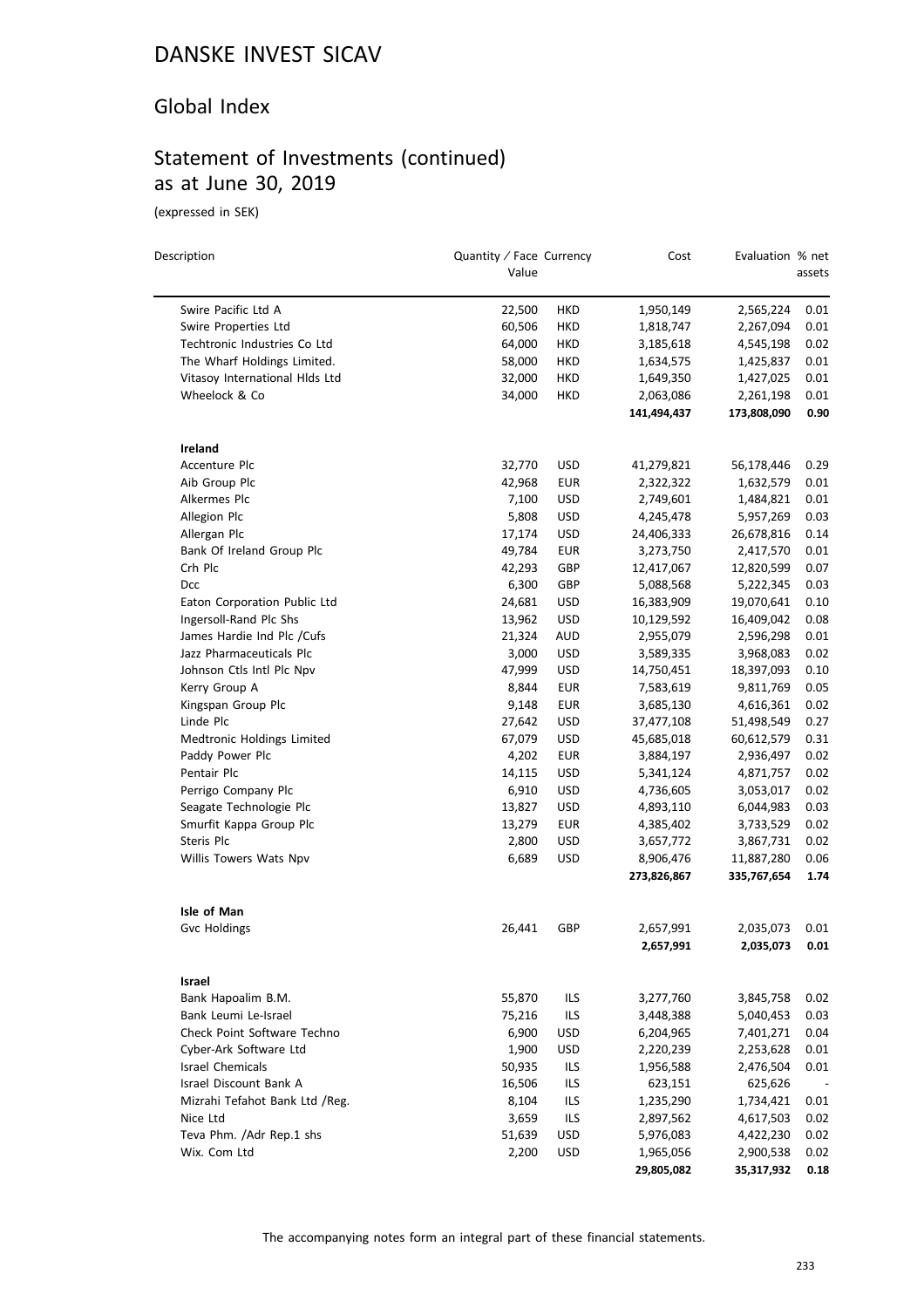### Global Index

# Statement of Investments (continued) as at June 30, 2019

(expressed in SEK)

 $\overline{a}$ 

| Description                    | Quantity / Face Currency<br>Value |            | Cost                     | Evaluation % net          | assets       |
|--------------------------------|-----------------------------------|------------|--------------------------|---------------------------|--------------|
| Swire Pacific Ltd A            | 22,500                            | HKD        | 1,950,149                | 2,565,224                 | 0.01         |
| Swire Properties Ltd           | 60,506                            | <b>HKD</b> | 1,818,747                | 2,267,094                 | 0.01         |
| Techtronic Industries Co Ltd   | 64,000                            | HKD        | 3,185,618                | 4,545,198                 | 0.02         |
| The Wharf Holdings Limited.    | 58,000                            | HKD        | 1,634,575                | 1,425,837                 | 0.01         |
| Vitasoy International Hlds Ltd | 32,000                            | HKD        | 1,649,350                | 1,427,025                 | 0.01         |
| Wheelock & Co                  | 34,000                            | HKD        | 2,063,086                | 2,261,198                 | 0.01         |
|                                |                                   |            | 141,494,437              | 173,808,090               | 0.90         |
| Ireland                        |                                   |            |                          |                           |              |
| Accenture Plc                  | 32,770                            | USD        | 41,279,821               | 56,178,446                | 0.29         |
| Aib Group Plc                  | 42,968                            | EUR        | 2,322,322                | 1,632,579                 | 0.01         |
| Alkermes Plc                   | 7,100                             | <b>USD</b> | 2,749,601                | 1,484,821                 | 0.01         |
| Allegion Plc                   | 5,808                             | USD        | 4,245,478                | 5,957,269                 | 0.03         |
| Allergan Plc                   | 17,174                            | <b>USD</b> | 24,406,333               | 26,678,816                | 0.14         |
| Bank Of Ireland Group Plc      | 49,784                            | <b>EUR</b> | 3,273,750                | 2,417,570                 | 0.01         |
| Crh Plc                        | 42,293                            | GBP        | 12,417,067               | 12,820,599                | 0.07         |
| Dcc                            | 6,300                             | GBP        | 5,088,568                | 5,222,345                 | 0.03         |
| Eaton Corporation Public Ltd   | 24,681                            | <b>USD</b> | 16,383,909               | 19,070,641                | 0.10         |
| Ingersoll-Rand Plc Shs         | 13,962                            | <b>USD</b> | 10,129,592               | 16,409,042                | 0.08         |
| James Hardie Ind Plc / Cufs    | 21,324                            | <b>AUD</b> | 2,955,079                | 2,596,298                 | 0.01         |
| Jazz Pharmaceuticals Plc       | 3,000                             | <b>USD</b> | 3,589,335                | 3,968,083                 | 0.02         |
| Johnson Ctls Intl Plc Npv      | 47,999                            | <b>USD</b> | 14,750,451               | 18,397,093                | 0.10         |
| Kerry Group A                  | 8,844                             | EUR        | 7,583,619                | 9,811,769                 | 0.05         |
| Kingspan Group Plc             | 9,148                             | <b>EUR</b> | 3,685,130                | 4,616,361                 | 0.02         |
| Linde Plc                      | 27,642                            | <b>USD</b> | 37,477,108               | 51,498,549                | 0.27         |
| Medtronic Holdings Limited     | 67,079                            | <b>USD</b> | 45,685,018               | 60,612,579                | 0.31         |
| Paddy Power Plc                | 4,202                             | <b>EUR</b> | 3,884,197                | 2,936,497                 | 0.02         |
| Pentair Plc                    | 14,115                            | <b>USD</b> | 5,341,124                | 4,871,757                 | 0.02         |
| Perrigo Company Plc            | 6,910                             | <b>USD</b> | 4,736,605                | 3,053,017                 | 0.02         |
| Seagate Technologie Plc        | 13,827                            | <b>USD</b> | 4,893,110                | 6,044,983                 | 0.03         |
| Smurfit Kappa Group Plc        | 13,279                            | <b>EUR</b> | 4,385,402                | 3,733,529                 | 0.02         |
| Steris Plc                     | 2,800                             | USD        | 3,657,772                | 3,867,731                 | 0.02         |
| Willis Towers Wats Npv         | 6,689                             | <b>USD</b> | 8,906,476<br>273,826,867 | 11,887,280<br>335,767,654 | 0.06<br>1.74 |
| Isle of Man                    |                                   |            |                          |                           |              |
| <b>Gvc Holdings</b>            | 26,441                            | GBP        | 2,657,991                | 2,035,073                 | 0.01         |
|                                |                                   |            | 2,657,991                | 2,035,073                 | 0.01         |
| Israel                         |                                   |            |                          |                           |              |
| Bank Hapoalim B.M.             | 55,870                            | <b>ILS</b> | 3,277,760                | 3,845,758                 | 0.02         |
| Bank Leumi Le-Israel           | 75,216                            | <b>ILS</b> | 3,448,388                | 5,040,453                 | 0.03         |
| Check Point Software Techno    | 6,900                             | <b>USD</b> | 6,204,965                | 7,401,271                 | 0.04         |
| Cyber-Ark Software Ltd         | 1,900                             | <b>USD</b> | 2,220,239                | 2,253,628                 | 0.01         |
| <b>Israel Chemicals</b>        | 50,935                            | <b>ILS</b> | 1,956,588                | 2,476,504                 | 0.01         |
| Israel Discount Bank A         | 16,506                            | <b>ILS</b> | 623,151                  | 625,626                   |              |
| Mizrahi Tefahot Bank Ltd /Reg. | 8,104                             | <b>ILS</b> | 1,235,290                | 1,734,421                 | 0.01         |
| Nice Ltd                       | 3,659                             | <b>ILS</b> | 2,897,562                | 4,617,503                 | 0.02         |
| Teva Phm. /Adr Rep.1 shs       | 51,639                            | <b>USD</b> | 5,976,083                | 4,422,230                 | 0.02         |
| Wix. Com Ltd                   | 2,200                             | <b>USD</b> | 1,965,056                | 2,900,538                 | 0.02         |
|                                |                                   |            | 29,805,082               | 35,317,932                | 0.18         |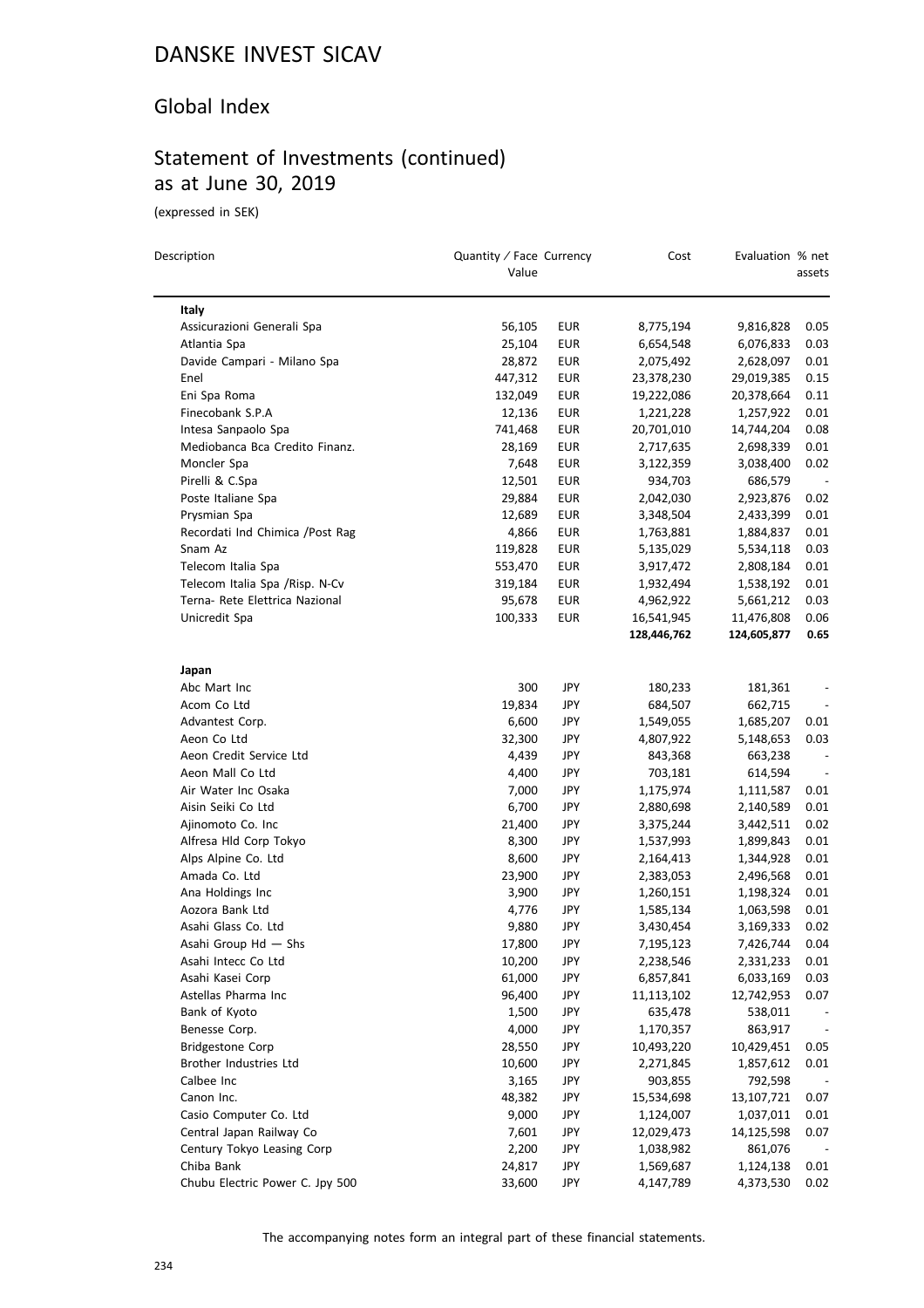### Global Index

# Statement of Investments (continued) as at June 30, 2019

(expressed in SEK)

| Description                      | Quantity / Face Currency<br>Value |            | Cost        | Evaluation % net | assets                   |
|----------------------------------|-----------------------------------|------------|-------------|------------------|--------------------------|
| Italy                            |                                   |            |             |                  |                          |
| Assicurazioni Generali Spa       | 56,105                            | EUR        | 8,775,194   | 9,816,828        | 0.05                     |
| Atlantia Spa                     | 25,104                            | EUR        | 6,654,548   | 6,076,833        | 0.03                     |
| Davide Campari - Milano Spa      | 28,872                            | EUR        | 2,075,492   | 2,628,097        | 0.01                     |
| Enel                             | 447,312                           | <b>EUR</b> | 23,378,230  | 29,019,385       | 0.15                     |
| Eni Spa Roma                     | 132,049                           | EUR        | 19,222,086  | 20,378,664       | 0.11                     |
| Finecobank S.P.A                 | 12,136                            | EUR        | 1,221,228   | 1,257,922        | 0.01                     |
| Intesa Sanpaolo Spa              | 741,468                           | EUR        | 20,701,010  | 14,744,204       | 0.08                     |
| Mediobanca Bca Credito Finanz.   | 28,169                            | EUR        | 2,717,635   | 2,698,339        | 0.01                     |
| Moncler Spa                      | 7,648                             | EUR        | 3,122,359   | 3,038,400        | 0.02                     |
| Pirelli & C.Spa                  | 12,501                            | EUR        | 934,703     | 686,579          |                          |
| Poste Italiane Spa               | 29,884                            | EUR        | 2,042,030   | 2,923,876        | 0.02                     |
| Prysmian Spa                     | 12,689                            | EUR        | 3,348,504   | 2,433,399        | 0.01                     |
| Recordati Ind Chimica / Post Rag | 4,866                             | <b>EUR</b> | 1,763,881   | 1,884,837        | 0.01                     |
| Snam Az                          | 119,828                           | EUR        | 5,135,029   | 5,534,118        | 0.03                     |
| Telecom Italia Spa               | 553,470                           | EUR        | 3,917,472   | 2,808,184        | 0.01                     |
| Telecom Italia Spa / Risp. N-Cv  | 319,184                           | <b>EUR</b> | 1,932,494   | 1,538,192        | 0.01                     |
| Terna- Rete Elettrica Nazional   | 95,678                            | <b>EUR</b> | 4,962,922   | 5,661,212        | 0.03                     |
| Unicredit Spa                    | 100,333                           | EUR        | 16,541,945  | 11,476,808       | 0.06                     |
|                                  |                                   |            | 128,446,762 | 124,605,877      | 0.65                     |
| Japan                            |                                   |            |             |                  |                          |
| Abc Mart Inc                     | 300                               | JPY        | 180,233     | 181,361          |                          |
| Acom Co Ltd                      | 19,834                            | JPY        | 684,507     | 662,715          | $\overline{\phantom{a}}$ |
| Advantest Corp.                  | 6,600                             | JPY        | 1,549,055   | 1,685,207        | 0.01                     |
| Aeon Co Ltd                      | 32,300                            | JPY        | 4,807,922   | 5,148,653        | 0.03                     |
| Aeon Credit Service Ltd          | 4,439                             | JPY        | 843,368     | 663,238          | $\overline{\phantom{a}}$ |
| Aeon Mall Co Ltd                 | 4,400                             | JPY        | 703,181     | 614,594          |                          |
| Air Water Inc Osaka              | 7,000                             | JPY        | 1,175,974   | 1,111,587        | 0.01                     |
| Aisin Seiki Co Ltd               | 6,700                             | JPY        | 2,880,698   | 2,140,589        | 0.01                     |
| Ajinomoto Co. Inc                | 21,400                            | JPY        | 3,375,244   | 3,442,511        | 0.02                     |
| Alfresa Hld Corp Tokyo           | 8,300                             | JPY        | 1,537,993   | 1,899,843        | 0.01                     |
| Alps Alpine Co. Ltd              | 8,600                             | JPY        | 2,164,413   | 1,344,928        | 0.01                     |
| Amada Co. Ltd                    | 23,900                            | JPY        | 2,383,053   | 2,496,568        | 0.01                     |
| Ana Holdings Inc                 | 3,900                             | JPY        | 1,260,151   | 1,198,324        | 0.01                     |
| Aozora Bank Ltd                  | 4,776                             | JPY        | 1,585,134   | 1,063,598        | 0.01                     |
| Asahi Glass Co. Ltd              | 9,880                             | JPY        | 3,430,454   | 3,169,333        | 0.02                     |
| Asahi Group Hd - Shs             | 17,800                            | JPY        | 7,195,123   | 7,426,744        | 0.04                     |
| Asahi Intecc Co Ltd              | 10,200                            | JPY        | 2,238,546   | 2,331,233        | 0.01                     |
| Asahi Kasei Corp                 | 61,000                            | JPY        | 6,857,841   | 6,033,169        | 0.03                     |
| Astellas Pharma Inc              | 96,400                            | JPY        | 11,113,102  | 12,742,953       | 0.07                     |
| Bank of Kyoto                    | 1,500                             | <b>JPY</b> | 635,478     | 538,011          |                          |
| Benesse Corp.                    | 4,000                             | <b>JPY</b> | 1,170,357   | 863,917          |                          |
| <b>Bridgestone Corp</b>          | 28,550                            | JPY        | 10,493,220  | 10,429,451       | 0.05                     |
| Brother Industries Ltd           | 10,600                            | JPY        | 2,271,845   | 1,857,612        | 0.01                     |
| Calbee Inc                       | 3,165                             | JPY        | 903,855     | 792,598          |                          |
| Canon Inc.                       | 48,382                            | JPY        | 15,534,698  | 13,107,721       | 0.07                     |
| Casio Computer Co. Ltd           | 9,000                             | JPY        | 1,124,007   | 1,037,011        | 0.01                     |
| Central Japan Railway Co         | 7,601                             | JPY        | 12,029,473  | 14,125,598       | 0.07                     |
| Century Tokyo Leasing Corp       | 2,200                             | JPY        | 1,038,982   | 861,076          |                          |
| Chiba Bank                       | 24,817                            | JPY        | 1,569,687   | 1,124,138        | 0.01                     |
| Chubu Electric Power C. Jpy 500  | 33,600                            | JPY        | 4,147,789   | 4,373,530        | 0.02                     |
|                                  |                                   |            |             |                  |                          |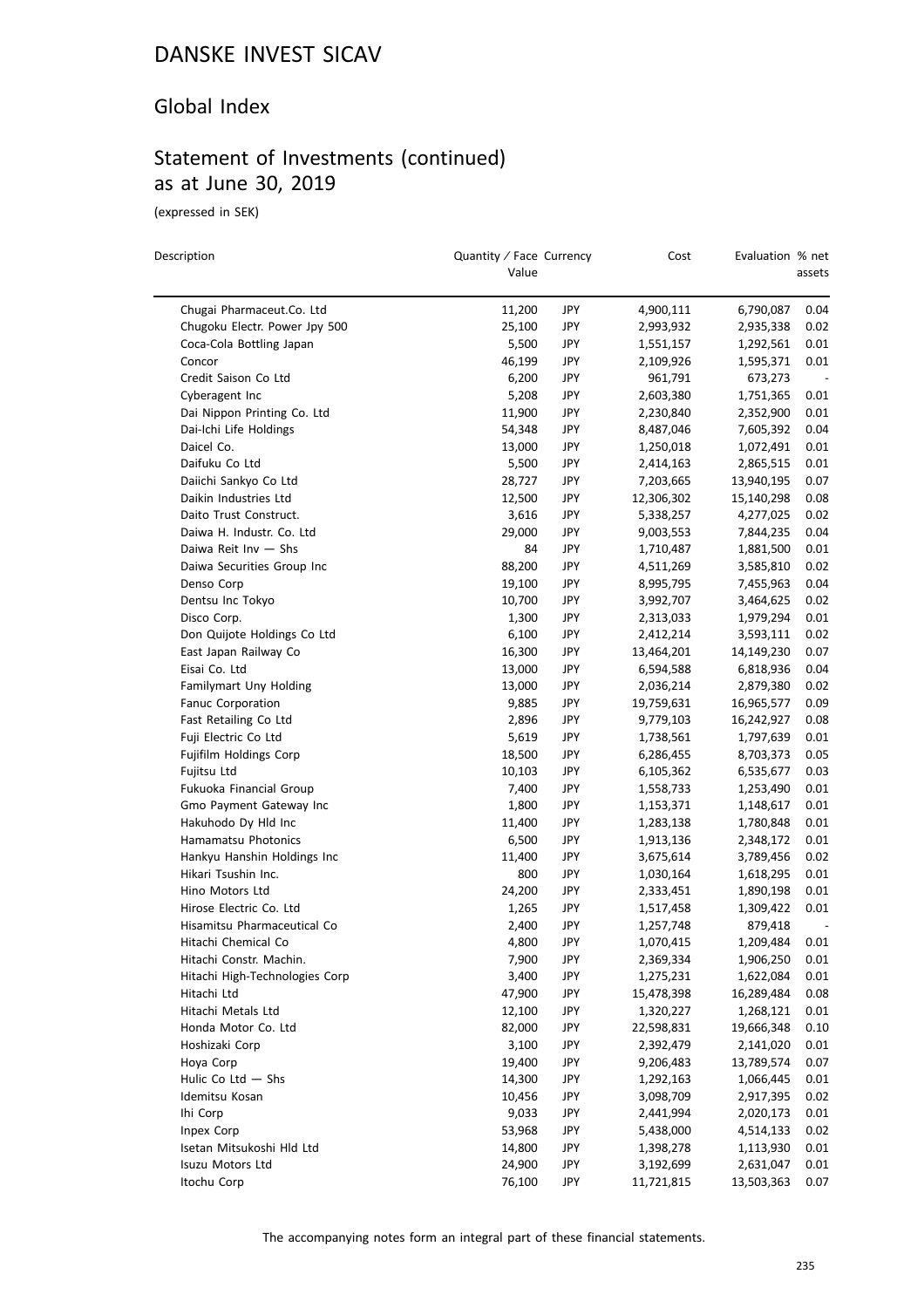### Global Index

## Statement of Investments (continued) as at June 30, 2019

(expressed in SEK)

| Description                    | Quantity / Face Currency<br>Value |     | Cost       | Evaluation % net | assets |
|--------------------------------|-----------------------------------|-----|------------|------------------|--------|
| Chugai Pharmaceut.Co. Ltd      | 11,200                            | JPY | 4,900,111  | 6,790,087        | 0.04   |
| Chugoku Electr. Power Jpy 500  | 25,100                            | JPY | 2,993,932  | 2,935,338        | 0.02   |
| Coca-Cola Bottling Japan       | 5,500                             | JPY | 1,551,157  | 1,292,561        | 0.01   |
| Concor                         | 46,199                            | JPY | 2,109,926  | 1,595,371        | 0.01   |
| Credit Saison Co Ltd           | 6,200                             | JPY | 961,791    | 673,273          |        |
| Cyberagent Inc                 | 5,208                             | JPY | 2,603,380  | 1,751,365        | 0.01   |
| Dai Nippon Printing Co. Ltd    | 11,900                            | JPY | 2,230,840  | 2,352,900        | 0.01   |
| Dai-Ichi Life Holdings         | 54,348                            | JPY | 8,487,046  | 7,605,392        | 0.04   |
| Daicel Co.                     | 13,000                            | JPY | 1,250,018  | 1,072,491        | 0.01   |
| Daifuku Co Ltd                 | 5,500                             | JPY | 2,414,163  | 2,865,515        | 0.01   |
| Daiichi Sankyo Co Ltd          | 28,727                            | JPY | 7,203,665  | 13,940,195       | 0.07   |
| Daikin Industries Ltd          | 12,500                            | JPY | 12,306,302 | 15,140,298       | 0.08   |
| Daito Trust Construct.         | 3,616                             | JPY | 5,338,257  | 4,277,025        | 0.02   |
| Daiwa H. Industr. Co. Ltd      | 29,000                            | JPY | 9,003,553  | 7,844,235        | 0.04   |
| Daiwa Reit Inv - Shs           | 84                                | JPY | 1,710,487  | 1,881,500        | 0.01   |
| Daiwa Securities Group Inc     |                                   |     |            |                  |        |
| Denso Corp                     | 88,200                            | JPY | 4,511,269  | 3,585,810        | 0.02   |
|                                | 19,100                            | JPY | 8,995,795  | 7,455,963        | 0.04   |
| Dentsu Inc Tokyo               | 10,700                            | JPY | 3,992,707  | 3,464,625        | 0.02   |
| Disco Corp.                    | 1,300                             | JPY | 2,313,033  | 1,979,294        | 0.01   |
| Don Quijote Holdings Co Ltd    | 6,100                             | JPY | 2,412,214  | 3,593,111        | 0.02   |
| East Japan Railway Co          | 16,300                            | JPY | 13,464,201 | 14,149,230       | 0.07   |
| Eisai Co. Ltd                  | 13,000                            | JPY | 6,594,588  | 6,818,936        | 0.04   |
| Familymart Uny Holding         | 13,000                            | JPY | 2,036,214  | 2,879,380        | 0.02   |
| Fanuc Corporation              | 9,885                             | JPY | 19,759,631 | 16,965,577       | 0.09   |
| Fast Retailing Co Ltd          | 2,896                             | JPY | 9,779,103  | 16,242,927       | 0.08   |
| Fuji Electric Co Ltd           | 5,619                             | JPY | 1,738,561  | 1,797,639        | 0.01   |
| Fujifilm Holdings Corp         | 18,500                            | JPY | 6,286,455  | 8,703,373        | 0.05   |
| Fujitsu Ltd                    | 10,103                            | JPY | 6,105,362  | 6,535,677        | 0.03   |
| Fukuoka Financial Group        | 7,400                             | JPY | 1,558,733  | 1,253,490        | 0.01   |
| Gmo Payment Gateway Inc        | 1,800                             | JPY | 1,153,371  | 1,148,617        | 0.01   |
| Hakuhodo Dy Hld Inc            | 11,400                            | JPY | 1,283,138  | 1,780,848        | 0.01   |
| Hamamatsu Photonics            | 6,500                             | JPY | 1,913,136  | 2,348,172        | 0.01   |
| Hankyu Hanshin Holdings Inc    | 11,400                            | JPY | 3,675,614  | 3,789,456        | 0.02   |
| Hikari Tsushin Inc.            | 800                               | JPY | 1,030,164  | 1,618,295        | 0.01   |
| Hino Motors Ltd                | 24,200                            | JPY | 2,333,451  | 1,890,198        | 0.01   |
| Hirose Electric Co. Ltd        | 1,265                             | JPY | 1,517,458  | 1,309,422        | 0.01   |
| Hisamitsu Pharmaceutical Co    | 2,400                             | JPY | 1,257,748  | 879,418          |        |
| Hitachi Chemical Co            | 4,800                             | JPY | 1,070,415  | 1,209,484        | 0.01   |
| Hitachi Constr. Machin.        | 7,900                             | JPY | 2,369,334  | 1,906,250        | 0.01   |
| Hitachi High-Technologies Corp | 3,400                             | JPY | 1,275,231  | 1,622,084        | 0.01   |
| Hitachi Ltd                    | 47,900                            | JPY | 15,478,398 | 16,289,484       | 0.08   |
| Hitachi Metals Ltd             | 12,100                            | JPY | 1,320,227  | 1,268,121        | 0.01   |
| Honda Motor Co. Ltd            | 82,000                            | JPY | 22,598,831 | 19,666,348       | 0.10   |
| Hoshizaki Corp                 | 3,100                             | JPY | 2,392,479  | 2,141,020        | 0.01   |
| Hoya Corp                      | 19,400                            | JPY | 9,206,483  | 13,789,574       | 0.07   |
| Hulic Co Ltd $-$ Shs           | 14,300                            | JPY | 1,292,163  | 1,066,445        | 0.01   |
| Idemitsu Kosan                 | 10,456                            | JPY | 3,098,709  | 2,917,395        | 0.02   |
| Ihi Corp                       | 9,033                             | JPY | 2,441,994  | 2,020,173        | 0.01   |
| Inpex Corp                     | 53,968                            | JPY | 5,438,000  | 4,514,133        | 0.02   |
| Isetan Mitsukoshi Hld Ltd      | 14,800                            | JPY | 1,398,278  | 1,113,930        | 0.01   |
| Isuzu Motors Ltd               | 24,900                            | JPY | 3,192,699  | 2,631,047        | 0.01   |
| Itochu Corp                    | 76,100                            | JPY | 11,721,815 | 13,503,363       | 0.07   |
|                                |                                   |     |            |                  |        |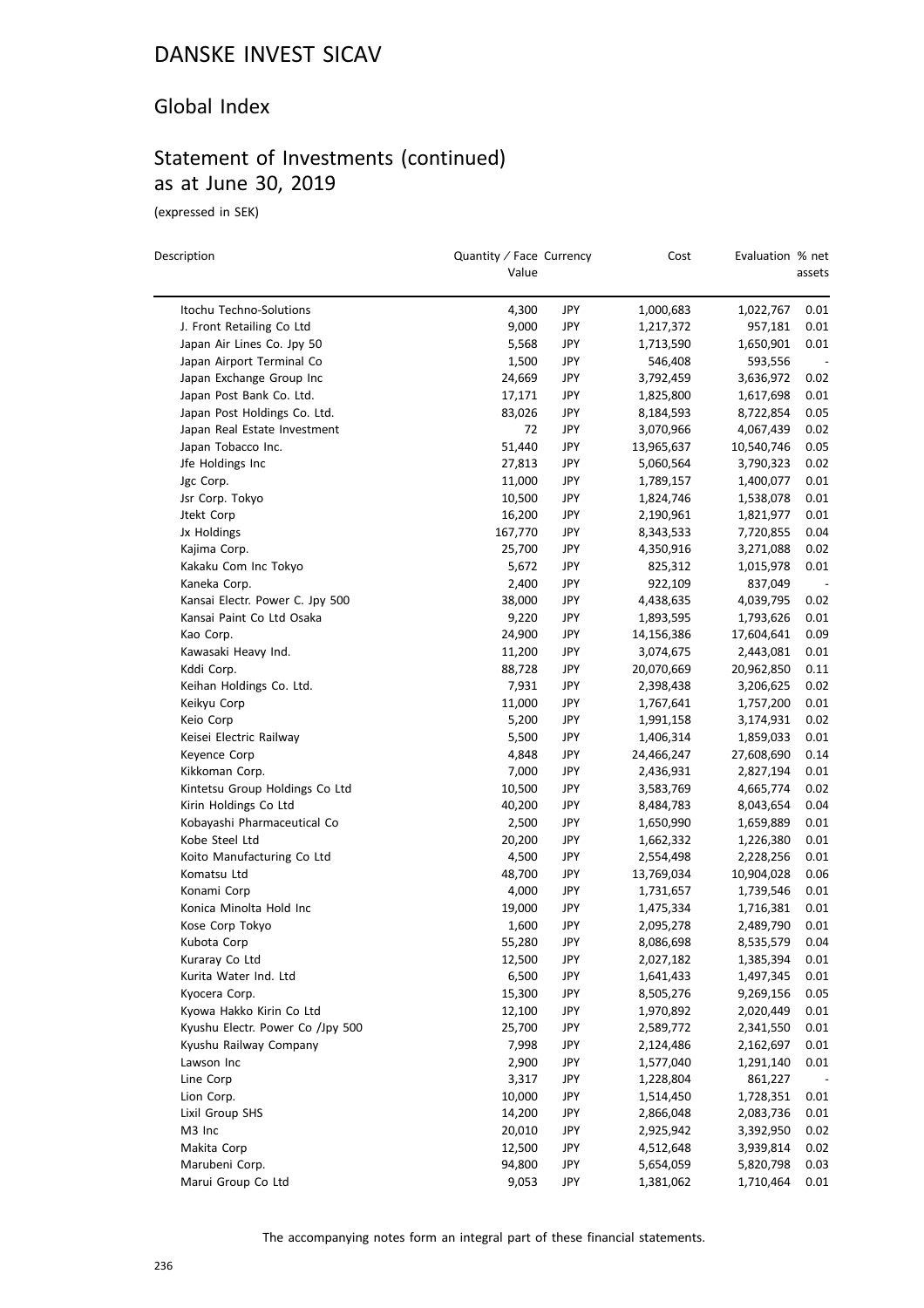### Global Index

# Statement of Investments (continued) as at June 30, 2019

(expressed in SEK)

 $\equiv$ 

| Description                      | Quantity / Face Currency<br>Value |            | Cost       | Evaluation % net | assets |
|----------------------------------|-----------------------------------|------------|------------|------------------|--------|
| Itochu Techno-Solutions          | 4,300                             | JPY        | 1,000,683  | 1,022,767        | 0.01   |
| J. Front Retailing Co Ltd        | 9,000                             | JPY        | 1,217,372  | 957,181          | 0.01   |
| Japan Air Lines Co. Jpy 50       | 5,568                             | JPY        | 1,713,590  | 1,650,901        | 0.01   |
| Japan Airport Terminal Co        | 1,500                             | JPY        | 546,408    | 593,556          |        |
| Japan Exchange Group Inc         | 24,669                            | JPY        | 3,792,459  | 3,636,972        | 0.02   |
| Japan Post Bank Co. Ltd.         | 17,171                            | JPY        | 1,825,800  | 1,617,698        | 0.01   |
| Japan Post Holdings Co. Ltd.     | 83,026                            | JPY        | 8,184,593  | 8,722,854        | 0.05   |
| Japan Real Estate Investment     | 72                                | JPY        | 3,070,966  | 4,067,439        | 0.02   |
| Japan Tobacco Inc.               | 51,440                            | JPY        | 13,965,637 | 10,540,746       | 0.05   |
| Jfe Holdings Inc                 | 27,813                            | JPY        | 5,060,564  | 3,790,323        | 0.02   |
| Jgc Corp.                        | 11,000                            | JPY        | 1,789,157  | 1,400,077        | 0.01   |
| Jsr Corp. Tokyo                  | 10,500                            | JPY        | 1,824,746  | 1,538,078        | 0.01   |
| Jtekt Corp                       | 16,200                            | JPY        | 2,190,961  | 1,821,977        | 0.01   |
| Jx Holdings                      | 167,770                           | JPY        | 8,343,533  | 7,720,855        | 0.04   |
| Kajima Corp.                     | 25,700                            | JPY        |            |                  | 0.02   |
|                                  |                                   |            | 4,350,916  | 3,271,088        |        |
| Kakaku Com Inc Tokyo             | 5,672                             | JPY<br>JPY | 825,312    | 1,015,978        | 0.01   |
| Kaneka Corp.                     | 2,400                             |            | 922,109    | 837,049          |        |
| Kansai Electr. Power C. Jpy 500  | 38,000                            | JPY        | 4,438,635  | 4,039,795        | 0.02   |
| Kansai Paint Co Ltd Osaka        | 9,220                             | JPY        | 1,893,595  | 1,793,626        | 0.01   |
| Kao Corp.                        | 24,900                            | JPY        | 14,156,386 | 17,604,641       | 0.09   |
| Kawasaki Heavy Ind.              | 11,200                            | JPY        | 3,074,675  | 2,443,081        | 0.01   |
| Kddi Corp.                       | 88,728                            | JPY        | 20,070,669 | 20,962,850       | 0.11   |
| Keihan Holdings Co. Ltd.         | 7,931                             | JPY        | 2,398,438  | 3,206,625        | 0.02   |
| Keikyu Corp                      | 11,000                            | JPY        | 1,767,641  | 1,757,200        | 0.01   |
| Keio Corp                        | 5,200                             | JPY        | 1,991,158  | 3,174,931        | 0.02   |
| Keisei Electric Railway          | 5,500                             | JPY        | 1,406,314  | 1,859,033        | 0.01   |
| Keyence Corp                     | 4,848                             | JPY        | 24,466,247 | 27,608,690       | 0.14   |
| Kikkoman Corp.                   | 7,000                             | JPY        | 2,436,931  | 2,827,194        | 0.01   |
| Kintetsu Group Holdings Co Ltd   | 10,500                            | JPY        | 3,583,769  | 4,665,774        | 0.02   |
| Kirin Holdings Co Ltd            | 40,200                            | JPY        | 8,484,783  | 8,043,654        | 0.04   |
| Kobayashi Pharmaceutical Co      | 2,500                             | JPY        | 1,650,990  | 1,659,889        | 0.01   |
| Kobe Steel Ltd                   | 20,200                            | JPY        | 1,662,332  | 1,226,380        | 0.01   |
| Koito Manufacturing Co Ltd       | 4,500                             | JPY        | 2,554,498  | 2,228,256        | 0.01   |
| Komatsu Ltd                      | 48,700                            | JPY        | 13,769,034 | 10,904,028       | 0.06   |
| Konami Corp                      | 4,000                             | JPY        | 1,731,657  | 1,739,546        | 0.01   |
| Konica Minolta Hold Inc          | 19,000                            | JPY        | 1,475,334  | 1,716,381        | 0.01   |
| Kose Corp Tokyo                  | 1,600                             | JPY        | 2,095,278  | 2,489,790        | 0.01   |
| Kubota Corp                      | 55,280                            | JPY        | 8,086,698  | 8,535,579        | 0.04   |
| Kuraray Co Ltd                   | 12,500                            | JPY        | 2,027,182  | 1,385,394        | 0.01   |
| Kurita Water Ind. Ltd            | 6,500                             | JPY        | 1,641,433  | 1,497,345        | 0.01   |
| Kyocera Corp.                    | 15,300                            | JPY        | 8,505,276  | 9,269,156        | 0.05   |
| Kyowa Hakko Kirin Co Ltd         | 12,100                            | JPY        | 1,970,892  | 2,020,449        | 0.01   |
| Kyushu Electr. Power Co /Jpy 500 | 25,700                            | JPY        | 2,589,772  | 2,341,550        | 0.01   |
| Kyushu Railway Company           | 7,998                             | JPY        | 2,124,486  | 2,162,697        | 0.01   |
| Lawson Inc                       | 2,900                             | JPY        | 1,577,040  | 1,291,140        | 0.01   |
| Line Corp                        | 3,317                             | JPY        | 1,228,804  | 861,227          |        |
| Lion Corp.                       | 10,000                            | JPY        | 1,514,450  | 1,728,351        | 0.01   |
| Lixil Group SHS                  | 14,200                            | JPY        | 2,866,048  | 2,083,736        | 0.01   |
| M3 Inc                           | 20,010                            | JPY        | 2,925,942  | 3,392,950        | 0.02   |
| Makita Corp                      | 12,500                            | JPY        | 4,512,648  | 3,939,814        | 0.02   |
| Marubeni Corp.                   | 94,800                            | JPY        | 5,654,059  | 5,820,798        | 0.03   |
| Marui Group Co Ltd               | 9,053                             | JPY        | 1,381,062  | 1,710,464        | 0.01   |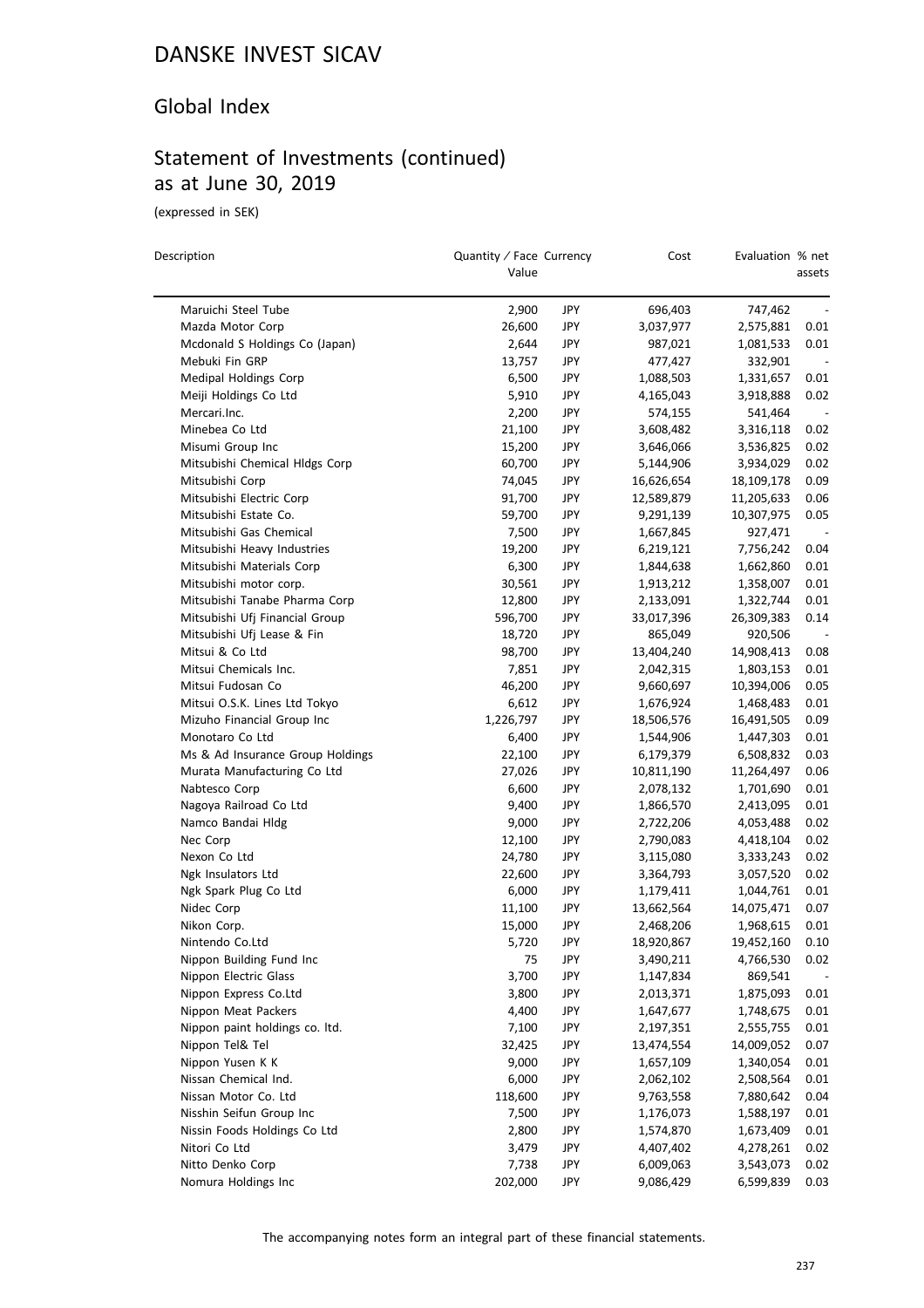### Global Index

## Statement of Investments (continued) as at June 30, 2019

(expressed in SEK)

 $\overline{a}$ 

| Description                                  | Quantity / Face Currency<br>Value |            | Cost                   | Evaluation % net       | assets                   |
|----------------------------------------------|-----------------------------------|------------|------------------------|------------------------|--------------------------|
| Maruichi Steel Tube                          | 2,900                             | JPY        | 696,403                | 747,462                |                          |
| Mazda Motor Corp                             | 26,600                            | JPY        | 3,037,977              | 2,575,881              | 0.01                     |
| Mcdonald S Holdings Co (Japan)               | 2,644                             | JPY        | 987,021                | 1,081,533              | 0.01                     |
| Mebuki Fin GRP                               | 13,757                            | JPY        | 477,427                | 332,901                |                          |
| Medipal Holdings Corp                        | 6,500                             | JPY        | 1,088,503              | 1,331,657              | 0.01                     |
| Meiji Holdings Co Ltd                        | 5,910                             | <b>JPY</b> | 4,165,043              | 3,918,888              | 0.02                     |
| Mercari.Inc.                                 | 2,200                             | JPY        | 574,155                | 541,464                |                          |
| Minebea Co Ltd                               | 21,100                            | JPY        | 3,608,482              | 3,316,118              | 0.02                     |
| Misumi Group Inc                             | 15,200                            | JPY        | 3,646,066              | 3,536,825              | 0.02                     |
| Mitsubishi Chemical Hldgs Corp               | 60,700                            | <b>JPY</b> | 5,144,906              | 3,934,029              | 0.02                     |
| Mitsubishi Corp                              | 74,045                            | JPY        | 16,626,654             | 18,109,178             | 0.09                     |
| Mitsubishi Electric Corp                     | 91,700                            | <b>JPY</b> | 12,589,879             | 11,205,633             | 0.06                     |
| Mitsubishi Estate Co.                        | 59,700                            | JPY        | 9,291,139              | 10,307,975             | 0.05                     |
| Mitsubishi Gas Chemical                      | 7,500                             | JPY        | 1,667,845              | 927,471                | $\overline{\phantom{a}}$ |
| Mitsubishi Heavy Industries                  | 19,200                            | JPY        | 6,219,121              | 7,756,242              | 0.04                     |
| Mitsubishi Materials Corp                    | 6,300                             | <b>JPY</b> | 1,844,638              | 1,662,860              | 0.01                     |
| Mitsubishi motor corp.                       | 30,561                            | JPY        | 1,913,212              | 1,358,007              | 0.01                     |
| Mitsubishi Tanabe Pharma Corp                | 12,800                            | JPY        | 2,133,091              | 1,322,744              | 0.01                     |
| Mitsubishi Ufj Financial Group               | 596,700                           | JPY        | 33,017,396             | 26,309,383             | 0.14                     |
| Mitsubishi Ufj Lease & Fin                   | 18,720                            | JPY        | 865,049                | 920,506                |                          |
| Mitsui & Co Ltd                              | 98,700                            | JPY        | 13,404,240             | 14,908,413             | 0.08                     |
| Mitsui Chemicals Inc.                        | 7,851                             | <b>JPY</b> | 2,042,315              | 1,803,153              | 0.01                     |
| Mitsui Fudosan Co                            | 46,200                            | JPY        | 9,660,697              | 10,394,006             | 0.05                     |
| Mitsui O.S.K. Lines Ltd Tokyo                | 6,612                             | <b>JPY</b> | 1,676,924              | 1,468,483              | 0.01                     |
| Mizuho Financial Group Inc                   | 1,226,797                         | JPY        | 18,506,576             | 16,491,505             | 0.09                     |
| Monotaro Co Ltd                              | 6,400                             | JPY        | 1,544,906              | 1,447,303              | 0.01                     |
| Ms & Ad Insurance Group Holdings             | 22,100                            | JPY        | 6,179,379              | 6,508,832              | 0.03                     |
| Murata Manufacturing Co Ltd                  | 27,026                            | JPY        | 10,811,190             | 11,264,497             | 0.06                     |
| Nabtesco Corp                                | 6,600                             | JPY        | 2,078,132              | 1,701,690              | 0.01                     |
| Nagoya Railroad Co Ltd                       | 9,400                             | JPY        | 1,866,570              | 2,413,095              | 0.01                     |
| Namco Bandai Hldg                            | 9,000                             | JPY        | 2,722,206              | 4,053,488              | 0.02                     |
| Nec Corp                                     | 12,100                            | JPY        | 2,790,083              | 4,418,104              | 0.02                     |
| Nexon Co Ltd                                 | 24,780                            | JPY        | 3,115,080              | 3,333,243              | 0.02                     |
| Ngk Insulators Ltd                           | 22,600                            | JPY        | 3,364,793              |                        | 0.02                     |
| Ngk Spark Plug Co Ltd                        | 6,000                             | JPY        | 1,179,411              | 3,057,520<br>1,044,761 | 0.01                     |
| Nidec Corp                                   | 11,100                            | JPY        | 13,662,564             | 14,075,471             | 0.07                     |
| Nikon Corp.                                  | 15,000                            | <b>JPY</b> | 2,468,206              | 1,968,615              | 0.01                     |
| Nintendo Co.Ltd                              | 5,720                             | JPY        | 18,920,867             | 19,452,160             | 0.10                     |
| Nippon Building Fund Inc                     | 75                                | JPY        | 3,490,211              | 4,766,530              | 0.02                     |
| Nippon Electric Glass                        | 3,700                             | JPY        | 1,147,834              | 869,541                |                          |
| Nippon Express Co.Ltd                        | 3,800                             | JPY        | 2,013,371              | 1,875,093              | 0.01                     |
| Nippon Meat Packers                          | 4,400                             | JPY        | 1,647,677              | 1,748,675              | 0.01                     |
| Nippon paint holdings co. Itd.               | 7,100                             | JPY        | 2,197,351              | 2,555,755              | 0.01                     |
| Nippon Tel& Tel                              | 32,425                            | JPY        | 13,474,554             | 14,009,052             | 0.07                     |
| Nippon Yusen K K                             | 9,000                             | JPY        | 1,657,109              | 1,340,054              | 0.01                     |
|                                              |                                   | <b>JPY</b> |                        |                        |                          |
| Nissan Chemical Ind.<br>Nissan Motor Co. Ltd | 6,000<br>118,600                  | JPY        | 2,062,102<br>9,763,558 | 2,508,564<br>7,880,642 | 0.01<br>0.04             |
| Nisshin Seifun Group Inc                     | 7,500                             | JPY        | 1,176,073              | 1,588,197              | 0.01                     |
| Nissin Foods Holdings Co Ltd                 | 2,800                             | JPY        | 1,574,870              | 1,673,409              | 0.01                     |
| Nitori Co Ltd                                | 3,479                             | JPY        | 4,407,402              | 4,278,261              | 0.02                     |
| Nitto Denko Corp                             | 7,738                             | JPY        | 6,009,063              | 3,543,073              | 0.02                     |
| Nomura Holdings Inc                          | 202,000                           | JPY        | 9,086,429              |                        | 0.03                     |
|                                              |                                   |            |                        | 6,599,839              |                          |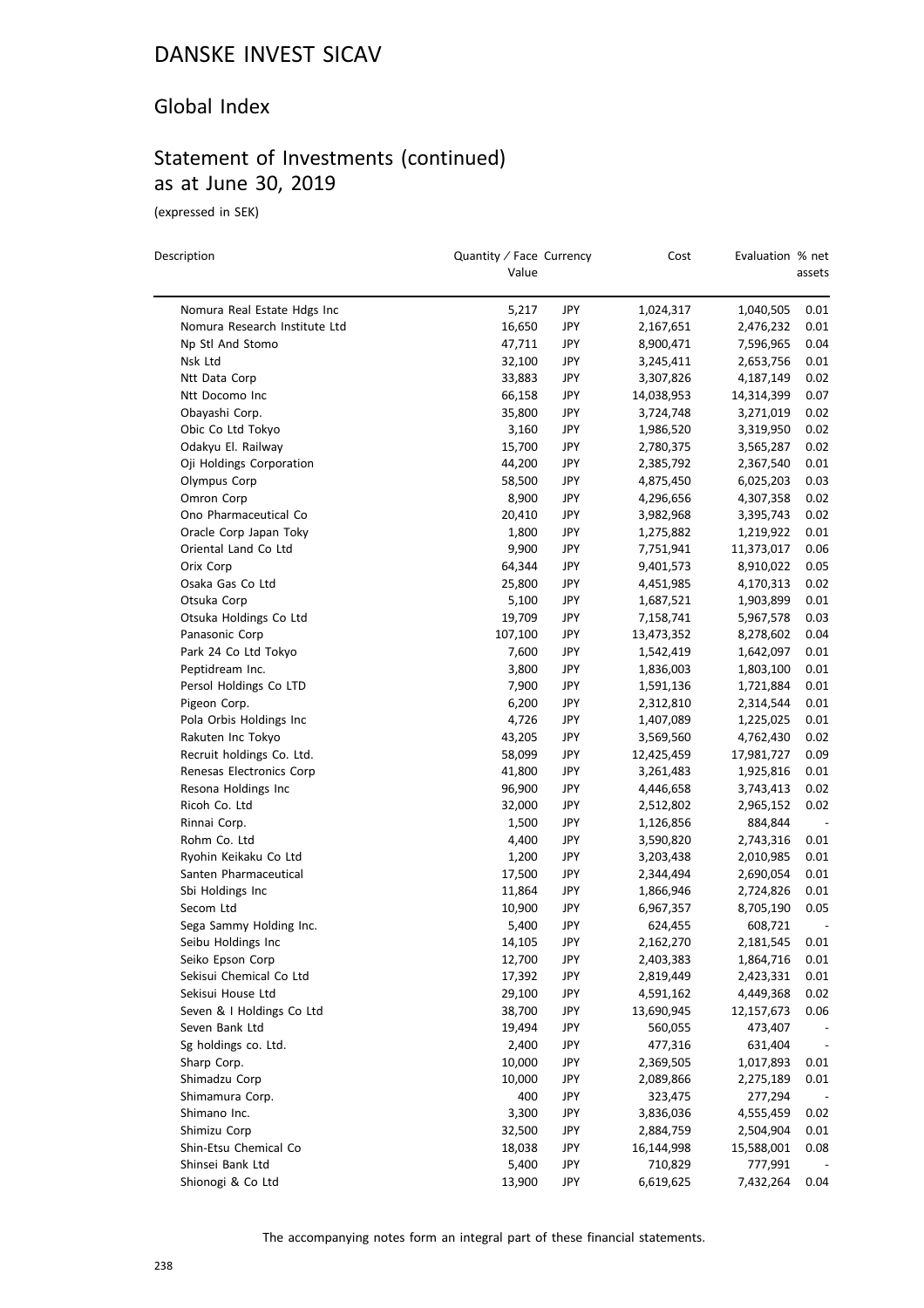#### Global Index

# Statement of Investments (continued) as at June 30, 2019

(expressed in SEK)

| Description                   | Quantity / Face Currency<br>Value |            | Cost       | Evaluation % net | assets                   |
|-------------------------------|-----------------------------------|------------|------------|------------------|--------------------------|
| Nomura Real Estate Hdgs Inc   | 5,217                             | JPY        | 1,024,317  | 1,040,505        | 0.01                     |
| Nomura Research Institute Ltd | 16,650                            | <b>JPY</b> | 2,167,651  | 2,476,232        | 0.01                     |
| Np Stl And Stomo              | 47,711                            | JPY        | 8,900,471  | 7,596,965        | 0.04                     |
| Nsk Ltd                       | 32,100                            | JPY        | 3,245,411  | 2,653,756        | 0.01                     |
| Ntt Data Corp                 | 33,883                            | <b>JPY</b> | 3,307,826  | 4,187,149        | 0.02                     |
| Ntt Docomo Inc                | 66,158                            | JPY        | 14,038,953 | 14,314,399       | 0.07                     |
| Obayashi Corp.                | 35,800                            | JPY        | 3,724,748  | 3,271,019        | 0.02                     |
| Obic Co Ltd Tokyo             | 3,160                             | <b>JPY</b> | 1,986,520  | 3,319,950        | 0.02                     |
| Odakyu El. Railway            | 15,700                            | JPY        | 2,780,375  | 3,565,287        | 0.02                     |
| Oji Holdings Corporation      | 44,200                            | JPY        | 2,385,792  | 2,367,540        | 0.01                     |
| Olympus Corp                  | 58,500                            | <b>JPY</b> | 4,875,450  | 6,025,203        | 0.03                     |
| Omron Corp                    | 8,900                             | JPY        | 4,296,656  | 4,307,358        | 0.02                     |
| Ono Pharmaceutical Co         | 20,410                            | <b>JPY</b> | 3,982,968  | 3,395,743        | 0.02                     |
| Oracle Corp Japan Toky        | 1,800                             | JPY        | 1,275,882  | 1,219,922        | 0.01                     |
| Oriental Land Co Ltd          | 9,900                             | JPY        | 7,751,941  | 11,373,017       | 0.06                     |
| Orix Corp                     | 64,344                            | <b>JPY</b> | 9,401,573  | 8,910,022        | 0.05                     |
| Osaka Gas Co Ltd              | 25,800                            | <b>JPY</b> | 4,451,985  | 4,170,313        | 0.02                     |
| Otsuka Corp                   | 5,100                             | JPY        | 1,687,521  | 1,903,899        | 0.01                     |
|                               |                                   |            | 7,158,741  | 5,967,578        | 0.03                     |
| Otsuka Holdings Co Ltd        | 19,709                            | JPY        |            |                  | 0.04                     |
| Panasonic Corp                | 107,100                           | JPY        | 13,473,352 | 8,278,602        |                          |
| Park 24 Co Ltd Tokyo          | 7,600                             | JPY        | 1,542,419  | 1,642,097        | 0.01                     |
| Peptidream Inc.               | 3,800                             | JPY        | 1,836,003  | 1,803,100        | 0.01                     |
| Persol Holdings Co LTD        | 7,900                             | <b>JPY</b> | 1,591,136  | 1,721,884        | 0.01                     |
| Pigeon Corp.                  | 6,200                             | JPY        | 2,312,810  | 2,314,544        | 0.01                     |
| Pola Orbis Holdings Inc       | 4,726                             | JPY        | 1,407,089  | 1,225,025        | 0.01                     |
| Rakuten Inc Tokyo             | 43,205                            | JPY        | 3,569,560  | 4,762,430        | 0.02                     |
| Recruit holdings Co. Ltd.     | 58,099                            | JPY        | 12,425,459 | 17,981,727       | 0.09                     |
| Renesas Electronics Corp      | 41,800                            | JPY        | 3,261,483  | 1,925,816        | 0.01                     |
| Resona Holdings Inc           | 96,900                            | <b>JPY</b> | 4,446,658  | 3,743,413        | 0.02                     |
| Ricoh Co. Ltd                 | 32,000                            | JPY        | 2,512,802  | 2,965,152        | 0.02                     |
| Rinnai Corp.                  | 1,500                             | JPY        | 1,126,856  | 884,844          |                          |
| Rohm Co. Ltd                  | 4,400                             | JPY        | 3,590,820  | 2,743,316        | 0.01                     |
| Ryohin Keikaku Co Ltd         | 1,200                             | JPY        | 3,203,438  | 2,010,985        | 0.01                     |
| Santen Pharmaceutical         | 17,500                            | JPY        | 2,344,494  | 2,690,054        | 0.01                     |
| Sbi Holdings Inc              | 11,864                            | <b>JPY</b> | 1,866,946  | 2,724,826        | 0.01                     |
| Secom Ltd                     | 10,900                            | JPY        | 6,967,357  | 8,705,190        | 0.05                     |
| Sega Sammy Holding Inc.       | 5,400                             | JPY        | 624,455    | 608,721          |                          |
| Seibu Holdings Inc            | 14,105                            | JPY        | 2,162,270  | 2,181,545        | 0.01                     |
| Seiko Epson Corp              | 12,700                            | JPY        | 2,403,383  | 1,864,716        | 0.01                     |
| Sekisui Chemical Co Ltd       | 17,392                            | JPY        | 2,819,449  | 2,423,331        | 0.01                     |
| Sekisui House Ltd             | 29,100                            | JPY        | 4,591,162  | 4,449,368        | 0.02                     |
| Seven & I Holdings Co Ltd     | 38,700                            | JPY        | 13,690,945 | 12,157,673       | 0.06                     |
| Seven Bank Ltd                | 19,494                            | JPY        | 560,055    | 473,407          |                          |
| Sg holdings co. Ltd.          | 2,400                             | JPY        | 477,316    | 631,404          | $\overline{\phantom{a}}$ |
| Sharp Corp.                   | 10,000                            | JPY        | 2,369,505  | 1,017,893        | 0.01                     |
| Shimadzu Corp                 | 10,000                            | JPY        | 2,089,866  | 2,275,189        | 0.01                     |
| Shimamura Corp.               | 400                               | JPY        | 323,475    | 277,294          |                          |
| Shimano Inc.                  | 3,300                             | JPY        | 3,836,036  | 4,555,459        | 0.02                     |
| Shimizu Corp                  | 32,500                            | JPY        | 2,884,759  | 2,504,904        | 0.01                     |
| Shin-Etsu Chemical Co         | 18,038                            | JPY        | 16,144,998 | 15,588,001       | 0.08                     |
| Shinsei Bank Ltd              | 5,400                             | JPY        | 710,829    | 777,991          |                          |
| Shionogi & Co Ltd             | 13,900                            | JPY        | 6,619,625  | 7,432,264        | 0.04                     |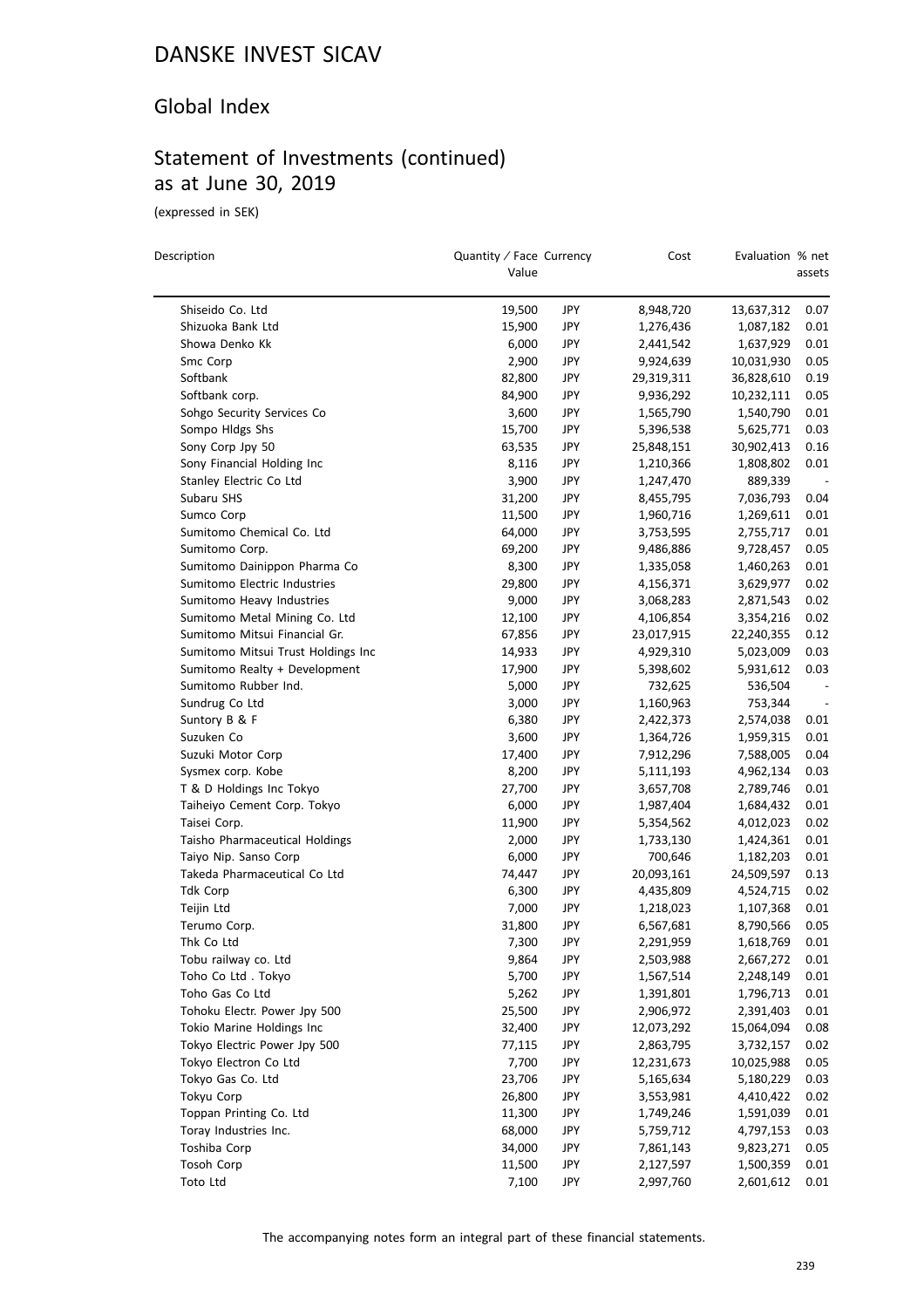#### Global Index

## Statement of Investments (continued) as at June 30, 2019

(expressed in SEK)

 $\overline{\phantom{0}}$ 

| Description                                           | Quantity / Face Currency<br>Value |            | Cost       | Evaluation % net | assets |
|-------------------------------------------------------|-----------------------------------|------------|------------|------------------|--------|
| Shiseido Co. Ltd                                      | 19,500                            | JPY        | 8,948,720  | 13,637,312       | 0.07   |
| Shizuoka Bank Ltd                                     | 15,900                            | JPY        | 1,276,436  | 1,087,182        | 0.01   |
| Showa Denko Kk                                        | 6,000                             | JPY        | 2,441,542  | 1,637,929        | 0.01   |
| Smc Corp                                              | 2,900                             | JPY        | 9,924,639  | 10,031,930       | 0.05   |
| Softbank                                              | 82,800                            | JPY        | 29,319,311 | 36,828,610       | 0.19   |
| Softbank corp.                                        | 84,900                            | <b>JPY</b> | 9,936,292  | 10,232,111       | 0.05   |
| Sohgo Security Services Co                            | 3,600                             | JPY        | 1,565,790  | 1,540,790        | 0.01   |
| Sompo Hldgs Shs                                       | 15,700                            | JPY        | 5,396,538  | 5,625,771        | 0.03   |
| Sony Corp Jpy 50                                      | 63,535                            | JPY        | 25,848,151 | 30,902,413       | 0.16   |
| Sony Financial Holding Inc                            | 8,116                             | JPY        | 1,210,366  | 1,808,802        | 0.01   |
| Stanley Electric Co Ltd                               | 3,900                             | <b>JPY</b> | 1,247,470  | 889,339          |        |
| Subaru SHS                                            | 31,200                            | JPY        | 8,455,795  | 7,036,793        | 0.04   |
| Sumco Corp                                            | 11,500                            | JPY        | 1,960,716  | 1,269,611        | 0.01   |
| Sumitomo Chemical Co. Ltd                             | 64,000                            | JPY        | 3,753,595  | 2,755,717        | 0.01   |
| Sumitomo Corp.                                        | 69,200                            | JPY        | 9,486,886  | 9,728,457        | 0.05   |
| Sumitomo Dainippon Pharma Co                          | 8,300                             | JPY        | 1,335,058  | 1,460,263        | 0.01   |
| Sumitomo Electric Industries                          | 29,800                            | JPY        | 4,156,371  | 3,629,977        | 0.02   |
| Sumitomo Heavy Industries                             | 9,000                             | JPY        | 3,068,283  | 2,871,543        | 0.02   |
| Sumitomo Metal Mining Co. Ltd                         | 12,100                            | JPY        | 4,106,854  | 3,354,216        | 0.02   |
| Sumitomo Mitsui Financial Gr.                         | 67,856                            | JPY        | 23,017,915 | 22,240,355       | 0.12   |
| Sumitomo Mitsui Trust Holdings Inc                    | 14,933                            | <b>JPY</b> | 4,929,310  |                  | 0.03   |
|                                                       |                                   |            |            | 5,023,009        |        |
| Sumitomo Realty + Development<br>Sumitomo Rubber Ind. | 17,900                            | JPY        | 5,398,602  | 5,931,612        | 0.03   |
|                                                       | 5,000                             | JPY        | 732,625    | 536,504          |        |
| Sundrug Co Ltd                                        | 3,000                             | JPY        | 1,160,963  | 753,344          |        |
| Suntory B & F                                         | 6,380                             | JPY        | 2,422,373  | 2,574,038        | 0.01   |
| Suzuken Co                                            | 3,600                             | JPY        | 1,364,726  | 1,959,315        | 0.01   |
| Suzuki Motor Corp                                     | 17,400                            | JPY        | 7,912,296  | 7,588,005        | 0.04   |
| Sysmex corp. Kobe                                     | 8,200                             | JPY        | 5,111,193  | 4,962,134        | 0.03   |
| T & D Holdings Inc Tokyo                              | 27,700                            | JPY        | 3,657,708  | 2,789,746        | 0.01   |
| Taiheiyo Cement Corp. Tokyo                           | 6,000                             | JPY        | 1,987,404  | 1,684,432        | 0.01   |
| Taisei Corp.                                          | 11,900                            | JPY        | 5,354,562  | 4,012,023        | 0.02   |
| Taisho Pharmaceutical Holdings                        | 2,000                             | JPY        | 1,733,130  | 1,424,361        | 0.01   |
| Taiyo Nip. Sanso Corp                                 | 6,000                             | JPY        | 700,646    | 1,182,203        | 0.01   |
| Takeda Pharmaceutical Co Ltd                          | 74,447                            | JPY        | 20,093,161 | 24,509,597       | 0.13   |
| <b>Tdk Corp</b>                                       | 6,300                             | JPY        | 4,435,809  | 4,524,715        | 0.02   |
| Teijin Ltd                                            | 7,000                             | JPY        | 1,218,023  | 1,107,368        | 0.01   |
| Terumo Corp.                                          | 31,800                            | JPY        | 6,567,681  | 8,790,566        | 0.05   |
| Thk Co Ltd                                            | 7,300                             | JPY        | 2,291,959  | 1,618,769        | 0.01   |
| Tobu railway co. Ltd                                  | 9,864                             | JPY        | 2,503,988  | 2,667,272        | 0.01   |
| Toho Co Ltd. Tokyo                                    | 5,700                             | JPY        | 1,567,514  | 2,248,149        | 0.01   |
| Toho Gas Co Ltd                                       | 5,262                             | JPY        | 1,391,801  | 1,796,713        | 0.01   |
| Tohoku Electr. Power Jpy 500                          | 25,500                            | JPY        | 2,906,972  | 2,391,403        | 0.01   |
| Tokio Marine Holdings Inc                             | 32,400                            | JPY        | 12,073,292 | 15,064,094       | 0.08   |
| Tokyo Electric Power Jpy 500                          | 77,115                            | JPY        | 2,863,795  | 3,732,157        | 0.02   |
| Tokyo Electron Co Ltd                                 | 7,700                             | JPY        | 12,231,673 | 10,025,988       | 0.05   |
| Tokyo Gas Co. Ltd                                     | 23,706                            | JPY        | 5,165,634  | 5,180,229        | 0.03   |
| Tokyu Corp                                            | 26,800                            | JPY        | 3,553,981  | 4,410,422        | 0.02   |
| Toppan Printing Co. Ltd                               | 11,300                            | JPY        | 1,749,246  | 1,591,039        | 0.01   |
| Toray Industries Inc.                                 | 68,000                            | JPY        | 5,759,712  | 4,797,153        | 0.03   |
| Toshiba Corp                                          | 34,000                            | JPY        | 7,861,143  | 9,823,271        | 0.05   |
| Tosoh Corp                                            | 11,500                            | JPY        | 2,127,597  | 1,500,359        | 0.01   |
| Toto Ltd                                              | 7,100                             | JPY        | 2,997,760  | 2,601,612        | 0.01   |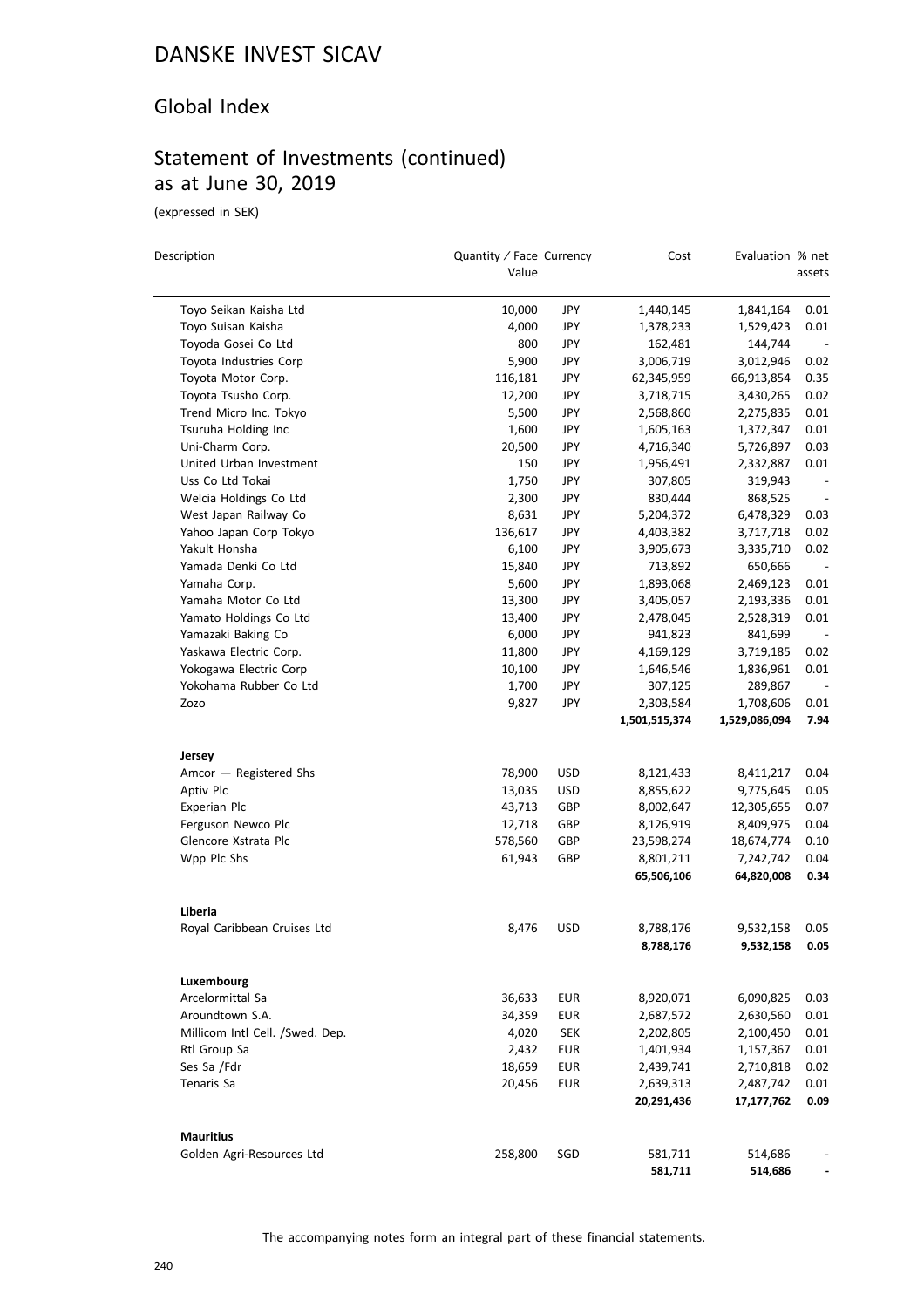### Global Index

# Statement of Investments (continued) as at June 30, 2019

(expressed in SEK)

| Description                     | Quantity / Face Currency<br>Value |            | Cost               | Evaluation % net   | assets                   |
|---------------------------------|-----------------------------------|------------|--------------------|--------------------|--------------------------|
| Toyo Seikan Kaisha Ltd          | 10,000                            | JPY        | 1,440,145          | 1,841,164          | 0.01                     |
| Toyo Suisan Kaisha              | 4,000                             | <b>JPY</b> | 1,378,233          | 1,529,423          | 0.01                     |
| Toyoda Gosei Co Ltd             | 800                               | JPY        | 162,481            | 144,744            |                          |
| Toyota Industries Corp          | 5,900                             | <b>JPY</b> | 3,006,719          | 3,012,946          | 0.02                     |
| Toyota Motor Corp.              | 116,181                           | <b>JPY</b> | 62,345,959         | 66,913,854         | 0.35                     |
| Toyota Tsusho Corp.             | 12,200                            | JPY        | 3,718,715          | 3,430,265          | 0.02                     |
| Trend Micro Inc. Tokyo          | 5,500                             | <b>JPY</b> | 2,568,860          | 2,275,835          | 0.01                     |
| Tsuruha Holding Inc             | 1,600                             | <b>JPY</b> | 1,605,163          | 1,372,347          | 0.01                     |
| Uni-Charm Corp.                 | 20,500                            | JPY        | 4,716,340          | 5,726,897          | 0.03                     |
| United Urban Investment         | 150                               | JPY        | 1,956,491          | 2,332,887          | 0.01                     |
| Uss Co Ltd Tokai                | 1,750                             | <b>JPY</b> | 307,805            | 319,943            | $\overline{\phantom{a}}$ |
| Welcia Holdings Co Ltd          | 2,300                             | JPY        | 830,444            | 868,525            | $\overline{\phantom{a}}$ |
| West Japan Railway Co           | 8,631                             | <b>JPY</b> | 5,204,372          | 6,478,329          | 0.03                     |
| Yahoo Japan Corp Tokyo          | 136,617                           | <b>JPY</b> | 4,403,382          | 3,717,718          | 0.02                     |
| Yakult Honsha                   | 6,100                             | JPY        | 3,905,673          | 3,335,710          | 0.02                     |
| Yamada Denki Co Ltd             | 15,840                            | <b>JPY</b> | 713,892            | 650,666            |                          |
| Yamaha Corp.                    | 5,600                             | <b>JPY</b> | 1,893,068          | 2,469,123          | 0.01                     |
| Yamaha Motor Co Ltd             | 13,300                            | JPY        | 3,405,057          | 2,193,336          | 0.01                     |
| Yamato Holdings Co Ltd          | 13,400                            | JPY        | 2,478,045          | 2,528,319          | 0.01                     |
| Yamazaki Baking Co              | 6,000                             | JPY        | 941,823            | 841,699            |                          |
| Yaskawa Electric Corp.          | 11,800                            | JPY        | 4,169,129          | 3,719,185          | 0.02                     |
| Yokogawa Electric Corp          | 10,100                            | <b>JPY</b> | 1,646,546          | 1,836,961          | 0.01                     |
| Yokohama Rubber Co Ltd          | 1,700                             | <b>JPY</b> | 307,125            | 289,867            |                          |
| Zozo                            | 9,827                             | JPY        | 2,303,584          | 1,708,606          | 0.01                     |
|                                 |                                   |            | 1,501,515,374      | 1,529,086,094      | 7.94                     |
| Jersey                          |                                   |            |                    |                    |                          |
| Amcor - Registered Shs          | 78,900                            | <b>USD</b> | 8,121,433          | 8,411,217          | 0.04                     |
| Aptiv Plc                       | 13,035                            | <b>USD</b> | 8,855,622          | 9,775,645          | 0.05                     |
| Experian Plc                    | 43,713                            | GBP        | 8,002,647          | 12,305,655         | 0.07                     |
| Ferguson Newco Plc              | 12,718                            | GBP        | 8,126,919          | 8,409,975          | 0.04                     |
| Glencore Xstrata Plc            | 578,560                           | GBP        | 23,598,274         | 18,674,774         | 0.10                     |
| Wpp Plc Shs                     | 61,943                            | GBP        | 8,801,211          | 7,242,742          | 0.04                     |
|                                 |                                   |            | 65,506,106         | 64,820,008         | 0.34                     |
| Liberia                         |                                   |            |                    |                    |                          |
| Royal Caribbean Cruises Ltd     | 8,476                             | <b>USD</b> | 8,788,176          | 9,532,158          | 0.05                     |
|                                 |                                   |            | 8,788,176          | 9,532,158          | 0.05                     |
| Luxembourg                      |                                   |            |                    |                    |                          |
| Arcelormittal Sa                | 36,633                            | <b>EUR</b> | 8,920,071          | 6,090,825          | 0.03                     |
| Aroundtown S.A.                 | 34,359                            | <b>EUR</b> | 2,687,572          | 2,630,560          | 0.01                     |
| Millicom Intl Cell. /Swed. Dep. | 4,020                             | <b>SEK</b> | 2,202,805          | 2,100,450          | 0.01                     |
| Rtl Group Sa                    | 2,432                             | <b>EUR</b> | 1,401,934          | 1,157,367          | 0.01                     |
| Ses Sa /Fdr                     | 18,659                            | <b>EUR</b> | 2,439,741          | 2,710,818          | 0.02                     |
| Tenaris Sa                      | 20,456                            | EUR        | 2,639,313          | 2,487,742          | 0.01                     |
|                                 |                                   |            | 20,291,436         | 17,177,762         | 0.09                     |
| <b>Mauritius</b>                |                                   |            |                    |                    |                          |
| Golden Agri-Resources Ltd       | 258,800                           | SGD        | 581,711<br>581,711 | 514,686<br>514,686 | -                        |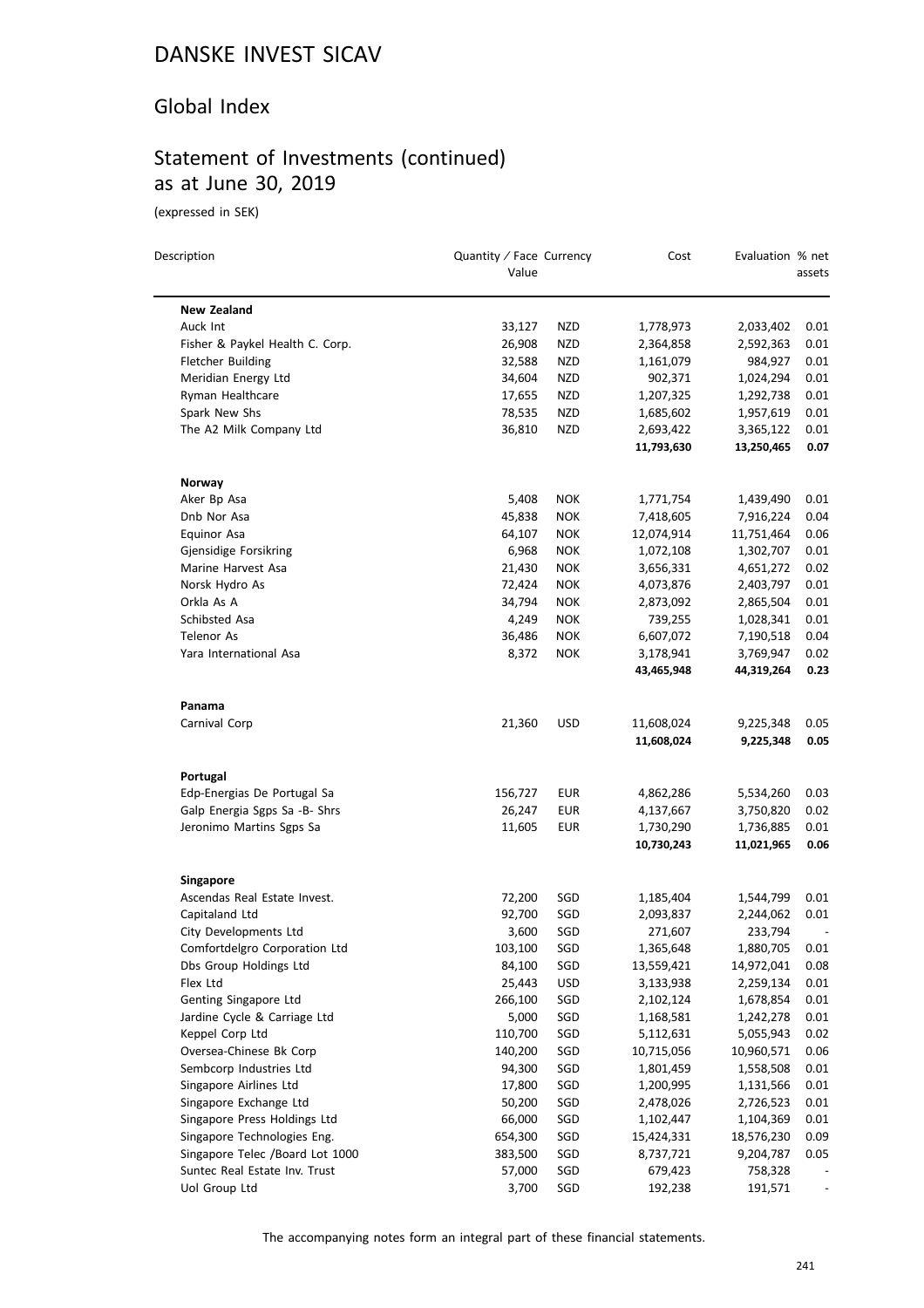### Global Index

## Statement of Investments (continued) as at June 30, 2019

(expressed in SEK)

| Description                                      | Quantity / Face Currency<br>Value |            | Cost                    | Evaluation % net        | assets       |
|--------------------------------------------------|-----------------------------------|------------|-------------------------|-------------------------|--------------|
| <b>New Zealand</b>                               |                                   |            |                         |                         |              |
| Auck Int                                         | 33,127                            | <b>NZD</b> | 1,778,973               | 2,033,402               | 0.01         |
| Fisher & Paykel Health C. Corp.                  | 26,908                            | <b>NZD</b> | 2,364,858               | 2,592,363               | 0.01         |
| <b>Fletcher Building</b>                         | 32,588                            | <b>NZD</b> | 1,161,079               | 984,927                 | 0.01         |
| Meridian Energy Ltd                              | 34,604                            | NZD        | 902,371                 | 1,024,294               | 0.01         |
| Ryman Healthcare                                 | 17,655                            | NZD        | 1,207,325               | 1,292,738               | 0.01         |
| Spark New Shs                                    | 78,535                            | NZD        | 1,685,602               | 1,957,619               | 0.01         |
| The A2 Milk Company Ltd                          | 36,810                            | <b>NZD</b> | 2,693,422               | 3,365,122               | 0.01         |
|                                                  |                                   |            | 11,793,630              | 13,250,465              | 0.07         |
| Norway                                           |                                   |            |                         |                         |              |
| Aker Bp Asa                                      | 5,408                             | <b>NOK</b> | 1,771,754               | 1,439,490               | 0.01         |
| Dnb Nor Asa                                      | 45,838                            | <b>NOK</b> | 7,418,605               | 7,916,224               | 0.04         |
| <b>Equinor Asa</b>                               | 64,107                            | <b>NOK</b> | 12,074,914              | 11,751,464              | 0.06         |
| Gjensidige Forsikring                            | 6,968                             | <b>NOK</b> | 1,072,108               | 1,302,707               | 0.01         |
| Marine Harvest Asa                               | 21,430                            | <b>NOK</b> | 3,656,331               | 4,651,272               | 0.02         |
| Norsk Hydro As                                   | 72,424                            | <b>NOK</b> | 4,073,876               | 2,403,797               | 0.01         |
| Orkla As A                                       | 34,794                            | <b>NOK</b> | 2,873,092               | 2,865,504               | 0.01         |
| Schibsted Asa                                    | 4,249                             | <b>NOK</b> | 739,255                 | 1,028,341               | 0.01         |
| <b>Telenor As</b>                                | 36,486                            | <b>NOK</b> | 6,607,072               | 7,190,518               | 0.04         |
| Yara International Asa                           | 8,372                             | <b>NOK</b> | 3,178,941               | 3,769,947               | 0.02         |
|                                                  |                                   |            | 43,465,948              | 44,319,264              | 0.23         |
| Panama                                           |                                   |            |                         |                         |              |
| Carnival Corp                                    | 21,360                            | <b>USD</b> | 11,608,024              | 9,225,348               | 0.05         |
|                                                  |                                   |            | 11,608,024              | 9,225,348               | 0.05         |
| Portugal                                         |                                   |            |                         |                         |              |
| Edp-Energias De Portugal Sa                      | 156,727                           | EUR        | 4,862,286               | 5,534,260               | 0.03         |
| Galp Energia Sgps Sa -B- Shrs                    | 26,247                            | EUR        | 4,137,667               | 3,750,820               | 0.02         |
| Jeronimo Martins Sgps Sa                         | 11,605                            | <b>EUR</b> | 1,730,290<br>10,730,243 | 1,736,885<br>11,021,965 | 0.01<br>0.06 |
|                                                  |                                   |            |                         |                         |              |
| <b>Singapore</b><br>Ascendas Real Estate Invest. | 72,200                            | SGD        | 1,185,404               | 1,544,799               | 0.01         |
| Capitaland Ltd                                   | 92,700                            | SGD        | 2,093,837               | 2,244,062               | 0.01         |
| City Developments Ltd                            | 3,600                             | SGD        | 271,607                 | 233,794                 |              |
| Comfortdelgro Corporation Ltd                    | 103,100                           | SGD        | 1,365,648               | 1,880,705               | 0.01         |
| Dbs Group Holdings Ltd                           | 84,100                            | SGD        | 13,559,421              | 14,972,041              | 0.08         |
| Flex Ltd                                         | 25,443                            | <b>USD</b> | 3,133,938               | 2,259,134               | 0.01         |
| Genting Singapore Ltd                            | 266,100                           | SGD        | 2,102,124               | 1,678,854               | 0.01         |
| Jardine Cycle & Carriage Ltd                     | 5,000                             | SGD        | 1,168,581               | 1,242,278               | 0.01         |
| Keppel Corp Ltd                                  | 110,700                           | SGD        | 5,112,631               | 5,055,943               | 0.02         |
| Oversea-Chinese Bk Corp                          | 140,200                           | SGD        | 10,715,056              | 10,960,571              | 0.06         |
| Sembcorp Industries Ltd                          | 94,300                            | SGD        | 1,801,459               | 1,558,508               | 0.01         |
| Singapore Airlines Ltd                           | 17,800                            | SGD        | 1,200,995               | 1,131,566               | 0.01         |
| Singapore Exchange Ltd                           | 50,200                            | SGD        | 2,478,026               | 2,726,523               | 0.01         |
| Singapore Press Holdings Ltd                     | 66,000                            | SGD        | 1,102,447               | 1,104,369               | 0.01         |
| Singapore Technologies Eng.                      | 654,300                           | SGD        | 15,424,331              | 18,576,230              | 0.09         |
| Singapore Telec /Board Lot 1000                  | 383,500                           | SGD        | 8,737,721               | 9,204,787               | 0.05         |
| Suntec Real Estate Inv. Trust                    | 57,000                            | SGD        | 679,423                 | 758,328                 |              |
| Uol Group Ltd                                    | 3,700                             | SGD        | 192,238                 | 191,571                 |              |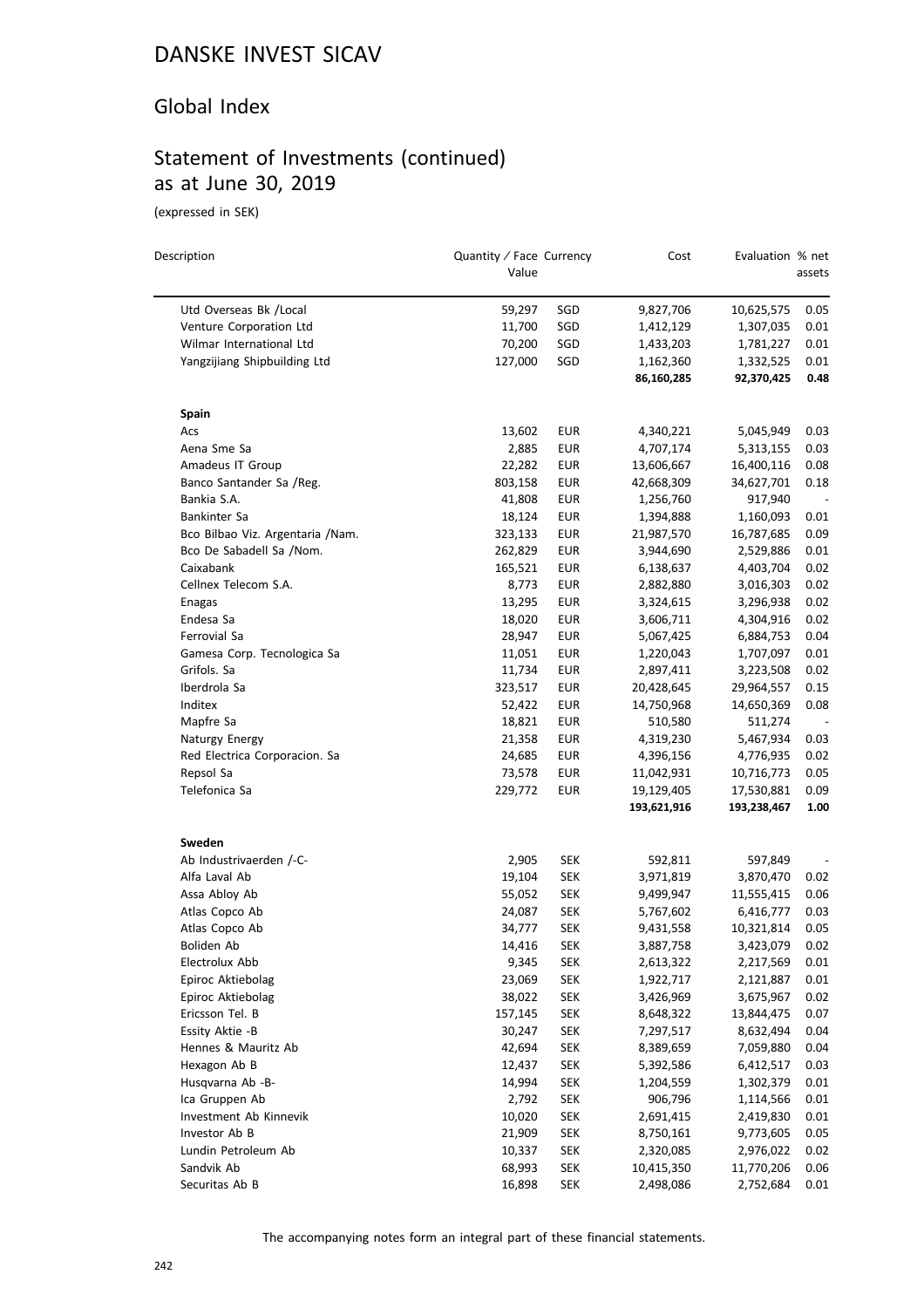#### Global Index

# Statement of Investments (continued) as at June 30, 2019

(expressed in SEK)

| Description                              | Quantity / Face Currency<br>Value |                          | Cost                    | Evaluation % net        | assets                   |
|------------------------------------------|-----------------------------------|--------------------------|-------------------------|-------------------------|--------------------------|
| Utd Overseas Bk /Local                   | 59,297                            | SGD                      | 9,827,706               | 10,625,575              | 0.05                     |
| Venture Corporation Ltd                  | 11,700                            | SGD                      | 1,412,129               | 1,307,035               | 0.01                     |
| Wilmar International Ltd                 | 70,200                            | SGD                      | 1,433,203               | 1,781,227               | 0.01                     |
| Yangzijiang Shipbuilding Ltd             | 127,000                           | SGD                      | 1,162,360               | 1,332,525               | 0.01                     |
|                                          |                                   |                          | 86,160,285              | 92,370,425              | 0.48                     |
| Spain                                    |                                   |                          |                         |                         |                          |
| Acs                                      | 13,602                            | EUR                      | 4,340,221               | 5,045,949               | 0.03                     |
| Aena Sme Sa                              | 2,885                             | <b>EUR</b>               | 4,707,174               | 5,313,155               | 0.03                     |
| Amadeus IT Group                         | 22,282                            | <b>EUR</b>               | 13,606,667              | 16,400,116              | 0.08                     |
| Banco Santander Sa /Reg.                 | 803,158                           | <b>EUR</b>               | 42,668,309              | 34,627,701              | 0.18                     |
| Bankia S.A.                              | 41,808                            | <b>EUR</b>               | 1,256,760               | 917,940                 | $\overline{\phantom{a}}$ |
| Bankinter Sa                             | 18,124                            | <b>EUR</b>               | 1,394,888               | 1,160,093               | 0.01                     |
| Bco Bilbao Viz. Argentaria / Nam.        | 323,133                           | <b>EUR</b>               | 21,987,570              | 16,787,685              | 0.09                     |
| Bco De Sabadell Sa /Nom.                 | 262,829                           | <b>EUR</b>               | 3,944,690               | 2,529,886               | 0.01                     |
| Caixabank                                | 165,521                           | <b>EUR</b>               | 6,138,637               | 4,403,704               | 0.02                     |
| Cellnex Telecom S.A.                     | 8,773                             | <b>EUR</b>               | 2,882,880               | 3,016,303               | 0.02                     |
| Enagas                                   | 13,295                            | <b>EUR</b>               | 3,324,615               | 3,296,938               | 0.02                     |
| Endesa Sa                                | 18,020                            | <b>EUR</b>               | 3,606,711               | 4,304,916               | 0.02                     |
| Ferrovial Sa                             | 28,947                            | <b>EUR</b>               | 5,067,425               | 6,884,753               | 0.04                     |
| Gamesa Corp. Tecnologica Sa              | 11,051                            | <b>EUR</b>               | 1,220,043               | 1,707,097               | 0.01                     |
| Grifols. Sa                              | 11,734                            | <b>EUR</b>               | 2,897,411               | 3,223,508               | 0.02                     |
| Iberdrola Sa                             | 323,517                           | <b>EUR</b>               | 20,428,645              | 29,964,557              | 0.15                     |
| Inditex                                  | 52,422                            | <b>EUR</b>               | 14,750,968              | 14,650,369              | 0.08                     |
| Mapfre Sa                                | 18,821                            | <b>EUR</b>               | 510,580                 | 511,274                 |                          |
| Naturgy Energy                           | 21,358                            | <b>EUR</b>               | 4,319,230               | 5,467,934               | 0.03                     |
| Red Electrica Corporacion. Sa            | 24,685                            | <b>EUR</b>               | 4,396,156               | 4,776,935               | 0.02                     |
| Repsol Sa                                | 73,578                            | <b>EUR</b>               | 11,042,931              | 10,716,773              | 0.05                     |
| Telefonica Sa                            | 229,772                           | <b>EUR</b>               | 19,129,405              | 17,530,881              | 0.09                     |
|                                          |                                   |                          | 193,621,916             | 193,238,467             | 1.00                     |
| Sweden                                   |                                   |                          |                         |                         |                          |
| Ab Industrivaerden /-C-                  | 2,905                             | <b>SEK</b>               | 592,811                 | 597,849                 | $\overline{\phantom{a}}$ |
| Alfa Laval Ab                            | 19,104                            | <b>SEK</b>               | 3,971,819               | 3,870,470               | 0.02                     |
| Assa Abloy Ab                            | 55,052                            | <b>SEK</b>               | 9,499,947               | 11,555,415              | 0.06                     |
| Atlas Copco Ab<br>Atlas Copco Ab         | 24,087                            | <b>SEK</b>               | 5,767,602               | 6,416,777               | 0.03                     |
|                                          | 34,777                            | <b>SEK</b>               | 9,431,558               | 10,321,814              | 0.05                     |
| Boliden Ab                               | 14,416                            | <b>SEK</b>               | 3,887,758               | 3,423,079               | 0.02                     |
| Electrolux Abb                           | 9,345                             | SEK                      | 2,613,322               | 2,217,569               | 0.01                     |
| Epiroc Aktiebolag<br>Epiroc Aktiebolag   | 23,069                            | <b>SEK</b>               | 1,922,717               | 2,121,887               | 0.01                     |
| Ericsson Tel. B                          | 38,022                            | <b>SEK</b>               | 3,426,969<br>8,648,322  | 3,675,967               | 0.02                     |
|                                          | 157,145<br>30,247                 | <b>SEK</b>               |                         | 13,844,475<br>8,632,494 | 0.07                     |
| Essity Aktie -B<br>Hennes & Mauritz Ab   | 42,694                            | <b>SEK</b><br><b>SEK</b> | 7,297,517               | 7,059,880               | 0.04<br>0.04             |
| Hexagon Ab B                             | 12,437                            |                          | 8,389,659               |                         |                          |
| Husqvarna Ab -B-                         | 14,994                            | <b>SEK</b><br><b>SEK</b> | 5,392,586<br>1,204,559  | 6,412,517<br>1,302,379  | 0.03<br>0.01             |
|                                          |                                   |                          |                         |                         |                          |
| Ica Gruppen Ab<br>Investment Ab Kinnevik | 2,792                             | <b>SEK</b>               | 906,796                 | 1,114,566               | 0.01                     |
| Investor Ab B                            | 10,020                            | <b>SEK</b>               | 2,691,415               | 2,419,830               | 0.01                     |
| Lundin Petroleum Ab                      | 21,909<br>10,337                  | <b>SEK</b><br><b>SEK</b> | 8,750,161               | 9,773,605<br>2,976,022  | 0.05<br>0.02             |
| Sandvik Ab                               | 68,993                            | <b>SEK</b>               | 2,320,085<br>10,415,350 | 11,770,206              | 0.06                     |
| Securitas Ab B                           | 16,898                            | <b>SEK</b>               | 2,498,086               | 2,752,684               | 0.01                     |
|                                          |                                   |                          |                         |                         |                          |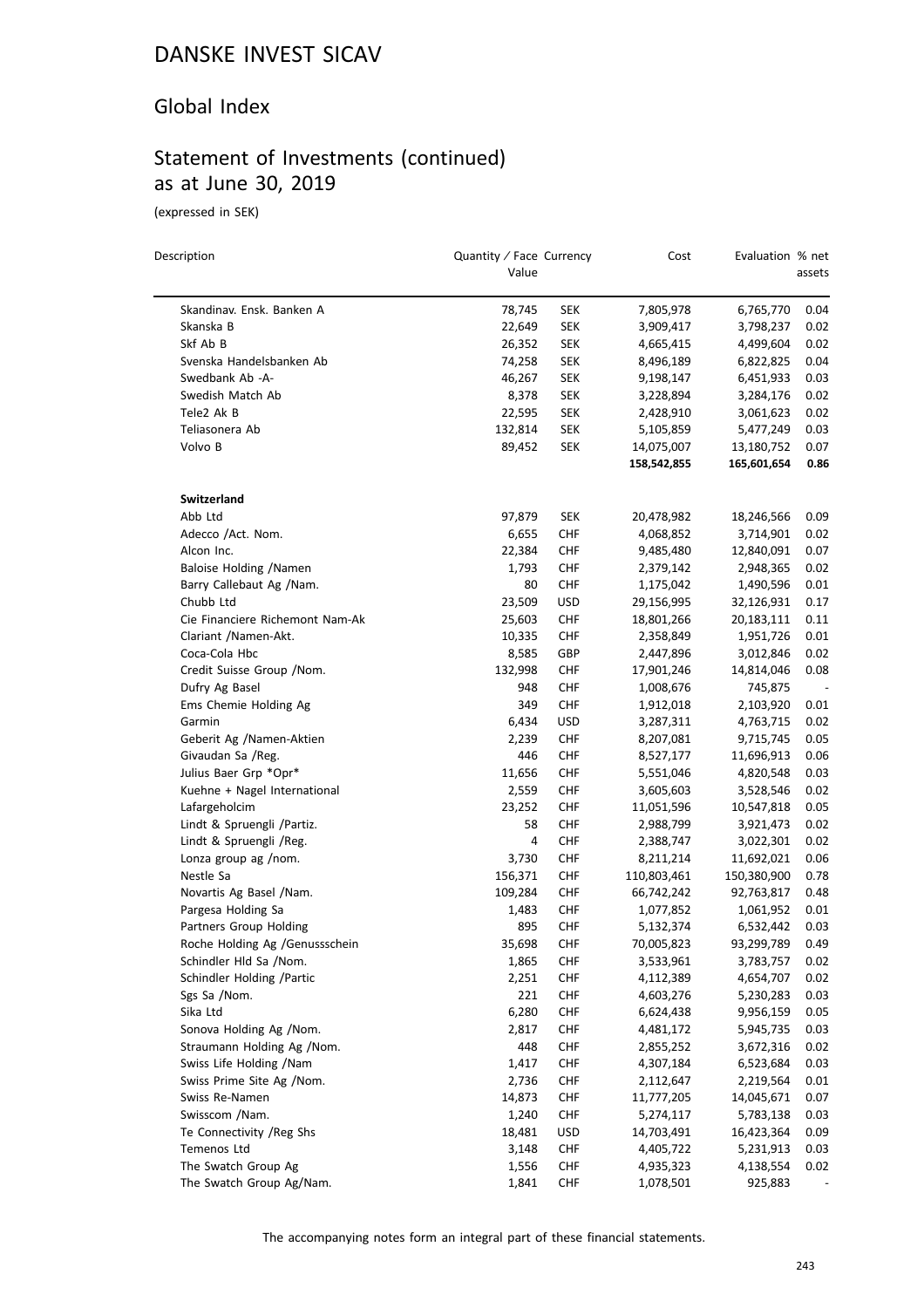#### Global Index

## Statement of Investments (continued) as at June 30, 2019

(expressed in SEK)

 $\overline{\phantom{0}}$ 

| Description                     | Quantity / Face Currency<br>Value |            | Cost        | Evaluation % net | assets |
|---------------------------------|-----------------------------------|------------|-------------|------------------|--------|
| Skandinav. Ensk. Banken A       | 78,745                            | <b>SEK</b> | 7,805,978   | 6,765,770        | 0.04   |
| Skanska B                       | 22,649                            | <b>SEK</b> | 3,909,417   | 3,798,237        | 0.02   |
| Skf Ab B                        | 26,352                            | <b>SEK</b> | 4,665,415   | 4,499,604        | 0.02   |
| Svenska Handelsbanken Ab        | 74,258                            | <b>SEK</b> | 8,496,189   | 6,822,825        | 0.04   |
| Swedbank Ab -A-                 | 46,267                            | <b>SEK</b> | 9,198,147   | 6,451,933        | 0.03   |
| Swedish Match Ab                | 8,378                             | <b>SEK</b> | 3,228,894   | 3,284,176        | 0.02   |
| Tele2 Ak B                      | 22,595                            | <b>SEK</b> | 2,428,910   | 3,061,623        | 0.02   |
| Teliasonera Ab                  | 132,814                           | <b>SEK</b> | 5,105,859   | 5,477,249        | 0.03   |
| Volvo B                         | 89,452                            | <b>SEK</b> | 14,075,007  | 13,180,752       | 0.07   |
|                                 |                                   |            | 158,542,855 | 165,601,654      | 0.86   |
| <b>Switzerland</b>              |                                   |            |             |                  |        |
| Abb Ltd                         | 97,879                            | <b>SEK</b> | 20,478,982  | 18,246,566       | 0.09   |
| Adecco /Act. Nom.               | 6,655                             | <b>CHF</b> | 4,068,852   | 3,714,901        | 0.02   |
| Alcon Inc.                      | 22,384                            | <b>CHF</b> | 9,485,480   | 12,840,091       | 0.07   |
| Baloise Holding /Namen          | 1,793                             | <b>CHF</b> | 2,379,142   | 2,948,365        | 0.02   |
| Barry Callebaut Ag /Nam.        | 80                                | <b>CHF</b> | 1,175,042   | 1,490,596        | 0.01   |
| Chubb Ltd                       | 23,509                            | USD        | 29,156,995  | 32,126,931       | 0.17   |
| Cie Financiere Richemont Nam-Ak | 25,603                            | <b>CHF</b> | 18,801,266  | 20,183,111       | 0.11   |
| Clariant /Namen-Akt.            | 10,335                            | <b>CHF</b> | 2,358,849   | 1,951,726        | 0.01   |
| Coca-Cola Hbc                   | 8,585                             | GBP        | 2,447,896   | 3,012,846        | 0.02   |
| Credit Suisse Group / Nom.      | 132,998                           | <b>CHF</b> | 17,901,246  | 14,814,046       | 0.08   |
| Dufry Ag Basel                  | 948                               | <b>CHF</b> | 1,008,676   | 745,875          |        |
| Ems Chemie Holding Ag           | 349                               | <b>CHF</b> | 1,912,018   | 2,103,920        | 0.01   |
| Garmin                          | 6,434                             | USD        | 3,287,311   | 4,763,715        | 0.02   |
| Geberit Ag /Namen-Aktien        | 2,239                             | <b>CHF</b> | 8,207,081   | 9,715,745        | 0.05   |
| Givaudan Sa /Reg.               | 446                               | <b>CHF</b> | 8,527,177   | 11,696,913       | 0.06   |
| Julius Baer Grp *Opr*           | 11,656                            | <b>CHF</b> | 5,551,046   | 4,820,548        | 0.03   |
| Kuehne + Nagel International    | 2,559                             | <b>CHF</b> | 3,605,603   | 3,528,546        | 0.02   |
| Lafargeholcim                   | 23,252                            | <b>CHF</b> | 11,051,596  | 10,547,818       | 0.05   |
| Lindt & Spruengli /Partiz.      | 58                                | <b>CHF</b> | 2,988,799   | 3,921,473        | 0.02   |
| Lindt & Spruengli /Reg.         | 4                                 | <b>CHF</b> | 2,388,747   | 3,022,301        | 0.02   |
| Lonza group ag /nom.            | 3,730                             | <b>CHF</b> | 8,211,214   | 11,692,021       | 0.06   |
| Nestle Sa                       | 156,371                           | <b>CHF</b> | 110,803,461 | 150,380,900      | 0.78   |
| Novartis Ag Basel / Nam.        | 109,284                           | <b>CHF</b> | 66,742,242  | 92,763,817       | 0.48   |
| Pargesa Holding Sa              | 1,483                             | <b>CHF</b> | 1,077,852   | 1,061,952        | 0.01   |
| Partners Group Holding          | 895                               | <b>CHF</b> | 5,132,374   | 6,532,442        | 0.03   |
| Roche Holding Ag /Genussschein  | 35,698                            | <b>CHF</b> | 70,005,823  | 93,299,789       | 0.49   |
| Schindler Hld Sa /Nom.          | 1,865                             | CHF        | 3,533,961   | 3,783,757        | 0.02   |
| Schindler Holding / Partic      | 2,251                             | <b>CHF</b> | 4,112,389   | 4,654,707        | 0.02   |
| Sgs Sa /Nom.                    | 221                               | <b>CHF</b> | 4,603,276   | 5,230,283        | 0.03   |
| Sika Ltd                        | 6,280                             | <b>CHF</b> | 6,624,438   | 9,956,159        | 0.05   |
| Sonova Holding Ag /Nom.         | 2,817                             | <b>CHF</b> | 4,481,172   | 5,945,735        | 0.03   |
| Straumann Holding Ag /Nom.      | 448                               | <b>CHF</b> | 2,855,252   | 3,672,316        | 0.02   |
| Swiss Life Holding /Nam         | 1,417                             | <b>CHF</b> | 4,307,184   | 6,523,684        | 0.03   |
| Swiss Prime Site Ag /Nom.       | 2,736                             | <b>CHF</b> | 2,112,647   | 2,219,564        | 0.01   |
| Swiss Re-Namen                  | 14,873                            | <b>CHF</b> | 11,777,205  | 14,045,671       | 0.07   |
| Swisscom /Nam.                  | 1,240                             | <b>CHF</b> | 5,274,117   | 5,783,138        | 0.03   |
| Te Connectivity / Reg Shs       | 18,481                            | <b>USD</b> | 14,703,491  | 16,423,364       | 0.09   |
| Temenos Ltd                     | 3,148                             | <b>CHF</b> | 4,405,722   | 5,231,913        | 0.03   |
| The Swatch Group Ag             | 1,556                             | CHF        | 4,935,323   | 4,138,554        | 0.02   |
| The Swatch Group Ag/Nam.        | 1,841                             | <b>CHF</b> | 1,078,501   | 925,883          |        |
|                                 |                                   |            |             |                  |        |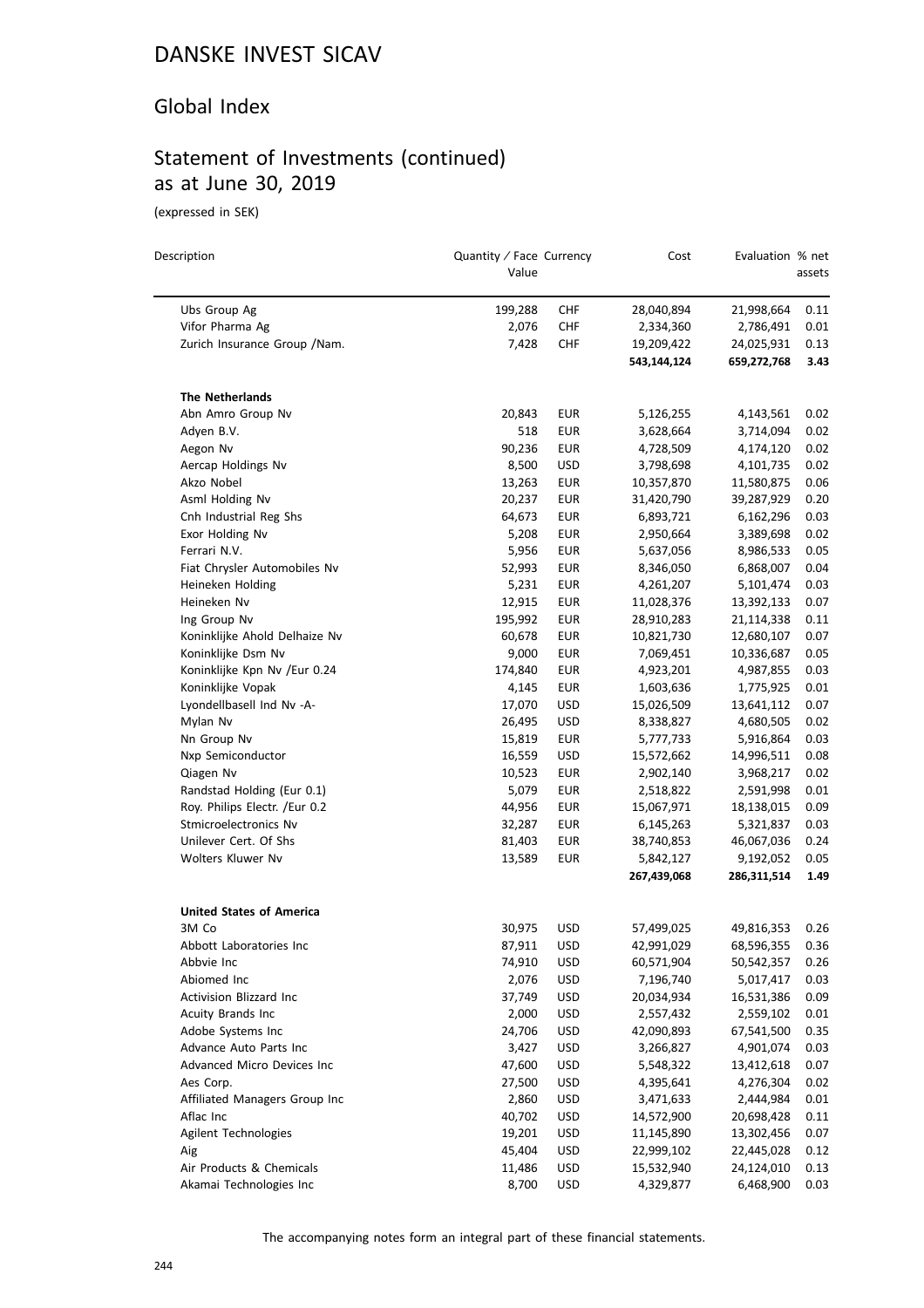### Global Index

# Statement of Investments (continued) as at June 30, 2019

(expressed in SEK)

| Description                     | Quantity / Face Currency<br>Value |            | Cost        | Evaluation % net | assets |
|---------------------------------|-----------------------------------|------------|-------------|------------------|--------|
| Ubs Group Ag                    | 199,288                           | CHF        | 28,040,894  | 21,998,664       | 0.11   |
| Vifor Pharma Ag                 | 2,076                             | CHF        | 2,334,360   | 2,786,491        | 0.01   |
| Zurich Insurance Group /Nam.    | 7,428                             | CHF        | 19,209,422  | 24,025,931       | 0.13   |
|                                 |                                   |            | 543,144,124 | 659,272,768      | 3.43   |
| <b>The Netherlands</b>          |                                   |            |             |                  |        |
| Abn Amro Group Nv               | 20,843                            | <b>EUR</b> | 5,126,255   | 4,143,561        | 0.02   |
| Adyen B.V.                      | 518                               | <b>EUR</b> | 3,628,664   | 3,714,094        | 0.02   |
| Aegon Nv                        | 90,236                            | EUR        | 4,728,509   | 4,174,120        | 0.02   |
| Aercap Holdings Nv              | 8,500                             | USD        | 3,798,698   | 4,101,735        | 0.02   |
| Akzo Nobel                      | 13,263                            | <b>EUR</b> | 10,357,870  | 11,580,875       | 0.06   |
| Asml Holding Nv                 | 20,237                            | <b>EUR</b> | 31,420,790  | 39,287,929       | 0.20   |
| Cnh Industrial Reg Shs          | 64,673                            | <b>EUR</b> | 6,893,721   | 6,162,296        | 0.03   |
| Exor Holding Nv                 | 5,208                             | <b>EUR</b> | 2,950,664   | 3,389,698        | 0.02   |
| Ferrari N.V.                    | 5,956                             | <b>EUR</b> | 5,637,056   | 8,986,533        | 0.05   |
| Fiat Chrysler Automobiles Nv    | 52,993                            | EUR        | 8,346,050   | 6,868,007        | 0.04   |
| Heineken Holding                | 5,231                             | <b>EUR</b> | 4,261,207   | 5,101,474        | 0.03   |
| Heineken Nv                     | 12,915                            | EUR        | 11,028,376  | 13,392,133       | 0.07   |
| Ing Group Nv                    | 195,992                           | EUR        | 28,910,283  | 21,114,338       | 0.11   |
| Koninklijke Ahold Delhaize Nv   | 60,678                            | <b>EUR</b> | 10,821,730  | 12,680,107       | 0.07   |
| Koninklijke Dsm Nv              | 9,000                             | <b>EUR</b> | 7,069,451   | 10,336,687       | 0.05   |
| Koninklijke Kpn Nv /Eur 0.24    | 174,840                           | EUR        | 4,923,201   | 4,987,855        | 0.03   |
| Koninklijke Vopak               | 4,145                             | <b>EUR</b> | 1,603,636   | 1,775,925        | 0.01   |
| Lyondellbasell Ind Nv -A-       | 17,070                            | <b>USD</b> | 15,026,509  | 13,641,112       | 0.07   |
| Mylan Nv                        | 26,495                            | USD        | 8,338,827   | 4,680,505        | 0.02   |
| Nn Group Nv                     | 15,819                            | <b>EUR</b> | 5,777,733   | 5,916,864        | 0.03   |
| Nxp Semiconductor               | 16,559                            | <b>USD</b> | 15,572,662  | 14,996,511       | 0.08   |
| Qiagen Nv                       | 10,523                            | EUR        | 2,902,140   | 3,968,217        | 0.02   |
| Randstad Holding (Eur 0.1)      | 5,079                             | <b>EUR</b> | 2,518,822   | 2,591,998        | 0.01   |
| Roy. Philips Electr. /Eur 0.2   | 44,956                            | <b>EUR</b> | 15,067,971  | 18,138,015       | 0.09   |
| Stmicroelectronics Nv           | 32,287                            | <b>EUR</b> | 6,145,263   | 5,321,837        | 0.03   |
| Unilever Cert. Of Shs           | 81,403                            | EUR        | 38,740,853  | 46,067,036       | 0.24   |
| Wolters Kluwer Nv               | 13,589                            | EUR        | 5,842,127   | 9,192,052        | 0.05   |
|                                 |                                   |            | 267,439,068 | 286,311,514      | 1.49   |
| <b>United States of America</b> |                                   |            |             |                  |        |
| 3M Co                           | 30,975                            | USD        | 57,499,025  | 49,816,353       | 0.26   |
| Abbott Laboratories Inc         | 87,911                            | <b>USD</b> | 42,991,029  | 68,596,355       | 0.36   |
| Abbvie Inc                      | 74,910                            | USD        | 60,571,904  | 50,542,357       | 0.26   |
| Abiomed Inc                     | 2,076                             | <b>USD</b> | 7,196,740   | 5,017,417        | 0.03   |
| Activision Blizzard Inc         | 37,749                            | <b>USD</b> | 20,034,934  | 16,531,386       | 0.09   |
| Acuity Brands Inc               | 2,000                             | <b>USD</b> | 2,557,432   | 2,559,102        | 0.01   |
| Adobe Systems Inc               | 24,706                            | <b>USD</b> | 42,090,893  | 67,541,500       | 0.35   |
| Advance Auto Parts Inc          | 3,427                             | <b>USD</b> | 3,266,827   | 4,901,074        | 0.03   |
| Advanced Micro Devices Inc      | 47,600                            | <b>USD</b> | 5,548,322   | 13,412,618       | 0.07   |
| Aes Corp.                       | 27,500                            | <b>USD</b> | 4,395,641   | 4,276,304        | 0.02   |
| Affiliated Managers Group Inc   | 2,860                             | USD        | 3,471,633   | 2,444,984        | 0.01   |
| Aflac Inc                       | 40,702                            | <b>USD</b> | 14,572,900  | 20,698,428       | 0.11   |
| Agilent Technologies            | 19,201                            | <b>USD</b> | 11,145,890  | 13,302,456       | 0.07   |
| Aig                             | 45,404                            | <b>USD</b> | 22,999,102  | 22,445,028       | 0.12   |
| Air Products & Chemicals        | 11,486                            | <b>USD</b> | 15,532,940  | 24,124,010       | 0.13   |
| Akamai Technologies Inc         | 8,700                             | <b>USD</b> | 4,329,877   | 6,468,900        | 0.03   |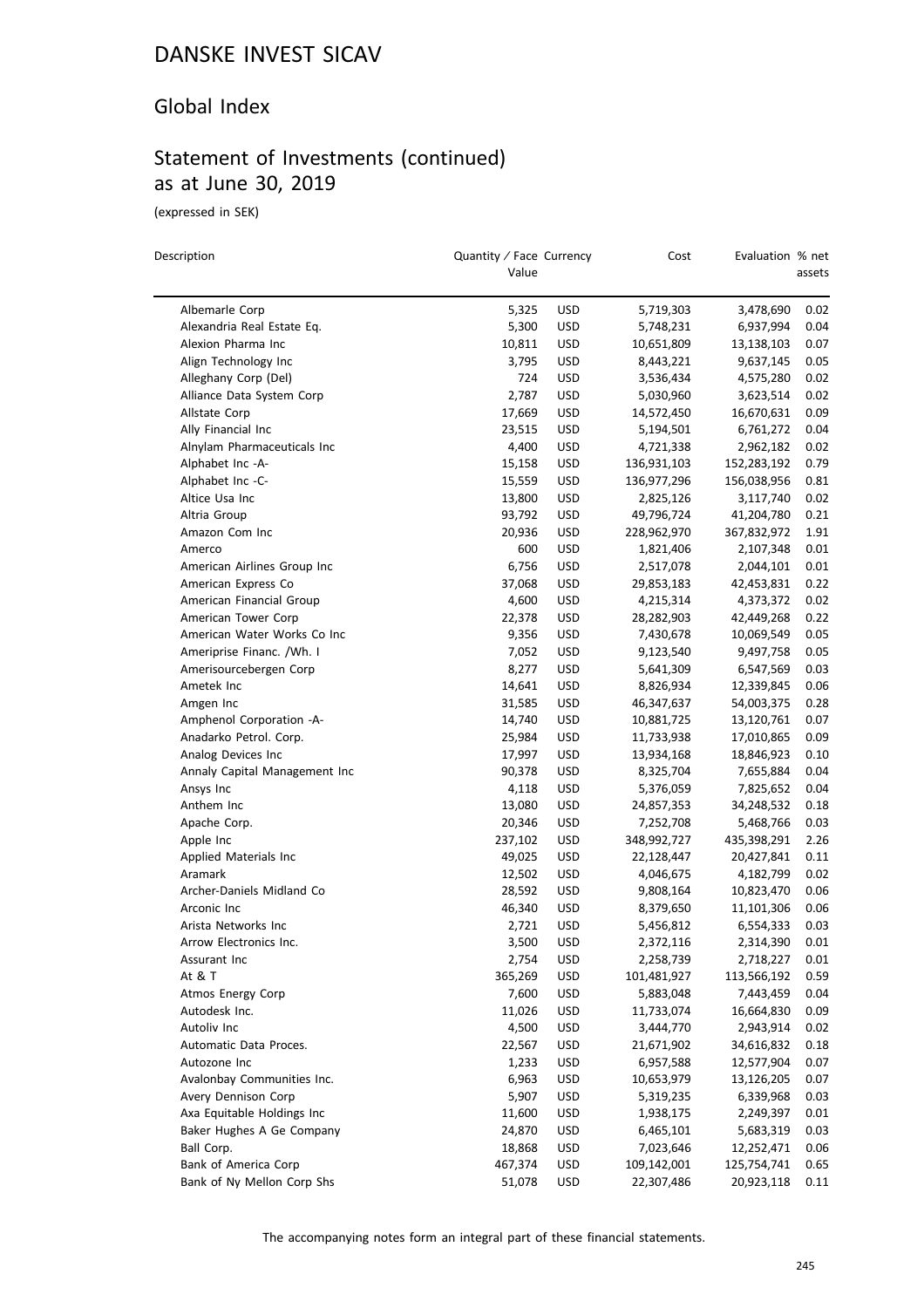### Global Index

## Statement of Investments (continued) as at June 30, 2019

(expressed in SEK)

 $\overline{a}$ 

| Description                   | Quantity / Face Currency<br>Value |            | Cost        | Evaluation % net | assets |
|-------------------------------|-----------------------------------|------------|-------------|------------------|--------|
| Albemarle Corp                | 5,325                             | USD        | 5,719,303   | 3,478,690        | 0.02   |
| Alexandria Real Estate Eq.    | 5,300                             | <b>USD</b> | 5,748,231   | 6,937,994        | 0.04   |
| Alexion Pharma Inc            | 10,811                            | USD        | 10,651,809  | 13,138,103       | 0.07   |
| Align Technology Inc          | 3,795                             | <b>USD</b> | 8,443,221   | 9,637,145        | 0.05   |
| Alleghany Corp (Del)          | 724                               | <b>USD</b> | 3,536,434   | 4,575,280        | 0.02   |
| Alliance Data System Corp     | 2,787                             | <b>USD</b> | 5,030,960   | 3,623,514        | 0.02   |
| Allstate Corp                 | 17,669                            | USD        | 14,572,450  | 16,670,631       | 0.09   |
| Ally Financial Inc            | 23,515                            | <b>USD</b> | 5,194,501   | 6,761,272        | 0.04   |
| Alnylam Pharmaceuticals Inc   | 4,400                             | USD        | 4,721,338   | 2,962,182        | 0.02   |
| Alphabet Inc -A-              | 15,158                            | USD        | 136,931,103 | 152,283,192      | 0.79   |
| Alphabet Inc -C-              | 15,559                            | USD        | 136,977,296 | 156,038,956      | 0.81   |
| Altice Usa Inc                | 13,800                            | USD        | 2,825,126   | 3,117,740        | 0.02   |
| Altria Group                  | 93,792                            | <b>USD</b> | 49,796,724  | 41,204,780       | 0.21   |
| Amazon Com Inc                | 20,936                            | <b>USD</b> | 228,962,970 | 367,832,972      | 1.91   |
| Amerco                        | 600                               | USD        | 1,821,406   | 2,107,348        | 0.01   |
| American Airlines Group Inc   | 6,756                             | <b>USD</b> | 2,517,078   | 2,044,101        | 0.01   |
| American Express Co           | 37,068                            | <b>USD</b> | 29,853,183  | 42,453,831       | 0.22   |
| American Financial Group      | 4,600                             | <b>USD</b> | 4,215,314   | 4,373,372        | 0.02   |
| American Tower Corp           | 22,378                            | <b>USD</b> | 28,282,903  | 42,449,268       | 0.22   |
| American Water Works Co Inc   | 9,356                             | <b>USD</b> | 7,430,678   | 10,069,549       | 0.05   |
| Ameriprise Financ. /Wh. I     | 7,052                             | <b>USD</b> | 9,123,540   | 9,497,758        | 0.05   |
| Amerisourcebergen Corp        | 8,277                             | <b>USD</b> | 5,641,309   | 6,547,569        | 0.03   |
| Ametek Inc                    | 14,641                            | USD        | 8,826,934   | 12,339,845       | 0.06   |
| Amgen Inc                     | 31,585                            | USD        | 46,347,637  | 54,003,375       | 0.28   |
| Amphenol Corporation -A-      | 14,740                            | <b>USD</b> | 10,881,725  | 13,120,761       | 0.07   |
| Anadarko Petrol. Corp.        | 25,984                            | <b>USD</b> | 11,733,938  | 17,010,865       | 0.09   |
| Analog Devices Inc            | 17,997                            | USD        | 13,934,168  | 18,846,923       | 0.10   |
| Annaly Capital Management Inc | 90,378                            | <b>USD</b> | 8,325,704   | 7,655,884        | 0.04   |
| Ansys Inc                     | 4,118                             | USD        | 5,376,059   | 7,825,652        | 0.04   |
| Anthem Inc                    | 13,080                            | <b>USD</b> | 24,857,353  | 34,248,532       | 0.18   |
| Apache Corp.                  | 20,346                            | <b>USD</b> | 7,252,708   | 5,468,766        | 0.03   |
| Apple Inc                     | 237,102                           | USD        | 348,992,727 | 435,398,291      | 2.26   |
| Applied Materials Inc         | 49,025                            | USD        | 22,128,447  | 20,427,841       | 0.11   |
| Aramark                       | 12,502                            | USD        | 4,046,675   | 4,182,799        | 0.02   |
| Archer-Daniels Midland Co     | 28,592                            | <b>USD</b> | 9,808,164   | 10,823,470       | 0.06   |
| Arconic Inc                   | 46,340                            | USD        | 8,379,650   | 11,101,306       | 0.06   |
| Arista Networks Inc           | 2,721                             | <b>USD</b> | 5,456,812   | 6,554,333        | 0.03   |
| Arrow Electronics Inc.        | 3,500                             | USD        | 2,372,116   | 2,314,390        | 0.01   |
| Assurant Inc                  | 2,754                             | <b>USD</b> | 2,258,739   | 2,718,227        | 0.01   |
| At & T                        | 365,269                           | <b>USD</b> | 101,481,927 | 113,566,192      | 0.59   |
| Atmos Energy Corp             | 7,600                             | <b>USD</b> | 5,883,048   | 7,443,459        | 0.04   |
| Autodesk Inc.                 | 11,026                            | <b>USD</b> | 11,733,074  | 16,664,830       | 0.09   |
| Autoliv Inc                   | 4,500                             | <b>USD</b> | 3,444,770   | 2,943,914        | 0.02   |
| Automatic Data Proces.        | 22,567                            | <b>USD</b> | 21,671,902  | 34,616,832       | 0.18   |
| Autozone Inc                  | 1,233                             | <b>USD</b> | 6,957,588   | 12,577,904       | 0.07   |
| Avalonbay Communities Inc.    | 6,963                             | <b>USD</b> | 10,653,979  | 13,126,205       | 0.07   |
| Avery Dennison Corp           | 5,907                             | <b>USD</b> | 5,319,235   | 6,339,968        | 0.03   |
| Axa Equitable Holdings Inc    | 11,600                            | <b>USD</b> | 1,938,175   | 2,249,397        | 0.01   |
| Baker Hughes A Ge Company     | 24,870                            | <b>USD</b> | 6,465,101   | 5,683,319        | 0.03   |
| Ball Corp.                    | 18,868                            | <b>USD</b> | 7,023,646   | 12,252,471       | 0.06   |
| Bank of America Corp          | 467,374                           | <b>USD</b> | 109,142,001 | 125,754,741      | 0.65   |
| Bank of Ny Mellon Corp Shs    | 51,078                            | USD        | 22,307,486  | 20,923,118       | 0.11   |
|                               |                                   |            |             |                  |        |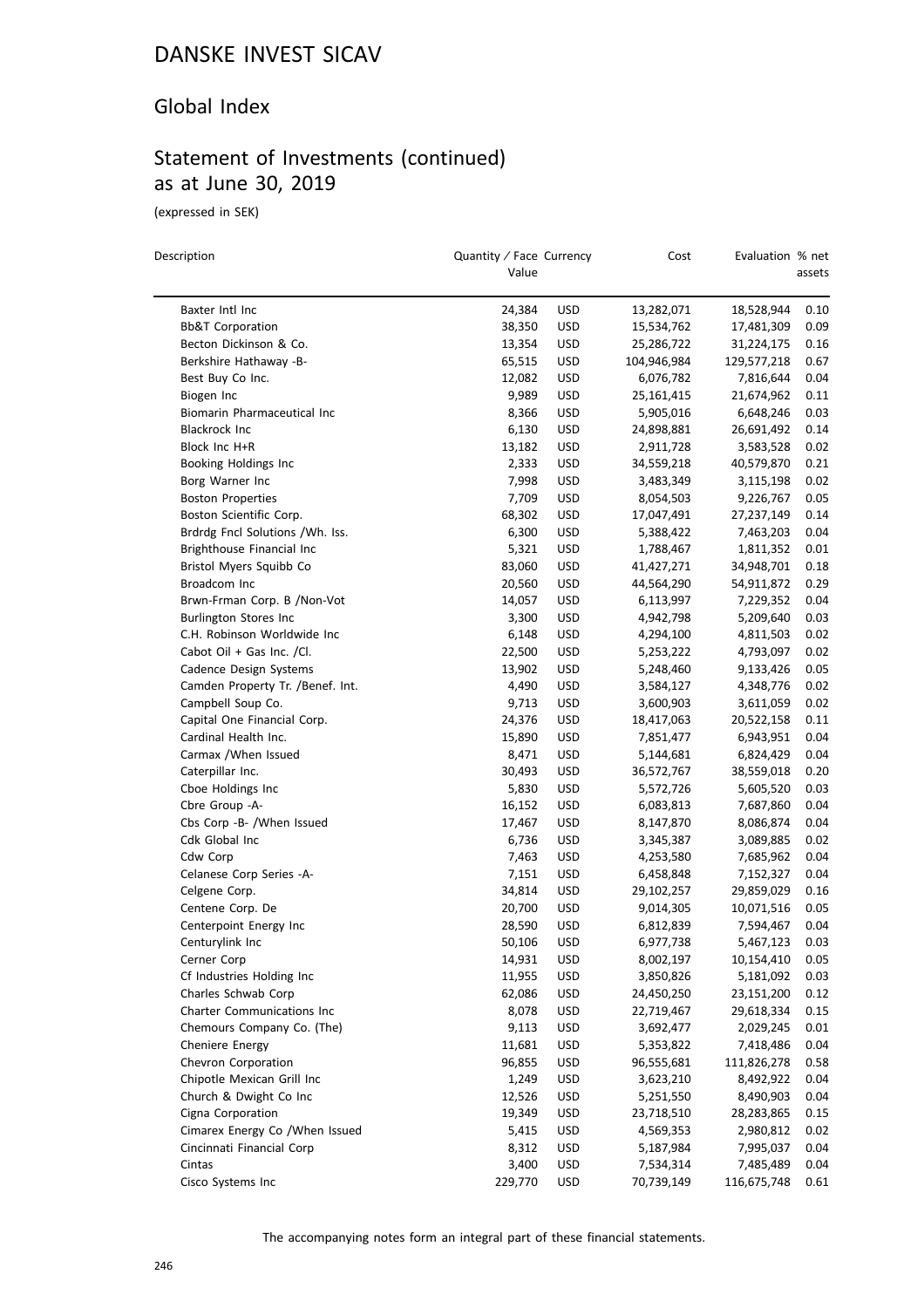### Global Index

# Statement of Investments (continued) as at June 30, 2019

(expressed in SEK)

| Description                      | Quantity / Face Currency<br>Value |            | Cost                    | Evaluation % net | assets       |
|----------------------------------|-----------------------------------|------------|-------------------------|------------------|--------------|
| Baxter Intl Inc                  | 24,384                            | <b>USD</b> | 13,282,071              | 18,528,944       | 0.10         |
| <b>Bb&amp;T Corporation</b>      | 38,350                            | <b>USD</b> | 15,534,762              | 17,481,309       | 0.09         |
| Becton Dickinson & Co.           | 13,354                            | <b>USD</b> | 25,286,722              | 31,224,175       | 0.16         |
| Berkshire Hathaway -B-           | 65,515                            | <b>USD</b> | 104,946,984             | 129,577,218      | 0.67         |
| Best Buy Co Inc.                 | 12,082                            | <b>USD</b> | 6,076,782               | 7,816,644        | 0.04         |
| Biogen Inc                       | 9,989                             | <b>USD</b> | 25,161,415              | 21,674,962       | 0.11         |
| Biomarin Pharmaceutical Inc      | 8,366                             | <b>USD</b> | 5,905,016               | 6,648,246        | 0.03         |
| Blackrock Inc                    | 6,130                             | <b>USD</b> | 24,898,881              | 26,691,492       | 0.14         |
| Block Inc H+R                    | 13,182                            | <b>USD</b> | 2,911,728               | 3,583,528        | 0.02         |
| Booking Holdings Inc             | 2,333                             | <b>USD</b> | 34,559,218              | 40,579,870       | 0.21         |
| Borg Warner Inc                  | 7,998                             | <b>USD</b> | 3,483,349               | 3,115,198        | 0.02         |
| <b>Boston Properties</b>         | 7,709                             | <b>USD</b> | 8,054,503               | 9,226,767        | 0.05         |
| Boston Scientific Corp.          | 68,302                            | <b>USD</b> | 17,047,491              | 27,237,149       | 0.14         |
| Brdrdg Fncl Solutions /Wh. Iss.  | 6,300                             | <b>USD</b> |                         | 7,463,203        | 0.04         |
| Brighthouse Financial Inc        | 5,321                             | <b>USD</b> | 5,388,422               |                  | 0.01         |
| Bristol Myers Squibb Co          |                                   |            | 1,788,467<br>41,427,271 | 1,811,352        |              |
| Broadcom Inc                     | 83,060                            | <b>USD</b> |                         | 34,948,701       | 0.18         |
|                                  | 20,560                            | <b>USD</b> | 44,564,290              | 54,911,872       | 0.29<br>0.04 |
| Brwn-Frman Corp. B /Non-Vot      | 14,057                            | <b>USD</b> | 6,113,997               | 7,229,352        |              |
| <b>Burlington Stores Inc</b>     | 3,300                             | <b>USD</b> | 4,942,798               | 5,209,640        | 0.03         |
| C.H. Robinson Worldwide Inc      | 6,148                             | <b>USD</b> | 4,294,100               | 4,811,503        | 0.02         |
| Cabot Oil + Gas Inc. /Cl.        | 22,500                            | <b>USD</b> | 5,253,222               | 4,793,097        | 0.02         |
| Cadence Design Systems           | 13,902                            | <b>USD</b> | 5,248,460               | 9,133,426        | 0.05         |
| Camden Property Tr. /Benef. Int. | 4,490                             | <b>USD</b> | 3,584,127               | 4,348,776        | 0.02         |
| Campbell Soup Co.                | 9,713                             | <b>USD</b> | 3,600,903               | 3,611,059        | 0.02         |
| Capital One Financial Corp.      | 24,376                            | <b>USD</b> | 18,417,063              | 20,522,158       | 0.11         |
| Cardinal Health Inc.             | 15,890                            | <b>USD</b> | 7,851,477               | 6,943,951        | 0.04         |
| Carmax / When Issued             | 8,471                             | <b>USD</b> | 5,144,681               | 6,824,429        | 0.04         |
| Caterpillar Inc.                 | 30,493                            | <b>USD</b> | 36,572,767              | 38,559,018       | 0.20         |
| Cboe Holdings Inc                | 5,830                             | <b>USD</b> | 5,572,726               | 5,605,520        | 0.03         |
| Cbre Group -A-                   | 16,152                            | <b>USD</b> | 6,083,813               | 7,687,860        | 0.04         |
| Cbs Corp -B- /When Issued        | 17,467                            | <b>USD</b> | 8,147,870               | 8,086,874        | 0.04         |
| Cdk Global Inc                   | 6,736                             | <b>USD</b> | 3,345,387               | 3,089,885        | 0.02         |
| Cdw Corp                         | 7,463                             | <b>USD</b> | 4,253,580               | 7,685,962        | 0.04         |
| Celanese Corp Series -A-         | 7,151                             | <b>USD</b> | 6,458,848               | 7,152,327        | 0.04         |
| Celgene Corp.                    | 34,814                            | <b>USD</b> | 29,102,257              | 29,859,029       | 0.16         |
| Centene Corp. De                 | 20,700                            | <b>USD</b> | 9,014,305               | 10,071,516       | 0.05         |
| Centerpoint Energy Inc           | 28,590                            | <b>USD</b> | 6,812,839               | 7,594,467        | 0.04         |
| Centurylink Inc                  | 50,106                            | <b>USD</b> | 6,977,738               | 5,467,123        | 0.03         |
| Cerner Corp                      | 14,931                            | <b>USD</b> | 8,002,197               | 10,154,410       | 0.05         |
| Cf Industries Holding Inc        | 11,955                            | <b>USD</b> | 3,850,826               | 5,181,092        | 0.03         |
| Charles Schwab Corp              | 62,086                            | <b>USD</b> | 24,450,250              | 23,151,200       | 0.12         |
| Charter Communications Inc       | 8,078                             | <b>USD</b> | 22,719,467              | 29,618,334       | 0.15         |
| Chemours Company Co. (The)       | 9,113                             | <b>USD</b> | 3,692,477               | 2,029,245        | 0.01         |
| Cheniere Energy                  | 11,681                            | <b>USD</b> | 5,353,822               | 7,418,486        | 0.04         |
| Chevron Corporation              | 96,855                            | <b>USD</b> | 96,555,681              | 111,826,278      | 0.58         |
| Chipotle Mexican Grill Inc       | 1,249                             | <b>USD</b> | 3,623,210               | 8,492,922        | 0.04         |
| Church & Dwight Co Inc           | 12,526                            | <b>USD</b> | 5,251,550               | 8,490,903        | 0.04         |
| Cigna Corporation                | 19,349                            | <b>USD</b> | 23,718,510              | 28,283,865       | 0.15         |
| Cimarex Energy Co / When Issued  | 5,415                             | USD        | 4,569,353               | 2,980,812        | 0.02         |
| Cincinnati Financial Corp        | 8,312                             | <b>USD</b> | 5,187,984               | 7,995,037        | 0.04         |
| Cintas                           | 3,400                             | <b>USD</b> | 7,534,314               | 7,485,489        | 0.04         |
| Cisco Systems Inc                | 229,770                           | USD        | 70,739,149              | 116,675,748      | 0.61         |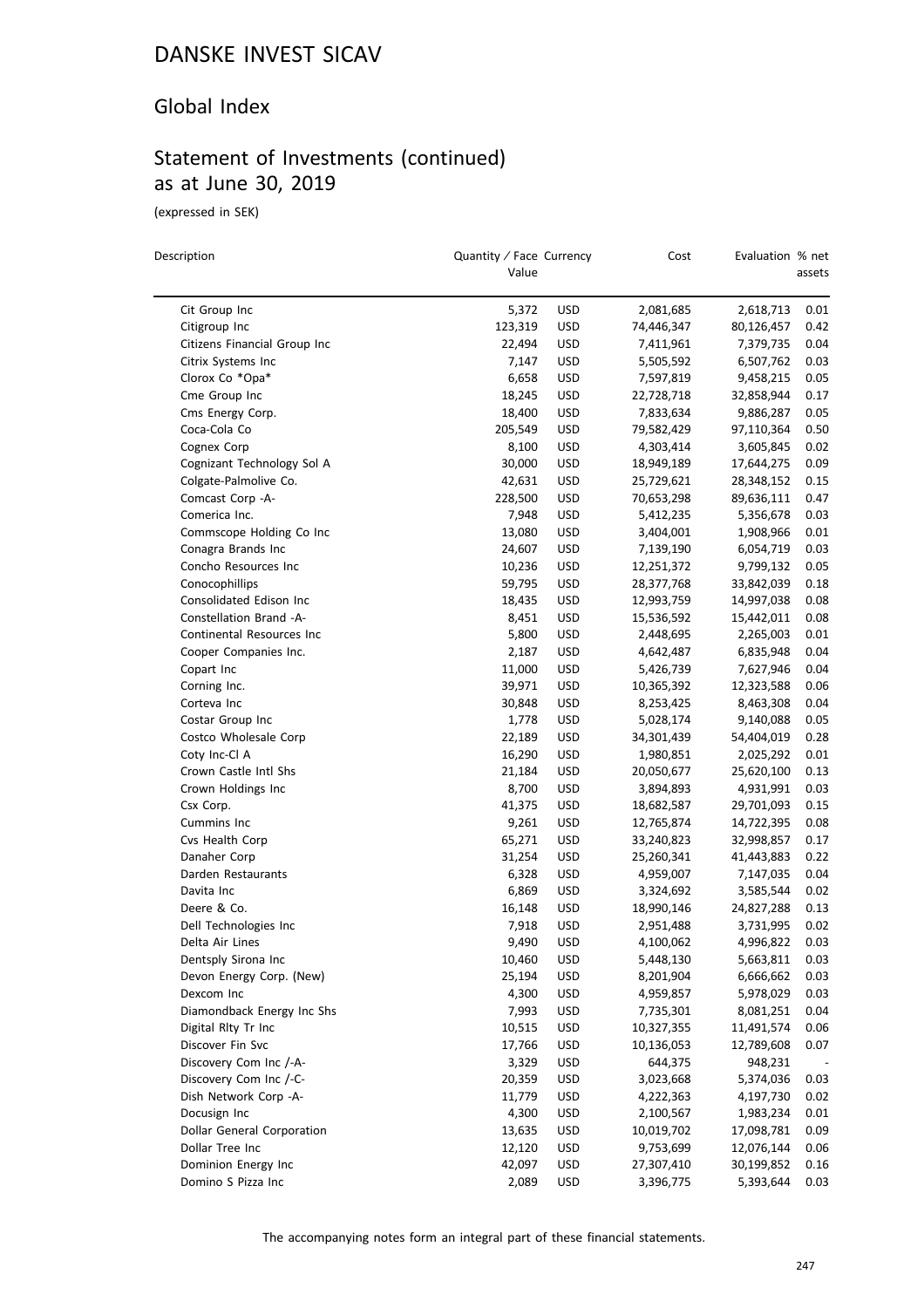### Global Index

## Statement of Investments (continued) as at June 30, 2019

(expressed in SEK)

 $\overline{a}$ 

| Description                                        | Quantity / Face Currency<br>Value |                          | Cost       | Evaluation % net       | assets       |
|----------------------------------------------------|-----------------------------------|--------------------------|------------|------------------------|--------------|
| Cit Group Inc                                      | 5,372                             | <b>USD</b>               | 2,081,685  | 2,618,713              | 0.01         |
| Citigroup Inc                                      | 123,319                           | <b>USD</b>               | 74,446,347 | 80,126,457             | 0.42         |
| Citizens Financial Group Inc                       | 22,494                            | USD                      | 7,411,961  | 7,379,735              | 0.04         |
| Citrix Systems Inc                                 | 7,147                             | USD                      | 5,505,592  | 6,507,762              | 0.03         |
| Clorox Co *Opa*                                    | 6,658                             | USD                      | 7,597,819  | 9,458,215              | 0.05         |
| Cme Group Inc                                      | 18,245                            | USD                      | 22,728,718 | 32,858,944             | 0.17         |
| Cms Energy Corp.                                   | 18,400                            | <b>USD</b>               | 7,833,634  | 9,886,287              | 0.05         |
| Coca-Cola Co                                       | 205,549                           | USD                      | 79,582,429 | 97,110,364             | 0.50         |
| Cognex Corp                                        | 8,100                             | USD                      | 4,303,414  | 3,605,845              | 0.02         |
| Cognizant Technology Sol A                         | 30,000                            | <b>USD</b>               | 18,949,189 | 17,644,275             | 0.09         |
| Colgate-Palmolive Co.                              | 42,631                            | <b>USD</b>               | 25,729,621 | 28,348,152             | 0.15         |
| Comcast Corp -A-                                   | 228,500                           | <b>USD</b>               | 70,653,298 | 89,636,111             | 0.47         |
| Comerica Inc.                                      | 7,948                             | <b>USD</b>               | 5,412,235  | 5,356,678              | 0.03         |
| Commscope Holding Co Inc                           | 13,080                            | <b>USD</b>               | 3,404,001  | 1,908,966              | 0.01         |
| Conagra Brands Inc                                 | 24,607                            | <b>USD</b>               | 7,139,190  | 6,054,719              | 0.03         |
| Concho Resources Inc                               | 10,236                            | <b>USD</b>               | 12,251,372 | 9,799,132              | 0.05         |
| Conocophillips                                     | 59,795                            | <b>USD</b>               | 28,377,768 | 33,842,039             | 0.18         |
| Consolidated Edison Inc                            | 18,435                            | <b>USD</b>               | 12,993,759 | 14,997,038             | 0.08         |
| Constellation Brand -A-                            |                                   |                          |            |                        | 0.08         |
|                                                    | 8,451                             | <b>USD</b>               | 15,536,592 | 15,442,011             |              |
| Continental Resources Inc<br>Cooper Companies Inc. | 5,800<br>2,187                    | <b>USD</b><br><b>USD</b> | 2,448,695  | 2,265,003<br>6,835,948 | 0.01<br>0.04 |
|                                                    |                                   |                          | 4,642,487  |                        |              |
| Copart Inc                                         | 11,000                            | USD                      | 5,426,739  | 7,627,946              | 0.04         |
| Corning Inc.                                       | 39,971                            | USD                      | 10,365,392 | 12,323,588             | 0.06         |
| Corteva Inc                                        | 30,848                            | USD                      | 8,253,425  | 8,463,308              | 0.04         |
| Costar Group Inc                                   | 1,778                             | <b>USD</b>               | 5,028,174  | 9,140,088              | 0.05         |
| Costco Wholesale Corp                              | 22,189                            | <b>USD</b>               | 34,301,439 | 54,404,019             | 0.28         |
| Coty Inc-Cl A                                      | 16,290                            | USD                      | 1,980,851  | 2,025,292              | 0.01         |
| Crown Castle Intl Shs                              | 21,184                            | <b>USD</b>               | 20,050,677 | 25,620,100             | 0.13         |
| Crown Holdings Inc                                 | 8,700                             | <b>USD</b>               | 3,894,893  | 4,931,991              | 0.03         |
| Csx Corp.                                          | 41,375                            | <b>USD</b>               | 18,682,587 | 29,701,093             | 0.15         |
| Cummins Inc                                        | 9,261                             | USD                      | 12,765,874 | 14,722,395             | 0.08         |
| Cvs Health Corp                                    | 65,271                            | <b>USD</b>               | 33,240,823 | 32,998,857             | 0.17         |
| Danaher Corp                                       | 31,254                            | USD                      | 25,260,341 | 41,443,883             | 0.22         |
| Darden Restaurants                                 | 6,328                             | <b>USD</b>               | 4,959,007  | 7,147,035              | 0.04         |
| Davita Inc                                         | 6,869                             | USD                      | 3,324,692  | 3,585,544              | 0.02         |
| Deere & Co.                                        | 16,148                            | USD                      | 18,990,146 | 24,827,288             | 0.13         |
| Dell Technologies Inc                              | 7,918                             | <b>USD</b>               | 2,951,488  | 3,731,995              | 0.02         |
| Delta Air Lines                                    | 9,490                             | <b>USD</b>               | 4,100,062  | 4,996,822              | 0.03         |
| Dentsply Sirona Inc                                | 10,460                            | <b>USD</b>               | 5,448,130  | 5,663,811              | 0.03         |
| Devon Energy Corp. (New)                           | 25,194                            | <b>USD</b>               | 8,201,904  | 6,666,662              | 0.03         |
| Dexcom Inc                                         | 4,300                             | <b>USD</b>               | 4,959,857  | 5,978,029              | 0.03         |
| Diamondback Energy Inc Shs                         | 7,993                             | <b>USD</b>               | 7,735,301  | 8,081,251              | 0.04         |
| Digital Rlty Tr Inc                                | 10,515                            | <b>USD</b>               | 10,327,355 | 11,491,574             | 0.06         |
| Discover Fin Svc                                   | 17,766                            | <b>USD</b>               | 10,136,053 | 12,789,608             | 0.07         |
| Discovery Com Inc /-A-                             | 3,329                             | <b>USD</b>               | 644,375    | 948,231                |              |
| Discovery Com Inc /-C-                             | 20,359                            | <b>USD</b>               | 3,023,668  | 5,374,036              | 0.03         |
| Dish Network Corp -A-                              | 11,779                            | <b>USD</b>               | 4,222,363  | 4,197,730              | 0.02         |
| Docusign Inc                                       | 4,300                             | <b>USD</b>               | 2,100,567  | 1,983,234              | 0.01         |
| <b>Dollar General Corporation</b>                  | 13,635                            | <b>USD</b>               | 10,019,702 | 17,098,781             | 0.09         |
| Dollar Tree Inc                                    | 12,120                            | <b>USD</b>               | 9,753,699  | 12,076,144             | 0.06         |
| Dominion Energy Inc                                | 42,097                            | <b>USD</b>               | 27,307,410 | 30,199,852             | 0.16         |
| Domino S Pizza Inc                                 | 2,089                             | <b>USD</b>               | 3,396,775  | 5,393,644              | 0.03         |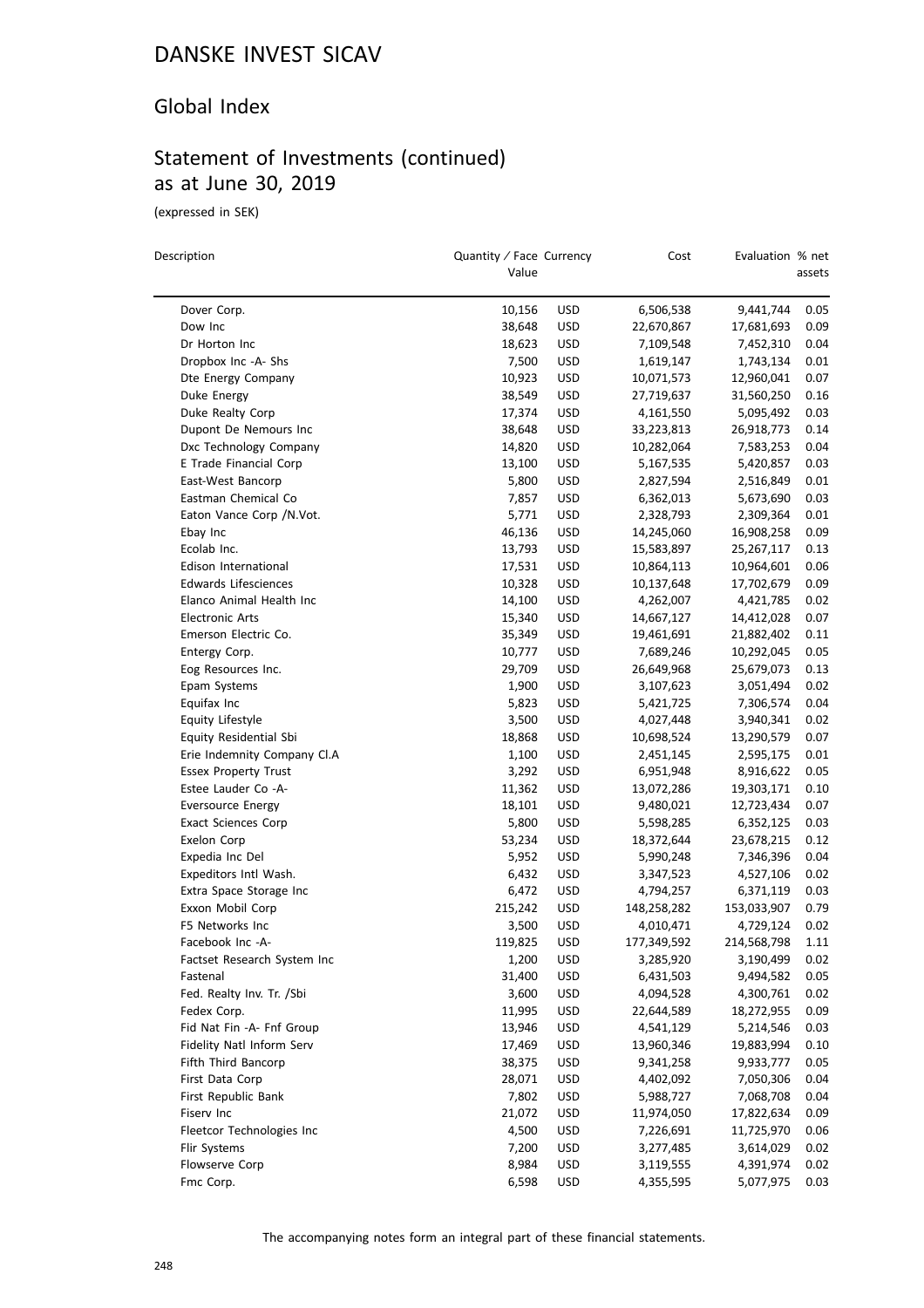### Global Index

# Statement of Investments (continued) as at June 30, 2019

(expressed in SEK)

| Description                 | Quantity / Face Currency<br>Value |            | Cost        | Evaluation % net | assets |
|-----------------------------|-----------------------------------|------------|-------------|------------------|--------|
| Dover Corp.                 | 10,156                            | USD        | 6,506,538   | 9,441,744        | 0.05   |
| Dow Inc                     | 38,648                            | USD        | 22,670,867  | 17,681,693       | 0.09   |
| Dr Horton Inc               | 18,623                            | USD        | 7,109,548   | 7,452,310        | 0.04   |
| Dropbox Inc -A- Shs         | 7,500                             | USD        | 1,619,147   | 1,743,134        | 0.01   |
| Dte Energy Company          | 10,923                            | USD        | 10,071,573  | 12,960,041       | 0.07   |
| Duke Energy                 | 38,549                            | USD        | 27,719,637  | 31,560,250       | 0.16   |
| Duke Realty Corp            | 17,374                            | USD        | 4,161,550   | 5,095,492        | 0.03   |
| Dupont De Nemours Inc       | 38,648                            | USD        | 33,223,813  | 26,918,773       | 0.14   |
| Dxc Technology Company      | 14,820                            | USD        | 10,282,064  | 7,583,253        | 0.04   |
| E Trade Financial Corp      | 13,100                            | USD        | 5,167,535   | 5,420,857        | 0.03   |
| East-West Bancorp           | 5,800                             | <b>USD</b> | 2,827,594   | 2,516,849        | 0.01   |
| Eastman Chemical Co         | 7,857                             | <b>USD</b> | 6,362,013   | 5,673,690        | 0.03   |
| Eaton Vance Corp / N.Vot.   | 5,771                             | USD        | 2,328,793   | 2,309,364        | 0.01   |
| Ebay Inc                    | 46,136                            | USD        | 14,245,060  | 16,908,258       | 0.09   |
| Ecolab Inc.                 | 13,793                            | USD        | 15,583,897  | 25,267,117       | 0.13   |
| Edison International        | 17,531                            | USD        | 10,864,113  | 10,964,601       | 0.06   |
| <b>Edwards Lifesciences</b> | 10,328                            | USD        | 10,137,648  | 17,702,679       | 0.09   |
| Elanco Animal Health Inc    | 14,100                            | USD        | 4,262,007   | 4,421,785        | 0.02   |
| <b>Electronic Arts</b>      | 15,340                            | USD        | 14,667,127  | 14,412,028       | 0.07   |
| Emerson Electric Co.        | 35,349                            | USD        | 19,461,691  | 21,882,402       | 0.11   |
| Entergy Corp.               | 10,777                            | USD        | 7,689,246   | 10,292,045       | 0.05   |
| Eog Resources Inc.          | 29,709                            | USD        | 26,649,968  | 25,679,073       | 0.13   |
| Epam Systems                | 1,900                             | USD        | 3,107,623   | 3,051,494        | 0.02   |
| Equifax Inc                 | 5,823                             | USD        | 5,421,725   | 7,306,574        | 0.04   |
| Equity Lifestyle            | 3,500                             | USD        | 4,027,448   | 3,940,341        | 0.02   |
| Equity Residential Sbi      | 18,868                            | USD        | 10,698,524  | 13,290,579       | 0.07   |
| Erie Indemnity Company Cl.A | 1,100                             | USD        | 2,451,145   | 2,595,175        | 0.01   |
| <b>Essex Property Trust</b> | 3,292                             | USD        | 6,951,948   | 8,916,622        | 0.05   |
| Estee Lauder Co -A-         | 11,362                            | <b>USD</b> | 13,072,286  | 19,303,171       | 0.10   |
| <b>Eversource Energy</b>    | 18,101                            | <b>USD</b> | 9,480,021   | 12,723,434       | 0.07   |
| <b>Exact Sciences Corp</b>  | 5,800                             | USD        | 5,598,285   | 6,352,125        | 0.03   |
| Exelon Corp                 | 53,234                            | USD        | 18,372,644  | 23,678,215       | 0.12   |
| Expedia Inc Del             | 5,952                             | <b>USD</b> | 5,990,248   | 7,346,396        | 0.04   |
| Expeditors Intl Wash.       | 6,432                             | USD        | 3,347,523   | 4,527,106        | 0.02   |
| Extra Space Storage Inc     | 6,472                             | <b>USD</b> | 4,794,257   | 6,371,119        | 0.03   |
| Exxon Mobil Corp            | 215,242                           | USD        | 148,258,282 | 153,033,907      | 0.79   |
| F5 Networks Inc             | 3,500                             | USD        | 4,010,471   | 4,729,124        | 0.02   |
| Facebook Inc -A-            | 119,825                           | USD        | 177,349,592 | 214,568,798      | 1.11   |
| Factset Research System Inc | 1,200                             | USD        | 3,285,920   | 3,190,499        | 0.02   |
| Fastenal                    | 31,400                            | <b>USD</b> | 6,431,503   | 9,494,582        | 0.05   |
| Fed. Realty Inv. Tr. /Sbi   | 3,600                             | USD        | 4,094,528   | 4,300,761        | 0.02   |
| Fedex Corp.                 | 11,995                            | USD        | 22,644,589  | 18,272,955       | 0.09   |
| Fid Nat Fin -A- Fnf Group   | 13,946                            | <b>USD</b> | 4,541,129   | 5,214,546        | 0.03   |
| Fidelity Natl Inform Serv   | 17,469                            | <b>USD</b> | 13,960,346  | 19,883,994       | 0.10   |
| Fifth Third Bancorp         | 38,375                            | USD        | 9,341,258   | 9,933,777        | 0.05   |
| First Data Corp             | 28,071                            | <b>USD</b> | 4,402,092   | 7,050,306        | 0.04   |
| First Republic Bank         | 7,802                             | <b>USD</b> | 5,988,727   | 7,068,708        | 0.04   |
| Fiserv Inc                  | 21,072                            | <b>USD</b> | 11,974,050  | 17,822,634       | 0.09   |
| Fleetcor Technologies Inc   | 4,500                             | <b>USD</b> | 7,226,691   | 11,725,970       | 0.06   |
| Flir Systems                | 7,200                             | <b>USD</b> | 3,277,485   | 3,614,029        | 0.02   |
| Flowserve Corp              | 8,984                             | <b>USD</b> | 3,119,555   | 4,391,974        | 0.02   |
| Fmc Corp.                   | 6,598                             | USD        | 4,355,595   | 5,077,975        | 0.03   |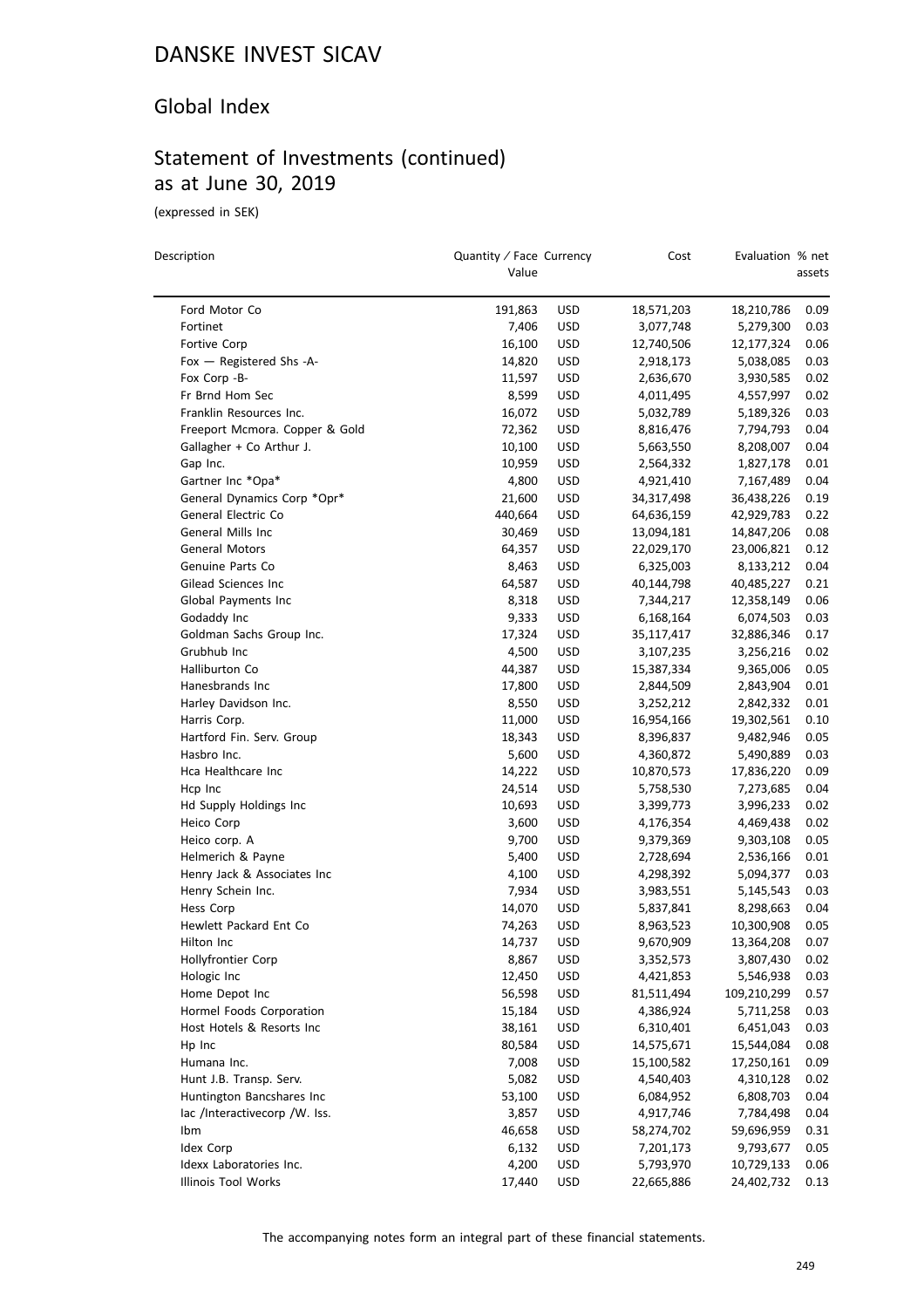#### Global Index

# Statement of Investments (continued) as at June 30, 2019

(expressed in SEK)

 $\overline{a}$ 

| Description |                                | Value   | Quantity / Face Currency |            | Evaluation % net | assets |
|-------------|--------------------------------|---------|--------------------------|------------|------------------|--------|
|             | Ford Motor Co                  | 191,863 | <b>USD</b>               | 18,571,203 | 18,210,786       | 0.09   |
|             | Fortinet                       | 7,406   | <b>USD</b>               | 3,077,748  | 5,279,300        | 0.03   |
|             | Fortive Corp                   | 16,100  | USD                      | 12,740,506 | 12,177,324       | 0.06   |
|             | Fox - Registered Shs -A-       | 14,820  | <b>USD</b>               | 2,918,173  | 5,038,085        | 0.03   |
|             | Fox Corp -B-                   | 11,597  | <b>USD</b>               | 2,636,670  | 3,930,585        | 0.02   |
|             | Fr Brnd Hom Sec                | 8,599   | <b>USD</b>               | 4,011,495  | 4,557,997        | 0.02   |
|             | Franklin Resources Inc.        | 16,072  | <b>USD</b>               | 5,032,789  | 5,189,326        | 0.03   |
|             | Freeport Mcmora. Copper & Gold | 72,362  | <b>USD</b>               | 8,816,476  | 7,794,793        | 0.04   |
|             | Gallagher + Co Arthur J.       | 10,100  | <b>USD</b>               | 5,663,550  | 8,208,007        | 0.04   |
|             | Gap Inc.                       | 10,959  | <b>USD</b>               | 2,564,332  | 1,827,178        | 0.01   |
|             | Gartner Inc *Opa*              | 4,800   | <b>USD</b>               | 4,921,410  | 7,167,489        | 0.04   |
|             | General Dynamics Corp *Opr*    | 21,600  | <b>USD</b>               | 34,317,498 | 36,438,226       | 0.19   |
|             | General Electric Co            | 440,664 | <b>USD</b>               | 64,636,159 | 42,929,783       | 0.22   |
|             | General Mills Inc              | 30,469  | <b>USD</b>               | 13,094,181 | 14,847,206       | 0.08   |
|             | General Motors                 | 64,357  | <b>USD</b>               |            | 23,006,821       | 0.12   |
|             | Genuine Parts Co               |         |                          | 22,029,170 |                  |        |
|             |                                | 8,463   | <b>USD</b>               | 6,325,003  | 8,133,212        | 0.04   |
|             | Gilead Sciences Inc            | 64,587  | <b>USD</b>               | 40,144,798 | 40,485,227       | 0.21   |
|             | Global Payments Inc            | 8,318   | <b>USD</b>               | 7,344,217  | 12,358,149       | 0.06   |
|             | Godaddy Inc                    | 9,333   | <b>USD</b>               | 6,168,164  | 6,074,503        | 0.03   |
|             | Goldman Sachs Group Inc.       | 17,324  | <b>USD</b>               | 35,117,417 | 32,886,346       | 0.17   |
|             | Grubhub Inc                    | 4,500   | <b>USD</b>               | 3,107,235  | 3,256,216        | 0.02   |
|             | Halliburton Co                 | 44,387  | <b>USD</b>               | 15,387,334 | 9,365,006        | 0.05   |
|             | Hanesbrands Inc                | 17,800  | <b>USD</b>               | 2,844,509  | 2,843,904        | 0.01   |
|             | Harley Davidson Inc.           | 8,550   | <b>USD</b>               | 3,252,212  | 2,842,332        | 0.01   |
|             | Harris Corp.                   | 11,000  | <b>USD</b>               | 16,954,166 | 19,302,561       | 0.10   |
|             | Hartford Fin. Serv. Group      | 18,343  | <b>USD</b>               | 8,396,837  | 9,482,946        | 0.05   |
|             | Hasbro Inc.                    | 5,600   | <b>USD</b>               | 4,360,872  | 5,490,889        | 0.03   |
|             | Hca Healthcare Inc             | 14,222  | <b>USD</b>               | 10,870,573 | 17,836,220       | 0.09   |
|             | Hcp Inc                        | 24,514  | <b>USD</b>               | 5,758,530  | 7,273,685        | 0.04   |
|             | Hd Supply Holdings Inc         | 10,693  | <b>USD</b>               | 3,399,773  | 3,996,233        | 0.02   |
|             | Heico Corp                     | 3,600   | <b>USD</b>               | 4,176,354  | 4,469,438        | 0.02   |
|             | Heico corp. A                  | 9,700   | <b>USD</b>               | 9,379,369  | 9,303,108        | 0.05   |
|             | Helmerich & Payne              | 5,400   | <b>USD</b>               | 2,728,694  | 2,536,166        | 0.01   |
|             | Henry Jack & Associates Inc    | 4,100   | USD                      | 4,298,392  | 5,094,377        | 0.03   |
|             | Henry Schein Inc.              | 7,934   | <b>USD</b>               | 3,983,551  | 5,145,543        | 0.03   |
|             | Hess Corp                      | 14,070  | <b>USD</b>               | 5,837,841  | 8,298,663        | 0.04   |
|             | Hewlett Packard Ent Co         | 74,263  | <b>USD</b>               | 8,963,523  | 10,300,908       | 0.05   |
|             | Hilton Inc                     | 14,737  | <b>USD</b>               | 9,670,909  | 13,364,208       | 0.07   |
|             | Hollyfrontier Corp             | 8,867   | <b>USD</b>               | 3,352,573  | 3,807,430        | 0.02   |
|             | Hologic Inc                    | 12,450  | USD                      | 4,421,853  | 5,546,938        | 0.03   |
|             | Home Depot Inc                 | 56,598  | <b>USD</b>               | 81,511,494 | 109,210,299      | 0.57   |
|             | Hormel Foods Corporation       | 15,184  | <b>USD</b>               | 4,386,924  | 5,711,258        | 0.03   |
|             | Host Hotels & Resorts Inc      | 38,161  | <b>USD</b>               | 6,310,401  | 6,451,043        | 0.03   |
|             | Hp Inc                         | 80,584  | <b>USD</b>               | 14,575,671 | 15,544,084       | 0.08   |
|             | Humana Inc.                    | 7,008   | <b>USD</b>               | 15,100,582 | 17,250,161       | 0.09   |
|             | Hunt J.B. Transp. Serv.        | 5,082   | USD                      | 4,540,403  | 4,310,128        | 0.02   |
|             | Huntington Bancshares Inc      | 53,100  | <b>USD</b>               | 6,084,952  | 6,808,703        | 0.04   |
|             | lac /Interactivecorp /W. Iss.  | 3,857   | <b>USD</b>               | 4,917,746  | 7,784,498        | 0.04   |
|             | Ibm                            | 46,658  | <b>USD</b>               | 58,274,702 | 59,696,959       | 0.31   |
|             | Idex Corp                      | 6,132   | <b>USD</b>               | 7,201,173  | 9,793,677        | 0.05   |
|             | Idexx Laboratories Inc.        | 4,200   | <b>USD</b>               | 5,793,970  | 10,729,133       | 0.06   |
|             | Illinois Tool Works            | 17,440  | <b>USD</b>               | 22,665,886 | 24,402,732       | 0.13   |
|             |                                |         |                          |            |                  |        |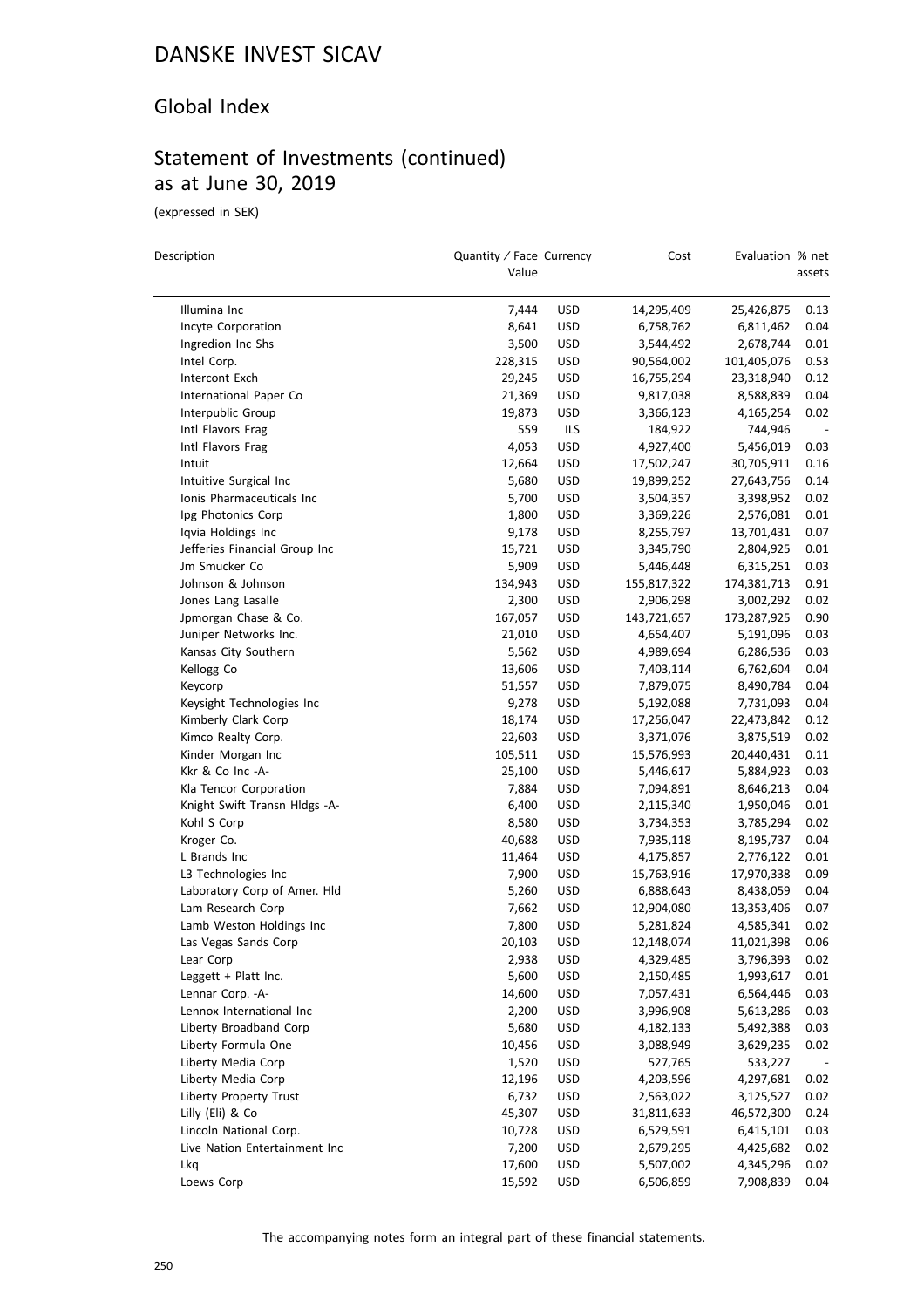#### Global Index

# Statement of Investments (continued) as at June 30, 2019

(expressed in SEK)

 $\equiv$ 

| Description                             | Quantity / Face Currency<br>Value |                   | Cost        | Evaluation % net       | assets       |
|-----------------------------------------|-----------------------------------|-------------------|-------------|------------------------|--------------|
| Illumina Inc                            | 7,444                             | USD               | 14,295,409  | 25,426,875             | 0.13         |
| Incyte Corporation                      | 8,641                             | <b>USD</b>        | 6,758,762   | 6,811,462              | 0.04         |
| Ingredion Inc Shs                       | 3,500                             | USD               | 3,544,492   | 2,678,744              | 0.01         |
| Intel Corp.                             | 228,315                           | USD               | 90,564,002  | 101,405,076            | 0.53         |
| Intercont Exch                          | 29,245                            | USD               | 16,755,294  | 23,318,940             | 0.12         |
| International Paper Co                  | 21,369                            | <b>USD</b>        | 9,817,038   | 8,588,839              | 0.04         |
| Interpublic Group                       | 19,873                            | USD               | 3,366,123   | 4,165,254              | 0.02         |
| Intl Flavors Frag                       | 559                               | ILS               | 184,922     | 744,946                |              |
| Intl Flavors Frag                       | 4,053                             | USD               | 4,927,400   | 5,456,019              | 0.03         |
| Intuit                                  | 12,664                            | USD               | 17,502,247  | 30,705,911             | 0.16         |
| Intuitive Surgical Inc                  | 5,680                             | <b>USD</b>        | 19,899,252  | 27,643,756             | 0.14         |
| Ionis Pharmaceuticals Inc               | 5,700                             | <b>USD</b>        | 3,504,357   | 3,398,952              | 0.02         |
| Ipg Photonics Corp                      | 1,800                             | <b>USD</b>        | 3,369,226   | 2,576,081              | 0.01         |
| Iqvia Holdings Inc                      | 9,178                             | USD               | 8,255,797   | 13,701,431             | 0.07         |
| Jefferies Financial Group Inc           | 15,721                            | USD               | 3,345,790   | 2,804,925              | 0.01         |
| Jm Smucker Co                           | 5,909                             | USD               | 5,446,448   | 6,315,251              | 0.03         |
| Johnson & Johnson                       | 134,943                           | <b>USD</b>        | 155,817,322 | 174,381,713            | 0.91         |
| Jones Lang Lasalle                      | 2,300                             | <b>USD</b>        | 2,906,298   | 3,002,292              | 0.02         |
| Jpmorgan Chase & Co.                    | 167,057                           | <b>USD</b>        | 143,721,657 | 173,287,925            | 0.90         |
| Juniper Networks Inc.                   | 21,010                            | <b>USD</b>        | 4,654,407   | 5,191,096              | 0.03         |
| Kansas City Southern                    | 5,562                             | USD               | 4,989,694   | 6,286,536              | 0.03         |
|                                         | 13,606                            | USD               | 7,403,114   |                        | 0.04         |
| Kellogg Co<br>Keycorp                   | 51,557                            | <b>USD</b>        | 7,879,075   | 6,762,604<br>8,490,784 | 0.04         |
|                                         | 9,278                             | USD               |             |                        | 0.04         |
| Keysight Technologies Inc               |                                   |                   | 5,192,088   | 7,731,093              |              |
| Kimberly Clark Corp                     | 18,174                            | <b>USD</b>        | 17,256,047  | 22,473,842             | 0.12<br>0.02 |
| Kimco Realty Corp.<br>Kinder Morgan Inc | 22,603<br>105,511                 | <b>USD</b><br>USD | 3,371,076   | 3,875,519              | 0.11         |
| Kkr & Co Inc -A-                        |                                   |                   | 15,576,993  | 20,440,431             |              |
|                                         | 25,100                            | USD               | 5,446,617   | 5,884,923              | 0.03<br>0.04 |
| Kla Tencor Corporation                  | 7,884                             | <b>USD</b>        | 7,094,891   | 8,646,213              |              |
| Knight Swift Transn Hldgs -A-           | 6,400                             | <b>USD</b>        | 2,115,340   | 1,950,046              | 0.01         |
| Kohl S Corp                             | 8,580                             | USD               | 3,734,353   | 3,785,294              | 0.02         |
| Kroger Co.<br>L Brands Inc              | 40,688                            | USD               | 7,935,118   | 8,195,737              | 0.04         |
|                                         | 11,464                            | USD               | 4,175,857   | 2,776,122              | 0.01         |
| L3 Technologies Inc                     | 7,900                             | <b>USD</b>        | 15,763,916  | 17,970,338             | 0.09         |
| Laboratory Corp of Amer. Hld            | 5,260                             | <b>USD</b>        | 6,888,643   | 8,438,059              | 0.04         |
| Lam Research Corp                       | 7,662                             | USD               | 12,904,080  | 13,353,406             | 0.07         |
| Lamb Weston Holdings Inc                | 7,800                             | <b>USD</b>        | 5,281,824   | 4,585,341              | 0.02<br>0.06 |
| Las Vegas Sands Corp                    | 20,103                            | USD               | 12,148,074  | 11,021,398             |              |
| Lear Corp                               | 2,938                             | <b>USD</b>        | 4,329,485   | 3,796,393              | 0.02         |
| Leggett + Platt Inc.                    | 5,600                             | <b>USD</b>        | 2,150,485   | 1,993,617              | 0.01         |
| Lennar Corp. - A-                       | 14,600                            | <b>USD</b>        | 7,057,431   | 6,564,446              | 0.03         |
| Lennox International Inc                | 2,200                             | <b>USD</b>        | 3,996,908   | 5,613,286              | 0.03         |
| Liberty Broadband Corp                  | 5,680                             | <b>USD</b>        | 4,182,133   | 5,492,388              | 0.03         |
| Liberty Formula One                     | 10,456                            | <b>USD</b>        | 3,088,949   | 3,629,235              | 0.02         |
| Liberty Media Corp                      | 1,520                             | <b>USD</b>        | 527,765     | 533,227                |              |
| Liberty Media Corp                      | 12,196                            | <b>USD</b>        | 4,203,596   | 4,297,681              | 0.02         |
| <b>Liberty Property Trust</b>           | 6,732                             | <b>USD</b>        | 2,563,022   | 3,125,527              | 0.02         |
| Lilly (Eli) & Co                        | 45,307                            | <b>USD</b>        | 31,811,633  | 46,572,300             | 0.24         |
| Lincoln National Corp.                  | 10,728                            | <b>USD</b>        | 6,529,591   | 6,415,101              | 0.03         |
| Live Nation Entertainment Inc           | 7,200                             | <b>USD</b>        | 2,679,295   | 4,425,682              | 0.02         |
| Lkq                                     | 17,600                            | <b>USD</b>        | 5,507,002   | 4,345,296              | 0.02         |
| Loews Corp                              | 15,592                            | <b>USD</b>        | 6,506,859   | 7,908,839              | 0.04         |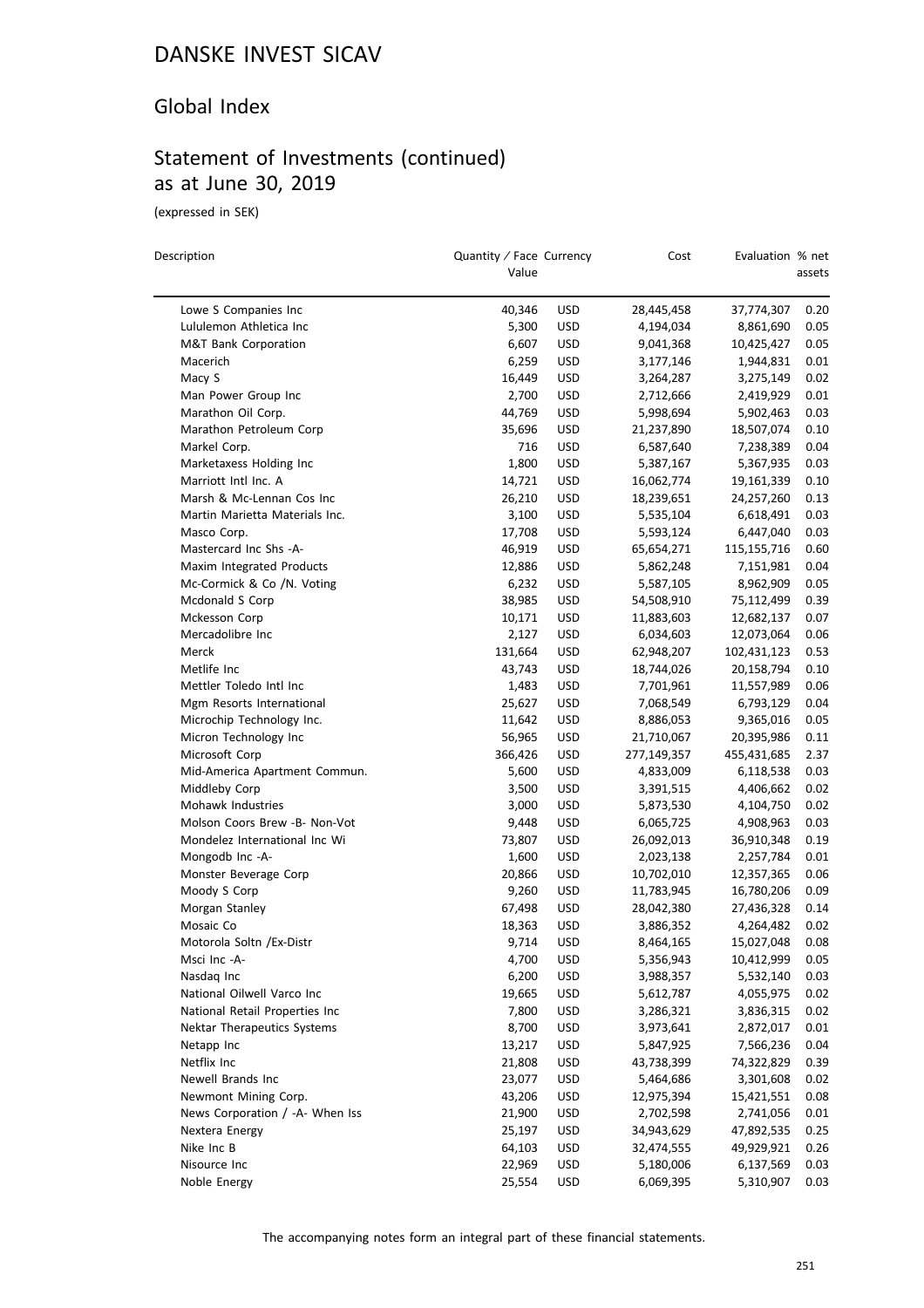### Global Index

## Statement of Investments (continued) as at June 30, 2019

(expressed in SEK)

 $\overline{a}$ 

| Description                     | Quantity / Face Currency<br>Value |            | Cost                   | Evaluation % net | assets |
|---------------------------------|-----------------------------------|------------|------------------------|------------------|--------|
| Lowe S Companies Inc            | 40,346                            | <b>USD</b> | 28,445,458             | 37,774,307       | 0.20   |
| Lululemon Athletica Inc         | 5,300                             | USD        | 4,194,034              | 8,861,690        | 0.05   |
| <b>M&amp;T Bank Corporation</b> | 6,607                             | USD        | 9,041,368              | 10,425,427       | 0.05   |
| Macerich                        | 6,259                             | USD        | 3,177,146              | 1,944,831        | 0.01   |
| Macy S                          | 16,449                            | <b>USD</b> | 3,264,287              | 3,275,149        | 0.02   |
| Man Power Group Inc             | 2,700                             | <b>USD</b> | 2,712,666              | 2,419,929        | 0.01   |
| Marathon Oil Corp.              | 44,769                            | <b>USD</b> | 5,998,694              | 5,902,463        | 0.03   |
| Marathon Petroleum Corp         | 35,696                            | <b>USD</b> | 21,237,890             | 18,507,074       | 0.10   |
| Markel Corp.                    | 716                               | <b>USD</b> | 6,587,640              | 7,238,389        | 0.04   |
| Marketaxess Holding Inc         | 1,800                             | USD        | 5,387,167              | 5,367,935        | 0.03   |
| Marriott Intl Inc. A            | 14,721                            | <b>USD</b> | 16,062,774             | 19,161,339       | 0.10   |
| Marsh & Mc-Lennan Cos Inc       | 26,210                            | <b>USD</b> | 18,239,651             | 24,257,260       | 0.13   |
| Martin Marietta Materials Inc.  | 3,100                             | <b>USD</b> | 5,535,104              | 6,618,491        | 0.03   |
| Masco Corp.                     | 17,708                            | <b>USD</b> | 5,593,124              | 6,447,040        | 0.03   |
| Mastercard Inc Shs -A-          | 46,919                            | <b>USD</b> | 65,654,271             | 115,155,716      | 0.60   |
| Maxim Integrated Products       | 12,886                            | USD        |                        | 7,151,981        | 0.04   |
| Mc-Cormick & Co /N. Voting      | 6,232                             | <b>USD</b> | 5,862,248<br>5,587,105 |                  | 0.05   |
| Mcdonald S Corp                 |                                   |            |                        | 8,962,909        |        |
|                                 | 38,985                            | <b>USD</b> | 54,508,910             | 75,112,499       | 0.39   |
| Mckesson Corp                   | 10,171                            | <b>USD</b> | 11,883,603             | 12,682,137       | 0.07   |
| Mercadolibre Inc                | 2,127                             | <b>USD</b> | 6,034,603              | 12,073,064       | 0.06   |
| Merck                           | 131,664                           | <b>USD</b> | 62,948,207             | 102,431,123      | 0.53   |
| Metlife Inc                     | 43,743                            | <b>USD</b> | 18,744,026             | 20,158,794       | 0.10   |
| Mettler Toledo Intl Inc         | 1,483                             | <b>USD</b> | 7,701,961              | 11,557,989       | 0.06   |
| Mgm Resorts International       | 25,627                            | <b>USD</b> | 7,068,549              | 6,793,129        | 0.04   |
| Microchip Technology Inc.       | 11,642                            | <b>USD</b> | 8,886,053              | 9,365,016        | 0.05   |
| Micron Technology Inc           | 56,965                            | <b>USD</b> | 21,710,067             | 20,395,986       | 0.11   |
| Microsoft Corp                  | 366,426                           | <b>USD</b> | 277,149,357            | 455,431,685      | 2.37   |
| Mid-America Apartment Commun.   | 5,600                             | USD        | 4,833,009              | 6,118,538        | 0.03   |
| Middleby Corp                   | 3,500                             | <b>USD</b> | 3,391,515              | 4,406,662        | 0.02   |
| Mohawk Industries               | 3,000                             | <b>USD</b> | 5,873,530              | 4,104,750        | 0.02   |
| Molson Coors Brew -B- Non-Vot   | 9,448                             | <b>USD</b> | 6,065,725              | 4,908,963        | 0.03   |
| Mondelez International Inc Wi   | 73,807                            | <b>USD</b> | 26,092,013             | 36,910,348       | 0.19   |
| Mongodb Inc -A-                 | 1,600                             | <b>USD</b> | 2,023,138              | 2,257,784        | 0.01   |
| Monster Beverage Corp           | 20,866                            | USD        | 10,702,010             | 12,357,365       | 0.06   |
| Moody S Corp                    | 9,260                             | <b>USD</b> | 11,783,945             | 16,780,206       | 0.09   |
| Morgan Stanley                  | 67,498                            | <b>USD</b> | 28,042,380             | 27,436,328       | 0.14   |
| Mosaic Co                       | 18,363                            | <b>USD</b> | 3,886,352              | 4,264,482        | 0.02   |
| Motorola Soltn / Ex-Distr       | 9,714                             | USD        | 8,464,165              | 15,027,048       | 0.08   |
| Msci Inc -A-                    | 4,700                             | USD        | 5,356,943              | 10,412,999       | 0.05   |
| Nasdaq Inc                      | 6,200                             | <b>USD</b> | 3,988,357              | 5,532,140        | 0.03   |
| National Oilwell Varco Inc      | 19,665                            | <b>USD</b> | 5,612,787              | 4,055,975        | 0.02   |
| National Retail Properties Inc  | 7,800                             | <b>USD</b> | 3,286,321              | 3,836,315        | 0.02   |
| Nektar Therapeutics Systems     | 8,700                             | <b>USD</b> | 3,973,641              | 2,872,017        | 0.01   |
| Netapp Inc                      | 13,217                            | <b>USD</b> | 5,847,925              | 7,566,236        | 0.04   |
| Netflix Inc                     | 21,808                            | <b>USD</b> | 43,738,399             | 74,322,829       | 0.39   |
| Newell Brands Inc               | 23,077                            | <b>USD</b> | 5,464,686              | 3,301,608        | 0.02   |
| Newmont Mining Corp.            | 43,206                            | <b>USD</b> | 12,975,394             | 15,421,551       | 0.08   |
| News Corporation / -A- When Iss | 21,900                            | <b>USD</b> | 2,702,598              | 2,741,056        | 0.01   |
| Nextera Energy                  | 25,197                            | <b>USD</b> | 34,943,629             | 47,892,535       | 0.25   |
| Nike Inc B                      | 64,103                            | <b>USD</b> | 32,474,555             | 49,929,921       | 0.26   |
| Nisource Inc                    | 22,969                            | <b>USD</b> | 5,180,006              | 6,137,569        | 0.03   |
| Noble Energy                    | 25,554                            | <b>USD</b> | 6,069,395              | 5,310,907        | 0.03   |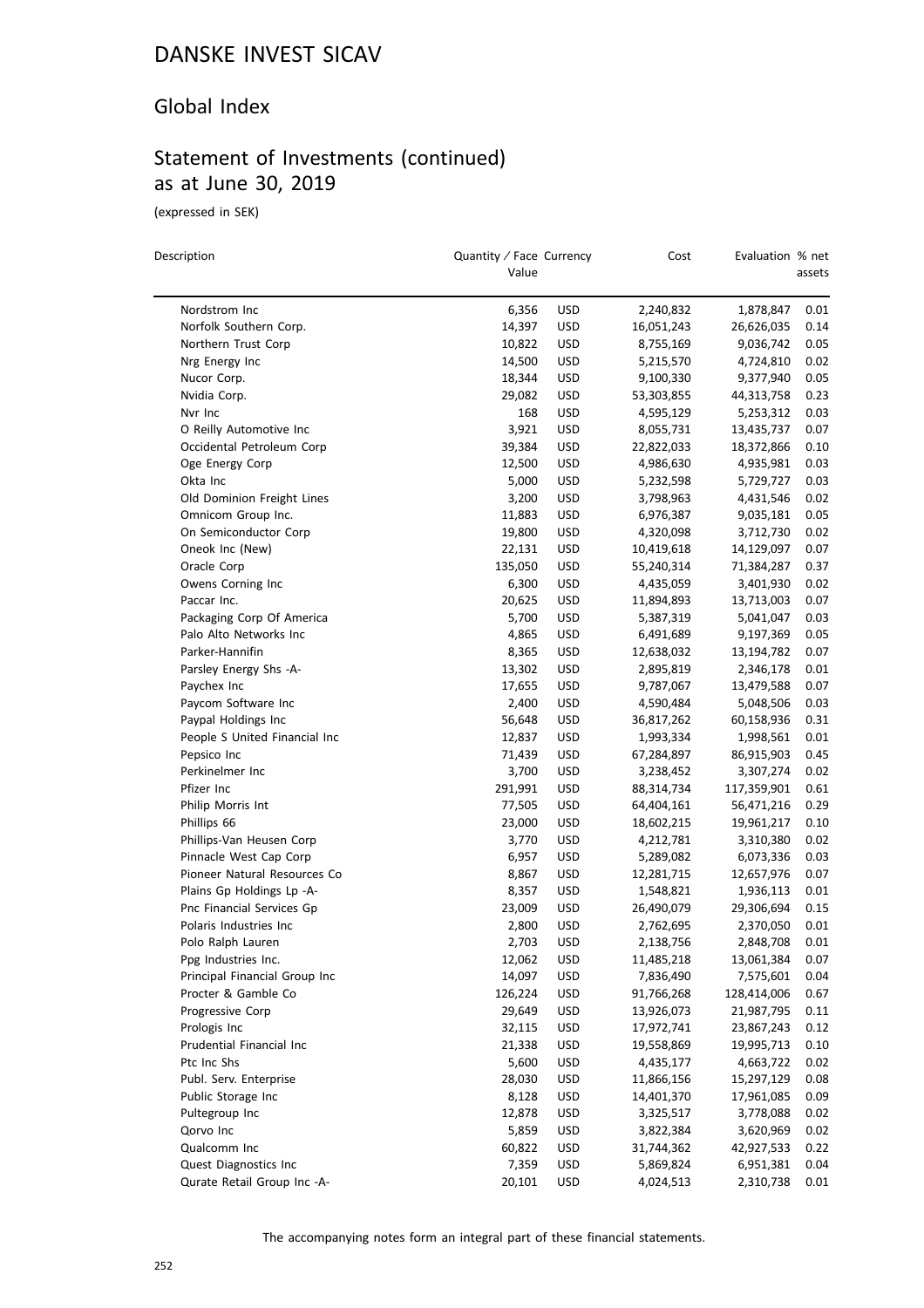#### Global Index

# Statement of Investments (continued) as at June 30, 2019

(expressed in SEK)

| Description                   | Quantity / Face Currency<br>Value |            | Cost       | Evaluation % net | assets |
|-------------------------------|-----------------------------------|------------|------------|------------------|--------|
| Nordstrom Inc                 | 6,356                             | <b>USD</b> | 2,240,832  | 1,878,847        | 0.01   |
| Norfolk Southern Corp.        | 14,397                            | <b>USD</b> | 16,051,243 | 26,626,035       | 0.14   |
| Northern Trust Corp           | 10,822                            | <b>USD</b> | 8,755,169  | 9,036,742        | 0.05   |
| Nrg Energy Inc                | 14,500                            | <b>USD</b> | 5,215,570  | 4,724,810        | 0.02   |
| Nucor Corp.                   | 18,344                            | <b>USD</b> | 9,100,330  | 9,377,940        | 0.05   |
| Nvidia Corp.                  | 29,082                            | <b>USD</b> | 53,303,855 | 44,313,758       | 0.23   |
| Nvr Inc                       | 168                               | <b>USD</b> | 4,595,129  | 5,253,312        | 0.03   |
| O Reilly Automotive Inc       | 3,921                             | <b>USD</b> | 8,055,731  | 13,435,737       | 0.07   |
| Occidental Petroleum Corp     | 39,384                            | <b>USD</b> | 22,822,033 | 18,372,866       | 0.10   |
| Oge Energy Corp               | 12,500                            | <b>USD</b> | 4,986,630  | 4,935,981        | 0.03   |
| Okta Inc                      | 5,000                             | <b>USD</b> | 5,232,598  | 5,729,727        | 0.03   |
| Old Dominion Freight Lines    | 3,200                             | <b>USD</b> | 3,798,963  | 4,431,546        | 0.02   |
| Omnicom Group Inc.            | 11,883                            | <b>USD</b> | 6,976,387  | 9,035,181        | 0.05   |
| On Semiconductor Corp         | 19,800                            | <b>USD</b> | 4,320,098  | 3,712,730        | 0.02   |
| Oneok Inc (New)               | 22,131                            | <b>USD</b> | 10,419,618 | 14,129,097       | 0.07   |
| Oracle Corp                   | 135,050                           | <b>USD</b> | 55,240,314 | 71,384,287       | 0.37   |
| Owens Corning Inc             | 6,300                             | <b>USD</b> | 4,435,059  | 3,401,930        | 0.02   |
| Paccar Inc.                   | 20,625                            | <b>USD</b> | 11,894,893 | 13,713,003       | 0.07   |
| Packaging Corp Of America     | 5,700                             | <b>USD</b> | 5,387,319  | 5,041,047        | 0.03   |
| Palo Alto Networks Inc        | 4,865                             | <b>USD</b> | 6,491,689  | 9,197,369        | 0.05   |
| Parker-Hannifin               | 8,365                             | <b>USD</b> | 12,638,032 | 13,194,782       | 0.07   |
| Parsley Energy Shs -A-        | 13,302                            | <b>USD</b> | 2,895,819  | 2,346,178        | 0.01   |
| Paychex Inc                   | 17,655                            | <b>USD</b> | 9,787,067  | 13,479,588       | 0.07   |
| Paycom Software Inc           | 2,400                             | <b>USD</b> | 4,590,484  | 5,048,506        | 0.03   |
| Paypal Holdings Inc           | 56,648                            | <b>USD</b> | 36,817,262 | 60,158,936       | 0.31   |
| People S United Financial Inc | 12,837                            | <b>USD</b> | 1,993,334  | 1,998,561        | 0.01   |
| Pepsico Inc                   | 71,439                            | <b>USD</b> | 67,284,897 | 86,915,903       | 0.45   |
| Perkinelmer Inc               | 3,700                             | <b>USD</b> | 3,238,452  | 3,307,274        | 0.02   |
| Pfizer Inc                    | 291,991                           | <b>USD</b> | 88,314,734 | 117,359,901      | 0.61   |
| Philip Morris Int             | 77,505                            | <b>USD</b> | 64,404,161 | 56,471,216       | 0.29   |
| Phillips 66                   | 23,000                            | <b>USD</b> | 18,602,215 | 19,961,217       | 0.10   |
| Phillips-Van Heusen Corp      | 3,770                             | <b>USD</b> | 4,212,781  | 3,310,380        | 0.02   |
| Pinnacle West Cap Corp        | 6,957                             | <b>USD</b> | 5,289,082  | 6,073,336        | 0.03   |
| Pioneer Natural Resources Co  | 8,867                             | <b>USD</b> | 12,281,715 | 12,657,976       | 0.07   |
| Plains Gp Holdings Lp -A-     | 8,357                             | <b>USD</b> | 1,548,821  | 1,936,113        | 0.01   |
| Pnc Financial Services Gp     | 23,009                            | <b>USD</b> | 26,490,079 | 29,306,694       | 0.15   |
| Polaris Industries Inc        | 2,800                             | <b>USD</b> | 2,762,695  | 2,370,050        | 0.01   |
| Polo Ralph Lauren             | 2,703                             | <b>USD</b> | 2,138,756  | 2,848,708        | 0.01   |
| Ppg Industries Inc.           | 12,062                            | <b>USD</b> | 11,485,218 | 13,061,384       | 0.07   |
| Principal Financial Group Inc | 14,097                            | <b>USD</b> | 7,836,490  | 7,575,601        | 0.04   |
| Procter & Gamble Co           | 126,224                           | <b>USD</b> | 91,766,268 | 128,414,006      | 0.67   |
| Progressive Corp              | 29,649                            | <b>USD</b> | 13,926,073 | 21,987,795       | 0.11   |
| Prologis Inc                  | 32,115                            | <b>USD</b> | 17,972,741 | 23,867,243       | 0.12   |
| Prudential Financial Inc      | 21,338                            | <b>USD</b> | 19,558,869 | 19,995,713       | 0.10   |
| Ptc Inc Shs                   | 5,600                             | <b>USD</b> | 4,435,177  | 4,663,722        | 0.02   |
| Publ. Serv. Enterprise        | 28,030                            | <b>USD</b> | 11,866,156 | 15,297,129       | 0.08   |
| Public Storage Inc            | 8,128                             | USD        | 14,401,370 | 17,961,085       | 0.09   |
| Pultegroup Inc                | 12,878                            | <b>USD</b> | 3,325,517  | 3,778,088        | 0.02   |
| Qorvo Inc                     | 5,859                             | <b>USD</b> | 3,822,384  | 3,620,969        | 0.02   |
| Qualcomm Inc                  | 60,822                            | <b>USD</b> | 31,744,362 | 42,927,533       | 0.22   |
| Quest Diagnostics Inc         | 7,359                             | <b>USD</b> | 5,869,824  | 6,951,381        | 0.04   |
| Qurate Retail Group Inc -A-   | 20,101                            | <b>USD</b> | 4,024,513  | 2,310,738        | 0.01   |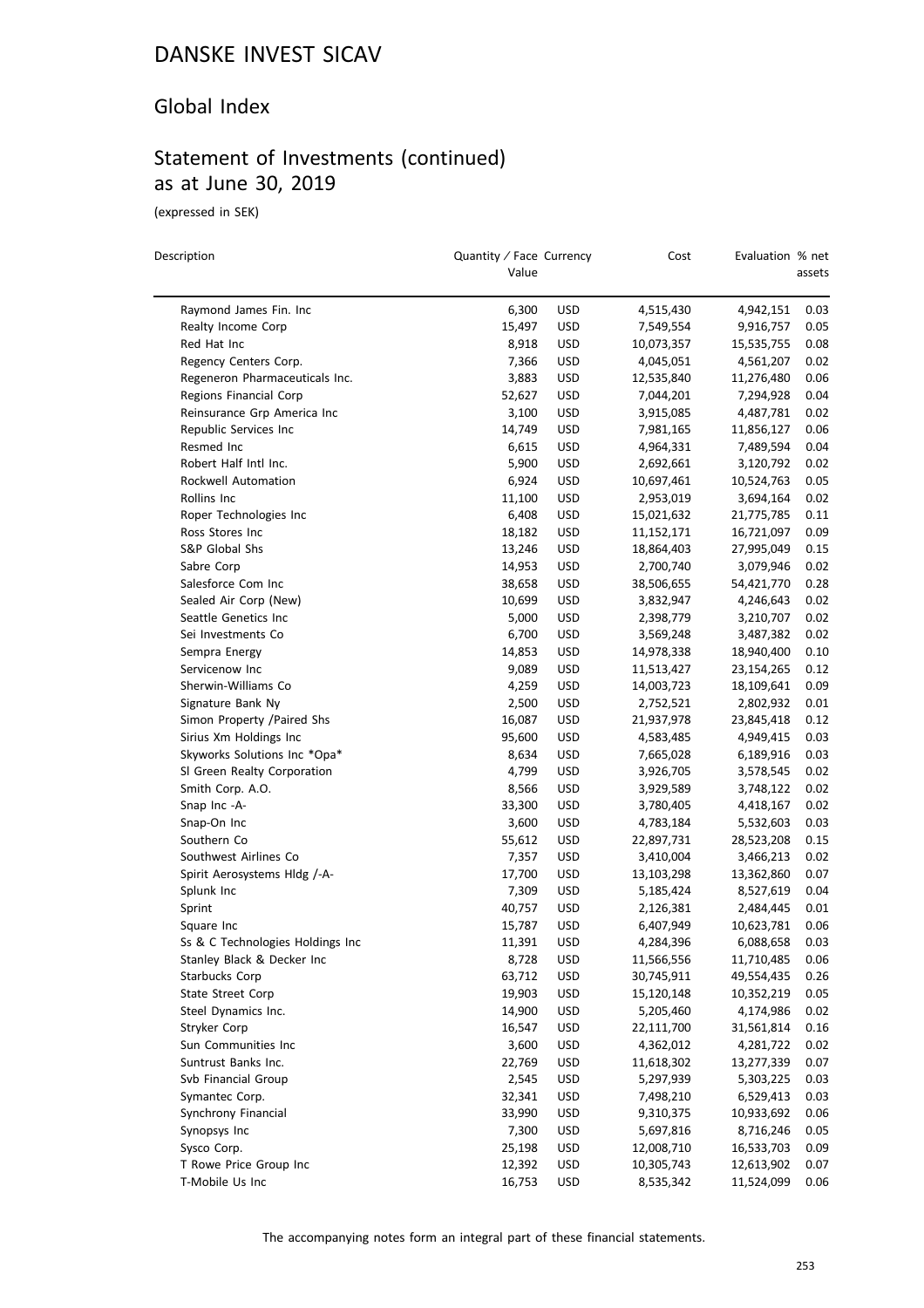### Global Index

### Statement of Investments (continued) as at June 30, 2019

(expressed in SEK)

| Description                      | Quantity / Face Currency<br>Value |            | Cost       | Evaluation % net | assets |
|----------------------------------|-----------------------------------|------------|------------|------------------|--------|
|                                  |                                   |            |            |                  |        |
| Raymond James Fin. Inc           | 6,300                             | <b>USD</b> | 4,515,430  | 4,942,151        | 0.03   |
| Realty Income Corp               | 15,497                            | <b>USD</b> | 7,549,554  | 9,916,757        | 0.05   |
| Red Hat Inc                      | 8,918                             | <b>USD</b> | 10,073,357 | 15,535,755       | 0.08   |
| Regency Centers Corp.            | 7,366                             | <b>USD</b> | 4,045,051  | 4,561,207        | 0.02   |
| Regeneron Pharmaceuticals Inc.   | 3,883                             | <b>USD</b> | 12,535,840 | 11,276,480       | 0.06   |
| Regions Financial Corp           | 52,627                            | <b>USD</b> | 7,044,201  | 7,294,928        | 0.04   |
| Reinsurance Grp America Inc      | 3,100                             | <b>USD</b> | 3,915,085  | 4,487,781        | 0.02   |
| Republic Services Inc            | 14,749                            | <b>USD</b> | 7,981,165  | 11,856,127       | 0.06   |
| Resmed Inc                       | 6,615                             | <b>USD</b> | 4,964,331  | 7,489,594        | 0.04   |
| Robert Half Intl Inc.            | 5,900                             | <b>USD</b> | 2,692,661  | 3,120,792        | 0.02   |
| Rockwell Automation              | 6,924                             | <b>USD</b> | 10,697,461 | 10,524,763       | 0.05   |
| Rollins Inc                      | 11,100                            | <b>USD</b> | 2,953,019  | 3,694,164        | 0.02   |
| Roper Technologies Inc           | 6,408                             | <b>USD</b> | 15,021,632 | 21,775,785       | 0.11   |
| Ross Stores Inc                  | 18,182                            | <b>USD</b> | 11,152,171 | 16,721,097       | 0.09   |
| S&P Global Shs                   | 13,246                            | <b>USD</b> | 18,864,403 | 27,995,049       | 0.15   |
| Sabre Corp                       | 14,953                            | <b>USD</b> | 2,700,740  | 3,079,946        | 0.02   |
| Salesforce Com Inc               | 38,658                            | <b>USD</b> | 38,506,655 | 54,421,770       | 0.28   |
| Sealed Air Corp (New)            | 10,699                            | <b>USD</b> | 3,832,947  | 4,246,643        | 0.02   |
| Seattle Genetics Inc             | 5,000                             | <b>USD</b> | 2,398,779  | 3,210,707        | 0.02   |
| Sei Investments Co               | 6,700                             | <b>USD</b> | 3,569,248  | 3,487,382        | 0.02   |
| Sempra Energy                    | 14,853                            | <b>USD</b> | 14,978,338 | 18,940,400       | 0.10   |
| Servicenow Inc                   | 9,089                             | <b>USD</b> | 11,513,427 | 23,154,265       | 0.12   |
| Sherwin-Williams Co              | 4,259                             | <b>USD</b> | 14,003,723 | 18,109,641       | 0.09   |
| Signature Bank Ny                | 2,500                             | <b>USD</b> | 2,752,521  | 2,802,932        | 0.01   |
| Simon Property /Paired Shs       | 16,087                            | <b>USD</b> | 21,937,978 | 23,845,418       | 0.12   |
| Sirius Xm Holdings Inc           | 95,600                            | <b>USD</b> | 4,583,485  | 4,949,415        | 0.03   |
| Skyworks Solutions Inc *Opa*     | 8,634                             | <b>USD</b> | 7,665,028  | 6,189,916        | 0.03   |
| SI Green Realty Corporation      | 4,799                             | <b>USD</b> | 3,926,705  | 3,578,545        | 0.02   |
| Smith Corp. A.O.                 | 8,566                             | <b>USD</b> | 3,929,589  | 3,748,122        | 0.02   |
| Snap Inc -A-                     | 33,300                            | <b>USD</b> | 3,780,405  | 4,418,167        | 0.02   |
| Snap-On Inc                      | 3,600                             | <b>USD</b> | 4,783,184  | 5,532,603        | 0.03   |
| Southern Co                      | 55,612                            | <b>USD</b> | 22,897,731 | 28,523,208       | 0.15   |
| Southwest Airlines Co            | 7,357                             | <b>USD</b> | 3,410,004  | 3,466,213        | 0.02   |
| Spirit Aerosystems Hldg /-A-     | 17,700                            | <b>USD</b> | 13,103,298 | 13,362,860       | 0.07   |
| Splunk Inc                       | 7,309                             | <b>USD</b> | 5,185,424  | 8,527,619        | 0.04   |
| Sprint                           | 40,757                            | <b>USD</b> | 2,126,381  | 2,484,445        | 0.01   |
| Square Inc                       | 15,787                            | <b>USD</b> | 6,407,949  | 10,623,781       | 0.06   |
| Ss & C Technologies Holdings Inc | 11,391                            | <b>USD</b> | 4,284,396  | 6,088,658        | 0.03   |
| Stanley Black & Decker Inc       | 8,728                             | <b>USD</b> | 11,566,556 | 11,710,485       | 0.06   |
| <b>Starbucks Corp</b>            | 63,712                            | <b>USD</b> | 30,745,911 | 49,554,435       | 0.26   |
| <b>State Street Corp</b>         | 19,903                            | <b>USD</b> | 15,120,148 | 10,352,219       | 0.05   |
| Steel Dynamics Inc.              | 14,900                            | <b>USD</b> | 5,205,460  | 4,174,986        | 0.02   |
| Stryker Corp                     | 16,547                            | <b>USD</b> | 22,111,700 | 31,561,814       | 0.16   |
| Sun Communities Inc              | 3,600                             | <b>USD</b> | 4,362,012  | 4,281,722        | 0.02   |
| Suntrust Banks Inc.              | 22,769                            | <b>USD</b> | 11,618,302 | 13,277,339       | 0.07   |
| Svb Financial Group              | 2,545                             | <b>USD</b> | 5,297,939  | 5,303,225        | 0.03   |
| Symantec Corp.                   | 32,341                            | <b>USD</b> | 7,498,210  | 6,529,413        | 0.03   |
| Synchrony Financial              | 33,990                            | <b>USD</b> | 9,310,375  | 10,933,692       | 0.06   |
| Synopsys Inc                     | 7,300                             | <b>USD</b> | 5,697,816  | 8,716,246        | 0.05   |
| Sysco Corp.                      | 25,198                            | <b>USD</b> | 12,008,710 | 16,533,703       | 0.09   |
| T Rowe Price Group Inc           | 12,392                            | <b>USD</b> | 10,305,743 | 12,613,902       | 0.07   |
| T-Mobile Us Inc                  | 16,753                            | <b>USD</b> | 8,535,342  | 11,524,099       | 0.06   |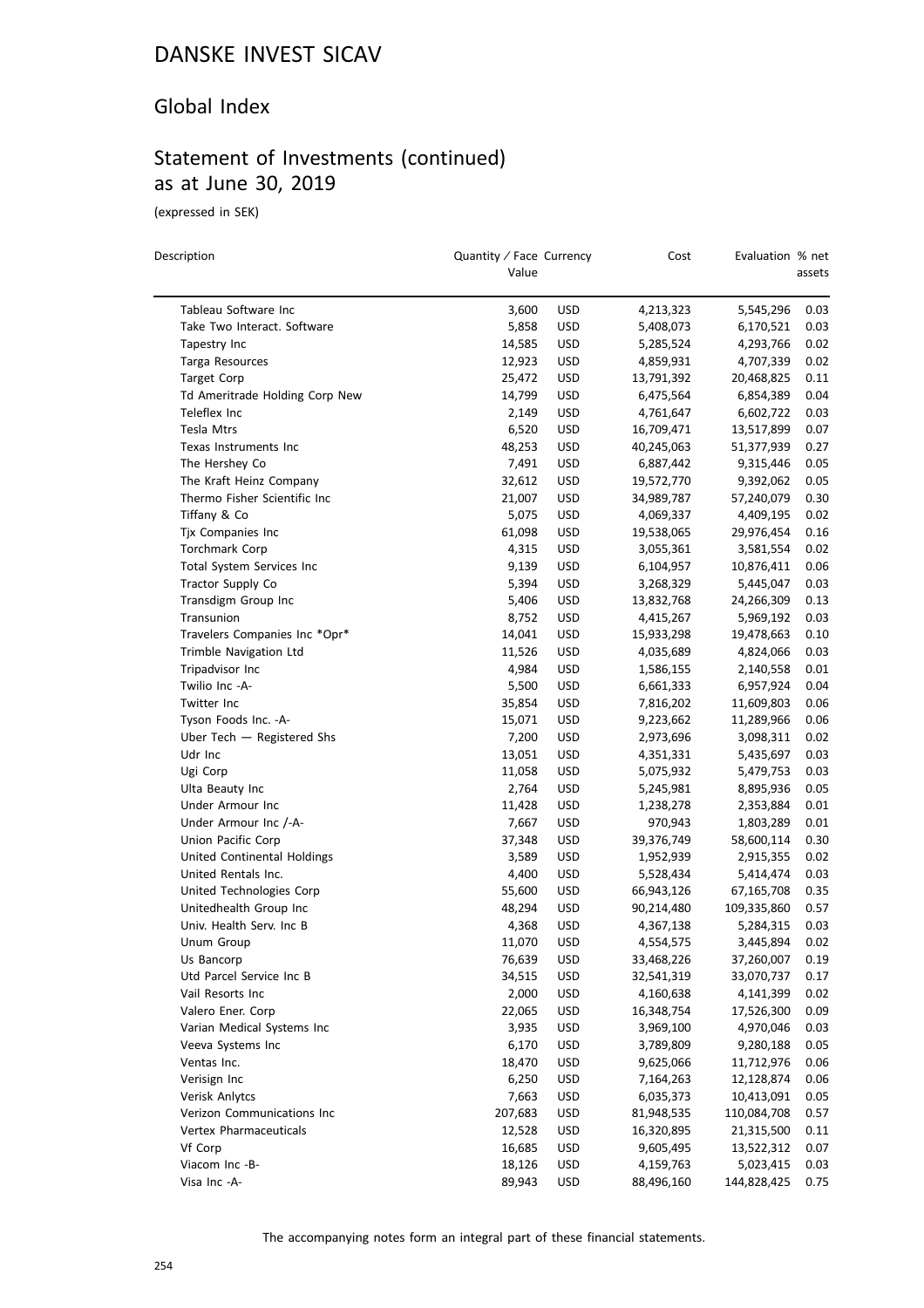### Global Index

### Statement of Investments (continued) as at June 30, 2019

(expressed in SEK)

| Description                    | Quantity / Face Currency<br>Value |            | Cost                   | Evaluation % net | assets |
|--------------------------------|-----------------------------------|------------|------------------------|------------------|--------|
| Tableau Software Inc           | 3,600                             | <b>USD</b> | 4,213,323              | 5,545,296        | 0.03   |
| Take Two Interact. Software    | 5,858                             | <b>USD</b> | 5,408,073              | 6,170,521        | 0.03   |
| Tapestry Inc                   | 14,585                            | <b>USD</b> | 5,285,524              | 4,293,766        | 0.02   |
| Targa Resources                | 12,923                            | <b>USD</b> | 4,859,931              | 4,707,339        | 0.02   |
| <b>Target Corp</b>             | 25,472                            | <b>USD</b> | 13,791,392             | 20,468,825       | 0.11   |
| Td Ameritrade Holding Corp New | 14,799                            | <b>USD</b> | 6,475,564              | 6,854,389        | 0.04   |
| Teleflex Inc                   | 2,149                             | <b>USD</b> | 4,761,647              | 6,602,722        | 0.03   |
| Tesla Mtrs                     | 6,520                             | <b>USD</b> | 16,709,471             | 13,517,899       | 0.07   |
| Texas Instruments Inc          | 48,253                            | <b>USD</b> | 40,245,063             | 51,377,939       | 0.27   |
| The Hershey Co                 | 7,491                             | <b>USD</b> | 6,887,442              | 9,315,446        | 0.05   |
| The Kraft Heinz Company        | 32,612                            | <b>USD</b> | 19,572,770             | 9,392,062        | 0.05   |
| Thermo Fisher Scientific Inc   | 21,007                            | <b>USD</b> | 34,989,787             | 57,240,079       | 0.30   |
| Tiffany & Co                   | 5,075                             | <b>USD</b> | 4,069,337              | 4,409,195        | 0.02   |
| Tjx Companies Inc              | 61,098                            | <b>USD</b> | 19,538,065             | 29,976,454       | 0.16   |
| Torchmark Corp                 | 4,315                             | <b>USD</b> | 3,055,361              | 3,581,554        | 0.02   |
| Total System Services Inc      | 9,139                             | <b>USD</b> | 6,104,957              | 10,876,411       | 0.06   |
| Tractor Supply Co              | 5,394                             | <b>USD</b> | 3,268,329              | 5,445,047        | 0.03   |
| Transdigm Group Inc            | 5,406                             | <b>USD</b> | 13,832,768             | 24,266,309       | 0.13   |
| Transunion                     | 8,752                             | <b>USD</b> | 4,415,267              | 5,969,192        | 0.03   |
| Travelers Companies Inc *Opr*  | 14,041                            | <b>USD</b> | 15,933,298             | 19,478,663       | 0.10   |
| Trimble Navigation Ltd         | 11,526                            | <b>USD</b> | 4,035,689              | 4,824,066        | 0.03   |
| Tripadvisor Inc                | 4,984                             | <b>USD</b> | 1,586,155              | 2,140,558        | 0.01   |
| Twilio Inc -A-                 | 5,500                             | <b>USD</b> | 6,661,333              | 6,957,924        | 0.04   |
| Twitter Inc                    | 35,854                            | <b>USD</b> | 7,816,202              | 11,609,803       | 0.06   |
| Tyson Foods Inc. - A-          | 15,071                            | <b>USD</b> | 9,223,662              | 11,289,966       | 0.06   |
| Uber Tech - Registered Shs     | 7,200                             | <b>USD</b> | 2,973,696              | 3,098,311        | 0.02   |
| Udr Inc                        | 13,051                            | <b>USD</b> | 4,351,331              | 5,435,697        | 0.03   |
| Ugi Corp                       | 11,058                            | <b>USD</b> | 5,075,932              | 5,479,753        | 0.03   |
| Ulta Beauty Inc                | 2,764                             | <b>USD</b> | 5,245,981              | 8,895,936        | 0.05   |
| Under Armour Inc               | 11,428                            | <b>USD</b> | 1,238,278              | 2,353,884        | 0.01   |
| Under Armour Inc /-A-          | 7,667                             | <b>USD</b> | 970,943                | 1,803,289        | 0.01   |
| Union Pacific Corp             | 37,348                            | <b>USD</b> | 39,376,749             | 58,600,114       | 0.30   |
| United Continental Holdings    | 3,589                             | <b>USD</b> | 1,952,939              | 2,915,355        | 0.02   |
| United Rentals Inc.            | 4,400                             | <b>USD</b> | 5,528,434              | 5,414,474        | 0.03   |
| United Technologies Corp       | 55,600                            | <b>USD</b> | 66,943,126             | 67,165,708       | 0.35   |
| Unitedhealth Group Inc         | 48,294                            | <b>USD</b> | 90,214,480             | 109,335,860      | 0.57   |
| Univ. Health Serv. Inc B       | 4,368                             | <b>USD</b> | 4,367,138              | 5,284,315        | 0.03   |
| Unum Group                     | 11,070                            | <b>USD</b> | 4,554,575              | 3,445,894        | 0.02   |
| Us Bancorp                     | 76,639                            | <b>USD</b> | 33,468,226             | 37,260,007       | 0.19   |
| Utd Parcel Service Inc B       | 34,515                            | <b>USD</b> | 32,541,319             | 33,070,737       | 0.17   |
| Vail Resorts Inc               | 2,000                             | <b>USD</b> | 4,160,638              | 4,141,399        | 0.02   |
| Valero Ener. Corp              | 22,065                            | <b>USD</b> | 16,348,754             | 17,526,300       | 0.09   |
| Varian Medical Systems Inc     | 3,935                             | <b>USD</b> | 3,969,100              | 4,970,046        | 0.03   |
| Veeva Systems Inc              | 6,170                             | <b>USD</b> | 3,789,809              | 9,280,188        | 0.05   |
| Ventas Inc.                    | 18,470                            | <b>USD</b> | 9,625,066              | 11,712,976       | 0.06   |
| Verisign Inc                   | 6,250                             | <b>USD</b> | 7,164,263              | 12,128,874       | 0.06   |
| Verisk Anlytcs                 | 7,663                             | <b>USD</b> | 6,035,373              | 10,413,091       | 0.05   |
| Verizon Communications Inc     | 207,683                           | <b>USD</b> | 81,948,535             | 110,084,708      | 0.57   |
| Vertex Pharmaceuticals         | 12,528                            | <b>USD</b> | 16,320,895             | 21,315,500       | 0.11   |
| Vf Corp                        | 16,685                            | <b>USD</b> |                        | 13,522,312       | 0.07   |
| Viacom Inc -B-                 | 18,126                            | <b>USD</b> | 9,605,495<br>4,159,763 | 5,023,415        | 0.03   |
| Visa Inc -A-                   | 89,943                            | <b>USD</b> | 88,496,160             | 144,828,425      | 0.75   |
|                                |                                   |            |                        |                  |        |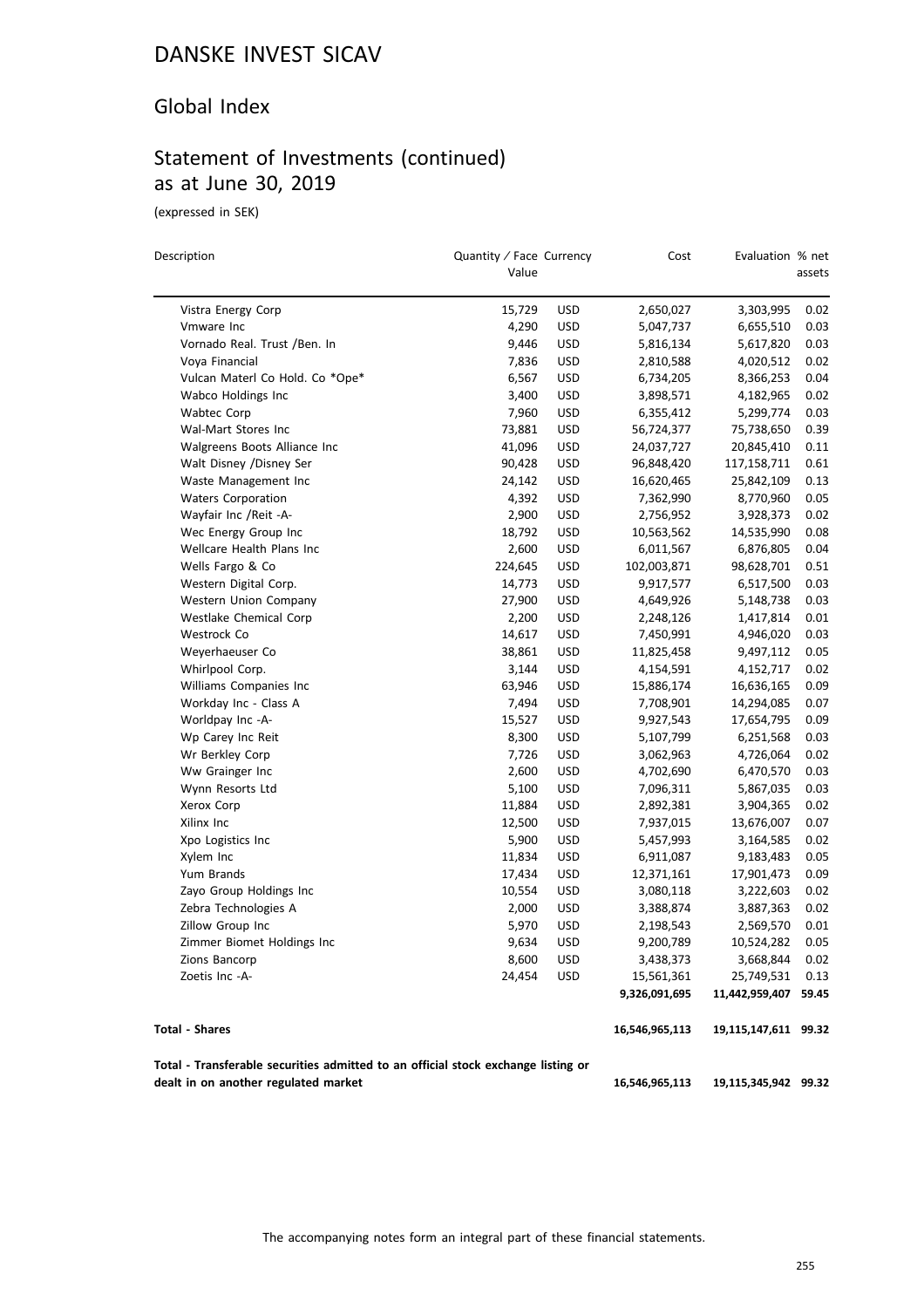### Global Index

### Statement of Investments (continued) as at June 30, 2019

(expressed in SEK)

| Description                                                                       |         | Quantity / Face Currency |                | Evaluation % net     |        |
|-----------------------------------------------------------------------------------|---------|--------------------------|----------------|----------------------|--------|
|                                                                                   | Value   |                          |                |                      | assets |
| Vistra Energy Corp                                                                | 15,729  | <b>USD</b>               | 2,650,027      | 3,303,995            | 0.02   |
| Vmware Inc                                                                        | 4,290   | <b>USD</b>               | 5,047,737      | 6,655,510            | 0.03   |
| Vornado Real. Trust /Ben. In                                                      | 9,446   | <b>USD</b>               | 5,816,134      | 5,617,820            | 0.03   |
| Voya Financial                                                                    | 7,836   | <b>USD</b>               | 2,810,588      | 4,020,512            | 0.02   |
| Vulcan Materl Co Hold. Co *Ope*                                                   | 6,567   | <b>USD</b>               | 6,734,205      | 8,366,253            | 0.04   |
| Wabco Holdings Inc                                                                | 3,400   | <b>USD</b>               | 3,898,571      | 4,182,965            | 0.02   |
| <b>Wabtec Corp</b>                                                                | 7,960   | <b>USD</b>               | 6,355,412      | 5,299,774            | 0.03   |
| Wal-Mart Stores Inc                                                               | 73,881  | <b>USD</b>               | 56,724,377     | 75,738,650           | 0.39   |
| Walgreens Boots Alliance Inc                                                      | 41,096  | <b>USD</b>               | 24,037,727     | 20,845,410           | 0.11   |
| Walt Disney /Disney Ser                                                           | 90,428  | <b>USD</b>               | 96,848,420     | 117,158,711          | 0.61   |
| Waste Management Inc                                                              | 24,142  | <b>USD</b>               | 16,620,465     | 25,842,109           | 0.13   |
| <b>Waters Corporation</b>                                                         | 4,392   | <b>USD</b>               | 7,362,990      | 8,770,960            | 0.05   |
| Wayfair Inc / Reit - A-                                                           | 2,900   | <b>USD</b>               | 2,756,952      | 3,928,373            | 0.02   |
| Wec Energy Group Inc                                                              | 18,792  | <b>USD</b>               | 10,563,562     | 14,535,990           | 0.08   |
| Wellcare Health Plans Inc                                                         | 2,600   | <b>USD</b>               | 6,011,567      | 6,876,805            | 0.04   |
| Wells Fargo & Co                                                                  | 224,645 | <b>USD</b>               | 102,003,871    | 98,628,701           | 0.51   |
| Western Digital Corp.                                                             | 14,773  | <b>USD</b>               | 9,917,577      | 6,517,500            | 0.03   |
| Western Union Company                                                             | 27,900  | <b>USD</b>               | 4,649,926      | 5,148,738            | 0.03   |
| Westlake Chemical Corp                                                            | 2,200   | <b>USD</b>               | 2,248,126      | 1,417,814            | 0.01   |
| Westrock Co                                                                       | 14,617  | <b>USD</b>               | 7,450,991      | 4,946,020            | 0.03   |
| Weyerhaeuser Co                                                                   | 38,861  | <b>USD</b>               | 11,825,458     | 9,497,112            | 0.05   |
| Whirlpool Corp.                                                                   | 3,144   | <b>USD</b>               | 4,154,591      | 4,152,717            | 0.02   |
| Williams Companies Inc                                                            | 63,946  | <b>USD</b>               | 15,886,174     | 16,636,165           | 0.09   |
| Workday Inc - Class A                                                             | 7,494   | <b>USD</b>               | 7,708,901      | 14,294,085           | 0.07   |
| Worldpay Inc -A-                                                                  | 15,527  | <b>USD</b>               | 9,927,543      | 17,654,795           | 0.09   |
| Wp Carey Inc Reit                                                                 | 8,300   | <b>USD</b>               | 5,107,799      | 6,251,568            | 0.03   |
| Wr Berkley Corp                                                                   | 7,726   | <b>USD</b>               | 3,062,963      | 4,726,064            | 0.02   |
| Ww Grainger Inc                                                                   | 2,600   | <b>USD</b>               | 4,702,690      | 6,470,570            | 0.03   |
| Wynn Resorts Ltd                                                                  | 5,100   | <b>USD</b>               | 7,096,311      | 5,867,035            | 0.03   |
| Xerox Corp                                                                        | 11,884  | <b>USD</b>               | 2,892,381      | 3,904,365            | 0.02   |
| Xilinx Inc                                                                        | 12,500  | <b>USD</b>               | 7,937,015      | 13,676,007           | 0.07   |
| Xpo Logistics Inc                                                                 | 5,900   | <b>USD</b>               | 5,457,993      | 3,164,585            | 0.02   |
| Xylem Inc                                                                         | 11,834  | <b>USD</b>               | 6,911,087      | 9,183,483            | 0.05   |
| Yum Brands                                                                        | 17,434  | <b>USD</b>               | 12,371,161     | 17,901,473           | 0.09   |
| Zayo Group Holdings Inc                                                           | 10,554  | <b>USD</b>               | 3,080,118      | 3,222,603            | 0.02   |
| Zebra Technologies A                                                              | 2,000   | <b>USD</b>               | 3,388,874      | 3,887,363            | 0.02   |
| Zillow Group Inc                                                                  | 5,970   | <b>USD</b>               | 2,198,543      | 2,569,570            | 0.01   |
| Zimmer Biomet Holdings Inc                                                        | 9,634   | <b>USD</b>               | 9,200,789      | 10,524,282           | 0.05   |
| Zions Bancorp                                                                     | 8,600   | <b>USD</b>               | 3,438,373      | 3,668,844            | 0.02   |
| Zoetis Inc -A-                                                                    | 24,454  | <b>USD</b>               | 15,561,361     | 25,749,531           | 0.13   |
|                                                                                   |         |                          | 9,326,091,695  | 11,442,959,407       | 59.45  |
| <b>Total - Shares</b>                                                             |         |                          | 16,546,965,113 | 19,115,147,611 99.32 |        |
| Total - Transferable securities admitted to an official stock exchange listing or |         |                          |                |                      |        |
| dealt in on another regulated market                                              |         |                          | 16,546,965,113 | 19,115,345,942 99.32 |        |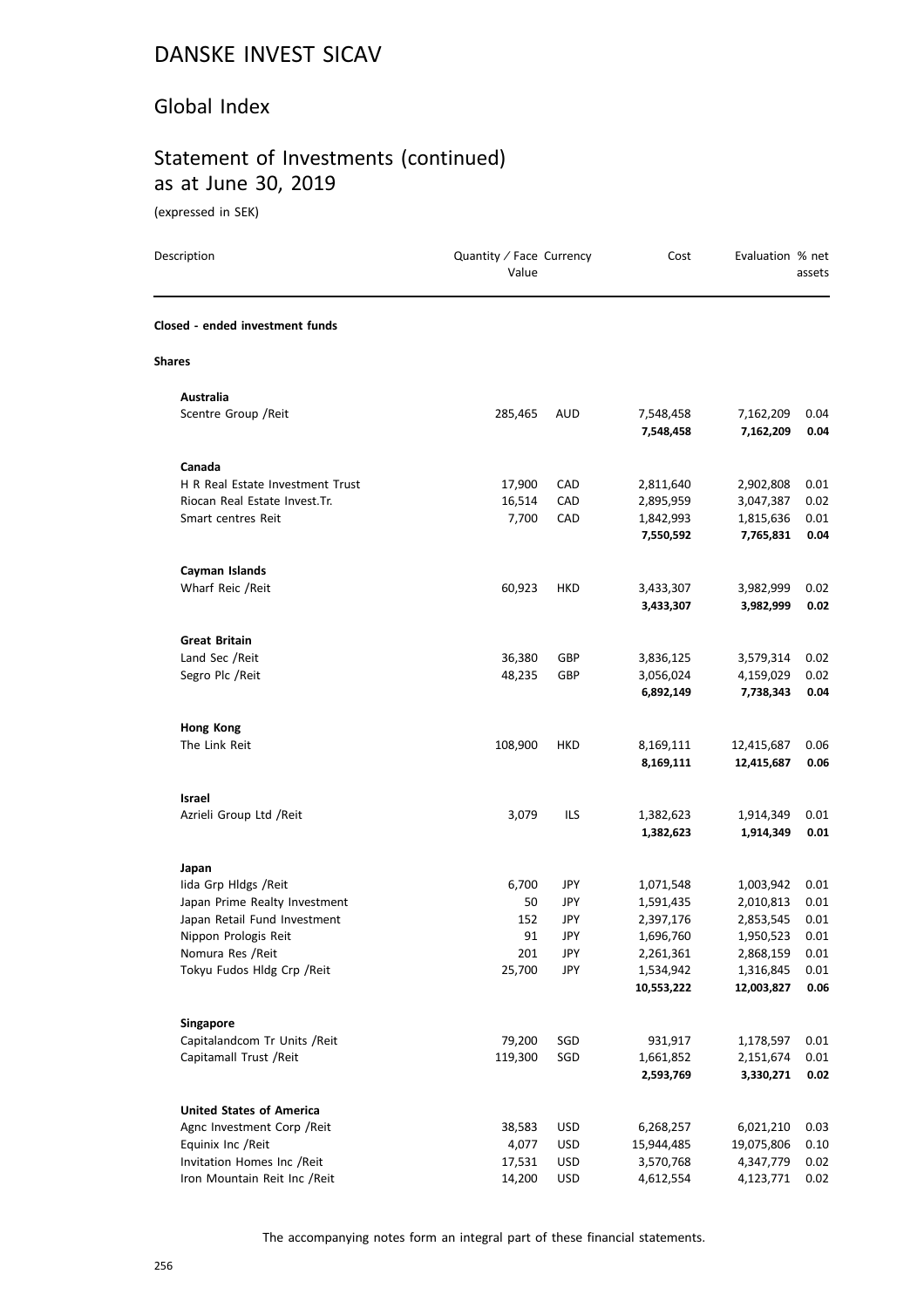#### Global Index

### Statement of Investments (continued) as at June 30, 2019

(expressed in SEK)

| Description                                                   | Quantity / Face Currency<br>Value |            | Cost                   | Evaluation % net       | assets       |
|---------------------------------------------------------------|-----------------------------------|------------|------------------------|------------------------|--------------|
| Closed - ended investment funds                               |                                   |            |                        |                        |              |
| <b>Shares</b>                                                 |                                   |            |                        |                        |              |
| Australia                                                     |                                   |            |                        |                        |              |
| Scentre Group / Reit                                          | 285,465                           | AUD        | 7,548,458<br>7,548,458 | 7,162,209<br>7,162,209 | 0.04<br>0.04 |
| Canada                                                        |                                   |            |                        |                        |              |
| H R Real Estate Investment Trust                              | 17,900                            | CAD        | 2,811,640              | 2,902,808              | 0.01         |
| Riocan Real Estate Invest.Tr.                                 | 16,514                            | CAD        | 2,895,959              | 3,047,387              | 0.02         |
| Smart centres Reit                                            | 7,700                             | CAD        | 1,842,993              | 1,815,636              | 0.01         |
|                                                               |                                   |            | 7,550,592              | 7,765,831              | 0.04         |
| Cayman Islands                                                |                                   |            |                        |                        |              |
| Wharf Reic / Reit                                             | 60,923                            | HKD        | 3,433,307              | 3,982,999              | 0.02         |
|                                                               |                                   |            | 3,433,307              | 3,982,999              | 0.02         |
| <b>Great Britain</b>                                          |                                   |            |                        |                        |              |
| Land Sec /Reit                                                | 36,380                            | GBP        | 3,836,125              | 3,579,314              | 0.02         |
| Segro Plc /Reit                                               | 48,235                            | GBP        | 3,056,024<br>6,892,149 | 4,159,029<br>7,738,343 | 0.02<br>0.04 |
| <b>Hong Kong</b>                                              |                                   |            |                        |                        |              |
| The Link Reit                                                 | 108,900                           | HKD        | 8,169,111              | 12,415,687             | 0.06         |
|                                                               |                                   |            | 8,169,111              | 12,415,687             | 0.06         |
| Israel                                                        |                                   |            |                        |                        |              |
| Azrieli Group Ltd /Reit                                       | 3,079                             | ILS        | 1,382,623              | 1,914,349              | 0.01         |
|                                                               |                                   |            | 1,382,623              | 1,914,349              | 0.01         |
| Japan                                                         |                                   |            |                        |                        |              |
| lida Grp Hldgs / Reit                                         | 6,700<br>50                       | JPY        | 1,071,548<br>1,591,435 | 1,003,942              | 0.01         |
| Japan Prime Realty Investment<br>Japan Retail Fund Investment | 152                               | JPY<br>JPY | 2,397,176              | 2,010,813<br>2,853,545 | 0.01<br>0.01 |
| Nippon Prologis Reit                                          | 91                                | JPY        | 1,696,760              | 1,950,523              | 0.01         |
| Nomura Res / Reit                                             | 201                               | <b>JPY</b> | 2,261,361              | 2,868,159              | 0.01         |
| Tokyu Fudos Hldg Crp / Reit                                   | 25,700                            | JPY        | 1,534,942              | 1,316,845              | 0.01         |
|                                                               |                                   |            | 10,553,222             | 12,003,827             | 0.06         |
| <b>Singapore</b>                                              |                                   |            |                        |                        |              |
| Capitalandcom Tr Units / Reit                                 | 79,200                            | SGD        | 931,917                | 1,178,597              | 0.01         |
| Capitamall Trust / Reit                                       | 119,300                           | SGD        | 1,661,852              | 2,151,674              | 0.01         |
|                                                               |                                   |            | 2,593,769              | 3,330,271              | 0.02         |
| <b>United States of America</b>                               |                                   |            |                        |                        |              |
| Agnc Investment Corp / Reit                                   | 38,583                            | <b>USD</b> | 6,268,257              | 6,021,210              | 0.03         |
| Equinix Inc / Reit                                            | 4,077                             | <b>USD</b> | 15,944,485             | 19,075,806             | 0.10         |
| Invitation Homes Inc /Reit                                    | 17,531                            | <b>USD</b> | 3,570,768              | 4,347,779              | 0.02         |
| Iron Mountain Reit Inc / Reit                                 | 14,200                            | <b>USD</b> | 4,612,554              | 4,123,771              | 0.02         |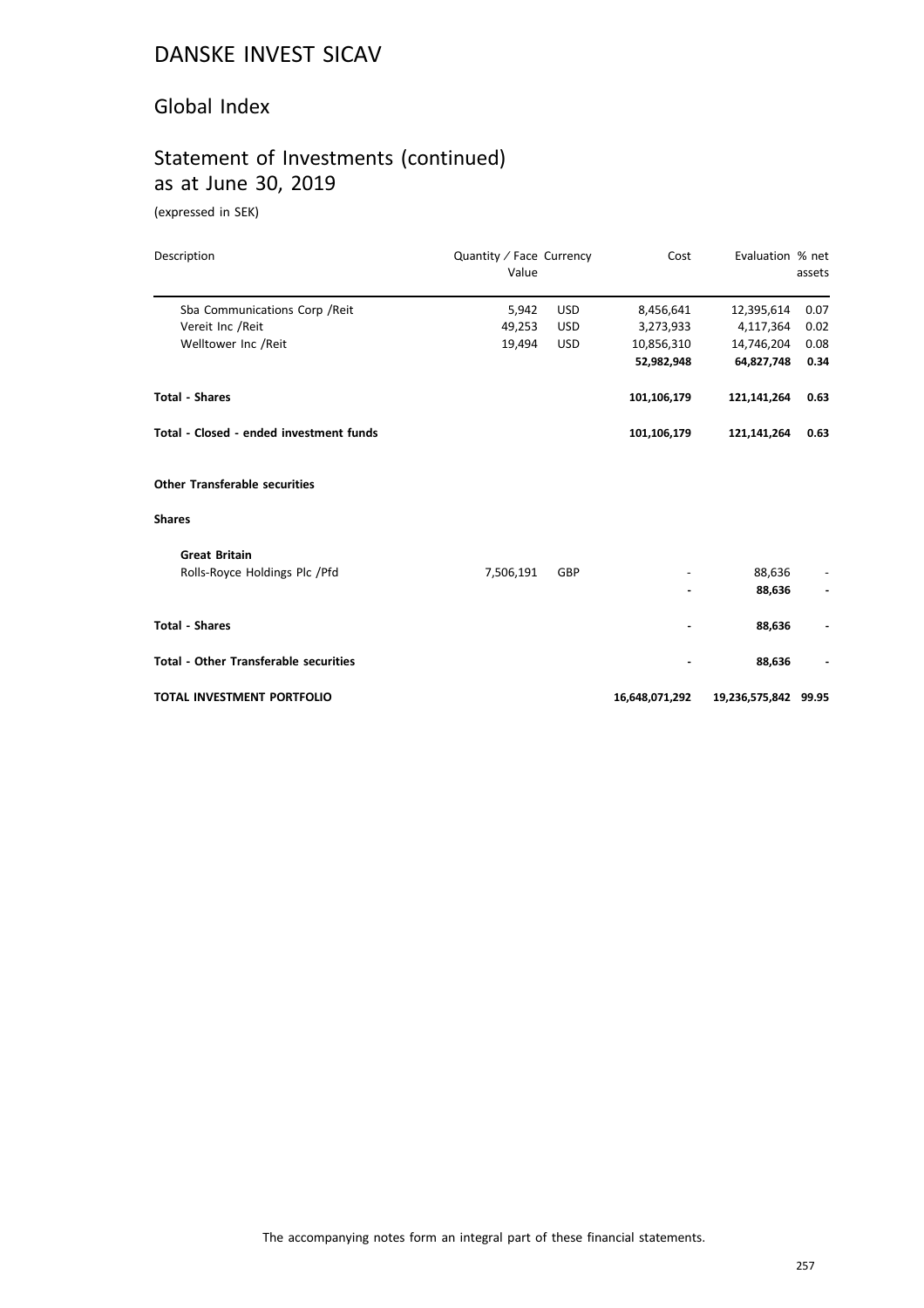#### Global Index

### Statement of Investments (continued) as at June 30, 2019

(expressed in SEK)

| Description                                  | Quantity / Face Currency<br>Value |            | Cost           | Evaluation % net     | assets |
|----------------------------------------------|-----------------------------------|------------|----------------|----------------------|--------|
| Sba Communications Corp / Reit               | 5,942                             | <b>USD</b> | 8,456,641      | 12,395,614           | 0.07   |
| Vereit Inc /Reit                             | 49,253                            | <b>USD</b> | 3,273,933      | 4,117,364            | 0.02   |
| Welltower Inc /Reit                          | 19,494                            | <b>USD</b> | 10,856,310     | 14,746,204           | 0.08   |
|                                              |                                   |            | 52,982,948     | 64,827,748           | 0.34   |
| <b>Total - Shares</b>                        |                                   |            | 101,106,179    | 121,141,264          | 0.63   |
| Total - Closed - ended investment funds      |                                   |            | 101,106,179    | 121,141,264          | 0.63   |
| <b>Other Transferable securities</b>         |                                   |            |                |                      |        |
| <b>Shares</b>                                |                                   |            |                |                      |        |
| <b>Great Britain</b>                         |                                   |            |                |                      |        |
| Rolls-Royce Holdings Plc / Pfd               | 7,506,191                         | GBP        |                | 88,636               |        |
|                                              |                                   |            |                | 88,636               |        |
| <b>Total - Shares</b>                        |                                   |            |                | 88,636               |        |
| <b>Total - Other Transferable securities</b> |                                   |            |                | 88,636               |        |
| TOTAL INVESTMENT PORTFOLIO                   |                                   |            | 16,648,071,292 | 19,236,575,842 99.95 |        |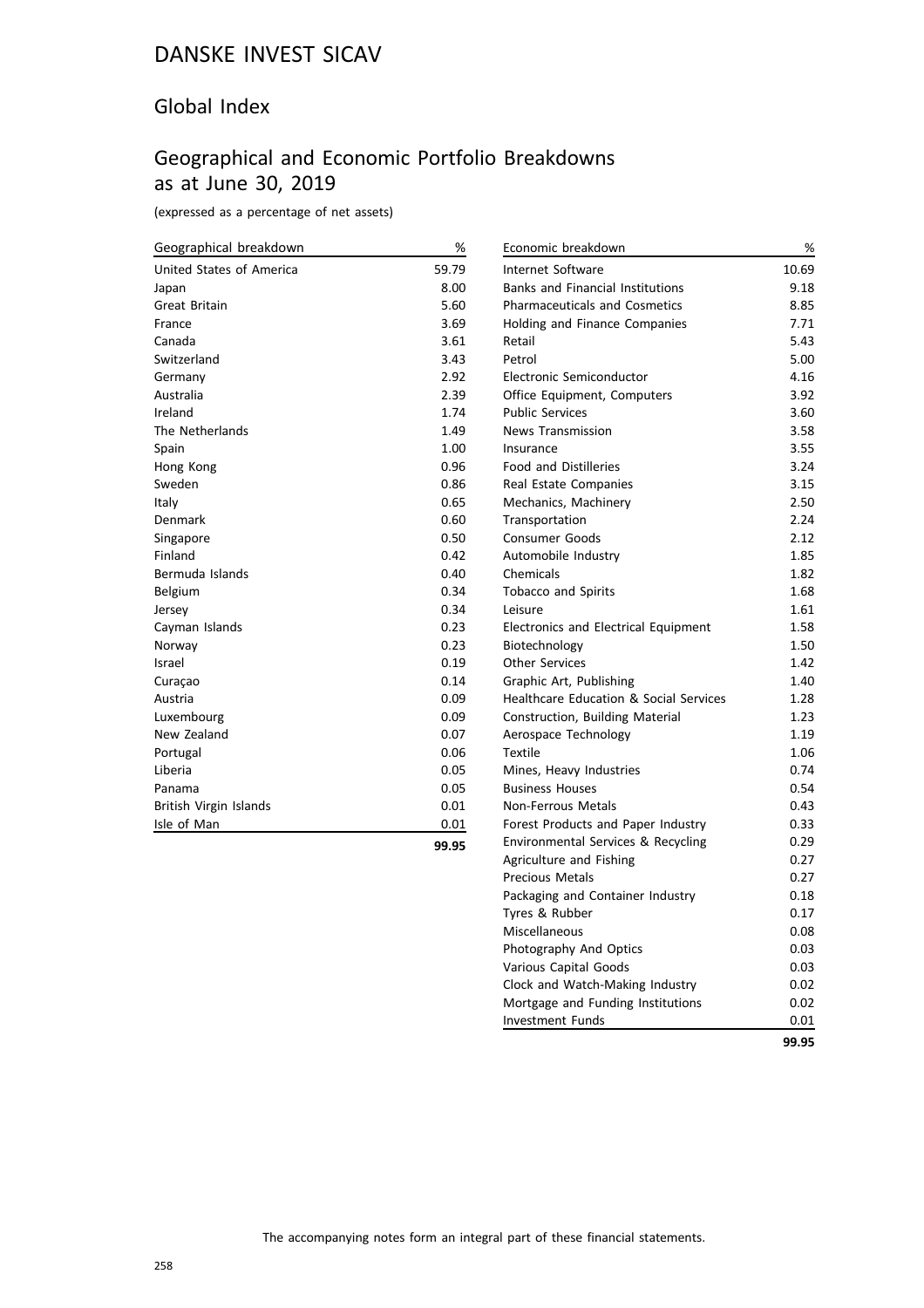### Global Index

### Geographical and Economic Portfolio Breakdowns as at June 30, 2019

(expressed as a percentage of net assets)

| Geographical breakdown   | %     | Economic brea          |
|--------------------------|-------|------------------------|
| United States of America | 59.79 | Internet Softw         |
| Japan                    | 8.00  | Banks and Fin          |
| <b>Great Britain</b>     | 5.60  | Pharmaceutica          |
| France                   | 3.69  | Holding and Fi         |
| Canada                   | 3.61  | Retail                 |
| Switzerland              | 3.43  | Petrol                 |
| Germany                  | 2.92  | Electronic Sem         |
| Australia                | 2.39  | Office Equipm          |
| Ireland                  | 1.74  | <b>Public Services</b> |
| The Netherlands          | 1.49  | News Transmi           |
| Spain                    | 1.00  | Insurance              |
| Hong Kong                | 0.96  | Food and Disti         |
| Sweden                   | 0.86  | Real Estate Co         |
| Italy                    | 0.65  | Mechanics, Ma          |
| Denmark                  | 0.60  | Transportatior         |
| Singapore                | 0.50  | Consumer Goo           |
| Finland                  | 0.42  | Automobile In          |
| Bermuda Islands          | 0.40  | Chemicals              |
| Belgium                  | 0.34  | Tobacco and S          |
| Jersey                   | 0.34  | Leisure                |
| Cayman Islands           | 0.23  | Electronics and        |
| Norway                   | 0.23  | Biotechnology          |
| Israel                   | 0.19  | <b>Other Services</b>  |
| Curaçao                  | 0.14  | Graphic Art, P         |
| Austria                  | 0.09  | Healthcare Ed          |
| Luxembourg               | 0.09  | Construction,          |
| New Zealand              | 0.07  | Aerospace Tec          |
| Portugal                 | 0.06  | Textile                |
| Liberia                  | 0.05  | Mines, Heavy           |
| Panama                   | 0.05  | <b>Business Hous</b>   |
| British Virgin Islands   | 0.01  | Non-Ferrous N          |
| Isle of Man              | 0.01  | <b>Forest Product</b>  |
|                          |       |                        |

| Economic breakdown                                | %     |
|---------------------------------------------------|-------|
| <b>Internet Software</b>                          | 10.69 |
| <b>Banks and Financial Institutions</b>           | 9.18  |
| <b>Pharmaceuticals and Cosmetics</b>              | 8.85  |
| <b>Holding and Finance Companies</b>              | 7.71  |
| Retail                                            | 5.43  |
| Petrol                                            | 5.00  |
| Electronic Semiconductor                          | 4.16  |
| Office Equipment, Computers                       | 3.92  |
| <b>Public Services</b>                            | 3.60  |
| <b>News Transmission</b>                          | 3.58  |
| Insurance                                         | 3.55  |
| <b>Food and Distilleries</b>                      | 3.24  |
| Real Estate Companies                             | 3.15  |
| Mechanics, Machinery                              | 2.50  |
| Transportation                                    | 2.24  |
| <b>Consumer Goods</b>                             | 2.12  |
| Automobile Industry                               | 1.85  |
| Chemicals                                         | 1.82  |
| <b>Tobacco and Spirits</b>                        | 1.68  |
| Leisure                                           | 1.61  |
| <b>Electronics and Electrical Equipment</b>       | 1.58  |
| Biotechnology                                     | 1.50  |
| <b>Other Services</b>                             | 1.42  |
| Graphic Art, Publishing                           | 1.40  |
| <b>Healthcare Education &amp; Social Services</b> | 1.28  |
| Construction, Building Material                   | 1.23  |
| Aerospace Technology                              | 1.19  |
| <b>Textile</b>                                    | 1.06  |
| Mines, Heavy Industries                           | 0.74  |
| <b>Business Houses</b>                            | 0.54  |
| <b>Non-Ferrous Metals</b>                         | 0.43  |
| Forest Products and Paper Industry                | 0.33  |
| Environmental Services & Recycling                | 0.29  |
| Agriculture and Fishing                           | 0.27  |
| <b>Precious Metals</b>                            | 0.27  |
| Packaging and Container Industry                  | 0.18  |
| Tyres & Rubber                                    | 0.17  |
| Miscellaneous                                     | 0.08  |
| Photography And Optics                            | 0.03  |
| Various Capital Goods                             | 0.03  |
| Clock and Watch-Making Industry                   | 0.02  |
| Mortgage and Funding Institutions                 | 0.02  |
| <b>Investment Funds</b>                           | 0.01  |
|                                                   | 99.95 |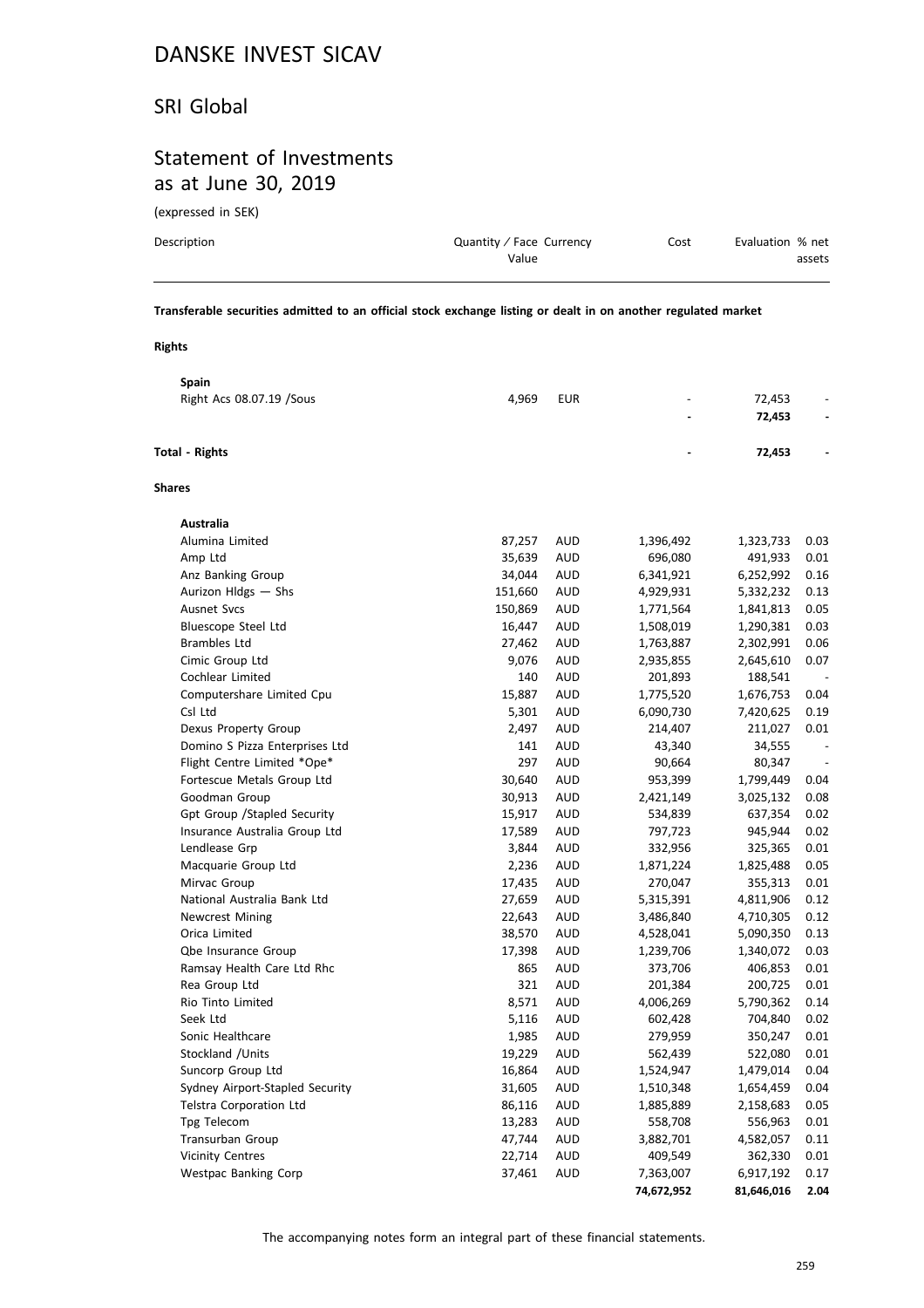#### SRI Global

#### Statement of Investments as at June 30, 2019

(expressed in SEK)

| Description | Quantity / Face Currency | Cost | Evaluation % net |
|-------------|--------------------------|------|------------------|
|             | Value                    |      | assets           |
|             |                          |      |                  |

**Transferable securities admitted to an official stock exchange listing or dealt in on another regulated market**

#### **Rights**

| <b>Spain</b>                    |         |            |            |            |                          |
|---------------------------------|---------|------------|------------|------------|--------------------------|
| Right Acs 08.07.19 / Sous       | 4,969   | <b>EUR</b> |            | 72,453     |                          |
|                                 |         |            |            | 72,453     |                          |
| <b>Total - Rights</b>           |         |            |            | 72,453     |                          |
| <b>Shares</b>                   |         |            |            |            |                          |
| Australia                       |         |            |            |            |                          |
| Alumina Limited                 | 87,257  | AUD        | 1,396,492  | 1,323,733  | 0.03                     |
| Amp Ltd                         | 35,639  | <b>AUD</b> | 696,080    | 491,933    | 0.01                     |
| Anz Banking Group               | 34,044  | AUD        | 6,341,921  | 6,252,992  | 0.16                     |
| Aurizon Hldgs - Shs             | 151,660 | <b>AUD</b> | 4,929,931  | 5,332,232  | 0.13                     |
| Ausnet Svcs                     | 150,869 | <b>AUD</b> | 1,771,564  | 1,841,813  | 0.05                     |
| Bluescope Steel Ltd             | 16,447  | AUD        | 1,508,019  | 1,290,381  | 0.03                     |
| <b>Brambles Ltd</b>             | 27,462  | <b>AUD</b> | 1,763,887  | 2,302,991  | 0.06                     |
| Cimic Group Ltd                 | 9,076   | <b>AUD</b> | 2,935,855  | 2,645,610  | 0.07                     |
| Cochlear Limited                | 140     | <b>AUD</b> | 201,893    | 188,541    |                          |
| Computershare Limited Cpu       | 15,887  | <b>AUD</b> | 1,775,520  | 1,676,753  | 0.04                     |
| Csl Ltd                         | 5,301   | AUD        | 6,090,730  | 7,420,625  | 0.19                     |
| Dexus Property Group            | 2,497   | <b>AUD</b> | 214,407    | 211,027    | 0.01                     |
| Domino S Pizza Enterprises Ltd  | 141     | AUD        | 43,340     | 34,555     | $\overline{\phantom{a}}$ |
| Flight Centre Limited *Ope*     | 297     | AUD        | 90,664     | 80,347     | $\overline{\phantom{a}}$ |
| Fortescue Metals Group Ltd      | 30,640  | <b>AUD</b> | 953,399    | 1,799,449  | 0.04                     |
| Goodman Group                   | 30,913  | <b>AUD</b> | 2,421,149  | 3,025,132  | 0.08                     |
| Gpt Group / Stapled Security    | 15,917  | <b>AUD</b> | 534,839    | 637,354    | 0.02                     |
| Insurance Australia Group Ltd   | 17,589  | <b>AUD</b> | 797,723    | 945,944    | 0.02                     |
| Lendlease Grp                   | 3,844   | <b>AUD</b> | 332,956    | 325,365    | 0.01                     |
| Macquarie Group Ltd             | 2,236   | <b>AUD</b> | 1,871,224  | 1,825,488  | 0.05                     |
| Mirvac Group                    | 17,435  | AUD        | 270,047    | 355,313    | 0.01                     |
| National Australia Bank Ltd     | 27,659  | <b>AUD</b> | 5,315,391  | 4,811,906  | 0.12                     |
| <b>Newcrest Mining</b>          | 22,643  | AUD        | 3,486,840  | 4,710,305  | 0.12                     |
| Orica Limited                   | 38,570  | <b>AUD</b> | 4,528,041  | 5,090,350  | 0.13                     |
| Qbe Insurance Group             | 17,398  | AUD        | 1,239,706  | 1,340,072  | 0.03                     |
| Ramsay Health Care Ltd Rhc      | 865     | AUD        | 373,706    | 406,853    | 0.01                     |
| Rea Group Ltd                   | 321     | AUD        | 201,384    | 200,725    | 0.01                     |
| Rio Tinto Limited               | 8,571   | <b>AUD</b> | 4,006,269  | 5,790,362  | 0.14                     |
| Seek Ltd                        | 5,116   | AUD        | 602,428    | 704,840    | 0.02                     |
| Sonic Healthcare                | 1,985   | <b>AUD</b> | 279,959    | 350,247    | 0.01                     |
| Stockland / Units               | 19,229  | <b>AUD</b> | 562,439    | 522,080    | 0.01                     |
| Suncorp Group Ltd               | 16,864  | AUD        | 1,524,947  | 1,479,014  | 0.04                     |
| Sydney Airport-Stapled Security | 31,605  | <b>AUD</b> | 1,510,348  | 1,654,459  | 0.04                     |
| Telstra Corporation Ltd         | 86,116  | <b>AUD</b> | 1,885,889  | 2,158,683  | 0.05                     |
| Tpg Telecom                     | 13,283  | <b>AUD</b> | 558,708    | 556,963    | 0.01                     |
| Transurban Group                | 47,744  | AUD        | 3,882,701  | 4,582,057  | 0.11                     |
| <b>Vicinity Centres</b>         | 22,714  | AUD        | 409,549    | 362,330    | 0.01                     |
| <b>Westpac Banking Corp</b>     | 37,461  | AUD        | 7,363,007  | 6,917,192  | 0.17                     |
|                                 |         |            | 74,672,952 | 81,646,016 | 2.04                     |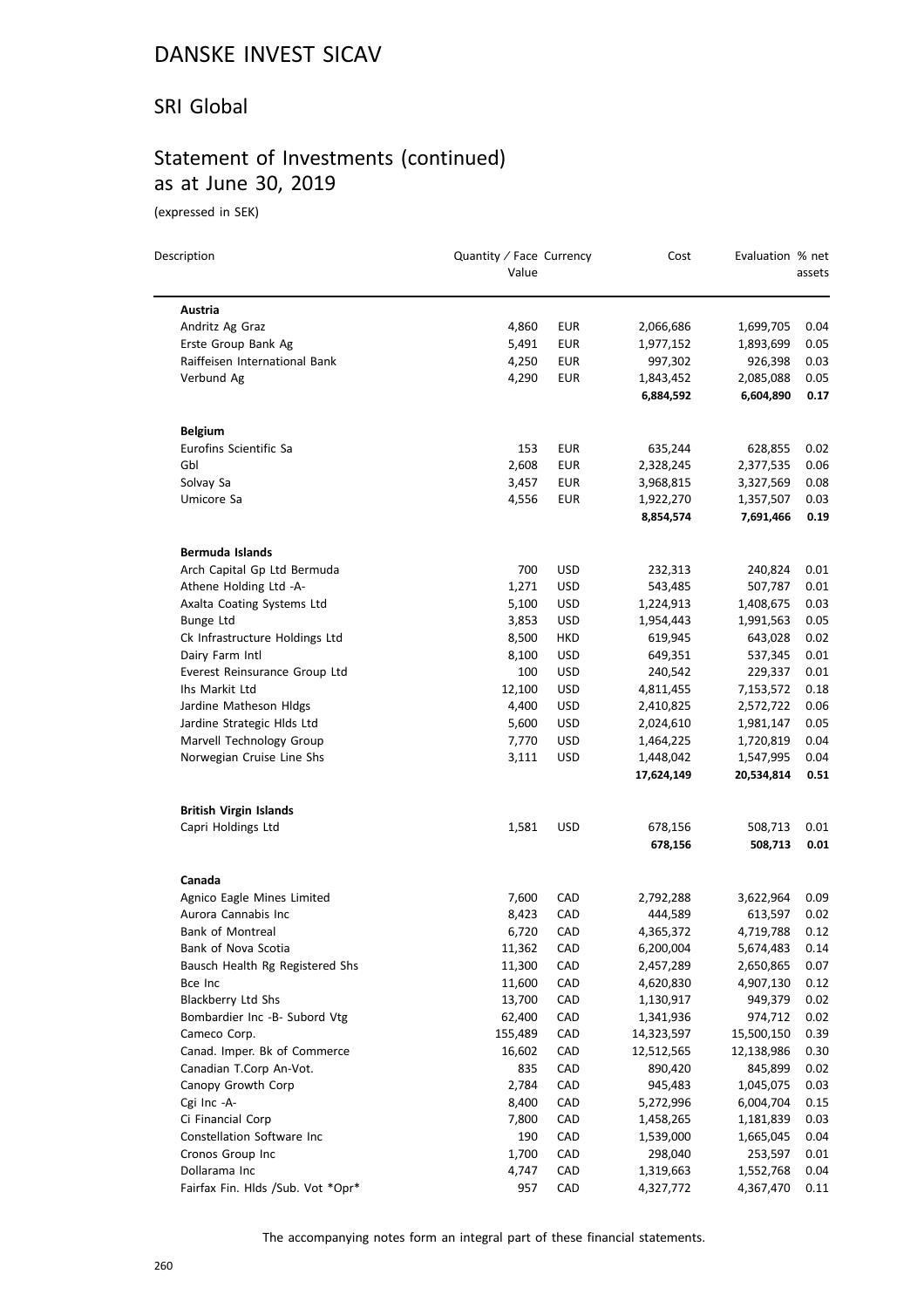#### SRI Global

### Statement of Investments (continued) as at June 30, 2019

(expressed in SEK)

| Description                       | Quantity / Face Currency<br>Value |            | Cost       | Evaluation % net | assets |
|-----------------------------------|-----------------------------------|------------|------------|------------------|--------|
| Austria                           |                                   |            |            |                  |        |
| Andritz Ag Graz                   | 4,860                             | EUR        | 2,066,686  | 1,699,705        | 0.04   |
| Erste Group Bank Ag               | 5,491                             | EUR        | 1,977,152  | 1,893,699        | 0.05   |
| Raiffeisen International Bank     | 4,250                             | EUR        | 997,302    | 926,398          | 0.03   |
| Verbund Ag                        | 4,290                             | EUR        | 1,843,452  | 2,085,088        | 0.05   |
|                                   |                                   |            | 6,884,592  | 6,604,890        | 0.17   |
| <b>Belgium</b>                    |                                   |            |            |                  |        |
| Eurofins Scientific Sa            | 153                               | EUR        | 635,244    | 628,855          | 0.02   |
| Gbl                               | 2,608                             | EUR        | 2,328,245  | 2,377,535        | 0.06   |
| Solvay Sa                         | 3,457                             | EUR        | 3,968,815  | 3,327,569        | 0.08   |
| Umicore Sa                        | 4,556                             | EUR        | 1,922,270  | 1,357,507        | 0.03   |
|                                   |                                   |            | 8,854,574  | 7,691,466        | 0.19   |
| <b>Bermuda Islands</b>            |                                   |            |            |                  |        |
| Arch Capital Gp Ltd Bermuda       | 700                               | USD        | 232,313    | 240,824          | 0.01   |
| Athene Holding Ltd -A-            | 1,271                             | <b>USD</b> | 543,485    | 507,787          | 0.01   |
| Axalta Coating Systems Ltd        | 5,100                             | USD        | 1,224,913  | 1,408,675        | 0.03   |
| Bunge Ltd                         | 3,853                             | USD        | 1,954,443  | 1,991,563        | 0.05   |
| Ck Infrastructure Holdings Ltd    | 8,500                             | HKD        | 619,945    | 643,028          | 0.02   |
| Dairy Farm Intl                   | 8,100                             | USD        | 649,351    | 537,345          | 0.01   |
| Everest Reinsurance Group Ltd     | 100                               | <b>USD</b> | 240,542    | 229,337          | 0.01   |
| Ihs Markit Ltd                    | 12,100                            | USD        | 4,811,455  | 7,153,572        | 0.18   |
| Jardine Matheson Hldgs            | 4,400                             | USD        | 2,410,825  | 2,572,722        | 0.06   |
| Jardine Strategic Hlds Ltd        | 5,600                             | USD        | 2,024,610  | 1,981,147        | 0.05   |
| Marvell Technology Group          | 7,770                             | USD        | 1,464,225  | 1,720,819        | 0.04   |
| Norwegian Cruise Line Shs         | 3,111                             | USD        | 1,448,042  | 1,547,995        | 0.04   |
|                                   |                                   |            | 17,624,149 | 20,534,814       | 0.51   |
| <b>British Virgin Islands</b>     |                                   |            |            |                  |        |
| Capri Holdings Ltd                | 1,581                             | USD        | 678,156    | 508,713          | 0.01   |
|                                   |                                   |            | 678,156    | 508,713          | 0.01   |
| Canada                            |                                   |            |            |                  |        |
| Agnico Eagle Mines Limited        | 7,600                             | CAD        | 2,792,288  | 3,622,964        | 0.09   |
| Aurora Cannabis Inc               | 8,423                             | CAD        | 444,589    | 613,597          | 0.02   |
| <b>Bank of Montreal</b>           | 6,720                             | CAD        | 4,365,372  | 4,719,788        | 0.12   |
| Bank of Nova Scotia               | 11,362                            | CAD        | 6,200,004  | 5,674,483        | 0.14   |
| Bausch Health Rg Registered Shs   | 11,300                            | CAD        | 2,457,289  | 2,650,865        | 0.07   |
| Bce Inc                           | 11,600                            | CAD        | 4,620,830  | 4,907,130        | 0.12   |
| Blackberry Ltd Shs                | 13,700                            | CAD        | 1,130,917  | 949,379          | 0.02   |
| Bombardier Inc -B- Subord Vtg     | 62,400                            | CAD        | 1,341,936  | 974,712          | 0.02   |
| Cameco Corp.                      | 155,489                           | CAD        | 14,323,597 | 15,500,150       | 0.39   |
| Canad. Imper. Bk of Commerce      | 16,602                            | CAD        | 12,512,565 | 12,138,986       | 0.30   |
| Canadian T.Corp An-Vot.           | 835                               | CAD        | 890,420    | 845,899          | 0.02   |
| Canopy Growth Corp                | 2,784                             | CAD        | 945,483    | 1,045,075        | 0.03   |
| Cgi Inc -A-                       | 8,400                             | CAD        | 5,272,996  | 6,004,704        | 0.15   |
| Ci Financial Corp                 | 7,800                             | CAD        | 1,458,265  | 1,181,839        | 0.03   |
| Constellation Software Inc        | 190                               | CAD        | 1,539,000  | 1,665,045        | 0.04   |
| Cronos Group Inc                  | 1,700                             | CAD        | 298,040    | 253,597          | 0.01   |
| Dollarama Inc                     | 4,747                             | CAD        | 1,319,663  | 1,552,768        | 0.04   |
| Fairfax Fin. Hlds /Sub. Vot *Opr* | 957                               | CAD        | 4,327,772  | 4,367,470        | 0.11   |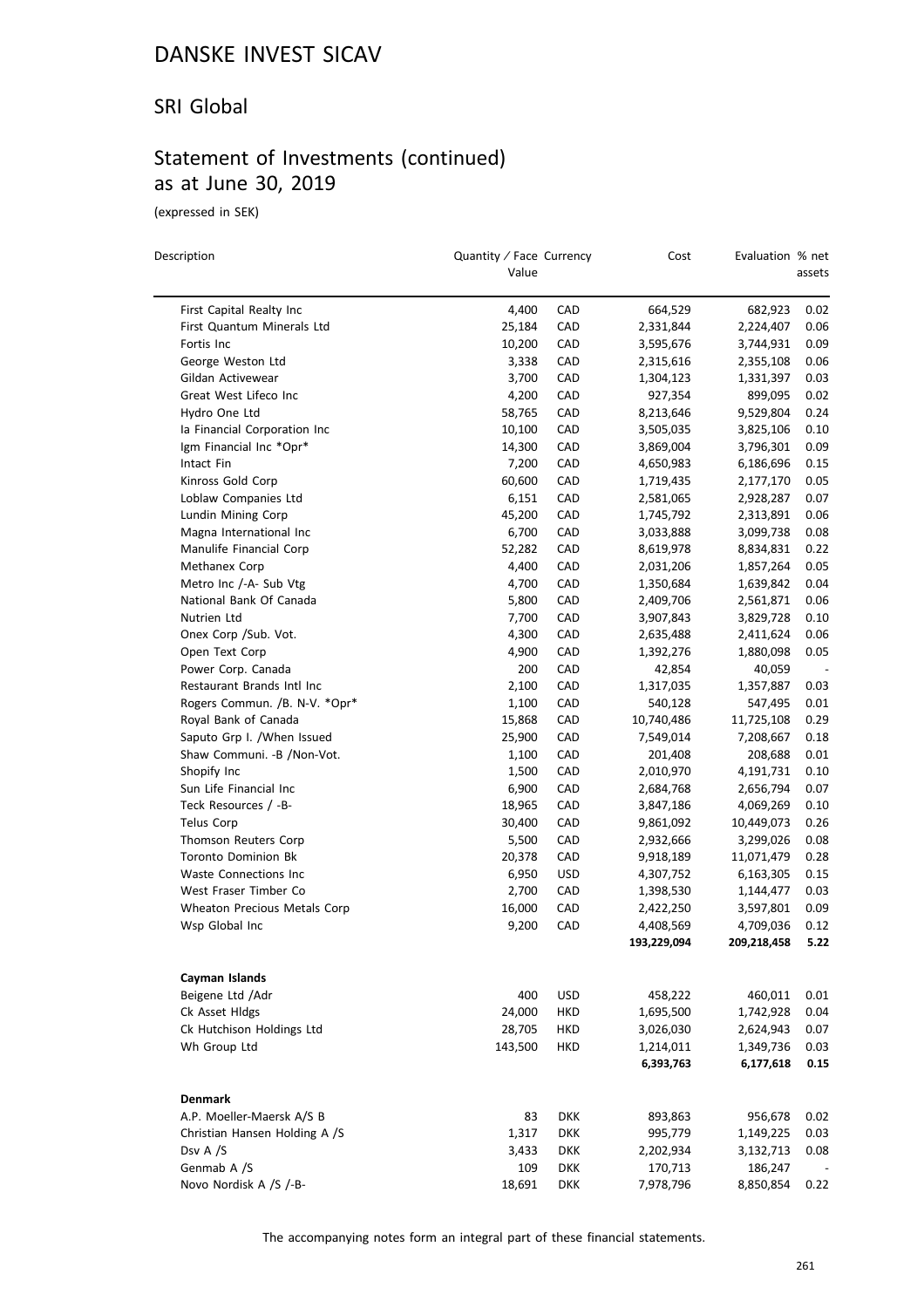#### SRI Global

### Statement of Investments (continued) as at June 30, 2019

(expressed in SEK)

 $\overline{a}$ 

| Description                         | Quantity / Face Currency<br>Value |                          | Cost                     | Evaluation % net         | assets       |
|-------------------------------------|-----------------------------------|--------------------------|--------------------------|--------------------------|--------------|
| First Capital Realty Inc            | 4,400                             | CAD                      | 664,529                  | 682,923                  | 0.02         |
| First Quantum Minerals Ltd          | 25,184                            | CAD                      | 2,331,844                | 2,224,407                | 0.06         |
| Fortis Inc                          | 10,200                            | CAD                      | 3,595,676                | 3,744,931                | 0.09         |
| George Weston Ltd                   | 3,338                             | CAD                      | 2,315,616                | 2,355,108                | 0.06         |
| Gildan Activewear                   | 3,700                             | CAD                      | 1,304,123                | 1,331,397                | 0.03         |
| Great West Lifeco Inc               | 4,200                             | CAD                      | 927,354                  | 899,095                  | 0.02         |
| Hydro One Ltd                       | 58,765                            | CAD                      | 8,213,646                | 9,529,804                | 0.24         |
| la Financial Corporation Inc        | 10,100                            | CAD                      | 3,505,035                | 3,825,106                | 0.10         |
| Igm Financial Inc *Opr*             | 14,300                            | CAD                      | 3,869,004                | 3,796,301                | 0.09         |
| Intact Fin                          | 7,200                             | CAD                      | 4,650,983                | 6,186,696                | 0.15         |
| Kinross Gold Corp                   | 60,600                            | CAD                      | 1,719,435                | 2,177,170                | 0.05         |
| Loblaw Companies Ltd                | 6,151                             | CAD                      | 2,581,065                | 2,928,287                | 0.07         |
| Lundin Mining Corp                  | 45,200                            | CAD                      | 1,745,792                | 2,313,891                | 0.06         |
| Magna International Inc             | 6,700                             | CAD                      | 3,033,888                | 3,099,738                | 0.08         |
| Manulife Financial Corp             | 52,282                            | CAD                      | 8,619,978                | 8,834,831                | 0.22         |
| Methanex Corp                       | 4,400                             | CAD                      | 2,031,206                |                          | 0.05         |
| Metro Inc /-A- Sub Vtg              | 4,700                             | CAD                      |                          | 1,857,264<br>1,639,842   | 0.04         |
| National Bank Of Canada             | 5,800                             | CAD                      | 1,350,684                |                          | 0.06         |
|                                     |                                   |                          | 2,409,706                | 2,561,871<br>3,829,728   |              |
| Nutrien Ltd                         | 7,700                             | CAD                      | 3,907,843                |                          | 0.10         |
| Onex Corp / Sub. Vot.               | 4,300                             | CAD                      | 2,635,488                | 2,411,624                | 0.06         |
| Open Text Corp                      | 4,900                             | CAD                      | 1,392,276                | 1,880,098                | 0.05         |
| Power Corp. Canada                  | 200                               | CAD                      | 42,854                   | 40,059                   |              |
| Restaurant Brands Intl Inc          | 2,100                             | CAD                      | 1,317,035                | 1,357,887                | 0.03         |
| Rogers Commun. /B. N-V. *Opr*       | 1,100                             | CAD                      | 540,128                  | 547,495                  | 0.01         |
| Royal Bank of Canada                | 15,868                            | CAD                      | 10,740,486               | 11,725,108               | 0.29         |
| Saputo Grp I. /When Issued          | 25,900                            | CAD                      | 7,549,014                | 7,208,667                | 0.18         |
| Shaw Communi. - B / Non-Vot.        | 1,100                             | CAD                      | 201,408                  | 208,688                  | 0.01         |
| Shopify Inc                         | 1,500                             | CAD                      | 2,010,970                | 4,191,731                | 0.10         |
| Sun Life Financial Inc              | 6,900                             | CAD                      | 2,684,768                | 2,656,794                | 0.07         |
| Teck Resources / -B-                | 18,965                            | CAD                      | 3,847,186                | 4,069,269                | 0.10         |
| <b>Telus Corp</b>                   | 30,400                            | CAD                      | 9,861,092                | 10,449,073               | 0.26         |
| Thomson Reuters Corp                | 5,500                             | CAD                      | 2,932,666                | 3,299,026                | 0.08         |
| <b>Toronto Dominion Bk</b>          | 20,378                            | CAD                      | 9,918,189                | 11,071,479               | 0.28         |
| <b>Waste Connections Inc</b>        | 6,950                             | USD                      | 4,307,752                | 6,163,305                | 0.15         |
| West Fraser Timber Co               | 2,700                             | CAD                      | 1,398,530                | 1,144,477                | 0.03         |
| Wheaton Precious Metals Corp        | 16,000                            | CAD                      | 2,422,250                | 3,597,801                | 0.09         |
| Wsp Global Inc                      | 9,200                             | CAD                      | 4,408,569<br>193,229,094 | 4,709,036<br>209,218,458 | 0.12<br>5.22 |
|                                     |                                   |                          |                          |                          |              |
| Cayman Islands                      |                                   |                          |                          |                          |              |
| Beigene Ltd / Adr<br>Ck Asset Hldgs | 400                               | <b>USD</b><br><b>HKD</b> | 458,222                  | 460,011                  | 0.01<br>0.04 |
|                                     | 24,000                            |                          | 1,695,500                | 1,742,928                |              |
| Ck Hutchison Holdings Ltd           | 28,705                            | HKD                      | 3,026,030                | 2,624,943                | 0.07         |
| Wh Group Ltd                        | 143,500                           | HKD                      | 1,214,011<br>6,393,763   | 1,349,736<br>6,177,618   | 0.03<br>0.15 |
| <b>Denmark</b>                      |                                   |                          |                          |                          |              |
| A.P. Moeller-Maersk A/S B           | 83                                | <b>DKK</b>               | 893,863                  | 956,678                  | 0.02         |
| Christian Hansen Holding A /S       | 1,317                             | <b>DKK</b>               | 995,779                  | 1,149,225                | 0.03         |
| Dsv A /S                            | 3,433                             | <b>DKK</b>               | 2,202,934                |                          | 0.08         |
|                                     |                                   |                          |                          | 3,132,713                |              |
| Genmab A /S                         | 109                               | <b>DKK</b>               | 170,713                  | 186,247                  |              |
| Novo Nordisk A /S /-B-              | 18,691                            | <b>DKK</b>               | 7,978,796                | 8,850,854                | 0.22         |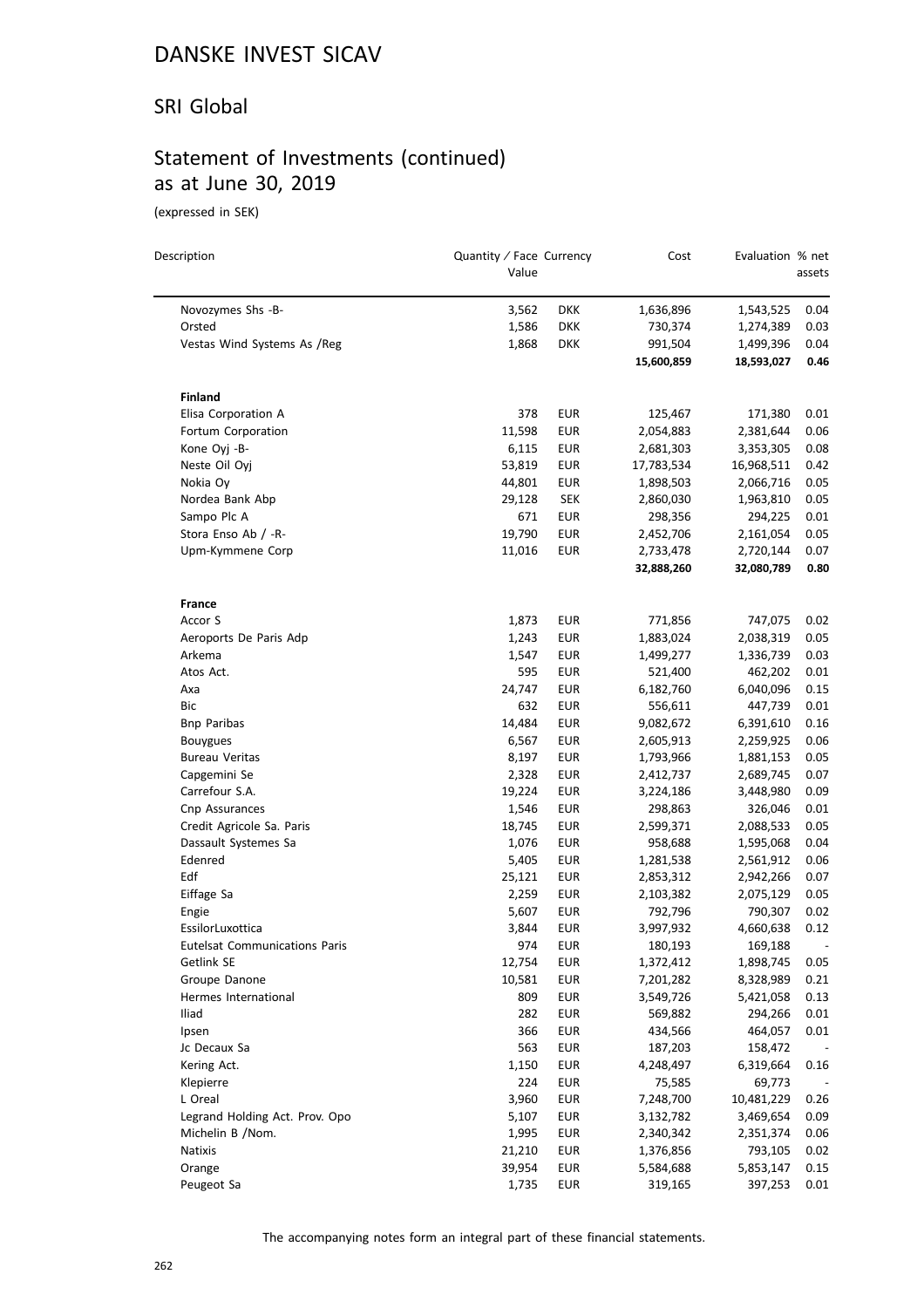#### SRI Global

### Statement of Investments (continued) as at June 30, 2019

(expressed in SEK)

| Description                          | Quantity / Face Currency |            | Cost       | Evaluation % net |          |
|--------------------------------------|--------------------------|------------|------------|------------------|----------|
|                                      | Value                    |            |            |                  | assets   |
| Novozymes Shs -B-                    | 3,562                    | <b>DKK</b> | 1,636,896  | 1,543,525        | 0.04     |
| Orsted                               | 1,586                    | <b>DKK</b> | 730,374    | 1,274,389        | 0.03     |
| Vestas Wind Systems As /Reg          | 1,868                    | <b>DKK</b> | 991,504    | 1,499,396        | 0.04     |
|                                      |                          |            | 15,600,859 | 18,593,027       | 0.46     |
| <b>Finland</b>                       |                          |            |            |                  |          |
| Elisa Corporation A                  | 378                      | EUR        | 125,467    | 171,380          | 0.01     |
| Fortum Corporation                   | 11,598                   | <b>EUR</b> | 2,054,883  | 2,381,644        | 0.06     |
| Kone Oyj -B-                         | 6,115                    | EUR        | 2,681,303  | 3,353,305        | 0.08     |
| Neste Oil Oyj                        | 53,819                   | EUR        | 17,783,534 | 16,968,511       | 0.42     |
| Nokia Oy                             | 44,801                   | <b>EUR</b> | 1,898,503  | 2,066,716        | 0.05     |
| Nordea Bank Abp                      | 29,128                   | <b>SEK</b> | 2,860,030  | 1,963,810        | 0.05     |
| Sampo Plc A                          | 671                      | EUR        | 298,356    | 294,225          | 0.01     |
| Stora Enso Ab / -R-                  | 19,790                   | <b>EUR</b> | 2,452,706  | 2,161,054        | 0.05     |
| Upm-Kymmene Corp                     | 11,016                   | <b>EUR</b> | 2,733,478  | 2,720,144        | 0.07     |
|                                      |                          |            | 32,888,260 | 32,080,789       | 0.80     |
| <b>France</b>                        |                          |            |            |                  |          |
| Accor S                              | 1,873                    | EUR        | 771,856    | 747,075          | 0.02     |
| Aeroports De Paris Adp               | 1,243                    | <b>EUR</b> | 1,883,024  | 2,038,319        | 0.05     |
| Arkema                               | 1,547                    | <b>EUR</b> | 1,499,277  | 1,336,739        | 0.03     |
| Atos Act.                            | 595                      | EUR        | 521,400    | 462,202          | 0.01     |
| Axa                                  | 24,747                   | EUR        | 6,182,760  | 6,040,096        | 0.15     |
| Bic                                  | 632                      | EUR        | 556,611    | 447,739          | 0.01     |
| <b>Bnp Paribas</b>                   | 14,484                   | <b>EUR</b> | 9,082,672  | 6,391,610        | 0.16     |
| <b>Bouygues</b>                      | 6,567                    | <b>EUR</b> | 2,605,913  | 2,259,925        | 0.06     |
| <b>Bureau Veritas</b>                | 8,197                    | <b>EUR</b> | 1,793,966  | 1,881,153        | 0.05     |
| Capgemini Se                         | 2,328                    | <b>EUR</b> | 2,412,737  | 2,689,745        | 0.07     |
| Carrefour S.A.                       | 19,224                   | <b>EUR</b> | 3,224,186  | 3,448,980        | 0.09     |
| Cnp Assurances                       | 1,546                    | <b>EUR</b> | 298,863    | 326,046          | 0.01     |
| Credit Agricole Sa. Paris            | 18,745                   | <b>EUR</b> | 2,599,371  | 2,088,533        | $0.05\,$ |
| Dassault Systemes Sa                 | 1,076                    | <b>EUR</b> | 958,688    | 1,595,068        | 0.04     |
| Edenred                              | 5,405                    | EUR        | 1,281,538  | 2,561,912        | 0.06     |
| Edf                                  | 25,121                   | EUR        | 2,853,312  | 2,942,266        | 0.07     |
| Eiffage Sa                           | 2,259                    | <b>EUR</b> | 2,103,382  | 2,075,129        | 0.05     |
| Engie                                | 5,607                    | <b>EUR</b> | 792,796    | 790,307          | 0.02     |
| EssilorLuxottica                     | 3,844                    | <b>EUR</b> | 3,997,932  | 4,660,638        | 0.12     |
| <b>Eutelsat Communications Paris</b> | 974                      | <b>EUR</b> | 180,193    | 169,188          |          |
| Getlink SE                           | 12,754                   | <b>EUR</b> | 1,372,412  | 1,898,745        | 0.05     |
| Groupe Danone                        | 10,581                   | <b>EUR</b> | 7,201,282  | 8,328,989        | 0.21     |
| Hermes International                 | 809                      | <b>EUR</b> | 3,549,726  | 5,421,058        | 0.13     |
| Iliad                                | 282                      | <b>EUR</b> | 569,882    | 294,266          | 0.01     |
| Ipsen                                | 366                      | <b>EUR</b> | 434,566    | 464,057          | 0.01     |
| Jc Decaux Sa                         | 563                      | <b>EUR</b> | 187,203    | 158,472          |          |
| Kering Act.                          | 1,150                    | <b>EUR</b> | 4,248,497  | 6,319,664        | 0.16     |
| Klepierre                            | 224                      | <b>EUR</b> | 75,585     | 69,773           |          |
| L Oreal                              | 3,960                    | <b>EUR</b> | 7,248,700  | 10,481,229       | 0.26     |
| Legrand Holding Act. Prov. Opo       | 5,107                    | <b>EUR</b> | 3,132,782  | 3,469,654        | 0.09     |
| Michelin B /Nom.                     | 1,995                    | <b>EUR</b> | 2,340,342  | 2,351,374        | 0.06     |
| Natixis                              | 21,210                   | <b>EUR</b> | 1,376,856  | 793,105          | 0.02     |
| Orange                               | 39,954                   | <b>EUR</b> | 5,584,688  | 5,853,147        | 0.15     |
| Peugeot Sa                           | 1,735                    | <b>EUR</b> | 319,165    | 397,253          | 0.01     |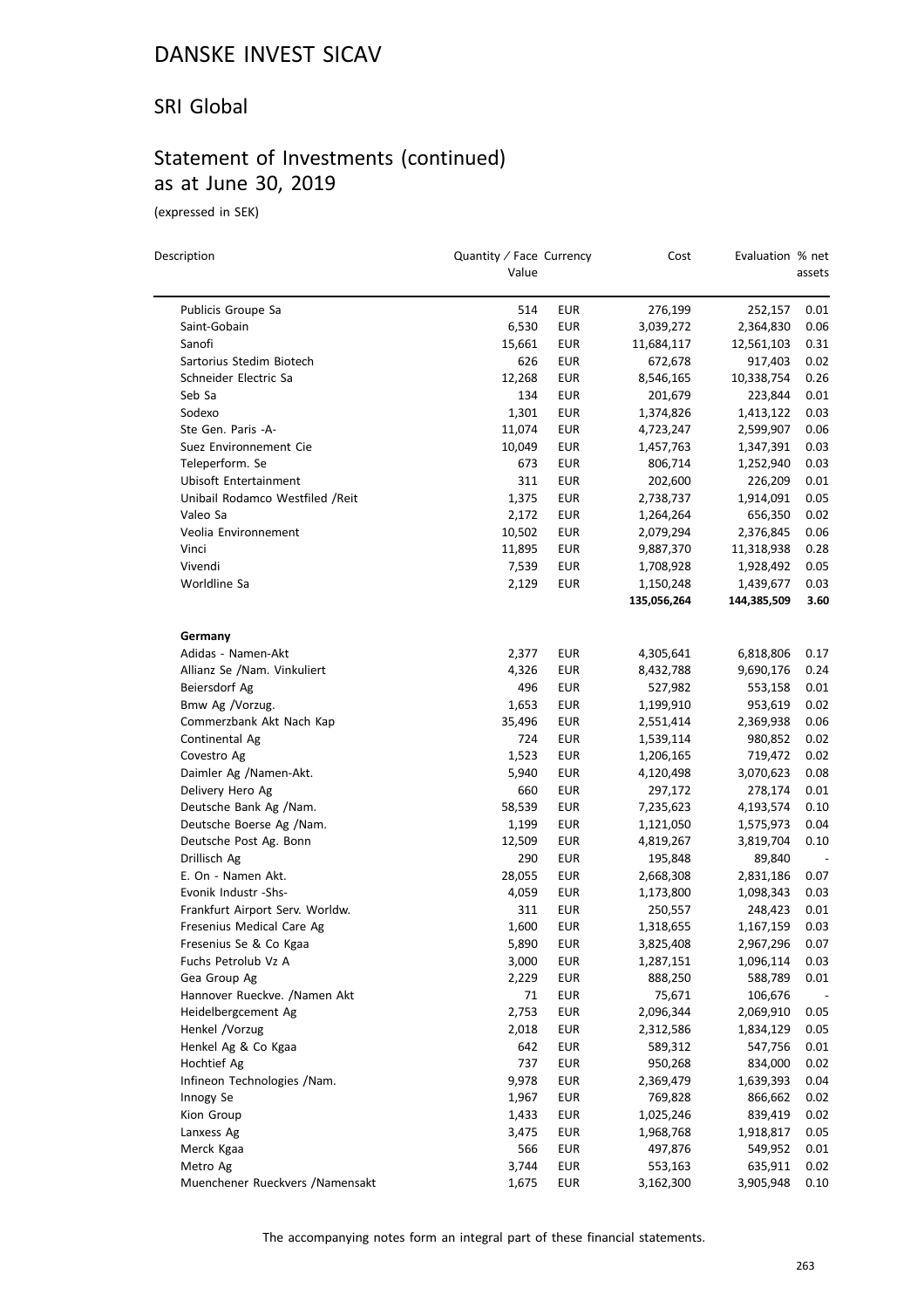#### SRI Global

### Statement of Investments (continued) as at June 30, 2019

(expressed in SEK)

 $\overline{\phantom{0}}$ 

| Description                      | Quantity / Face Currency<br>Value |            | Cost        | Evaluation % net | assets |
|----------------------------------|-----------------------------------|------------|-------------|------------------|--------|
| Publicis Groupe Sa               | 514                               | EUR        | 276,199     | 252,157          | 0.01   |
| Saint-Gobain                     | 6,530                             | <b>EUR</b> | 3,039,272   | 2,364,830        | 0.06   |
| Sanofi                           | 15,661                            | EUR        | 11,684,117  | 12,561,103       | 0.31   |
| Sartorius Stedim Biotech         | 626                               | <b>EUR</b> | 672,678     | 917,403          | 0.02   |
| Schneider Electric Sa            | 12,268                            | EUR        | 8,546,165   | 10,338,754       | 0.26   |
| Seb Sa                           | 134                               | EUR        | 201,679     | 223,844          | 0.01   |
| Sodexo                           | 1,301                             | EUR        | 1,374,826   | 1,413,122        | 0.03   |
| Ste Gen. Paris -A-               | 11,074                            | EUR        | 4,723,247   | 2,599,907        | 0.06   |
| Suez Environnement Cie           | 10,049                            | EUR        | 1,457,763   | 1,347,391        | 0.03   |
| Teleperform. Se                  | 673                               | EUR        | 806,714     | 1,252,940        | 0.03   |
| Ubisoft Entertainment            | 311                               | <b>EUR</b> | 202,600     | 226,209          | 0.01   |
| Unibail Rodamco Westfiled / Reit | 1,375                             | EUR        | 2,738,737   | 1,914,091        | 0.05   |
| Valeo Sa                         | 2,172                             | <b>EUR</b> | 1,264,264   | 656,350          | 0.02   |
| Veolia Environnement             | 10,502                            | EUR        | 2,079,294   | 2,376,845        | 0.06   |
| Vinci                            | 11,895                            | <b>EUR</b> | 9,887,370   | 11,318,938       | 0.28   |
| Vivendi                          | 7,539                             | EUR        | 1,708,928   | 1,928,492        | 0.05   |
| Worldline Sa                     | 2,129                             | EUR        | 1,150,248   | 1,439,677        | 0.03   |
|                                  |                                   |            | 135,056,264 | 144,385,509      | 3.60   |
| Germany                          |                                   |            |             |                  |        |
| Adidas - Namen-Akt               | 2,377                             | EUR        | 4,305,641   | 6,818,806        | 0.17   |
| Allianz Se /Nam. Vinkuliert      | 4,326                             | EUR        | 8,432,788   | 9,690,176        | 0.24   |
| Beiersdorf Ag                    | 496                               | EUR        | 527,982     | 553,158          | 0.01   |
| Bmw Ag /Vorzug.                  | 1,653                             | <b>EUR</b> | 1,199,910   | 953,619          | 0.02   |
| Commerzbank Akt Nach Kap         | 35,496                            | EUR        | 2,551,414   | 2,369,938        | 0.06   |
| Continental Ag                   | 724                               | EUR        | 1,539,114   | 980,852          | 0.02   |
| Covestro Ag                      | 1,523                             | EUR        | 1,206,165   | 719,472          | 0.02   |
| Daimler Ag /Namen-Akt.           | 5,940                             | EUR        | 4,120,498   | 3,070,623        | 0.08   |
| Delivery Hero Ag                 | 660                               | EUR        | 297,172     | 278,174          | 0.01   |
| Deutsche Bank Ag /Nam.           | 58,539                            | EUR        | 7,235,623   | 4,193,574        | 0.10   |
| Deutsche Boerse Ag /Nam.         | 1,199                             | EUR        | 1,121,050   | 1,575,973        | 0.04   |
| Deutsche Post Ag. Bonn           | 12,509                            | EUR        | 4,819,267   | 3,819,704        | 0.10   |
| Drillisch Ag                     | 290                               | EUR        | 195,848     | 89,840           |        |
| E. On - Namen Akt.               | 28,055                            | EUR        | 2,668,308   | 2,831,186        | 0.07   |
| Evonik Industr -Shs-             | 4,059                             | EUR        | 1,173,800   | 1,098,343        | 0.03   |
| Frankfurt Airport Serv. Worldw.  | 311                               | EUR        | 250,557     | 248,423          | 0.01   |
| Fresenius Medical Care Ag        | 1,600                             | EUR        | 1,318,655   | 1,167,159        | 0.03   |
| Fresenius Se & Co Kgaa           | 5,890                             | <b>EUR</b> | 3,825,408   | 2,967,296        | 0.07   |
| Fuchs Petrolub Vz A              | 3,000                             | EUR        | 1,287,151   | 1,096,114        | 0.03   |
| Gea Group Ag                     | 2,229                             | <b>EUR</b> | 888,250     | 588,789          | 0.01   |
| Hannover Rueckve. /Namen Akt     | 71                                | <b>EUR</b> | 75,671      | 106,676          |        |
| Heidelbergcement Ag              | 2,753                             | <b>EUR</b> | 2,096,344   | 2,069,910        | 0.05   |
| Henkel /Vorzug                   | 2,018                             | EUR        | 2,312,586   | 1,834,129        | 0.05   |
| Henkel Ag & Co Kgaa              | 642                               | <b>EUR</b> | 589,312     | 547,756          | 0.01   |
| Hochtief Ag                      | 737                               | <b>EUR</b> | 950,268     | 834,000          | 0.02   |
| Infineon Technologies /Nam.      | 9,978                             | <b>EUR</b> | 2,369,479   | 1,639,393        | 0.04   |
| Innogy Se                        | 1,967                             | <b>EUR</b> | 769,828     | 866,662          | 0.02   |
| Kion Group                       | 1,433                             | <b>EUR</b> | 1,025,246   | 839,419          | 0.02   |
| Lanxess Ag                       | 3,475                             | <b>EUR</b> | 1,968,768   | 1,918,817        | 0.05   |
| Merck Kgaa                       | 566                               | <b>EUR</b> | 497,876     | 549,952          | 0.01   |
| Metro Ag                         | 3,744                             | <b>EUR</b> | 553,163     | 635,911          | 0.02   |
| Muenchener Rueckvers / Namensakt | 1,675                             | <b>EUR</b> | 3,162,300   | 3,905,948        | 0.10   |
|                                  |                                   |            |             |                  |        |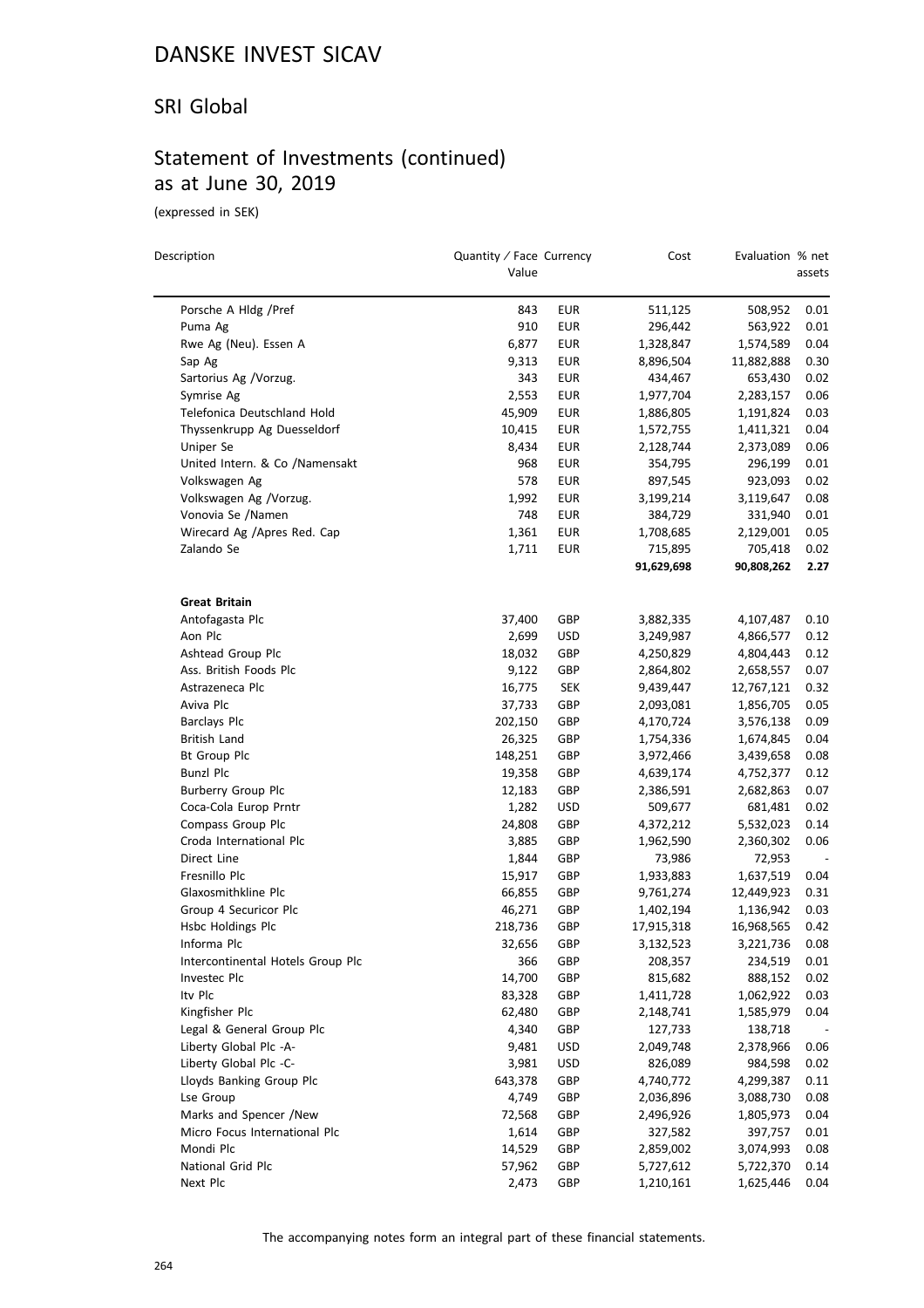#### SRI Global

### Statement of Investments (continued) as at June 30, 2019

(expressed in SEK)

| Description                       | Quantity / Face Currency<br>Value |            | Cost       | Evaluation % net | assets |
|-----------------------------------|-----------------------------------|------------|------------|------------------|--------|
| Porsche A Hldg / Pref             | 843                               | <b>EUR</b> | 511,125    | 508,952          | 0.01   |
| Puma Ag                           | 910                               | <b>EUR</b> | 296,442    | 563,922          | 0.01   |
| Rwe Ag (Neu). Essen A             | 6,877                             | <b>EUR</b> | 1,328,847  | 1,574,589        | 0.04   |
| Sap Ag                            | 9,313                             | <b>EUR</b> | 8,896,504  | 11,882,888       | 0.30   |
| Sartorius Ag /Vorzug.             | 343                               | <b>EUR</b> | 434,467    | 653,430          | 0.02   |
| Symrise Ag                        | 2,553                             | EUR        | 1,977,704  | 2,283,157        | 0.06   |
| Telefonica Deutschland Hold       | 45,909                            | <b>EUR</b> | 1,886,805  | 1,191,824        | 0.03   |
| Thyssenkrupp Ag Duesseldorf       | 10,415                            | <b>EUR</b> | 1,572,755  | 1,411,321        | 0.04   |
| Uniper Se                         | 8,434                             | <b>EUR</b> | 2,128,744  | 2,373,089        | 0.06   |
| United Intern. & Co /Namensakt    | 968                               | <b>EUR</b> | 354,795    | 296,199          | 0.01   |
| Volkswagen Ag                     | 578                               | <b>EUR</b> | 897,545    | 923,093          | 0.02   |
| Volkswagen Ag /Vorzug.            | 1,992                             | <b>EUR</b> | 3,199,214  | 3,119,647        | 0.08   |
| Vonovia Se /Namen                 | 748                               | <b>EUR</b> | 384,729    | 331,940          | 0.01   |
| Wirecard Ag /Apres Red. Cap       | 1,361                             | <b>EUR</b> | 1,708,685  | 2,129,001        | 0.05   |
| Zalando Se                        | 1,711                             | <b>EUR</b> | 715,895    | 705,418          | 0.02   |
|                                   |                                   |            | 91,629,698 | 90,808,262       | 2.27   |
| <b>Great Britain</b>              |                                   |            |            |                  |        |
| Antofagasta Plc                   | 37,400                            | GBP        | 3,882,335  | 4,107,487        | 0.10   |
| Aon Plc                           | 2,699                             | <b>USD</b> | 3,249,987  | 4,866,577        | 0.12   |
| Ashtead Group Plc                 | 18,032                            | GBP        | 4,250,829  | 4,804,443        | 0.12   |
| Ass. British Foods Plc            | 9,122                             | GBP        | 2,864,802  | 2,658,557        | 0.07   |
| Astrazeneca Plc                   | 16,775                            | <b>SEK</b> | 9,439,447  | 12,767,121       | 0.32   |
| Aviva Plc                         | 37,733                            | GBP        | 2,093,081  | 1,856,705        | 0.05   |
| <b>Barclays Plc</b>               | 202,150                           | GBP        | 4,170,724  | 3,576,138        | 0.09   |
| <b>British Land</b>               | 26,325                            | GBP        | 1,754,336  | 1,674,845        | 0.04   |
| <b>Bt Group Plc</b>               | 148,251                           | GBP        | 3,972,466  | 3,439,658        | 0.08   |
| <b>Bunzl Plc</b>                  | 19,358                            | GBP        | 4,639,174  | 4,752,377        | 0.12   |
| Burberry Group Plc                | 12,183                            | GBP        | 2,386,591  | 2,682,863        | 0.07   |
| Coca-Cola Europ Prntr             | 1,282                             | USD        | 509,677    | 681,481          | 0.02   |
| Compass Group Plc                 | 24,808                            | GBP        | 4,372,212  | 5,532,023        | 0.14   |
| Croda International Plc           | 3,885                             | GBP        | 1,962,590  | 2,360,302        | 0.06   |
| Direct Line                       | 1,844                             | GBP        | 73,986     | 72,953           |        |
| Fresnillo Plc                     | 15,917                            | GBP        | 1,933,883  | 1,637,519        | 0.04   |
| Glaxosmithkline Plc               | 66,855                            | GBP        | 9,761,274  | 12,449,923       | 0.31   |
| Group 4 Securicor Plc             | 46,271                            | GBP        | 1,402,194  | 1,136,942        | 0.03   |
| Hsbc Holdings Plc                 | 218,736                           | GBP        | 17,915,318 | 16,968,565       | 0.42   |
| Informa Plc                       | 32,656                            | GBP        | 3,132,523  | 3,221,736        | 0.08   |
| Intercontinental Hotels Group Plc | 366                               | GBP        | 208,357    | 234,519          | 0.01   |
| Investec Plc                      | 14,700                            | GBP        | 815,682    | 888,152          | 0.02   |
| Ity Plc                           | 83,328                            | GBP        | 1,411,728  | 1,062,922        | 0.03   |
| Kingfisher Plc                    | 62,480                            | GBP        | 2,148,741  | 1,585,979        | 0.04   |
| Legal & General Group Plc         | 4,340                             | GBP        | 127,733    | 138,718          |        |
| Liberty Global Plc -A-            | 9,481                             | <b>USD</b> | 2,049,748  | 2,378,966        | 0.06   |
| Liberty Global Plc -C-            | 3,981                             | <b>USD</b> | 826,089    | 984,598          | 0.02   |
| Lloyds Banking Group Plc          | 643,378                           | GBP        | 4,740,772  | 4,299,387        | 0.11   |
| Lse Group                         | 4,749                             | GBP        | 2,036,896  | 3,088,730        | 0.08   |
| Marks and Spencer /New            | 72,568                            | GBP        | 2,496,926  | 1,805,973        | 0.04   |
| Micro Focus International Plc     | 1,614                             | GBP        | 327,582    | 397,757          | 0.01   |
| Mondi Plc                         | 14,529                            | GBP        | 2,859,002  | 3,074,993        | 0.08   |
| National Grid Plc                 | 57,962                            | GBP        | 5,727,612  | 5,722,370        | 0.14   |
| Next Plc                          | 2,473                             | GBP        | 1,210,161  | 1,625,446        | 0.04   |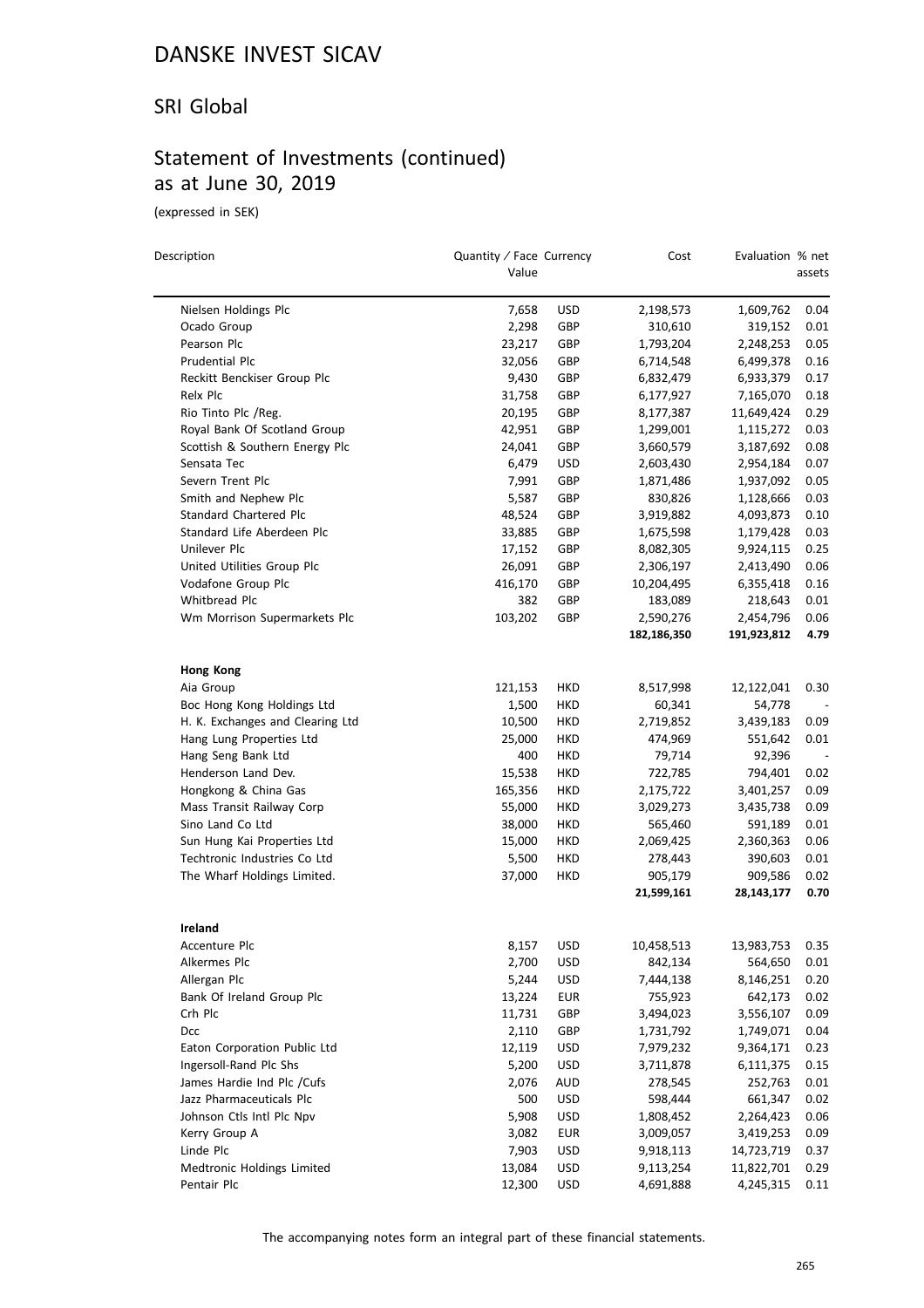#### SRI Global

### Statement of Investments (continued) as at June 30, 2019

(expressed in SEK)

| Description                      | Quantity / Face Currency<br>Value |                          | Cost                  | Evaluation % net        | assets       |
|----------------------------------|-----------------------------------|--------------------------|-----------------------|-------------------------|--------------|
| Nielsen Holdings Plc             | 7,658                             | <b>USD</b>               | 2,198,573             | 1,609,762               | 0.04         |
| Ocado Group                      | 2,298                             | GBP                      | 310,610               | 319,152                 | 0.01         |
| Pearson Plc                      | 23,217                            | GBP                      | 1,793,204             | 2,248,253               | 0.05         |
| Prudential Plc                   | 32,056                            | GBP                      | 6,714,548             | 6,499,378               | 0.16         |
| Reckitt Benckiser Group Plc      | 9,430                             | GBP                      | 6,832,479             | 6,933,379               | 0.17         |
| Relx Plc                         | 31,758                            | GBP                      | 6,177,927             | 7,165,070               | 0.18         |
| Rio Tinto Plc /Reg.              | 20,195                            | GBP                      | 8,177,387             | 11,649,424              | 0.29         |
| Royal Bank Of Scotland Group     | 42,951                            | GBP                      | 1,299,001             | 1,115,272               | 0.03         |
| Scottish & Southern Energy Plc   | 24,041                            | GBP                      | 3,660,579             | 3,187,692               | 0.08         |
| Sensata Tec                      | 6,479                             | <b>USD</b>               | 2,603,430             | 2,954,184               | 0.07         |
| Severn Trent Plc                 | 7,991                             | GBP                      | 1,871,486             | 1,937,092               | 0.05         |
| Smith and Nephew Plc             | 5,587                             | GBP                      | 830,826               | 1,128,666               | 0.03         |
| Standard Chartered Plc           | 48,524                            | GBP                      | 3,919,882             | 4,093,873               | 0.10         |
| Standard Life Aberdeen Plc       | 33,885                            | GBP                      | 1,675,598             | 1,179,428               | 0.03         |
| Unilever Plc                     | 17,152                            | GBP                      | 8,082,305             | 9,924,115               | 0.25         |
| United Utilities Group Plc       | 26,091                            | GBP                      | 2,306,197             | 2,413,490               | 0.06         |
| Vodafone Group Plc               | 416,170                           | GBP                      | 10,204,495            | 6,355,418               | 0.16         |
| Whitbread Plc                    | 382                               | GBP                      | 183,089               | 218,643                 | 0.01         |
| Wm Morrison Supermarkets Plc     | 103,202                           | GBP                      | 2,590,276             | 2,454,796               | 0.06         |
|                                  |                                   |                          | 182,186,350           | 191,923,812             | 4.79         |
|                                  |                                   |                          |                       |                         |              |
| <b>Hong Kong</b>                 |                                   |                          |                       |                         |              |
| Aia Group                        | 121,153                           | HKD                      | 8,517,998             | 12,122,041              | 0.30         |
| Boc Hong Kong Holdings Ltd       | 1,500                             | HKD                      | 60,341                | 54,778                  |              |
| H. K. Exchanges and Clearing Ltd | 10,500                            | HKD                      | 2,719,852             | 3,439,183               | 0.09         |
| Hang Lung Properties Ltd         | 25,000                            | HKD                      | 474,969               | 551,642                 | 0.01         |
| Hang Seng Bank Ltd               | 400                               | HKD                      | 79,714                | 92,396                  |              |
| Henderson Land Dev.              | 15,538                            | HKD                      | 722,785               | 794,401                 | 0.02         |
| Hongkong & China Gas             | 165,356                           | HKD                      | 2,175,722             | 3,401,257               | 0.09         |
| Mass Transit Railway Corp        | 55,000                            | HKD                      | 3,029,273             | 3,435,738               | 0.09         |
| Sino Land Co Ltd                 | 38,000                            | HKD                      | 565,460               | 591,189                 | 0.01         |
| Sun Hung Kai Properties Ltd      | 15,000                            | HKD                      | 2,069,425             | 2,360,363               | 0.06         |
| Techtronic Industries Co Ltd     | 5,500                             | HKD                      | 278,443               | 390,603                 | 0.01         |
| The Wharf Holdings Limited.      | 37,000                            | HKD                      | 905,179<br>21,599,161 | 909,586<br>28, 143, 177 | 0.02<br>0.70 |
|                                  |                                   |                          |                       |                         |              |
| <b>Ireland</b><br>Accenture Plc  | 8,157                             | <b>USD</b>               | 10,458,513            | 13,983,753              | 0.35         |
| Alkermes Plc                     |                                   |                          |                       | 564,650                 |              |
| Allergan Plc                     | 2,700                             | <b>USD</b>               | 842,134<br>7,444,138  | 8,146,251               | 0.01         |
| Bank Of Ireland Group Plc        | 5,244<br>13,224                   | <b>USD</b><br><b>EUR</b> | 755,923               | 642,173                 | 0.20<br>0.02 |
| Crh Plc                          |                                   |                          | 3,494,023             |                         |              |
| Dcc                              | 11,731                            | GBP                      | 1,731,792             | 3,556,107               | 0.09         |
| Eaton Corporation Public Ltd     | 2,110<br>12,119                   | GBP<br><b>USD</b>        | 7,979,232             | 1,749,071<br>9,364,171  | 0.04<br>0.23 |
| Ingersoll-Rand Plc Shs           | 5,200                             |                          |                       | 6,111,375               | 0.15         |
| James Hardie Ind Plc / Cufs      |                                   | <b>USD</b>               | 3,711,878             |                         |              |
| Jazz Pharmaceuticals Plc         | 2,076                             | AUD                      | 278,545               | 252,763                 | 0.01         |
|                                  | 500                               | <b>USD</b>               | 598,444               | 661,347                 | 0.02         |
| Johnson Ctls Intl Plc Npv        | 5,908                             | <b>USD</b>               | 1,808,452             | 2,264,423               | 0.06         |
| Kerry Group A<br>Linde Plc       | 3,082                             | <b>EUR</b>               | 3,009,057             | 3,419,253               | 0.09         |
|                                  | 7,903                             | <b>USD</b>               | 9,918,113             | 14,723,719              | 0.37         |
| Medtronic Holdings Limited       | 13,084                            | <b>USD</b>               | 9,113,254             | 11,822,701              | 0.29         |
| Pentair Plc                      | 12,300                            | <b>USD</b>               | 4,691,888             | 4,245,315               | 0.11         |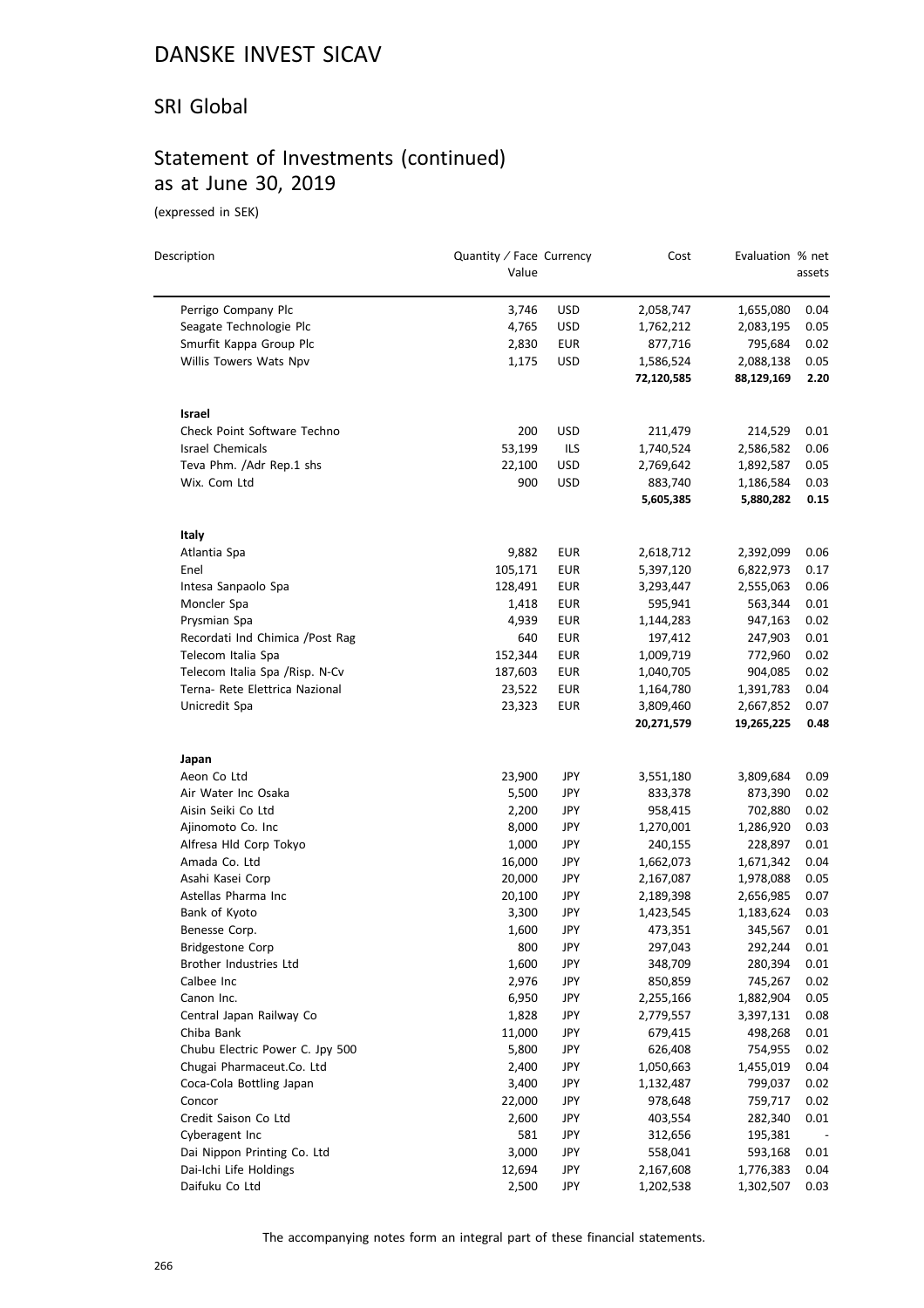#### SRI Global

### Statement of Investments (continued) as at June 30, 2019

(expressed in SEK)

 $\equiv$ 

| Description                      | Quantity / Face Currency<br>Value |            | Cost       | Evaluation % net | assets   |
|----------------------------------|-----------------------------------|------------|------------|------------------|----------|
|                                  |                                   |            |            |                  |          |
| Perrigo Company Plc              | 3,746                             | <b>USD</b> | 2,058,747  | 1,655,080        | 0.04     |
| Seagate Technologie Plc          | 4,765                             | <b>USD</b> | 1,762,212  | 2,083,195        | 0.05     |
| Smurfit Kappa Group Plc          | 2,830                             | EUR        | 877,716    | 795,684          | 0.02     |
| Willis Towers Wats Npv           | 1,175                             | <b>USD</b> | 1,586,524  | 2,088,138        | 0.05     |
|                                  |                                   |            | 72,120,585 | 88,129,169       | 2.20     |
| Israel                           |                                   |            |            |                  |          |
| Check Point Software Techno      | 200                               | <b>USD</b> | 211,479    | 214,529          | 0.01     |
| Israel Chemicals                 | 53,199                            | ILS        | 1,740,524  | 2,586,582        | 0.06     |
| Teva Phm. /Adr Rep.1 shs         | 22,100                            | <b>USD</b> | 2,769,642  | 1,892,587        | 0.05     |
| Wix. Com Ltd                     | 900                               | USD        | 883,740    | 1,186,584        | 0.03     |
|                                  |                                   |            | 5,605,385  | 5,880,282        | 0.15     |
| Italy                            |                                   |            |            |                  |          |
| Atlantia Spa                     | 9,882                             | EUR        | 2,618,712  | 2,392,099        | 0.06     |
| Enel                             | 105,171                           | <b>EUR</b> | 5,397,120  | 6,822,973        | 0.17     |
| Intesa Sanpaolo Spa              | 128,491                           | <b>EUR</b> | 3,293,447  | 2,555,063        | 0.06     |
| Moncler Spa                      | 1,418                             | EUR        | 595,941    | 563,344          | 0.01     |
| Prysmian Spa                     | 4,939                             | EUR        | 1,144,283  | 947,163          | 0.02     |
| Recordati Ind Chimica / Post Rag | 640                               | <b>EUR</b> | 197,412    | 247,903          | 0.01     |
| Telecom Italia Spa               | 152,344                           | EUR        | 1,009,719  | 772,960          | 0.02     |
| Telecom Italia Spa / Risp. N-Cv  | 187,603                           | <b>EUR</b> | 1,040,705  | 904,085          | 0.02     |
| Terna- Rete Elettrica Nazional   | 23,522                            | <b>EUR</b> | 1,164,780  | 1,391,783        | 0.04     |
| Unicredit Spa                    | 23,323                            | EUR        | 3,809,460  | 2,667,852        | 0.07     |
|                                  |                                   |            | 20,271,579 | 19,265,225       | 0.48     |
| Japan                            |                                   |            |            |                  |          |
| Aeon Co Ltd                      | 23,900                            | JPY        | 3,551,180  | 3,809,684        | 0.09     |
| Air Water Inc Osaka              | 5,500                             | JPY        | 833,378    | 873,390          | 0.02     |
| Aisin Seiki Co Ltd               | 2,200                             | JPY        | 958,415    | 702,880          | 0.02     |
| Ajinomoto Co. Inc                | 8,000                             | JPY        | 1,270,001  | 1,286,920        | 0.03     |
| Alfresa Hld Corp Tokyo           | 1,000                             | JPY        | 240,155    | 228,897          | 0.01     |
| Amada Co. Ltd                    | 16,000                            | JPY        | 1,662,073  | 1,671,342        | 0.04     |
| Asahi Kasei Corp                 | 20,000                            | JPY        | 2,167,087  | 1,978,088        | 0.05     |
| Astellas Pharma Inc              | 20,100                            | JPY        | 2,189,398  | 2,656,985        | 0.07     |
| Bank of Kyoto                    | 3,300                             | JPY        | 1,423,545  | 1,183,624        | 0.03     |
| Benesse Corp.                    | 1,600                             | JPY        | 473,351    | 345,567          | 0.01     |
| <b>Bridgestone Corp</b>          | 800                               | <b>JPY</b> | 297,043    | 292,244          | $0.01\,$ |
| Brother Industries Ltd           | 1,600                             | JPY        | 348,709    | 280,394          | 0.01     |
| Calbee Inc                       | 2,976                             | JPY        | 850,859    | 745,267          | 0.02     |
| Canon Inc.                       | 6,950                             | JPY        | 2,255,166  | 1,882,904        | 0.05     |
| Central Japan Railway Co         | 1,828                             | JPY        | 2,779,557  | 3,397,131        | 0.08     |
| Chiba Bank                       | 11,000                            | JPY        | 679,415    | 498,268          | 0.01     |
| Chubu Electric Power C. Jpy 500  | 5,800                             | JPY        | 626,408    | 754,955          | 0.02     |
| Chugai Pharmaceut.Co. Ltd        | 2,400                             | JPY        | 1,050,663  | 1,455,019        | 0.04     |
| Coca-Cola Bottling Japan         | 3,400                             | JPY        | 1,132,487  | 799,037          | 0.02     |
| Concor                           | 22,000                            | JPY        | 978,648    | 759,717          | 0.02     |
| Credit Saison Co Ltd             | 2,600                             | JPY        | 403,554    | 282,340          | 0.01     |
| Cyberagent Inc                   | 581                               | JPY        | 312,656    | 195,381          |          |
| Dai Nippon Printing Co. Ltd      | 3,000                             | JPY        | 558,041    | 593,168          | 0.01     |
| Dai-Ichi Life Holdings           | 12,694                            | JPY        | 2,167,608  | 1,776,383        | 0.04     |
| Daifuku Co Ltd                   | 2,500                             | JPY        | 1,202,538  | 1,302,507        | 0.03     |
|                                  |                                   |            |            |                  |          |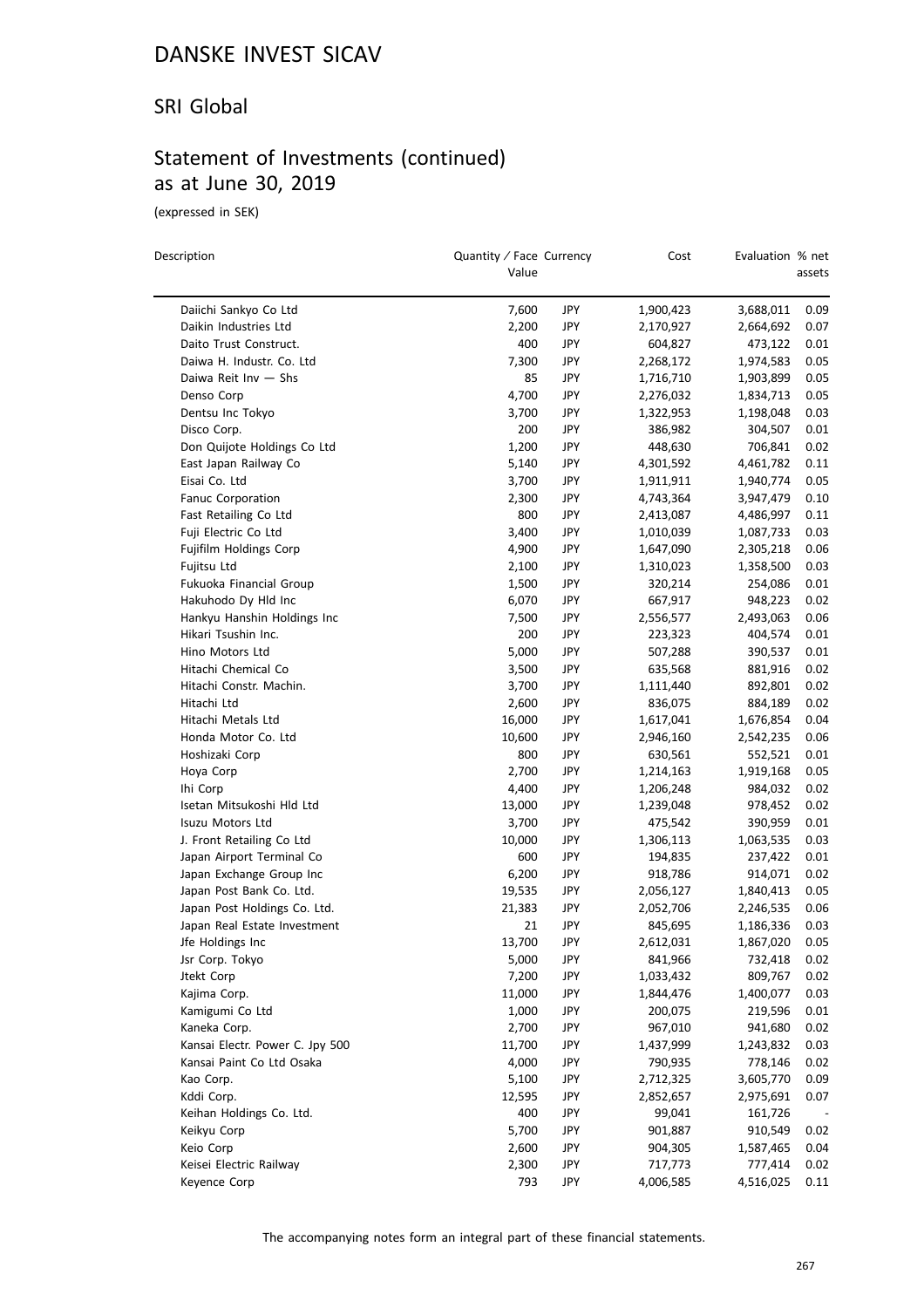#### SRI Global

### Statement of Investments (continued) as at June 30, 2019

(expressed in SEK)

 $\overline{a}$ 

| Description                     | Quantity / Face Currency<br>Value |            | Cost      | Evaluation % net | assets |
|---------------------------------|-----------------------------------|------------|-----------|------------------|--------|
| Daiichi Sankyo Co Ltd           | 7,600                             | <b>JPY</b> | 1,900,423 | 3,688,011        | 0.09   |
| Daikin Industries Ltd           | 2,200                             | <b>JPY</b> | 2,170,927 | 2,664,692        | 0.07   |
| Daito Trust Construct.          | 400                               | JPY        | 604,827   | 473,122          | 0.01   |
| Daiwa H. Industr. Co. Ltd       | 7,300                             | JPY        | 2,268,172 | 1,974,583        | 0.05   |
| Daiwa Reit Inv - Shs            | 85                                | JPY        | 1,716,710 | 1,903,899        | 0.05   |
| Denso Corp                      | 4,700                             | JPY        | 2,276,032 | 1,834,713        | 0.05   |
| Dentsu Inc Tokyo                | 3,700                             | JPY        | 1,322,953 | 1,198,048        | 0.03   |
| Disco Corp.                     | 200                               | JPY        | 386,982   | 304,507          | 0.01   |
| Don Quijote Holdings Co Ltd     | 1,200                             | JPY        | 448,630   | 706,841          | 0.02   |
| East Japan Railway Co           | 5,140                             | JPY        | 4,301,592 | 4,461,782        | 0.11   |
| Eisai Co. Ltd                   | 3,700                             | <b>JPY</b> | 1,911,911 | 1,940,774        | 0.05   |
| Fanuc Corporation               | 2,300                             | JPY        | 4,743,364 | 3,947,479        | 0.10   |
| Fast Retailing Co Ltd           | 800                               | JPY        | 2,413,087 | 4,486,997        | 0.11   |
| Fuji Electric Co Ltd            | 3,400                             | JPY        | 1,010,039 | 1,087,733        | 0.03   |
| Fujifilm Holdings Corp          | 4,900                             | JPY        | 1,647,090 | 2,305,218        | 0.06   |
| Fujitsu Ltd                     | 2,100                             | JPY        |           |                  | 0.03   |
| Fukuoka Financial Group         | 1,500                             | JPY        | 1,310,023 | 1,358,500        | 0.01   |
|                                 |                                   |            | 320,214   | 254,086          |        |
| Hakuhodo Dy Hld Inc             | 6,070                             | JPY        | 667,917   | 948,223          | 0.02   |
| Hankyu Hanshin Holdings Inc     | 7,500                             | JPY        | 2,556,577 | 2,493,063        | 0.06   |
| Hikari Tsushin Inc.             | 200                               | JPY        | 223,323   | 404,574          | 0.01   |
| Hino Motors Ltd                 | 5,000                             | JPY        | 507,288   | 390,537          | 0.01   |
| Hitachi Chemical Co             | 3,500                             | <b>JPY</b> | 635,568   | 881,916          | 0.02   |
| Hitachi Constr. Machin.         | 3,700                             | <b>JPY</b> | 1,111,440 | 892,801          | 0.02   |
| Hitachi Ltd                     | 2,600                             | JPY        | 836,075   | 884,189          | 0.02   |
| Hitachi Metals Ltd              | 16,000                            | JPY        | 1,617,041 | 1,676,854        | 0.04   |
| Honda Motor Co. Ltd             | 10,600                            | JPY        | 2,946,160 | 2,542,235        | 0.06   |
| Hoshizaki Corp                  | 800                               | JPY        | 630,561   | 552,521          | 0.01   |
| Hoya Corp                       | 2,700                             | <b>JPY</b> | 1,214,163 | 1,919,168        | 0.05   |
| Ihi Corp                        | 4,400                             | JPY        | 1,206,248 | 984,032          | 0.02   |
| Isetan Mitsukoshi Hld Ltd       | 13,000                            | JPY        | 1,239,048 | 978,452          | 0.02   |
| Isuzu Motors Ltd                | 3,700                             | JPY        | 475,542   | 390,959          | 0.01   |
| J. Front Retailing Co Ltd       | 10,000                            | JPY        | 1,306,113 | 1,063,535        | 0.03   |
| Japan Airport Terminal Co       | 600                               | JPY        | 194,835   | 237,422          | 0.01   |
| Japan Exchange Group Inc        | 6,200                             | JPY        | 918,786   | 914,071          | 0.02   |
| Japan Post Bank Co. Ltd.        | 19,535                            | JPY        | 2,056,127 | 1,840,413        | 0.05   |
| Japan Post Holdings Co. Ltd.    | 21,383                            | JPY        | 2,052,706 | 2,246,535        | 0.06   |
| Japan Real Estate Investment    | 21                                | <b>JPY</b> | 845,695   | 1,186,336        | 0.03   |
| Jfe Holdings Inc                | 13,700                            | JPY        | 2,612,031 | 1,867,020        | 0.05   |
| Jsr Corp. Tokyo                 | 5,000                             | JPY        | 841,966   | 732,418          | 0.02   |
| Jtekt Corp                      | 7,200                             | JPY        | 1,033,432 | 809,767          | 0.02   |
| Kajima Corp.                    | 11,000                            | JPY        | 1,844,476 | 1,400,077        | 0.03   |
| Kamigumi Co Ltd                 | 1,000                             | JPY        | 200,075   | 219,596          | 0.01   |
| Kaneka Corp.                    | 2,700                             | JPY        | 967,010   | 941,680          | 0.02   |
| Kansai Electr. Power C. Jpy 500 | 11,700                            | JPY        | 1,437,999 | 1,243,832        | 0.03   |
| Kansai Paint Co Ltd Osaka       | 4,000                             | JPY        | 790,935   | 778,146          | 0.02   |
| Kao Corp.                       | 5,100                             | JPY        | 2,712,325 | 3,605,770        | 0.09   |
| Kddi Corp.                      | 12,595                            | JPY        | 2,852,657 | 2,975,691        | 0.07   |
| Keihan Holdings Co. Ltd.        | 400                               | JPY        | 99,041    | 161,726          |        |
| Keikyu Corp                     | 5,700                             | JPY        | 901,887   | 910,549          | 0.02   |
| Keio Corp                       | 2,600                             | JPY        | 904,305   | 1,587,465        | 0.04   |
| Keisei Electric Railway         | 2,300                             | JPY        | 717,773   | 777,414          | 0.02   |
| Keyence Corp                    | 793                               | <b>JPY</b> | 4,006,585 | 4,516,025        | 0.11   |
|                                 |                                   |            |           |                  |        |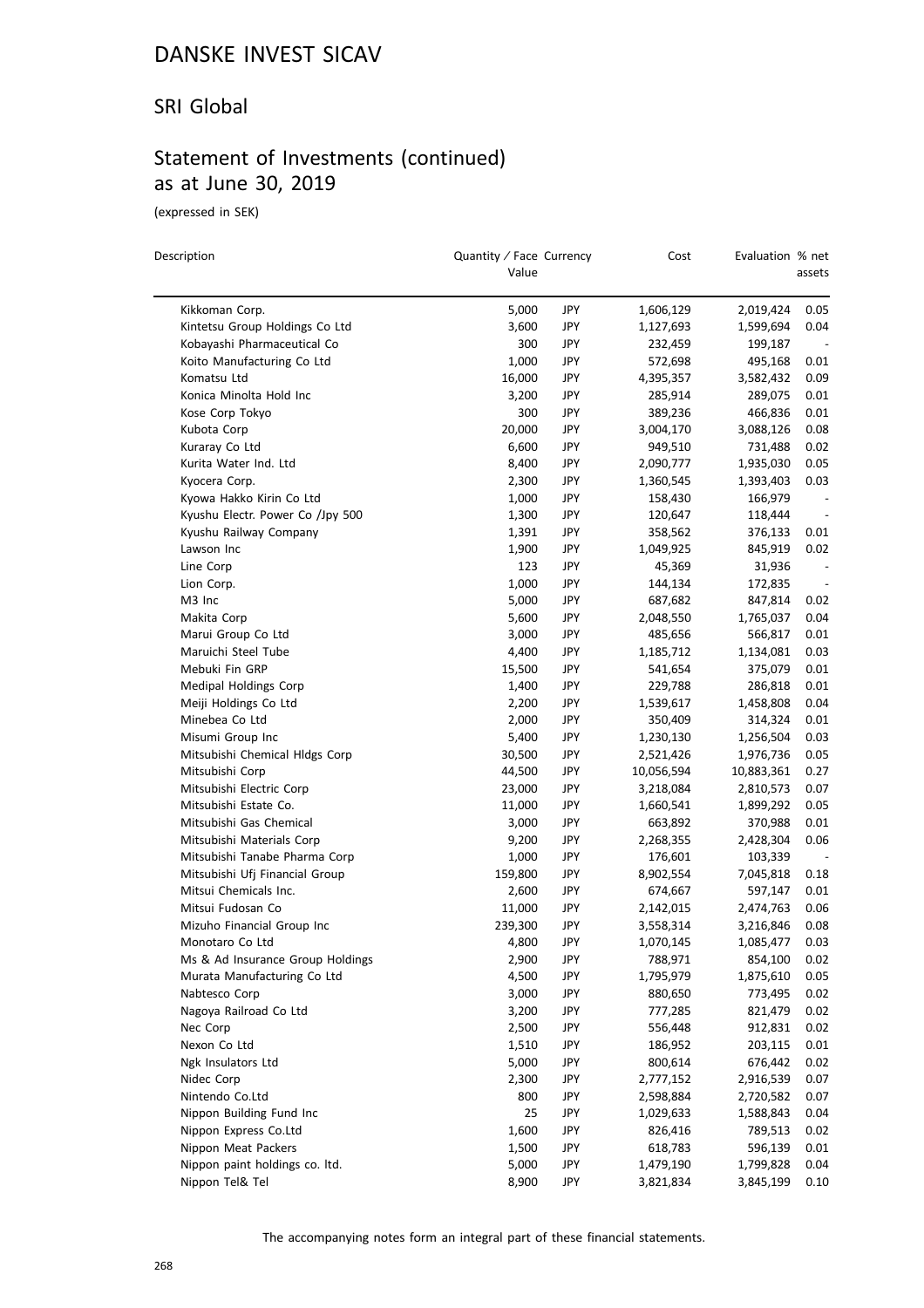#### SRI Global

### Statement of Investments (continued) as at June 30, 2019

(expressed in SEK)

| Description                      | Quantity / Face Currency<br>Value |     | Cost       | Evaluation % net | assets                   |
|----------------------------------|-----------------------------------|-----|------------|------------------|--------------------------|
| Kikkoman Corp.                   | 5,000                             | JPY | 1,606,129  | 2,019,424        | 0.05                     |
| Kintetsu Group Holdings Co Ltd   | 3,600                             | JPY | 1,127,693  | 1,599,694        | 0.04                     |
| Kobayashi Pharmaceutical Co      | 300                               | JPY | 232,459    | 199,187          |                          |
| Koito Manufacturing Co Ltd       | 1,000                             | JPY | 572,698    | 495,168          | 0.01                     |
| Komatsu Ltd                      | 16,000                            | JPY | 4,395,357  | 3,582,432        | 0.09                     |
| Konica Minolta Hold Inc          | 3,200                             | JPY | 285,914    | 289,075          | 0.01                     |
| Kose Corp Tokyo                  | 300                               | JPY | 389,236    | 466,836          | 0.01                     |
| Kubota Corp                      | 20,000                            | JPY | 3,004,170  | 3,088,126        | 0.08                     |
| Kuraray Co Ltd                   | 6,600                             | JPY | 949,510    | 731,488          | 0.02                     |
| Kurita Water Ind. Ltd            | 8,400                             | JPY | 2,090,777  | 1,935,030        | 0.05                     |
| Kyocera Corp.                    | 2,300                             | JPY | 1,360,545  | 1,393,403        | 0.03                     |
| Kyowa Hakko Kirin Co Ltd         | 1,000                             | JPY | 158,430    | 166,979          | $\overline{\phantom{a}}$ |
| Kyushu Electr. Power Co /Jpy 500 | 1,300                             | JPY | 120,647    | 118,444          |                          |
| Kyushu Railway Company           | 1,391                             | JPY | 358,562    | 376,133          | 0.01                     |
| Lawson Inc                       | 1,900                             | JPY | 1,049,925  | 845,919          | 0.02                     |
| Line Corp                        | 123                               | JPY | 45,369     | 31,936           | $\overline{\phantom{a}}$ |
| Lion Corp.                       | 1,000                             | JPY | 144,134    | 172,835          | $\overline{\phantom{a}}$ |
| M3 Inc                           | 5,000                             | JPY | 687,682    | 847,814          | 0.02                     |
| Makita Corp                      | 5,600                             | JPY | 2,048,550  | 1,765,037        | 0.04                     |
| Marui Group Co Ltd               | 3,000                             | JPY | 485,656    | 566,817          | 0.01                     |
| Maruichi Steel Tube              | 4,400                             | JPY | 1,185,712  | 1,134,081        | 0.03                     |
| Mebuki Fin GRP                   | 15,500                            | JPY | 541,654    | 375,079          | 0.01                     |
| Medipal Holdings Corp            | 1,400                             | JPY | 229,788    | 286,818          | 0.01                     |
| Meiji Holdings Co Ltd            | 2,200                             | JPY | 1,539,617  | 1,458,808        | 0.04                     |
| Minebea Co Ltd                   | 2,000                             | JPY | 350,409    | 314,324          | 0.01                     |
| Misumi Group Inc                 | 5,400                             | JPY | 1,230,130  | 1,256,504        | 0.03                     |
| Mitsubishi Chemical Hldgs Corp   | 30,500                            | JPY | 2,521,426  | 1,976,736        | 0.05                     |
| Mitsubishi Corp                  | 44,500                            | JPY | 10,056,594 | 10,883,361       | 0.27                     |
| Mitsubishi Electric Corp         | 23,000                            | JPY | 3,218,084  | 2,810,573        | 0.07                     |
| Mitsubishi Estate Co.            | 11,000                            | JPY | 1,660,541  | 1,899,292        | 0.05                     |
| Mitsubishi Gas Chemical          | 3,000                             | JPY | 663,892    | 370,988          | 0.01                     |
| Mitsubishi Materials Corp        | 9,200                             | JPY | 2,268,355  | 2,428,304        | 0.06                     |
| Mitsubishi Tanabe Pharma Corp    | 1,000                             | JPY | 176,601    | 103,339          |                          |
| Mitsubishi Ufj Financial Group   | 159,800                           | JPY | 8,902,554  | 7,045,818        | 0.18                     |
| Mitsui Chemicals Inc.            | 2,600                             | JPY | 674,667    | 597,147          | 0.01                     |
| Mitsui Fudosan Co                | 11,000                            | JPY | 2,142,015  | 2,474,763        | 0.06                     |
| Mizuho Financial Group Inc       | 239,300                           | JPY | 3,558,314  | 3,216,846        | 0.08                     |
| Monotaro Co Ltd                  | 4,800                             | JPY | 1,070,145  | 1,085,477        | 0.03                     |
| Ms & Ad Insurance Group Holdings | 2,900                             | JPY | 788,971    | 854,100          | 0.02                     |
| Murata Manufacturing Co Ltd      | 4,500                             | JPY | 1,795,979  | 1,875,610        | 0.05                     |
| Nabtesco Corp                    | 3,000                             | JPY | 880,650    | 773,495          | 0.02                     |
| Nagoya Railroad Co Ltd           | 3,200                             | JPY | 777,285    | 821,479          | 0.02                     |
| Nec Corp                         | 2,500                             | JPY | 556,448    | 912,831          | 0.02                     |
| Nexon Co Ltd                     | 1,510                             | JPY | 186,952    | 203,115          | 0.01                     |
| Ngk Insulators Ltd               | 5,000                             | JPY | 800,614    | 676,442          | 0.02                     |
| Nidec Corp                       | 2,300                             | JPY | 2,777,152  | 2,916,539        | 0.07                     |
| Nintendo Co.Ltd                  | 800                               | JPY | 2,598,884  | 2,720,582        | 0.07                     |
| Nippon Building Fund Inc         | 25                                | JPY | 1,029,633  | 1,588,843        | 0.04                     |
| Nippon Express Co.Ltd            | 1,600                             | JPY | 826,416    | 789,513          | 0.02                     |
| Nippon Meat Packers              | 1,500                             | JPY | 618,783    | 596,139          | 0.01                     |
| Nippon paint holdings co. ltd.   | 5,000                             | JPY | 1,479,190  | 1,799,828        | 0.04                     |
| Nippon Tel& Tel                  | 8,900                             | JPY | 3,821,834  | 3,845,199        | 0.10                     |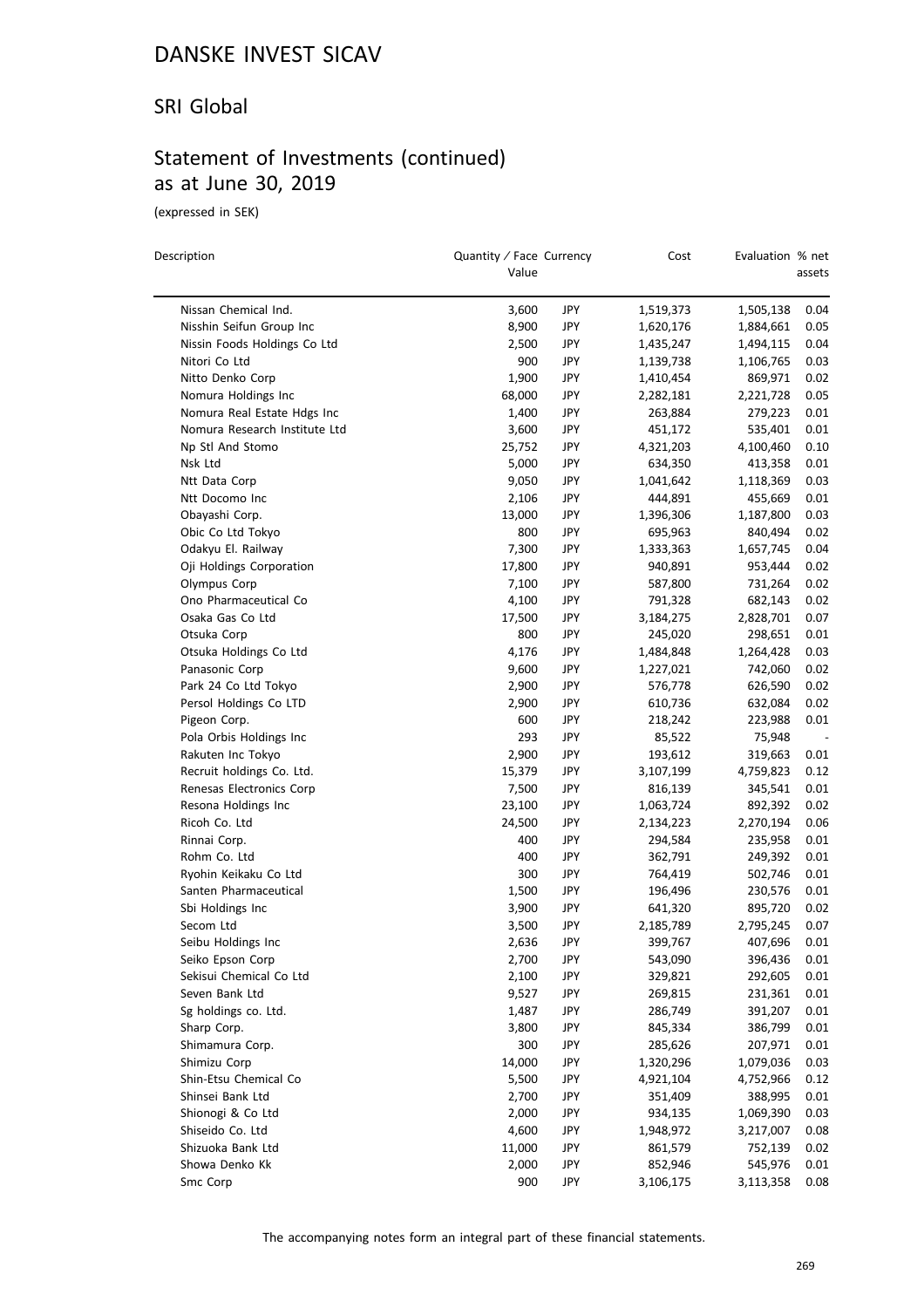#### SRI Global

### Statement of Investments (continued) as at June 30, 2019

(expressed in SEK)

 $\overline{\phantom{0}}$ 

| Description                           | Quantity / Face Currency<br>Value |     | Cost               | Evaluation % net | assets |
|---------------------------------------|-----------------------------------|-----|--------------------|------------------|--------|
| Nissan Chemical Ind.                  | 3,600                             | JPY | 1,519,373          | 1,505,138        | 0.04   |
| Nisshin Seifun Group Inc              | 8,900                             | JPY | 1,620,176          | 1,884,661        | 0.05   |
| Nissin Foods Holdings Co Ltd          | 2,500                             | JPY | 1,435,247          | 1,494,115        | 0.04   |
| Nitori Co Ltd                         | 900                               | JPY | 1,139,738          | 1,106,765        | 0.03   |
| Nitto Denko Corp                      | 1,900                             | JPY | 1,410,454          | 869,971          | 0.02   |
| Nomura Holdings Inc                   | 68,000                            | JPY | 2,282,181          | 2,221,728        | 0.05   |
| Nomura Real Estate Hdgs Inc           | 1,400                             | JPY | 263,884            | 279,223          | 0.01   |
| Nomura Research Institute Ltd         | 3,600                             | JPY | 451,172            | 535,401          | 0.01   |
| Np Stl And Stomo                      | 25,752                            | JPY | 4,321,203          | 4,100,460        | 0.10   |
| Nsk Ltd                               | 5,000                             | JPY | 634,350            | 413,358          | 0.01   |
| Ntt Data Corp                         | 9,050                             | JPY | 1,041,642          | 1,118,369        | 0.03   |
| Ntt Docomo Inc                        | 2,106                             | JPY | 444,891            | 455,669          | 0.01   |
| Obayashi Corp.                        | 13,000                            | JPY | 1,396,306          | 1,187,800        | 0.03   |
| Obic Co Ltd Tokyo                     | 800                               | JPY | 695,963            | 840,494          | 0.02   |
| Odakyu El. Railway                    | 7,300                             | JPY | 1,333,363          | 1,657,745        | 0.04   |
| Oji Holdings Corporation              | 17,800                            | JPY |                    |                  | 0.02   |
|                                       |                                   |     | 940,891            | 953,444          |        |
| Olympus Corp<br>Ono Pharmaceutical Co | 7,100                             | JPY | 587,800<br>791,328 | 731,264          | 0.02   |
|                                       | 4,100                             | JPY |                    | 682,143          | 0.02   |
| Osaka Gas Co Ltd                      | 17,500                            | JPY | 3,184,275          | 2,828,701        | 0.07   |
| Otsuka Corp                           | 800                               | JPY | 245,020            | 298,651          | 0.01   |
| Otsuka Holdings Co Ltd                | 4,176                             | JPY | 1,484,848          | 1,264,428        | 0.03   |
| Panasonic Corp                        | 9,600                             | JPY | 1,227,021          | 742,060          | 0.02   |
| Park 24 Co Ltd Tokyo                  | 2,900                             | JPY | 576,778            | 626,590          | 0.02   |
| Persol Holdings Co LTD                | 2,900                             | JPY | 610,736            | 632,084          | 0.02   |
| Pigeon Corp.                          | 600                               | JPY | 218,242            | 223,988          | 0.01   |
| Pola Orbis Holdings Inc               | 293                               | JPY | 85,522             | 75,948           |        |
| Rakuten Inc Tokyo                     | 2,900                             | JPY | 193,612            | 319,663          | 0.01   |
| Recruit holdings Co. Ltd.             | 15,379                            | JPY | 3,107,199          | 4,759,823        | 0.12   |
| Renesas Electronics Corp              | 7,500                             | JPY | 816,139            | 345,541          | 0.01   |
| Resona Holdings Inc                   | 23,100                            | JPY | 1,063,724          | 892,392          | 0.02   |
| Ricoh Co. Ltd                         | 24,500                            | JPY | 2,134,223          | 2,270,194        | 0.06   |
| Rinnai Corp.                          | 400                               | JPY | 294,584            | 235,958          | 0.01   |
| Rohm Co. Ltd                          | 400                               | JPY | 362,791            | 249,392          | 0.01   |
| Ryohin Keikaku Co Ltd                 | 300                               | JPY | 764,419            | 502,746          | 0.01   |
| Santen Pharmaceutical                 | 1,500                             | JPY | 196,496            | 230,576          | 0.01   |
| Sbi Holdings Inc                      | 3,900                             | JPY | 641,320            | 895,720          | 0.02   |
| Secom Ltd                             | 3,500                             | JPY | 2,185,789          | 2,795,245        | 0.07   |
| Seibu Holdings Inc                    | 2,636                             | JPY | 399,767            | 407,696          | 0.01   |
| Seiko Epson Corp                      | 2,700                             | JPY | 543,090            | 396,436          | 0.01   |
| Sekisui Chemical Co Ltd               | 2,100                             | JPY | 329,821            | 292,605          | 0.01   |
| Seven Bank Ltd                        | 9,527                             | JPY | 269,815            | 231,361          | 0.01   |
| Sg holdings co. Ltd.                  | 1,487                             | JPY | 286,749            | 391,207          | 0.01   |
| Sharp Corp.                           | 3,800                             | JPY | 845,334            | 386,799          | 0.01   |
| Shimamura Corp.                       | 300                               | JPY | 285,626            | 207,971          | 0.01   |
| Shimizu Corp                          | 14,000                            | JPY | 1,320,296          | 1,079,036        | 0.03   |
| Shin-Etsu Chemical Co                 | 5,500                             | JPY | 4,921,104          | 4,752,966        | 0.12   |
| Shinsei Bank Ltd                      | 2,700                             | JPY | 351,409            | 388,995          | 0.01   |
| Shionogi & Co Ltd                     | 2,000                             | JPY | 934,135            | 1,069,390        | 0.03   |
| Shiseido Co. Ltd                      | 4,600                             | JPY | 1,948,972          | 3,217,007        | 0.08   |
| Shizuoka Bank Ltd                     | 11,000                            | JPY | 861,579            | 752,139          | 0.02   |
| Showa Denko Kk                        | 2,000                             | JPY | 852,946            | 545,976          | 0.01   |
| Smc Corp                              | 900                               | JPY | 3,106,175          | 3,113,358        | 0.08   |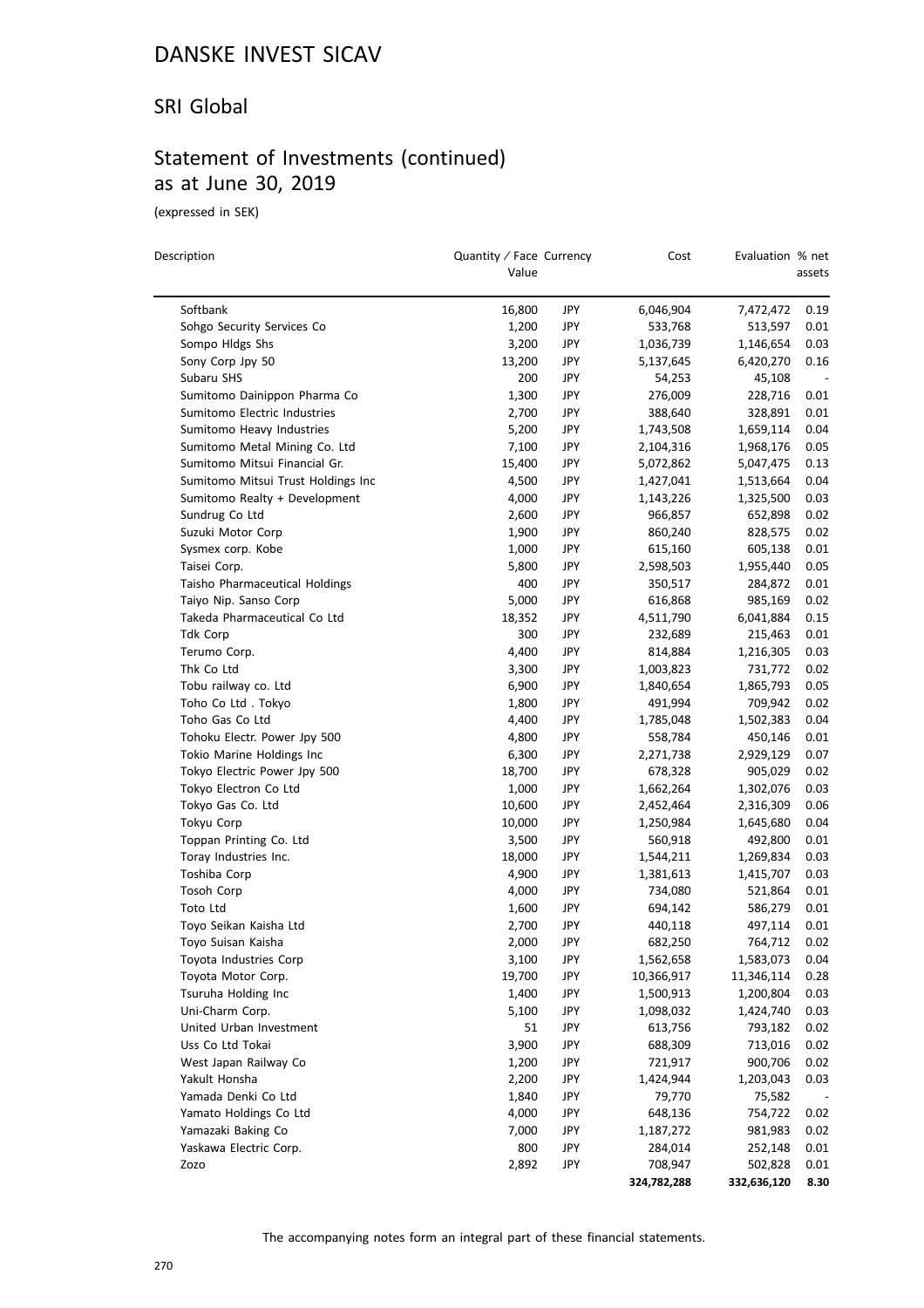#### SRI Global

# Statement of Investments (continued) as at June 30, 2019

(expressed in SEK)

| Description                        | Quantity / Face Currency<br>Value |     | Cost                 | Evaluation % net       | assets |
|------------------------------------|-----------------------------------|-----|----------------------|------------------------|--------|
| Softbank                           | 16,800                            | JPY | 6,046,904            | 7,472,472              | 0.19   |
| Sohgo Security Services Co         | 1,200                             | JPY | 533,768              | 513,597                | 0.01   |
| Sompo Hldgs Shs                    | 3,200                             | JPY | 1,036,739            | 1,146,654              | 0.03   |
| Sony Corp Jpy 50                   | 13,200                            | JPY | 5,137,645            | 6,420,270              | 0.16   |
| Subaru SHS                         | 200                               | JPY | 54,253               | 45,108                 |        |
| Sumitomo Dainippon Pharma Co       | 1,300                             | JPY | 276,009              | 228,716                | 0.01   |
| Sumitomo Electric Industries       | 2,700                             | JPY | 388,640              | 328,891                | 0.01   |
| Sumitomo Heavy Industries          | 5,200                             | JPY | 1,743,508            | 1,659,114              | 0.04   |
| Sumitomo Metal Mining Co. Ltd      | 7,100                             | JPY | 2,104,316            | 1,968,176              | 0.05   |
| Sumitomo Mitsui Financial Gr.      | 15,400                            | JPY | 5,072,862            | 5,047,475              | 0.13   |
| Sumitomo Mitsui Trust Holdings Inc | 4,500                             | JPY | 1,427,041            | 1,513,664              | 0.04   |
| Sumitomo Realty + Development      | 4,000                             | JPY | 1,143,226            | 1,325,500              | 0.03   |
| Sundrug Co Ltd                     | 2,600                             | JPY | 966,857              | 652,898                | 0.02   |
| Suzuki Motor Corp                  | 1,900                             | JPY | 860,240              | 828,575                | 0.02   |
| Sysmex corp. Kobe                  | 1,000                             | JPY | 615,160              | 605,138                | 0.01   |
| Taisei Corp.                       | 5,800                             | JPY | 2,598,503            | 1,955,440              | 0.05   |
| Taisho Pharmaceutical Holdings     | 400                               | JPY | 350,517              | 284,872                | 0.01   |
| Taiyo Nip. Sanso Corp              | 5,000                             | JPY | 616,868              | 985,169                | 0.02   |
| Takeda Pharmaceutical Co Ltd       | 18,352                            | JPY | 4,511,790            | 6,041,884              | 0.15   |
| Tdk Corp                           | 300                               | JPY | 232,689              | 215,463                | 0.01   |
| Terumo Corp.                       | 4,400                             | JPY | 814,884              | 1,216,305              | 0.03   |
| Thk Co Ltd                         | 3,300                             | JPY | 1,003,823            | 731,772                | 0.02   |
| Tobu railway co. Ltd               | 6,900                             | JPY | 1,840,654            | 1,865,793              | 0.05   |
| Toho Co Ltd. Tokyo                 | 1,800                             | JPY | 491,994              | 709,942                | 0.02   |
| Toho Gas Co Ltd                    | 4,400                             | JPY | 1,785,048            | 1,502,383              | 0.04   |
| Tohoku Electr. Power Jpy 500       | 4,800                             | JPY | 558,784              | 450,146                | 0.01   |
| Tokio Marine Holdings Inc          | 6,300                             | JPY | 2,271,738            | 2,929,129              | 0.07   |
| Tokyo Electric Power Jpy 500       | 18,700                            | JPY | 678,328              | 905,029                | 0.02   |
| Tokyo Electron Co Ltd              | 1,000                             | JPY | 1,662,264            | 1,302,076              | 0.03   |
| Tokyo Gas Co. Ltd                  | 10,600                            | JPY | 2,452,464            | 2,316,309              | 0.06   |
| Tokyu Corp                         | 10,000                            | JPY | 1,250,984            | 1,645,680              | 0.04   |
| Toppan Printing Co. Ltd            | 3,500                             | JPY |                      |                        | 0.01   |
| Toray Industries Inc.              | 18,000                            | JPY | 560,918<br>1,544,211 | 492,800<br>1,269,834   | 0.03   |
| Toshiba Corp                       | 4,900                             | JPY |                      |                        | 0.03   |
| Tosoh Corp                         | 4,000                             | JPY | 1,381,613            | 1,415,707              | 0.01   |
| Toto Ltd                           | 1,600                             | JPY | 734,080<br>694,142   | 521,864<br>586,279     | 0.01   |
| Toyo Seikan Kaisha Ltd             | 2,700                             | JPY | 440,118              | 497,114                | 0.01   |
| Toyo Suisan Kaisha                 | 2,000                             | JPY | 682,250              | 764.712                | 0.02   |
| Toyota Industries Corp             | 3,100                             | JPY | 1,562,658            | 1,583,073              | 0.04   |
| Toyota Motor Corp.                 | 19,700                            | JPY | 10,366,917           |                        | 0.28   |
| Tsuruha Holding Inc                | 1,400                             | JPY | 1,500,913            | 11,346,114             | 0.03   |
| Uni-Charm Corp.                    | 5,100                             | JPY | 1,098,032            | 1,200,804<br>1,424,740 | 0.03   |
| United Urban Investment            | 51                                | JPY | 613,756              | 793,182                | 0.02   |
| Uss Co Ltd Tokai                   | 3,900                             | JPY | 688,309              | 713,016                | 0.02   |
| West Japan Railway Co              |                                   | JPY |                      | 900,706                | 0.02   |
|                                    | 1,200                             |     | 721,917              |                        |        |
| Yakult Honsha                      | 2,200                             | JPY | 1,424,944            | 1,203,043              | 0.03   |
| Yamada Denki Co Ltd                | 1,840                             | JPY | 79,770               | 75,582                 |        |
| Yamato Holdings Co Ltd             | 4,000                             | JPY | 648,136              | 754,722                | 0.02   |
| Yamazaki Baking Co                 | 7,000                             | JPY | 1,187,272            | 981,983                | 0.02   |
| Yaskawa Electric Corp.             | 800                               | JPY | 284,014              | 252,148                | 0.01   |
| Zozo                               | 2,892                             | JPY | 708,947              | 502,828                | 0.01   |
|                                    |                                   |     | 324,782,288          | 332,636,120            | 8.30   |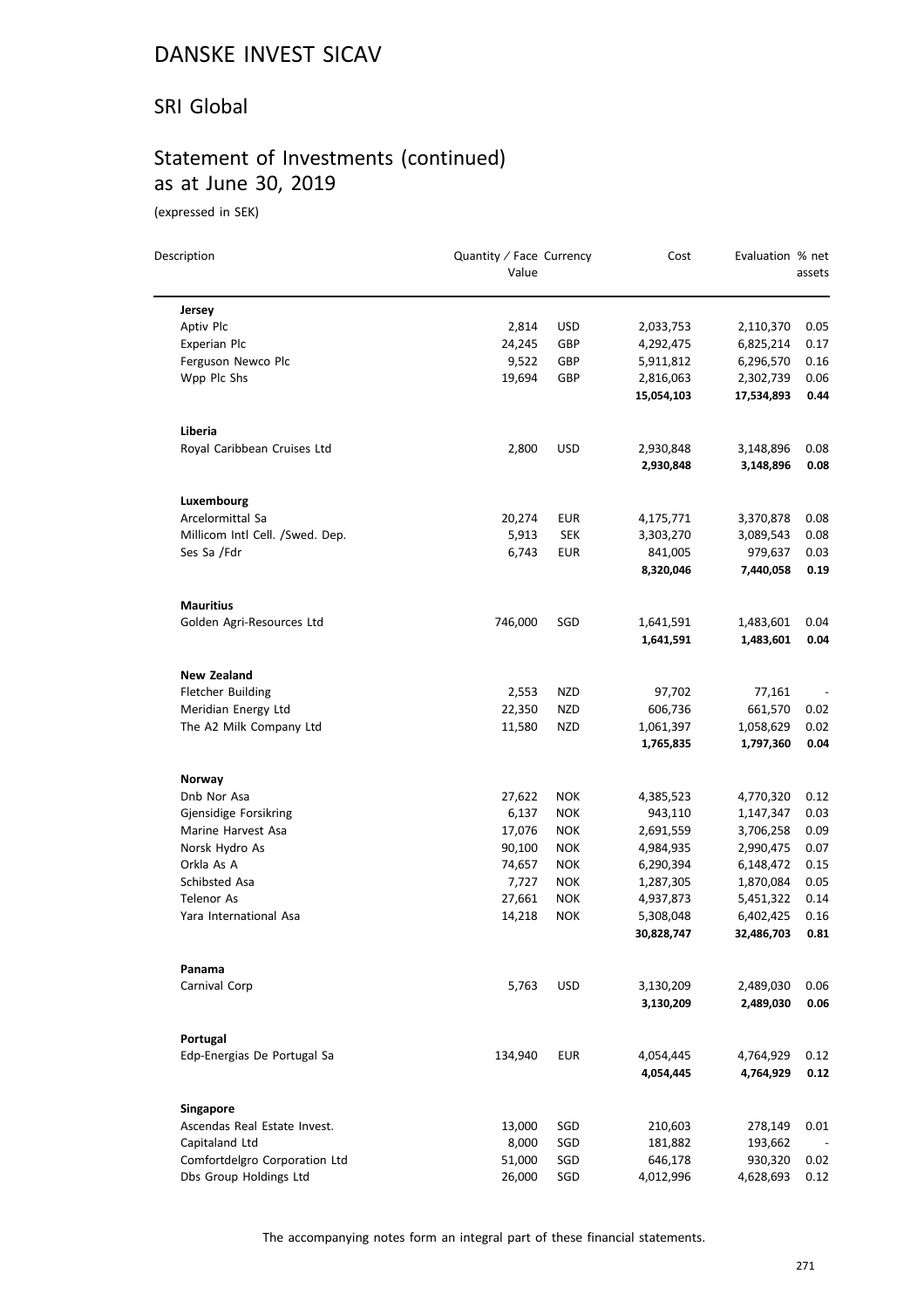#### SRI Global

# Statement of Investments (continued) as at June 30, 2019

(expressed in SEK)

| Description                     | Quantity / Face Currency<br>Value |            | Cost                    | Evaluation % net        | assets       |
|---------------------------------|-----------------------------------|------------|-------------------------|-------------------------|--------------|
| Jersey                          |                                   |            |                         |                         |              |
| Aptiv Plc                       | 2,814                             | <b>USD</b> | 2,033,753               | 2,110,370               | 0.05         |
| Experian Plc                    | 24,245                            | GBP        | 4,292,475               | 6,825,214               | 0.17         |
| Ferguson Newco Plc              | 9,522                             | GBP        | 5,911,812               | 6,296,570               | 0.16         |
| Wpp Plc Shs                     | 19,694                            | GBP        | 2,816,063               | 2,302,739               | 0.06         |
|                                 |                                   |            | 15,054,103              | 17,534,893              | 0.44         |
| Liberia                         |                                   |            |                         |                         |              |
| Royal Caribbean Cruises Ltd     | 2,800                             | <b>USD</b> | 2,930,848               | 3,148,896               | 0.08         |
|                                 |                                   |            | 2,930,848               | 3,148,896               | 0.08         |
| Luxembourg                      |                                   |            |                         |                         |              |
| Arcelormittal Sa                | 20,274                            | EUR        | 4,175,771               | 3,370,878               | 0.08         |
| Millicom Intl Cell. /Swed. Dep. | 5,913                             | <b>SEK</b> | 3,303,270               | 3,089,543               | 0.08         |
| Ses Sa /Fdr                     | 6,743                             | <b>EUR</b> | 841,005                 | 979,637                 | 0.03         |
|                                 |                                   |            | 8,320,046               | 7,440,058               | 0.19         |
| <b>Mauritius</b>                |                                   |            |                         |                         |              |
| Golden Agri-Resources Ltd       | 746,000                           | SGD        | 1,641,591               | 1,483,601               | 0.04         |
|                                 |                                   |            | 1,641,591               | 1,483,601               | 0.04         |
| <b>New Zealand</b>              |                                   |            |                         |                         |              |
| <b>Fletcher Building</b>        | 2,553                             | NZD        | 97,702                  | 77,161                  |              |
| Meridian Energy Ltd             | 22,350                            | NZD        | 606,736                 | 661,570                 | 0.02         |
| The A2 Milk Company Ltd         | 11,580                            | NZD        | 1,061,397               | 1,058,629               | 0.02         |
|                                 |                                   |            | 1,765,835               | 1,797,360               | 0.04         |
| Norway                          |                                   |            |                         |                         |              |
| Dnb Nor Asa                     | 27,622                            | <b>NOK</b> | 4,385,523               | 4,770,320               | 0.12         |
| Gjensidige Forsikring           | 6,137                             | <b>NOK</b> | 943,110                 | 1,147,347               | 0.03         |
| Marine Harvest Asa              | 17,076                            | <b>NOK</b> | 2,691,559               | 3,706,258               | 0.09         |
| Norsk Hydro As                  | 90,100                            | <b>NOK</b> | 4,984,935               | 2,990,475               | 0.07         |
| Orkla As A                      | 74,657                            | <b>NOK</b> | 6,290,394               | 6,148,472               | 0.15         |
| Schibsted Asa                   | 7,727                             | <b>NOK</b> | 1,287,305               | 1,870,084               | 0.05         |
| <b>Telenor As</b>               | 27,661                            | <b>NOK</b> | 4,937,873               | 5,451,322               | 0.14         |
| Yara International Asa          | 14,218                            | <b>NOK</b> | 5,308,048<br>30,828,747 | 6,402,425<br>32,486,703 | 0.16<br>0.81 |
| Panama                          |                                   |            |                         |                         |              |
| Carnival Corp                   | 5,763                             | <b>USD</b> | 3,130,209               | 2,489,030               | 0.06         |
|                                 |                                   |            | 3,130,209               | 2,489,030               | 0.06         |
| Portugal                        |                                   |            |                         |                         |              |
| Edp-Energias De Portugal Sa     | 134,940                           | <b>EUR</b> | 4,054,445               | 4,764,929               | 0.12         |
|                                 |                                   |            | 4,054,445               | 4,764,929               | 0.12         |
| <b>Singapore</b>                |                                   |            |                         |                         |              |
| Ascendas Real Estate Invest.    | 13,000                            | SGD        | 210,603                 | 278,149                 | 0.01         |
| Capitaland Ltd                  | 8,000                             | SGD        | 181,882                 | 193,662                 |              |
| Comfortdelgro Corporation Ltd   | 51,000                            | SGD        | 646,178                 | 930,320                 | 0.02         |
| Dbs Group Holdings Ltd          | 26,000                            | SGD        | 4,012,996               | 4,628,693               | 0.12         |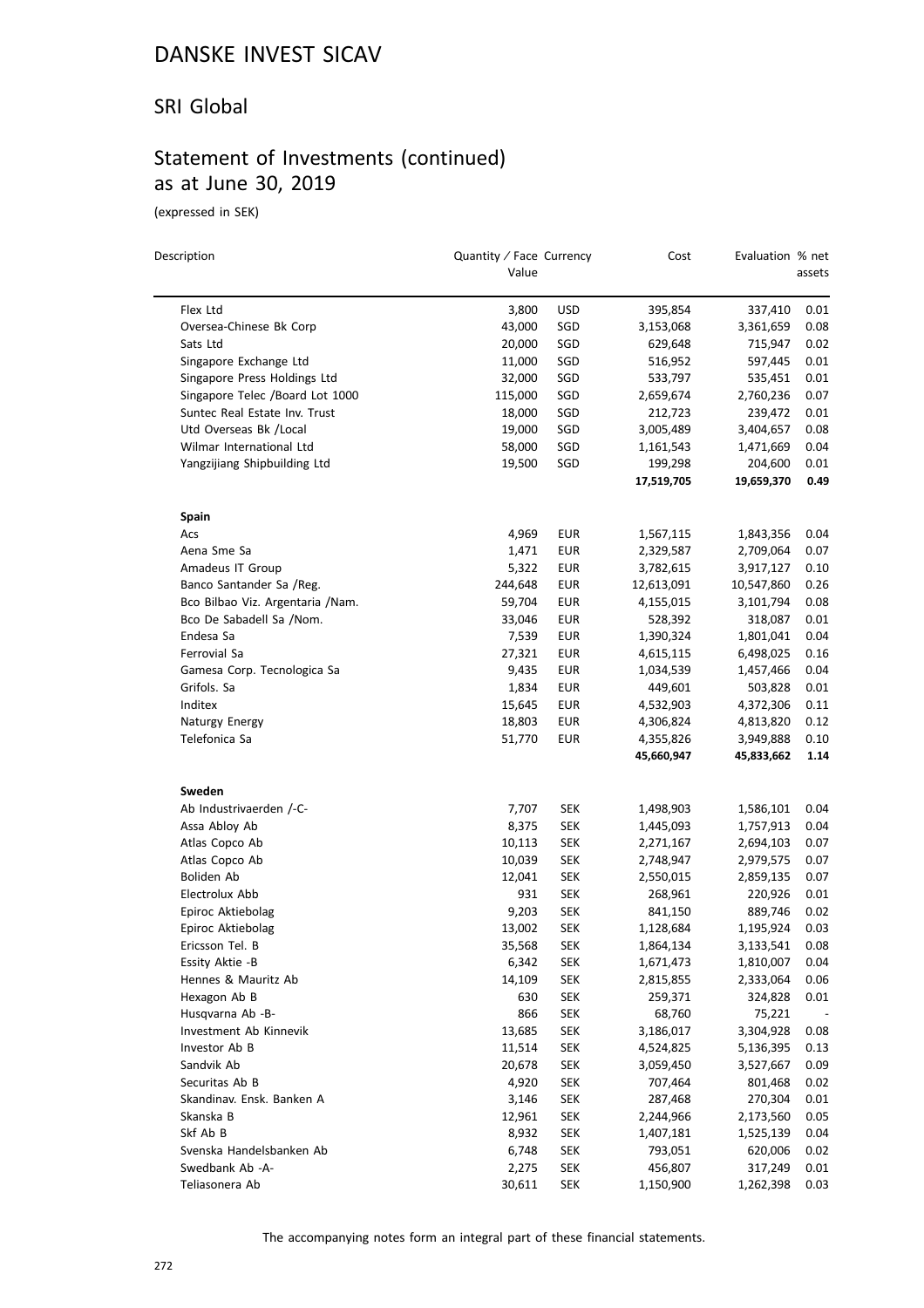#### SRI Global

### Statement of Investments (continued) as at June 30, 2019

(expressed in SEK)

 $\overline{\phantom{0}}$ 

| Description                                            | Quantity / Face Currency<br>Value |                   | Cost                  | Evaluation % net      | assets       |
|--------------------------------------------------------|-----------------------------------|-------------------|-----------------------|-----------------------|--------------|
|                                                        |                                   |                   |                       |                       |              |
| Flex Ltd                                               | 3,800<br>43,000                   | <b>USD</b><br>SGD | 395,854               | 337,410               | 0.01<br>0.08 |
| Oversea-Chinese Bk Corp<br>Sats Ltd                    |                                   |                   | 3,153,068             | 3,361,659             | 0.02         |
|                                                        | 20,000                            | SGD               | 629,648               | 715,947               |              |
| Singapore Exchange Ltd<br>Singapore Press Holdings Ltd | 11,000                            | SGD               | 516,952               | 597,445               | 0.01         |
| Singapore Telec /Board Lot 1000                        | 32,000                            | SGD               | 533,797               | 535,451               | 0.01         |
| Suntec Real Estate Inv. Trust                          | 115,000                           | SGD               | 2,659,674             | 2,760,236             | 0.07         |
|                                                        | 18,000                            | SGD               | 212,723               | 239,472               | 0.01         |
| Utd Overseas Bk / Local                                | 19,000                            | SGD               | 3,005,489             | 3,404,657             | 0.08         |
| Wilmar International Ltd                               | 58,000                            | SGD               | 1,161,543             | 1,471,669             | 0.04<br>0.01 |
| Yangzijiang Shipbuilding Ltd                           | 19,500                            | SGD               | 199,298<br>17,519,705 | 204,600<br>19,659,370 | 0.49         |
| Spain                                                  |                                   |                   |                       |                       |              |
| Acs                                                    | 4,969                             | <b>EUR</b>        | 1,567,115             | 1,843,356             | 0.04         |
| Aena Sme Sa                                            | 1,471                             | EUR               | 2,329,587             | 2,709,064             | 0.07         |
| Amadeus IT Group                                       | 5,322                             | EUR               | 3,782,615             | 3,917,127             | 0.10         |
| Banco Santander Sa /Reg.                               | 244,648                           | <b>EUR</b>        | 12,613,091            | 10,547,860            | 0.26         |
| Bco Bilbao Viz. Argentaria / Nam.                      | 59,704                            | <b>EUR</b>        | 4,155,015             | 3,101,794             | 0.08         |
| Bco De Sabadell Sa /Nom.                               | 33,046                            | <b>EUR</b>        | 528,392               | 318,087               | 0.01         |
| Endesa Sa                                              | 7,539                             | EUR               | 1,390,324             | 1,801,041             | 0.04         |
| Ferrovial Sa                                           | 27,321                            | EUR               | 4,615,115             | 6,498,025             | 0.16         |
| Gamesa Corp. Tecnologica Sa                            | 9,435                             | EUR               | 1,034,539             | 1,457,466             | 0.04         |
| Grifols. Sa                                            | 1,834                             | <b>EUR</b>        | 449,601               | 503,828               | 0.01         |
| Inditex                                                | 15,645                            | EUR               | 4,532,903             | 4,372,306             | 0.11         |
| Naturgy Energy                                         | 18,803                            | EUR               | 4,306,824             | 4,813,820             | 0.12         |
| Telefonica Sa                                          | 51,770                            | <b>EUR</b>        | 4,355,826             | 3,949,888             | 0.10         |
|                                                        |                                   |                   | 45,660,947            | 45,833,662            | 1.14         |
| Sweden                                                 |                                   |                   |                       |                       |              |
| Ab Industrivaerden /-C-                                | 7,707                             | <b>SEK</b>        | 1,498,903             | 1,586,101             | 0.04         |
| Assa Abloy Ab                                          | 8,375                             | SEK               | 1,445,093             | 1,757,913             | 0.04         |
| Atlas Copco Ab                                         | 10,113                            | <b>SEK</b>        | 2,271,167             | 2,694,103             | 0.07         |
| Atlas Copco Ab                                         | 10,039                            | SEK               | 2,748,947             | 2,979,575             | 0.07         |
| Boliden Ab                                             | 12,041                            | SEK               | 2,550,015             | 2,859,135             | 0.07         |
| Electrolux Abb                                         | 931                               | SEK               | 268,961               | 220,926               | 0.01         |
| Epiroc Aktiebolag                                      | 9,203                             | <b>SEK</b>        | 841,150               | 889,746               | 0.02         |
| Epiroc Aktiebolag                                      | 13,002                            | <b>SEK</b>        | 1,128,684             | 1,195,924             | 0.03         |
| Ericsson Tel. B                                        | 35,568                            | <b>SEK</b>        | 1,864,134             | 3,133,541             | 0.08         |
| Essity Aktie -B                                        | 6,342                             | SEK               | 1,671,473             | 1,810,007             | 0.04         |
| Hennes & Mauritz Ab                                    | 14,109                            | <b>SEK</b>        | 2,815,855             | 2,333,064             | 0.06         |
| Hexagon Ab B                                           | 630                               | <b>SEK</b>        | 259,371               | 324,828               | 0.01         |
| Husqvarna Ab -B-                                       | 866                               | <b>SEK</b>        | 68,760                | 75,221                |              |
| Investment Ab Kinnevik                                 | 13,685                            | <b>SEK</b>        | 3,186,017             | 3,304,928             | 0.08         |
| Investor Ab B                                          | 11,514                            | <b>SEK</b>        | 4,524,825             | 5,136,395             | 0.13         |
| Sandvik Ab                                             | 20,678                            | <b>SEK</b>        | 3,059,450             | 3,527,667             | 0.09         |
| Securitas Ab B                                         | 4,920                             | <b>SEK</b>        | 707,464               | 801,468               | 0.02         |
| Skandinav. Ensk. Banken A                              | 3,146                             | <b>SEK</b>        | 287,468               | 270,304               | 0.01         |
| Skanska B                                              | 12,961                            | <b>SEK</b>        | 2,244,966             | 2,173,560             | 0.05         |
| Skf Ab B                                               | 8,932                             | <b>SEK</b>        | 1,407,181             | 1,525,139             | 0.04         |
| Svenska Handelsbanken Ab                               | 6,748                             | <b>SEK</b>        | 793,051               | 620,006               | 0.02         |
| Swedbank Ab -A-                                        | 2,275                             | <b>SEK</b>        | 456,807               | 317,249               | 0.01         |
| Teliasonera Ab                                         | 30,611                            | <b>SEK</b>        | 1,150,900             | 1,262,398             | 0.03         |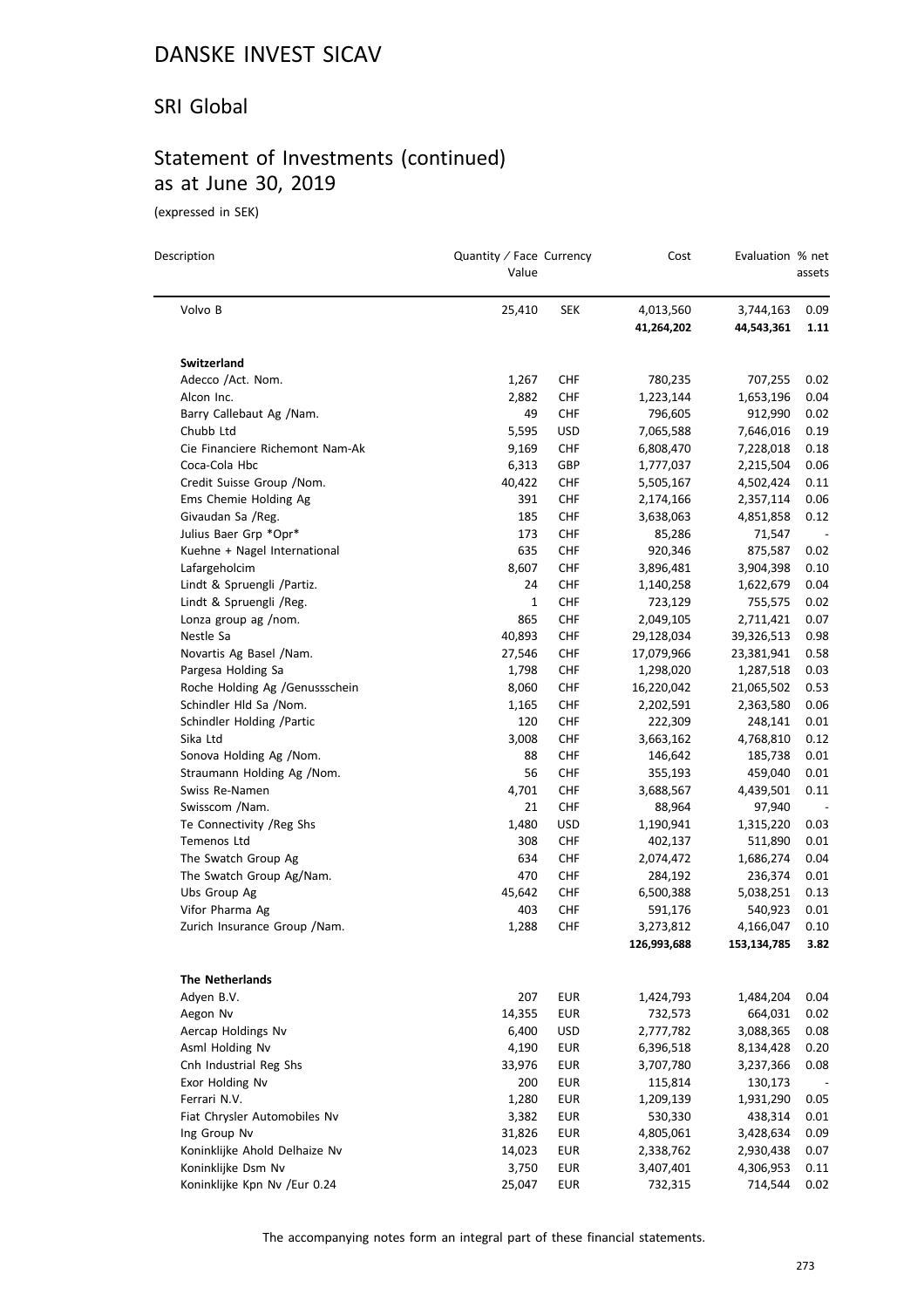#### SRI Global

# Statement of Investments (continued) as at June 30, 2019

(expressed in SEK)

| Description                     | Quantity / Face Currency<br>Value |            | Cost                    | Evaluation % net        | assets                   |
|---------------------------------|-----------------------------------|------------|-------------------------|-------------------------|--------------------------|
| Volvo B                         | 25,410                            | <b>SEK</b> | 4,013,560<br>41,264,202 | 3,744,163<br>44,543,361 | 0.09<br>1.11             |
| Switzerland                     |                                   |            |                         |                         |                          |
| Adecco /Act. Nom.               | 1,267                             | CHF        | 780,235                 | 707,255                 | 0.02                     |
| Alcon Inc.                      | 2,882                             | CHF        | 1,223,144               | 1,653,196               | 0.04                     |
| Barry Callebaut Ag /Nam.        | 49                                | <b>CHF</b> | 796,605                 | 912,990                 | 0.02                     |
| Chubb Ltd                       | 5,595                             | <b>USD</b> | 7,065,588               | 7,646,016               | 0.19                     |
| Cie Financiere Richemont Nam-Ak | 9,169                             | <b>CHF</b> | 6,808,470               | 7,228,018               | 0.18                     |
| Coca-Cola Hbc                   | 6,313                             | GBP        | 1,777,037               | 2,215,504               | 0.06                     |
| Credit Suisse Group / Nom.      | 40,422                            | CHF        | 5,505,167               | 4,502,424               | 0.11                     |
| Ems Chemie Holding Ag           | 391                               | <b>CHF</b> | 2,174,166               | 2,357,114               | 0.06                     |
| Givaudan Sa /Reg.               | 185                               | <b>CHF</b> | 3,638,063               | 4,851,858               | 0.12                     |
| Julius Baer Grp *Opr*           | 173                               | <b>CHF</b> | 85,286                  | 71,547                  | $\overline{\phantom{a}}$ |
| Kuehne + Nagel International    | 635                               | <b>CHF</b> | 920,346                 | 875,587                 | 0.02                     |
| Lafargeholcim                   | 8,607                             | <b>CHF</b> | 3,896,481               | 3,904,398               | 0.10                     |
| Lindt & Spruengli /Partiz.      | 24                                | <b>CHF</b> | 1,140,258               | 1,622,679               | 0.04                     |
| Lindt & Spruengli /Reg.         | 1                                 | CHF        | 723,129                 | 755,575                 | 0.02                     |
| Lonza group ag /nom.            | 865                               | <b>CHF</b> | 2,049,105               | 2,711,421               | 0.07                     |
| Nestle Sa                       | 40,893                            | <b>CHF</b> | 29,128,034              | 39,326,513              | 0.98                     |
| Novartis Ag Basel /Nam.         | 27,546                            | <b>CHF</b> | 17,079,966              | 23,381,941              | 0.58                     |
| Pargesa Holding Sa              | 1,798                             | <b>CHF</b> | 1,298,020               | 1,287,518               | 0.03                     |
| Roche Holding Ag /Genussschein  | 8,060                             | CHF        | 16,220,042              | 21,065,502              | 0.53                     |
| Schindler Hld Sa /Nom.          | 1,165                             | <b>CHF</b> | 2,202,591               | 2,363,580               | 0.06                     |
| Schindler Holding / Partic      | 120                               | <b>CHF</b> | 222,309                 | 248,141                 | 0.01                     |
| Sika Ltd                        | 3,008                             | <b>CHF</b> | 3,663,162               | 4,768,810               | 0.12                     |
| Sonova Holding Ag /Nom.         | 88                                | <b>CHF</b> | 146,642                 | 185,738                 | 0.01                     |
| Straumann Holding Ag /Nom.      | 56                                | <b>CHF</b> | 355,193                 | 459,040                 | 0.01                     |
| Swiss Re-Namen                  | 4,701                             | <b>CHF</b> | 3,688,567               | 4,439,501               | 0.11                     |
| Swisscom /Nam.                  | 21                                | <b>CHF</b> | 88,964                  | 97,940                  |                          |
| Te Connectivity / Reg Shs       | 1,480                             | <b>USD</b> | 1,190,941               | 1,315,220               | 0.03                     |
| Temenos Ltd                     | 308                               | <b>CHF</b> | 402,137                 | 511,890                 | 0.01                     |
| The Swatch Group Ag             | 634                               | <b>CHF</b> | 2,074,472               | 1,686,274               | 0.04                     |
| The Swatch Group Ag/Nam.        | 470                               | <b>CHF</b> | 284,192                 | 236,374                 | 0.01                     |
| Ubs Group Ag                    | 45,642                            | CHF        | 6,500,388               | 5,038,251               | 0.13                     |
| Vifor Pharma Ag                 | 403                               | <b>CHF</b> | 591,176                 | 540,923                 | 0.01                     |
| Zurich Insurance Group / Nam.   | 1,288                             | CHF        | 3,273,812               | 4,166,047               | 0.10                     |
|                                 |                                   |            | 126,993,688             | 153,134,785             | 3.82                     |
| <b>The Netherlands</b>          |                                   |            |                         |                         |                          |
| Adyen B.V.                      | 207                               | <b>EUR</b> | 1,424,793               | 1,484,204               | 0.04                     |
| Aegon Nv                        | 14,355                            | <b>EUR</b> | 732,573                 | 664,031                 | 0.02                     |
| Aercap Holdings Nv              | 6,400                             | <b>USD</b> | 2,777,782               | 3,088,365               | 0.08                     |
| Asml Holding Nv                 | 4,190                             | <b>EUR</b> | 6,396,518               | 8,134,428               | 0.20                     |
| Cnh Industrial Reg Shs          | 33,976                            | <b>EUR</b> | 3,707,780               | 3,237,366               | 0.08                     |
| Exor Holding Nv                 | 200                               | <b>EUR</b> | 115,814                 | 130,173                 |                          |
| Ferrari N.V.                    | 1,280                             | <b>EUR</b> | 1,209,139               | 1,931,290               | 0.05                     |
| Fiat Chrysler Automobiles Nv    | 3,382                             | <b>EUR</b> | 530,330                 | 438,314                 | 0.01                     |
| Ing Group Nv                    | 31,826                            | <b>EUR</b> | 4,805,061               | 3,428,634               | 0.09                     |
| Koninklijke Ahold Delhaize Nv   | 14,023                            | <b>EUR</b> | 2,338,762               | 2,930,438               | 0.07                     |
| Koninklijke Dsm Nv              | 3,750                             | <b>EUR</b> | 3,407,401               | 4,306,953               | 0.11                     |
| Koninklijke Kpn Nv /Eur 0.24    | 25,047                            | <b>EUR</b> | 732,315                 | 714,544                 | 0.02                     |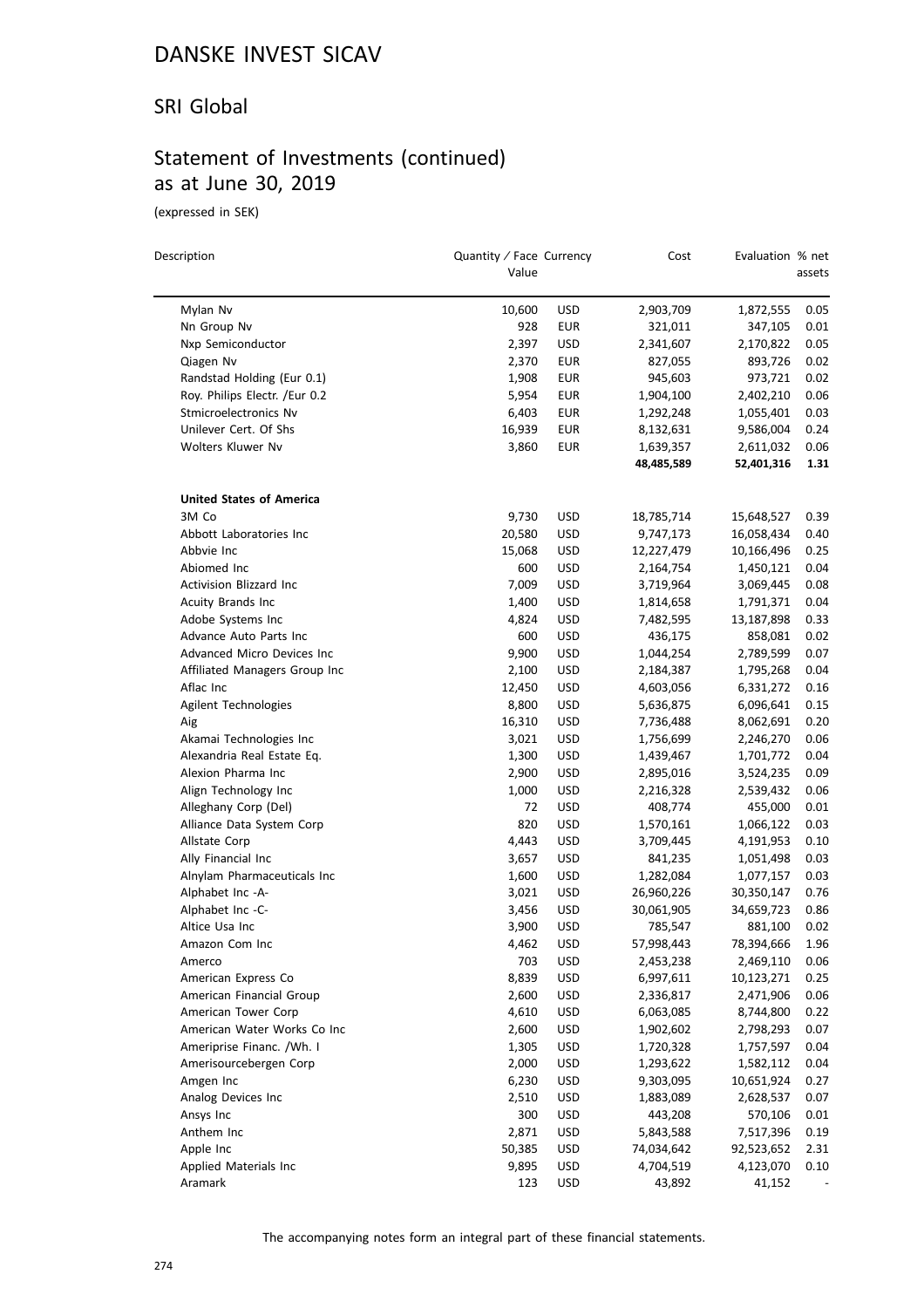#### SRI Global

### Statement of Investments (continued) as at June 30, 2019

(expressed in SEK)

 $\equiv$ 

| Description                          | Quantity / Face Currency<br>Value |                   | Cost                     | Evaluation % net         | assets |
|--------------------------------------|-----------------------------------|-------------------|--------------------------|--------------------------|--------|
| Mylan Nv                             | 10,600                            | <b>USD</b>        | 2,903,709                | 1,872,555                | 0.05   |
| Nn Group Nv                          | 928                               | EUR               | 321,011                  | 347,105                  | 0.01   |
| Nxp Semiconductor                    | 2,397                             | USD               | 2,341,607                | 2,170,822                | 0.05   |
| Qiagen Nv                            | 2,370                             | EUR               | 827,055                  | 893,726                  | 0.02   |
| Randstad Holding (Eur 0.1)           | 1,908                             | EUR               | 945,603                  | 973,721                  | 0.02   |
| Roy. Philips Electr. /Eur 0.2        | 5,954                             | EUR               | 1,904,100                | 2,402,210                | 0.06   |
| Stmicroelectronics Nv                | 6,403                             | <b>EUR</b>        | 1,292,248                | 1,055,401                | 0.03   |
| Unilever Cert. Of Shs                | 16,939                            | EUR               | 8,132,631                | 9,586,004                | 0.24   |
| <b>Wolters Kluwer Nv</b>             | 3,860                             | EUR               | 1,639,357                | 2,611,032                | 0.06   |
|                                      |                                   |                   | 48,485,589               | 52,401,316               | 1.31   |
| <b>United States of America</b>      |                                   |                   |                          |                          |        |
| 3M Co                                | 9,730                             | USD               | 18,785,714               | 15,648,527               | 0.39   |
| Abbott Laboratories Inc              | 20,580                            | <b>USD</b>        | 9,747,173                | 16,058,434               | 0.40   |
| Abbvie Inc                           | 15,068                            | <b>USD</b>        | 12,227,479               | 10,166,496               | 0.25   |
| Abiomed Inc                          | 600                               | USD               | 2,164,754                | 1,450,121                | 0.04   |
| Activision Blizzard Inc              | 7,009                             | <b>USD</b>        | 3,719,964                | 3,069,445                | 0.08   |
| Acuity Brands Inc                    | 1,400                             | <b>USD</b>        | 1,814,658                | 1,791,371                | 0.04   |
| Adobe Systems Inc                    | 4,824                             | <b>USD</b>        | 7,482,595                | 13,187,898               | 0.33   |
| Advance Auto Parts Inc               | 600                               | <b>USD</b>        | 436,175                  | 858,081                  | 0.02   |
| Advanced Micro Devices Inc           | 9,900                             | <b>USD</b>        | 1,044,254                | 2,789,599                | 0.07   |
| Affiliated Managers Group Inc        | 2,100                             | <b>USD</b>        | 2,184,387                | 1,795,268                | 0.04   |
| Aflac Inc                            | 12,450                            | <b>USD</b>        | 4,603,056                | 6,331,272                | 0.16   |
| Agilent Technologies                 | 8,800                             | <b>USD</b>        | 5,636,875                | 6,096,641                | 0.15   |
| Aig                                  | 16,310                            | <b>USD</b>        | 7,736,488                | 8,062,691                | 0.20   |
| Akamai Technologies Inc              | 3,021                             | <b>USD</b>        | 1,756,699                | 2,246,270                | 0.06   |
| Alexandria Real Estate Eq.           | 1,300                             | <b>USD</b>        | 1,439,467                | 1,701,772                | 0.04   |
| Alexion Pharma Inc                   | 2,900                             | <b>USD</b>        | 2,895,016                | 3,524,235                | 0.09   |
| Align Technology Inc                 | 1,000                             | <b>USD</b>        | 2,216,328                | 2,539,432                | 0.06   |
| Alleghany Corp (Del)                 | 72                                | <b>USD</b>        | 408,774                  | 455,000                  | 0.01   |
| Alliance Data System Corp            | 820                               | <b>USD</b>        | 1,570,161                | 1,066,122                | 0.03   |
| Allstate Corp                        | 4,443                             | <b>USD</b>        | 3,709,445                | 4,191,953                | 0.10   |
| Ally Financial Inc                   | 3,657                             | <b>USD</b>        | 841,235                  |                          | 0.03   |
| Alnylam Pharmaceuticals Inc          | 1,600                             | <b>USD</b>        | 1,282,084                | 1,051,498<br>1,077,157   | 0.03   |
|                                      |                                   |                   |                          |                          | 0.76   |
| Alphabet Inc -A-<br>Alphabet Inc -C- | 3,021<br>3,456                    | <b>USD</b><br>USD | 26,960,226<br>30,061,905 | 30,350,147<br>34,659,723 | 0.86   |
| Altice Usa Inc                       | 3,900                             | <b>USD</b>        | 785,547                  | 881,100                  | 0.02   |
|                                      |                                   |                   |                          | 78,394,666               |        |
| Amazon Com Inc                       | 4,462                             | <b>USD</b>        | 57,998,443               |                          | 1.96   |
| Amerco                               | 703                               | USD               | 2,453,238                | 2,469,110                | 0.06   |
| American Express Co                  | 8,839                             | USD               | 6,997,611                | 10,123,271               | 0.25   |
| American Financial Group             | 2,600                             | <b>USD</b>        | 2,336,817                | 2,471,906                | 0.06   |
| American Tower Corp                  | 4,610                             | <b>USD</b>        | 6,063,085                | 8,744,800                | 0.22   |
| American Water Works Co Inc          | 2,600                             | <b>USD</b>        | 1,902,602                | 2,798,293                | 0.07   |
| Ameriprise Financ. /Wh. I            | 1,305                             | <b>USD</b>        | 1,720,328                | 1,757,597                | 0.04   |
| Amerisourcebergen Corp               | 2,000                             | <b>USD</b>        | 1,293,622                | 1,582,112                | 0.04   |
| Amgen Inc                            | 6,230                             | <b>USD</b>        | 9,303,095                | 10,651,924               | 0.27   |
| Analog Devices Inc                   | 2,510                             | <b>USD</b>        | 1,883,089                | 2,628,537                | 0.07   |
| Ansys Inc                            | 300                               | <b>USD</b>        | 443,208                  | 570,106                  | 0.01   |
| Anthem Inc                           | 2,871                             | <b>USD</b>        | 5,843,588                | 7,517,396                | 0.19   |
| Apple Inc                            | 50,385                            | <b>USD</b>        | 74,034,642               | 92,523,652               | 2.31   |
| Applied Materials Inc                | 9,895                             | USD               | 4,704,519                | 4,123,070                | 0.10   |
| Aramark                              | 123                               | <b>USD</b>        | 43,892                   | 41,152                   |        |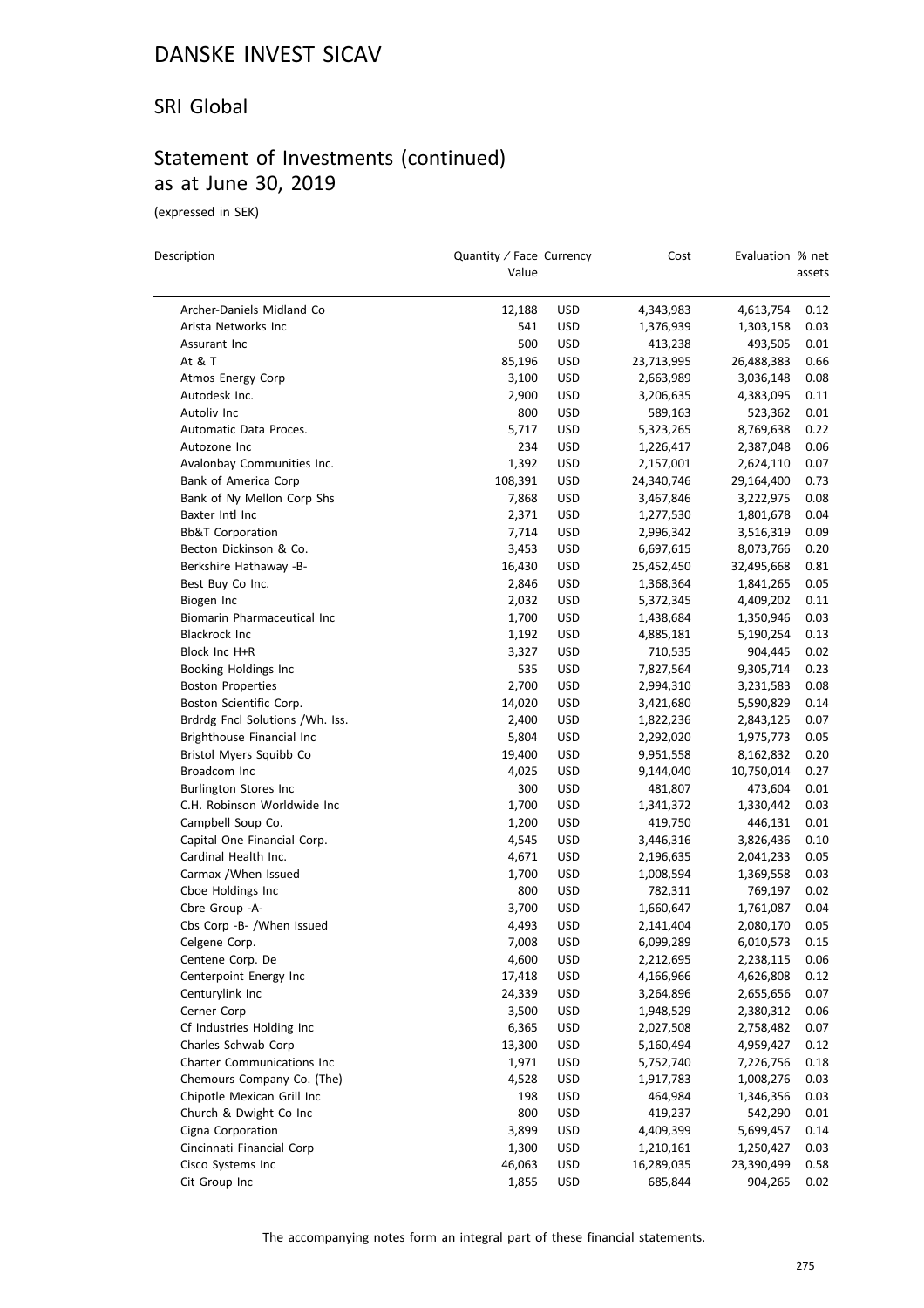#### SRI Global

### Statement of Investments (continued) as at June 30, 2019

(expressed in SEK)

| Description                     | Value   | Quantity / Face Currency |            | Evaluation % net | assets |
|---------------------------------|---------|--------------------------|------------|------------------|--------|
| Archer-Daniels Midland Co       | 12,188  | <b>USD</b>               | 4,343,983  | 4,613,754        | 0.12   |
| Arista Networks Inc             | 541     | <b>USD</b>               | 1,376,939  | 1,303,158        | 0.03   |
| Assurant Inc                    | 500     | <b>USD</b>               | 413,238    | 493,505          | 0.01   |
| At & T                          | 85,196  | <b>USD</b>               | 23,713,995 | 26,488,383       | 0.66   |
| Atmos Energy Corp               | 3,100   | <b>USD</b>               | 2,663,989  | 3,036,148        | 0.08   |
| Autodesk Inc.                   | 2,900   | <b>USD</b>               | 3,206,635  | 4,383,095        | 0.11   |
| Autoliv Inc                     | 800     | <b>USD</b>               | 589,163    | 523,362          | 0.01   |
| Automatic Data Proces.          | 5,717   | <b>USD</b>               | 5,323,265  | 8,769,638        | 0.22   |
| Autozone Inc                    | 234     | <b>USD</b>               | 1,226,417  | 2,387,048        | 0.06   |
| Avalonbay Communities Inc.      | 1,392   | <b>USD</b>               | 2,157,001  | 2,624,110        | 0.07   |
| Bank of America Corp            | 108,391 | <b>USD</b>               | 24,340,746 | 29,164,400       | 0.73   |
| Bank of Ny Mellon Corp Shs      | 7,868   | <b>USD</b>               | 3,467,846  | 3,222,975        | 0.08   |
| Baxter Intl Inc                 | 2,371   | <b>USD</b>               | 1,277,530  | 1,801,678        | 0.04   |
| <b>Bb&amp;T Corporation</b>     | 7,714   | <b>USD</b>               | 2,996,342  | 3,516,319        | 0.09   |
| Becton Dickinson & Co.          | 3,453   | <b>USD</b>               | 6,697,615  | 8,073,766        | 0.20   |
| Berkshire Hathaway -B-          | 16,430  | <b>USD</b>               | 25,452,450 | 32,495,668       | 0.81   |
| Best Buy Co Inc.                | 2,846   | <b>USD</b>               | 1,368,364  | 1,841,265        | 0.05   |
| Biogen Inc                      | 2,032   | <b>USD</b>               | 5,372,345  | 4,409,202        | 0.11   |
| Biomarin Pharmaceutical Inc     | 1,700   | <b>USD</b>               | 1,438,684  | 1,350,946        | 0.03   |
| <b>Blackrock Inc</b>            | 1,192   | <b>USD</b>               | 4,885,181  | 5,190,254        | 0.13   |
| Block Inc H+R                   | 3,327   | <b>USD</b>               | 710,535    | 904,445          | 0.02   |
| Booking Holdings Inc            | 535     | <b>USD</b>               | 7,827,564  | 9,305,714        | 0.23   |
| <b>Boston Properties</b>        | 2,700   | <b>USD</b>               | 2,994,310  | 3,231,583        | 0.08   |
| Boston Scientific Corp.         | 14,020  | <b>USD</b>               | 3,421,680  | 5,590,829        | 0.14   |
| Brdrdg Fncl Solutions /Wh. Iss. | 2,400   | <b>USD</b>               | 1,822,236  | 2,843,125        | 0.07   |
| Brighthouse Financial Inc       | 5,804   | <b>USD</b>               | 2,292,020  | 1,975,773        | 0.05   |
| Bristol Myers Squibb Co         | 19,400  | <b>USD</b>               | 9,951,558  | 8,162,832        | 0.20   |
| Broadcom Inc                    | 4,025   | <b>USD</b>               | 9,144,040  | 10,750,014       | 0.27   |
| Burlington Stores Inc           | 300     | <b>USD</b>               | 481,807    | 473,604          | 0.01   |
| C.H. Robinson Worldwide Inc     | 1,700   | <b>USD</b>               | 1,341,372  | 1,330,442        | 0.03   |
| Campbell Soup Co.               | 1,200   | <b>USD</b>               | 419,750    | 446,131          | 0.01   |
| Capital One Financial Corp.     | 4,545   | <b>USD</b>               | 3,446,316  | 3,826,436        | 0.10   |
| Cardinal Health Inc.            | 4,671   | <b>USD</b>               | 2,196,635  | 2,041,233        | 0.05   |
| Carmax / When Issued            | 1,700   | <b>USD</b>               | 1,008,594  | 1,369,558        | 0.03   |
| Cboe Holdings Inc               | 800     | <b>USD</b>               | 782,311    | 769,197          | 0.02   |
| Cbre Group -A-                  | 3,700   | <b>USD</b>               | 1,660,647  | 1,761,087        | 0.04   |
| Cbs Corp -B- /When Issued       | 4,493   | <b>USD</b>               | 2,141,404  | 2,080,170        | 0.05   |
| Celgene Corp.                   | 7,008   | <b>USD</b>               | 6,099,289  | 6,010,573        | 0.15   |
| Centene Corp. De                | 4,600   | <b>USD</b>               | 2,212,695  | 2,238,115        | 0.06   |
| Centerpoint Energy Inc          | 17,418  | <b>USD</b>               | 4,166,966  | 4,626,808        | 0.12   |
| Centurylink Inc                 | 24,339  | <b>USD</b>               | 3,264,896  | 2,655,656        | 0.07   |
| Cerner Corp                     | 3,500   | <b>USD</b>               | 1,948,529  | 2,380,312        | 0.06   |
| Cf Industries Holding Inc       | 6,365   | <b>USD</b>               | 2,027,508  | 2,758,482        | 0.07   |
| Charles Schwab Corp             | 13,300  | <b>USD</b>               | 5,160,494  | 4,959,427        | 0.12   |
| Charter Communications Inc      | 1,971   | <b>USD</b>               | 5,752,740  | 7,226,756        | 0.18   |
| Chemours Company Co. (The)      | 4,528   | <b>USD</b>               | 1,917,783  | 1,008,276        | 0.03   |
| Chipotle Mexican Grill Inc      | 198     | <b>USD</b>               | 464,984    | 1,346,356        | 0.03   |
| Church & Dwight Co Inc          | 800     | <b>USD</b>               | 419,237    | 542,290          | 0.01   |
| Cigna Corporation               | 3,899   | <b>USD</b>               | 4,409,399  | 5,699,457        | 0.14   |
| Cincinnati Financial Corp       | 1,300   | <b>USD</b>               | 1,210,161  | 1,250,427        | 0.03   |
| Cisco Systems Inc               | 46,063  | <b>USD</b>               | 16,289,035 | 23,390,499       | 0.58   |
| Cit Group Inc                   | 1,855   | <b>USD</b>               | 685,844    | 904,265          | 0.02   |
|                                 |         |                          |            |                  |        |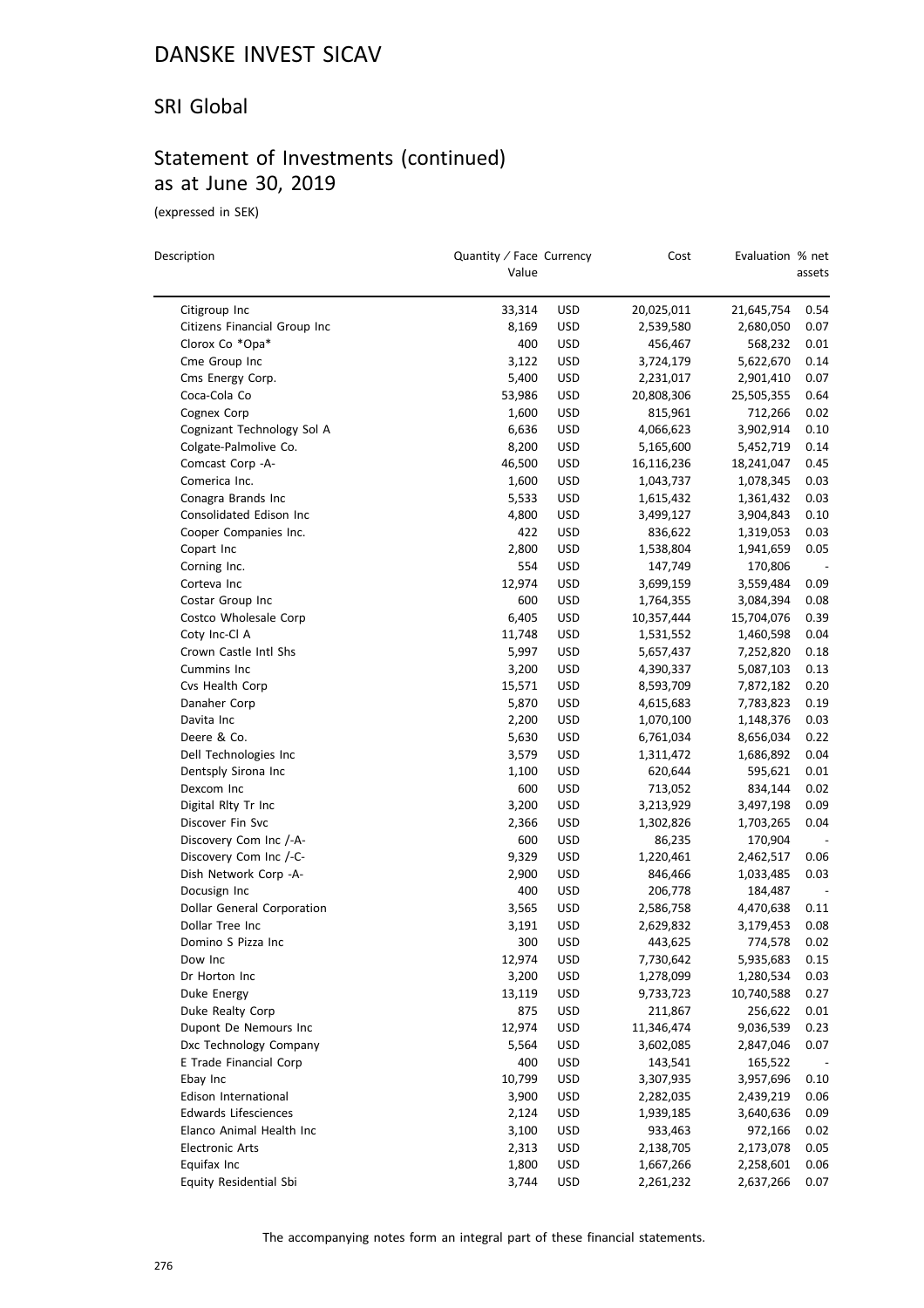#### SRI Global

### Statement of Investments (continued) as at June 30, 2019

(expressed in SEK)

| Description                  | Quantity / Face Currency<br>Value |            | Cost       | Evaluation % net       | assets |
|------------------------------|-----------------------------------|------------|------------|------------------------|--------|
| Citigroup Inc                | 33,314                            | <b>USD</b> | 20,025,011 | 21,645,754             | 0.54   |
| Citizens Financial Group Inc | 8,169                             | <b>USD</b> | 2,539,580  | 2,680,050              | 0.07   |
| Clorox Co *Opa*              | 400                               | <b>USD</b> | 456,467    | 568,232                | 0.01   |
| Cme Group Inc                | 3,122                             | <b>USD</b> | 3,724,179  | 5,622,670              | 0.14   |
| Cms Energy Corp.             | 5,400                             | <b>USD</b> | 2,231,017  | 2,901,410              | 0.07   |
| Coca-Cola Co                 | 53,986                            | <b>USD</b> | 20,808,306 | 25,505,355             | 0.64   |
| Cognex Corp                  | 1,600                             | <b>USD</b> | 815,961    | 712,266                | 0.02   |
| Cognizant Technology Sol A   | 6,636                             | <b>USD</b> | 4,066,623  | 3,902,914              | 0.10   |
| Colgate-Palmolive Co.        | 8,200                             | <b>USD</b> | 5,165,600  | 5,452,719              | 0.14   |
| Comcast Corp - A-            | 46,500                            | <b>USD</b> | 16,116,236 | 18,241,047             | 0.45   |
| Comerica Inc.                | 1,600                             | <b>USD</b> | 1,043,737  | 1,078,345              | 0.03   |
| Conagra Brands Inc           | 5,533                             | <b>USD</b> | 1,615,432  | 1,361,432              | 0.03   |
| Consolidated Edison Inc      | 4,800                             | <b>USD</b> | 3,499,127  | 3,904,843              | 0.10   |
| Cooper Companies Inc.        | 422                               | <b>USD</b> | 836,622    | 1,319,053              | 0.03   |
| Copart Inc                   | 2,800                             | <b>USD</b> | 1,538,804  | 1,941,659              | 0.05   |
| Corning Inc.                 | 554                               | <b>USD</b> | 147,749    | 170,806                |        |
| Corteva Inc                  | 12,974                            | <b>USD</b> | 3,699,159  | 3,559,484              | 0.09   |
| Costar Group Inc             | 600                               | <b>USD</b> | 1,764,355  | 3,084,394              | 0.08   |
| Costco Wholesale Corp        | 6,405                             | <b>USD</b> | 10,357,444 | 15,704,076             | 0.39   |
| Coty Inc-Cl A                | 11,748                            | <b>USD</b> | 1,531,552  | 1,460,598              | 0.04   |
| Crown Castle Intl Shs        | 5,997                             | <b>USD</b> | 5,657,437  | 7,252,820              | 0.18   |
| Cummins Inc                  | 3,200                             | <b>USD</b> | 4,390,337  | 5,087,103              | 0.13   |
| Cvs Health Corp              | 15,571                            | <b>USD</b> | 8,593,709  | 7,872,182              | 0.20   |
| Danaher Corp                 | 5,870                             | <b>USD</b> | 4,615,683  | 7,783,823              | 0.19   |
| Davita Inc                   | 2,200                             | <b>USD</b> | 1,070,100  | 1,148,376              | 0.03   |
| Deere & Co.                  | 5,630                             | <b>USD</b> | 6,761,034  | 8,656,034              | 0.22   |
| Dell Technologies Inc        | 3,579                             | <b>USD</b> | 1,311,472  | 1,686,892              | 0.04   |
| Dentsply Sirona Inc          | 1,100                             | <b>USD</b> | 620,644    | 595,621                | 0.01   |
| Dexcom Inc                   | 600                               | <b>USD</b> | 713,052    | 834,144                | 0.02   |
| Digital Rlty Tr Inc          | 3,200                             | <b>USD</b> | 3,213,929  | 3,497,198              | 0.09   |
| Discover Fin Svc             | 2,366                             | <b>USD</b> | 1,302,826  | 1,703,265              | 0.04   |
| Discovery Com Inc /-A-       | 600                               | <b>USD</b> | 86,235     | 170,904                |        |
| Discovery Com Inc /-C-       | 9,329                             | <b>USD</b> | 1,220,461  | 2,462,517              | 0.06   |
| Dish Network Corp -A-        | 2,900                             | <b>USD</b> | 846,466    | 1,033,485              | 0.03   |
| Docusign Inc                 | 400                               | <b>USD</b> | 206,778    | 184,487                |        |
| Dollar General Corporation   | 3,565                             | <b>USD</b> | 2,586,758  | 4,470,638              | 0.11   |
| Dollar Tree Inc              | 3,191                             | <b>USD</b> | 2,629,832  | 3,179,453              | 0.08   |
| Domino S Pizza Inc           | 300                               | <b>USD</b> | 443,625    | 774,578                | 0.02   |
| Dow Inc                      | 12,974                            | <b>USD</b> | 7,730,642  | 5,935,683              | 0.15   |
| Dr Horton Inc                | 3,200                             | USD        | 1,278,099  | 1,280,534              | 0.03   |
| Duke Energy                  | 13,119                            | <b>USD</b> | 9,733,723  | 10,740,588             | 0.27   |
| Duke Realty Corp             | 875                               | <b>USD</b> | 211,867    | 256,622                | 0.01   |
| Dupont De Nemours Inc        | 12,974                            | <b>USD</b> | 11,346,474 | 9,036,539              | 0.23   |
| Dxc Technology Company       | 5,564                             | <b>USD</b> | 3,602,085  | 2,847,046              | 0.07   |
| E Trade Financial Corp       | 400                               | <b>USD</b> | 143,541    | 165,522                |        |
| Ebay Inc                     | 10,799                            | <b>USD</b> | 3,307,935  | 3,957,696              | 0.10   |
| Edison International         | 3,900                             | <b>USD</b> | 2,282,035  |                        | 0.06   |
| <b>Edwards Lifesciences</b>  | 2,124                             | <b>USD</b> | 1,939,185  | 2,439,219<br>3,640,636 | 0.09   |
| Elanco Animal Health Inc     | 3,100                             | <b>USD</b> | 933,463    | 972,166                | 0.02   |
| <b>Electronic Arts</b>       | 2,313                             | <b>USD</b> | 2,138,705  | 2,173,078              | 0.05   |
| Equifax Inc                  | 1,800                             | <b>USD</b> | 1,667,266  | 2,258,601              | 0.06   |
| Equity Residential Sbi       | 3,744                             | <b>USD</b> | 2,261,232  | 2,637,266              | 0.07   |
|                              |                                   |            |            |                        |        |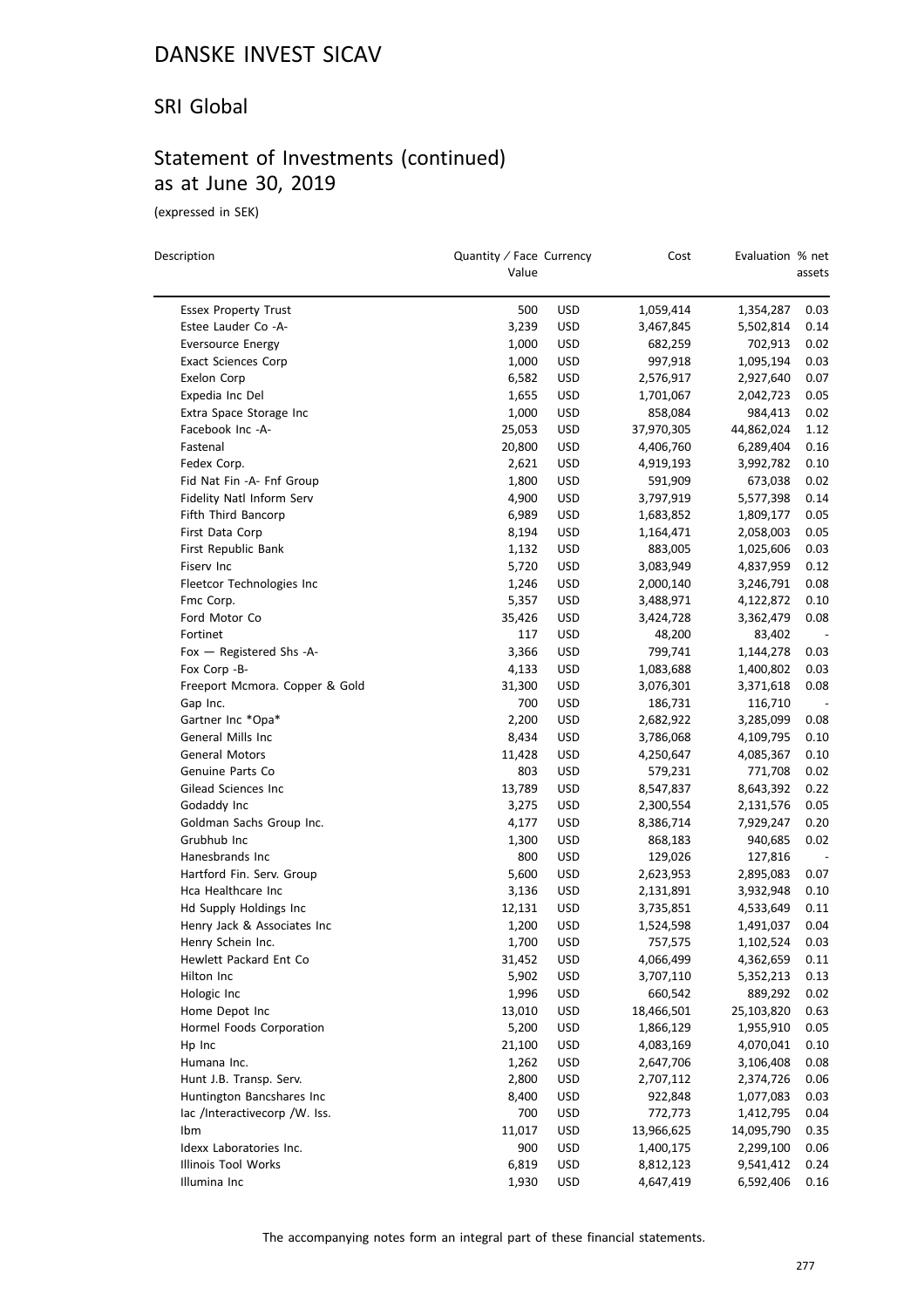#### SRI Global

### Statement of Investments (continued) as at June 30, 2019

(expressed in SEK)

| Description                    | Quantity / Face Currency<br>Value |            | Cost       | Evaluation % net | assets |
|--------------------------------|-----------------------------------|------------|------------|------------------|--------|
| <b>Essex Property Trust</b>    | 500                               | <b>USD</b> | 1,059,414  | 1,354,287        | 0.03   |
| Estee Lauder Co -A-            | 3,239                             | <b>USD</b> | 3,467,845  | 5,502,814        | 0.14   |
| <b>Eversource Energy</b>       | 1,000                             | <b>USD</b> | 682,259    | 702,913          | 0.02   |
| <b>Exact Sciences Corp</b>     | 1,000                             | <b>USD</b> | 997,918    | 1,095,194        | 0.03   |
| Exelon Corp                    | 6,582                             | <b>USD</b> | 2,576,917  | 2,927,640        | 0.07   |
| Expedia Inc Del                | 1,655                             | <b>USD</b> | 1,701,067  | 2,042,723        | 0.05   |
| Extra Space Storage Inc        | 1,000                             | <b>USD</b> | 858,084    | 984,413          | 0.02   |
| Facebook Inc -A-               | 25,053                            | <b>USD</b> | 37,970,305 | 44,862,024       | 1.12   |
| Fastenal                       | 20,800                            | <b>USD</b> | 4,406,760  | 6,289,404        | 0.16   |
| Fedex Corp.                    | 2,621                             | <b>USD</b> | 4,919,193  | 3,992,782        | 0.10   |
| Fid Nat Fin -A- Fnf Group      | 1,800                             | <b>USD</b> | 591,909    | 673,038          | 0.02   |
| Fidelity Natl Inform Serv      | 4,900                             | <b>USD</b> | 3,797,919  | 5,577,398        | 0.14   |
| Fifth Third Bancorp            | 6,989                             | <b>USD</b> | 1,683,852  | 1,809,177        | 0.05   |
| First Data Corp                | 8,194                             | <b>USD</b> | 1,164,471  | 2,058,003        | 0.05   |
| First Republic Bank            | 1,132                             | <b>USD</b> | 883,005    | 1,025,606        | 0.03   |
| Fiserv Inc                     | 5,720                             | <b>USD</b> | 3,083,949  | 4,837,959        | 0.12   |
| Fleetcor Technologies Inc      | 1,246                             | <b>USD</b> | 2,000,140  | 3,246,791        | 0.08   |
| Fmc Corp.                      | 5,357                             | <b>USD</b> | 3,488,971  | 4,122,872        | 0.10   |
| Ford Motor Co                  | 35,426                            | <b>USD</b> | 3,424,728  | 3,362,479        | 0.08   |
| Fortinet                       | 117                               | <b>USD</b> | 48,200     | 83,402           |        |
| Fox - Registered Shs -A-       | 3,366                             | <b>USD</b> | 799,741    | 1,144,278        | 0.03   |
| Fox Corp -B-                   | 4,133                             | <b>USD</b> | 1,083,688  | 1,400,802        | 0.03   |
| Freeport Mcmora. Copper & Gold | 31,300                            | <b>USD</b> | 3,076,301  | 3,371,618        | 0.08   |
| Gap Inc.                       | 700                               | <b>USD</b> | 186,731    | 116,710          |        |
| Gartner Inc *Opa*              | 2,200                             | <b>USD</b> | 2,682,922  | 3,285,099        | 0.08   |
| General Mills Inc              | 8,434                             | <b>USD</b> | 3,786,068  | 4,109,795        | 0.10   |
| General Motors                 | 11,428                            | <b>USD</b> | 4,250,647  | 4,085,367        | 0.10   |
| Genuine Parts Co               | 803                               | <b>USD</b> | 579,231    | 771,708          | 0.02   |
| Gilead Sciences Inc            | 13,789                            | <b>USD</b> | 8,547,837  | 8,643,392        | 0.22   |
| Godaddy Inc                    | 3,275                             | <b>USD</b> | 2,300,554  | 2,131,576        | 0.05   |
| Goldman Sachs Group Inc.       | 4,177                             | <b>USD</b> | 8,386,714  | 7,929,247        | 0.20   |
| Grubhub Inc                    | 1,300                             | <b>USD</b> | 868,183    | 940,685          | 0.02   |
| Hanesbrands Inc                | 800                               | <b>USD</b> | 129,026    | 127,816          |        |
| Hartford Fin. Serv. Group      | 5,600                             | <b>USD</b> | 2,623,953  | 2,895,083        | 0.07   |
| Hca Healthcare Inc             | 3,136                             | <b>USD</b> | 2,131,891  | 3,932,948        | 0.10   |
| Hd Supply Holdings Inc         | 12,131                            | <b>USD</b> | 3,735,851  | 4,533,649        | 0.11   |
| Henry Jack & Associates Inc    | 1,200                             | <b>USD</b> | 1,524,598  | 1,491,037        | 0.04   |
| Henry Schein Inc.              | 1,700                             | <b>USD</b> | 757,575    | 1,102,524        | 0.03   |
| Hewlett Packard Ent Co         | 31,452                            | <b>USD</b> | 4,066,499  | 4,362,659        | 0.11   |
| Hilton Inc                     | 5,902                             | <b>USD</b> | 3,707,110  | 5,352,213        | 0.13   |
| Hologic Inc                    | 1,996                             | <b>USD</b> | 660,542    | 889,292          | 0.02   |
| Home Depot Inc                 | 13,010                            | USD        | 18,466,501 | 25,103,820       | 0.63   |
| Hormel Foods Corporation       | 5,200                             | <b>USD</b> | 1,866,129  | 1,955,910        | 0.05   |
| Hp Inc                         | 21,100                            | <b>USD</b> | 4,083,169  | 4,070,041        | 0.10   |
| Humana Inc.                    | 1,262                             | <b>USD</b> | 2,647,706  | 3,106,408        | 0.08   |
| Hunt J.B. Transp. Serv.        | 2,800                             | <b>USD</b> | 2,707,112  | 2,374,726        | 0.06   |
| Huntington Bancshares Inc      | 8,400                             | USD        | 922,848    | 1,077,083        | 0.03   |
| lac /Interactivecorp /W. Iss.  | 700                               | <b>USD</b> | 772,773    | 1,412,795        | 0.04   |
| Ibm                            | 11,017                            | <b>USD</b> | 13,966,625 | 14,095,790       | 0.35   |
| Idexx Laboratories Inc.        | 900                               | USD        | 1,400,175  | 2,299,100        | 0.06   |
| Illinois Tool Works            | 6,819                             | <b>USD</b> | 8,812,123  | 9,541,412        | 0.24   |
| Illumina Inc                   | 1,930                             | <b>USD</b> | 4,647,419  | 6,592,406        | 0.16   |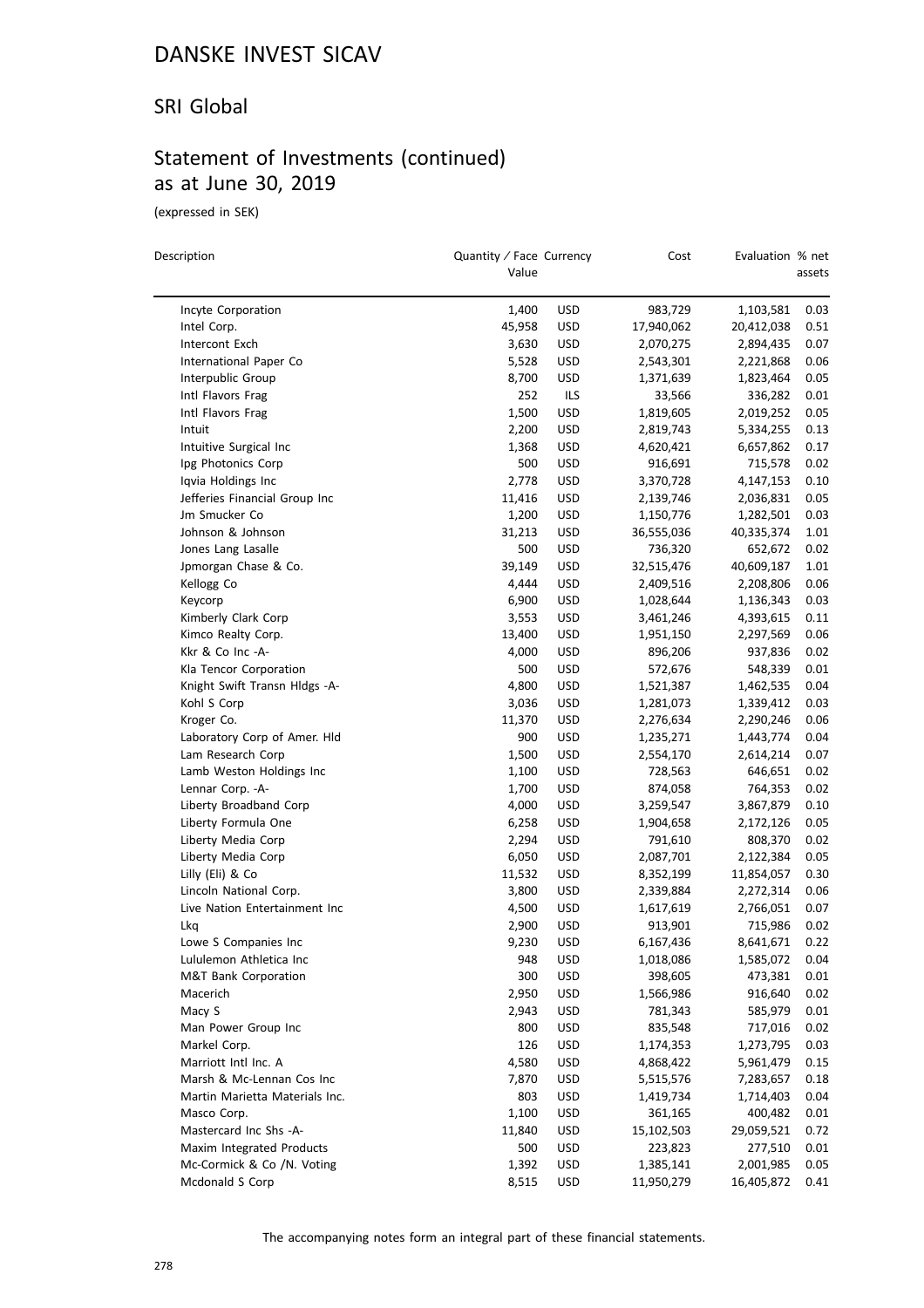#### SRI Global

### Statement of Investments (continued) as at June 30, 2019

(expressed in SEK)

 $\equiv$ 

| Description                               | Quantity / Face Currency<br>Value |                   | Cost       | Evaluation % net | assets       |
|-------------------------------------------|-----------------------------------|-------------------|------------|------------------|--------------|
| Incyte Corporation                        | 1,400                             | <b>USD</b>        | 983,729    | 1,103,581        | 0.03         |
| Intel Corp.                               | 45,958                            | <b>USD</b>        | 17,940,062 | 20,412,038       | 0.51         |
| Intercont Exch                            | 3,630                             | USD               | 2,070,275  | 2,894,435        | 0.07         |
| International Paper Co                    | 5,528                             | <b>USD</b>        | 2,543,301  | 2,221,868        | 0.06         |
| Interpublic Group                         | 8,700                             | USD               | 1,371,639  | 1,823,464        | 0.05         |
| Intl Flavors Frag                         | 252                               | ILS               | 33,566     | 336,282          | 0.01         |
| Intl Flavors Frag                         | 1,500                             | <b>USD</b>        | 1,819,605  | 2,019,252        | 0.05         |
| Intuit                                    | 2,200                             | USD               | 2,819,743  | 5,334,255        | 0.13         |
| Intuitive Surgical Inc                    | 1,368                             | USD               | 4,620,421  | 6,657,862        | 0.17         |
| Ipg Photonics Corp                        | 500                               | <b>USD</b>        | 916,691    | 715,578          | 0.02         |
| Iqvia Holdings Inc                        | 2,778                             | <b>USD</b>        | 3,370,728  | 4,147,153        | 0.10         |
| Jefferies Financial Group Inc             | 11,416                            | <b>USD</b>        | 2,139,746  | 2,036,831        | 0.05         |
| Jm Smucker Co                             | 1,200                             | <b>USD</b>        | 1,150,776  | 1,282,501        | 0.03         |
| Johnson & Johnson                         | 31,213                            | <b>USD</b>        | 36,555,036 | 40,335,374       | 1.01         |
| Jones Lang Lasalle                        | 500                               | <b>USD</b>        | 736,320    | 652,672          | 0.02         |
| Jpmorgan Chase & Co.                      | 39,149                            | <b>USD</b>        | 32,515,476 | 40,609,187       | 1.01         |
| Kellogg Co                                | 4,444                             | USD               | 2,409,516  | 2,208,806        | 0.06         |
| Keycorp                                   | 6,900                             | USD               | 1,028,644  |                  | 0.03         |
|                                           |                                   |                   |            | 1,136,343        |              |
| Kimberly Clark Corp<br>Kimco Realty Corp. | 3,553<br>13,400                   | <b>USD</b><br>USD | 3,461,246  | 4,393,615        | 0.11<br>0.06 |
| Kkr & Co Inc -A-                          | 4,000                             | USD               | 1,951,150  | 2,297,569        | 0.02         |
|                                           | 500                               | <b>USD</b>        | 896,206    | 937,836          | 0.01         |
| Kla Tencor Corporation                    |                                   |                   | 572,676    | 548,339          |              |
| Knight Swift Transn Hldgs -A-             | 4,800                             | <b>USD</b>        | 1,521,387  | 1,462,535        | 0.04         |
| Kohl S Corp                               | 3,036                             | <b>USD</b>        | 1,281,073  | 1,339,412        | 0.03         |
| Kroger Co.                                | 11,370                            | <b>USD</b>        | 2,276,634  | 2,290,246        | 0.06         |
| Laboratory Corp of Amer. Hld              | 900                               | <b>USD</b>        | 1,235,271  | 1,443,774        | 0.04         |
| Lam Research Corp                         | 1,500                             | <b>USD</b>        | 2,554,170  | 2,614,214        | 0.07         |
| Lamb Weston Holdings Inc                  | 1,100                             | <b>USD</b>        | 728,563    | 646,651          | 0.02         |
| Lennar Corp. - A-                         | 1,700                             | <b>USD</b>        | 874,058    | 764,353          | 0.02         |
| Liberty Broadband Corp                    | 4,000                             | <b>USD</b>        | 3,259,547  | 3,867,879        | 0.10         |
| Liberty Formula One                       | 6,258                             | <b>USD</b>        | 1,904,658  | 2,172,126        | 0.05         |
| Liberty Media Corp                        | 2,294                             | <b>USD</b>        | 791,610    | 808,370          | 0.02         |
| Liberty Media Corp                        | 6,050                             | USD               | 2,087,701  | 2,122,384        | 0.05         |
| Lilly (Eli) & Co                          | 11,532                            | USD               | 8,352,199  | 11,854,057       | 0.30         |
| Lincoln National Corp.                    | 3,800                             | <b>USD</b>        | 2,339,884  | 2,272,314        | 0.06         |
| Live Nation Entertainment Inc             | 4,500                             | <b>USD</b>        | 1,617,619  | 2,766,051        | 0.07         |
| Lkq                                       | 2,900                             | <b>USD</b>        | 913,901    | 715,986          | 0.02         |
| Lowe S Companies Inc                      | 9,230                             | <b>USD</b>        | 6,167,436  | 8,641,671        | 0.22         |
| Lululemon Athletica Inc                   | 948                               | USD               | 1,018,086  | 1,585,072        | 0.04         |
| <b>M&amp;T Bank Corporation</b>           | 300                               | <b>USD</b>        | 398,605    | 473,381          | 0.01         |
| Macerich                                  | 2,950                             | <b>USD</b>        | 1,566,986  | 916,640          | 0.02         |
| Macy S                                    | 2,943                             | <b>USD</b>        | 781,343    | 585,979          | 0.01         |
| Man Power Group Inc                       | 800                               | <b>USD</b>        | 835,548    | 717,016          | 0.02         |
| Markel Corp.                              | 126                               | USD               | 1,174,353  | 1,273,795        | 0.03         |
| Marriott Intl Inc. A                      | 4,580                             | <b>USD</b>        | 4,868,422  | 5,961,479        | 0.15         |
| Marsh & Mc-Lennan Cos Inc                 | 7,870                             | <b>USD</b>        | 5,515,576  | 7,283,657        | 0.18         |
| Martin Marietta Materials Inc.            | 803                               | <b>USD</b>        | 1,419,734  | 1,714,403        | 0.04         |
| Masco Corp.                               | 1,100                             | <b>USD</b>        | 361,165    | 400,482          | 0.01         |
| Mastercard Inc Shs -A-                    | 11,840                            | <b>USD</b>        | 15,102,503 | 29,059,521       | 0.72         |
| Maxim Integrated Products                 | 500                               | <b>USD</b>        | 223,823    | 277,510          | 0.01         |
| Mc-Cormick & Co /N. Voting                | 1,392                             | <b>USD</b>        | 1,385,141  | 2,001,985        | 0.05         |
| Mcdonald S Corp                           | 8,515                             | USD               | 11,950,279 | 16,405,872       | 0.41         |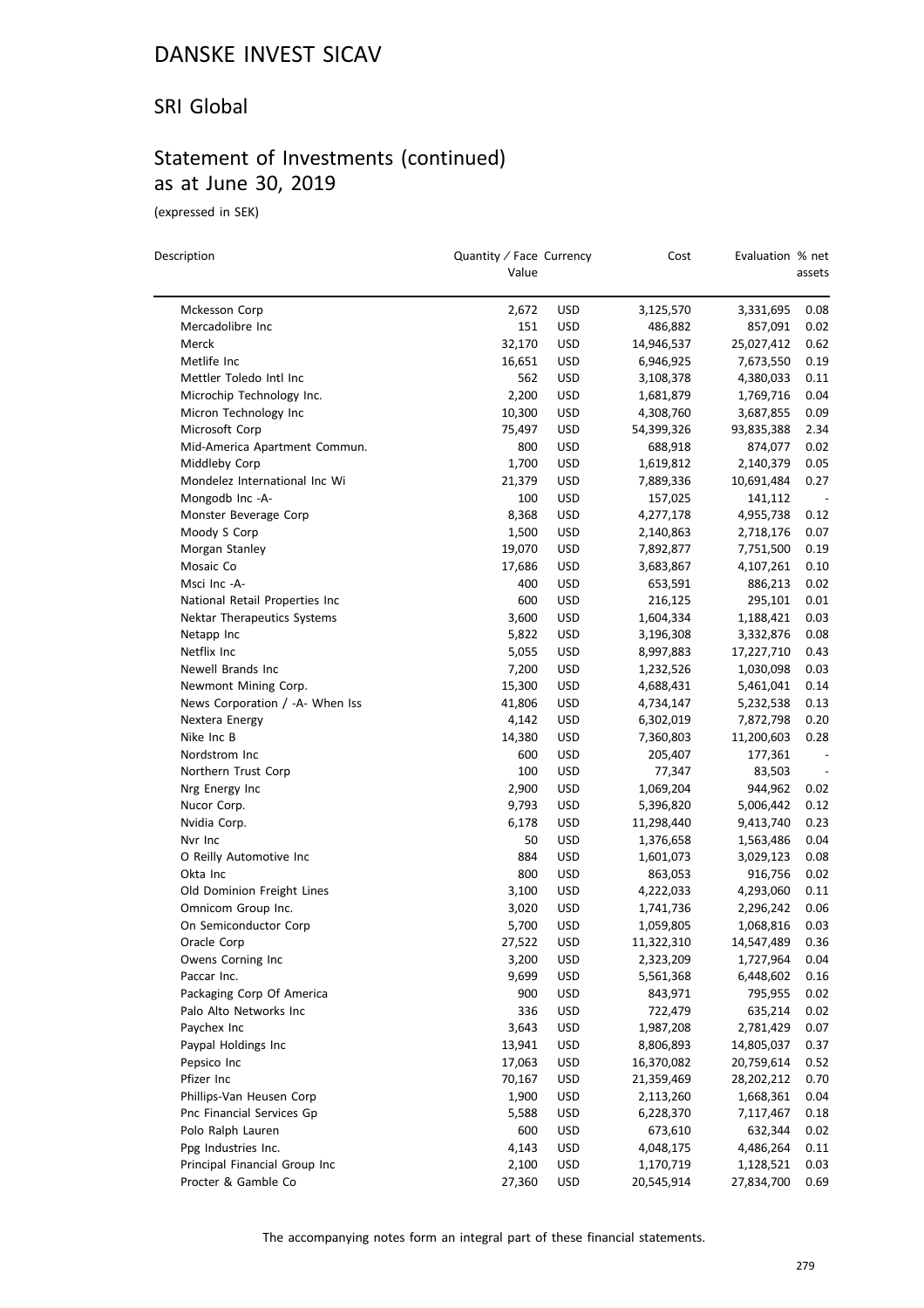#### SRI Global

### Statement of Investments (continued) as at June 30, 2019

(expressed in SEK)

 $\overline{\phantom{a}}$ 

| Description                     | Quantity / Face Currency<br>Value |            | Cost       | Evaluation % net | assets |
|---------------------------------|-----------------------------------|------------|------------|------------------|--------|
| Mckesson Corp                   | 2,672                             | <b>USD</b> | 3,125,570  | 3,331,695        | 0.08   |
| Mercadolibre Inc                | 151                               | USD        | 486,882    | 857,091          | 0.02   |
| Merck                           | 32,170                            | USD        | 14,946,537 | 25,027,412       | 0.62   |
| Metlife Inc                     | 16,651                            | USD        | 6,946,925  | 7,673,550        | 0.19   |
| Mettler Toledo Intl Inc         | 562                               | <b>USD</b> | 3,108,378  | 4,380,033        | 0.11   |
| Microchip Technology Inc.       | 2,200                             | <b>USD</b> | 1,681,879  | 1,769,716        | 0.04   |
| Micron Technology Inc           | 10,300                            | <b>USD</b> | 4,308,760  | 3,687,855        | 0.09   |
| Microsoft Corp                  | 75,497                            | USD        | 54,399,326 | 93,835,388       | 2.34   |
| Mid-America Apartment Commun.   | 800                               | <b>USD</b> | 688,918    | 874,077          | 0.02   |
| Middleby Corp                   | 1,700                             | USD        | 1,619,812  | 2,140,379        | 0.05   |
| Mondelez International Inc Wi   | 21,379                            | <b>USD</b> | 7,889,336  | 10,691,484       | 0.27   |
| Mongodb Inc -A-                 | 100                               | USD        | 157,025    | 141,112          |        |
| Monster Beverage Corp           | 8,368                             | <b>USD</b> | 4,277,178  | 4,955,738        | 0.12   |
| Moody S Corp                    | 1,500                             | <b>USD</b> | 2,140,863  | 2,718,176        | 0.07   |
| Morgan Stanley                  | 19,070                            | <b>USD</b> | 7,892,877  | 7,751,500        | 0.19   |
| Mosaic Co                       | 17,686                            | USD        | 3,683,867  | 4,107,261        | 0.10   |
| Msci Inc -A-                    | 400                               | USD        | 653,591    | 886,213          | 0.02   |
| National Retail Properties Inc  | 600                               | <b>USD</b> | 216,125    | 295,101          | 0.01   |
| Nektar Therapeutics Systems     | 3,600                             | <b>USD</b> | 1,604,334  | 1,188,421        | 0.03   |
| Netapp Inc                      | 5,822                             | USD        | 3,196,308  | 3,332,876        | 0.08   |
| Netflix Inc                     | 5,055                             | USD        | 8,997,883  | 17,227,710       | 0.43   |
| Newell Brands Inc               | 7,200                             | USD        | 1,232,526  | 1,030,098        | 0.03   |
| Newmont Mining Corp.            | 15,300                            | <b>USD</b> | 4,688,431  | 5,461,041        | 0.14   |
| News Corporation / -A- When Iss | 41,806                            | <b>USD</b> | 4,734,147  | 5,232,538        | 0.13   |
| Nextera Energy                  | 4,142                             | USD        | 6,302,019  | 7,872,798        | 0.20   |
| Nike Inc B                      | 14,380                            | USD        | 7,360,803  | 11,200,603       | 0.28   |
| Nordstrom Inc                   | 600                               | USD        | 205,407    | 177,361          |        |
| Northern Trust Corp             | 100                               | <b>USD</b> | 77,347     | 83,503           |        |
| Nrg Energy Inc                  | 2,900                             | <b>USD</b> | 1,069,204  | 944,962          | 0.02   |
| Nucor Corp.                     | 9,793                             | <b>USD</b> | 5,396,820  | 5,006,442        | 0.12   |
| Nvidia Corp.                    | 6,178                             | USD        | 11,298,440 | 9,413,740        | 0.23   |
| Nvr Inc                         | 50                                | USD        | 1,376,658  | 1,563,486        | 0.04   |
| O Reilly Automotive Inc         | 884                               | <b>USD</b> | 1,601,073  | 3,029,123        | 0.08   |
| Okta Inc                        | 800                               | USD        | 863,053    | 916,756          | 0.02   |
| Old Dominion Freight Lines      | 3,100                             | <b>USD</b> | 4,222,033  | 4,293,060        | 0.11   |
| Omnicom Group Inc.              | 3,020                             | <b>USD</b> | 1,741,736  | 2,296,242        | 0.06   |
| On Semiconductor Corp           | 5,700                             | <b>USD</b> | 1,059,805  | 1,068,816        | 0.03   |
| Oracle Corp                     | 27,522                            | <b>USD</b> | 11,322,310 | 14,547,489       | 0.36   |
| Owens Corning Inc               | 3,200                             | <b>USD</b> | 2,323,209  | 1,727,964        | 0.04   |
| Paccar Inc.                     | 9,699                             | USD        | 5,561,368  | 6,448,602        | 0.16   |
| Packaging Corp Of America       | 900                               | USD        | 843,971    | 795,955          | 0.02   |
| Palo Alto Networks Inc          | 336                               | <b>USD</b> | 722,479    | 635,214          | 0.02   |
| Paychex Inc                     | 3,643                             | <b>USD</b> | 1,987,208  | 2,781,429        | 0.07   |
| Paypal Holdings Inc             | 13,941                            | <b>USD</b> | 8,806,893  | 14,805,037       | 0.37   |
| Pepsico Inc                     | 17,063                            | <b>USD</b> | 16,370,082 | 20,759,614       | 0.52   |
| Pfizer Inc                      | 70,167                            | USD        | 21,359,469 | 28,202,212       | 0.70   |
| Phillips-Van Heusen Corp        | 1,900                             | <b>USD</b> | 2,113,260  | 1,668,361        | 0.04   |
| Pnc Financial Services Gp       | 5,588                             | <b>USD</b> | 6,228,370  | 7,117,467        | 0.18   |
| Polo Ralph Lauren               | 600                               | <b>USD</b> | 673,610    | 632,344          | 0.02   |
| Ppg Industries Inc.             | 4,143                             | <b>USD</b> | 4,048,175  | 4,486,264        | 0.11   |
| Principal Financial Group Inc   | 2,100                             | <b>USD</b> | 1,170,719  | 1,128,521        | 0.03   |
| Procter & Gamble Co             | 27,360                            | <b>USD</b> | 20,545,914 | 27,834,700       | 0.69   |
|                                 |                                   |            |            |                  |        |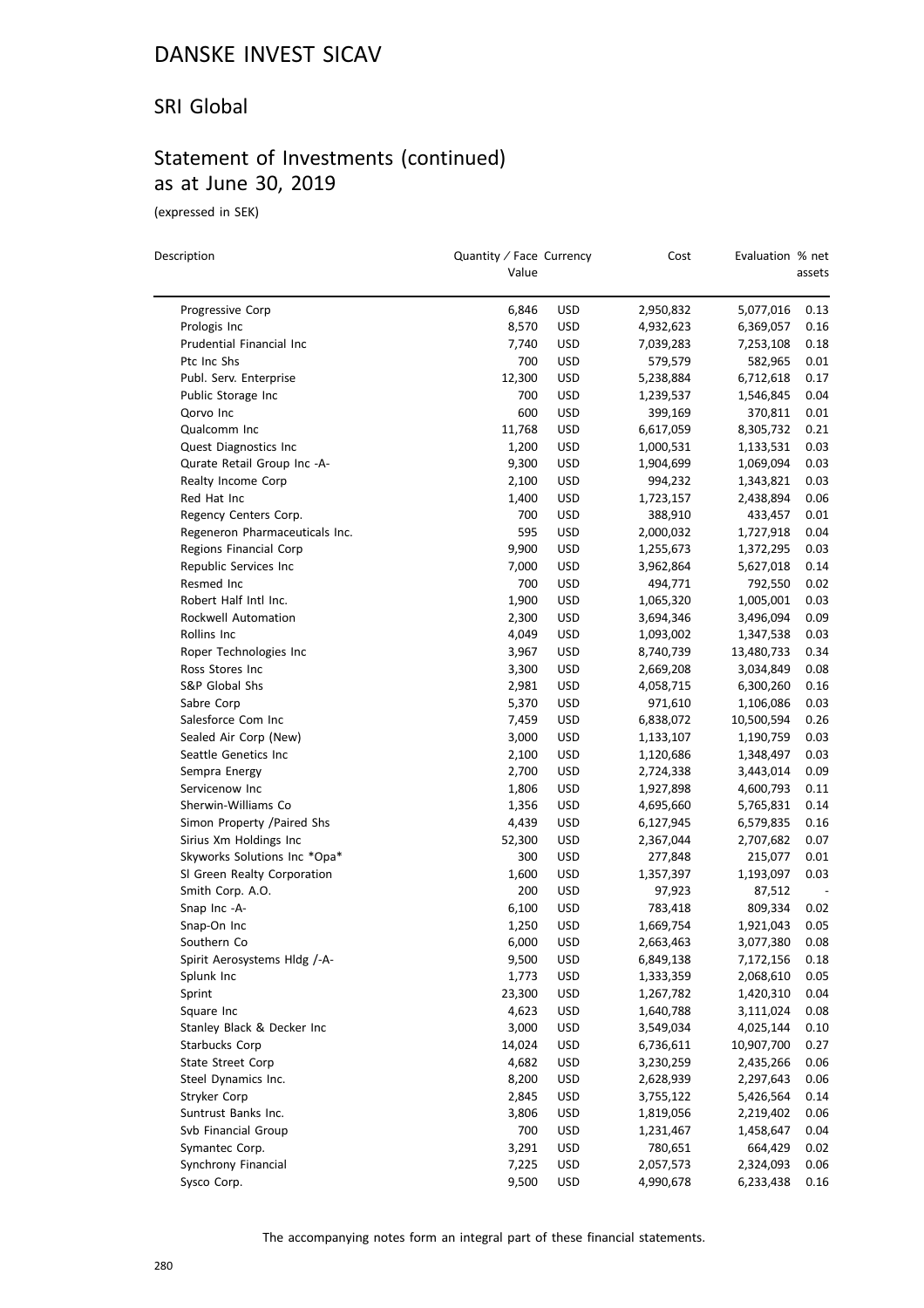#### SRI Global

### Statement of Investments (continued) as at June 30, 2019

(expressed in SEK)

| Description                           | Quantity / Face Currency<br>Value |                          | Cost                   | Evaluation % net | assets       |
|---------------------------------------|-----------------------------------|--------------------------|------------------------|------------------|--------------|
| Progressive Corp                      | 6,846                             | <b>USD</b>               | 2,950,832              | 5,077,016        | 0.13         |
| Prologis Inc                          | 8,570                             | <b>USD</b>               | 4,932,623              | 6,369,057        | 0.16         |
| Prudential Financial Inc              | 7,740                             | <b>USD</b>               | 7,039,283              | 7,253,108        | 0.18         |
| Ptc Inc Shs                           | 700                               | <b>USD</b>               | 579,579                | 582,965          | 0.01         |
| Publ. Serv. Enterprise                | 12,300                            | <b>USD</b>               | 5,238,884              | 6,712,618        | 0.17         |
| Public Storage Inc                    | 700                               | <b>USD</b>               | 1,239,537              | 1,546,845        | 0.04         |
| Qorvo Inc                             | 600                               | <b>USD</b>               | 399,169                | 370,811          | 0.01         |
| Qualcomm Inc                          | 11,768                            | <b>USD</b>               | 6,617,059              | 8,305,732        | 0.21         |
| Quest Diagnostics Inc                 | 1,200                             | <b>USD</b>               | 1,000,531              | 1,133,531        | 0.03         |
| Qurate Retail Group Inc -A-           | 9,300                             | <b>USD</b>               | 1,904,699              | 1,069,094        | 0.03         |
| Realty Income Corp                    | 2,100                             | <b>USD</b>               | 994,232                | 1,343,821        | 0.03         |
| Red Hat Inc                           | 1,400                             | <b>USD</b>               | 1,723,157              | 2,438,894        | 0.06         |
| Regency Centers Corp.                 | 700                               | <b>USD</b>               | 388,910                | 433,457          | 0.01         |
| Regeneron Pharmaceuticals Inc.        | 595                               | <b>USD</b>               | 2,000,032              | 1,727,918        | 0.04         |
| Regions Financial Corp                | 9,900                             | <b>USD</b>               | 1,255,673              | 1,372,295        | 0.03         |
| Republic Services Inc                 | 7,000                             | <b>USD</b>               | 3,962,864              | 5,627,018        | 0.14         |
| Resmed Inc                            | 700                               | <b>USD</b>               | 494,771                | 792,550          | 0.02         |
| Robert Half Intl Inc.                 | 1,900                             | <b>USD</b>               | 1,065,320              | 1,005,001        | 0.03         |
| Rockwell Automation                   |                                   |                          |                        |                  | 0.09         |
|                                       | 2,300                             | <b>USD</b>               | 3,694,346              | 3,496,094        |              |
| Rollins Inc<br>Roper Technologies Inc | 4,049<br>3,967                    | <b>USD</b><br><b>USD</b> | 1,093,002<br>8,740,739 | 1,347,538        | 0.03<br>0.34 |
| Ross Stores Inc                       |                                   |                          |                        | 13,480,733       |              |
|                                       | 3,300                             | <b>USD</b>               | 2,669,208              | 3,034,849        | 0.08         |
| S&P Global Shs                        | 2,981                             | <b>USD</b>               | 4,058,715              | 6,300,260        | 0.16         |
| Sabre Corp                            | 5,370                             | <b>USD</b>               | 971,610                | 1,106,086        | 0.03         |
| Salesforce Com Inc                    | 7,459                             | <b>USD</b>               | 6,838,072              | 10,500,594       | 0.26         |
| Sealed Air Corp (New)                 | 3,000                             | <b>USD</b>               | 1,133,107              | 1,190,759        | 0.03         |
| Seattle Genetics Inc                  | 2,100                             | <b>USD</b>               | 1,120,686              | 1,348,497        | 0.03         |
| Sempra Energy                         | 2,700                             | <b>USD</b>               | 2,724,338              | 3,443,014        | 0.09         |
| Servicenow Inc                        | 1,806                             | <b>USD</b>               | 1,927,898              | 4,600,793        | 0.11         |
| Sherwin-Williams Co                   | 1,356                             | <b>USD</b>               | 4,695,660              | 5,765,831        | 0.14         |
| Simon Property /Paired Shs            | 4,439                             | <b>USD</b>               | 6,127,945              | 6,579,835        | 0.16         |
| Sirius Xm Holdings Inc                | 52,300                            | <b>USD</b>               | 2,367,044              | 2,707,682        | 0.07         |
| Skyworks Solutions Inc *Opa*          | 300                               | <b>USD</b>               | 277,848                | 215,077          | 0.01         |
| SI Green Realty Corporation           | 1,600                             | <b>USD</b>               | 1,357,397              | 1,193,097        | 0.03         |
| Smith Corp. A.O.                      | 200                               | <b>USD</b>               | 97,923                 | 87,512           |              |
| Snap Inc -A-                          | 6,100                             | <b>USD</b>               | 783,418                | 809,334          | 0.02         |
| Snap-On Inc                           | 1,250                             | <b>USD</b>               | 1,669,754              | 1,921,043        | 0.05         |
| Southern Co                           | 6.000                             | <b>USD</b>               | 2,663,463              | 3,077,380        | 0.08         |
| Spirit Aerosystems Hldg /-A-          | 9,500                             | <b>USD</b>               | 6,849,138              | 7,172,156        | 0.18         |
| Splunk Inc                            | 1,773                             | <b>USD</b>               | 1,333,359              | 2,068,610        | 0.05         |
| Sprint                                | 23,300                            | <b>USD</b>               | 1,267,782              | 1,420,310        | 0.04         |
| Square Inc                            | 4,623                             | <b>USD</b>               | 1,640,788              | 3,111,024        | 0.08         |
| Stanley Black & Decker Inc            | 3,000                             | <b>USD</b>               | 3,549,034              | 4,025,144        | 0.10         |
| Starbucks Corp                        | 14,024                            | <b>USD</b>               | 6,736,611              | 10,907,700       | 0.27         |
| State Street Corp                     | 4,682                             | <b>USD</b>               | 3,230,259              | 2,435,266        | 0.06         |
| Steel Dynamics Inc.                   | 8,200                             | <b>USD</b>               | 2,628,939              | 2,297,643        | 0.06         |
| Stryker Corp                          | 2,845                             | <b>USD</b>               | 3,755,122              | 5,426,564        | 0.14         |
| Suntrust Banks Inc.                   | 3,806                             | <b>USD</b>               | 1,819,056              | 2,219,402        | 0.06         |
| Svb Financial Group                   | 700                               | USD                      | 1,231,467              | 1,458,647        | 0.04         |
| Symantec Corp.                        | 3,291                             | <b>USD</b>               | 780,651                | 664,429          | 0.02         |
| Synchrony Financial                   | 7,225                             | <b>USD</b>               | 2,057,573              | 2,324,093        | 0.06         |
| Sysco Corp.                           | 9,500                             | <b>USD</b>               | 4,990,678              | 6,233,438        | 0.16         |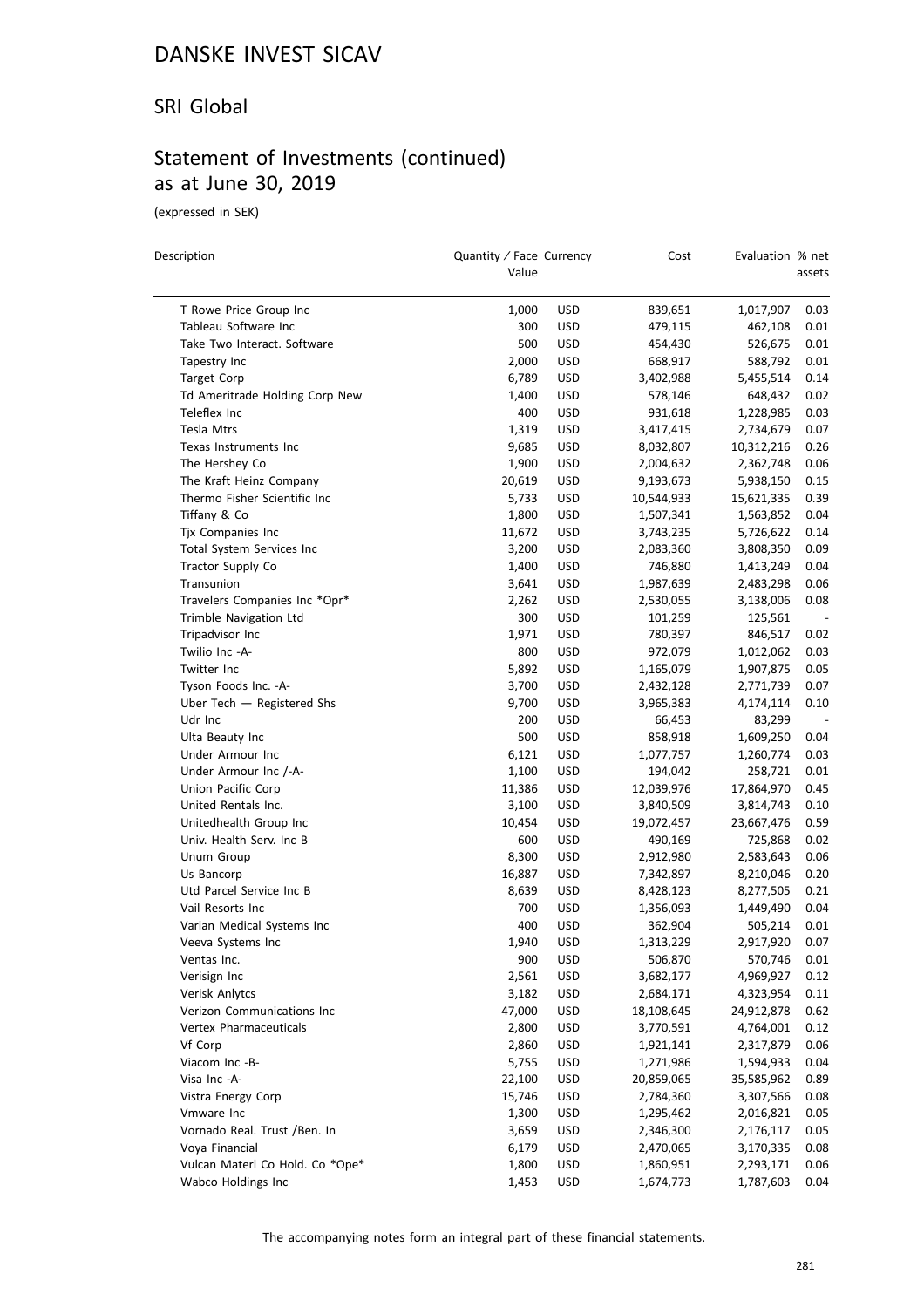#### SRI Global

### Statement of Investments (continued) as at June 30, 2019

(expressed in SEK)

| Description                     | Quantity / Face Currency<br>Value |            | Cost       | Evaluation % net | assets |
|---------------------------------|-----------------------------------|------------|------------|------------------|--------|
| T Rowe Price Group Inc          | 1,000                             | <b>USD</b> | 839,651    | 1,017,907        | 0.03   |
| Tableau Software Inc            | 300                               | <b>USD</b> | 479,115    | 462,108          | 0.01   |
| Take Two Interact. Software     | 500                               | <b>USD</b> | 454,430    | 526,675          | 0.01   |
| Tapestry Inc                    | 2,000                             | <b>USD</b> | 668,917    | 588,792          | 0.01   |
| <b>Target Corp</b>              | 6,789                             | <b>USD</b> | 3,402,988  | 5,455,514        | 0.14   |
| Td Ameritrade Holding Corp New  | 1,400                             | <b>USD</b> | 578,146    | 648,432          | 0.02   |
| Teleflex Inc                    | 400                               | <b>USD</b> | 931,618    | 1,228,985        | 0.03   |
| Tesla Mtrs                      | 1,319                             | <b>USD</b> | 3,417,415  | 2,734,679        | 0.07   |
| Texas Instruments Inc           | 9,685                             | <b>USD</b> | 8,032,807  | 10,312,216       | 0.26   |
| The Hershey Co                  | 1,900                             | <b>USD</b> | 2,004,632  | 2,362,748        | 0.06   |
| The Kraft Heinz Company         | 20,619                            | <b>USD</b> | 9,193,673  | 5,938,150        | 0.15   |
| Thermo Fisher Scientific Inc    | 5,733                             | <b>USD</b> | 10,544,933 | 15,621,335       | 0.39   |
| Tiffany & Co                    | 1,800                             | <b>USD</b> | 1,507,341  | 1,563,852        | 0.04   |
| Tjx Companies Inc               | 11,672                            | <b>USD</b> | 3,743,235  | 5,726,622        | 0.14   |
| Total System Services Inc       | 3,200                             | <b>USD</b> | 2,083,360  | 3,808,350        | 0.09   |
| Tractor Supply Co               | 1,400                             | <b>USD</b> | 746,880    | 1,413,249        | 0.04   |
| Transunion                      | 3,641                             | <b>USD</b> | 1,987,639  | 2,483,298        | 0.06   |
| Travelers Companies Inc *Opr*   | 2,262                             | <b>USD</b> | 2,530,055  | 3,138,006        | 0.08   |
| Trimble Navigation Ltd          | 300                               | <b>USD</b> | 101,259    | 125,561          |        |
| Tripadvisor Inc                 | 1,971                             | <b>USD</b> | 780,397    | 846,517          | 0.02   |
| Twilio Inc -A-                  | 800                               | <b>USD</b> | 972,079    | 1,012,062        | 0.03   |
| <b>Twitter Inc</b>              | 5,892                             | <b>USD</b> | 1,165,079  | 1,907,875        | 0.05   |
| Tyson Foods Inc. - A-           | 3,700                             | <b>USD</b> | 2,432,128  | 2,771,739        | 0.07   |
| Uber Tech - Registered Shs      | 9,700                             | <b>USD</b> | 3,965,383  | 4,174,114        | 0.10   |
| Udr Inc                         | 200                               | <b>USD</b> | 66,453     | 83,299           |        |
| Ulta Beauty Inc                 | 500                               | <b>USD</b> | 858,918    | 1,609,250        | 0.04   |
| Under Armour Inc                | 6,121                             | <b>USD</b> | 1,077,757  | 1,260,774        | 0.03   |
| Under Armour Inc /-A-           | 1,100                             | <b>USD</b> | 194,042    | 258,721          | 0.01   |
| Union Pacific Corp              | 11,386                            | <b>USD</b> | 12,039,976 | 17,864,970       | 0.45   |
| United Rentals Inc.             | 3,100                             | <b>USD</b> | 3,840,509  | 3,814,743        | 0.10   |
| Unitedhealth Group Inc          | 10,454                            | <b>USD</b> | 19,072,457 | 23,667,476       | 0.59   |
| Univ. Health Serv. Inc B        | 600                               | USD        | 490,169    | 725,868          | 0.02   |
| Unum Group                      | 8,300                             | <b>USD</b> | 2,912,980  | 2,583,643        | 0.06   |
| Us Bancorp                      | 16,887                            | <b>USD</b> | 7,342,897  | 8,210,046        | 0.20   |
| Utd Parcel Service Inc B        | 8,639                             | <b>USD</b> | 8,428,123  | 8,277,505        | 0.21   |
| Vail Resorts Inc                | 700                               | <b>USD</b> | 1,356,093  | 1,449,490        | 0.04   |
| Varian Medical Systems Inc      | 400                               | <b>USD</b> | 362,904    | 505,214          | 0.01   |
| Veeva Systems Inc               | 1,940                             | <b>USD</b> | 1,313,229  | 2,917,920        | 0.07   |
| Ventas Inc.                     | 900                               | <b>USD</b> | 506,870    | 570,746          | 0.01   |
| Verisign Inc                    | 2,561                             | <b>USD</b> | 3,682,177  | 4,969,927        | 0.12   |
| Verisk Anlytcs                  | 3,182                             | <b>USD</b> | 2,684,171  | 4,323,954        | 0.11   |
| Verizon Communications Inc      | 47,000                            | <b>USD</b> | 18,108,645 | 24,912,878       | 0.62   |
| Vertex Pharmaceuticals          | 2,800                             | <b>USD</b> | 3,770,591  | 4,764,001        | 0.12   |
| Vf Corp                         | 2,860                             | <b>USD</b> | 1,921,141  | 2,317,879        | 0.06   |
| Viacom Inc -B-                  | 5,755                             | <b>USD</b> | 1,271,986  | 1,594,933        | 0.04   |
| Visa Inc -A-                    | 22,100                            | <b>USD</b> | 20,859,065 | 35,585,962       | 0.89   |
| Vistra Energy Corp              | 15,746                            | USD        | 2,784,360  | 3,307,566        | 0.08   |
| Vmware Inc                      | 1,300                             | <b>USD</b> | 1,295,462  | 2,016,821        | 0.05   |
| Vornado Real. Trust /Ben. In    | 3,659                             | USD        | 2,346,300  | 2,176,117        | 0.05   |
| Voya Financial                  | 6,179                             | <b>USD</b> | 2,470,065  | 3,170,335        | 0.08   |
| Vulcan Materl Co Hold. Co *Ope* | 1,800                             | <b>USD</b> | 1,860,951  | 2,293,171        | 0.06   |
| Wabco Holdings Inc              | 1,453                             | USD        | 1,674,773  | 1,787,603        | 0.04   |
|                                 |                                   |            |            |                  |        |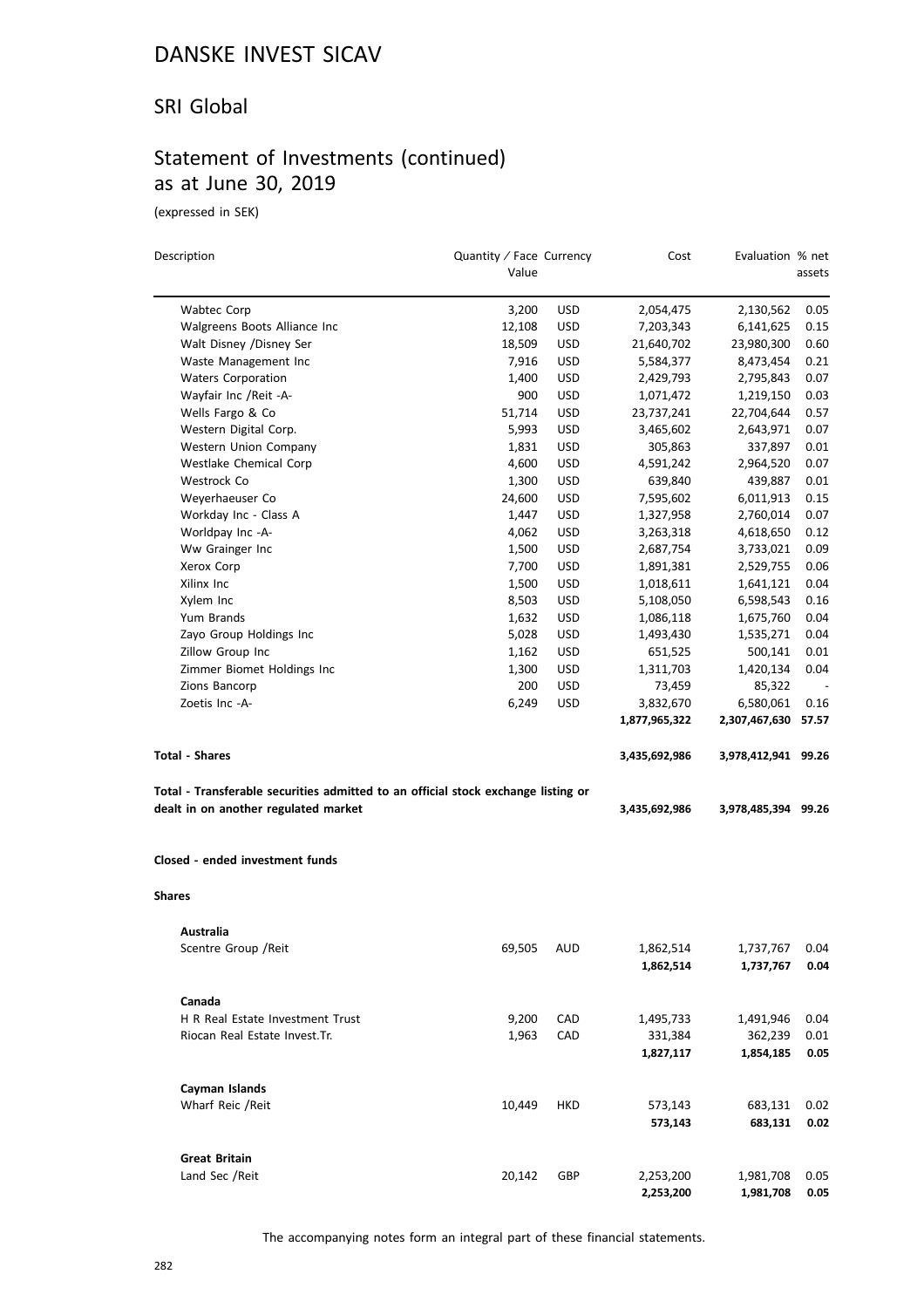#### SRI Global

### Statement of Investments (continued) as at June 30, 2019

(expressed in SEK)

| Description                                                                       | Quantity / Face Currency |            | Cost                   | Evaluation % net       |              |
|-----------------------------------------------------------------------------------|--------------------------|------------|------------------------|------------------------|--------------|
|                                                                                   | Value                    |            |                        |                        | assets       |
| Wabtec Corp                                                                       | 3,200                    | <b>USD</b> | 2,054,475              | 2,130,562              | 0.05         |
| Walgreens Boots Alliance Inc                                                      | 12,108                   | <b>USD</b> | 7,203,343              | 6,141,625              | 0.15         |
| Walt Disney /Disney Ser                                                           | 18,509                   | <b>USD</b> | 21,640,702             | 23,980,300             | 0.60         |
| Waste Management Inc                                                              | 7,916                    | USD        | 5,584,377              | 8,473,454              | 0.21         |
| <b>Waters Corporation</b>                                                         | 1,400                    | <b>USD</b> | 2,429,793              | 2,795,843              | 0.07         |
| Wayfair Inc / Reit - A-                                                           | 900                      | <b>USD</b> | 1,071,472              | 1,219,150              | 0.03         |
| Wells Fargo & Co                                                                  | 51,714                   | <b>USD</b> | 23,737,241             | 22,704,644             | 0.57         |
| Western Digital Corp.                                                             | 5,993                    | <b>USD</b> | 3,465,602              | 2,643,971              | 0.07         |
| Western Union Company                                                             | 1,831                    | <b>USD</b> | 305,863                | 337,897                | 0.01         |
| Westlake Chemical Corp                                                            | 4,600                    | <b>USD</b> | 4,591,242              | 2,964,520              | 0.07         |
| Westrock Co                                                                       | 1,300                    | <b>USD</b> | 639,840                | 439,887                | 0.01         |
| Weyerhaeuser Co                                                                   | 24,600                   | <b>USD</b> | 7,595,602              | 6,011,913              | 0.15         |
| Workday Inc - Class A                                                             | 1,447                    | <b>USD</b> | 1,327,958              | 2,760,014              | 0.07         |
| Worldpay Inc -A-                                                                  | 4,062                    | <b>USD</b> | 3,263,318              | 4,618,650              | 0.12         |
| Ww Grainger Inc                                                                   | 1,500                    | <b>USD</b> | 2,687,754              | 3,733,021              | 0.09         |
| Xerox Corp                                                                        | 7,700                    | <b>USD</b> | 1,891,381              | 2,529,755              | 0.06         |
| Xilinx Inc                                                                        | 1,500                    | <b>USD</b> | 1,018,611              | 1,641,121              | 0.04         |
| Xylem Inc                                                                         | 8,503                    | <b>USD</b> | 5,108,050              | 6,598,543              | 0.16         |
| Yum Brands                                                                        | 1,632                    | <b>USD</b> | 1,086,118              | 1,675,760              | 0.04         |
| Zayo Group Holdings Inc                                                           | 5,028                    | <b>USD</b> | 1,493,430              | 1,535,271              | 0.04         |
| Zillow Group Inc                                                                  | 1,162                    | <b>USD</b> | 651,525                | 500,141                | 0.01         |
| Zimmer Biomet Holdings Inc                                                        | 1,300                    | <b>USD</b> | 1,311,703              | 1,420,134              | 0.04         |
| Zions Bancorp                                                                     | 200                      | <b>USD</b> | 73,459                 | 85,322                 |              |
| Zoetis Inc -A-                                                                    | 6,249                    | <b>USD</b> | 3,832,670              | 6,580,061              | 0.16         |
|                                                                                   |                          |            | 1,877,965,322          | 2,307,467,630          | 57.57        |
| <b>Total - Shares</b>                                                             |                          |            | 3,435,692,986          | 3,978,412,941 99.26    |              |
| Total - Transferable securities admitted to an official stock exchange listing or |                          |            |                        |                        |              |
| dealt in on another regulated market                                              |                          |            | 3,435,692,986          | 3,978,485,394 99.26    |              |
| Closed - ended investment funds                                                   |                          |            |                        |                        |              |
| <b>Shares</b>                                                                     |                          |            |                        |                        |              |
| Australia                                                                         |                          |            |                        |                        |              |
| Scentre Group / Reit                                                              | 69,505                   | AUD        | 1,862,514<br>1,862,514 | 1,737,767<br>1,737,767 | 0.04<br>0.04 |
| Canada                                                                            |                          |            |                        |                        |              |
| H R Real Estate Investment Trust                                                  | 9,200                    | CAD        | 1,495,733              | 1,491,946              | 0.04         |
| Riocan Real Estate Invest. Tr.                                                    | 1,963                    | CAD        | 331,384                | 362,239                | 0.01         |
|                                                                                   |                          |            | 1,827,117              | 1,854,185              | 0.05         |
| Cayman Islands                                                                    |                          |            |                        |                        |              |
| Wharf Reic / Reit                                                                 | 10,449                   | HKD        | 573,143                | 683,131                | 0.02         |
|                                                                                   |                          |            | 573,143                | 683,131                | 0.02         |
| <b>Great Britain</b>                                                              |                          |            |                        |                        |              |
| Land Sec /Reit                                                                    | 20,142                   | GBP        | 2,253,200<br>2,253,200 | 1,981,708<br>1,981,708 | 0.05<br>0.05 |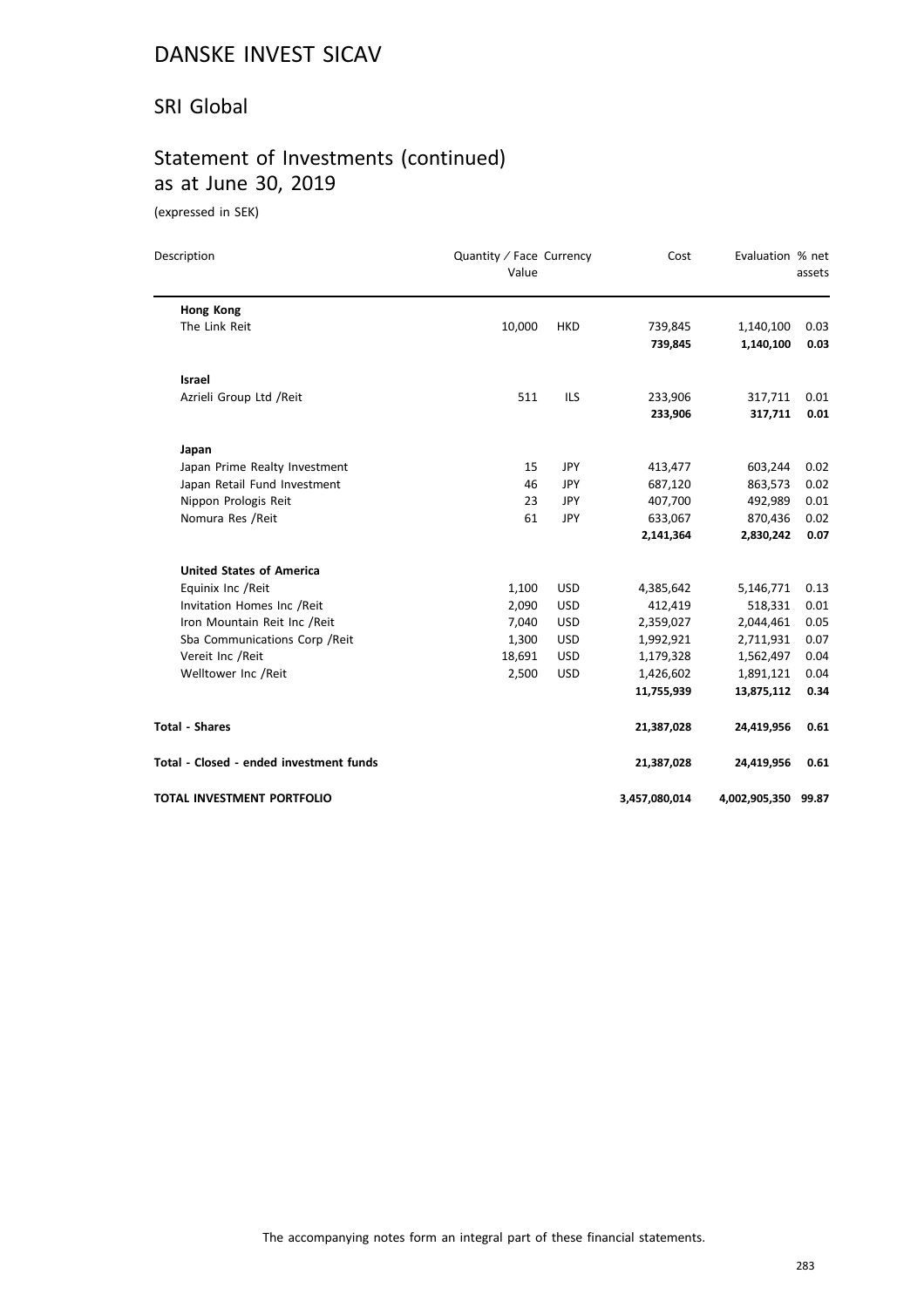#### SRI Global

# Statement of Investments (continued) as at June 30, 2019

(expressed in SEK)

| Description                             | Quantity / Face Currency<br>Value |            | Cost          | Evaluation % net    | assets |  |
|-----------------------------------------|-----------------------------------|------------|---------------|---------------------|--------|--|
| Hong Kong                               |                                   |            |               |                     |        |  |
| The Link Reit                           | 10,000                            | <b>HKD</b> | 739,845       | 1,140,100           | 0.03   |  |
|                                         |                                   |            | 739,845       | 1,140,100           | 0.03   |  |
| <b>Israel</b>                           |                                   |            |               |                     |        |  |
| Azrieli Group Ltd / Reit                | 511                               | <b>ILS</b> | 233,906       | 317,711             | 0.01   |  |
|                                         |                                   |            | 233,906       | 317,711             | 0.01   |  |
| Japan                                   |                                   |            |               |                     |        |  |
| Japan Prime Realty Investment           | 15                                | <b>JPY</b> | 413,477       | 603,244             | 0.02   |  |
| Japan Retail Fund Investment            | 46                                | <b>JPY</b> | 687,120       | 863,573             | 0.02   |  |
| Nippon Prologis Reit                    | 23                                | <b>JPY</b> | 407,700       | 492,989             | 0.01   |  |
| Nomura Res / Reit                       | 61                                | JPY        | 633,067       | 870,436             | 0.02   |  |
|                                         |                                   |            | 2,141,364     | 2,830,242           | 0.07   |  |
| <b>United States of America</b>         |                                   |            |               |                     |        |  |
| Equinix Inc / Reit                      | 1,100                             | <b>USD</b> | 4,385,642     | 5,146,771           | 0.13   |  |
| Invitation Homes Inc / Reit             | 2,090                             | <b>USD</b> | 412,419       | 518,331             | 0.01   |  |
| Iron Mountain Reit Inc / Reit           | 7,040                             | <b>USD</b> | 2,359,027     | 2,044,461           | 0.05   |  |
| Sba Communications Corp / Reit          | 1,300                             | <b>USD</b> | 1,992,921     | 2,711,931           | 0.07   |  |
| Vereit Inc /Reit                        | 18,691                            | <b>USD</b> | 1,179,328     | 1,562,497           | 0.04   |  |
| Welltower Inc /Reit                     | 2,500                             | <b>USD</b> | 1,426,602     | 1,891,121           | 0.04   |  |
|                                         |                                   |            | 11,755,939    | 13,875,112          | 0.34   |  |
| <b>Total - Shares</b>                   |                                   |            | 21,387,028    | 24,419,956          | 0.61   |  |
| Total - Closed - ended investment funds |                                   |            | 21,387,028    | 24,419,956          | 0.61   |  |
| <b>TOTAL INVESTMENT PORTFOLIO</b>       |                                   |            | 3,457,080,014 | 4,002,905,350 99.87 |        |  |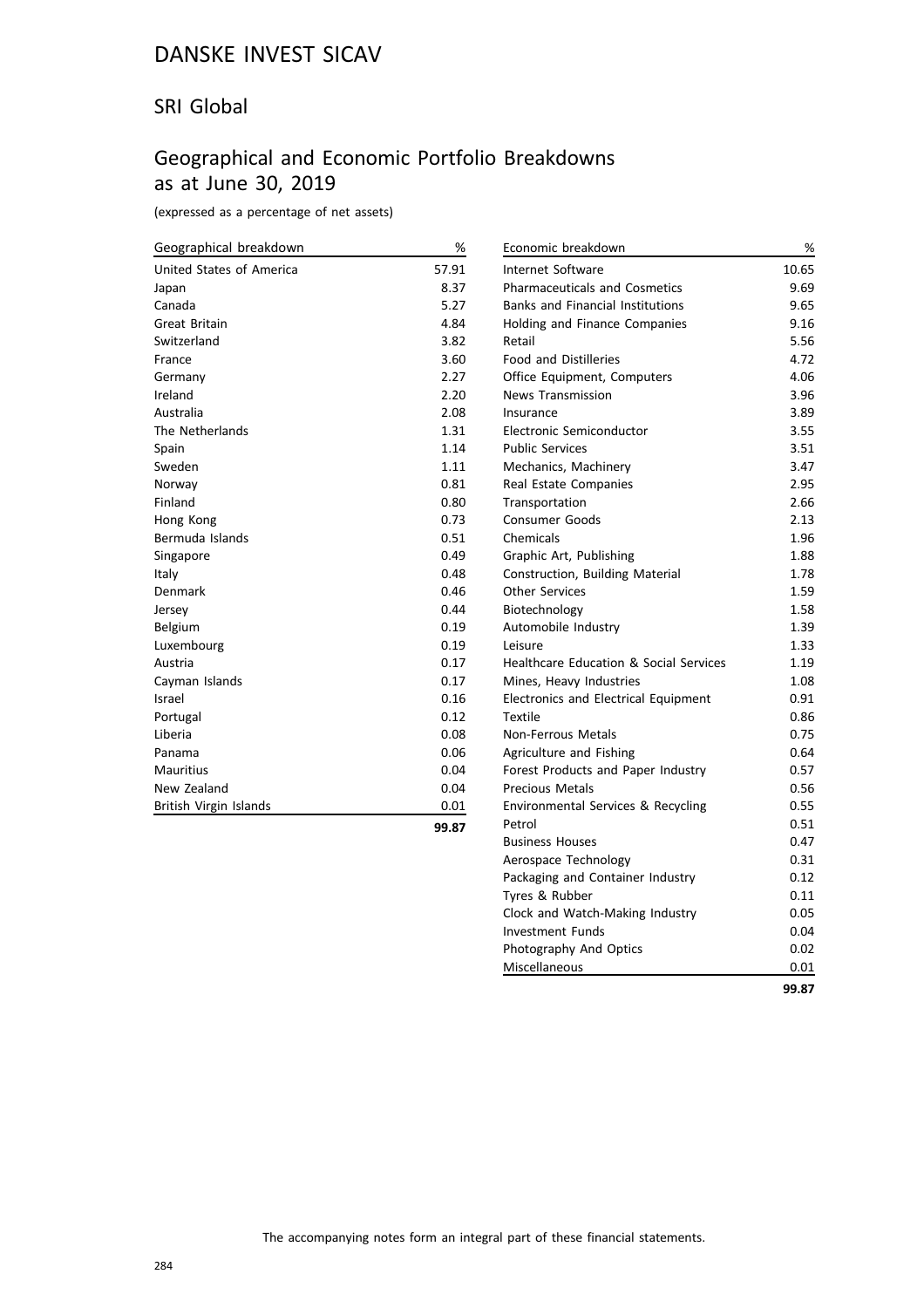#### SRI Global

#### Geographical and Economic Portfolio Breakdowns as at June 30, 2019

(expressed as a percentage of net assets)

| Geographical breakdown   | $\%$  | Economic breakdown                                | %     |
|--------------------------|-------|---------------------------------------------------|-------|
| United States of America | 57.91 | Internet Software                                 | 10.65 |
| Japan                    | 8.37  | <b>Pharmaceuticals and Cosmetics</b>              | 9.69  |
| Canada                   | 5.27  | <b>Banks and Financial Institutions</b>           | 9.65  |
| <b>Great Britain</b>     | 4.84  | Holding and Finance Companies                     | 9.16  |
| Switzerland              | 3.82  | Retail                                            | 5.56  |
| France                   | 3.60  | <b>Food and Distilleries</b>                      | 4.72  |
| Germany                  | 2.27  | Office Equipment, Computers                       | 4.06  |
| Ireland                  | 2.20  | News Transmission                                 | 3.96  |
| Australia                | 2.08  | Insurance                                         | 3.89  |
| The Netherlands          | 1.31  | Electronic Semiconductor                          | 3.55  |
| Spain                    | 1.14  | <b>Public Services</b>                            | 3.51  |
| Sweden                   | 1.11  | Mechanics, Machinery                              | 3.47  |
| Norway                   | 0.81  | Real Estate Companies                             | 2.95  |
| Finland                  | 0.80  | Transportation                                    | 2.66  |
| Hong Kong                | 0.73  | Consumer Goods                                    | 2.13  |
| Bermuda Islands          | 0.51  | Chemicals                                         | 1.96  |
| Singapore                | 0.49  | Graphic Art, Publishing                           | 1.88  |
| Italy                    | 0.48  | Construction, Building Material                   | 1.78  |
| Denmark                  | 0.46  | <b>Other Services</b>                             | 1.59  |
| Jersey                   | 0.44  | Biotechnology                                     | 1.58  |
| Belgium                  | 0.19  | Automobile Industry                               | 1.39  |
| Luxembourg               | 0.19  | Leisure                                           | 1.33  |
| Austria                  | 0.17  | <b>Healthcare Education &amp; Social Services</b> | 1.19  |
| Cayman Islands           | 0.17  | Mines, Heavy Industries                           | 1.08  |
| Israel                   | 0.16  | Electronics and Electrical Equipment              | 0.91  |
| Portugal                 | 0.12  | Textile                                           | 0.86  |
| Liberia                  | 0.08  | Non-Ferrous Metals                                | 0.75  |
| Panama                   | 0.06  | Agriculture and Fishing                           | 0.64  |
| <b>Mauritius</b>         | 0.04  | Forest Products and Paper Industry                | 0.57  |
| New Zealand              | 0.04  | <b>Precious Metals</b>                            | 0.56  |
| British Virgin Islands   | 0.01  | Environmental Services & Recycling                | 0.55  |
|                          | 99.87 | Petrol                                            | 0.51  |

| ۰. | ۰. | ٦<br>- - - - |
|----|----|--------------|
|    |    |              |

Business Houses **6.47** Aerospace Technology 0.31 0.31

Tyres & Rubber 0.11 Clock and Watch-Making Industry 0.05 Investment Funds 6.04 Photography And Optics **0.02** Miscellaneous 0.01

**99.87**

Packaging and Container Industry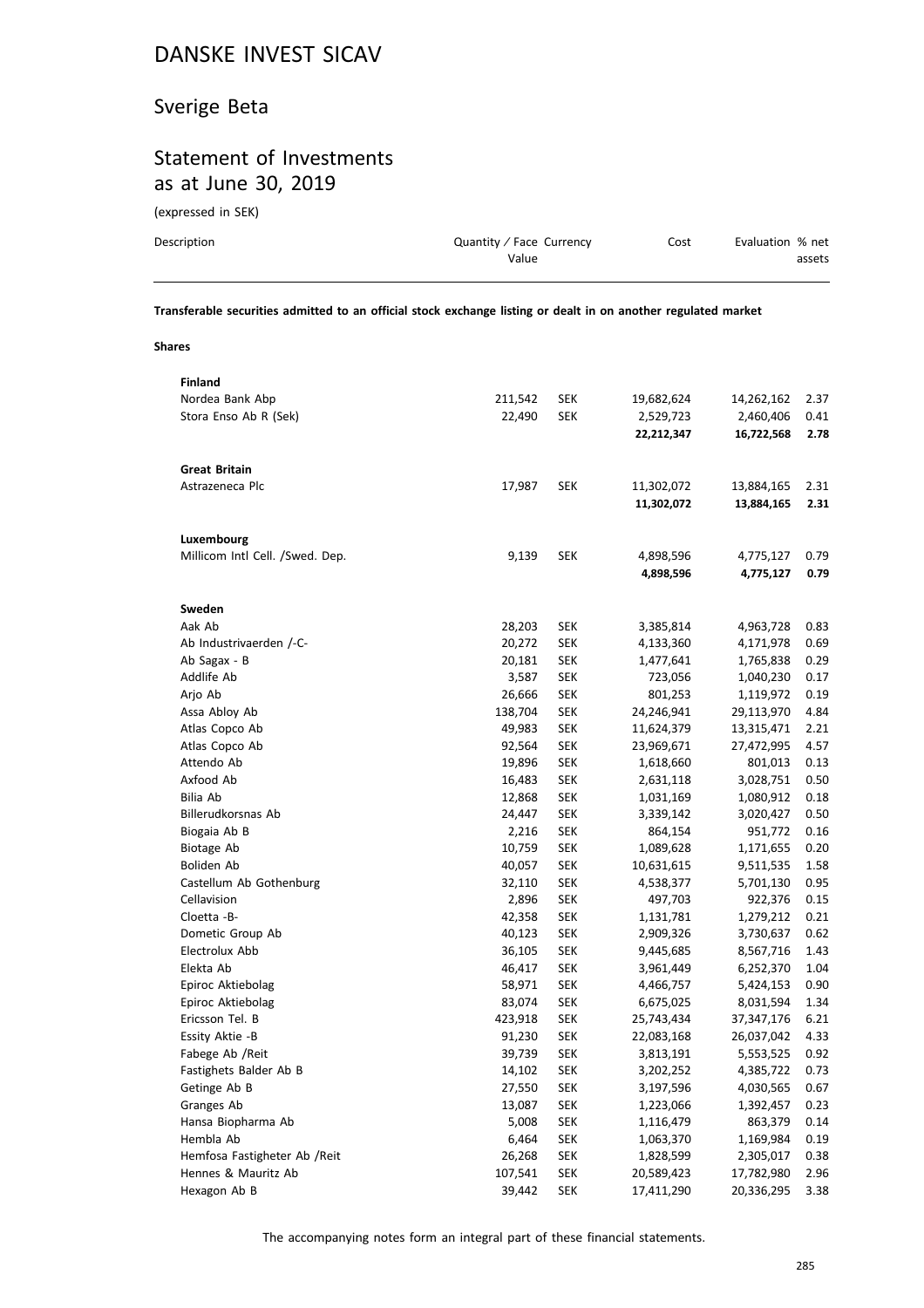### Sverige Beta

### Statement of Investments as at June 30, 2019

(expressed in SEK)

| Description | Quantity / Face Currency<br>Value | Cost | Evaluation % net<br>assets |
|-------------|-----------------------------------|------|----------------------------|
|             |                                   |      |                            |

**Transferable securities admitted to an official stock exchange listing or dealt in on another regulated market**

**Shares**

| <b>Finland</b>                  |         |            |            |            |      |
|---------------------------------|---------|------------|------------|------------|------|
| Nordea Bank Abp                 | 211,542 | <b>SEK</b> | 19,682,624 | 14,262,162 | 2.37 |
| Stora Enso Ab R (Sek)           | 22,490  | <b>SEK</b> | 2,529,723  | 2,460,406  | 0.41 |
|                                 |         |            | 22,212,347 | 16,722,568 | 2.78 |
|                                 |         |            |            |            |      |
| <b>Great Britain</b>            |         |            |            |            |      |
| Astrazeneca Plc                 | 17,987  | <b>SEK</b> | 11,302,072 | 13,884,165 | 2.31 |
|                                 |         |            | 11,302,072 | 13,884,165 | 2.31 |
|                                 |         |            |            |            |      |
| Luxembourg                      |         |            |            |            |      |
| Millicom Intl Cell. /Swed. Dep. | 9,139   | <b>SEK</b> | 4,898,596  | 4,775,127  | 0.79 |
|                                 |         |            | 4,898,596  | 4,775,127  | 0.79 |
|                                 |         |            |            |            |      |
| Sweden                          |         |            |            |            |      |
| Aak Ab                          | 28,203  | <b>SEK</b> | 3,385,814  | 4,963,728  | 0.83 |
| Ab Industrivaerden /-C-         | 20,272  | <b>SEK</b> | 4,133,360  | 4,171,978  | 0.69 |
| Ab Sagax - B                    | 20,181  | <b>SEK</b> | 1,477,641  | 1,765,838  | 0.29 |
| Addlife Ab                      | 3,587   | <b>SEK</b> | 723,056    | 1,040,230  | 0.17 |
| Arjo Ab                         | 26,666  | <b>SEK</b> | 801,253    | 1,119,972  | 0.19 |
| Assa Abloy Ab                   | 138,704 | <b>SEK</b> | 24,246,941 | 29,113,970 | 4.84 |
| Atlas Copco Ab                  | 49,983  | <b>SEK</b> | 11,624,379 | 13,315,471 | 2.21 |
| Atlas Copco Ab                  | 92,564  | <b>SEK</b> | 23,969,671 | 27,472,995 | 4.57 |
| Attendo Ab                      | 19,896  | <b>SEK</b> | 1,618,660  | 801,013    | 0.13 |
| Axfood Ab                       | 16,483  | <b>SEK</b> | 2,631,118  | 3,028,751  | 0.50 |
| Bilia Ab                        | 12,868  | <b>SEK</b> | 1,031,169  | 1,080,912  | 0.18 |
| Billerudkorsnas Ab              | 24,447  | <b>SEK</b> | 3,339,142  | 3,020,427  | 0.50 |
| Biogaia Ab B                    | 2,216   | <b>SEK</b> | 864,154    | 951,772    | 0.16 |
| Biotage Ab                      | 10,759  | <b>SEK</b> | 1,089,628  | 1,171,655  | 0.20 |
| Boliden Ab                      | 40,057  | <b>SEK</b> | 10,631,615 | 9,511,535  | 1.58 |
| Castellum Ab Gothenburg         | 32,110  | <b>SEK</b> | 4,538,377  | 5,701,130  | 0.95 |
| Cellavision                     | 2,896   | <b>SEK</b> | 497,703    | 922,376    | 0.15 |
| Cloetta -B-                     | 42,358  | <b>SEK</b> | 1,131,781  | 1,279,212  | 0.21 |
| Dometic Group Ab                | 40,123  | <b>SEK</b> | 2,909,326  | 3,730,637  | 0.62 |
| Electrolux Abb                  | 36,105  | <b>SEK</b> | 9,445,685  | 8,567,716  | 1.43 |
| Elekta Ab                       | 46,417  | <b>SEK</b> | 3,961,449  | 6,252,370  | 1.04 |
| Epiroc Aktiebolag               | 58,971  | <b>SEK</b> | 4,466,757  | 5,424,153  | 0.90 |
| Epiroc Aktiebolag               | 83,074  | <b>SEK</b> | 6,675,025  | 8,031,594  | 1.34 |
| Ericsson Tel. B                 | 423,918 | <b>SEK</b> | 25,743,434 | 37,347,176 | 6.21 |
| Essity Aktie -B                 | 91,230  | <b>SEK</b> | 22,083,168 | 26,037,042 | 4.33 |
| Fabege Ab / Reit                | 39,739  | <b>SEK</b> | 3,813,191  | 5,553,525  | 0.92 |
| Fastighets Balder Ab B          | 14,102  | SEK        | 3,202,252  | 4,385,722  | 0.73 |
| Getinge Ab B                    | 27,550  | SEK        | 3,197,596  | 4,030,565  | 0.67 |
| Granges Ab                      | 13,087  | <b>SEK</b> | 1,223,066  | 1,392,457  | 0.23 |
| Hansa Biopharma Ab              | 5,008   | <b>SEK</b> | 1,116,479  | 863,379    | 0.14 |
| Hembla Ab                       | 6,464   | <b>SEK</b> | 1,063,370  | 1,169,984  | 0.19 |
| Hemfosa Fastigheter Ab /Reit    | 26,268  | <b>SEK</b> | 1,828,599  | 2,305,017  | 0.38 |
| Hennes & Mauritz Ab             | 107,541 | <b>SEK</b> | 20,589,423 | 17,782,980 | 2.96 |
| Hexagon Ab B                    | 39,442  | <b>SEK</b> | 17,411,290 | 20,336,295 | 3.38 |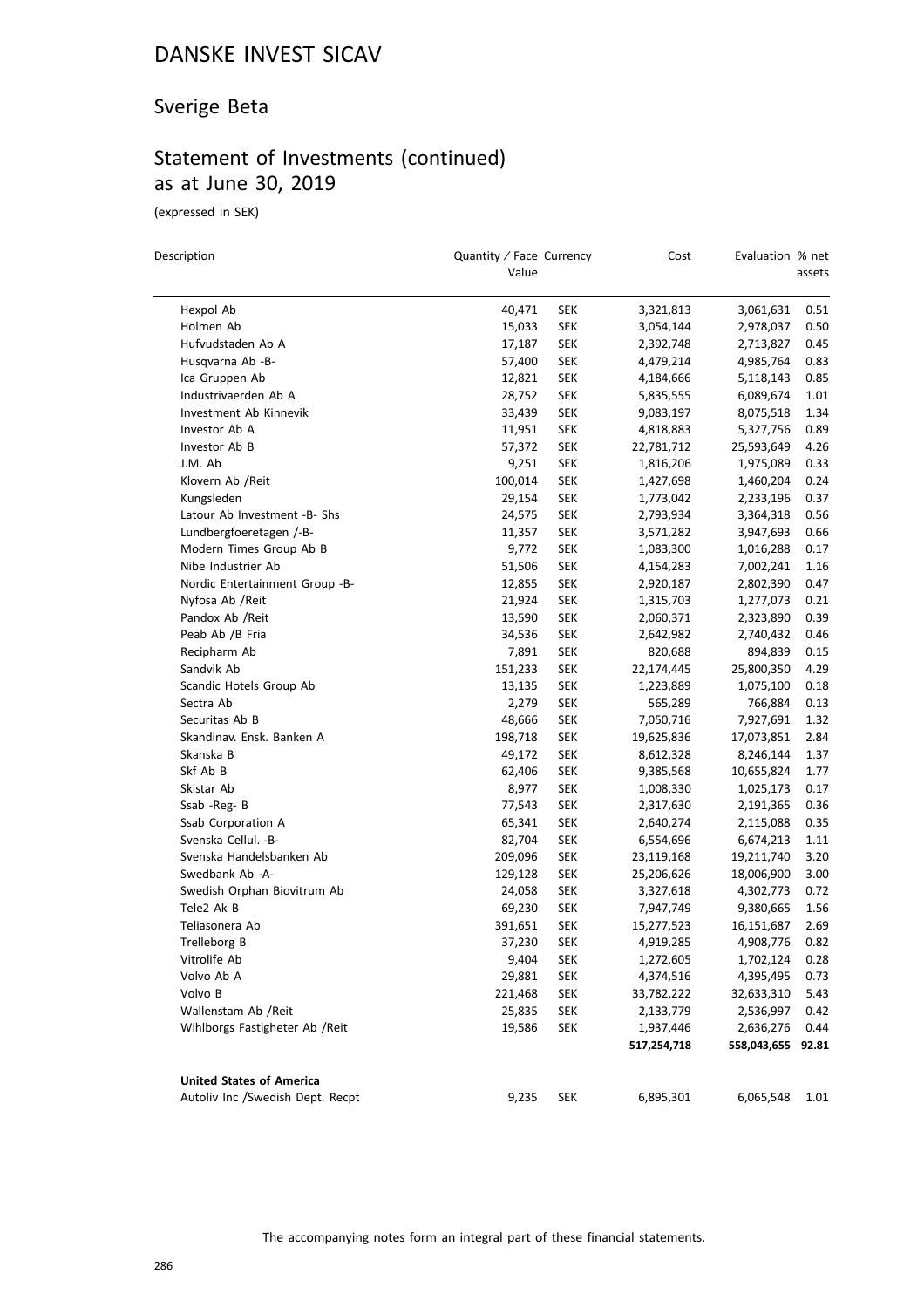### Sverige Beta

### Statement of Investments (continued) as at June 30, 2019

(expressed in SEK)

 $\overline{\phantom{0}}$ 

| Description                                | Quantity / Face Currency<br>Value |            | Cost        | Evaluation % net  | assets |
|--------------------------------------------|-----------------------------------|------------|-------------|-------------------|--------|
| Hexpol Ab                                  | 40,471                            | <b>SEK</b> | 3,321,813   | 3,061,631         | 0.51   |
| Holmen Ab                                  | 15,033                            | <b>SEK</b> | 3,054,144   | 2,978,037         | 0.50   |
| Hufvudstaden Ab A                          | 17,187                            | SEK        | 2,392,748   | 2,713,827         | 0.45   |
| Husqvarna Ab -B-                           | 57,400                            | <b>SEK</b> | 4,479,214   | 4,985,764         | 0.83   |
| Ica Gruppen Ab                             | 12,821                            | <b>SEK</b> | 4,184,666   | 5,118,143         | 0.85   |
| Industrivaerden Ab A                       | 28,752                            | <b>SEK</b> | 5,835,555   | 6,089,674         | 1.01   |
| Investment Ab Kinnevik                     | 33,439                            | <b>SEK</b> | 9,083,197   | 8,075,518         | 1.34   |
| Investor Ab A                              | 11,951                            | SEK        | 4,818,883   | 5,327,756         | 0.89   |
| Investor Ab B                              | 57,372                            | SEK        | 22,781,712  | 25,593,649        | 4.26   |
| J.M. Ab                                    | 9,251                             | <b>SEK</b> | 1,816,206   | 1,975,089         | 0.33   |
| Klovern Ab /Reit                           | 100,014                           | SEK        | 1,427,698   | 1,460,204         | 0.24   |
| Kungsleden                                 | 29,154                            | <b>SEK</b> | 1,773,042   | 2,233,196         | 0.37   |
| Latour Ab Investment -B- Shs               | 24,575                            | SEK        | 2,793,934   | 3,364,318         | 0.56   |
| Lundbergfoeretagen /-B-                    | 11,357                            | SEK        | 3,571,282   | 3,947,693         | 0.66   |
| Modern Times Group Ab B                    | 9,772                             | SEK        | 1,083,300   | 1,016,288         | 0.17   |
| Nibe Industrier Ab                         | 51,506                            | SEK        | 4,154,283   | 7,002,241         | 1.16   |
| Nordic Entertainment Group -B-             | 12,855                            | <b>SEK</b> | 2,920,187   | 2,802,390         | 0.47   |
| Nyfosa Ab / Reit                           | 21,924                            | <b>SEK</b> | 1,315,703   | 1,277,073         | 0.21   |
| Pandox Ab / Reit                           | 13,590                            | SEK        | 2,060,371   | 2,323,890         | 0.39   |
| Peab Ab /B Fria                            | 34,536                            | SEK        | 2,642,982   | 2,740,432         | 0.46   |
| Recipharm Ab                               | 7,891                             | SEK        | 820,688     | 894,839           | 0.15   |
| Sandvik Ab                                 | 151,233                           | SEK        | 22,174,445  | 25,800,350        | 4.29   |
| Scandic Hotels Group Ab                    | 13,135                            | SEK        | 1,223,889   | 1,075,100         | 0.18   |
| Sectra Ab                                  | 2,279                             | <b>SEK</b> | 565,289     | 766,884           | 0.13   |
| Securitas Ab B                             | 48,666                            | SEK        | 7,050,716   | 7,927,691         | 1.32   |
| Skandinav. Ensk. Banken A                  | 198,718                           | SEK        | 19,625,836  | 17,073,851        | 2.84   |
| Skanska B                                  | 49,172                            | <b>SEK</b> | 8,612,328   | 8,246,144         | 1.37   |
| Skf Ab B                                   | 62,406                            | <b>SEK</b> | 9,385,568   | 10,655,824        | 1.77   |
| Skistar Ab                                 | 8,977                             | <b>SEK</b> |             |                   | 0.17   |
| Ssab -Reg- B                               | 77,543                            | <b>SEK</b> | 1,008,330   | 1,025,173         | 0.36   |
|                                            |                                   |            | 2,317,630   | 2,191,365         | 0.35   |
| Ssab Corporation A<br>Svenska Cellul. - B- | 65,341                            | SEK        | 2,640,274   | 2,115,088         |        |
| Svenska Handelsbanken Ab                   | 82,704                            | SEK        | 6,554,696   | 6,674,213         | 1.11   |
| Swedbank Ab -A-                            | 209,096                           | SEK        | 23,119,168  | 19,211,740        | 3.20   |
|                                            | 129,128                           | SEK        | 25,206,626  | 18,006,900        | 3.00   |
| Swedish Orphan Biovitrum Ab                | 24,058                            | SEK        | 3,327,618   | 4,302,773         | 0.72   |
| Tele2 Ak B                                 | 69,230                            | <b>SEK</b> | 7,947,749   | 9,380,665         | 1.56   |
| Teliasonera Ab                             | 391,651                           | SEK        | 15,277,523  | 16,151,687        | 2.69   |
| Trelleborg B                               | 37,230                            | SEK        | 4,919,285   | 4,908,776         | 0.82   |
| Vitrolife Ab                               | 9,404                             | <b>SEK</b> | 1,272,605   | 1,702,124         | 0.28   |
| Volvo Ab A                                 | 29,881                            | <b>SEK</b> | 4,374,516   | 4,395,495         | 0.73   |
| Volvo B                                    | 221,468                           | <b>SEK</b> | 33,782,222  | 32,633,310        | 5.43   |
| Wallenstam Ab /Reit                        | 25,835                            | <b>SEK</b> | 2,133,779   | 2,536,997         | 0.42   |
| Wihlborgs Fastigheter Ab / Reit            | 19,586                            | <b>SEK</b> | 1,937,446   | 2,636,276         | 0.44   |
|                                            |                                   |            | 517,254,718 | 558,043,655 92.81 |        |
| <b>United States of America</b>            |                                   |            |             |                   |        |
| Autoliv Inc /Swedish Dept. Recpt           | 9,235                             | SEK        | 6,895,301   | 6,065,548         | 1.01   |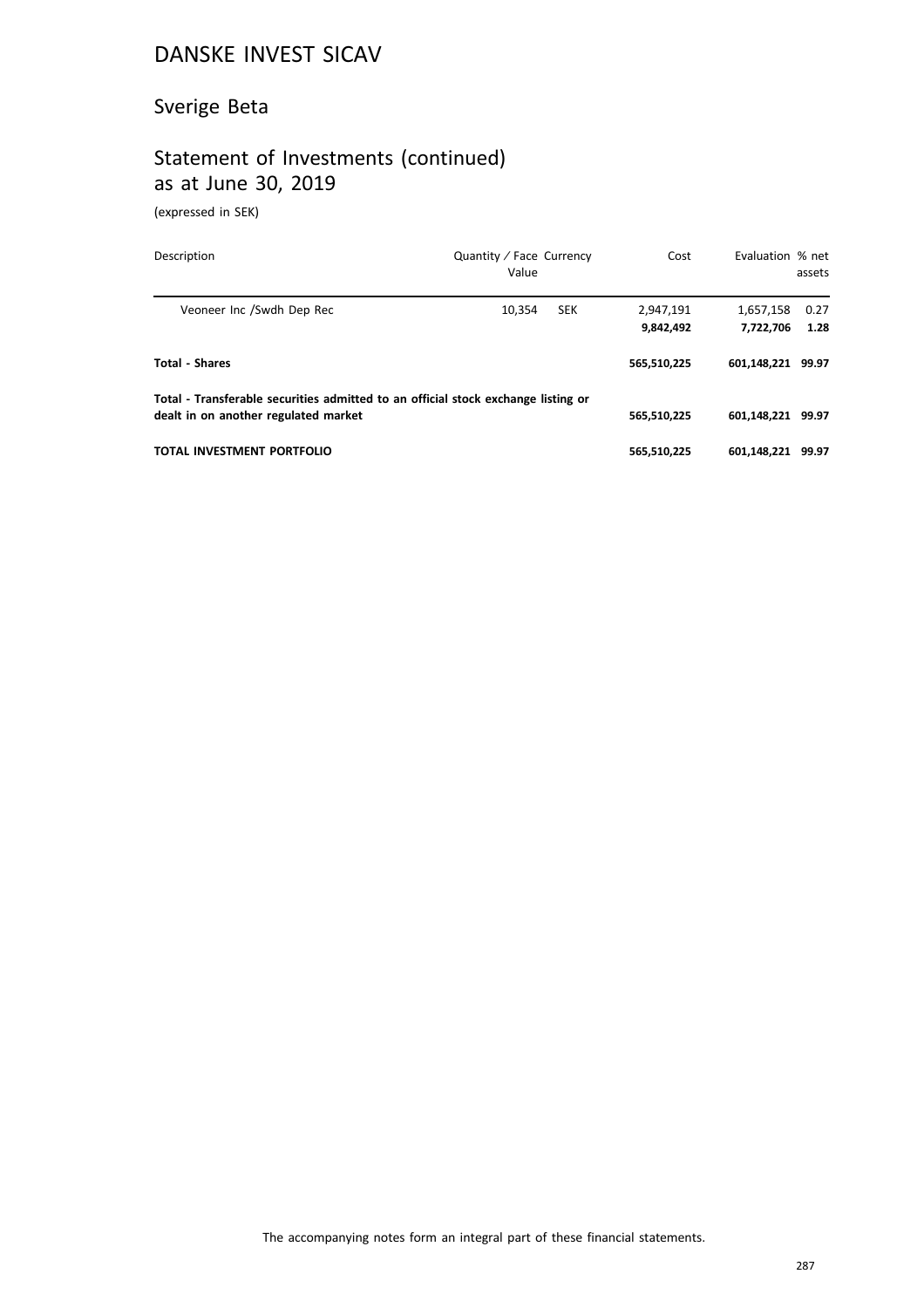### Sverige Beta

### Statement of Investments (continued) as at June 30, 2019

(expressed in SEK)

| Description                                                                                                               | Quantity / Face Currency<br>Value | Cost                   | Evaluation % net       | assets       |
|---------------------------------------------------------------------------------------------------------------------------|-----------------------------------|------------------------|------------------------|--------------|
| Veoneer Inc /Swdh Dep Rec                                                                                                 | 10.354<br><b>SEK</b>              | 2,947,191<br>9,842,492 | 1,657,158<br>7.722.706 | 0.27<br>1.28 |
| <b>Total - Shares</b>                                                                                                     |                                   | 565,510,225            | 601.148.221 99.97      |              |
| Total - Transferable securities admitted to an official stock exchange listing or<br>dealt in on another regulated market |                                   | 565,510,225            | 601.148.221 99.97      |              |
| TOTAL INVESTMENT PORTFOLIO                                                                                                |                                   | 565,510,225            | 601.148.221 99.97      |              |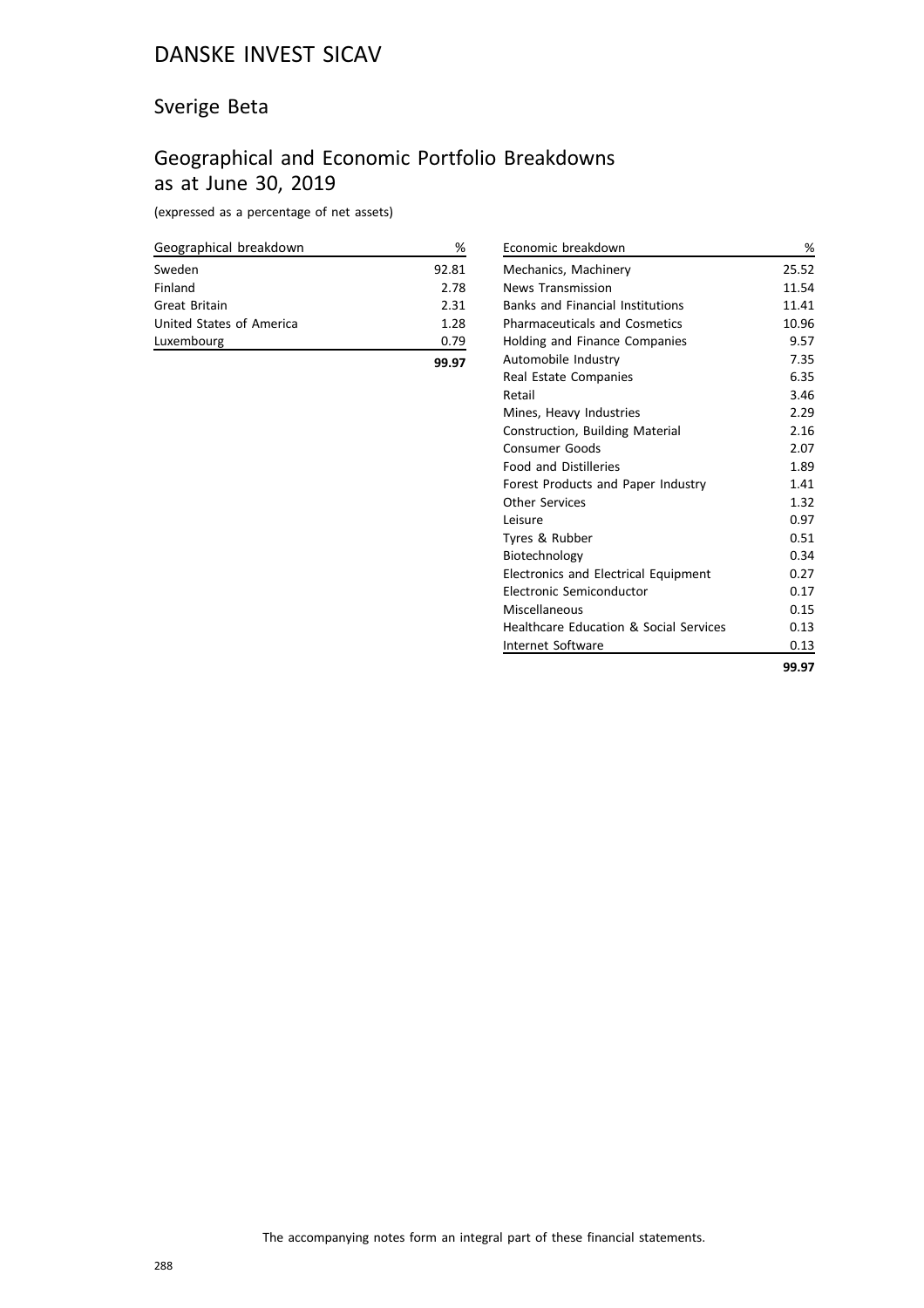### Sverige Beta

### Geographical and Economic Portfolio Breakdowns as at June 30, 2019

(expressed as a percentage of net assets)

| Geographical breakdown   | ℅     |
|--------------------------|-------|
| Sweden                   | 92.81 |
| Finland                  | 2.78  |
| Great Britain            | 2.31  |
| United States of America | 1.28  |
| Luxembourg               | 0.79  |
|                          |       |

| Economic breakdown                      | %     |
|-----------------------------------------|-------|
| Mechanics, Machinery                    | 25.52 |
| News Transmission                       | 11.54 |
| <b>Banks and Financial Institutions</b> | 11.41 |
| <b>Pharmaceuticals and Cosmetics</b>    | 10.96 |
| Holding and Finance Companies           | 9.57  |
| Automobile Industry                     | 7.35  |
| Real Estate Companies                   | 6.35  |
| Retail                                  | 3.46  |
| Mines, Heavy Industries                 | 2.29  |
| Construction, Building Material         | 2.16  |
| <b>Consumer Goods</b>                   | 2.07  |
| <b>Food and Distilleries</b>            | 1.89  |
| Forest Products and Paper Industry      | 1.41  |
| <b>Other Services</b>                   | 1.32  |
| Leisure                                 | 0.97  |
| Tyres & Rubber                          | 0.51  |
| Biotechnology                           | 0.34  |
| Electronics and Electrical Equipment    | 0.27  |
| Electronic Semiconductor                | 0.17  |
| Miscellaneous                           | 0.15  |
| Healthcare Education & Social Services  | 0.13  |
| Internet Software                       | 0.13  |
|                                         | 99.97 |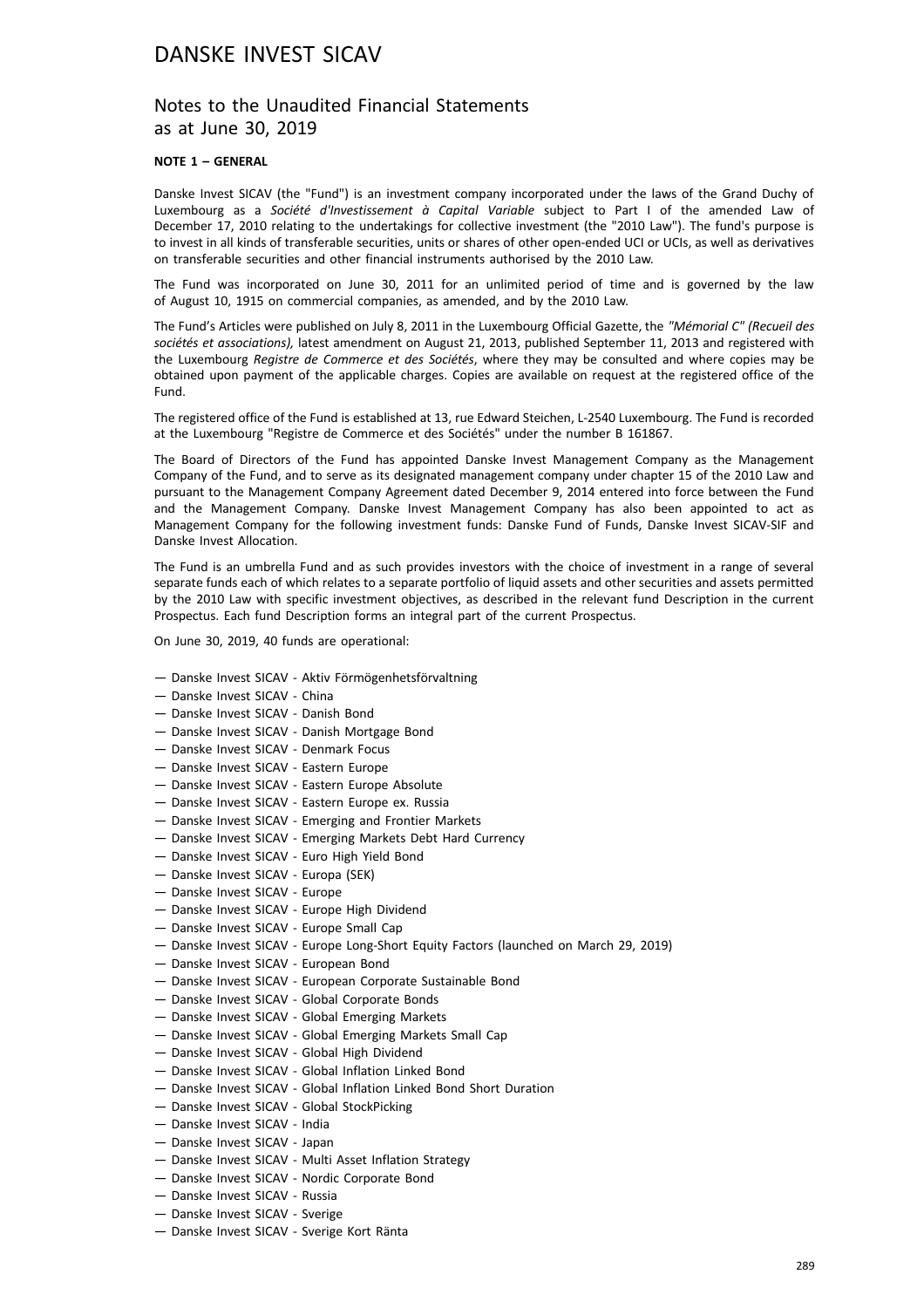### Notes to the Unaudited Financial Statements as at June 30, 2019

#### **NOTE 1 – GENERAL**

Danske Invest SICAV (the "Fund") is an investment company incorporated under the laws of the Grand Duchy of Luxembourg as a *Société d'Investissement à Capital Variable* subject to Part I of the amended Law of December 17, 2010 relating to the undertakings for collective investment (the "2010 Law"). The fund's purpose is to invest in all kinds of transferable securities, units or shares of other open-ended UCI or UCIs, as well as derivatives on transferable securities and other financial instruments authorised by the 2010 Law.

The Fund was incorporated on June 30, 2011 for an unlimited period of time and is governed by the law of August 10, 1915 on commercial companies, as amended, and by the 2010 Law.

The Fund's Articles were published on July 8, 2011 in the Luxembourg Official Gazette, the *"Mémorial C" (Recueil des sociétés et associations),* latest amendment on August 21, 2013, published September 11, 2013 and registered with the Luxembourg *Registre de Commerce et des Sociétés*, where they may be consulted and where copies may be obtained upon payment of the applicable charges. Copies are available on request at the registered office of the Fund.

The registered office of the Fund is established at 13, rue Edward Steichen, L-2540 Luxembourg. The Fund is recorded at the Luxembourg "Registre de Commerce et des Sociétés" under the number B 161867.

The Board of Directors of the Fund has appointed Danske Invest Management Company as the Management Company of the Fund, and to serve as its designated management company under chapter 15 of the 2010 Law and pursuant to the Management Company Agreement dated December 9, 2014 entered into force between the Fund and the Management Company. Danske Invest Management Company has also been appointed to act as Management Company for the following investment funds: Danske Fund of Funds, Danske Invest SICAV-SIF and Danske Invest Allocation.

The Fund is an umbrella Fund and as such provides investors with the choice of investment in a range of several separate funds each of which relates to a separate portfolio of liquid assets and other securities and assets permitted by the 2010 Law with specific investment objectives, as described in the relevant fund Description in the current Prospectus. Each fund Description forms an integral part of the current Prospectus.

On June 30, 2019, 40 funds are operational:

- Danske Invest SICAV Aktiv Förmögenhetsförvaltning
- Danske Invest SICAV China
- Danske Invest SICAV Danish Bond
- Danske Invest SICAV Danish Mortgage Bond
- Danske Invest SICAV Denmark Focus
- Danske Invest SICAV Eastern Europe
- Danske Invest SICAV Eastern Europe Absolute
- Danske Invest SICAV Eastern Europe ex. Russia
- Danske Invest SICAV Emerging and Frontier Markets
- Danske Invest SICAV Emerging Markets Debt Hard Currency
- Danske Invest SICAV Euro High Yield Bond
- Danske Invest SICAV Europa (SEK)
- Danske Invest SICAV Europe
- Danske Invest SICAV Europe High Dividend
- Danske Invest SICAV Europe Small Cap
- Danske Invest SICAV Europe Long-Short Equity Factors (launched on March 29, 2019)
- Danske Invest SICAV European Bond
- Danske Invest SICAV European Corporate Sustainable Bond
- Danske Invest SICAV Global Corporate Bonds
- Danske Invest SICAV Global Emerging Markets
- Danske Invest SICAV Global Emerging Markets Small Cap
- Danske Invest SICAV Global High Dividend
- Danske Invest SICAV Global Inflation Linked Bond
- Danske Invest SICAV Global Inflation Linked Bond Short Duration
- Danske Invest SICAV Global StockPicking
- Danske Invest SICAV India
- Danske Invest SICAV Japan
- Danske Invest SICAV Multi Asset Inflation Strategy
- Danske Invest SICAV Nordic Corporate Bond
- Danske Invest SICAV Russia
- Danske Invest SICAV Sverige
- Danske Invest SICAV Sverige Kort Ränta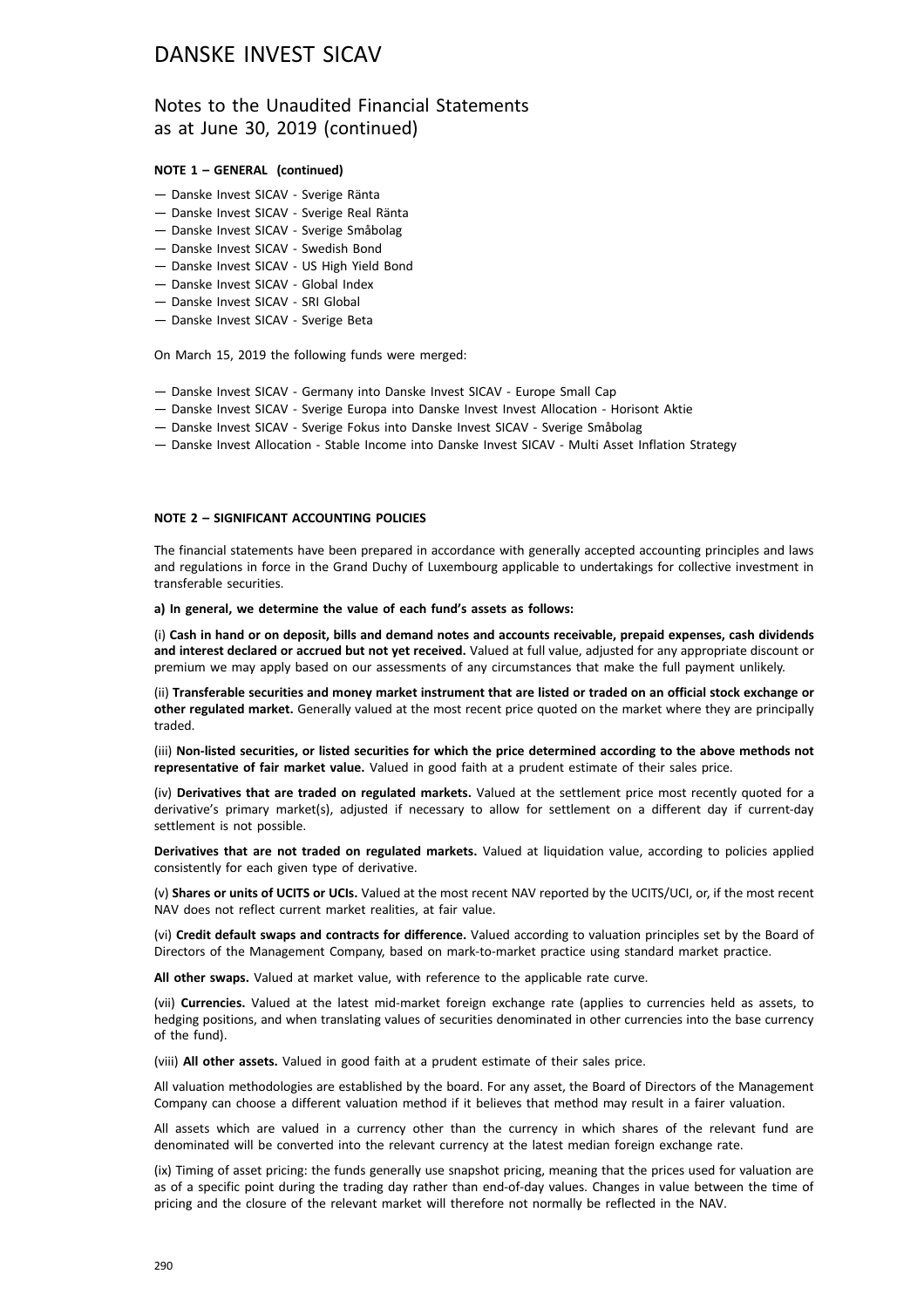### Notes to the Unaudited Financial Statements as at June 30, 2019 (continued)

#### **NOTE 1 – GENERAL (continued)**

- Danske Invest SICAV Sverige Ränta
- Danske Invest SICAV Sverige Real Ränta
- Danske Invest SICAV Sverige Småbolag
- Danske Invest SICAV Swedish Bond
- Danske Invest SICAV US High Yield Bond
- Danske Invest SICAV Global Index
- Danske Invest SICAV SRI Global
- Danske Invest SICAV Sverige Beta

On March 15, 2019 the following funds were merged:

- Danske Invest SICAV Germany into Danske Invest SICAV Europe Small Cap
- Danske Invest SICAV Sverige Europa into Danske Invest Invest Allocation Horisont Aktie
- Danske Invest SICAV Sverige Fokus into Danske Invest SICAV Sverige Småbolag
- Danske Invest Allocation Stable Income into Danske Invest SICAV Multi Asset Inflation Strategy

#### **NOTE 2 – SIGNIFICANT ACCOUNTING POLICIES**

The financial statements have been prepared in accordance with generally accepted accounting principles and laws and regulations in force in the Grand Duchy of Luxembourg applicable to undertakings for collective investment in transferable securities.

#### **a) In general, we determine the value of each fund's assets as follows:**

(i) **Cash in hand or on deposit, bills and demand notes and accounts receivable, prepaid expenses, cash dividends and interest declared or accrued but not yet received.** Valued at full value, adjusted for any appropriate discount or premium we may apply based on our assessments of any circumstances that make the full payment unlikely.

(ii) **Transferable securities and money market instrument that are listed or traded on an official stock exchange or other regulated market.** Generally valued at the most recent price quoted on the market where they are principally traded.

(iii) **Non-listed securities, or listed securities for which the price determined according to the above methods not representative of fair market value.** Valued in good faith at a prudent estimate of their sales price.

(iv) **Derivatives that are traded on regulated markets.** Valued at the settlement price most recently quoted for a derivative's primary market(s), adjusted if necessary to allow for settlement on a different day if current-day settlement is not possible.

**Derivatives that are not traded on regulated markets.** Valued at liquidation value, according to policies applied consistently for each given type of derivative.

(v) **Shares or units of UCITS or UCIs.** Valued at the most recent NAV reported by the UCITS/UCI, or, if the most recent NAV does not reflect current market realities, at fair value.

(vi) **Credit default swaps and contracts for difference.** Valued according to valuation principles set by the Board of Directors of the Management Company, based on mark-to-market practice using standard market practice.

**All other swaps.** Valued at market value, with reference to the applicable rate curve.

(vii) **Currencies.** Valued at the latest mid-market foreign exchange rate (applies to currencies held as assets, to hedging positions, and when translating values of securities denominated in other currencies into the base currency of the fund).

(viii) **All other assets.** Valued in good faith at a prudent estimate of their sales price.

All valuation methodologies are established by the board. For any asset, the Board of Directors of the Management Company can choose a different valuation method if it believes that method may result in a fairer valuation.

All assets which are valued in a currency other than the currency in which shares of the relevant fund are denominated will be converted into the relevant currency at the latest median foreign exchange rate.

(ix) Timing of asset pricing: the funds generally use snapshot pricing, meaning that the prices used for valuation are as of a specific point during the trading day rather than end-of-day values. Changes in value between the time of pricing and the closure of the relevant market will therefore not normally be reflected in the NAV.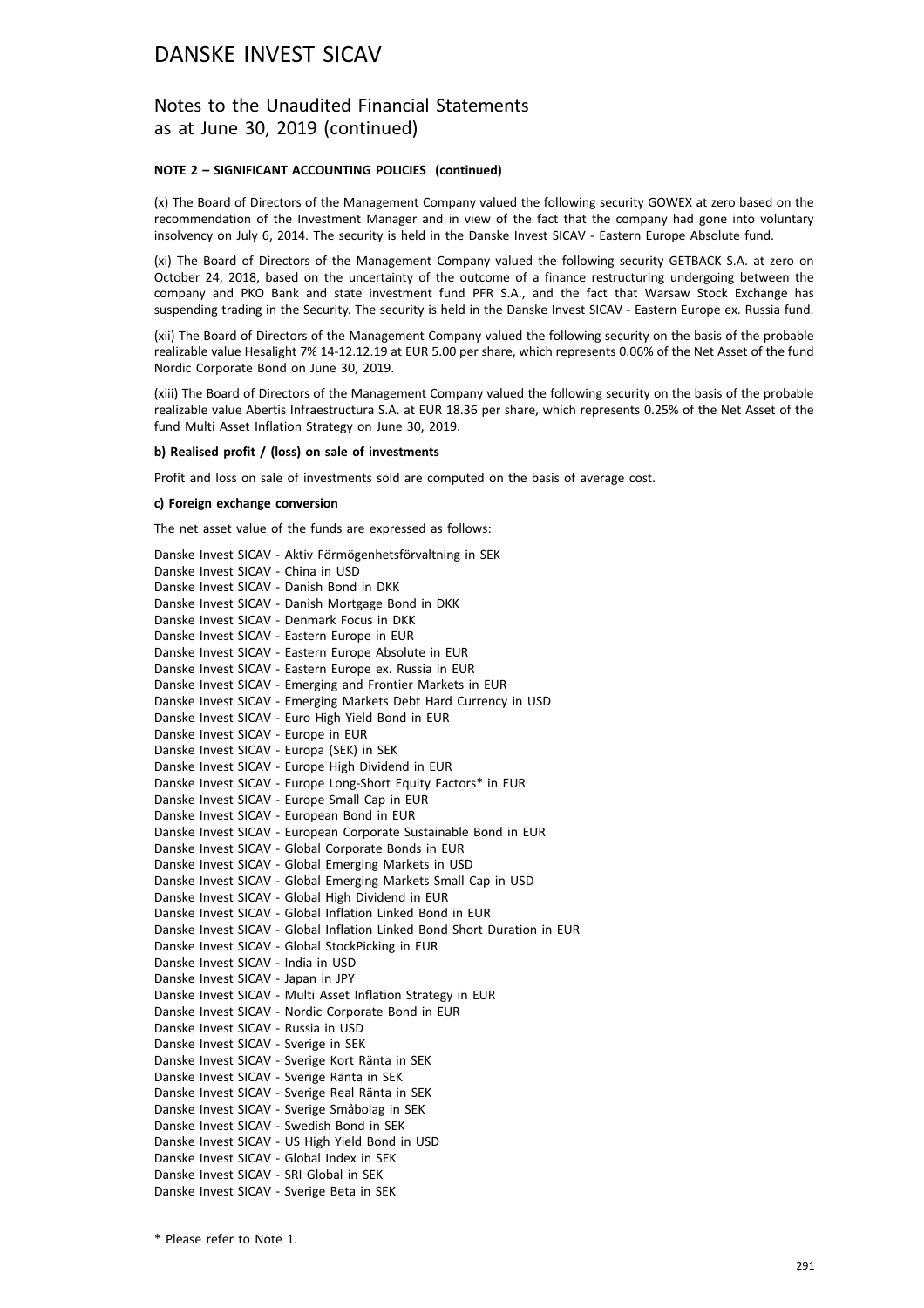### Notes to the Unaudited Financial Statements as at June 30, 2019 (continued)

#### **NOTE 2 – SIGNIFICANT ACCOUNTING POLICIES (continued)**

(x) The Board of Directors of the Management Company valued the following security GOWEX at zero based on the recommendation of the Investment Manager and in view of the fact that the company had gone into voluntary insolvency on July 6, 2014. The security is held in the Danske Invest SICAV - Eastern Europe Absolute fund.

(xi) The Board of Directors of the Management Company valued the following security GETBACK S.A. at zero on October 24, 2018, based on the uncertainty of the outcome of a finance restructuring undergoing between the company and PKO Bank and state investment fund PFR S.A., and the fact that Warsaw Stock Exchange has suspending trading in the Security. The security is held in the Danske Invest SICAV - Eastern Europe ex. Russia fund.

(xii) The Board of Directors of the Management Company valued the following security on the basis of the probable realizable value Hesalight 7% 14-12.12.19 at EUR 5.00 per share, which represents 0.06% of the Net Asset of the fund Nordic Corporate Bond on June 30, 2019.

(xiii) The Board of Directors of the Management Company valued the following security on the basis of the probable realizable value Abertis Infraestructura S.A. at EUR 18.36 per share, which represents 0.25% of the Net Asset of the fund Multi Asset Inflation Strategy on June 30, 2019.

#### **b) Realised profit / (loss) on sale of investments**

Profit and loss on sale of investments sold are computed on the basis of average cost.

#### **c) Foreign exchange conversion**

The net asset value of the funds are expressed as follows:

| Danske Invest SICAV - Aktiv Förmögenhetsförvaltning in SEK               |  |
|--------------------------------------------------------------------------|--|
| Danske Invest SICAV - China in USD                                       |  |
| Danske Invest SICAV - Danish Bond in DKK                                 |  |
| Danske Invest SICAV - Danish Mortgage Bond in DKK                        |  |
| Danske Invest SICAV - Denmark Focus in DKK                               |  |
| Danske Invest SICAV - Eastern Europe in EUR                              |  |
| Danske Invest SICAV - Eastern Europe Absolute in EUR                     |  |
| Danske Invest SICAV - Eastern Europe ex. Russia in EUR                   |  |
| Danske Invest SICAV - Emerging and Frontier Markets in EUR               |  |
| Danske Invest SICAV - Emerging Markets Debt Hard Currency in USD         |  |
| Danske Invest SICAV - Euro High Yield Bond in EUR                        |  |
| Danske Invest SICAV - Europe in EUR                                      |  |
| Danske Invest SICAV - Europa (SEK) in SEK                                |  |
| Danske Invest SICAV - Europe High Dividend in EUR                        |  |
| Danske Invest SICAV - Europe Long-Short Equity Factors* in EUR           |  |
| Danske Invest SICAV - Europe Small Cap in EUR                            |  |
| Danske Invest SICAV - European Bond in EUR                               |  |
| Danske Invest SICAV - European Corporate Sustainable Bond in EUR         |  |
| Danske Invest SICAV - Global Corporate Bonds in EUR                      |  |
| Danske Invest SICAV - Global Emerging Markets in USD                     |  |
| Danske Invest SICAV - Global Emerging Markets Small Cap in USD           |  |
| Danske Invest SICAV - Global High Dividend in EUR                        |  |
| Danske Invest SICAV - Global Inflation Linked Bond in EUR                |  |
| Danske Invest SICAV - Global Inflation Linked Bond Short Duration in EUR |  |
| Danske Invest SICAV - Global StockPicking in EUR                         |  |
| Danske Invest SICAV - India in USD                                       |  |
| Danske Invest SICAV - Japan in JPY                                       |  |
| Danske Invest SICAV - Multi Asset Inflation Strategy in EUR              |  |
| Danske Invest SICAV - Nordic Corporate Bond in EUR                       |  |
| Danske Invest SICAV - Russia in USD                                      |  |
| Danske Invest SICAV - Sverige in SEK                                     |  |
| Danske Invest SICAV - Sverige Kort Ränta in SEK                          |  |
| Danske Invest SICAV - Sverige Ränta in SEK                               |  |
| Danske Invest SICAV - Sverige Real Ränta in SEK                          |  |
| Danske Invest SICAV - Sverige Småbolag in SEK                            |  |
| Danske Invest SICAV - Swedish Bond in SEK                                |  |
| Danske Invest SICAV - US High Yield Bond in USD                          |  |
| Danske Invest SICAV - Global Index in SEK                                |  |
| Danske Invest SICAV - SRI Global in SEK                                  |  |
| Danske Invest SICAV - Sverige Beta in SEK                                |  |

\* Please refer to Note 1.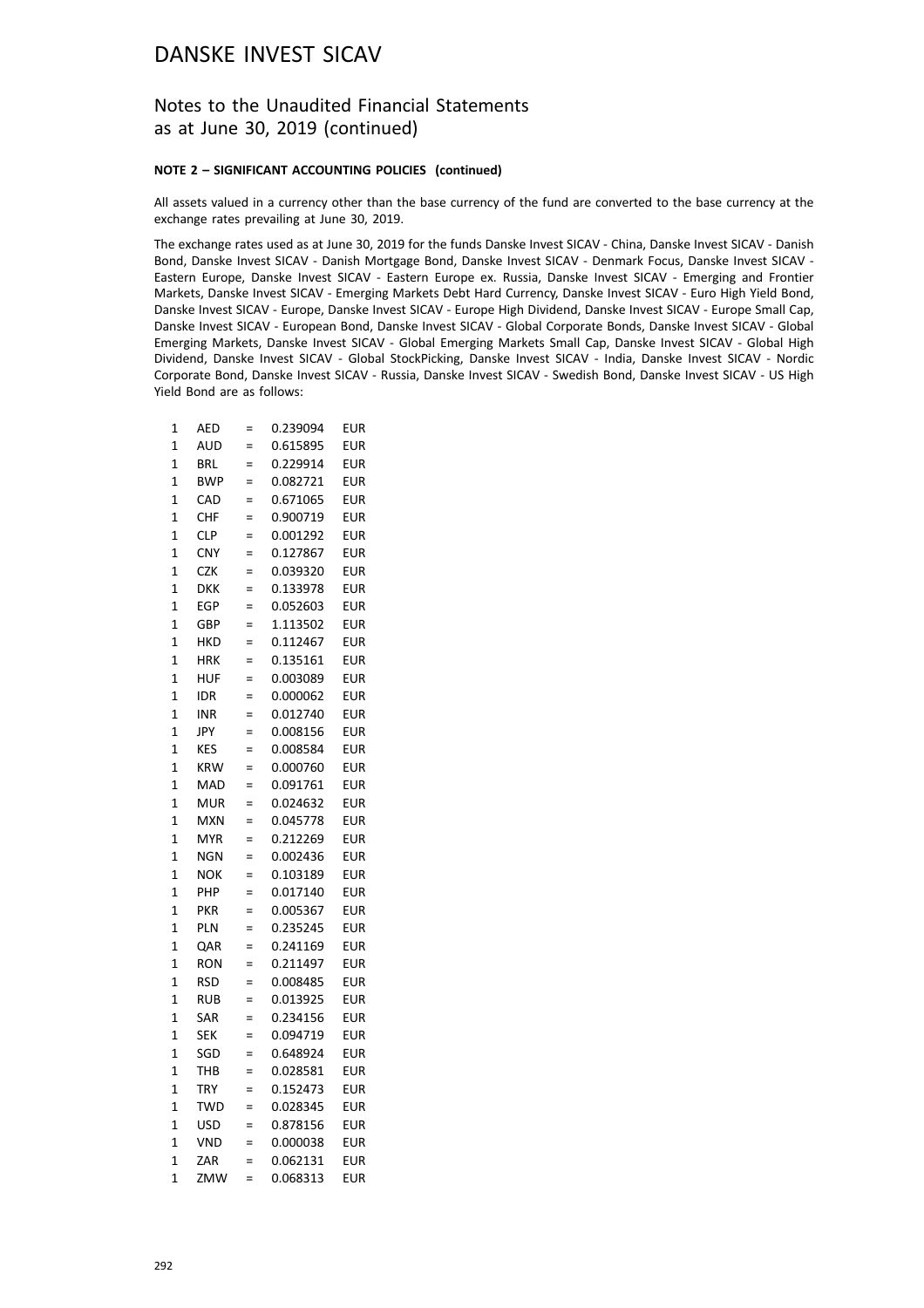### Notes to the Unaudited Financial Statements as at June 30, 2019 (continued)

#### **NOTE 2 – SIGNIFICANT ACCOUNTING POLICIES (continued)**

All assets valued in a currency other than the base currency of the fund are converted to the base currency at the exchange rates prevailing at June 30, 2019.

The exchange rates used as at June 30, 2019 for the funds Danske Invest SICAV - China, Danske Invest SICAV - Danish Bond, Danske Invest SICAV - Danish Mortgage Bond, Danske Invest SICAV - Denmark Focus, Danske Invest SICAV - Eastern Europe, Danske Invest SICAV - Eastern Europe ex. Russia, Danske Invest SICAV - Emerging and Frontier Markets, Danske Invest SICAV - Emerging Markets Debt Hard Currency, Danske Invest SICAV - Euro High Yield Bond, Danske Invest SICAV - Europe, Danske Invest SICAV - Europe High Dividend, Danske Invest SICAV - Europe Small Cap, Danske Invest SICAV - European Bond, Danske Invest SICAV - Global Corporate Bonds, Danske Invest SICAV - Global Emerging Markets, Danske Invest SICAV - Global Emerging Markets Small Cap, Danske Invest SICAV - Global High Dividend, Danske Invest SICAV - Global StockPicking, Danske Invest SICAV - India, Danske Invest SICAV - Nordic Corporate Bond, Danske Invest SICAV - Russia, Danske Invest SICAV - Swedish Bond, Danske Invest SICAV - US High Yield Bond are as follows:

| 1              | AED        | $=$ | 0.239094 | <b>EUR</b> |
|----------------|------------|-----|----------|------------|
| $\overline{1}$ | AUD        | $=$ | 0.615895 | eur        |
| 1              | BRL        | $=$ | 0.229914 | <b>EUR</b> |
| $\overline{1}$ | <b>BWP</b> | $=$ | 0.082721 | <b>EUR</b> |
| 1              | CAD        | $=$ | 0.671065 | <b>EUR</b> |
| $\overline{1}$ | CHF        | $=$ | 0.900719 | <b>EUR</b> |
| 1              | <b>CLP</b> | $=$ | 0.001292 | <b>EUR</b> |
| $\mathbf 1$    | <b>CNY</b> | $=$ | 0.127867 | <b>EUR</b> |
| $\mathbf{1}$   | <b>CZK</b> | $=$ | 0.039320 | <b>EUR</b> |
| $\overline{1}$ | DKK        | $=$ | 0.133978 | <b>EUR</b> |
| 1              | EGP        | $=$ | 0.052603 | <b>EUR</b> |
| $\mathbf 1$    | GBP        | $=$ | 1.113502 | <b>EUR</b> |
| 1              | HKD        | $=$ | 0.112467 | <b>EUR</b> |
| $\overline{1}$ | <b>HRK</b> | $=$ | 0.135161 | <b>EUR</b> |
| 1              | HUF        | $=$ | 0.003089 | <b>EUR</b> |
| $\mathbf{1}$   | <b>IDR</b> | $=$ | 0.000062 | <b>EUR</b> |
| 1              | INR        | $=$ | 0.012740 | <b>EUR</b> |
| $\overline{1}$ | JPY        | $=$ | 0.008156 | eur        |
| 1              | <b>KES</b> | $=$ | 0.008584 | <b>EUR</b> |
| $\overline{1}$ | <b>KRW</b> | $=$ | 0.000760 | <b>EUR</b> |
| 1              | MAD        | $=$ | 0.091761 | <b>EUR</b> |
| $\overline{1}$ | MUR        | $=$ | 0.024632 | <b>EUR</b> |
| $\overline{1}$ | <b>MXN</b> | $=$ | 0.045778 | <b>EUR</b> |
| $\mathbf{1}$   | <b>MYR</b> | $=$ | 0.212269 | <b>EUR</b> |
| 1              | NGN        | $=$ | 0.002436 | <b>EUR</b> |
| $\overline{1}$ | NOK        | $=$ | 0.103189 | <b>EUR</b> |
| $\overline{1}$ | PHP        | $=$ | 0.017140 | <b>EUR</b> |
| 1              | PKR        | $=$ | 0.005367 | EUR        |
| 1              | PLN        | $=$ | 0.235245 | <b>EUR</b> |
| $\overline{1}$ | QAR        | $=$ | 0.241169 | <b>EUR</b> |
| $\overline{1}$ | <b>RON</b> | $=$ | 0.211497 | <b>EUR</b> |
| $\overline{1}$ | RSD        | $=$ | 0.008485 | <b>EUR</b> |
| 1              | <b>RUB</b> | $=$ | 0.013925 | EUR        |
| $\overline{1}$ | SAR        | $=$ | 0.234156 | <b>EUR</b> |
| $\overline{1}$ | <b>SEK</b> | $=$ | 0.094719 | <b>EUR</b> |
| 1              | SGD        | $=$ | 0.648924 | <b>EUR</b> |
| 1              | тнв        | $=$ | 0.028581 | <b>EUR</b> |
| $\overline{1}$ | TRY        | $=$ | 0.152473 | <b>EUR</b> |
| $\overline{1}$ | <b>TWD</b> | $=$ | 0.028345 | <b>EUR</b> |
| $\overline{1}$ | USD        | $=$ | 0.878156 | <b>EUR</b> |
| 1              | VND        | $=$ | 0.000038 | <b>EUR</b> |
| $\overline{1}$ | ZAR        | $=$ | 0.062131 | <b>EUR</b> |
| $\overline{1}$ | ZMW        | $=$ | 0.068313 | <b>EUR</b> |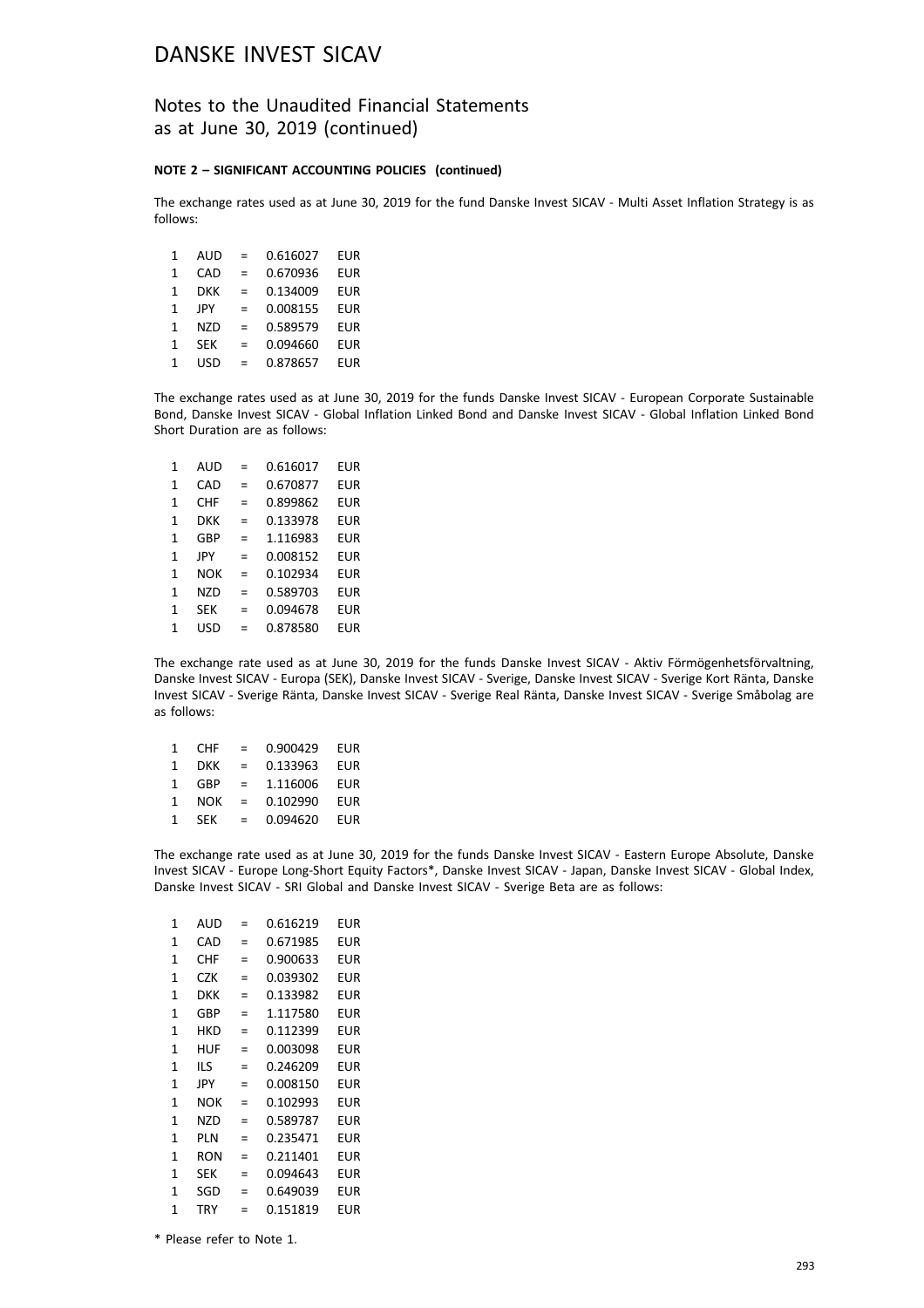### Notes to the Unaudited Financial Statements as at June 30, 2019 (continued)

#### **NOTE 2 – SIGNIFICANT ACCOUNTING POLICIES (continued)**

The exchange rates used as at June 30, 2019 for the fund Danske Invest SICAV - Multi Asset Inflation Strategy is as follows:

| 1 | AUD        | $=$ | 0.616027 | <b>EUR</b> |
|---|------------|-----|----------|------------|
| 1 | CAD        | $=$ | 0.670936 | EUR        |
| 1 | DKK        | $=$ | 0.134009 | <b>EUR</b> |
| 1 | <b>JPY</b> | =   | 0.008155 | <b>EUR</b> |
| 1 | <b>NZD</b> | $=$ | 0.589579 | <b>EUR</b> |
| 1 | <b>SEK</b> | $=$ | 0.094660 | EUR        |
| 1 | USD        | $=$ | 0.878657 | EUR        |
|   |            |     |          |            |

The exchange rates used as at June 30, 2019 for the funds Danske Invest SICAV - European Corporate Sustainable Bond, Danske Invest SICAV - Global Inflation Linked Bond and Danske Invest SICAV - Global Inflation Linked Bond Short Duration are as follows:

| 1            | AUD        | =   | 0.616017 | EUR |
|--------------|------------|-----|----------|-----|
| $\mathbf{1}$ | CAD        | =   | 0.670877 | EUR |
| $\mathbf{1}$ | <b>CHF</b> | =   | 0.899862 | EUR |
| $\mathbf{1}$ | DKK        | =   | 0.133978 | EUR |
| $\mathbf{1}$ | GBP        | =   | 1.116983 | EUR |
| $\mathbf{1}$ | JPY        | =   | 0.008152 | EUR |
| $\mathbf{1}$ | <b>NOK</b> | $=$ | 0.102934 | EUR |
| $\mathbf{1}$ | <b>NZD</b> | =   | 0.589703 | EUR |
| $\mathbf{1}$ | <b>SEK</b> | =   | 0.094678 | EUR |
| 1            | <b>USD</b> | =   | 0.878580 | EUR |
|              |            |     |          |     |

The exchange rate used as at June 30, 2019 for the funds Danske Invest SICAV - Aktiv Förmögenhetsförvaltning, Danske Invest SICAV - Europa (SEK), Danske Invest SICAV - Sverige, Danske Invest SICAV - Sverige Kort Ränta, Danske Invest SICAV - Sverige Ränta, Danske Invest SICAV - Sverige Real Ränta, Danske Invest SICAV - Sverige Småbolag are as follows:

| $\mathbf{1}$ | CHF        | $=$      | 0.900429 | EUR |
|--------------|------------|----------|----------|-----|
| $\mathbf{1}$ | <b>DKK</b> | $=$      | 0.133963 | EUR |
| 1            | GBP        | $=$      | 1.116006 | EUR |
| 1            | <b>NOK</b> | $\equiv$ | 0.102990 | EUR |
| 1            | <b>SFK</b> | $=$      | 0.094620 | EUR |

The exchange rate used as at June 30, 2019 for the funds Danske Invest SICAV - Eastern Europe Absolute, Danske Invest SICAV - Europe Long-Short Equity Factors\*, Danske Invest SICAV - Japan, Danske Invest SICAV - Global Index, Danske Invest SICAV - SRI Global and Danske Invest SICAV - Sverige Beta are as follows:

| 1 | AUD        | =   | 0.616219 | EUR        |
|---|------------|-----|----------|------------|
| 1 | CAD        | =   | 0.671985 | EUR        |
| 1 | CHF        | $=$ | 0.900633 | EUR        |
| 1 | CZK        | =   | 0.039302 | EUR        |
| 1 | DKK        | =   | 0.133982 | EUR        |
| 1 | GBP        | =   | 1.117580 | EUR        |
| 1 | HKD        | =   | 0.112399 | EUR        |
| 1 | HUF        | =   | 0.003098 | EUR        |
| 1 | ils        | =   | 0.246209 | EUR        |
| 1 | JPY        | $=$ | 0.008150 | EUR        |
| 1 | NOK        | $=$ | 0.102993 | EUR        |
| 1 | NZD        | $=$ | 0.589787 | EUR        |
| 1 | PLN        | $=$ | 0.235471 | EUR        |
| 1 | RON        | =   | 0.211401 | <b>EUR</b> |
| 1 | SEK        | =   | 0.094643 | <b>EUR</b> |
| 1 | SGD        | =   | 0.649039 | EUR        |
| 1 | <b>TRY</b> | =   | 0.151819 | EUR        |

\* Please refer to Note 1.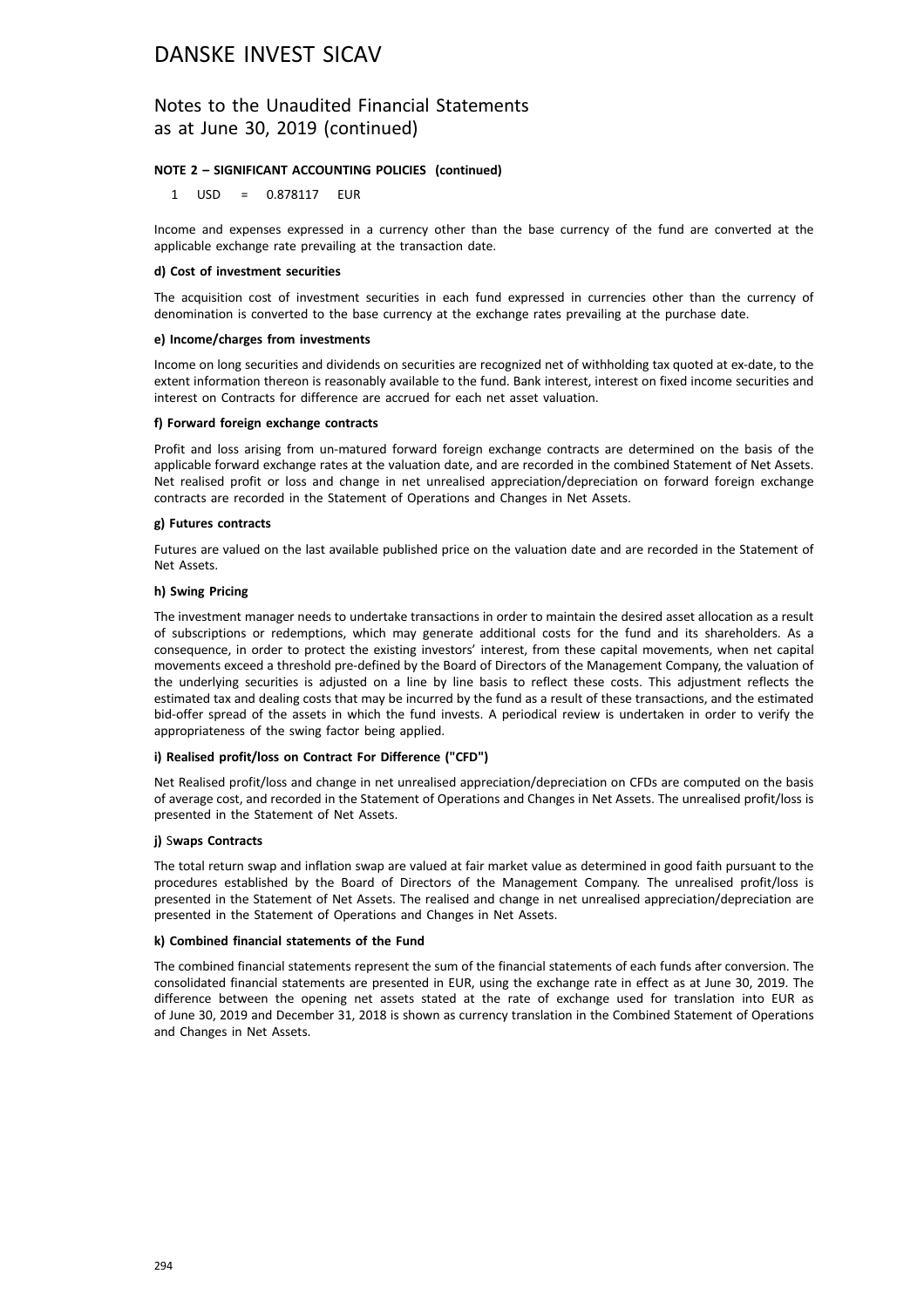### Notes to the Unaudited Financial Statements as at June 30, 2019 (continued)

#### **NOTE 2 – SIGNIFICANT ACCOUNTING POLICIES (continued)**

1 USD = 0.878117 EUR

Income and expenses expressed in a currency other than the base currency of the fund are converted at the applicable exchange rate prevailing at the transaction date.

#### **d) Cost of investment securities**

The acquisition cost of investment securities in each fund expressed in currencies other than the currency of denomination is converted to the base currency at the exchange rates prevailing at the purchase date.

#### **e) Income/charges from investments**

Income on long securities and dividends on securities are recognized net of withholding tax quoted at ex-date, to the extent information thereon is reasonably available to the fund. Bank interest, interest on fixed income securities and interest on Contracts for difference are accrued for each net asset valuation.

#### **f) Forward foreign exchange contracts**

Profit and loss arising from un-matured forward foreign exchange contracts are determined on the basis of the applicable forward exchange rates at the valuation date, and are recorded in the combined Statement of Net Assets. Net realised profit or loss and change in net unrealised appreciation/depreciation on forward foreign exchange contracts are recorded in the Statement of Operations and Changes in Net Assets.

#### **g) Futures contracts**

Futures are valued on the last available published price on the valuation date and are recorded in the Statement of Net Assets.

#### **h) Swing Pricing**

The investment manager needs to undertake transactions in order to maintain the desired asset allocation as a result of subscriptions or redemptions, which may generate additional costs for the fund and its shareholders. As a consequence, in order to protect the existing investors' interest, from these capital movements, when net capital movements exceed a threshold pre-defined by the Board of Directors of the Management Company, the valuation of the underlying securities is adjusted on a line by line basis to reflect these costs. This adjustment reflects the estimated tax and dealing costs that may be incurred by the fund as a result of these transactions, and the estimated bid-offer spread of the assets in which the fund invests. A periodical review is undertaken in order to verify the appropriateness of the swing factor being applied.

#### **i) Realised profit/loss on Contract For Difference ("CFD")**

Net Realised profit/loss and change in net unrealised appreciation/depreciation on CFDs are computed on the basis of average cost, and recorded in the Statement of Operations and Changes in Net Assets. The unrealised profit/loss is presented in the Statement of Net Assets.

#### **j)** S**waps Contracts**

The total return swap and inflation swap are valued at fair market value as determined in good faith pursuant to the procedures established by the Board of Directors of the Management Company. The unrealised profit/loss is presented in the Statement of Net Assets. The realised and change in net unrealised appreciation/depreciation are presented in the Statement of Operations and Changes in Net Assets.

#### **k) Combined financial statements of the Fund**

The combined financial statements represent the sum of the financial statements of each funds after conversion. The consolidated financial statements are presented in EUR, using the exchange rate in effect as at June 30, 2019. The difference between the opening net assets stated at the rate of exchange used for translation into EUR as of June 30, 2019 and December 31, 2018 is shown as currency translation in the Combined Statement of Operations and Changes in Net Assets.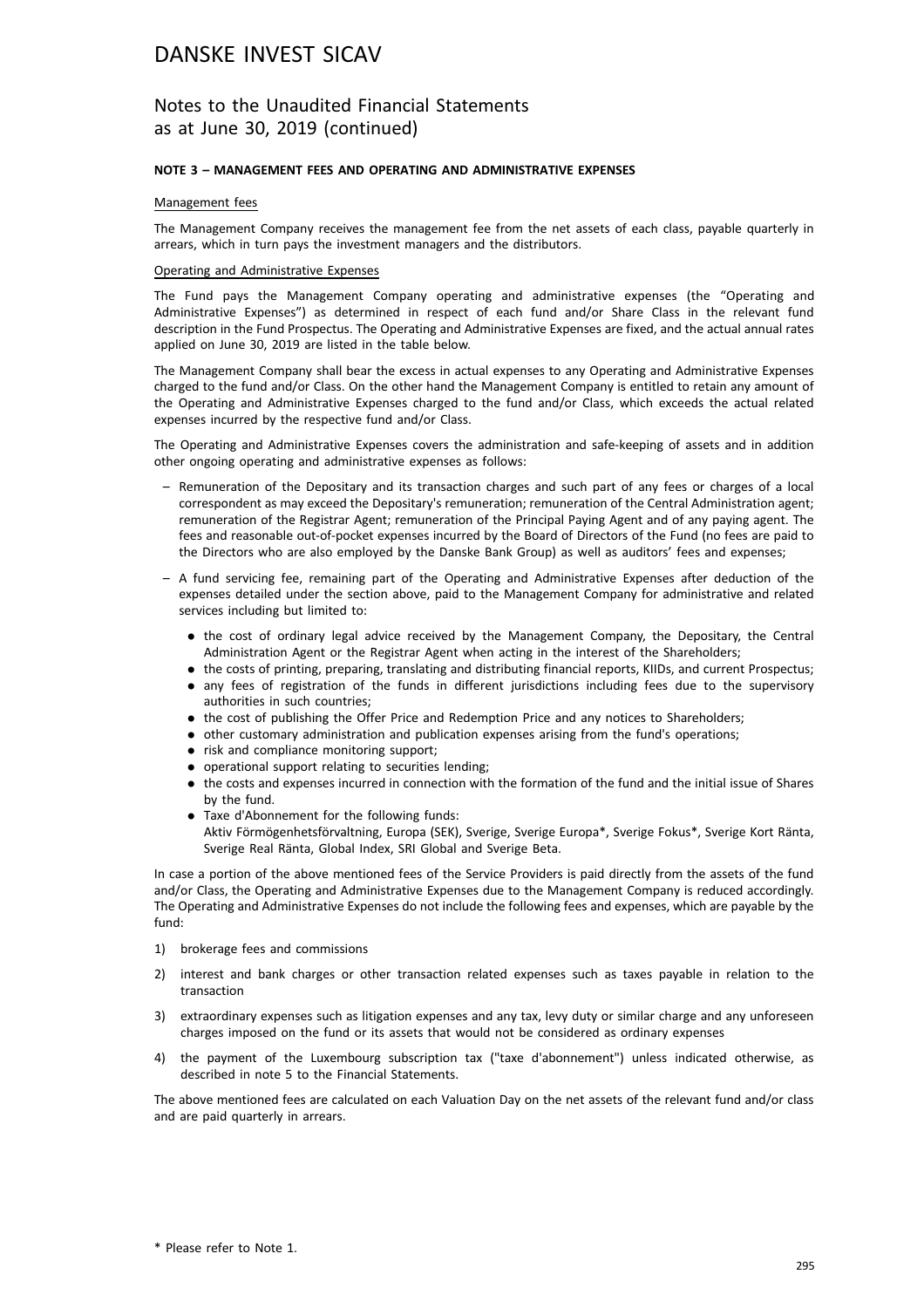### Notes to the Unaudited Financial Statements as at June 30, 2019 (continued)

#### **NOTE 3 – MANAGEMENT FEES AND OPERATING AND ADMINISTRATIVE EXPENSES**

#### Management fees

The Management Company receives the management fee from the net assets of each class, payable quarterly in arrears, which in turn pays the investment managers and the distributors.

#### Operating and Administrative Expenses

The Fund pays the Management Company operating and administrative expenses (the "Operating and Administrative Expenses") as determined in respect of each fund and/or Share Class in the relevant fund description in the Fund Prospectus. The Operating and Administrative Expenses are fixed, and the actual annual rates applied on June 30, 2019 are listed in the table below.

The Management Company shall bear the excess in actual expenses to any Operating and Administrative Expenses charged to the fund and/or Class. On the other hand the Management Company is entitled to retain any amount of the Operating and Administrative Expenses charged to the fund and/or Class, which exceeds the actual related expenses incurred by the respective fund and/or Class.

The Operating and Administrative Expenses covers the administration and safe-keeping of assets and in addition other ongoing operating and administrative expenses as follows:

- Remuneration of the Depositary and its transaction charges and such part of any fees or charges of a local correspondent as may exceed the Depositary's remuneration; remuneration of the Central Administration agent; remuneration of the Registrar Agent; remuneration of the Principal Paying Agent and of any paying agent. The fees and reasonable out-of-pocket expenses incurred by the Board of Directors of the Fund (no fees are paid to the Directors who are also employed by the Danske Bank Group) as well as auditors' fees and expenses;
- A fund servicing fee, remaining part of the Operating and Administrative Expenses after deduction of the expenses detailed under the section above, paid to the Management Company for administrative and related services including but limited to:
	- . the cost of ordinary legal advice received by the Management Company, the Depositary, the Central Administration Agent or the Registrar Agent when acting in the interest of the Shareholders;
	- . the costs of printing, preparing, translating and distributing financial reports, KIIDs, and current Prospectus; . any fees of registration of the funds in different jurisdictions including fees due to the supervisory authorities in such countries;
	- . the cost of publishing the Offer Price and Redemption Price and any notices to Shareholders;
	- . other customary administration and publication expenses arising from the fund's operations;
	- risk and compliance monitoring support;
	- . operational support relating to securities lending;
	- . the costs and expenses incurred in connection with the formation of the fund and the initial issue of Shares by the fund.
	- . Taxe d'Abonnement for the following funds: Aktiv Förmögenhetsförvaltning, Europa (SEK), Sverige, Sverige Europa\*, Sverige Fokus\*, Sverige Kort Ränta, Sverige Real Ränta, Global Index, SRI Global and Sverige Beta.

In case a portion of the above mentioned fees of the Service Providers is paid directly from the assets of the fund and/or Class, the Operating and Administrative Expenses due to the Management Company is reduced accordingly. The Operating and Administrative Expenses do not include the following fees and expenses, which are payable by the fund:

- 1) brokerage fees and commissions
- 2) interest and bank charges or other transaction related expenses such as taxes payable in relation to the transaction
- 3) extraordinary expenses such as litigation expenses and any tax, levy duty or similar charge and any unforeseen charges imposed on the fund or its assets that would not be considered as ordinary expenses
- 4) the payment of the Luxembourg subscription tax ("taxe d'abonnement") unless indicated otherwise, as described in note 5 to the Financial Statements.

The above mentioned fees are calculated on each Valuation Day on the net assets of the relevant fund and/or class and are paid quarterly in arrears.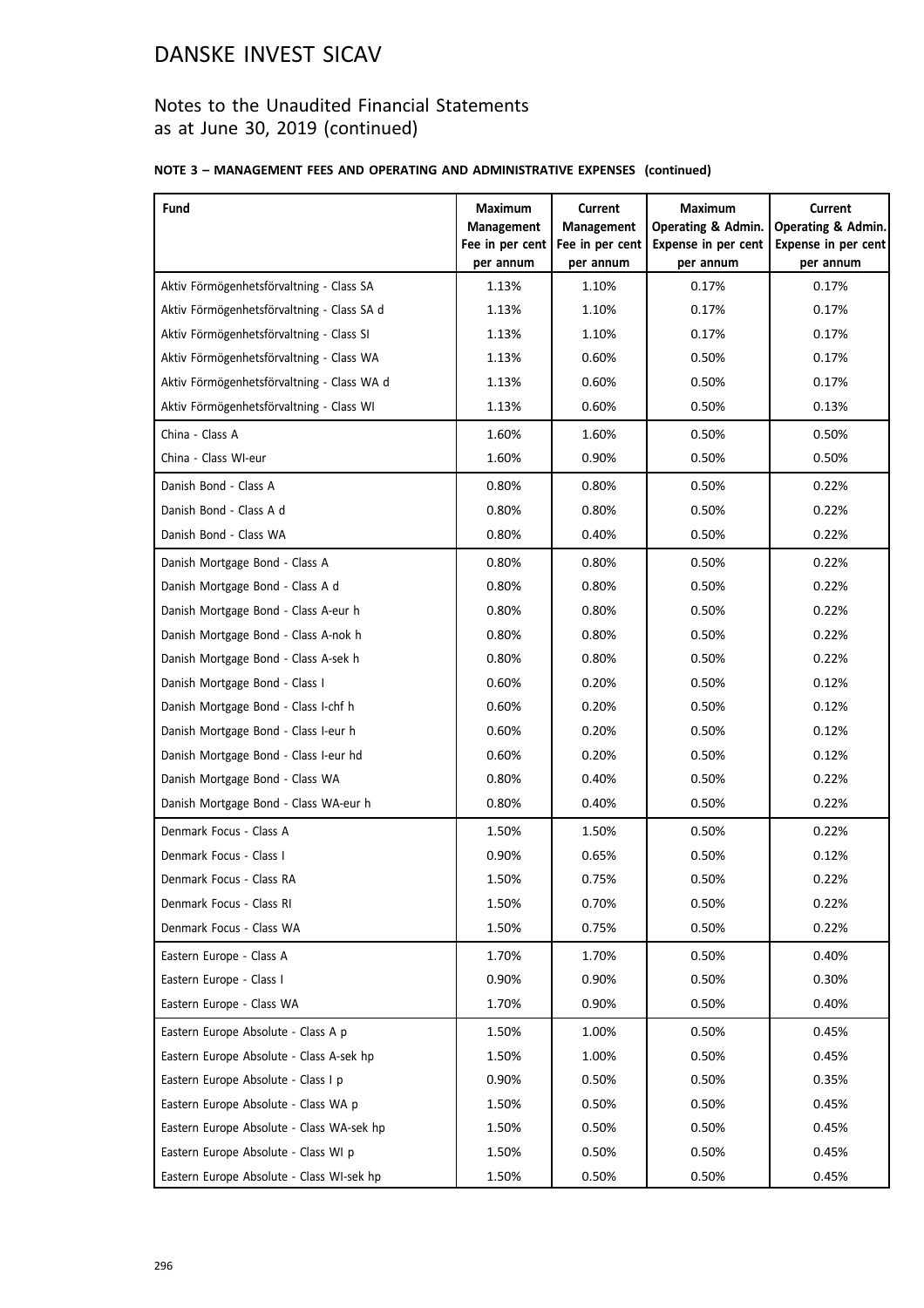## Notes to the Unaudited Financial Statements as at June 30, 2019 (continued)

### **NOTE 3 – MANAGEMENT FEES AND OPERATING AND ADMINISTRATIVE EXPENSES (continued)**

| Fund                                       | Maximum                      | <b>Current</b>               | <b>Maximum</b>                   | <b>Current</b>                   |
|--------------------------------------------|------------------------------|------------------------------|----------------------------------|----------------------------------|
|                                            | <b>Management</b>            | <b>Management</b>            | <b>Operating &amp; Admin.</b>    | <b>Operating &amp; Admin.</b>    |
|                                            | Fee in per cent<br>per annum | Fee in per cent<br>per annum | Expense in per cent<br>per annum | Expense in per cent<br>per annum |
| Aktiv Förmögenhetsförvaltning - Class SA   | 1.13%                        | 1.10%                        | 0.17%                            | 0.17%                            |
| Aktiv Förmögenhetsförvaltning - Class SA d | 1.13%                        | 1.10%                        | 0.17%                            | 0.17%                            |
| Aktiv Förmögenhetsförvaltning - Class SI   | 1.13%                        | 1.10%                        | 0.17%                            | 0.17%                            |
| Aktiv Förmögenhetsförvaltning - Class WA   | 1.13%                        | 0.60%                        | 0.50%                            | 0.17%                            |
| Aktiv Förmögenhetsförvaltning - Class WA d | 1.13%                        | 0.60%                        | 0.50%                            | 0.17%                            |
| Aktiv Förmögenhetsförvaltning - Class WI   | 1.13%                        | 0.60%                        | 0.50%                            | 0.13%                            |
| China - Class A                            | 1.60%                        | 1.60%                        | 0.50%                            | 0.50%                            |
| China - Class WI-eur                       | 1.60%                        | 0.90%                        | 0.50%                            | 0.50%                            |
| Danish Bond - Class A                      | 0.80%                        | 0.80%                        | 0.50%                            | 0.22%                            |
| Danish Bond - Class A d                    | 0.80%                        | 0.80%                        | 0.50%                            | 0.22%                            |
| Danish Bond - Class WA                     | 0.80%                        | 0.40%                        | 0.50%                            | 0.22%                            |
| Danish Mortgage Bond - Class A             | 0.80%                        | 0.80%                        | 0.50%                            | 0.22%                            |
| Danish Mortgage Bond - Class A d           | 0.80%                        | 0.80%                        | 0.50%                            | 0.22%                            |
| Danish Mortgage Bond - Class A-eur h       | 0.80%                        | 0.80%                        | 0.50%                            | 0.22%                            |
| Danish Mortgage Bond - Class A-nok h       | 0.80%                        | 0.80%                        | 0.50%                            | 0.22%                            |
| Danish Mortgage Bond - Class A-sek h       | 0.80%                        | 0.80%                        | 0.50%                            | 0.22%                            |
| Danish Mortgage Bond - Class I             | 0.60%                        | 0.20%                        | 0.50%                            | 0.12%                            |
| Danish Mortgage Bond - Class I-chf h       | 0.60%                        | 0.20%                        | 0.50%                            | 0.12%                            |
| Danish Mortgage Bond - Class I-eur h       | 0.60%                        | 0.20%                        | 0.50%                            | 0.12%                            |
| Danish Mortgage Bond - Class I-eur hd      | 0.60%                        | 0.20%                        | 0.50%                            | 0.12%                            |
| Danish Mortgage Bond - Class WA            | 0.80%                        | 0.40%                        | 0.50%                            | 0.22%                            |
| Danish Mortgage Bond - Class WA-eur h      | 0.80%                        | 0.40%                        | 0.50%                            | 0.22%                            |
| Denmark Focus - Class A                    | 1.50%                        | 1.50%                        | 0.50%                            | 0.22%                            |
| Denmark Focus - Class I                    | 0.90%                        | 0.65%                        | 0.50%                            | 0.12%                            |
| Denmark Focus - Class RA                   | 1.50%                        | 0.75%                        | 0.50%                            | 0.22%                            |
| Denmark Focus - Class RI                   | 1.50%                        | 0.70%                        | 0.50%                            | 0.22%                            |
| Denmark Focus - Class WA                   | 1.50%                        | 0.75%                        | 0.50%                            | 0.22%                            |
| Eastern Europe - Class A                   | 1.70%                        | 1.70%                        | 0.50%                            | 0.40%                            |
| Eastern Europe - Class I                   | 0.90%                        | 0.90%                        | 0.50%                            | 0.30%                            |
| Eastern Europe - Class WA                  | 1.70%                        | 0.90%                        | 0.50%                            | 0.40%                            |
| Eastern Europe Absolute - Class A p        | 1.50%                        | 1.00%                        | 0.50%                            | 0.45%                            |
| Eastern Europe Absolute - Class A-sek hp   | 1.50%                        | 1.00%                        | 0.50%                            | 0.45%                            |
| Eastern Europe Absolute - Class I p        | 0.90%                        | 0.50%                        | 0.50%                            | 0.35%                            |
| Eastern Europe Absolute - Class WA p       | 1.50%                        | 0.50%                        | 0.50%                            | 0.45%                            |
| Eastern Europe Absolute - Class WA-sek hp  | 1.50%                        | 0.50%                        | 0.50%                            | 0.45%                            |
| Eastern Europe Absolute - Class WI p       | 1.50%                        | 0.50%                        | 0.50%                            | 0.45%                            |
| Eastern Europe Absolute - Class WI-sek hp  | 1.50%                        | 0.50%                        | 0.50%                            | 0.45%                            |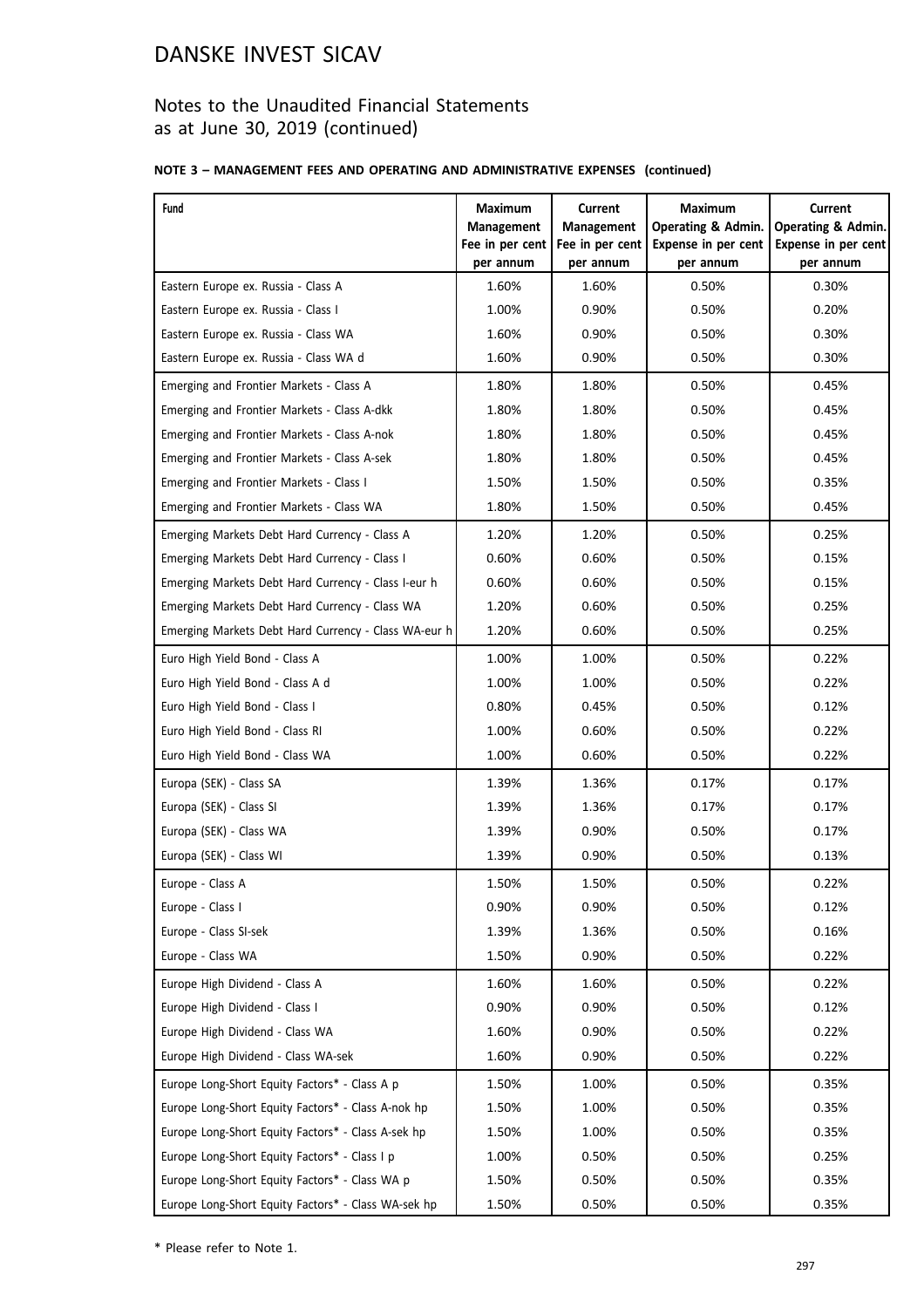## Notes to the Unaudited Financial Statements as at June 30, 2019 (continued)

### **NOTE 3 – MANAGEMENT FEES AND OPERATING AND ADMINISTRATIVE EXPENSES (continued)**

| Fund                                                 | Maximum                      | Current                      | <b>Maximum</b>                   | Current                          |
|------------------------------------------------------|------------------------------|------------------------------|----------------------------------|----------------------------------|
|                                                      | <b>Management</b>            | <b>Management</b>            | Operating & Admin.               | <b>Operating &amp; Admin.</b>    |
|                                                      | Fee in per cent<br>per annum | Fee in per cent<br>per annum | Expense in per cent<br>per annum | Expense in per cent<br>per annum |
| Eastern Europe ex. Russia - Class A                  | 1.60%                        | 1.60%                        | 0.50%                            | 0.30%                            |
| Eastern Europe ex. Russia - Class I                  | 1.00%                        | 0.90%                        | 0.50%                            | 0.20%                            |
| Eastern Europe ex. Russia - Class WA                 | 1.60%                        | 0.90%                        | 0.50%                            | 0.30%                            |
| Eastern Europe ex. Russia - Class WA d               | 1.60%                        | 0.90%                        | 0.50%                            | 0.30%                            |
| Emerging and Frontier Markets - Class A              | 1.80%                        | 1.80%                        | 0.50%                            | 0.45%                            |
| Emerging and Frontier Markets - Class A-dkk          | 1.80%                        | 1.80%                        | 0.50%                            | 0.45%                            |
| Emerging and Frontier Markets - Class A-nok          | 1.80%                        | 1.80%                        | 0.50%                            | 0.45%                            |
| Emerging and Frontier Markets - Class A-sek          | 1.80%                        | 1.80%                        | 0.50%                            | 0.45%                            |
| Emerging and Frontier Markets - Class I              | 1.50%                        | 1.50%                        | 0.50%                            | 0.35%                            |
| Emerging and Frontier Markets - Class WA             | 1.80%                        | 1.50%                        | 0.50%                            | 0.45%                            |
| Emerging Markets Debt Hard Currency - Class A        | 1.20%                        | 1.20%                        | 0.50%                            | 0.25%                            |
| Emerging Markets Debt Hard Currency - Class I        | 0.60%                        | 0.60%                        | 0.50%                            | 0.15%                            |
| Emerging Markets Debt Hard Currency - Class I-eur h  | 0.60%                        | 0.60%                        | 0.50%                            | 0.15%                            |
| Emerging Markets Debt Hard Currency - Class WA       | 1.20%                        | 0.60%                        | 0.50%                            | 0.25%                            |
| Emerging Markets Debt Hard Currency - Class WA-eur h | 1.20%                        | 0.60%                        | 0.50%                            | 0.25%                            |
| Euro High Yield Bond - Class A                       | 1.00%                        | 1.00%                        | 0.50%                            | 0.22%                            |
| Euro High Yield Bond - Class A d                     | 1.00%                        | 1.00%                        | 0.50%                            | 0.22%                            |
| Euro High Yield Bond - Class I                       | 0.80%                        | 0.45%                        | 0.50%                            | 0.12%                            |
| Euro High Yield Bond - Class RI                      | 1.00%                        | 0.60%                        | 0.50%                            | 0.22%                            |
| Euro High Yield Bond - Class WA                      | 1.00%                        | 0.60%                        | 0.50%                            | 0.22%                            |
| Europa (SEK) - Class SA                              | 1.39%                        | 1.36%                        | 0.17%                            | 0.17%                            |
| Europa (SEK) - Class SI                              | 1.39%                        | 1.36%                        | 0.17%                            | 0.17%                            |
| Europa (SEK) - Class WA                              | 1.39%                        | 0.90%                        | 0.50%                            | 0.17%                            |
| Europa (SEK) - Class WI                              | 1.39%                        | 0.90%                        | 0.50%                            | 0.13%                            |
| Europe - Class A                                     | 1.50%                        | 1.50%                        | 0.50%                            | 0.22%                            |
| Europe - Class I                                     | 0.90%                        | 0.90%                        | 0.50%                            | 0.12%                            |
| Europe - Class SI-sek                                | 1.39%                        | 1.36%                        | 0.50%                            | 0.16%                            |
| Europe - Class WA                                    | 1.50%                        | 0.90%                        | 0.50%                            | 0.22%                            |
| Europe High Dividend - Class A                       | 1.60%                        | 1.60%                        | 0.50%                            | 0.22%                            |
| Europe High Dividend - Class I                       | 0.90%                        | 0.90%                        | 0.50%                            | 0.12%                            |
| Europe High Dividend - Class WA                      | 1.60%                        | 0.90%                        | 0.50%                            | 0.22%                            |
| Europe High Dividend - Class WA-sek                  | 1.60%                        | 0.90%                        | 0.50%                            | 0.22%                            |
| Europe Long-Short Equity Factors* - Class A p        | 1.50%                        | 1.00%                        | 0.50%                            | 0.35%                            |
| Europe Long-Short Equity Factors* - Class A-nok hp   | 1.50%                        | 1.00%                        | 0.50%                            | 0.35%                            |
| Europe Long-Short Equity Factors* - Class A-sek hp   | 1.50%                        | 1.00%                        | 0.50%                            | 0.35%                            |
| Europe Long-Short Equity Factors* - Class I p        | 1.00%                        | 0.50%                        | 0.50%                            | 0.25%                            |
| Europe Long-Short Equity Factors* - Class WA p       | 1.50%                        | 0.50%                        | 0.50%                            | 0.35%                            |
| Europe Long-Short Equity Factors* - Class WA-sek hp  | 1.50%                        | 0.50%                        | 0.50%                            | 0.35%                            |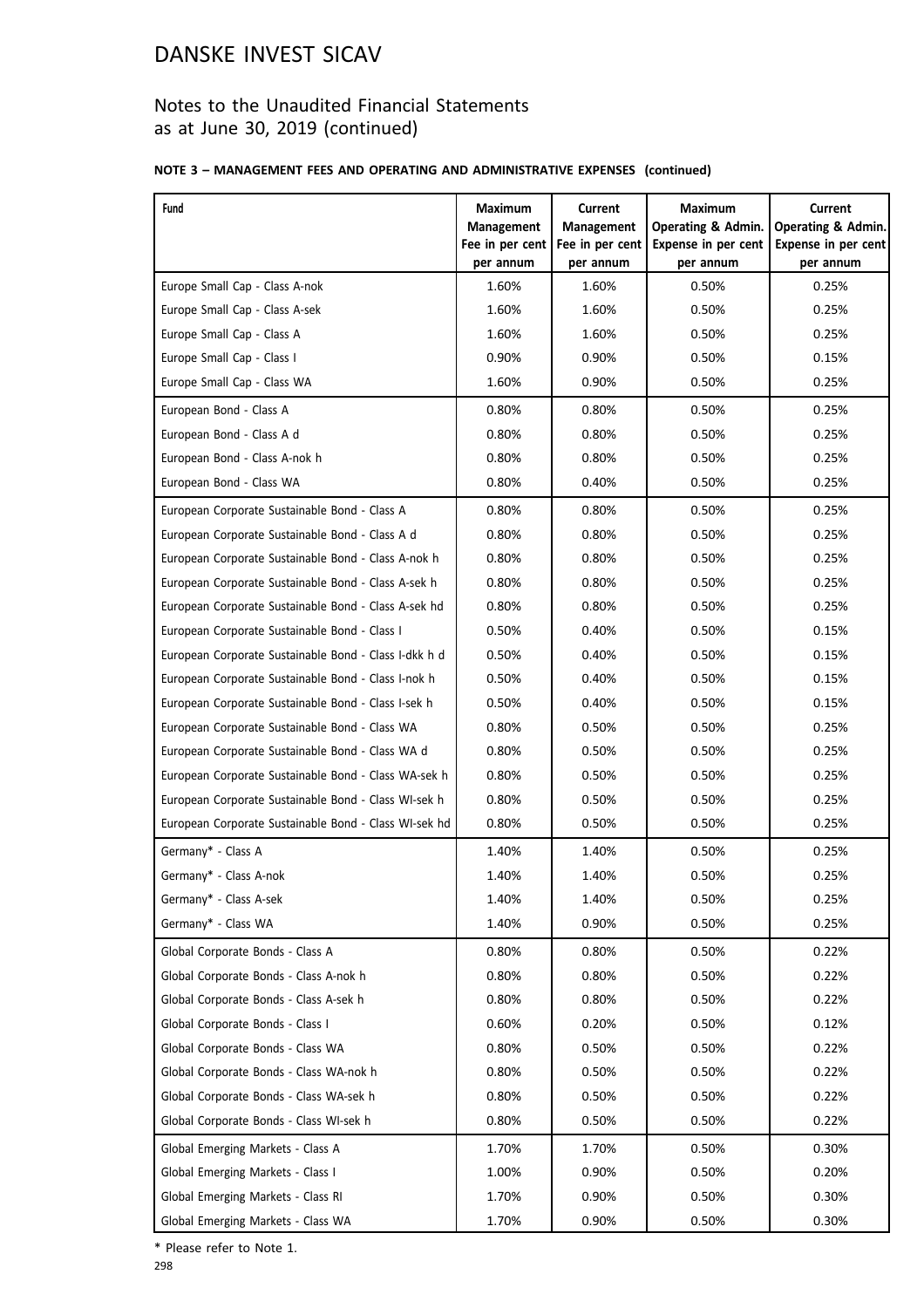## Notes to the Unaudited Financial Statements as at June 30, 2019 (continued)

### **NOTE 3 – MANAGEMENT FEES AND OPERATING AND ADMINISTRATIVE EXPENSES (continued)**

| Fund                                                  | Maximum<br><b>Management</b> | <b>Current</b><br><b>Management</b> | <b>Maximum</b><br>Operating & Admin.    | <b>Current</b><br><b>Operating &amp; Admin.</b> |
|-------------------------------------------------------|------------------------------|-------------------------------------|-----------------------------------------|-------------------------------------------------|
|                                                       | Fee in per cent<br>per annum | Fee in per cent<br>per annum        | <b>Expense in per cent</b><br>per annum | Expense in per cent<br>per annum                |
| Europe Small Cap - Class A-nok                        | 1.60%                        | 1.60%                               | 0.50%                                   | 0.25%                                           |
| Europe Small Cap - Class A-sek                        | 1.60%                        | 1.60%                               | 0.50%                                   | 0.25%                                           |
| Europe Small Cap - Class A                            | 1.60%                        | 1.60%                               | 0.50%                                   | 0.25%                                           |
| Europe Small Cap - Class I                            | 0.90%                        | 0.90%                               | 0.50%                                   | 0.15%                                           |
| Europe Small Cap - Class WA                           | 1.60%                        | 0.90%                               | 0.50%                                   | 0.25%                                           |
| European Bond - Class A                               | 0.80%                        | 0.80%                               | 0.50%                                   | 0.25%                                           |
| European Bond - Class A d                             | 0.80%                        | 0.80%                               | 0.50%                                   | 0.25%                                           |
| European Bond - Class A-nok h                         | 0.80%                        | 0.80%                               | 0.50%                                   | 0.25%                                           |
| European Bond - Class WA                              | 0.80%                        | 0.40%                               | 0.50%                                   | 0.25%                                           |
| European Corporate Sustainable Bond - Class A         | 0.80%                        | 0.80%                               | 0.50%                                   | 0.25%                                           |
| European Corporate Sustainable Bond - Class A d       | 0.80%                        | 0.80%                               | 0.50%                                   | 0.25%                                           |
| European Corporate Sustainable Bond - Class A-nok h   | 0.80%                        | 0.80%                               | 0.50%                                   | 0.25%                                           |
| European Corporate Sustainable Bond - Class A-sek h   | 0.80%                        | 0.80%                               | 0.50%                                   | 0.25%                                           |
| European Corporate Sustainable Bond - Class A-sek hd  | 0.80%                        | 0.80%                               | 0.50%                                   | 0.25%                                           |
| European Corporate Sustainable Bond - Class I         | 0.50%                        | 0.40%                               | 0.50%                                   | 0.15%                                           |
| European Corporate Sustainable Bond - Class I-dkk h d | 0.50%                        | 0.40%                               | 0.50%                                   | 0.15%                                           |
| European Corporate Sustainable Bond - Class I-nok h   | 0.50%                        | 0.40%                               | 0.50%                                   | 0.15%                                           |
| European Corporate Sustainable Bond - Class I-sek h   | 0.50%                        | 0.40%                               | 0.50%                                   | 0.15%                                           |
| European Corporate Sustainable Bond - Class WA        | 0.80%                        | 0.50%                               | 0.50%                                   | 0.25%                                           |
| European Corporate Sustainable Bond - Class WA d      | 0.80%                        | 0.50%                               | 0.50%                                   | 0.25%                                           |
| European Corporate Sustainable Bond - Class WA-sek h  | 0.80%                        | 0.50%                               | 0.50%                                   | 0.25%                                           |
| European Corporate Sustainable Bond - Class WI-sek h  | 0.80%                        | 0.50%                               | 0.50%                                   | 0.25%                                           |
| European Corporate Sustainable Bond - Class WI-sek hd | 0.80%                        | 0.50%                               | 0.50%                                   | 0.25%                                           |
| Germany* - Class A                                    | 1.40%                        | 1.40%                               | 0.50%                                   | 0.25%                                           |
| Germany* - Class A-nok                                | 1.40%                        | 1.40%                               | 0.50%                                   | 0.25%                                           |
| Germany* - Class A-sek                                | 1.40%                        | 1.40%                               | 0.50%                                   | 0.25%                                           |
| Germany* - Class WA                                   | 1.40%                        | 0.90%                               | 0.50%                                   | 0.25%                                           |
| Global Corporate Bonds - Class A                      | 0.80%                        | 0.80%                               | 0.50%                                   | 0.22%                                           |
| Global Corporate Bonds - Class A-nok h                | 0.80%                        | 0.80%                               | 0.50%                                   | 0.22%                                           |
| Global Corporate Bonds - Class A-sek h                | 0.80%                        | 0.80%                               | 0.50%                                   | 0.22%                                           |
| Global Corporate Bonds - Class I                      | 0.60%                        | 0.20%                               | 0.50%                                   | 0.12%                                           |
| Global Corporate Bonds - Class WA                     | 0.80%                        | 0.50%                               | 0.50%                                   | 0.22%                                           |
| Global Corporate Bonds - Class WA-nok h               | 0.80%                        | 0.50%                               | 0.50%                                   | 0.22%                                           |
| Global Corporate Bonds - Class WA-sek h               | 0.80%                        | 0.50%                               | 0.50%                                   | 0.22%                                           |
| Global Corporate Bonds - Class WI-sek h               | 0.80%                        | 0.50%                               | 0.50%                                   | 0.22%                                           |
| Global Emerging Markets - Class A                     | 1.70%                        | 1.70%                               | 0.50%                                   | 0.30%                                           |
| Global Emerging Markets - Class I                     | 1.00%                        | 0.90%                               | 0.50%                                   | 0.20%                                           |
| Global Emerging Markets - Class RI                    | 1.70%                        | 0.90%                               | 0.50%                                   | 0.30%                                           |
| Global Emerging Markets - Class WA                    | 1.70%                        | 0.90%                               | 0.50%                                   | 0.30%                                           |

\* Please refer to Note 1.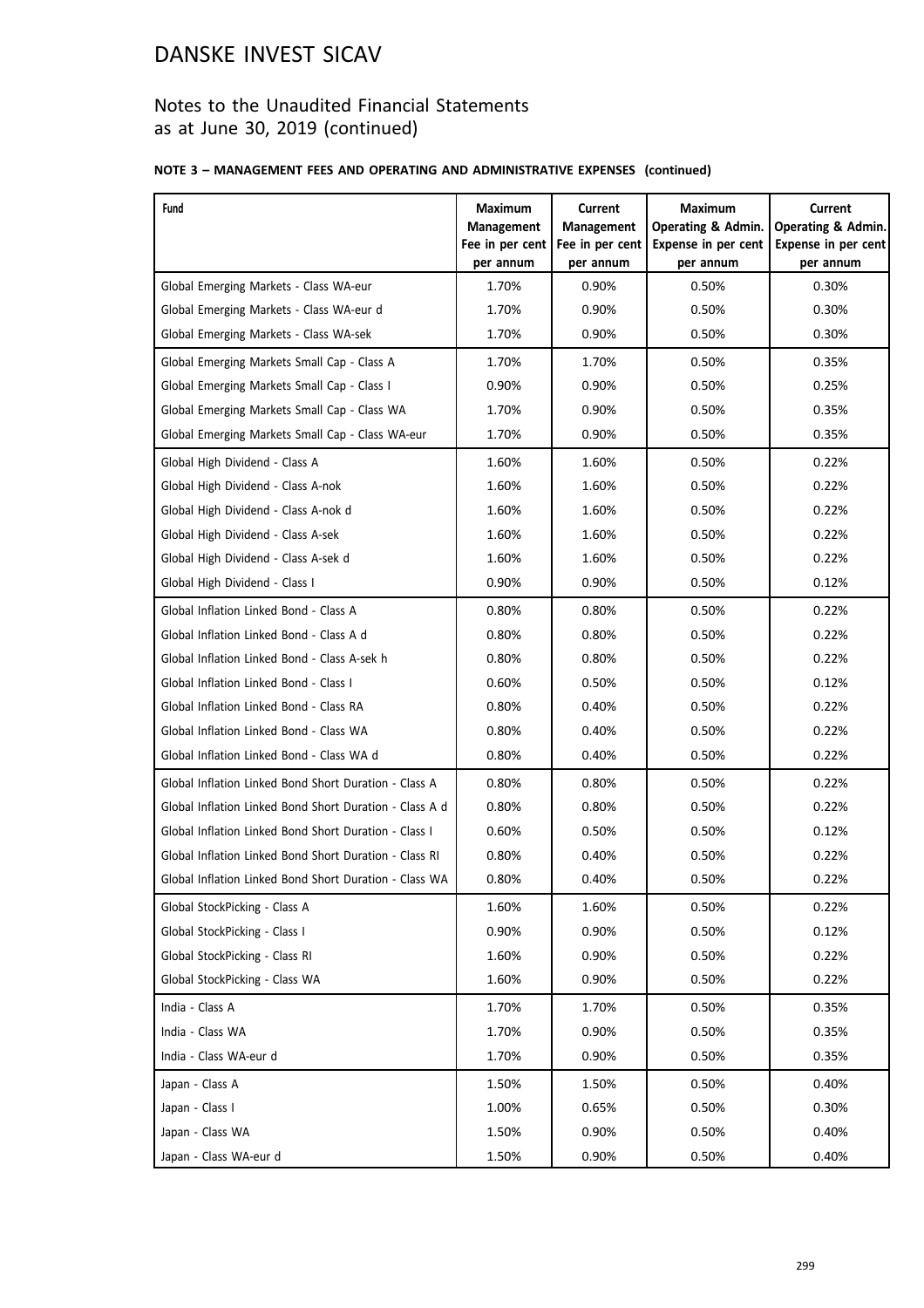## Notes to the Unaudited Financial Statements as at June 30, 2019 (continued)

### **NOTE 3 – MANAGEMENT FEES AND OPERATING AND ADMINISTRATIVE EXPENSES (continued)**

| Fund                                                    | <b>Maximum</b><br><b>Management</b><br>Fee in per cent | <b>Current</b><br>Management<br>Fee in per cent | <b>Maximum</b><br>Operating & Admin.<br>Expense in per cent | <b>Current</b><br><b>Operating &amp; Admin.</b><br>Expense in per cent |
|---------------------------------------------------------|--------------------------------------------------------|-------------------------------------------------|-------------------------------------------------------------|------------------------------------------------------------------------|
| Global Emerging Markets - Class WA-eur                  | per annum<br>1.70%                                     | per annum<br>0.90%                              | per annum<br>0.50%                                          | per annum<br>0.30%                                                     |
| Global Emerging Markets - Class WA-eur d                | 1.70%                                                  | 0.90%                                           | 0.50%                                                       | 0.30%                                                                  |
| Global Emerging Markets - Class WA-sek                  | 1.70%                                                  | 0.90%                                           | 0.50%                                                       | 0.30%                                                                  |
|                                                         |                                                        | 1.70%                                           |                                                             |                                                                        |
| Global Emerging Markets Small Cap - Class A             | 1.70%                                                  |                                                 | 0.50%                                                       | 0.35%                                                                  |
| Global Emerging Markets Small Cap - Class I             | 0.90%                                                  | 0.90%                                           | 0.50%                                                       | 0.25%                                                                  |
| Global Emerging Markets Small Cap - Class WA            | 1.70%                                                  | 0.90%                                           | 0.50%                                                       | 0.35%                                                                  |
| Global Emerging Markets Small Cap - Class WA-eur        | 1.70%                                                  | 0.90%                                           | 0.50%                                                       | 0.35%                                                                  |
| Global High Dividend - Class A                          | 1.60%                                                  | 1.60%                                           | 0.50%                                                       | 0.22%                                                                  |
| Global High Dividend - Class A-nok                      | 1.60%                                                  | 1.60%                                           | 0.50%                                                       | 0.22%                                                                  |
| Global High Dividend - Class A-nok d                    | 1.60%                                                  | 1.60%                                           | 0.50%                                                       | 0.22%                                                                  |
| Global High Dividend - Class A-sek                      | 1.60%                                                  | 1.60%                                           | 0.50%                                                       | 0.22%                                                                  |
| Global High Dividend - Class A-sek d                    | 1.60%                                                  | 1.60%                                           | 0.50%                                                       | 0.22%                                                                  |
| Global High Dividend - Class I                          | 0.90%                                                  | 0.90%                                           | 0.50%                                                       | 0.12%                                                                  |
| Global Inflation Linked Bond - Class A                  | 0.80%                                                  | 0.80%                                           | 0.50%                                                       | 0.22%                                                                  |
| Global Inflation Linked Bond - Class A d                | 0.80%                                                  | 0.80%                                           | 0.50%                                                       | 0.22%                                                                  |
| Global Inflation Linked Bond - Class A-sek h            | 0.80%                                                  | 0.80%                                           | 0.50%                                                       | 0.22%                                                                  |
| Global Inflation Linked Bond - Class I                  | 0.60%                                                  | 0.50%                                           | 0.50%                                                       | 0.12%                                                                  |
| Global Inflation Linked Bond - Class RA                 | 0.80%                                                  | 0.40%                                           | 0.50%                                                       | 0.22%                                                                  |
| Global Inflation Linked Bond - Class WA                 | 0.80%                                                  | 0.40%                                           | 0.50%                                                       | 0.22%                                                                  |
| Global Inflation Linked Bond - Class WA d               | 0.80%                                                  | 0.40%                                           | 0.50%                                                       | 0.22%                                                                  |
| Global Inflation Linked Bond Short Duration - Class A   | 0.80%                                                  | 0.80%                                           | 0.50%                                                       | 0.22%                                                                  |
| Global Inflation Linked Bond Short Duration - Class A d | 0.80%                                                  | 0.80%                                           | 0.50%                                                       | 0.22%                                                                  |
| Global Inflation Linked Bond Short Duration - Class I   | 0.60%                                                  | 0.50%                                           | 0.50%                                                       | 0.12%                                                                  |
| Global Inflation Linked Bond Short Duration - Class RI  | 0.80%                                                  | 0.40%                                           | 0.50%                                                       | 0.22%                                                                  |
| Global Inflation Linked Bond Short Duration - Class WA  | 0.80%                                                  | 0.40%                                           | 0.50%                                                       | 0.22%                                                                  |
| Global StockPicking - Class A                           | 1.60%                                                  | 1.60%                                           | 0.50%                                                       | 0.22%                                                                  |
| Global StockPicking - Class I                           | 0.90%                                                  | 0.90%                                           | 0.50%                                                       | 0.12%                                                                  |
| Global StockPicking - Class RI                          | 1.60%                                                  | 0.90%                                           | 0.50%                                                       | 0.22%                                                                  |
| Global StockPicking - Class WA                          | 1.60%                                                  | 0.90%                                           | 0.50%                                                       | 0.22%                                                                  |
| India - Class A                                         | 1.70%                                                  | 1.70%                                           | 0.50%                                                       | 0.35%                                                                  |
| India - Class WA                                        | 1.70%                                                  | 0.90%                                           | 0.50%                                                       | 0.35%                                                                  |
| India - Class WA-eur d                                  | 1.70%                                                  | 0.90%                                           | 0.50%                                                       | 0.35%                                                                  |
| Japan - Class A                                         | 1.50%                                                  | 1.50%                                           | 0.50%                                                       | 0.40%                                                                  |
| Japan - Class I                                         | 1.00%                                                  | 0.65%                                           | 0.50%                                                       | 0.30%                                                                  |
| Japan - Class WA                                        | 1.50%                                                  | 0.90%                                           | 0.50%                                                       | 0.40%                                                                  |
| Japan - Class WA-eur d                                  | 1.50%                                                  | 0.90%                                           | 0.50%                                                       | 0.40%                                                                  |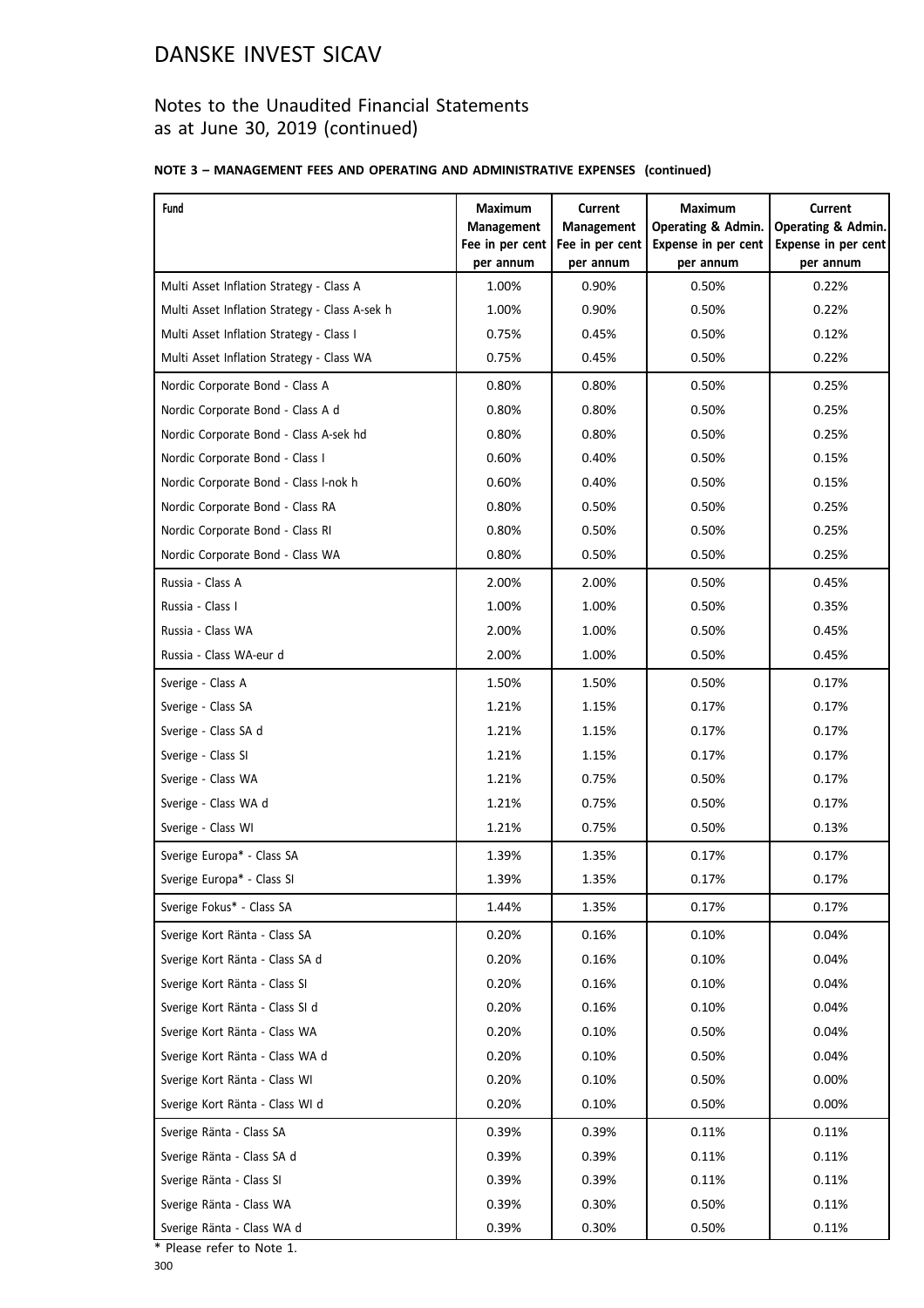## Notes to the Unaudited Financial Statements as at June 30, 2019 (continued)

### **NOTE 3 – MANAGEMENT FEES AND OPERATING AND ADMINISTRATIVE EXPENSES (continued)**

| Fund                                           | <b>Maximum</b><br>Management | <b>Current</b><br><b>Management</b> | <b>Maximum</b><br><b>Operating &amp; Admin.</b> | <b>Current</b><br><b>Operating &amp; Admin.</b> |
|------------------------------------------------|------------------------------|-------------------------------------|-------------------------------------------------|-------------------------------------------------|
|                                                | Fee in per cent<br>per annum | Fee in per cent<br>per annum        | Expense in per cent<br>per annum                | Expense in per cent<br>per annum                |
| Multi Asset Inflation Strategy - Class A       | 1.00%                        | 0.90%                               | 0.50%                                           | 0.22%                                           |
| Multi Asset Inflation Strategy - Class A-sek h | 1.00%                        | 0.90%                               | 0.50%                                           | 0.22%                                           |
| Multi Asset Inflation Strategy - Class I       | 0.75%                        | 0.45%                               | 0.50%                                           | 0.12%                                           |
| Multi Asset Inflation Strategy - Class WA      | 0.75%                        | 0.45%                               | 0.50%                                           | 0.22%                                           |
| Nordic Corporate Bond - Class A                | 0.80%                        | 0.80%                               | 0.50%                                           | 0.25%                                           |
| Nordic Corporate Bond - Class A d              | 0.80%                        | 0.80%                               | 0.50%                                           | 0.25%                                           |
| Nordic Corporate Bond - Class A-sek hd         | 0.80%                        | 0.80%                               | 0.50%                                           | 0.25%                                           |
| Nordic Corporate Bond - Class I                | 0.60%                        | 0.40%                               | 0.50%                                           | 0.15%                                           |
| Nordic Corporate Bond - Class I-nok h          | 0.60%                        | 0.40%                               | 0.50%                                           | 0.15%                                           |
| Nordic Corporate Bond - Class RA               | 0.80%                        | 0.50%                               | 0.50%                                           | 0.25%                                           |
| Nordic Corporate Bond - Class RI               | 0.80%                        | 0.50%                               | 0.50%                                           | 0.25%                                           |
| Nordic Corporate Bond - Class WA               | 0.80%                        | 0.50%                               | 0.50%                                           | 0.25%                                           |
| Russia - Class A                               | 2.00%                        | 2.00%                               | 0.50%                                           | 0.45%                                           |
| Russia - Class I                               | 1.00%                        | 1.00%                               | 0.50%                                           | 0.35%                                           |
| Russia - Class WA                              | 2.00%                        | 1.00%                               | 0.50%                                           | 0.45%                                           |
| Russia - Class WA-eur d                        | 2.00%                        | 1.00%                               | 0.50%                                           | 0.45%                                           |
| Sverige - Class A                              | 1.50%                        | 1.50%                               | 0.50%                                           | 0.17%                                           |
| Sverige - Class SA                             | 1.21%                        | 1.15%                               | 0.17%                                           | 0.17%                                           |
| Sverige - Class SA d                           | 1.21%                        | 1.15%                               | 0.17%                                           | 0.17%                                           |
| Sverige - Class SI                             | 1.21%                        | 1.15%                               | 0.17%                                           | 0.17%                                           |
| Sverige - Class WA                             | 1.21%                        | 0.75%                               | 0.50%                                           | 0.17%                                           |
| Sverige - Class WA d                           | 1.21%                        | 0.75%                               | 0.50%                                           | 0.17%                                           |
| Sverige - Class WI                             | 1.21%                        | 0.75%                               | 0.50%                                           | 0.13%                                           |
| Sverige Europa* - Class SA                     | 1.39%                        | 1.35%                               | 0.17%                                           | 0.17%                                           |
| Sverige Europa* - Class SI                     | 1.39%                        | 1.35%                               | 0.17%                                           | 0.17%                                           |
| Sverige Fokus* - Class SA                      | 1.44%                        | 1.35%                               | 0.17%                                           | 0.17%                                           |
| Sverige Kort Ränta - Class SA                  | 0.20%                        | 0.16%                               | 0.10%                                           | 0.04%                                           |
| Sverige Kort Ränta - Class SA d                | 0.20%                        | 0.16%                               | 0.10%                                           | 0.04%                                           |
| Sverige Kort Ränta - Class SI                  | 0.20%                        | 0.16%                               | 0.10%                                           | 0.04%                                           |
| Sverige Kort Ränta - Class SI d                | 0.20%                        | 0.16%                               | 0.10%                                           | 0.04%                                           |
| Sverige Kort Ränta - Class WA                  | 0.20%                        | 0.10%                               | 0.50%                                           | 0.04%                                           |
| Sverige Kort Ränta - Class WA d                | 0.20%                        | 0.10%                               | 0.50%                                           | 0.04%                                           |
| Sverige Kort Ränta - Class WI                  | 0.20%                        | 0.10%                               | 0.50%                                           | 0.00%                                           |
| Sverige Kort Ränta - Class WI d                | 0.20%                        | 0.10%                               | 0.50%                                           | 0.00%                                           |
| Sverige Ränta - Class SA                       | 0.39%                        | 0.39%                               | 0.11%                                           | 0.11%                                           |
| Sverige Ränta - Class SA d                     | 0.39%                        | 0.39%                               | 0.11%                                           | 0.11%                                           |
| Sverige Ränta - Class SI                       | 0.39%                        | 0.39%                               | 0.11%                                           | 0.11%                                           |
| Sverige Ränta - Class WA                       | 0.39%                        | 0.30%                               | 0.50%                                           | 0.11%                                           |
| Sverige Ränta - Class WA d                     | 0.39%                        | 0.30%                               | 0.50%                                           | 0.11%                                           |

\* Please refer to Note 1.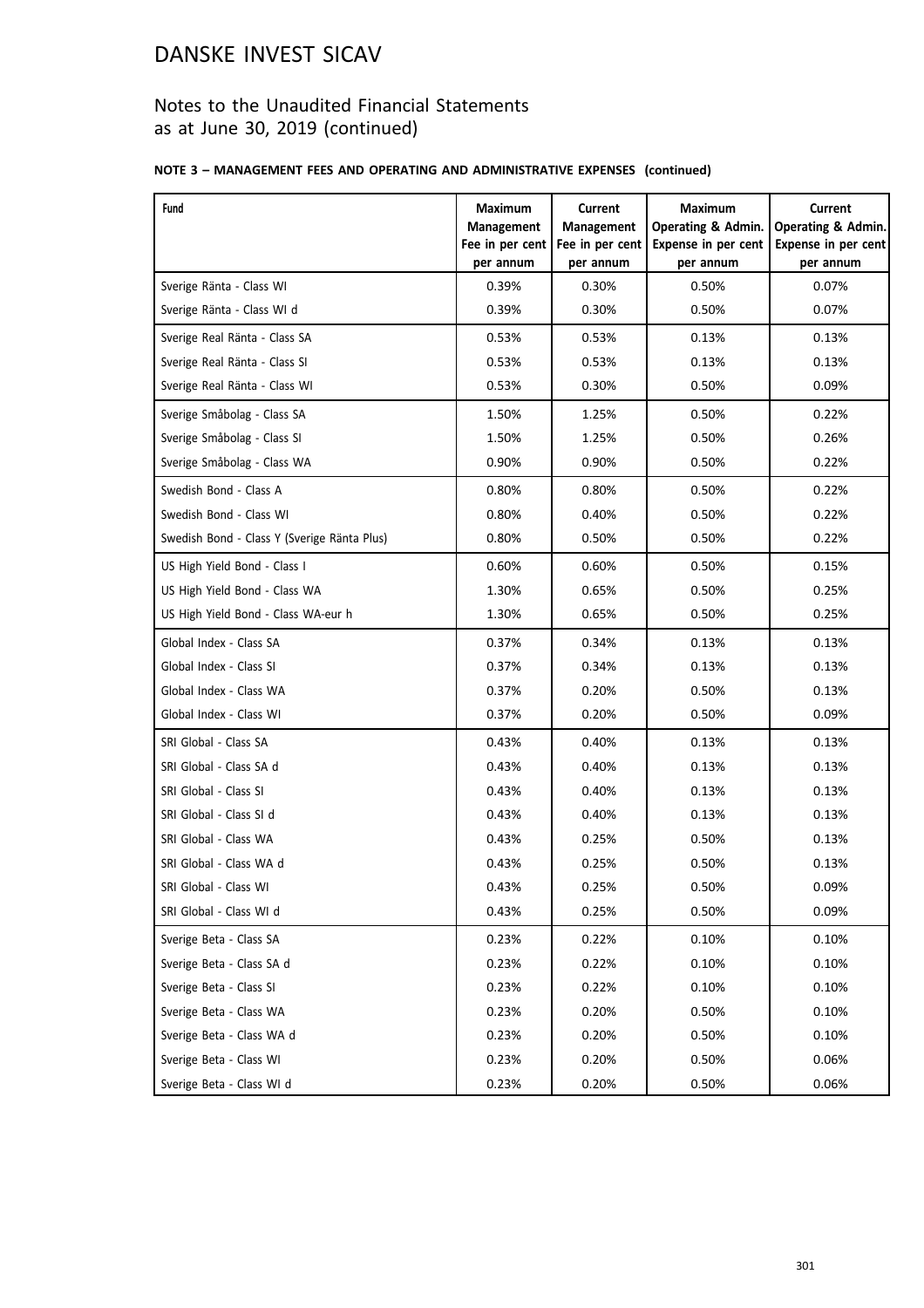## Notes to the Unaudited Financial Statements as at June 30, 2019 (continued)

### **NOTE 3 – MANAGEMENT FEES AND OPERATING AND ADMINISTRATIVE EXPENSES (continued)**

| Fund                                        | Maximum<br><b>Management</b><br>Fee in per cent<br>per annum | Current<br><b>Management</b><br>Fee in per cent<br>per annum | <b>Maximum</b><br><b>Operating &amp; Admin.</b><br>Expense in per cent<br>per annum | <b>Current</b><br><b>Operating &amp; Admin.</b><br>Expense in per cent<br>per annum |
|---------------------------------------------|--------------------------------------------------------------|--------------------------------------------------------------|-------------------------------------------------------------------------------------|-------------------------------------------------------------------------------------|
| Sverige Ränta - Class WI                    | 0.39%                                                        | 0.30%                                                        | 0.50%                                                                               | 0.07%                                                                               |
| Sverige Ränta - Class WI d                  | 0.39%                                                        | 0.30%                                                        | 0.50%                                                                               | 0.07%                                                                               |
| Sverige Real Ränta - Class SA               | 0.53%                                                        | 0.53%                                                        | 0.13%                                                                               | 0.13%                                                                               |
| Sverige Real Ränta - Class SI               | 0.53%                                                        | 0.53%                                                        | 0.13%                                                                               | 0.13%                                                                               |
| Sverige Real Ränta - Class WI               | 0.53%                                                        | 0.30%                                                        | 0.50%                                                                               | 0.09%                                                                               |
| Sverige Småbolag - Class SA                 | 1.50%                                                        | 1.25%                                                        | 0.50%                                                                               | 0.22%                                                                               |
| Sverige Småbolag - Class SI                 | 1.50%                                                        | 1.25%                                                        | 0.50%                                                                               | 0.26%                                                                               |
| Sverige Småbolag - Class WA                 | 0.90%                                                        | 0.90%                                                        | 0.50%                                                                               | 0.22%                                                                               |
| Swedish Bond - Class A                      | 0.80%                                                        | 0.80%                                                        | 0.50%                                                                               | 0.22%                                                                               |
| Swedish Bond - Class WI                     | 0.80%                                                        | 0.40%                                                        | 0.50%                                                                               | 0.22%                                                                               |
| Swedish Bond - Class Y (Sverige Ränta Plus) | 0.80%                                                        | 0.50%                                                        | 0.50%                                                                               | 0.22%                                                                               |
| US High Yield Bond - Class I                | 0.60%                                                        | 0.60%                                                        | 0.50%                                                                               | 0.15%                                                                               |
| US High Yield Bond - Class WA               | 1.30%                                                        | 0.65%                                                        | 0.50%                                                                               | 0.25%                                                                               |
| US High Yield Bond - Class WA-eur h         | 1.30%                                                        | 0.65%                                                        | 0.50%                                                                               | 0.25%                                                                               |
| Global Index - Class SA                     | 0.37%                                                        | 0.34%                                                        | 0.13%                                                                               | 0.13%                                                                               |
| Global Index - Class SI                     | 0.37%                                                        | 0.34%                                                        | 0.13%                                                                               | 0.13%                                                                               |
| Global Index - Class WA                     | 0.37%                                                        | 0.20%                                                        | 0.50%                                                                               | 0.13%                                                                               |
| Global Index - Class WI                     | 0.37%                                                        | 0.20%                                                        | 0.50%                                                                               | 0.09%                                                                               |
| SRI Global - Class SA                       | 0.43%                                                        | 0.40%                                                        | 0.13%                                                                               | 0.13%                                                                               |
| SRI Global - Class SA d                     | 0.43%                                                        | 0.40%                                                        | 0.13%                                                                               | 0.13%                                                                               |
| SRI Global - Class SI                       | 0.43%                                                        | 0.40%                                                        | 0.13%                                                                               | 0.13%                                                                               |
| SRI Global - Class SI d                     | 0.43%                                                        | 0.40%                                                        | 0.13%                                                                               | 0.13%                                                                               |
| SRI Global - Class WA                       | 0.43%                                                        | 0.25%                                                        | 0.50%                                                                               | 0.13%                                                                               |
| SRI Global - Class WA d                     | 0.43%                                                        | 0.25%                                                        | 0.50%                                                                               | 0.13%                                                                               |
| SRI Global - Class WI                       | 0.43%                                                        | 0.25%                                                        | 0.50%                                                                               | 0.09%                                                                               |
| SRI Global - Class WI d                     | 0.43%                                                        | 0.25%                                                        | 0.50%                                                                               | 0.09%                                                                               |
| Sverige Beta - Class SA                     | 0.23%                                                        | 0.22%                                                        | 0.10%                                                                               | 0.10%                                                                               |
| Sverige Beta - Class SA d                   | 0.23%                                                        | 0.22%                                                        | 0.10%                                                                               | 0.10%                                                                               |
| Sverige Beta - Class SI                     | 0.23%                                                        | 0.22%                                                        | 0.10%                                                                               | 0.10%                                                                               |
| Sverige Beta - Class WA                     | 0.23%                                                        | 0.20%                                                        | 0.50%                                                                               | 0.10%                                                                               |
| Sverige Beta - Class WA d                   | 0.23%                                                        | 0.20%                                                        | 0.50%                                                                               | 0.10%                                                                               |
| Sverige Beta - Class WI                     | 0.23%                                                        | 0.20%                                                        | 0.50%                                                                               | 0.06%                                                                               |
| Sverige Beta - Class WI d                   | 0.23%                                                        | 0.20%                                                        | 0.50%                                                                               | 0.06%                                                                               |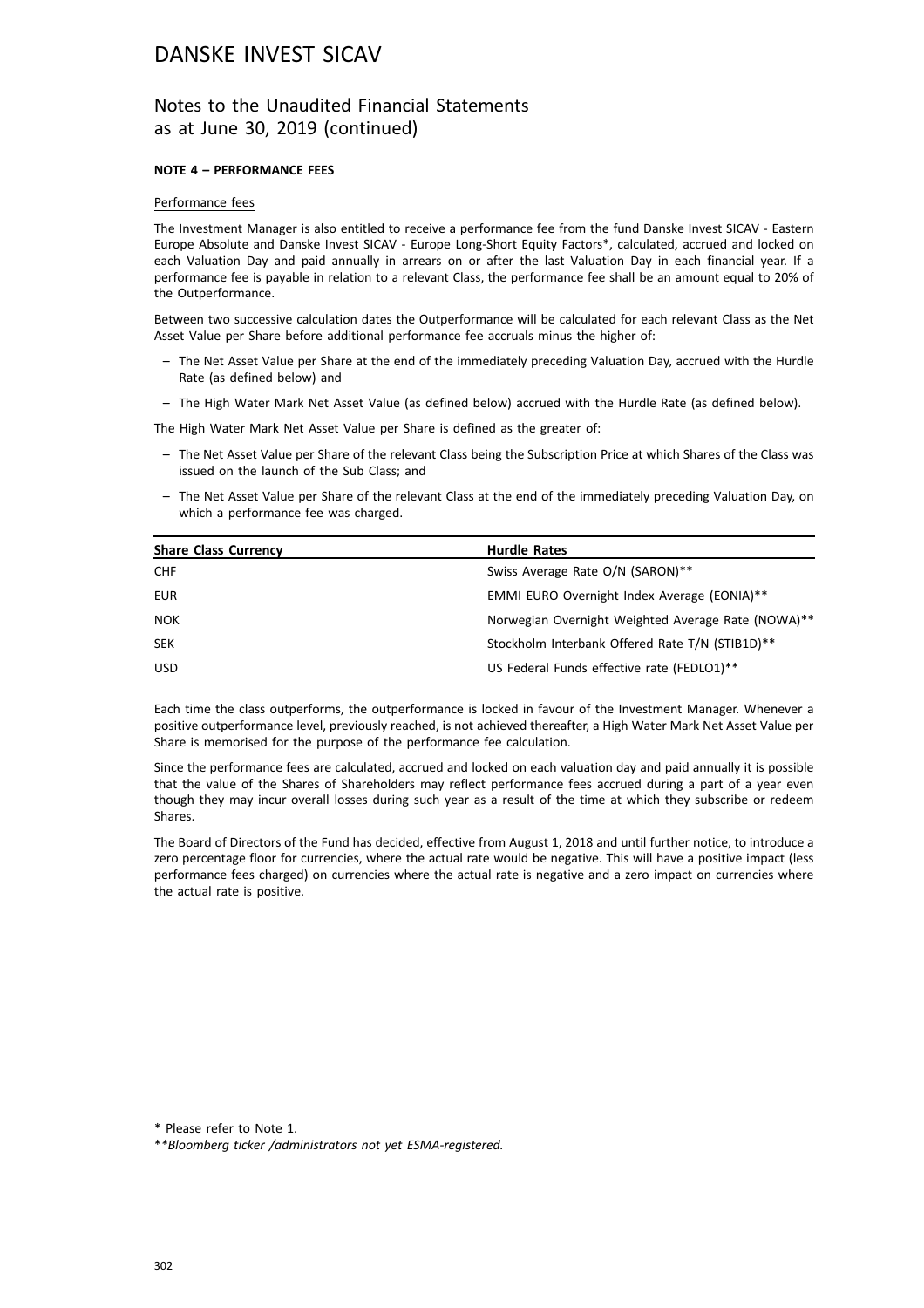### Notes to the Unaudited Financial Statements as at June 30, 2019 (continued)

#### **NOTE 4 – PERFORMANCE FEES**

#### Performance fees

The Investment Manager is also entitled to receive a performance fee from the fund Danske Invest SICAV - Eastern Europe Absolute and Danske Invest SICAV - Europe Long-Short Equity Factors\*, calculated, accrued and locked on each Valuation Day and paid annually in arrears on or after the last Valuation Day in each financial year. If a performance fee is payable in relation to a relevant Class, the performance fee shall be an amount equal to 20% of the Outperformance.

Between two successive calculation dates the Outperformance will be calculated for each relevant Class as the Net Asset Value per Share before additional performance fee accruals minus the higher of:

- The Net Asset Value per Share at the end of the immediately preceding Valuation Day, accrued with the Hurdle Rate (as defined below) and
- The High Water Mark Net Asset Value (as defined below) accrued with the Hurdle Rate (as defined below).

The High Water Mark Net Asset Value per Share is defined as the greater of:

- The Net Asset Value per Share of the relevant Class being the Subscription Price at which Shares of the Class was issued on the launch of the Sub Class; and
- The Net Asset Value per Share of the relevant Class at the end of the immediately preceding Valuation Day, on which a performance fee was charged.

| <b>Share Class Currency</b> | <b>Hurdle Rates</b>                                |
|-----------------------------|----------------------------------------------------|
| <b>CHF</b>                  | Swiss Average Rate O/N (SARON)**                   |
| <b>EUR</b>                  | EMMI EURO Overnight Index Average (EONIA)**        |
| <b>NOK</b>                  | Norwegian Overnight Weighted Average Rate (NOWA)** |
| <b>SEK</b>                  | Stockholm Interbank Offered Rate T/N (STIB1D)**    |
| <b>USD</b>                  | US Federal Funds effective rate (FEDLO1)**         |

Each time the class outperforms, the outperformance is locked in favour of the Investment Manager. Whenever a positive outperformance level, previously reached, is not achieved thereafter, a High Water Mark Net Asset Value per Share is memorised for the purpose of the performance fee calculation.

Since the performance fees are calculated, accrued and locked on each valuation day and paid annually it is possible that the value of the Shares of Shareholders may reflect performance fees accrued during a part of a year even though they may incur overall losses during such year as a result of the time at which they subscribe or redeem Shares.

The Board of Directors of the Fund has decided, effective from August 1, 2018 and until further notice, to introduce a zero percentage floor for currencies, where the actual rate would be negative. This will have a positive impact (less performance fees charged) on currencies where the actual rate is negative and a zero impact on currencies where the actual rate is positive.

\* Please refer to Note 1.

\**\*Bloomberg ticker /administrators not yet ESMA-registered.*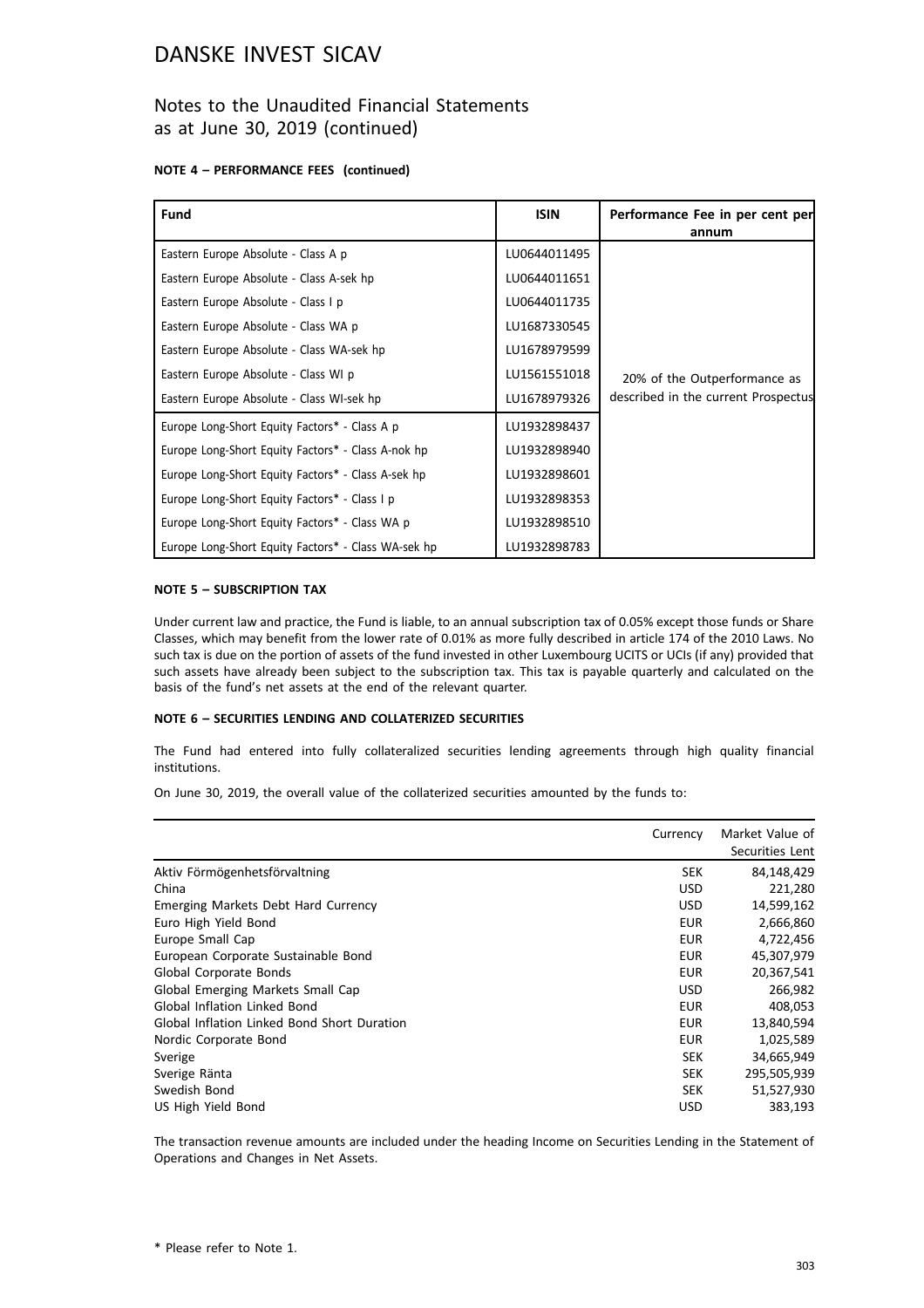### Notes to the Unaudited Financial Statements as at June 30, 2019 (continued)

#### **NOTE 4 – PERFORMANCE FEES (continued)**

| <b>Fund</b>                                         | <b>ISIN</b>  | Performance Fee in per cent per<br>annum |
|-----------------------------------------------------|--------------|------------------------------------------|
| Eastern Europe Absolute - Class A p                 | LU0644011495 |                                          |
| Eastern Europe Absolute - Class A-sek hp            | LU0644011651 |                                          |
| Eastern Europe Absolute - Class I p                 | LU0644011735 |                                          |
| Eastern Europe Absolute - Class WA p                | LU1687330545 |                                          |
| Eastern Europe Absolute - Class WA-sek hp           | LU1678979599 |                                          |
| Eastern Europe Absolute - Class WI p                | LU1561551018 | 20% of the Outperformance as             |
| Eastern Europe Absolute - Class WI-sek hp           | LU1678979326 | described in the current Prospectus      |
| Europe Long-Short Equity Factors* - Class A p       | LU1932898437 |                                          |
| Europe Long-Short Equity Factors* - Class A-nok hp  | LU1932898940 |                                          |
| Europe Long-Short Equity Factors* - Class A-sek hp  | LU1932898601 |                                          |
| Europe Long-Short Equity Factors* - Class I p       | LU1932898353 |                                          |
| Europe Long-Short Equity Factors* - Class WA p      | LU1932898510 |                                          |
| Europe Long-Short Equity Factors* - Class WA-sek hp | LU1932898783 |                                          |

#### **NOTE 5 – SUBSCRIPTION TAX**

Under current law and practice, the Fund is liable, to an annual subscription tax of 0.05% except those funds or Share Classes, which may benefit from the lower rate of 0.01% as more fully described in article 174 of the 2010 Laws. No such tax is due on the portion of assets of the fund invested in other Luxembourg UCITS or UCIs (if any) provided that such assets have already been subject to the subscription tax. This tax is payable quarterly and calculated on the basis of the fund's net assets at the end of the relevant quarter.

#### **NOTE 6 – SECURITIES LENDING AND COLLATERIZED SECURITIES**

The Fund had entered into fully collateralized securities lending agreements through high quality financial institutions.

On June 30, 2019, the overall value of the collaterized securities amounted by the funds to:

|                                             | Currency   | Market Value of<br>Securities Lent |
|---------------------------------------------|------------|------------------------------------|
| Aktiv Förmögenhetsförvaltning               | <b>SEK</b> | 84,148,429                         |
| China                                       | <b>USD</b> | 221,280                            |
| Emerging Markets Debt Hard Currency         | <b>USD</b> | 14,599,162                         |
| Euro High Yield Bond                        | <b>EUR</b> | 2,666,860                          |
| Europe Small Cap                            | EUR        | 4,722,456                          |
| European Corporate Sustainable Bond         | <b>EUR</b> | 45,307,979                         |
| Global Corporate Bonds                      | <b>EUR</b> | 20,367,541                         |
| Global Emerging Markets Small Cap           | <b>USD</b> | 266,982                            |
| <b>Global Inflation Linked Bond</b>         | <b>EUR</b> | 408,053                            |
| Global Inflation Linked Bond Short Duration | <b>EUR</b> | 13,840,594                         |
| Nordic Corporate Bond                       | <b>EUR</b> | 1,025,589                          |
| Sverige                                     | <b>SEK</b> | 34,665,949                         |
| Sverige Ränta                               | <b>SEK</b> | 295,505,939                        |
| Swedish Bond                                | <b>SEK</b> | 51,527,930                         |
| US High Yield Bond                          | <b>USD</b> | 383,193                            |

The transaction revenue amounts are included under the heading Income on Securities Lending in the Statement of Operations and Changes in Net Assets.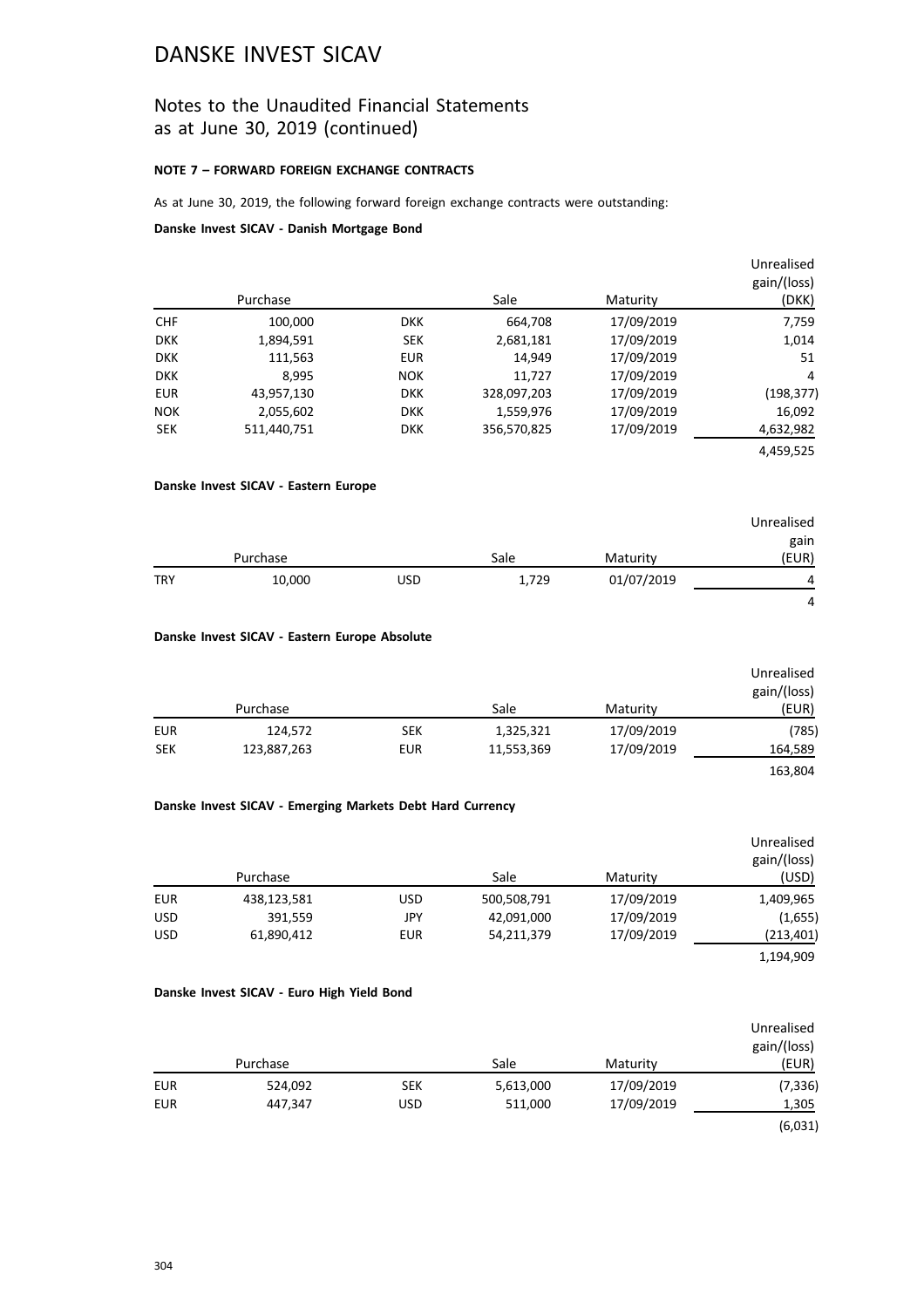### Notes to the Unaudited Financial Statements as at June 30, 2019 (continued)

#### **NOTE 7 – FORWARD FOREIGN EXCHANGE CONTRACTS**

As at June 30, 2019, the following forward foreign exchange contracts were outstanding:

#### **Danske Invest SICAV - Danish Mortgage Bond**

| Unrealised<br>gain/(loss)<br>(DKK) | Maturity   | Sale        |            | Purchase    |            |
|------------------------------------|------------|-------------|------------|-------------|------------|
| 7,759                              | 17/09/2019 | 664,708     | <b>DKK</b> | 100,000     | <b>CHF</b> |
| 1,014                              | 17/09/2019 | 2,681,181   | <b>SEK</b> | 1,894,591   | <b>DKK</b> |
| 51                                 | 17/09/2019 | 14,949      | <b>EUR</b> | 111,563     | <b>DKK</b> |
| 4                                  | 17/09/2019 | 11,727      | <b>NOK</b> | 8,995       | <b>DKK</b> |
| (198, 377)                         | 17/09/2019 | 328,097,203 | <b>DKK</b> | 43,957,130  | <b>EUR</b> |
| 16,092                             | 17/09/2019 | 1,559,976   | <b>DKK</b> | 2,055,602   | <b>NOK</b> |
| 4,632,982                          | 17/09/2019 | 356,570,825 | <b>DKK</b> | 511,440,751 | <b>SEK</b> |
| 4,459,525                          |            |             |            |             |            |

### **Danske Invest SICAV - Eastern Europe**

|            |          |            |       |            | Unrealised     |
|------------|----------|------------|-------|------------|----------------|
|            |          |            |       |            | gain           |
|            | Purchase |            | Sale  | Maturity   | (EUR)          |
| <b>TRY</b> | 10,000   | <b>USD</b> | 1,729 | 01/07/2019 | 4              |
|            |          |            |       |            | $\overline{a}$ |

#### **Danske Invest SICAV - Eastern Europe Absolute**

|            | Purchase    |            | Sale       | Maturity   | Unrealised<br>gain/(loss)<br>(EUR) |
|------------|-------------|------------|------------|------------|------------------------------------|
| <b>EUR</b> | 124,572     | <b>SEK</b> | 1,325,321  | 17/09/2019 | (785)                              |
| <b>SEK</b> | 123,887,263 | <b>EUR</b> | 11,553,369 | 17/09/2019 | 164,589                            |
|            |             |            |            |            | 163,804                            |

#### **Danske Invest SICAV - Emerging Markets Debt Hard Currency**

|            | Purchase    |            | Sale        | Maturity   | Unrealised<br>gain/(loss)<br>(USD) |
|------------|-------------|------------|-------------|------------|------------------------------------|
| EUR        | 438,123,581 | <b>USD</b> | 500,508,791 | 17/09/2019 | 1,409,965                          |
| <b>USD</b> | 391,559     | JPY        | 42,091,000  | 17/09/2019 | (1,655)                            |
| <b>USD</b> | 61,890,412  | <b>EUR</b> | 54,211,379  | 17/09/2019 | (213, 401)                         |
|            |             |            |             |            | 1,194,909                          |

#### **Danske Invest SICAV - Euro High Yield Bond**

|            |          |            |           |            | Unrealised<br>gain/(loss) |
|------------|----------|------------|-----------|------------|---------------------------|
|            | Purchase |            | Sale      | Maturity   | (EUR)                     |
| <b>EUR</b> | 524,092  | <b>SEK</b> | 5,613,000 | 17/09/2019 | (7,336)                   |
| <b>EUR</b> | 447,347  | <b>USD</b> | 511,000   | 17/09/2019 | 1,305                     |
|            |          |            |           |            | (6,031)                   |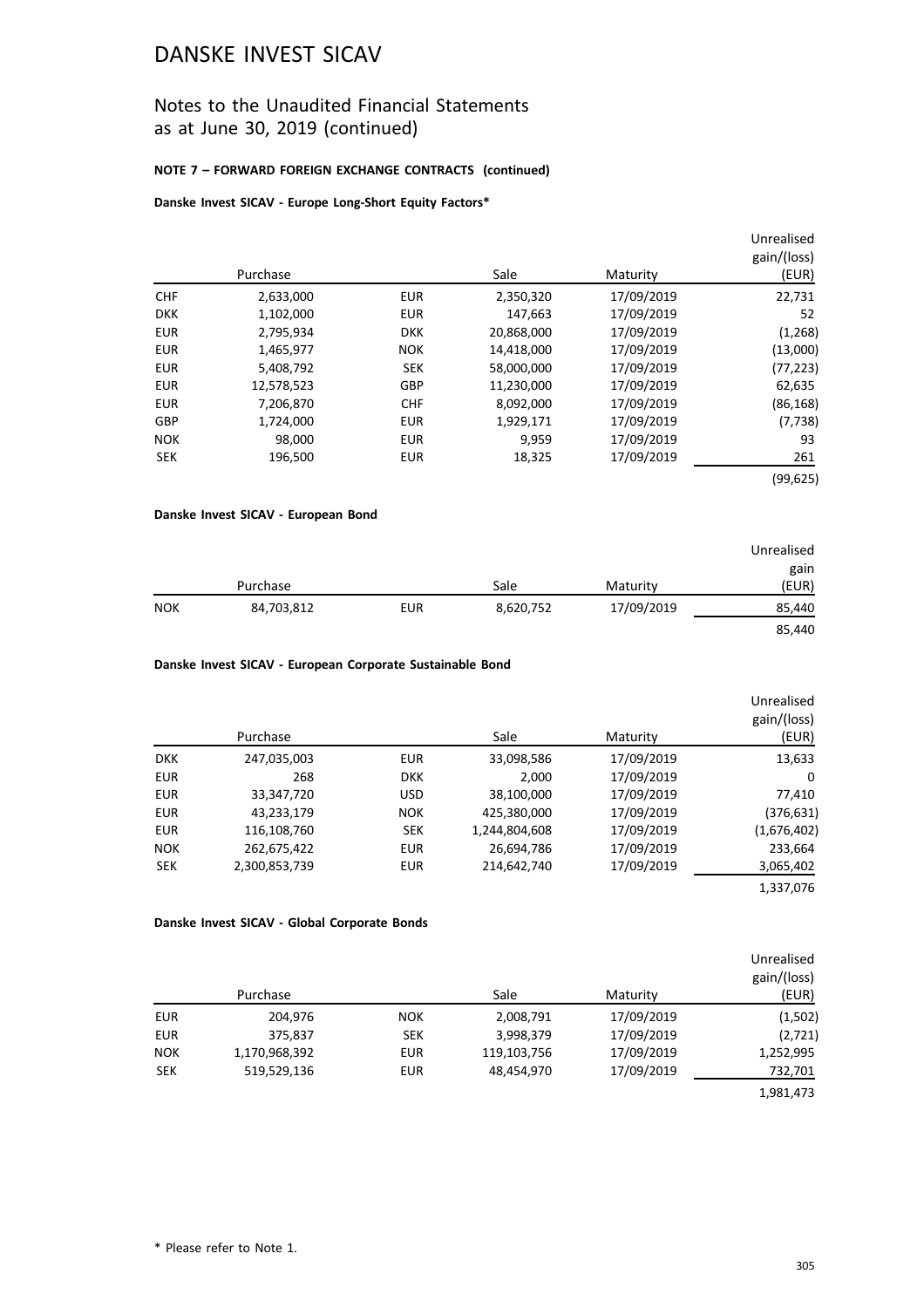## Notes to the Unaudited Financial Statements as at June 30, 2019 (continued)

#### **NOTE 7 – FORWARD FOREIGN EXCHANGE CONTRACTS (continued)**

#### **Danske Invest SICAV - Europe Long-Short Equity Factors\***

|            |            |            |            |            | Unrealised<br>gain/(loss) |
|------------|------------|------------|------------|------------|---------------------------|
|            | Purchase   |            | Sale       | Maturity   | (EUR)                     |
| <b>CHF</b> | 2,633,000  | <b>EUR</b> | 2,350,320  | 17/09/2019 | 22,731                    |
| <b>DKK</b> | 1,102,000  | <b>EUR</b> | 147,663    | 17/09/2019 | 52                        |
| <b>EUR</b> | 2,795,934  | <b>DKK</b> | 20,868,000 | 17/09/2019 | (1,268)                   |
| <b>EUR</b> | 1,465,977  | <b>NOK</b> | 14,418,000 | 17/09/2019 | (13,000)                  |
| <b>EUR</b> | 5,408,792  | <b>SEK</b> | 58,000,000 | 17/09/2019 | (77, 223)                 |
| <b>EUR</b> | 12,578,523 | GBP        | 11,230,000 | 17/09/2019 | 62,635                    |
| <b>EUR</b> | 7,206,870  | <b>CHF</b> | 8,092,000  | 17/09/2019 | (86, 168)                 |
| GBP        | 1,724,000  | <b>EUR</b> | 1,929,171  | 17/09/2019 | (7, 738)                  |
| <b>NOK</b> | 98,000     | <b>EUR</b> | 9.959      | 17/09/2019 | 93                        |
| <b>SEK</b> | 196,500    | <b>EUR</b> | 18,325     | 17/09/2019 | 261                       |
|            |            |            |            |            | (99,625)                  |

#### **Danske Invest SICAV - European Bond**

|            |            |            |           |            | Unrealised<br>gain |
|------------|------------|------------|-----------|------------|--------------------|
|            | Purchase   |            | Sale      | Maturity   | (EUR)              |
| <b>NOK</b> | 84,703,812 | <b>EUR</b> | 8,620,752 | 17/09/2019 | 85,440             |
|            |            |            |           |            | 85,440             |

#### **Danske Invest SICAV - European Corporate Sustainable Bond**

|            | Purchase      |            | Sale          | Maturity   | Unrealised<br>gain/(loss)<br>(EUR) |
|------------|---------------|------------|---------------|------------|------------------------------------|
| <b>DKK</b> | 247,035,003   | <b>EUR</b> | 33,098,586    | 17/09/2019 | 13,633                             |
| <b>EUR</b> | 268           | <b>DKK</b> | 2,000         | 17/09/2019 | 0                                  |
| <b>EUR</b> | 33,347,720    | <b>USD</b> | 38,100,000    | 17/09/2019 | 77,410                             |
| <b>EUR</b> | 43,233,179    | <b>NOK</b> | 425,380,000   | 17/09/2019 | (376,631)                          |
| <b>EUR</b> | 116,108,760   | <b>SEK</b> | 1,244,804,608 | 17/09/2019 | (1,676,402)                        |
| <b>NOK</b> | 262,675,422   | <b>EUR</b> | 26,694,786    | 17/09/2019 | 233,664                            |
| <b>SEK</b> | 2,300,853,739 | <b>EUR</b> | 214,642,740   | 17/09/2019 | 3,065,402                          |
|            |               |            |               |            | 1,337,076                          |

#### **Danske Invest SICAV - Global Corporate Bonds**

|            | Purchase      |            | Sale        | Maturity   | Unrealised<br>gain/(loss)<br>(EUR) |
|------------|---------------|------------|-------------|------------|------------------------------------|
| <b>EUR</b> | 204,976       | <b>NOK</b> | 2,008,791   | 17/09/2019 | (1,502)                            |
| <b>EUR</b> | 375,837       | <b>SEK</b> | 3,998,379   | 17/09/2019 | (2,721)                            |
| <b>NOK</b> | 1,170,968,392 | <b>EUR</b> | 119,103,756 | 17/09/2019 | 1,252,995                          |
| <b>SEK</b> | 519,529,136   | <b>EUR</b> | 48,454,970  | 17/09/2019 | 732,701                            |
|            |               |            |             |            | 1,981,473                          |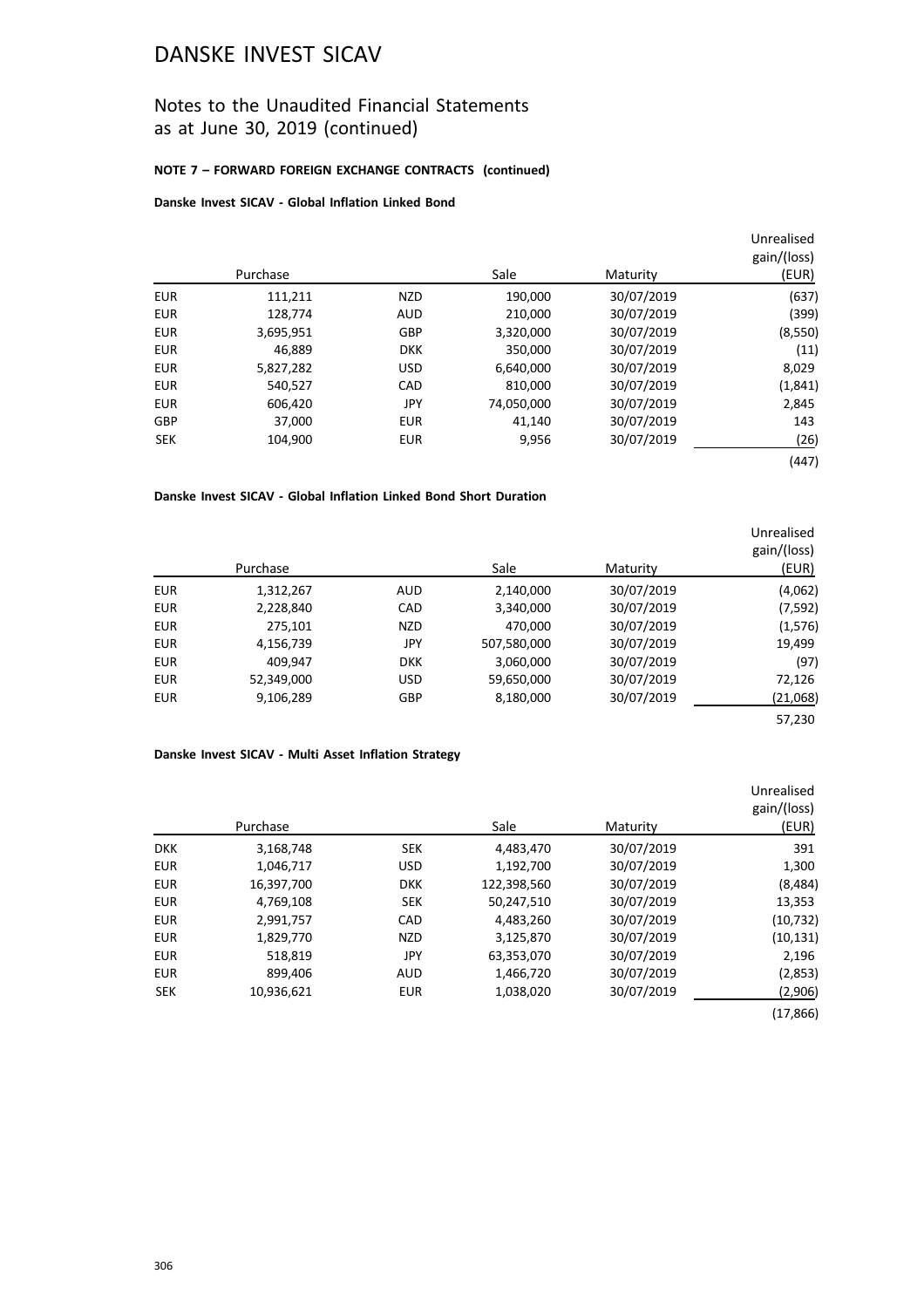## Notes to the Unaudited Financial Statements as at June 30, 2019 (continued)

### **NOTE 7 – FORWARD FOREIGN EXCHANGE CONTRACTS (continued)**

### **Danske Invest SICAV - Global Inflation Linked Bond**

|            |           |            |            |            | Unrealised<br>gain/(loss) |
|------------|-----------|------------|------------|------------|---------------------------|
|            | Purchase  |            | Sale       | Maturity   | (EUR)                     |
| <b>EUR</b> | 111,211   | <b>NZD</b> | 190.000    | 30/07/2019 | (637)                     |
| <b>EUR</b> | 128.774   | <b>AUD</b> | 210,000    | 30/07/2019 | (399)                     |
| <b>EUR</b> | 3,695,951 | <b>GBP</b> | 3,320,000  | 30/07/2019 | (8,550)                   |
| <b>EUR</b> | 46.889    | <b>DKK</b> | 350,000    | 30/07/2019 | (11)                      |
| <b>EUR</b> | 5,827,282 | <b>USD</b> | 6,640,000  | 30/07/2019 | 8,029                     |
| <b>EUR</b> | 540,527   | CAD        | 810,000    | 30/07/2019 | (1,841)                   |
| <b>EUR</b> | 606,420   | JPY        | 74,050,000 | 30/07/2019 | 2,845                     |
| GBP        | 37,000    | <b>EUR</b> | 41.140     | 30/07/2019 | 143                       |
| <b>SEK</b> | 104,900   | <b>EUR</b> | 9,956      | 30/07/2019 | (26)                      |
|            |           |            |            |            | (447)                     |

#### **Danske Invest SICAV - Global Inflation Linked Bond Short Duration**

|            | Purchase   |            | Sale        | Maturity   | Unrealised<br>gain/(loss)<br>(EUR) |
|------------|------------|------------|-------------|------------|------------------------------------|
| <b>EUR</b> | 1,312,267  | <b>AUD</b> | 2,140,000   | 30/07/2019 | (4,062)                            |
| <b>EUR</b> | 2,228,840  | CAD        | 3,340,000   | 30/07/2019 | (7, 592)                           |
| <b>EUR</b> | 275,101    | <b>NZD</b> | 470,000     | 30/07/2019 | (1,576)                            |
| <b>EUR</b> | 4,156,739  | JPY        | 507,580,000 | 30/07/2019 | 19,499                             |
| <b>EUR</b> | 409,947    | <b>DKK</b> | 3,060,000   | 30/07/2019 | (97)                               |
| <b>EUR</b> | 52,349,000 | <b>USD</b> | 59,650,000  | 30/07/2019 | 72,126                             |
| <b>EUR</b> | 9,106,289  | <b>GBP</b> | 8,180,000   | 30/07/2019 | (21,068)                           |
|            |            |            |             |            | 57,230                             |

#### **Danske Invest SICAV - Multi Asset Inflation Strategy**

|            | Purchase   |            | Sale        | Maturity   | Unrealised<br>gain/(loss)<br>(EUR) |
|------------|------------|------------|-------------|------------|------------------------------------|
| <b>DKK</b> | 3,168,748  | <b>SEK</b> | 4,483,470   | 30/07/2019 | 391                                |
| <b>EUR</b> | 1,046,717  | <b>USD</b> | 1,192,700   | 30/07/2019 | 1,300                              |
| <b>EUR</b> | 16,397,700 | <b>DKK</b> | 122,398,560 | 30/07/2019 | (8, 484)                           |
| <b>EUR</b> | 4,769,108  | <b>SEK</b> | 50,247,510  | 30/07/2019 | 13,353                             |
| <b>EUR</b> | 2,991,757  | CAD        | 4,483,260   | 30/07/2019 | (10, 732)                          |
| <b>EUR</b> | 1,829,770  | <b>NZD</b> | 3,125,870   | 30/07/2019 | (10, 131)                          |
| <b>EUR</b> | 518,819    | JPY        | 63,353,070  | 30/07/2019 | 2,196                              |
| <b>EUR</b> | 899,406    | <b>AUD</b> | 1,466,720   | 30/07/2019 | (2,853)                            |
| <b>SEK</b> | 10,936,621 | <b>EUR</b> | 1,038,020   | 30/07/2019 | (2,906)                            |
|            |            |            |             |            | (17, 866)                          |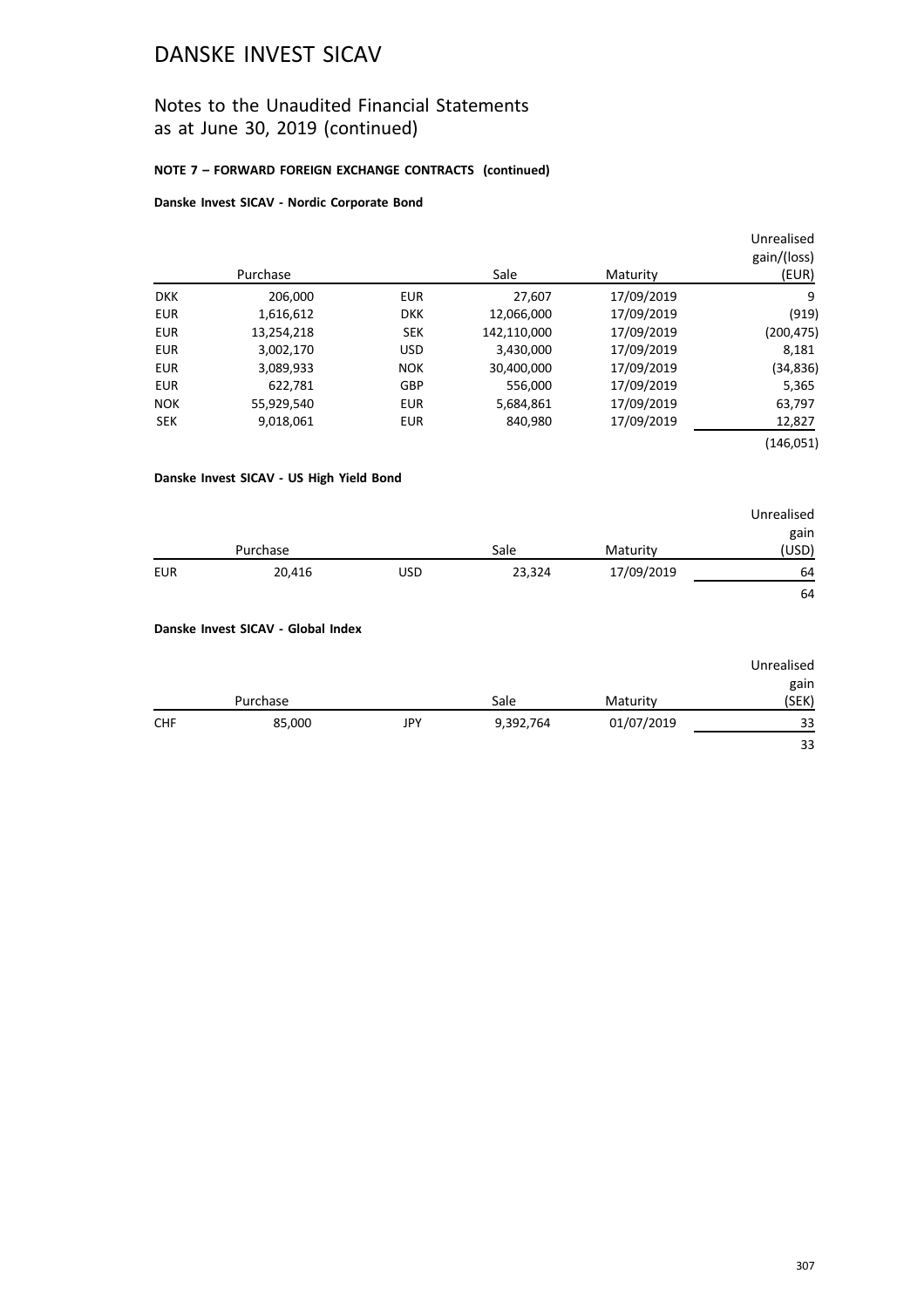## Notes to the Unaudited Financial Statements as at June 30, 2019 (continued)

### **NOTE 7 – FORWARD FOREIGN EXCHANGE CONTRACTS (continued)**

#### **Danske Invest SICAV - Nordic Corporate Bond**

|            |            |            |             |            | Unrealised  |
|------------|------------|------------|-------------|------------|-------------|
|            |            |            |             |            | gain/(loss) |
|            | Purchase   |            | Sale        | Maturity   | (EUR)       |
| <b>DKK</b> | 206,000    | <b>EUR</b> | 27,607      | 17/09/2019 | 9           |
| <b>EUR</b> | 1,616,612  | <b>DKK</b> | 12,066,000  | 17/09/2019 | (919)       |
| <b>EUR</b> | 13,254,218 | <b>SEK</b> | 142,110,000 | 17/09/2019 | (200, 475)  |
| <b>EUR</b> | 3,002,170  | <b>USD</b> | 3,430,000   | 17/09/2019 | 8,181       |
| <b>EUR</b> | 3,089,933  | <b>NOK</b> | 30,400,000  | 17/09/2019 | (34,836)    |
| <b>EUR</b> | 622.781    | <b>GBP</b> | 556,000     | 17/09/2019 | 5,365       |
| <b>NOK</b> | 55,929,540 | <b>EUR</b> | 5,684,861   | 17/09/2019 | 63,797      |
| <b>SEK</b> | 9,018,061  | <b>EUR</b> | 840,980     | 17/09/2019 | 12,827      |
|            |            |            |             |            | (146,051)   |

### **Danske Invest SICAV - US High Yield Bond**

|          |        |            |        |            | Unrealised |
|----------|--------|------------|--------|------------|------------|
|          |        |            |        |            | gain       |
| Purchase |        |            | Sale   | Maturity   | (USD)      |
| EUR      | 20,416 | <b>USD</b> | 23,324 | 17/09/2019 | 64         |
|          |        |            |        |            | 64         |

#### **Danske Invest SICAV - Global Index**

|            |        |     |           |            | Unrealised |
|------------|--------|-----|-----------|------------|------------|
|            |        |     |           |            | gain       |
| Purchase   |        |     | Sale      | Maturity   | (SEK)      |
| <b>CHF</b> | 85,000 | JPY | 9,392,764 | 01/07/2019 | 33         |
|            |        |     |           |            | 33         |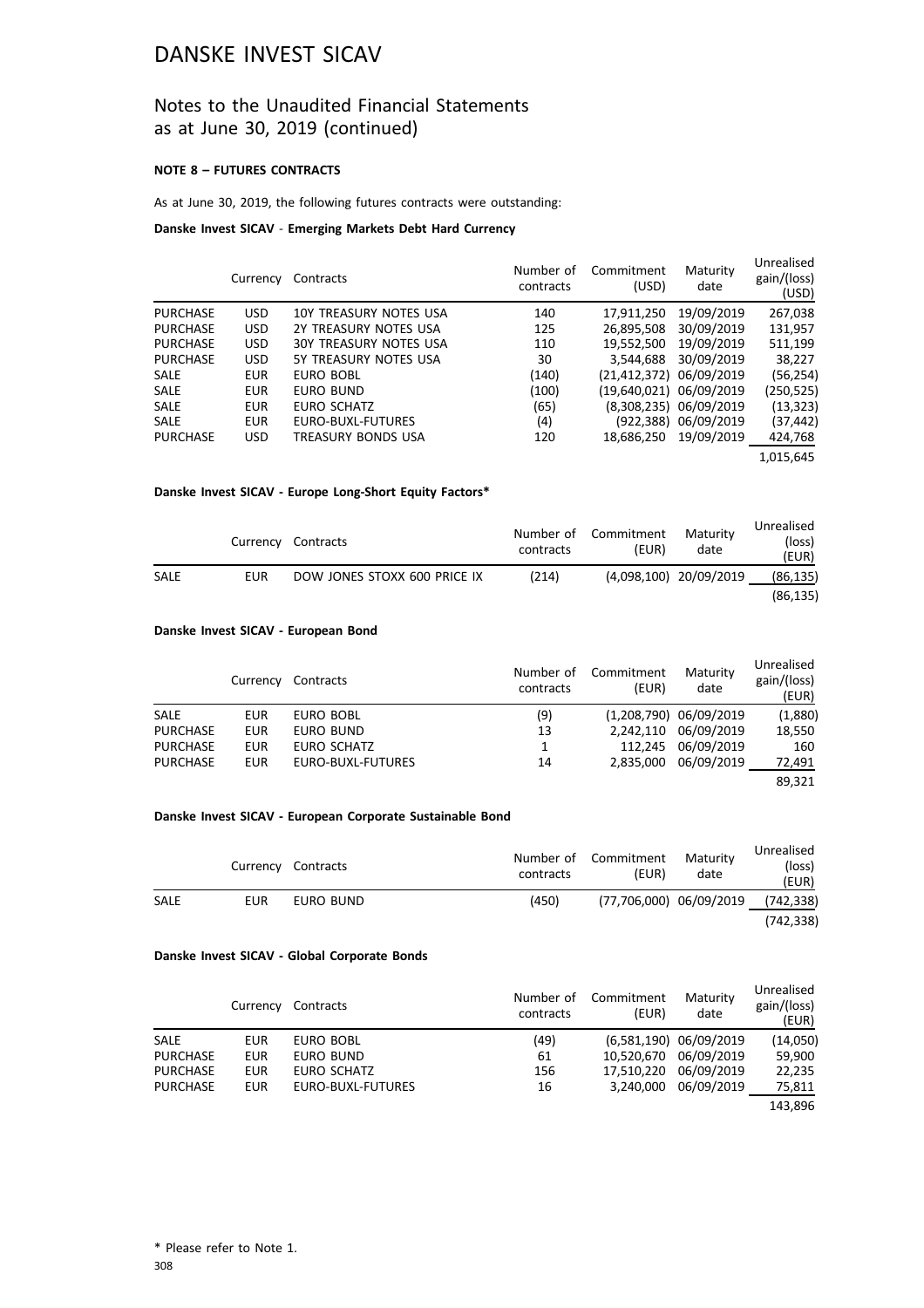### Notes to the Unaudited Financial Statements as at June 30, 2019 (continued)

#### **NOTE 8 – FUTURES CONTRACTS**

#### As at June 30, 2019, the following futures contracts were outstanding:

#### **Danske Invest SICAV** - **Emerging Markets Debt Hard Currency**

|                 | Currency   | Contracts                     | Number of<br>contracts | Commitment<br>(USD)     | Maturity<br>date       | Unrealised<br>gain/(loss)<br>(USD) |
|-----------------|------------|-------------------------------|------------------------|-------------------------|------------------------|------------------------------------|
| <b>PURCHASE</b> | <b>USD</b> | 10Y TREASURY NOTES USA        | 140                    | 17,911,250              | 19/09/2019             | 267,038                            |
| <b>PURCHASE</b> | <b>USD</b> | 2Y TREASURY NOTES USA         | 125                    | 26,895,508              | 30/09/2019             | 131,957                            |
| <b>PURCHASE</b> | <b>USD</b> | <b>30Y TREASURY NOTES USA</b> | 110                    | 19,552,500              | 19/09/2019             | 511,199                            |
| <b>PURCHASE</b> | <b>USD</b> | 5Y TREASURY NOTES USA         | 30                     | 3.544.688               | 30/09/2019             | 38,227                             |
| <b>SALE</b>     | <b>EUR</b> | EURO BOBL                     | (140)                  | (21,412,372) 06/09/2019 |                        | (56, 254)                          |
| <b>SALE</b>     | <b>EUR</b> | EURO BUND                     | (100)                  | (19,640,021) 06/09/2019 |                        | (250, 525)                         |
| <b>SALE</b>     | <b>EUR</b> | EURO SCHATZ                   | (65)                   |                         | (8,308,235) 06/09/2019 | (13, 323)                          |
| <b>SALE</b>     | <b>EUR</b> | EURO-BUXL-FUTURES             | (4)                    |                         | (922,388) 06/09/2019   | (37, 442)                          |
| <b>PURCHASE</b> | <b>USD</b> | TREASURY BONDS USA            | 120                    | 18.686.250              | 19/09/2019             | 424,768                            |
|                 |            |                               |                        |                         |                        | 1,015,645                          |

#### **Danske Invest SICAV - Europe Long-Short Equity Factors\***

|             |     | Currency Contracts           | contracts | Number of Commitment<br>(EUR) | Maturity<br>date       | Unrealised<br>(loss)<br>(EUR) |
|-------------|-----|------------------------------|-----------|-------------------------------|------------------------|-------------------------------|
| <b>SALE</b> | EUR | DOW JONES STOXX 600 PRICE IX | (214)     |                               | (4,098,100) 20/09/2019 | (86, 135)                     |
|             |     |                              |           |                               |                        | (86, 135)                     |

#### **Danske Invest SICAV - European Bond**

|                 | Currency   | Contracts         | Number of<br>contracts | Commitment<br>(EUR) | Maturity<br>date         | Unrealised<br>gain/(loss)<br>(EUR) |
|-----------------|------------|-------------------|------------------------|---------------------|--------------------------|------------------------------------|
| <b>SALE</b>     | EUR        | EURO BOBL         | (9)                    |                     | $(1,208,790)$ 06/09/2019 | (1,880)                            |
| <b>PURCHASE</b> | <b>EUR</b> | EURO BUND         | 13                     | 2.242.110           | 06/09/2019               | 18,550                             |
| <b>PURCHASE</b> | <b>EUR</b> | EURO SCHATZ       | 1                      | 112.245             | 06/09/2019               | 160                                |
| <b>PURCHASE</b> | <b>EUR</b> | EURO-BUXL-FUTURES | 14                     | 2.835.000           | 06/09/2019               | 72,491                             |
|                 |            |                   |                        |                     |                          | 89,321                             |

#### **Danske Invest SICAV - European Corporate Sustainable Bond**

|      |            | Currency Contracts | contracts | Number of Commitment<br>(EUR) | Maturity<br>date | Unrealised<br>(loss)<br>(EUR) |
|------|------------|--------------------|-----------|-------------------------------|------------------|-------------------------------|
| SALE | <b>EUR</b> | EURO BUND          | (450)     | (77,706,000) 06/09/2019       |                  | (742, 338)                    |
|      |            |                    |           |                               |                  | (742.338)                     |

#### **Danske Invest SICAV - Global Corporate Bonds**

|                 | Currency   | Contracts         | Number of<br>contracts | Commitment<br>(EUR) | Maturity<br>date         | Unrealised<br>gain/(loss)<br>(EUR) |
|-----------------|------------|-------------------|------------------------|---------------------|--------------------------|------------------------------------|
| <b>SALE</b>     | <b>EUR</b> | EURO BOBL         | (49)                   |                     | $(6,581,190)$ 06/09/2019 | (14,050)                           |
| <b>PURCHASE</b> | <b>EUR</b> | EURO BUND         | 61                     |                     | 10,520,670 06/09/2019    | 59,900                             |
| <b>PURCHASE</b> | <b>EUR</b> | EURO SCHATZ       | 156                    | 17.510.220          | 06/09/2019               | 22,235                             |
| <b>PURCHASE</b> | <b>EUR</b> | EURO-BUXL-FUTURES | 16                     | 3.240.000           | 06/09/2019               | 75,811                             |
|                 |            |                   |                        |                     |                          | 143.896                            |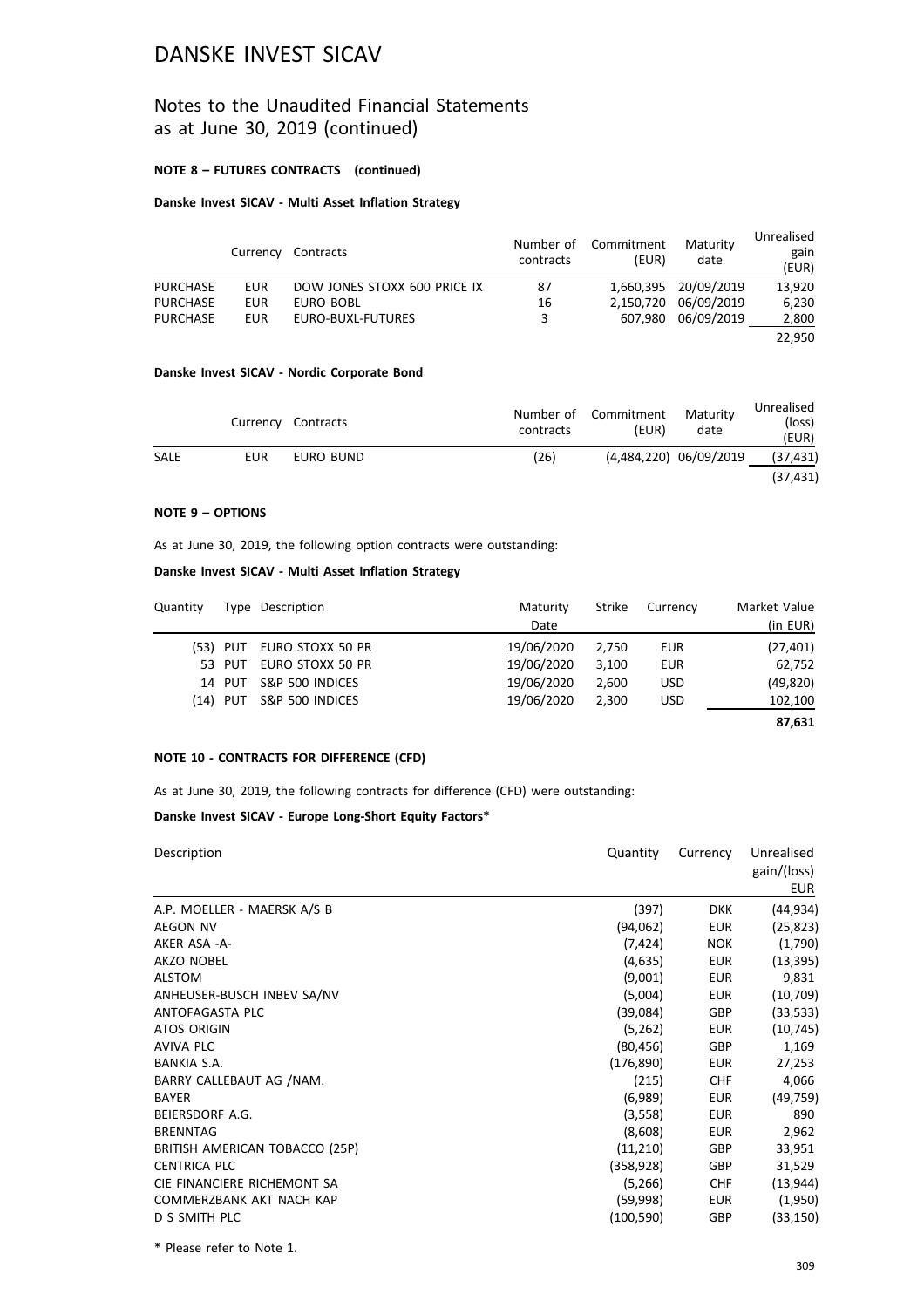### Notes to the Unaudited Financial Statements as at June 30, 2019 (continued)

#### **NOTE 8 – FUTURES CONTRACTS (continued)**

### **Danske Invest SICAV - Multi Asset Inflation Strategy**

|                 | Currency   | Contracts                    | Number of<br>contracts | Commitment<br>(EUR) | Maturity<br>date     | Unrealised<br>gain<br>(EUR) |
|-----------------|------------|------------------------------|------------------------|---------------------|----------------------|-----------------------------|
| <b>PURCHASE</b> | EUR        | DOW JONES STOXX 600 PRICE IX | 87                     |                     | 1,660,395 20/09/2019 | 13,920                      |
| <b>PURCHASE</b> | <b>EUR</b> | EURO BOBL                    | 16                     | 2.150.720           | 06/09/2019           | 6,230                       |
| <b>PURCHASE</b> | <b>EUR</b> | EURO-BUXL-FUTURES            | 3                      | 607.980             | 06/09/2019           | 2,800                       |
|                 |            |                              |                        |                     |                      | 22.950                      |

#### **Danske Invest SICAV - Nordic Corporate Bond**

|      |     | Currency Contracts | contracts | Number of Commitment<br>(EUR) | Maturity<br>date       | Unrealised<br>(loss)<br>(EUR) |
|------|-----|--------------------|-----------|-------------------------------|------------------------|-------------------------------|
| SALE | EUR | EURO BUND          | (26)      |                               | (4,484,220) 06/09/2019 | (37, 431)                     |
|      |     |                    |           |                               |                        | (37, 431)                     |

#### **NOTE 9 – OPTIONS**

As at June 30, 2019, the following option contracts were outstanding:

### **Danske Invest SICAV - Multi Asset Inflation Strategy**

| Quantity |        | Type Description          | Maturity<br>Date | Strike | Currency   | Market Value<br>(in EUR) |
|----------|--------|---------------------------|------------------|--------|------------|--------------------------|
|          |        | (53) PUT EURO STOXX 50 PR | 19/06/2020       | 2.750  | EUR        | (27, 401)                |
|          | 53 PUT | EURO STOXX 50 PR          | 19/06/2020       | 3.100  | <b>EUR</b> | 62,752                   |
|          | 14 PUT | S&P 500 INDICES           | 19/06/2020       | 2.600  | <b>USD</b> | (49, 820)                |
|          |        | (14) PUT S&P 500 INDICES  | 19/06/2020       | 2.300  | <b>USD</b> | 102,100                  |
|          |        |                           |                  |        |            | 87,631                   |

#### **NOTE 10 - CONTRACTS FOR DIFFERENCE (CFD)**

As at June 30, 2019, the following contracts for difference (CFD) were outstanding:

#### **Danske Invest SICAV - Europe Long-Short Equity Factors\***

| Description                    | Quantity   | Currency   | Unrealised<br>gain/(loss)<br>EUR |
|--------------------------------|------------|------------|----------------------------------|
| A.P. MOELLER - MAERSK A/S B    | (397)      | <b>DKK</b> | (44, 934)                        |
| <b>AEGON NV</b>                | (94,062)   | <b>EUR</b> | (25, 823)                        |
| AKER ASA -A-                   | (7,424)    | <b>NOK</b> | (1,790)                          |
| <b>AKZO NOBEL</b>              | (4,635)    | EUR        | (13, 395)                        |
| <b>ALSTOM</b>                  | (9,001)    | <b>EUR</b> | 9,831                            |
| ANHEUSER-BUSCH INBEV SA/NV     | (5,004)    | <b>EUR</b> | (10, 709)                        |
| ANTOFAGASTA PLC                | (39,084)   | <b>GBP</b> | (33, 533)                        |
| <b>ATOS ORIGIN</b>             | (5,262)    | <b>EUR</b> | (10, 745)                        |
| AVIVA PLC                      | (80, 456)  | GBP        | 1,169                            |
| <b>BANKIA S.A.</b>             | (176, 890) | EUR        | 27,253                           |
| BARRY CALLEBAUT AG /NAM.       | (215)      | <b>CHF</b> | 4,066                            |
| <b>BAYER</b>                   | (6,989)    | <b>EUR</b> | (49, 759)                        |
| BEIERSDORF A.G.                | (3,558)    | <b>EUR</b> | 890                              |
| <b>BRENNTAG</b>                | (8,608)    | <b>EUR</b> | 2,962                            |
| BRITISH AMERICAN TOBACCO (25P) | (11,210)   | <b>GBP</b> | 33,951                           |
| <b>CENTRICA PLC</b>            | (358,928)  | GBP        | 31,529                           |
| CIE FINANCIERE RICHEMONT SA    | (5,266)    | <b>CHF</b> | (13, 944)                        |
| COMMERZBANK AKT NACH KAP       | (59,998)   | <b>EUR</b> | (1,950)                          |
| D S SMITH PLC                  | (100,590)  | GBP        | (33, 150)                        |

\* Please refer to Note 1.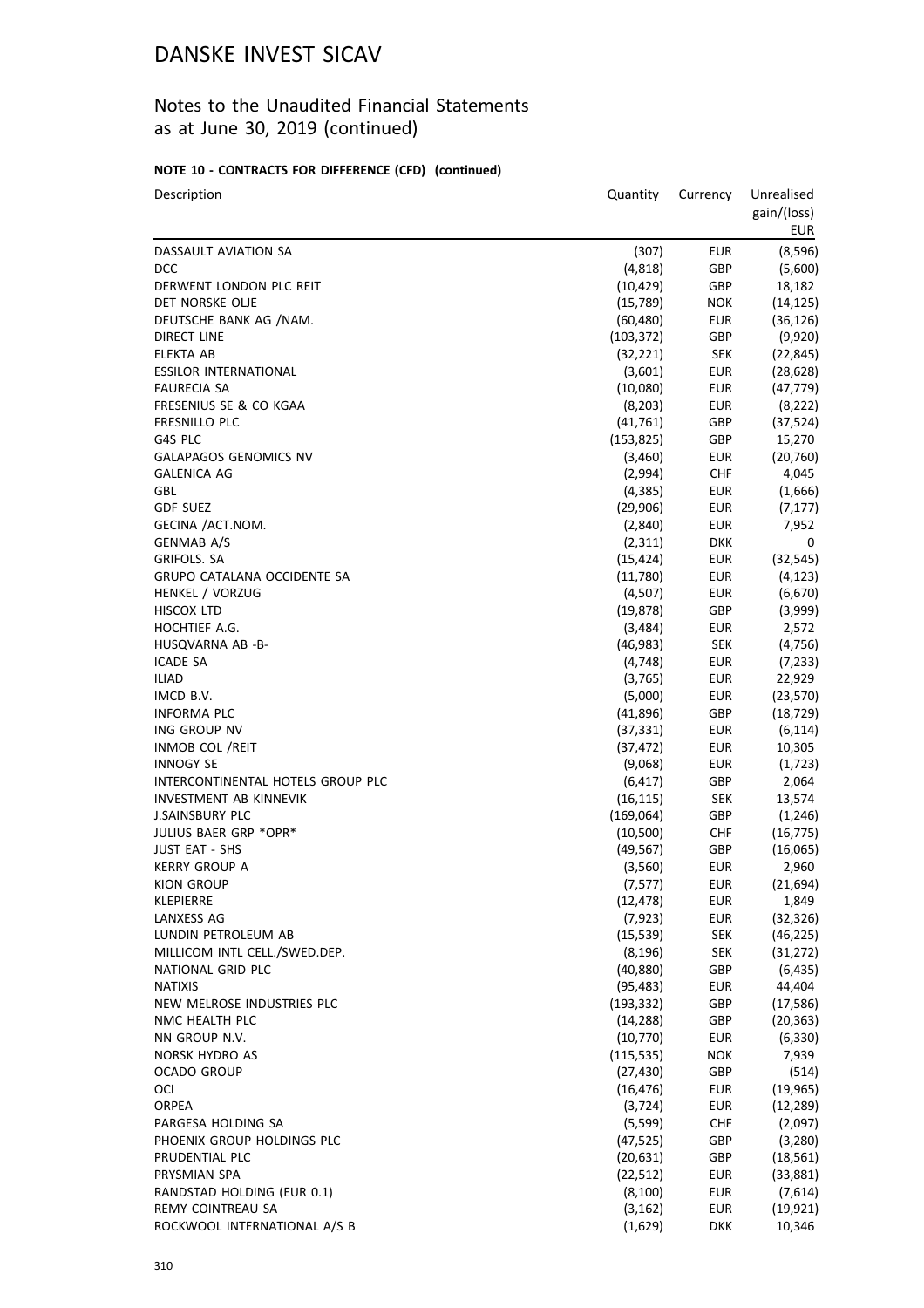## Notes to the Unaudited Financial Statements as at June 30, 2019 (continued)

## **NOTE 10 - CONTRACTS FOR DIFFERENCE (CFD) (continued)**

| Description                       | Quantity            | Currency   | Unrealised<br>gain/(loss)<br>EUR |
|-----------------------------------|---------------------|------------|----------------------------------|
| DASSAULT AVIATION SA              | (307)               | <b>EUR</b> | (8,596)                          |
| <b>DCC</b>                        | (4,818)             | GBP        | (5,600)                          |
| DERWENT LONDON PLC REIT           | (10, 429)           | <b>GBP</b> | 18,182                           |
| DET NORSKE OLJE                   | (15, 789)           | <b>NOK</b> | (14, 125)                        |
| DEUTSCHE BANK AG /NAM.            | (60, 480)           | <b>EUR</b> | (36, 126)                        |
| DIRECT LINE                       | (103, 372)          | GBP        | (9,920)                          |
| <b>ELEKTA AB</b>                  | (32, 221)           | <b>SEK</b> | (22, 845)                        |
| <b>ESSILOR INTERNATIONAL</b>      | (3,601)             | <b>EUR</b> | (28, 628)                        |
| <b>FAURECIA SA</b>                | (10,080)            | <b>EUR</b> | (47, 779)                        |
| FRESENIUS SE & CO KGAA            | (8, 203)            | <b>EUR</b> | (8, 222)                         |
| FRESNILLO PLC                     | (41, 761)           | GBP        | (37, 524)                        |
| G4S PLC                           | (153, 825)          | GBP        | 15,270                           |
| <b>GALAPAGOS GENOMICS NV</b>      | (3,460)             | <b>EUR</b> | (20, 760)                        |
| <b>GALENICA AG</b>                | (2,994)             | <b>CHF</b> | 4,045                            |
| GBL                               | (4, 385)            | <b>EUR</b> | (1,666)                          |
| <b>GDF SUEZ</b>                   | (29,906)            | <b>EUR</b> | (7, 177)                         |
| GECINA /ACT.NOM.                  | (2,840)             | <b>EUR</b> | 7,952                            |
| <b>GENMAB A/S</b>                 | (2,311)             | <b>DKK</b> | 0                                |
| GRIFOLS. SA                       | (15, 424)           | <b>EUR</b> | (32, 545)                        |
| GRUPO CATALANA OCCIDENTE SA       | (11,780)            | <b>EUR</b> | (4, 123)                         |
| <b>HENKEL / VORZUG</b>            | (4,507)             | <b>EUR</b> | (6,670)                          |
| <b>HISCOX LTD</b>                 | (19, 878)           | GBP        | (3,999)                          |
| HOCHTIEF A.G.                     | (3,484)             | <b>EUR</b> | 2,572                            |
| HUSQVARNA AB -B-                  | (46, 983)           | <b>SEK</b> | (4, 756)                         |
| <b>ICADE SA</b>                   | (4, 748)            | <b>EUR</b> | (7, 233)                         |
| <b>ILIAD</b>                      | (3,765)             | <b>EUR</b> | 22,929                           |
| IMCD B.V.                         | (5,000)             | <b>EUR</b> | (23, 570)                        |
| <b>INFORMA PLC</b>                | (41,896)            | GBP        | (18, 729)                        |
| ING GROUP NV                      | (37, 331)           | <b>EUR</b> | (6, 114)                         |
| <b>INMOB COL /REIT</b>            | (37, 472)           | <b>EUR</b> | 10,305                           |
| <b>INNOGY SE</b>                  | (9,068)             | <b>EUR</b> | (1,723)                          |
| INTERCONTINENTAL HOTELS GROUP PLC | (6, 417)            | GBP        | 2,064                            |
| <b>INVESTMENT AB KINNEVIK</b>     | (16, 115)           | <b>SEK</b> | 13,574                           |
| <b>J.SAINSBURY PLC</b>            | (169,064)           | GBP        | (1, 246)                         |
| JULIUS BAER GRP *OPR*             | (10, 500)           | <b>CHF</b> | (16, 775)                        |
| <b>JUST EAT - SHS</b>             | (49, 567)           | GBP        | (16,065)                         |
| <b>KERRY GROUP A</b>              | (3,560)             | <b>EUR</b> | 2,960                            |
| KION GROUP                        | (7, 577)            | <b>EUR</b> | (21, 694)                        |
| KLEPIERRE                         | (12, 478)           | <b>EUR</b> | 1,849                            |
| <b>LANXESS AG</b>                 | (7, 923)            | <b>EUR</b> | (32, 326)                        |
| LUNDIN PETROLEUM AB               | (15, 539)           | <b>SEK</b> | (46, 225)                        |
| MILLICOM INTL CELL./SWED.DEP.     | (8, 196)            | <b>SEK</b> | (31, 272)                        |
| NATIONAL GRID PLC                 | (40, 880)           | GBP        | (6, 435)                         |
| <b>NATIXIS</b>                    | (95, 483)           | <b>EUR</b> | 44,404                           |
| NEW MELROSE INDUSTRIES PLC        | (193, 332)          | GBP        | (17, 586)                        |
| NMC HEALTH PLC                    | (14, 288)           | GBP        | (20, 363)                        |
| NN GROUP N.V.                     | (10, 770)           | <b>EUR</b> | (6, 330)                         |
| NORSK HYDRO AS                    | (115, 535)          | <b>NOK</b> | 7,939                            |
| <b>OCADO GROUP</b>                | (27, 430)           | GBP        | (514)                            |
| OCI                               | (16, 476)           | <b>EUR</b> | (19, 965)                        |
| <b>ORPEA</b>                      |                     | <b>EUR</b> |                                  |
| PARGESA HOLDING SA                | (3, 724)<br>(5,599) | <b>CHF</b> | (12, 289)<br>(2,097)             |
| PHOENIX GROUP HOLDINGS PLC        |                     | GBP        |                                  |
|                                   | (47, 525)           |            | (3,280)                          |
| PRUDENTIAL PLC                    | (20, 631)           | GBP        | (18, 561)                        |
| PRYSMIAN SPA                      | (22, 512)           | <b>EUR</b> | (33, 881)                        |
| RANDSTAD HOLDING (EUR 0.1)        | (8, 100)            | <b>EUR</b> | (7,614)                          |
| REMY COINTREAU SA                 | (3, 162)            | <b>EUR</b> | (19, 921)                        |
| ROCKWOOL INTERNATIONAL A/S B      | (1,629)             | <b>DKK</b> | 10,346                           |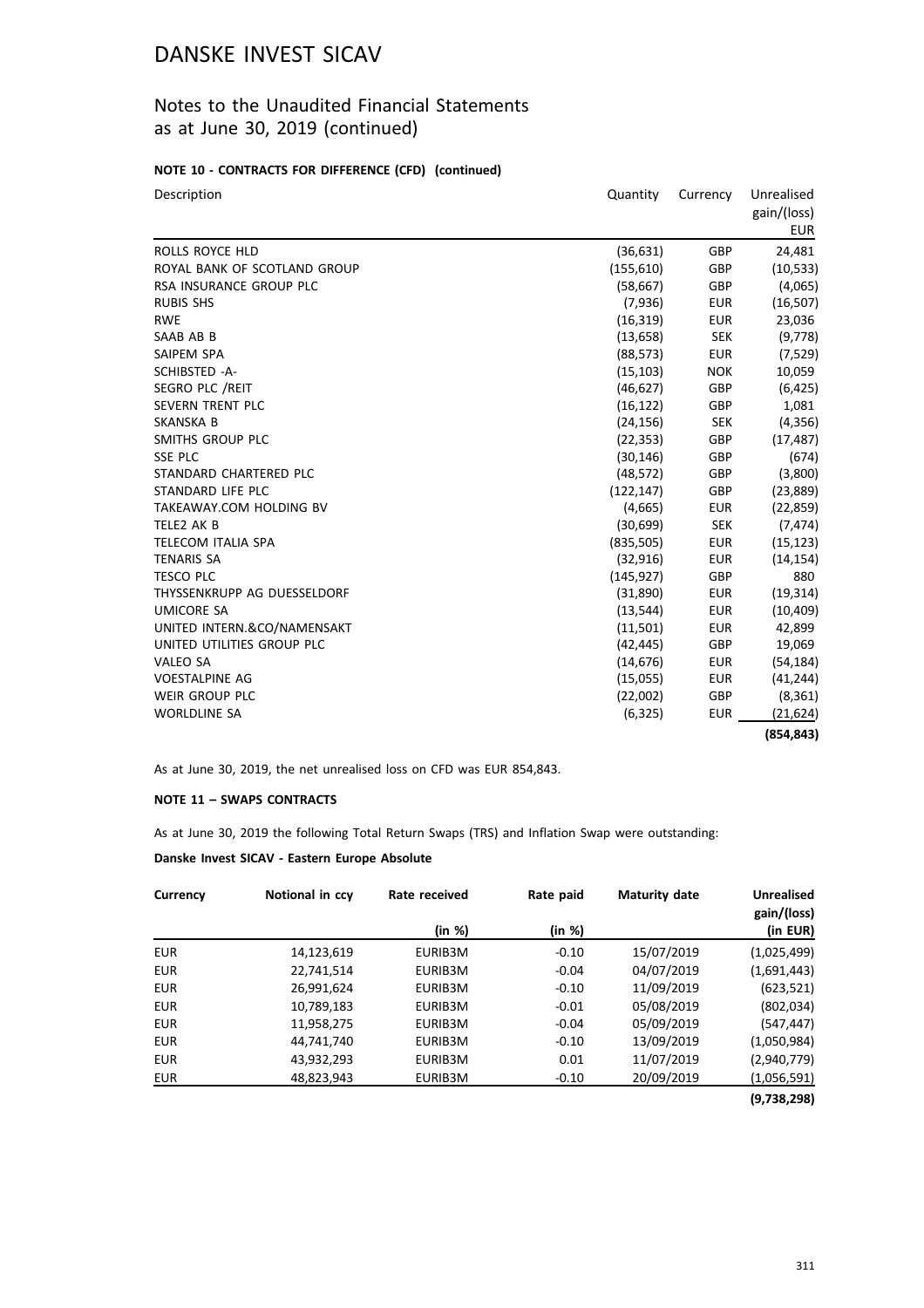## Notes to the Unaudited Financial Statements as at June 30, 2019 (continued)

#### **NOTE 10 - CONTRACTS FOR DIFFERENCE (CFD) (continued)**

| Description                  | Quantity   | Currency<br>Unrealised |             |
|------------------------------|------------|------------------------|-------------|
|                              |            |                        | gain/(loss) |
|                              |            |                        | <b>EUR</b>  |
| ROLLS ROYCE HLD              | (36, 631)  | <b>GBP</b>             | 24,481      |
| ROYAL BANK OF SCOTLAND GROUP | (155, 610) | GBP                    | (10, 533)   |
| RSA INSURANCE GROUP PLC      | (58, 667)  | GBP                    | (4,065)     |
| <b>RUBIS SHS</b>             | (7,936)    | <b>EUR</b>             | (16, 507)   |
| <b>RWE</b>                   | (16, 319)  | <b>EUR</b>             | 23,036      |
| SAAB AB B                    | (13, 658)  | <b>SEK</b>             | (9, 778)    |
| SAIPEM SPA                   | (88, 573)  | <b>EUR</b>             | (7, 529)    |
| SCHIBSTED -A-                | (15, 103)  | <b>NOK</b>             | 10,059      |
| SEGRO PLC / REIT             | (46, 627)  | GBP                    | (6, 425)    |
| <b>SEVERN TRENT PLC</b>      | (16, 122)  | GBP                    | 1,081       |
| SKANSKA B                    | (24, 156)  | <b>SEK</b>             | (4, 356)    |
| SMITHS GROUP PLC             | (22, 353)  | <b>GBP</b>             | (17, 487)   |
| <b>SSE PLC</b>               | (30, 146)  | GBP                    | (674)       |
| STANDARD CHARTERED PLC       | (48, 572)  | GBP                    | (3,800)     |
| STANDARD LIFE PLC            | (122, 147) | GBP                    | (23, 889)   |
| TAKEAWAY.COM HOLDING BV      | (4,665)    | <b>EUR</b>             | (22, 859)   |
| TELE2 AK B                   | (30,699)   | <b>SEK</b>             | (7, 474)    |
| TELECOM ITALIA SPA           | (835,505)  | <b>EUR</b>             | (15, 123)   |
| <b>TENARIS SA</b>            | (32, 916)  | <b>EUR</b>             | (14, 154)   |
| <b>TESCO PLC</b>             | (145, 927) | GBP                    | 880         |
| THYSSENKRUPP AG DUESSELDORF  | (31,890)   | <b>EUR</b>             | (19, 314)   |
| <b>UMICORE SA</b>            | (13, 544)  | <b>EUR</b>             | (10, 409)   |
| UNITED INTERN.&CO/NAMENSAKT  | (11,501)   | <b>EUR</b>             | 42,899      |
| UNITED UTILITIES GROUP PLC   | (42, 445)  | GBP                    | 19,069      |
| VALEO SA                     | (14, 676)  | EUR                    | (54, 184)   |
| <b>VOESTALPINE AG</b>        | (15,055)   | <b>EUR</b>             | (41, 244)   |
| WEIR GROUP PLC               | (22,002)   | GBP                    | (8, 361)    |
| <b>WORLDLINE SA</b>          | (6, 325)   | EUR                    | (21,624)    |
|                              |            |                        | (854, 843)  |

As at June 30, 2019, the net unrealised loss on CFD was EUR 854,843.

#### **NOTE 11 – SWAPS CONTRACTS**

As at June 30, 2019 the following Total Return Swaps (TRS) and Inflation Swap were outstanding:

#### **Danske Invest SICAV - Eastern Europe Absolute**

| Currency   | Notional in ccy | Rate received | Rate paid | <b>Maturity date</b> | <b>Unrealised</b>       |
|------------|-----------------|---------------|-----------|----------------------|-------------------------|
|            |                 | (in %)        | (in %)    |                      | gain/(loss)<br>(in EUR) |
| <b>EUR</b> | 14,123,619      | EURIB3M       | $-0.10$   | 15/07/2019           | (1,025,499)             |
| <b>EUR</b> | 22,741,514      | EURIB3M       | $-0.04$   | 04/07/2019           | (1,691,443)             |
| <b>EUR</b> | 26,991,624      | EURIB3M       | $-0.10$   | 11/09/2019           | (623, 521)              |
| <b>EUR</b> | 10,789,183      | EURIB3M       | $-0.01$   | 05/08/2019           | (802, 034)              |
| <b>EUR</b> | 11,958,275      | EURIB3M       | $-0.04$   | 05/09/2019           | (547, 447)              |
| <b>EUR</b> | 44,741,740      | EURIB3M       | $-0.10$   | 13/09/2019           | (1,050,984)             |
| <b>EUR</b> | 43,932,293      | EURIB3M       | 0.01      | 11/07/2019           | (2,940,779)             |
| EUR        | 48,823,943      | EURIB3M       | $-0.10$   | 20/09/2019           | (1,056,591)             |

**(9,738,298)**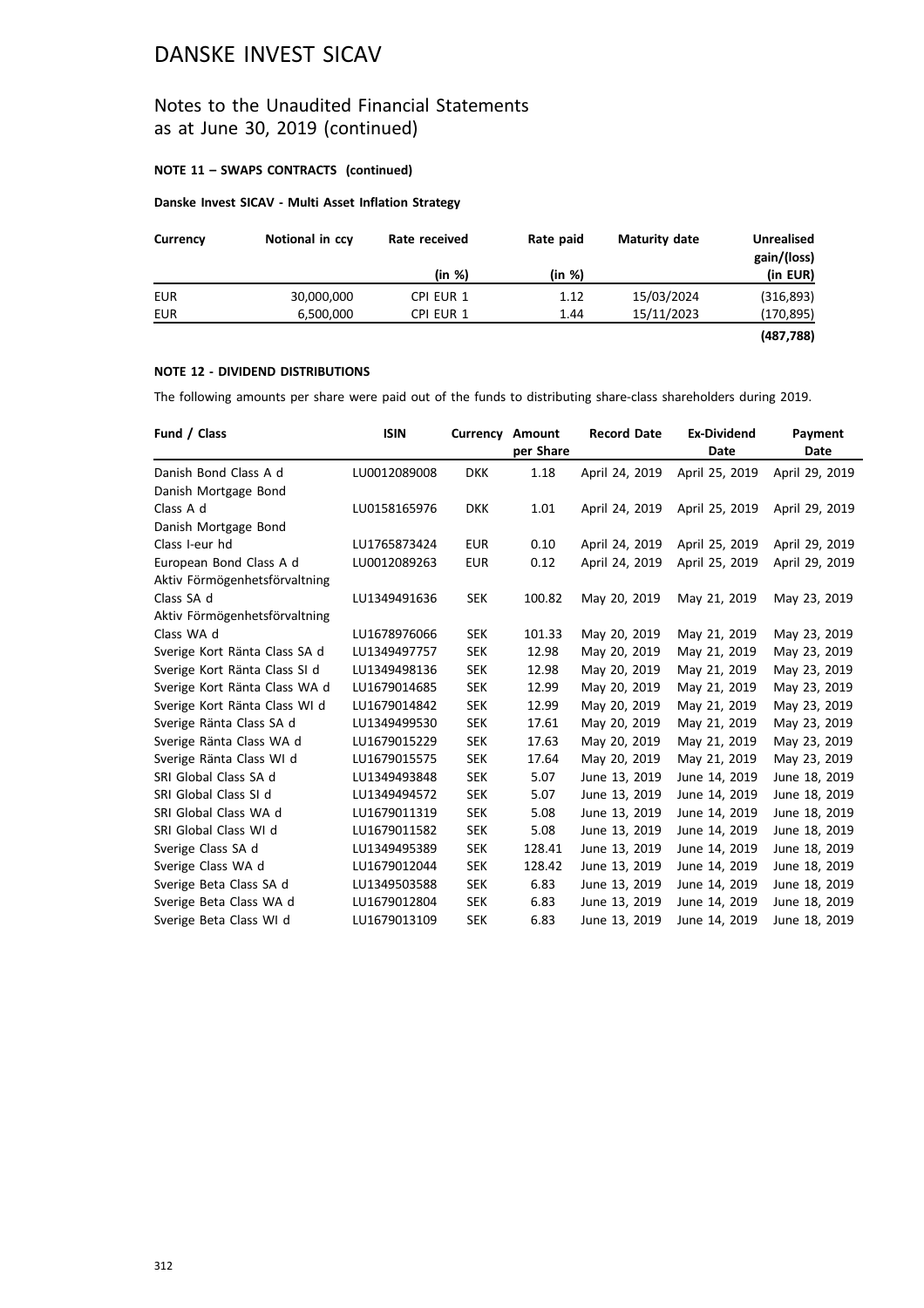## Notes to the Unaudited Financial Statements as at June 30, 2019 (continued)

#### **NOTE 11 – SWAPS CONTRACTS (continued)**

#### **Danske Invest SICAV - Multi Asset Inflation Strategy**

| Currency | Notional in ccy | Rate paid<br>Rate received |        | Maturity date | <b>Unrealised</b><br>gain/(loss) |  |
|----------|-----------------|----------------------------|--------|---------------|----------------------------------|--|
|          |                 | (in %)                     | (in %) |               | (in EUR)                         |  |
| EUR      | 30,000,000      | CPI EUR 1                  | 1.12   | 15/03/2024    | (316, 893)                       |  |
| EUR      | 6,500,000       | CPI EUR 1                  | 1.44   | 15/11/2023    | (170, 895)                       |  |
|          |                 |                            |        |               | (487, 788)                       |  |

#### **NOTE 12 - DIVIDEND DISTRIBUTIONS**

The following amounts per share were paid out of the funds to distributing share-class shareholders during 2019.

| Fund / Class                  | <b>ISIN</b>  | <b>Currency Amount</b> | per Share | <b>Record Date</b> | <b>Ex-Dividend</b><br>Date | Payment                |
|-------------------------------|--------------|------------------------|-----------|--------------------|----------------------------|------------------------|
| Danish Bond Class A d         | LU0012089008 | <b>DKK</b>             | 1.18      | April 24, 2019     | April 25, 2019             | Date<br>April 29, 2019 |
| Danish Mortgage Bond          |              |                        |           |                    |                            |                        |
| Class A d                     |              |                        | 1.01      |                    | April 25, 2019             | April 29, 2019         |
|                               | LU0158165976 | <b>DKK</b>             |           | April 24, 2019     |                            |                        |
| Danish Mortgage Bond          |              |                        |           |                    |                            |                        |
| Class I-eur hd                | LU1765873424 | <b>EUR</b>             | 0.10      | April 24, 2019     | April 25, 2019             | April 29, 2019         |
| European Bond Class A d       | LU0012089263 | <b>EUR</b>             | 0.12      | April 24, 2019     | April 25, 2019             | April 29, 2019         |
| Aktiv Förmögenhetsförvaltning |              |                        |           |                    |                            |                        |
| Class SA d                    | LU1349491636 | <b>SEK</b>             | 100.82    | May 20, 2019       | May 21, 2019               | May 23, 2019           |
| Aktiv Förmögenhetsförvaltning |              |                        |           |                    |                            |                        |
| Class WA d                    | LU1678976066 | <b>SEK</b>             | 101.33    | May 20, 2019       | May 21, 2019               | May 23, 2019           |
| Sverige Kort Ränta Class SA d | LU1349497757 | <b>SEK</b>             | 12.98     | May 20, 2019       | May 21, 2019               | May 23, 2019           |
| Sverige Kort Ränta Class SI d | LU1349498136 | <b>SEK</b>             | 12.98     | May 20, 2019       | May 21, 2019               | May 23, 2019           |
| Sverige Kort Ränta Class WA d | LU1679014685 | <b>SEK</b>             | 12.99     | May 20, 2019       | May 21, 2019               | May 23, 2019           |
| Sverige Kort Ränta Class WI d | LU1679014842 | <b>SEK</b>             | 12.99     | May 20, 2019       | May 21, 2019               | May 23, 2019           |
| Sverige Ränta Class SA d      | LU1349499530 | <b>SEK</b>             | 17.61     | May 20, 2019       | May 21, 2019               | May 23, 2019           |
| Sverige Ränta Class WA d      | LU1679015229 | <b>SEK</b>             | 17.63     | May 20, 2019       | May 21, 2019               | May 23, 2019           |
| Sverige Ränta Class WI d      | LU1679015575 | <b>SEK</b>             | 17.64     | May 20, 2019       | May 21, 2019               | May 23, 2019           |
| SRI Global Class SA d         | LU1349493848 | <b>SEK</b>             | 5.07      | June 13, 2019      | June 14, 2019              | June 18, 2019          |
| SRI Global Class SI d         | LU1349494572 | <b>SEK</b>             | 5.07      | June 13, 2019      | June 14, 2019              | June 18, 2019          |
| SRI Global Class WA d         | LU1679011319 | <b>SEK</b>             | 5.08      | June 13, 2019      | June 14, 2019              | June 18, 2019          |
| SRI Global Class WI d         | LU1679011582 | <b>SEK</b>             | 5.08      | June 13, 2019      | June 14, 2019              | June 18, 2019          |
| Sverige Class SA d            | LU1349495389 | <b>SEK</b>             | 128.41    | June 13, 2019      | June 14, 2019              | June 18, 2019          |
| Sverige Class WA d            | LU1679012044 | <b>SEK</b>             | 128.42    | June 13, 2019      | June 14, 2019              | June 18, 2019          |
| Sverige Beta Class SA d       | LU1349503588 | <b>SEK</b>             | 6.83      | June 13, 2019      | June 14, 2019              | June 18, 2019          |
| Sverige Beta Class WA d       | LU1679012804 | <b>SEK</b>             | 6.83      | June 13, 2019      | June 14, 2019              | June 18, 2019          |
| Sverige Beta Class WI d       | LU1679013109 | <b>SEK</b>             | 6.83      | June 13, 2019      | June 14, 2019              | June 18, 2019          |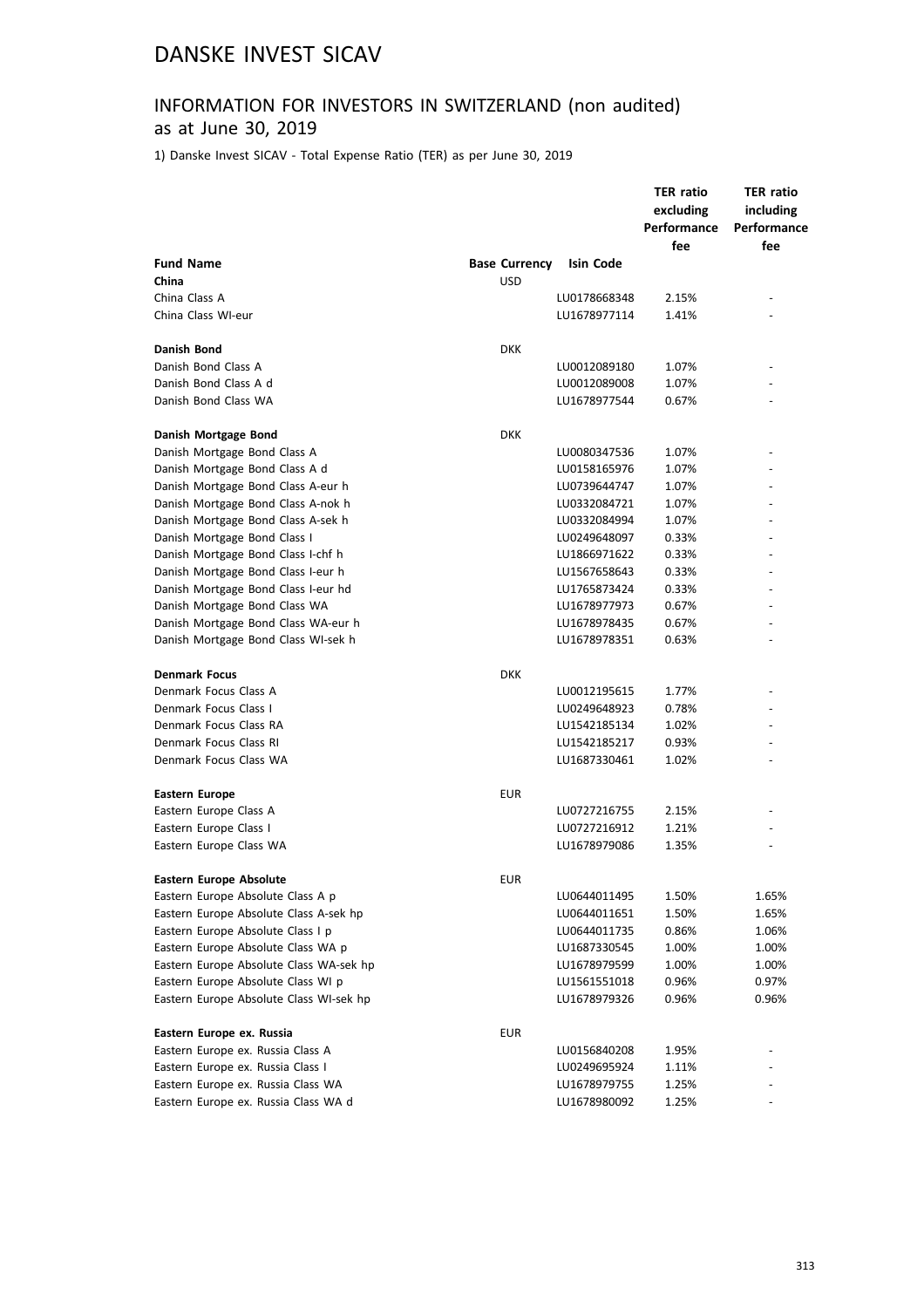# INFORMATION FOR INVESTORS IN SWITZERLAND (non audited)

## as at June 30, 2019

1) Danske Invest SICAV - Total Expense Ratio (TER) as per June 30, 2019

|                                         |                      |              | <b>TER ratio</b><br>excluding<br>Performance<br>fee | <b>TER ratio</b><br>including<br>Performance<br>fee |
|-----------------------------------------|----------------------|--------------|-----------------------------------------------------|-----------------------------------------------------|
| <b>Fund Name</b>                        | <b>Base Currency</b> | Isin Code    |                                                     |                                                     |
| China                                   | <b>USD</b>           |              |                                                     |                                                     |
| China Class A                           |                      | LU0178668348 | 2.15%                                               |                                                     |
| China Class WI-eur                      |                      | LU1678977114 | 1.41%                                               |                                                     |
|                                         |                      |              |                                                     |                                                     |
| Danish Bond                             | DKK                  |              |                                                     |                                                     |
| Danish Bond Class A                     |                      | LU0012089180 | 1.07%                                               |                                                     |
| Danish Bond Class A d                   |                      | LU0012089008 | 1.07%                                               |                                                     |
| Danish Bond Class WA                    |                      | LU1678977544 | 0.67%                                               |                                                     |
| Danish Mortgage Bond                    | <b>DKK</b>           |              |                                                     |                                                     |
| Danish Mortgage Bond Class A            |                      | LU0080347536 | 1.07%                                               |                                                     |
| Danish Mortgage Bond Class A d          |                      | LU0158165976 | 1.07%                                               |                                                     |
| Danish Mortgage Bond Class A-eur h      |                      | LU0739644747 | 1.07%                                               |                                                     |
| Danish Mortgage Bond Class A-nok h      |                      | LU0332084721 | 1.07%                                               |                                                     |
| Danish Mortgage Bond Class A-sek h      |                      | LU0332084994 | 1.07%                                               |                                                     |
| Danish Mortgage Bond Class I            |                      | LU0249648097 | 0.33%                                               |                                                     |
| Danish Mortgage Bond Class I-chf h      |                      | LU1866971622 | 0.33%                                               |                                                     |
| Danish Mortgage Bond Class I-eur h      |                      | LU1567658643 | 0.33%                                               |                                                     |
| Danish Mortgage Bond Class I-eur hd     |                      | LU1765873424 | 0.33%                                               |                                                     |
| Danish Mortgage Bond Class WA           |                      | LU1678977973 | 0.67%                                               |                                                     |
| Danish Mortgage Bond Class WA-eur h     |                      | LU1678978435 | 0.67%                                               |                                                     |
| Danish Mortgage Bond Class WI-sek h     |                      | LU1678978351 | 0.63%                                               |                                                     |
| <b>Denmark Focus</b>                    | <b>DKK</b>           |              |                                                     |                                                     |
| Denmark Focus Class A                   |                      | LU0012195615 | 1.77%                                               |                                                     |
| Denmark Focus Class I                   |                      | LU0249648923 | 0.78%                                               |                                                     |
| Denmark Focus Class RA                  |                      | LU1542185134 | 1.02%                                               |                                                     |
| Denmark Focus Class RI                  |                      | LU1542185217 | 0.93%                                               |                                                     |
| Denmark Focus Class WA                  |                      | LU1687330461 | 1.02%                                               |                                                     |
|                                         |                      |              |                                                     |                                                     |
| Eastern Europe                          | EUR                  |              |                                                     |                                                     |
| Eastern Europe Class A                  |                      | LU0727216755 | 2.15%                                               |                                                     |
| Eastern Europe Class I                  |                      | LU0727216912 | 1.21%                                               |                                                     |
| Eastern Europe Class WA                 |                      | LU1678979086 | 1.35%                                               |                                                     |
| Eastern Europe Absolute                 | EUR                  |              |                                                     |                                                     |
| Eastern Europe Absolute Class A p       |                      | LU0644011495 | 1.50%                                               | 1.65%                                               |
| Eastern Europe Absolute Class A-sek hp  |                      | LU0644011651 | 1.50%                                               | 1.65%                                               |
| Eastern Europe Absolute Class I p       |                      | LU0644011735 | 0.86%                                               | 1.06%                                               |
| Eastern Europe Absolute Class WA p      |                      | LU1687330545 | 1.00%                                               | 1.00%                                               |
| Eastern Europe Absolute Class WA-sek hp |                      | LU1678979599 | 1.00%                                               | 1.00%                                               |
| Eastern Europe Absolute Class WI p      |                      | LU1561551018 | 0.96%                                               | 0.97%                                               |
| Eastern Europe Absolute Class WI-sek hp |                      | LU1678979326 | 0.96%                                               | 0.96%                                               |
| Eastern Europe ex. Russia               | <b>EUR</b>           |              |                                                     |                                                     |
| Eastern Europe ex. Russia Class A       |                      | LU0156840208 | 1.95%                                               |                                                     |
| Eastern Europe ex. Russia Class I       |                      | LU0249695924 | 1.11%                                               |                                                     |
| Eastern Europe ex. Russia Class WA      |                      | LU1678979755 | 1.25%                                               |                                                     |
| Eastern Europe ex. Russia Class WA d    |                      | LU1678980092 | 1.25%                                               |                                                     |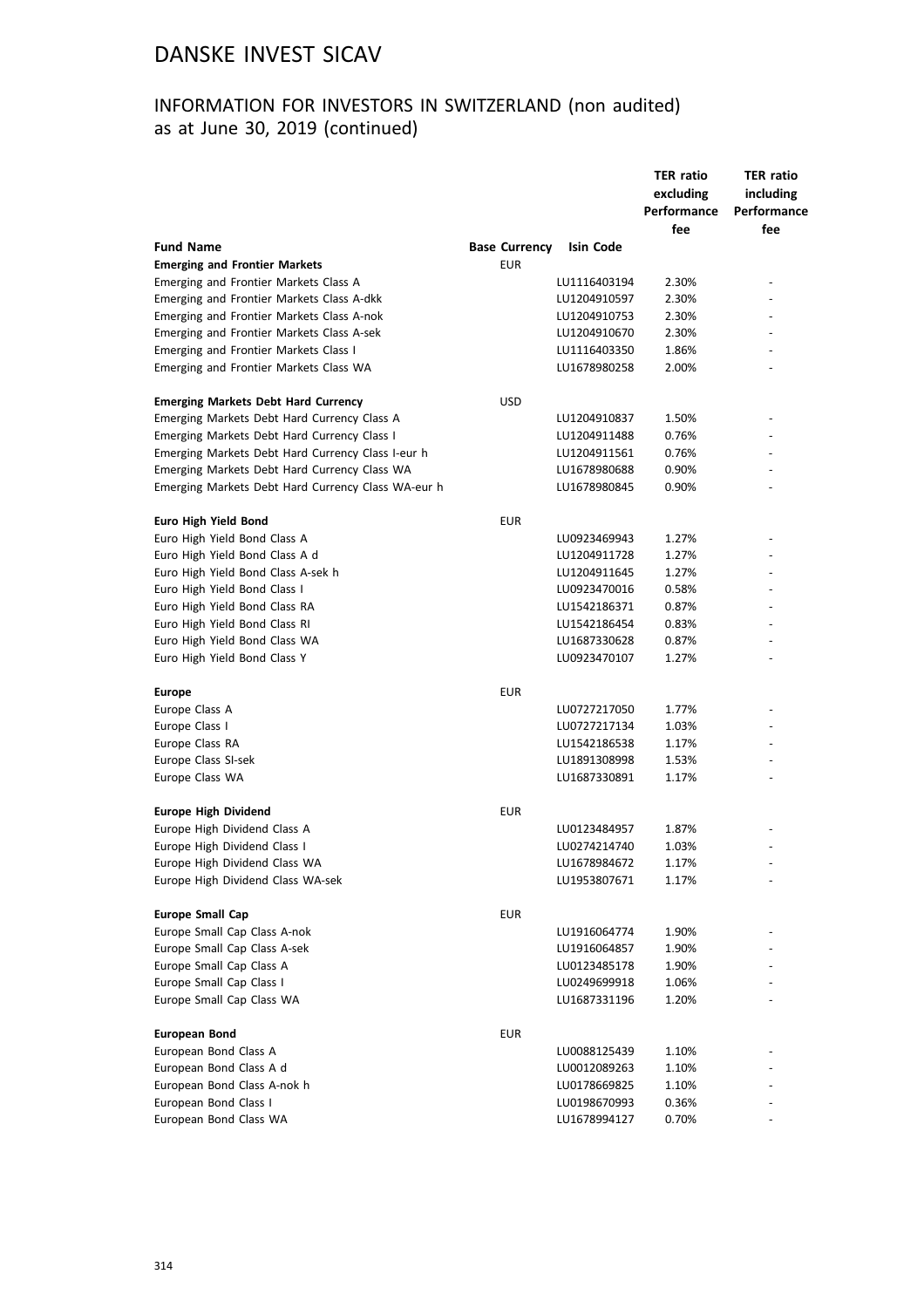## INFORMATION FOR INVESTORS IN SWITZERLAND (non audited) as at June 30, 2019 (continued)

| excluding<br>including<br>Performance<br>Performance<br>fee<br>fee<br><b>Fund Name</b><br><b>Base Currency</b><br><b>Isin Code</b><br><b>Emerging and Frontier Markets</b><br><b>EUR</b><br>Emerging and Frontier Markets Class A<br>2.30%<br>LU1116403194<br>Emerging and Frontier Markets Class A-dkk<br>LU1204910597<br>2.30%<br>2.30%<br>Emerging and Frontier Markets Class A-nok<br>LU1204910753<br>2.30%<br>Emerging and Frontier Markets Class A-sek<br>LU1204910670<br>Emerging and Frontier Markets Class I<br>1.86%<br>LU1116403350<br>LU1678980258<br>2.00%<br>Emerging and Frontier Markets Class WA<br><b>USD</b><br><b>Emerging Markets Debt Hard Currency</b><br>1.50%<br>Emerging Markets Debt Hard Currency Class A<br>LU1204910837<br>Emerging Markets Debt Hard Currency Class I<br>0.76%<br>LU1204911488<br>Emerging Markets Debt Hard Currency Class I-eur h<br>LU1204911561<br>0.76%<br>Emerging Markets Debt Hard Currency Class WA<br>LU1678980688<br>0.90%<br>Emerging Markets Debt Hard Currency Class WA-eur h<br>LU1678980845<br>0.90%<br><b>EUR</b><br><b>Euro High Yield Bond</b><br>Euro High Yield Bond Class A<br>1.27%<br>LU0923469943<br>Euro High Yield Bond Class A d<br>1.27%<br>LU1204911728<br>1.27%<br>Euro High Yield Bond Class A-sek h<br>LU1204911645<br>Euro High Yield Bond Class I<br>LU0923470016<br>0.58%<br>Euro High Yield Bond Class RA<br>0.87%<br>LU1542186371<br>0.83%<br>Euro High Yield Bond Class RI<br>LU1542186454<br>Euro High Yield Bond Class WA<br>LU1687330628<br>0.87%<br>Euro High Yield Bond Class Y<br>1.27%<br>LU0923470107<br><b>EUR</b><br><b>Europe</b><br>Europe Class A<br>LU0727217050<br>1.77%<br>Europe Class I<br>LU0727217134<br>1.03%<br>Europe Class RA<br>1.17%<br>LU1542186538<br>Europe Class SI-sek<br>1.53%<br>LU1891308998<br>Europe Class WA<br>LU1687330891<br>1.17%<br><b>EUR</b><br><b>Europe High Dividend</b><br>Europe High Dividend Class A<br>LU0123484957<br>1.87%<br>Europe High Dividend Class I<br>LU0274214740<br>1.03%<br>Europe High Dividend Class WA<br>LU1678984672<br>1.17%<br>Europe High Dividend Class WA-sek<br>LU1953807671<br>1.17%<br><b>Europe Small Cap</b><br><b>EUR</b><br>Europe Small Cap Class A-nok<br>1.90%<br>LU1916064774<br>Europe Small Cap Class A-sek<br>1.90%<br>LU1916064857<br>Europe Small Cap Class A<br>LU0123485178<br>1.90%<br>Europe Small Cap Class I<br>LU0249699918<br>1.06%<br>Europe Small Cap Class WA<br>LU1687331196<br>1.20%<br><b>EUR</b><br><b>European Bond</b><br>European Bond Class A<br>LU0088125439<br>1.10%<br>European Bond Class A d<br>1.10%<br>LU0012089263<br>European Bond Class A-nok h<br>LU0178669825<br>1.10%<br>European Bond Class I<br>LU0198670993<br>0.36%<br>European Bond Class WA<br>0.70%<br>LU1678994127 |  |  | <b>TER ratio</b> | <b>TER ratio</b> |  |
|---------------------------------------------------------------------------------------------------------------------------------------------------------------------------------------------------------------------------------------------------------------------------------------------------------------------------------------------------------------------------------------------------------------------------------------------------------------------------------------------------------------------------------------------------------------------------------------------------------------------------------------------------------------------------------------------------------------------------------------------------------------------------------------------------------------------------------------------------------------------------------------------------------------------------------------------------------------------------------------------------------------------------------------------------------------------------------------------------------------------------------------------------------------------------------------------------------------------------------------------------------------------------------------------------------------------------------------------------------------------------------------------------------------------------------------------------------------------------------------------------------------------------------------------------------------------------------------------------------------------------------------------------------------------------------------------------------------------------------------------------------------------------------------------------------------------------------------------------------------------------------------------------------------------------------------------------------------------------------------------------------------------------------------------------------------------------------------------------------------------------------------------------------------------------------------------------------------------------------------------------------------------------------------------------------------------------------------------------------------------------------------------------------------------------------------------------------------------------------------------------------------------------------------------------------------------------------------------------------------------------------------------------------------------------------------------------------------------------------------------------------------------------------------------|--|--|------------------|------------------|--|
|                                                                                                                                                                                                                                                                                                                                                                                                                                                                                                                                                                                                                                                                                                                                                                                                                                                                                                                                                                                                                                                                                                                                                                                                                                                                                                                                                                                                                                                                                                                                                                                                                                                                                                                                                                                                                                                                                                                                                                                                                                                                                                                                                                                                                                                                                                                                                                                                                                                                                                                                                                                                                                                                                                                                                                                             |  |  |                  |                  |  |
|                                                                                                                                                                                                                                                                                                                                                                                                                                                                                                                                                                                                                                                                                                                                                                                                                                                                                                                                                                                                                                                                                                                                                                                                                                                                                                                                                                                                                                                                                                                                                                                                                                                                                                                                                                                                                                                                                                                                                                                                                                                                                                                                                                                                                                                                                                                                                                                                                                                                                                                                                                                                                                                                                                                                                                                             |  |  |                  |                  |  |
|                                                                                                                                                                                                                                                                                                                                                                                                                                                                                                                                                                                                                                                                                                                                                                                                                                                                                                                                                                                                                                                                                                                                                                                                                                                                                                                                                                                                                                                                                                                                                                                                                                                                                                                                                                                                                                                                                                                                                                                                                                                                                                                                                                                                                                                                                                                                                                                                                                                                                                                                                                                                                                                                                                                                                                                             |  |  |                  |                  |  |
|                                                                                                                                                                                                                                                                                                                                                                                                                                                                                                                                                                                                                                                                                                                                                                                                                                                                                                                                                                                                                                                                                                                                                                                                                                                                                                                                                                                                                                                                                                                                                                                                                                                                                                                                                                                                                                                                                                                                                                                                                                                                                                                                                                                                                                                                                                                                                                                                                                                                                                                                                                                                                                                                                                                                                                                             |  |  |                  |                  |  |
|                                                                                                                                                                                                                                                                                                                                                                                                                                                                                                                                                                                                                                                                                                                                                                                                                                                                                                                                                                                                                                                                                                                                                                                                                                                                                                                                                                                                                                                                                                                                                                                                                                                                                                                                                                                                                                                                                                                                                                                                                                                                                                                                                                                                                                                                                                                                                                                                                                                                                                                                                                                                                                                                                                                                                                                             |  |  |                  |                  |  |
|                                                                                                                                                                                                                                                                                                                                                                                                                                                                                                                                                                                                                                                                                                                                                                                                                                                                                                                                                                                                                                                                                                                                                                                                                                                                                                                                                                                                                                                                                                                                                                                                                                                                                                                                                                                                                                                                                                                                                                                                                                                                                                                                                                                                                                                                                                                                                                                                                                                                                                                                                                                                                                                                                                                                                                                             |  |  |                  |                  |  |
|                                                                                                                                                                                                                                                                                                                                                                                                                                                                                                                                                                                                                                                                                                                                                                                                                                                                                                                                                                                                                                                                                                                                                                                                                                                                                                                                                                                                                                                                                                                                                                                                                                                                                                                                                                                                                                                                                                                                                                                                                                                                                                                                                                                                                                                                                                                                                                                                                                                                                                                                                                                                                                                                                                                                                                                             |  |  |                  |                  |  |
|                                                                                                                                                                                                                                                                                                                                                                                                                                                                                                                                                                                                                                                                                                                                                                                                                                                                                                                                                                                                                                                                                                                                                                                                                                                                                                                                                                                                                                                                                                                                                                                                                                                                                                                                                                                                                                                                                                                                                                                                                                                                                                                                                                                                                                                                                                                                                                                                                                                                                                                                                                                                                                                                                                                                                                                             |  |  |                  |                  |  |
|                                                                                                                                                                                                                                                                                                                                                                                                                                                                                                                                                                                                                                                                                                                                                                                                                                                                                                                                                                                                                                                                                                                                                                                                                                                                                                                                                                                                                                                                                                                                                                                                                                                                                                                                                                                                                                                                                                                                                                                                                                                                                                                                                                                                                                                                                                                                                                                                                                                                                                                                                                                                                                                                                                                                                                                             |  |  |                  |                  |  |
|                                                                                                                                                                                                                                                                                                                                                                                                                                                                                                                                                                                                                                                                                                                                                                                                                                                                                                                                                                                                                                                                                                                                                                                                                                                                                                                                                                                                                                                                                                                                                                                                                                                                                                                                                                                                                                                                                                                                                                                                                                                                                                                                                                                                                                                                                                                                                                                                                                                                                                                                                                                                                                                                                                                                                                                             |  |  |                  |                  |  |
|                                                                                                                                                                                                                                                                                                                                                                                                                                                                                                                                                                                                                                                                                                                                                                                                                                                                                                                                                                                                                                                                                                                                                                                                                                                                                                                                                                                                                                                                                                                                                                                                                                                                                                                                                                                                                                                                                                                                                                                                                                                                                                                                                                                                                                                                                                                                                                                                                                                                                                                                                                                                                                                                                                                                                                                             |  |  |                  |                  |  |
|                                                                                                                                                                                                                                                                                                                                                                                                                                                                                                                                                                                                                                                                                                                                                                                                                                                                                                                                                                                                                                                                                                                                                                                                                                                                                                                                                                                                                                                                                                                                                                                                                                                                                                                                                                                                                                                                                                                                                                                                                                                                                                                                                                                                                                                                                                                                                                                                                                                                                                                                                                                                                                                                                                                                                                                             |  |  |                  |                  |  |
|                                                                                                                                                                                                                                                                                                                                                                                                                                                                                                                                                                                                                                                                                                                                                                                                                                                                                                                                                                                                                                                                                                                                                                                                                                                                                                                                                                                                                                                                                                                                                                                                                                                                                                                                                                                                                                                                                                                                                                                                                                                                                                                                                                                                                                                                                                                                                                                                                                                                                                                                                                                                                                                                                                                                                                                             |  |  |                  |                  |  |
|                                                                                                                                                                                                                                                                                                                                                                                                                                                                                                                                                                                                                                                                                                                                                                                                                                                                                                                                                                                                                                                                                                                                                                                                                                                                                                                                                                                                                                                                                                                                                                                                                                                                                                                                                                                                                                                                                                                                                                                                                                                                                                                                                                                                                                                                                                                                                                                                                                                                                                                                                                                                                                                                                                                                                                                             |  |  |                  |                  |  |
|                                                                                                                                                                                                                                                                                                                                                                                                                                                                                                                                                                                                                                                                                                                                                                                                                                                                                                                                                                                                                                                                                                                                                                                                                                                                                                                                                                                                                                                                                                                                                                                                                                                                                                                                                                                                                                                                                                                                                                                                                                                                                                                                                                                                                                                                                                                                                                                                                                                                                                                                                                                                                                                                                                                                                                                             |  |  |                  |                  |  |
|                                                                                                                                                                                                                                                                                                                                                                                                                                                                                                                                                                                                                                                                                                                                                                                                                                                                                                                                                                                                                                                                                                                                                                                                                                                                                                                                                                                                                                                                                                                                                                                                                                                                                                                                                                                                                                                                                                                                                                                                                                                                                                                                                                                                                                                                                                                                                                                                                                                                                                                                                                                                                                                                                                                                                                                             |  |  |                  |                  |  |
|                                                                                                                                                                                                                                                                                                                                                                                                                                                                                                                                                                                                                                                                                                                                                                                                                                                                                                                                                                                                                                                                                                                                                                                                                                                                                                                                                                                                                                                                                                                                                                                                                                                                                                                                                                                                                                                                                                                                                                                                                                                                                                                                                                                                                                                                                                                                                                                                                                                                                                                                                                                                                                                                                                                                                                                             |  |  |                  |                  |  |
|                                                                                                                                                                                                                                                                                                                                                                                                                                                                                                                                                                                                                                                                                                                                                                                                                                                                                                                                                                                                                                                                                                                                                                                                                                                                                                                                                                                                                                                                                                                                                                                                                                                                                                                                                                                                                                                                                                                                                                                                                                                                                                                                                                                                                                                                                                                                                                                                                                                                                                                                                                                                                                                                                                                                                                                             |  |  |                  |                  |  |
|                                                                                                                                                                                                                                                                                                                                                                                                                                                                                                                                                                                                                                                                                                                                                                                                                                                                                                                                                                                                                                                                                                                                                                                                                                                                                                                                                                                                                                                                                                                                                                                                                                                                                                                                                                                                                                                                                                                                                                                                                                                                                                                                                                                                                                                                                                                                                                                                                                                                                                                                                                                                                                                                                                                                                                                             |  |  |                  |                  |  |
|                                                                                                                                                                                                                                                                                                                                                                                                                                                                                                                                                                                                                                                                                                                                                                                                                                                                                                                                                                                                                                                                                                                                                                                                                                                                                                                                                                                                                                                                                                                                                                                                                                                                                                                                                                                                                                                                                                                                                                                                                                                                                                                                                                                                                                                                                                                                                                                                                                                                                                                                                                                                                                                                                                                                                                                             |  |  |                  |                  |  |
|                                                                                                                                                                                                                                                                                                                                                                                                                                                                                                                                                                                                                                                                                                                                                                                                                                                                                                                                                                                                                                                                                                                                                                                                                                                                                                                                                                                                                                                                                                                                                                                                                                                                                                                                                                                                                                                                                                                                                                                                                                                                                                                                                                                                                                                                                                                                                                                                                                                                                                                                                                                                                                                                                                                                                                                             |  |  |                  |                  |  |
|                                                                                                                                                                                                                                                                                                                                                                                                                                                                                                                                                                                                                                                                                                                                                                                                                                                                                                                                                                                                                                                                                                                                                                                                                                                                                                                                                                                                                                                                                                                                                                                                                                                                                                                                                                                                                                                                                                                                                                                                                                                                                                                                                                                                                                                                                                                                                                                                                                                                                                                                                                                                                                                                                                                                                                                             |  |  |                  |                  |  |
|                                                                                                                                                                                                                                                                                                                                                                                                                                                                                                                                                                                                                                                                                                                                                                                                                                                                                                                                                                                                                                                                                                                                                                                                                                                                                                                                                                                                                                                                                                                                                                                                                                                                                                                                                                                                                                                                                                                                                                                                                                                                                                                                                                                                                                                                                                                                                                                                                                                                                                                                                                                                                                                                                                                                                                                             |  |  |                  |                  |  |
|                                                                                                                                                                                                                                                                                                                                                                                                                                                                                                                                                                                                                                                                                                                                                                                                                                                                                                                                                                                                                                                                                                                                                                                                                                                                                                                                                                                                                                                                                                                                                                                                                                                                                                                                                                                                                                                                                                                                                                                                                                                                                                                                                                                                                                                                                                                                                                                                                                                                                                                                                                                                                                                                                                                                                                                             |  |  |                  |                  |  |
|                                                                                                                                                                                                                                                                                                                                                                                                                                                                                                                                                                                                                                                                                                                                                                                                                                                                                                                                                                                                                                                                                                                                                                                                                                                                                                                                                                                                                                                                                                                                                                                                                                                                                                                                                                                                                                                                                                                                                                                                                                                                                                                                                                                                                                                                                                                                                                                                                                                                                                                                                                                                                                                                                                                                                                                             |  |  |                  |                  |  |
|                                                                                                                                                                                                                                                                                                                                                                                                                                                                                                                                                                                                                                                                                                                                                                                                                                                                                                                                                                                                                                                                                                                                                                                                                                                                                                                                                                                                                                                                                                                                                                                                                                                                                                                                                                                                                                                                                                                                                                                                                                                                                                                                                                                                                                                                                                                                                                                                                                                                                                                                                                                                                                                                                                                                                                                             |  |  |                  |                  |  |
|                                                                                                                                                                                                                                                                                                                                                                                                                                                                                                                                                                                                                                                                                                                                                                                                                                                                                                                                                                                                                                                                                                                                                                                                                                                                                                                                                                                                                                                                                                                                                                                                                                                                                                                                                                                                                                                                                                                                                                                                                                                                                                                                                                                                                                                                                                                                                                                                                                                                                                                                                                                                                                                                                                                                                                                             |  |  |                  |                  |  |
|                                                                                                                                                                                                                                                                                                                                                                                                                                                                                                                                                                                                                                                                                                                                                                                                                                                                                                                                                                                                                                                                                                                                                                                                                                                                                                                                                                                                                                                                                                                                                                                                                                                                                                                                                                                                                                                                                                                                                                                                                                                                                                                                                                                                                                                                                                                                                                                                                                                                                                                                                                                                                                                                                                                                                                                             |  |  |                  |                  |  |
|                                                                                                                                                                                                                                                                                                                                                                                                                                                                                                                                                                                                                                                                                                                                                                                                                                                                                                                                                                                                                                                                                                                                                                                                                                                                                                                                                                                                                                                                                                                                                                                                                                                                                                                                                                                                                                                                                                                                                                                                                                                                                                                                                                                                                                                                                                                                                                                                                                                                                                                                                                                                                                                                                                                                                                                             |  |  |                  |                  |  |
|                                                                                                                                                                                                                                                                                                                                                                                                                                                                                                                                                                                                                                                                                                                                                                                                                                                                                                                                                                                                                                                                                                                                                                                                                                                                                                                                                                                                                                                                                                                                                                                                                                                                                                                                                                                                                                                                                                                                                                                                                                                                                                                                                                                                                                                                                                                                                                                                                                                                                                                                                                                                                                                                                                                                                                                             |  |  |                  |                  |  |
|                                                                                                                                                                                                                                                                                                                                                                                                                                                                                                                                                                                                                                                                                                                                                                                                                                                                                                                                                                                                                                                                                                                                                                                                                                                                                                                                                                                                                                                                                                                                                                                                                                                                                                                                                                                                                                                                                                                                                                                                                                                                                                                                                                                                                                                                                                                                                                                                                                                                                                                                                                                                                                                                                                                                                                                             |  |  |                  |                  |  |
|                                                                                                                                                                                                                                                                                                                                                                                                                                                                                                                                                                                                                                                                                                                                                                                                                                                                                                                                                                                                                                                                                                                                                                                                                                                                                                                                                                                                                                                                                                                                                                                                                                                                                                                                                                                                                                                                                                                                                                                                                                                                                                                                                                                                                                                                                                                                                                                                                                                                                                                                                                                                                                                                                                                                                                                             |  |  |                  |                  |  |
|                                                                                                                                                                                                                                                                                                                                                                                                                                                                                                                                                                                                                                                                                                                                                                                                                                                                                                                                                                                                                                                                                                                                                                                                                                                                                                                                                                                                                                                                                                                                                                                                                                                                                                                                                                                                                                                                                                                                                                                                                                                                                                                                                                                                                                                                                                                                                                                                                                                                                                                                                                                                                                                                                                                                                                                             |  |  |                  |                  |  |
|                                                                                                                                                                                                                                                                                                                                                                                                                                                                                                                                                                                                                                                                                                                                                                                                                                                                                                                                                                                                                                                                                                                                                                                                                                                                                                                                                                                                                                                                                                                                                                                                                                                                                                                                                                                                                                                                                                                                                                                                                                                                                                                                                                                                                                                                                                                                                                                                                                                                                                                                                                                                                                                                                                                                                                                             |  |  |                  |                  |  |
|                                                                                                                                                                                                                                                                                                                                                                                                                                                                                                                                                                                                                                                                                                                                                                                                                                                                                                                                                                                                                                                                                                                                                                                                                                                                                                                                                                                                                                                                                                                                                                                                                                                                                                                                                                                                                                                                                                                                                                                                                                                                                                                                                                                                                                                                                                                                                                                                                                                                                                                                                                                                                                                                                                                                                                                             |  |  |                  |                  |  |
|                                                                                                                                                                                                                                                                                                                                                                                                                                                                                                                                                                                                                                                                                                                                                                                                                                                                                                                                                                                                                                                                                                                                                                                                                                                                                                                                                                                                                                                                                                                                                                                                                                                                                                                                                                                                                                                                                                                                                                                                                                                                                                                                                                                                                                                                                                                                                                                                                                                                                                                                                                                                                                                                                                                                                                                             |  |  |                  |                  |  |
|                                                                                                                                                                                                                                                                                                                                                                                                                                                                                                                                                                                                                                                                                                                                                                                                                                                                                                                                                                                                                                                                                                                                                                                                                                                                                                                                                                                                                                                                                                                                                                                                                                                                                                                                                                                                                                                                                                                                                                                                                                                                                                                                                                                                                                                                                                                                                                                                                                                                                                                                                                                                                                                                                                                                                                                             |  |  |                  |                  |  |
|                                                                                                                                                                                                                                                                                                                                                                                                                                                                                                                                                                                                                                                                                                                                                                                                                                                                                                                                                                                                                                                                                                                                                                                                                                                                                                                                                                                                                                                                                                                                                                                                                                                                                                                                                                                                                                                                                                                                                                                                                                                                                                                                                                                                                                                                                                                                                                                                                                                                                                                                                                                                                                                                                                                                                                                             |  |  |                  |                  |  |
|                                                                                                                                                                                                                                                                                                                                                                                                                                                                                                                                                                                                                                                                                                                                                                                                                                                                                                                                                                                                                                                                                                                                                                                                                                                                                                                                                                                                                                                                                                                                                                                                                                                                                                                                                                                                                                                                                                                                                                                                                                                                                                                                                                                                                                                                                                                                                                                                                                                                                                                                                                                                                                                                                                                                                                                             |  |  |                  |                  |  |
|                                                                                                                                                                                                                                                                                                                                                                                                                                                                                                                                                                                                                                                                                                                                                                                                                                                                                                                                                                                                                                                                                                                                                                                                                                                                                                                                                                                                                                                                                                                                                                                                                                                                                                                                                                                                                                                                                                                                                                                                                                                                                                                                                                                                                                                                                                                                                                                                                                                                                                                                                                                                                                                                                                                                                                                             |  |  |                  |                  |  |
|                                                                                                                                                                                                                                                                                                                                                                                                                                                                                                                                                                                                                                                                                                                                                                                                                                                                                                                                                                                                                                                                                                                                                                                                                                                                                                                                                                                                                                                                                                                                                                                                                                                                                                                                                                                                                                                                                                                                                                                                                                                                                                                                                                                                                                                                                                                                                                                                                                                                                                                                                                                                                                                                                                                                                                                             |  |  |                  |                  |  |
|                                                                                                                                                                                                                                                                                                                                                                                                                                                                                                                                                                                                                                                                                                                                                                                                                                                                                                                                                                                                                                                                                                                                                                                                                                                                                                                                                                                                                                                                                                                                                                                                                                                                                                                                                                                                                                                                                                                                                                                                                                                                                                                                                                                                                                                                                                                                                                                                                                                                                                                                                                                                                                                                                                                                                                                             |  |  |                  |                  |  |
|                                                                                                                                                                                                                                                                                                                                                                                                                                                                                                                                                                                                                                                                                                                                                                                                                                                                                                                                                                                                                                                                                                                                                                                                                                                                                                                                                                                                                                                                                                                                                                                                                                                                                                                                                                                                                                                                                                                                                                                                                                                                                                                                                                                                                                                                                                                                                                                                                                                                                                                                                                                                                                                                                                                                                                                             |  |  |                  |                  |  |
|                                                                                                                                                                                                                                                                                                                                                                                                                                                                                                                                                                                                                                                                                                                                                                                                                                                                                                                                                                                                                                                                                                                                                                                                                                                                                                                                                                                                                                                                                                                                                                                                                                                                                                                                                                                                                                                                                                                                                                                                                                                                                                                                                                                                                                                                                                                                                                                                                                                                                                                                                                                                                                                                                                                                                                                             |  |  |                  |                  |  |
|                                                                                                                                                                                                                                                                                                                                                                                                                                                                                                                                                                                                                                                                                                                                                                                                                                                                                                                                                                                                                                                                                                                                                                                                                                                                                                                                                                                                                                                                                                                                                                                                                                                                                                                                                                                                                                                                                                                                                                                                                                                                                                                                                                                                                                                                                                                                                                                                                                                                                                                                                                                                                                                                                                                                                                                             |  |  |                  |                  |  |
|                                                                                                                                                                                                                                                                                                                                                                                                                                                                                                                                                                                                                                                                                                                                                                                                                                                                                                                                                                                                                                                                                                                                                                                                                                                                                                                                                                                                                                                                                                                                                                                                                                                                                                                                                                                                                                                                                                                                                                                                                                                                                                                                                                                                                                                                                                                                                                                                                                                                                                                                                                                                                                                                                                                                                                                             |  |  |                  |                  |  |
|                                                                                                                                                                                                                                                                                                                                                                                                                                                                                                                                                                                                                                                                                                                                                                                                                                                                                                                                                                                                                                                                                                                                                                                                                                                                                                                                                                                                                                                                                                                                                                                                                                                                                                                                                                                                                                                                                                                                                                                                                                                                                                                                                                                                                                                                                                                                                                                                                                                                                                                                                                                                                                                                                                                                                                                             |  |  |                  |                  |  |
|                                                                                                                                                                                                                                                                                                                                                                                                                                                                                                                                                                                                                                                                                                                                                                                                                                                                                                                                                                                                                                                                                                                                                                                                                                                                                                                                                                                                                                                                                                                                                                                                                                                                                                                                                                                                                                                                                                                                                                                                                                                                                                                                                                                                                                                                                                                                                                                                                                                                                                                                                                                                                                                                                                                                                                                             |  |  |                  |                  |  |
|                                                                                                                                                                                                                                                                                                                                                                                                                                                                                                                                                                                                                                                                                                                                                                                                                                                                                                                                                                                                                                                                                                                                                                                                                                                                                                                                                                                                                                                                                                                                                                                                                                                                                                                                                                                                                                                                                                                                                                                                                                                                                                                                                                                                                                                                                                                                                                                                                                                                                                                                                                                                                                                                                                                                                                                             |  |  |                  |                  |  |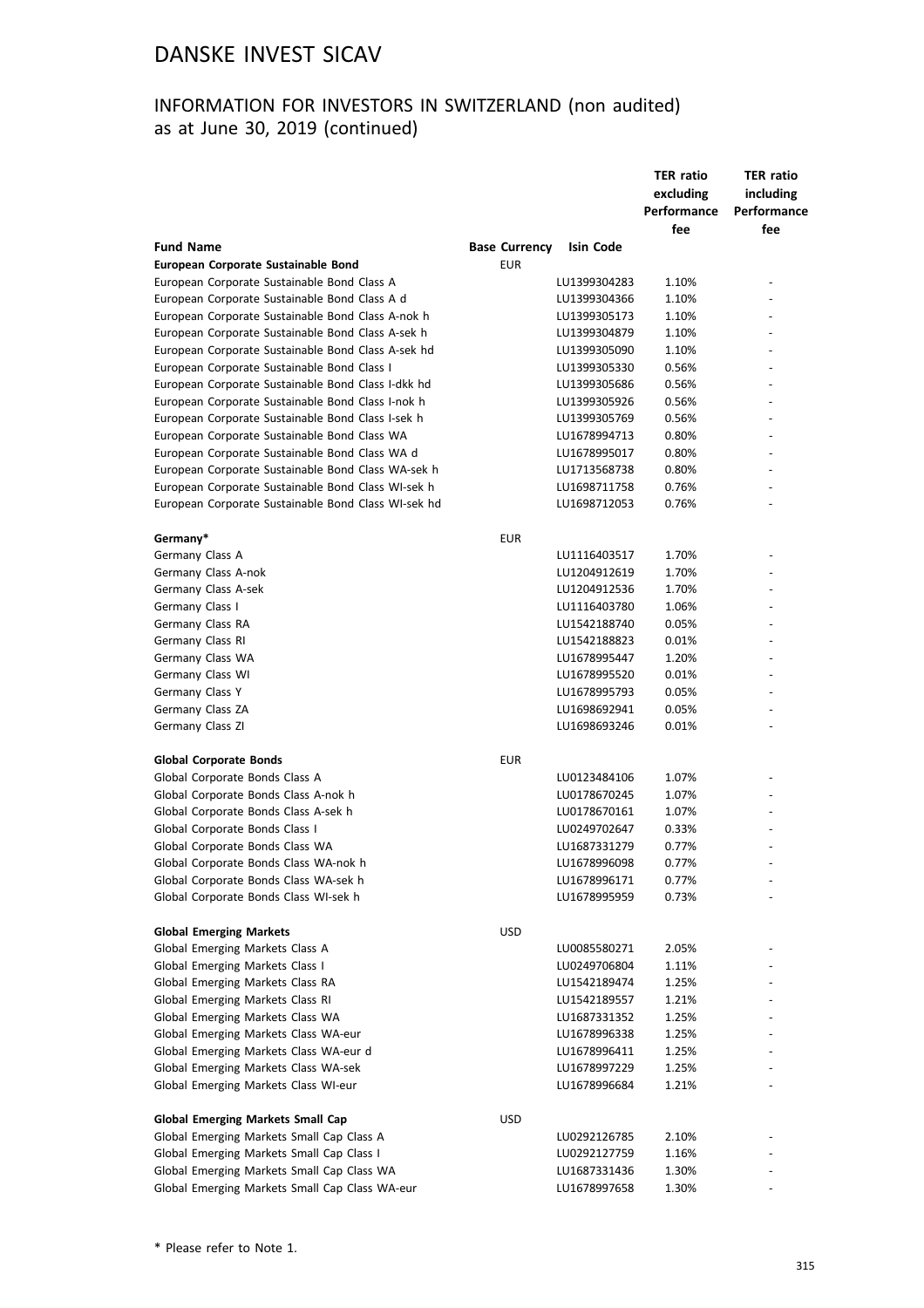## INFORMATION FOR INVESTORS IN SWITZERLAND (non audited) as at June 30, 2019 (continued)

|                                                     |                      |              | <b>TER ratio</b><br>excluding<br>Performance<br>fee | <b>TER ratio</b><br>including<br>Performance<br>fee |
|-----------------------------------------------------|----------------------|--------------|-----------------------------------------------------|-----------------------------------------------------|
| <b>Fund Name</b>                                    | <b>Base Currency</b> | Isin Code    |                                                     |                                                     |
| European Corporate Sustainable Bond                 | <b>EUR</b>           |              |                                                     |                                                     |
| European Corporate Sustainable Bond Class A         |                      | LU1399304283 | 1.10%                                               |                                                     |
| European Corporate Sustainable Bond Class A d       |                      | LU1399304366 | 1.10%                                               |                                                     |
| European Corporate Sustainable Bond Class A-nok h   |                      | LU1399305173 | 1.10%                                               |                                                     |
| European Corporate Sustainable Bond Class A-sek h   |                      | LU1399304879 | 1.10%                                               |                                                     |
| European Corporate Sustainable Bond Class A-sek hd  |                      | LU1399305090 | 1.10%                                               |                                                     |
| European Corporate Sustainable Bond Class I         |                      | LU1399305330 | 0.56%                                               |                                                     |
| European Corporate Sustainable Bond Class I-dkk hd  |                      | LU1399305686 | 0.56%                                               |                                                     |
| European Corporate Sustainable Bond Class I-nok h   |                      | LU1399305926 | 0.56%                                               | ٠                                                   |
| European Corporate Sustainable Bond Class I-sek h   |                      | LU1399305769 | 0.56%                                               |                                                     |
| European Corporate Sustainable Bond Class WA        |                      | LU1678994713 | 0.80%                                               |                                                     |
| European Corporate Sustainable Bond Class WA d      |                      | LU1678995017 | 0.80%                                               |                                                     |
| European Corporate Sustainable Bond Class WA-sek h  |                      | LU1713568738 | 0.80%                                               |                                                     |
| European Corporate Sustainable Bond Class WI-sek h  |                      | LU1698711758 | 0.76%                                               |                                                     |
| European Corporate Sustainable Bond Class WI-sek hd |                      | LU1698712053 | 0.76%                                               |                                                     |
| Germany*                                            | <b>EUR</b>           |              |                                                     |                                                     |
| Germany Class A                                     |                      | LU1116403517 | 1.70%                                               |                                                     |
| Germany Class A-nok                                 |                      | LU1204912619 | 1.70%                                               |                                                     |
| Germany Class A-sek                                 |                      | LU1204912536 | 1.70%                                               |                                                     |
| Germany Class I                                     |                      | LU1116403780 | 1.06%                                               |                                                     |
| Germany Class RA                                    |                      | LU1542188740 | 0.05%                                               |                                                     |
| Germany Class RI                                    |                      | LU1542188823 | 0.01%                                               |                                                     |
| Germany Class WA                                    |                      | LU1678995447 | 1.20%                                               |                                                     |
| Germany Class WI                                    |                      | LU1678995520 | 0.01%                                               |                                                     |
| Germany Class Y                                     |                      | LU1678995793 | 0.05%                                               |                                                     |
| Germany Class ZA                                    |                      | LU1698692941 | 0.05%                                               | $\overline{\phantom{0}}$                            |
| Germany Class ZI                                    |                      | LU1698693246 | 0.01%                                               |                                                     |
| <b>Global Corporate Bonds</b>                       | <b>EUR</b>           |              |                                                     |                                                     |
| Global Corporate Bonds Class A                      |                      | LU0123484106 | 1.07%                                               |                                                     |
| Global Corporate Bonds Class A-nok h                |                      | LU0178670245 | 1.07%                                               |                                                     |
| Global Corporate Bonds Class A-sek h                |                      | LU0178670161 | 1.07%                                               |                                                     |
| Global Corporate Bonds Class I                      |                      | LU0249702647 | 0.33%                                               |                                                     |
| Global Corporate Bonds Class WA                     |                      | LU1687331279 | 0.77%                                               |                                                     |
| Global Corporate Bonds Class WA-nok h               |                      | LU1678996098 | 0.77%                                               |                                                     |
| Global Corporate Bonds Class WA-sek h               |                      | LU1678996171 | 0.77%                                               |                                                     |
| Global Corporate Bonds Class WI-sek h               |                      | LU1678995959 | 0.73%                                               |                                                     |
| <b>Global Emerging Markets</b>                      | <b>USD</b>           |              |                                                     |                                                     |
| Global Emerging Markets Class A                     |                      | LU0085580271 | 2.05%                                               |                                                     |
| Global Emerging Markets Class I                     |                      | LU0249706804 | 1.11%                                               |                                                     |
| Global Emerging Markets Class RA                    |                      | LU1542189474 | 1.25%                                               |                                                     |
| Global Emerging Markets Class RI                    |                      | LU1542189557 | 1.21%                                               |                                                     |
| Global Emerging Markets Class WA                    |                      | LU1687331352 | 1.25%                                               |                                                     |
| Global Emerging Markets Class WA-eur                |                      | LU1678996338 | 1.25%                                               |                                                     |
| Global Emerging Markets Class WA-eur d              |                      | LU1678996411 | 1.25%                                               |                                                     |
| Global Emerging Markets Class WA-sek                |                      | LU1678997229 | 1.25%                                               |                                                     |
| Global Emerging Markets Class WI-eur                |                      | LU1678996684 | 1.21%                                               |                                                     |
| <b>Global Emerging Markets Small Cap</b>            | <b>USD</b>           |              |                                                     |                                                     |
| Global Emerging Markets Small Cap Class A           |                      | LU0292126785 | 2.10%                                               |                                                     |
| Global Emerging Markets Small Cap Class I           |                      | LU0292127759 | 1.16%                                               |                                                     |
| Global Emerging Markets Small Cap Class WA          |                      | LU1687331436 | 1.30%                                               |                                                     |
| Global Emerging Markets Small Cap Class WA-eur      |                      | LU1678997658 | 1.30%                                               |                                                     |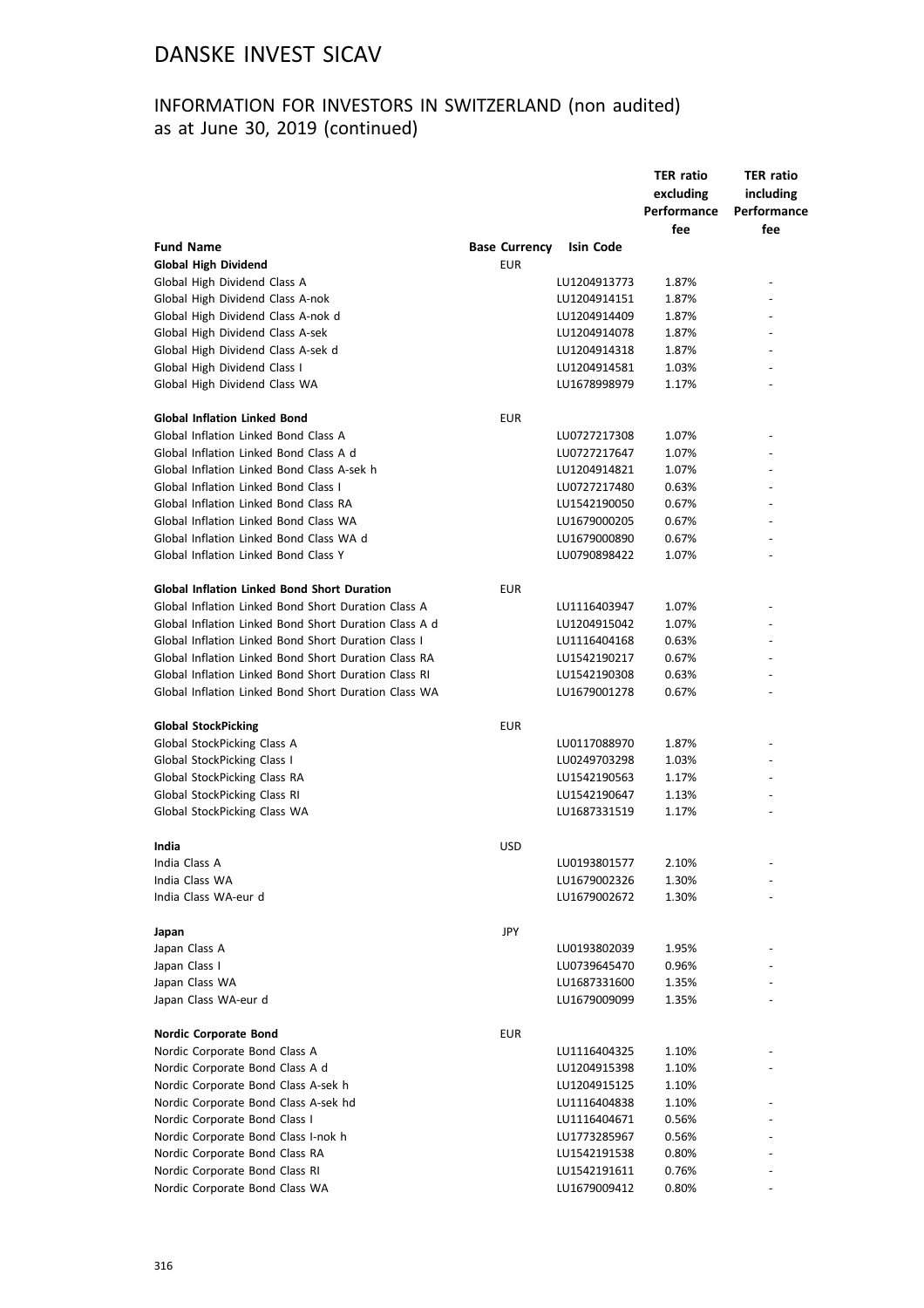## INFORMATION FOR INVESTORS IN SWITZERLAND (non audited) as at June 30, 2019 (continued)

|                                                              |                      |              | <b>TER ratio</b><br>excluding<br>Performance<br>fee | <b>TER ratio</b><br>including<br>Performance<br>fee |
|--------------------------------------------------------------|----------------------|--------------|-----------------------------------------------------|-----------------------------------------------------|
| <b>Fund Name</b>                                             | <b>Base Currency</b> | Isin Code    |                                                     |                                                     |
| <b>Global High Dividend</b>                                  | <b>EUR</b>           |              |                                                     |                                                     |
| Global High Dividend Class A                                 |                      | LU1204913773 | 1.87%                                               |                                                     |
| Global High Dividend Class A-nok                             |                      | LU1204914151 | 1.87%                                               |                                                     |
| Global High Dividend Class A-nok d                           |                      | LU1204914409 | 1.87%                                               |                                                     |
| Global High Dividend Class A-sek                             |                      | LU1204914078 | 1.87%                                               |                                                     |
| Global High Dividend Class A-sek d                           |                      | LU1204914318 | 1.87%                                               |                                                     |
| Global High Dividend Class I                                 |                      | LU1204914581 | 1.03%                                               |                                                     |
| Global High Dividend Class WA                                |                      | LU1678998979 | 1.17%                                               |                                                     |
|                                                              |                      |              |                                                     |                                                     |
| <b>Global Inflation Linked Bond</b>                          | EUR                  |              |                                                     |                                                     |
| Global Inflation Linked Bond Class A                         |                      | LU0727217308 | 1.07%                                               |                                                     |
| Global Inflation Linked Bond Class A d                       |                      | LU0727217647 | 1.07%                                               |                                                     |
| Global Inflation Linked Bond Class A-sek h                   |                      | LU1204914821 | 1.07%                                               |                                                     |
| Global Inflation Linked Bond Class I                         |                      | LU0727217480 | 0.63%                                               |                                                     |
| Global Inflation Linked Bond Class RA                        |                      | LU1542190050 | 0.67%                                               |                                                     |
| Global Inflation Linked Bond Class WA                        |                      | LU1679000205 | 0.67%                                               |                                                     |
| Global Inflation Linked Bond Class WA d                      |                      | LU1679000890 | 0.67%                                               |                                                     |
| Global Inflation Linked Bond Class Y                         |                      | LU0790898422 | 1.07%                                               |                                                     |
|                                                              |                      |              |                                                     |                                                     |
| <b>Global Inflation Linked Bond Short Duration</b>           | <b>EUR</b>           |              |                                                     |                                                     |
| Global Inflation Linked Bond Short Duration Class A          |                      | LU1116403947 | 1.07%                                               |                                                     |
| Global Inflation Linked Bond Short Duration Class A d        |                      | LU1204915042 | 1.07%                                               |                                                     |
| Global Inflation Linked Bond Short Duration Class I          |                      | LU1116404168 | 0.63%                                               |                                                     |
|                                                              |                      |              |                                                     |                                                     |
| Global Inflation Linked Bond Short Duration Class RA         |                      | LU1542190217 | 0.67%                                               |                                                     |
| Global Inflation Linked Bond Short Duration Class RI         |                      | LU1542190308 | 0.63%                                               |                                                     |
| Global Inflation Linked Bond Short Duration Class WA         |                      | LU1679001278 | 0.67%                                               |                                                     |
| <b>Global StockPicking</b>                                   | <b>EUR</b>           |              |                                                     |                                                     |
| Global StockPicking Class A                                  |                      | LU0117088970 | 1.87%                                               |                                                     |
|                                                              |                      |              |                                                     |                                                     |
| Global StockPicking Class I                                  |                      | LU0249703298 | 1.03%                                               |                                                     |
| Global StockPicking Class RA<br>Global StockPicking Class RI |                      | LU1542190563 | 1.17%                                               |                                                     |
|                                                              |                      | LU1542190647 | 1.13%                                               |                                                     |
| Global StockPicking Class WA                                 |                      | LU1687331519 | 1.17%                                               |                                                     |
| India                                                        | <b>USD</b>           |              |                                                     |                                                     |
| India Class A                                                |                      | LU0193801577 | 2.10%                                               |                                                     |
| India Class WA                                               |                      | LU1679002326 | 1.30%                                               |                                                     |
| India Class WA-eur d                                         |                      | LU1679002672 | 1.30%                                               |                                                     |
|                                                              |                      |              |                                                     |                                                     |
| Japan                                                        | JPY                  |              |                                                     |                                                     |
| Japan Class A                                                |                      | LU0193802039 | 1.95%                                               |                                                     |
| Japan Class I                                                |                      | LU0739645470 | 0.96%                                               |                                                     |
| Japan Class WA                                               |                      | LU1687331600 | 1.35%                                               |                                                     |
| Japan Class WA-eur d                                         |                      | LU1679009099 | 1.35%                                               |                                                     |
|                                                              |                      |              |                                                     |                                                     |
| Nordic Corporate Bond                                        | EUR                  |              |                                                     |                                                     |
| Nordic Corporate Bond Class A                                |                      | LU1116404325 | 1.10%                                               |                                                     |
| Nordic Corporate Bond Class A d                              |                      | LU1204915398 | 1.10%                                               |                                                     |
| Nordic Corporate Bond Class A-sek h                          |                      | LU1204915125 | 1.10%                                               |                                                     |
| Nordic Corporate Bond Class A-sek hd                         |                      | LU1116404838 | 1.10%                                               |                                                     |
| Nordic Corporate Bond Class I                                |                      | LU1116404671 | 0.56%                                               |                                                     |
| Nordic Corporate Bond Class I-nok h                          |                      | LU1773285967 |                                                     |                                                     |
|                                                              |                      |              | 0.56%                                               |                                                     |
| Nordic Corporate Bond Class RA                               |                      | LU1542191538 | 0.80%                                               |                                                     |
| Nordic Corporate Bond Class RI                               |                      | LU1542191611 | 0.76%                                               |                                                     |
| Nordic Corporate Bond Class WA                               |                      | LU1679009412 | 0.80%                                               |                                                     |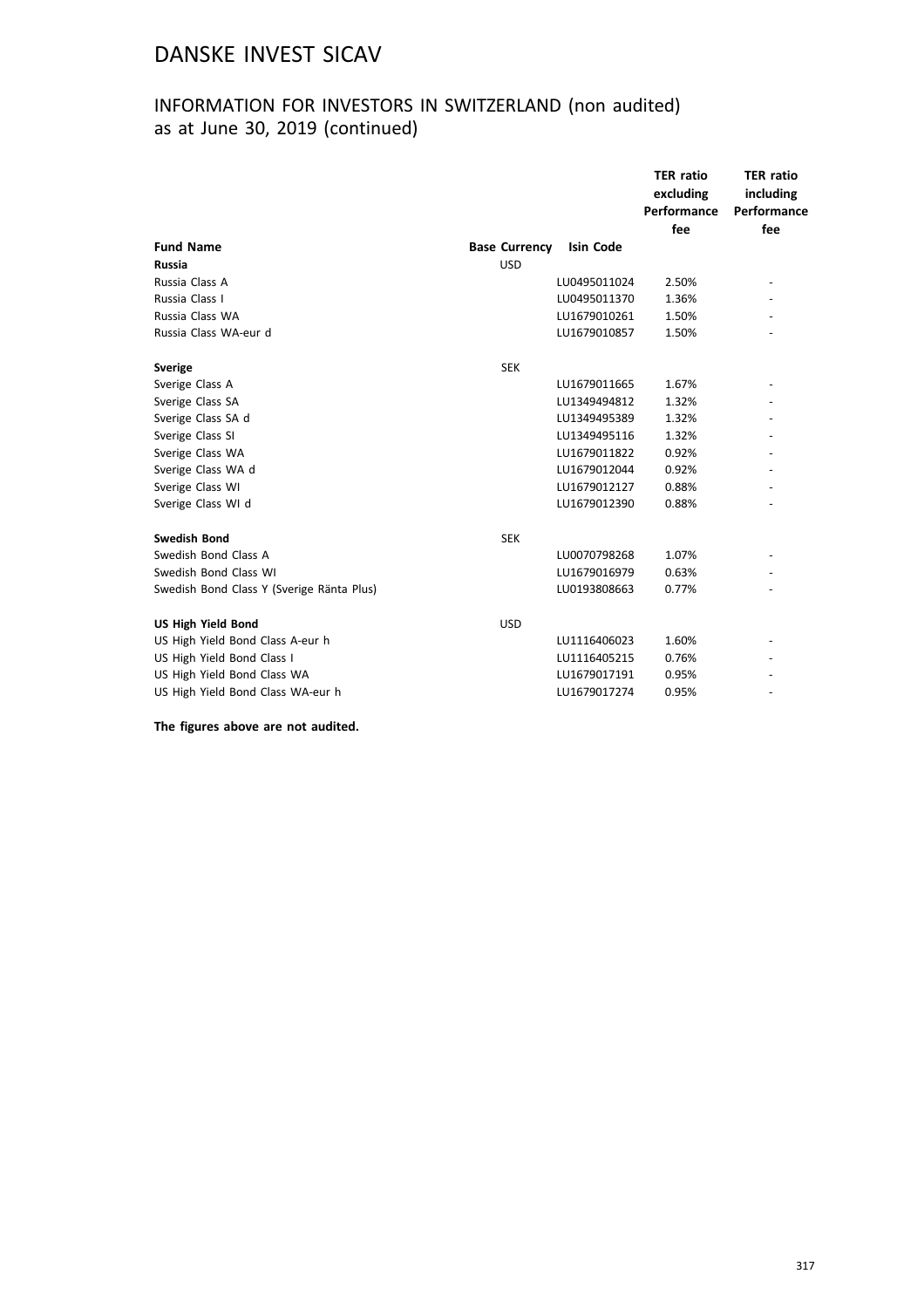## INFORMATION FOR INVESTORS IN SWITZERLAND (non audited) as at June 30, 2019 (continued)

|                                           |                      |                  | <b>TER</b> ratio<br>excluding<br>Performance<br>fee | <b>TER ratio</b><br>including<br>Performance<br>fee |
|-------------------------------------------|----------------------|------------------|-----------------------------------------------------|-----------------------------------------------------|
| <b>Fund Name</b>                          | <b>Base Currency</b> | <b>Isin Code</b> |                                                     |                                                     |
| <b>Russia</b>                             | <b>USD</b>           |                  |                                                     |                                                     |
| Russia Class A                            |                      | LU0495011024     | 2.50%                                               | $\overline{\phantom{a}}$                            |
| Russia Class I                            |                      | LU0495011370     | 1.36%                                               |                                                     |
| Russia Class WA                           |                      | LU1679010261     | 1.50%                                               |                                                     |
| Russia Class WA-eur d                     |                      | LU1679010857     | 1.50%                                               |                                                     |
| <b>Sverige</b>                            | <b>SEK</b>           |                  |                                                     |                                                     |
| Sverige Class A                           |                      | LU1679011665     | 1.67%                                               |                                                     |
| Sverige Class SA                          |                      | LU1349494812     | 1.32%                                               |                                                     |
| Sverige Class SA d                        |                      | LU1349495389     | 1.32%                                               |                                                     |
| Sverige Class SI                          |                      | LU1349495116     | 1.32%                                               |                                                     |
| Sverige Class WA                          |                      | LU1679011822     | 0.92%                                               |                                                     |
| Sverige Class WA d                        |                      | LU1679012044     | 0.92%                                               |                                                     |
| Sverige Class WI                          |                      | LU1679012127     | 0.88%                                               |                                                     |
| Sverige Class WI d                        |                      | LU1679012390     | 0.88%                                               |                                                     |
| <b>Swedish Bond</b>                       | <b>SEK</b>           |                  |                                                     |                                                     |
| Swedish Bond Class A                      |                      | LU0070798268     | 1.07%                                               |                                                     |
| Swedish Bond Class WI                     |                      | LU1679016979     | 0.63%                                               |                                                     |
| Swedish Bond Class Y (Sverige Ränta Plus) |                      | LU0193808663     | 0.77%                                               |                                                     |
| <b>US High Yield Bond</b>                 | <b>USD</b>           |                  |                                                     |                                                     |
| US High Yield Bond Class A-eur h          |                      | LU1116406023     | 1.60%                                               |                                                     |
| US High Yield Bond Class I                |                      | LU1116405215     | 0.76%                                               |                                                     |
| US High Yield Bond Class WA               |                      | LU1679017191     | 0.95%                                               |                                                     |
| US High Yield Bond Class WA-eur h         |                      | LU1679017274     | 0.95%                                               |                                                     |

**The figures above are not audited.**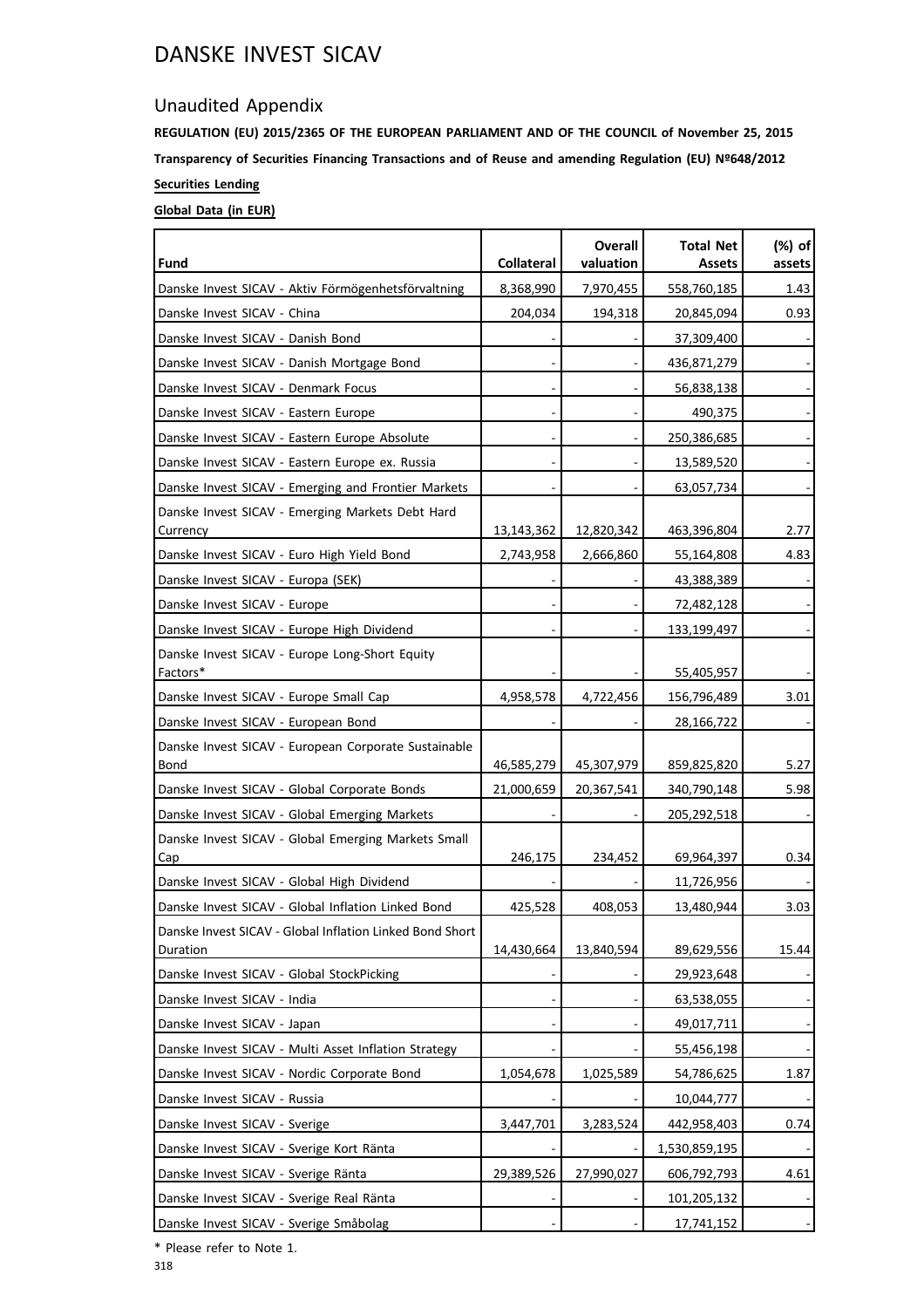### Unaudited Appendix

**REGULATION (EU) 2015/2365 OF THE EUROPEAN PARLIAMENT AND OF THE COUNCIL of November 25, 2015 Transparency of Securities Financing Transactions and of Reuse and amending Regulation (EU) Nº648/2012 Securities Lending**

### **Global Data (in EUR)**

| Fund                                                                 | <b>Collateral</b> | <b>Overall</b><br>valuation | <b>Total Net</b><br><b>Assets</b> | (%) of<br>assets |
|----------------------------------------------------------------------|-------------------|-----------------------------|-----------------------------------|------------------|
| Danske Invest SICAV - Aktiv Förmögenhetsförvaltning                  | 8,368,990         | 7,970,455                   | 558,760,185                       | 1.43             |
| Danske Invest SICAV - China                                          | 204,034           | 194,318                     | 20,845,094                        | 0.93             |
| Danske Invest SICAV - Danish Bond                                    |                   |                             | 37,309,400                        |                  |
| Danske Invest SICAV - Danish Mortgage Bond                           |                   |                             | 436,871,279                       |                  |
| Danske Invest SICAV - Denmark Focus                                  |                   |                             | 56,838,138                        |                  |
| Danske Invest SICAV - Eastern Europe                                 |                   |                             | 490,375                           |                  |
| Danske Invest SICAV - Eastern Europe Absolute                        |                   |                             | 250,386,685                       |                  |
| Danske Invest SICAV - Eastern Europe ex. Russia                      |                   |                             | 13,589,520                        |                  |
| Danske Invest SICAV - Emerging and Frontier Markets                  |                   |                             | 63,057,734                        |                  |
| Danske Invest SICAV - Emerging Markets Debt Hard<br>Currency         | 13,143,362        | 12,820,342                  | 463,396,804                       | 2.77             |
| Danske Invest SICAV - Euro High Yield Bond                           | 2,743,958         | 2,666,860                   | 55,164,808                        | 4.83             |
| Danske Invest SICAV - Europa (SEK)                                   |                   |                             | 43,388,389                        |                  |
| Danske Invest SICAV - Europe                                         |                   |                             | 72,482,128                        |                  |
| Danske Invest SICAV - Europe High Dividend                           |                   |                             | 133,199,497                       |                  |
| Danske Invest SICAV - Europe Long-Short Equity<br>Factors*           |                   |                             | 55,405,957                        |                  |
| Danske Invest SICAV - Europe Small Cap                               | 4,958,578         | 4,722,456                   | 156,796,489                       | 3.01             |
| Danske Invest SICAV - European Bond                                  |                   |                             | 28,166,722                        |                  |
| Danske Invest SICAV - European Corporate Sustainable<br>Bond         | 46,585,279        | 45,307,979                  | 859,825,820                       | 5.27             |
| Danske Invest SICAV - Global Corporate Bonds                         | 21,000,659        | 20,367,541                  | 340,790,148                       | 5.98             |
| Danske Invest SICAV - Global Emerging Markets                        |                   |                             | 205,292,518                       |                  |
| Danske Invest SICAV - Global Emerging Markets Small<br>Cap           | 246,175           | 234,452                     | 69,964,397                        | 0.34             |
| Danske Invest SICAV - Global High Dividend                           |                   |                             | 11,726,956                        |                  |
| Danske Invest SICAV - Global Inflation Linked Bond                   | 425,528           | 408,053                     | 13,480,944                        | 3.03             |
| Danske Invest SICAV - Global Inflation Linked Bond Short<br>Duration | 14,430,664        | 13,840,594                  | 89,629,556                        | 15.44            |
| Danske Invest SICAV - Global StockPicking                            |                   |                             | 29,923,648                        |                  |
| Danske Invest SICAV - India                                          |                   |                             | 63,538,055                        |                  |
| Danske Invest SICAV - Japan                                          |                   |                             | 49,017,711                        |                  |
| Danske Invest SICAV - Multi Asset Inflation Strategy                 |                   |                             | 55,456,198                        |                  |
| Danske Invest SICAV - Nordic Corporate Bond                          | 1,054,678         | 1,025,589                   | 54,786,625                        | 1.87             |
| Danske Invest SICAV - Russia                                         |                   |                             | 10,044,777                        |                  |
| Danske Invest SICAV - Sverige                                        | 3,447,701         | 3,283,524                   | 442,958,403                       | 0.74             |
| Danske Invest SICAV - Sverige Kort Ränta                             |                   |                             | 1,530,859,195                     |                  |
| Danske Invest SICAV - Sverige Ränta                                  | 29,389,526        | 27,990,027                  | 606,792,793                       | 4.61             |
| Danske Invest SICAV - Sverige Real Ränta                             |                   |                             | 101,205,132                       |                  |
| Danske Invest SICAV - Sverige Småbolag                               |                   |                             | 17,741,152                        |                  |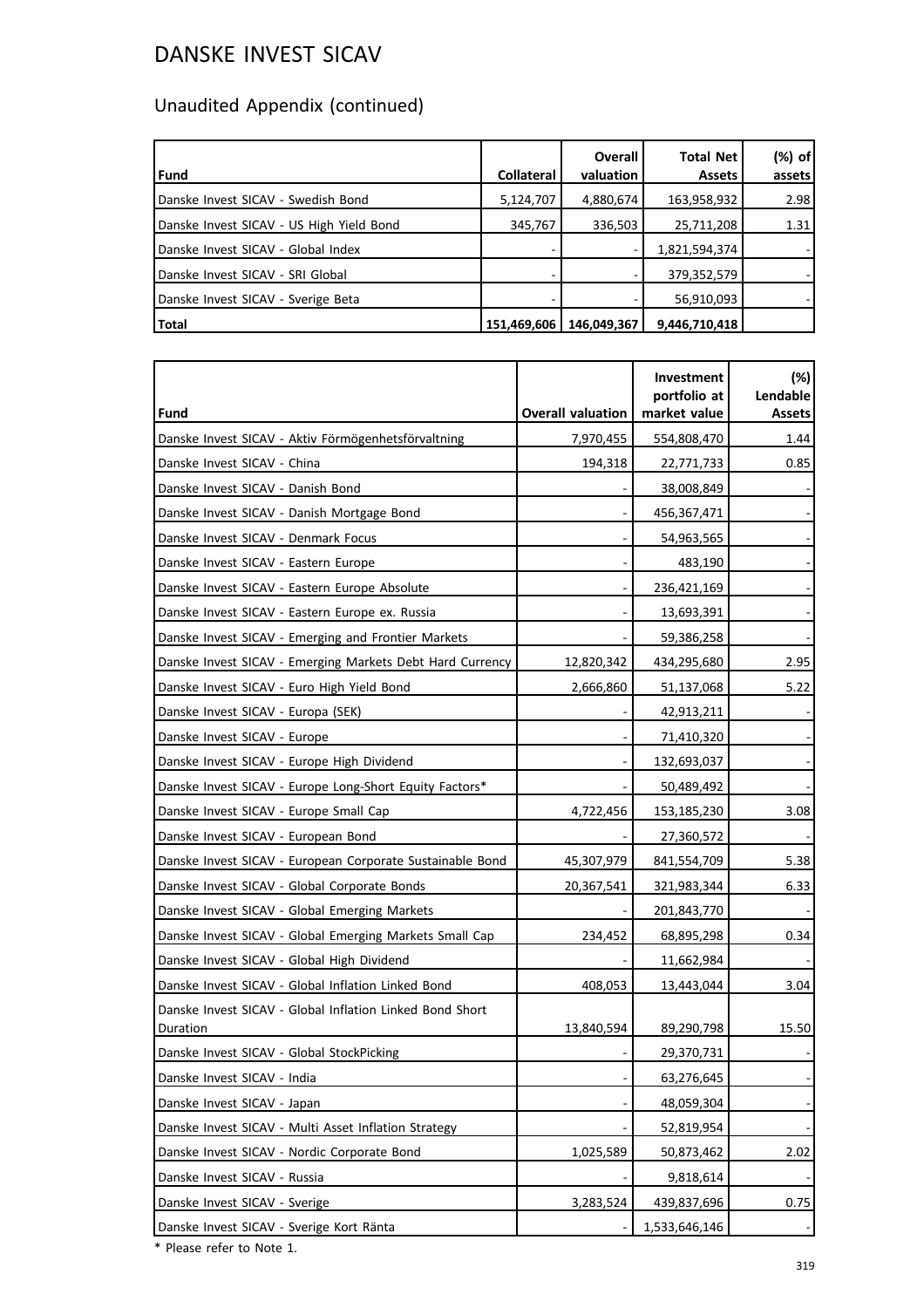# Unaudited Appendix (continued)

| l Fund                                   | <b>Collateral</b> | <b>Overall</b><br>valuation | <b>Total Net</b><br><b>Assets</b> | (%) of<br>assets |
|------------------------------------------|-------------------|-----------------------------|-----------------------------------|------------------|
| Danske Invest SICAV - Swedish Bond       | 5,124,707         | 4,880,674                   | 163,958,932                       | 2.98             |
| Danske Invest SICAV - US High Yield Bond | 345,767           | 336,503                     | 25,711,208                        | 1.31             |
| Danske Invest SICAV - Global Index       |                   |                             | 1,821,594,374                     |                  |
| Danske Invest SICAV - SRI Global         |                   |                             | 379,352,579                       |                  |
| Danske Invest SICAV - Sverige Beta       |                   |                             | 56,910,093                        |                  |
| Total                                    | 151,469,606       | 146,049,367                 | 9,446,710,418                     |                  |

|                                                                      |                          | Investment<br>portfolio at | $(\%)$<br>Lendable |
|----------------------------------------------------------------------|--------------------------|----------------------------|--------------------|
| Fund                                                                 | <b>Overall valuation</b> | market value               | <b>Assets</b>      |
| Danske Invest SICAV - Aktiv Förmögenhetsförvaltning                  | 7,970,455                | 554,808,470                | 1.44               |
| Danske Invest SICAV - China                                          | 194,318                  | 22,771,733                 | 0.85               |
| Danske Invest SICAV - Danish Bond                                    |                          | 38,008,849                 |                    |
| Danske Invest SICAV - Danish Mortgage Bond                           |                          | 456,367,471                |                    |
| Danske Invest SICAV - Denmark Focus                                  |                          | 54,963,565                 |                    |
| Danske Invest SICAV - Eastern Europe                                 |                          | 483,190                    |                    |
| Danske Invest SICAV - Eastern Europe Absolute                        |                          | 236,421,169                |                    |
| Danske Invest SICAV - Eastern Europe ex. Russia                      |                          | 13,693,391                 |                    |
| Danske Invest SICAV - Emerging and Frontier Markets                  |                          | 59,386,258                 |                    |
| Danske Invest SICAV - Emerging Markets Debt Hard Currency            | 12,820,342               | 434,295,680                | 2.95               |
| Danske Invest SICAV - Euro High Yield Bond                           | 2,666,860                | 51,137,068                 | 5.22               |
| Danske Invest SICAV - Europa (SEK)                                   |                          | 42,913,211                 |                    |
| Danske Invest SICAV - Europe                                         |                          | 71,410,320                 |                    |
| Danske Invest SICAV - Europe High Dividend                           |                          | 132,693,037                |                    |
| Danske Invest SICAV - Europe Long-Short Equity Factors*              |                          | 50,489,492                 |                    |
| Danske Invest SICAV - Europe Small Cap                               | 4,722,456                | 153,185,230                | 3.08               |
| Danske Invest SICAV - European Bond                                  |                          | 27,360,572                 |                    |
| Danske Invest SICAV - European Corporate Sustainable Bond            | 45,307,979               | 841,554,709                | 5.38               |
| Danske Invest SICAV - Global Corporate Bonds                         | 20,367,541               | 321,983,344                | 6.33               |
| Danske Invest SICAV - Global Emerging Markets                        |                          | 201,843,770                |                    |
| Danske Invest SICAV - Global Emerging Markets Small Cap              | 234,452                  | 68,895,298                 | 0.34               |
| Danske Invest SICAV - Global High Dividend                           |                          | 11,662,984                 |                    |
| Danske Invest SICAV - Global Inflation Linked Bond                   | 408,053                  | 13,443,044                 | 3.04               |
| Danske Invest SICAV - Global Inflation Linked Bond Short<br>Duration | 13,840,594               | 89,290,798                 | 15.50              |
| Danske Invest SICAV - Global StockPicking                            |                          | 29,370,731                 |                    |
| Danske Invest SICAV - India                                          |                          | 63,276,645                 |                    |
| Danske Invest SICAV - Japan                                          |                          | 48,059,304                 |                    |
| Danske Invest SICAV - Multi Asset Inflation Strategy                 |                          | 52,819,954                 |                    |
| Danske Invest SICAV - Nordic Corporate Bond                          | 1,025,589                | 50,873,462                 | 2.02               |
| Danske Invest SICAV - Russia                                         |                          | 9,818,614                  |                    |
| Danske Invest SICAV - Sverige                                        | 3,283,524                | 439,837,696                | 0.75               |
| Danske Invest SICAV - Sverige Kort Ränta                             |                          | 1,533,646,146              |                    |

\* Please refer to Note 1.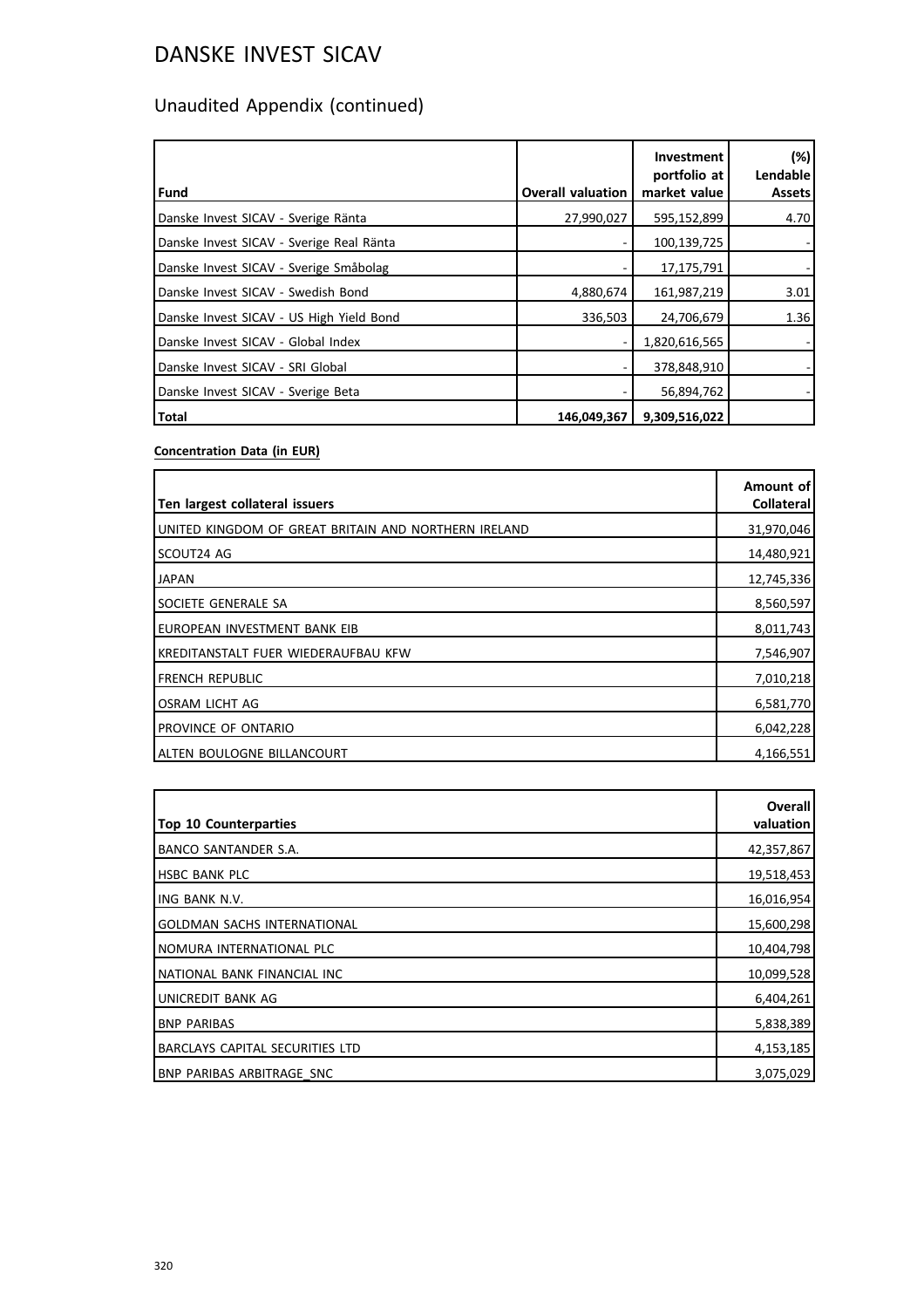# Unaudited Appendix (continued)

| l Fund                                   | <b>Overall valuation</b> | Investment<br>portfolio at<br>market value | (%)<br>Lendable<br><b>Assets</b> |
|------------------------------------------|--------------------------|--------------------------------------------|----------------------------------|
| Danske Invest SICAV - Sverige Ränta      | 27,990,027               | 595,152,899                                | 4.70                             |
| Danske Invest SICAV - Sverige Real Ränta |                          | 100,139,725                                |                                  |
| Danske Invest SICAV - Sverige Småbolag   |                          | 17,175,791                                 |                                  |
| Danske Invest SICAV - Swedish Bond       | 4,880,674                | 161,987,219                                | 3.01                             |
| Danske Invest SICAV - US High Yield Bond | 336,503                  | 24,706,679                                 | 1.36                             |
| Danske Invest SICAV - Global Index       |                          | 1,820,616,565                              |                                  |
| Danske Invest SICAV - SRI Global         |                          | 378,848,910                                |                                  |
| Danske Invest SICAV - Sverige Beta       |                          | 56,894,762                                 |                                  |
| <b>Total</b>                             | 146,049,367              | 9,309,516,022                              |                                  |

### **Concentration Data (in EUR)**

| Ten largest collateral issuers                       | Amount of<br><b>Collateral</b> |
|------------------------------------------------------|--------------------------------|
| UNITED KINGDOM OF GREAT BRITAIN AND NORTHERN IRELAND | 31,970,046                     |
| SCOUT24 AG                                           | 14,480,921                     |
| <b>JAPAN</b>                                         | 12,745,336                     |
| SOCIETE GENERALE SA                                  | 8,560,597                      |
| EUROPEAN INVESTMENT BANK EIB                         | 8,011,743                      |
| KREDITANSTALT FUER WIEDERAUFBAU KFW                  | 7,546,907                      |
| <b>FRENCH REPUBLIC</b>                               | 7,010,218                      |
| OSRAM LICHT AG                                       | 6,581,770                      |
| PROVINCE OF ONTARIO                                  | 6,042,228                      |
| ALTEN BOULOGNE BILLANCOURT                           | 4,166,551                      |

| <b>Top 10 Counterparties</b>           | Overall<br>valuation |
|----------------------------------------|----------------------|
| BANCO SANTANDER S.A.                   | 42,357,867           |
| <b>HSBC BANK PLC</b>                   | 19,518,453           |
| <b>ING BANK N.V.</b>                   | 16,016,954           |
| <b>GOLDMAN SACHS INTERNATIONAL</b>     | 15,600,298           |
| Inomura international plc              | 10,404,798           |
| NATIONAL BANK FINANCIAL INC            | 10,099,528           |
| UNICREDIT BANK AG                      | 6,404,261            |
| <b>BNP PARIBAS</b>                     | 5,838,389            |
| <b>BARCLAYS CAPITAL SECURITIES LTD</b> | 4,153,185            |
| <b>BNP PARIBAS ARBITRAGE SNC</b>       | 3,075,029            |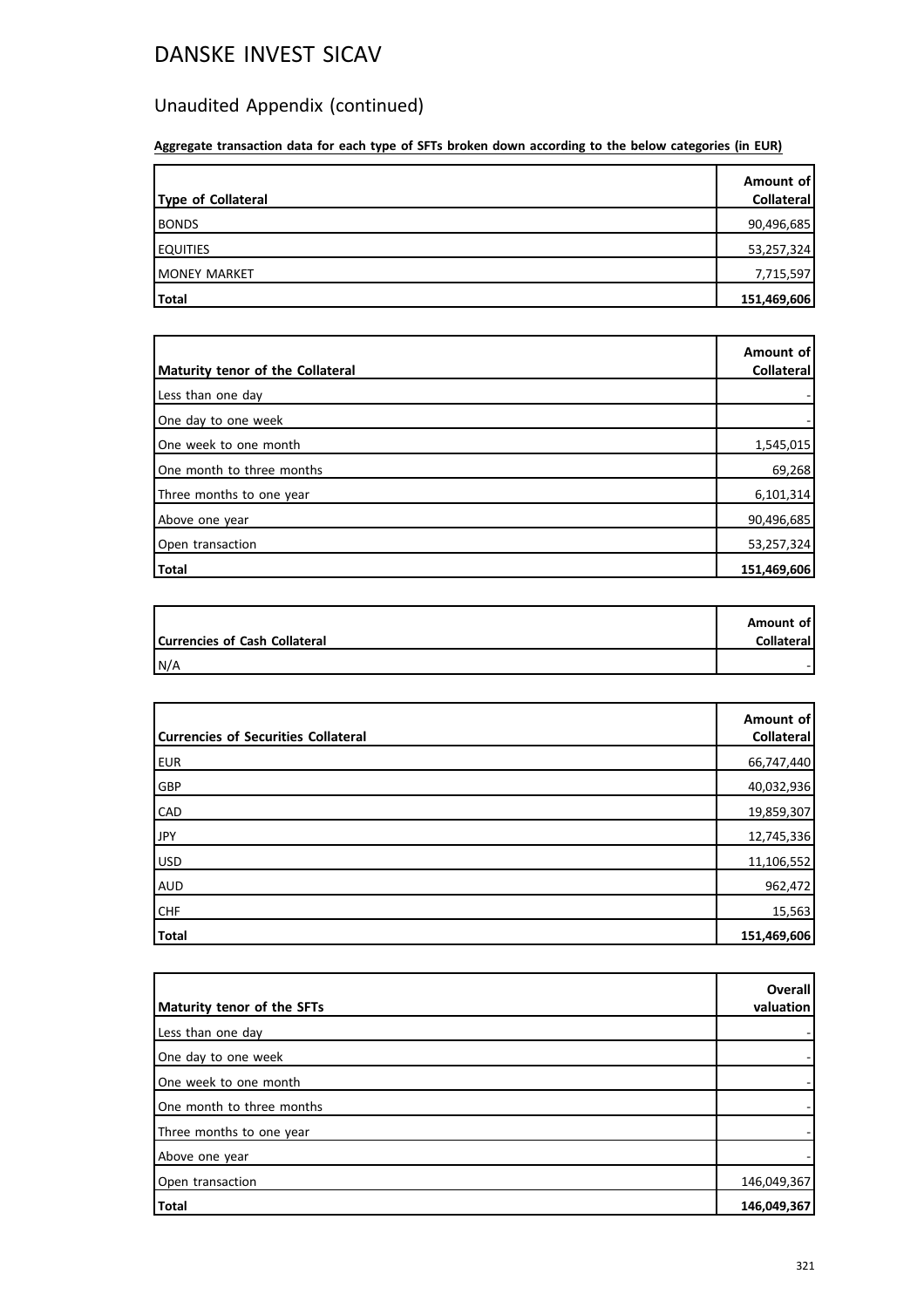# Unaudited Appendix (continued)

**Aggregate transaction data for each type of SFTs broken down according to the below categories (in EUR)**

| Type of Collateral | Amount of<br>Collateral |
|--------------------|-------------------------|
| <b>BONDS</b>       | 90,496,685              |
| <b>EQUITIES</b>    | 53,257,324              |
| MONEY MARKET       | 7,715,597               |
| <b>Total</b>       | 151,469,606             |

| Maturity tenor of the Collateral | Amount of<br>Collateral |
|----------------------------------|-------------------------|
|                                  |                         |
| Less than one day                |                         |
| One day to one week              |                         |
| One week to one month            | 1,545,015               |
| One month to three months        | 69,268                  |
| Three months to one year         | 6,101,314               |
| Above one year                   | 90,496,685              |
| Open transaction                 | 53,257,324              |
| Total                            | 151,469,606             |

|                               | Amount of         |
|-------------------------------|-------------------|
| Currencies of Cash Collateral | <b>Collateral</b> |
| IN/A                          |                   |

| <b>Currencies of Securities Collateral</b> | Amount of<br><b>Collateral</b> |
|--------------------------------------------|--------------------------------|
| <b>EUR</b>                                 | 66,747,440                     |
| GBP                                        | 40,032,936                     |
| <b>CAD</b>                                 | 19,859,307                     |
| <b>JPY</b>                                 | 12,745,336                     |
| USD                                        | 11,106,552                     |
| AUD                                        | 962,472                        |
| <b>CHF</b>                                 | 15,563                         |
| Total                                      | 151,469,606                    |

|                            | Overall     |
|----------------------------|-------------|
| Maturity tenor of the SFTs | valuation   |
| Less than one day          |             |
| One day to one week        |             |
| One week to one month      |             |
| IOne month to three months |             |
| Three months to one year   |             |
| Above one year             |             |
| Open transaction           | 146,049,367 |
| Total                      | 146,049,367 |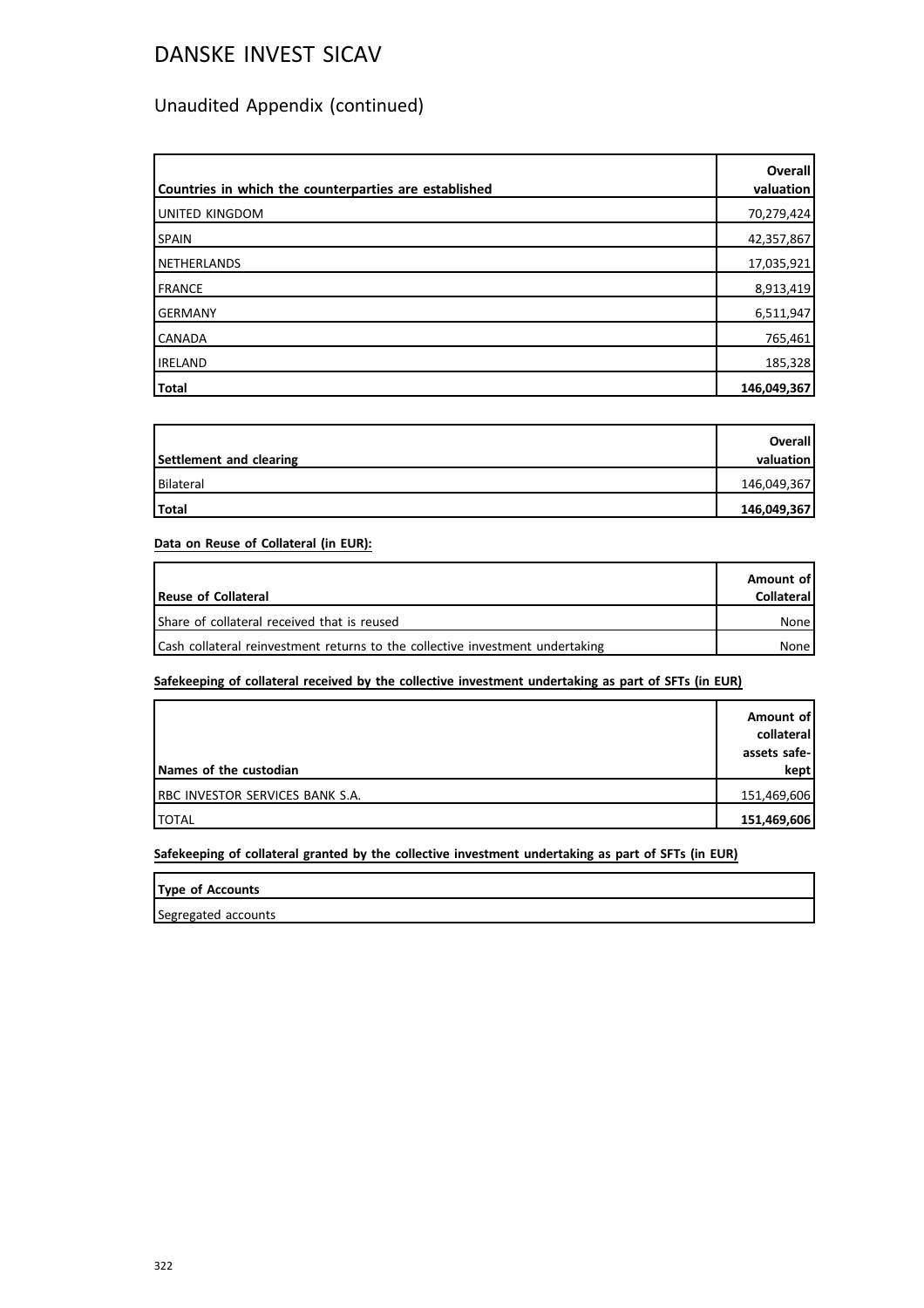# Unaudited Appendix (continued)

| Countries in which the counterparties are established | <b>Overall</b><br>valuation |
|-------------------------------------------------------|-----------------------------|
| UNITED KINGDOM                                        | 70,279,424                  |
| <b>SPAIN</b>                                          | 42,357,867                  |
| NETHERLANDS                                           | 17,035,921                  |
| FRANCE                                                | 8,913,419                   |
| <b>GERMANY</b>                                        | 6,511,947                   |
| <b>CANADA</b>                                         | 765,461                     |
| <b>IRELAND</b>                                        | 185,328                     |
| Total                                                 | 146,049,367                 |

|                         | <b>Overall</b> |
|-------------------------|----------------|
| Settlement and clearing | valuation      |
| Bilateral               | 146,049,367    |
| Total                   | 146,049,367    |

**Data on Reuse of Collateral (in EUR):**

| Reuse of Collateral                                                           | Amount of<br><b>Collateral</b> |
|-------------------------------------------------------------------------------|--------------------------------|
| Share of collateral received that is reused                                   | None                           |
| Cash collateral reinvestment returns to the collective investment undertaking | None                           |

**Safekeeping of collateral received by the collective investment undertaking as part of SFTs (in EUR)**

| Names of the custodian                  | Amount of<br>collateral<br>assets safe-<br>kept |
|-----------------------------------------|-------------------------------------------------|
| <b>IRBC INVESTOR SERVICES BANK S.A.</b> | 151,469,606                                     |
| <b>ITOTAL</b>                           | 151,469,606                                     |

**Safekeeping of collateral granted by the collective investment undertaking as part of SFTs (in EUR)**

| <b>Type of Accounts</b> |  |  |
|-------------------------|--|--|
| Segregated accounts     |  |  |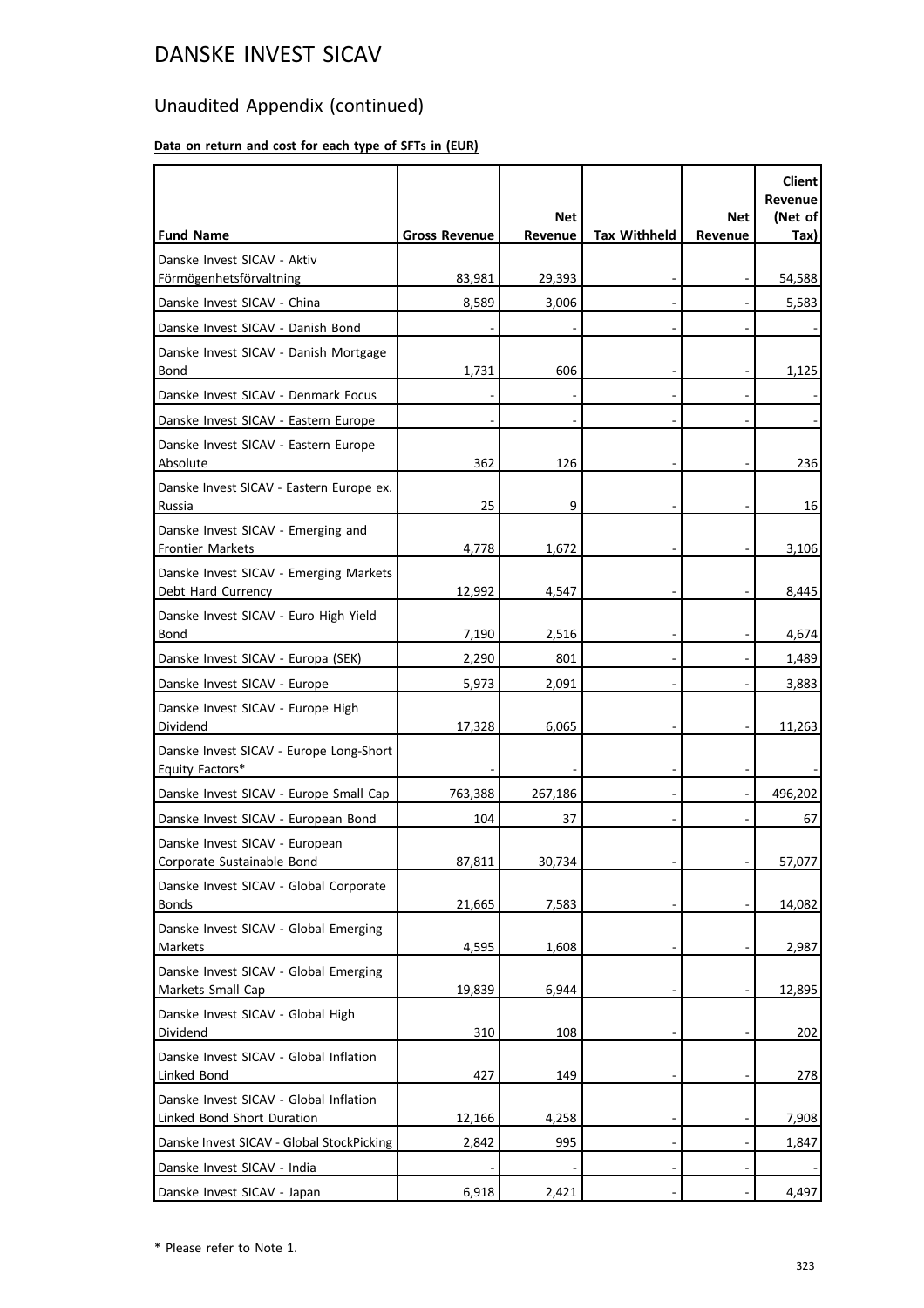# Unaudited Appendix (continued)

### **Data on return and cost for each type of SFTs in (EUR)**

| <b>Fund Name</b>                                                     | <b>Gross Revenue</b> | <b>Net</b><br>Revenue | <b>Tax Withheld</b> | Net<br>Revenue | <b>Client</b><br>Revenue<br>(Net of<br>Tax) |
|----------------------------------------------------------------------|----------------------|-----------------------|---------------------|----------------|---------------------------------------------|
| Danske Invest SICAV - Aktiv                                          |                      |                       |                     |                |                                             |
| Förmögenhetsförvaltning                                              | 83,981               | 29,393                |                     |                | 54,588                                      |
| Danske Invest SICAV - China                                          | 8,589                | 3,006                 |                     |                | 5,583                                       |
| Danske Invest SICAV - Danish Bond                                    |                      |                       |                     |                |                                             |
| Danske Invest SICAV - Danish Mortgage<br>Bond                        | 1,731                | 606                   |                     |                | 1,125                                       |
| Danske Invest SICAV - Denmark Focus                                  |                      |                       |                     |                |                                             |
| Danske Invest SICAV - Eastern Europe                                 |                      |                       |                     |                |                                             |
| Danske Invest SICAV - Eastern Europe<br>Absolute                     | 362                  | 126                   |                     |                | 236                                         |
| Danske Invest SICAV - Eastern Europe ex.<br>Russia                   | 25                   | 9                     |                     |                | 16                                          |
| Danske Invest SICAV - Emerging and<br><b>Frontier Markets</b>        | 4,778                | 1,672                 |                     |                | 3,106                                       |
| Danske Invest SICAV - Emerging Markets<br>Debt Hard Currency         | 12,992               | 4,547                 |                     |                | 8,445                                       |
| Danske Invest SICAV - Euro High Yield<br>Bond                        | 7,190                | 2,516                 |                     |                | 4,674                                       |
| Danske Invest SICAV - Europa (SEK)                                   | 2,290                | 801                   |                     |                | 1,489                                       |
| Danske Invest SICAV - Europe                                         | 5,973                | 2,091                 |                     |                | 3,883                                       |
| Danske Invest SICAV - Europe High<br>Dividend                        | 17,328               | 6,065                 |                     |                | 11,263                                      |
| Danske Invest SICAV - Europe Long-Short<br>Equity Factors*           |                      |                       |                     |                |                                             |
| Danske Invest SICAV - Europe Small Cap                               | 763,388              | 267,186               |                     |                | 496,202                                     |
| Danske Invest SICAV - European Bond                                  | 104                  | 37                    |                     |                | 67                                          |
| Danske Invest SICAV - European<br>Corporate Sustainable Bond         | 87,811               | 30,734                |                     |                | 57,077                                      |
| Danske Invest SICAV - Global Corporate<br><b>Bonds</b>               | 21,665               | 7,583                 |                     |                | 14,082                                      |
| Danske Invest SICAV - Global Emerging<br>Markets                     | 4,595                | 1,608                 |                     |                | 2,987                                       |
| Danske Invest SICAV - Global Emerging<br>Markets Small Cap           | 19,839               | 6,944                 |                     |                | 12,895                                      |
| Danske Invest SICAV - Global High<br>Dividend                        | 310                  | 108                   |                     |                | 202                                         |
| Danske Invest SICAV - Global Inflation<br>Linked Bond                | 427                  | 149                   |                     |                | 278                                         |
| Danske Invest SICAV - Global Inflation<br>Linked Bond Short Duration | 12,166               | 4,258                 |                     |                | 7,908                                       |
| Danske Invest SICAV - Global StockPicking                            | 2,842                | 995                   |                     |                | 1,847                                       |
| Danske Invest SICAV - India                                          |                      |                       |                     |                |                                             |
| Danske Invest SICAV - Japan                                          | 6,918                | 2,421                 |                     |                | 4,497                                       |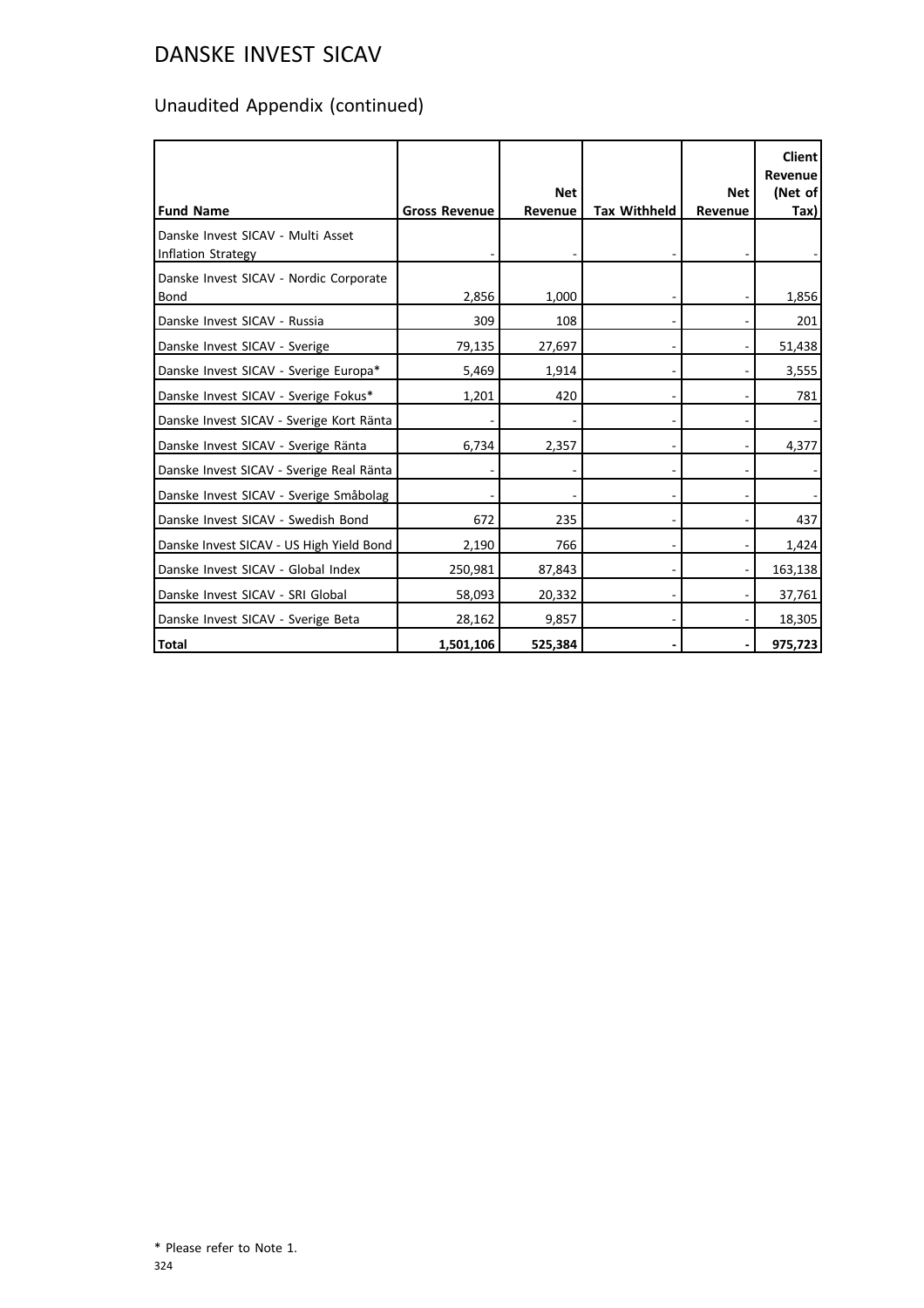# Unaudited Appendix (continued)

|                                                         |                      | <b>Net</b> |                     | <b>Net</b> | <b>Client</b><br>Revenue<br>(Net of |
|---------------------------------------------------------|----------------------|------------|---------------------|------------|-------------------------------------|
| <b>Fund Name</b>                                        | <b>Gross Revenue</b> | Revenue    | <b>Tax Withheld</b> | Revenue    | Tax)                                |
| Danske Invest SICAV - Multi Asset<br>Inflation Strategy |                      |            |                     |            |                                     |
| Danske Invest SICAV - Nordic Corporate<br>Bond          | 2,856                | 1,000      |                     |            | 1,856                               |
| Danske Invest SICAV - Russia                            | 309                  | 108        |                     |            | 201                                 |
| Danske Invest SICAV - Sverige                           | 79,135               | 27,697     |                     |            | 51,438                              |
| Danske Invest SICAV - Sverige Europa*                   | 5,469                | 1,914      |                     |            | 3,555                               |
| Danske Invest SICAV - Sverige Fokus*                    | 1,201                | 420        |                     |            | 781                                 |
| Danske Invest SICAV - Sverige Kort Ränta                |                      |            |                     |            |                                     |
| Danske Invest SICAV - Sverige Ränta                     | 6,734                | 2,357      |                     |            | 4,377                               |
| Danske Invest SICAV - Sverige Real Ränta                |                      |            |                     |            |                                     |
| Danske Invest SICAV - Sverige Småbolag                  |                      |            |                     |            |                                     |
| Danske Invest SICAV - Swedish Bond                      | 672                  | 235        |                     |            | 437                                 |
| Danske Invest SICAV - US High Yield Bond                | 2,190                | 766        |                     |            | 1,424                               |
| Danske Invest SICAV - Global Index                      | 250,981              | 87,843     |                     |            | 163,138                             |
| Danske Invest SICAV - SRI Global                        | 58,093               | 20,332     |                     |            | 37,761                              |
| Danske Invest SICAV - Sverige Beta                      | 28,162               | 9,857      |                     |            | 18,305                              |
| Total                                                   | 1,501,106            | 525,384    |                     |            | 975,723                             |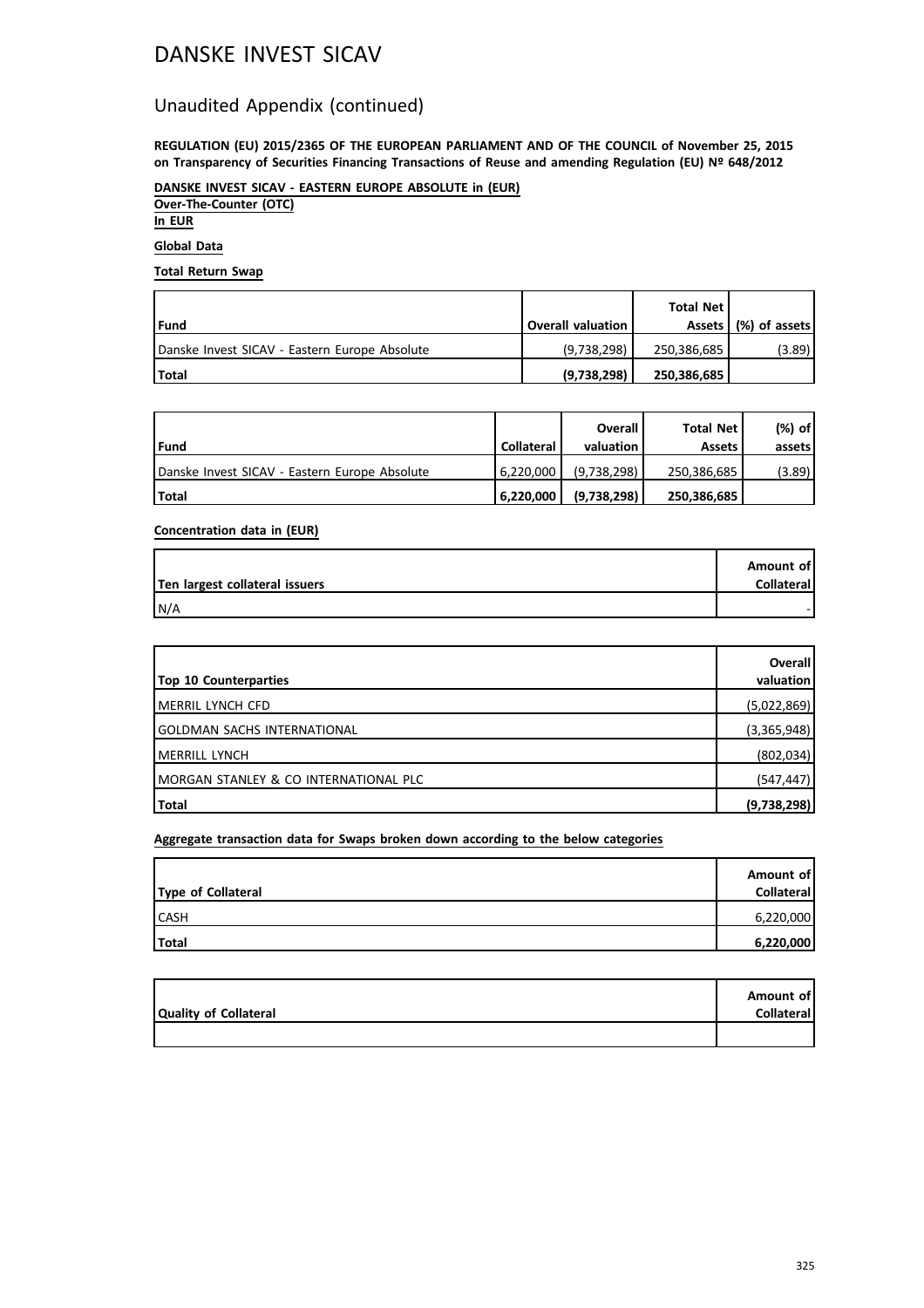## DANSKE INVEST SICAV

### Unaudited Appendix (continued)

**REGULATION (EU) 2015/2365 OF THE EUROPEAN PARLIAMENT AND OF THE COUNCIL of November 25, 2015 on Transparency of Securities Financing Transactions of Reuse and amending Regulation (EU) Nº 648/2012**

**DANSKE INVEST SICAV - EASTERN EUROPE ABSOLUTE in (EUR) Over-The-Counter (OTC) In EUR**

**Global Data**

**Total Return Swap**

| l Fund                                        | <b>Overall valuation</b> | Total Net l | Assets   (%) of assets |
|-----------------------------------------------|--------------------------|-------------|------------------------|
| Danske Invest SICAV - Eastern Europe Absolute | (9,738,298)              | 250,386,685 | (3.89)                 |
| l Total                                       | (9,738,298)              | 250,386,685 |                        |

| l Fund                                        | <b>Collateral</b> | Overall<br>valuation | <b>Total Net</b><br><b>Assets</b> | $(%)$ of<br>assets |
|-----------------------------------------------|-------------------|----------------------|-----------------------------------|--------------------|
| Danske Invest SICAV - Eastern Europe Absolute | 6.220.000         | (9.738.298)          | 250,386,685                       | (3.89)             |
| <b>Total</b>                                  | 6.220.000         | (9,738,298)          | 250,386,685                       |                    |

**Concentration data in (EUR)**

| Ten largest collateral issuers | Amount of<br>Collateral |
|--------------------------------|-------------------------|
| IN/A                           |                         |

| <b>Top 10 Counterparties</b>           | Overall<br>valuation |
|----------------------------------------|----------------------|
| <b>IMERRIL LYNCH CFD</b>               | (5,022,869)          |
| <b>IGOLDMAN SACHS INTERNATIONAL</b>    | (3,365,948)          |
| <b>IMERRILL LYNCH</b>                  | (802, 034)           |
| IMORGAN STANLEY & CO INTERNATIONAL PLC | (547, 447)           |
| Total                                  | (9,738,298)          |

**Aggregate transaction data for Swaps broken down according to the below categories**

|                    | Amount of  |
|--------------------|------------|
| Type of Collateral | Collateral |
| <b>CASH</b>        | 6,220,000  |
| Total              | 6,220,000  |

|                       | Amount of         |
|-----------------------|-------------------|
| Quality of Collateral | <b>Collateral</b> |
|                       |                   |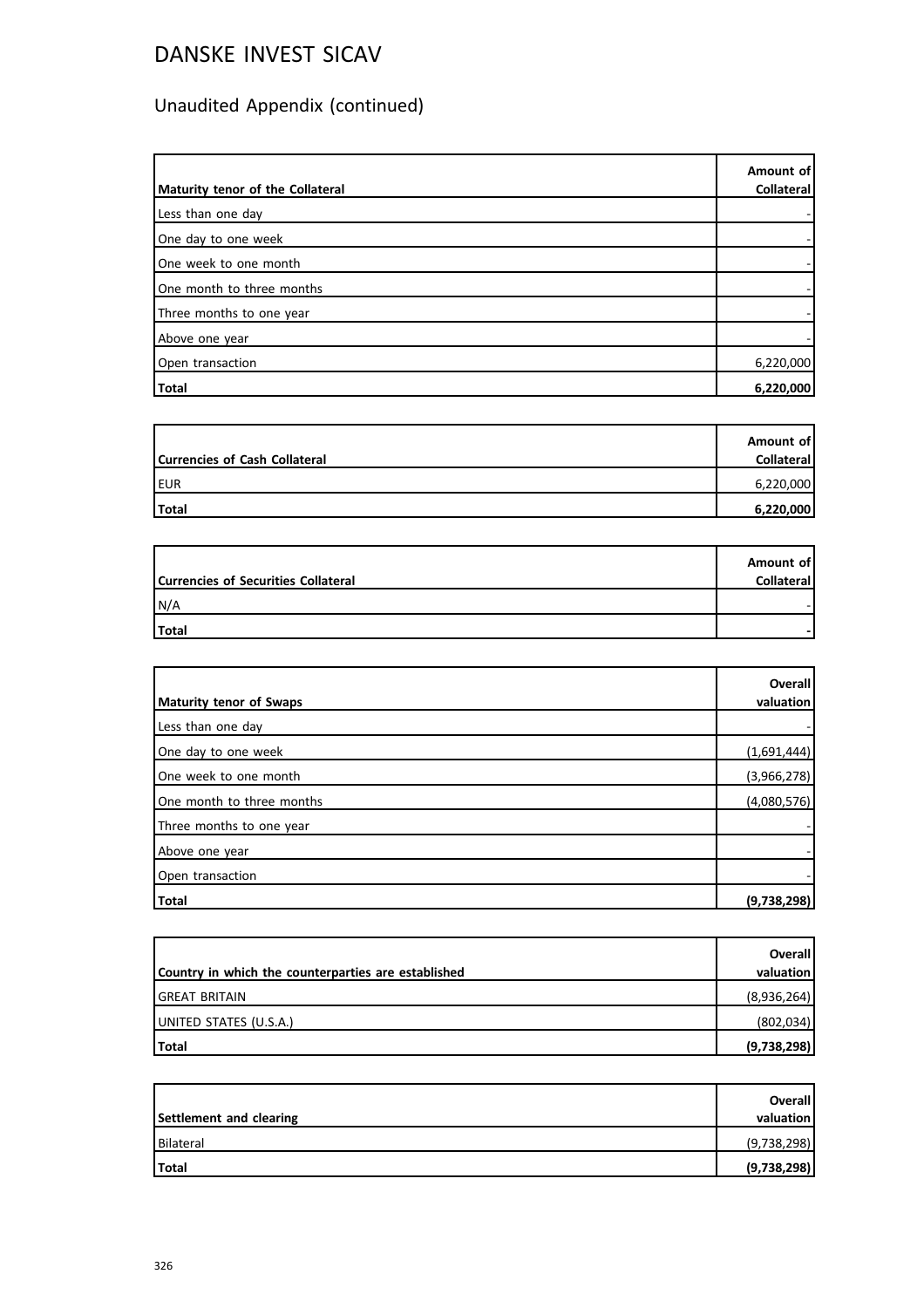# DANSKE INVEST SICAV

# Unaudited Appendix (continued)

| Maturity tenor of the Collateral | Amount of<br><b>Collateral</b> |
|----------------------------------|--------------------------------|
| Less than one day                |                                |
| One day to one week              |                                |
| One week to one month            |                                |
| One month to three months        |                                |
| Three months to one year         |                                |
| Above one year                   |                                |
| Open transaction                 | 6,220,000                      |
| Total                            | 6,220,000                      |

| <b>Currencies of Cash Collateral</b> | Amount of<br><b>Collateral</b> |
|--------------------------------------|--------------------------------|
| <b>EUR</b>                           | 6,220,000                      |
| Total                                | 6,220,000                      |

|                                            | Amount of         |
|--------------------------------------------|-------------------|
| <b>Currencies of Securities Collateral</b> | <b>Collateral</b> |
| N/A                                        |                   |
| Total                                      |                   |

|                           | <b>Overall</b> |
|---------------------------|----------------|
| Maturity tenor of Swaps   | valuation      |
| Less than one day         |                |
| One day to one week       | (1,691,444)    |
| One week to one month     | (3,966,278)    |
| One month to three months | (4,080,576)    |
| Three months to one year  |                |
| Above one year            |                |
| Open transaction          |                |
| Total                     | (9,738,298)    |

|                                                     | <b>Overall</b> |
|-----------------------------------------------------|----------------|
| Country in which the counterparties are established | valuation      |
| <b>GREAT BRITAIN</b>                                | (8,936,264)    |
| UNITED STATES (U.S.A.)                              | (802,034)      |
| Total                                               | (9,738,298)    |

|                         | Overall     |
|-------------------------|-------------|
| Settlement and clearing | valuation   |
| Bilateral               | (9,738,298) |
| Total                   | (9,738,298) |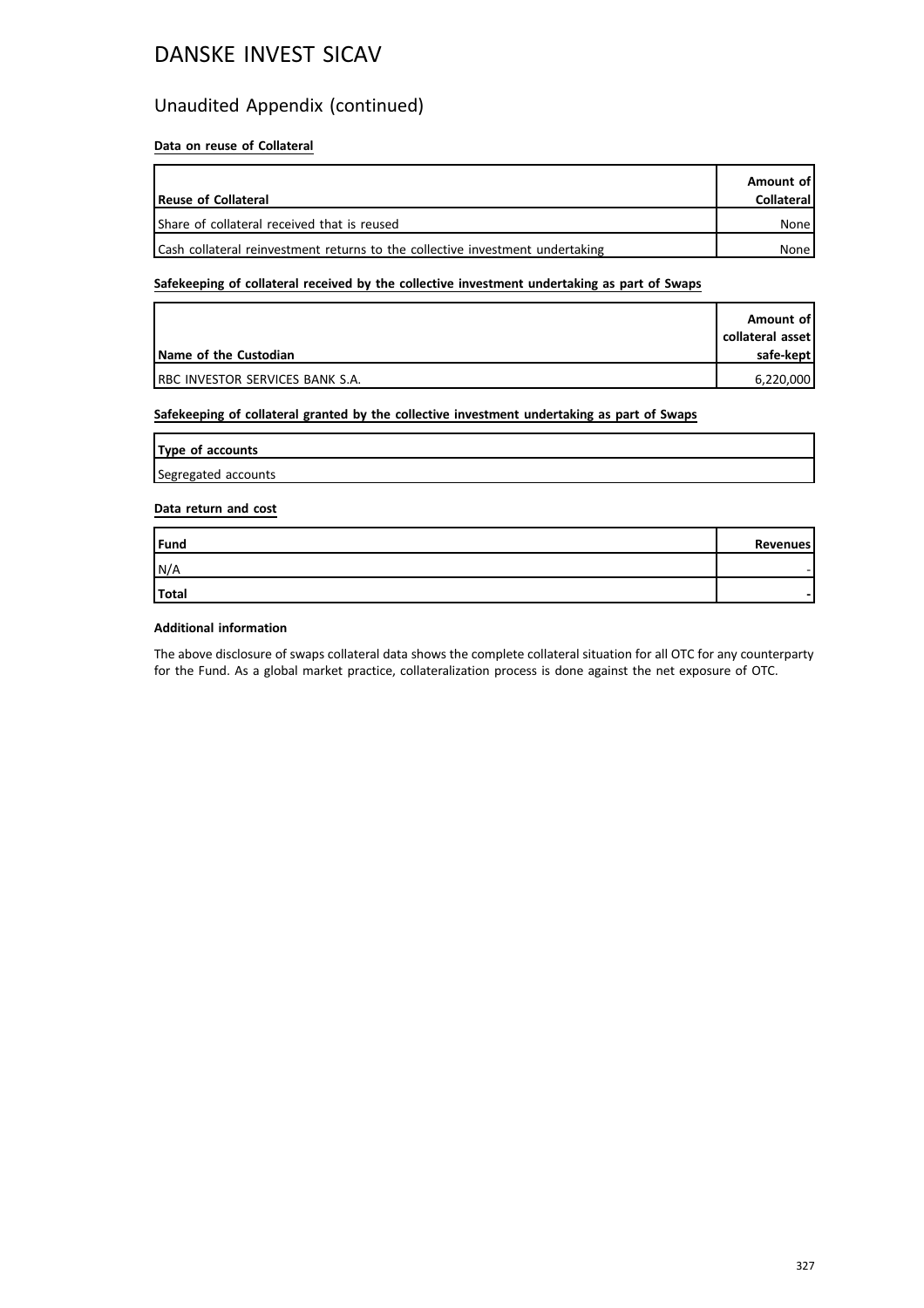## DANSKE INVEST SICAV

### Unaudited Appendix (continued)

#### **Data on reuse of Collateral**

| Reuse of Collateral                                                           | Amount of<br><b>Collateral</b> |
|-------------------------------------------------------------------------------|--------------------------------|
| Share of collateral received that is reused                                   | None                           |
| Cash collateral reinvestment returns to the collective investment undertaking | None                           |

#### **Safekeeping of collateral received by the collective investment undertaking as part of Swaps**

|                                         | Amount of        |
|-----------------------------------------|------------------|
|                                         | collateral asset |
| Name of the Custodian                   | safe-kept        |
| <b>IRBC INVESTOR SERVICES BANK S.A.</b> | 6.220.000        |

#### **Safekeeping of collateral granted by the collective investment undertaking as part of Swaps**

| Type of accounts    |  |
|---------------------|--|
| Segregated accounts |  |

#### **Data return and cost**

| Fund  | Revenues |
|-------|----------|
| N/A   |          |
| Total | -        |

#### **Additional information**

The above disclosure of swaps collateral data shows the complete collateral situation for all OTC for any counterparty for the Fund. As a global market practice, collateralization process is done against the net exposure of OTC.